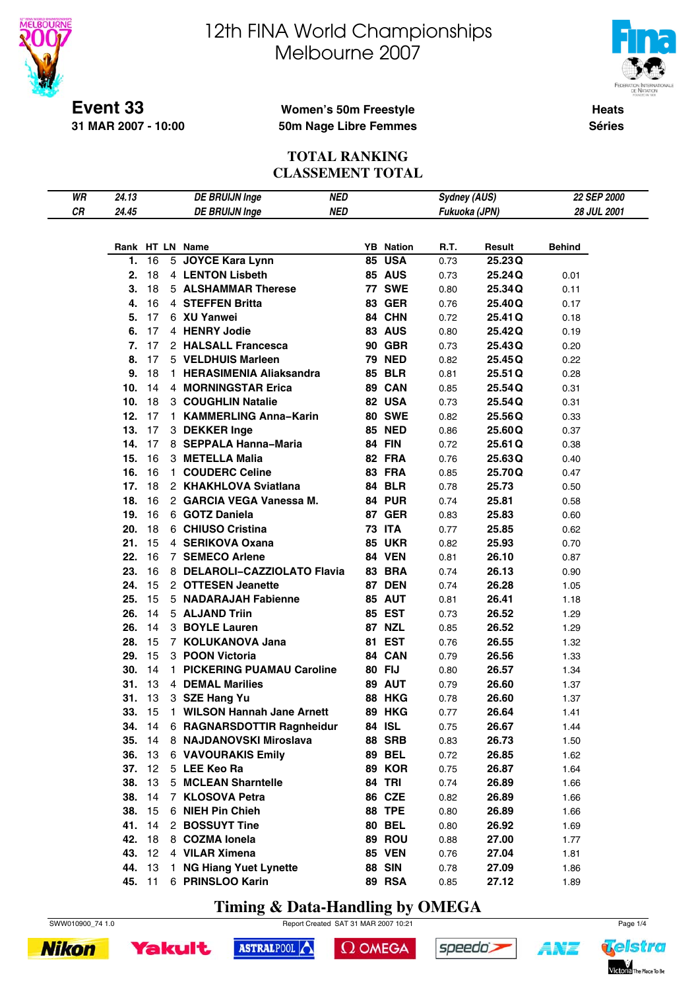

# 12th FINA World Championships Melbourne 2007



**Heats Séries**

### **Women's 50m Freestyle 50m Nage Libre Femmes**

#### **TOTAL RANKING CLASSEMENT TOTAL**

| WR | 24.13      |          |              | <b>DE BRUIJN Inge</b>              | <b>NED</b> |                  | <b>Sydney (AUS)</b> |                | 22 SEP 2000  |  |
|----|------------|----------|--------------|------------------------------------|------------|------------------|---------------------|----------------|--------------|--|
| СR | 24.45      |          |              | <b>DE BRUIJN Inge</b>              | <b>NED</b> |                  | Fukuoka (JPN)       |                | 28 JUL 2001  |  |
|    |            |          |              |                                    |            |                  |                     |                |              |  |
|    |            |          |              | Rank HT LN Name                    |            | <b>YB</b> Nation | R.T.                | Result         | Behind       |  |
|    | 1.         | 16       |              | 5 JOYCE Kara Lynn                  | 85         | <b>USA</b>       | 0.73                | 25.23Q         |              |  |
|    | 2.         | 18       |              | 4 LENTON Lisbeth                   |            | <b>85 AUS</b>    | 0.73                | 25.24Q         | 0.01         |  |
|    | 3.         | 18       |              | <b>5 ALSHAMMAR Therese</b>         |            | <b>77 SWE</b>    | 0.80                | 25.34Q         | 0.11         |  |
|    | 4.         | 16       |              | 4 STEFFEN Britta                   |            | <b>83 GER</b>    | 0.76                | 25.40Q         | 0.17         |  |
|    | 5.         | 17       |              | 6 XU Yanwei                        |            | 84 CHN           | 0.72                | 25.41 Q        | 0.18         |  |
|    | 6.         | 17       |              | 4 HENRY Jodie                      |            | 83 AUS           | 0.80                | 25.42Q         | 0.19         |  |
|    | 7.         | 17       |              | 2 HALSALL Francesca                |            | <b>90 GBR</b>    | 0.73                | 25.43Q         | 0.20         |  |
|    | 8.         | 17       |              | 5 VELDHUIS Marleen                 |            | <b>79 NED</b>    | 0.82                | 25.45Q         | 0.22         |  |
|    | 9.         | 18       |              | 1 HERASIMENIA Aliaksandra          |            | <b>85 BLR</b>    | 0.81                | 25.51Q         | 0.28         |  |
|    | 10.        | 14       |              | 4 MORNINGSTAR Erica                |            | 89 CAN           | 0.85                | 25.54Q         | 0.31         |  |
|    | 10.        | 18       |              | 3 COUGHLIN Natalie                 |            | 82 USA           | 0.73                | 25.54Q         | 0.31         |  |
|    | 12.        | 17       |              | 1 KAMMERLING Anna-Karin            |            | <b>80 SWE</b>    | 0.82                | 25.56Q         | 0.33         |  |
|    | 13.        | 17       |              | 3 DEKKER Inge                      |            | <b>85 NED</b>    | 0.86                | 25.60Q         | 0.37         |  |
|    | 14.        | 17       |              | 8 SEPPALA Hanna-Maria              |            | <b>84 FIN</b>    | 0.72                | 25.61Q         | 0.38         |  |
|    | 15.        | 16       |              | 3 METELLA Malia                    |            | 82 FRA           | 0.76                | 25.63Q         | 0.40         |  |
|    | 16.        | 16       |              | 1 COUDERC Celine                   |            | 83 FRA           | 0.85                | 25.70Q         | 0.47         |  |
|    | 17.        | 18       |              | 2 KHAKHLOVA Sviatlana              |            | <b>84 BLR</b>    | 0.78                | 25.73          | 0.50         |  |
|    | 18.        | 16       |              | 2 GARCIA VEGA Vanessa M.           |            | 84 PUR           | 0.74                | 25.81          | 0.58         |  |
|    | 19.        | 16       |              | 6 GOTZ Daniela                     |            | <b>87 GER</b>    | 0.83                | 25.83          | 0.60         |  |
|    | 20.        | 18       |              | 6 CHIUSO Cristina                  |            | <b>73 ITA</b>    | 0.77                | 25.85          | 0.62         |  |
|    | 21.        | 15       |              | 4 SERIKOVA Oxana                   |            | <b>85 UKR</b>    | 0.82                | 25.93          | 0.70         |  |
|    | 22.        | 16       |              | 7 SEMECO Arlene                    |            | <b>84 VEN</b>    | 0.81                | 26.10          | 0.87         |  |
|    | 23.        | 16       |              | 8 DELAROLI-CAZZIOLATO Flavia       |            | <b>83 BRA</b>    | 0.74                | 26.13          | 0.90         |  |
|    | 24.        | 15       |              | 2 OTTESEN Jeanette                 |            | 87 DEN           | 0.74                | 26.28          | 1.05         |  |
|    | 25.        | 15       |              | 5 NADARAJAH Fabienne               |            | 85 AUT           | 0.81                | 26.41          | 1.18         |  |
|    | 26.        | 14       |              | 5 ALJAND Triin                     |            | <b>85 EST</b>    | 0.73                | 26.52          | 1.29         |  |
|    | 26.        | 14       |              | 3 BOYLE Lauren                     |            | <b>87 NZL</b>    | 0.85                | 26.52          | 1.29         |  |
|    | 28.        | 15       |              | 7 KOLUKANOVA Jana                  |            | 81 EST           | 0.76                | 26.55          | 1.32         |  |
|    | 29.        | 15       |              | 3 POON Victoria                    |            | 84 CAN           | 0.79                | 26.56          | 1.33         |  |
|    | 30.        | 14       |              | 1 PICKERING PUAMAU Caroline        |            | 80 FIJ           | 0.80                | 26.57          | 1.34         |  |
|    | 31.        | 13       |              | <b>4 DEMAL Marilies</b>            |            | 89 AUT           | 0.79                | 26.60          | 1.37         |  |
|    | 31.        | 13       |              | 3 SZE Hang Yu                      |            | <b>88 HKG</b>    | 0.78                | 26.60          | 1.37         |  |
|    | 33.        | 15       | $\mathbf{1}$ | <b>WILSON Hannah Jane Arnett</b>   |            | <b>89 HKG</b>    | 0.77                | 26.64          | 1.41         |  |
|    | 34.        | 14       |              | 6 RAGNARSDOTTIR Ragnheidur         |            | 84 ISL           | 0.75                | 26.67          | 1.44         |  |
|    | 35.        | 14       |              | 8 NAJDANOVSKI Miroslava            |            | <b>88 SRB</b>    | 0.83                | 26.73          | 1.50         |  |
|    | 36.        | 13       |              | <b>6 VAVOURAKIS Emily</b>          |            | <b>89 BEL</b>    | 0.72                | 26.85          | 1.62         |  |
|    | 37.        | 12       |              | 5 LEE Keo Ra                       |            | <b>89 KOR</b>    | 0.75                | 26.87          | 1.64         |  |
|    | 38.        | 13       |              | 5 MCLEAN Sharntelle                |            | <b>84 TRI</b>    | 0.74                | 26.89          | 1.66         |  |
|    | 38.<br>38. | 14<br>15 |              | 7 KLOSOVA Petra                    |            | 86 CZE<br>88 TPE | 0.82                | 26.89          | 1.66         |  |
|    | 41.        | 14       |              | 6 NIEH Pin Chieh<br>2 BOSSUYT Tine |            | <b>80 BEL</b>    | 0.80                | 26.89          | 1.66         |  |
|    | 42.        | 18       |              | 8 COZMA lonela                     |            | 89 ROU           | 0.80<br>0.88        | 26.92<br>27.00 | 1.69<br>1.77 |  |
|    | 43.        | 12       |              | 4 VILAR Ximena                     |            | <b>85 VEN</b>    | 0.76                | 27.04          |              |  |
|    | 44.        | 13       |              | 1 NG Hiang Yuet Lynette            |            | <b>88 SIN</b>    | 0.78                | 27.09          | 1.81<br>1.86 |  |
|    | 45. 11     |          |              | 6 PRINSLOO Karin                   |            | <b>89 RSA</b>    | 0.85                | 27.12          | 1.89         |  |
|    |            |          |              |                                    |            |                  |                     |                |              |  |

**Timing & Data-Handling by OMEGA**

ASTRALPOOL



 $\Omega$  OMEGA



Yakult



4 N'T

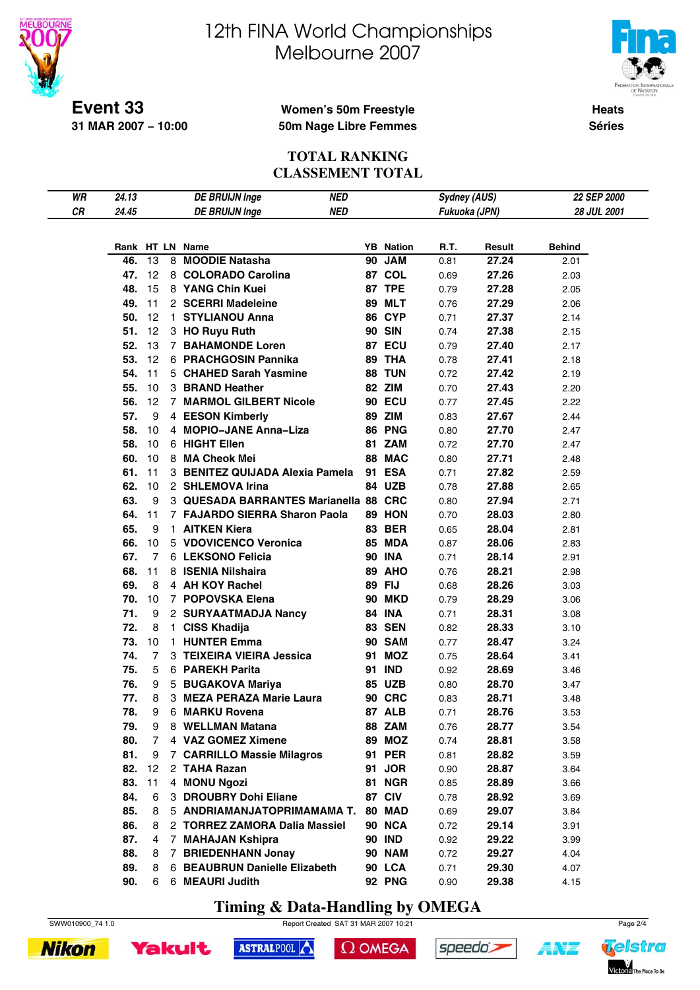

# 12th FINA World Championships Melbourne 2007



**Heats Séries**

### **Women's 50m Freestyle 50m Nage Libre Femmes**

#### **TOTAL RANKING CLASSEMENT TOTAL**

| WR | 24.13 |    |                | <b>DE BRUIJN Inge</b>                 | <b>NED</b> |                  | <b>Sydney (AUS)</b> |        | 22 SEP 2000   |  |
|----|-------|----|----------------|---------------------------------------|------------|------------------|---------------------|--------|---------------|--|
| CR | 24.45 |    |                | <b>DE BRUIJN Inge</b>                 | <b>NED</b> |                  | Fukuoka (JPN)       |        | 28 JUL 2001   |  |
|    |       |    |                |                                       |            |                  |                     |        |               |  |
|    |       |    |                |                                       |            |                  |                     |        |               |  |
|    |       |    |                | Rank HT LN Name                       |            | <b>YB</b> Nation | R.T.                | Result | <b>Behind</b> |  |
|    | 46.   | 13 |                | 8 MOODIE Natasha                      |            | 90 JAM           | 0.81                | 27.24  | 2.01          |  |
|    | 47.   | 12 |                | 8 COLORADO Carolina                   |            | 87 COL           | 0.69                | 27.26  | 2.03          |  |
|    | 48.   | 15 |                | 8 YANG Chin Kuei                      |            | <b>87 TPE</b>    | 0.79                | 27.28  | 2.05          |  |
|    | 49.   | 11 |                | 2 SCERRI Madeleine                    |            | <b>89 MLT</b>    | 0.76                | 27.29  | 2.06          |  |
|    | 50.   | 12 |                | 1 STYLIANOU Anna                      |            | 86 CYP           | 0.71                | 27.37  | 2.14          |  |
|    | 51.   | 12 |                | 3 HO Ruyu Ruth                        |            | <b>90 SIN</b>    | 0.74                | 27.38  | 2.15          |  |
|    | 52.   | 13 |                | <b>7 BAHAMONDE Loren</b>              |            | 87 ECU           | 0.79                | 27.40  | 2.17          |  |
|    | 53.   | 12 |                | 6 PRACHGOSIN Pannika                  |            | 89 THA           | 0.78                | 27.41  | 2.18          |  |
|    | 54.   | 11 |                | 5 CHAHED Sarah Yasmine                |            | 88 TUN           | 0.72                | 27.42  | 2.19          |  |
|    | 55.   | 10 |                | 3 BRAND Heather                       |            | 82 ZIM           | 0.70                | 27.43  | 2.20          |  |
|    | 56.   | 12 |                | 7 MARMOL GILBERT Nicole               |            | <b>90 ECU</b>    | 0.77                | 27.45  | 2.22          |  |
|    | 57.   | 9  |                | 4 EESON Kimberly                      |            | 89 ZIM           | 0.83                | 27.67  | 2.44          |  |
|    | 58.   | 10 |                | 4 MOPIO-JANE Anna-Liza                |            | <b>86 PNG</b>    | 0.80                | 27.70  | 2.47          |  |
|    | 58.   | 10 |                | 6 HIGHT Ellen                         |            | 81 ZAM           | 0.72                | 27.70  | 2.47          |  |
|    | 60.   | 10 |                | 8 MA Cheok Mei                        |            | 88 MAC           | 0.80                | 27.71  | 2.48          |  |
|    | 61.   | 11 |                | 3 BENITEZ QUIJADA Alexia Pamela       |            | 91 ESA           | 0.71                | 27.82  | 2.59          |  |
|    | 62.   | 10 |                | 2 SHLEMOVA Irina                      |            | 84 UZB           | 0.78                | 27.88  | 2.65          |  |
|    | 63.   | 9  |                | 3 QUESADA BARRANTES Marianella 88 CRC |            |                  | 0.80                | 27.94  | 2.71          |  |
|    | 64.   | 11 |                | 7 FAJARDO SIERRA Sharon Paola         |            | 89 HON           | 0.70                | 28.03  | 2.80          |  |
|    | 65.   | 9  |                | 1 AITKEN Kiera                        |            | <b>83 BER</b>    | 0.65                | 28.04  | 2.81          |  |
|    | 66.   | 10 |                | 5 VDOVICENCO Veronica                 |            | <b>85 MDA</b>    | 0.87                | 28.06  | 2.83          |  |
|    | 67.   | 7  |                | 6 LEKSONO Felicia                     |            | <b>90 INA</b>    | 0.71                | 28.14  | 2.91          |  |
|    | 68.   | 11 |                | 8 ISENIA Nilshaira                    |            | <b>89 AHO</b>    | 0.76                | 28.21  | 2.98          |  |
|    | 69.   | 8  |                | 4 AH KOY Rachel                       |            | 89 FIJ           | 0.68                | 28.26  | 3.03          |  |
|    | 70.   | 10 |                | 7 POPOVSKA Elena                      |            | <b>90 MKD</b>    | 0.79                | 28.29  | 3.06          |  |
|    | 71.   | 9  |                | 2 SURYAATMADJA Nancy                  |            | <b>84 INA</b>    | 0.71                | 28.31  | 3.08          |  |
|    | 72.   | 8  | 1.             | <b>CISS Khadija</b>                   |            | <b>83 SEN</b>    | 0.82                | 28.33  | 3.10          |  |
|    | 73.   | 10 | $\mathbf{1}$   | <b>HUNTER Emma</b>                    |            | <b>90 SAM</b>    | 0.77                | 28.47  | 3.24          |  |
|    | 74.   | 7  |                | 3 TEIXEIRA VIEIRA Jessica             |            | 91 MOZ           | 0.75                | 28.64  | 3.41          |  |
|    | 75.   | 5  |                | 6 PAREKH Parita                       |            | 91 IND           | 0.92                | 28.69  | 3.46          |  |
|    | 76.   | 9  |                | 5 BUGAKOVA Mariya                     |            | <b>85 UZB</b>    | 0.80                | 28.70  | 3.47          |  |
|    | 77.   | 8  |                | 3 MEZA PERAZA Marie Laura             |            | <b>90 CRC</b>    | 0.83                | 28.71  | 3.48          |  |
|    | 78.   | 9  |                | 6 MARKU Rovena                        |            | 87 ALB           | 0.71                | 28.76  | 3.53          |  |
|    | 79.   | 9  |                | 8 WELLMAN Matana                      |            | 88 ZAM           | 0.76                | 28.77  | 3.54          |  |
|    | 80.   | 7  |                | 4 VAZ GOMEZ Ximene                    |            | <b>89 MOZ</b>    | 0.74                | 28.81  | 3.58          |  |
|    | 81.   | 9  |                | 7 CARRILLO Massie Milagros            |            | 91 PER           | 0.81                | 28.82  | 3.59          |  |
|    | 82.   | 12 |                | 2 TAHA Razan                          |            | 91 JOR           | 0.90                | 28.87  | 3.64          |  |
|    | 83.   | 11 |                | 4 MONU Ngozi                          |            | <b>81 NGR</b>    | 0.85                | 28.89  | 3.66          |  |
|    | 84.   | 6  |                | 3 DROUBRY Dohi Eliane                 |            | 87 CIV           | 0.78                | 28.92  | 3.69          |  |
|    | 85.   | 8  |                | 5 ANDRIAMANJATOPRIMAMAMA T.           |            | 80 MAD           | 0.69                | 29.07  | 3.84          |  |
|    | 86.   | 8  |                | 2 TORREZ ZAMORA Dalia Massiel         |            | 90 NCA           | 0.72                | 29.14  | 3.91          |  |
|    | 87.   | 4  | $\overline{7}$ | <b>MAHAJAN Kshipra</b>                |            | <b>90 IND</b>    | 0.92                | 29.22  | 3.99          |  |
|    | 88.   | 8  | 7              | <b>BRIEDENHANN Jonay</b>              |            | <b>90 NAM</b>    | 0.72                | 29.27  | 4.04          |  |
|    | 89.   | 8  |                | 6 BEAUBRUN Danielle Elizabeth         |            | 90 LCA           | 0.71                | 29.30  | 4.07          |  |
|    | 90.   | 6  |                | 6 MEAURI Judith                       |            | <b>92 PNG</b>    | 0.90                | 29.38  | 4.15          |  |
|    |       |    |                |                                       |            |                  |                     |        |               |  |

**Timing & Data-Handling by OMEGA**

SWW010900\_74 1.0 Report Created SAT 31 MAR 2007 10:21 Page 2/4





 $\Omega$  OMEGA



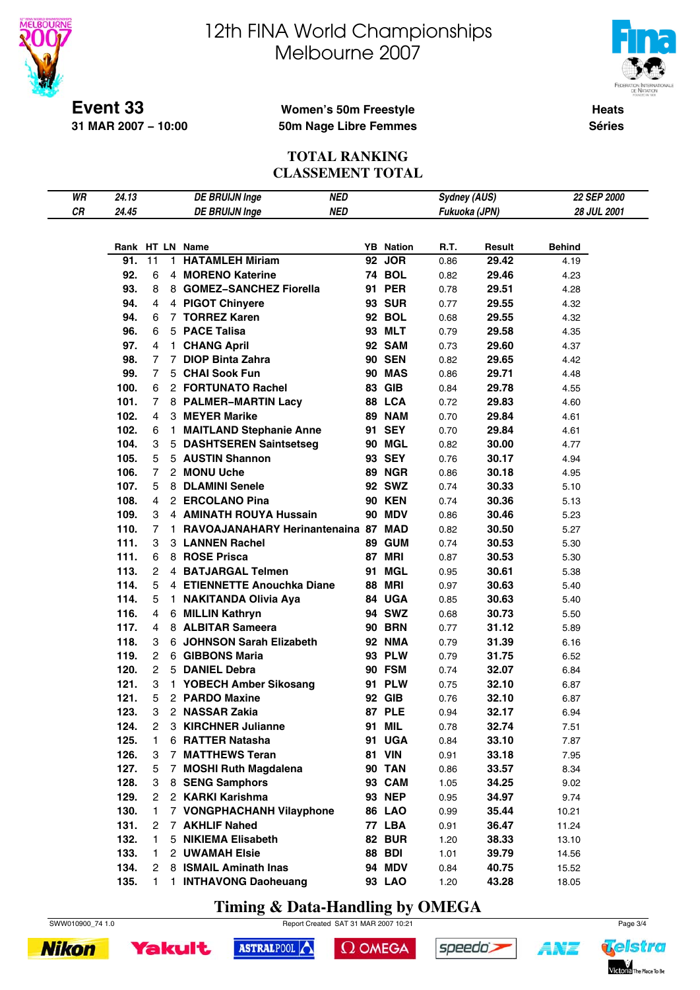



**Event 33 31 MAR 2007 − 10:00**

### **Women's 50m Freestyle 50m Nage Libre Femmes**

**Heats Séries**

### **TOTAL RANKING CLASSEMENT TOTAL**

| WR | 24.13 |                |              | <b>DE BRUIJN Inge</b>               | NED        |                  | <b>Sydney (AUS)</b> |        | 22 SEP 2000   |  |
|----|-------|----------------|--------------|-------------------------------------|------------|------------------|---------------------|--------|---------------|--|
| CR | 24.45 |                |              | <b>DE BRUIJN Inge</b>               | <b>NED</b> |                  | Fukuoka (JPN)       |        | 28 JUL 2001   |  |
|    |       |                |              |                                     |            |                  |                     |        |               |  |
|    |       |                |              |                                     |            |                  |                     |        |               |  |
|    |       |                |              | Rank HT LN Name                     |            | <b>YB</b> Nation | R.T.                | Result | <b>Behind</b> |  |
|    | 91.   | 11             | 1.           | <b>HATAMLEH Miriam</b>              |            | 92 JOR           | 0.86                | 29.42  | 4.19          |  |
|    | 92.   | 6              |              | 4 MORENO Katerine                   |            | <b>74 BOL</b>    | 0.82                | 29.46  | 4.23          |  |
|    | 93.   | 8              |              | 8 GOMEZ-SANCHEZ Fiorella            |            | 91 PER           | 0.78                | 29.51  | 4.28          |  |
|    | 94.   | 4              |              | 4 PIGOT Chinyere                    |            | <b>93 SUR</b>    | 0.77                | 29.55  | 4.32          |  |
|    | 94.   | 6              |              | 7 TORREZ Karen                      |            | <b>92 BOL</b>    | 0.68                | 29.55  | 4.32          |  |
|    | 96.   | 6              |              | 5 PACE Talisa                       |            | 93 MLT           | 0.79                | 29.58  | 4.35          |  |
|    | 97.   | 4              | $\mathbf{1}$ | <b>CHANG April</b>                  |            | 92 SAM           | 0.73                | 29.60  | 4.37          |  |
|    | 98.   | 7              |              | 7 DIOP Binta Zahra                  |            | <b>90 SEN</b>    | 0.82                | 29.65  | 4.42          |  |
|    | 99.   | $\overline{7}$ |              | 5 CHAI Sook Fun                     |            | <b>90 MAS</b>    | 0.86                | 29.71  | 4.48          |  |
|    | 100.  | 6              |              | 2 FORTUNATO Rachel                  |            | 83 GIB           | 0.84                | 29.78  | 4.55          |  |
|    | 101.  | 7              |              | 8 PALMER-MARTIN Lacy                |            | 88 LCA           | 0.72                | 29.83  | 4.60          |  |
|    | 102.  | 4              |              | 3 MEYER Marike                      |            | <b>89 NAM</b>    | 0.70                | 29.84  | 4.61          |  |
|    | 102.  | 6              | 1.           | <b>MAITLAND Stephanie Anne</b>      |            | 91 SEY           | 0.70                | 29.84  | 4.61          |  |
|    | 104.  | 3              |              | 5 DASHTSEREN Saintsetseg            |            | 90 MGL           | 0.82                | 30.00  | 4.77          |  |
|    | 105.  | 5              |              | 5 AUSTIN Shannon                    |            | 93 SEY           | 0.76                | 30.17  | 4.94          |  |
|    | 106.  | $\overline{7}$ |              | 2 MONU Uche                         |            | 89 NGR           | 0.86                | 30.18  | 4.95          |  |
|    | 107.  | 5              |              | 8 DLAMINI Senele                    |            | 92 SWZ           | 0.74                | 30.33  | 5.10          |  |
|    | 108.  | 4              |              | 2 ERCOLANO Pina                     |            | <b>90 KEN</b>    | 0.74                | 30.36  | 5.13          |  |
|    | 109.  | 3              |              | 4 AMINATH ROUYA Hussain             |            | <b>90 MDV</b>    | 0.86                | 30.46  | 5.23          |  |
|    | 110.  | 7              | 1.           | RAVOAJANAHARY Herinantenaina 87 MAD |            |                  | 0.82                | 30.50  | 5.27          |  |
|    | 111.  | 3              |              | 3 LANNEN Rachel                     |            | 89 GUM           | 0.74                | 30.53  | 5.30          |  |
|    | 111.  | 6              |              | 8 ROSE Prisca                       |            | <b>87 MRI</b>    | 0.87                | 30.53  | 5.30          |  |
|    | 113.  | 2              |              | 4 BATJARGAL Telmen                  | 91         | <b>MGL</b>       | 0.95                | 30.61  | 5.38          |  |
|    | 114.  | 5              |              | 4 ETIENNETTE Anouchka Diane         | 88         | MRI              | 0.97                | 30.63  | 5.40          |  |
|    | 114.  | 5              |              | 1 NAKITANDA Olivia Aya              |            | 84 UGA           | 0.85                | 30.63  | 5.40          |  |
|    | 116.  | 4              |              | 6 MILLIN Kathryn                    |            | 94 SWZ           | 0.68                | 30.73  | 5.50          |  |
|    | 117.  | 4              |              | 8 ALBITAR Sameera                   |            | <b>90 BRN</b>    | 0.77                | 31.12  | 5.89          |  |
|    | 118.  | 3              |              | 6 JOHNSON Sarah Elizabeth           |            | <b>92 NMA</b>    | 0.79                | 31.39  | 6.16          |  |
|    | 119.  | $\overline{c}$ |              | 6 GIBBONS Maria                     |            | 93 PLW           | 0.79                | 31.75  | 6.52          |  |
|    | 120.  | 2              |              | 5 DANIEL Debra                      |            | 90 FSM           | 0.74                | 32.07  | 6.84          |  |
|    | 121.  | 3              |              | 1 YOBECH Amber Sikosang             |            | 91 PLW           |                     | 32.10  |               |  |
|    | 121.  | 5              |              | 2 PARDO Maxine                      |            | 92 GIB           | 0.75                | 32.10  | 6.87          |  |
|    |       |                |              |                                     |            | 87 PLE           | 0.76                |        | 6.87          |  |
|    | 123.  | 3              |              | 2 NASSAR Zakia                      |            |                  | 0.94                | 32.17  | 6.94          |  |
|    | 124.  | 2              |              | 3 KIRCHNER Julianne                 |            | 91 MIL           | 0.78                | 32.74  | 7.51          |  |
|    | 125.  | 1              |              | 6 RATTER Natasha                    |            | 91 UGA           | 0.84                | 33.10  | 7.87          |  |
|    | 126.  | 3              |              | 7 MATTHEWS Teran                    |            | <b>81 VIN</b>    | 0.91                | 33.18  | 7.95          |  |
|    | 127.  | 5              |              | 7 MOSHI Ruth Magdalena              |            | <b>90 TAN</b>    | 0.86                | 33.57  | 8.34          |  |
|    | 128.  | 3              |              | 8 SENG Samphors                     |            | 93 CAM           | 1.05                | 34.25  | 9.02          |  |
|    | 129.  | 2              |              | 2 KARKI Karishma                    |            | <b>93 NEP</b>    | 0.95                | 34.97  | 9.74          |  |
|    | 130.  | 1              |              | 7 VONGPHACHANH Vilayphone           |            | <b>86 LAO</b>    | 0.99                | 35.44  | 10.21         |  |
|    | 131.  | 2              |              | 7 AKHLIF Nahed                      |            | 77 LBA           | 0.91                | 36.47  | 11.24         |  |
|    | 132.  | 1              |              | 5 NIKIEMA Elisabeth                 |            | <b>82 BUR</b>    | 1.20                | 38.33  | 13.10         |  |
|    | 133.  | 1.             |              | 2 UWAMAH Elsie                      |            | <b>88 BDI</b>    | 1.01                | 39.79  | 14.56         |  |
|    | 134.  | 2              |              | 8 ISMAIL Aminath Inas               |            | <b>94 MDV</b>    | 0.84                | 40.75  | 15.52         |  |
|    | 135.  | 1.             | 1.           | <b>INTHAVONG Daoheuang</b>          |            | 93 LAO           | 1.20                | 43.28  | 18.05         |  |

**Timing & Data-Handling by OMEGA**

SWW010900\_74 1.0 Report Created SAT 31 MAR 2007 10:21 Page 3/4





```
\Omega OMEGA
```




1 N'E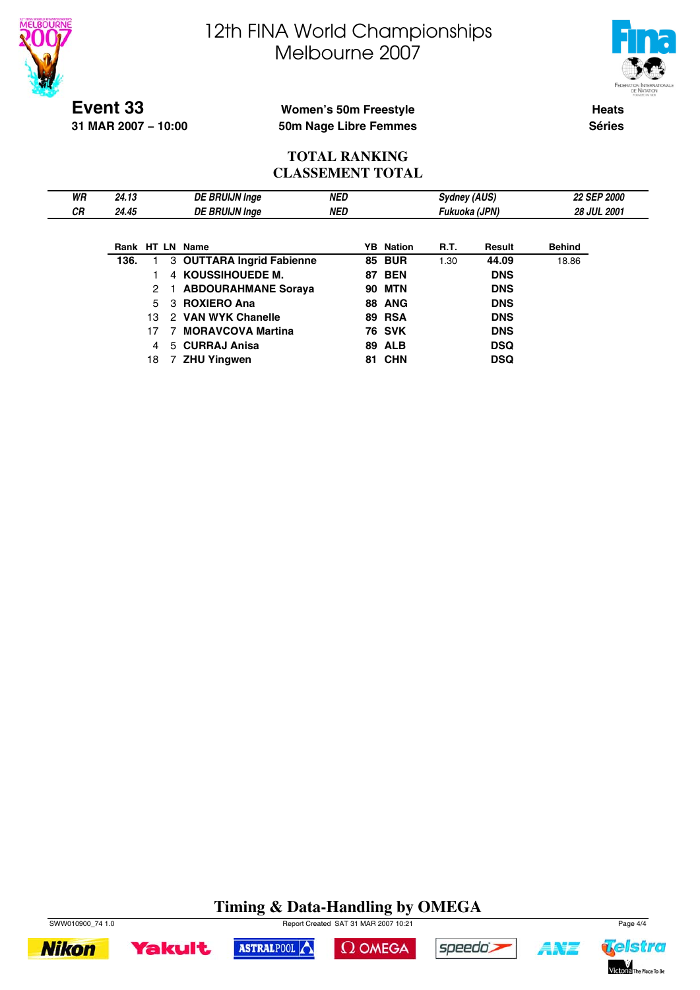



**Event 33 31 MAR 2007 − 10:00**

### **Women's 50m Freestyle 50m Nage Libre Femmes**

**Heats Séries**

### **TOTAL RANKING CLASSEMENT TOTAL**

| WR | 24.13 |     | <b>DE BRUIJN Inge</b>     | <b>NED</b> |    |                  | Sydney (AUS)  |               |               | 22 SEP 2000        |
|----|-------|-----|---------------------------|------------|----|------------------|---------------|---------------|---------------|--------------------|
| СR | 24.45 |     | <b>DE BRUIJN Inge</b>     | NED        |    |                  | Fukuoka (JPN) |               |               | <b>28 JUL 2001</b> |
|    |       |     |                           |            |    |                  |               |               |               |                    |
|    |       |     | Rank HT LN Name           |            |    | <b>YB</b> Nation | <b>R.T.</b>   | <b>Result</b> | <b>Behind</b> |                    |
|    | 136.  |     | 3 OUTTARA Ingrid Fabienne |            |    | <b>85 BUR</b>    | 1.30          | 44.09         | 18.86         |                    |
|    |       |     | 4 KOUSSIHOUEDE M.         |            |    | <b>87 BEN</b>    |               | <b>DNS</b>    |               |                    |
|    |       | 2   | 1 ABDOURAHMANE Soraya     |            | 90 | MTN              |               | <b>DNS</b>    |               |                    |
|    |       | 5   | 3 ROXIERO Ana             |            |    | <b>88 ANG</b>    |               | <b>DNS</b>    |               |                    |
|    |       | 13. | 2 VAN WYK Chanelle        |            |    | <b>89 RSA</b>    |               | <b>DNS</b>    |               |                    |
|    |       | 17  | <b>MORAVCOVA Martina</b>  |            |    | <b>76 SVK</b>    |               | <b>DNS</b>    |               |                    |
|    |       | 4   | 5 CURRAJ Anisa            |            |    | <b>89 ALB</b>    |               | <b>DSQ</b>    |               |                    |
|    |       | 18  | <b>ZHU Yingwen</b>        |            |    | <b>81 CHN</b>    |               | <b>DSQ</b>    |               |                    |

#### **Timing & Data-Handling by OMEGA** SWW010900\_74 1.0 Report Created SAT 31 MAR 2007 10:21 Page 4/4

 $\Omega$  OMEGA

speedo's

ASTRALPOOL



**Yakult** 

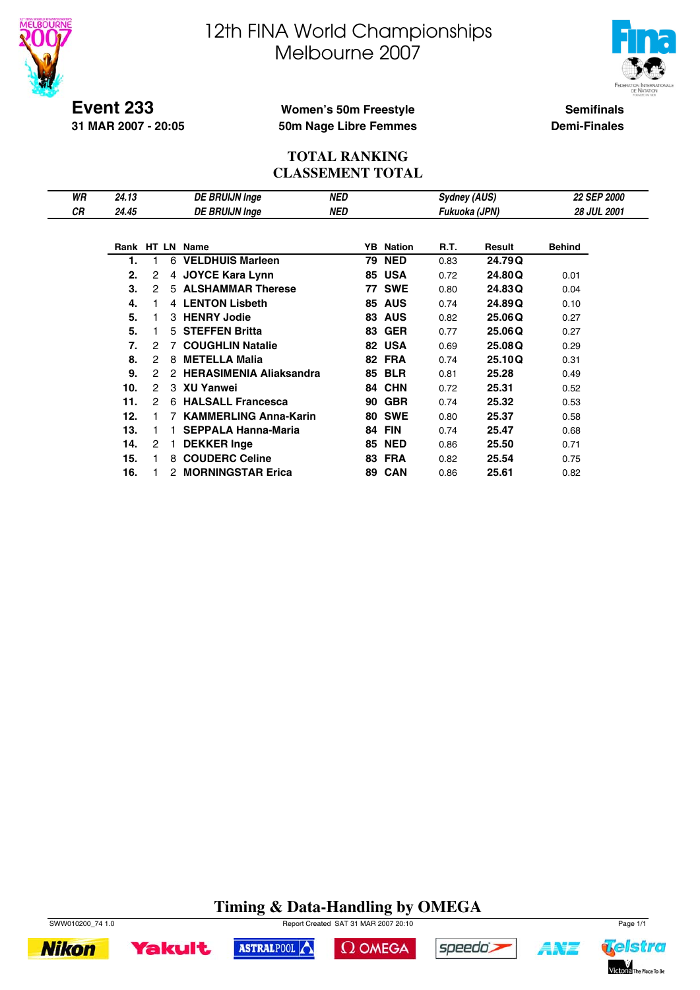



**Event 233 31 MAR 2007 - 20:05**

### **Women's 50m Freestyle 50m Nage Libre Femmes**

**Semifinals Demi-Finales**

### **TOTAL RANKING CLASSEMENT TOTAL**

| WR | 24.13 |                |    | DE BRUIJN Inge                 | <b>NED</b> |    |            | Sydney (AUS)  |        | 22 SEP 2000        |  |
|----|-------|----------------|----|--------------------------------|------------|----|------------|---------------|--------|--------------------|--|
| СR | 24.45 |                |    | <b>DE BRUIJN Inge</b>          | NED        |    |            | Fukuoka (JPN) |        | <b>28 JUL 2001</b> |  |
|    |       |                |    |                                |            |    |            |               |        |                    |  |
|    |       |                |    | Rank HT LN Name                |            | YB | Nation     | R.T.          | Result | <b>Behind</b>      |  |
|    | 1.    |                | 6  | <b>VELDHUIS Marleen</b>        |            | 79 | <b>NED</b> | 0.83          | 24.79Q |                    |  |
|    | 2.    | 2              | 4  | <b>JOYCE Kara Lynn</b>         |            | 85 | <b>USA</b> | 0.72          | 24.80Q | 0.01               |  |
|    | 3.    | 2              | 5  | <b>ALSHAMMAR Therese</b>       |            | 77 | <b>SWE</b> | 0.80          | 24.83Q | 0.04               |  |
|    | 4.    |                |    | 4 LENTON Lisbeth               |            | 85 | <b>AUS</b> | 0.74          | 24.89Q | 0.10               |  |
|    | 5.    |                |    | 3 HENRY Jodie                  |            | 83 | <b>AUS</b> | 0.82          | 25.06Q | 0.27               |  |
|    | 5.    |                | 5. | <b>STEFFEN Britta</b>          |            | 83 | <b>GER</b> | 0.77          | 25.06Q | 0.27               |  |
|    | 7.    | 2              |    | <b>COUGHLIN Natalie</b>        |            | 82 | <b>USA</b> | 0.69          | 25.08Q | 0.29               |  |
|    | 8.    | $\overline{c}$ | 8  | <b>METELLA Malia</b>           |            | 82 | <b>FRA</b> | 0.74          | 25.10Q | 0.31               |  |
|    | 9.    | 2              | 2  | <b>HERASIMENIA Aliaksandra</b> |            | 85 | <b>BLR</b> | 0.81          | 25.28  | 0.49               |  |
|    | 10.   | 2              |    | 3 XU Yanwei                    |            | 84 | <b>CHN</b> | 0.72          | 25.31  | 0.52               |  |
|    | 11.   | 2              | 6. | <b>HALSALL Francesca</b>       |            | 90 | <b>GBR</b> | 0.74          | 25.32  | 0.53               |  |
|    | 12.   |                |    | <b>KAMMERLING Anna-Karin</b>   |            | 80 | <b>SWE</b> | 0.80          | 25.37  | 0.58               |  |
|    | 13.   | 1              |    | <b>SEPPALA Hanna-Maria</b>     |            | 84 | <b>FIN</b> | 0.74          | 25.47  | 0.68               |  |
|    | 14.   | 2              |    | <b>DEKKER Inge</b>             |            | 85 | <b>NED</b> | 0.86          | 25.50  | 0.71               |  |
|    | 15.   |                | 8  | <b>COUDERC Celine</b>          |            | 83 | <b>FRA</b> | 0.82          | 25.54  | 0.75               |  |
|    | 16.   |                | 2  | <b>MORNINGSTAR Erica</b>       |            | 89 | <b>CAN</b> | 0.86          | 25.61  | 0.82               |  |

# **Timing & Data-Handling by OMEGA**

 $\Omega$  OMEGA

ASTRALPOOL



**Yakult** 

**Nikon** 



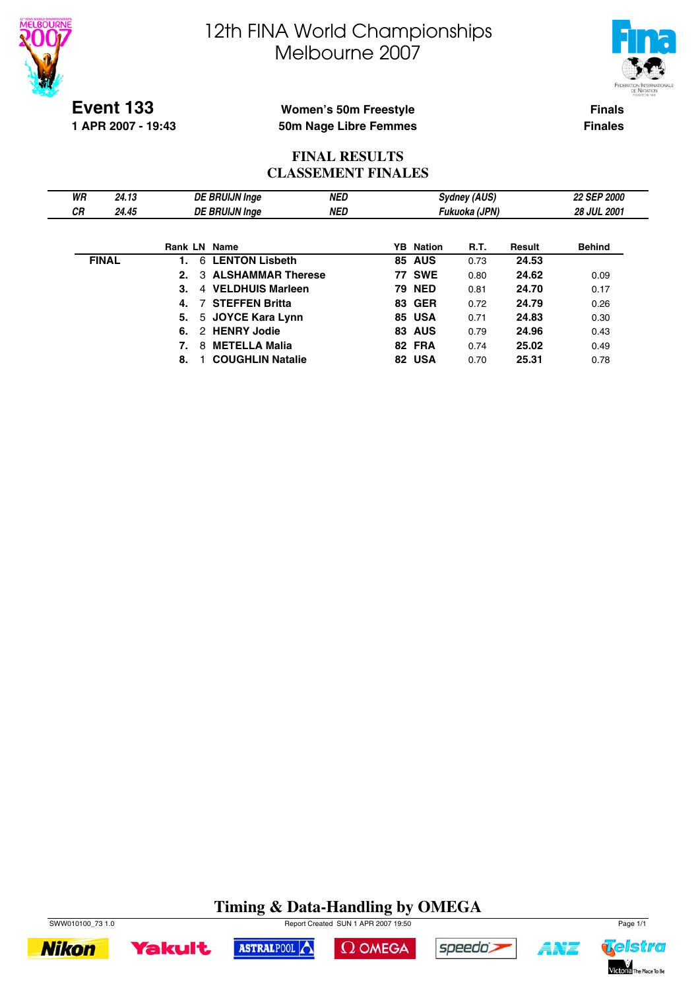



**Event 133**

**1 APR 2007 - 19:43**

### **Women's 50m Freestyle 50m Nage Libre Femmes**

**Finals Finales**

### **FINAL RESULTS CLASSEMENT FINALES**

| WR        | 24.13        |         | <b>DE BRUIJN Inge</b>          | <b>NED</b> |                  | <b>Sydney (AUS)</b> |        | <b>22 SEP 2000</b> |
|-----------|--------------|---------|--------------------------------|------------|------------------|---------------------|--------|--------------------|
| <b>CR</b> | 24.45        |         | <b>DE BRUIJN Inge</b>          | <b>NED</b> |                  | Fukuoka (JPN)       |        | 28 JUL 2001        |
|           |              |         |                                |            |                  |                     |        |                    |
|           |              | Rank LN | Name                           |            | <b>YB</b> Nation | R.T.                | Result | <b>Behind</b>      |
|           | <b>FINAL</b> |         | <b>LENTON Lisbeth</b><br>6     |            | <b>85 AUS</b>    | 0.73                | 24.53  |                    |
|           |              | 2.      | <b>ALSHAMMAR Therese</b><br>3. |            | <b>77 SWE</b>    | 0.80                | 24.62  | 0.09               |
|           |              | 3.      | 4 VELDHUIS Marleen             |            | <b>79 NED</b>    | 0.81                | 24.70  | 0.17               |
|           |              | 4.      | <b>7 STEFFEN Britta</b>        |            | <b>83 GER</b>    | 0.72                | 24.79  | 0.26               |
|           |              | 5.      | 5 JOYCE Kara Lynn              |            | 85 USA           | 0.71                | 24.83  | 0.30               |
|           |              | 6.      | 2 HENRY Jodie                  |            | <b>83 AUS</b>    | 0.79                | 24.96  | 0.43               |
|           |              | 7.      | <b>METELLA Malia</b><br>8      |            | 82 FRA           | 0.74                | 25.02  | 0.49               |
|           |              | 8.      | <b>COUGHLIN Natalie</b>        |            | 82 USA           | 0.70                | 25.31  | 0.78               |

# **Timing & Data-Handling by OMEGA**











A¥Z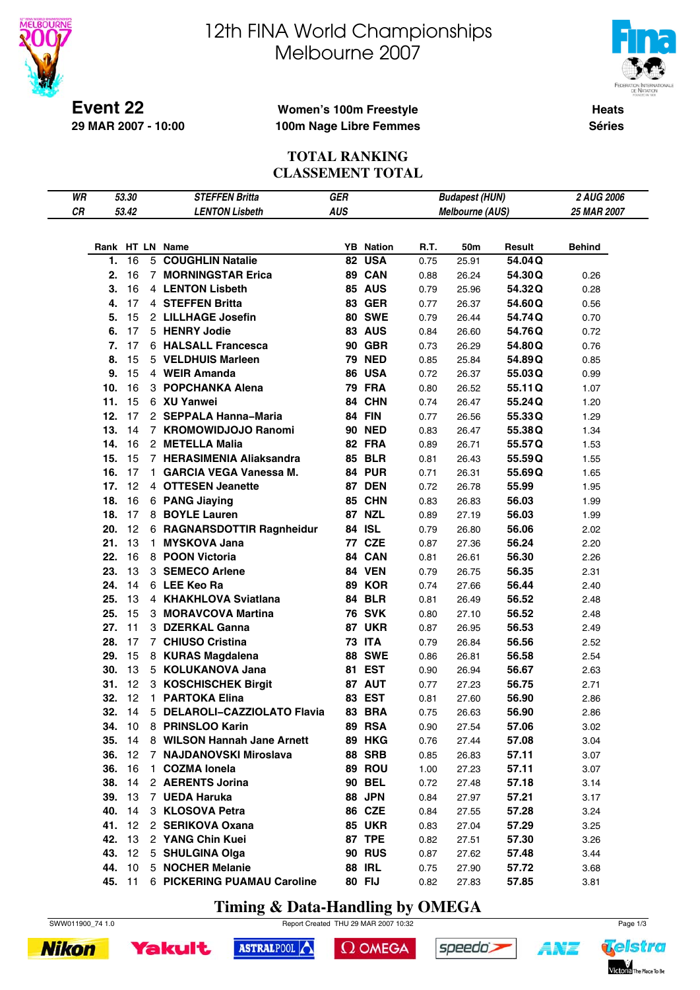

# 12th FINA World Championships Melbourne 2007



**Heats Séries**

### **Women's 100m Freestyle 100m Nage Libre Femmes**

### **TOTAL RANKING CLASSEMENT TOTAL**

| WR |               | 53.30 |    | <b>STEFFEN Britta</b>              | GER        |                  |      | <b>Budapest (HUN)</b>  |        | 2 AUG 2006    |
|----|---------------|-------|----|------------------------------------|------------|------------------|------|------------------------|--------|---------------|
| CR |               | 53.42 |    | <b>LENTON Lisbeth</b>              | <b>AUS</b> |                  |      | <b>Melbourne (AUS)</b> |        | 25 MAR 2007   |
|    |               |       |    |                                    |            |                  |      |                        |        |               |
|    |               |       |    | Rank HT LN Name                    |            | <b>YB</b> Nation | R.T. | 50m                    | Result | <b>Behind</b> |
|    | 1.            | 16    |    | 5 COUGHLIN Natalie                 |            | 82 USA           | 0.75 | 25.91                  | 54.04Q |               |
|    | 2.            | 16    |    | 7 MORNINGSTAR Erica                |            | 89 CAN           | 0.88 | 26.24                  | 54.30Q | 0.26          |
|    | 3.            | 16    |    | 4 LENTON Lisbeth                   |            | <b>85 AUS</b>    | 0.79 | 25.96                  | 54.32Q | 0.28          |
|    | 4.            | 17    |    | 4 STEFFEN Britta                   |            | <b>83 GER</b>    | 0.77 | 26.37                  | 54.60Q | 0.56          |
|    | 5.            | 15    |    | 2 LILLHAGE Josefin                 |            | <b>80 SWE</b>    | 0.79 | 26.44                  | 54.74Q | 0.70          |
|    | 6.            | 17    |    | 5 HENRY Jodie                      |            | <b>83 AUS</b>    | 0.84 | 26.60                  | 54.76Q | 0.72          |
|    | 7.            | 17    |    | 6 HALSALL Francesca                |            | <b>90 GBR</b>    | 0.73 | 26.29                  | 54.80Q | 0.76          |
|    | 8.            | 15    |    | 5 VELDHUIS Marleen                 |            | <b>79 NED</b>    | 0.85 | 25.84                  | 54.89Q | 0.85          |
|    | 9.            | 15    |    | 4 WEIR Amanda                      |            | 86 USA           | 0.72 | 26.37                  | 55.03Q | 0.99          |
|    | 10.           | 16    |    | 3 POPCHANKA Alena                  |            | <b>79 FRA</b>    | 0.80 | 26.52                  | 55.11Q | 1.07          |
|    | 11.           | 15    |    | 6 XU Yanwei                        |            | 84 CHN           |      |                        |        |               |
|    | 12.           | 17    |    | 2 SEPPALA Hanna-Maria              |            | <b>84 FIN</b>    | 0.74 | 26.47                  | 55.24Q | 1.20          |
|    | 13.           | 14    |    | 7 KROMOWIDJOJO Ranomi              |            | <b>90 NED</b>    | 0.77 | 26.56                  | 55.33Q | 1.29          |
|    |               |       |    | 2 METELLA Malia                    |            |                  | 0.83 | 26.47                  | 55.38Q | 1.34          |
|    | 14.           | 16    |    |                                    |            | 82 FRA           | 0.89 | 26.71                  | 55.57Q | 1.53          |
|    | 15.           | 15    |    | 7 HERASIMENIA Aliaksandra          |            | <b>85 BLR</b>    | 0.81 | 26.43                  | 55.59Q | 1.55          |
|    | 16.           | 17    |    | 1 GARCIA VEGA Vanessa M.           |            | <b>84 PUR</b>    | 0.71 | 26.31                  | 55.69Q | 1.65          |
|    | 17.           | 12    |    | 4 OTTESEN Jeanette                 |            | <b>87 DEN</b>    | 0.72 | 26.78                  | 55.99  | 1.95          |
|    | 18.           | 16    |    | 6 PANG Jiaying                     |            | <b>85 CHN</b>    | 0.83 | 26.83                  | 56.03  | 1.99          |
|    | 18.           | 17    |    | 8 BOYLE Lauren                     |            | <b>87 NZL</b>    | 0.89 | 27.19                  | 56.03  | 1.99          |
|    | 20.           | 12    |    | 6 RAGNARSDOTTIR Ragnheidur         |            | 84 ISL           | 0.79 | 26.80                  | 56.06  | 2.02          |
|    | 21.           | 13    | 1. | <b>MYSKOVA Jana</b>                |            | 77 CZE           | 0.87 | 27.36                  | 56.24  | 2.20          |
|    | 22.           | 16    |    | 8 POON Victoria                    |            | 84 CAN           | 0.81 | 26.61                  | 56.30  | 2.26          |
|    | 23.           | 13    |    | 3 SEMECO Arlene                    |            | <b>84 VEN</b>    | 0.79 | 26.75                  | 56.35  | 2.31          |
|    | 24.           | 14    |    | 6 LEE Keo Ra                       |            | 89 KOR           | 0.74 | 27.66                  | 56.44  | 2.40          |
|    | 25.           | 13    |    | 4 KHAKHLOVA Sviatlana              |            | <b>84 BLR</b>    | 0.81 | 26.49                  | 56.52  | 2.48          |
|    | 25.           | 15    |    | 3 MORAVCOVA Martina                |            | <b>76 SVK</b>    | 0.80 | 27.10                  | 56.52  | 2.48          |
|    | 27.           | 11    |    | 3 DZERKAL Ganna                    |            | <b>87 UKR</b>    | 0.87 | 26.95                  | 56.53  | 2.49          |
|    | 28.           | 17    |    | 7 CHIUSO Cristina                  |            | <b>73 ITA</b>    | 0.79 | 26.84                  | 56.56  | 2.52          |
|    | 29.           | 15    |    | 8 KURAS Magdalena                  |            | <b>88 SWE</b>    | 0.86 | 26.81                  | 56.58  | 2.54          |
|    | 30.           | 13    |    | 5 KOLUKANOVA Jana                  |            | 81 EST           | 0.90 | 26.94                  | 56.67  | 2.63          |
|    | 31.           | 12    |    | 3 KOSCHISCHEK Birgit               |            | 87 AUT           | 0.77 | 27.23                  | 56.75  | 2.71          |
|    | 32.           | 12    |    | 1 PARTOKA Elina                    |            | 83 EST           | 0.81 | 27.60                  | 56.90  | 2.86          |
|    | <b>32.</b> 14 |       |    | 5 DELAROLI-CAZZIOLATO Flavia       |            | 83 BRA           | 0.75 | 26.63                  | 56.90  | 2.86          |
|    |               |       |    | 34. 10 8 PRINSLOO Karin            |            | <b>89 RSA</b>    | 0.90 | 27.54                  | 57.06  | 3.02          |
|    |               |       |    | 35. 14 8 WILSON Hannah Jane Arnett |            | <b>89 HKG</b>    | 0.76 | 27.44                  | 57.08  | 3.04          |
|    |               |       |    | 36. 12 7 NAJDANOVSKI Miroslava     |            | <b>88 SRB</b>    | 0.85 | 26.83                  | 57.11  | 3.07          |
|    | <b>36.</b> 16 |       |    | 1 COZMA lonela                     |            | 89 ROU           | 1.00 | 27.23                  | 57.11  | 3.07          |
|    | 38.           | 14    |    | 2 AERENTS Jorina                   |            | <b>90 BEL</b>    | 0.72 | 27.48                  | 57.18  | 3.14          |
|    | <b>39.</b> 13 |       |    | 7 UEDA Haruka                      |            | <b>88 JPN</b>    | 0.84 | 27.97                  | 57.21  | 3.17          |
|    | 40.           | 14    |    | 3 KLOSOVA Petra                    |            | <b>86 CZE</b>    | 0.84 | 27.55                  | 57.28  | 3.24          |
|    | 41. 12        |       |    | 2 SERIKOVA Oxana                   |            | <b>85 UKR</b>    | 0.83 | 27.04                  | 57.29  | 3.25          |
|    | 42.           | 13    |    | 2 YANG Chin Kuei                   |            | <b>87 TPE</b>    | 0.82 | 27.51                  | 57.30  | 3.26          |
|    | 43. 12        |       |    | 5 SHULGINA Olga                    |            | <b>90 RUS</b>    | 0.87 | 27.62                  | 57.48  | 3.44          |
|    |               |       |    | 44. 10 5 NOCHER Melanie            |            | <b>88 IRL</b>    | 0.75 | 27.90                  | 57.72  | 3.68          |
|    |               |       |    | 45. 11 6 PICKERING PUAMAU Caroline |            | 80 FIJ           | 0.82 | 27.83                  | 57.85  | 3.81          |

**Timing & Data-Handling by OMEGA**







 $\Omega$  OMEGA





4¥7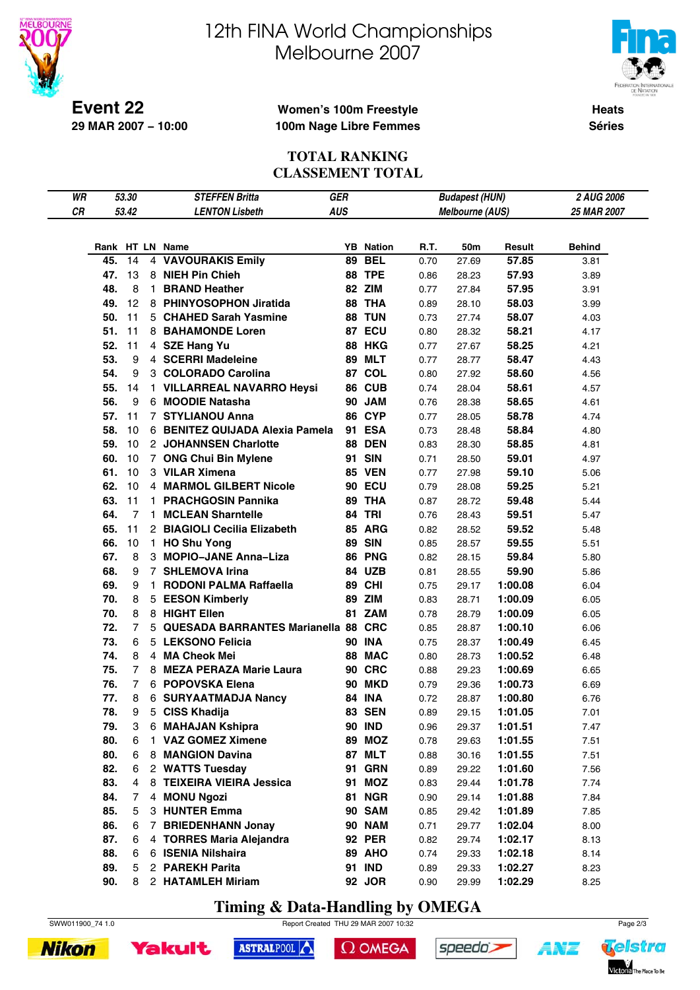

# 12th FINA World Championships Melbourne 2007



**Heats Séries**

### **Women's 100m Freestyle 100m Nage Libre Femmes**

#### **TOTAL RANKING CLASSEMENT TOTAL**

| WR |     | 53.30          |    | <b>STEFFEN Britta</b>                 | <b>GER</b> |                  |      | <b>Budapest (HUN)</b> |                    | 2 AUG 2006    |
|----|-----|----------------|----|---------------------------------------|------------|------------------|------|-----------------------|--------------------|---------------|
| CR |     | 53.42          |    | <b>LENTON Lisbeth</b>                 | <b>AUS</b> |                  |      | Melbourne (AUS)       |                    | 25 MAR 2007   |
|    |     |                |    |                                       |            |                  |      |                       |                    |               |
|    |     |                |    |                                       |            |                  |      |                       |                    |               |
|    |     |                |    | Rank HT LN Name                       |            | <b>YB</b> Nation | R.T. | 50m                   | Result             | <b>Behind</b> |
|    | 45. | 14             |    | 4 VAVOURAKIS Emily                    |            | <b>89 BEL</b>    | 0.70 | 27.69                 | 57.85              | 3.81          |
|    | 47. | 13             |    | 8 NIEH Pin Chieh                      |            | <b>88 TPE</b>    | 0.86 | 28.23                 | 57.93              | 3.89          |
|    | 48. | 8              |    | 1 BRAND Heather                       |            | 82 ZIM           | 0.77 | 27.84                 | 57.95              | 3.91          |
|    | 49. | 12             |    | 8 PHINYOSOPHON Jiratida               |            | 88 THA           | 0.89 | 28.10                 | 58.03              | 3.99          |
|    | 50. | 11             |    | 5 CHAHED Sarah Yasmine                |            | <b>88 TUN</b>    | 0.73 | 27.74                 | 58.07              | 4.03          |
|    | 51. | 11             |    | 8 BAHAMONDE Loren                     |            | 87 ECU           | 0.80 | 28.32                 | 58.21              | 4.17          |
|    | 52. | 11             |    | 4 SZE Hang Yu                         |            | <b>88 HKG</b>    | 0.77 | 27.67                 | 58.25              | 4.21          |
|    | 53. | 9              |    | 4 SCERRI Madeleine                    |            | <b>89 MLT</b>    | 0.77 | 28.77                 | 58.47              | 4.43          |
|    | 54. | 9              |    | 3 COLORADO Carolina                   |            | 87 COL           | 0.80 | 27.92                 | 58.60              | 4.56          |
|    | 55. | 14             |    | 1 VILLARREAL NAVARRO Heysi            |            | 86 CUB           | 0.74 | 28.04                 | 58.61              | 4.57          |
|    | 56. | 9              |    | 6 MOODIE Natasha                      |            | 90 JAM           | 0.76 | 28.38                 | 58.65              | 4.61          |
|    | 57. | 11             |    | 7 STYLIANOU Anna                      |            | <b>86 CYP</b>    | 0.77 | 28.05                 | 58.78              | 4.74          |
|    | 58. | 10             |    | 6 BENITEZ QUIJADA Alexia Pamela       |            | 91 ESA           | 0.73 | 28.48                 | 58.84              | 4.80          |
|    | 59. | 10             |    | 2 JOHANNSEN Charlotte                 |            | <b>88 DEN</b>    | 0.83 | 28.30                 | 58.85              | 4.81          |
|    | 60. | 10             |    | 7 ONG Chui Bin Mylene                 |            | 91 SIN           | 0.71 | 28.50                 | 59.01              | 4.97          |
|    | 61. | 10             |    | 3 VILAR Ximena                        |            | <b>85 VEN</b>    | 0.77 | 27.98                 | 59.10              | 5.06          |
|    | 62. | 10             |    | 4 MARMOL GILBERT Nicole               |            | <b>90 ECU</b>    | 0.79 | 28.08                 | 59.25              | 5.21          |
|    | 63. | 11             |    | 1 PRACHGOSIN Pannika                  |            | 89 THA           | 0.87 | 28.72                 | 59.48              | 5.44          |
|    | 64. | 7              |    | 1 MCLEAN Sharntelle                   |            | <b>84 TRI</b>    | 0.76 | 28.43                 | 59.51              | 5.47          |
|    | 65. | 11             |    | 2 BIAGIOLI Cecilia Elizabeth          |            | <b>85 ARG</b>    | 0.82 | 28.52                 | 59.52              | 5.48          |
|    | 66. | 10             |    | 1 HO Shu Yong                         |            | <b>89 SIN</b>    | 0.85 | 28.57                 | 59.55              | 5.51          |
|    | 67. | 8              |    | 3 MOPIO-JANE Anna-Liza                |            | 86 PNG           | 0.82 | 28.15                 | 59.84              | 5.80          |
|    | 68. | 9              |    | 7 SHLEMOVA Irina                      |            | 84 UZB           | 0.81 | 28.55                 | 59.90              | 5.86          |
|    | 69. | 9              | 1. | RODONI PALMA Raffaella                |            | 89 CHI           | 0.75 | 29.17                 | 1:00.08            | 6.04          |
|    | 70. | 8              |    | 5 EESON Kimberly                      |            | 89 ZIM           | 0.83 | 28.71                 | 1:00.09            | 6.05          |
|    | 70. | 8              |    | 8 HIGHT Ellen                         |            | 81 ZAM           | 0.78 | 28.79                 | 1:00.09            | 6.05          |
|    | 72. | $\overline{7}$ |    | 5 QUESADA BARRANTES Marianella 88 CRC |            |                  | 0.85 | 28.87                 | 1:00.10            | 6.06          |
|    | 73. | 6              |    | 5 LEKSONO Felicia                     |            | <b>90 INA</b>    | 0.75 | 28.37                 | 1:00.49            | 6.45          |
|    | 74. | 8              |    | 4 MA Cheok Mei                        |            | 88 MAC           | 0.80 | 28.73                 | 1:00.52            | 6.48          |
|    | 75. | $\overline{7}$ |    | 8 MEZA PERAZA Marie Laura             |            | <b>90 CRC</b>    |      |                       |                    |               |
|    | 76. | 7              |    | 6 POPOVSKA Elena                      |            | <b>90 MKD</b>    | 0.88 | 29.23                 | 1:00.69<br>1:00.73 | 6.65          |
|    |     | 8              |    |                                       |            |                  | 0.79 | 29.36                 |                    | 6.69          |
|    | 77. | 9              | 5  | 6 SURYAATMADJA Nancy                  |            | <b>84 INA</b>    | 0.72 | 28.87                 | 1:00.80            | 6.76          |
|    | 78. |                |    | <b>CISS Khadija</b>                   |            | <b>83 SEN</b>    | 0.89 | 29.15                 | 1:01.05            | 7.01          |
|    | 79. | 3              |    | 6 MAHAJAN Kshipra                     |            | <b>90 IND</b>    | 0.96 | 29.37                 | 1:01.51            | 7.47          |
|    | 80. | 6              |    | 1 VAZ GOMEZ Ximene                    |            | 89 MOZ           | 0.78 | 29.63                 | 1:01.55            | 7.51          |
|    | 80. | 6              |    | 8 MANGION Davina                      |            | 87 MLT           | 0.88 | 30.16                 | 1:01.55            | 7.51          |
|    | 82. | 6              |    | 2 WATTS Tuesday                       |            | <b>91 GRN</b>    | 0.89 | 29.22                 | 1:01.60            | 7.56          |
|    | 83. | 4              |    | 8 TEIXEIRA VIEIRA Jessica             |            | 91 MOZ           | 0.83 | 29.44                 | 1:01.78            | 7.74          |
|    | 84. | 7              |    | 4 MONU Ngozi                          |            | <b>81 NGR</b>    | 0.90 | 29.14                 | 1:01.88            | 7.84          |
|    | 85. | 5              |    | 3 HUNTER Emma                         |            | 90 SAM           | 0.85 | 29.42                 | 1:01.89            | 7.85          |
|    | 86. | 6              |    | 7 BRIEDENHANN Jonay                   |            | <b>90 NAM</b>    | 0.71 | 29.77                 | 1:02.04            | 8.00          |
|    | 87. | 6              |    | 4 TORRES Maria Alejandra              |            | <b>92 PER</b>    | 0.82 | 29.74                 | 1:02.17            | 8.13          |
|    | 88. | 6              |    | 6 ISENIA Nilshaira                    |            | 89 AHO           | 0.74 | 29.33                 | 1:02.18            | 8.14          |
|    | 89. | 5              |    | 2 PAREKH Parita                       |            | 91 IND           | 0.89 | 29.33                 | 1:02.27            | 8.23          |
|    | 90. | 8              |    | 2 HATAMLEH Miriam                     |            | 92 JOR           | 0.90 | 29.99                 | 1:02.29            | 8.25          |

**Timing & Data-Handling by OMEGA**

ASTRALPOOL

SWW011900\_74 1.0 Report Created THU 29 MAR 2007 10:32 Page 2/3

 $\Omega$  OMEGA

speedo's



**Yakult** 

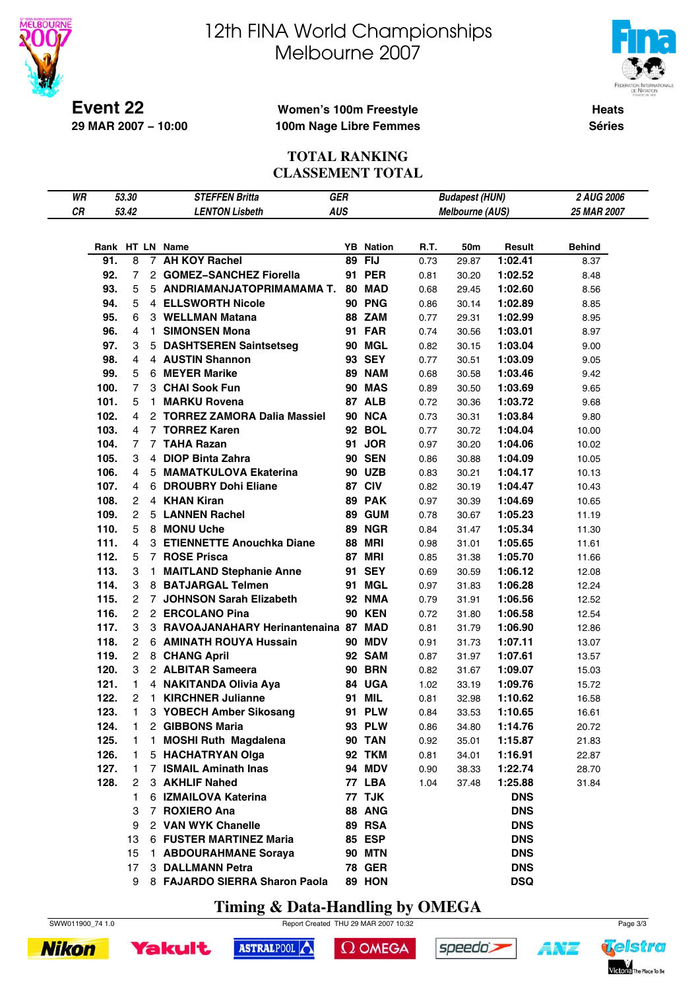

# 12th FINA World Championships Melbourne 2007



**Heats Séries**

### **Women's 100m Freestyle 100m Nage Libre Femmes**

#### **TOTAL RANKING CLASSEMENT TOTAL**

| WR |            | 53.30          |    | <b>STEFFEN Britta</b>                        | GER        |                            |      | <b>Budapest (HUN)</b> |            | 2 AUG 2006    |
|----|------------|----------------|----|----------------------------------------------|------------|----------------------------|------|-----------------------|------------|---------------|
| CR |            | 53.42          |    | <b>LENTON Lisbeth</b>                        | <b>AUS</b> |                            |      | Melbourne (AUS)       |            | 25 MAR 2007   |
|    |            |                |    |                                              |            |                            |      |                       |            |               |
|    |            |                |    |                                              |            |                            |      |                       |            |               |
|    | 91.        | 8              |    | Rank HT LN Name<br>7 AH KOY Rachel           |            | <b>YB</b> Nation<br>89 FIJ | R.T. | 50m                   | Result     | <b>Behind</b> |
|    |            |                |    | 2 GOMEZ-SANCHEZ Fiorella                     |            |                            | 0.73 | 29.87                 | 1:02.41    | 8.37          |
|    | 92.        | 7<br>5         |    |                                              |            | 91 PER                     | 0.81 | 30.20                 | 1:02.52    | 8.48          |
|    | 93.<br>94. |                |    | 5 ANDRIAMANJATOPRIMAMAMA T.                  |            | 80 MAD                     | 0.68 | 29.45                 | 1:02.60    | 8.56          |
|    |            | 5              |    | 4 ELLSWORTH Nicole                           |            | <b>90 PNG</b>              | 0.86 | 30.14                 | 1:02.89    | 8.85          |
|    | 95.        | 6              |    | 3 WELLMAN Matana                             |            | 88 ZAM                     | 0.77 | 29.31                 | 1:02.99    | 8.95          |
|    | 96.        | 4              | 1. | <b>SIMONSEN Mona</b>                         |            | <b>91 FAR</b>              | 0.74 | 30.56                 | 1:03.01    | 8.97          |
|    | 97.        | 3              |    | 5 DASHTSEREN Saintsetseg<br>4 AUSTIN Shannon |            | 90 MGL                     | 0.82 | 30.15                 | 1:03.04    | 9.00          |
|    | 98.        | 4              |    |                                              |            | 93 SEY                     | 0.77 | 30.51                 | 1:03.09    | 9.05          |
|    | 99.        | 5              |    | 6 MEYER Marike                               |            | <b>89 NAM</b>              | 0.68 | 30.58                 | 1:03.46    | 9.42          |
|    | 100.       | $\overline{7}$ |    | 3 CHAI Sook Fun                              |            | <b>90 MAS</b>              | 0.89 | 30.50                 | 1:03.69    | 9.65          |
|    | 101.       | 5              | 1. | <b>MARKU Rovena</b>                          |            | <b>87 ALB</b>              | 0.72 | 30.36                 | 1:03.72    | 9.68          |
|    | 102.       | 4              |    | 2 TORREZ ZAMORA Dalia Massiel                |            | 90 NCA                     | 0.73 | 30.31                 | 1:03.84    | 9.80          |
|    | 103.       | 4              |    | 7 TORREZ Karen                               |            | 92 BOL                     | 0.77 | 30.72                 | 1:04.04    | 10.00         |
|    | 104.       | $\overline{7}$ |    | 7 TAHA Razan                                 |            | 91 JOR                     | 0.97 | 30.20                 | 1:04.06    | 10.02         |
|    | 105.       | 3              |    | 4 DIOP Binta Zahra                           |            | <b>90 SEN</b>              | 0.86 | 30.88                 | 1:04.09    | 10.05         |
|    | 106.       | 4              |    | 5 MAMATKULOVA Ekaterina                      |            | <b>90 UZB</b>              | 0.83 | 30.21                 | 1:04.17    | 10.13         |
|    | 107.       | 4              |    | 6 DROUBRY Dohi Eliane                        |            | 87 CIV                     | 0.82 | 30.19                 | 1:04.47    | 10.43         |
|    | 108.       | 2              |    | 4 KHAN Kiran                                 |            | 89 PAK                     | 0.97 | 30.39                 | 1:04.69    | 10.65         |
|    | 109.       | $\overline{2}$ |    | 5 LANNEN Rachel                              |            | <b>89 GUM</b>              | 0.78 | 30.67                 | 1:05.23    | 11.19         |
|    | 110.       | 5              |    | 8 MONU Uche                                  |            | <b>89 NGR</b>              | 0.84 | 31.47                 | 1:05.34    | 11.30         |
|    | 111.       | $\overline{4}$ |    | 3 ETIENNETTE Anouchka Diane                  |            | <b>88 MRI</b>              | 0.98 | 31.01                 | 1:05.65    | 11.61         |
|    | 112.       | 5              |    | 7 ROSE Prisca                                |            | <b>87 MRI</b>              | 0.85 | 31.38                 | 1:05.70    | 11.66         |
|    | 113.       | 3              | 1. | <b>MAITLAND Stephanie Anne</b>               |            | 91 SEY                     | 0.69 | 30.59                 | 1:06.12    | 12.08         |
|    | 114.       | 3              |    | 8 BATJARGAL Telmen                           |            | 91 MGL                     | 0.97 | 31.83                 | 1:06.28    | 12.24         |
|    | 115.       | 2              |    | 7 JOHNSON Sarah Elizabeth                    |            | <b>92 NMA</b>              | 0.79 | 31.91                 | 1:06.56    | 12.52         |
|    | 116.       | $\overline{2}$ |    | 2 ERCOLANO Pina                              |            | <b>90 KEN</b>              | 0.72 | 31.80                 | 1:06.58    | 12.54         |
|    | 117.       | 3              |    | 3 RAVOAJANAHARY Herinantenaina 87 MAD        |            |                            | 0.81 | 31.79                 | 1:06.90    | 12.86         |
|    | 118.       | 2              |    | 6 AMINATH ROUYA Hussain                      |            | <b>90 MDV</b>              | 0.91 | 31.73                 | 1:07.11    | 13.07         |
|    | 119.       | $\overline{2}$ |    | 8 CHANG April                                |            | 92 SAM                     | 0.87 | 31.97                 | 1:07.61    | 13.57         |
|    | 120.       | 3              |    | 2 ALBITAR Sameera                            |            | <b>90 BRN</b>              | 0.82 | 31.67                 | 1:09.07    | 15.03         |
|    | 121.       | 1.             |    | 4 NAKITANDA Olivia Aya                       |            | 84 UGA                     | 1.02 | 33.19                 | 1:09.76    | 15.72         |
|    | 122.       | $\overline{2}$ |    | 1 KIRCHNER Julianne                          |            | 91 MIL                     | 0.81 | 32.98                 | 1:10.62    | 16.58         |
|    | 123.       | 1              |    | 3 YOBECH Amber Sikosang                      |            | 91 PLW                     | 0.84 | 33.53                 | 1:10.65    | 16.61         |
|    | 124.       | 1              |    | 2 GIBBONS Maria                              |            | 93 PLW                     | 0.86 | 34.80                 | 1:14.76    | 20.72         |
|    | 125.       | 1.             | 1. | <b>MOSHI Ruth Magdalena</b>                  |            | <b>90 TAN</b>              | 0.92 | 35.01                 | 1:15.87    | 21.83         |
|    | 126.       | 1.             |    | 5 HACHATRYAN Olga                            |            | 92 TKM                     | 0.81 | 34.01                 | 1:16.91    | 22.87         |
|    | 127.       | 1.             |    | 7 ISMAIL Aminath Inas                        |            | 94 MDV                     | 0.90 | 38.33                 | 1:22.74    | 28.70         |
|    | 128.       | 2              |    | 3 AKHLIF Nahed                               |            | 77 LBA                     | 1.04 | 37.48                 | 1:25.88    | 31.84         |
|    |            | 1.             |    | 6 IZMAILOVA Katerina                         |            | 77 TJK                     |      |                       | <b>DNS</b> |               |
|    |            | 3              |    | 7 ROXIERO Ana                                |            | 88 ANG                     |      |                       | <b>DNS</b> |               |
|    |            | 9              |    | 2 VAN WYK Chanelle                           |            | <b>89 RSA</b>              |      |                       | <b>DNS</b> |               |
|    |            | 13             |    | 6 FUSTER MARTINEZ Maria                      |            | 85 ESP                     |      |                       | <b>DNS</b> |               |
|    |            | 15             |    | 1 ABDOURAHMANE Soraya                        |            | <b>90 MTN</b>              |      |                       | <b>DNS</b> |               |
|    |            | 17             |    | 3 DALLMANN Petra                             |            | <b>78 GER</b>              |      |                       | <b>DNS</b> |               |
|    |            | 9              |    | 8 FAJARDO SIERRA Sharon Paola                |            | 89 HON                     |      |                       | <b>DSQ</b> |               |

**Timing & Data-Handling by OMEGA**







 $\Omega$  OMEGA





A¥Z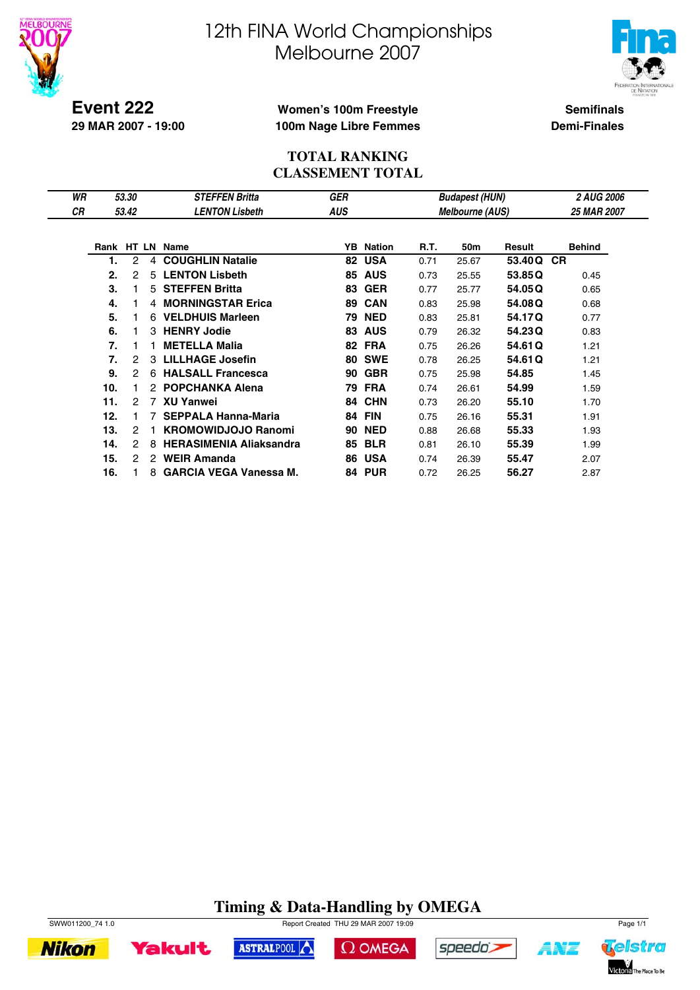



Telstra

Victoria The Place To Be

A¥Z

**Event 222 29 MAR 2007 - 19:00**

### **Women's 100m Freestyle 100m Nage Libre Femmes**

**Semifinals Demi-Finales**

### **TOTAL RANKING CLASSEMENT TOTAL**

| WR |                  | 53.30 |   | <b>STEFFEN Britta</b>          | GER |               |      | <b>Budapest (HUN)</b>  |        | <b>2 AUG 2006</b> |
|----|------------------|-------|---|--------------------------------|-----|---------------|------|------------------------|--------|-------------------|
| СR |                  | 53.42 |   | <b>LENTON Lisbeth</b>          | AUS |               |      | <b>Melbourne (AUS)</b> |        | 25 MAR 2007       |
|    |                  |       |   |                                |     |               |      |                        |        |                   |
|    |                  |       |   | Rank HT LN Name                | YB  | <b>Nation</b> | R.T. | 50m                    | Result | <b>Behind</b>     |
|    | 1.               | 2     | 4 | <b>COUGHLIN Natalie</b>        | 82  | <b>USA</b>    | 0.71 | 25.67                  | 53.40Q | <b>CR</b>         |
|    | 2.               | 2     | 5 | <b>LENTON Lisbeth</b>          | 85  | <b>AUS</b>    | 0.73 | 25.55                  | 53.85Q | 0.45              |
|    | 3.               |       | 5 | <b>STEFFEN Britta</b>          | 83  | <b>GER</b>    | 0.77 | 25.77                  | 54.05Q | 0.65              |
|    | 4.               |       |   | 4 MORNINGSTAR Erica            | 89  | <b>CAN</b>    | 0.83 | 25.98                  | 54.08Q | 0.68              |
|    | 5.               |       |   | 6 VELDHUIS Marleen             | 79  | <b>NED</b>    | 0.83 | 25.81                  | 54.17Q | 0.77              |
|    | 6.               |       | 3 | <b>HENRY Jodie</b>             | 83  | <b>AUS</b>    | 0.79 | 26.32                  | 54.23Q | 0.83              |
|    | $\overline{7}$ . |       |   | <b>METELLA Malia</b>           | 82  | <b>FRA</b>    | 0.75 | 26.26                  | 54.61Q | 1.21              |
|    | 7.               | 2     | 3 | <b>LILLHAGE Josefin</b>        | 80  | <b>SWE</b>    | 0.78 | 26.25                  | 54.61Q | 1.21              |
|    | 9.               | 2     | 6 | <b>HALSALL Francesca</b>       | 90  | <b>GBR</b>    | 0.75 | 25.98                  | 54.85  | 1.45              |
|    | 10.              |       |   | 2 POPCHANKA Alena              | 79  | <b>FRA</b>    | 0.74 | 26.61                  | 54.99  | 1.59              |
|    | 11.              | 2     |   | 7 XU Yanwei                    | 84  | <b>CHN</b>    | 0.73 | 26.20                  | 55.10  | 1.70              |
|    | 12.              |       |   | <b>SEPPALA Hanna-Maria</b>     | 84  | <b>FIN</b>    | 0.75 | 26.16                  | 55.31  | 1.91              |
|    | 13.              | 2     |   | <b>KROMOWIDJOJO Ranomi</b>     | 90  | <b>NED</b>    | 0.88 | 26.68                  | 55.33  | 1.93              |
|    | 14.              | 2     | 8 | <b>HERASIMENIA Aliaksandra</b> | 85  | <b>BLR</b>    | 0.81 | 26.10                  | 55.39  | 1.99              |
|    | 15.              | 2     | 2 | <b>WEIR Amanda</b>             | 86  | <b>USA</b>    | 0.74 | 26.39                  | 55.47  | 2.07              |
|    | 16.              |       |   | 8 GARCIA VEGA Vanessa M.       |     | <b>84 PUR</b> | 0.72 | 26.25                  | 56.27  | 2.87              |

# **Timing & Data-Handling by OMEGA**

 $\Omega$  OMEGA

speedo's

ASTRALPOOL



**Yakult** 

**Nikon**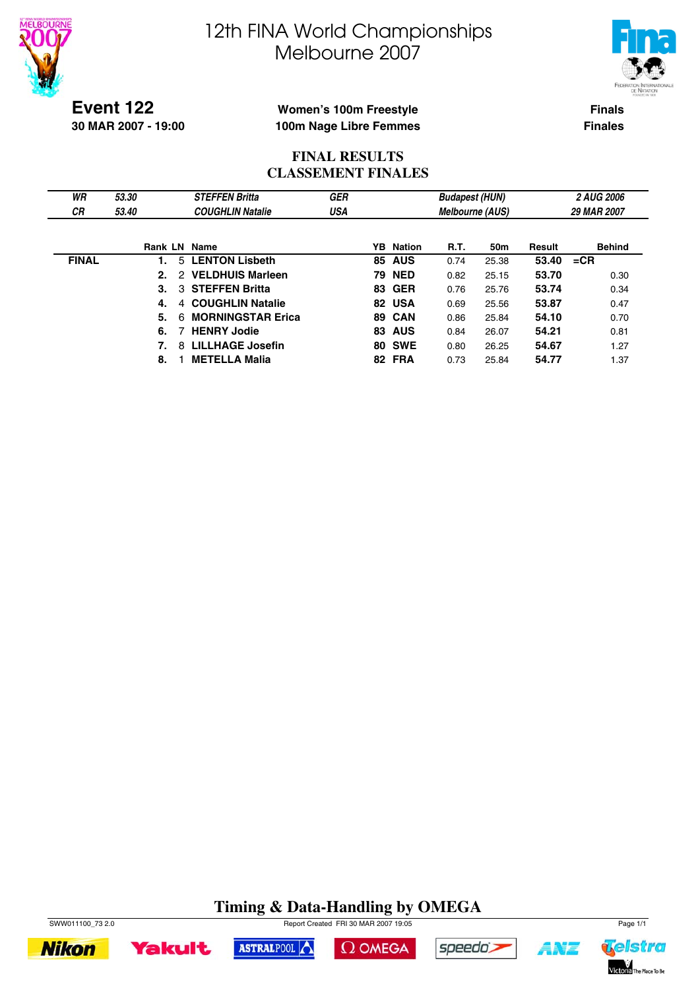



**Event 122 30 MAR 2007 - 19:00**

### **Women's 100m Freestyle 100m Nage Libre Femmes**

**Finals Finales**

### **FINAL RESULTS CLASSEMENT FINALES**

| WR<br>СR     | 53.30<br>53.40 | <b>STEFFEN Britta</b><br><b>COUGHLIN Natalie</b> | <b>GER</b><br>USA |    |                  | <b>Budapest (HUN)</b><br><b>Melbourne (AUS)</b> |       |        | <b>2 AUG 2006</b><br>29 MAR 2007 |
|--------------|----------------|--------------------------------------------------|-------------------|----|------------------|-------------------------------------------------|-------|--------|----------------------------------|
|              |                |                                                  |                   |    |                  |                                                 |       |        |                                  |
|              | <b>Rank LN</b> | Name                                             |                   |    | <b>YB</b> Nation | <b>R.T.</b>                                     | 50m   | Result | <b>Behind</b>                    |
| <b>FINAL</b> | 5.             | <b>LENTON Lisbeth</b>                            |                   | 85 | <b>AUS</b>       | 0.74                                            | 25.38 | 53.40  | $=$ CR                           |
|              | 2.<br>2        | <b>VELDHUIS Marleen</b>                          |                   |    | <b>79 NED</b>    | 0.82                                            | 25.15 | 53.70  | 0.30                             |
|              | 3.<br>3        | <b>STEFFEN Britta</b>                            |                   |    | <b>83 GER</b>    | 0.76                                            | 25.76 | 53.74  | 0.34                             |
|              | 4.<br>4        | <b>COUGHLIN Natalie</b>                          |                   |    | 82 USA           | 0.69                                            | 25.56 | 53.87  | 0.47                             |
|              | 5.<br>6        | <b>MORNINGSTAR Erica</b>                         |                   |    | 89 CAN           | 0.86                                            | 25.84 | 54.10  | 0.70                             |
|              | 6.             | <b>HENRY Jodie</b>                               |                   |    | <b>83 AUS</b>    | 0.84                                            | 26.07 | 54.21  | 0.81                             |
|              | 8              | <b>LILLHAGE Josefin</b>                          |                   |    | <b>80 SWE</b>    | 0.80                                            | 26.25 | 54.67  | 1.27                             |
|              | 8.             | <b>METELLA Malia</b>                             |                   |    | 82 FRA           | 0.73                                            | 25.84 | 54.77  | 1.37                             |

# **Timing & Data-Handling by OMEGA**





ASTRALPOOL





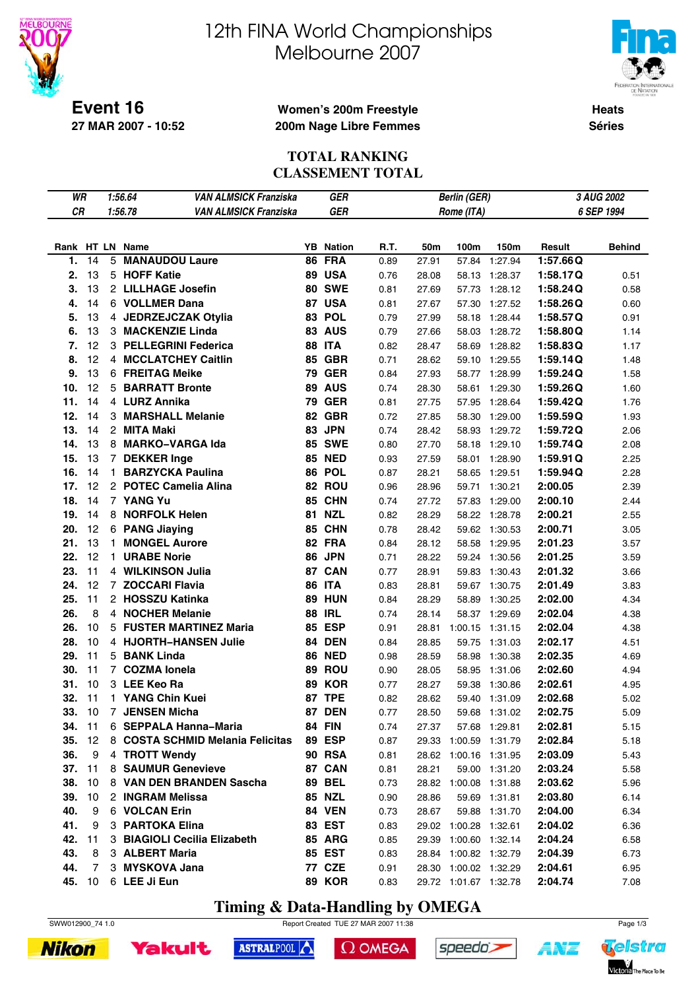

# 12th FINA World Championships Melbourne 2007



**Women's 200m Freestyle 200m Nage Libre Femmes**

**Heats Séries**

### **TOTAL RANKING CLASSEMENT TOTAL**

| WR     |                 |   | <b>VAN ALMSICK Franziska</b><br>1:56.64 |    | <b>GER</b>       | 3 AUG 2002<br><b>Berlin (GER)</b><br>6 SEP 1994<br>Rome (ITA) |       |                       |               |          |               |  |
|--------|-----------------|---|-----------------------------------------|----|------------------|---------------------------------------------------------------|-------|-----------------------|---------------|----------|---------------|--|
| CR     |                 |   | 1:56.78<br><b>VAN ALMSICK Franziska</b> |    | <b>GER</b>       |                                                               |       |                       |               |          |               |  |
|        |                 |   |                                         |    |                  |                                                               |       |                       |               |          |               |  |
|        |                 |   | Rank HT LN Name                         |    | <b>YB</b> Nation | R.T.                                                          | 50m   | 100m                  | 150m          | Result   | <b>Behind</b> |  |
| 1.     | 14              | 5 | <b>MANAUDOU Laure</b>                   | 86 | <b>FRA</b>       | 0.89                                                          | 27.91 | 57.84                 | 1:27.94       | 1:57.66Q |               |  |
| 2.     | 13              |   | 5 HOFF Katie                            |    | 89 USA           | 0.76                                                          | 28.08 | 58.13                 | 1:28.37       | 1:58.17Q | 0.51          |  |
| 3.     | 13              |   | 2 LILLHAGE Josefin                      |    | <b>80 SWE</b>    | 0.81                                                          | 27.69 | 57.73                 | 1:28.12       | 1:58.24Q | 0.58          |  |
| 4.     | 14              |   | 6 VOLLMER Dana                          |    | 87 USA           | 0.81                                                          | 27.67 | 57.30                 | 1:27.52       | 1:58.26Q | 0.60          |  |
| 5.     | 13              |   | 4 JEDRZEJCZAK Otylia                    |    | 83 POL           | 0.79                                                          | 27.99 | 58.18                 | 1:28.44       | 1:58.57Q | 0.91          |  |
| 6.     | 13              |   | 3 MACKENZIE Linda                       |    | 83 AUS           | 0.79                                                          | 27.66 | 58.03                 | 1:28.72       | 1:58.80Q | 1.14          |  |
| 7.     | 12              |   | 3 PELLEGRINI Federica                   |    | <b>88 ITA</b>    | 0.82                                                          | 28.47 | 58.69                 | 1:28.82       | 1:58.83Q | 1.17          |  |
| 8.     | 12              |   | 4 MCCLATCHEY Caitlin                    |    | <b>85 GBR</b>    | 0.71                                                          | 28.62 | 59.10                 | 1:29.55       | 1:59.14Q | 1.48          |  |
| 9.     | 13              |   | 6 FREITAG Meike                         |    | <b>79 GER</b>    | 0.84                                                          | 27.93 | 58.77                 | 1:28.99       | 1:59.24Q | 1.58          |  |
| 10.    | 12              |   | 5 BARRATT Bronte                        |    | 89 AUS           | 0.74                                                          | 28.30 | 58.61                 | 1:29.30       | 1:59.26Q | 1.60          |  |
| 11.    | 14              |   | 4 LURZ Annika                           |    | <b>79 GER</b>    | 0.81                                                          | 27.75 | 57.95                 | 1:28.64       | 1:59.42Q | 1.76          |  |
| 12.    | 14              |   | 3 MARSHALL Melanie                      |    | 82 GBR           | 0.72                                                          | 27.85 | 58.30                 | 1:29.00       | 1:59.59Q | 1.93          |  |
| 13.    | 14              |   | 2 MITA Maki                             | 83 | <b>JPN</b>       | 0.74                                                          | 28.42 | 58.93                 | 1:29.72       | 1:59.72Q | 2.06          |  |
| 14.    | 13              |   | 8 MARKO-VARGA Ida                       |    | <b>85 SWE</b>    | 0.80                                                          | 27.70 | 58.18                 | 1:29.10       | 1:59.74Q | 2.08          |  |
| 15.    | 13              |   | 7 DEKKER Inge                           |    | <b>85 NED</b>    | 0.93                                                          | 27.59 | 58.01                 | 1:28.90       | 1:59.91Q | 2.25          |  |
| 16.    | 14              |   | 1 BARZYCKA Paulina                      |    | 86 POL           | 0.87                                                          | 28.21 | 58.65                 | 1:29.51       | 1:59.94Q | 2.28          |  |
| 17.    | 12              |   | 2 POTEC Camelia Alina                   |    | 82 ROU           | 0.96                                                          | 28.96 | 59.71                 | 1:30.21       | 2:00.05  | 2.39          |  |
| 18.    | 14              |   | 7 YANG Yu                               |    | 85 CHN           | 0.74                                                          | 27.72 | 57.83                 | 1:29.00       | 2:00.10  | 2.44          |  |
| 19.    | 14              |   | 8 NORFOLK Helen                         |    | <b>81 NZL</b>    | 0.82                                                          | 28.29 | 58.22                 | 1:28.78       | 2:00.21  | 2.55          |  |
| 20.    | 12              |   | 6 PANG Jiaying                          | 85 | <b>CHN</b>       | 0.78                                                          | 28.42 | 59.62                 | 1:30.53       | 2:00.71  | 3.05          |  |
| 21.    | 13              |   | 1 MONGEL Aurore                         |    | 82 FRA           | 0.84                                                          | 28.12 | 58.58                 | 1:29.95       | 2:01.23  | 3.57          |  |
| 22.    | 12              |   | 1 URABE Norie                           |    | 86 JPN           | 0.71                                                          | 28.22 | 59.24                 | 1:30.56       | 2:01.25  | 3.59          |  |
| 23.    | 11              |   | 4 WILKINSON Julia                       |    | 87 CAN           | 0.77                                                          | 28.91 | 59.83                 | 1:30.43       | 2:01.32  | 3.66          |  |
| 24.    | 12              |   | 7 ZOCCARI Flavia                        |    | <b>86 ITA</b>    | 0.83                                                          | 28.81 | 59.67                 | 1:30.75       | 2:01.49  | 3.83          |  |
| 25.    | 11              |   | 2 HOSSZU Katinka                        |    | <b>89 HUN</b>    | 0.84                                                          | 28.29 | 58.89                 | 1:30.25       | 2:02.00  | 4.34          |  |
| 26.    | 8               |   | 4 NOCHER Melanie                        |    | <b>88 IRL</b>    | 0.74                                                          | 28.14 | 58.37                 | 1:29.69       | 2:02.04  | 4.38          |  |
| 26.    | 10              |   | 5 FUSTER MARTINEZ Maria                 |    | 85 ESP           | 0.91                                                          | 28.81 | 1:00.15               | 1:31.15       | 2:02.04  | 4.38          |  |
| 28.    | 10              |   | 4 HJORTH-HANSEN Julie                   |    | 84 DEN           | 0.84                                                          | 28.85 | 59.75                 | 1:31.03       | 2:02.17  | 4.51          |  |
| 29.    | 11              |   | 5 BANK Linda                            |    | <b>86 NED</b>    | 0.98                                                          | 28.59 | 58.98                 | 1:30.38       | 2:02.35  | 4.69          |  |
| 30.    | 11              |   | 7 COZMA lonela                          |    | 89 ROU           | 0.90                                                          | 28.05 | 58.95                 | 1:31.06       | 2:02.60  | 4.94          |  |
| 31.    | 10              |   | 3 LEE Keo Ra                            |    | 89 KOR           | 0.77                                                          | 28.27 | 59.38                 | 1:30.86       | 2:02.61  | 4.95          |  |
| 32.    | 11              |   | 1 YANG Chin Kuei                        |    | 87 TPE           | 0.82                                                          | 28.62 | 59.40                 | 1:31.09       | 2:02.68  | 5.02          |  |
| 33.    | 10              |   | 7 JENSEN Micha                          |    | <b>87 DEN</b>    | 0.77                                                          | 28.50 | 59.68                 | 1:31.02       | 2:02.75  | 5.09          |  |
| 34.    | 11              |   | 6 SEPPALA Hanna-Maria                   |    | <b>84 FIN</b>    | 0.74                                                          | 27.37 |                       | 57.68 1:29.81 | 2:02.81  | 5.15          |  |
| 35.    | 12              |   | 8 COSTA SCHMID Melania Felicitas        |    | <b>89 ESP</b>    | 0.87                                                          | 29.33 | 1:00.59 1:31.79       |               | 2:02.84  | 5.18          |  |
| 36.    | 9               |   | 4 TROTT Wendy                           |    | <b>90 RSA</b>    | 0.81                                                          |       | 28.62 1:00.16 1:31.95 |               | 2:03.09  | 5.43          |  |
| 37. 11 |                 |   | 8 SAUMUR Genevieve                      |    | 87 CAN           | 0.81                                                          | 28.21 |                       | 59.00 1:31.20 | 2:03.24  | 5.58          |  |
| 38.    | 10              |   | 8 VAN DEN BRANDEN Sascha                |    | <b>89 BEL</b>    | 0.73                                                          |       | 28.82 1:00.08 1:31.88 |               | 2:03.62  | 5.96          |  |
| 39.    | 10              |   | 2 INGRAM Melissa                        |    | <b>85 NZL</b>    | 0.90                                                          | 28.86 |                       | 59.69 1:31.81 | 2:03.80  | 6.14          |  |
| 40.    | 9               |   | 6 VOLCAN Erin                           |    | <b>84 VEN</b>    | 0.73                                                          | 28.67 |                       | 59.88 1:31.70 | 2:04.00  | 6.34          |  |
| 41.    | 9               |   | 3 PARTOKA Elina                         |    | 83 EST           | 0.83                                                          |       | 29.02 1:00.28 1:32.61 |               | 2:04.02  | 6.36          |  |
| 42.    | 11              |   | 3 BIAGIOLI Cecilia Elizabeth            |    | <b>85 ARG</b>    | 0.85                                                          |       | 29.39 1:00.60 1:32.14 |               | 2:04.24  | 6.58          |  |
| 43.    | 8               |   | 3 ALBERT Maria                          |    | <b>85 EST</b>    | 0.83                                                          | 28.84 | 1:00.82 1:32.79       |               | 2:04.39  | 6.73          |  |
| 44.    | $\overline{7}$  |   | 3 MYSKOVA Jana                          |    | <b>77 CZE</b>    | 0.91                                                          |       | 28.30 1:00.02 1:32.29 |               | 2:04.61  | 6.95          |  |
| 45.    | 10 <sub>1</sub> |   | 6 LEE Ji Eun                            |    | <b>89 KOR</b>    | 0.83                                                          |       | 29.72 1:01.67 1:32.78 |               | 2:04.74  | 7.08          |  |

# **Timing & Data-Handling by OMEGA**

SWW012900\_74 1.0 Report Created TUE 27 MAR 2007 11:38 Page 1/3





 $\Omega$  OMEGA





**AYT**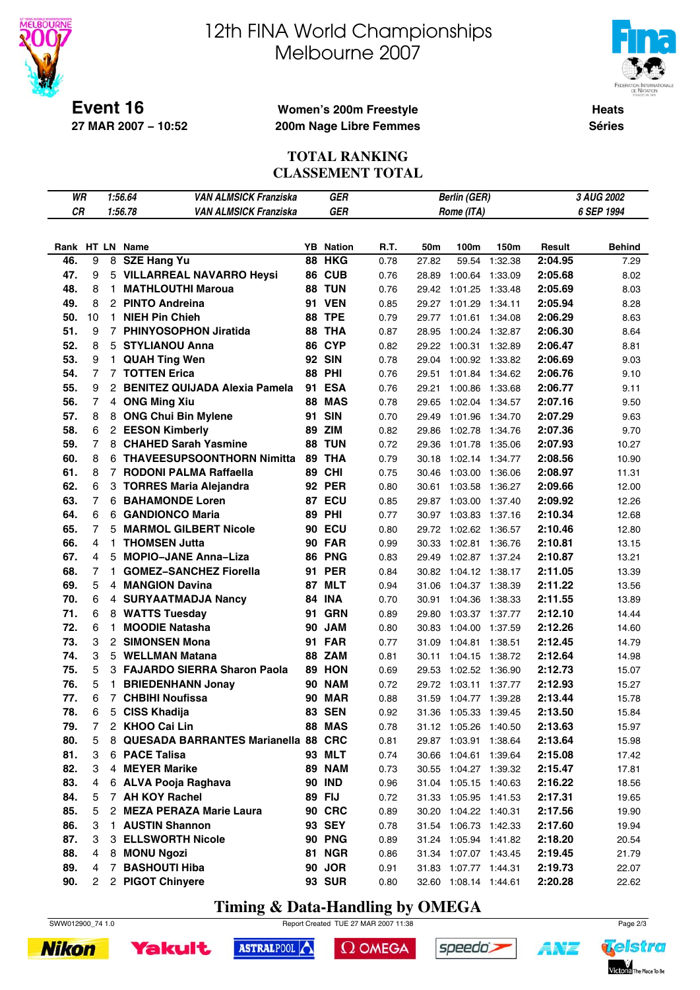

# 12th FINA World Championships Melbourne 2007



**Heats**

**Séries**

### **Women's 200m Freestyle 200m Nage Libre Femmes**

### **TOTAL RANKING CLASSEMENT TOTAL**

| WR        |                |                | 1:56.64<br>VAN ALMSICK Franziska           |    | GER              |      |       | <b>Berlin (GER)</b>   |         |         | <i><b>3 AUG 2002</b></i> |
|-----------|----------------|----------------|--------------------------------------------|----|------------------|------|-------|-----------------------|---------|---------|--------------------------|
| <b>CR</b> |                |                | 1:56.78<br><b>VAN ALMSICK Franziska</b>    |    | <b>GER</b>       |      |       | Rome (ITA)            |         |         | 6 SEP 1994               |
|           |                |                |                                            |    |                  |      |       |                       |         |         |                          |
|           |                |                | Rank HT LN Name                            |    | <b>YB</b> Nation | R.T. | 50m   | 100m                  | 150m    | Result  | Behind                   |
| 46.       | 9              |                | 8 SZE Hang Yu                              | 88 | <b>HKG</b>       | 0.78 | 27.82 | 59.54                 | 1:32.38 | 2:04.95 | 7.29                     |
| 47.       | 9              |                | 5 VILLARREAL NAVARRO Heysi                 |    | 86 CUB           | 0.76 | 28.89 | 1:00.64               | 1:33.09 | 2:05.68 | 8.02                     |
| 48.       | 8              | 1.             | <b>MATHLOUTHI Maroua</b>                   |    | 88 TUN           | 0.76 | 29.42 | 1:01.25               | 1:33.48 | 2:05.69 | 8.03                     |
| 49.       | 8              |                | 2 PINTO Andreina                           |    | <b>91 VEN</b>    | 0.85 | 29.27 | 1:01.29               | 1:34.11 | 2:05.94 | 8.28                     |
| 50.       | 10             |                | 1 NIEH Pin Chieh                           |    | <b>88 TPE</b>    | 0.79 | 29.77 | 1:01.61               | 1:34.08 | 2:06.29 | 8.63                     |
| 51.       | 9              |                | 7 PHINYOSOPHON Jiratida                    |    | 88 THA           | 0.87 | 28.95 | 1:00.24               | 1:32.87 | 2:06.30 | 8.64                     |
| 52.       | 8              |                | 5 STYLIANOU Anna                           |    | 86 CYP           | 0.82 | 29.22 | 1:00.31               | 1:32.89 | 2:06.47 | 8.81                     |
| 53.       | 9              |                | 1 QUAH Ting Wen                            |    | <b>92 SIN</b>    | 0.78 | 29.04 | 1:00.92               | 1:33.82 | 2:06.69 | 9.03                     |
| 54.       | $\overline{7}$ |                | <b>7 TOTTEN Erica</b>                      |    | <b>88 PHI</b>    | 0.76 | 29.51 | 1:01.84 1:34.62       |         | 2:06.76 | 9.10                     |
| 55.       | 9              |                | 2 BENITEZ QUIJADA Alexia Pamela            |    | <b>91 ESA</b>    | 0.76 | 29.21 | 1:00.86               | 1:33.68 | 2:06.77 | 9.11                     |
| 56.       | $\overline{7}$ |                | 4 ONG Ming Xiu                             |    | <b>88 MAS</b>    | 0.78 | 29.65 | 1:02.04               | 1:34.57 | 2:07.16 | 9.50                     |
| 57.       | 8              |                | 8 ONG Chui Bin Mylene                      | 91 | <b>SIN</b>       | 0.70 | 29.49 | 1:01.96               | 1:34.70 | 2:07.29 | 9.63                     |
| 58.       | 6              |                | 2 EESON Kimberly                           | 89 | <b>ZIM</b>       | 0.82 | 29.86 | 1:02.78               | 1:34.76 | 2:07.36 | 9.70                     |
| 59.       | 7              |                | 8 CHAHED Sarah Yasmine                     | 88 | <b>TUN</b>       | 0.72 | 29.36 | 1:01.78               | 1:35.06 | 2:07.93 | 10.27                    |
| 60.       | 8              |                | 6 THAVEESUPSOONTHORN Nimitta               |    | 89 THA           | 0.79 | 30.18 | 1:02.14               | 1:34.77 | 2:08.56 | 10.90                    |
| 61.       | 8              |                | 7 RODONI PALMA Raffaella                   |    | <b>89 CHI</b>    | 0.75 | 30.46 | 1:03.00               | 1:36.06 | 2:08.97 | 11.31                    |
| 62.       | 6              |                | 3 TORRES Maria Alejandra                   |    | <b>92 PER</b>    | 0.80 | 30.61 | 1:03.58               | 1:36.27 | 2:09.66 | 12.00                    |
| 63.       | 7              |                | <b>6 BAHAMONDE Loren</b>                   |    | 87 ECU           | 0.85 | 29.87 | 1:03.00               | 1:37.40 | 2:09.92 | 12.26                    |
| 64.       | 6              |                | 6 GANDIONCO Maria                          |    | <b>89 PHI</b>    | 0.77 | 30.97 | 1:03.83               | 1:37.16 | 2:10.34 | 12.68                    |
| 65.       | 7              |                | 5 MARMOL GILBERT Nicole                    |    | <b>90 ECU</b>    | 0.80 | 29.72 | 1:02.62               | 1:36.57 | 2:10.46 | 12.80                    |
| 66.       | 4              | 1.             | <b>THOMSEN Jutta</b>                       |    | <b>90 FAR</b>    | 0.99 | 30.33 | 1:02.81               | 1:36.76 | 2:10.81 | 13.15                    |
| 67.       | 4              |                | 5 MOPIO-JANE Anna-Liza                     |    | 86 PNG           | 0.83 | 29.49 | 1:02.87               | 1:37.24 | 2:10.87 | 13.21                    |
| 68.       | 7              | 1.             | <b>GOMEZ-SANCHEZ Fiorella</b>              |    | <b>91 PER</b>    | 0.84 | 30.82 | 1:04.12               | 1:38.17 | 2:11.05 | 13.39                    |
| 69.       | 5              |                | 4 MANGION Davina                           |    | 87 MLT           | 0.94 | 31.06 | 1:04.37               | 1:38.39 | 2:11.22 | 13.56                    |
| 70.       | 6              |                | 4 SURYAATMADJA Nancy                       | 84 | INA              | 0.70 | 30.91 | 1:04.36               | 1:38.33 | 2:11.55 | 13.89                    |
| 71.       | 6              |                | 8 WATTS Tuesday                            | 91 | <b>GRN</b>       | 0.89 | 29.80 | 1:03.37               | 1:37.77 | 2:12.10 | 14.44                    |
| 72.       | 6              | 1.             | <b>MOODIE Natasha</b>                      | 90 | <b>JAM</b>       | 0.80 | 30.83 | 1:04.00               | 1:37.59 | 2:12.26 | 14.60                    |
| 73.       | 3              |                | 2 SIMONSEN Mona                            |    | 91 FAR           | 0.77 | 31.09 | 1:04.81               | 1:38.51 | 2:12.45 | 14.79                    |
| 74.       | 3              | 5              | <b>WELLMAN Matana</b>                      |    | 88 ZAM           | 0.81 | 30.11 | 1:04.15               | 1:38.72 | 2:12.64 | 14.98                    |
| 75.       | 5              |                | 3 FAJARDO SIERRA Sharon Paola              |    | 89 HON           | 0.69 | 29.53 | 1:02.52               | 1:36.90 | 2:12.73 | 15.07                    |
| 76.       | 5              | 1.             | <b>BRIEDENHANN Jonay</b>                   |    | <b>90 NAM</b>    | 0.72 | 29.72 | 1:03.11               | 1:37.77 | 2:12.93 | 15.27                    |
| 77.       | 6              |                | 7 CHBIHI Noufissa                          | 90 | MAR              | 0.88 | 31.59 | 1:04.77               | 1:39.28 | 2:13.44 | 15.78                    |
| 78.       | 6              |                | 5 CISS Khadija                             | 83 | <b>SEN</b>       | 0.92 | 31.36 | 1:05.33               | 1:39.45 | 2:13.50 | 15.84                    |
| 79.       | 7              | $\overline{c}$ | <b>KHOO Cai Lin</b>                        |    | <b>88 MAS</b>    | 0.78 |       | 31.12 1:05.26 1:40.50 |         | 2:13.63 | 15.97                    |
| 80.       | 5              | 8              | <b>QUESADA BARRANTES Marianella 88 CRC</b> |    |                  | 0.81 |       | 29.87 1:03.91         | 1:38.64 | 2:13.64 | 15.98                    |
| 81.       | 3              |                | 6 PACE Talisa                              |    | 93 MLT           | 0.74 | 30.66 | 1:04.61 1:39.64       |         | 2:15.08 | 17.42                    |
| 82.       | 3              |                | 4 MEYER Marike                             |    | <b>89 NAM</b>    | 0.73 |       | 30.55 1:04.27 1:39.32 |         | 2:15.47 | 17.81                    |
| 83.       | 4              |                | 6 ALVA Pooja Raghava                       |    | <b>90 IND</b>    | 0.96 |       | 31.04 1:05.15 1:40.63 |         | 2:16.22 | 18.56                    |
| 84.       | 5              |                | 7 AH KOY Rachel                            |    | 89 FIJ           | 0.72 |       | 31.33 1:05.95 1:41.53 |         | 2:17.31 | 19.65                    |
| 85.       | 5              |                | 2 MEZA PERAZA Marie Laura                  |    | 90 CRC           | 0.89 | 30.20 | 1:04.22 1:40.31       |         | 2:17.56 | 19.90                    |
| 86.       | 3              | $\mathbf{1}$   | <b>AUSTIN Shannon</b>                      |    | 93 SEY           | 0.78 |       | 31.54 1:06.73 1:42.33 |         | 2:17.60 | 19.94                    |
| 87.       | 3              |                | 3 ELLSWORTH Nicole                         |    | <b>90 PNG</b>    | 0.89 |       | 31.24 1:05.94 1:41.82 |         | 2:18.20 | 20.54                    |
| 88.       | 4              |                | 8 MONU Ngozi                               |    | <b>81 NGR</b>    | 0.86 |       | 31.34 1:07.07 1:43.45 |         | 2:19.45 | 21.79                    |
| 89.       | 4              | 7              | <b>BASHOUTI Hiba</b>                       |    | 90 JOR           | 0.91 |       | 31.83 1:07.77 1:44.31 |         | 2:19.73 | 22.07                    |
| 90.       | 2              |                | 2 PIGOT Chinyere                           |    | 93 SUR           | 0.80 |       | 32.60 1:08.14 1:44.61 |         | 2:20.28 | 22.62                    |

# **Timing & Data-Handling by OMEGA**

SWW012900\_74 1.0 Report Created TUE 27 MAR 2007 11:38 Page 2/3





```
\Omega OMEGA
```




ANT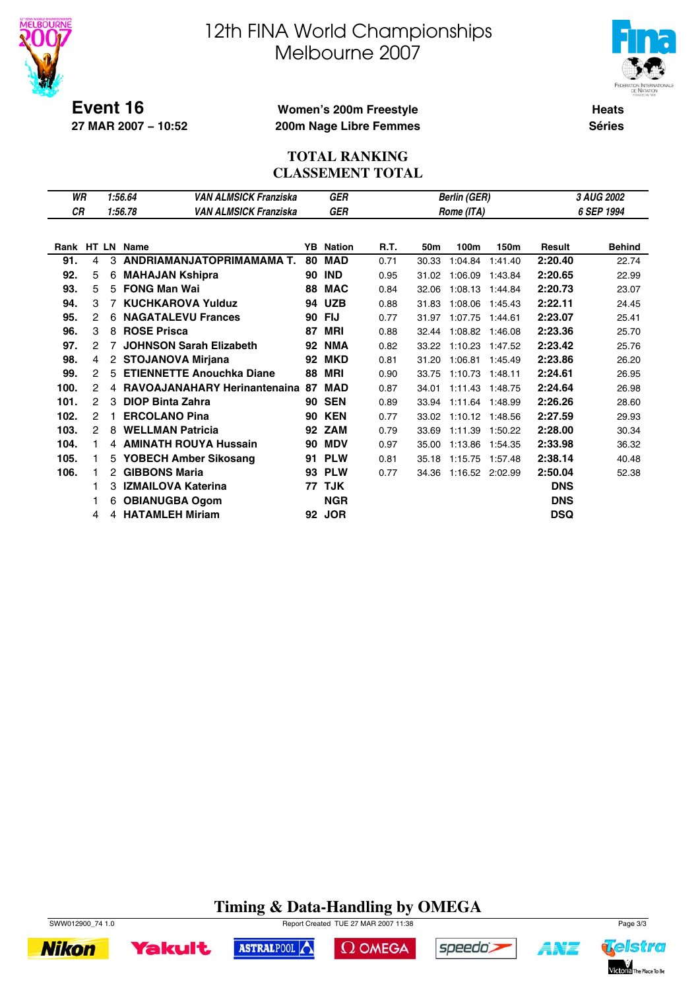

# 12th FINA World Championships Melbourne 2007



**Heats Séries**

### **Women's 200m Freestyle 200m Nage Libre Femmes**

### **TOTAL RANKING CLASSEMENT TOTAL**

| WR        |   | <b>VAN ALMSICK Franziska</b>                              |                                                                                                                                                                                                                                                                                                                                                                                                                                                                                    | GER                            |                                |       |         |         |                                                                         | <b>3 AUG 2002</b> |
|-----------|---|-----------------------------------------------------------|------------------------------------------------------------------------------------------------------------------------------------------------------------------------------------------------------------------------------------------------------------------------------------------------------------------------------------------------------------------------------------------------------------------------------------------------------------------------------------|--------------------------------|--------------------------------|-------|---------|---------|-------------------------------------------------------------------------|-------------------|
| <b>CR</b> |   | <b>VAN ALMSICK Franziska</b>                              |                                                                                                                                                                                                                                                                                                                                                                                                                                                                                    | <b>GER</b>                     |                                |       |         |         |                                                                         | 6 SEP 1994        |
|           |   |                                                           |                                                                                                                                                                                                                                                                                                                                                                                                                                                                                    |                                |                                |       |         |         |                                                                         |                   |
|           |   |                                                           | YB.                                                                                                                                                                                                                                                                                                                                                                                                                                                                                | <b>Nation</b>                  | R.T.                           | 50m   | 100m    | 150m    | Result                                                                  | <b>Behind</b>     |
| 4         |   |                                                           | 80                                                                                                                                                                                                                                                                                                                                                                                                                                                                                 | <b>MAD</b>                     | 0.71                           | 30.33 | 1:04.84 | 1:41.40 | 2:20.40                                                                 | 22.74             |
| 5         | 6 |                                                           | 90                                                                                                                                                                                                                                                                                                                                                                                                                                                                                 | <b>IND</b>                     | 0.95                           | 31.02 | 1:06.09 | 1:43.84 | 2:20.65                                                                 | 22.99             |
| 5         |   |                                                           | 88                                                                                                                                                                                                                                                                                                                                                                                                                                                                                 | <b>MAC</b>                     | 0.84                           | 32.06 | 1:08.13 | 1:44.84 | 2:20.73                                                                 | 23.07             |
| 3         |   |                                                           | 94                                                                                                                                                                                                                                                                                                                                                                                                                                                                                 | <b>UZB</b>                     | 0.88                           | 31.83 | 1:08.06 | 1:45.43 | 2:22.11                                                                 | 24.45             |
| 2         | 6 |                                                           | 90                                                                                                                                                                                                                                                                                                                                                                                                                                                                                 | <b>FIJ</b>                     | 0.77                           | 31.97 | 1:07.75 | 1:44.61 | 2:23.07                                                                 | 25.41             |
| 3         |   |                                                           | 87                                                                                                                                                                                                                                                                                                                                                                                                                                                                                 | <b>MRI</b>                     | 0.88                           | 32.44 | 1:08.82 | 1:46.08 | 2:23.36                                                                 | 25.70             |
| 2         | 7 |                                                           | 92                                                                                                                                                                                                                                                                                                                                                                                                                                                                                 | <b>NMA</b>                     | 0.82                           | 33.22 | 1:10.23 | 1:47.52 | 2:23.42                                                                 | 25.76             |
| 4         |   |                                                           | 92                                                                                                                                                                                                                                                                                                                                                                                                                                                                                 | <b>MKD</b>                     | 0.81                           | 31.20 | 1:06.81 | 1:45.49 | 2:23.86                                                                 | 26.20             |
| 2         |   |                                                           | 88                                                                                                                                                                                                                                                                                                                                                                                                                                                                                 | <b>MRI</b>                     | 0.90                           | 33.75 | 1:10.73 | 1:48.11 | 2:24.61                                                                 | 26.95             |
| 2         |   |                                                           | 87                                                                                                                                                                                                                                                                                                                                                                                                                                                                                 | <b>MAD</b>                     | 0.87                           | 34.01 | 1:11.43 | 1:48.75 | 2:24.64                                                                 | 26.98             |
| 2         |   |                                                           |                                                                                                                                                                                                                                                                                                                                                                                                                                                                                    |                                | 0.89                           | 33.94 |         |         | 2:26.26                                                                 | 28.60             |
| 2         |   |                                                           | 90                                                                                                                                                                                                                                                                                                                                                                                                                                                                                 | <b>KEN</b>                     | 0.77                           | 33.02 | 1:10.12 | 1:48.56 | 2:27.59                                                                 | 29.93             |
| 2         | 8 |                                                           | 92                                                                                                                                                                                                                                                                                                                                                                                                                                                                                 |                                | 0.79                           | 33.69 | 1:11.39 | 1:50.22 | 2:28.00                                                                 | 30.34             |
| 1         |   |                                                           | 90                                                                                                                                                                                                                                                                                                                                                                                                                                                                                 | <b>MDV</b>                     | 0.97                           | 35.00 | 1:13.86 | 1:54.35 | 2:33.98                                                                 | 36.32             |
| 1.        |   |                                                           | 91                                                                                                                                                                                                                                                                                                                                                                                                                                                                                 | <b>PLW</b>                     | 0.81                           | 35.18 | 1:15.75 | 1:57.48 | 2:38.14                                                                 | 40.48             |
|           |   |                                                           | 93                                                                                                                                                                                                                                                                                                                                                                                                                                                                                 | <b>PLW</b>                     | 0.77                           | 34.36 |         |         | 2:50.04                                                                 | 52.38             |
|           |   |                                                           |                                                                                                                                                                                                                                                                                                                                                                                                                                                                                    |                                |                                |       |         |         | <b>DNS</b>                                                              |                   |
|           |   |                                                           |                                                                                                                                                                                                                                                                                                                                                                                                                                                                                    | <b>NGR</b>                     |                                |       |         |         | <b>DNS</b>                                                              |                   |
| 4         |   |                                                           | 92                                                                                                                                                                                                                                                                                                                                                                                                                                                                                 | <b>JOR</b>                     |                                |       |         |         | <b>DSQ</b>                                                              |                   |
|           |   | 1:56.64<br>1:56.78<br>Rank HT LN Name<br>3<br>3<br>6<br>4 | 3 ANDRIAMANJATOPRIMAMAMA T.<br><b>MAHAJAN Kshipra</b><br>5 FONG Man Wai<br><b>7 KUCHKAROVA Yulduz</b><br><b>NAGATALEVU Frances</b><br>8 ROSE Prisca<br><b>JOHNSON Sarah Elizabeth</b><br>2 STOJANOVA Mirjana<br>5 ETIENNETTE Anouchka Diane<br><b>DIOP Binta Zahra</b><br><b>ERCOLANO Pina</b><br><b>WELLMAN Patricia</b><br>4 AMINATH ROUYA Hussain<br>5 YOBECH Amber Sikosang<br>2 GIBBONS Maria<br><b>IZMAILOVA Katerina</b><br><b>OBIANUGBA Ogom</b><br><b>HATAMLEH Miriam</b> | 4 RAVOAJANAHARY Herinantenaina | <b>90 SEN</b><br>ZAM<br>77 TJK |       |         |         | <b>Berlin (GER)</b><br>Rome (ITA)<br>1:11.64 1:48.99<br>1:16.52 2:02.99 |                   |

# **Timing & Data-Handling by OMEGA**

 $\Omega$  OMEGA

speedo's

ASTRALPOOL



**Yakult** 



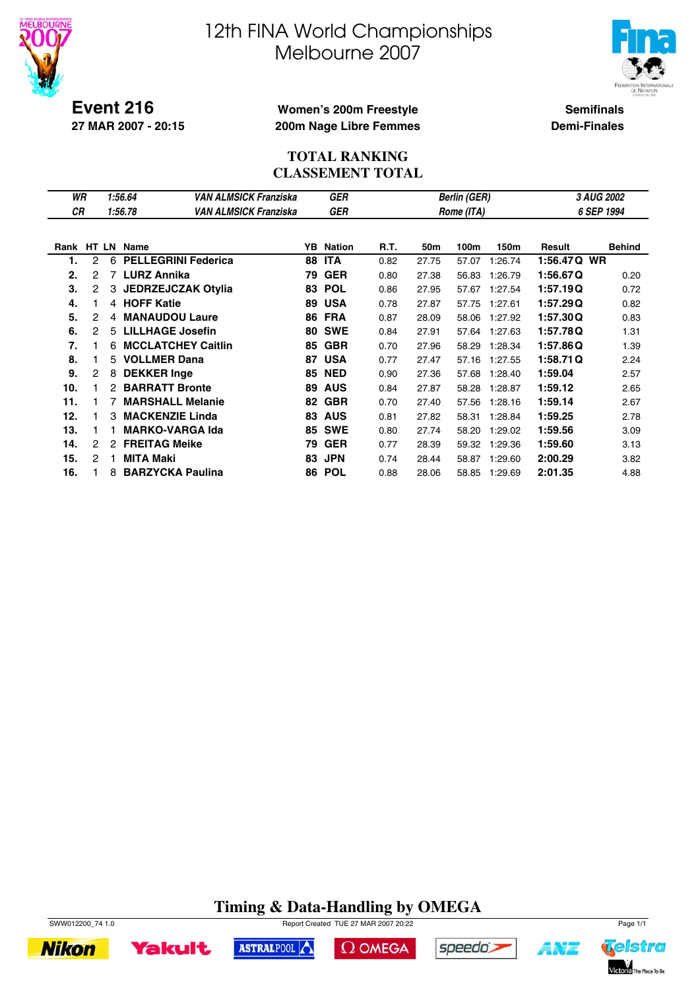



**Event 216 27 MAR 2007 - 20:15**

### **Women's 200m Freestyle 200m Nage Libre Femmes**

**Semifinals Demi-Finales**

### **TOTAL RANKING CLASSEMENT TOTAL**

| WR         |   |    | 1:56.64                    | VAN ALMSICK Franziska |    | <b>GER</b>    |      |       | <b>Berlin (GER)</b> |         |             | 3 AUG 2002    |
|------------|---|----|----------------------------|-----------------------|----|---------------|------|-------|---------------------|---------|-------------|---------------|
| <b>CR</b>  |   |    | 1:56.78                    | VAN ALMSICK Franziska |    | <b>GER</b>    |      |       | Rome (ITA)          |         |             | 6 SEP 1994    |
|            |   |    |                            |                       |    |               |      |       |                     |         |             |               |
| Rank HT LN |   |    | <b>Name</b>                |                       | YB | <b>Nation</b> | R.T. | 50m   | 100m                | 150m    | Result      | <b>Behind</b> |
| 1.         | 2 | 6  | <b>PELLEGRINI Federica</b> |                       | 88 | <b>ITA</b>    | 0.82 | 27.75 | 57.07               | 1:26.74 | 1:56.47Q WR |               |
| 2.         | 2 | 7  | <b>LURZ Annika</b>         |                       | 79 | <b>GER</b>    | 0.80 | 27.38 | 56.83               | 1:26.79 | 1:56.67Q    | 0.20          |
| 3.         | 2 | 3  | <b>JEDRZEJCZAK Otylia</b>  |                       | 83 | <b>POL</b>    | 0.86 | 27.95 | 57.67               | 1:27.54 | 1:57.19Q    | 0.72          |
| 4.         |   |    | 4 HOFF Katie               |                       | 89 | <b>USA</b>    | 0.78 | 27.87 | 57.75               | 1:27.61 | 1:57.29Q    | 0.82          |
| 5.         | 2 | 4  | <b>MANAUDOU Laure</b>      |                       | 86 | <b>FRA</b>    | 0.87 | 28.09 | 58.06               | 1:27.92 | 1:57.30Q    | 0.83          |
| 6.         | 2 | 5  | <b>LILLHAGE Josefin</b>    |                       | 80 | <b>SWE</b>    | 0.84 | 27.91 | 57.64               | 1:27.63 | 1:57.78Q    | 1.31          |
| 7.         |   | 6  | <b>MCCLATCHEY Caitlin</b>  |                       | 85 | <b>GBR</b>    | 0.70 | 27.96 | 58.29               | 1:28.34 | 1:57.86Q    | 1.39          |
| 8.         |   | 5  | <b>VOLLMER Dana</b>        |                       | 87 | <b>USA</b>    | 0.77 | 27.47 | 57.16               | 1:27.55 | 1:58.71Q    | 2.24          |
| 9.         | 2 | 8  | <b>DEKKER Inge</b>         |                       | 85 | <b>NED</b>    | 0.90 | 27.36 | 57.68               | 1:28.40 | 1:59.04     | 2.57          |
| 10.        |   | 2  | <b>BARRATT Bronte</b>      |                       | 89 | <b>AUS</b>    | 0.84 | 27.87 | 58.28               | 1:28.87 | 1:59.12     | 2.65          |
| 11.        |   |    | <b>MARSHALL Melanie</b>    |                       | 82 | <b>GBR</b>    | 0.70 | 27.40 | 57.56               | 1:28.16 | 1:59.14     | 2.67          |
| 12.        |   | З  | <b>MACKENZIE Linda</b>     |                       | 83 | <b>AUS</b>    | 0.81 | 27.82 | 58.31               | 1:28.84 | 1:59.25     | 2.78          |
| 13.        |   |    | <b>MARKO-VARGA Ida</b>     |                       | 85 | <b>SWE</b>    | 0.80 | 27.74 | 58.20               | 1:29.02 | 1:59.56     | 3.09          |
| 14.        | 2 | 2  | <b>FREITAG Meike</b>       |                       | 79 | <b>GER</b>    | 0.77 | 28.39 | 59.32               | 1:29.36 | 1:59.60     | 3.13          |
| 15.        | 2 | 1. | <b>MITA Maki</b>           |                       | 83 | <b>JPN</b>    | 0.74 | 28.44 | 58.87               | 1:29.60 | 2:00.29     | 3.82          |
| 16.        |   | 8  | <b>BARZYCKA Paulina</b>    |                       | 86 | <b>POL</b>    | 0.88 | 28.06 | 58.85               | 1:29.69 | 2:01.35     | 4.88          |

# **Timing & Data-Handling by OMEGA**





ASTRALPOOL

 $\Omega$  OMEGA



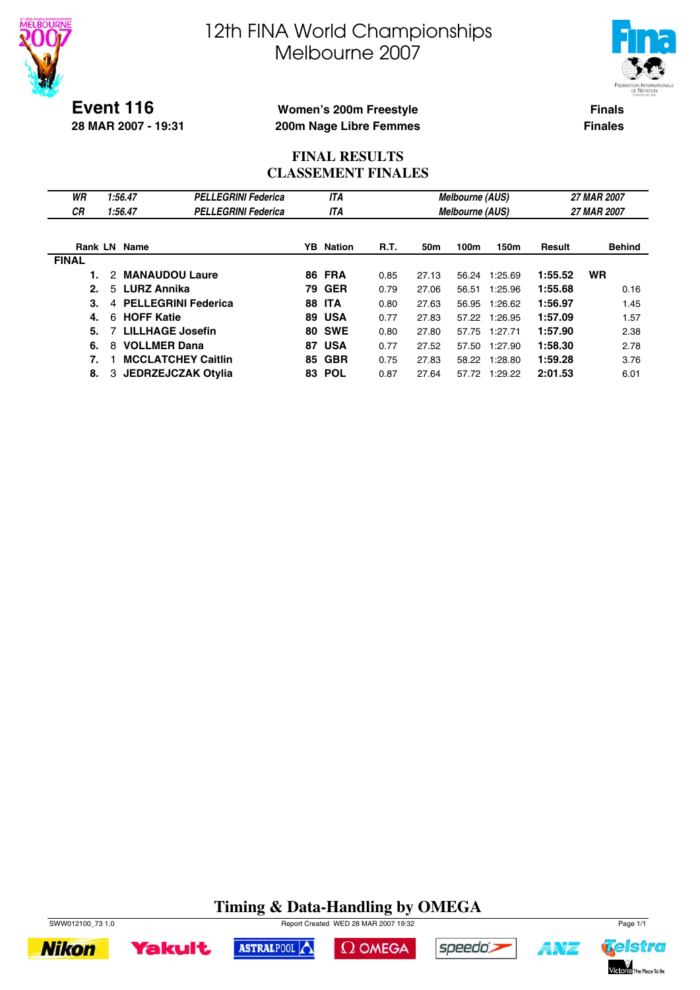



**Event 116 28 MAR 2007 - 19:31**

### **Women's 200m Freestyle 200m Nage Libre Femmes**

**Finals Finales**

### **FINAL RESULTS CLASSEMENT FINALES**

| WR<br>СR     | 1:56.47<br>1:56.47         | <b>PELLEGRINI Federica</b><br><b>PELLEGRINI Federica</b> |     | <b>ITA</b><br><b>ITA</b> |      |       | <b>Melbourne (AUS)</b><br><b>Melbourne (AUS)</b> |               |         | 27 MAR 2007<br>27 MAR 2007 |
|--------------|----------------------------|----------------------------------------------------------|-----|--------------------------|------|-------|--------------------------------------------------|---------------|---------|----------------------------|
|              | <b>Rank LN Name</b>        |                                                          | YB. | Nation                   | R.T. | 50m   | 100m                                             | 150m          | Result  | <b>Behind</b>              |
| <b>FINAL</b> |                            |                                                          |     |                          |      |       |                                                  |               |         |                            |
|              | <b>MANAUDOU Laure</b><br>2 |                                                          |     | <b>86 FRA</b>            | 0.85 | 27.13 | 56.24                                            | 1:25.69       | 1:55.52 | <b>WR</b>                  |
| 2.           | <b>LURZ Annika</b><br>5.   |                                                          | 79. | <b>GER</b>               | 0.79 | 27.06 | 56.51                                            | 1:25.96       | 1:55.68 | 0.16                       |
| 3.           | 4                          | <b>PELLEGRINI Federica</b>                               | 88. | <b>ITA</b>               | 0.80 | 27.63 | 56.95                                            | 1:26.62       | 1:56.97 | 1.45                       |
| 4.           | 6 HOFF Katie               |                                                          | 89  | <b>USA</b>               | 0.77 | 27.83 |                                                  | 57.22 1:26.95 | 1:57.09 | 1.57                       |
| 5.           | <b>LILLHAGE Josefin</b>    |                                                          | 80  | <b>SWE</b>               | 0.80 | 27.80 | 57.75                                            | 1:27.71       | 1:57.90 | 2.38                       |
| 6.           | <b>VOLLMER Dana</b><br>8   |                                                          | 87  | <b>USA</b>               | 0.77 | 27.52 | 57.50                                            | 1:27.90       | 1:58.30 | 2.78                       |
| 7.           |                            | <b>MCCLATCHEY Caitlin</b>                                | 85  | <b>GBR</b>               | 0.75 | 27.83 |                                                  | 58.22 1:28.80 | 1:59.28 | 3.76                       |
| 8.           | 3                          | JEDRZEJCZAK Otylia                                       | 83. | <b>POL</b>               | 0.87 | 27.64 | 57.72                                            | 1:29.22       | 2:01.53 | 6.01                       |

# **Timing & Data-Handling by OMEGA**



**Yakult** 



speedo's



ASTRALPOOL

 $\Omega$  OMEGA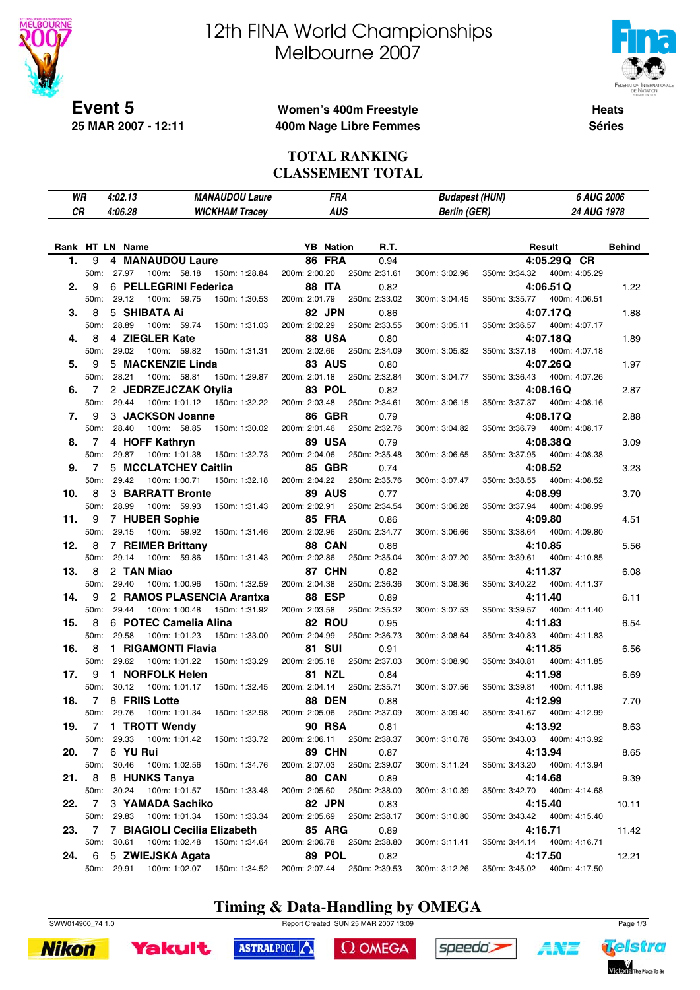

**25 MAR 2007 - 12:11**

# 12th FINA World Championships Melbourne 2007



**Heats Séries**

### **Women's 400m Freestyle 400m Nage Libre Femmes**

#### **TOTAL RANKING CLASSEMENT TOTAL**

| СR<br>4:06.28<br><b>AUS</b><br><b>Berlin (GER)</b><br>24 AUG 1978<br><b>WICKHAM Tracey</b><br>R.T.<br>Rank HT LN Name<br><b>YB</b> Nation<br>Result<br>9<br>4 MANAUDOU Laure<br><b>86 FRA</b><br>4:05.29Q CR<br>1.<br>0.94<br>50m: 27.97<br>100m: 58.18<br>150m: 1:28.84<br>200m: 2:00.20<br>250m: 2:31.61<br>400m: 4:05.29<br>300m: 3:02.96<br>350m: 3:34.32<br>6 PELLEGRINI Federica<br>4:06.51Q<br>- 9<br><b>88 ITA</b><br>2.<br>0.82<br>50m: 29.12<br>100m: 59.75<br>150m: 1:30.53<br>200m: 2:01.79<br>250m: 2:33.02<br>350m: 3:35.77<br>400m: 4:06.51<br>300m: 3:04.45<br>5 SHIBATA Ai<br>82 JPN<br>-8<br>4:07.17Q<br>3.<br>0.86<br>28.89<br>100m: 59.74<br>200m: 2:02.29<br>400m: 4:07.17<br>50m:<br>150m: 1:31.03<br>250m: 2:33.55<br>300m: 3:05.11<br>350m: 3:36.57<br>4 ZIEGLER Kate<br><b>88 USA</b><br>-8<br>4:07.18Q<br>4.<br>0.80<br>29.02<br>100m: 59.82<br>200m: 2:02.66<br>250m: 2:34.09<br>350m: 3:37.18<br>400m: 4:07.18<br>50m:<br>150m: 1:31.31<br>300m: 3:05.82<br>5 MACKENZIE Linda<br><b>83 AUS</b><br>-9<br>4:07.26Q<br>5.<br>0.80<br>50m:<br>28.21<br>100m: 58.81<br>150m: 1:29.87<br>200m: 2:01.18<br>250m: 2:32.84<br>350m: 3:36.43<br>400m: 4:07.26<br>300m: 3:04.77<br>2 JEDRZEJCZAK Otylia<br>83 POL<br>4:08.16Q<br>6.<br>7<br>0.82<br>29.44<br>150m: 1:32.22<br>200m: 2:03.48<br>250m: 2:34.61<br>50m:<br>100m: 1:01.12<br>300m: 3:06.15<br>350m: 3:37.37<br>400m: 4:08.16<br>9<br>3 JACKSON Joanne<br><b>86 GBR</b><br>4:08.17Q<br>7.<br>0.79<br>28.40<br>200m: 2:01.46<br>250m: 2:32.76<br>350m: 3:36.79<br>400m: 4:08.17<br>50m:<br>100m: 58.85<br>150m: 1:30.02<br>300m: 3:04.82<br>4 HOFF Kathryn<br>89 USA<br>7<br>4:08.38Q<br>8.<br>0.79<br>50m: 29.87<br>100m: 1:01.38<br>150m: 1:32.73<br>200m: 2:04.06<br>250m: 2:35.48<br>350m: 3:37.95<br>400m: 4:08.38<br>300m: 3:06.65<br>5 MCCLATCHEY Caitlin<br><b>85 GBR</b><br>-7<br>4:08.52<br>9.<br>0.74<br>29.42<br>200m: 2:04.22<br>50m:<br>100m: 1:00.71<br>150m: 1:32.18<br>250m: 2:35.76<br>300m: 3:07.47<br>350m: 3:38.55<br>400m: 4:08.52<br><b>3 BARRATT Bronte</b><br>89 AUS<br>10.<br>8<br>4:08.99<br>0.77<br>28.99<br>100m: 59.93<br>200m: 2:02.91<br>250m: 2:34.54<br>350m: 3:37.94<br>50m:<br>150m: 1:31.43<br>300m: 3:06.28<br>400m: 4:08.99<br>7 HUBER Sophie<br><b>85 FRA</b><br>9<br>4:09.80<br>11.<br>0.86<br>29.15<br>50m:<br>100m: 59.92<br>150m: 1:31.46<br>200m: 2:02.96<br>250m: 2:34.77<br>350m: 3:38.64<br>400m: 4:09.80<br>300m: 3:06.66<br>8<br><b>7 REIMER Brittany</b><br><b>88 CAN</b><br>4:10.85<br>12.<br>0.86<br>29.14<br>150m: 1:31.43<br>200m: 2:02.86<br>250m: 2:35.04<br>50m:<br>100m: 59.86<br>300m: 3:07.20<br>350m: 3:39.61<br>400m: 4:10.85<br>8<br>2 TAN Miao<br>87 CHN<br>13.<br>4:11.37<br>0.82<br>29.40<br>100m: 1:00.96<br>150m: 1:32.59<br>200m: 2:04.38<br>250m: 2:36.36<br>350m: 3:40.22<br>400m: 4:11.37<br>50m:<br>300m: 3:08.36<br><b>88 ESP</b><br>14.<br>9<br>2 RAMOS PLASENCIA Arantxa<br>4:11.40<br>0.89<br>29.44<br>100m: 1:00.48<br>150m: 1:31.92<br>200m: 2:03.58<br>250m: 2:35.32<br>350m: 3:39.57<br>400m: 4:11.40<br>50m:<br>300m: 3:07.53<br>8<br>6 POTEC Camelia Alina<br>82 ROU<br>4:11.83<br>15.<br>0.95<br>29.58<br>100m: 1:01.23<br>150m: 1:33.00<br>200m: 2:04.99<br>250m: 2:36.73<br>50m:<br>300m: 3:08.64<br>350m: 3:40.83<br>400m: 4:11.83<br>1 RIGAMONTI Flavia<br><b>81 SUI</b><br>8<br>4:11.85<br>16.<br>0.91<br>29.62<br>200m: 2:05.18<br>250m: 2:37.03<br>350m: 3:40.81<br>50m:<br>100m: 1:01.22<br>150m: 1:33.29<br>300m: 3:08.90<br>400m: 4:11.85<br>1 NORFOLK Helen<br>81 NZL<br>17.<br>9<br>4:11.98<br>0.84<br>30.12<br>100m: 1:01.17<br>150m: 1:32.45<br>200m: 2:04.14<br>250m: 2:35.71<br>350m: 3:39.81<br>50m:<br>300m: 3:07.56<br>400m: 4:11.98<br>8 FRIIS Lotte<br>$\overline{7}$<br><b>88 DEN</b><br>4:12.99<br>18.<br>0.88 | <b>Behind</b><br>1.22<br>1.88<br>1.89<br>1.97<br>2.87<br>2.88<br>3.09 |
|-------------------------------------------------------------------------------------------------------------------------------------------------------------------------------------------------------------------------------------------------------------------------------------------------------------------------------------------------------------------------------------------------------------------------------------------------------------------------------------------------------------------------------------------------------------------------------------------------------------------------------------------------------------------------------------------------------------------------------------------------------------------------------------------------------------------------------------------------------------------------------------------------------------------------------------------------------------------------------------------------------------------------------------------------------------------------------------------------------------------------------------------------------------------------------------------------------------------------------------------------------------------------------------------------------------------------------------------------------------------------------------------------------------------------------------------------------------------------------------------------------------------------------------------------------------------------------------------------------------------------------------------------------------------------------------------------------------------------------------------------------------------------------------------------------------------------------------------------------------------------------------------------------------------------------------------------------------------------------------------------------------------------------------------------------------------------------------------------------------------------------------------------------------------------------------------------------------------------------------------------------------------------------------------------------------------------------------------------------------------------------------------------------------------------------------------------------------------------------------------------------------------------------------------------------------------------------------------------------------------------------------------------------------------------------------------------------------------------------------------------------------------------------------------------------------------------------------------------------------------------------------------------------------------------------------------------------------------------------------------------------------------------------------------------------------------------------------------------------------------------------------------------------------------------------------------------------------------------------------------------------------------------------------------------------------------------------------------------------------------------------------------------------------------------------------------------------------------------------------------------------------------------------------------------------------------------------------------------------------------------------------------------------------------------------------------------------------------------------------------------------------------------------------------------------|-----------------------------------------------------------------------|
|                                                                                                                                                                                                                                                                                                                                                                                                                                                                                                                                                                                                                                                                                                                                                                                                                                                                                                                                                                                                                                                                                                                                                                                                                                                                                                                                                                                                                                                                                                                                                                                                                                                                                                                                                                                                                                                                                                                                                                                                                                                                                                                                                                                                                                                                                                                                                                                                                                                                                                                                                                                                                                                                                                                                                                                                                                                                                                                                                                                                                                                                                                                                                                                                                                                                                                                                                                                                                                                                                                                                                                                                                                                                                                                                                                                                       |                                                                       |
|                                                                                                                                                                                                                                                                                                                                                                                                                                                                                                                                                                                                                                                                                                                                                                                                                                                                                                                                                                                                                                                                                                                                                                                                                                                                                                                                                                                                                                                                                                                                                                                                                                                                                                                                                                                                                                                                                                                                                                                                                                                                                                                                                                                                                                                                                                                                                                                                                                                                                                                                                                                                                                                                                                                                                                                                                                                                                                                                                                                                                                                                                                                                                                                                                                                                                                                                                                                                                                                                                                                                                                                                                                                                                                                                                                                                       |                                                                       |
|                                                                                                                                                                                                                                                                                                                                                                                                                                                                                                                                                                                                                                                                                                                                                                                                                                                                                                                                                                                                                                                                                                                                                                                                                                                                                                                                                                                                                                                                                                                                                                                                                                                                                                                                                                                                                                                                                                                                                                                                                                                                                                                                                                                                                                                                                                                                                                                                                                                                                                                                                                                                                                                                                                                                                                                                                                                                                                                                                                                                                                                                                                                                                                                                                                                                                                                                                                                                                                                                                                                                                                                                                                                                                                                                                                                                       |                                                                       |
|                                                                                                                                                                                                                                                                                                                                                                                                                                                                                                                                                                                                                                                                                                                                                                                                                                                                                                                                                                                                                                                                                                                                                                                                                                                                                                                                                                                                                                                                                                                                                                                                                                                                                                                                                                                                                                                                                                                                                                                                                                                                                                                                                                                                                                                                                                                                                                                                                                                                                                                                                                                                                                                                                                                                                                                                                                                                                                                                                                                                                                                                                                                                                                                                                                                                                                                                                                                                                                                                                                                                                                                                                                                                                                                                                                                                       |                                                                       |
|                                                                                                                                                                                                                                                                                                                                                                                                                                                                                                                                                                                                                                                                                                                                                                                                                                                                                                                                                                                                                                                                                                                                                                                                                                                                                                                                                                                                                                                                                                                                                                                                                                                                                                                                                                                                                                                                                                                                                                                                                                                                                                                                                                                                                                                                                                                                                                                                                                                                                                                                                                                                                                                                                                                                                                                                                                                                                                                                                                                                                                                                                                                                                                                                                                                                                                                                                                                                                                                                                                                                                                                                                                                                                                                                                                                                       |                                                                       |
|                                                                                                                                                                                                                                                                                                                                                                                                                                                                                                                                                                                                                                                                                                                                                                                                                                                                                                                                                                                                                                                                                                                                                                                                                                                                                                                                                                                                                                                                                                                                                                                                                                                                                                                                                                                                                                                                                                                                                                                                                                                                                                                                                                                                                                                                                                                                                                                                                                                                                                                                                                                                                                                                                                                                                                                                                                                                                                                                                                                                                                                                                                                                                                                                                                                                                                                                                                                                                                                                                                                                                                                                                                                                                                                                                                                                       |                                                                       |
|                                                                                                                                                                                                                                                                                                                                                                                                                                                                                                                                                                                                                                                                                                                                                                                                                                                                                                                                                                                                                                                                                                                                                                                                                                                                                                                                                                                                                                                                                                                                                                                                                                                                                                                                                                                                                                                                                                                                                                                                                                                                                                                                                                                                                                                                                                                                                                                                                                                                                                                                                                                                                                                                                                                                                                                                                                                                                                                                                                                                                                                                                                                                                                                                                                                                                                                                                                                                                                                                                                                                                                                                                                                                                                                                                                                                       |                                                                       |
|                                                                                                                                                                                                                                                                                                                                                                                                                                                                                                                                                                                                                                                                                                                                                                                                                                                                                                                                                                                                                                                                                                                                                                                                                                                                                                                                                                                                                                                                                                                                                                                                                                                                                                                                                                                                                                                                                                                                                                                                                                                                                                                                                                                                                                                                                                                                                                                                                                                                                                                                                                                                                                                                                                                                                                                                                                                                                                                                                                                                                                                                                                                                                                                                                                                                                                                                                                                                                                                                                                                                                                                                                                                                                                                                                                                                       |                                                                       |
|                                                                                                                                                                                                                                                                                                                                                                                                                                                                                                                                                                                                                                                                                                                                                                                                                                                                                                                                                                                                                                                                                                                                                                                                                                                                                                                                                                                                                                                                                                                                                                                                                                                                                                                                                                                                                                                                                                                                                                                                                                                                                                                                                                                                                                                                                                                                                                                                                                                                                                                                                                                                                                                                                                                                                                                                                                                                                                                                                                                                                                                                                                                                                                                                                                                                                                                                                                                                                                                                                                                                                                                                                                                                                                                                                                                                       |                                                                       |
|                                                                                                                                                                                                                                                                                                                                                                                                                                                                                                                                                                                                                                                                                                                                                                                                                                                                                                                                                                                                                                                                                                                                                                                                                                                                                                                                                                                                                                                                                                                                                                                                                                                                                                                                                                                                                                                                                                                                                                                                                                                                                                                                                                                                                                                                                                                                                                                                                                                                                                                                                                                                                                                                                                                                                                                                                                                                                                                                                                                                                                                                                                                                                                                                                                                                                                                                                                                                                                                                                                                                                                                                                                                                                                                                                                                                       |                                                                       |
|                                                                                                                                                                                                                                                                                                                                                                                                                                                                                                                                                                                                                                                                                                                                                                                                                                                                                                                                                                                                                                                                                                                                                                                                                                                                                                                                                                                                                                                                                                                                                                                                                                                                                                                                                                                                                                                                                                                                                                                                                                                                                                                                                                                                                                                                                                                                                                                                                                                                                                                                                                                                                                                                                                                                                                                                                                                                                                                                                                                                                                                                                                                                                                                                                                                                                                                                                                                                                                                                                                                                                                                                                                                                                                                                                                                                       |                                                                       |
|                                                                                                                                                                                                                                                                                                                                                                                                                                                                                                                                                                                                                                                                                                                                                                                                                                                                                                                                                                                                                                                                                                                                                                                                                                                                                                                                                                                                                                                                                                                                                                                                                                                                                                                                                                                                                                                                                                                                                                                                                                                                                                                                                                                                                                                                                                                                                                                                                                                                                                                                                                                                                                                                                                                                                                                                                                                                                                                                                                                                                                                                                                                                                                                                                                                                                                                                                                                                                                                                                                                                                                                                                                                                                                                                                                                                       |                                                                       |
|                                                                                                                                                                                                                                                                                                                                                                                                                                                                                                                                                                                                                                                                                                                                                                                                                                                                                                                                                                                                                                                                                                                                                                                                                                                                                                                                                                                                                                                                                                                                                                                                                                                                                                                                                                                                                                                                                                                                                                                                                                                                                                                                                                                                                                                                                                                                                                                                                                                                                                                                                                                                                                                                                                                                                                                                                                                                                                                                                                                                                                                                                                                                                                                                                                                                                                                                                                                                                                                                                                                                                                                                                                                                                                                                                                                                       |                                                                       |
|                                                                                                                                                                                                                                                                                                                                                                                                                                                                                                                                                                                                                                                                                                                                                                                                                                                                                                                                                                                                                                                                                                                                                                                                                                                                                                                                                                                                                                                                                                                                                                                                                                                                                                                                                                                                                                                                                                                                                                                                                                                                                                                                                                                                                                                                                                                                                                                                                                                                                                                                                                                                                                                                                                                                                                                                                                                                                                                                                                                                                                                                                                                                                                                                                                                                                                                                                                                                                                                                                                                                                                                                                                                                                                                                                                                                       |                                                                       |
|                                                                                                                                                                                                                                                                                                                                                                                                                                                                                                                                                                                                                                                                                                                                                                                                                                                                                                                                                                                                                                                                                                                                                                                                                                                                                                                                                                                                                                                                                                                                                                                                                                                                                                                                                                                                                                                                                                                                                                                                                                                                                                                                                                                                                                                                                                                                                                                                                                                                                                                                                                                                                                                                                                                                                                                                                                                                                                                                                                                                                                                                                                                                                                                                                                                                                                                                                                                                                                                                                                                                                                                                                                                                                                                                                                                                       |                                                                       |
|                                                                                                                                                                                                                                                                                                                                                                                                                                                                                                                                                                                                                                                                                                                                                                                                                                                                                                                                                                                                                                                                                                                                                                                                                                                                                                                                                                                                                                                                                                                                                                                                                                                                                                                                                                                                                                                                                                                                                                                                                                                                                                                                                                                                                                                                                                                                                                                                                                                                                                                                                                                                                                                                                                                                                                                                                                                                                                                                                                                                                                                                                                                                                                                                                                                                                                                                                                                                                                                                                                                                                                                                                                                                                                                                                                                                       |                                                                       |
|                                                                                                                                                                                                                                                                                                                                                                                                                                                                                                                                                                                                                                                                                                                                                                                                                                                                                                                                                                                                                                                                                                                                                                                                                                                                                                                                                                                                                                                                                                                                                                                                                                                                                                                                                                                                                                                                                                                                                                                                                                                                                                                                                                                                                                                                                                                                                                                                                                                                                                                                                                                                                                                                                                                                                                                                                                                                                                                                                                                                                                                                                                                                                                                                                                                                                                                                                                                                                                                                                                                                                                                                                                                                                                                                                                                                       |                                                                       |
|                                                                                                                                                                                                                                                                                                                                                                                                                                                                                                                                                                                                                                                                                                                                                                                                                                                                                                                                                                                                                                                                                                                                                                                                                                                                                                                                                                                                                                                                                                                                                                                                                                                                                                                                                                                                                                                                                                                                                                                                                                                                                                                                                                                                                                                                                                                                                                                                                                                                                                                                                                                                                                                                                                                                                                                                                                                                                                                                                                                                                                                                                                                                                                                                                                                                                                                                                                                                                                                                                                                                                                                                                                                                                                                                                                                                       |                                                                       |
|                                                                                                                                                                                                                                                                                                                                                                                                                                                                                                                                                                                                                                                                                                                                                                                                                                                                                                                                                                                                                                                                                                                                                                                                                                                                                                                                                                                                                                                                                                                                                                                                                                                                                                                                                                                                                                                                                                                                                                                                                                                                                                                                                                                                                                                                                                                                                                                                                                                                                                                                                                                                                                                                                                                                                                                                                                                                                                                                                                                                                                                                                                                                                                                                                                                                                                                                                                                                                                                                                                                                                                                                                                                                                                                                                                                                       |                                                                       |
|                                                                                                                                                                                                                                                                                                                                                                                                                                                                                                                                                                                                                                                                                                                                                                                                                                                                                                                                                                                                                                                                                                                                                                                                                                                                                                                                                                                                                                                                                                                                                                                                                                                                                                                                                                                                                                                                                                                                                                                                                                                                                                                                                                                                                                                                                                                                                                                                                                                                                                                                                                                                                                                                                                                                                                                                                                                                                                                                                                                                                                                                                                                                                                                                                                                                                                                                                                                                                                                                                                                                                                                                                                                                                                                                                                                                       |                                                                       |
|                                                                                                                                                                                                                                                                                                                                                                                                                                                                                                                                                                                                                                                                                                                                                                                                                                                                                                                                                                                                                                                                                                                                                                                                                                                                                                                                                                                                                                                                                                                                                                                                                                                                                                                                                                                                                                                                                                                                                                                                                                                                                                                                                                                                                                                                                                                                                                                                                                                                                                                                                                                                                                                                                                                                                                                                                                                                                                                                                                                                                                                                                                                                                                                                                                                                                                                                                                                                                                                                                                                                                                                                                                                                                                                                                                                                       | 3.23                                                                  |
|                                                                                                                                                                                                                                                                                                                                                                                                                                                                                                                                                                                                                                                                                                                                                                                                                                                                                                                                                                                                                                                                                                                                                                                                                                                                                                                                                                                                                                                                                                                                                                                                                                                                                                                                                                                                                                                                                                                                                                                                                                                                                                                                                                                                                                                                                                                                                                                                                                                                                                                                                                                                                                                                                                                                                                                                                                                                                                                                                                                                                                                                                                                                                                                                                                                                                                                                                                                                                                                                                                                                                                                                                                                                                                                                                                                                       |                                                                       |
|                                                                                                                                                                                                                                                                                                                                                                                                                                                                                                                                                                                                                                                                                                                                                                                                                                                                                                                                                                                                                                                                                                                                                                                                                                                                                                                                                                                                                                                                                                                                                                                                                                                                                                                                                                                                                                                                                                                                                                                                                                                                                                                                                                                                                                                                                                                                                                                                                                                                                                                                                                                                                                                                                                                                                                                                                                                                                                                                                                                                                                                                                                                                                                                                                                                                                                                                                                                                                                                                                                                                                                                                                                                                                                                                                                                                       | 3.70                                                                  |
|                                                                                                                                                                                                                                                                                                                                                                                                                                                                                                                                                                                                                                                                                                                                                                                                                                                                                                                                                                                                                                                                                                                                                                                                                                                                                                                                                                                                                                                                                                                                                                                                                                                                                                                                                                                                                                                                                                                                                                                                                                                                                                                                                                                                                                                                                                                                                                                                                                                                                                                                                                                                                                                                                                                                                                                                                                                                                                                                                                                                                                                                                                                                                                                                                                                                                                                                                                                                                                                                                                                                                                                                                                                                                                                                                                                                       |                                                                       |
|                                                                                                                                                                                                                                                                                                                                                                                                                                                                                                                                                                                                                                                                                                                                                                                                                                                                                                                                                                                                                                                                                                                                                                                                                                                                                                                                                                                                                                                                                                                                                                                                                                                                                                                                                                                                                                                                                                                                                                                                                                                                                                                                                                                                                                                                                                                                                                                                                                                                                                                                                                                                                                                                                                                                                                                                                                                                                                                                                                                                                                                                                                                                                                                                                                                                                                                                                                                                                                                                                                                                                                                                                                                                                                                                                                                                       | 4.51                                                                  |
|                                                                                                                                                                                                                                                                                                                                                                                                                                                                                                                                                                                                                                                                                                                                                                                                                                                                                                                                                                                                                                                                                                                                                                                                                                                                                                                                                                                                                                                                                                                                                                                                                                                                                                                                                                                                                                                                                                                                                                                                                                                                                                                                                                                                                                                                                                                                                                                                                                                                                                                                                                                                                                                                                                                                                                                                                                                                                                                                                                                                                                                                                                                                                                                                                                                                                                                                                                                                                                                                                                                                                                                                                                                                                                                                                                                                       |                                                                       |
|                                                                                                                                                                                                                                                                                                                                                                                                                                                                                                                                                                                                                                                                                                                                                                                                                                                                                                                                                                                                                                                                                                                                                                                                                                                                                                                                                                                                                                                                                                                                                                                                                                                                                                                                                                                                                                                                                                                                                                                                                                                                                                                                                                                                                                                                                                                                                                                                                                                                                                                                                                                                                                                                                                                                                                                                                                                                                                                                                                                                                                                                                                                                                                                                                                                                                                                                                                                                                                                                                                                                                                                                                                                                                                                                                                                                       | 5.56                                                                  |
|                                                                                                                                                                                                                                                                                                                                                                                                                                                                                                                                                                                                                                                                                                                                                                                                                                                                                                                                                                                                                                                                                                                                                                                                                                                                                                                                                                                                                                                                                                                                                                                                                                                                                                                                                                                                                                                                                                                                                                                                                                                                                                                                                                                                                                                                                                                                                                                                                                                                                                                                                                                                                                                                                                                                                                                                                                                                                                                                                                                                                                                                                                                                                                                                                                                                                                                                                                                                                                                                                                                                                                                                                                                                                                                                                                                                       |                                                                       |
|                                                                                                                                                                                                                                                                                                                                                                                                                                                                                                                                                                                                                                                                                                                                                                                                                                                                                                                                                                                                                                                                                                                                                                                                                                                                                                                                                                                                                                                                                                                                                                                                                                                                                                                                                                                                                                                                                                                                                                                                                                                                                                                                                                                                                                                                                                                                                                                                                                                                                                                                                                                                                                                                                                                                                                                                                                                                                                                                                                                                                                                                                                                                                                                                                                                                                                                                                                                                                                                                                                                                                                                                                                                                                                                                                                                                       | 6.08                                                                  |
|                                                                                                                                                                                                                                                                                                                                                                                                                                                                                                                                                                                                                                                                                                                                                                                                                                                                                                                                                                                                                                                                                                                                                                                                                                                                                                                                                                                                                                                                                                                                                                                                                                                                                                                                                                                                                                                                                                                                                                                                                                                                                                                                                                                                                                                                                                                                                                                                                                                                                                                                                                                                                                                                                                                                                                                                                                                                                                                                                                                                                                                                                                                                                                                                                                                                                                                                                                                                                                                                                                                                                                                                                                                                                                                                                                                                       |                                                                       |
|                                                                                                                                                                                                                                                                                                                                                                                                                                                                                                                                                                                                                                                                                                                                                                                                                                                                                                                                                                                                                                                                                                                                                                                                                                                                                                                                                                                                                                                                                                                                                                                                                                                                                                                                                                                                                                                                                                                                                                                                                                                                                                                                                                                                                                                                                                                                                                                                                                                                                                                                                                                                                                                                                                                                                                                                                                                                                                                                                                                                                                                                                                                                                                                                                                                                                                                                                                                                                                                                                                                                                                                                                                                                                                                                                                                                       | 6.11                                                                  |
|                                                                                                                                                                                                                                                                                                                                                                                                                                                                                                                                                                                                                                                                                                                                                                                                                                                                                                                                                                                                                                                                                                                                                                                                                                                                                                                                                                                                                                                                                                                                                                                                                                                                                                                                                                                                                                                                                                                                                                                                                                                                                                                                                                                                                                                                                                                                                                                                                                                                                                                                                                                                                                                                                                                                                                                                                                                                                                                                                                                                                                                                                                                                                                                                                                                                                                                                                                                                                                                                                                                                                                                                                                                                                                                                                                                                       |                                                                       |
|                                                                                                                                                                                                                                                                                                                                                                                                                                                                                                                                                                                                                                                                                                                                                                                                                                                                                                                                                                                                                                                                                                                                                                                                                                                                                                                                                                                                                                                                                                                                                                                                                                                                                                                                                                                                                                                                                                                                                                                                                                                                                                                                                                                                                                                                                                                                                                                                                                                                                                                                                                                                                                                                                                                                                                                                                                                                                                                                                                                                                                                                                                                                                                                                                                                                                                                                                                                                                                                                                                                                                                                                                                                                                                                                                                                                       | 6.54                                                                  |
|                                                                                                                                                                                                                                                                                                                                                                                                                                                                                                                                                                                                                                                                                                                                                                                                                                                                                                                                                                                                                                                                                                                                                                                                                                                                                                                                                                                                                                                                                                                                                                                                                                                                                                                                                                                                                                                                                                                                                                                                                                                                                                                                                                                                                                                                                                                                                                                                                                                                                                                                                                                                                                                                                                                                                                                                                                                                                                                                                                                                                                                                                                                                                                                                                                                                                                                                                                                                                                                                                                                                                                                                                                                                                                                                                                                                       |                                                                       |
|                                                                                                                                                                                                                                                                                                                                                                                                                                                                                                                                                                                                                                                                                                                                                                                                                                                                                                                                                                                                                                                                                                                                                                                                                                                                                                                                                                                                                                                                                                                                                                                                                                                                                                                                                                                                                                                                                                                                                                                                                                                                                                                                                                                                                                                                                                                                                                                                                                                                                                                                                                                                                                                                                                                                                                                                                                                                                                                                                                                                                                                                                                                                                                                                                                                                                                                                                                                                                                                                                                                                                                                                                                                                                                                                                                                                       | 6.56                                                                  |
|                                                                                                                                                                                                                                                                                                                                                                                                                                                                                                                                                                                                                                                                                                                                                                                                                                                                                                                                                                                                                                                                                                                                                                                                                                                                                                                                                                                                                                                                                                                                                                                                                                                                                                                                                                                                                                                                                                                                                                                                                                                                                                                                                                                                                                                                                                                                                                                                                                                                                                                                                                                                                                                                                                                                                                                                                                                                                                                                                                                                                                                                                                                                                                                                                                                                                                                                                                                                                                                                                                                                                                                                                                                                                                                                                                                                       | 6.69                                                                  |
|                                                                                                                                                                                                                                                                                                                                                                                                                                                                                                                                                                                                                                                                                                                                                                                                                                                                                                                                                                                                                                                                                                                                                                                                                                                                                                                                                                                                                                                                                                                                                                                                                                                                                                                                                                                                                                                                                                                                                                                                                                                                                                                                                                                                                                                                                                                                                                                                                                                                                                                                                                                                                                                                                                                                                                                                                                                                                                                                                                                                                                                                                                                                                                                                                                                                                                                                                                                                                                                                                                                                                                                                                                                                                                                                                                                                       |                                                                       |
|                                                                                                                                                                                                                                                                                                                                                                                                                                                                                                                                                                                                                                                                                                                                                                                                                                                                                                                                                                                                                                                                                                                                                                                                                                                                                                                                                                                                                                                                                                                                                                                                                                                                                                                                                                                                                                                                                                                                                                                                                                                                                                                                                                                                                                                                                                                                                                                                                                                                                                                                                                                                                                                                                                                                                                                                                                                                                                                                                                                                                                                                                                                                                                                                                                                                                                                                                                                                                                                                                                                                                                                                                                                                                                                                                                                                       | 7.70                                                                  |
| 200m: 2:05.06<br>29.76<br>100m: 1:01.34<br>150m: 1:32.98<br>250m: 2:37.09<br>300m: 3:09.40<br>350m: 3:41.67<br>400m: 4:12.99<br>50m:                                                                                                                                                                                                                                                                                                                                                                                                                                                                                                                                                                                                                                                                                                                                                                                                                                                                                                                                                                                                                                                                                                                                                                                                                                                                                                                                                                                                                                                                                                                                                                                                                                                                                                                                                                                                                                                                                                                                                                                                                                                                                                                                                                                                                                                                                                                                                                                                                                                                                                                                                                                                                                                                                                                                                                                                                                                                                                                                                                                                                                                                                                                                                                                                                                                                                                                                                                                                                                                                                                                                                                                                                                                                  |                                                                       |
| 7 1 TROTT Wendy<br><b>90 RSA</b><br>4:13.92<br>19.<br>0.81                                                                                                                                                                                                                                                                                                                                                                                                                                                                                                                                                                                                                                                                                                                                                                                                                                                                                                                                                                                                                                                                                                                                                                                                                                                                                                                                                                                                                                                                                                                                                                                                                                                                                                                                                                                                                                                                                                                                                                                                                                                                                                                                                                                                                                                                                                                                                                                                                                                                                                                                                                                                                                                                                                                                                                                                                                                                                                                                                                                                                                                                                                                                                                                                                                                                                                                                                                                                                                                                                                                                                                                                                                                                                                                                            | 8.63                                                                  |
| 50m: 29.33<br>100m: 1:01.42<br>200m: 2:06.11 250m: 2:38.37<br>350m: 3:43.03  400m: 4:13.92<br>150m: 1:33.72<br>300m: 3:10.78                                                                                                                                                                                                                                                                                                                                                                                                                                                                                                                                                                                                                                                                                                                                                                                                                                                                                                                                                                                                                                                                                                                                                                                                                                                                                                                                                                                                                                                                                                                                                                                                                                                                                                                                                                                                                                                                                                                                                                                                                                                                                                                                                                                                                                                                                                                                                                                                                                                                                                                                                                                                                                                                                                                                                                                                                                                                                                                                                                                                                                                                                                                                                                                                                                                                                                                                                                                                                                                                                                                                                                                                                                                                          |                                                                       |
| 7 6 YU Rui<br><b>89 CHN</b><br>4:13.94<br>20.<br>0.87                                                                                                                                                                                                                                                                                                                                                                                                                                                                                                                                                                                                                                                                                                                                                                                                                                                                                                                                                                                                                                                                                                                                                                                                                                                                                                                                                                                                                                                                                                                                                                                                                                                                                                                                                                                                                                                                                                                                                                                                                                                                                                                                                                                                                                                                                                                                                                                                                                                                                                                                                                                                                                                                                                                                                                                                                                                                                                                                                                                                                                                                                                                                                                                                                                                                                                                                                                                                                                                                                                                                                                                                                                                                                                                                                 | 8.65                                                                  |
| 30.46<br>200m: 2:07.03<br>250m: 2:39.07<br>50m:<br>100m: 1:02.56<br>150m: 1:34.76<br>300m: 3:11.24<br>350m: 3:43.20  400m: 4:13.94                                                                                                                                                                                                                                                                                                                                                                                                                                                                                                                                                                                                                                                                                                                                                                                                                                                                                                                                                                                                                                                                                                                                                                                                                                                                                                                                                                                                                                                                                                                                                                                                                                                                                                                                                                                                                                                                                                                                                                                                                                                                                                                                                                                                                                                                                                                                                                                                                                                                                                                                                                                                                                                                                                                                                                                                                                                                                                                                                                                                                                                                                                                                                                                                                                                                                                                                                                                                                                                                                                                                                                                                                                                                    |                                                                       |
| 8 HUNKS Tanya<br>80 CAN<br>21.<br>8<br>0.89<br>4:14.68                                                                                                                                                                                                                                                                                                                                                                                                                                                                                                                                                                                                                                                                                                                                                                                                                                                                                                                                                                                                                                                                                                                                                                                                                                                                                                                                                                                                                                                                                                                                                                                                                                                                                                                                                                                                                                                                                                                                                                                                                                                                                                                                                                                                                                                                                                                                                                                                                                                                                                                                                                                                                                                                                                                                                                                                                                                                                                                                                                                                                                                                                                                                                                                                                                                                                                                                                                                                                                                                                                                                                                                                                                                                                                                                                | 9.39                                                                  |
| 100m: 1:01.57<br>200m: 2:05.60<br>50m: 30.24<br>150m: 1:33.48<br>250m: 2:38.00<br>300m: 3:10.39<br>350m: 3:42.70  400m: 4:14.68                                                                                                                                                                                                                                                                                                                                                                                                                                                                                                                                                                                                                                                                                                                                                                                                                                                                                                                                                                                                                                                                                                                                                                                                                                                                                                                                                                                                                                                                                                                                                                                                                                                                                                                                                                                                                                                                                                                                                                                                                                                                                                                                                                                                                                                                                                                                                                                                                                                                                                                                                                                                                                                                                                                                                                                                                                                                                                                                                                                                                                                                                                                                                                                                                                                                                                                                                                                                                                                                                                                                                                                                                                                                       |                                                                       |
| $\overline{7}$<br>3 YAMADA Sachiko<br>82 JPN<br>22.<br>4:15.40<br>0.83                                                                                                                                                                                                                                                                                                                                                                                                                                                                                                                                                                                                                                                                                                                                                                                                                                                                                                                                                                                                                                                                                                                                                                                                                                                                                                                                                                                                                                                                                                                                                                                                                                                                                                                                                                                                                                                                                                                                                                                                                                                                                                                                                                                                                                                                                                                                                                                                                                                                                                                                                                                                                                                                                                                                                                                                                                                                                                                                                                                                                                                                                                                                                                                                                                                                                                                                                                                                                                                                                                                                                                                                                                                                                                                                | 10.11                                                                 |
| 50m: 29.83<br>100m: 1:01.34<br>150m: 1:33.34<br>200m: 2:05.69 250m: 2:38.17<br>300m: 3:10.80<br>350m: 3:43.42  400m: 4:15.40                                                                                                                                                                                                                                                                                                                                                                                                                                                                                                                                                                                                                                                                                                                                                                                                                                                                                                                                                                                                                                                                                                                                                                                                                                                                                                                                                                                                                                                                                                                                                                                                                                                                                                                                                                                                                                                                                                                                                                                                                                                                                                                                                                                                                                                                                                                                                                                                                                                                                                                                                                                                                                                                                                                                                                                                                                                                                                                                                                                                                                                                                                                                                                                                                                                                                                                                                                                                                                                                                                                                                                                                                                                                          |                                                                       |
| 7 BIAGIOLI Cecilia Elizabeth<br><b>85 ARG</b><br>4:16.71<br>23.<br>7<br>0.89                                                                                                                                                                                                                                                                                                                                                                                                                                                                                                                                                                                                                                                                                                                                                                                                                                                                                                                                                                                                                                                                                                                                                                                                                                                                                                                                                                                                                                                                                                                                                                                                                                                                                                                                                                                                                                                                                                                                                                                                                                                                                                                                                                                                                                                                                                                                                                                                                                                                                                                                                                                                                                                                                                                                                                                                                                                                                                                                                                                                                                                                                                                                                                                                                                                                                                                                                                                                                                                                                                                                                                                                                                                                                                                          | 11.42                                                                 |
| 200m: 2:06.78 250m: 2:38.80<br>50m:<br>30.61<br>100m: 1:02.48<br>150m: 1:34.64<br>300m: 3:11.41<br>350m: 3:44.14  400m: 4:16.71                                                                                                                                                                                                                                                                                                                                                                                                                                                                                                                                                                                                                                                                                                                                                                                                                                                                                                                                                                                                                                                                                                                                                                                                                                                                                                                                                                                                                                                                                                                                                                                                                                                                                                                                                                                                                                                                                                                                                                                                                                                                                                                                                                                                                                                                                                                                                                                                                                                                                                                                                                                                                                                                                                                                                                                                                                                                                                                                                                                                                                                                                                                                                                                                                                                                                                                                                                                                                                                                                                                                                                                                                                                                       |                                                                       |
| 89 POL<br>24.<br>6<br>5 ZWIEJSKA Agata<br>0.82<br>4:17.50                                                                                                                                                                                                                                                                                                                                                                                                                                                                                                                                                                                                                                                                                                                                                                                                                                                                                                                                                                                                                                                                                                                                                                                                                                                                                                                                                                                                                                                                                                                                                                                                                                                                                                                                                                                                                                                                                                                                                                                                                                                                                                                                                                                                                                                                                                                                                                                                                                                                                                                                                                                                                                                                                                                                                                                                                                                                                                                                                                                                                                                                                                                                                                                                                                                                                                                                                                                                                                                                                                                                                                                                                                                                                                                                             |                                                                       |
| 100m: 1:02.07<br>50m: 29.91<br>150m: 1:34.52<br>200m: 2:07.44<br>250m: 2:39.53<br>300m: 3:12.26<br>350m: 3:45.02<br>400m: 4:17.50                                                                                                                                                                                                                                                                                                                                                                                                                                                                                                                                                                                                                                                                                                                                                                                                                                                                                                                                                                                                                                                                                                                                                                                                                                                                                                                                                                                                                                                                                                                                                                                                                                                                                                                                                                                                                                                                                                                                                                                                                                                                                                                                                                                                                                                                                                                                                                                                                                                                                                                                                                                                                                                                                                                                                                                                                                                                                                                                                                                                                                                                                                                                                                                                                                                                                                                                                                                                                                                                                                                                                                                                                                                                     | 12.21                                                                 |

# **Timing & Data-Handling by OMEGA**

SWW014900\_74 1.0 Report Created SUN 25 MAR 2007 13:09 Page 1/3





ASTRALPOOL

 $\Omega$  OMEGA



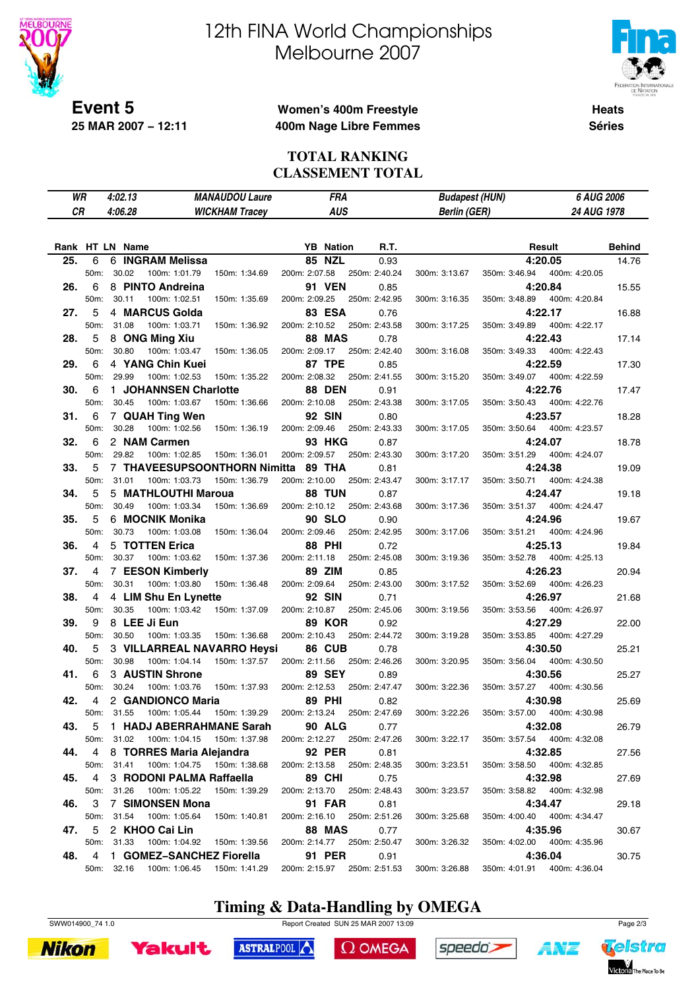

# 12th FINA World Championships Melbourne 2007



**Heats Séries**

### **Women's 400m Freestyle 400m Nage Libre Femmes**

#### **TOTAL RANKING CLASSEMENT TOTAL**

| WR              |            |       | 4:02.13 |                                     | <b>MANAUDOU Laure</b> |               | FRA              |                             | <b>Budapest (HUN)</b> |               | 6 AUG 2006                   |               |
|-----------------|------------|-------|---------|-------------------------------------|-----------------------|---------------|------------------|-----------------------------|-----------------------|---------------|------------------------------|---------------|
| CR              |            |       | 4:06.28 |                                     | <b>WICKHAM Tracey</b> |               | <b>AUS</b>       |                             | <b>Berlin (GER)</b>   |               | 24 AUG 1978                  |               |
|                 |            |       |         |                                     |                       |               |                  |                             |                       |               |                              |               |
|                 |            |       |         |                                     |                       |               |                  |                             |                       |               |                              |               |
| Rank HT LN Name |            |       |         |                                     |                       |               | <b>YB</b> Nation | R.T.                        |                       |               | Result                       | <b>Behind</b> |
| 25.             | 6          |       |         | 6 INGRAM Melissa                    |                       | <b>85 NZL</b> |                  | 0.93                        |                       |               | 4:20.05                      | 14.76         |
|                 | 50m:       |       | 30.02   | 100m: 1:01.79                       | 150m: 1:34.69         | 200m: 2:07.58 |                  | 250m: 2:40.24               | 300m: 3:13.67         | 350m: 3:46.94 | 400m: 4:20.05                |               |
| 26.             | 6          |       |         | 8 PINTO Andreina                    |                       |               | <b>91 VEN</b>    | 0.85                        |                       |               | 4:20.84                      | 15.55         |
|                 | 50m:       |       | 30.11   | 100m: 1:02.51                       | 150m: 1:35.69         | 200m: 2:09.25 |                  | 250m: 2:42.95               | 300m: 3:16.35         | 350m: 3:48.89 | 400m: 4:20.84                |               |
| 27.             | 5          |       |         | 4 MARCUS Golda                      |                       |               | <b>83 ESA</b>    | 0.76                        |                       |               | 4:22.17                      | 16.88         |
|                 | 50m:       |       | 31.08   | 100m: 1:03.71                       | 150m: 1:36.92         | 200m: 2:10.52 |                  | 250m: 2:43.58               | 300m: 3:17.25         | 350m: 3:49.89 | 400m: 4:22.17                |               |
| 28.             | 5          |       |         | 8 ONG Ming Xiu                      |                       |               | <b>88 MAS</b>    | 0.78                        |                       |               | 4:22.43                      | 17.14         |
|                 | 50m:       |       | 30.80   | 100m: 1:03.47                       | 150m: 1:36.05         | 200m: 2:09.17 |                  | 250m: 2:42.40               | 300m: 3:16.08         | 350m: 3:49.33 | 400m: 4:22.43                |               |
| 29.             | 6          |       |         | 4 YANG Chin Kuei                    |                       | 87 TPE        |                  | 0.85                        |                       |               | 4:22.59                      | 17.30         |
|                 | 50m:       |       | 29.99   | 100m: 1:02.53                       | 150m: 1:35.22         | 200m: 2:08.32 |                  | 250m: 2:41.55               | 300m: 3:15.20         | 350m: 3:49.07 | 400m: 4:22.59                |               |
| 30.             | 6          |       |         | 1 JOHANNSEN Charlotte               |                       |               | <b>88 DEN</b>    | 0.91                        |                       |               | 4:22.76                      | 17.47         |
|                 | 50m:       |       | 30.45   | 100m: 1:03.67                       | 150m: 1:36.66         | 200m: 2:10.08 |                  | 250m: 2:43.38               | 300m: 3:17.05         | 350m: 3:50.43 | 400m: 4:22.76                |               |
| 31.             | 6          |       |         | 7 QUAH Ting Wen                     |                       | <b>92 SIN</b> |                  | 0.80                        |                       |               | 4:23.57                      | 18.28         |
|                 | 50m:       |       | 30.28   | 100m: 1:02.56                       | 150m: 1:36.19         | 200m: 2:09.46 |                  | 250m: 2:43.33               | 300m: 3:17.05         | 350m: 3:50.64 | 400m: 4:23.57                |               |
| 32.             | 6          |       |         | 2 NAM Carmen                        |                       |               | <b>93 HKG</b>    | 0.87                        |                       |               | 4:24.07                      | 18.78         |
|                 | 50m:       |       | 29.82   | 100m: 1:02.85                       | 150m: 1:36.01         | 200m: 2:09.57 |                  | 250m: 2:43.30               | 300m: 3:17.20         | 350m: 3:51.29 | 400m: 4:24.07                |               |
| 33.             | 5          |       |         | <b>7 THAVEESUPSOONTHORN Nimitta</b> |                       | 89 THA        |                  | 0.81                        |                       |               | 4:24.38                      | 19.09         |
|                 | 50m:       |       | 31.01   | 100m: 1:03.73                       | 150m: 1:36.79         | 200m: 2:10.00 |                  | 250m: 2:43.47               | 300m: 3:17.17         | 350m: 3:50.71 | 400m: 4:24.38                |               |
| 34.             | 5          |       |         | 5 MATHLOUTHI Maroua                 |                       |               | 88 TUN           | 0.87                        |                       |               | 4:24.47                      | 19.18         |
|                 | 50m:       |       | 30.49   | 100m: 1:03.34                       | 150m: 1:36.69         | 200m: 2:10.12 |                  | 250m: 2:43.68               | 300m: 3:17.36         | 350m: 3:51.37 | 400m: 4:24.47                |               |
| 35.             | 5          |       |         | 6 MOCNIK Monika                     |                       |               | <b>90 SLO</b>    | 0.90                        |                       |               | 4:24.96                      | 19.67         |
|                 | 50m:       |       | 30.73   | 100m: 1:03.08                       | 150m: 1:36.04         | 200m: 2:09.46 |                  | 250m: 2:42.95               | 300m: 3:17.06         | 350m: 3:51.21 | 400m: 4:24.96                |               |
| 36.             | 4          |       |         | 5 TOTTEN Erica                      |                       | <b>88 PHI</b> |                  | 0.72                        |                       |               | 4:25.13                      | 19.84         |
|                 | 50m:       |       | 30.37   | 100m: 1:03.62                       | 150m: 1:37.36         | 200m: 2:11.18 |                  | 250m: 2:45.08               | 300m: 3:19.36         | 350m: 3:52.78 | 400m: 4:25.13                |               |
| 37.             | 4          |       |         | 7 EESON Kimberly                    |                       | 89 ZIM        |                  | 0.85                        |                       |               | 4:26.23                      | 20.94         |
|                 | 50m:       |       | 30.31   | 100m: 1:03.80                       | 150m: 1:36.48         | 200m: 2:09.64 |                  | 250m: 2:43.00               | 300m: 3:17.52         | 350m: 3:52.69 | 400m: 4:26.23                |               |
| 38.             | 4          |       |         | 4 LIM Shu En Lynette                |                       | <b>92 SIN</b> |                  | 0.71                        |                       |               | 4:26.97                      | 21.68         |
|                 | 50m:       |       | 30.35   | 100m: 1:03.42                       | 150m: 1:37.09         | 200m: 2:10.87 |                  | 250m: 2:45.06               | 300m: 3:19.56         | 350m: 3:53.56 | 400m: 4:26.97                |               |
| 39.             | 9          |       |         | 8 LEE Ji Eun                        |                       |               | <b>89 KOR</b>    | 0.92                        |                       |               | 4:27.29                      | 22.00         |
|                 | 50m:       |       | 30.50   | 100m: 1:03.35                       | 150m: 1:36.68         | 200m: 2:10.43 |                  | 250m: 2:44.72               | 300m: 3:19.28         | 350m: 3:53.85 | 400m: 4:27.29                |               |
| 40.             | 5          |       |         | 3 VILLARREAL NAVARRO Heysi          |                       |               | 86 CUB           | 0.78                        |                       |               | 4:30.50                      | 25.21         |
|                 | 50m:       |       | 30.98   | 100m: 1:04.14                       | 150m: 1:37.57         | 200m: 2:11.56 |                  | 250m: 2:46.26               | 300m: 3:20.95         | 350m: 3:56.04 | 400m: 4:30.50                |               |
| 41.             | 6          |       |         | 3 AUSTIN Shrone                     |                       |               | <b>89 SEY</b>    | 0.89                        |                       |               | 4:30.56                      | 25.27         |
|                 | 50m:       |       | 30.24   | 100m: 1:03.76                       | 150m: 1:37.93         | 200m: 2:12.53 |                  | 250m: 2:47.47               | 300m: 3:22.36         | 350m: 3:57.27 | 400m: 4:30.56                |               |
| 42.             | 4          |       |         | 2 GANDIONCO Maria                   |                       | <b>89 PHI</b> |                  | 0.82                        |                       |               | 4:30.98                      | 25.69         |
|                 |            |       |         | 50m: 31.55 100m: 1:05.44            | 150m: 1:39.29         | 200m: 2:13.24 |                  | 250m: 2:47.69               | 300m: 3:22.26         | 350m: 3:57.00 | 400m: 4:30.98                |               |
| 43.             |            |       |         | 5 1 HADJ ABERRAHMANE Sarah          |                       |               | <b>90 ALG</b>    | 0.77                        |                       |               | 4:32.08                      | 26.79         |
|                 | 50m:       |       | 31.02   | 100m: 1:04.15                       | 150m: 1:37.98         |               |                  | 200m: 2:12.27 250m: 2:47.26 | 300m: 3:22.17         |               | 350m: 3:57.54 400m: 4:32.08  |               |
| 44.             | 4          |       |         | 8 TORRES Maria Alejandra            |                       |               | <b>92 PER</b>    | 0.81                        |                       |               | 4:32.85                      | 27.56         |
|                 | 50m:       | 31.41 |         | 100m: 1:04.75  150m: 1:38.68        |                       |               |                  | 200m: 2:13.58 250m: 2:48.35 | 300m: 3:23.51         |               | 350m: 3:58.50  400m: 4:32.85 |               |
| 45.             | 4          |       |         | 3 RODONI PALMA Raffaella            |                       | <b>89 CHI</b> |                  | 0.75                        |                       |               | 4:32.98                      | 27.69         |
|                 | 50m:       |       | 31.26   | 100m: 1:05.22                       | 150m: 1:39.29         | 200m: 2:13.70 |                  | 250m: 2:48.43               | 300m: 3:23.57         |               | 350m: 3:58.82  400m: 4:32.98 |               |
| 46.             | 3          |       |         | 7 SIMONSEN Mona                     |                       |               | <b>91 FAR</b>    | 0.81                        |                       |               | 4:34.47                      | 29.18         |
|                 | 50m: 31.54 |       |         | 100m: 1:05.64                       | 150m: 1:40.81         |               |                  | 200m: 2:16.10 250m: 2:51.26 | 300m: 3:25.68         |               | 350m: 4:00.40  400m: 4:34.47 |               |
| 47.             | 5          |       |         | 2 KHOO Cai Lin                      |                       |               | <b>88 MAS</b>    | 0.77                        |                       |               | 4:35.96                      | 30.67         |
|                 | 50m:       |       | 31.33   | 100m: 1:04.92                       | 150m: 1:39.56         |               |                  | 200m: 2:14.77 250m: 2:50.47 | 300m: 3:26.32         |               | 350m: 4:02.00 400m: 4:35.96  |               |
| 48.             | 4          |       |         | 1 GOMEZ-SANCHEZ Fiorella            |                       |               | 91 PER           | 0.91                        |                       |               | 4:36.04                      | 30.75         |
|                 |            |       |         | 50m: 32.16 100m: 1:06.45            | 150m: 1:41.29         |               |                  | 200m: 2:15.97 250m: 2:51.53 | 300m: 3:26.88         |               | 350m: 4:01.91  400m: 4:36.04 |               |

# **Timing & Data-Handling by OMEGA**

SWW014900\_74 1.0 Report Created SUN 25 MAR 2007 13:09 Page 2/3





ASTRALPOOL

 $\Omega$  OMEGA



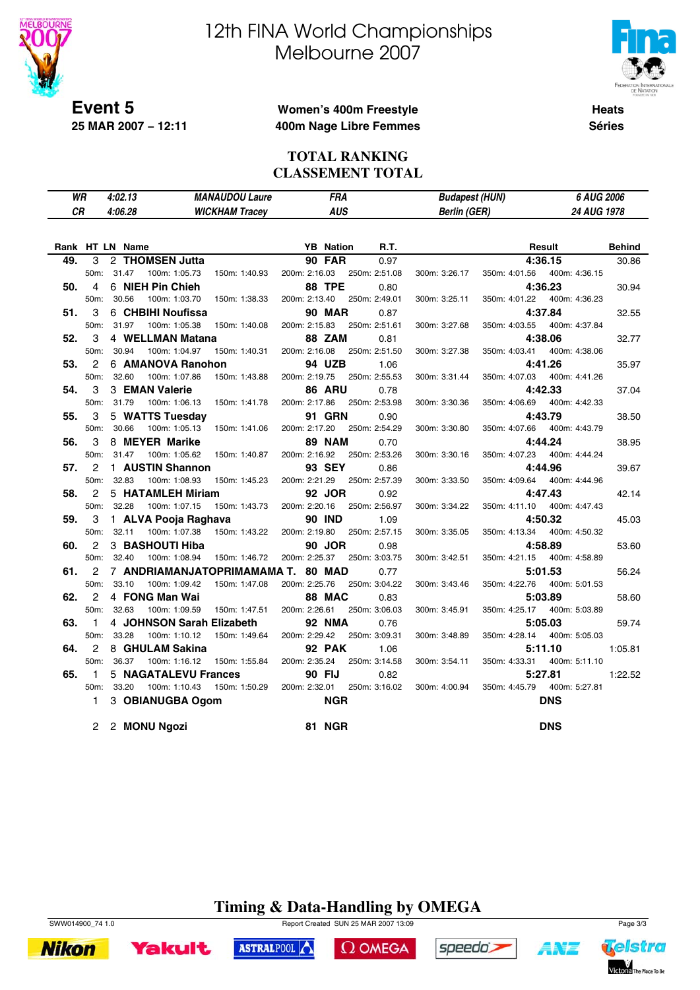

# 12th FINA World Championships Melbourne 2007



**Heats Séries**

### **Women's 400m Freestyle 400m Nage Libre Femmes**

#### **TOTAL RANKING CLASSEMENT TOTAL**

| WR        |                   | 4:02.13                | <b>MANAUDOU Laure</b>              | FRA              |               | <b>Budapest (HUN)</b> |               | 6 AUG 2006    |               |
|-----------|-------------------|------------------------|------------------------------------|------------------|---------------|-----------------------|---------------|---------------|---------------|
| <b>CR</b> |                   | 4:06.28                | <b>WICKHAM Tracey</b>              | <b>AUS</b>       |               | <b>Berlin (GER)</b>   |               | 24 AUG 1978   |               |
|           |                   |                        |                                    |                  |               |                       |               |               |               |
|           |                   | Rank HT LN Name        |                                    | <b>YB</b> Nation | R.T.          |                       |               | Result        | <b>Behind</b> |
| 49.       | 3                 | 2 THOMSEN Jutta        |                                    | <b>90 FAR</b>    | 0.97          |                       |               | 4:36.15       | 30.86         |
|           | 50 <sub>m</sub> : | 31.47<br>100m: 1:05.73 | 150m: 1:40.93                      | 200m: 2:16.03    | 250m: 2:51.08 | 300m: 3:26.17         | 350m: 4:01.56 | 400m: 4:36.15 |               |
| 50.       | 4                 | 6 NIEH Pin Chieh       |                                    | 88 TPE           | 0.80          |                       |               | 4:36.23       | 30.94         |
|           | 50m:              | 30.56<br>100m: 1:03.70 | 150m: 1:38.33                      | 200m: 2:13.40    | 250m: 2:49.01 | 300m: 3:25.11         | 350m: 4:01.22 | 400m: 4:36.23 |               |
| 51.       | 3                 | 6 CHBIHI Noufissa      |                                    | <b>90 MAR</b>    | 0.87          |                       |               | 4:37.84       | 32.55         |
|           | 50m:              | 31.97<br>100m: 1:05.38 | 150m: 1:40.08                      | 200m: 2:15.83    | 250m: 2:51.61 | 300m: 3:27.68         | 350m: 4:03.55 | 400m: 4:37.84 |               |
| 52.       | 3                 | 4 WELLMAN Matana       |                                    | 88 ZAM           | 0.81          |                       |               | 4:38.06       | 32.77         |
|           | 50 <sub>m</sub> : | 30.94<br>100m: 1:04.97 | 150m: 1:40.31                      | 200m: 2:16.08    | 250m: 2:51.50 | 300m: 3:27.38         | 350m: 4:03.41 | 400m: 4:38.06 |               |
| 53.       | 2                 | 6 AMANOVA Ranohon      |                                    | 94 UZB           | 1.06          |                       |               | 4:41.26       | 35.97         |
|           | 50m:              | 32.60<br>100m: 1:07.86 | 150m: 1:43.88                      | 200m: 2:19.75    | 250m: 2:55.53 | 300m: 3:31.44         | 350m: 4:07.03 | 400m: 4:41.26 |               |
| 54.       | 3                 | 3 EMAN Valerie         |                                    | 86 ARU           | 0.78          |                       |               | 4:42.33       | 37.04         |
|           | 50m:              | 31.79<br>100m: 1:06.13 | 150m: 1:41.78                      | 200m: 2:17.86    | 250m: 2:53.98 | 300m: 3:30.36         | 350m: 4:06.69 | 400m: 4:42.33 |               |
| 55.       | 3                 | 5 WATTS Tuesday        |                                    | <b>91 GRN</b>    | 0.90          |                       |               | 4:43.79       | 38.50         |
|           | 50m:              | 30.66<br>100m: 1:05.13 | 150m: 1:41.06                      | 200m: 2:17.20    | 250m: 2:54.29 | 300m: 3:30.80         | 350m: 4:07.66 | 400m: 4:43.79 |               |
| 56.       | 3                 | 8 MEYER Marike         |                                    | <b>89 NAM</b>    | 0.70          |                       |               | 4:44.24       | 38.95         |
|           | 50m:              | 31.47<br>100m: 1:05.62 | 150m: 1:40.87                      | 200m: 2:16.92    | 250m: 2:53.26 | 300m: 3:30.16         | 350m: 4:07.23 | 400m: 4:44.24 |               |
| 57.       | 2                 | 1 AUSTIN Shannon       |                                    | 93 SEY           | 0.86          |                       |               | 4:44.96       | 39.67         |
|           | 50 <sub>m</sub> : | 32.83<br>100m: 1:08.93 | 150m: 1:45.23                      | 200m: 2:21.29    | 250m: 2:57.39 | 300m: 3:33.50         | 350m: 4:09.64 | 400m: 4:44.96 |               |
| 58.       | $\overline{c}$    | 5 HATAMLEH Miriam      |                                    | 92 JOR           | 0.92          |                       |               | 4:47.43       | 42.14         |
|           | 50m:              | 32.28<br>100m: 1:07.15 | 150m: 1:43.73                      | 200m: 2:20.16    | 250m: 2:56.97 | 300m: 3:34.22         | 350m: 4:11.10 | 400m: 4:47.43 |               |
| 59.       | 3                 | 1 ALVA Pooja Raghava   |                                    | <b>90 IND</b>    | 1.09          |                       |               | 4:50.32       | 45.03         |
|           | 50m:              | 32.11<br>100m: 1:07.38 | 150m: 1:43.22                      | 200m: 2:19.80    | 250m: 2:57.15 | 300m: 3:35.05         | 350m: 4:13.34 | 400m: 4:50.32 |               |
| 60.       | $\overline{2}$    | 3 BASHOUTI Hiba        |                                    | 90 JOR           | 0.98          |                       |               | 4:58.89       | 53.60         |
|           | 50m:              | 32.40<br>100m: 1:08.94 | 150m: 1:46.72                      | 200m: 2:25.37    | 250m: 3:03.75 | 300m: 3:42.51         | 350m: 4:21.15 | 400m: 4:58.89 |               |
| 61.       | 2                 |                        | 7 ANDRIAMANJATOPRIMAMAMA T. 80 MAD |                  | 0.77          |                       |               | 5:01.53       | 56.24         |
|           | 50m:              | 33.10<br>100m: 1:09.42 | 150m: 1:47.08                      | 200m: 2:25.76    | 250m: 3:04.22 | 300m: 3:43.46         | 350m: 4:22.76 | 400m: 5:01.53 |               |
| 62.       | $\overline{2}$    | 4 FONG Man Wai         |                                    | 88 MAC           | 0.83          |                       |               | 5:03.89       | 58.60         |
|           | 50m:              | 32.63<br>100m: 1:09.59 | 150m: 1:47.51                      | 200m: 2:26.61    | 250m: 3:06.03 | 300m: 3:45.91         | 350m: 4:25.17 | 400m: 5:03.89 |               |
| 63.       | $\mathbf{1}$      |                        | 4 JOHNSON Sarah Elizabeth          | <b>92 NMA</b>    | 0.76          |                       |               | 5:05.03       | 59.74         |
|           | 50m:              | 33.28<br>100m: 1:10.12 | 150m: 1:49.64                      | 200m: 2:29.42    | 250m: 3:09.31 | 300m: 3:48.89         | 350m: 4:28.14 | 400m: 5:05.03 |               |
| 64.       | 2                 | 8 GHULAM Sakina        |                                    | <b>92 PAK</b>    | 1.06          |                       |               | 5:11.10       | 1:05.81       |
|           | 50 <sub>m</sub> : | 36.37<br>100m: 1:16.12 | 150m: 1:55.84                      | 200m: 2:35.24    | 250m: 3:14.58 | 300m: 3:54.11         | 350m: 4:33.31 | 400m: 5:11.10 |               |
| 65.       | $\mathbf{1}$      | 5 NAGATALEVU Frances   |                                    | 90 FIJ           | 0.82          |                       |               | 5:27.81       | 1:22.52       |
|           | 50m:              | 33.20<br>100m: 1:10.43 | 150m: 1:50.29                      | 200m: 2:32.01    | 250m: 3:16.02 | 300m: 4:00.94         | 350m: 4:45.79 | 400m: 5:27.81 |               |
|           | 1.                | 3 OBIANUGBA Ogom       |                                    | NGR              |               |                       |               | <b>DNS</b>    |               |
|           | 2                 | 2 MONU Ngozi           |                                    | <b>81 NGR</b>    |               |                       |               | <b>DNS</b>    |               |

# **Timing & Data-Handling by OMEGA**





**Yakult** 

SWW014900\_74 1.0 Report Created SUN 25 MAR 2007 13:09 Page 3/3

ASTRALPOOL



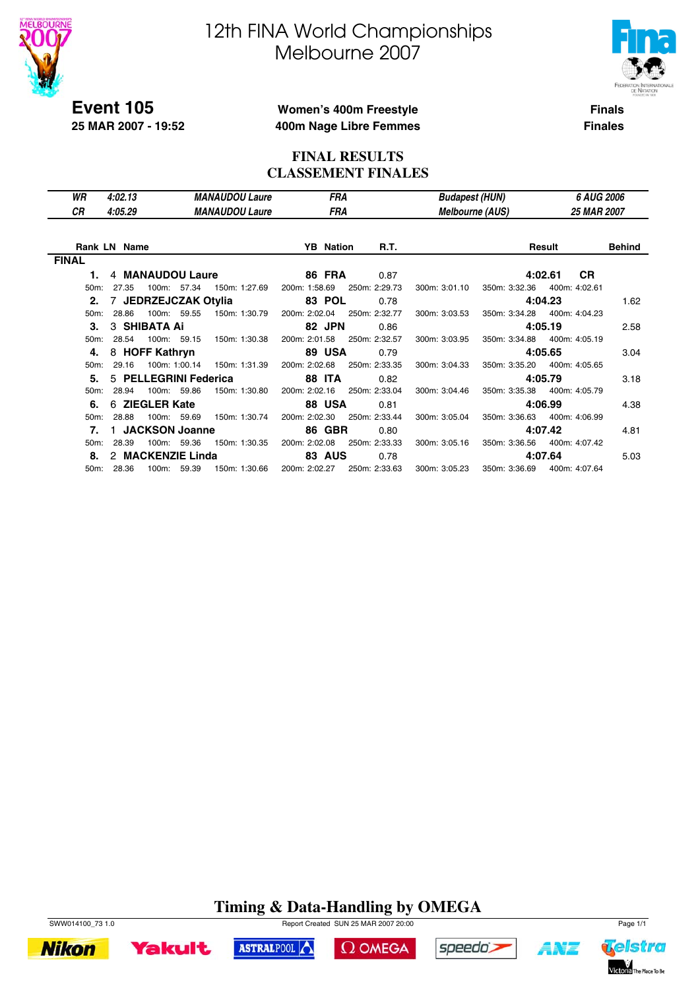

**25 MAR 2007 - 19:52**

# 12th FINA World Championships Melbourne 2007



**Finals**

#### **Women's 400m Freestyle 400m Nage Libre Femmes**

**Finales**

### **FINAL RESULTS CLASSEMENT FINALES**

| WR                | 4:02.13             |                         | <b>MANAUDOU Laure</b>        | <b>FRA</b>       |               |               | <b>Budapest (HUN)</b>  | 6 AUG 2006                   |               |
|-------------------|---------------------|-------------------------|------------------------------|------------------|---------------|---------------|------------------------|------------------------------|---------------|
| СR                | 4:05.29             |                         | <b>MANAUDOU Laure</b>        | FRA              |               |               | <b>Melbourne (AUS)</b> | <b>25 MAR 2007</b>           |               |
|                   |                     |                         |                              |                  |               |               |                        |                              |               |
|                   | <b>Rank LN Name</b> |                         |                              | <b>YB</b> Nation | <b>R.T.</b>   |               |                        | Result                       | <b>Behind</b> |
| <b>FINAL</b>      |                     |                         |                              |                  |               |               |                        |                              |               |
| 1.                |                     | 4 MANAUDOU Laure        |                              | <b>86 FRA</b>    | 0.87          |               |                        | <b>CR</b><br>4:02.61         |               |
| 50 <sub>m</sub> : | 27.35               | 100m: 57.34             | 150m: 1:27.69                | 200m: 1:58.69    | 250m: 2:29.73 | 300m: 3:01.10 |                        | 350m: 3:32.36 400m: 4:02.61  |               |
|                   |                     | 2. 7 JEDRZEJCZAK Otylia |                              | 83 POL           | 0.78          |               |                        | 4:04.23                      | 1.62          |
| 50 <sub>m</sub> : | 28.86               | 100m: 59.55             | 150m: 1:30.79                | 200m: 2:02.04    | 250m: 2:32.77 | 300m: 3:03.53 |                        | 350m: 3:34.28 400m: 4:04.23  |               |
| 3.                |                     | 3 SHIBATA Ai            |                              | 82 JPN           | 0.86          |               |                        | 4:05.19                      | 2.58          |
|                   | 50m: 28.54          | 100m: 59.15             | 150m: 1:30.38                | 200m: 2:01.58    | 250m: 2:32.57 | 300m: 3:03.95 |                        | 350m: 3:34.88  400m: 4:05.19 |               |
| 4.                |                     | 8 HOFF Kathryn          |                              | 89 USA           | 0.79          |               |                        | 4:05.65                      | 3.04          |
| 50 <sub>m</sub> : | 29.16               |                         | 100m: 1:00.14  150m: 1:31.39 | 200m: 2:02.68    | 250m: 2:33.35 | 300m: 3:04.33 |                        | 350m: 3:35.20  400m: 4:05.65 |               |
| 5.                |                     | 5 PELLEGRINI Federica   |                              | <b>88 ITA</b>    | 0.82          |               |                        | 4:05.79                      | 3.18          |
| $50m$ :           | 28.94               | 100m: 59.86             | 150m: 1:30.80                | 200m: 2:02.16    | 250m: 2:33.04 | 300m: 3:04.46 |                        | 350m: 3:35.38 400m: 4:05.79  |               |
| 6.                |                     | 6 ZIEGLER Kate          |                              | <b>88 USA</b>    | 0.81          |               |                        | 4:06.99                      | 4.38          |
| 50 <sub>m</sub> : | 28.88               | 100m: 59.69             | 150m: 1:30.74                | 200m: 2:02.30    | 250m: 2:33.44 | 300m: 3:05.04 |                        | 350m: 3:36.63 400m: 4:06.99  |               |
| 7.                |                     | 1 JACKSON Joanne        |                              | <b>86 GBR</b>    | 0.80          |               |                        | 4:07.42                      | 4.81          |
| 50m:              | 28.39               | 100m: 59.36             | 150m: 1:30.35                | 200m: 2:02.08    | 250m: 2:33.33 | 300m: 3:05.16 |                        | 350m: 3:36.56 400m: 4:07.42  |               |
| 8.                |                     | 2 MACKENZIE Linda       |                              | <b>83 AUS</b>    | 0.78          |               |                        | 4:07.64                      | 5.03          |
|                   | 50m: 28.36          | 100m: 59.39             | 150m: 1:30.66                | 200m: 2:02.27    | 250m: 2:33.63 | 300m: 3:05.23 |                        | 350m: 3:36.69 400m: 4:07.64  |               |

#### **Timing & Data-Handling by OMEGA** SWW014100\_73 1.0 Report Created SUN 25 MAR 2007 20:00

 $\Omega$  OMEGA

speedo's

ASTRALPOOL



**Yakult** 



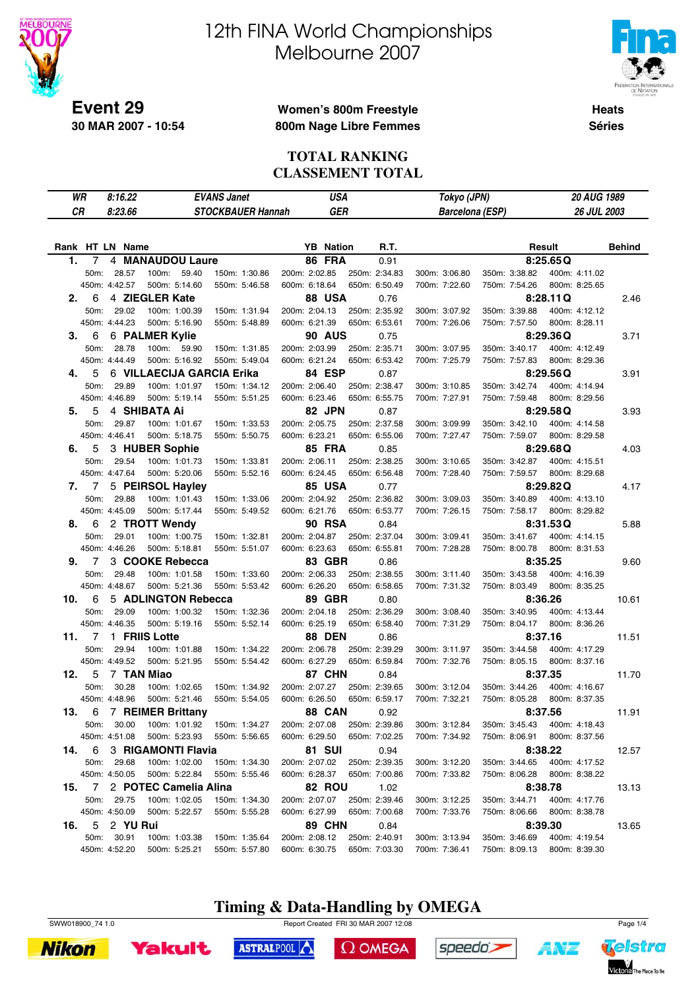

# 12th FINA World Championships Melbourne 2007



**Heats Séries**

### **Women's 800m Freestyle 800m Nage Libre Femmes**

#### **TOTAL RANKING CLASSEMENT TOTAL**

|     | WR   | 8:16.22         |                           | <b>EVANS Janet</b>       |               | <b>USA</b>       |               | Tokyo (JPN)            |               | 20 AUG 1989   |               |
|-----|------|-----------------|---------------------------|--------------------------|---------------|------------------|---------------|------------------------|---------------|---------------|---------------|
| CR  |      | 8:23.66         |                           | <b>STOCKBAUER Hannah</b> |               | <b>GER</b>       |               | <b>Barcelona (ESP)</b> |               | 26 JUL 2003   |               |
|     |      |                 |                           |                          |               |                  |               |                        |               |               |               |
|     |      | Rank HT LN Name |                           |                          |               | <b>YB</b> Nation | R.T.          |                        |               | Result        | <b>Behind</b> |
| 1.  | 7    |                 | 4 MANAUDOU Laure          |                          |               | 86 FRA           | 0.91          |                        |               | 8:25.65Q      |               |
|     | 50m: | 28.57           | 100m: 59.40               | 150m: 1:30.86            | 200m: 2:02.85 |                  | 250m: 2:34.83 | 300m: 3:06.80          | 350m: 3:38.82 | 400m: 4:11.02 |               |
|     |      | 450m: 4:42.57   | 500m: 5:14.60             | 550m: 5:46.58            | 600m: 6:18.64 |                  | 650m: 6:50.49 | 700m: 7:22.60          | 750m: 7:54.26 | 800m: 8:25.65 |               |
| 2.  | 6    |                 | 4 ZIEGLER Kate            |                          |               | <b>88 USA</b>    | 0.76          |                        |               | 8:28.11Q      | 2.46          |
|     | 50m: | 29.02           | 100m: 1:00.39             | 150m: 1:31.94            | 200m: 2:04.13 |                  | 250m: 2:35.92 | 300m: 3:07.92          | 350m: 3:39.88 | 400m: 4:12.12 |               |
|     |      | 450m: 4:44.23   | 500m: 5:16.90             | 550m: 5:48.89            | 600m: 6:21.39 |                  | 650m: 6:53.61 | 700m: 7:26.06          | 750m: 7:57.50 | 800m: 8:28.11 |               |
| З.  | 6    |                 | 6 PALMER Kylie            |                          |               | <b>90 AUS</b>    | 0.75          |                        |               | 8:29.36Q      | 3.71          |
|     | 50m: | 28.78           | 100m: 59.90               | 150m: 1:31.85            | 200m: 2:03.99 |                  | 250m: 2:35.71 | 300m: 3:07.95          | 350m: 3:40.17 | 400m: 4:12.49 |               |
|     |      | 450m: 4:44.49   | 500m: 5:16.92             | 550m: 5:49.04            | 600m: 6:21.24 |                  | 650m: 6:53.42 | 700m: 7:25.79          | 750m: 7:57.83 | 800m: 8:29.36 |               |
| 4.  | 5    |                 | 6 VILLAECIJA GARCIA Erika |                          |               | 84 ESP           | 0.87          |                        |               | 8:29.56Q      | 3.91          |
|     | 50m: | 29.89           | 100m: 1:01.97             | 150m: 1:34.12            | 200m: 2:06.40 |                  | 250m: 2:38.47 | 300m: 3:10.85          | 350m: 3:42.74 | 400m: 4:14.94 |               |
|     |      | 450m: 4:46.89   | 500m: 5:19.14             | 550m: 5:51.25            | 600m: 6:23.46 |                  | 650m: 6:55.75 | 700m: 7:27.91          | 750m: 7:59.48 | 800m: 8:29.56 |               |
| 5.  | 5    |                 | 4 SHIBATA Ai              |                          |               | 82 JPN           | 0.87          |                        |               | 8:29.58Q      | 3.93          |
|     | 50m: | 29.87           | 100m: 1:01.67             | 150m: 1:33.53            | 200m: 2:05.75 |                  | 250m: 2:37.58 | 300m: 3:09.99          | 350m: 3:42.10 | 400m: 4:14.58 |               |
|     |      | 450m: 4:46.41   | 500m: 5:18.75             | 550m: 5:50.75            | 600m: 6:23.21 |                  | 650m: 6:55.06 | 700m: 7:27.47          | 750m: 7:59.07 | 800m: 8:29.58 |               |
| 6.  | 5    |                 | 3 HUBER Sophie            |                          |               | <b>85 FRA</b>    | 0.85          |                        |               | 8:29.68Q      | 4.03          |
|     | 50m: | 29.54           | 100m: 1:01.73             | 150m: 1:33.81            | 200m: 2:06.11 |                  | 250m: 2:38.25 | 300m: 3:10.65          | 350m: 3:42.87 | 400m: 4:15.51 |               |
|     |      | 450m: 4:47.64   | 500m: 5:20.06             | 550m: 5:52.16            | 600m: 6:24.45 |                  | 650m: 6:56.48 | 700m: 7:28.40          | 750m: 7:59.57 | 800m: 8:29.68 |               |
| 7.  | 7    |                 | 5 PEIRSOL Hayley          |                          |               | 85 USA           | 0.77          |                        |               | 8:29.82Q      | 4.17          |
|     | 50m: | 29.88           | 100m: 1:01.43             | 150m: 1:33.06            | 200m: 2:04.92 |                  | 250m: 2:36.82 | 300m: 3:09.03          | 350m: 3:40.89 | 400m: 4:13.10 |               |
|     |      | 450m: 4:45.09   | 500m: 5:17.44             | 550m: 5:49.52            | 600m: 6:21.76 |                  | 650m: 6:53.77 | 700m: 7:26.15          | 750m: 7:58.17 | 800m: 8:29.82 |               |
| 8.  | 6    |                 | 2 TROTT Wendy             |                          |               | <b>90 RSA</b>    | 0.84          |                        |               | 8:31.53Q      | 5.88          |
|     | 50m: | 29.01           | 100m: 1:00.75             | 150m: 1:32.81            | 200m: 2:04.87 |                  | 250m: 2:37.04 | 300m: 3:09.41          | 350m: 3:41.67 | 400m: 4:14.15 |               |
|     |      | 450m: 4:46.26   | 500m: 5:18.81             | 550m: 5:51.07            | 600m: 6:23.63 |                  | 650m: 6:55.81 | 700m: 7:28.28          | 750m: 8:00.78 | 800m: 8:31.53 |               |
| 9.  | 7    |                 | 3 COOKE Rebecca           |                          |               | 83 GBR           | 0.86          |                        |               | 8:35.25       | 9.60          |
|     | 50m: | 29.48           | 100m: 1:01.58             | 150m: 1:33.60            | 200m: 2:06.33 |                  | 250m: 2:38.55 | 300m: 3:11.40          | 350m: 3:43.58 | 400m: 4:16.39 |               |
|     |      | 450m: 4:48.67   | 500m: 5:21.36             | 550m: 5:53.42            | 600m: 6:26.20 |                  | 650m: 6:58.65 | 700m: 7:31.32          | 750m: 8:03.49 | 800m: 8:35.25 |               |
| 10. | 6    |                 | 5 ADLINGTON Rebecca       |                          |               | <b>89 GBR</b>    | 0.80          |                        |               | 8:36.26       | 10.61         |
|     | 50m: | 29.09           | 100m: 1:00.32             | 150m: 1:32.36            | 200m: 2:04.18 |                  | 250m: 2:36.29 | 300m: 3:08.40          | 350m: 3:40.95 | 400m: 4:13.44 |               |
|     |      | 450m: 4:46.35   | 500m: 5:19.16             | 550m: 5:52.14            | 600m: 6:25.19 |                  | 650m: 6:58.40 | 700m: 7:31.29          | 750m: 8:04.17 | 800m: 8:36.26 |               |
| 11. | 7    |                 | 1 FRIIS Lotte             |                          |               | <b>88 DEN</b>    | 0.86          |                        |               | 8:37.16       | 11.51         |
|     | 50m: | 29.94           | 100m: 1:01.88             | 150m: 1:34.22            | 200m: 2:06.78 |                  | 250m: 2:39.29 | 300m: 3:11.97          | 350m: 3:44.58 | 400m: 4:17.29 |               |
|     |      | 450m: 4:49.52   | 500m: 5:21.95             | 550m: 5:54.42            | 600m: 6:27.29 |                  | 650m: 6:59.84 | 700m: 7:32.76          | 750m: 8:05.15 | 800m: 8:37.16 |               |
| 12. | 5    |                 | 7 TAN Miao                |                          |               | 87 CHN           | 0.84          |                        |               | 8:37.35       | 11.70         |
|     | 50m: | 30.28           | 100m: 1:02.65             | 150m: 1:34.92            | 200m: 2:07.27 |                  | 250m: 2:39.65 | 300m: 3:12.04          | 350m: 3:44.26 | 400m: 4:16.67 |               |
|     |      | 450m: 4:48.96   | 500m: 5:21.46             | 550m: 5:54.05            | 600m: 6:26.50 |                  | 650m: 6:59.17 | 700m: 7:32.21          | 750m: 8:05.28 | 800m: 8:37.35 |               |
| 13. |      |                 | 6 7 REIMER Brittany       |                          |               | 88 CAN           | 0.92          |                        |               | 8:37.56       | 11.91         |
|     | 50m: | 30.00           | 100m: 1:01.92             | 150m: 1:34.27            | 200m: 2:07.08 |                  | 250m: 2:39.86 | 300m: 3:12.84          | 350m: 3:45.43 | 400m: 4:18.43 |               |
|     |      | 450m: 4:51.08   | 500m: 5:23.93             | 550m: 5:56.65            | 600m: 6:29.50 |                  | 650m: 7:02.25 | 700m: 7:34.92          | 750m: 8:06.91 | 800m: 8:37.56 |               |
| 14. | 6    |                 | 3 RIGAMONTI Flavia        |                          |               | <b>81 SUI</b>    | 0.94          |                        |               | 8:38.22       | 12.57         |
|     | 50m: | 29.68           | 100m: 1:02.00             | 150m: 1:34.30            | 200m: 2:07.02 |                  | 250m: 2:39.35 | 300m: 3:12.20          | 350m: 3:44.65 | 400m: 4:17.52 |               |
|     |      | 450m: 4:50.05   | 500m: 5:22.84             | 550m: 5:55.46            | 600m: 6:28.37 |                  | 650m: 7:00.86 | 700m: 7:33.82          | 750m: 8:06.28 | 800m: 8:38.22 |               |
| 15. |      |                 | 7 2 POTEC Camelia Alina   |                          |               | 82 ROU           | 1.02          |                        |               | 8:38.78       | 13.13         |
|     | 50m: | 29.75           | 100m: 1:02.05             | 150m: 1:34.30            | 200m: 2:07.07 |                  | 250m: 2:39.46 | 300m: 3:12.25          | 350m: 3:44.71 | 400m: 4:17.76 |               |
|     |      | 450m: 4:50.09   | 500m: 5:22.57             | 550m: 5:55.28            | 600m: 6:27.99 |                  | 650m: 7:00.68 | 700m: 7:33.76          | 750m: 8:06.66 | 800m: 8:38.78 |               |
| 16. |      | 5 2 YU Rui      |                           |                          |               | <b>89 CHN</b>    | 0.84          |                        |               | 8:39.30       | 13.65         |
|     |      | 50m: 30.91      | 100m: 1:03.38             | 150m: 1:35.64            | 200m: 2:08.12 |                  | 250m: 2:40.91 | 300m: 3:13.94          | 350m: 3:46.69 | 400m: 4:19.54 |               |
|     |      | 450m: 4:52.20   | 500m: 5:25.21             | 550m: 5:57.80            | 600m: 6:30.75 |                  | 650m: 7:03.30 | 700m: 7:36.41          | 750m: 8:09.13 | 800m: 8:39.30 |               |

# **Timing & Data-Handling by OMEGA**

 $\Omega$  OMEGA





ASTRALPOOL



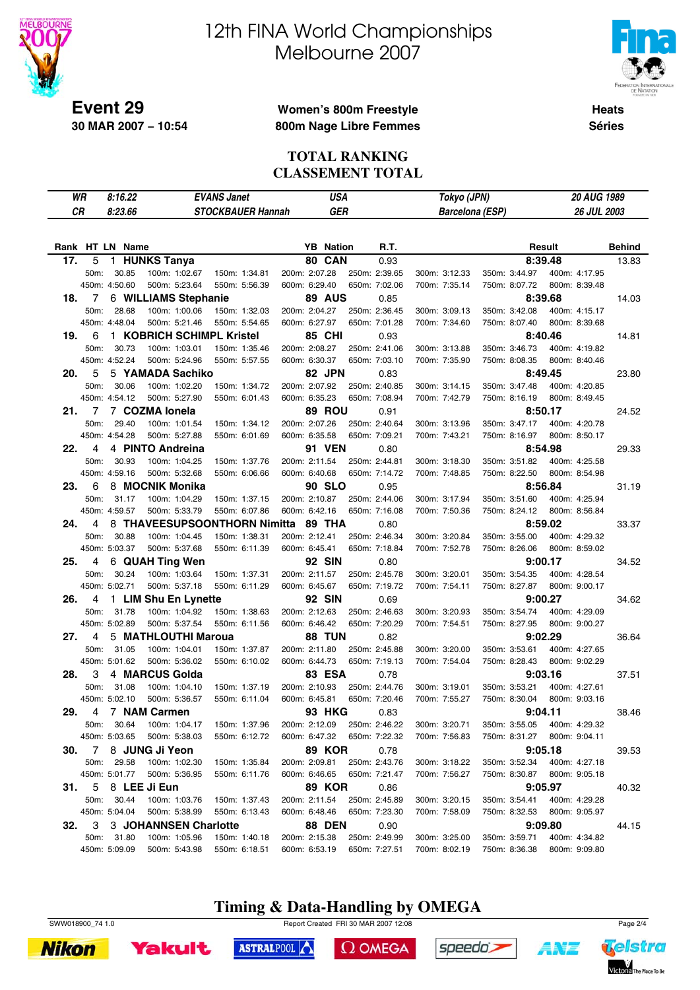

# 12th FINA World Championships Melbourne 2007



**Heats Séries**

### **Women's 800m Freestyle 800m Nage Libre Femmes**

#### **TOTAL RANKING CLASSEMENT TOTAL**

|     | WR   | 8:16.22         |                                | <b>EVANS Janet</b>             | <b>USA</b>                     |                                              | Tokyo (JPN)                    |                                                            | <b>20 AUG 1989</b>       |               |
|-----|------|-----------------|--------------------------------|--------------------------------|--------------------------------|----------------------------------------------|--------------------------------|------------------------------------------------------------|--------------------------|---------------|
| СR  |      | 8:23.66         |                                | <b>STOCKBAUER Hannah</b>       | <b>GER</b>                     |                                              | <b>Barcelona (ESP)</b>         |                                                            | <b>26 JUL 2003</b>       |               |
|     |      |                 |                                |                                |                                |                                              |                                |                                                            |                          |               |
|     |      | Rank HT LN Name |                                |                                | <b>YB</b> Nation               | R.T.                                         |                                |                                                            | Result                   | <b>Behind</b> |
| 17. | 5    |                 | 1 HUNKS Tanya                  |                                | 80 CAN                         | 0.93                                         |                                |                                                            | 8:39.48                  | 13.83         |
|     | 50m: | 30.85           | 100m: 1:02.67                  | 150m: 1:34.81                  | 200m: 2:07.28                  | 250m: 2:39.65                                | 300m: 3:12.33                  | 350m: 3:44.97                                              | 400m: 4:17.95            |               |
|     |      | 450m: 4:50.60   | 500m: 5:23.64                  | 550m: 5:56.39                  | 600m: 6:29.40                  | 650m: 7:02.06                                | 700m: 7:35.14                  | 750m: 8:07.72                                              | 800m: 8:39.48            |               |
| 18. | 7    |                 | 6 WILLIAMS Stephanie           |                                | 89 AUS                         | 0.85                                         |                                |                                                            | 8:39.68                  | 14.03         |
|     | 50m: | 28.68           | 100m: 1:00.06                  | 150m: 1:32.03                  | 200m: 2:04.27                  | 250m: 2:36.45                                | 300m: 3:09.13                  | 350m: 3:42.08                                              | 400m: 4:15.17            |               |
|     |      | 450m: 4:48.04   | 500m: 5:21.46                  | 550m: 5:54.65                  | 600m: 6:27.97                  | 650m: 7:01.28                                | 700m: 7:34.60                  | 750m: 8:07.40                                              | 800m: 8:39.68            |               |
| 19. | 6    |                 | 1 KOBRICH SCHIMPL Kristel      |                                | <b>85 CHI</b>                  | 0.93                                         |                                |                                                            | 8:40.46                  | 14.81         |
|     | 50m: | 30.73           | 100m: 1:03.01                  | 150m: 1:35.46                  | 200m: 2:08.27                  | 250m: 2:41.06                                | 300m: 3:13.88                  | 350m: 3:46.73                                              | 400m: 4:19.82            |               |
|     |      | 450m: 4:52.24   | 500m: 5:24.96                  | 550m: 5:57.55                  | 600m: 6:30.37                  | 650m: 7:03.10                                | 700m: 7:35.90                  | 750m: 8:08.35                                              | 800m: 8:40.46            |               |
| 20. | 5    |                 | 5 YAMADA Sachiko               |                                | 82 JPN                         | 0.83                                         |                                |                                                            | 8:49.45                  | 23.80         |
|     | 50m: | 30.06           | 100m: 1:02.20                  | 150m: 1:34.72                  | 200m: 2:07.92                  | 250m: 2:40.85                                | 300m: 3:14.15                  | 350m: 3:47.48                                              | 400m: 4:20.85            |               |
|     |      | 450m: 4:54.12   | 500m: 5:27.90                  | 550m: 6:01.43                  | 600m: 6:35.23                  | 650m: 7:08.94                                | 700m: 7:42.79                  | 750m: 8:16.19                                              | 800m: 8:49.45            |               |
| 21. | 7    |                 | 7 COZMA lonela                 |                                | 89 ROU                         | 0.91                                         |                                |                                                            | 8:50.17                  | 24.52         |
|     | 50m: | 29.40           | 100m: 1:01.54                  | 150m: 1:34.12                  | 200m: 2:07.26                  | 250m: 2:40.64                                | 300m: 3:13.96                  | 350m: 3:47.17                                              | 400m: 4:20.78            |               |
|     |      | 450m: 4:54.28   | 500m: 5:27.88                  | 550m: 6:01.69                  | 600m: 6:35.58                  | 650m: 7:09.21                                | 700m: 7:43.21                  | 750m: 8:16.97                                              | 800m: 8:50.17            |               |
| 22. | 4    |                 | 4 PINTO Andreina               |                                | <b>91 VEN</b>                  | 0.80                                         |                                |                                                            | 8:54.98                  | 29.33         |
|     | 50m: | 30.93           | 100m: 1:04.25                  | 150m: 1:37.76                  | 200m: 2:11.54                  | 250m: 2:44.81                                | 300m: 3:18.30                  | 350m: 3:51.82                                              | 400m: 4:25.58            |               |
|     |      | 450m: 4:59.16   | 500m: 5:32.68                  | 550m: 6:06.66                  | 600m: 6:40.68                  | 650m: 7:14.72                                | 700m: 7:48.85                  | 750m: 8:22.50                                              | 800m: 8:54.98            |               |
| 23. | 6    |                 | 8 MOCNIK Monika                |                                | <b>90 SLO</b>                  | 0.95                                         |                                |                                                            | 8:56.84                  | 31.19         |
|     | 50m: | 31.17           | 100m: 1:04.29                  | 150m: 1:37.15                  | 200m: 2:10.87                  | 250m: 2:44.06                                | 300m: 3:17.94                  | 350m: 3:51.60                                              | 400m: 4:25.94            |               |
|     |      | 450m: 4:59.57   | 500m: 5:33.79                  | 550m: 6:07.86                  | 600m: 6:42.16                  | 650m: 7:16.08                                | 700m: 7:50.36                  | 750m: 8:24.12                                              | 800m: 8:56.84            |               |
| 24. | 4    |                 | 8 THAVEESUPSOONTHORN Nimitta   |                                | 89 THA                         | 0.80                                         |                                |                                                            | 8:59.02                  | 33.37         |
|     | 50m: | 30.88           | 100m: 1:04.45                  | 150m: 1:38.31                  | 200m: 2:12.41                  | 250m: 2:46.34                                | 300m: 3:20.84                  | 350m: 3:55.00                                              | 400m: 4:29.32            |               |
|     |      | 450m: 5:03.37   | 500m: 5:37.68                  | 550m: 6:11.39                  | 600m: 6:45.41                  | 650m: 7:18.84                                | 700m: 7:52.78                  | 750m: 8:26.06                                              | 800m: 8:59.02            |               |
| 25. | 4    |                 | 6 QUAH Ting Wen                |                                | <b>92 SIN</b>                  | 0.80                                         |                                |                                                            | 9:00.17                  | 34.52         |
|     | 50m: | 30.24           | 100m: 1:03.64                  | 150m: 1:37.31                  | 200m: 2:11.57                  | 250m: 2:45.78                                | 300m: 3:20.01                  | 350m: 3:54.35                                              | 400m: 4:28.54            |               |
|     |      | 450m: 5:02.71   | 500m: 5:37.18                  | 550m: 6:11.29                  | 600m: 6:45.67                  | 650m: 7:19.72                                | 700m: 7:54.11                  | 750m: 8:27.87                                              | 800m: 9:00.17            |               |
| 26. | 4    |                 | 1 LIM Shu En Lynette           |                                | <b>92 SIN</b>                  | 0.69                                         |                                |                                                            | 9:00.27                  | 34.62         |
|     | 50m: | 31.78           | 100m: 1:04.92                  | 150m: 1:38.63                  | 200m: 2:12.63                  | 250m: 2:46.63                                | 300m: 3:20.93                  | 350m: 3:54.74                                              | 400m: 4:29.09            |               |
|     |      | 450m: 5:02.89   | 500m: 5:37.54                  | 550m: 6:11.56                  | 600m: 6:46.42                  | 650m: 7:20.29                                | 700m: 7:54.51                  | 750m: 8:27.95                                              | 800m: 9:00.27            |               |
| 27. | 4    |                 | 5 MATHLOUTHI Maroua            |                                | <b>88 TUN</b>                  | 0.82                                         |                                |                                                            | 9:02.29                  | 36.64         |
|     | 50m: | 31.05           | 100m: 1:04.01                  | 150m: 1:37.87                  | 200m: 2:11.80                  | 250m: 2:45.88                                | 300m: 3:20.00                  | 350m: 3:53.61                                              | 400m: 4:27.65            |               |
|     |      | 450m: 5:01.62   | 500m: 5:36.02                  | 550m: 6:10.02                  | 600m: 6:44.73                  | 650m: 7:19.13                                | 700m: 7:54.04                  | 750m: 8:28.43                                              | 800m: 9:02.29            |               |
| 28. | 3    |                 | 4 MARCUS Golda                 |                                | <b>83 ESA</b>                  | 0.78                                         |                                |                                                            | 9:03.16                  | 37.51         |
|     | 50m: | 31.08           | 100m: 1:04.10                  | 150m: 1:37.19                  | 200m: 2:10.93                  | 250m: 2:44.76                                | 300m: 3:19.01                  | 350m: 3:53.21<br>750m: 8:30.04                             | 400m: 4:27.61            |               |
|     |      | 450m: 5:02.10   | 500m: 5:36.57                  | 550m: 6:11.04                  | 600m: 6:45.81                  | 650m: 7:20.46                                | 700m: 7:55.27                  |                                                            | 800m: 9:03.16            |               |
| 29. |      | 50m: 30.64      | 4 7 NAM Carmen                 |                                | <b>93 HKG</b>                  | 0.83                                         |                                |                                                            | 9:04.11                  | 38.46         |
|     |      | 450m: 5:03.65   | 100m: 1:04.17<br>500m: 5:38.03 | 150m: 1:37.96<br>550m: 6:12.72 | 200m: 2:12.09                  | 250m: 2:46.22<br>600m: 6:47.32 650m: 7:22.32 | 300m: 3:20.71<br>700m: 7:56.83 | 350m: 3:55.05 400m: 4:29.32<br>750m: 8:31.27 800m: 9:04.11 |                          |               |
|     |      |                 | 30. 7 8 JUNG Ji Yeon           |                                |                                |                                              |                                |                                                            |                          |               |
|     |      | 50m: 29.58      | 100m: 1:02.30                  | 150m: 1:35.84                  | <b>89 KOR</b><br>200m: 2:09.81 | 0.78<br>250m: 2:43.76                        | 300m: 3:18.22                  | 350m: 3:52.34                                              | 9:05.18<br>400m: 4:27.18 | 39.53         |
|     |      | 450m: 5:01.77   | 500m: 5:36.95                  | 550m: 6:11.76                  | 600m: 6:46.65                  | 650m: 7:21.47                                | 700m: 7:56.27                  | 750m: 8:30.87 800m: 9:05.18                                |                          |               |
|     |      |                 | 31. 5 8 LEE Ji Eun             |                                | <b>89 KOR</b>                  | 0.86                                         |                                |                                                            | 9:05.97                  | 40.32         |
|     |      | 50m: 30.44      | 100m: 1:03.76                  | 150m: 1:37.43                  | 200m: 2:11.54                  | 250m: 2:45.89                                | 300m: 3:20.15                  | 350m: 3:54.41                                              | 400m: 4:29.28            |               |
|     |      | 450m: 5:04.04   | 500m: 5:38.99                  | 550m: 6:13.43                  | 600m: 6:48.46                  | 650m: 7:23.30                                | 700m: 7:58.09                  | 750m: 8:32.53                                              | 800m: 9:05.97            |               |
| 32. |      |                 | 3 3 JOHANNSEN Charlotte        |                                | <b>88 DEN</b>                  | 0.90                                         |                                |                                                            | 9:09.80                  | 44.15         |
|     |      | 50m: 31.80      | 100m: 1:05.96                  | 150m: 1:40.18                  | 200m: 2:15.38                  | 250m: 2:49.99                                | 300m: 3:25.00                  | 350m: 3:59.71                                              | 400m: 4:34.82            |               |
|     |      | 450m: 5:09.09   | 500m: 5:43.98                  | 550m: 6:18.51                  | 600m: 6:53.19                  | 650m: 7:27.51                                | 700m: 8:02.19                  | 750m: 8:36.38                                              | 800m: 9:09.80            |               |

**Timing & Data-Handling by OMEGA**







ASTRALPOOL  $\Omega$  OMEGA





ANZ

speedo's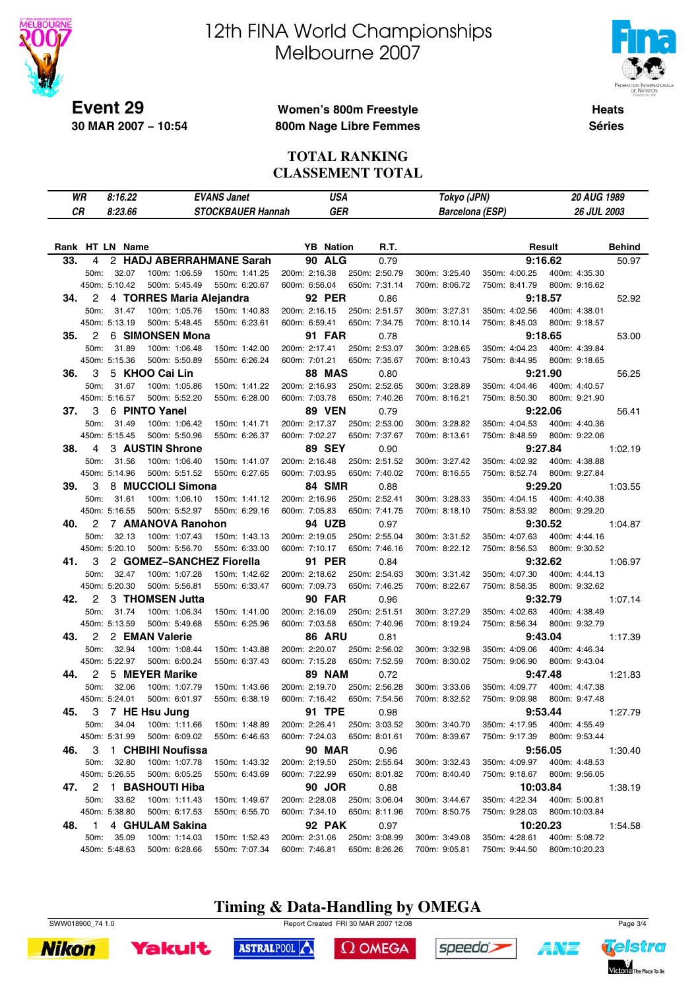

# 12th FINA World Championships Melbourne 2007



**Heats Séries**

### **Women's 800m Freestyle 800m Nage Libre Femmes**

#### **TOTAL RANKING CLASSEMENT TOTAL**

|     | WR             | 8:16.22                     |                                | <b>EVANS Janet</b>       | USA                            |                                | Tokyo (JPN)                    |               | 20 AUG 1989                    |               |
|-----|----------------|-----------------------------|--------------------------------|--------------------------|--------------------------------|--------------------------------|--------------------------------|---------------|--------------------------------|---------------|
| CR  |                | 8:23.66                     |                                | <b>STOCKBAUER Hannah</b> | <b>GER</b>                     |                                | <b>Barcelona (ESP)</b>         |               | <b>26 JUL 2003</b>             |               |
|     |                |                             |                                |                          |                                |                                |                                |               |                                |               |
|     |                | Rank HT LN Name             |                                |                          | <b>YB</b> Nation               | R.T.                           |                                |               | Result                         | <b>Behind</b> |
| 33. | 4              |                             | 2 HADJ ABERRAHMANE Sarah       |                          | <b>90 ALG</b>                  | 0.79                           |                                |               | 9:16.62                        | 50.97         |
|     | 50m:           | 32.07                       | 100m: 1:06.59                  | 150m: 1:41.25            | 200m: 2:16.38                  | 250m: 2:50.79                  | 300m: 3:25.40                  | 350m: 4:00.25 | 400m: 4:35.30                  |               |
|     |                | 450m: 5:10.42               | 500m: 5:45.49                  | 550m: 6:20.67            | 600m: 6:56.04                  | 650m: 7:31.14                  | 700m: 8:06.72                  | 750m: 8:41.79 | 800m: 9:16.62                  |               |
| 34. | 2              |                             | 4 TORRES Maria Aleiandra       |                          | <b>92 PER</b>                  | 0.86                           |                                |               | 9:18.57                        | 52.92         |
|     | 50m:           | 31.47                       | 100m: 1:05.76                  | 150m: 1:40.83            | 200m: 2:16.15                  | 250m: 2:51.57                  | 300m: 3:27.31                  | 350m: 4:02.56 | 400m: 4:38.01                  |               |
|     |                | 450m: 5:13.19               | 500m: 5:48.45                  | 550m: 6:23.61            | 600m: 6:59.41                  | 650m: 7:34.75                  | 700m: 8:10.14                  | 750m: 8:45.03 | 800m: 9:18.57                  |               |
| 35. | 2              |                             | 6 SIMONSEN Mona                |                          | <b>91 FAR</b>                  | 0.78                           |                                |               | 9:18.65                        | 53.00         |
|     | 50m:           | 31.89                       | 100m: 1:06.48                  | 150m: 1:42.00            | 200m: 2:17.41                  | 250m: 2:53.07                  | 300m: 3:28.65                  | 350m: 4:04.23 | 400m: 4:39.84                  |               |
|     |                | 450m: 5:15.36               | 500m: 5:50.89                  | 550m: 6:26.24            | 600m: 7:01.21                  | 650m: 7:35.67                  | 700m: 8:10.43                  | 750m: 8:44.95 | 800m: 9:18.65                  |               |
| 36. | 3              |                             | 5 KHOO Cai Lin                 |                          | <b>88 MAS</b>                  | 0.80                           |                                |               | 9:21.90                        | 56.25         |
|     | 50m:           | 31.67                       | 100m: 1:05.86                  | 150m: 1:41.22            | 200m: 2:16.93                  | 250m: 2:52.65                  | 300m: 3:28.89                  | 350m: 4:04.46 | 400m: 4:40.57                  |               |
|     |                | 450m: 5:16.57               | 500m: 5:52.20                  | 550m: 6:28.00            | 600m: 7:03.78                  | 650m: 7:40.26                  | 700m: 8:16.21                  | 750m: 8:50.30 | 800m: 9:21.90                  |               |
| 37. | 3              |                             | 6 PINTO Yanel                  |                          | <b>89 VEN</b>                  | 0.79                           |                                |               | 9:22.06                        | 56.41         |
|     | 50m:           | 31.49                       | 100m: 1:06.42                  | 150m: 1:41.71            | 200m: 2:17.37                  | 250m: 2:53.00                  | 300m: 3:28.82                  | 350m: 4:04.53 | 400m: 4:40.36                  |               |
|     |                | 450m: 5:15.45               | 500m: 5:50.96                  | 550m: 6:26.37            | 600m: 7:02.27                  | 650m: 7:37.67                  | 700m: 8:13.61                  | 750m: 8:48.59 | 800m: 9:22.06                  |               |
| 38. | 4              |                             | 3 AUSTIN Shrone                |                          | <b>89 SEY</b>                  | 0.90                           |                                |               | 9:27.84                        | 1:02.19       |
|     | 50m:           | 31.56                       | 100m: 1:06.40                  | 150m: 1:41.07            | 200m: 2:16.48                  | 250m: 2:51.52                  | 300m: 3:27.42                  | 350m: 4:02.92 | 400m: 4:38.88                  |               |
|     |                | 450m: 5:14.96               | 500m: 5:51.52                  | 550m: 6:27.65            | 600m: 7:03.95                  | 650m: 7:40.02                  | 700m: 8:16.55                  | 750m: 8:52.74 | 800m: 9:27.84                  |               |
| 39. | 3              |                             | 8 MUCCIOLI Simona              |                          | 84 SMR                         | 0.88                           |                                |               | 9:29.20                        | 1:03.55       |
|     | 50m:           | 31.61                       | 100m: 1:06.10                  | 150m: 1:41.12            | 200m: 2:16.96                  | 250m: 2:52.41                  | 300m: 3:28.33                  | 350m: 4:04.15 | 400m: 4:40.38                  |               |
|     |                | 450m: 5:16.55               | 500m: 5:52.97                  | 550m: 6:29.16            | 600m: 7:05.83                  | 650m: 7:41.75                  | 700m: 8:18.10                  | 750m: 8:53.92 | 800m: 9:29.20                  |               |
| 40. | 2              |                             | 7 AMANOVA Ranohon              |                          | 94 UZB                         | 0.97                           |                                |               | 9:30.52                        | 1:04.87       |
|     | 50m:           | 32.13                       | 100m: 1:07.43                  | 150m: 1:43.13            | 200m: 2:19.05                  | 250m: 2:55.04                  | 300m: 3:31.52                  | 350m: 4:07.63 | 400m: 4:44.16                  |               |
|     |                | 450m: 5:20.10               | 500m: 5:56.70                  | 550m: 6:33.00            | 600m: 7:10.17                  | 650m: 7:46.16                  | 700m: 8:22.12                  | 750m: 8:56.53 | 800m: 9:30.52                  |               |
| 41. | 3              |                             | 2 GOMEZ-SANCHEZ Fiorella       |                          | <b>91 PER</b>                  | 0.84                           |                                |               | 9:32.62                        | 1:06.97       |
|     | 50m:           | 32.47                       | 100m: 1:07.28                  | 150m: 1:42.62            | 200m: 2:18.62                  | 250m: 2:54.63                  | 300m: 3:31.42                  | 350m: 4:07.30 | 400m: 4:44.13                  |               |
|     |                | 450m: 5:20.30               | 500m: 5:56.81                  | 550m: 6:33.47            | 600m: 7:09.73                  | 650m: 7:46.25                  | 700m: 8:22.67                  | 750m: 8:58.35 | 800m: 9:32.62                  |               |
| 42. | 2              |                             | 3 THOMSEN Jutta                |                          | <b>90 FAR</b>                  | 0.96                           |                                |               | 9:32.79                        | 1:07.14       |
|     | 50m:           | 31.74                       | 100m: 1:06.34                  | 150m: 1:41.00            | 200m: 2:16.09                  | 250m: 2:51.51                  | 300m: 3:27.29                  | 350m: 4:02.63 | 400m: 4:38.49                  |               |
|     |                | 450m: 5:13.59               | 500m: 5:49.68                  | 550m: 6:25.96            | 600m: 7:03.58                  | 650m: 7:40.96                  | 700m: 8:19.24                  | 750m: 8:56.34 | 800m: 9:32.79                  |               |
| 43. | $\overline{c}$ |                             | 2 EMAN Valerie                 |                          | 86 ARU                         | 0.81                           |                                |               | 9:43.04                        | 1:17.39       |
|     | 50m:           | 32.94                       | 100m: 1:08.44                  | 150m: 1:43.88            | 200m: 2:20.07                  | 250m: 2:56.02                  | 300m: 3:32.98                  | 350m: 4:09.06 | 400m: 4:46.34                  |               |
|     |                | 450m: 5:22.97               | 500m: 6:00.24                  | 550m: 6:37.43            | 600m: 7:15.28                  | 650m: 7:52.59                  | 700m: 8:30.02                  | 750m: 9:06.90 | 800m: 9:43.04                  |               |
| 44. | 2              |                             | 5 MEYER Marike                 |                          | <b>89 NAM</b>                  | 0.72                           |                                |               | 9:47.48                        | 1:21.83       |
|     | 50m:           | 32.06                       | 100m: 1:07.79                  | 150m: 1:43.66            | 200m: 2:19.70                  | 250m: 2:56.28                  | 300m: 3:33.06                  | 350m: 4:09.77 | 400m: 4:47.38                  |               |
|     |                | 450m: 5:24.01               | 500m: 6:01.97                  | 550m: 6:38.19            | 600m: 7:16.42                  | 650m: 7:54.56                  | 700m: 8:32.52                  | 750m: 9:09.98 | 800m: 9:47.48                  |               |
| 45. | 3              |                             | 7 HE Hsu Jung                  |                          | 91 TPE                         | 0.98                           |                                |               | 9:53.44                        | 1:27.79       |
|     | 50m:           | 34.04                       | 100m: 1:11.66                  | 150m: 1:48.89            | 200m: 2:26.41                  | 250m: 3:03.52                  | 300m: 3:40.70                  | 350m: 4:17.95 | 400m: 4:55.49                  |               |
|     |                | 450m: 5:31.99               | 500m: 6:09.02                  | 550m: 6:46.63            | 600m: 7:24.03                  | 650m: 8:01.61                  | 700m: 8:39.67                  | 750m: 9:17.39 | 800m: 9:53.44                  |               |
| 46. | 3              |                             | 1 CHBIHI Noufissa              |                          | <b>90 MAR</b>                  | 0.96                           |                                |               | 9:56.05                        | 1:30.40       |
|     | 50m:           | 32.80                       | 100m: 1:07.78                  | 150m: 1:43.32            | 200m: 2:19.50                  | 250m: 2:55.64                  | 300m: 3:32.43                  | 350m: 4:09.97 | 400m: 4:48.53                  |               |
|     |                | 450m: 5:26.55               | 500m: 6:05.25                  | 550m: 6:43.69            | 600m: 7:22.99                  | 650m: 8:01.82                  | 700m: 8:40.40                  | 750m: 9:18.67 | 800m: 9:56.05                  |               |
| 47. |                |                             | 2  1 BASHOUTI Hiba             |                          | 90 JOR                         | 0.88                           |                                |               | 10:03.84                       | 1:38.19       |
|     | 50m:           | 33.62                       | 100m: 1:11.43                  | 150m: 1:49.67            | 200m: 2:28.08                  | 250m: 3:06.04<br>650m: 8:11.96 | 300m: 3:44.67                  | 350m: 4:22.34 | 400m: 5:00.81                  |               |
|     |                | 450m: 5:38.80               | 500m: 6:17.53                  | 550m: 6:55.70            | 600m: 7:34.10                  |                                | 700m: 8:50.75                  | 750m: 9:28.03 | 800m:10:03.84                  |               |
| 48. | $\mathbf{1}$   |                             | 4 GHULAM Sakina                |                          | <b>92 PAK</b>                  | 0.97                           |                                |               | 10:20.23                       | 1:54.58       |
|     |                | 50m: 35.09<br>450m: 5:48.63 | 100m: 1:14.03<br>500m: 6:28.66 | 150m: 1:52.43            | 200m: 2:31.06<br>600m: 7:46.81 | 250m: 3:08.99<br>650m: 8:26.26 | 300m: 3:49.08<br>700m: 9:05.81 | 350m: 4:28.61 | 400m: 5:08.72<br>800m:10:20.23 |               |
|     |                |                             |                                | 550m: 7:07.34            |                                |                                |                                | 750m: 9:44.50 |                                |               |

# **Timing & Data-Handling by OMEGA**







ASTRALPOOL

 $\Omega$  OMEGA



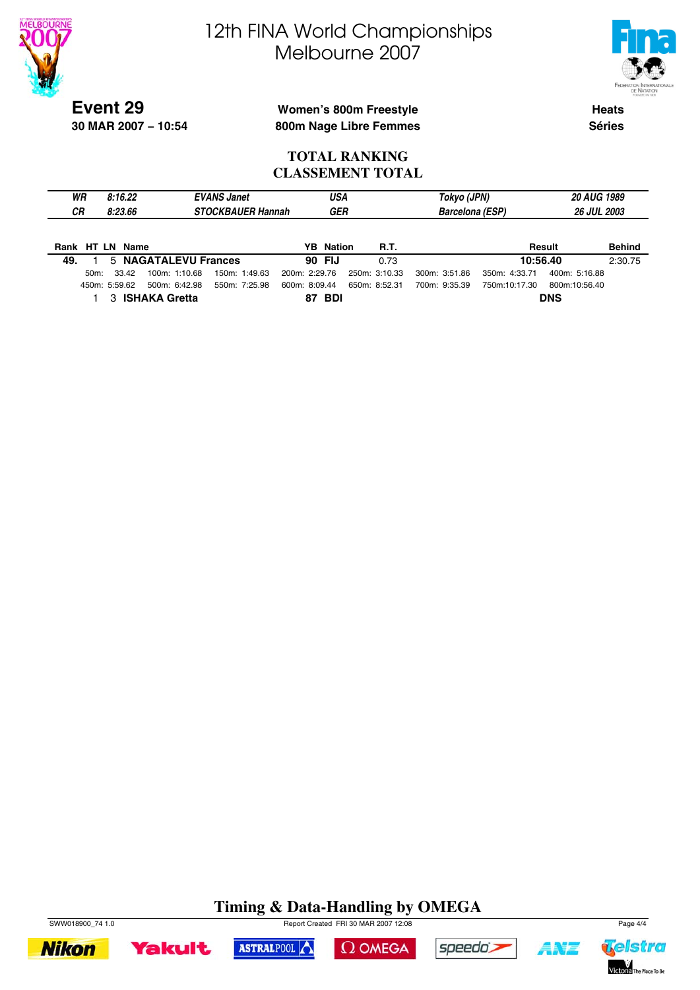



**Event 29 30 MAR 2007 − 10:54**

### **Women's 800m Freestyle 800m Nage Libre Femmes**

**Heats Séries**

#### **TOTAL RANKING CLASSEMENT TOTAL**

| WR<br><b>CR</b> |         | 8:16.22<br>8:23.66 |                      | <b>EVANS Janet</b><br><b>STOCKBAUER Hannah</b> |               |    | USA<br><b>GER</b> |               |             | Tokyo (JPN)<br><b>Barcelona (ESP)</b> |               | <b>20 AUG 1989</b><br><b>26 JUL 2003</b> |               |
|-----------------|---------|--------------------|----------------------|------------------------------------------------|---------------|----|-------------------|---------------|-------------|---------------------------------------|---------------|------------------------------------------|---------------|
|                 |         | Rank HT LN Name    |                      |                                                |               |    | <b>YB</b> Nation  |               | <b>R.T.</b> |                                       |               | Result                                   | <b>Behind</b> |
| 49.             |         |                    | 5 NAGATALEVU Frances |                                                |               |    | 90 FIJ            |               | 0.73        |                                       | 10:56.40      |                                          | 2:30.75       |
|                 | $50m$ : | 33.42              | 100m: 1:10.68        | 150m: 1:49.63                                  | 200m: 2:29.76 |    |                   | 250m: 3:10.33 |             | 300m: 3:51.86                         | 350m: 4:33.71 | 400m: 5:16.88                            |               |
|                 |         | 450m: 5:59.62      | 500m: 6:42.98        | 550m: 7:25.98                                  | 600m: 8:09.44 |    |                   | 650m: 8:52.31 |             | 700m: 9:35.39                         | 750m:10:17.30 | 800m:10:56.40                            |               |
|                 |         | 3                  | <b>ISHAKA Gretta</b> |                                                |               | 87 | BDI               |               |             |                                       |               | <b>DNS</b>                               |               |

# **Timing & Data-Handling by OMEGA**











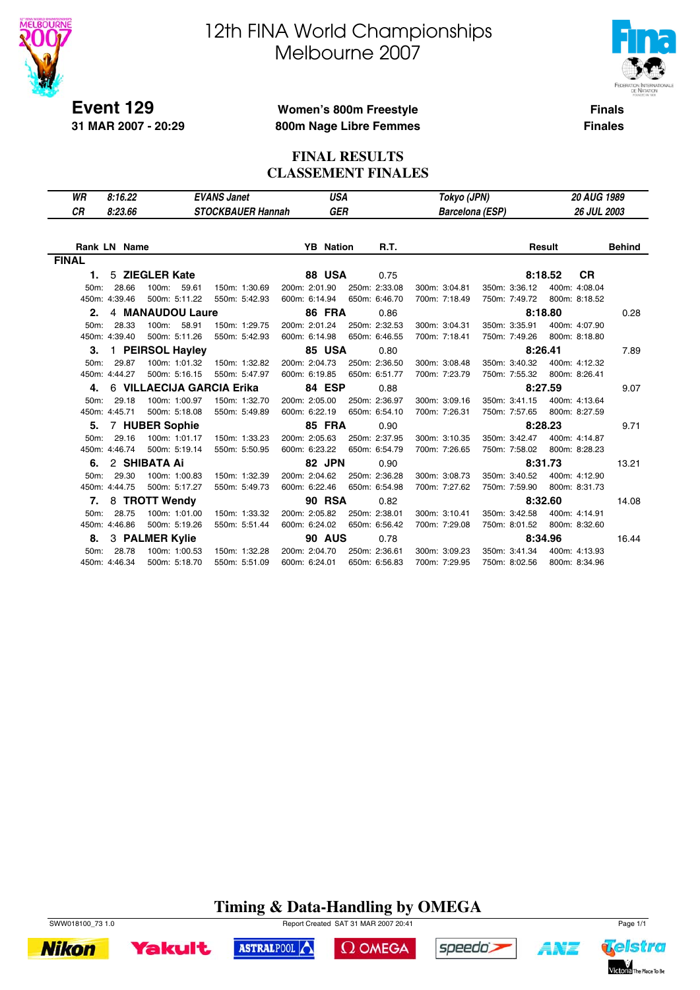

**31 MAR 2007 - 20:29**

# 12th FINA World Championships Melbourne 2007



**Finals Finales**

### **Women's 800m Freestyle 800m Nage Libre Femmes**

### **FINAL RESULTS CLASSEMENT FINALES**

| WR                | 8:16.22       |                           | <b>EVANS Janet</b>       |               | USA              |  |               | Tokyo (JPN)            |  |               | <b>20 AUG 1989</b> |               |  |
|-------------------|---------------|---------------------------|--------------------------|---------------|------------------|--|---------------|------------------------|--|---------------|--------------------|---------------|--|
| СR                | 8:23.66       |                           | <b>STOCKBAUER Hannah</b> |               | GER              |  |               | <b>Barcelona (ESP)</b> |  |               | <b>26 JUL 2003</b> |               |  |
|                   |               |                           |                          |               |                  |  |               |                        |  |               |                    |               |  |
|                   | Rank LN Name  |                           |                          |               | <b>YB</b> Nation |  | <b>R.T.</b>   |                        |  | Result        |                    | <b>Behind</b> |  |
| <b>FINAL</b>      |               |                           |                          |               |                  |  |               |                        |  |               |                    |               |  |
| 1.                |               | 5 ZIEGLER Kate            |                          |               | 88 USA           |  | 0.75          |                        |  | 8:18.52       | <b>CR</b>          |               |  |
| 50m:              | 28.66         | 100m:<br>59.61            | 150m: 1:30.69            | 200m: 2:01.90 |                  |  | 250m: 2:33.08 | 300m: 3:04.81          |  | 350m: 3:36.12 | 400m: 4:08.04      |               |  |
|                   | 450m: 4:39.46 | 500m: 5:11.22             | 550m: 5:42.93            |               | 600m: 6:14.94    |  | 650m: 6:46.70 | 700m: 7:18.49          |  | 750m: 7:49.72 | 800m: 8:18.52      |               |  |
| 2.                |               | 4 MANAUDOU Laure          |                          |               | <b>86 FRA</b>    |  | 0.86          |                        |  | 8:18.80       |                    | 0.28          |  |
| 50m:              | 28.33         | 100m:<br>58.91            | 150m: 1:29.75            | 200m: 2:01.24 |                  |  | 250m: 2:32.53 | 300m: 3:04.31          |  | 350m: 3:35.91 | 400m: 4:07.90      |               |  |
|                   | 450m: 4:39.40 | 500m: 5:11.26             | 550m: 5:42.93            | 600m: 6:14.98 |                  |  | 650m: 6:46.55 | 700m: 7:18.41          |  | 750m: 7:49.26 | 800m: 8:18.80      |               |  |
| 3.                |               | 1 PEIRSOL Hayley          |                          |               | 85 USA           |  | 0.80          |                        |  | 8:26.41       |                    | 7.89          |  |
| 50m:              | 29.87         | 100m: 1:01.32             | 150m: 1:32.82            | 200m: 2:04.73 |                  |  | 250m: 2:36.50 | 300m: 3:08.48          |  | 350m: 3:40.32 | 400m: 4:12.32      |               |  |
|                   | 450m: 4:44.27 | 500m: 5:16.15             | 550m: 5:47.97            | 600m: 6:19.85 |                  |  | 650m: 6:51.77 | 700m: 7:23.79          |  | 750m: 7:55.32 | 800m: 8:26.41      |               |  |
| 4.                |               | 6 VILLAECIJA GARCIA Erika |                          |               | <b>84 ESP</b>    |  | 0.88          |                        |  | 8:27.59       |                    | 9.07          |  |
| 50m:              | 29.18         | 100m: 1:00.97             | 150m: 1:32.70            | 200m: 2:05.00 |                  |  | 250m: 2:36.97 | 300m: 3:09.16          |  | 350m: 3:41.15 | 400m: 4:13.64      |               |  |
|                   | 450m: 4:45.71 | 500m: 5:18.08             | 550m: 5:49.89            | 600m: 6:22.19 |                  |  | 650m: 6:54.10 | 700m: 7:26.31          |  | 750m: 7:57.65 | 800m: 8:27.59      |               |  |
| 5.                |               | 7 HUBER Sophie            |                          |               | <b>85 FRA</b>    |  | 0.90          |                        |  | 8:28.23       |                    | 9.71          |  |
| 50m:              | 29.16         | 100m: 1:01.17             | 150m: 1:33.23            | 200m: 2:05.63 |                  |  | 250m: 2:37.95 | 300m: 3:10.35          |  | 350m: 3:42.47 | 400m: 4:14.87      |               |  |
|                   | 450m: 4:46.74 | 500m: 5:19.14             | 550m: 5:50.95            |               | 600m: 6:23.22    |  | 650m: 6:54.79 | 700m: 7:26.65          |  | 750m: 7:58.02 | 800m: 8:28.23      |               |  |
| 6.                |               | 2 SHIBATA Ai              |                          |               | 82 JPN           |  | 0.90          |                        |  | 8:31.73       |                    | 13.21         |  |
| 50 <sub>m</sub> : | 29.30         | 100m: 1:00.83             | 150m: 1:32.39            | 200m: 2:04.62 |                  |  | 250m: 2:36.28 | 300m: 3:08.73          |  | 350m: 3:40.52 | 400m: 4:12.90      |               |  |
|                   | 450m: 4:44.75 | 500m: 5:17.27             | 550m: 5:49.73            | 600m: 6:22.46 |                  |  | 650m: 6:54.98 | 700m: 7:27.62          |  | 750m: 7:59.90 | 800m: 8:31.73      |               |  |
| 7.                |               | 8 TROTT Wendy             |                          |               | <b>90 RSA</b>    |  | 0.82          |                        |  | 8:32.60       |                    | 14.08         |  |
| 50 <sub>m</sub> : | 28.75         | 100m: 1:01.00             | 150m: 1:33.32            | 200m: 2:05.82 |                  |  | 250m: 2:38.01 | 300m: 3:10.41          |  | 350m: 3:42.58 | 400m: 4:14.91      |               |  |
|                   | 450m: 4:46.86 | 500m: 5:19.26             | 550m: 5:51.44            | 600m: 6:24.02 |                  |  | 650m: 6:56.42 | 700m: 7:29.08          |  | 750m: 8:01.52 | 800m: 8:32.60      |               |  |
| 8.                |               | 3 PALMER Kylie            |                          |               | <b>90 AUS</b>    |  | 0.78          |                        |  | 8:34.96       |                    | 16.44         |  |
| 50m:              | 28.78         | 100m: 1:00.53             | 150m: 1:32.28            | 200m: 2:04.70 |                  |  | 250m: 2:36.61 | 300m: 3:09.23          |  | 350m: 3:41.34 | 400m: 4:13.93      |               |  |
|                   | 450m: 4:46.34 | 500m: 5:18.70             | 550m: 5:51.09            | 600m: 6:24.01 |                  |  | 650m: 6:56.83 | 700m: 7:29.95          |  | 750m: 8:02.56 | 800m: 8:34.96      |               |  |
|                   |               |                           |                          |               |                  |  |               |                        |  |               |                    |               |  |

# **Timing & Data-Handling by OMEGA**







 $\Omega$  OMEGA





A¥Z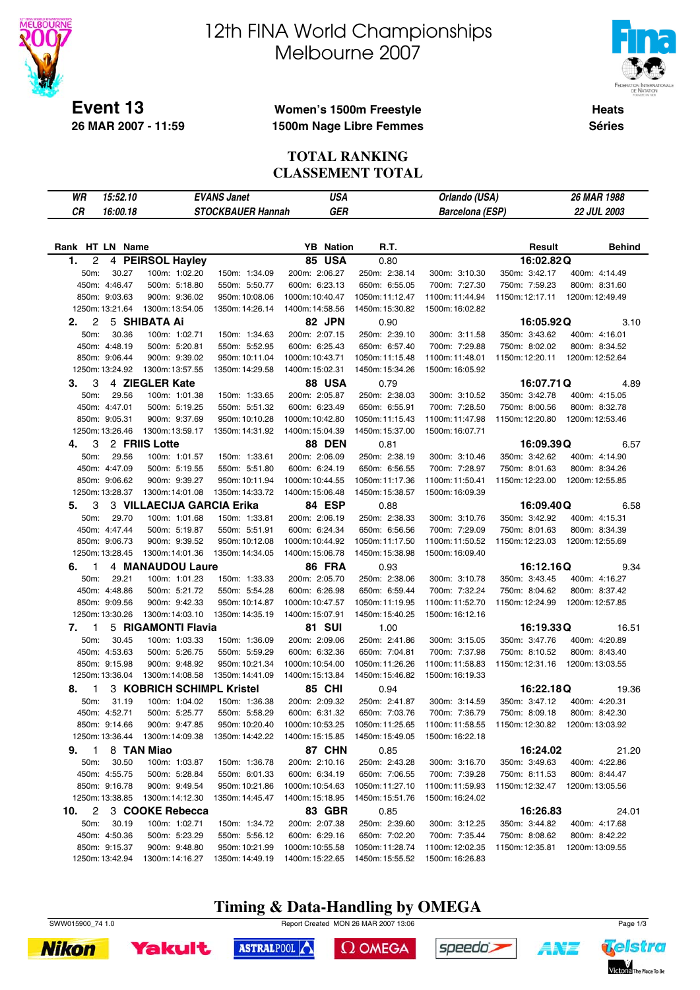

**26 MAR 2007 - 11:59**

# 12th FINA World Championships Melbourne 2007



**Heats Séries**

### **Women's 1500m Freestyle 1500m Nage Libre Femmes**

#### **TOTAL RANKING CLASSEMENT TOTAL**

| WR<br>15:52.10     |                           | <b>EVANS Janet</b>       | <b>USA</b>       |                 | Orlando (USA)          |                             | 26 MAR 1988     |
|--------------------|---------------------------|--------------------------|------------------|-----------------|------------------------|-----------------------------|-----------------|
| CR<br>16:00.18     |                           | <b>STOCKBAUER Hannah</b> | <b>GER</b>       |                 | <b>Barcelona</b> (ESP) |                             | 22 JUL 2003     |
|                    |                           |                          |                  |                 |                        |                             |                 |
|                    |                           |                          |                  |                 |                        |                             |                 |
| Rank HT LN Name    |                           |                          | <b>YB</b> Nation | R.T.            |                        | Result                      | <b>Behind</b>   |
| 1.<br>2            | 4 PEIRSOL Hayley          |                          | <b>85 USA</b>    | 0.80            |                        | 16:02.82Q                   |                 |
| 50m:<br>30.27      | 100m: 1:02.20             | 150m: 1:34.09            | 200m: 2:06.27    | 250m: 2:38.14   | 300m: 3:10.30          | 350m: 3:42.17               | 400m: 4:14.49   |
| 450m: 4:46.47      | 500m: 5:18.80             | 550m: 5:50.77            | 600m: 6:23.13    | 650m: 6:55.05   | 700m: 7:27.30          | 750m: 7:59.23               | 800m: 8:31.60   |
| 850m: 9:03.63      | 900m: 9:36.02             | 950m: 10:08.06           | 1000m: 10:40.47  | 1050m: 11:12.47 | 1100m: 11:44.94        | 1150m: 12:17.11             | 1200m: 12:49.49 |
| 1250m: 13:21.64    | 1300m: 13:54.05           | 1350m: 14:26.14          | 1400m: 14:58.56  | 1450m: 15:30.82 | 1500m: 16:02.82        |                             |                 |
| 2<br>2.            | 5 SHIBATA Ai              |                          | 82 JPN           | 0.90            |                        | 16:05.92Q                   | 3.10            |
| 50m:<br>30.36      | 100m: 1:02.71             | 150m: 1:34.63            | 200m: 2:07.15    | 250m: 2:39.10   | 300m: 3:11.58          | 350m: 3:43.62               | 400m: 4:16.01   |
| 450m: 4:48.19      | 500m: 5:20.81             | 550m: 5:52.95            | 600m: 6:25.43    | 650m: 6:57.40   | 700m: 7:29.88          | 750m: 8:02.02               | 800m: 8:34.52   |
| 850m: 9:06.44      | 900m: 9:39.02             | 950m: 10:11.04           | 1000m: 10:43.71  | 1050m: 11:15.48 | 1100m:11:48.01         | 1150m: 12:20.11             | 1200m: 12:52.64 |
| 1250m: 13:24.92    | 1300m: 13:57.55           | 1350m: 14:29.58          | 1400m: 15:02.31  | 1450m: 15:34.26 | 1500m: 16:05.92        |                             |                 |
| 3.<br>3            | 4 ZIEGLER Kate            |                          | 88 USA           | 0.79            |                        | 16:07.71Q                   | 4.89            |
| 29.56<br>50m:      | 100m: 1:01.38             | 150m: 1:33.65            | 200m: 2:05.87    | 250m: 2:38.03   | 300m: 3:10.52          | 350m: 3:42.78               | 400m: 4:15.05   |
| 450m: 4:47.01      | 500m: 5:19.25             | 550m: 5:51.32            | 600m: 6:23.49    | 650m: 6:55.91   | 700m: 7:28.50          | 750m: 8:00.56               | 800m: 8:32.78   |
| 850m: 9:05.31      | 900m: 9:37.69             | 950m: 10:10.28           | 1000m: 10:42.80  | 1050m: 11:15.43 | 1100m:11:47.98         | 1150m: 12:20.80             | 1200m: 12:53.46 |
| 1250m: 13:26.46    | 1300m: 13:59.17           | 1350m: 14:31.92          | 1400m: 15:04.39  | 1450m: 15:37.00 | 1500m: 16:07.71        |                             |                 |
| 3<br>4.            | 2 FRIIS Lotte             |                          | <b>88 DEN</b>    | 0.81            |                        | 16:09.39Q                   | 6.57            |
| 50m:<br>29.56      | 100m: 1:01.57             | 150m: 1:33.61            | 200m: 2:06.09    | 250m: 2:38.19   | 300m: 3:10.46          | 350m: 3:42.62               | 400m: 4:14.90   |
| 450m: 4:47.09      | 500m: 5:19.55             | 550m: 5:51.80            | 600m: 6:24.19    | 650m: 6:56.55   | 700m: 7:28.97          | 750m: 8:01.63               | 800m: 8:34.26   |
| 850m: 9:06.62      | 900m: 9:39.27             | 950m: 10:11.94           | 1000m: 10:44.55  | 1050m: 11:17.36 | 1100m:11:50.41         | 1150m: 12:23.00             | 1200m: 12:55.85 |
| 1250m: 13:28.37    | 1300m: 14:01.08           | 1350m: 14:33.72          | 1400m: 15:06.48  | 1450m: 15:38.57 | 1500m: 16:09.39        |                             |                 |
| 3<br>5.            | 3 VILLAECIJA GARCIA Erika |                          | 84 ESP           | 0.88            |                        | 16:09.40Q                   | 6.58            |
| 50m:<br>29.70      | 100m: 1:01.68             | 150m: 1:33.81            | 200m: 2:06.19    | 250m: 2:38.33   | 300m: 3:10.76          | 350m: 3:42.92               | 400m: 4:15.31   |
| 450m: 4:47.44      | 500m: 5:19.87             | 550m: 5:51.91            | 600m: 6:24.34    | 650m: 6:56.56   | 700m: 7:29.09          | 750m: 8:01.63               | 800m: 8:34.39   |
| 850m: 9:06.73      | 900m: 9:39.52             | 950m: 10:12.08           | 1000m: 10:44.92  | 1050m: 11:17.50 | 1100m: 11:50.52        | 1150m: 12:23.03             | 1200m: 12:55.69 |
| 1250m: 13:28.45    | 1300m: 14:01.36           | 1350m: 14:34.05          | 1400m: 15:06.78  | 1450m: 15:38.98 | 1500m: 16:09.40        |                             |                 |
| 1<br>6.            | 4 MANAUDOU Laure          |                          | 86 FRA           | 0.93            |                        | 16:12.16Q                   | 9.34            |
| 29.21<br>50m:      | 100m: 1:01.23             | 150m: 1:33.33            | 200m: 2:05.70    | 250m: 2:38.06   | 300m: 3:10.78          | 350m: 3:43.45               | 400m: 4:16.27   |
| 450m: 4:48.86      | 500m: 5:21.72             | 550m: 5:54.28            | 600m: 6:26.98    | 650m: 6:59.44   | 700m: 7:32.24          | 750m: 8:04.62               | 800m: 8:37.42   |
| 850m: 9:09.56      | 900m: 9:42.33             | 950m: 10:14.87           | 1000m: 10:47.57  | 1050m: 11:19.95 | 1100m:11:52.70         | 1150m: 12:24.99             | 1200m: 12:57.85 |
| 1250m: 13:30.26    | 1300m: 14:03.10           | 1350m: 14:35.19          | 1400m: 15:07.91  | 1450m: 15:40.25 | 1500m: 16:12.16        |                             |                 |
| $\mathbf{1}$<br>7. | 5 RIGAMONTI Flavia        |                          | <b>81 SUI</b>    | 1.00            |                        | 16:19.33Q                   | 16.51           |
| 30.45<br>50m:      | 100m: 1:03.33             | 150m: 1:36.09            | 200m: 2:09.06    | 250m: 2:41.86   | 300m: 3:15.05          | 350m: 3:47.76               | 400m: 4:20.89   |
| 450m: 4:53.63      | 500m: 5:26.75             | 550m: 5:59.29            | 600m: 6:32.36    | 650m: 7:04.81   | 700m: 7:37.98          | 750m: 8:10.52               | 800m: 8:43.40   |
| 850m: 9:15.98      | 900m: 9:48.92             | 950m: 10:21.34           | 1000m: 10:54.00  | 1050m: 11:26.26 | 1100m:11:58.83         | 1150m: 12:31.16             | 1200m: 13:03.55 |
| 1250m: 13:36.04    | 1300m: 14:08.58           | 1350m: 14:41.09          | 1400m: 15:13.84  | 1450m: 15:46.82 | 1500m: 16:19.33        |                             |                 |
| 1<br>8.            | 3 KOBRICH SCHIMPL Kristel |                          | 85 CHI           | 0.94            |                        | 16:22.18Q                   | 19.36           |
| 50m:<br>31.19      | 100m: 1:04.02             | 150m: 1:36.38            | 200m: 2:09.32    | 250m: 2:41.87   | 300m: 3:14.59          | 350m: 3:47.12               | 400m: 4:20.31   |
| 450m: 4:52.71      | 500m: 5:25.77             | 550m: 5:58.29            | 600m: 6:31.32    | 650m: 7:03.76   | 700m: 7:36.79          | 750m: 8:09.18 800m: 8:42.30 |                 |
| 850m: 9:14.66      | 900m: 9:47.85             | 950m: 10:20.40           | 1000m: 10:53.25  | 1050m: 11:25.65 |                        |                             |                 |
| 1250m: 13:36.44    | 1300m: 14:09.38           | 1350m: 14:42.22          | 1400m: 15:15.85  | 1450m: 15:49.05 | 1500m: 16:22.18        |                             |                 |
| 9. 1 8 TAN Miao    |                           |                          | <b>87 CHN</b>    | 0.85            |                        | 16:24.02                    | 21.20           |
| 30.50<br>50m:      | 100m: 1:03.87             | 150m: 1:36.78            | 200m: 2:10.16    | 250m: 2:43.28   | 300m: 3:16.70          | 350m: 3:49.63               | 400m: 4:22.86   |
| 450m: 4:55.75      | 500m: 5:28.84             | 550m: 6:01.33            | 600m: 6:34.19    | 650m: 7:06.55   | 700m: 7:39.28          | 750m: 8:11.53               | 800m: 8:44.47   |
| 850m: 9:16.78      | 900m: 9:49.54             | 950m: 10:21.86           | 1000m: 10:54.63  | 1050m: 11:27.10 | 1100m: 11:59.93        | 1150m: 12:32.47             | 1200m: 13:05.56 |
| 1250m: 13:38.85    | 1300m: 14:12.30           | 1350m: 14:45.47          | 1400m: 15:18.95  | 1450m: 15:51.76 | 1500m: 16:24.02        |                             |                 |
| 10.                | 2 3 COOKE Rebecca         |                          | 83 GBR           | 0.85            |                        | 16:26.83                    | 24.01           |
| 50m:<br>30.19      | 100m: 1:02.71             | 150m: 1:34.72            | 200m: 2:07.38    | 250m: 2:39.60   | 300m: 3:12.25          | 350m: 3:44.82               | 400m: 4:17.68   |
| 450m: 4:50.36      | 500m: 5:23.29             | 550m: 5:56.12            | 600m: 6:29.16    | 650m: 7:02.20   | 700m: 7:35.44          | 750m: 8:08.62               | 800m: 8:42.22   |
| 850m: 9:15.37      | 900m: 9:48.80             | 950m: 10:21.99           | 1000m: 10:55.58  | 1050m: 11:28.74 | 1100m: 12:02.35        | 1150m: 12:35.81             | 1200m: 13:09.55 |
| 1250m: 13:42.94    | 1300m: 14:16.27           | 1350m: 14:49.19          | 1400m: 15:22.65  | 1450m: 15:55.52 | 1500m: 16:26.83        |                             |                 |

**Timing & Data-Handling by OMEGA**







ASTRALPOOL

 $\Omega$  OMEGA





A¥Z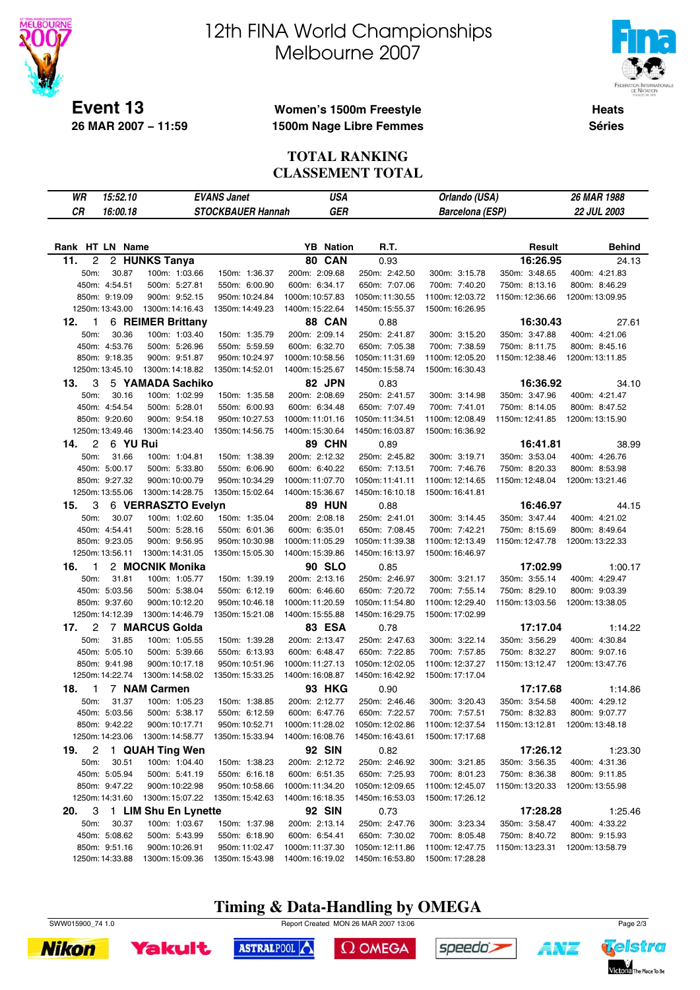

# 12th FINA World Championships Melbourne 2007



**Heats Séries**

### **Women's 1500m Freestyle 1500m Nage Libre Femmes**

#### **TOTAL RANKING CLASSEMENT TOTAL**

| WR<br>15:52.10                    | <b>EVANS Janet</b>   | <b>USA</b>                             |                 | Orlando (USA)          |                 | 26 MAR 1988        |
|-----------------------------------|----------------------|----------------------------------------|-----------------|------------------------|-----------------|--------------------|
| CR<br>16:00.18                    |                      | <b>STOCKBAUER Hannah</b><br><b>GER</b> |                 | <b>Barcelona (ESP)</b> |                 | <b>22 JUL 2003</b> |
|                                   |                      |                                        |                 |                        |                 |                    |
|                                   |                      |                                        |                 |                        |                 |                    |
| Rank HT LN Name                   |                      | <b>YB</b> Nation                       | R.T.            |                        | Result          | <b>Behind</b>      |
| $\overline{c}$<br>11.             | 2 HUNKS Tanya        | 80 CAN                                 | 0.93            |                        | 16:26.95        | 24.13              |
| 30.87<br>50m:                     | 100m: 1:03.66        | 200m: 2:09.68<br>150m: 1:36.37         | 250m: 2:42.50   | 300m: 3:15.78          | 350m: 3:48.65   | 400m: 4:21.83      |
| 450m: 4:54.51                     | 500m: 5:27.81        | 550m: 6:00.90<br>600m: 6:34.17         | 650m: 7:07.06   | 700m: 7:40.20          | 750m: 8:13.16   | 800m: 8:46.29      |
| 850m: 9:19.09                     | 900m: 9:52.15        | 950m: 10:24.84<br>1000m: 10:57.83      | 1050m: 11:30.55 | 1100m: 12:03.72        | 1150m: 12:36.66 | 1200m: 13:09.95    |
| 1250m: 13:43.00                   | 1300m: 14:16.43      | 1400m: 15:22.64<br>1350m: 14:49.23     | 1450m: 15:55.37 | 1500m: 16:26.95        |                 |                    |
| 12.<br>$\mathbf{1}$               | 6 REIMER Brittany    | 88 CAN                                 | 0.88            |                        | 16:30.43        | 27.61              |
| 30.36<br>50m:                     | 100m: 1:03.40        | 200m: 2:09.14<br>150m: 1:35.79         | 250m: 2:41.87   | 300m: 3:15.20          | 350m: 3:47.88   | 400m: 4:21.06      |
| 450m: 4:53.76                     | 500m: 5:26.96        | 600m: 6:32.70<br>550m: 5:59.59         | 650m: 7:05.38   | 700m: 7:38.59          | 750m: 8:11.75   | 800m: 8:45.16      |
| 850m: 9:18.35                     | 900m: 9:51.87        | 1000m: 10:58.56<br>950m: 10:24.97      | 1050m: 11:31.69 | 1100m: 12:05.20        | 1150m: 12:38.46 | 1200m: 13:11.85    |
| 1250m: 13:45.10                   | 1300m: 14:18.82      | 1350m: 14:52.01<br>1400m: 15:25.67     | 1450m: 15:58.74 | 1500m: 16:30.43        |                 |                    |
| 3<br>13.                          | 5 YAMADA Sachiko     | 82 JPN                                 | 0.83            |                        | 16:36.92        | 34.10              |
| 30.16<br>50m:                     | 100m: 1:02.99        | 200m: 2:08.69<br>150m: 1:35.58         | 250m: 2:41.57   | 300m: 3:14.98          | 350m: 3:47.96   | 400m: 4:21.47      |
| 450m: 4:54.54                     | 500m: 5:28.01        | 600m: 6:34.48<br>550m: 6:00.93         | 650m: 7:07.49   | 700m: 7:41.01          | 750m: 8:14.05   | 800m: 8:47.52      |
| 850m: 9:20.60                     | 900m: 9:54.18        | 950m: 10:27.53<br>1000m: 11:01.16      | 1050m: 11:34.51 | 1100m: 12:08.49        | 1150m: 12:41.85 | 1200m: 13:15.90    |
| 1250m: 13:49.46                   | 1300m: 14:23.40      | 1350m: 14:56.75<br>1400m: 15:30.64     | 1450m: 16:03.87 | 1500m: 16:36.92        |                 |                    |
| 6 YU Rui<br>14.<br>$\overline{2}$ |                      | <b>89 CHN</b>                          | 0.89            |                        | 16:41.81        | 38.99              |
| 50m:<br>31.66                     | 100m: 1:04.81        | 200m: 2:12.32<br>150m: 1:38.39         | 250m: 2:45.82   | 300m: 3:19.71          | 350m: 3:53.04   | 400m: 4:26.76      |
| 450m: 5:00.17                     | 500m: 5:33.80        | 550m: 6:06.90<br>600m: 6:40.22         | 650m: 7:13.51   | 700m: 7:46.76          | 750m: 8:20.33   | 800m: 8:53.98      |
| 850m: 9:27.32                     | 900m: 10:00.79       | 950m: 10:34.29<br>1000m: 11:07.70      | 1050m: 11:41.11 | 1100m: 12:14.65        | 1150m: 12:48.04 | 1200m: 13:21.46    |
| 1250m: 13:55.06                   | 1300m: 14:28.75      | 1350m: 15:02.64<br>1400m: 15:36.67     | 1450m: 16:10.18 | 1500m: 16:41.81        |                 |                    |
| 3<br>15.                          | 6 VERRASZTO Evelyn   | <b>89 HUN</b>                          | 0.88            |                        | 16:46.97        | 44.15              |
| 50m:<br>30.07                     | 100m: 1:02.60        | 200m: 2:08.18<br>150m: 1:35.04         | 250m: 2:41.01   | 300m: 3:14.45          | 350m: 3:47.44   | 400m: 4:21.02      |
| 450m: 4:54.41                     | 500m: 5:28.16        | 550m: 6:01.36<br>600m: 6:35.01         | 650m: 7:08.45   | 700m: 7:42.21          | 750m: 8:15.69   | 800m: 8:49.64      |
| 850m: 9:23.05                     | 900m: 9:56.95        | 950m: 10:30.98<br>1000m: 11:05.29      | 1050m: 11:39.38 | 1100m: 12:13.49        | 1150m: 12:47.78 | 1200m: 13:22.33    |
| 1250m: 13:56.11                   | 1300m: 14:31.05      | 1350m: 15:05.30<br>1400m: 15:39.86     | 1450m: 16:13.97 | 1500m: 16:46.97        |                 |                    |
| 16.<br>$\mathbf{1}$               | 2 MOCNIK Monika      | <b>90 SLO</b>                          | 0.85            |                        | 17:02.99        | 1:00.17            |
| 50m:<br>31.81                     | 100m: 1:05.77        | 200m: 2:13.16<br>150m: 1:39.19         | 250m: 2:46.97   | 300m: 3:21.17          | 350m: 3:55.14   | 400m: 4:29.47      |
| 450m: 5:03.56                     | 500m: 5:38.04        | 550m: 6:12.19<br>600m: 6:46.60         | 650m: 7:20.72   | 700m: 7:55.14          | 750m: 8:29.10   | 800m: 9:03.39      |
| 850m: 9:37.60                     | 900m: 10:12.20       | 1000m: 11:20.59<br>950m: 10:46.18      | 1050m: 11:54.80 | 1100m: 12:29.40        | 1150m: 13:03.56 | 1200m: 13:38.05    |
| 1250m: 14:12.39                   | 1300m: 14:46.79      | 1400m: 15:55.88<br>1350m: 15:21.08     | 1450m: 16:29.75 | 1500m: 17:02.99        |                 |                    |
| $\overline{2}$<br>17.             | 7 MARCUS Golda       | <b>83 ESA</b>                          | 0.78            |                        | 17:17.04        | 1:14.22            |
| 50m:<br>31.85                     | 100m: 1:05.55        | 150m: 1:39.28<br>200m: 2:13.47         | 250m: 2:47.63   | 300m: 3:22.14          | 350m: 3:56.29   | 400m: 4:30.84      |
| 450m: 5:05.10                     | 500m: 5:39.66        | 550m: 6:13.93<br>600m: 6:48.47         | 650m: 7:22.85   | 700m: 7:57.85          | 750m: 8:32.27   | 800m: 9:07.16      |
| 850m: 9:41.98                     | 900m: 10:17.18       | 950m: 10:51.96<br>1000m: 11:27.13      | 1050m: 12:02.05 | 1100m: 12:37.27        | 1150m: 13:12.47 | 1200m: 13:47.76    |
| 1250m: 14:22.74                   | 1300m: 14:58.02      | 1350m: 15:33.25<br>1400m: 16:08.87     | 1450m: 16:42.92 | 1500m: 17:17.04        |                 |                    |
| $\mathbf{1}$<br>18.               | 7 NAM Carmen         | <b>93 HKG</b>                          | 0.90            |                        | 17:17.68        | 1:14.86            |
| 50m:<br>31.37                     | 100m: 1:05.23        | 200m: 2:12.77<br>150m: 1:38.85         | 250m: 2:46.46   | 300m: 3:20.43          | 350m: 3:54.58   | 400m: 4:29.12      |
| 450m: 5:03.56                     | 500m: 5:38.17        | 550m: 6:12.59<br>600m: 6:47.76         | 650m: 7:22.57   | 700m: 7:57.51          | 750m: 8:32.83   | 800m: 9:07.77      |
| 850m: 9:42.22                     | 900m: 10:17.71       | 950m: 10:52.71<br>1000m: 11:28.02      | 1050m: 12:02.86 | 1100m: 12:37.54        |                 |                    |
| 1250m: 14:23.06                   | 1300m: 14:58.77      | 1350m: 15:33.94<br>1400m: 16:08.76     | 1450m: 16:43.61 | 1500m: 17:17.68        |                 |                    |
| 19.<br>2                          | 1 QUAH Ting Wen      | <b>92 SIN</b>                          | 0.82            |                        | 17:26.12        | 1:23.30            |
| 50m:<br>30.51                     | 100m: 1:04.40        | 150m: 1:38.23<br>200m: 2:12.72         | 250m: 2:46.92   | 300m: 3:21.85          | 350m: 3:56.35   | 400m: 4:31.36      |
| 450m: 5:05.94                     | 500m: 5:41.19        | 600m: 6:51.35<br>550m: 6:16.18         | 650m: 7:25.93   | 700m: 8:01.23          | 750m: 8:36.38   | 800m: 9:11.85      |
| 850m: 9:47.22                     | 900m: 10:22.98       | 950m: 10:58.66<br>1000m: 11:34.20      | 1050m: 12:09.65 | 1100m: 12:45.07        | 1150m: 13:20.33 | 1200m: 13:55.98    |
| 1250m: 14:31.60                   | 1300m: 15:07.22      | 1350m: 15:42.63<br>1400m: 16:18.35     | 1450m: 16:53.03 | 1500m: 17:26.12        |                 |                    |
| 3<br>20.                          | 1 LIM Shu En Lynette | <b>92 SIN</b>                          | 0.73            |                        | 17:28.28        | 1:25.46            |
| 50m:<br>30.37                     | 100m: 1:03.67        | 200m: 2:13.14<br>150m: 1:37.98         | 250m: 2:47.76   | 300m: 3:23.34          | 350m: 3:58.47   | 400m: 4:33.22      |
| 450m: 5:08.62                     | 500m: 5:43.99        | 600m: 6:54.41<br>550m: 6:18.90         | 650m: 7:30.02   | 700m: 8:05.48          | 750m: 8:40.72   | 800m: 9:15.93      |
| 850m: 9:51.16                     | 900m: 10:26.91       | 950m: 11:02.47<br>1000m: 11:37.30      | 1050m: 12:11.86 | 1100m: 12:47.75        | 1150m: 13:23.31 | 1200m: 13:58.79    |
| 1250m: 14:33.88                   | 1300m: 15:09.36      | 1350m: 15:43.98<br>1400m: 16:19.02     | 1450m: 16:53.80 | 1500m: 17:28.28        |                 |                    |

# **Timing & Data-Handling by OMEGA**







ASTRALPOOL

 $\Omega$  OMEGA



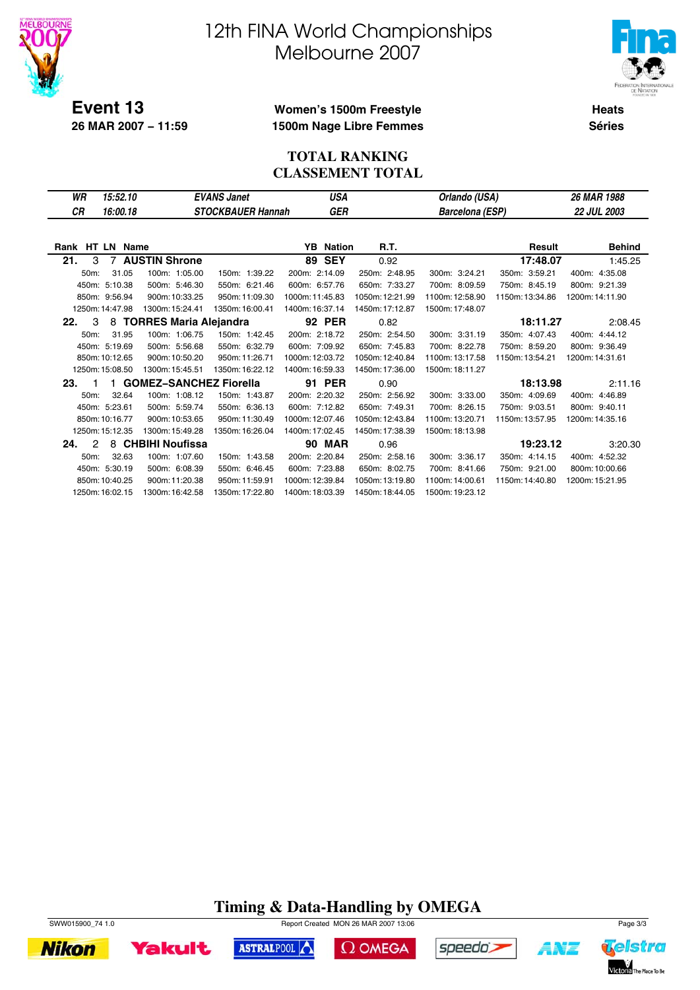

# 12th FINA World Championships Melbourne 2007



**Heats Séries**

### **Women's 1500m Freestyle 1500m Nage Libre Femmes**

#### **TOTAL RANKING CLASSEMENT TOTAL**

| WR                   | 15:52.10        |                          | <b>EVANS Janet</b>       | USA              |                 | Orlando (USA)          |                 | 26 MAR 1988     |
|----------------------|-----------------|--------------------------|--------------------------|------------------|-----------------|------------------------|-----------------|-----------------|
| СR                   | 16:00.18        |                          | <b>STOCKBAUER Hannah</b> | GER              |                 | <b>Barcelona (ESP)</b> |                 | 22 JUL 2003     |
|                      |                 |                          |                          |                  |                 |                        |                 |                 |
|                      |                 |                          |                          |                  |                 |                        |                 |                 |
| Rank HT LN Name      |                 |                          |                          | <b>YB</b> Nation | R.T.            |                        | Result          | <b>Behind</b>   |
| 21.<br>3             |                 | 7 AUSTIN Shrone          |                          | <b>89 SEY</b>    | 0.92            |                        | 17:48.07        | 1:45.25         |
| 50m:                 | 31.05           | 100m: 1:05.00            | 150m: 1:39.22            | 200m: 2:14.09    | 250m: 2:48.95   | 300m: 3:24.21          | 350m: 3:59.21   | 400m: 4:35.08   |
|                      | 450m: 5:10.38   | 500m: 5:46.30            | 550m: 6:21.46            | 600m: 6:57.76    | 650m: 7:33.27   | 700m: 8:09.59          | 750m: 8:45.19   | 800m: 9:21.39   |
|                      | 850m: 9:56.94   | 900m: 10:33.25           | 950m: 11:09.30           | 1000m: 11:45.83  | 1050m: 12:21.99 | 1100m: 12:58.90        | 1150m: 13:34.86 | 1200m: 14:11.90 |
|                      | 1250m: 14:47.98 | 1300m: 15:24.41          | 1350m: 16:00.41          | 1400m: 16:37.14  | 1450m: 17:12.87 | 1500m: 17:48.07        |                 |                 |
| 3<br>22.             |                 | 8 TORRES Maria Alejandra |                          | <b>92 PER</b>    | 0.82            |                        | 18:11.27        | 2:08.45         |
| 50m:                 | 31.95           | 100m: 1:06.75            | 150m: 1:42.45            | 200m: 2:18.72    | 250m: 2:54.50   | 300m: 3:31.19          | 350m: 4:07.43   | 400m: 4:44.12   |
|                      | 450m: 5:19.69   | 500m: 5:56.68            | 550m: 6:32.79            | 600m: 7:09.92    | 650m: 7:45.83   | 700m: 8:22.78          | 750m: 8:59.20   | 800m: 9:36.49   |
|                      | 850m: 10:12.65  | 900m: 10:50.20           | 950m: 11:26.71           | 1000m: 12:03.72  | 1050m: 12:40.84 | 1100m: 13:17.58        | 1150m: 13:54.21 | 1200m: 14:31.61 |
|                      | 1250m: 15:08.50 | 1300m: 15:45.51          | 1350m: 16:22.12          | 1400m: 16:59.33  | 1450m: 17:36.00 | 1500m: 18:11.27        |                 |                 |
| 23.<br>-1            |                 | 1 GOMEZ-SANCHEZ Fiorella |                          | 91 PER           | 0.90            |                        | 18:13.98        | 2:11.16         |
| 50m:                 | 32.64           | 100m: 1:08.12            | 150m: 1:43.87            | 200m: 2:20.32    | 250m: 2:56.92   | 300m: 3:33.00          | 350m: 4:09.69   | 400m: 4:46.89   |
|                      | 450m: 5:23.61   | 500m: 5:59.74            | 550m: 6:36.13            | 600m: 7:12.82    | 650m: 7:49.31   | 700m: 8:26.15          | 750m: 9:03.51   | 800m: 9:40.11   |
|                      | 850m: 10:16.77  | 900m: 10:53.65           | 950m: 11:30.49           | 1000m: 12:07.46  | 1050m: 12:43.84 | 1100m: 13:20.71        | 1150m: 13:57.95 | 1200m: 14:35.16 |
|                      | 1250m: 15:12.35 | 1300m: 15:49.28          | 1350m: 16:26.04          | 1400m: 17:02.45  | 1450m: 17:38.39 | 1500m: 18:13.98        |                 |                 |
| $\mathcal{P}$<br>24. |                 | 8 CHBIHI Noufissa        |                          | <b>90 MAR</b>    | 0.96            |                        | 19:23.12        | 3:20.30         |
| 50m:                 | 32.63           | 100m: 1:07.60            | 150m: 1:43.58            | 200m: 2:20.84    | 250m: 2:58.16   | 300m: 3:36.17          | 350m: 4:14.15   | 400m: 4:52.32   |
|                      | 450m: 5:30.19   | 500m: 6:08.39            | 550m: 6:46.45            | 600m: 7:23.88    | 650m: 8:02.75   | 700m: 8:41.66          | 750m: 9:21.00   | 800m: 10:00.66  |
|                      | 850m: 10:40.25  | 900m: 11:20.38           | 950m: 11:59.91           | 1000m: 12:39.84  | 1050m: 13:19.80 | 1100m: 14:00.61        | 1150m: 14:40.80 | 1200m: 15:21.95 |
|                      | 1250m: 16:02.15 | 1300m: 16:42.58          | 1350m: 17:22.80          | 1400m: 18:03.39  | 1450m: 18:44.05 | 1500m: 19:23.12        |                 |                 |

# **Timing & Data-Handling by OMEGA**



**Yakult** 

ASTRALPOOL  $\Omega$  OMEGA



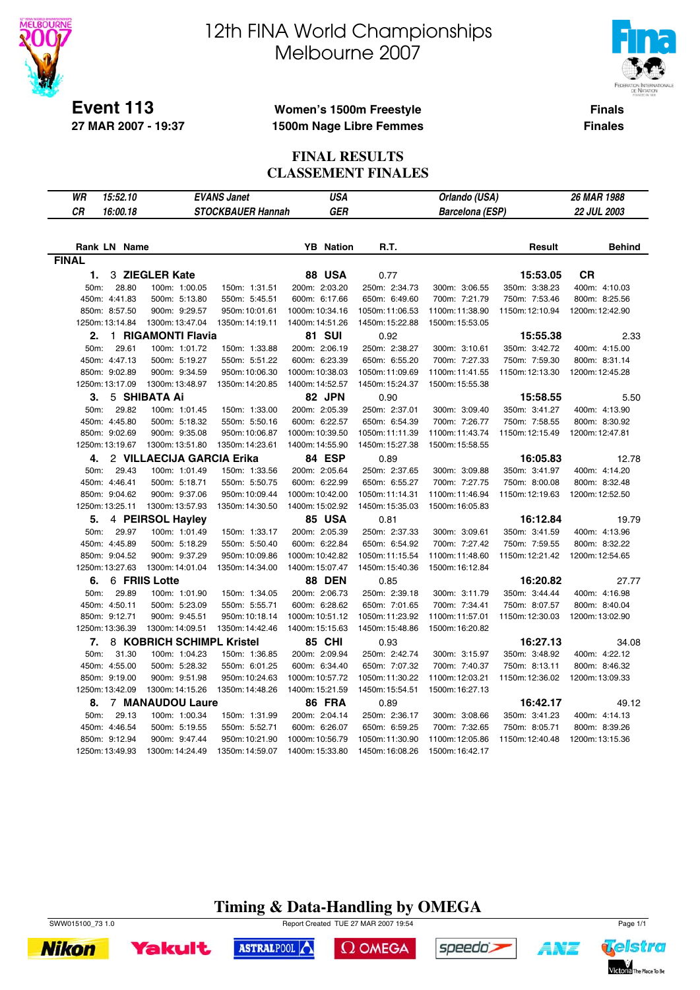

**27 MAR 2007 - 19:37**

# 12th FINA World Championships Melbourne 2007



**Finals Finales**

### **Women's 1500m Freestyle 1500m Nage Libre Femmes**

#### **FINAL RESULTS CLASSEMENT FINALES**

| WR           | 15:52.10            |                           | <b>EVANS Janet</b>              | <b>USA</b>       |                                  | Orlando (USA)                  |                                | <b>26 MAR 1988</b>             |
|--------------|---------------------|---------------------------|---------------------------------|------------------|----------------------------------|--------------------------------|--------------------------------|--------------------------------|
| CR           | 16:00.18            |                           | STOCKBAUER Hannah               | <b>GER</b>       |                                  | <b>Barcelona</b> (ESP)         |                                | 22 JUL 2003                    |
|              |                     |                           |                                 |                  |                                  |                                |                                |                                |
|              | <b>Rank LN Name</b> |                           |                                 | <b>YB</b> Nation | R.T.                             |                                | Result                         | <b>Behind</b>                  |
| <b>FINAL</b> |                     |                           |                                 |                  |                                  |                                |                                |                                |
| 1.           |                     | 3 ZIEGLER Kate            |                                 | <b>88 USA</b>    | 0.77                             |                                |                                | <b>CR</b>                      |
| 50m:         | 28.80               | 100m: 1:00.05             |                                 | 200m: 2:03.20    |                                  |                                | 15:53.05                       |                                |
|              | 450m: 4:41.83       | 500m: 5:13.80             | 150m: 1:31.51                   | 600m: 6:17.66    | 250m: 2:34.73                    | 300m: 3:06.55<br>700m: 7:21.79 | 350m: 3:38.23<br>750m: 7:53.46 | 400m: 4:10.03<br>800m: 8:25.56 |
|              | 850m: 8:57.50       | 900m: 9:29.57             | 550m: 5:45.51<br>950m: 10:01.61 | 1000m: 10:34.16  | 650m: 6:49.60<br>1050m: 11:06.53 | 1100m:11:38.90                 | 1150m: 12:10.94                | 1200m: 12:42.90                |
|              | 1250m: 13:14.84     | 1300m: 13:47.04           | 1350m: 14:19.11                 | 1400m: 14:51.26  |                                  | 1500m: 15:53.05                |                                |                                |
|              |                     |                           |                                 |                  | 1450m: 15:22.88                  |                                |                                |                                |
| 2.           |                     | 1 RIGAMONTI Flavia        |                                 | <b>81 SUI</b>    | 0.92                             |                                | 15:55.38                       | 2.33                           |
| 50m:         | 29.61               | 100m: 1:01.72             | 150m: 1:33.88                   | 200m: 2:06.19    | 250m: 2:38.27                    | 300m: 3:10.61                  | 350m: 3:42.72                  | 400m: 4:15.00                  |
|              | 450m: 4:47.13       | 500m: 5:19.27             | 550m: 5:51.22                   | 600m: 6:23.39    | 650m: 6:55.20                    | 700m: 7:27.33                  | 750m: 7:59.30                  | 800m: 8:31.14                  |
|              | 850m: 9:02.89       | 900m: 9:34.59             | 950m: 10:06.30                  | 1000m: 10:38.03  | 1050m: 11:09.69                  | 1100m: 11:41.55                | 1150m: 12:13.30                | 1200m: 12:45.28                |
|              | 1250m: 13:17.09     | 1300m: 13:48.97           | 1350m: 14:20.85                 | 1400m: 14:52.57  | 1450m: 15:24.37                  | 1500m: 15:55.38                |                                |                                |
| 3.           |                     | 5 SHIBATA Ai              |                                 | 82 JPN           | 0.90                             |                                | 15:58.55                       | 5.50                           |
| 50m:         | 29.82               | 100m: 1:01.45             | 150m: 1:33.00                   | 200m: 2:05.39    | 250m: 2:37.01                    | 300m: 3:09.40                  | 350m: 3:41.27                  | 400m: 4:13.90                  |
|              | 450m: 4:45.80       | 500m: 5:18.32             | 550m: 5:50.16                   | 600m: 6:22.57    | 650m: 6:54.39                    | 700m: 7:26.77                  | 750m: 7:58.55                  | 800m: 8:30.92                  |
|              | 850m: 9:02.69       | 900m: 9:35.08             | 950m: 10:06.87                  | 1000m: 10:39.50  | 1050m: 11:11.39                  | 1100m: 11:43.74                | 1150m: 12:15.49                | 1200m: 12:47.81                |
|              | 1250m: 13:19.67     | 1300m: 13:51.80           | 1350m: 14:23.61                 | 1400m: 14:55.90  | 1450m: 15:27.38                  | 1500m: 15:58.55                |                                |                                |
| 4.           |                     | 2 VILLAECIJA GARCIA Erika |                                 | 84 ESP           | 0.89                             |                                | 16:05.83                       | 12.78                          |
| 50m:         | 29.43               | 100m: 1:01.49             | 150m: 1:33.56                   | 200m: 2:05.64    | 250m: 2:37.65                    | 300m: 3:09.88                  | 350m: 3:41.97                  | 400m: 4:14.20                  |
|              | 450m: 4:46.41       | 500m: 5:18.71             | 550m: 5:50.75                   | 600m: 6:22.99    | 650m: 6:55.27                    | 700m: 7:27.75                  | 750m: 8:00.08                  | 800m: 8:32.48                  |
|              | 850m: 9:04.62       | 900m: 9:37.06             | 950m: 10:09.44                  | 1000m: 10:42.00  | 1050m: 11:14.31                  | 1100m: 11:46.94                | 1150m: 12:19.63                | 1200m: 12:52.50                |
|              | 1250m: 13:25.11     | 1300m: 13:57.93           | 1350m: 14:30.50                 | 1400m: 15:02.92  | 1450m: 15:35.03                  | 1500m: 16:05.83                |                                |                                |
| 5.           |                     | 4 PEIRSOL Hayley          |                                 | 85 USA           | 0.81                             |                                | 16:12.84                       | 19.79                          |
| 50m:         | 29.97               | 100m: 1:01.49             | 150m: 1:33.17                   | 200m: 2:05.39    | 250m: 2:37.33                    | 300m: 3:09.61                  | 350m: 3:41.59                  | 400m: 4:13.96                  |
|              | 450m: 4:45.89       | 500m: 5:18.29             | 550m: 5:50.40                   | 600m: 6:22.84    | 650m: 6:54.92                    | 700m: 7:27.42                  | 750m: 7:59.55                  | 800m: 8:32.22                  |
|              | 850m: 9:04.52       | 900m: 9:37.29             | 950m: 10:09.86                  | 1000m: 10:42.82  | 1050m: 11:15.54                  | 1100m:11:48.60                 | 1150m: 12:21.42                | 1200m: 12:54.65                |
|              | 1250m: 13:27.63     | 1300m: 14:01.04           | 1350m: 14:34.00                 | 1400m: 15:07.47  | 1450m: 15:40.36                  | 1500m: 16:12.84                |                                |                                |
| 6.           |                     | 6 FRIIS Lotte             |                                 | <b>88 DEN</b>    | 0.85                             |                                | 16:20.82                       | 27.77                          |
| 50m:         | 29.89               | 100m: 1:01.90             | 150m: 1:34.05                   | 200m: 2:06.73    | 250m: 2:39.18                    | 300m: 3:11.79                  | 350m: 3:44.44                  | 400m: 4:16.98                  |
|              | 450m: 4:50.11       | 500m: 5:23.09             | 550m: 5:55.71                   | 600m: 6:28.62    | 650m: 7:01.65                    | 700m: 7:34.41                  | 750m: 8:07.57                  | 800m: 8:40.04                  |
|              | 850m: 9:12.71       | 900m: 9:45.51             | 950m: 10:18.14                  | 1000m: 10:51.12  | 1050m: 11:23.92                  | 1100m: 11:57.01                | 1150m: 12:30.03                | 1200m: 13:02.90                |
|              | 1250m: 13:36.39     | 1300m: 14:09.51           | 1350m: 14:42.46                 | 1400m: 15:15.63  | 1450m: 15:48.86                  | 1500m: 16:20.82                |                                |                                |
| 7.           |                     | 8 KOBRICH SCHIMPL Kristel |                                 | <b>85 CHI</b>    | 0.93                             |                                | 16:27.13                       | 34.08                          |
| 50m:         | 31.30               | 100m: 1:04.23             | 150m: 1:36.85                   | 200m: 2:09.94    | 250m: 2:42.74                    | 300m: 3:15.97                  | 350m: 3:48.92                  | 400m: 4:22.12                  |
|              | 450m: 4:55.00       | 500m: 5:28.32             | 550m: 6:01.25                   | 600m: 6:34.40    | 650m: 7:07.32                    | 700m: 7:40.37                  | 750m: 8:13.11                  | 800m: 8:46.32                  |
|              | 850m: 9:19.00       | 900m: 9:51.98             | 950m: 10:24.63                  | 1000m: 10:57.72  | 1050m: 11:30.22                  | 1100m: 12:03.21                | 1150m: 12:36.02                | 1200m: 13:09.33                |
|              | 1250m: 13:42.09     | 1300m: 14:15.26           | 1350m: 14:48.26                 | 1400m: 15:21.59  | 1450m: 15:54.51                  | 1500m: 16:27.13                |                                |                                |
| 8.           |                     | <b>7 MANAUDOU Laure</b>   |                                 | <b>86 FRA</b>    |                                  |                                | 16:42.17                       | 49.12                          |
| 50m:         | 29.13               | 100m: 1:00.34             | 150m: 1:31.99                   | 200m: 2:04.14    | 0.89                             | 300m: 3:08.66                  | 350m: 3:41.23                  | 400m: 4:14.13                  |
|              |                     |                           |                                 |                  | 250m: 2:36.17                    |                                |                                |                                |
|              | 450m: 4:46.54       | 500m: 5:19.55             | 550m: 5:52.71                   | 600m: 6:26.07    | 650m: 6:59.25                    | 700m: 7:32.65                  | 750m: 8:05.71                  | 800m: 8:39.26                  |
|              | 850m: 9:12.94       | 900m: 9:47.44             | 950m: 10:21.90                  | 1000m: 10:56.79  | 1050m: 11:30.90                  | 1100m: 12:05.86                | 1150m: 12:40.48                | 1200m: 13:15.36                |
|              | 1250m: 13:49.93     | 1300m: 14:24.49           | 1350m: 14:59.07                 | 1400m: 15:33.80  | 1450m: 16:08.26                  | 1500m: 16:42.17                |                                |                                |









ASTRALPOOL

 $\Omega$  OMEGA

speedo's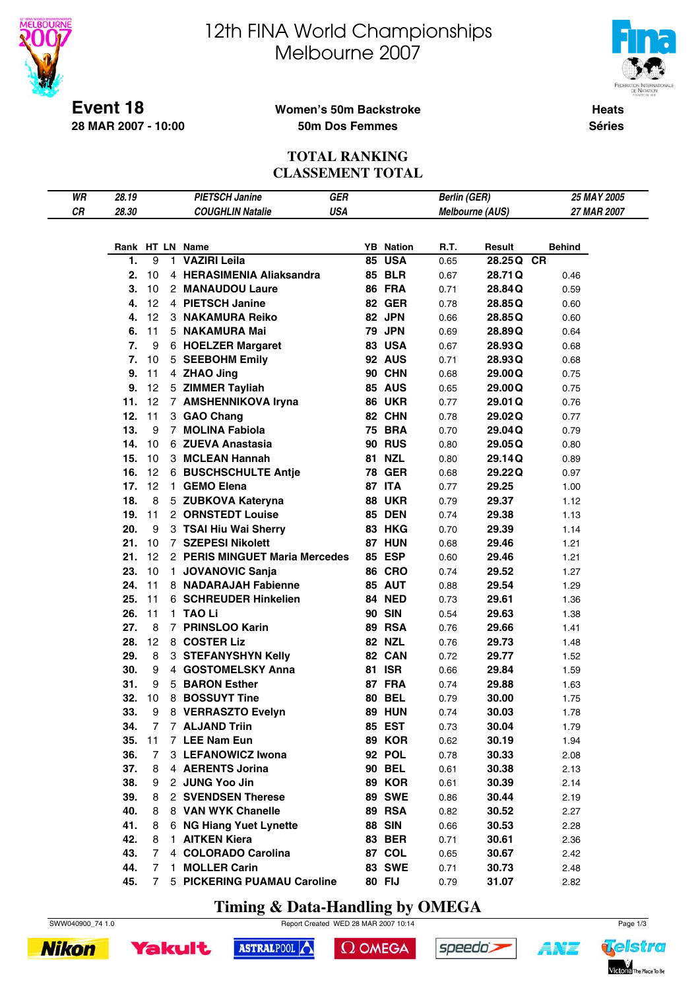

# 12th FINA World Championships Melbourne 2007



**Heats**

**Séries**

### **Women's 50m Backstroke 50m Dos Femmes**

### **TOTAL RANKING CLASSEMENT TOTAL**

| WR | 28.19 |    |    | <b>PIETSCH Janine</b>          | GER        |                  | <b>Berlin (GER)</b> |                        | 25 MAY 2005   |
|----|-------|----|----|--------------------------------|------------|------------------|---------------------|------------------------|---------------|
| CR | 28.30 |    |    | <b>COUGHLIN Natalie</b>        | <b>USA</b> |                  |                     | <b>Melbourne (AUS)</b> | 27 MAR 2007   |
|    |       |    |    |                                |            |                  |                     |                        |               |
|    |       |    |    |                                |            |                  |                     |                        |               |
|    |       |    |    | Rank HT LN Name                |            | <b>YB</b> Nation | R.T.                | Result                 | <b>Behind</b> |
|    | 1.    | 9  | 1. | <b>VAZIRI Leila</b>            |            | <b>85 USA</b>    | 0.65                | 28.25Q CR              |               |
|    | 2.    | 10 |    | 4 HERASIMENIA Aliaksandra      |            | <b>85 BLR</b>    | 0.67                | 28.71Q                 | 0.46          |
|    | 3.    | 10 |    | 2 MANAUDOU Laure               |            | 86 FRA           | 0.71                | 28.84Q                 | 0.59          |
|    | 4.    | 12 |    | 4 PIETSCH Janine               |            | <b>82 GER</b>    | 0.78                | 28.85Q                 | 0.60          |
|    | 4.    | 12 |    | 3 NAKAMURA Reiko               |            | 82 JPN           | 0.66                | 28.85Q                 | 0.60          |
|    | 6.    | 11 |    | 5 NAKAMURA Mai                 |            | <b>79 JPN</b>    | 0.69                | 28.89Q                 | 0.64          |
|    | 7.    | 9  |    | 6 HOELZER Margaret             |            | <b>83 USA</b>    | 0.67                | 28.93Q                 | 0.68          |
|    | 7.    | 10 |    | 5 SEEBOHM Emily                |            | <b>92 AUS</b>    | 0.71                | 28.93Q                 | 0.68          |
|    | 9.    | 11 |    | 4 ZHAO Jing                    |            | <b>90 CHN</b>    | 0.68                | 29.00Q                 | 0.75          |
|    | 9.    | 12 |    | 5 ZIMMER Tayliah               |            | <b>85 AUS</b>    | 0.65                | 29.00Q                 | 0.75          |
|    | 11.   | 12 |    | 7 AMSHENNIKOVA Iryna           |            | <b>86 UKR</b>    | 0.77                | 29.01 Q                | 0.76          |
|    | 12.   | 11 |    | 3 GAO Chang                    |            | 82 CHN           | 0.78                | 29.02Q                 | 0.77          |
|    | 13.   | 9  |    | 7 MOLINA Fabiola               |            | <b>75 BRA</b>    | 0.70                | 29.04Q                 | 0.79          |
|    | 14.   | 10 |    | 6 ZUEVA Anastasia              |            | <b>90 RUS</b>    | 0.80                | 29.05Q                 | 0.80          |
|    | 15.   | 10 |    | 3 MCLEAN Hannah                |            | <b>81 NZL</b>    | 0.80                | 29.14Q                 | 0.89          |
|    | 16.   | 12 |    | <b>6 BUSCHSCHULTE Antie</b>    |            | <b>78 GER</b>    | 0.68                | 29.22Q                 | 0.97          |
|    | 17.   | 12 |    | 1 GEMO Elena                   |            | <b>87 ITA</b>    | 0.77                | 29.25                  | 1.00          |
|    | 18.   | 8  |    | 5 ZUBKOVA Kateryna             |            | <b>88 UKR</b>    | 0.79                | 29.37                  | 1.12          |
|    | 19.   | 11 |    | 2 ORNSTEDT Louise              |            | <b>85 DEN</b>    | 0.74                | 29.38                  | 1.13          |
|    | 20.   | 9  |    | 3 TSAI Hiu Wai Sherry          |            | <b>83 HKG</b>    | 0.70                | 29.39                  | 1.14          |
|    | 21.   | 10 |    | 7 SZEPESI Nikolett             |            | <b>87 HUN</b>    | 0.68                | 29.46                  | 1.21          |
|    | 21.   | 12 |    | 2 PERIS MINGUET Maria Mercedes |            | 85 ESP           | 0.60                | 29.46                  | 1.21          |
|    | 23.   | 10 |    | 1 JOVANOVIC Sanja              |            | <b>86 CRO</b>    | 0.74                | 29.52                  | 1.27          |
|    | 24.   | 11 |    | 8 NADARAJAH Fabienne           |            | 85 AUT           | 0.88                | 29.54                  | 1.29          |
|    | 25.   | 11 |    | 6 SCHREUDER Hinkelien          |            | <b>84 NED</b>    | 0.73                | 29.61                  | 1.36          |
|    | 26.   | 11 |    | 1 TAO Li                       |            | <b>90 SIN</b>    | 0.54                | 29.63                  | 1.38          |
|    | 27.   | 8  |    | 7 PRINSLOO Karin               |            | 89 RSA           | 0.76                | 29.66                  | 1.41          |
|    | 28.   | 12 |    | 8 COSTER Liz                   |            | <b>82 NZL</b>    | 0.76                | 29.73                  | 1.48          |
|    | 29.   | 8  |    | 3 STEFANYSHYN Kelly            |            | 82 CAN           | 0.72                | 29.77                  | 1.52          |
|    | 30.   | 9  |    | 4 GOSTOMELSKY Anna             |            | <b>81 ISR</b>    | 0.66                | 29.84                  | 1.59          |
|    | 31.   | 9  |    | 5 BARON Esther                 |            | 87 FRA           | 0.74                | 29.88                  | 1.63          |
|    | 32.   | 10 |    | 8 BOSSUYT Tine                 |            | <b>80 BEL</b>    | 0.79                | 30.00                  | 1.75          |
|    | 33.   | 9  |    | 8 VERRASZTO Evelyn             |            | <b>89 HUN</b>    | 0.74                | 30.03                  | 1.78          |
|    | 34.   | 7  |    | 7 ALJAND Triin                 |            | 85 EST           | 0.73                | 30.04                  | 1.79          |
|    | 35.   | 11 |    | 7 LEE Nam Eun                  |            | <b>89 KOR</b>    | 0.62                | 30.19                  | 1.94          |
|    | 36.   | 7  |    | 3 LEFANOWICZ Iwona             |            | 92 POL           | 0.78                | 30.33                  | 2.08          |
|    | 37.   | 8  |    | 4 AERENTS Jorina               |            | <b>90 BEL</b>    | 0.61                | 30.38                  | 2.13          |
|    | 38.   | 9  |    | 2 JUNG Yoo Jin                 |            | <b>89 KOR</b>    | 0.61                | 30.39                  | 2.14          |
|    | 39.   | 8  |    | 2 SVENDSEN Therese             |            | <b>89 SWE</b>    | 0.86                | 30.44                  | 2.19          |
|    | 40.   | 8  |    | 8 VAN WYK Chanelle             |            | <b>89 RSA</b>    | 0.82                | 30.52                  | 2.27          |
|    | 41.   | 8  |    | 6 NG Hiang Yuet Lynette        |            | <b>88 SIN</b>    | 0.66                | 30.53                  | 2.28          |
|    | 42.   | 8  |    | 1 AITKEN Kiera                 |            | 83 BER           | 0.71                | 30.61                  | 2.36          |
|    | 43.   | 7  |    | 4 COLORADO Carolina            |            | 87 COL           | 0.65                | 30.67                  | 2.42          |
|    | 44.   | 7  | 1. | <b>MOLLER Carin</b>            |            | <b>83 SWE</b>    | 0.71                | 30.73                  | 2.48          |
|    | 45.   | 7  |    | 5 PICKERING PUAMAU Caroline    |            | <b>80 FIJ</b>    | 0.79                | 31.07                  | 2.82          |

**Timing & Data-Handling by OMEGA**

ASTRALPOOL

SWW040900\_74 1.0 Report Created WED 28 MAR 2007 10:14 Page 1/3

 $\Omega$  OMEGA



**Yakult** 



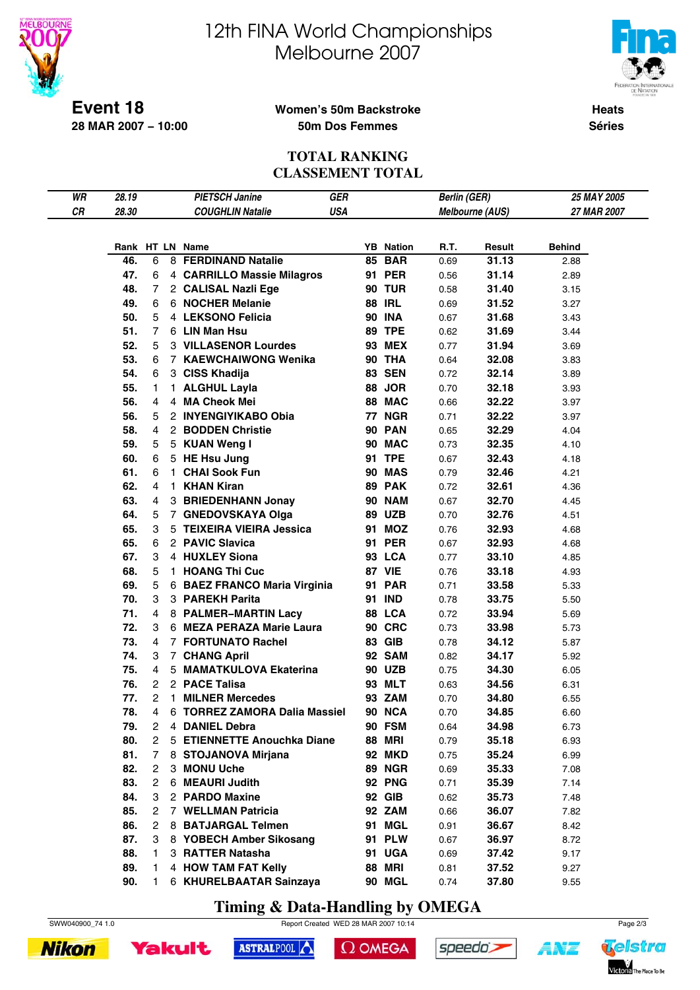

# 12th FINA World Championships Melbourne 2007



**Heats Séries**

### **Women's 50m Backstroke 50m Dos Femmes**

#### **TOTAL RANKING CLASSEMENT TOTAL**

| WR | 28.19      |    |              | <b>PIETSCH Janine</b>         | <b>GER</b> |    |                  | <b>Berlin (GER)</b> |                 | 25 MAY 2005   |  |
|----|------------|----|--------------|-------------------------------|------------|----|------------------|---------------------|-----------------|---------------|--|
| CR | 28.30      |    |              | <b>COUGHLIN Natalie</b>       | <b>USA</b> |    |                  |                     | Melbourne (AUS) | 27 MAR 2007   |  |
|    |            |    |              |                               |            |    |                  |                     |                 |               |  |
|    |            |    |              |                               |            |    |                  |                     |                 |               |  |
|    |            |    |              | Rank HT LN Name               |            |    | <b>YB</b> Nation | R.T.                | Result          | <b>Behind</b> |  |
|    | 46.        | 6  |              | 8 FERDINAND Natalie           |            | 85 | <b>BAR</b>       | 0.69                | 31.13           | 2.88          |  |
|    | 47.        | 6  |              | 4 CARRILLO Massie Milagros    |            |    | 91 PER           | 0.56                | 31.14           | 2.89          |  |
|    | 48.        | 7  |              | 2 CALISAL Nazli Ege           |            |    | <b>90 TUR</b>    | 0.58                | 31.40           | 3.15          |  |
|    | 49.        | 6  |              | 6 NOCHER Melanie              |            |    | <b>88 IRL</b>    | 0.69                | 31.52           | 3.27          |  |
|    | 50.        | 5  |              | 4 LEKSONO Felicia             |            |    | <b>90 INA</b>    | 0.67                | 31.68           | 3.43          |  |
|    | 51.        | 7  |              | 6 LIN Man Hsu                 |            |    | <b>89 TPE</b>    | 0.62                | 31.69           | 3.44          |  |
|    | 52.        | 5  |              | <b>3 VILLASENOR Lourdes</b>   |            |    | <b>93 MEX</b>    | 0.77                | 31.94           | 3.69          |  |
|    | 53.        | 6  |              | 7 KAEWCHAIWONG Wenika         |            |    | <b>90 THA</b>    | 0.64                | 32.08           | 3.83          |  |
|    | 54.        | 6  |              | 3 CISS Khadija                |            |    | <b>83 SEN</b>    | 0.72                | 32.14           | 3.89          |  |
|    | 55.        | 1  |              | 1 ALGHUL Layla                |            |    | 88 JOR           | 0.70                | 32.18           | 3.93          |  |
|    | 56.        | 4  |              | 4 MA Cheok Mei                |            |    | 88 MAC           | 0.66                | 32.22           | 3.97          |  |
|    | 56.        | 5  |              | 2 INYENGIYIKABO Obia          |            |    | 77 NGR           | 0.71                | 32.22           | 3.97          |  |
|    | 58.        | 4  |              | 2 BODDEN Christie             |            |    | <b>90 PAN</b>    | 0.65                | 32.29           | 4.04          |  |
|    | 59.        | 5  |              | 5 KUAN Weng I                 |            |    | 90 MAC           | 0.73                | 32.35           | 4.10          |  |
|    | 60.        | 6  |              | 5 HE Hsu Jung                 |            |    | <b>91 TPE</b>    | 0.67                | 32.43           | 4.18          |  |
|    | 61.        | 6  |              | 1 CHAI Sook Fun               |            |    | <b>90 MAS</b>    | 0.79                | 32.46           | 4.21          |  |
|    | 62.        | 4  | $\mathbf{1}$ | <b>KHAN Kiran</b>             |            |    | 89 PAK           | 0.72                | 32.61           | 4.36          |  |
|    | 63.        | 4  |              | 3 BRIEDENHANN Jonay           |            |    | <b>90 NAM</b>    | 0.67                | 32.70           | 4.45          |  |
|    | 64.        | 5  |              | 7 GNEDOVSKAYA Olga            |            |    | <b>89 UZB</b>    | 0.70                | 32.76           | 4.51          |  |
|    | 65.        | 3  |              | 5 TEIXEIRA VIEIRA Jessica     |            |    | 91 MOZ           | 0.76                | 32.93           | 4.68          |  |
|    | 65.        | 6  |              | 2 PAVIC Slavica               |            |    | <b>91 PER</b>    | 0.67                | 32.93           |               |  |
|    | 67.        | 3  |              | 4 HUXLEY Siona                |            |    | 93 LCA           |                     | 33.10           | 4.68          |  |
|    |            | 5  |              |                               |            |    | 87 VIE           | 0.77                |                 | 4.85          |  |
|    | 68.<br>69. |    |              | 1 HOANG Thi Cuc               |            |    |                  | 0.76                | 33.18           | 4.93          |  |
|    |            | 5  |              | 6 BAEZ FRANCO Maria Virginia  |            |    | <b>91 PAR</b>    | 0.71                | 33.58           | 5.33          |  |
|    | 70.        | 3  |              | 3 PAREKH Parita               |            |    | 91 IND           | 0.78                | 33.75           | 5.50          |  |
|    | 71.        | 4  |              | 8 PALMER-MARTIN Lacy          |            |    | 88 LCA           | 0.72                | 33.94           | 5.69          |  |
|    | 72.        | 3  |              | 6 MEZA PERAZA Marie Laura     |            |    | <b>90 CRC</b>    | 0.73                | 33.98           | 5.73          |  |
|    | 73.        | 4  |              | 7 FORTUNATO Rachel            |            |    | 83 GIB           | 0.78                | 34.12           | 5.87          |  |
|    | 74.        | 3  |              | 7 CHANG April                 |            |    | <b>92 SAM</b>    | 0.82                | 34.17           | 5.92          |  |
|    | 75.        | 4  |              | 5 MAMATKULOVA Ekaterina       |            |    | <b>90 UZB</b>    | 0.75                | 34.30           | 6.05          |  |
|    | 76.        | 2  |              | 2 PACE Talisa                 |            |    | 93 MLT           | 0.63                | 34.56           | 6.31          |  |
|    | 77.        | 2  |              | 1 MILNER Mercedes             |            |    | 93 ZAM           | 0.70                | 34.80           | 6.55          |  |
|    | 78.        | 4  |              | 6 TORREZ ZAMORA Dalia Massiel |            |    | <b>90 NCA</b>    | 0.70                | 34.85           | 6.60          |  |
|    | 79.        | 2  | 4            | <b>DANIEL Debra</b>           |            |    | 90 FSM           | 0.64                | 34.98           | 6.73          |  |
|    | 80.        | 2  |              | 5 ETIENNETTE Anouchka Diane   |            |    | <b>88 MRI</b>    | 0.79                | 35.18           | 6.93          |  |
|    | 81.        | 7  |              | 8 STOJANOVA Mirjana           |            |    | <b>92 MKD</b>    | 0.75                | 35.24           | 6.99          |  |
|    | 82.        | 2  |              | 3 MONU Uche                   |            |    | <b>89 NGR</b>    | 0.69                | 35.33           | 7.08          |  |
|    | 83.        | 2  |              | 6 MEAURI Judith               |            |    | <b>92 PNG</b>    | 0.71                | 35.39           | 7.14          |  |
|    | 84.        | 3  |              | 2 PARDO Maxine                |            |    | 92 GIB           | 0.62                | 35.73           | 7.48          |  |
|    | 85.        | 2  |              | 7 WELLMAN Patricia            |            |    | <b>92 ZAM</b>    | 0.66                | 36.07           | 7.82          |  |
|    | 86.        | 2  |              | 8 BATJARGAL Telmen            |            |    | 91 MGL           | 0.91                | 36.67           | 8.42          |  |
|    | 87.        | 3  |              | 8 YOBECH Amber Sikosang       |            |    | <b>91 PLW</b>    | 0.67                | 36.97           | 8.72          |  |
|    | 88.        | 1  |              | 3 RATTER Natasha              |            |    | 91 UGA           | 0.69                | 37.42           | 9.17          |  |
|    | 89.        | 1  |              | 4 HOW TAM FAT Kelly           |            |    | <b>88 MRI</b>    | 0.81                | 37.52           | 9.27          |  |
|    | 90.        | 1. |              | 6 KHURELBAATAR Sainzaya       |            |    | 90 MGL           | 0.74                | 37.80           | 9.55          |  |

**Timing & Data-Handling by OMEGA**







 $\Omega$  OMEGA



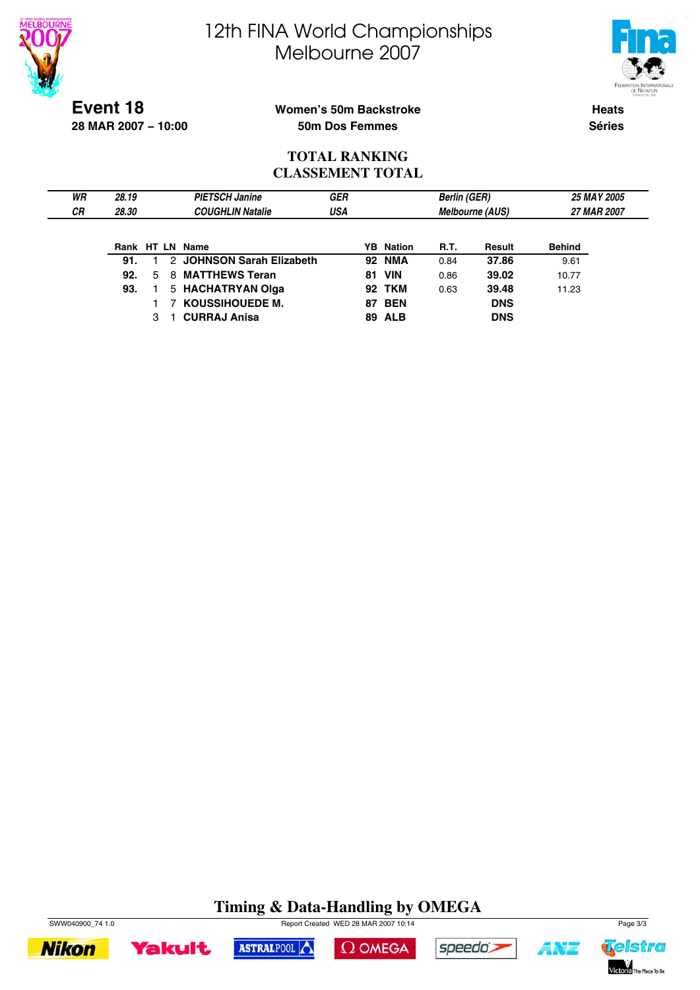



**Event 18 28 MAR 2007 − 10:00**

### **Women's 50m Backstroke 50m Dos Femmes**

**Heats Séries**

### **TOTAL RANKING CLASSEMENT TOTAL**

| WR        | 28.19 |   | <b>PIETSCH Janine</b>     | <b>GER</b> |    |                  | <b>Berlin (GER)</b> |                        | <b>25 MAY 2005</b> |  |
|-----------|-------|---|---------------------------|------------|----|------------------|---------------------|------------------------|--------------------|--|
| <b>CR</b> | 28.30 |   | <b>COUGHLIN Natalie</b>   | USA        |    |                  |                     | <b>Melbourne (AUS)</b> | 27 MAR 2007        |  |
|           |       |   |                           |            |    |                  |                     |                        |                    |  |
|           |       |   | Rank HT LN Name           |            |    | <b>YB</b> Nation | <b>R.T.</b>         | Result                 | <b>Behind</b>      |  |
|           | 91.   |   | 2 JOHNSON Sarah Elizabeth |            | 92 | NMA              | 0.84                | 37.86                  | 9.61               |  |
|           | 92.   | 5 | 8 MATTHEWS Teran          |            |    | <b>81 VIN</b>    | 0.86                | 39.02                  | 10.77              |  |
|           | 93.   |   | 5 HACHATRYAN Olga         |            |    | <b>92 TKM</b>    | 0.63                | 39.48                  | 11.23              |  |
|           |       |   | 7 KOUSSIHOUEDE M.         |            |    | <b>87 BEN</b>    |                     | <b>DNS</b>             |                    |  |
|           |       | 3 | <b>CURRAJ Anisa</b>       |            |    | <b>89 ALB</b>    |                     | <b>DNS</b>             |                    |  |

# **Timing & Data-Handling by OMEGA**

 $\Omega$  OMEGA



**Yakult** 



ASTRALPOOL





A¥Z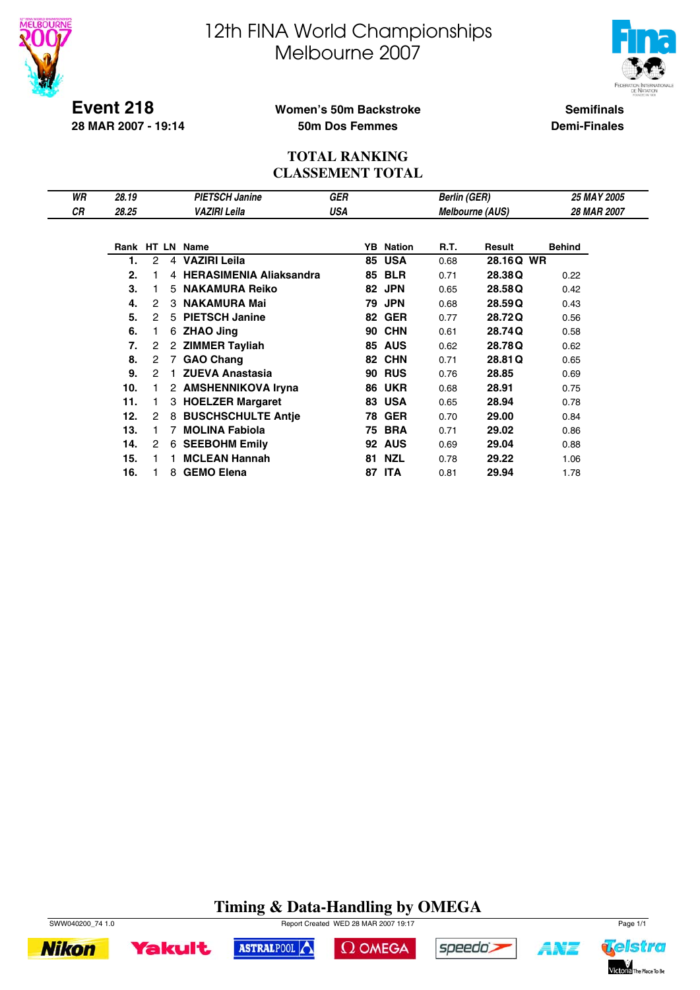



**Event 218 28 MAR 2007 - 19:14**

### **Women's 50m Backstroke 50m Dos Femmes**

**Semifinals Demi-Finales**

### **TOTAL RANKING CLASSEMENT TOTAL**

| WR | 28.19 |                |    | <b>PIETSCH Janine</b>          | <b>GER</b> |    |            | <b>Berlin (GER)</b> |                        | 25 MAY 2005   |
|----|-------|----------------|----|--------------------------------|------------|----|------------|---------------------|------------------------|---------------|
| СR | 28.25 |                |    | VAZIRI Leila                   | USA        |    |            |                     | <b>Melbourne (AUS)</b> | 28 MAR 2007   |
|    |       |                |    |                                |            |    |            |                     |                        |               |
|    |       |                |    | Rank HT LN Name                |            | YB | Nation     | R.T.                | Result                 | <b>Behind</b> |
|    | 1.    | 2              | 4  | <b>VAZIRI Leila</b>            |            | 85 | <b>USA</b> | 0.68                | 28.16Q WR              |               |
|    | 2.    |                | 4  | <b>HERASIMENIA Aliaksandra</b> |            | 85 | <b>BLR</b> | 0.71                | 28.38Q                 | 0.22          |
|    | 3.    |                | 5. | <b>NAKAMURA Reiko</b>          |            | 82 | <b>JPN</b> | 0.65                | 28.58Q                 | 0.42          |
|    | 4.    | 2              | 3  | <b>NAKAMURA Mai</b>            |            | 79 | <b>JPN</b> | 0.68                | 28.59Q                 | 0.43          |
|    | 5.    | 2              | 5  | <b>PIETSCH Janine</b>          |            | 82 | <b>GER</b> | 0.77                | 28.72Q                 | 0.56          |
|    | 6.    |                | 6  | <b>ZHAO Jing</b>               |            | 90 | <b>CHN</b> | 0.61                | 28.74Q                 | 0.58          |
|    | 7.    | 2              |    | 2 ZIMMER Tayliah               |            | 85 | <b>AUS</b> | 0.62                | 28.78Q                 | 0.62          |
|    | 8.    | $\overline{2}$ | 7  | <b>GAO Chang</b>               |            | 82 | <b>CHN</b> | 0.71                | 28.81 Q                | 0.65          |
|    | 9.    | 2              |    | <b>ZUEVA Anastasia</b>         |            | 90 | <b>RUS</b> | 0.76                | 28.85                  | 0.69          |
|    | 10.   |                | 2  | <b>AMSHENNIKOVA Iryna</b>      |            | 86 | <b>UKR</b> | 0.68                | 28.91                  | 0.75          |
|    | 11.   |                | 3  | <b>HOELZER Margaret</b>        |            | 83 | <b>USA</b> | 0.65                | 28.94                  | 0.78          |
|    | 12.   | 2              | 8  | <b>BUSCHSCHULTE Antie</b>      |            | 78 | <b>GER</b> | 0.70                | 29.00                  | 0.84          |
|    | 13.   |                |    | <b>MOLINA Fabiola</b>          |            | 75 | <b>BRA</b> | 0.71                | 29.02                  | 0.86          |
|    | 14.   | 2              | 6  | <b>SEEBOHM Emily</b>           |            | 92 | <b>AUS</b> | 0.69                | 29.04                  | 0.88          |
|    | 15.   |                |    | <b>MCLEAN Hannah</b>           |            | 81 | <b>NZL</b> | 0.78                | 29.22                  | 1.06          |
|    | 16.   |                | 8  | <b>GEMO Elena</b>              |            | 87 | <b>ITA</b> | 0.81                | 29.94                  | 1.78          |

# **Timing & Data-Handling by OMEGA**

ASTRALPOOL



**Yakult** 

**Nikon** 





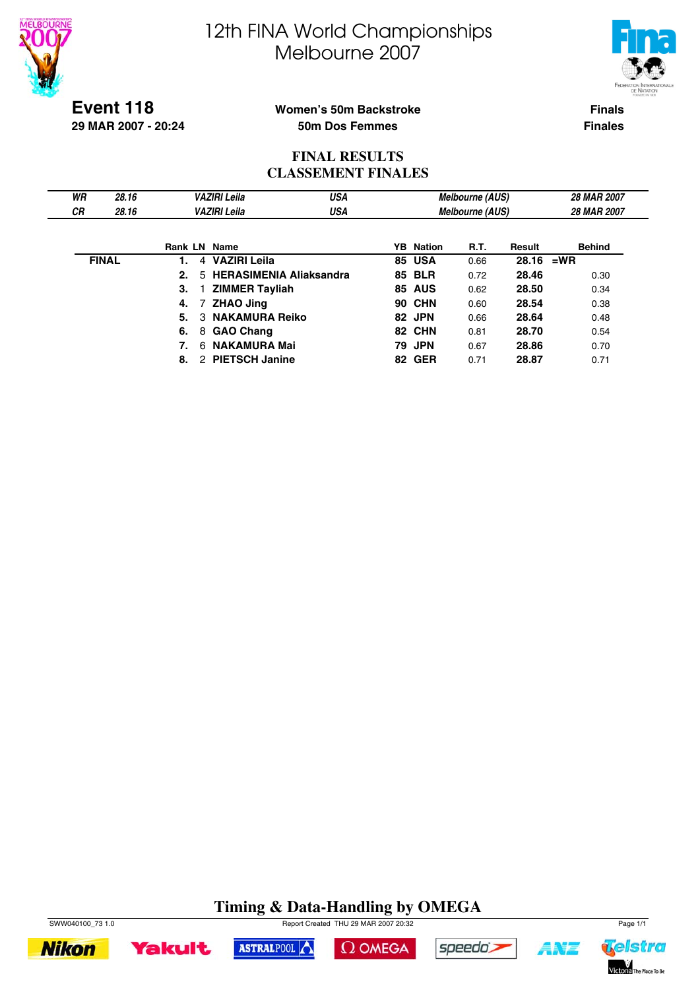



**Event 118 29 MAR 2007 - 20:24**

### **Women's 50m Backstroke 50m Dos Femmes**

**Finals Finales**

### **FINAL RESULTS CLASSEMENT FINALES**

| WR<br>СR | 28.16<br>28.16 | <b>VAZIRI Leila</b><br><b>VAZIRI Leila</b> |                            | USA<br>USA                     | <b>Melbourne (AUS)</b> | 28 MAR 2007<br>28 MAR 2007 |             |               |  |
|----------|----------------|--------------------------------------------|----------------------------|--------------------------------|------------------------|----------------------------|-------------|---------------|--|
|          |                |                                            |                            |                                |                        | <b>Melbourne (AUS)</b>     |             |               |  |
|          |                |                                            | <b>Rank LN Name</b>        |                                | <b>YB</b> Nation       | R.T.                       | Result      | <b>Behind</b> |  |
|          | <b>FINAL</b>   |                                            | <b>VAZIRI Leila</b><br>4   |                                | <b>85 USA</b>          | 0.66                       | $28.16$ =WR |               |  |
|          |                | 2.                                         | 5.                         | <b>HERASIMENIA Aliaksandra</b> | <b>85 BLR</b>          | 0.72                       | 28.46       | 0.30          |  |
|          |                | 3.                                         | <b>ZIMMER Tayliah</b>      |                                | <b>85 AUS</b>          | 0.62                       | 28.50       | 0.34          |  |
|          |                | 4.                                         | <b>ZHAO Jing</b>           |                                | <b>90 CHN</b>          | 0.60                       | 28.54       | 0.38          |  |
|          |                | 5.                                         | <b>NAKAMURA Reiko</b><br>3 |                                | 82 JPN                 | 0.66                       | 28.64       | 0.48          |  |
|          |                | 6.                                         | 8 GAO Chang                |                                | 82 CHN                 | 0.81                       | 28.70       | 0.54          |  |
|          |                |                                            | <b>NAKAMURA Mai</b><br>6.  |                                | <b>79 JPN</b>          | 0.67                       | 28.86       | 0.70          |  |

**8. 2 PIETSCH Janine 62 GER 0.71 28.87 0.71** 

# **Timing & Data-Handling by OMEGA**







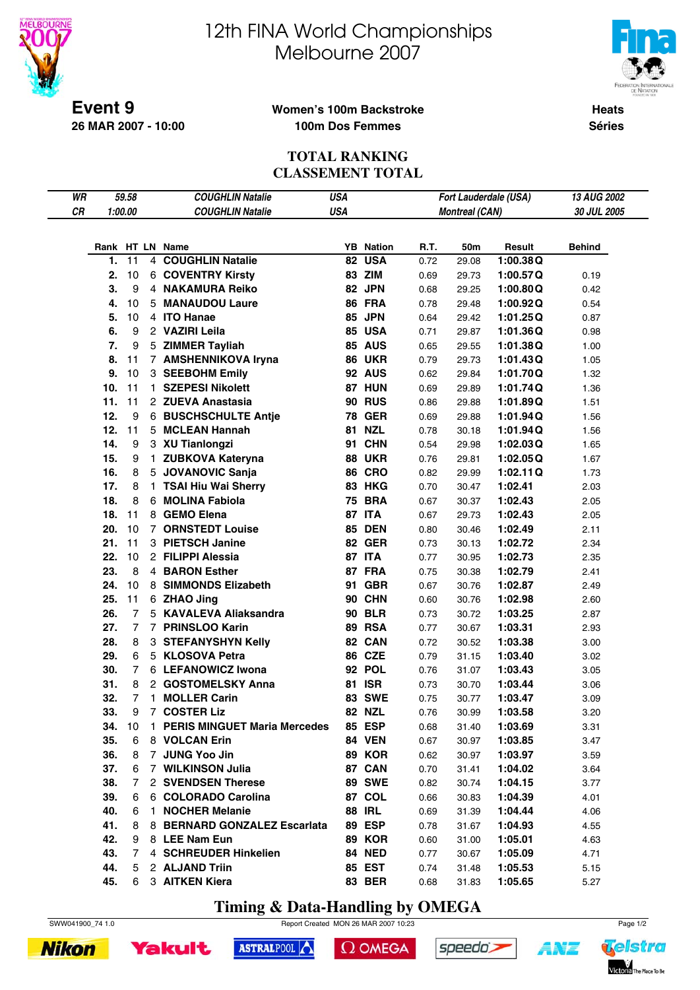

# 12th FINA World Championships Melbourne 2007



**Heats**

**Séries**

### **Women's 100m Backstroke 100m Dos Femmes**

### **TOTAL RANKING CLASSEMENT TOTAL**

| WR |     | 59.58          |              | <b>COUGHLIN Natalie</b>               | <b>USA</b> |                                |      |                       | Fort Lauderdale (USA) | 13 AUG 2002   |
|----|-----|----------------|--------------|---------------------------------------|------------|--------------------------------|------|-----------------------|-----------------------|---------------|
| CR |     | 1:00.00        |              | <b>COUGHLIN Natalie</b>               | <b>USA</b> |                                |      | <b>Montreal (CAN)</b> |                       | 30 JUL 2005   |
|    |     |                |              |                                       |            |                                |      |                       |                       |               |
|    |     |                |              |                                       |            |                                |      |                       |                       |               |
|    | 1.  | 11             |              | Rank HT LN Name<br>4 COUGHLIN Natalie | 82         | <b>YB</b> Nation<br><b>USA</b> | R.T. | 50m                   | Result                | <b>Behind</b> |
|    |     |                |              |                                       |            |                                | 0.72 | 29.08                 | 1:00.38Q              |               |
|    | 2.  | 10             |              | <b>6 COVENTRY Kirsty</b>              |            | 83 ZIM                         | 0.69 | 29.73                 | 1:00.57Q              | 0.19          |
|    | 3.  | 9              |              | 4 NAKAMURA Reiko                      |            | 82 JPN                         | 0.68 | 29.25                 | 1:00.80Q              | 0.42          |
|    | 4.  | 10             |              | 5 MANAUDOU Laure                      |            | 86 FRA                         | 0.78 | 29.48                 | 1:00.92Q              | 0.54          |
|    | 5.  | 10             |              | 4 ITO Hanae                           | 85         | <b>JPN</b>                     | 0.64 | 29.42                 | 1:01.25Q              | 0.87          |
|    | 6.  | 9              |              | 2 VAZIRI Leila                        |            | <b>85 USA</b>                  | 0.71 | 29.87                 | 1:01.36Q              | 0.98          |
|    | 7.  | 9              |              | 5 ZIMMER Tayliah                      |            | <b>85 AUS</b>                  | 0.65 | 29.55                 | 1:01.38Q              | 1.00          |
|    | 8.  | 11             |              | 7 AMSHENNIKOVA Iryna                  |            | <b>86 UKR</b>                  | 0.79 | 29.73                 | 1:01.43Q              | 1.05          |
|    | 9.  | 10             |              | 3 SEEBOHM Emily                       |            | <b>92 AUS</b>                  | 0.62 | 29.84                 | 1:01.70Q              | 1.32          |
|    | 10. | 11             |              | 1 SZEPESI Nikolett                    |            | 87 HUN                         | 0.69 | 29.89                 | 1:01.74Q              | 1.36          |
|    | 11. | 11             |              | 2 ZUEVA Anastasia                     |            | <b>90 RUS</b>                  | 0.86 | 29.88                 | 1:01.89Q              | 1.51          |
|    | 12. | 9              |              | 6 BUSCHSCHULTE Antje                  |            | <b>78 GER</b>                  | 0.69 | 29.88                 | 1:01.94Q              | 1.56          |
|    | 12. | 11             |              | 5 MCLEAN Hannah                       | 81         | <b>NZL</b>                     | 0.78 | 30.18                 | 1:01.94Q              | 1.56          |
|    | 14. | 9              |              | 3 XU Tianlongzi                       | 91         | <b>CHN</b>                     | 0.54 | 29.98                 | 1:02.03Q              | 1.65          |
|    | 15. | 9              | $\mathbf{1}$ | <b>ZUBKOVA Kateryna</b>               |            | <b>88 UKR</b>                  | 0.76 | 29.81                 | 1:02.05Q              | 1.67          |
|    | 16. | 8              |              | 5 JOVANOVIC Sanja                     |            | <b>86 CRO</b>                  | 0.82 | 29.99                 | 1:02.11Q              | 1.73          |
|    | 17. | 8              |              | 1 TSAI Hiu Wai Sherry                 |            | <b>83 HKG</b>                  | 0.70 | 30.47                 | 1:02.41               | 2.03          |
|    | 18. | 8              |              | 6 MOLINA Fabiola                      | 75         | <b>BRA</b>                     | 0.67 | 30.37                 | 1:02.43               | 2.05          |
|    | 18. | 11             |              | 8 GEMO Elena                          |            | 87 ITA                         | 0.67 | 29.73                 | 1:02.43               | 2.05          |
|    | 20. | 10             |              | <b>7 ORNSTEDT Louise</b>              | 85         | <b>DEN</b>                     | 0.80 | 30.46                 | 1:02.49               | 2.11          |
|    | 21. | 11             |              | 3 PIETSCH Janine                      |            | <b>82 GER</b>                  | 0.73 | 30.13                 | 1:02.72               | 2.34          |
|    | 22. | 10             |              | 2 FILIPPI Alessia                     |            | 87 ITA                         | 0.77 | 30.95                 | 1:02.73               | 2.35          |
|    | 23. | 8              |              | 4 BARON Esther                        |            | 87 FRA                         | 0.75 | 30.38                 | 1:02.79               | 2.41          |
|    | 24. | 10             |              | 8 SIMMONDS Elizabeth                  | 91         | <b>GBR</b>                     | 0.67 | 30.76                 | 1:02.87               | 2.49          |
|    | 25. | 11             |              | 6 ZHAO Jing                           |            | 90 CHN                         | 0.60 | 30.76                 | 1:02.98               | 2.60          |
|    | 26. | $\overline{7}$ |              | 5 KAVALEVA Aliaksandra                |            | <b>90 BLR</b>                  | 0.73 | 30.72                 | 1:03.25               | 2.87          |
|    | 27. | $\overline{7}$ |              | 7 PRINSLOO Karin                      |            | <b>89 RSA</b>                  | 0.77 | 30.67                 | 1:03.31               | 2.93          |
|    | 28. | 8              |              | 3 STEFANYSHYN Kelly                   |            | 82 CAN                         | 0.72 | 30.52                 | 1:03.38               | 3.00          |
|    | 29. | 6              |              | 5 KLOSOVA Petra                       |            | <b>86 CZE</b>                  | 0.79 | 31.15                 | 1:03.40               | 3.02          |
|    | 30. | 7              |              | 6 LEFANOWICZ Iwona                    |            | 92 POL                         | 0.76 | 31.07                 | 1:03.43               | 3.05          |
|    | 31. | 8              |              | 2 GOSTOMELSKY Anna                    | 81         | <b>ISR</b>                     | 0.73 | 30.70                 | 1:03.44               | 3.06          |
|    | 32. | $\overline{7}$ | 1.           | <b>MOLLER Carin</b>                   | 83         | <b>SWE</b>                     | 0.75 | 30.77                 | 1:03.47               | 3.09          |
|    | 33. | 9              | $7^{\circ}$  | <b>COSTER Liz</b>                     |            | <b>82 NZL</b>                  | 0.76 | 30.99                 | 1:03.58               | 3.20          |
|    | 34. | 10             |              | 1 PERIS MINGUET Maria Mercedes        |            | 85 ESP                         | 0.68 | 31.40                 | 1:03.69               | 3.31          |
|    | 35. | 6              |              | 8 VOLCAN Erin                         |            | <b>84 VEN</b>                  | 0.67 | 30.97                 | 1:03.85               | 3.47          |
|    | 36. | 8              |              | 7 JUNG Yoo Jin                        |            | <b>89 KOR</b>                  | 0.62 | 30.97                 | 1:03.97               | 3.59          |
|    | 37. | 6              |              | 7 WILKINSON Julia                     |            | 87 CAN                         | 0.70 | 31.41                 | 1:04.02               | 3.64          |
|    | 38. | 7              |              | 2 SVENDSEN Therese                    |            | <b>89 SWE</b>                  | 0.82 | 30.74                 | 1:04.15               | 3.77          |
|    | 39. | 6              |              | 6 COLORADO Carolina                   |            | 87 COL                         | 0.66 | 30.83                 | 1:04.39               | 4.01          |
|    | 40. | 6              |              | 1 NOCHER Melanie                      |            | <b>88 IRL</b>                  | 0.69 | 31.39                 | 1:04.44               | 4.06          |
|    | 41. | 8              |              | 8 BERNARD GONZALEZ Escarlata          |            | <b>89 ESP</b>                  | 0.78 | 31.67                 | 1:04.93               | 4.55          |
|    | 42. | 9              |              | 8 LEE Nam Eun                         |            | <b>89 KOR</b>                  | 0.60 | 31.00                 | 1:05.01               | 4.63          |
|    | 43. | 7              |              | 4 SCHREUDER Hinkelien                 |            | <b>84 NED</b>                  | 0.77 | 30.67                 | 1:05.09               | 4.71          |
|    | 44. | 5              |              | 2 ALJAND Triin                        |            | 85 EST                         | 0.74 | 31.48                 | 1:05.53               | 5.15          |
|    | 45. | 6              |              | 3 AITKEN Kiera                        |            | <b>83 BER</b>                  | 0.68 | 31.83                 | 1:05.65               | 5.27          |

**Timing & Data-Handling by OMEGA**







```
\Omega OMEGA
```




4¥7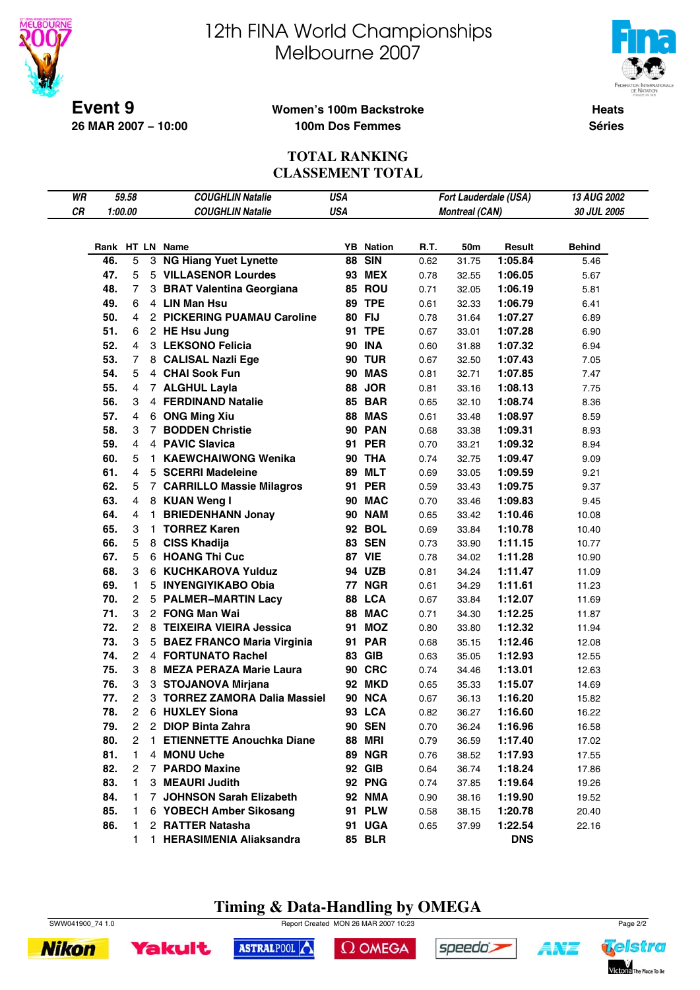

# 12th FINA World Championships Melbourne 2007



**Heats**

**Séries**

### **Women's 100m Backstroke 100m Dos Femmes**

### **TOTAL RANKING CLASSEMENT TOTAL**

| WR |     | 59.58          |    | <b>COUGHLIN Natalie</b>             | USA        |                  |      |                       | Fort Lauderdale (USA) | 13 AUG 2002   |
|----|-----|----------------|----|-------------------------------------|------------|------------------|------|-----------------------|-----------------------|---------------|
| CR |     | 1:00.00        |    | <b>COUGHLIN Natalie</b>             | <b>USA</b> |                  |      | <b>Montreal (CAN)</b> |                       | 30 JUL 2005   |
|    |     |                |    |                                     |            |                  |      |                       |                       |               |
|    |     |                |    | Rank HT LN Name                     |            | <b>YB</b> Nation | R.T. | 50m                   | Result                | <b>Behind</b> |
|    | 46. | 5              |    | 3 NG Hiang Yuet Lynette             |            | <b>88 SIN</b>    | 0.62 | 31.75                 | 1:05.84               | 5.46          |
|    | 47. | 5              |    | 5 VILLASENOR Lourdes                |            | <b>93 MEX</b>    | 0.78 | 32.55                 | 1:06.05               | 5.67          |
|    | 48. | 7              |    | 3 BRAT Valentina Georgiana          |            | <b>85 ROU</b>    | 0.71 | 32.05                 | 1:06.19               | 5.81          |
|    | 49. | 6              |    | 4 LIN Man Hsu                       |            | <b>89 TPE</b>    | 0.61 | 32.33                 | 1:06.79               | 6.41          |
|    | 50. | 4              |    | 2 PICKERING PUAMAU Caroline         |            | 80 FIJ           | 0.78 | 31.64                 | 1:07.27               | 6.89          |
|    | 51. | 6              |    | 2 HE Hsu Jung                       |            | 91 TPE           | 0.67 | 33.01                 | 1:07.28               | 6.90          |
|    | 52. | 4              |    | 3 LEKSONO Felicia                   |            | <b>90 INA</b>    | 0.60 | 31.88                 | 1:07.32               | 6.94          |
|    | 53. | 7              |    | 8 CALISAL Nazli Ege                 |            | <b>90 TUR</b>    | 0.67 | 32.50                 | 1:07.43               | 7.05          |
|    | 54. | 5              |    | 4 CHAI Sook Fun                     |            | <b>90 MAS</b>    | 0.81 | 32.71                 | 1:07.85               | 7.47          |
|    | 55. | 4              |    | 7 ALGHUL Layla                      |            | <b>88 JOR</b>    | 0.81 | 33.16                 | 1:08.13               | 7.75          |
|    | 56. | 3              |    | 4 FERDINAND Natalie                 |            | <b>85 BAR</b>    | 0.65 | 32.10                 | 1:08.74               | 8.36          |
|    | 57. | 4              |    |                                     |            | <b>88 MAS</b>    |      |                       | 1:08.97               |               |
|    |     |                |    | 6 ONG Ming Xiu<br>7 BODDEN Christie |            |                  | 0.61 | 33.48                 |                       | 8.59          |
|    | 58. | 3              |    |                                     |            | <b>90 PAN</b>    | 0.68 | 33.38                 | 1:09.31               | 8.93          |
|    | 59. | 4              |    | 4 PAVIC Slavica                     |            | 91 PER           | 0.70 | 33.21                 | 1:09.32               | 8.94          |
|    | 60. | 5              |    | 1 KAEWCHAIWONG Wenika               |            | <b>90 THA</b>    | 0.74 | 32.75                 | 1:09.47               | 9.09          |
|    | 61. | 4              |    | 5 SCERRI Madeleine                  |            | <b>89 MLT</b>    | 0.69 | 33.05                 | 1:09.59               | 9.21          |
|    | 62. | 5              |    | 7 CARRILLO Massie Milagros          |            | 91 PER           | 0.59 | 33.43                 | 1:09.75               | 9.37          |
|    | 63. | 4              |    | 8 KUAN Weng I                       |            | 90 MAC           | 0.70 | 33.46                 | 1:09.83               | 9.45          |
|    | 64. | 4              |    | 1 BRIEDENHANN Jonay                 |            | <b>90 NAM</b>    | 0.65 | 33.42                 | 1:10.46               | 10.08         |
|    | 65. | 3              | 1. | <b>TORREZ Karen</b>                 |            | 92 BOL           | 0.69 | 33.84                 | 1:10.78               | 10.40         |
|    | 66. | 5              |    | 8 CISS Khadija                      |            | <b>83 SEN</b>    | 0.73 | 33.90                 | 1:11.15               | 10.77         |
|    | 67. | 5              |    | 6 HOANG Thi Cuc                     |            | <b>87 VIE</b>    | 0.78 | 34.02                 | 1:11.28               | 10.90         |
|    | 68. | 3              |    | 6 KUCHKAROVA Yulduz                 |            | 94 UZB           | 0.81 | 34.24                 | 1:11.47               | 11.09         |
|    | 69. | 1.             |    | 5 INYENGIYIKABO Obia                |            | <b>77 NGR</b>    | 0.61 | 34.29                 | 1:11.61               | 11.23         |
|    | 70. | 2              |    | 5 PALMER-MARTIN Lacy                |            | 88 LCA           | 0.67 | 33.84                 | 1:12.07               | 11.69         |
|    | 71. | 3              |    | 2 FONG Man Wai                      |            | 88 MAC           | 0.71 | 34.30                 | 1:12.25               | 11.87         |
|    | 72. | $\overline{2}$ |    | 8 TEIXEIRA VIEIRA Jessica           |            | 91 MOZ           | 0.80 | 33.80                 | 1:12.32               | 11.94         |
|    | 73. | 3              |    | 5 BAEZ FRANCO Maria Virginia        |            | <b>91 PAR</b>    | 0.68 | 35.15                 | 1:12.46               | 12.08         |
|    | 74. | $\overline{2}$ |    | 4 FORTUNATO Rachel                  |            | <b>83 GIB</b>    | 0.63 | 35.05                 | 1:12.93               | 12.55         |
|    | 75. | 3              |    | 8 MEZA PERAZA Marie Laura           |            | <b>90 CRC</b>    | 0.74 | 34.46                 | 1:13.01               | 12.63         |
|    | 76. | 3              |    | 3 STOJANOVA Mirjana                 |            | <b>92 MKD</b>    | 0.65 | 35.33                 | 1:15.07               | 14.69         |
|    | 77. | 2              |    | 3 TORREZ ZAMORA Dalia Massiel       |            | 90 NCA           | 0.67 | 36.13                 | 1:16.20               | 15.82         |
|    | 78. | 2              |    | 6 HUXLEY Siona                      |            | <b>93 LCA</b>    | 0.82 | 36.27                 | 1:16.60               | 16.22         |
|    | 79. | 2              |    | 2 DIOP Binta Zahra                  |            | <b>90 SEN</b>    | 0.70 | 36.24                 | 1:16.96               | 16.58         |
|    | 80. | 2              | 1. | <b>ETIENNETTE Anouchka Diane</b>    |            | <b>88 MRI</b>    | 0.79 | 36.59                 | 1:17.40               | 17.02         |
|    | 81. | 1              |    | 4 MONU Uche                         |            | <b>89 NGR</b>    | 0.76 | 38.52                 | 1:17.93               | 17.55         |
|    | 82. | 2              |    | 7 PARDO Maxine                      |            | 92 GIB           | 0.64 | 36.74                 | 1:18.24               | 17.86         |
|    | 83. | 1              |    | 3 MEAURI Judith                     |            | <b>92 PNG</b>    | 0.74 | 37.85                 | 1:19.64               | 19.26         |
|    | 84. | 1              |    | 7 JOHNSON Sarah Elizabeth           |            | <b>92 NMA</b>    | 0.90 | 38.16                 | 1:19.90               | 19.52         |
|    | 85. | 1              |    | 6 YOBECH Amber Sikosang             |            | 91 PLW           | 0.58 | 38.15                 | 1:20.78               | 20.40         |
|    | 86. | 1              |    | 2 RATTER Natasha                    |            | 91 UGA           | 0.65 | 37.99                 | 1:22.54               | 22.16         |
|    |     | 1.             |    | 1 HERASIMENIA Aliaksandra           |            | <b>85 BLR</b>    |      |                       | <b>DNS</b>            |               |









 $\Omega$  OMEGA





A¥Z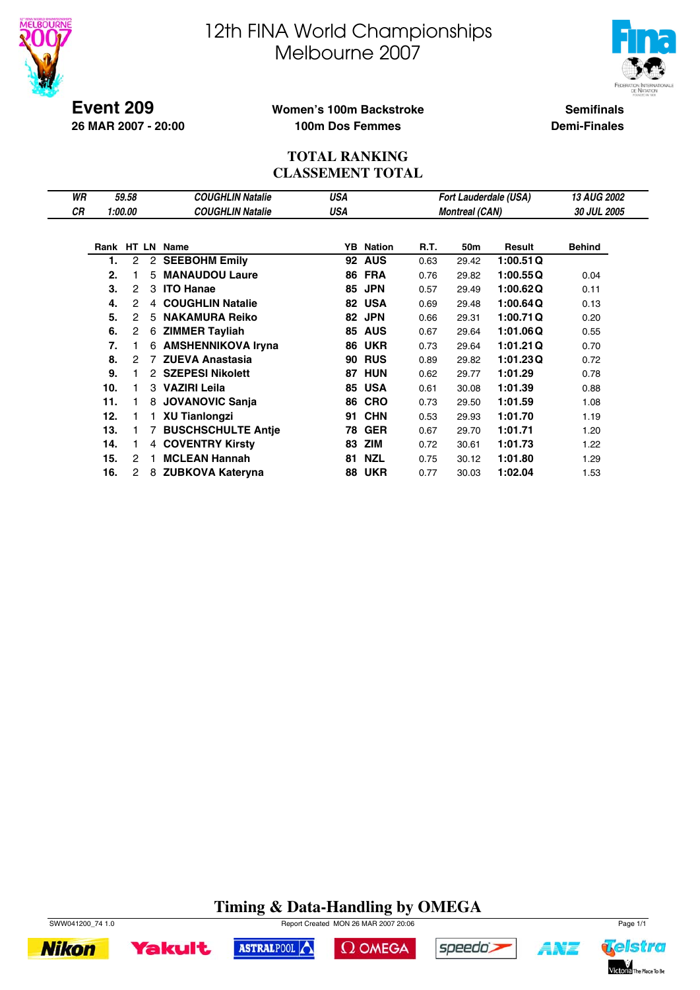



**Event 209 26 MAR 2007 - 20:00**

## **Women's 100m Backstroke 100m Dos Femmes**

**Semifinals Demi-Finales**

#### **TOTAL RANKING CLASSEMENT TOTAL**

| WR |     | 59.58   |   | <b>COUGHLIN Natalie</b>   | USA        |                  |      |                       | <b>Fort Lauderdale (USA)</b> | <b>13 AUG 2002</b> |
|----|-----|---------|---|---------------------------|------------|------------------|------|-----------------------|------------------------------|--------------------|
| СR |     | 1:00.00 |   | <b>COUGHLIN Natalie</b>   | <b>USA</b> |                  |      | <b>Montreal (CAN)</b> |                              | <b>30 JUL 2005</b> |
|    |     |         |   |                           |            |                  |      |                       |                              |                    |
|    |     |         |   | Rank HT LN Name           |            | <b>YB</b> Nation | R.T. | 50m                   | Result                       | <b>Behind</b>      |
|    | 1.  | 2       |   | 2 SEEBOHM Emily           |            | <b>92 AUS</b>    | 0.63 | 29.42                 | 1:00.51Q                     |                    |
|    | 2.  |         | 5 | <b>MANAUDOU Laure</b>     | 86         | <b>FRA</b>       | 0.76 | 29.82                 | 1:00.55Q                     | 0.04               |
|    | 3.  | 2       | 3 | <b>ITO Hanae</b>          | 85         | <b>JPN</b>       | 0.57 | 29.49                 | 1:00.62Q                     | 0.11               |
|    | 4.  | 2       |   | 4 COUGHLIN Natalie        |            | 82 USA           | 0.69 | 29.48                 | 1:00.64Q                     | 0.13               |
|    | 5.  | 2       | 5 | <b>NAKAMURA Reiko</b>     |            | 82 JPN           | 0.66 | 29.31                 | 1:00.71Q                     | 0.20               |
|    | 6.  | 2       | 6 | <b>ZIMMER Tayliah</b>     | 85         | <b>AUS</b>       | 0.67 | 29.64                 | 1:01.06Q                     | 0.55               |
|    | 7.  |         | 6 | <b>AMSHENNIKOVA Iryna</b> | 86         | <b>UKR</b>       | 0.73 | 29.64                 | 1:01.21Q                     | 0.70               |
|    | 8.  | 2       |   | 7 ZUEVA Anastasia         | 90         | <b>RUS</b>       | 0.89 | 29.82                 | 1:01.23Q                     | 0.72               |
|    | 9.  |         |   | 2 SZEPESI Nikolett        | 87         | <b>HUN</b>       | 0.62 | 29.77                 | 1:01.29                      | 0.78               |
|    | 10. |         |   | 3 VAZIRI Leila            | 85         | <b>USA</b>       | 0.61 | 30.08                 | 1:01.39                      | 0.88               |
|    | 11. |         | 8 | <b>JOVANOVIC Sanja</b>    | 86         | <b>CRO</b>       | 0.73 | 29.50                 | 1:01.59                      | 1.08               |
|    | 12. |         |   | <b>XU Tianlongzi</b>      | 91         | <b>CHN</b>       | 0.53 | 29.93                 | 1:01.70                      | 1.19               |
|    | 13. |         |   | <b>BUSCHSCHULTE Antie</b> | 78         | <b>GER</b>       | 0.67 | 29.70                 | 1:01.71                      | 1.20               |
|    | 14. | 1       |   | 4 COVENTRY Kirsty         | 83         | <b>ZIM</b>       | 0.72 | 30.61                 | 1:01.73                      | 1.22               |
|    | 15. | 2       |   | <b>MCLEAN Hannah</b>      | 81         | <b>NZL</b>       | 0.75 | 30.12                 | 1:01.80                      | 1.29               |
|    | 16. | 2       | 8 | <b>ZUBKOVA Kateryna</b>   | 88         | <b>UKR</b>       | 0.77 | 30.03                 | 1:02.04                      | 1.53               |

# **Timing & Data-Handling by OMEGA**

ASTRALPOOL



**Yakult** 

**Nikon** 





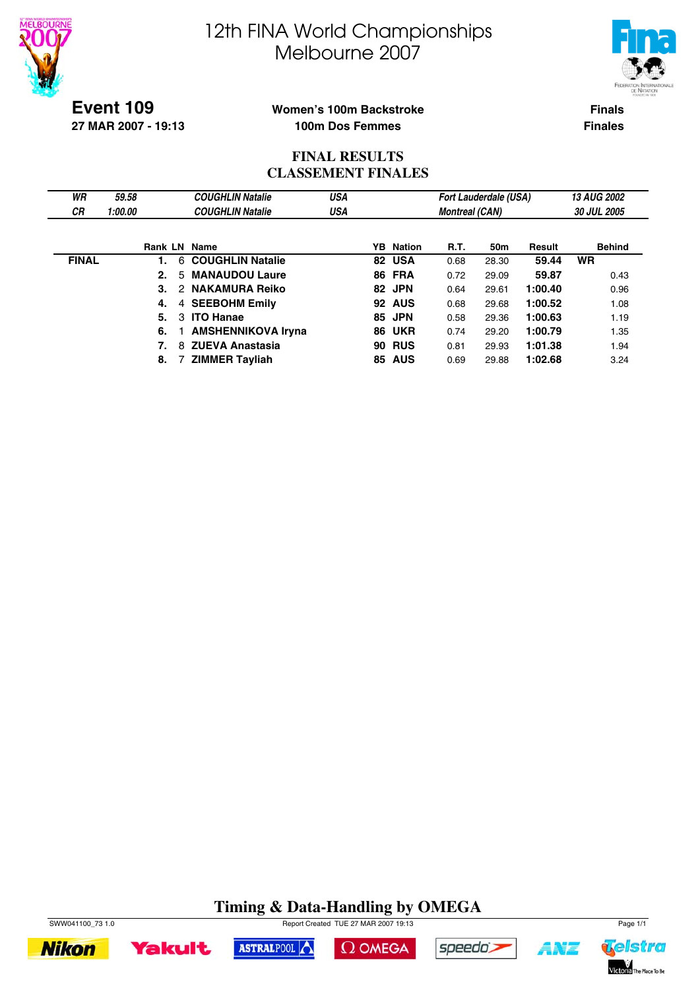



**Event 109 27 MAR 2007 - 19:13**

### **Women's 100m Backstroke 100m Dos Femmes**

**Finals Finales**

## **FINAL RESULTS CLASSEMENT FINALES**

| WR           | 59.58   |                     | <b>COUGHLIN Natalie</b>     | <b>USA</b> |                  |                       | <b>Fort Lauderdale (USA)</b> |         | <b>13 AUG 2002</b> |
|--------------|---------|---------------------|-----------------------------|------------|------------------|-----------------------|------------------------------|---------|--------------------|
| <b>CR</b>    | 1:00.00 |                     | <b>COUGHLIN Natalie</b>     | USA        |                  | <b>Montreal (CAN)</b> |                              |         | <b>30 JUL 2005</b> |
|              |         |                     |                             |            |                  |                       |                              |         |                    |
|              |         | <b>Rank LN Name</b> |                             |            | <b>YB</b> Nation | <b>R.T.</b>           | 50m                          | Result  | <b>Behind</b>      |
| <b>FINAL</b> |         | 1.                  | 6 COUGHLIN Natalie          |            | 82 USA           | 0.68                  | 28.30                        | 59.44   | <b>WR</b>          |
|              |         | 2.                  | <b>MANAUDOU Laure</b><br>5. |            | <b>86 FRA</b>    | 0.72                  | 29.09                        | 59.87   | 0.43               |
|              |         | 3.                  | 2 NAKAMURA Reiko            |            | 82 JPN           | 0.64                  | 29.61                        | 1:00.40 | 0.96               |
|              |         | 4.                  | 4 SEEBOHM Emily             |            | <b>92 AUS</b>    | 0.68                  | 29.68                        | 1:00.52 | 1.08               |
|              |         | 5.                  | <b>ITO Hanae</b><br>3       |            | 85 JPN           | 0.58                  | 29.36                        | 1:00.63 | 1.19               |
|              |         | 6.                  | <b>AMSHENNIKOVA Iryna</b>   |            | <b>86 UKR</b>    | 0.74                  | 29.20                        | 1:00.79 | 1.35               |
|              |         | 7.                  | 8 ZUEVA Anastasia           |            | <b>90 RUS</b>    | 0.81                  | 29.93                        | 1:01.38 | 1.94               |
|              |         | 8.                  | <b>ZIMMER Tayliah</b>       |            | <b>85 AUS</b>    | 0.69                  | 29.88                        | 1:02.68 | 3.24               |

# **Timing & Data-Handling by OMEGA**



**Yakult** 

SWW041100\_73 1.0 Page 1/1





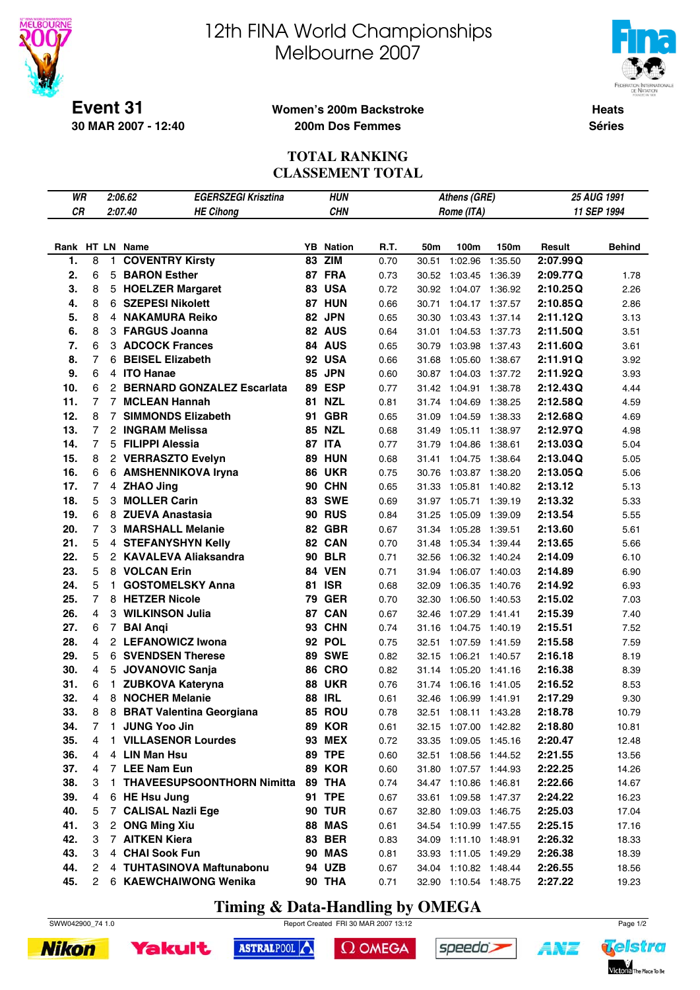

**30 MAR 2007 - 12:40**

# 12th FINA World Championships Melbourne 2007



**Heats Séries**

#### **Women's 200m Backstroke 200m Dos Femmes**

### **TOTAL RANKING CLASSEMENT TOTAL**

| WR              |                |                | 2:06.62<br><b>EGERSZEGI Krisztina</b> |    | HUN              |      |       | Athens (GRE)          |         |          | 25 AUG 1991   |
|-----------------|----------------|----------------|---------------------------------------|----|------------------|------|-------|-----------------------|---------|----------|---------------|
| <b>CR</b>       |                |                | 2:07.40<br><b>HE Cihong</b>           |    | <b>CHN</b>       |      |       | Rome (ITA)            |         |          | 11 SEP 1994   |
|                 |                |                |                                       |    |                  |      |       |                       |         |          |               |
| Rank HT LN Name |                |                |                                       |    | <b>YB</b> Nation | R.T. | 50m   | 100m                  | 150m    | Result   | <b>Behind</b> |
| 1.              | 8              | 1              | <b>COVENTRY Kirsty</b>                | 83 | <b>ZIM</b>       | 0.70 | 30.51 | 1:02.96               | 1:35.50 | 2:07.99Q |               |
| 2.              | 6              | 5              | <b>BARON Esther</b>                   |    | 87 FRA           | 0.73 | 30.52 | 1:03.45               | 1:36.39 | 2:09.77Q | 1.78          |
| 3.              | 8              |                | 5 HOELZER Margaret                    |    | 83 USA           | 0.72 | 30.92 | 1:04.07               | 1:36.92 | 2:10.25Q | 2.26          |
| 4.              | 8              | 6.             | <b>SZEPESI Nikolett</b>               |    | <b>87 HUN</b>    | 0.66 | 30.71 | 1:04.17               | 1:37.57 | 2:10.85Q | 2.86          |
| 5.              | 8              |                | 4 NAKAMURA Reiko                      |    | 82 JPN           | 0.65 | 30.30 | 1:03.43               | 1:37.14 | 2:11.12Q | 3.13          |
| 6.              | 8              |                | 3 FARGUS Joanna                       |    | 82 AUS           | 0.64 | 31.01 | 1:04.53               | 1:37.73 | 2:11.50Q | 3.51          |
| 7.              | 6              |                | <b>3 ADCOCK Frances</b>               |    | 84 AUS           | 0.65 | 30.79 | 1:03.98               | 1:37.43 | 2:11.60Q | 3.61          |
| 8.              | 7              | 6              | <b>BEISEL Elizabeth</b>               |    | <b>92 USA</b>    | 0.66 | 31.68 | 1:05.60               | 1:38.67 | 2:11.91Q | 3.92          |
| 9.              | 6              |                | 4 ITO Hanae                           |    | 85 JPN           | 0.60 | 30.87 | 1:04.03               | 1:37.72 | 2:11.92Q | 3.93          |
| 10.             | 6              |                | 2 BERNARD GONZALEZ Escarlata          |    | 89 ESP           | 0.77 | 31.42 | 1:04.91               | 1:38.78 | 2:12.43Q | 4.44          |
| 11.             | 7              | $\overline{7}$ | <b>MCLEAN Hannah</b>                  | 81 | <b>NZL</b>       | 0.81 | 31.74 | 1:04.69               | 1:38.25 | 2:12.58Q | 4.59          |
| 12.             | 8              | $7^{\circ}$    | <b>SIMMONDS Elizabeth</b>             | 91 | <b>GBR</b>       | 0.65 | 31.09 | 1:04.59               | 1:38.33 | 2:12.68Q | 4.69          |
| 13.             | 7              |                | 2 INGRAM Melissa                      |    | <b>85 NZL</b>    | 0.68 | 31.49 | 1:05.11               | 1:38.97 | 2:12.97Q | 4.98          |
| 14.             | 7              |                | 5 FILIPPI Alessia                     |    | 87 ITA           | 0.77 | 31.79 | 1:04.86               | 1:38.61 | 2:13.03Q | 5.04          |
| 15.             | 8              |                | 2 VERRASZTO Evelyn                    |    | <b>89 HUN</b>    | 0.68 | 31.41 | 1:04.75               | 1:38.64 | 2:13.04Q | 5.05          |
| 16.             | 6              |                | 6 AMSHENNIKOVA Iryna                  |    | <b>86 UKR</b>    | 0.75 | 30.76 | 1:03.87               | 1:38.20 | 2:13.05Q | 5.06          |
| 17.             | $\overline{7}$ |                | 4 ZHAO Jing                           |    | <b>90 CHN</b>    | 0.65 | 31.33 | 1:05.81               | 1:40.82 | 2:13.12  | 5.13          |
| 18.             | 5              |                | 3 MOLLER Carin                        |    | <b>83 SWE</b>    | 0.69 | 31.97 | 1:05.71               | 1:39.19 | 2:13.32  | 5.33          |
| 19.             | 6              |                | 8 ZUEVA Anastasia                     |    | <b>90 RUS</b>    | 0.84 | 31.25 | 1:05.09               | 1:39.09 | 2:13.54  | 5.55          |
| 20.             | 7              |                | 3 MARSHALL Melanie                    |    | <b>82 GBR</b>    | 0.67 | 31.34 | 1:05.28               | 1:39.51 | 2:13.60  | 5.61          |
| 21.             | 5              |                | 4 STEFANYSHYN Kelly                   |    | 82 CAN           | 0.70 | 31.48 | 1:05.34               | 1:39.44 | 2:13.65  | 5.66          |
| 22.             | 5              |                | 2 KAVALEVA Aliaksandra                |    | <b>90 BLR</b>    | 0.71 | 32.56 | 1:06.32               | 1:40.24 | 2:14.09  | 6.10          |
| 23.             | 5              |                | 8 VOLCAN Erin                         |    | <b>84 VEN</b>    | 0.71 | 31.94 | 1:06.07               | 1:40.03 | 2:14.89  | 6.90          |
| 24.             | 5              | 1.             | <b>GOSTOMELSKY Anna</b>               |    | <b>81 ISR</b>    | 0.68 | 32.09 | 1:06.35               | 1:40.76 | 2:14.92  | 6.93          |
| 25.             | $\overline{7}$ |                | 8 HETZER Nicole                       | 79 | <b>GER</b>       | 0.70 | 32.30 | 1:06.50               | 1:40.53 | 2:15.02  | 7.03          |
| 26.             | 4              |                | 3 WILKINSON Julia                     | 87 | <b>CAN</b>       | 0.67 | 32.46 | 1:07.29               | 1:41.41 | 2:15.39  | 7.40          |
| 27.             | 6              | $\overline{7}$ | <b>BAI Angi</b>                       |    | <b>93 CHN</b>    | 0.74 | 31.16 | 1:04.75               | 1:40.19 | 2:15.51  | 7.52          |
| 28.             | 4              |                | 2 LEFANOWICZ Iwona                    |    | 92 POL           | 0.75 | 32.51 | 1:07.59               | 1:41.59 | 2:15.58  | 7.59          |
| 29.             | 5              |                | <b>6 SVENDSEN Therese</b>             |    | <b>89 SWE</b>    | 0.82 | 32.15 | 1:06.21               | 1:40.57 | 2:16.18  | 8.19          |
| 30.             | 4              | 5              | <b>JOVANOVIC Sanja</b>                |    | <b>86 CRO</b>    | 0.82 | 31.14 | 1:05.20               | 1:41.16 | 2:16.38  | 8.39          |
| 31.             | 6              | 1.             | <b>ZUBKOVA Kateryna</b>               |    | <b>88 UKR</b>    | 0.76 | 31.74 | 1:06.16               | 1:41.05 | 2:16.52  | 8.53          |
| 32.             | 4              |                | 8 NOCHER Melanie                      | 88 | <b>IRL</b>       | 0.61 | 32.46 | 1:06.99               | 1:41.91 | 2:17.29  | 9.30          |
| 33.             | 8              | 8              | <b>BRAT Valentina Georgiana</b>       |    | 85 ROU           | 0.78 | 32.51 | 1:08.11               | 1:43.28 | 2:18.78  | 10.79         |
| 34.             | 7              | 1              | <b>JUNG Yoo Jin</b>                   |    | <b>89 KOR</b>    | 0.61 |       | 32.15 1:07.00 1:42.82 |         | 2:18.80  | 10.81         |
| 35.             | 4              | 1.             | <b>VILLASENOR Lourdes</b>             |    | <b>93 MEX</b>    | 0.72 | 33.35 | 1:09.05 1:45.16       |         | 2:20.47  | 12.48         |
| 36.             | 4              |                | 4 LIN Man Hsu                         |    | 89 TPE           | 0.60 | 32.51 | 1:08.56 1:44.52       |         | 2:21.55  | 13.56         |
| 37.             | 4              |                | 7 LEE Nam Eun                         |    | <b>89 KOR</b>    | 0.60 | 31.80 | 1:07.57 1:44.93       |         | 2:22.25  | 14.26         |
| 38.             | 3              | 1.             | <b>THAVEESUPSOONTHORN Nimitta</b>     |    | 89 THA           | 0.74 | 34.47 | 1:10.86               | 1:46.81 | 2:22.66  | 14.67         |
| 39.             | 4              |                | 6 HE Hsu Jung                         |    | <b>91 TPE</b>    | 0.67 | 33.61 | 1:09.58 1:47.37       |         | 2:24.22  | 16.23         |
| 40.             | 5              | 7              | <b>CALISAL Nazli Ege</b>              |    | <b>90 TUR</b>    | 0.67 | 32.80 | 1:09.03 1:46.75       |         | 2:25.03  | 17.04         |
| 41.             | 3              |                | 2 ONG Ming Xiu                        |    | <b>88 MAS</b>    | 0.61 | 34.54 | 1:10.99 1:47.55       |         | 2:25.15  | 17.16         |
| 42.             | 3              |                | 7 AITKEN Kiera                        |    | <b>83 BER</b>    | 0.83 | 34.09 | 1:11.10 1:48.91       |         | 2:26.32  | 18.33         |
| 43.             | 3              |                | 4 CHAI Sook Fun                       |    | <b>90 MAS</b>    | 0.81 | 33.93 | 1:11.05 1:49.29       |         | 2:26.38  | 18.39         |
| 44.             | 2              |                | 4 TUHTASINOVA Maftunabonu             |    | 94 UZB           | 0.67 | 34.04 | 1:10.82 1:48.44       |         | 2:26.55  | 18.56         |
| 45.             | $^{2}$         |                | 6 KAEWCHAIWONG Wenika                 |    | <b>90 THA</b>    | 0.71 |       | 32.90 1:10.54 1:48.75 |         | 2:27.22  | 19.23         |

# **Timing & Data-Handling by OMEGA**

SWW042900\_74 1.0 Report Created FRI 30 MAR 2007 13:12 Page 1/2





ASTRALPOOL  $\Omega$  OMEGA speedo's

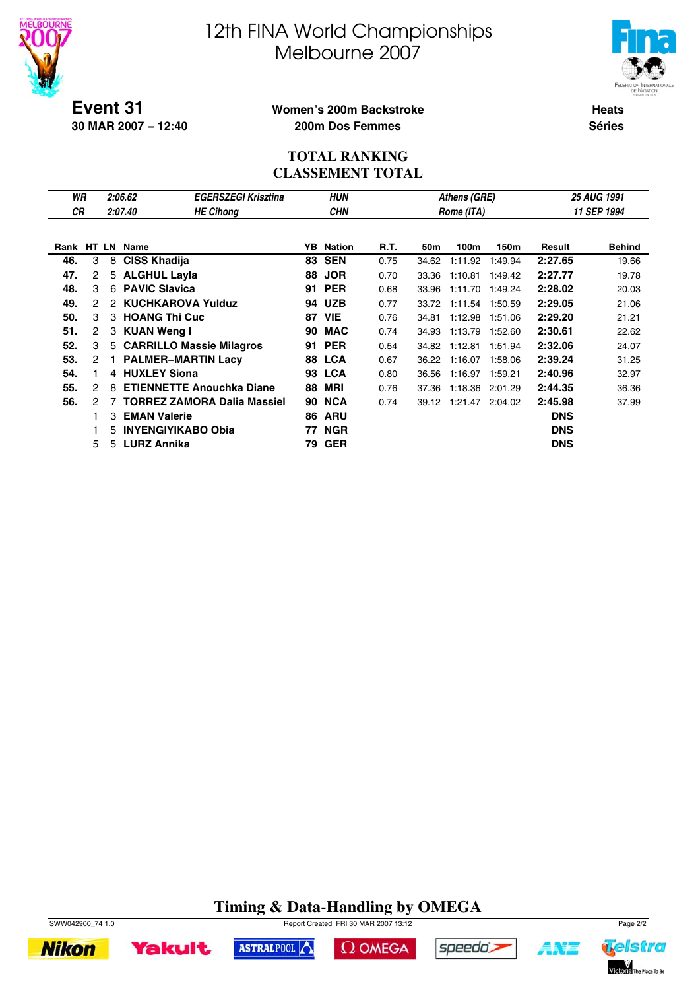



**30 MAR 2007 − 12:40**

#### **Women's 200m Backstroke 200m Dos Femmes**

**Heats Séries**

## **TOTAL RANKING CLASSEMENT TOTAL**

|                |                 | <b>EGERSZEGI Krisztina</b>                 | <b>HUN</b><br>Athens (GRE)                                                                                                                                                                                                                                                                                                                           |            |                                                                          |       |         |               |            |                    |  |
|----------------|-----------------|--------------------------------------------|------------------------------------------------------------------------------------------------------------------------------------------------------------------------------------------------------------------------------------------------------------------------------------------------------------------------------------------------------|------------|--------------------------------------------------------------------------|-------|---------|---------------|------------|--------------------|--|
|                |                 | <b>HE Cihong</b>                           |                                                                                                                                                                                                                                                                                                                                                      | <b>CHN</b> |                                                                          |       |         |               |            | 11 SEP 1994        |  |
|                |                 |                                            |                                                                                                                                                                                                                                                                                                                                                      |            |                                                                          |       |         |               |            |                    |  |
|                |                 |                                            |                                                                                                                                                                                                                                                                                                                                                      |            | R.T.                                                                     | 50m   | 100m    | 150m          | Result     | <b>Behind</b>      |  |
| 3              | 8               |                                            |                                                                                                                                                                                                                                                                                                                                                      |            | 0.75                                                                     | 34.62 | 1:11.92 | 1:49.94       | 2:27.65    | 19.66              |  |
| 2              |                 |                                            | 88                                                                                                                                                                                                                                                                                                                                                   | <b>JOR</b> | 0.70                                                                     | 33.36 | 1:10.81 | 1:49.42       | 2:27.77    | 19.78              |  |
| 3              |                 |                                            | 91                                                                                                                                                                                                                                                                                                                                                   | <b>PER</b> | 0.68                                                                     | 33.96 | 1:11.70 | 1:49.24       | 2:28.02    | 20.03              |  |
| 2              |                 |                                            |                                                                                                                                                                                                                                                                                                                                                      | <b>UZB</b> | 0.77                                                                     | 33.72 | 1:11.54 | 1:50.59       | 2:29.05    | 21.06              |  |
| 3              |                 |                                            | 87                                                                                                                                                                                                                                                                                                                                                   | <b>VIE</b> | 0.76                                                                     | 34.81 | 1:12.98 | 1:51.06       | 2:29.20    | 21.21              |  |
| $\overline{2}$ |                 |                                            | 90                                                                                                                                                                                                                                                                                                                                                   | <b>MAC</b> | 0.74                                                                     | 34.93 | 1:13.79 | 1:52.60       | 2:30.61    | 22.62              |  |
| 3              |                 |                                            | 91                                                                                                                                                                                                                                                                                                                                                   | <b>PER</b> | 0.54                                                                     | 34.82 | 1:12.81 | 1:51.94       | 2:32.06    | 24.07              |  |
| 2              |                 |                                            |                                                                                                                                                                                                                                                                                                                                                      |            | 0.67                                                                     | 36.22 | 1:16.07 | 1:58.06       | 2:39.24    | 31.25              |  |
|                |                 |                                            |                                                                                                                                                                                                                                                                                                                                                      |            | 0.80                                                                     | 36.56 | 1:16.97 | 1:59.21       | 2:40.96    | 32.97              |  |
| 2              | 8               |                                            | 88                                                                                                                                                                                                                                                                                                                                                   | MRI        | 0.76                                                                     | 37.36 | 1:18.36 | 2:01.29       | 2:44.35    | 36.36              |  |
| 2              | 7               |                                            |                                                                                                                                                                                                                                                                                                                                                      | <b>NCA</b> | 0.74                                                                     |       |         | 2:04.02       | 2:45.98    | 37.99              |  |
|                | 3               |                                            | 86                                                                                                                                                                                                                                                                                                                                                   | <b>ARU</b> |                                                                          |       |         |               | <b>DNS</b> |                    |  |
|                | 5               |                                            | 77                                                                                                                                                                                                                                                                                                                                                   | <b>NGR</b> |                                                                          |       |         |               | <b>DNS</b> |                    |  |
| 5              |                 |                                            | 79                                                                                                                                                                                                                                                                                                                                                   | <b>GER</b> |                                                                          |       |         |               | <b>DNS</b> |                    |  |
|                | WR<br><b>CR</b> | 2:06.62<br>2:07.40<br>Rank HT LN Name<br>2 | <b>CISS Khadija</b><br>5 ALGHUL Layla<br>6 PAVIC Slavica<br><b>KUCHKAROVA Yulduz</b><br>3 HOANG Thi Cuc<br>3 KUAN Weng I<br>5 CARRILLO Massie Milagros<br><b>PALMER-MARTIN Lacy</b><br>4 HUXLEY Siona<br><b>ETIENNETTE Anouchka Diane</b><br><b>TORREZ ZAMORA Dalia Massiel</b><br><b>EMAN Valerie</b><br><b>INYENGIYIKABO Obia</b><br>5 LURZ Annika |            | <b>YB</b> Nation<br><b>83 SEN</b><br>94<br>88 LCA<br><b>93 LCA</b><br>90 |       |         | 39.12 1:21.47 | Rome (ITA) | <b>25 AUG 1991</b> |  |

# **Timing & Data-Handling by OMEGA**



**Nikon** 









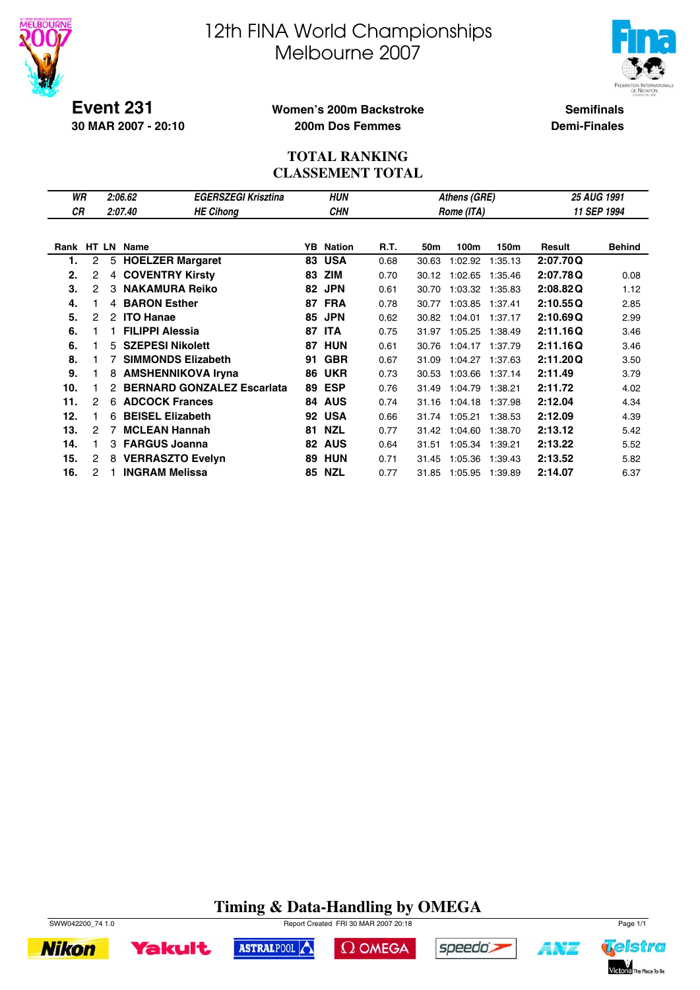



**Event 231 30 MAR 2007 - 20:10**

## **Women's 200m Backstroke 200m Dos Femmes**

**Semifinals Demi-Finales**

## **TOTAL RANKING CLASSEMENT TOTAL**

| WR         |   |                | 2:06.62                           | <b>EGERSZEGI Krisztina</b> |    | <b>HUN</b> |      |       | Athens (GRE) |         | 25 AUG 1991 |               |  |
|------------|---|----------------|-----------------------------------|----------------------------|----|------------|------|-------|--------------|---------|-------------|---------------|--|
| <b>CR</b>  |   |                | 2:07.40                           | <b>HE Cihong</b>           |    | <b>CHN</b> |      |       | Rome (ITA)   |         |             | 11 SEP 1994   |  |
|            |   |                |                                   |                            |    |            |      |       |              |         |             |               |  |
| Rank HT LN |   |                | <b>Name</b>                       |                            | YB | Nation     | R.T. | 50m   | 100m         | 150m    | Result      | <b>Behind</b> |  |
| 1.         | 2 | 5              | <b>HOELZER Margaret</b>           |                            | 83 | <b>USA</b> | 0.68 | 30.63 | 1:02.92      | 1:35.13 | 2:07.70Q    |               |  |
| 2.         | 2 | $\overline{4}$ | <b>COVENTRY Kirsty</b>            |                            | 83 | <b>ZIM</b> | 0.70 | 30.12 | 1:02.65      | 1:35.46 | 2:07.78Q    | 0.08          |  |
| 3.         | 2 | 3              | <b>NAKAMURA Reiko</b>             |                            | 82 | <b>JPN</b> | 0.61 | 30.70 | 1:03.32      | 1:35.83 | 2:08.82Q    | 1.12          |  |
| 4.         |   | 4              | <b>BARON Esther</b>               |                            | 87 | <b>FRA</b> | 0.78 | 30.77 | 1:03.85      | 1:37.41 | 2:10.55Q    | 2.85          |  |
| 5.         | 2 | 2              | <b>ITO Hanae</b>                  |                            | 85 | <b>JPN</b> | 0.62 | 30.82 | 1:04.01      | 1:37.17 | 2:10.69Q    | 2.99          |  |
| 6.         |   |                | <b>FILIPPI Alessia</b>            |                            | 87 | <b>ITA</b> | 0.75 | 31.97 | 1:05.25      | 1:38.49 | 2:11.16Q    | 3.46          |  |
| 6.         |   | 5.             | <b>SZEPESI Nikolett</b>           |                            | 87 | <b>HUN</b> | 0.61 | 30.76 | 1:04.17      | 1:37.79 | 2:11.16Q    | 3.46          |  |
| 8.         |   | 7              | <b>SIMMONDS Elizabeth</b>         |                            | 91 | <b>GBR</b> | 0.67 | 31.09 | 1:04.27      | 1:37.63 | 2:11.20Q    | 3.50          |  |
| 9.         |   | 8              | <b>AMSHENNIKOVA Iryna</b>         |                            | 86 | <b>UKR</b> | 0.73 | 30.53 | 1:03.66      | 1:37.14 | 2:11.49     | 3.79          |  |
| 10.        |   |                | <b>BERNARD GONZALEZ Escarlata</b> |                            | 89 | <b>ESP</b> | 0.76 | 31.49 | 1:04.79      | 1:38.21 | 2:11.72     | 4.02          |  |
| 11.        | 2 | 6              | <b>ADCOCK Frances</b>             |                            | 84 | <b>AUS</b> | 0.74 | 31.16 | 1:04.18      | 1:37.98 | 2:12.04     | 4.34          |  |
| 12.        |   | 6              | <b>BEISEL Elizabeth</b>           |                            | 92 | <b>USA</b> | 0.66 | 31.74 | 1:05.21      | 1:38.53 | 2:12.09     | 4.39          |  |
| 13.        | 2 | 7              | <b>MCLEAN Hannah</b>              |                            | 81 | <b>NZL</b> | 0.77 | 31.42 | 1:04.60      | 1:38.70 | 2:13.12     | 5.42          |  |
| 14.        |   | 3              | <b>FARGUS Joanna</b>              |                            | 82 | <b>AUS</b> | 0.64 | 31.51 | 1:05.34      | 1:39.21 | 2:13.22     | 5.52          |  |
| 15.        | 2 | 8              | <b>VERRASZTO Evelyn</b>           |                            | 89 | <b>HUN</b> | 0.71 | 31.45 | 1:05.36      | 1:39.43 | 2:13.52     | 5.82          |  |
| 16.        | 2 |                | <b>INGRAM Melissa</b>             |                            | 85 | <b>NZL</b> | 0.77 | 31.85 | 1:05.95      | 1:39.89 | 2:14.07     | 6.37          |  |

# **Timing & Data-Handling by OMEGA**

 $\Omega$  OMEGA

speedo;

ASTRALPOOL



**Yakult** 

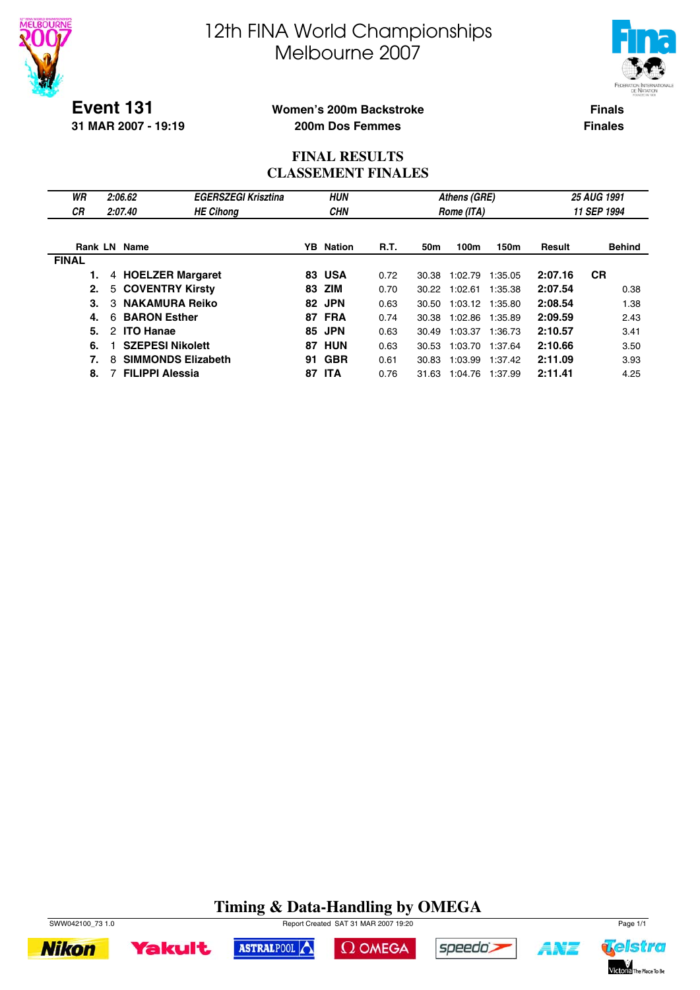



**Event 131 31 MAR 2007 - 19:19**

## **Women's 200m Backstroke 200m Dos Femmes**

**Finals Finales**

## **FINAL RESULTS CLASSEMENT FINALES**

| WR<br><b>CR</b> | 2:06.62<br>2:07.40             | <b>EGERSZEGI Krisztina</b><br><b>HE Cihong</b> |     | <b>HUN</b><br><b>CHN</b> |             |       | Athens (GRE)<br>Rome (ITA) |         |         | 25 AUG 1991<br>11 SEP 1994 |
|-----------------|--------------------------------|------------------------------------------------|-----|--------------------------|-------------|-------|----------------------------|---------|---------|----------------------------|
|                 | Rank LN Name                   |                                                |     | <b>YB</b> Nation         | <b>R.T.</b> | 50m   | 100m                       | 150m    | Result  | <b>Behind</b>              |
| <b>FINAL</b>    |                                |                                                |     |                          |             |       |                            |         |         |                            |
|                 | 4 HOELZER Margaret             |                                                |     | <b>83 USA</b>            | 0.72        | 30.38 | 1:02.79                    | 1:35.05 | 2:07.16 | <b>CR</b>                  |
| 2.              | 5 COVENTRY Kirsty              |                                                | 83  | ZIM                      | 0.70        | 30.22 | 1:02.61                    | 1:35.38 | 2:07.54 | 0.38                       |
| 3.              | <b>NAKAMURA Reiko</b><br>3     |                                                | 82. | <b>JPN</b>               | 0.63        | 30.50 | 1:03.12 1:35.80            |         | 2:08.54 | 1.38                       |
| 4.              | <b>BARON Esther</b><br>6       |                                                | 87  | <b>FRA</b>               | 0.74        | 30.38 | 1:02.86                    | 1:35.89 | 2:09.59 | 2.43                       |
| 5.              | <b>ITO Hanae</b><br>2          |                                                | 85  | <b>JPN</b>               | 0.63        | 30.49 | 1:03.37                    | 1:36.73 | 2:10.57 | 3.41                       |
| 6.              | <b>SZEPESI Nikolett</b>        |                                                | 87  | HUN                      | 0.63        | 30.53 | 1:03.70                    | 1:37.64 | 2:10.66 | 3.50                       |
| 7.              | <b>SIMMONDS Elizabeth</b><br>8 |                                                | 91  | <b>GBR</b>               | 0.61        | 30.83 | 1:03.99                    | 1:37.42 | 2:11.09 | 3.93                       |
| 8.              | <b>FILIPPI Alessia</b>         |                                                | 87  | <b>ITA</b>               | 0.76        | 31.63 | 1:04.76                    | 1:37.99 | 2:11.41 | 4.25                       |

# **Timing & Data-Handling by OMEGA**

 $\Omega$  OMEGA

ASTRALPOOL



**Yakult** 



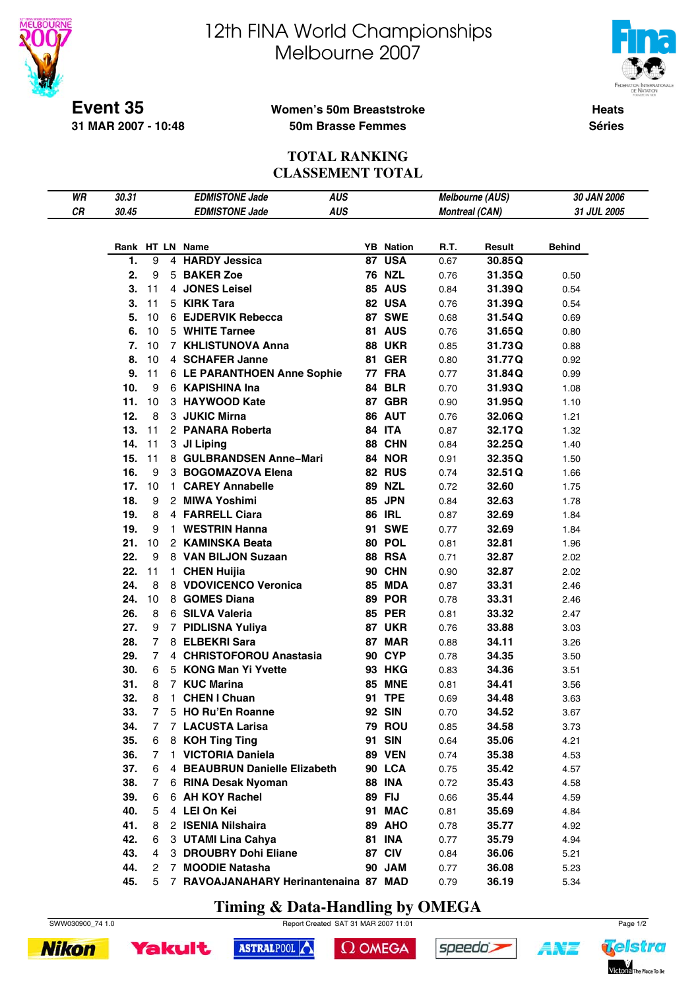



**Event 35 31 MAR 2007 - 10:48**

#### **Women's 50m Breaststroke 50m Brasse Femmes**

**Heats Séries**

#### **TOTAL RANKING CLASSEMENT TOTAL**

| WR | 30.31 |                | <b>AUS</b><br><b>EDMISTONE Jade</b>     |                                   |                       | <b>Melbourne (AUS)</b> | 30 JAN 2006   |  |
|----|-------|----------------|-----------------------------------------|-----------------------------------|-----------------------|------------------------|---------------|--|
| CR | 30.45 |                | <b>AUS</b><br><b>EDMISTONE Jade</b>     |                                   | <b>Montreal (CAN)</b> |                        | 31 JUL 2005   |  |
|    |       |                |                                         |                                   |                       |                        |               |  |
|    |       |                |                                         |                                   |                       |                        | <b>Behind</b> |  |
|    | 1.    | 9              | Rank HT LN Name<br>4 HARDY Jessica      | <b>YB</b> Nation<br><b>87 USA</b> | R.T.                  | Result                 |               |  |
|    |       |                |                                         |                                   | 0.67                  | 30.85Q                 |               |  |
|    | 2.    | 9              | 5 BAKER Zoe                             | <b>76 NZL</b>                     | 0.76                  | 31.35Q                 | 0.50          |  |
|    | 3.    | 11             | 4 JONES Leisel                          | <b>85 AUS</b>                     | 0.84                  | 31.39Q                 | 0.54          |  |
|    | 3.    | 11             | 5 KIRK Tara                             | 82 USA                            | 0.76                  | 31.39Q                 | 0.54          |  |
|    | 5.    | 10             | 6 EJDERVIK Rebecca                      | <b>87 SWE</b>                     | 0.68                  | 31.54Q                 | 0.69          |  |
|    | 6.    | 10             | 5 WHITE Tarnee                          | 81 AUS                            | 0.76                  | 31.65Q                 | 0.80          |  |
|    | 7.    | 10             | 7 KHLISTUNOVA Anna                      | <b>88 UKR</b>                     | 0.85                  | 31.73Q                 | 0.88          |  |
|    | 8.    | 10             | 4 SCHAFER Janne                         | <b>81 GER</b>                     | 0.80                  | 31.77Q                 | 0.92          |  |
|    | 9.    | 11             | 6 LE PARANTHOEN Anne Sophie             | 77 FRA                            | 0.77                  | 31.84Q                 | 0.99          |  |
|    | 10.   | 9              | 6 KAPISHINA Ina                         | 84 BLR                            | 0.70                  | 31.93Q                 | 1.08          |  |
|    | 11.   | 10             | 3 HAYWOOD Kate                          | 87 GBR                            | 0.90                  | 31.95Q                 | 1.10          |  |
|    | 12.   | 8              | 3 JUKIC Mirna                           | 86 AUT                            | 0.76                  | 32.06Q                 | 1.21          |  |
|    | 13.   | 11             | 2 PANARA Roberta                        | <b>84 ITA</b>                     | 0.87                  | 32.17Q                 | 1.32          |  |
|    | 14.   | 11             | 3 JI Liping                             | 88 CHN                            | 0.84                  | 32.25Q                 | 1.40          |  |
|    | 15.   | 11             | 8 GULBRANDSEN Anne-Mari                 | <b>84 NOR</b>                     | 0.91                  | 32.35Q                 | 1.50          |  |
|    | 16.   | 9              | 3 BOGOMAZOVA Elena                      | <b>82 RUS</b>                     | 0.74                  | 32.51Q                 | 1.66          |  |
|    | 17.   | 10             | 1 CAREY Annabelle                       | <b>89 NZL</b>                     | 0.72                  | 32.60                  | 1.75          |  |
|    | 18.   | 9              | 2 MIWA Yoshimi                          | <b>85 JPN</b>                     | 0.84                  | 32.63                  | 1.78          |  |
|    | 19.   | 8              | 4 FARRELL Ciara                         | <b>86 IRL</b>                     | 0.87                  | 32.69                  | 1.84          |  |
|    | 19.   | 9              | 1 WESTRIN Hanna                         | <b>91 SWE</b>                     | 0.77                  | 32.69                  | 1.84          |  |
|    | 21.   | 10             | 2 KAMINSKA Beata                        | 80 POL                            | 0.81                  | 32.81                  | 1.96          |  |
|    | 22.   | 9              | 8 VAN BILJON Suzaan                     | <b>88 RSA</b>                     | 0.71                  | 32.87                  | 2.02          |  |
|    | 22.   | 11             | 1 CHEN Huijia                           | 90 CHN                            | 0.90                  | 32.87                  | 2.02          |  |
|    | 24.   | 8              | 8 VDOVICENCO Veronica                   | <b>85 MDA</b>                     |                       |                        |               |  |
|    |       |                |                                         |                                   | 0.87                  | 33.31                  | 2.46          |  |
|    | 24.   | 10             | 8 GOMES Diana                           | <b>89 POR</b>                     | 0.78                  | 33.31                  | 2.46          |  |
|    | 26.   | 8              | 6 SILVA Valeria                         | <b>85 PER</b>                     | 0.81                  | 33.32                  | 2.47          |  |
|    | 27.   | 9              | 7 PIDLISNA Yuliya                       | <b>87 UKR</b>                     | 0.76                  | 33.88                  | 3.03          |  |
|    | 28.   | 7              | 8 ELBEKRI Sara                          | 87 MAR                            | 0.88                  | 34.11                  | 3.26          |  |
|    | 29.   | $\overline{7}$ | 4 CHRISTOFOROU Anastasia                | <b>90 CYP</b>                     | 0.78                  | 34.35                  | 3.50          |  |
|    | 30.   | 6              | 5 KONG Man Yi Yvette                    | <b>93 HKG</b>                     | 0.83                  | 34.36                  | 3.51          |  |
|    | 31.   | 8              | 7 KUC Marina                            | <b>85 MNE</b>                     | 0.81                  | 34.41                  | 3.56          |  |
|    | 32.   | 8              | 1 CHEN I Chuan                          | 91 TPE                            | 0.69                  | 34.48                  | 3.63          |  |
|    | 33.   | 7 <sup>7</sup> | 5 HO Ru'En Roanne                       | <b>92 SIN</b>                     | 0.70                  | 34.52                  | 3.67          |  |
|    | 34.   | 7              | 7 LACUSTA Larisa                        | <b>79 ROU</b>                     | 0.85                  | 34.58                  | 3.73          |  |
|    | 35.   | 6              | 8 KOH Ting Ting                         | 91 SIN                            | 0.64                  | 35.06                  | 4.21          |  |
|    | 36.   | 7              | 1 VICTORIA Daniela                      | <b>89 VEN</b>                     | 0.74                  | 35.38                  | 4.53          |  |
|    | 37.   | 6              | 4 BEAUBRUN Danielle Elizabeth           | <b>90 LCA</b>                     | 0.75                  | 35.42                  | 4.57          |  |
|    | 38.   | 7              | 6 RINA Desak Nyoman                     | <b>88 INA</b>                     | 0.72                  | 35.43                  | 4.58          |  |
|    | 39.   | 6              | 6 AH KOY Rachel                         | 89 FIJ                            | 0.66                  | 35.44                  | 4.59          |  |
|    | 40.   | 5              | 4 LEI On Kei                            | 91 MAC                            | 0.81                  | 35.69                  | 4.84          |  |
|    | 41.   | 8              | 2 ISENIA Nilshaira                      | 89 AHO                            | 0.78                  | 35.77                  | 4.92          |  |
|    | 42.   | 6              | 3 UTAMI Lina Cahya                      | <b>81 INA</b>                     | 0.77                  | 35.79                  | 4.94          |  |
|    | 43.   | 4              | 3 DROUBRY Dohi Eliane                   | 87 CIV                            | 0.84                  | 36.06                  | 5.21          |  |
|    | 44.   | 2              | 7 MOODIE Natasha                        | 90 JAM                            | 0.77                  | 36.08                  | 5.23          |  |
|    | 45.   |                | 5 7 RAVOAJANAHARY Herinantenaina 87 MAD |                                   | 0.79                  | 36.19                  | 5.34          |  |

**Timing & Data-Handling by OMEGA**

SWW030900\_74 1.0 Report Created SAT 31 MAR 2007 11:01 Page 1/2





ASTRALPOOL  $\Omega$  OMEGA





1 N'I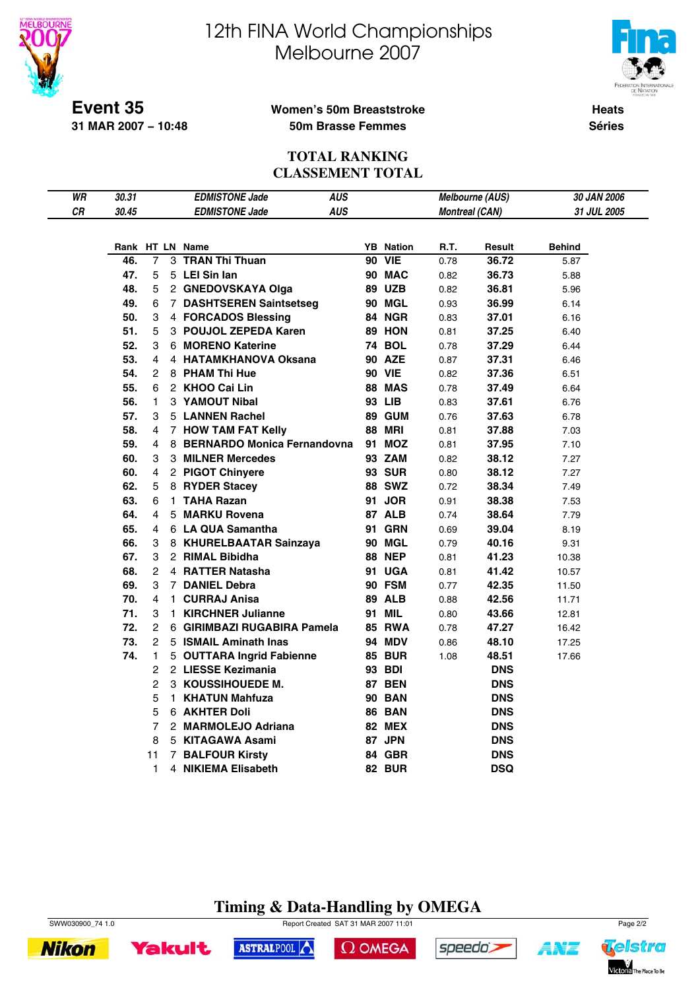



**Event 35 31 MAR 2007 − 10:48**

#### **Women's 50m Breaststroke 50m Brasse Femmes**

**Heats Séries**

#### **TOTAL RANKING CLASSEMENT TOTAL**

| WR        | 30.31 |                | <b>EDMISTONE Jade</b>         | <b>AUS</b> |                  |      | Melbourne (AUS)       | 30 JAN 2006        |
|-----------|-------|----------------|-------------------------------|------------|------------------|------|-----------------------|--------------------|
| <b>CR</b> | 30.45 |                | <b>EDMISTONE Jade</b>         | <b>AUS</b> |                  |      | <b>Montreal (CAN)</b> | <b>31 JUL 2005</b> |
|           |       |                |                               |            |                  |      |                       |                    |
|           |       |                | Rank HT LN Name               |            | <b>YB</b> Nation | R.T. | Result                | Behind             |
|           | 46.   | 7              | 3 TRAN Thi Thuan              |            | <b>90 VIE</b>    | 0.78 | 36.72                 | 5.87               |
|           | 47.   | 5              | 5 LEI Sin Ian                 |            | <b>90 MAC</b>    | 0.82 | 36.73                 | 5.88               |
|           | 48.   | 5              | 2 GNEDOVSKAYA Olga            |            | 89 UZB           | 0.82 | 36.81                 | 5.96               |
|           | 49.   | 6              | 7 DASHTSEREN Saintsetseg      |            | <b>90 MGL</b>    | 0.93 | 36.99                 | 6.14               |
|           | 50.   | 3              | 4 FORCADOS Blessing           |            | 84 NGR           | 0.83 | 37.01                 | 6.16               |
|           | 51.   | 5              | 3 POUJOL ZEPEDA Karen         |            | <b>89 HON</b>    | 0.81 | 37.25                 | 6.40               |
|           | 52.   | 3              | 6 MORENO Katerine             |            | <b>74 BOL</b>    | 0.78 | 37.29                 | 6.44               |
|           | 53.   | 4              | 4 HATAMKHANOVA Oksana         |            | <b>90 AZE</b>    | 0.87 | 37.31                 | 6.46               |
|           | 54.   | 2              | 8 PHAM Thi Hue                |            | <b>90 VIE</b>    | 0.82 | 37.36                 | 6.51               |
|           | 55.   | 6              | 2 KHOO Cai Lin                |            | <b>88 MAS</b>    | 0.78 | 37.49                 | 6.64               |
|           | 56.   | 1              | 3 YAMOUT Nibal                |            | 93 LIB           | 0.83 | 37.61                 | 6.76               |
|           | 57.   | 3              | 5 LANNEN Rachel               |            | 89 GUM           | 0.76 | 37.63                 | 6.78               |
|           | 58.   | 4              | 7 HOW TAM FAT Kelly           |            | <b>88 MRI</b>    | 0.81 | 37.88                 | 7.03               |
|           | 59.   | 4              | 8 BERNARDO Monica Fernandovna |            | 91 MOZ           | 0.81 | 37.95                 | 7.10               |
|           | 60.   | 3              | 3 MILNER Mercedes             |            | 93 ZAM           | 0.82 | 38.12                 | 7.27               |
|           | 60.   | 4              | 2 PIGOT Chinyere              |            | <b>93 SUR</b>    | 0.80 | 38.12                 | 7.27               |
|           | 62.   | 5              | 8 RYDER Stacey                |            | <b>88 SWZ</b>    | 0.72 | 38.34                 | 7.49               |
|           | 63.   | 6              | 1 TAHA Razan                  |            | 91 JOR           | 0.91 | 38.38                 | 7.53               |
|           | 64.   | 4              | 5 MARKU Rovena                |            | 87 ALB           | 0.74 | 38.64                 | 7.79               |
|           | 65.   | 4              | 6 LA QUA Samantha             |            | <b>GRN</b><br>91 | 0.69 | 39.04                 | 8.19               |
|           | 66.   | 3              | 8 KHURELBAATAR Sainzaya       |            | 90 MGL           | 0.79 | 40.16                 | 9.31               |
|           | 67.   | 3              | 2 RIMAL Bibidha               |            | <b>88 NEP</b>    | 0.81 | 41.23                 | 10.38              |
|           | 68.   | 2              | 4 RATTER Natasha              |            | 91 UGA           | 0.81 | 41.42                 | 10.57              |
|           | 69.   | 3              | 7 DANIEL Debra                |            | 90 FSM           | 0.77 | 42.35                 | 11.50              |
|           | 70.   | 4              | 1 CURRAJ Anisa                |            | <b>89 ALB</b>    | 0.88 | 42.56                 | 11.71              |
|           | 71.   | 3              | 1 KIRCHNER Julianne           |            | <b>MIL</b><br>91 | 0.80 | 43.66                 | 12.81              |
|           | 72.   | $\overline{2}$ | 6 GIRIMBAZI RUGABIRA Pamela   |            | <b>85 RWA</b>    | 0.78 | 47.27                 | 16.42              |
|           | 73.   | 2              | 5 ISMAIL Aminath Inas         |            | <b>94 MDV</b>    | 0.86 | 48.10                 | 17.25              |
|           | 74.   | 1              | 5 OUTTARA Ingrid Fabienne     |            | <b>85 BUR</b>    | 1.08 | 48.51                 | 17.66              |
|           |       | 2              | 2 LIESSE Kezimania            |            | 93 BDI           |      | <b>DNS</b>            |                    |
|           |       | 2              | 3 KOUSSIHOUEDE M.             |            | <b>87 BEN</b>    |      | <b>DNS</b>            |                    |
|           |       | 5              | 1 KHATUN Mahfuza              |            | <b>90 BAN</b>    |      | <b>DNS</b>            |                    |
|           |       | 5              | 6 AKHTER Doli                 |            | <b>86 BAN</b>    |      | <b>DNS</b>            |                    |
|           |       | 7              | 2 MARMOLEJO Adriana           |            | <b>82 MEX</b>    |      | <b>DNS</b>            |                    |
|           |       | 8              | 5 KITAGAWA Asami              |            | 87 JPN           |      | <b>DNS</b>            |                    |
|           |       | 11             | <b>7 BALFOUR Kirsty</b>       |            | 84 GBR           |      | <b>DNS</b>            |                    |
|           |       | 1              | 4 NIKIEMA Elisabeth           |            | <b>82 BUR</b>    |      | <b>DSQ</b>            |                    |

# **Timing & Data-Handling by OMEGA**

SWW030900\_74 1.0 Page 2/2





ASTRALPOOL

 $\Omega$  OMEGA



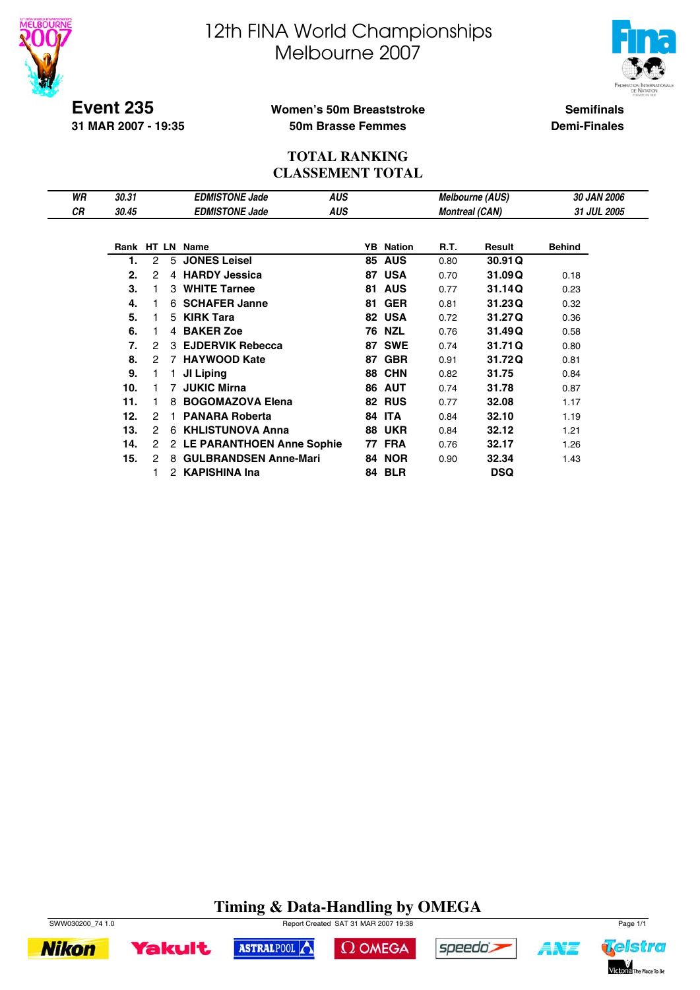



**Event 235 31 MAR 2007 - 19:35**

## **Women's 50m Breaststroke 50m Brasse Femmes**

**Semifinals Demi-Finales**

#### **TOTAL RANKING CLASSEMENT TOTAL**

| WR | 30.31 |   |    | <b>EDMISTONE Jade</b>        | AUS        |    |                  |                       | <b>Melbourne (AUS)</b> | <b>30 JAN 2006</b> |
|----|-------|---|----|------------------------------|------------|----|------------------|-----------------------|------------------------|--------------------|
| СR | 30.45 |   |    | <b>EDMISTONE Jade</b>        | <b>AUS</b> |    |                  | <b>Montreal (CAN)</b> |                        | 31 JUL 2005        |
|    |       |   |    |                              |            |    |                  |                       |                        |                    |
|    |       |   |    | Rank HT LN Name              |            |    | <b>YB</b> Nation | R.T.                  | Result                 | <b>Behind</b>      |
|    |       | 2 | 5  | <b>JONES Leisel</b>          |            |    | <b>85 AUS</b>    | 0.80                  | 30.91 Q                |                    |
|    | 2.    | 2 |    | 4 HARDY Jessica              |            | 87 | <b>USA</b>       | 0.70                  | 31.09Q                 | 0.18               |
|    | 3.    |   | 3  | <b>WHITE Tarnee</b>          |            | 81 | <b>AUS</b>       | 0.77                  | 31.14Q                 | 0.23               |
|    | 4.    |   | 6. | <b>SCHAFER Janne</b>         |            | 81 | <b>GER</b>       | 0.81                  | 31.23Q                 | 0.32               |
|    | 5.    |   | 5  | <b>KIRK Tara</b>             |            | 82 | <b>USA</b>       | 0.72                  | 31.27Q                 | 0.36               |
|    | 6.    |   |    | 4 BAKER Zoe                  |            | 76 | <b>NZL</b>       | 0.76                  | 31.49Q                 | 0.58               |
|    | 7.    | 2 | 3  | <b>EJDERVIK Rebecca</b>      |            | 87 | <b>SWE</b>       | 0.74                  | 31.71Q                 | 0.80               |
|    | 8.    | 2 | 7  | <b>HAYWOOD Kate</b>          |            | 87 | <b>GBR</b>       | 0.91                  | 31.72Q                 | 0.81               |
|    | 9.    |   |    | JI Liping                    |            | 88 | <b>CHN</b>       | 0.82                  | 31.75                  | 0.84               |
|    | 10.   |   | 7  | <b>JUKIC Mirna</b>           |            | 86 | <b>AUT</b>       | 0.74                  | 31.78                  | 0.87               |
|    | 11.   |   | 8  | <b>BOGOMAZOVA Elena</b>      |            | 82 | <b>RUS</b>       | 0.77                  | 32.08                  | 1.17               |
|    | 12.   | 2 |    | <b>PANARA Roberta</b>        |            | 84 | <b>ITA</b>       | 0.84                  | 32.10                  | 1.19               |
|    | 13.   | 2 | 6  | <b>KHLISTUNOVA Anna</b>      |            | 88 | <b>UKR</b>       | 0.84                  | 32.12                  | 1.21               |
|    | 14.   | 2 |    | 2 LE PARANTHOEN Anne Sophie  |            | 77 | <b>FRA</b>       | 0.76                  | 32.17                  | 1.26               |
|    | 15.   | 2 | 8  | <b>GULBRANDSEN Anne-Mari</b> |            | 84 | <b>NOR</b>       | 0.90                  | 32.34                  | 1.43               |
|    |       |   |    | 2 KAPISHINA Ina              |            |    | <b>84 BLR</b>    |                       | <b>DSQ</b>             |                    |

# **Timing & Data-Handling by OMEGA**



**Nikon** 







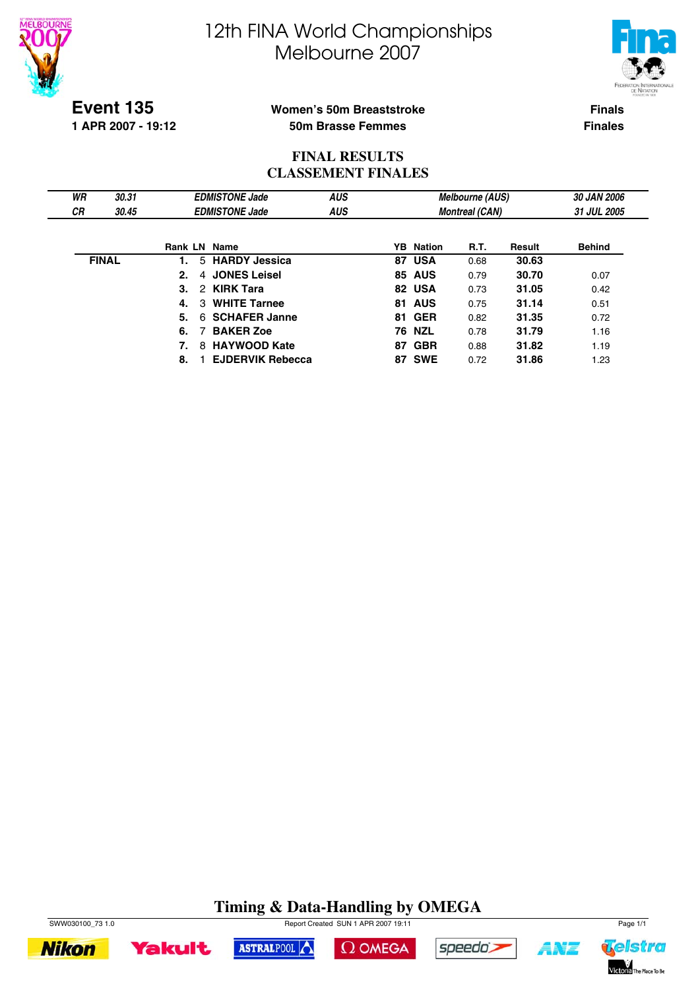



**Event 135**

**1 APR 2007 - 19:12**

### **Women's 50m Breaststroke 50m Brasse Femmes**

**Finals Finales**

## **FINAL RESULTS CLASSEMENT FINALES**

| WR        | 30.31        |              | <b>EDMISTONE Jade</b>   | <b>AUS</b> |                  | <b>Melbourne (AUS)</b> |        | 30 JAN 2006   |
|-----------|--------------|--------------|-------------------------|------------|------------------|------------------------|--------|---------------|
| <b>CR</b> | 30.45        |              | <b>EDMISTONE Jade</b>   | <b>AUS</b> |                  | <b>Montreal (CAN)</b>  |        | 31 JUL 2005   |
|           |              |              |                         |            |                  |                        |        |               |
|           |              | Rank LN Name |                         |            | <b>YB</b> Nation | R.T.                   | Result | <b>Behind</b> |
|           | <b>FINAL</b> | 1.           | 5 HARDY Jessica         |            | 87 USA           | 0.68                   | 30.63  |               |
|           |              | 2.<br>4      | <b>JONES Leisel</b>     |            | <b>85 AUS</b>    | 0.79                   | 30.70  | 0.07          |
|           |              | 2<br>3.      | <b>KIRK Tara</b>        |            | 82 USA           | 0.73                   | 31.05  | 0.42          |
|           |              | 3<br>4.      | <b>WHITE Tarnee</b>     |            | <b>81 AUS</b>    | 0.75                   | 31.14  | 0.51          |
|           |              | 6.<br>5.     | <b>SCHAFER Janne</b>    |            | 81 GER           | 0.82                   | 31.35  | 0.72          |
|           |              | 6.           | <b>BAKER Zoe</b>        |            | <b>76 NZL</b>    | 0.78                   | 31.79  | 1.16          |
|           |              | 8            | <b>HAYWOOD Kate</b>     |            | 87 GBR           | 0.88                   | 31.82  | 1.19          |
|           |              | 8.           | <b>EJDERVIK Rebecca</b> |            | <b>87 SWE</b>    | 0.72                   | 31.86  | 1.23          |

# **Timing & Data-Handling by OMEGA**





ASTRALPOOL





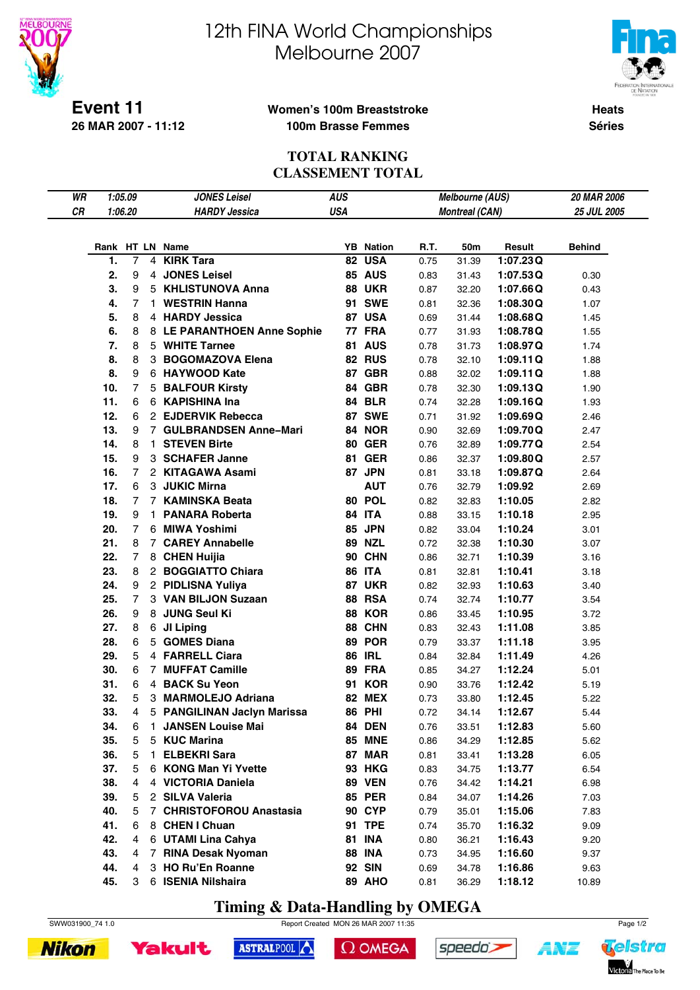



**Event 11 26 MAR 2007 - 11:12**

#### **Women's 100m Breaststroke 100m Brasse Femmes**

**Heats Séries**

### **TOTAL RANKING CLASSEMENT TOTAL**

| WR |     | 1:05.09        | <b>JONES Leisel</b>         | <b>AUS</b> |                  |      | <b>Melbourne (AUS)</b> |          | 20 MAR 2006   |
|----|-----|----------------|-----------------------------|------------|------------------|------|------------------------|----------|---------------|
| CR |     | 1:06.20        | <b>HARDY Jessica</b>        | <b>USA</b> |                  |      | <b>Montreal (CAN)</b>  |          | 25 JUL 2005   |
|    |     |                |                             |            |                  |      |                        |          |               |
|    |     |                |                             |            |                  |      |                        |          |               |
|    |     |                | Rank HT LN Name             |            | <b>YB</b> Nation | R.T. | 50m                    | Result   | <b>Behind</b> |
|    | 1.  | $\overline{7}$ | 4 KIRK Tara                 |            | 82 USA           | 0.75 | 31.39                  | 1:07.23Q |               |
|    | 2.  | 9              | 4 JONES Leisel              |            | <b>85 AUS</b>    | 0.83 | 31.43                  | 1:07.53Q | 0.30          |
|    | 3.  | 9              | 5 KHLISTUNOVA Anna          |            | <b>88 UKR</b>    | 0.87 | 32.20                  | 1:07.66Q | 0.43          |
|    | 4.  | $\overline{7}$ | 1 WESTRIN Hanna             |            | <b>91 SWE</b>    | 0.81 | 32.36                  | 1:08.30Q | 1.07          |
|    | 5.  | 8              | 4 HARDY Jessica             |            | 87 USA           | 0.69 | 31.44                  | 1:08.68Q | 1.45          |
|    | 6.  | 8              | 8 LE PARANTHOEN Anne Sophie |            | <b>77 FRA</b>    | 0.77 | 31.93                  | 1:08.78Q | 1.55          |
|    | 7.  | 8              | 5 WHITE Tarnee              |            | 81 AUS           | 0.78 | 31.73                  | 1:08.97Q | 1.74          |
|    | 8.  | 8              | 3 BOGOMAZOVA Elena          |            | 82 RUS           | 0.78 | 32.10                  | 1:09.11Q | 1.88          |
|    | 8.  | 9              | 6 HAYWOOD Kate              |            | 87 GBR           | 0.88 | 32.02                  | 1:09.11Q | 1.88          |
|    | 10. | $\overline{7}$ | 5 BALFOUR Kirsty            |            | 84 GBR           | 0.78 | 32.30                  | 1:09.13Q | 1.90          |
|    | 11. | 6              | 6 KAPISHINA Ina             |            | <b>84 BLR</b>    | 0.74 | 32.28                  | 1:09.16Q | 1.93          |
|    | 12. | 6              | 2 EJDERVIK Rebecca          |            | 87 SWE           | 0.71 | 31.92                  | 1:09.69Q | 2.46          |
|    | 13. | 9              | 7 GULBRANDSEN Anne-Mari     |            | 84 NOR           | 0.90 | 32.69                  | 1:09.70Q | 2.47          |
|    | 14. | 8              | 1 STEVEN Birte              |            | <b>80 GER</b>    | 0.76 | 32.89                  | 1:09.77Q | 2.54          |
|    | 15. | 9              | 3 SCHAFER Janne             |            | <b>81 GER</b>    | 0.86 | 32.37                  | 1:09.80Q | 2.57          |
|    | 16. | $\overline{7}$ | 2 KITAGAWA Asami            |            | 87 JPN           | 0.81 | 33.18                  | 1:09.87Q | 2.64          |
|    | 17. | 6              | 3 JUKIC Mirna               |            | <b>AUT</b>       | 0.76 | 32.79                  | 1:09.92  | 2.69          |
|    | 18. | 7              | 7 KAMINSKA Beata            |            | 80 POL           | 0.82 | 32.83                  | 1:10.05  | 2.82          |
|    | 19. | 9              | 1 PANARA Roberta            |            | 84 ITA           | 0.88 | 33.15                  | 1:10.18  | 2.95          |
|    | 20. | $\overline{7}$ | 6 MIWA Yoshimi              |            | 85 JPN           | 0.82 | 33.04                  | 1:10.24  | 3.01          |
|    | 21. | 8              | 7 CAREY Annabelle           |            | <b>89 NZL</b>    | 0.72 | 32.38                  | 1:10.30  | 3.07          |
|    | 22. | 7              | 8 CHEN Huijia               |            | 90 CHN           | 0.86 | 32.71                  | 1:10.39  | 3.16          |
|    | 23. | 8              | 2 BOGGIATTO Chiara          |            | <b>86 ITA</b>    | 0.81 | 32.81                  | 1:10.41  | 3.18          |
|    | 24. | 9              | 2 PIDLISNA Yuliya           |            | <b>87 UKR</b>    | 0.82 | 32.93                  | 1:10.63  | 3.40          |
|    | 25. | $\overline{7}$ | 3 VAN BILJON Suzaan         |            | <b>88 RSA</b>    | 0.74 | 32.74                  | 1:10.77  | 3.54          |
|    | 26. | 9              | 8 JUNG Seul Ki              |            | 88 KOR           | 0.86 | 33.45                  | 1:10.95  | 3.72          |
|    | 27. | 8              | 6 JI Liping                 |            | 88 CHN           | 0.83 | 32.43                  | 1:11.08  | 3.85          |
|    | 28. | 6              | 5 GOMES Diana               |            | 89 POR           | 0.79 | 33.37                  | 1:11.18  | 3.95          |
|    | 29. | 5              | 4 FARRELL Ciara             |            | <b>86 IRL</b>    | 0.84 | 32.84                  | 1:11.49  | 4.26          |
|    | 30. | 6              | 7 MUFFAT Camille            |            | 89 FRA           | 0.85 | 34.27                  | 1:12.24  | 5.01          |
|    | 31. | 6              | 4 BACK Su Yeon              |            | <b>91 KOR</b>    | 0.90 | 33.76                  | 1:12.42  | 5.19          |
|    | 32. | 5              | 3 MARMOLEJO Adriana         |            | <b>82 MEX</b>    | 0.73 | 33.80                  | 1:12.45  | 5.22          |
|    | 33. | 4              | 5 PANGILINAN Jaciyn Marissa |            | 86 PHI           | 0.72 | 34.14                  | 1:12.67  | 5.44          |
|    | 34. | 6              | <b>JANSEN Louise Mai</b>    |            | 84 DEN           | 0.76 | 33.51                  | 1:12.83  | 5.60          |
|    | 35. | 5              | 5 KUC Marina                |            | <b>85 MNE</b>    | 0.86 | 34.29                  | 1:12.85  | 5.62          |
|    | 36. | 5              | 1 ELBEKRI Sara              |            | 87 MAR           | 0.81 | 33.41                  | 1:13.28  | 6.05          |
|    | 37. | 5              | 6 KONG Man Yi Yvette        |            | <b>93 HKG</b>    | 0.83 | 34.75                  | 1:13.77  | 6.54          |
|    | 38. | 4              | 4 VICTORIA Daniela          |            | <b>89 VEN</b>    | 0.76 | 34.42                  | 1:14.21  | 6.98          |
|    | 39. | 5              | 2 SILVA Valeria             |            | <b>85 PER</b>    | 0.84 | 34.07                  | 1:14.26  | 7.03          |
|    | 40. | 5              | 7 CHRISTOFOROU Anastasia    |            | <b>90 CYP</b>    | 0.79 | 35.01                  | 1:15.06  | 7.83          |
|    | 41. | 6              | 8 CHEN I Chuan              |            | 91 TPE           | 0.74 | 35.70                  | 1:16.32  | 9.09          |
|    | 42. | 4              | 6 UTAMI Lina Cahya          |            | <b>81 INA</b>    | 0.80 | 36.21                  | 1:16.43  | 9.20          |
|    | 43. | 4              | 7 RINA Desak Nyoman         |            | <b>88 INA</b>    | 0.73 | 34.95                  | 1:16.60  | 9.37          |
|    | 44. | 4              | 3 HO Ru'En Roanne           |            | 92 SIN           | 0.69 | 34.78                  | 1:16.86  | 9.63          |
|    | 45. | 3              | 6 ISENIA Nilshaira          |            | <b>89 AHO</b>    | 0.81 | 36.29                  | 1:18.12  | 10.89         |

**Timing & Data-Handling by OMEGA**

SWW031900\_74 1.0 Report Created MON 26 MAR 2007 11:35 Page 1/2





 $\Omega$  OMEGA





**ANT**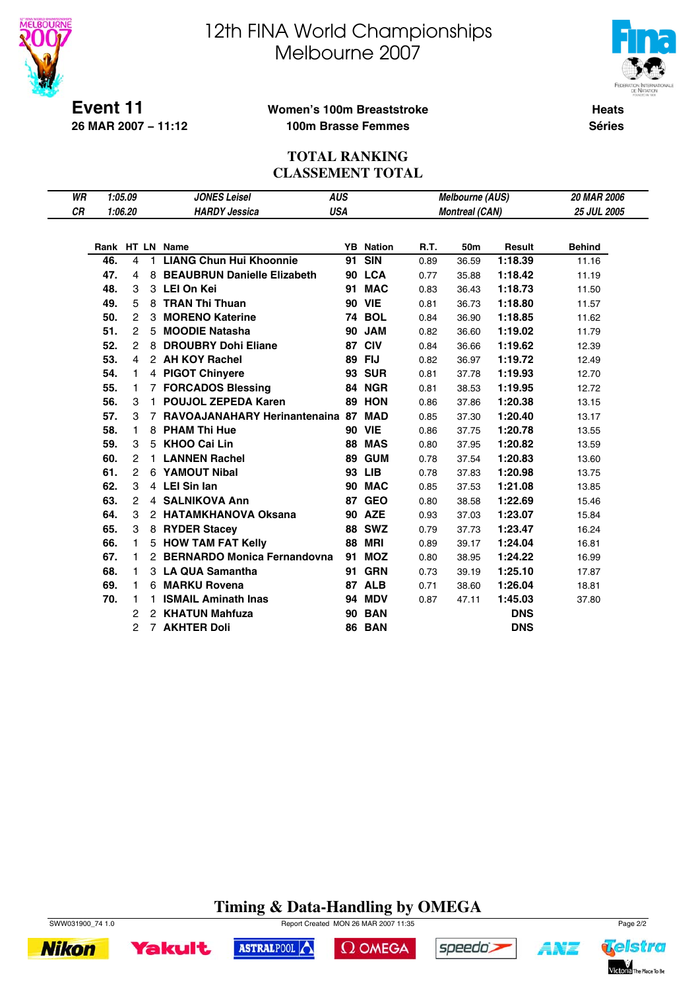



**Event 11 26 MAR 2007 − 11:12**

#### **Women's 100m Breaststroke 100m Brasse Femmes**

**Heats Séries**

### **TOTAL RANKING CLASSEMENT TOTAL**

| WR |     | 1:05.09 |    | <b>JONES Leisel</b>                | <b>AUS</b> |                  |      | <b>Melbourne (AUS)</b> |            | <b>20 MAR 2006</b> |
|----|-----|---------|----|------------------------------------|------------|------------------|------|------------------------|------------|--------------------|
| CR |     | 1:06.20 |    | <b>HARDY Jessica</b>               | <b>USA</b> |                  |      | <b>Montreal (CAN)</b>  |            | <b>25 JUL 2005</b> |
|    |     |         |    |                                    |            |                  |      |                        |            |                    |
|    |     |         |    | Rank HT LN Name                    |            | <b>YB</b> Nation | R.T. | 50m                    | Result     | <b>Behind</b>      |
|    | 46. | 4       | 1. | <b>LIANG Chun Hui Khoonnie</b>     | 91         | <b>SIN</b>       | 0.89 | 36.59                  | 1:18.39    | 11.16              |
|    | 47. | 4       | 8  | <b>BEAUBRUN Danielle Elizabeth</b> |            | 90 LCA           | 0.77 | 35.88                  | 1:18.42    | 11.19              |
|    | 48. | 3       |    | 3 LEI On Kei                       | 91         | <b>MAC</b>       | 0.83 | 36.43                  | 1:18.73    | 11.50              |
|    | 49. | 5       |    | 8 TRAN Thi Thuan                   |            | <b>90 VIE</b>    | 0.81 | 36.73                  | 1:18.80    | 11.57              |
|    | 50. | 2       |    | 3 MORENO Katerine                  |            | <b>74 BOL</b>    | 0.84 | 36.90                  | 1:18.85    | 11.62              |
|    | 51. | 2       | 5  | <b>MOODIE Natasha</b>              |            | <b>90 JAM</b>    | 0.82 | 36.60                  | 1:19.02    | 11.79              |
|    | 52. | 2       | 8  | <b>DROUBRY Dohi Eliane</b>         | 87         | <b>CIV</b>       | 0.84 | 36.66                  | 1:19.62    | 12.39              |
|    | 53. | 4       |    | 2 AH KOY Rachel                    | 89         | <b>FIJ</b>       | 0.82 | 36.97                  | 1:19.72    | 12.49              |
|    | 54. | 1       |    | 4 PIGOT Chinyere                   |            | <b>93 SUR</b>    | 0.81 | 37.78                  | 1:19.93    | 12.70              |
|    | 55. | 1       |    | 7 FORCADOS Blessing                |            | 84 NGR           | 0.81 | 38.53                  | 1:19.95    | 12.72              |
|    | 56. | 3       |    | 1 POUJOL ZEPEDA Karen              |            | <b>89 HON</b>    | 0.86 | 37.86                  | 1:20.38    | 13.15              |
|    | 57. | 3       |    | 7 RAVOAJANAHARY Herinantenaina 87  |            | <b>MAD</b>       | 0.85 | 37.30                  | 1:20.40    | 13.17              |
|    | 58. | 1       | 8  | <b>PHAM Thi Hue</b>                |            | <b>90 VIE</b>    | 0.86 | 37.75                  | 1:20.78    | 13.55              |
|    | 59. | 3       | 5  | <b>KHOO Cai Lin</b>                | 88         | <b>MAS</b>       | 0.80 | 37.95                  | 1:20.82    | 13.59              |
|    | 60. | 2       | 1. | <b>LANNEN Rachel</b>               | 89         | <b>GUM</b>       | 0.78 | 37.54                  | 1:20.83    | 13.60              |
|    | 61. | 2       |    | 6 YAMOUT Nibal                     |            | 93 LIB           | 0.78 | 37.83                  | 1:20.98    | 13.75              |
|    | 62. | 3       |    | 4 LEI Sin Ian                      |            | 90 MAC           | 0.85 | 37.53                  | 1:21.08    | 13.85              |
|    | 63. | 2       |    | 4 SALNIKOVA Ann                    | 87         | <b>GEO</b>       | 0.80 | 38.58                  | 1:22.69    | 15.46              |
|    | 64. | 3       |    | 2 HATAMKHANOVA Oksana              |            | <b>90 AZE</b>    | 0.93 | 37.03                  | 1:23.07    | 15.84              |
|    | 65. | 3       |    | 8 RYDER Stacey                     |            | <b>88 SWZ</b>    | 0.79 | 37.73                  | 1:23.47    | 16.24              |
|    | 66. | 1       |    | 5 HOW TAM FAT Kelly                |            | <b>88 MRI</b>    | 0.89 | 39.17                  | 1:24.04    | 16.81              |
|    | 67. | 1       |    | 2 BERNARDO Monica Fernandovna      | 91         | <b>MOZ</b>       | 0.80 | 38.95                  | 1:24.22    | 16.99              |
|    | 68. | 1       |    | 3 LA QUA Samantha                  | 91         | <b>GRN</b>       | 0.73 | 39.19                  | 1:25.10    | 17.87              |
|    | 69. | 1       | 6  | <b>MARKU Rovena</b>                |            | 87 ALB           | 0.71 | 38.60                  | 1:26.04    | 18.81              |
|    | 70. | 1       | 1. | <b>ISMAIL Aminath Inas</b>         |            | <b>94 MDV</b>    | 0.87 | 47.11                  | 1:45.03    | 37.80              |
|    |     | 2       |    | 2 KHATUN Mahfuza                   | 90         | <b>BAN</b>       |      |                        | <b>DNS</b> |                    |
|    |     | 2       |    | <b>7 AKHTER Doli</b>               |            | <b>86 BAN</b>    |      |                        | <b>DNS</b> |                    |

# **Timing & Data-Handling by OMEGA**

 $\Omega$  OMEGA

speedo's



**Yakult** 

**Nikon** 



SWW031900\_74 1.0 Report Created MON 26 MAR 2007 11:35 Page 2/2

ASTRALPOOL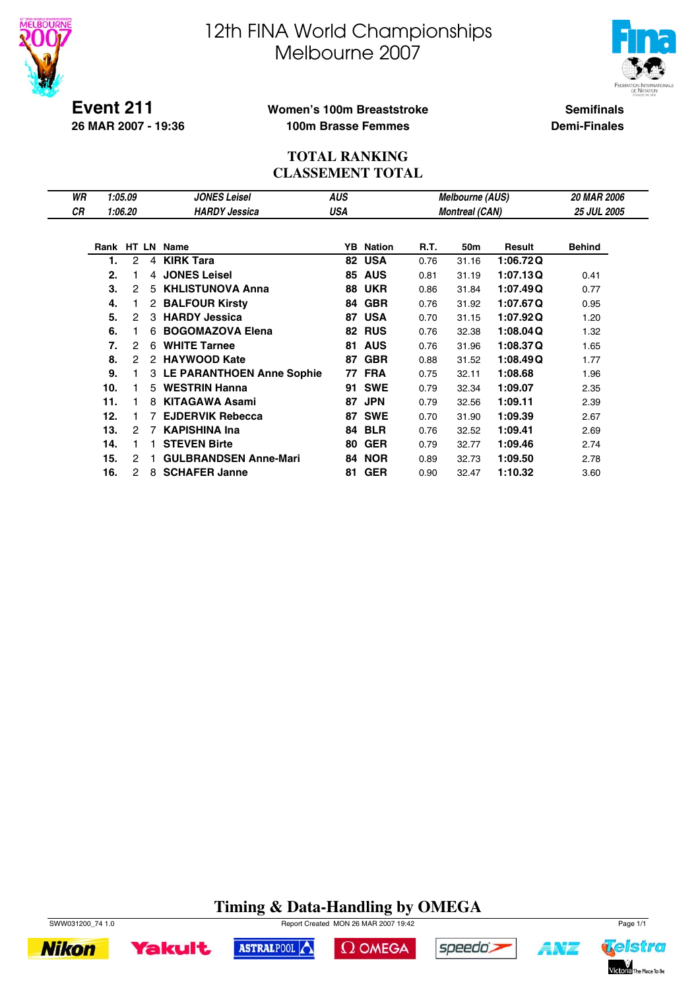



**Event 211 26 MAR 2007 - 19:36**

## **Women's 100m Breaststroke 100m Brasse Femmes**

**Semifinals Demi-Finales**

#### **TOTAL RANKING CLASSEMENT TOTAL**

| WR |     | 1:05.09 |    | <b>JONES Leisel</b>          | AUS |            |      | <b>Melbourne (AUS)</b> |          | <b>20 MAR 2006</b> |
|----|-----|---------|----|------------------------------|-----|------------|------|------------------------|----------|--------------------|
| СR |     | 1:06.20 |    | <b>HARDY Jessica</b>         | USA |            |      | <b>Montreal (CAN)</b>  |          | <b>25 JUL 2005</b> |
|    |     |         |    |                              |     |            |      |                        |          |                    |
|    |     |         |    | Rank HT LN Name              | YB  | Nation     | R.T. | 50m                    | Result   | <b>Behind</b>      |
|    | 1.  | 2       | 4  | <b>KIRK Tara</b>             | 82  | <b>USA</b> | 0.76 | 31.16                  | 1:06.72Q |                    |
|    | 2.  | 1       | 4  | <b>JONES Leisel</b>          | 85  | <b>AUS</b> | 0.81 | 31.19                  | 1:07.13Q | 0.41               |
|    | 3.  | 2       | 5  | <b>KHLISTUNOVA Anna</b>      | 88  | <b>UKR</b> | 0.86 | 31.84                  | 1:07.49Q | 0.77               |
|    | 4.  |         |    | 2 BALFOUR Kirsty             | 84  | <b>GBR</b> | 0.76 | 31.92                  | 1:07.67Q | 0.95               |
|    | 5.  | 2       | 3  | <b>HARDY Jessica</b>         | 87  | <b>USA</b> | 0.70 | 31.15                  | 1:07.92Q | 1.20               |
|    | 6.  |         | 6  | <b>BOGOMAZOVA Elena</b>      | 82  | <b>RUS</b> | 0.76 | 32.38                  | 1:08.04Q | 1.32               |
|    | 7.  | 2       | 6  | <b>WHITE Tarnee</b>          | 81  | <b>AUS</b> | 0.76 | 31.96                  | 1:08.37Q | 1.65               |
|    | 8.  | 2       | 2  | <b>HAYWOOD Kate</b>          | 87  | <b>GBR</b> | 0.88 | 31.52                  | 1:08.49Q | 1.77               |
|    | 9.  |         |    | 3 LE PARANTHOEN Anne Sophie  | 77  | <b>FRA</b> | 0.75 | 32.11                  | 1:08.68  | 1.96               |
|    | 10. |         |    | 5 WESTRIN Hanna              | 91  | <b>SWE</b> | 0.79 | 32.34                  | 1:09.07  | 2.35               |
|    | 11. |         | 8. | KITAGAWA Asami               | 87  | <b>JPN</b> | 0.79 | 32.56                  | 1:09.11  | 2.39               |
|    | 12. |         |    | <b>EJDERVIK Rebecca</b>      | 87  | <b>SWE</b> | 0.70 | 31.90                  | 1:09.39  | 2.67               |
|    | 13. | 2       |    | <b>KAPISHINA Ina</b>         | 84  | <b>BLR</b> | 0.76 | 32.52                  | 1:09.41  | 2.69               |
|    | 14. | 1       |    | <b>STEVEN Birte</b>          | 80  | <b>GER</b> | 0.79 | 32.77                  | 1:09.46  | 2.74               |
|    | 15. | 2       |    | <b>GULBRANDSEN Anne-Mari</b> | 84  | <b>NOR</b> | 0.89 | 32.73                  | 1:09.50  | 2.78               |
|    | 16. | 2       | 8  | <b>SCHAFER Janne</b>         | 81  | <b>GER</b> | 0.90 | 32.47                  | 1:10.32  | 3.60               |

# **Timing & Data-Handling by OMEGA**



**Nikon** 



ASTRALPOOL





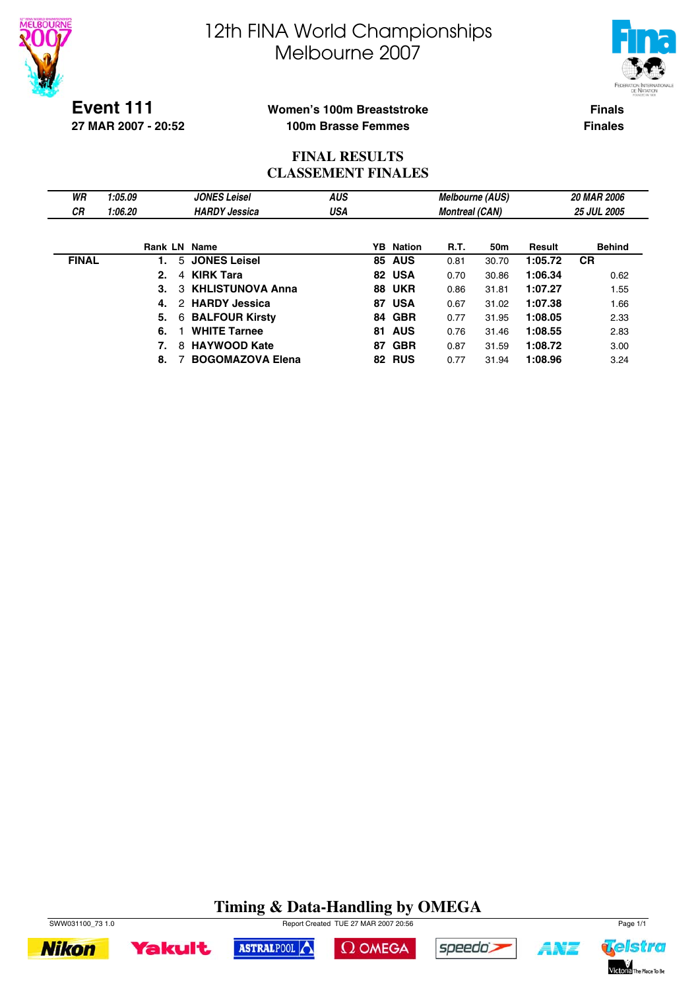



**Event 111 27 MAR 2007 - 20:52**

### **Women's 100m Breaststroke 100m Brasse Femmes**

**Finals Finales**

## **FINAL RESULTS CLASSEMENT FINALES**

| WR           | 1:05.09 | <b>JONES Leisel</b>     | <b>AUS</b> |     |                  | <b>Melbourne (AUS)</b> |       |         | <b>20 MAR 2006</b> |
|--------------|---------|-------------------------|------------|-----|------------------|------------------------|-------|---------|--------------------|
| <b>CR</b>    | 1:06.20 | <b>HARDY Jessica</b>    | USA        |     |                  | <b>Montreal (CAN)</b>  |       |         | <b>25 JUL 2005</b> |
|              |         |                         |            |     |                  |                        |       |         |                    |
|              | Rank LN | Name                    |            |     | <b>YB</b> Nation | <b>R.T.</b>            | 50m   | Result  | <b>Behind</b>      |
| <b>FINAL</b> |         | 5 JONES Leisel          |            |     | <b>85 AUS</b>    | 0.81                   | 30.70 | 1:05.72 | <b>CR</b>          |
|              | 2.<br>4 | <b>KIRK Tara</b>        |            |     | 82 USA           | 0.70                   | 30.86 | 1:06.34 | 0.62               |
|              | 3.      | 3 KHLISTUNOVA Anna      |            |     | <b>88 UKR</b>    | 0.86                   | 31.81 | 1:07.27 | 1.55               |
|              | 4.      | 2 HARDY Jessica         |            |     | 87 USA           | 0.67                   | 31.02 | 1:07.38 | 1.66               |
|              | 5.<br>6 | <b>BALFOUR Kirsty</b>   |            |     | 84 GBR           | 0.77                   | 31.95 | 1:08.05 | 2.33               |
|              | 6.      | <b>WHITE Tarnee</b>     |            |     | 81 AUS           | 0.76                   | 31.46 | 1:08.55 | 2.83               |
|              | 7.<br>8 | <b>HAYWOOD Kate</b>     |            | 87. | <b>GBR</b>       | 0.87                   | 31.59 | 1:08.72 | 3.00               |
|              | 8.      | <b>BOGOMAZOVA Elena</b> |            |     | 82 RUS           | 0.77                   | 31.94 | 1:08.96 | 3.24               |

# **Timing & Data-Handling by OMEGA**







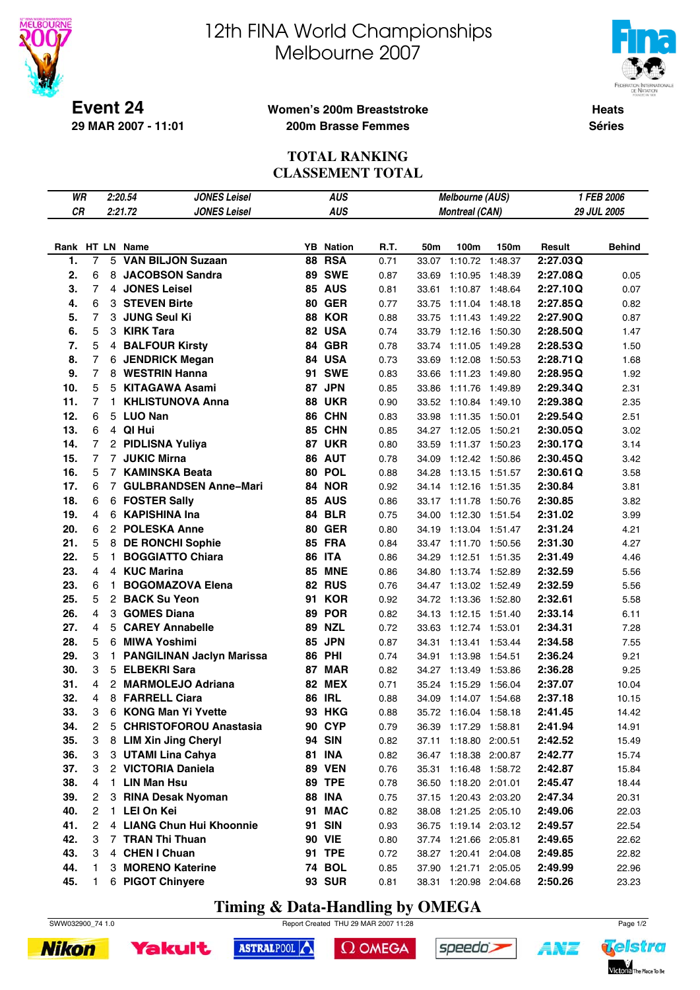



**Event 24 29 MAR 2007 - 11:01**

#### **Women's 200m Breaststroke 200m Brasse Femmes**

**Heats Séries**

## **TOTAL RANKING CLASSEMENT TOTAL**

| WR  |                  |              | 2:20.54<br><b>JONES Leisel</b>   | <b>AUS</b>       |      |       |                       | Melbourne (AUS) | 1 FEB 2006 |               |  |
|-----|------------------|--------------|----------------------------------|------------------|------|-------|-----------------------|-----------------|------------|---------------|--|
| CR  |                  |              | 2:21.72<br><b>JONES Leisel</b>   | <b>AUS</b>       |      |       | <b>Montreal (CAN)</b> |                 |            | 29 JUL 2005   |  |
|     |                  |              |                                  |                  |      |       |                       |                 |            |               |  |
|     |                  |              | Rank HT LN Name                  | <b>YB</b> Nation | R.T. | 50m   | 100m                  | 150m            | Result     | <b>Behind</b> |  |
| 1.  | 7                | 5            | <b>VAN BILJON Suzaan</b>         | <b>88 RSA</b>    | 0.71 | 33.07 | 1:10.72 1:48.37       |                 | 2:27.03Q   |               |  |
| 2.  | 6                | 8            | <b>JACOBSON Sandra</b>           | <b>89 SWE</b>    | 0.87 | 33.69 | 1:10.95 1:48.39       |                 | 2:27.08Q   | 0.05          |  |
| 3.  | $\overline{7}$   |              | 4 JONES Leisel                   | <b>85 AUS</b>    | 0.81 | 33.61 | 1:10.87 1:48.64       |                 | 2:27.10Q   | 0.07          |  |
| 4.  | 6                | 3            | <b>STEVEN Birte</b>              | <b>80 GER</b>    | 0.77 | 33.75 | 1:11.04 1:48.18       |                 | 2:27.85Q   | 0.82          |  |
| 5.  | $\overline{7}$   | 3            | <b>JUNG Seul Ki</b>              | <b>88 KOR</b>    | 0.88 | 33.75 | 1:11.43 1:49.22       |                 | 2:27.90Q   | 0.87          |  |
| 6.  | 5                |              | 3 KIRK Tara                      | 82 USA           | 0.74 | 33.79 | 1:12.16 1:50.30       |                 | 2:28.50Q   | 1.47          |  |
| 7.  | 5                |              | 4 BALFOUR Kirsty                 | 84 GBR           | 0.78 | 33.74 | 1:11.05               | 1:49.28         | 2:28.53Q   | 1.50          |  |
| 8.  | $\overline{7}$   |              | 6 JENDRICK Megan                 | 84 USA           | 0.73 | 33.69 | 1:12.08 1:50.53       |                 | 2:28.71Q   | 1.68          |  |
| 9.  | $\overline{7}$   |              | 8 WESTRIN Hanna<br>91            | <b>SWE</b>       | 0.83 | 33.66 | 1:11.23 1:49.80       |                 | 2:28.95Q   | 1.92          |  |
| 10. | 5                |              | 5 KITAGAWA Asami                 | 87 JPN           | 0.85 | 33.86 | 1:11.76 1:49.89       |                 | 2:29.34Q   | 2.31          |  |
| 11. | $\overline{7}$   | 1.           | <b>KHLISTUNOVA Anna</b><br>88    | <b>UKR</b>       | 0.90 | 33.52 | 1:10.84 1:49.10       |                 | 2:29.38Q   | 2.35          |  |
| 12. | 6                |              | 5 LUO Nan                        | 86 CHN           | 0.83 | 33.98 | 1:11.35 1:50.01       |                 | 2:29.54Q   | 2.51          |  |
| 13. | 6                |              | 4 QI Hui                         | 85 CHN           | 0.85 | 34.27 | 1:12.05               | 1:50.21         | 2:30.05Q   | 3.02          |  |
| 14. | 7                |              | 2 PIDLISNA Yuliya                | <b>87 UKR</b>    | 0.80 | 33.59 | 1:11.37 1:50.23       |                 | 2:30.17Q   | 3.14          |  |
| 15. | 7                |              | 7 JUKIC Mirna                    | 86 AUT           | 0.78 | 34.09 | 1:12.42 1:50.86       |                 | 2:30.45Q   | 3.42          |  |
| 16. | 5                |              | 7 KAMINSKA Beata                 | 80 POL           | 0.88 | 34.28 | 1:13.15 1:51.57       |                 | 2:30.61Q   | 3.58          |  |
| 17. | 6                |              | 7 GULBRANDSEN Anne-Mari          | 84 NOR           | 0.92 |       | 34.14 1:12.16 1:51.35 |                 | 2:30.84    | 3.81          |  |
| 18. | 6                |              | 6 FOSTER Sally                   | <b>85 AUS</b>    | 0.86 |       | 33.17 1:11.78 1:50.76 |                 | 2:30.85    | 3.82          |  |
| 19. | 4                |              | 6 KAPISHINA Ina                  | <b>84 BLR</b>    | 0.75 | 34.00 | 1:12.30 1:51.54       |                 | 2:31.02    | 3.99          |  |
| 20. | 6                |              | 2 POLESKA Anne                   | <b>80 GER</b>    | 0.80 | 34.19 | 1:13.04 1:51.47       |                 | 2:31.24    | 4.21          |  |
| 21. | 5                |              | 8 DE RONCHI Sophie               | <b>85 FRA</b>    | 0.84 | 33.47 | 1:11.70 1:50.56       |                 | 2:31.30    | 4.27          |  |
| 22. | 5                | 1.           | <b>BOGGIATTO Chiara</b>          | <b>86 ITA</b>    | 0.86 | 34.29 | 1:12.51 1:51.35       |                 | 2:31.49    | 4.46          |  |
| 23. | 4                |              | 4 KUC Marina                     | <b>85 MNE</b>    | 0.86 | 34.80 | 1:13.74 1:52.89       |                 | 2:32.59    | 5.56          |  |
| 23. | 6                | 1.           | <b>BOGOMAZOVA Elena</b>          | <b>82 RUS</b>    | 0.76 | 34.47 | 1:13.02 1:52.49       |                 | 2:32.59    | 5.56          |  |
| 25. | 5                |              | 2 BACK Su Yeon<br>91             | <b>KOR</b>       | 0.92 | 34.72 | 1:13.36 1:52.80       |                 | 2:32.61    | 5.58          |  |
| 26. | 4                | 3            | <b>GOMES Diana</b><br>89         | <b>POR</b>       | 0.82 | 34.13 | 1:12.15 1:51.40       |                 | 2:33.14    | 6.11          |  |
| 27. | 4                | 5            | <b>CAREY Annabelle</b><br>89     | <b>NZL</b>       | 0.72 | 33.63 | 1:12.74 1:53.01       |                 | 2:34.31    | 7.28          |  |
| 28. | 5                |              | 6 MIWA Yoshimi                   | 85 JPN           | 0.87 | 34.31 | 1:13.41 1:53.44       |                 | 2:34.58    | 7.55          |  |
| 29. | 3                | $\mathbf{1}$ | <b>PANGILINAN Jaclyn Marissa</b> | <b>86 PHI</b>    | 0.74 | 34.91 | 1:13.98               | 1:54.51         | 2:36.24    | 9.21          |  |
| 30. | 3                | 5            | <b>ELBEKRI Sara</b>              | <b>87 MAR</b>    | 0.82 | 34.27 | 1:13.49 1:53.86       |                 | 2:36.28    | 9.25          |  |
| 31. | 4                |              | 2 MARMOLEJO Adriana              | <b>82 MEX</b>    | 0.71 | 35.24 | 1:15.29               | 1:56.04         | 2:37.07    | 10.04         |  |
| 32. | 4                | 8            | <b>FARRELL Ciara</b><br>86       | <b>IRL</b>       | 0.88 | 34.09 | 1:14.07               | 1:54.68         | 2:37.18    | 10.15         |  |
| 33. | 3                | 6            | <b>KONG Man Yi Yvette</b>        | <b>93 HKG</b>    | 0.88 | 35.72 | 1:16.04 1:58.18       |                 | 2:41.45    | 14.42         |  |
| 34. | $\boldsymbol{2}$ | 5            | <b>CHRISTOFOROU Anastasia</b>    | <b>90 CYP</b>    | 0.79 |       | 36.39 1:17.29 1:58.81 |                 | 2:41.94    | 14.91         |  |
| 35. | 3                |              | 8 LIM Xin Jing Cheryl            | 94 SIN           | 0.82 |       | 37.11 1:18.80 2:00.51 |                 | 2:42.52    | 15.49         |  |
| 36. | 3                |              | 3 UTAMI Lina Cahya               | <b>81 INA</b>    | 0.82 |       | 36.47 1:18.38 2:00.87 |                 | 2:42.77    | 15.74         |  |
| 37. | 3                |              | 2 VICTORIA Daniela               | <b>89 VEN</b>    | 0.76 |       | 35.31 1:16.48 1:58.72 |                 | 2:42.87    | 15.84         |  |
| 38. | 4                |              | 1 LIN Man Hsu                    | <b>89 TPE</b>    | 0.78 |       | 36.50 1:18.20 2:01.01 |                 | 2:45.47    | 18.44         |  |
| 39. | 2                |              | 3 RINA Desak Nyoman              | <b>88 INA</b>    | 0.75 |       | 37.15 1:20.43 2:03.20 |                 | 2:47.34    | 20.31         |  |
| 40. | 2                |              | 1 LEI On Kei                     | 91 MAC           | 0.82 |       | 38.08 1:21.25 2:05.10 |                 | 2:49.06    | 22.03         |  |
| 41. | 2                |              | 4 LIANG Chun Hui Khoonnie        | 91 SIN           | 0.93 |       | 36.75 1:19.14 2:03.12 |                 | 2:49.57    | 22.54         |  |
| 42. | 3                |              | 7 TRAN Thi Thuan                 | <b>90 VIE</b>    | 0.80 |       | 37.74 1:21.66 2:05.81 |                 | 2:49.65    | 22.62         |  |
| 43. | 3                |              | 4 CHEN I Chuan                   | 91 TPE           | 0.72 |       | 38.27 1:20.41 2:04.08 |                 | 2:49.85    | 22.82         |  |
| 44. | 1                | 3            | <b>MORENO Katerine</b>           | <b>74 BOL</b>    | 0.85 |       | 37.90 1:21.71 2:05.05 |                 | 2:49.99    | 22.96         |  |
| 45. | 1                |              | 6 PIGOT Chinyere                 | <b>93 SUR</b>    | 0.81 |       | 38.31 1:20.98 2:04.68 |                 | 2:50.26    | 23.23         |  |

# **Timing & Data-Handling by OMEGA**

SWW032900\_74 1.0 Report Created THU 29 MAR 2007 11:28





 $\Omega$  OMEGA





1 N'I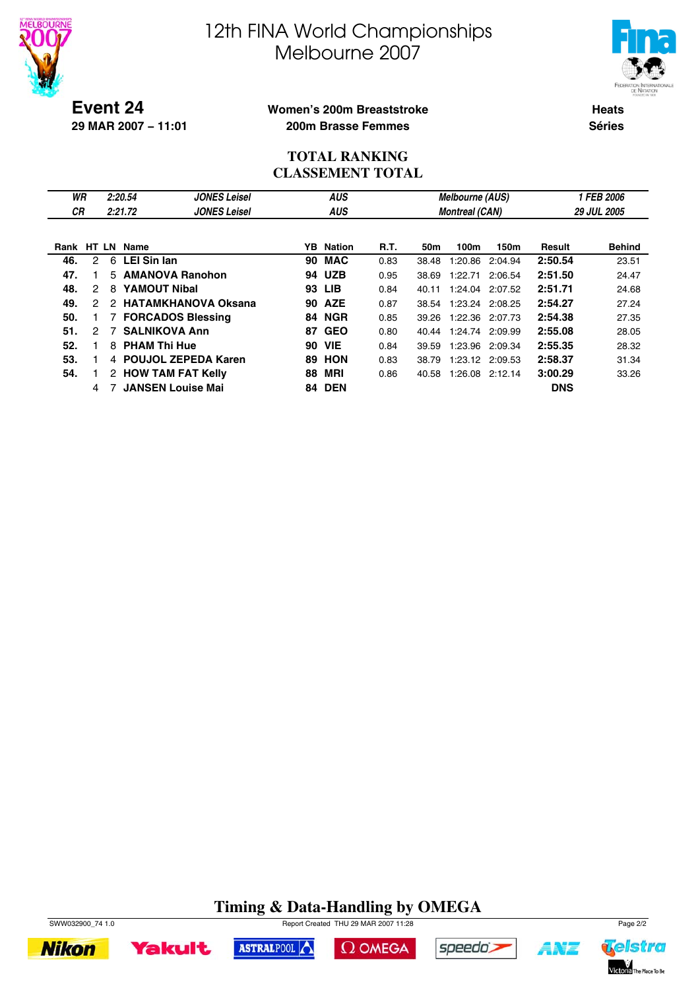



**Event 24 29 MAR 2007 − 11:01**

#### **Women's 200m Breaststroke 200m Brasse Femmes**

**Heats Séries**

## **TOTAL RANKING CLASSEMENT TOTAL**

| WR        |               |               | 2:20.54            | <b>JONES Leisel</b>        |     | <b>AUS</b>    |      |       | Melbourne (AUS)       |                 | <b>1 FEB 2006</b> |               |  |
|-----------|---------------|---------------|--------------------|----------------------------|-----|---------------|------|-------|-----------------------|-----------------|-------------------|---------------|--|
| <b>CR</b> |               |               | 2:21.72            | <b>JONES Leisel</b>        |     | <b>AUS</b>    |      |       | <b>Montreal (CAN)</b> |                 |                   | 29 JUL 2005   |  |
|           |               |               |                    |                            |     |               |      |       |                       |                 |                   |               |  |
| Rank      |               |               | HT LN Name         |                            | YB. | <b>Nation</b> | R.T. | 50m   | 100m                  | 150m            | Result            | <b>Behind</b> |  |
| 46.       | 2             | 6             | <b>LEI Sin Ian</b> |                            | 90  | <b>MAC</b>    | 0.83 | 38.48 | 1:20.86               | 2:04.94         | 2:50.54           | 23.51         |  |
| 47.       |               | 5.            |                    | <b>AMANOVA Ranohon</b>     | 94  | <b>UZB</b>    | 0.95 | 38.69 | 1:22.71               | 2:06.54         | 2:51.50           | 24.47         |  |
| 48.       | 2             | 8             |                    | <b>YAMOUT Nibal</b>        | 93  | <b>LIB</b>    | 0.84 | 40.11 | 1:24.04               | 2:07.52         | 2:51.71           | 24.68         |  |
| 49.       | $\mathcal{P}$ | $\mathcal{P}$ |                    | <b>HATAMKHANOVA Oksana</b> | 90  | <b>AZE</b>    | 0.87 | 38.54 |                       | 1:23.24 2:08.25 | 2:54.27           | 27.24         |  |
| 50.       |               |               |                    | <b>FORCADOS Blessing</b>   | 84  | <b>NGR</b>    | 0.85 | 39.26 | 1:22.36               | 2:07.73         | 2:54.38           | 27.35         |  |
| 51.       | $\mathcal{P}$ | 7             |                    | <b>SALNIKOVA Ann</b>       | 87  | <b>GEO</b>    | 0.80 | 40.44 |                       | 1:24.74 2:09.99 | 2:55.08           | 28.05         |  |
| 52.       |               | 8             |                    | <b>PHAM Thi Hue</b>        | 90  | <b>VIE</b>    | 0.84 | 39.59 | 1:23.96               | 2:09.34         | 2:55.35           | 28.32         |  |
| 53.       |               |               |                    | 4 POUJOL ZEPEDA Karen      | 89  | <b>HON</b>    | 0.83 | 38.79 |                       | 1:23.12 2:09.53 | 2:58.37           | 31.34         |  |
| 54.       |               |               |                    | 2 HOW TAM FAT Kelly        | 88  | <b>MRI</b>    | 0.86 | 40.58 | 1:26.08               | 2:12.14         | 3:00.29           | 33.26         |  |
|           | 4             |               |                    | <b>JANSEN Louise Mai</b>   | 84  | <b>DEN</b>    |      |       |                       |                 | <b>DNS</b>        |               |  |

# **Timing & Data-Handling by OMEGA**



**Yakult** 

ASTRALPOOL  $\Omega$  OMEGA



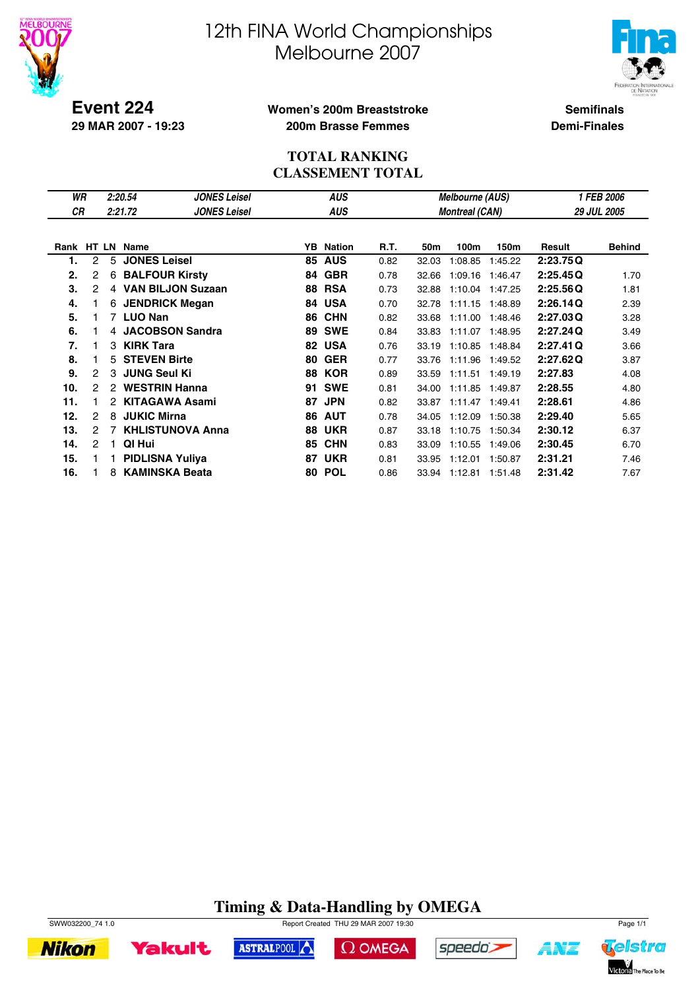



**Event 224 29 MAR 2007 - 19:23**

### **Women's 200m Breaststroke 200m Brasse Femmes**

**Semifinals Demi-Finales**

## **TOTAL RANKING CLASSEMENT TOTAL**

| WR         |   |                | 2:20.54                | <b>JONES Leisel</b>      |    | <b>AUS</b>    |      |       | <b>Melbourne (AUS)</b> |         | <b>1 FEB 2006</b> |                    |  |
|------------|---|----------------|------------------------|--------------------------|----|---------------|------|-------|------------------------|---------|-------------------|--------------------|--|
| СR         |   |                | 2:21.72                | <b>JONES Leisel</b>      |    | <b>AUS</b>    |      |       | <b>Montreal (CAN)</b>  |         |                   | <b>29 JUL 2005</b> |  |
|            |   |                |                        |                          |    |               |      |       |                        |         |                   |                    |  |
| Rank HT LN |   |                | Name                   |                          | YB | <b>Nation</b> | R.T. | 50m   | 100m                   | 150m    | Result            | <b>Behind</b>      |  |
| 1.         | 2 | 5              | <b>JONES Leisel</b>    |                          | 85 | <b>AUS</b>    | 0.82 | 32.03 | 1:08.85                | 1:45.22 | 2:23.75Q          |                    |  |
| 2.         | 2 | 6              | <b>BALFOUR Kirsty</b>  |                          | 84 | <b>GBR</b>    | 0.78 | 32.66 | 1:09.16                | 1:46.47 | 2:25.45Q          | 1.70               |  |
| 3.         | 2 | $\overline{4}$ |                        | <b>VAN BILJON Suzaan</b> | 88 | <b>RSA</b>    | 0.73 | 32.88 | 1:10.04                | 1:47.25 | 2:25.56Q          | 1.81               |  |
| 4.         |   | 6              |                        | <b>JENDRICK Megan</b>    | 84 | <b>USA</b>    | 0.70 | 32.78 | 1:11.15                | 1:48.89 | 2:26.14Q          | 2.39               |  |
| 5.         |   |                | 7 LUO Nan              |                          | 86 | <b>CHN</b>    | 0.82 | 33.68 | 1:11.00                | 1:48.46 | 2:27.03Q          | 3.28               |  |
| 6.         |   | 4              |                        | <b>JACOBSON Sandra</b>   | 89 | <b>SWE</b>    | 0.84 | 33.83 | 1:11.07                | 1:48.95 | 2:27.24Q          | 3.49               |  |
| 7.         |   | З              | <b>KIRK Tara</b>       |                          | 82 | <b>USA</b>    | 0.76 | 33.19 | 1:10.85                | 1:48.84 | 2:27.41Q          | 3.66               |  |
| 8.         |   | 5.             | <b>STEVEN Birte</b>    |                          | 80 | <b>GER</b>    | 0.77 | 33.76 | 1:11.96                | 1:49.52 | 2:27.62Q          | 3.87               |  |
| 9.         | 2 | 3              | <b>JUNG Seul Ki</b>    |                          | 88 | <b>KOR</b>    | 0.89 | 33.59 | 1:11.51                | 1:49.19 | 2:27.83           | 4.08               |  |
| 10.        | 2 | 2              | <b>WESTRIN Hanna</b>   |                          | 91 | <b>SWE</b>    | 0.81 | 34.00 | 1:11.85                | 1:49.87 | 2:28.55           | 4.80               |  |
| 11.        |   | 2              |                        | <b>KITAGAWA Asami</b>    | 87 | <b>JPN</b>    | 0.82 | 33.87 | 1:11.47                | 1:49.41 | 2:28.61           | 4.86               |  |
| 12.        | 2 | 8              | <b>JUKIC Mirna</b>     |                          | 86 | <b>AUT</b>    | 0.78 | 34.05 | 1:12.09                | 1:50.38 | 2:29.40           | 5.65               |  |
| 13.        | 2 | 7              |                        | <b>KHLISTUNOVA Anna</b>  | 88 | <b>UKR</b>    | 0.87 | 33.18 | 1:10.75                | 1:50.34 | 2:30.12           | 6.37               |  |
| 14.        | 2 | 1.             | QI Hui                 |                          | 85 | <b>CHN</b>    | 0.83 | 33.09 | 1:10.55                | 1:49.06 | 2:30.45           | 6.70               |  |
| 15.        |   |                | <b>PIDLISNA Yuliya</b> |                          | 87 | <b>UKR</b>    | 0.81 | 33.95 | 1:12.01                | 1:50.87 | 2:31.21           | 7.46               |  |
| 16.        |   | 8              |                        | <b>KAMINSKA Beata</b>    | 80 | <b>POL</b>    | 0.86 | 33.94 | 1:12.81                | 1:51.48 | 2:31.42           | 7.67               |  |

# **Timing & Data-Handling by OMEGA**



**Nikon** 

SWW032200\_74 1.0 Report Created THU 29 MAR 2007 19:30





 $\Omega$  OMEGA



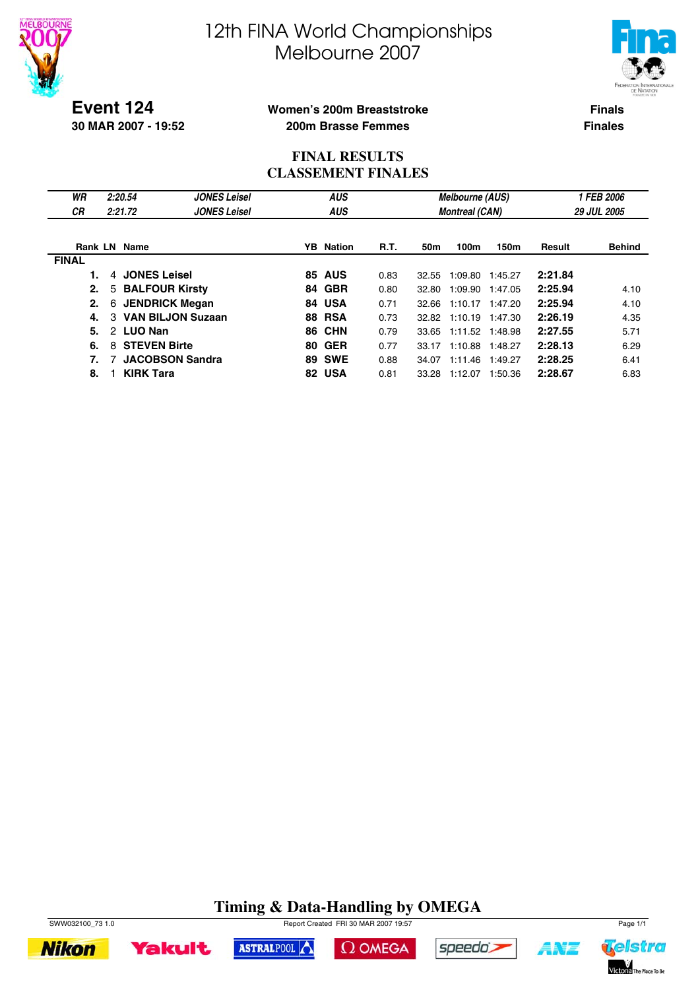



**Event 124 30 MAR 2007 - 19:52**

### **Women's 200m Breaststroke 200m Brasse Femmes**

**Finals Finales**

## **FINAL RESULTS CLASSEMENT FINALES**

| WR<br><b>CR</b> | 2:20.54<br>2:21.72              | <b>JONES Leisel</b><br><b>JONES Leisel</b> |    | <b>AUS</b><br><b>AUS</b> |             |       | <b>Melbourne (AUS)</b><br><b>Montreal (CAN)</b> |                 | <b>1 FEB 2006</b><br><b>29 JUL 2005</b> |               |  |
|-----------------|---------------------------------|--------------------------------------------|----|--------------------------|-------------|-------|-------------------------------------------------|-----------------|-----------------------------------------|---------------|--|
|                 | <b>Rank LN Name</b>             |                                            |    | <b>YB</b> Nation         | <b>R.T.</b> | 50m   | 100m                                            | 150m            | Result                                  | <b>Behind</b> |  |
| <b>FINAL</b>    |                                 |                                            |    |                          |             |       |                                                 |                 |                                         |               |  |
|                 | <b>JONES Leisel</b><br>4        |                                            |    | <b>85 AUS</b>            | 0.83        | 32.55 | 1:09.80                                         | 1:45.27         | 2:21.84                                 |               |  |
| 2.              | 5                               | <b>BALFOUR Kirsty</b>                      |    | 84 GBR                   | 0.80        | 32.80 | 1:09.90                                         | 1:47.05         | 2:25.94                                 | 4.10          |  |
| 2.              | 6                               | <b>JENDRICK Megan</b>                      |    | 84 USA                   | 0.71        | 32.66 | 1:10.17                                         | 1:47.20         | 2:25.94                                 | 4.10          |  |
| 4.              | $\mathcal{B}$                   | <b>VAN BILJON Suzaan</b>                   |    | <b>88 RSA</b>            | 0.73        |       | 32.82 1:10.19                                   | 1:47.30         | 2:26.19                                 | 4.35          |  |
| 5.              | <b>LUO Nan</b><br>$\mathcal{P}$ |                                            |    | <b>86 CHN</b>            | 0.79        | 33.65 |                                                 | 1:11.52 1:48.98 | 2:27.55                                 | 5.71          |  |
| 6.              | <b>STEVEN Birte</b><br>8        |                                            | 80 | <b>GER</b>               | 0.77        | 33.17 | 1:10.88                                         | 1:48.27         | 2:28.13                                 | 6.29          |  |
| 7.              |                                 | <b>JACOBSON Sandra</b>                     |    | <b>89 SWE</b>            | 0.88        | 34.07 | 1:11.46                                         | 1:49.27         | 2:28.25                                 | 6.41          |  |
| 8.              | <b>KIRK Tara</b>                |                                            |    | 82 USA                   | 0.81        | 33.28 | 1:12.07                                         | 1:50.36         | 2:28.67                                 | 6.83          |  |

# **Timing & Data-Handling by OMEGA**





ASTRALPOOL





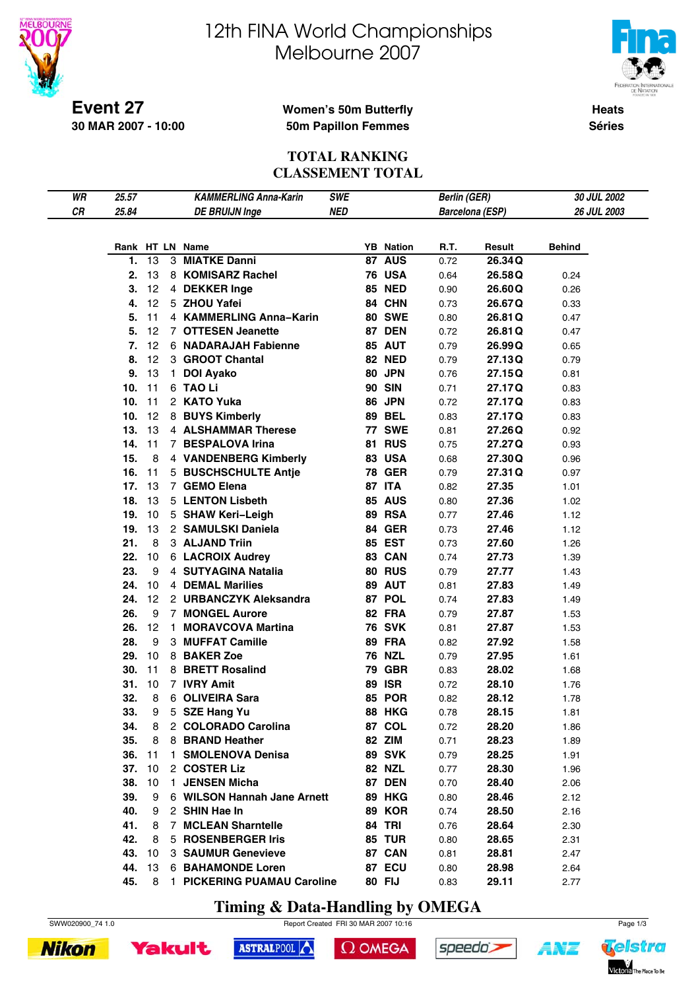



**Heats Séries**

#### **Event 27 30 MAR 2007 - 10:00**

## **Women's 50m Butterfly 50m Papillon Femmes**

#### **TOTAL RANKING CLASSEMENT TOTAL**

| WR | 25.57  |         |              | <b>KAMMERLING Anna-Karin</b>  | <b>SWE</b> |    |                  | <b>Berlin (GER)</b> |                        | 30 JUL 2002   |
|----|--------|---------|--------------|-------------------------------|------------|----|------------------|---------------------|------------------------|---------------|
| CR | 25.84  |         |              | <b>DE BRUIJN Inge</b>         | <b>NED</b> |    |                  |                     | <b>Barcelona (ESP)</b> | 26 JUL 2003   |
|    |        |         |              |                               |            |    |                  |                     |                        |               |
|    |        |         |              | Rank HT LN Name               |            |    | <b>YB</b> Nation | R.T.                | Result                 | <b>Behind</b> |
|    | 1.     | 13      | 3            | <b>MIATKE Danni</b>           |            |    | 87 AUS           | 0.72                | 26.34Q                 |               |
|    | 2.     | 13      |              | 8 KOMISARZ Rachel             |            |    | <b>76 USA</b>    | 0.64                | 26.58Q                 | 0.24          |
|    | З.     | $12 \,$ |              | 4 DEKKER Inge                 |            |    | <b>85 NED</b>    | 0.90                | 26.60Q                 | 0.26          |
|    | 4.     | 12      |              | 5 ZHOU Yafei                  |            |    | 84 CHN           |                     |                        |               |
|    |        |         |              | 4 KAMMERLING Anna-Karin       |            |    |                  | 0.73                | 26.67Q                 | 0.33          |
|    | 5.     | 11      |              |                               |            |    | <b>80 SWE</b>    | 0.80                | 26.81Q                 | 0.47          |
|    | 5.     | 12      |              | 7 OTTESEN Jeanette            |            |    | <b>87 DEN</b>    | 0.72                | 26.81Q                 | 0.47          |
|    | 7.     | 12      |              | 6 NADARAJAH Fabienne          |            |    | <b>85 AUT</b>    | 0.79                | 26.99Q                 | 0.65          |
|    | 8.     | 12      |              | 3 GROOT Chantal               |            |    | <b>82 NED</b>    | 0.79                | 27.13Q                 | 0.79          |
|    | 9.     | 13      | $\mathbf{1}$ | <b>DOI Ayako</b>              |            |    | 80 JPN           | 0.76                | 27.15Q                 | 0.81          |
|    | 10.    | 11      |              | 6 TAO Li                      |            |    | <b>90 SIN</b>    | 0.71                | 27.17Q                 | 0.83          |
|    | 10.    | 11      |              | 2 KATO Yuka                   |            |    | <b>86 JPN</b>    | 0.72                | 27.17Q                 | 0.83          |
|    | 10.    | 12      |              | 8 BUYS Kimberly               |            |    | <b>89 BEL</b>    | 0.83                | 27.17Q                 | 0.83          |
|    | 13.    | 13      |              | 4 ALSHAMMAR Therese           |            |    | <b>77 SWE</b>    | 0.81                | 27.26Q                 | 0.92          |
|    | 14.    | 11      |              | 7 BESPALOVA Irina             |            |    | <b>81 RUS</b>    | 0.75                | 27.27Q                 | 0.93          |
|    | 15.    | 8       |              | 4 VANDENBERG Kimberly         |            |    | <b>83 USA</b>    | 0.68                | 27.30Q                 | 0.96          |
|    | 16.    | 11      |              | 5 BUSCHSCHULTE Antje          |            |    | <b>78 GER</b>    | 0.79                | 27.31 Q                | 0.97          |
|    | 17.    | 13      |              | 7 GEMO Elena                  |            |    | 87 ITA           | 0.82                | 27.35                  | 1.01          |
|    | 18.    | 13      |              | 5 LENTON Lisbeth              |            |    | <b>85 AUS</b>    | 0.80                | 27.36                  | 1.02          |
|    | 19.    | 10      |              | 5 SHAW Keri-Leigh             |            |    | 89 RSA           | 0.77                | 27.46                  | 1.12          |
|    | 19.    | 13      |              | 2 SAMULSKI Daniela            |            |    | <b>84 GER</b>    | 0.73                | 27.46                  | 1.12          |
|    | 21.    | 8       |              | 3 ALJAND Triin                |            |    | <b>85 EST</b>    | 0.73                | 27.60                  | 1.26          |
|    | 22.    | 10      |              | <b>6 LACROIX Audrey</b>       |            |    | 83 CAN           | 0.74                | 27.73                  | 1.39          |
|    | 23.    | 9       |              | 4 SUTYAGINA Natalia           |            |    | <b>80 RUS</b>    | 0.79                | 27.77                  | 1.43          |
|    | 24.    | 10      |              | 4 DEMAL Marilies              |            |    | 89 AUT           | 0.81                | 27.83                  | 1.49          |
|    | 24.    | 12      |              | 2 URBANCZYK Aleksandra        |            |    | 87 POL           | 0.74                | 27.83                  | 1.49          |
|    | 26.    | 9       |              | <b>7 MONGEL Aurore</b>        |            |    | 82 FRA           | 0.79                | 27.87                  | 1.53          |
|    | 26.    | 12      | $\mathbf{1}$ | <b>MORAVCOVA Martina</b>      |            |    | <b>76 SVK</b>    | 0.81                | 27.87                  | 1.53          |
|    | 28.    | 9       |              | 3 MUFFAT Camille              |            |    | 89 FRA           | 0.82                | 27.92                  | 1.58          |
|    | 29.    | 10      |              | 8 BAKER Zoe                   |            |    | <b>76 NZL</b>    |                     |                        |               |
|    |        |         |              |                               |            |    | <b>GBR</b>       | 0.79                | 27.95                  | 1.61          |
|    | 30.    | 11      |              | 8 BRETT Rosalind              |            | 79 |                  | 0.83                | 28.02                  | 1.68          |
|    | 31.    | 10      |              | 7 IVRY Amit                   |            | 89 | <b>ISR</b>       | 0.72                | 28.10                  | 1.76          |
|    | 32.    | 8       |              | 6 OLIVEIRA Sara               |            |    | <b>85 POR</b>    | 0.82                | 28.12                  | 1.78          |
|    | 33.    | 9       |              | 5 SZE Hang Yu                 |            |    | <b>88 HKG</b>    | 0.78                | 28.15                  | 1.81          |
|    | 34.    | 8       |              | 2 COLORADO Carolina           |            |    | 87 COL           | 0.72                | 28.20                  | 1.86          |
|    | 35.    | 8       |              | 8 BRAND Heather               |            |    | 82 ZIM           | 0.71                | 28.23                  | 1.89          |
|    | 36. 11 |         |              | 1 SMOLENOVA Denisa            |            |    | <b>89 SVK</b>    | 0.79                | 28.25                  | 1.91          |
|    | 37.    | 10      |              | 2 COSTER Liz                  |            |    | 82 NZL           | 0.77                | 28.30                  | 1.96          |
|    | 38.    | 10      |              | 1 JENSEN Micha                |            |    | <b>87 DEN</b>    | 0.70                | 28.40                  | 2.06          |
|    | 39.    | 9       |              | 6 WILSON Hannah Jane Arnett   |            |    | <b>89 HKG</b>    | 0.80                | 28.46                  | 2.12          |
|    | 40.    | 9       |              | 2 SHIN Hae In                 |            |    | <b>89 KOR</b>    | 0.74                | 28.50                  | 2.16          |
|    | 41.    | 8       |              | 7 MCLEAN Sharntelle           |            |    | <b>84 TRI</b>    | 0.76                | 28.64                  | 2.30          |
|    | 42.    | 8       |              | 5 ROSENBERGER Iris            |            |    | <b>85 TUR</b>    | 0.80                | 28.65                  | 2.31          |
|    | 43.    | 10      |              | 3 SAUMUR Genevieve            |            |    | 87 CAN           | 0.81                | 28.81                  | 2.47          |
|    | 44.    | 13      |              | <b>6 BAHAMONDE Loren</b>      |            |    | <b>87 ECU</b>    | 0.80                | 28.98                  | 2.64          |
|    | 45.    |         |              | 8 1 PICKERING PUAMAU Caroline |            |    | 80 FIJ           | 0.83                | 29.11                  | 2.77          |

**Timing & Data-Handling by OMEGA**







```
\Omega OMEGA
```


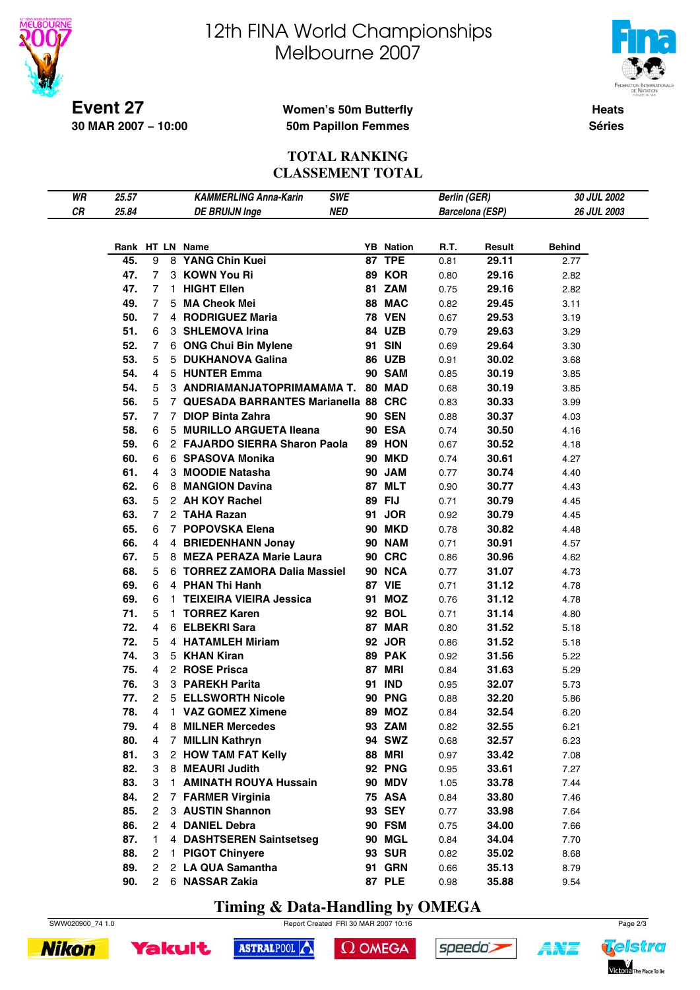



**Heats Séries**

#### **Event 27 30 MAR 2007 − 10:00**

### **Women's 50m Butterfly 50m Papillon Femmes**

#### **TOTAL RANKING CLASSEMENT TOTAL**

| WR | 25.57 |                 | <b>KAMMERLING Anna-Karin</b><br><b>SWE</b> |                  | <b>Berlin (GER)</b> |                        | 30 JUL 2002   |
|----|-------|-----------------|--------------------------------------------|------------------|---------------------|------------------------|---------------|
| CR | 25.84 |                 | <b>NED</b><br><b>DE BRUIJN Inge</b>        |                  |                     | <b>Barcelona (ESP)</b> | 26 JUL 2003   |
|    |       |                 |                                            |                  |                     |                        |               |
|    |       |                 | Rank HT LN Name                            | <b>YB</b> Nation | R.T.                | Result                 | <b>Behind</b> |
|    | 45.   | 9               | 8 YANG Chin Kuei                           | 87 TPE           | 0.81                | 29.11                  | 2.77          |
|    | 47.   | 7               | 3 KOWN You Ri                              | 89 KOR           | 0.80                | 29.16                  | 2.82          |
|    | 47.   | 7               | 1 HIGHT Ellen                              | 81 ZAM           | 0.75                | 29.16                  | 2.82          |
|    | 49.   | $7\overline{ }$ | 5 MA Cheok Mei                             | 88 MAC           | 0.82                | 29.45                  | 3.11          |
|    | 50.   | $7^{\circ}$     | 4 RODRIGUEZ Maria                          | <b>78 VEN</b>    | 0.67                | 29.53                  | 3.19          |
|    | 51.   | 6               | 3 SHLEMOVA Irina                           | <b>84 UZB</b>    | 0.79                | 29.63                  | 3.29          |
|    | 52.   | 7               | 6 ONG Chui Bin Mylene                      | 91 SIN           | 0.69                | 29.64                  | 3.30          |
|    | 53.   | 5.              | 5 DUKHANOVA Galina                         | <b>86 UZB</b>    | 0.91                | 30.02                  | 3.68          |
|    | 54.   | 4               | 5 HUNTER Emma                              | 90 SAM           | 0.85                | 30.19                  | 3.85          |
|    | 54.   | 5               | 3 ANDRIAMANJATOPRIMAMAMA T. 80 MAD         |                  | 0.68                | 30.19                  | 3.85          |
|    | 56.   | 5               | 7 QUESADA BARRANTES Marianella 88 CRC      |                  | 0.83                | 30.33                  | 3.99          |
|    | 57.   | $\overline{7}$  | 7 DIOP Binta Zahra                         | <b>90 SEN</b>    | 0.88                | 30.37                  | 4.03          |
|    | 58.   | 6.              | 5 MURILLO ARGUETA Ileana                   | <b>90 ESA</b>    | 0.74                | 30.50                  | 4.16          |
|    | 59.   | 6.              | 2 FAJARDO SIERRA Sharon Paola              | 89 HON           | 0.67                | 30.52                  | 4.18          |
|    | 60.   | 6               | 6 SPASOVA Monika                           | <b>90 MKD</b>    | 0.74                | 30.61                  | 4.27          |
|    | 61.   | 4               | 3 MOODIE Natasha                           | 90 JAM           | 0.77                | 30.74                  | 4.40          |
|    | 62.   | 6               | 8 MANGION Davina                           | 87 MLT           | 0.90                | 30.77                  | 4.43          |
|    | 63.   | 5.              | 2 AH KOY Rachel                            | 89 FIJ           | 0.71                | 30.79                  | 4.45          |
|    | 63.   | $7^{\circ}$     | 2 TAHA Razan                               | 91 JOR           | 0.92                | 30.79                  | 4.45          |
|    | 65.   | 6               | 7 POPOVSKA Elena                           | <b>90 MKD</b>    | 0.78                | 30.82                  | 4.48          |
|    | 66.   | 4               | 4 BRIEDENHANN Jonay                        | <b>90 NAM</b>    | 0.71                | 30.91                  | 4.57          |
|    | 67.   | 5.              | 8 MEZA PERAZA Marie Laura                  | <b>90 CRC</b>    | 0.86                | 30.96                  | 4.62          |
|    | 68.   | 5.              | 6 TORREZ ZAMORA Dalia Massiel              | 90 NCA           | 0.77                | 31.07                  | 4.73          |
|    | 69.   | 6               | 4 PHAN Thi Hanh                            | <b>87 VIE</b>    | 0.71                | 31.12                  | 4.78          |
|    | 69.   | 6               | 1 TEIXEIRA VIEIRA Jessica                  | 91 MOZ           | 0.76                | 31.12                  | 4.78          |
|    | 71.   | 5               | 1 TORREZ Karen                             | 92 BOL           | 0.71                | 31.14                  | 4.80          |
|    | 72.   | 4               | 6 ELBEKRI Sara                             | 87 MAR           | 0.80                | 31.52                  | 5.18          |
|    | 72.   | 5               | 4 HATAMLEH Miriam                          | 92 JOR           | 0.86                | 31.52                  | 5.18          |
|    | 74.   | 3.              | 5 KHAN Kiran                               | 89 PAK           | 0.92                | 31.56                  | 5.22          |
|    | 75.   | 4               | 2 ROSE Prisca                              | 87 MRI           | 0.84                | 31.63                  | 5.29          |
|    | 76.   | 3               | 3 PAREKH Parita                            | 91 IND           | 0.95                | 32.07                  | 5.73          |
|    | 77.   | $^{2}$          | 5 ELLSWORTH Nicole                         | <b>90 PNG</b>    | 0.88                | 32.20                  | 5.86          |
|    | 78.   | 4               | 1 VAZ GOMEZ Ximene                         | 89 MOZ           | 0.84                | 32.54                  | 6.20          |
|    | 79.   | 4               | 8 MILNER Mercedes                          | 93 ZAM           | 0.82                | 32.55                  | 6.21          |
|    | 80.   | 4               | 7 MILLIN Kathryn                           | 94 SWZ           | 0.68                | 32.57                  | 6.23          |
|    | 81.   | 3               | 2 HOW TAM FAT Kelly                        | <b>88 MRI</b>    | 0.97                | 33.42                  | 7.08          |
|    | 82.   | 3               | 8 MEAURI Judith                            | <b>92 PNG</b>    | 0.95                | 33.61                  | 7.27          |
|    | 83.   | 3               | 1 AMINATH ROUYA Hussain                    | <b>90 MDV</b>    | 1.05                | 33.78                  | 7.44          |
|    | 84.   | 2               | 7 FARMER Virginia                          | <b>75 ASA</b>    | 0.84                | 33.80                  | 7.46          |
|    | 85.   | 2               | 3 AUSTIN Shannon                           | 93 SEY           | 0.77                | 33.98                  | 7.64          |
|    | 86.   | 2               | 4 DANIEL Debra                             | 90 FSM           | 0.75                | 34.00                  | 7.66          |
|    | 87.   | 1.              | 4 DASHTSEREN Saintsetseg                   | 90 MGL           | 0.84                | 34.04                  | 7.70          |
|    | 88.   | 2               | 1 PIGOT Chinyere                           | <b>93 SUR</b>    | 0.82                | 35.02                  | 8.68          |
|    | 89.   | 2               | 2 LA QUA Samantha                          | <b>91 GRN</b>    | 0.66                | 35.13                  | 8.79          |
|    | 90.   | 2               | 6 NASSAR Zakia                             | <b>87 PLE</b>    | 0.98                | 35.88                  | 9.54          |

**Timing & Data-Handling by OMEGA**







```
\Omega OMEGA
```


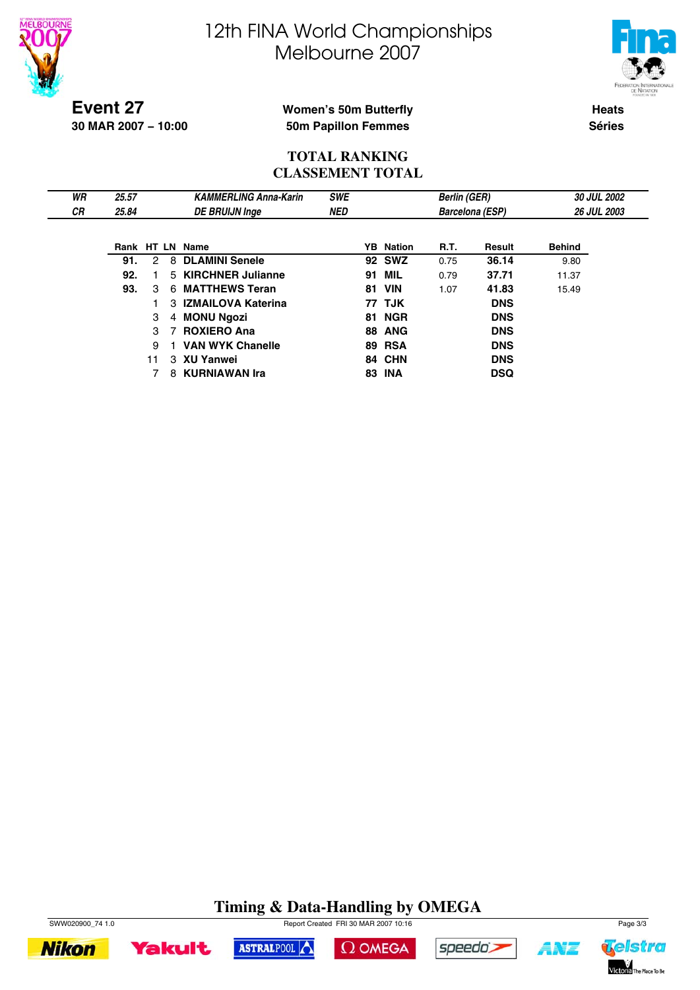



**Event 27 30 MAR 2007 − 10:00**

## **Women's 50m Butterfly 50m Papillon Femmes**

**Heats Séries**

### **TOTAL RANKING CLASSEMENT TOTAL**

| WR        | 25.57 |    |    | <b>KAMMERLING Anna-Karin</b> | <b>SWE</b> |    |                  | <b>Berlin (GER)</b> |                        |               | 30 JUL 2002        |
|-----------|-------|----|----|------------------------------|------------|----|------------------|---------------------|------------------------|---------------|--------------------|
| <b>CR</b> | 25.84 |    |    | <b>DE BRUIJN Inge</b>        | <b>NED</b> |    |                  |                     | <b>Barcelona (ESP)</b> |               | <b>26 JUL 2003</b> |
|           |       |    |    |                              |            |    |                  |                     |                        |               |                    |
|           |       |    |    | Rank HT LN Name              |            |    | <b>YB</b> Nation | R.T.                | Result                 | <b>Behind</b> |                    |
|           | 91.   | 2  | 8  | <b>DLAMINI Senele</b>        |            |    | <b>92 SWZ</b>    | 0.75                | 36.14                  | 9.80          |                    |
|           | 92.   |    |    | 5 KIRCHNER Julianne          |            |    | <b>91 MIL</b>    | 0.79                | 37.71                  | 11.37         |                    |
|           | 93.   | 3  | 6. | <b>MATTHEWS Teran</b>        |            | 81 | <b>VIN</b>       | 1.07                | 41.83                  | 15.49         |                    |
|           |       |    |    | 3 IZMAILOVA Katerina         |            |    | 77 TJK           |                     | <b>DNS</b>             |               |                    |
|           |       | 3  |    | 4 MONU Ngozi                 |            |    | <b>81 NGR</b>    |                     | <b>DNS</b>             |               |                    |
|           |       | 3  |    | <b>ROXIERO Ana</b>           |            |    | <b>88 ANG</b>    |                     | <b>DNS</b>             |               |                    |
|           |       | 9  |    | <b>VAN WYK Chanelle</b>      |            |    | <b>89 RSA</b>    |                     | <b>DNS</b>             |               |                    |
|           |       | 11 |    | 3 XU Yanwei                  |            |    | 84 CHN           |                     | <b>DNS</b>             |               |                    |
|           |       |    |    | 8 KURNIAWAN Ira              |            |    | <b>83 INA</b>    |                     | <b>DSQ</b>             |               |                    |

# **Timing & Data-Handling by OMEGA**









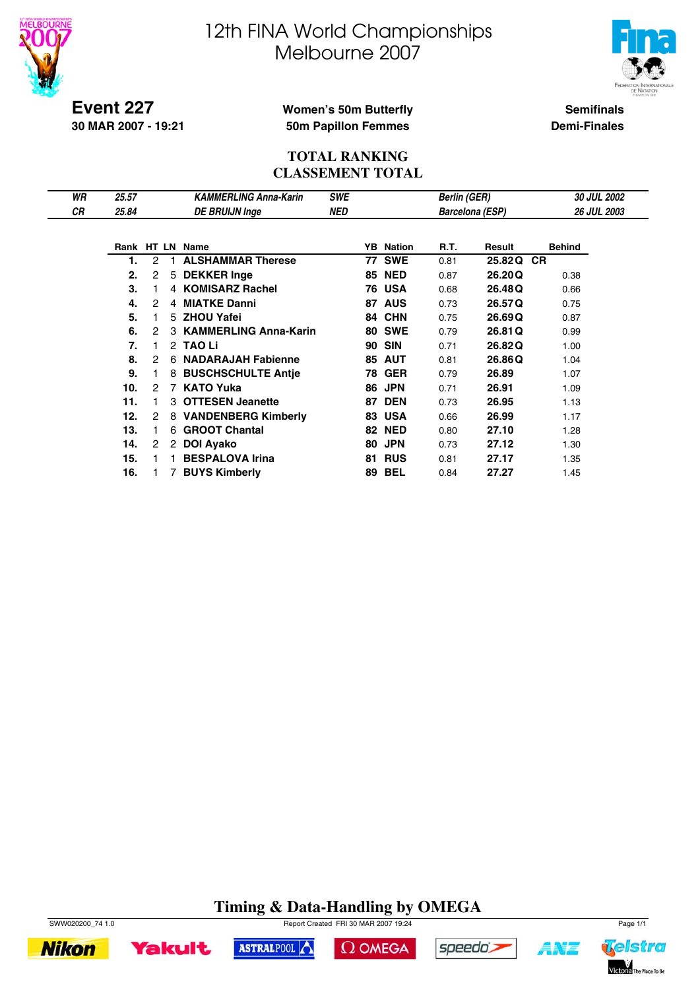



**Event 227 30 MAR 2007 - 19:21**

## **Women's 50m Butterfly 50m Papillon Femmes**

**Semifinals Demi-Finales**

### **TOTAL RANKING CLASSEMENT TOTAL**

| WR        | 25.57 |   |   | <b>KAMMERLING Anna-Karin</b> | <b>SWE</b> |    |                  | <b>Berlin (GER)</b> |                        | 30 JUL 2002        |  |
|-----------|-------|---|---|------------------------------|------------|----|------------------|---------------------|------------------------|--------------------|--|
| <b>CR</b> | 25.84 |   |   | <b>DE BRUIJN Inge</b>        | <b>NED</b> |    |                  |                     | <b>Barcelona (ESP)</b> | <b>26 JUL 2003</b> |  |
|           |       |   |   |                              |            |    |                  |                     |                        |                    |  |
|           |       |   |   | Rank HT LN Name              |            |    | <b>YB</b> Nation | R.T.                | Result                 | <b>Behind</b>      |  |
|           | 1.    | 2 |   | <b>ALSHAMMAR Therese</b>     |            | 77 | <b>SWE</b>       | 0.81                | 25.82Q CR              |                    |  |
|           | 2.    | 2 | 5 | <b>DEKKER Inge</b>           |            | 85 | <b>NED</b>       | 0.87                | 26,20Q                 | 0.38               |  |
|           | 3.    |   |   | 4 KOMISARZ Rachel            |            | 76 | USA              | 0.68                | 26.48Q                 | 0.66               |  |
|           | 4.    | 2 |   | 4 MIATKE Danni               |            | 87 | <b>AUS</b>       | 0.73                | 26.57Q                 | 0.75               |  |
|           | 5.    |   | 5 | <b>ZHOU Yafei</b>            |            | 84 | <b>CHN</b>       | 0.75                | 26.69Q                 | 0.87               |  |
|           | 6.    | 2 |   | <b>KAMMERLING Anna-Karin</b> |            | 80 | <b>SWE</b>       | 0.79                | 26.81Q                 | 0.99               |  |
|           | 7.    | 1 |   | 2 TAO Li                     |            | 90 | <b>SIN</b>       | 0.71                | 26.82Q                 | 1.00               |  |
|           | 8.    | 2 | 6 | <b>NADARAJAH Fabienne</b>    |            | 85 | <b>AUT</b>       | 0.81                | 26.86Q                 | 1.04               |  |
|           | 9.    |   | 8 | <b>BUSCHSCHULTE Antie</b>    |            | 78 | <b>GER</b>       | 0.79                | 26.89                  | 1.07               |  |
|           | 10.   | 2 | 7 | <b>KATO Yuka</b>             |            | 86 | <b>JPN</b>       | 0.71                | 26.91                  | 1.09               |  |
|           | 11.   |   |   | <b>OTTESEN Jeanette</b>      |            | 87 | <b>DEN</b>       | 0.73                | 26.95                  | 1.13               |  |
|           | 12.   | 2 | 8 | <b>VANDENBERG Kimberly</b>   |            | 83 | <b>USA</b>       | 0.66                | 26.99                  | 1.17               |  |
|           | 13.   | 1 | 6 | <b>GROOT Chantal</b>         |            | 82 | <b>NED</b>       | 0.80                | 27.10                  | 1.28               |  |
|           | 14.   | 2 |   | 2 DOI Ayako                  |            | 80 | <b>JPN</b>       | 0.73                | 27.12                  | 1.30               |  |
|           | 15.   |   |   | <b>BESPALOVA Irina</b>       |            | 81 | <b>RUS</b>       | 0.81                | 27.17                  | 1.35               |  |
|           | 16.   |   |   | <b>BUYS Kimberly</b>         |            | 89 | <b>BEL</b>       | 0.84                | 27.27                  | 1.45               |  |

# **Timing & Data-Handling by OMEGA**



**Nikon** 

SWW020200\_74 1.0 Report Created FRI 30 MAR 2007 19:24 Page 1/1







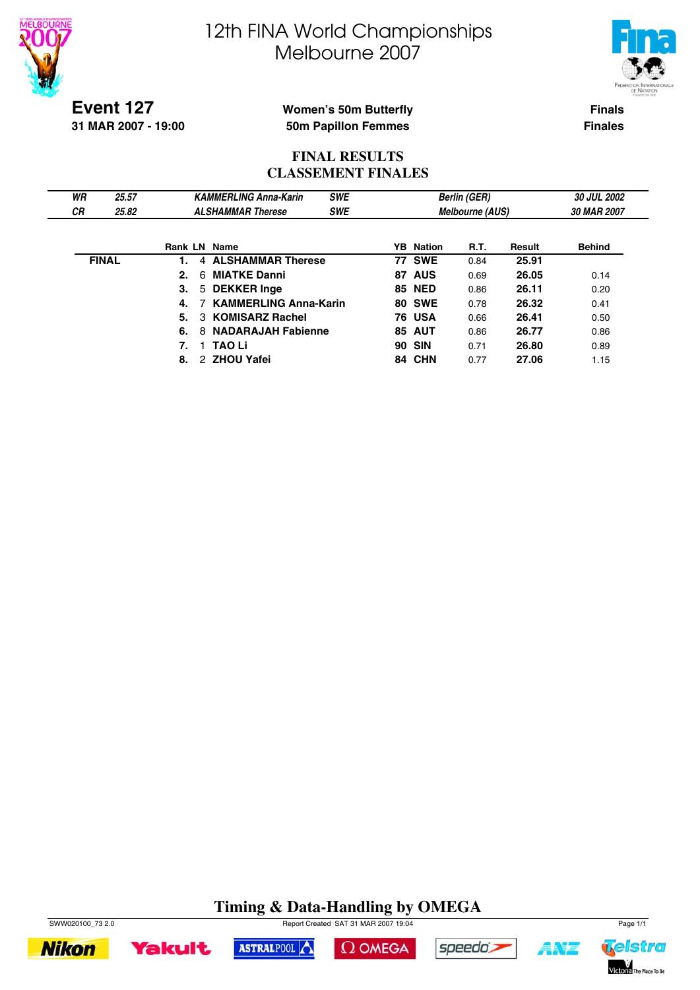



**Event 127 31 MAR 2007 - 19:00**

### **Women's 50m Butterfly 50m Papillon Femmes**

**Finals Finales**

## **FINAL RESULTS CLASSEMENT FINALES**

| WR           | 25.57 |    |                | <b>KAMMERLING Anna-Karin</b> | <b>SWE</b> |    |                  | <b>Berlin (GER)</b>    |        | 30 JUL 2002   |  |
|--------------|-------|----|----------------|------------------------------|------------|----|------------------|------------------------|--------|---------------|--|
| <b>CR</b>    | 25.82 |    |                | <b>ALSHAMMAR Therese</b>     | <b>SWE</b> |    |                  | <b>Melbourne (AUS)</b> |        | 30 MAR 2007   |  |
|              |       |    |                |                              |            |    |                  |                        |        |               |  |
|              |       |    |                | <b>Rank LN Name</b>          |            |    | <b>YB</b> Nation | R.T.                   | Result | <b>Behind</b> |  |
| <b>FINAL</b> |       |    | $\overline{4}$ | <b>ALSHAMMAR Therese</b>     |            |    | <b>77 SWE</b>    | 0.84                   | 25.91  |               |  |
|              |       | 2. | 6              | <b>MIATKE Danni</b>          |            | 87 | <b>AUS</b>       | 0.69                   | 26.05  | 0.14          |  |
|              |       | З. |                | 5 DEKKER Inge                |            |    | <b>85 NED</b>    | 0.86                   | 26.11  | 0.20          |  |
|              |       | 4. |                | <b>KAMMERLING Anna-Karin</b> |            |    | <b>80 SWE</b>    | 0.78                   | 26.32  | 0.41          |  |
|              |       | 5. |                | 3 KOMISARZ Rachel            |            |    | <b>76 USA</b>    | 0.66                   | 26.41  | 0.50          |  |
|              |       | 6. | 8              | <b>NADARAJAH Fabienne</b>    |            |    | <b>85 AUT</b>    | 0.86                   | 26.77  | 0.86          |  |
|              |       | 7. |                | <b>TAO Li</b>                |            |    | <b>90 SIN</b>    | 0.71                   | 26.80  | 0.89          |  |
|              |       | 8. |                | 2 ZHOU Yafei                 |            |    | 84 CHN           | 0.77                   | 27.06  | 1.15          |  |

# **Timing & Data-Handling by OMEGA**









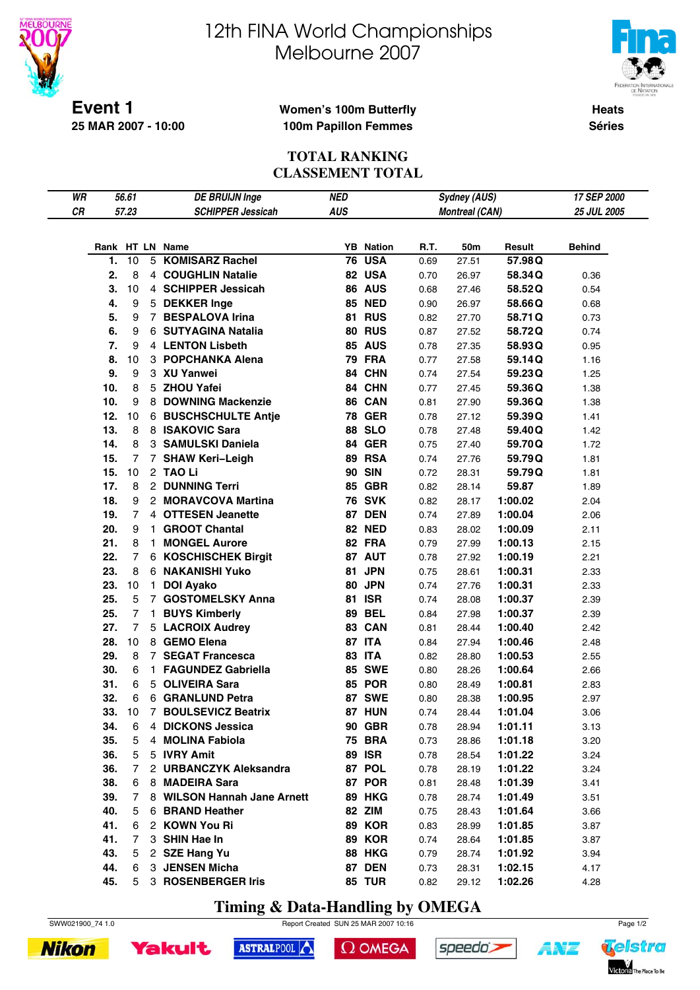

**25 MAR 2007 - 10:00**

# 12th FINA World Championships Melbourne 2007



**Heats Séries**

### **Women's 100m Butterfly 100m Papillon Femmes**

## **TOTAL RANKING CLASSEMENT TOTAL**

| WR |     | 56.61          |    | <b>DE BRUIJN Inge</b>       | <b>NED</b> |                  |      | Sydney (AUS)          |         | 17 SEP 2000   |
|----|-----|----------------|----|-----------------------------|------------|------------------|------|-----------------------|---------|---------------|
| CR |     | 57.23          |    | <b>SCHIPPER Jessicah</b>    | <b>AUS</b> |                  |      | <b>Montreal (CAN)</b> |         | 25 JUL 2005   |
|    |     |                |    |                             |            |                  |      |                       |         |               |
|    |     |                |    |                             |            |                  |      |                       |         |               |
|    |     |                |    | Rank HT LN Name             |            | <b>YB</b> Nation | R.T. | 50m                   | Result  | <b>Behind</b> |
|    | 1.  | 10             |    | 5 KOMISARZ Rachel           |            | <b>76 USA</b>    | 0.69 | 27.51                 | 57.98Q  |               |
|    | 2.  | 8              |    | 4 COUGHLIN Natalie          |            | 82 USA           | 0.70 | 26.97                 | 58.34Q  | 0.36          |
|    | 3.  | 10             |    | 4 SCHIPPER Jessicah         |            | <b>86 AUS</b>    | 0.68 | 27.46                 | 58.52Q  | 0.54          |
|    | 4.  | 9              |    | 5 DEKKER Inge               |            | <b>85 NED</b>    | 0.90 | 26.97                 | 58.66Q  | 0.68          |
|    | 5.  | 9              |    | 7 BESPALOVA Irina           |            | <b>81 RUS</b>    | 0.82 | 27.70                 | 58.71Q  | 0.73          |
|    | 6.  | 9              |    | 6 SUTYAGINA Natalia         |            | <b>80 RUS</b>    | 0.87 | 27.52                 | 58.72Q  | 0.74          |
|    | 7.  | 9              |    | 4 LENTON Lisbeth            |            | <b>85 AUS</b>    | 0.78 | 27.35                 | 58.93Q  | 0.95          |
|    | 8.  | 10             |    | 3 POPCHANKA Alena           |            | <b>79 FRA</b>    | 0.77 | 27.58                 | 59.14Q  | 1.16          |
|    | 9.  | 9              |    | 3 XU Yanwei                 |            | 84 CHN           | 0.74 | 27.54                 | 59.23Q  | 1.25          |
|    | 10. | 8              |    | 5 ZHOU Yafei                |            | 84 CHN           | 0.77 | 27.45                 | 59.36Q  | 1.38          |
|    | 10. | 9              |    | 8 DOWNING Mackenzie         |            | 86 CAN           | 0.81 | 27.90                 | 59.36Q  | 1.38          |
|    | 12. | 10             |    | 6 BUSCHSCHULTE Antje        |            | <b>78 GER</b>    | 0.78 | 27.12                 | 59.39Q  | 1.41          |
|    | 13. | 8              |    | 8 ISAKOVIC Sara             |            | 88 SLO           | 0.78 | 27.48                 | 59.40Q  | 1.42          |
|    | 14. | 8              |    | 3 SAMULSKI Daniela          |            | <b>84 GER</b>    | 0.75 | 27.40                 | 59.70Q  | 1.72          |
|    | 15. | 7              |    | 7 SHAW Keri-Leigh           |            | <b>89 RSA</b>    | 0.74 | 27.76                 | 59.79Q  | 1.81          |
|    | 15. | 10             |    | 2 TAO Li                    |            | <b>90 SIN</b>    | 0.72 | 28.31                 | 59.79Q  | 1.81          |
|    | 17. | 8              |    | 2 DUNNING Terri             |            | <b>85 GBR</b>    | 0.82 | 28.14                 | 59.87   | 1.89          |
|    | 18. | 9              |    | 2 MORAVCOVA Martina         |            | <b>76 SVK</b>    | 0.82 | 28.17                 | 1:00.02 | 2.04          |
|    | 19. | $\overline{7}$ |    | 4 OTTESEN Jeanette          |            | <b>87 DEN</b>    | 0.74 | 27.89                 | 1:00.04 | 2.06          |
|    | 20. | 9              | 1. | <b>GROOT Chantal</b>        |            | <b>82 NED</b>    | 0.83 | 28.02                 | 1:00.09 | 2.11          |
|    | 21. | 8              | 1. | <b>MONGEL Aurore</b>        |            | 82 FRA           | 0.79 | 27.99                 | 1:00.13 | 2.15          |
|    | 22. | 7              |    | <b>6 KOSCHISCHEK Birgit</b> |            | 87 AUT           | 0.78 | 27.92                 | 1:00.19 | 2.21          |
|    | 23. | 8              |    | <b>6 NAKANISHI Yuko</b>     |            | 81 JPN           | 0.75 | 28.61                 | 1:00.31 | 2.33          |
|    | 23. | 10             | 1. | <b>DOI Ayako</b>            |            | 80 JPN           | 0.74 | 27.76                 | 1:00.31 | 2.33          |
|    | 25. | 5              |    | 7 GOSTOMELSKY Anna          |            | <b>81 ISR</b>    | 0.74 | 28.08                 | 1:00.37 | 2.39          |
|    | 25. | $\overline{7}$ |    | 1 BUYS Kimberly             |            | <b>89 BEL</b>    | 0.84 | 27.98                 | 1:00.37 | 2.39          |
|    | 27. | $\overline{7}$ |    | 5 LACROIX Audrey            |            | 83 CAN           | 0.81 | 28.44                 | 1:00.40 | 2.42          |
|    | 28. | 10             |    | 8 GEMO Elena                |            | 87 ITA           | 0.84 | 27.94                 | 1:00.46 | 2.48          |
|    | 29. | 8              |    | 7 SEGAT Francesca           |            | <b>83 ITA</b>    |      |                       |         |               |
|    |     |                |    |                             |            |                  | 0.82 | 28.80                 | 1:00.53 | 2.55          |
|    | 30. | 6              |    | 1 FAGUNDEZ Gabriella        |            | <b>85 SWE</b>    | 0.80 | 28.26                 | 1:00.64 | 2.66          |
|    | 31. | 6              |    | 5 OLIVEIRA Sara             |            | <b>85 POR</b>    | 0.80 | 28.49                 | 1:00.81 | 2.83          |
|    | 32. | 6              |    | 6 GRANLUND Petra            |            | <b>87 SWE</b>    | 0.80 | 28.38                 | 1:00.95 | 2.97          |
|    | 33. | 10             |    | 7 BOULSEVICZ Beatrix        |            | <b>87 HUN</b>    | 0.74 | 28.44                 | 1:01.04 | 3.06          |
|    | 34. | 6              |    | 4 DICKONS Jessica           |            | <b>90 GBR</b>    | 0.78 | 28.94                 | 1:01.11 | 3.13          |
|    | 35. | 5              |    | 4 MOLINA Fabiola            |            | <b>75 BRA</b>    | 0.73 | 28.86                 | 1:01.18 | 3.20          |
|    | 36. | 5              |    | 5 IVRY Amit                 |            | <b>89 ISR</b>    | 0.78 | 28.54                 | 1:01.22 | 3.24          |
|    | 36. | 7              |    | 2 URBANCZYK Aleksandra      |            | 87 POL           | 0.78 | 28.19                 | 1:01.22 | 3.24          |
|    | 38. | 6              |    | 8 MADEIRA Sara              |            | 87 POR           | 0.81 | 28.48                 | 1:01.39 | 3.41          |
|    | 39. | 7              |    | 8 WILSON Hannah Jane Arnett |            | <b>89 HKG</b>    | 0.78 | 28.74                 | 1:01.49 | 3.51          |
|    | 40. | 5              |    | 6 BRAND Heather             |            | 82 ZIM           | 0.75 | 28.43                 | 1:01.64 | 3.66          |
|    | 41. | 6              |    | 2 KOWN You Ri               |            | <b>89 KOR</b>    | 0.83 | 28.99                 | 1:01.85 | 3.87          |
|    | 41. | 7              |    | 3 SHIN Hae In               |            | <b>89 KOR</b>    | 0.74 | 28.64                 | 1:01.85 | 3.87          |
|    | 43. | 5              |    | 2 SZE Hang Yu               |            | <b>88 HKG</b>    | 0.79 | 28.74                 | 1:01.92 | 3.94          |
|    | 44. | 6              |    | 3 JENSEN Micha              |            | <b>87 DEN</b>    | 0.73 | 28.31                 | 1:02.15 | 4.17          |
|    | 45. |                |    | 5 3 ROSENBERGER Iris        |            | <b>85 TUR</b>    | 0.82 | 29.12                 | 1:02.26 | 4.28          |

**Timing & Data-Handling by OMEGA**





**Yakult** 



```
\Omega OMEGA
```




**ANT**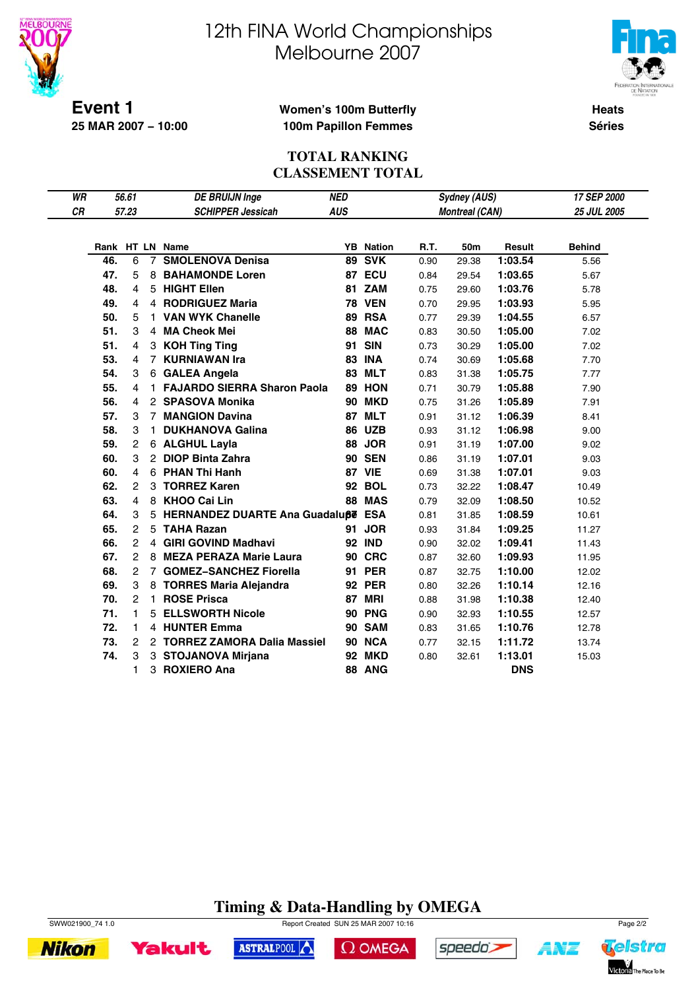

**25 MAR 2007 − 10:00**

# 12th FINA World Championships Melbourne 2007



**Heats Séries**

### **Women's 100m Butterfly 100m Papillon Femmes**

### **TOTAL RANKING CLASSEMENT TOTAL**

| WR |     | 56.61          | <b>DE BRUIJN Inge</b><br><b>SCHIPPER Jessicah</b> |                                      | <b>NED</b> |                  |      | <b>Sydney (AUS)</b>   |            | 17 SEP 2000        |
|----|-----|----------------|---------------------------------------------------|--------------------------------------|------------|------------------|------|-----------------------|------------|--------------------|
| CR |     | 57.23          |                                                   |                                      | <b>AUS</b> |                  |      | <b>Montreal (CAN)</b> |            | <b>25 JUL 2005</b> |
|    |     |                |                                                   |                                      |            |                  |      |                       |            |                    |
|    |     |                |                                                   | Rank HT LN Name                      |            | <b>YB</b> Nation | R.T. | 50m                   | Result     | <b>Behind</b>      |
|    | 46. | 6              | $7^{\circ}$                                       | <b>SMOLENOVA Denisa</b>              |            | <b>89 SVK</b>    | 0.90 | 29.38                 | 1:03.54    | 5.56               |
|    | 47. | 5              | 8                                                 | <b>BAHAMONDE Loren</b>               |            | 87 ECU           | 0.84 | 29.54                 | 1:03.65    | 5.67               |
|    | 48. | 4              |                                                   | 5 HIGHT Ellen                        |            | 81 ZAM           | 0.75 | 29.60                 | 1:03.76    | 5.78               |
|    | 49. | 4              |                                                   | 4 RODRIGUEZ Maria                    |            | <b>78 VEN</b>    | 0.70 | 29.95                 | 1:03.93    | 5.95               |
|    | 50. | 5              | 1.                                                | <b>VAN WYK Chanelle</b>              |            | 89 RSA           | 0.77 | 29.39                 | 1:04.55    | 6.57               |
|    | 51. | 3              | 4                                                 | <b>MA Cheok Mei</b>                  |            | 88 MAC           | 0.83 | 30.50                 | 1:05.00    | 7.02               |
|    | 51. | 4              | 3                                                 | <b>KOH Ting Ting</b>                 |            | 91 SIN           | 0.73 | 30.29                 | 1:05.00    | 7.02               |
|    | 53. | 4              | 7                                                 | <b>KURNIAWAN Ira</b>                 |            | <b>83 INA</b>    | 0.74 | 30.69                 | 1:05.68    | 7.70               |
|    | 54. | 3              |                                                   | 6 GALEA Angela                       |            | 83 MLT           | 0.83 | 31.38                 | 1:05.75    | 7.77               |
|    | 55. | 4              | 1.                                                | <b>FAJARDO SIERRA Sharon Paola</b>   | 89         | <b>HON</b>       | 0.71 | 30.79                 | 1:05.88    | 7.90               |
|    | 56. | 4              |                                                   | 2 SPASOVA Monika                     |            | <b>90 MKD</b>    | 0.75 | 31.26                 | 1:05.89    | 7.91               |
|    | 57. | 3              |                                                   | 7 MANGION Davina                     |            | <b>87 MLT</b>    | 0.91 | 31.12                 | 1:06.39    | 8.41               |
|    | 58. | 3              | 1.                                                | <b>DUKHANOVA Galina</b>              |            | <b>86 UZB</b>    | 0.93 | 31.12                 | 1:06.98    | 9.00               |
|    | 59. | 2              |                                                   | 6 ALGHUL Layla                       |            | 88 JOR           | 0.91 | 31.19                 | 1:07.00    | 9.02               |
|    | 60. | 3              |                                                   | 2 DIOP Binta Zahra                   |            | <b>90 SEN</b>    | 0.86 | 31.19                 | 1:07.01    | 9.03               |
|    | 60. | 4              |                                                   | 6 PHAN Thi Hanh                      |            | <b>87 VIE</b>    | 0.69 | 31.38                 | 1:07.01    | 9.03               |
|    | 62. | 2              |                                                   | 3 TORREZ Karen                       |            | <b>92 BOL</b>    | 0.73 | 32.22                 | 1:08.47    | 10.49              |
|    | 63. | 4              |                                                   | 8 KHOO Cai Lin                       |            | 88 MAS           | 0.79 | 32.09                 | 1:08.50    | 10.52              |
|    | 64. | 3              |                                                   | 5 HERNANDEZ DUARTE Ana Guadaluße ESA |            |                  | 0.81 | 31.85                 | 1:08.59    | 10.61              |
|    | 65. | $\overline{c}$ | 5                                                 | <b>TAHA Razan</b>                    |            | 91 JOR           | 0.93 | 31.84                 | 1:09.25    | 11.27              |
|    | 66. | 2              |                                                   | 4 GIRI GOVIND Madhavi                |            | <b>92 IND</b>    | 0.90 | 32.02                 | 1:09.41    | 11.43              |
|    | 67. | 2              | 8                                                 | <b>MEZA PERAZA Marie Laura</b>       |            | <b>90 CRC</b>    | 0.87 | 32.60                 | 1:09.93    | 11.95              |
|    | 68. | $\overline{c}$ |                                                   | 7 GOMEZ-SANCHEZ Fiorella             |            | <b>91 PER</b>    | 0.87 | 32.75                 | 1:10.00    | 12.02              |
|    | 69. | 3              | 8                                                 | <b>TORRES Maria Alejandra</b>        |            | <b>92 PER</b>    | 0.80 | 32.26                 | 1:10.14    | 12.16              |
|    | 70. | $\overline{c}$ | 1.                                                | <b>ROSE Prisca</b>                   |            | <b>87 MRI</b>    | 0.88 | 31.98                 | 1:10.38    | 12.40              |
|    | 71. | 1              | 5.                                                | <b>ELLSWORTH Nicole</b>              |            | 90 PNG           | 0.90 | 32.93                 | 1:10.55    | 12.57              |
|    | 72. | 1              |                                                   | 4 HUNTER Emma                        |            | <b>90 SAM</b>    | 0.83 | 31.65                 | 1:10.76    | 12.78              |
|    | 73. | 2              |                                                   | 2 TORREZ ZAMORA Dalia Massiel        |            | 90 NCA           | 0.77 | 32.15                 | 1:11.72    | 13.74              |
|    | 74. | 3              |                                                   | 3 STOJANOVA Mirjana                  |            | <b>92 MKD</b>    | 0.80 | 32.61                 | 1:13.01    | 15.03              |
|    |     | 1              | 3                                                 | <b>ROXIERO Ana</b>                   |            | <b>88 ANG</b>    |      |                       | <b>DNS</b> |                    |

# **Timing & Data-Handling by OMEGA**





SWW021900\_74 1.0 Report Created SUN 25 MAR 2007 10:16 Page 2/2

ASTRALPOOL



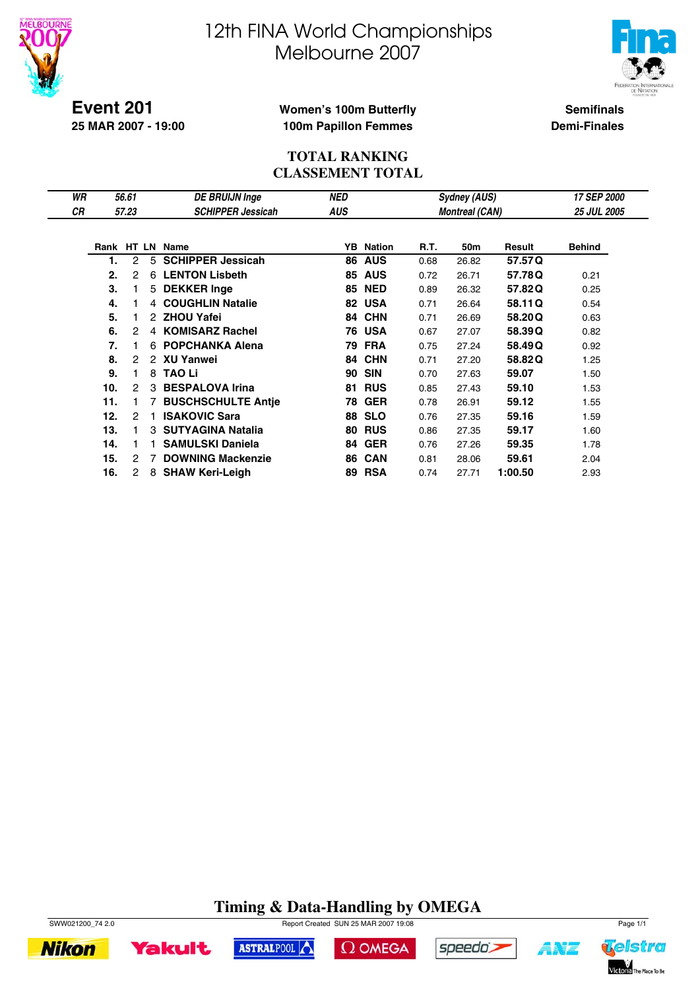



**Event 201 25 MAR 2007 - 19:00**

## **Women's 100m Butterfly 100m Papillon Femmes**

**Semifinals Demi-Finales**

### **TOTAL RANKING CLASSEMENT TOTAL**

| WR |     | 56.61          |               | <b>DE BRUIJN Inge</b>     | <b>NED</b> |                  |      | Sydney (AUS)          |         | 17 SEP 2000        |
|----|-----|----------------|---------------|---------------------------|------------|------------------|------|-----------------------|---------|--------------------|
| СR |     | 57.23          |               | <b>SCHIPPER Jessicah</b>  | <b>AUS</b> |                  |      | <b>Montreal (CAN)</b> |         | <b>25 JUL 2005</b> |
|    |     |                |               |                           |            |                  |      |                       |         |                    |
|    |     |                |               | Rank HT LN Name           |            | <b>YB</b> Nation | R.T. | 50m                   | Result  | <b>Behind</b>      |
|    | 1.  | 2              | 5             | <b>SCHIPPER Jessicah</b>  | 86         | <b>AUS</b>       | 0.68 | 26.82                 | 57.57Q  |                    |
|    | 2.  | 2              | 6             | <b>LENTON Lisbeth</b>     | 85         | <b>AUS</b>       | 0.72 | 26.71                 | 57.78Q  | 0.21               |
|    | 3.  | 1              | 5             | <b>DEKKER Inge</b>        | 85         | <b>NED</b>       | 0.89 | 26.32                 | 57.82Q  | 0.25               |
|    | 4.  |                | 4             | <b>COUGHLIN Natalie</b>   |            | 82 USA           | 0.71 | 26.64                 | 58.11Q  | 0.54               |
|    | 5.  |                | 2             | <b>ZHOU Yafei</b>         | 84         | <b>CHN</b>       | 0.71 | 26.69                 | 58.20Q  | 0.63               |
|    | 6.  | 2              | 4             | <b>KOMISARZ Rachel</b>    | 76         | <b>USA</b>       | 0.67 | 27.07                 | 58.39Q  | 0.82               |
|    | 7.  | 1.             | 6             | <b>POPCHANKA Alena</b>    | 79         | <b>FRA</b>       | 0.75 | 27.24                 | 58.49Q  | 0.92               |
|    | 8.  | 2              | $\mathcal{P}$ | XU Yanwei                 | 84         | <b>CHN</b>       | 0.71 | 27.20                 | 58.82Q  | 1.25               |
|    | 9.  | 1.             | 8             | <b>TAO Li</b>             | 90         | <b>SIN</b>       | 0.70 | 27.63                 | 59.07   | 1.50               |
|    | 10. | $\overline{c}$ | 3             | <b>BESPALOVA Irina</b>    | 81         | <b>RUS</b>       | 0.85 | 27.43                 | 59.10   | 1.53               |
|    | 11. | 1.             |               | <b>BUSCHSCHULTE Antie</b> | 78         | <b>GER</b>       | 0.78 | 26.91                 | 59.12   | 1.55               |
|    | 12. | 2              |               | <b>ISAKOVIC Sara</b>      | 88         | <b>SLO</b>       | 0.76 | 27.35                 | 59.16   | 1.59               |
|    | 13. | 1.             | 3             | <b>SUTYAGINA Natalia</b>  | 80         | <b>RUS</b>       | 0.86 | 27.35                 | 59.17   | 1.60               |
|    | 14. | 1.             |               | <b>SAMULSKI Daniela</b>   | 84         | <b>GER</b>       | 0.76 | 27.26                 | 59.35   | 1.78               |
|    | 15. | 2              |               | <b>DOWNING Mackenzie</b>  | 86         | <b>CAN</b>       | 0.81 | 28.06                 | 59.61   | 2.04               |
|    | 16. | 2              | 8             | <b>SHAW Keri-Leigh</b>    | 89         | <b>RSA</b>       | 0.74 | 27.71                 | 1:00.50 | 2.93               |

# **Timing & Data-Handling by OMEGA**





 $\Omega$  OMEGA



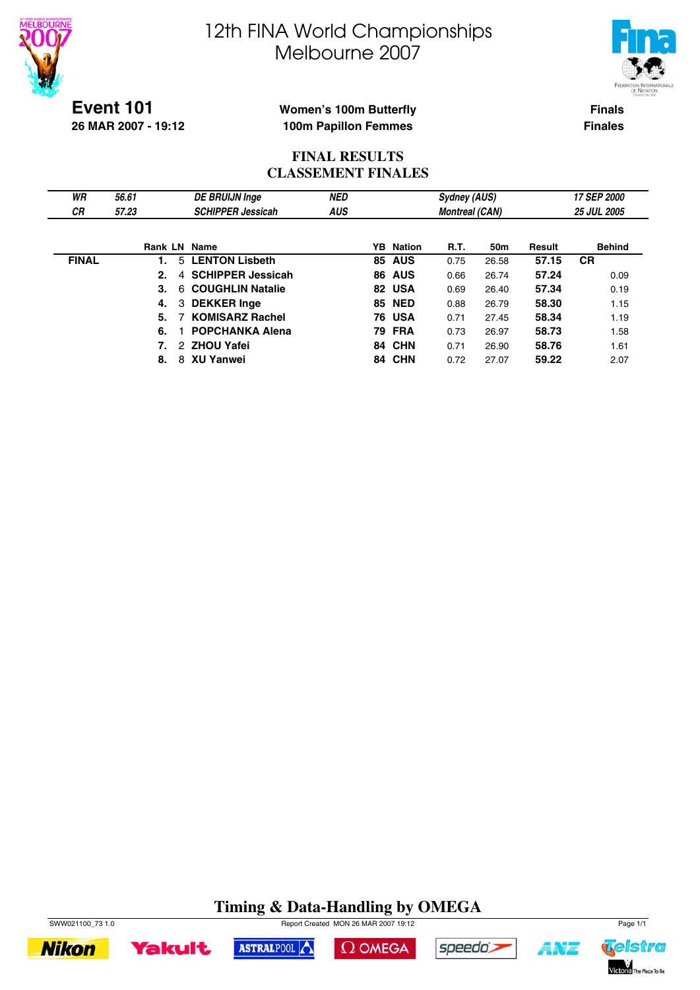



**Event 101 26 MAR 2007 - 19:12**

## **Women's 100m Butterfly 100m Papillon Femmes**

**Finals Finales**

## **FINAL RESULTS CLASSEMENT FINALES**

| WR           | 56.61               | <b>DE BRUIJN Inge</b>    | <b>NED</b> | <b>Sydney (AUS)</b> |                  |                       |       | 17 SEP 2000 |                    |  |
|--------------|---------------------|--------------------------|------------|---------------------|------------------|-----------------------|-------|-------------|--------------------|--|
| СR           | 57.23               | <b>SCHIPPER Jessicah</b> | <b>AUS</b> |                     |                  | <b>Montreal (CAN)</b> |       |             | <b>25 JUL 2005</b> |  |
|              |                     |                          |            |                     |                  |                       |       |             |                    |  |
|              | <b>Rank LN Name</b> |                          |            |                     | <b>YB</b> Nation | R.T.                  | 50m   | Result      | <b>Behind</b>      |  |
| <b>FINAL</b> |                     | 5 LENTON Lisbeth         |            | 85                  | <b>AUS</b>       | 0.75                  | 26.58 | 57.15       | <b>CR</b>          |  |
|              | 2.<br>4             | <b>SCHIPPER Jessicah</b> |            |                     | <b>86 AUS</b>    | 0.66                  | 26.74 | 57.24       | 0.09               |  |
|              | 3.<br>6.            | <b>COUGHLIN Natalie</b>  |            |                     | 82 USA           | 0.69                  | 26.40 | 57.34       | 0.19               |  |
|              | 4.                  | 3 DEKKER Inge            |            |                     | <b>85 NED</b>    | 0.88                  | 26.79 | 58.30       | 1.15               |  |
|              | 5.                  | <b>KOMISARZ Rachel</b>   |            |                     | <b>76 USA</b>    | 0.71                  | 27.45 | 58.34       | 1.19               |  |
|              | 6.                  | <b>POPCHANKA Alena</b>   |            |                     | <b>79 FRA</b>    | 0.73                  | 26.97 | 58.73       | 1.58               |  |
|              |                     | 2 ZHOU Yafei             |            |                     | 84 CHN           | 0.71                  | 26.90 | 58.76       | 1.61               |  |
|              | 8.                  | 8 XU Yanwei              |            |                     | <b>84 CHN</b>    | 0.72                  | 27.07 | 59.22       | 2.07               |  |

# **Timing & Data-Handling by OMEGA**

 $\Omega$  OMEGA

speedo's

ASTRALPOOL



**Yakult** 

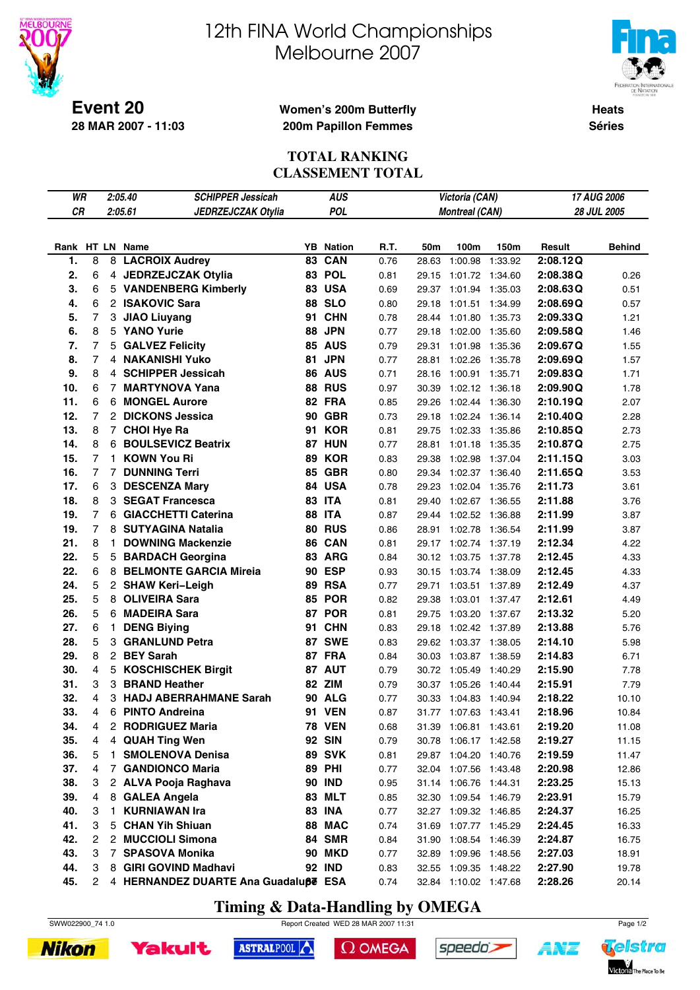

**28 MAR 2007 - 11:03**

# 12th FINA World Championships Melbourne 2007



**Heats Séries**

### **Women's 200m Butterfly 200m Papillon Femmes**

## **TOTAL RANKING CLASSEMENT TOTAL**

| WR        |                |                | 2:05.40<br><b>SCHIPPER Jessicah</b>  | <b>AUS</b> | 17 AUG 2006<br>Victoria (CAN) |      |       |                       |         |          |               |
|-----------|----------------|----------------|--------------------------------------|------------|-------------------------------|------|-------|-----------------------|---------|----------|---------------|
| <b>CR</b> |                |                | 2:05.61<br>JEDRZEJCZAK Otylia        |            | <b>POL</b>                    |      |       | <b>Montreal (CAN)</b> |         |          | 28 JUL 2005   |
|           |                |                |                                      |            |                               |      |       |                       |         |          |               |
|           |                |                | Rank HT LN Name                      |            | <b>YB</b> Nation              | R.T. | 50m   | 100m                  | 150m    | Result   | <b>Behind</b> |
| 1.        | 8              | 8              | <b>LACROIX Audrey</b>                | 83         | CAN                           | 0.76 | 28.63 | 1:00.98               | 1:33.92 | 2:08.12Q |               |
| 2.        | 6              |                | 4 JEDRZEJCZAK Otylia                 | 83         | <b>POL</b>                    | 0.81 | 29.15 | 1:01.72               | 1:34.60 | 2:08.38Q | 0.26          |
| 3.        | 6              |                | 5 VANDENBERG Kimberly                |            | <b>83 USA</b>                 | 0.69 | 29.37 | 1:01.94               | 1:35.03 | 2:08.63Q | 0.51          |
| 4.        | 6              |                | 2 ISAKOVIC Sara                      |            | 88 SLO                        | 0.80 | 29.18 | 1:01.51 1:34.99       |         | 2:08.69Q | 0.57          |
| 5.        | $\overline{7}$ | 3              | <b>JIAO Liuyang</b>                  | 91         | <b>CHN</b>                    | 0.78 | 28.44 | 1:01.80               | 1:35.73 | 2:09.33Q | 1.21          |
| 6.        | 8              |                | 5 YANO Yurie                         | 88         | <b>JPN</b>                    | 0.77 | 29.18 | 1:02.00               | 1:35.60 | 2:09.58Q | 1.46          |
| 7.        | $\overline{7}$ |                | 5 GALVEZ Felicity                    |            | <b>85 AUS</b>                 | 0.79 | 29.31 | 1:01.98               | 1:35.36 | 2:09.67Q | 1.55          |
| 8.        | $\overline{7}$ |                | 4 NAKANISHI Yuko                     | 81         | <b>JPN</b>                    | 0.77 | 28.81 | 1:02.26               | 1:35.78 | 2:09.69Q | 1.57          |
| 9.        | 8              |                | 4 SCHIPPER Jessicah                  |            | 86 AUS                        | 0.71 | 28.16 | 1:00.91 1:35.71       |         | 2:09.83Q | 1.71          |
| 10.       | 6              | $\overline{7}$ | <b>MARTYNOVA Yana</b>                |            | <b>88 RUS</b>                 | 0.97 | 30.39 | 1:02.12               | 1:36.18 | 2:09.90Q | 1.78          |
| 11.       | 6              |                | 6 MONGEL Aurore                      |            | 82 FRA                        | 0.85 | 29.26 | 1:02.44 1:36.30       |         | 2:10.19Q | 2.07          |
| 12.       | $\overline{7}$ |                | 2 DICKONS Jessica                    |            | <b>90 GBR</b>                 | 0.73 | 29.18 | 1:02.24 1:36.14       |         | 2:10.40Q | 2.28          |
| 13.       | 8              |                | 7 CHOI Hye Ra                        | 91         | <b>KOR</b>                    | 0.81 | 29.75 | 1:02.33               | 1:35.86 | 2:10.85Q | 2.73          |
| 14.       | 8              |                | 6 BOULSEVICZ Beatrix                 |            | <b>87 HUN</b>                 | 0.77 | 28.81 | 1:01.18               | 1:35.35 | 2:10.87Q | 2.75          |
| 15.       | 7              | 1.             | <b>KOWN You Ri</b>                   | 89         | <b>KOR</b>                    | 0.83 | 29.38 | 1:02.98               | 1:37.04 | 2:11.15Q | 3.03          |
| 16.       | $\overline{7}$ |                | <b>7 DUNNING Terri</b>               |            | <b>85 GBR</b>                 | 0.80 | 29.34 | 1:02.37 1:36.40       |         | 2:11.65Q | 3.53          |
| 17.       | 6              |                | 3 DESCENZA Mary                      | 84         | <b>USA</b>                    | 0.78 | 29.23 | 1:02.04               | 1:35.76 | 2:11.73  | 3.61          |
| 18.       | 8              |                | 3 SEGAT Francesca                    |            | 83 ITA                        | 0.81 | 29.40 | 1:02.67 1:36.55       |         | 2:11.88  | 3.76          |
| 19.       | $\overline{7}$ |                | 6 GIACCHETTI Caterina                |            | <b>88 ITA</b>                 | 0.87 | 29.44 | 1:02.52               | 1:36.88 | 2:11.99  | 3.87          |
| 19.       | $\overline{7}$ |                | 8 SUTYAGINA Natalia                  |            | <b>80 RUS</b>                 | 0.86 | 28.91 | 1:02.78               | 1:36.54 | 2:11.99  | 3.87          |
| 21.       | 8              | 1.             | <b>DOWNING Mackenzie</b>             |            | 86 CAN                        | 0.81 | 29.17 | 1:02.74 1:37.19       |         | 2:12.34  | 4.22          |
| 22.       | 5              |                | 5 BARDACH Georgina                   |            | 83 ARG                        | 0.84 | 30.12 | 1:03.75               | 1:37.78 | 2:12.45  | 4.33          |
| 22.       | 6              | 8              | <b>BELMONTE GARCIA Mireia</b>        |            | 90 ESP                        | 0.93 | 30.15 | 1:03.74               | 1:38.09 | 2:12.45  | 4.33          |
| 24.       | 5              |                | 2 SHAW Keri-Leigh                    | 89         | <b>RSA</b>                    | 0.77 | 29.71 | 1:03.51               | 1:37.89 | 2:12.49  | 4.37          |
| 25.       | 5              | 8              | <b>OLIVEIRA Sara</b>                 |            | <b>85 POR</b>                 | 0.82 | 29.38 | 1:03.01 1:37.47       |         | 2:12.61  | 4.49          |
| 26.       | 5              |                | 6 MADEIRA Sara                       |            | <b>87 POR</b>                 | 0.81 | 29.75 | 1:03.20 1:37.67       |         | 2:13.32  | 5.20          |
| 27.       | 6              | 1.             | <b>DENG Biying</b>                   | 91         | <b>CHN</b>                    | 0.83 | 29.18 | 1:02.42 1:37.89       |         | 2:13.88  | 5.76          |
| 28.       | 5              | 3              | <b>GRANLUND Petra</b>                |            | 87 SWE                        | 0.83 | 29.62 | 1:03.37 1:38.05       |         | 2:14.10  | 5.98          |
| 29.       | 8              |                | 2 BEY Sarah                          |            | 87 FRA                        | 0.84 | 30.03 | 1:03.87               | 1:38.59 | 2:14.83  | 6.71          |
| 30.       | 4              | 5              | <b>KOSCHISCHEK Birgit</b>            |            | 87 AUT                        | 0.79 | 30.72 | 1:05.49               | 1:40.29 | 2:15.90  | 7.78          |
| 31.       | 3              | 3              | <b>BRAND Heather</b>                 |            | 82 ZIM                        | 0.79 | 30.37 | 1:05.26               | 1:40.44 | 2:15.91  | 7.79          |
| 32.       | 4              | 3              | <b>HADJ ABERRAHMANE Sarah</b>        |            | <b>90 ALG</b>                 | 0.77 | 30.33 | 1:04.83               | 1:40.94 | 2:18.22  | 10.10         |
| 33.       | 4              | 6              | <b>PINTO Andreina</b>                |            | <b>91 VEN</b>                 | 0.87 | 31.77 | 1:07.63 1:43.41       |         | 2:18.96  | 10.84         |
| 34.       | 4              |                | 2 RODRIGUEZ Maria                    |            | <b>78 VEN</b>                 | 0.68 |       | 31.39 1:06.81 1:43.61 |         | 2:19.20  | 11.08         |
| 35.       | 4              |                | 4 QUAH Ting Wen                      |            | <b>92 SIN</b>                 | 0.79 |       | 30.78 1:06.17 1:42.58 |         | 2:19.27  | 11.15         |
| 36.       | 5              | 1.             | <b>SMOLENOVA Denisa</b>              |            | <b>89 SVK</b>                 | 0.81 |       | 29.87 1:04.20 1:40.76 |         | 2:19.59  | 11.47         |
| 37.       | 4              | $\overline{7}$ | <b>GANDIONCO Maria</b>               |            | <b>89 PHI</b>                 | 0.77 |       | 32.04 1:07.56 1:43.48 |         | 2:20.98  | 12.86         |
| 38.       | 3              |                | 2 ALVA Pooja Raghava                 |            | <b>90 IND</b>                 | 0.95 |       | 31.14 1:06.76 1:44.31 |         | 2:23.25  | 15.13         |
| 39.       | 4              | 8              | <b>GALEA Angela</b>                  |            | 83 MLT                        | 0.85 |       | 32.30 1:09.54 1:46.79 |         | 2:23.91  | 15.79         |
| 40.       | 3              | 1.             | <b>KURNIAWAN Ira</b>                 |            | <b>83 INA</b>                 | 0.77 |       | 32.27 1:09.32 1:46.85 |         | 2:24.37  | 16.25         |
| 41.       | 3              | 5              | <b>CHAN Yih Shiuan</b>               |            | 88 MAC                        | 0.74 | 31.69 | 1:07.77 1:45.29       |         | 2:24.45  | 16.33         |
| 42.       | 2              | 2              | <b>MUCCIOLI Simona</b>               |            | 84 SMR                        | 0.84 | 31.90 | 1:08.54 1:46.39       |         | 2:24.87  | 16.75         |
| 43.       | 3              |                | 7 SPASOVA Monika                     |            | <b>90 MKD</b>                 | 0.77 | 32.89 | 1:09.96 1:48.56       |         | 2:27.03  | 18.91         |
| 44.       | 3              | 8              | <b>GIRI GOVIND Madhavi</b>           |            | <b>92 IND</b>                 | 0.83 |       | 32.55 1:09.35 1:48.22 |         | 2:27.90  | 19.78         |
| 45.       | 2              |                | 4 HERNANDEZ DUARTE Ana Guadaluße ESA |            |                               | 0.74 |       | 32.84 1:10.02 1:47.68 |         | 2:28.26  | 20.14         |

# **Timing & Data-Handling by OMEGA**

SWW022900\_74 1.0 Report Created WED 28 MAR 2007 11:31 Page 1/2





 $\Omega$  OMEGA

speedo's



14's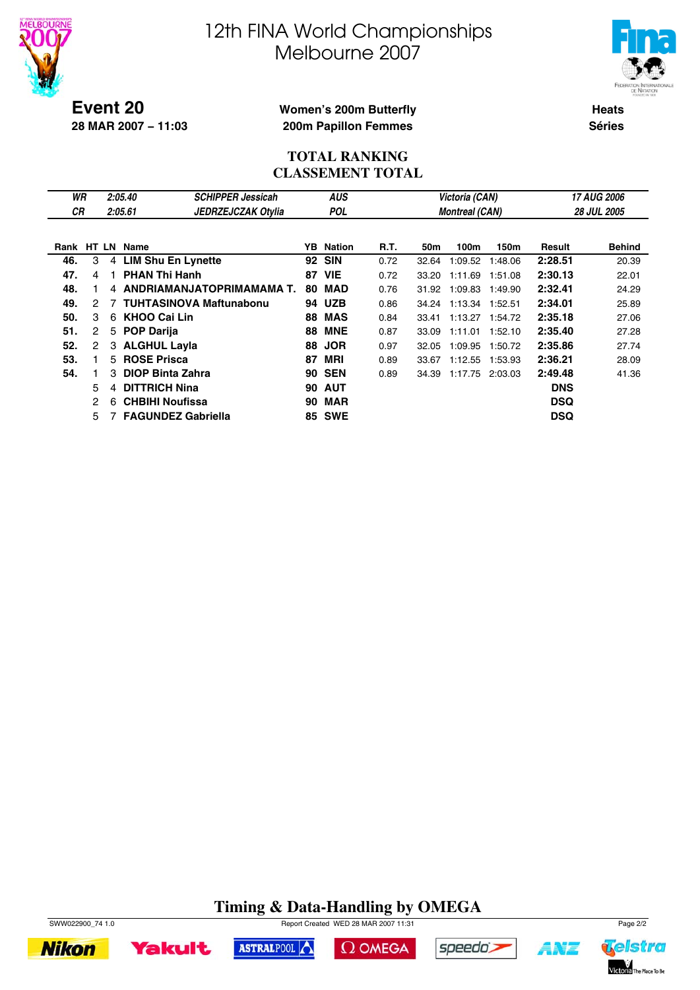



**Event 20 28 MAR 2007 − 11:03**

## **Women's 200m Butterfly 200m Papillon Femmes**

**Heats Séries**

### **TOTAL RANKING CLASSEMENT TOTAL**

| WR   |                      |   | 2:05.40                   | <b>SCHIPPER Jessicah</b>       |    | <b>AUS</b>    |      |       | Victoria (CAN)        |         | 17 AUG 2006 |                    |  |
|------|----------------------|---|---------------------------|--------------------------------|----|---------------|------|-------|-----------------------|---------|-------------|--------------------|--|
| СR   |                      |   | 2:05.61                   | <b>JEDRZEJCZAK Otylia</b>      |    | <b>POL</b>    |      |       | <b>Montreal (CAN)</b> |         |             | <b>28 JUL 2005</b> |  |
|      |                      |   |                           |                                |    |               |      |       |                       |         |             |                    |  |
| Rank |                      |   | HT LN Name                |                                | YB | Nation        | R.T. | 50m   | 100m                  | 150m    | Result      | <b>Behind</b>      |  |
| 46.  | 3                    |   | 4 LIM Shu En Lynette      |                                | 92 | <b>SIN</b>    | 0.72 | 32.64 | 1:09.52               | 1:48.06 | 2:28.51     | 20.39              |  |
| 47.  | 4                    |   | <b>PHAN Thi Hanh</b>      |                                | 87 | <b>VIE</b>    | 0.72 | 33.20 | 1:11.69               | 1:51.08 | 2:30.13     | 22.01              |  |
| 48.  |                      |   |                           | 4 ANDRIAMANJATOPRIMAMAMA T.    | 80 | MAD           | 0.76 | 31.92 | 1:09.83               | 1:49.90 | 2:32.41     | 24.29              |  |
| 49.  | 2                    |   |                           | <b>TUHTASINOVA Maftunabonu</b> | 94 | <b>UZB</b>    | 0.86 | 34.24 | 1:13.34               | 1:52.51 | 2:34.01     | 25.89              |  |
| 50.  | 3                    | 6 | <b>KHOO Cai Lin</b>       |                                | 88 | <b>MAS</b>    | 0.84 | 33.41 | 1:13.27               | 1:54.72 | 2:35.18     | 27.06              |  |
| 51.  | 2                    |   | 5 POP Darija              |                                | 88 | <b>MNE</b>    | 0.87 | 33.09 | 1:11.01               | 1:52.10 | 2:35.40     | 27.28              |  |
| 52.  | $\mathbf{2}^{\circ}$ |   | 3 ALGHUL Layla            |                                | 88 | <b>JOR</b>    | 0.97 | 32.05 | 1:09.95               | 1:50.72 | 2:35.86     | 27.74              |  |
| 53.  |                      |   | 5 ROSE Prisca             |                                | 87 | MRI           | 0.89 | 33.67 | 1:12.55               | 1:53.93 | 2:36.21     | 28.09              |  |
| 54.  |                      | 3 | <b>DIOP Binta Zahra</b>   |                                | 90 | <b>SEN</b>    | 0.89 | 34.39 | 1:17.75               | 2:03.03 | 2:49.48     | 41.36              |  |
|      | 5                    | 4 | <b>DITTRICH Nina</b>      |                                | 90 | <b>AUT</b>    |      |       |                       |         | <b>DNS</b>  |                    |  |
|      | 2                    | 6 | <b>CHBIHI Noufissa</b>    |                                | 90 | <b>MAR</b>    |      |       |                       |         | <b>DSQ</b>  |                    |  |
|      | 5                    |   | <b>FAGUNDEZ Gabriella</b> |                                |    | <b>85 SWE</b> |      |       |                       |         | <b>DSQ</b>  |                    |  |

# **Timing & Data-Handling by OMEGA**



SWW022900\_74 1.0 Report Created WED 28 MAR 2007 11:31 Page 2/2







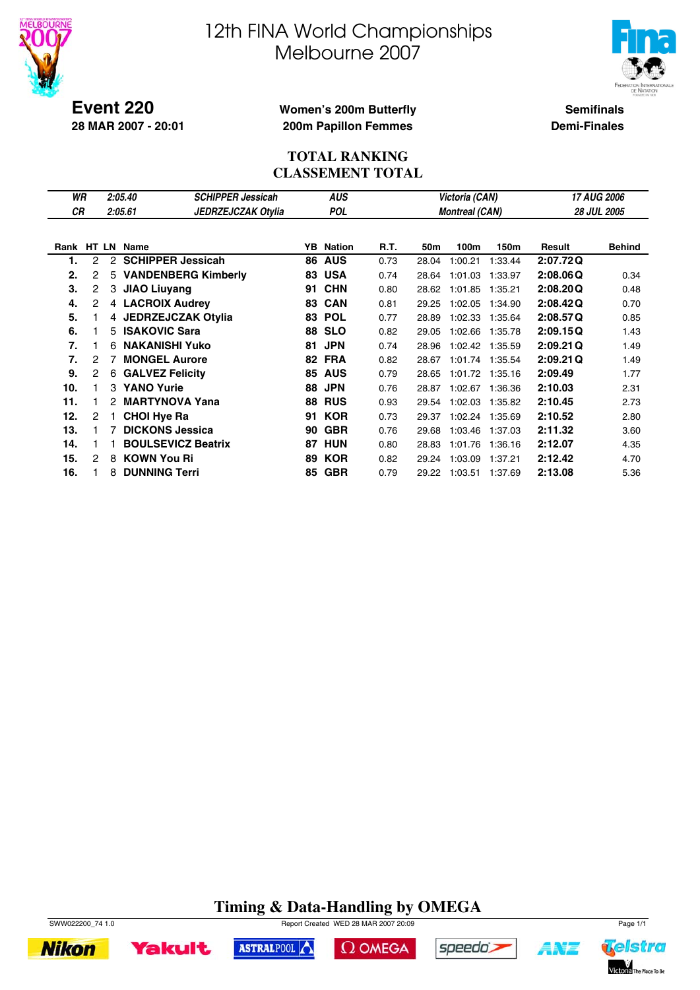



**Event 220 28 MAR 2007 - 20:01**

## **Women's 200m Butterfly 200m Papillon Femmes**

**Semifinals Demi-Finales**

## **TOTAL RANKING CLASSEMENT TOTAL**

| WR         |                |               | 2:05.40                | <b>SCHIPPER Jessicah</b>   |     | <b>AUS</b> |      |       | Victoria (CAN)        |         | 17 AUG 2006 |                    |  |
|------------|----------------|---------------|------------------------|----------------------------|-----|------------|------|-------|-----------------------|---------|-------------|--------------------|--|
| СR         |                |               | 2:05.61                | <b>JEDRZEJCZAK Otylia</b>  |     | <b>POL</b> |      |       | <b>Montreal (CAN)</b> |         |             | <b>28 JUL 2005</b> |  |
|            |                |               |                        |                            |     |            |      |       |                       |         |             |                    |  |
| Rank HT LN |                |               | <b>Name</b>            |                            | YB. | Nation     | R.T. | 50m   | 100m                  | 150m    | Result      | <b>Behind</b>      |  |
| 1.         | 2              | $\mathcal{P}$ |                        | <b>SCHIPPER Jessicah</b>   | 86  | <b>AUS</b> | 0.73 | 28.04 | 1:00.21               | 1:33.44 | 2:07.72Q    |                    |  |
| 2.         | 2              | 5             |                        | <b>VANDENBERG Kimberly</b> | 83  | <b>USA</b> | 0.74 | 28.64 | 1:01.03               | 1:33.97 | 2:08.06Q    | 0.34               |  |
| 3.         | 2              |               | 3 JIAO Liuyang         |                            | 91  | <b>CHN</b> | 0.80 | 28.62 | 1:01.85               | 1:35.21 | 2:08.20Q    | 0.48               |  |
| 4.         | 2              |               | 4 LACROIX Audrey       |                            | 83  | <b>CAN</b> | 0.81 | 29.25 | 1:02.05               | 1:34.90 | 2:08.42Q    | 0.70               |  |
| 5.         |                |               |                        | 4 JEDRZEJCZAK Otylia       | 83  | <b>POL</b> | 0.77 | 28.89 | 1:02.33               | 1:35.64 | 2:08.57Q    | 0.85               |  |
| 6.         |                | 5             | <b>ISAKOVIC Sara</b>   |                            | 88  | <b>SLO</b> | 0.82 | 29.05 | 1:02.66               | 1:35.78 | 2:09.15Q    | 1.43               |  |
| 7.         |                | 6             | <b>NAKANISHI Yuko</b>  |                            | 81  | <b>JPN</b> | 0.74 | 28.96 | 1:02.42               | 1:35.59 | 2:09.21Q    | 1.49               |  |
| 7.         | 2              | 7             | <b>MONGEL Aurore</b>   |                            |     | 82 FRA     | 0.82 | 28.67 | 1:01.74 1:35.54       |         | 2:09.21Q    | 1.49               |  |
| 9.         | $\overline{c}$ | 6             | <b>GALVEZ Felicity</b> |                            | 85  | <b>AUS</b> | 0.79 | 28.65 | 1:01.72               | 1:35.16 | 2:09.49     | 1.77               |  |
| 10.        |                | 3             | <b>YANO Yurie</b>      |                            | 88  | <b>JPN</b> | 0.76 | 28.87 | 1:02.67               | 1:36.36 | 2:10.03     | 2.31               |  |
| 11.        |                |               |                        | <b>MARTYNOVA Yana</b>      | 88  | <b>RUS</b> | 0.93 | 29.54 | 1:02.03               | 1:35.82 | 2:10.45     | 2.73               |  |
| 12.        | 2              |               | <b>CHOI Hye Ra</b>     |                            | 91  | <b>KOR</b> | 0.73 | 29.37 | 1:02.24               | 1:35.69 | 2:10.52     | 2.80               |  |
| 13.        |                | 7             | <b>DICKONS Jessica</b> |                            | 90  | <b>GBR</b> | 0.76 | 29.68 | 1:03.46               | 1:37.03 | 2:11.32     | 3.60               |  |
| 14.        |                |               |                        | <b>BOULSEVICZ Beatrix</b>  | 87  | HUN        | 0.80 | 28.83 | 1:01.76               | 1:36.16 | 2:12.07     | 4.35               |  |
| 15.        | 2              | 8             | <b>KOWN You Ri</b>     |                            | 89  | <b>KOR</b> | 0.82 | 29.24 | 1:03.09               | 1:37.21 | 2:12.42     | 4.70               |  |
| 16.        |                | 8             | <b>DUNNING Terri</b>   |                            | 85  | <b>GBR</b> | 0.79 | 29.22 | 1:03.51               | 1:37.69 | 2:13.08     | 5.36               |  |

# **Timing & Data-Handling by OMEGA**











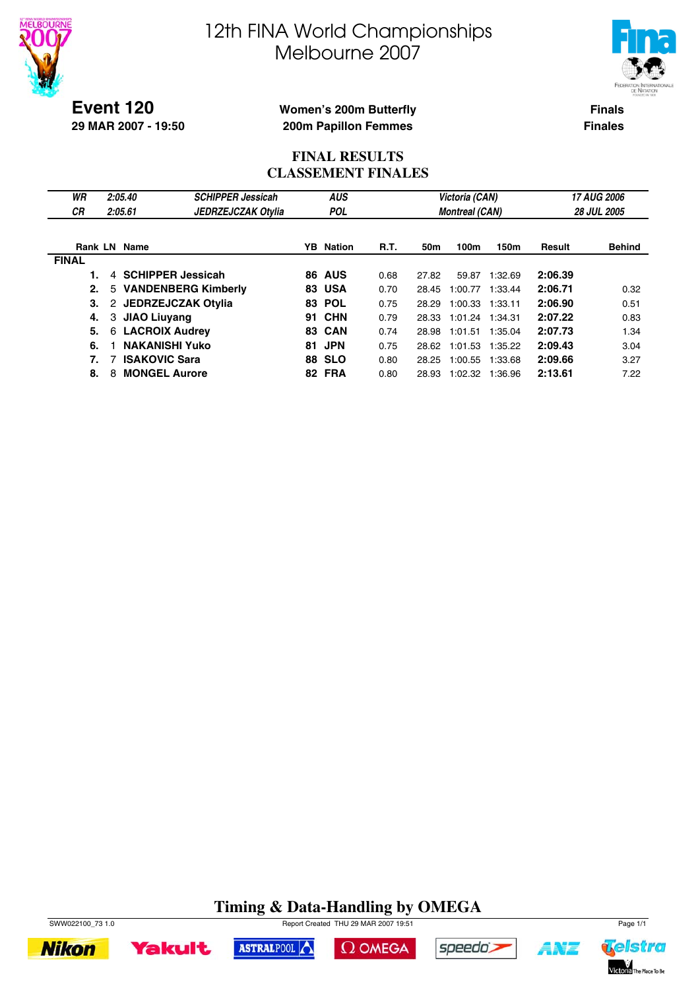



**Event 120 29 MAR 2007 - 19:50**

## **Women's 200m Butterfly 200m Papillon Femmes**

**Finals Finales**

## **FINAL RESULTS CLASSEMENT FINALES**

| WR<br>СR     | 2:05.40<br>2:05.61         | <b>SCHIPPER Jessicah</b><br><b>JEDRZEJCZAK Otylia</b> |    | <b>AUS</b><br><b>POL</b> |             |       | Victoria (CAN)<br><b>Montreal (CAN)</b> |         | 17 AUG 2006<br><b>28 JUL 2005</b> |               |  |
|--------------|----------------------------|-------------------------------------------------------|----|--------------------------|-------------|-------|-----------------------------------------|---------|-----------------------------------|---------------|--|
|              | <b>Rank LN Name</b>        |                                                       |    | <b>YB</b> Nation         | <b>R.T.</b> | 50m   | 100m                                    | 150m    | Result                            | <b>Behind</b> |  |
| <b>FINAL</b> |                            |                                                       |    |                          |             |       |                                         |         |                                   |               |  |
|              | 4 SCHIPPER Jessicah        |                                                       |    | <b>86 AUS</b>            | 0.68        | 27.82 | 59.87                                   | 1:32.69 | 2:06.39                           |               |  |
| 2.           |                            | 5 VANDENBERG Kimberly                                 |    | <b>83 USA</b>            | 0.70        | 28.45 | 1:00.77                                 | 1:33.44 | 2:06.71                           | 0.32          |  |
| З.           | JEDRZEJCZAK Otylia<br>2    |                                                       |    | 83 POL                   | 0.75        | 28.29 | 1:00.33                                 | 1:33.11 | 2:06.90                           | 0.51          |  |
| 4.           | 3 JIAO Liuvang             |                                                       |    | <b>91 CHN</b>            | 0.79        | 28.33 | 1:01.24 1:34.31                         |         | 2:07.22                           | 0.83          |  |
| 5.           | <b>LACROIX Audrey</b><br>6 |                                                       |    | <b>83 CAN</b>            | 0.74        | 28.98 | 1:01.51                                 | 1:35.04 | 2:07.73                           | 1.34          |  |
| 6.           | <b>NAKANISHI Yuko</b>      |                                                       | 81 | <b>JPN</b>               | 0.75        | 28.62 | 1:01.53                                 | 1:35.22 | 2:09.43                           | 3.04          |  |
| 7.           | <b>ISAKOVIC Sara</b><br>7  |                                                       |    | <b>88 SLO</b>            | 0.80        | 28.25 | 1:00.55                                 | 1:33.68 | 2:09.66                           | 3.27          |  |
| 8.           | <b>MONGEL Aurore</b><br>8  |                                                       |    | 82 FRA                   | 0.80        | 28.93 | 1:02.32                                 | 1:36.96 | 2:13.61                           | 7.22          |  |

#### **Timing & Data-Handling by OMEGA** SWW022100\_73 1.0 Page 1/1

 $\Omega$  OMEGA

ASTRALPOOL



**Yakult** 





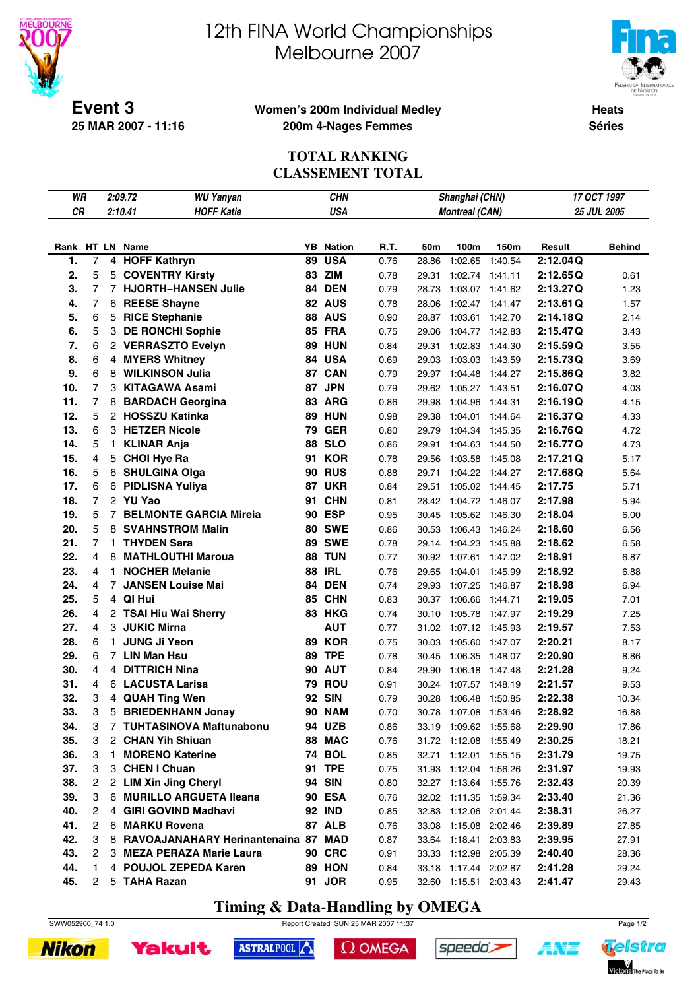



**Event 3 25 MAR 2007 - 11:16**

#### **Women's 200m Individual Medley 200m 4-Nages Femmes**

**Heats Séries**

## **TOTAL RANKING CLASSEMENT TOTAL**

| WR  |                | 2:09.72<br><b>WU Yanyan</b> |                                       | <b>CHN</b> |                  |      |       | Shanghai (CHN)        |         | 17 OCT 1997 |               |  |
|-----|----------------|-----------------------------|---------------------------------------|------------|------------------|------|-------|-----------------------|---------|-------------|---------------|--|
| CR  |                |                             | 2:10.41<br><b>HOFF Katie</b>          |            | <b>USA</b>       |      |       | <b>Montreal (CAN)</b> |         | 25 JUL 2005 |               |  |
|     |                |                             |                                       |            |                  |      |       |                       |         |             |               |  |
|     |                |                             | Rank HT LN Name                       |            | <b>YB</b> Nation | R.T. | 50m   | 100m                  | 150m    | Result      | <b>Behind</b> |  |
| 1.  | $\overline{7}$ |                             | 4 HOFF Kathryn                        | 89         | <b>USA</b>       | 0.76 | 28.86 | 1:02.65               | 1:40.54 | 2:12.04Q    |               |  |
| 2.  | 5              |                             | 5 COVENTRY Kirsty                     |            | 83 ZIM           | 0.78 | 29.31 | 1:02.74 1:41.11       |         | 2:12.65Q    | 0.61          |  |
| 3.  | $\overline{7}$ |                             | 7 HJORTH-HANSEN Julie                 |            | 84 DEN           | 0.79 | 28.73 | 1:03.07 1:41.62       |         | 2:13.27Q    | 1.23          |  |
| 4.  | $\overline{7}$ |                             | 6 REESE Shayne                        |            | 82 AUS           | 0.78 | 28.06 | 1:02.47 1:41.47       |         | 2:13.61Q    | 1.57          |  |
| 5.  | 6              |                             | 5 RICE Stephanie                      |            | <b>88 AUS</b>    | 0.90 | 28.87 | 1:03.61 1:42.70       |         | 2:14.18Q    | 2.14          |  |
| 6.  | 5              |                             | 3 DE RONCHI Sophie                    |            | <b>85 FRA</b>    | 0.75 | 29.06 | 1:04.77 1:42.83       |         | 2:15.47Q    | 3.43          |  |
| 7.  | 6              |                             | 2 VERRASZTO Evelyn                    |            | <b>89 HUN</b>    | 0.84 | 29.31 | 1:02.83 1:44.30       |         | 2:15.59Q    | 3.55          |  |
| 8.  | 6              |                             | 4 MYERS Whitney                       |            | 84 USA           | 0.69 | 29.03 | 1:03.03 1:43.59       |         | 2:15.73Q    | 3.69          |  |
| 9.  | 6              |                             | 8 WILKINSON Julia                     |            | 87 CAN           | 0.79 | 29.97 | 1:04.48 1:44.27       |         | 2:15.86Q    | 3.82          |  |
| 10. | $\overline{7}$ |                             | 3 KITAGAWA Asami                      | 87         | <b>JPN</b>       | 0.79 | 29.62 | 1:05.27 1:43.51       |         | 2:16.07Q    | 4.03          |  |
| 11. | $\overline{7}$ |                             | 8 BARDACH Georgina                    |            | 83 ARG           | 0.86 | 29.98 | 1:04.96               | 1:44.31 | 2:16.19Q    | 4.15          |  |
| 12. | 5              |                             | 2 HOSSZU Katinka                      |            | <b>89 HUN</b>    | 0.98 | 29.38 | 1:04.01 1:44.64       |         | 2:16.37Q    | 4.33          |  |
| 13. | 6              |                             | 3 HETZER Nicole                       |            | <b>79 GER</b>    | 0.80 | 29.79 | 1:04.34 1:45.35       |         | 2:16.76Q    | 4.72          |  |
| 14. | 5              | $\mathbf{1}$                | <b>KLINAR Anja</b>                    | 88         | <b>SLO</b>       | 0.86 | 29.91 | 1:04.63 1:44.50       |         | 2:16.77Q    | 4.73          |  |
| 15. | 4              |                             | 5 CHOI Hye Ra                         | 91         | <b>KOR</b>       | 0.78 | 29.56 | 1:03.58 1:45.08       |         | 2:17.21Q    | 5.17          |  |
| 16. | 5              |                             | 6 SHULGINA Olga                       |            | <b>90 RUS</b>    | 0.88 | 29.71 | 1:04.22 1:44.27       |         | 2:17.68Q    | 5.64          |  |
| 17. | 6              |                             | 6 PIDLISNA Yuliya                     |            | <b>87 UKR</b>    | 0.84 | 29.51 | 1:05.02 1:44.45       |         | 2:17.75     | 5.71          |  |
| 18. | $\overline{7}$ |                             | 2 YU Yao                              | 91         | <b>CHN</b>       | 0.81 | 28.42 | 1:04.72 1:46.07       |         | 2:17.98     | 5.94          |  |
| 19. | 5              |                             | 7 BELMONTE GARCIA Mireia              |            | <b>90 ESP</b>    | 0.95 | 30.45 | 1:05.62 1:46.30       |         | 2:18.04     | 6.00          |  |
| 20. | 5              |                             | 8 SVAHNSTROM Malin                    |            | <b>80 SWE</b>    | 0.86 | 30.53 | 1:06.43 1:46.24       |         | 2:18.60     | 6.56          |  |
| 21. | 7              |                             | 1 THYDEN Sara                         |            | <b>89 SWE</b>    | 0.78 | 29.14 | 1:04.23 1:45.88       |         | 2:18.62     | 6.58          |  |
| 22. | $\overline{4}$ |                             | 8 MATHLOUTHI Maroua                   |            | 88 TUN           | 0.77 | 30.92 | 1:07.61 1:47.02       |         | 2:18.91     | 6.87          |  |
| 23. | 4              |                             | 1 NOCHER Melanie                      |            | <b>88 IRL</b>    | 0.76 | 29.65 | 1:04.01 1:45.99       |         | 2:18.92     | 6.88          |  |
| 24. | 4              |                             | 7 JANSEN Louise Mai                   |            | 84 DEN           | 0.74 | 29.93 | 1:07.25               | 1:46.87 | 2:18.98     | 6.94          |  |
| 25. | 5              |                             | 4 QI Hui                              |            | 85 CHN           | 0.83 | 30.37 | 1:06.66               | 1:44.71 | 2:19.05     | 7.01          |  |
| 26. | 4              |                             | 2 TSAI Hiu Wai Sherry                 |            | <b>83 HKG</b>    | 0.74 | 30.10 | 1:05.78               | 1:47.97 | 2:19.29     | 7.25          |  |
| 27. | 4              |                             | 3 JUKIC Mirna                         |            | <b>AUT</b>       | 0.77 | 31.02 | 1:07.12 1:45.93       |         | 2:19.57     | 7.53          |  |
| 28. | 6              |                             | 1 JUNG Ji Yeon                        |            | <b>89 KOR</b>    | 0.75 | 30.03 | 1:05.60 1:47.07       |         | 2:20.21     | 8.17          |  |
| 29. | 6              |                             | 7 LIN Man Hsu                         | 89         | <b>TPE</b>       | 0.78 | 30.45 | 1:06.35               | 1:48.07 | 2:20.90     | 8.86          |  |
| 30. | 4              |                             | 4 DITTRICH Nina                       |            | <b>90 AUT</b>    | 0.84 | 29.90 | 1:06.18 1:47.48       |         | 2:21.28     | 9.24          |  |
| 31. | 4              |                             | 6 LACUSTA Larisa                      |            | <b>79 ROU</b>    | 0.91 | 30.24 | 1:07.57 1:48.19       |         | 2:21.57     | 9.53          |  |
| 32. | 3              |                             | 4 QUAH Ting Wen                       | 92         | <b>SIN</b>       | 0.79 | 30.28 | 1:06.48               | 1:50.85 | 2:22.38     | 10.34         |  |
| 33. | 3              | 5                           | <b>BRIEDENHANN Jonay</b>              |            | <b>90 NAM</b>    | 0.70 | 30.78 | 1:07.08               | 1:53.46 | 2:28.92     | 16.88         |  |
| 34. | 3              |                             | 7 TUHTASINOVA Maftunabonu             |            | 94 UZB           | 0.86 |       | 33.19 1:09.62 1:55.68 |         | 2:29.90     | 17.86         |  |
| 35. | 3              |                             | 2 CHAN Yih Shiuan                     |            | 88 MAC           | 0.76 |       | 31.72 1:12.08 1:55.49 |         | 2:30.25     | 18.21         |  |
| 36. | 3              |                             | 1 MORENO Katerine                     |            | <b>74 BOL</b>    | 0.85 |       | 32.71 1:12.01 1:55.15 |         | 2:31.79     | 19.75         |  |
| 37. | 3              |                             | 3 CHEN I Chuan                        |            | <b>91 TPE</b>    | 0.75 |       | 31.93 1:12.04 1:56.26 |         | 2:31.97     | 19.93         |  |
| 38. | 2              |                             | 2 LIM Xin Jing Cheryl                 |            | 94 SIN           | 0.80 |       | 32.27 1:13.64 1:55.76 |         | 2:32.43     | 20.39         |  |
| 39. | 3              |                             | 6 MURILLO ARGUETA Ileana              |            | <b>90 ESA</b>    | 0.76 |       | 32.02 1:11.35 1:59.34 |         | 2:33.40     | 21.36         |  |
| 40. | 2              | 4                           | <b>GIRI GOVIND Madhavi</b>            |            | <b>92 IND</b>    | 0.85 |       | 32.83 1:12.06 2:01.44 |         | 2:38.31     | 26.27         |  |
| 41. | 2              |                             | 6 MARKU Rovena                        |            | 87 ALB           | 0.76 |       | 33.08 1:15.08 2:02.46 |         | 2:39.89     | 27.85         |  |
| 42. | 3              |                             | 8 RAVOAJANAHARY Herinantenaina 87 MAD |            |                  | 0.87 |       | 33.64 1:18.41 2:03.83 |         | 2:39.95     | 27.91         |  |
| 43. | $\overline{c}$ |                             | 3 MEZA PERAZA Marie Laura             |            | <b>90 CRC</b>    | 0.91 |       | 33.33 1:12.98 2:05.39 |         | 2:40.40     | 28.36         |  |
| 44. | 1              |                             | 4 POUJOL ZEPEDA Karen                 |            | 89 HON           | 0.84 |       | 33.18 1:17.44 2:02.87 |         | 2:41.28     | 29.24         |  |
| 45. | $\overline{2}$ |                             | 5 TAHA Razan                          |            | 91 JOR           | 0.95 |       | 32.60 1:15.51 2:03.43 |         | 2:41.47     | 29.43         |  |

# **Timing & Data-Handling by OMEGA**

SWW052900\_74 1.0 Report Created SUN 25 MAR 2007 11:37 Page 1/2





 $\Omega$  OMEGA





ANT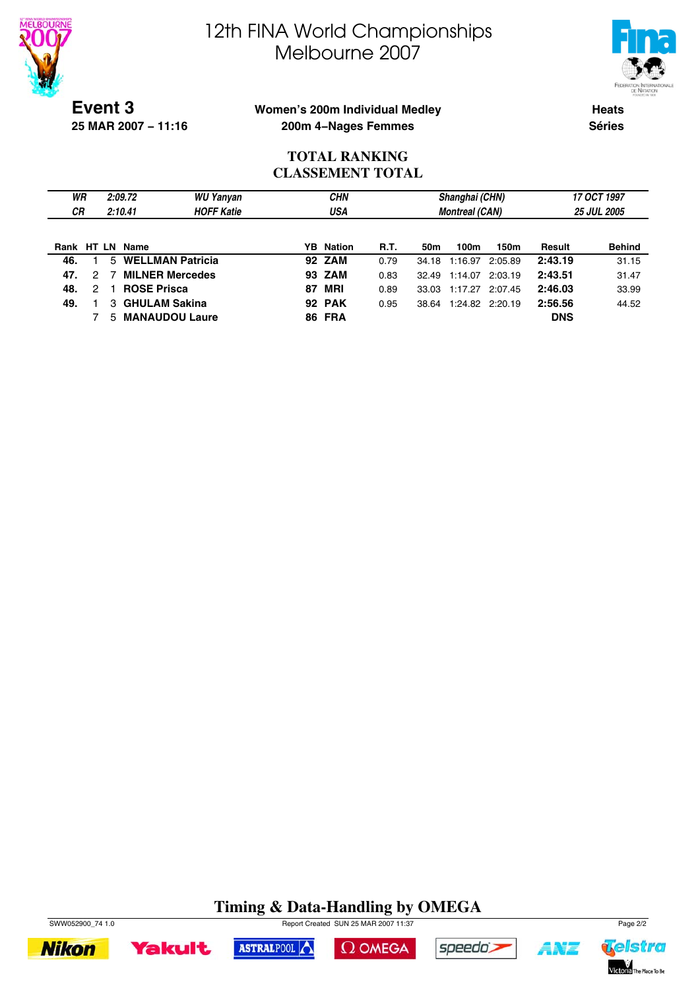



**Event 3 25 MAR 2007 − 11:16**

### **Women's 200m Individual Medley 200m 4−Nages Femmes**

**Heats Séries**

## **TOTAL RANKING CLASSEMENT TOTAL**

| WR              |               | 2:09.72 |                         | WU Yanyan         |    | <b>CHN</b>       |      |       | Shanghai (CHN)        |         | 17 OCT 1997 |                    |
|-----------------|---------------|---------|-------------------------|-------------------|----|------------------|------|-------|-----------------------|---------|-------------|--------------------|
| <b>CR</b>       |               | 2:10.41 |                         | <b>HOFF Katie</b> |    | USA              |      |       | <b>Montreal (CAN)</b> |         |             | <b>25 JUL 2005</b> |
|                 |               |         |                         |                   |    |                  |      |       |                       |         |             |                    |
| Rank HT LN Name |               |         |                         |                   |    | <b>YB</b> Nation | R.T. | 50m   | 100m                  | 150m    | Result      | <b>Behind</b>      |
| 46.             |               | 5       | <b>WELLMAN Patricia</b> |                   |    | <b>92 ZAM</b>    | 0.79 | 34.18 | 1:16.97               | 2:05.89 | 2:43.19     | 31.15              |
| 47.             | 2             | -7      | <b>MILNER Mercedes</b>  |                   |    | 93 ZAM           | 0.83 | 32.49 | 1:14.07               | 2:03.19 | 2:43.51     | 31.47              |
| 48.             | $\mathcal{P}$ |         | <b>ROSE Prisca</b>      |                   | 87 | MRI              | 0.89 | 33.03 | 1:17.27               | 2:07.45 | 2:46.03     | 33.99              |
| 49.             |               |         | 3 GHULAM Sakina         |                   |    | <b>92 PAK</b>    | 0.95 | 38.64 | 1:24.82 2:20.19       |         | 2:56.56     | 44.52              |
|                 |               | 5.      | <b>MANAUDOU Laure</b>   |                   |    | <b>86 FRA</b>    |      |       |                       |         | <b>DNS</b>  |                    |

# **Timing & Data-Handling by OMEGA**







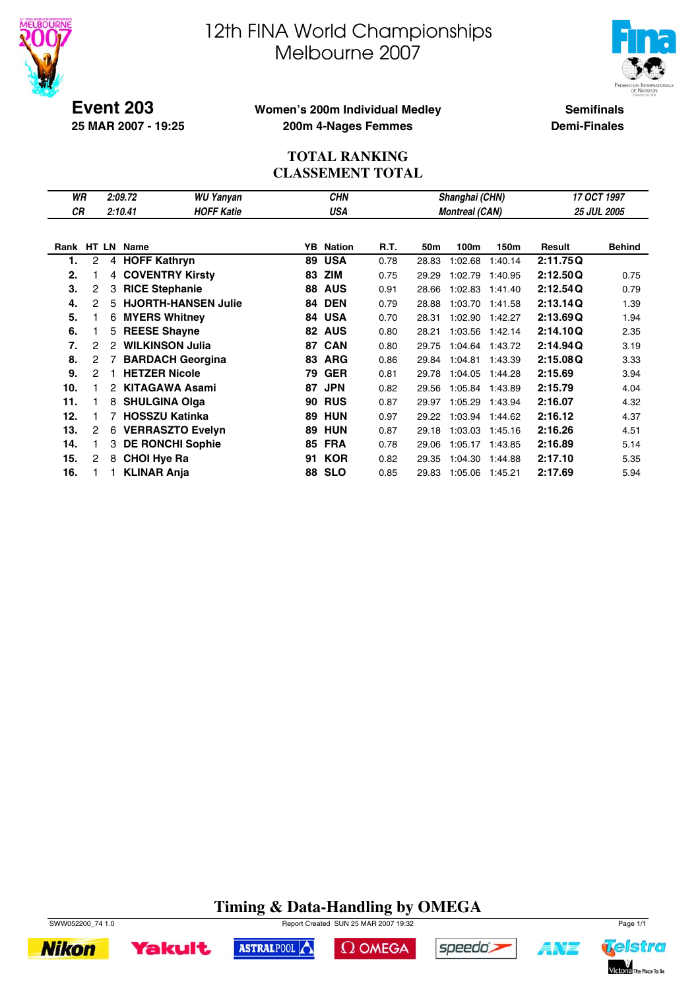



**Event 203 25 MAR 2007 - 19:25**

### **Women's 200m Individual Medley 200m 4-Nages Femmes**

**Semifinals Demi-Finales**

## **TOTAL RANKING CLASSEMENT TOTAL**

| WR         |                |    | 2:09.72            | <b>WU Yanyan</b>           |    | <b>CHN</b>    |      |       | Shanghai (CHN)        |         | 17 OCT 1997 |               |  |
|------------|----------------|----|--------------------|----------------------------|----|---------------|------|-------|-----------------------|---------|-------------|---------------|--|
| CR         |                |    | 2:10.41            | <b>HOFF Katie</b>          |    | <b>USA</b>    |      |       | <b>Montreal (CAN)</b> |         |             | 25 JUL 2005   |  |
|            |                |    |                    |                            |    |               |      |       |                       |         |             |               |  |
| Rank HT LN |                |    | Name               |                            | YB | <b>Nation</b> | R.T. | 50m   | 100m                  | 150m    | Result      | <b>Behind</b> |  |
| 1.         | 2              | 4  |                    | <b>HOFF Kathryn</b>        | 89 | <b>USA</b>    | 0.78 | 28.83 | 1:02.68               | 1:40.14 | 2:11.75Q    |               |  |
| 2.         |                | 4  |                    | <b>COVENTRY Kirsty</b>     | 83 | <b>ZIM</b>    | 0.75 | 29.29 | 1:02.79               | 1:40.95 | 2:12.50Q    | 0.75          |  |
| 3.         | $\overline{c}$ | 3  |                    | <b>RICE Stephanie</b>      | 88 | <b>AUS</b>    | 0.91 | 28.66 | 1:02.83               | 1:41.40 | 2:12.54Q    | 0.79          |  |
| 4.         | 2              | 5  |                    | <b>HJORTH-HANSEN Julie</b> | 84 | <b>DEN</b>    | 0.79 | 28.88 | 1:03.70               | 1:41.58 | 2:13.14Q    | 1.39          |  |
| 5.         |                | 6  |                    | <b>MYERS Whitney</b>       | 84 | <b>USA</b>    | 0.70 | 28.31 | 1:02.90               | 1:42.27 | 2:13.69Q    | 1.94          |  |
| 6.         |                | 5. |                    | <b>REESE Shayne</b>        | 82 | <b>AUS</b>    | 0.80 | 28.21 | 1:03.56               | 1:42.14 | 2:14.10Q    | 2.35          |  |
| 7.         | 2              | 2  |                    | <b>WILKINSON Julia</b>     | 87 | <b>CAN</b>    | 0.80 | 29.75 | 1:04.64               | 1:43.72 | 2:14.94Q    | 3.19          |  |
| 8.         | 2              |    |                    | <b>BARDACH Georgina</b>    | 83 | <b>ARG</b>    | 0.86 | 29.84 | 1:04.81               | 1:43.39 | 2:15.08Q    | 3.33          |  |
| 9.         | 2              |    |                    | <b>HETZER Nicole</b>       | 79 | <b>GER</b>    | 0.81 | 29.78 | 1:04.05               | 1:44.28 | 2:15.69     | 3.94          |  |
| 10.        |                | 2  |                    | <b>KITAGAWA Asami</b>      | 87 | <b>JPN</b>    | 0.82 | 29.56 | 1:05.84               | 1:43.89 | 2:15.79     | 4.04          |  |
| 11.        |                | 8  |                    | <b>SHULGINA Olga</b>       | 90 | <b>RUS</b>    | 0.87 | 29.97 | 1:05.29               | 1:43.94 | 2:16.07     | 4.32          |  |
| 12.        |                |    |                    | <b>HOSSZU Katinka</b>      | 89 | <b>HUN</b>    | 0.97 | 29.22 | 1:03.94               | 1:44.62 | 2:16.12     | 4.37          |  |
| 13.        | 2              | 6  |                    | <b>VERRASZTO Evelyn</b>    | 89 | <b>HUN</b>    | 0.87 | 29.18 | 1:03.03               | 1:45.16 | 2:16.26     | 4.51          |  |
| 14.        |                | 3  |                    | <b>DE RONCHI Sophie</b>    | 85 | <b>FRA</b>    | 0.78 | 29.06 | 1:05.17               | 1:43.85 | 2:16.89     | 5.14          |  |
| 15.        | 2              | 8  | <b>CHOI Hye Ra</b> |                            | 91 | <b>KOR</b>    | 0.82 | 29.35 | 1:04.30               | 1:44.88 | 2:17.10     | 5.35          |  |
| 16.        |                |    | <b>KLINAR Anja</b> |                            | 88 | <b>SLO</b>    | 0.85 | 29.83 | 1:05.06               | 1:45.21 | 2:17.69     | 5.94          |  |

#### **Timing & Data-Handling by OMEGA** SWW052200\_74 1.0 Report Created SUN 25 MAR 2007 19:32 Page 1/1

 $\Omega$  OMEGA

speedo;

ASTRALPOOL



**Yakult** 



**AMT**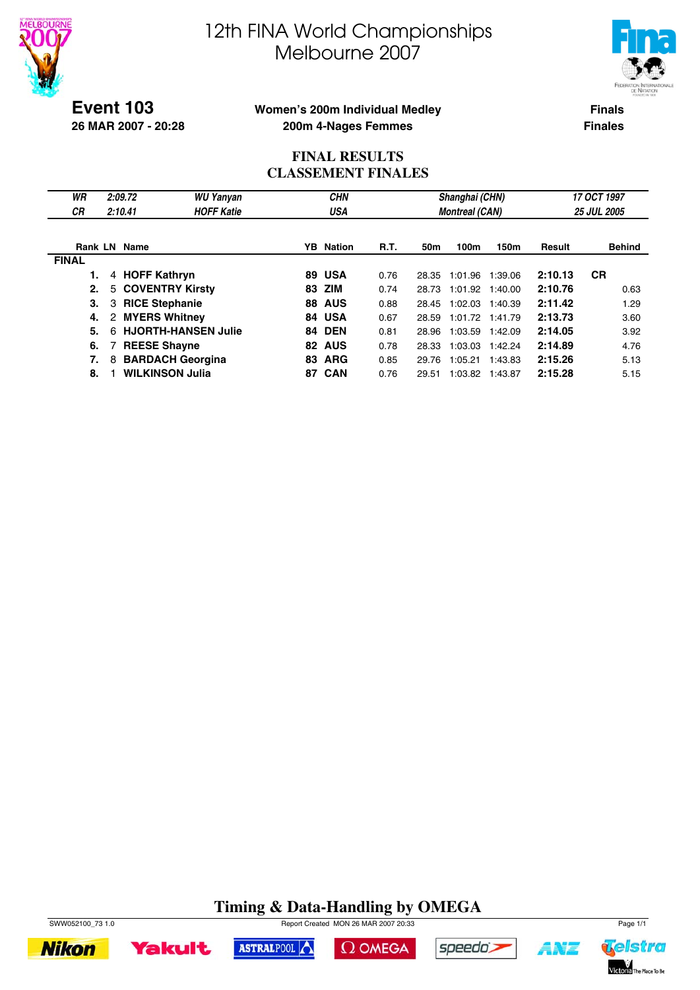



**Event 103 26 MAR 2007 - 20:28**

### **Women's 200m Individual Medley 200m 4-Nages Femmes**

**Finals Finales**

## **FINAL RESULTS CLASSEMENT FINALES**

| WR<br>СR     | 2:09.72<br>2:10.41     | <b>WU Yanyan</b><br><b>HOFF Katie</b> |     | <b>CHN</b><br>USA |             |                 | Shanghai (CHN)<br><b>Montreal (CAN)</b> |         | 17 OCT 1997<br><b>25 JUL 2005</b> |               |  |
|--------------|------------------------|---------------------------------------|-----|-------------------|-------------|-----------------|-----------------------------------------|---------|-----------------------------------|---------------|--|
|              | <b>Rank LN Name</b>    |                                       |     | <b>YB</b> Nation  | <b>R.T.</b> | 50 <sub>m</sub> | 100m                                    | 150m    | Result                            | <b>Behind</b> |  |
| <b>FINAL</b> |                        |                                       |     |                   |             |                 |                                         |         |                                   |               |  |
|              | 4 HOFF Kathryn         |                                       |     | 89 USA            | 0.76        | 28.35           | 1:01.96                                 | 1:39.06 | 2:10.13                           | <b>CR</b>     |  |
| 2.           | 5 COVENTRY Kirsty      |                                       | 83  | ZIM               | 0.74        | 28.73           | 1:01.92                                 | 1:40.00 | 2:10.76                           | 0.63          |  |
| З.           | 3 RICE Stephanie       |                                       | 88. | <b>AUS</b>        | 0.88        | 28.45           | 1:02.03                                 | 1:40.39 | 2:11.42                           | 1.29          |  |
| 4.           | 2 MYERS Whitney        |                                       |     | 84 USA            | 0.67        | 28.59           | 1:01.72 1:41.79                         |         | 2:13.73                           | 3.60          |  |
| 5.           | 6                      | <b>HJORTH-HANSEN Julie</b>            |     | <b>84 DEN</b>     | 0.81        | 28.96           | 1:03.59                                 | 1:42.09 | 2:14.05                           | 3.92          |  |
| 6.           | <b>REESE Shayne</b>    |                                       | 82. | <b>AUS</b>        | 0.78        | 28.33           | 1:03.03                                 | 1:42.24 | 2:14.89                           | 4.76          |  |
| 7.           | 8                      | <b>BARDACH Georgina</b>               | 83  | <b>ARG</b>        | 0.85        | 29.76           | 1:05.21                                 | 1:43.83 | 2:15.26                           | 5.13          |  |
| 8.           | <b>WILKINSON Julia</b> |                                       |     | 87 CAN            | 0.76        | 29.51           | 1:03.82 1:43.87                         |         | 2:15.28                           | 5.15          |  |

# **Timing & Data-Handling by OMEGA**





 $\Omega$  OMEGA



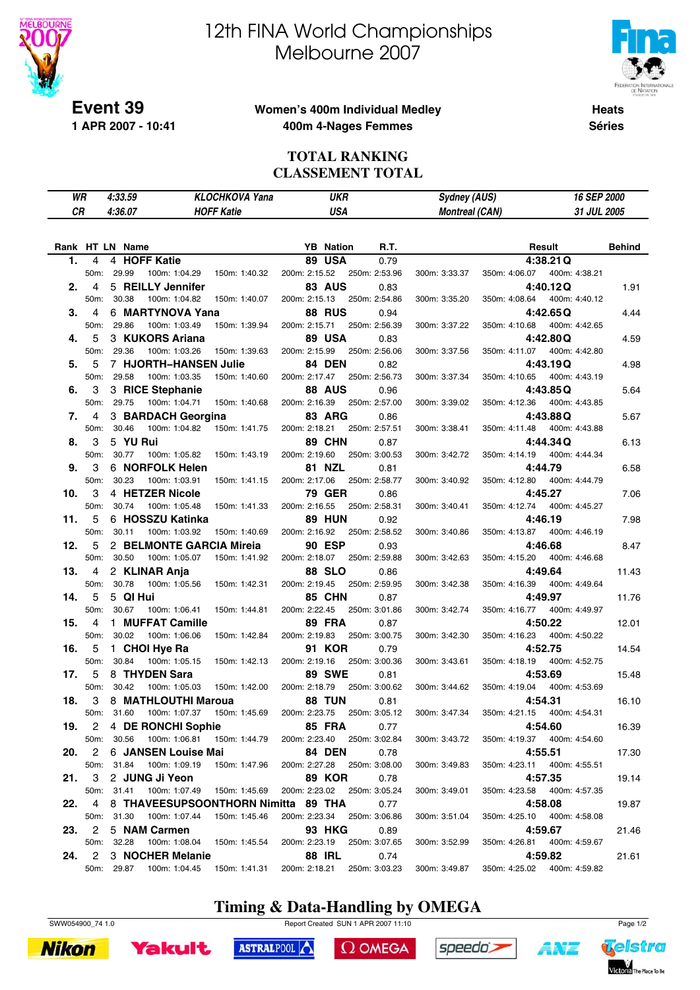

**1 APR 2007 - 10:41**

# 12th FINA World Championships Melbourne 2007



**Heats**

### **Women's 400m Individual Medley 400m 4-Nages Femmes**

**Séries**

#### **TOTAL RANKING CLASSEMENT TOTAL**

| WR              |                   | 4:33.59  |                          | <b>KLOCHKOVA Yana</b>                    |                             | <b>UKR</b>       |                       | Sydney (AUS)          |               |                              | 16 SEP 2000   |
|-----------------|-------------------|----------|--------------------------|------------------------------------------|-----------------------------|------------------|-----------------------|-----------------------|---------------|------------------------------|---------------|
| СR              |                   | 4:36.07  |                          | <b>HOFF Katie</b>                        |                             | <b>USA</b>       |                       | <b>Montreal (CAN)</b> |               |                              | 31 JUL 2005   |
|                 |                   |          |                          |                                          |                             |                  |                       |                       |               |                              |               |
|                 |                   |          |                          |                                          |                             |                  |                       |                       |               |                              |               |
| Rank HT LN Name |                   |          |                          |                                          |                             | <b>YB</b> Nation | R.T.                  |                       |               | Result                       | <b>Behind</b> |
| 1.              | 4                 |          | 4 HOFF Katie             |                                          |                             | 89 USA           | 0.79                  |                       |               | 4:38.21Q                     |               |
|                 | 50m:              | 29.99    | 100m: 1:04.29            | 150m: 1:40.32                            | 200m: 2:15.52               |                  | 250m: 2:53.96         | 300m: 3:33.37         | 350m: 4:06.07 | 400m: 4:38.21                |               |
| 2.              | 4                 |          | 5 REILLY Jennifer        |                                          |                             | <b>83 AUS</b>    | 0.83                  |                       |               | 4:40.12Q                     | 1.91          |
|                 | 50 <sub>m</sub> : | 30.38    | 100m: 1:04.82            | 150m: 1:40.07                            | 200m: 2:15.13               |                  | 250m: 2:54.86         | 300m: 3:35.20         | 350m: 4:08.64 | 400m: 4:40.12                |               |
| 3.              | 4                 |          | 6 MARTYNOVA Yana         |                                          |                             | <b>88 RUS</b>    | 0.94                  |                       |               | 4:42.65Q                     | 4.44          |
|                 | 50m:              | 29.86    | 100m: 1:03.49            | 150m: 1:39.94                            | 200m: 2:15.71               |                  | 250m: 2:56.39         | 300m: 3:37.22         | 350m: 4:10.68 | 400m: 4:42.65                |               |
| 4.              | 5                 |          | 3 KUKORS Ariana          |                                          |                             | 89 USA           | 0.83                  |                       |               | 4:42.80 Q                    | 4.59          |
|                 | 50m:              | 29.36    | 100m: 1:03.26            | 150m: 1:39.63                            | 200m: 2:15.99               |                  | 250m: 2:56.06         | 300m: 3:37.56         | 350m: 4:11.07 | 400m: 4:42.80                |               |
| 5.              | 5                 |          | 7 HJORTH-HANSEN Julie    |                                          |                             | 84 DEN           | 0.82                  |                       |               | 4:43.19Q                     | 4.98          |
|                 | 50m:              | 29.58    | 100m: 1:03.35            | 150m: 1:40.60                            | 200m: 2:17.47               |                  | 250m: 2:56.73         | 300m: 3:37.34         | 350m: 4:10.65 | 400m: 4:43.19                |               |
| 6.              | 3                 |          | 3 RICE Stephanie         |                                          |                             | <b>88 AUS</b>    | 0.96                  |                       |               | 4:43.85 Q                    | 5.64          |
|                 | 50m:              | 29.75    | 100m: 1:04.71            | 150m: 1:40.68                            | 200m: 2:16.39               |                  | 250m: 2:57.00         | 300m: 3:39.02         | 350m: 4:12.36 | 400m: 4:43.85                |               |
| 7.              | 4                 |          | 3 BARDACH Georgina       |                                          |                             | 83 ARG           | 0.86                  |                       |               | 4:43.88 Q                    | 5.67          |
|                 | 50m:              | 30.46    | 100m: 1:04.82            | 150m: 1:41.75                            | 200m: 2:18.21               |                  | 250m: 2:57.51         | 300m: 3:38.41         | 350m: 4:11.48 | 400m: 4:43.88                |               |
| 8.              | 3                 | 5 YU Rui |                          |                                          |                             | 89 CHN           | 0.87                  |                       |               | 4:44.34Q                     | 6.13          |
|                 | 50m:              | 30.77    | 100m: 1:05.82            | 150m: 1:43.19                            | 200m: 2:19.60               |                  | 250m: 3:00.53         | 300m: 3:42.72         | 350m: 4:14.19 | 400m: 4:44.34                |               |
| 9.              | 3                 |          | 6 NORFOLK Helen          |                                          |                             | <b>81 NZL</b>    | 0.81                  |                       |               | 4:44.79                      | 6.58          |
|                 | 50m:              | 30.23    | 100m: 1:03.91            | 150m: 1:41.15                            | 200m: 2:17.06               |                  | 250m: 2:58.77         | 300m: 3:40.92         | 350m: 4:12.80 | 400m: 4:44.79                |               |
| 10.             | 3                 |          | 4 HETZER Nicole          |                                          |                             | 79 GER           | 0.86                  |                       |               | 4:45.27                      | 7.06          |
|                 | 50m:              | 30.74    | 100m: 1:05.48            | 150m: 1:41.33                            | 200m: 2:16.55               |                  | 250m: 2:58.31         | 300m: 3:40.41         | 350m: 4:12.74 | 400m: 4:45.27                |               |
| 11.             | 5                 |          | 6 HOSSZU Katinka         |                                          |                             | <b>89 HUN</b>    | 0.92                  |                       |               | 4:46.19                      | 7.98          |
|                 | 50m:              | 30.11    | 100m: 1:03.92            | 150m: 1:40.69                            | 200m: 2:16.92               |                  | 250m: 2:58.52         | 300m: 3:40.86         | 350m: 4:13.87 | 400m: 4:46.19                |               |
| 12.             | 5                 |          | 2 BELMONTE GARCIA Mireia |                                          |                             | <b>90 ESP</b>    | 0.93                  |                       |               | 4:46.68                      | 8.47          |
|                 | 50m:              | 30.50    | 100m: 1:05.07            | 150m: 1:41.92                            | 200m: 2:18.07               |                  | 250m: 2:59.88         | 300m: 3:42.63         | 350m: 4:15.20 | 400m: 4:46.68                |               |
| 13.             | 4                 |          | 2 KLINAR Anja            |                                          |                             | <b>88 SLO</b>    | 0.86                  |                       |               | 4:49.64                      | 11.43         |
|                 | 50m:              | 30.78    | 100m: 1:05.56            | 150m: 1:42.31                            | 200m: 2:19.45               |                  | 250m: 2:59.95         | 300m: 3:42.38         | 350m: 4:16.39 | 400m: 4:49.64                |               |
| 14.             | 5                 | 5 QI Hui |                          |                                          |                             | 85 CHN           | 0.87                  |                       |               | 4:49.97                      | 11.76         |
|                 | 50m:              | 30.67    | 100m: 1:06.41            | 150m: 1:44.81                            | 200m: 2:22.45               |                  | 250m: 3:01.86         | 300m: 3:42.74         | 350m: 4:16.77 | 400m: 4:49.97                |               |
| 15.             | 4                 |          | 1 MUFFAT Camille         |                                          |                             | <b>89 FRA</b>    |                       |                       |               | 4:50.22                      |               |
|                 | 50m:              | 30.02    | 100m: 1:06.06            |                                          | 200m: 2:19.83               |                  | 0.87<br>250m: 3:00.75 |                       | 350m: 4:16.23 | 400m: 4:50.22                | 12.01         |
|                 |                   |          |                          | 150m: 1:42.84                            |                             |                  |                       | 300m: 3:42.30         |               |                              |               |
| 16.             | 5                 |          | 1 CHOI Hye Ra            |                                          |                             | 91 KOR           | 0.79                  |                       |               | 4:52.75                      | 14.54         |
|                 | 50m:              | 30.84    | 100m: 1:05.15            | 150m: 1:42.13                            | 200m: 2:19.16               |                  | 250m: 3:00.36         | 300m: 3:43.61         | 350m: 4:18.19 | 400m: 4:52.75                |               |
| 17.             | 5                 |          | 8 THYDEN Sara            |                                          |                             | <b>89 SWE</b>    | 0.81                  |                       |               | 4:53.69                      | 15.48         |
|                 | 50m:              | 30.42    | 100m: 1:05.03            | 150m: 1:42.00                            | 200m: 2:18.79               |                  | 250m: 3:00.62         | 300m: 3:44.62         | 350m: 4:19.04 | 400m: 4:53.69                |               |
| 18.             | 3                 |          | 8 MATHLOUTHI Maroua      |                                          |                             | <b>88 TUN</b>    | 0.81                  |                       |               | 4:54.31                      | 16.10         |
|                 |                   |          |                          | 50m: 31.60  100m: 1:07.37  150m: 1:45.69 | 200m: 2:23.75               |                  | 250m: 3:05.12         | 300m: 3:47.34         |               | 350m: 4:21.15  400m: 4:54.31 |               |
| 19.             |                   |          | 2 4 DE RONCHI Sophie     |                                          |                             | <b>85 FRA</b>    | 0.77                  |                       |               | 4:54.60                      | 16.39         |
|                 | 50m:              | 30.56    | 100m: 1:06.81            | 150m: 1:44.79                            | 200m: 2:23.40               |                  | 250m: 3:02.84         | 300m: 3:43.72         | 350m: 4:19.37 | 400m: 4:54.60                |               |
| 20.             | 2                 |          | 6 JANSEN Louise Mai      |                                          |                             | <b>84 DEN</b>    | 0.78                  |                       |               | 4:55.51                      | 17.30         |
|                 | 50 <sub>m</sub> : | 31.84    | 100m: 1:09.19            | 150m: 1:47.96                            | 200m: 2:27.28 250m: 3:08.00 |                  |                       | 300m: 3:49.83         | 350m: 4:23.11 | 400m: 4:55.51                |               |
| 21.             | 3                 |          | 2 JUNG Ji Yeon           |                                          |                             | <b>89 KOR</b>    | 0.78                  |                       |               | 4:57.35                      | 19.14         |
|                 | 50m:              | 31.41    | 100m: 1:07.49            | 150m: 1:45.69                            | 200m: 2:23.02               |                  | 250m: 3:05.24         | 300m: 3:49.01         | 350m: 4:23.58 | 400m: 4:57.35                |               |
| 22.             | 4                 |          |                          | 8 THAVEESUPSOONTHORN Nimitta 89 THA      |                             |                  | 0.77                  |                       |               | 4:58.08                      | 19.87         |
|                 | 50m:              | 31.30    | 100m: 1:07.44            | 150m: 1:45.46                            | 200m: 2:23.34               |                  | 250m: 3:06.86         | 300m: 3:51.04         | 350m: 4:25.10 | 400m: 4:58.08                |               |
| 23.             | 2                 |          | 5 NAM Carmen             |                                          |                             | <b>93 HKG</b>    | 0.89                  |                       |               | 4:59.67                      | 21.46         |
|                 | 50m: 32.28        |          | 100m: 1:08.04            | 150m: 1:45.54                            | 200m: 2:23.19               |                  | 250m: 3:07.65         | 300m: 3:52.99         |               | 350m: 4:26.81  400m: 4:59.67 |               |
| 24.             | 2                 |          | 3 NOCHER Melanie         |                                          |                             | <b>88 IRL</b>    | 0.74                  |                       |               | 4:59.82                      | 21.61         |
|                 | 50m: 29.87        |          | 100m: 1:04.45            | 150m: 1:41.31                            | 200m: 2:18.21               |                  | 250m: 3:03.23         | 300m: 3:49.87         |               | 350m: 4:25.02  400m: 4:59.82 |               |

# **Timing & Data-Handling by OMEGA**

SWW054900\_74 1.0 Report Created SUN 1 APR 2007 11:10 Page 1/2





ASTRALPOOL  $\Omega$  OMEGA



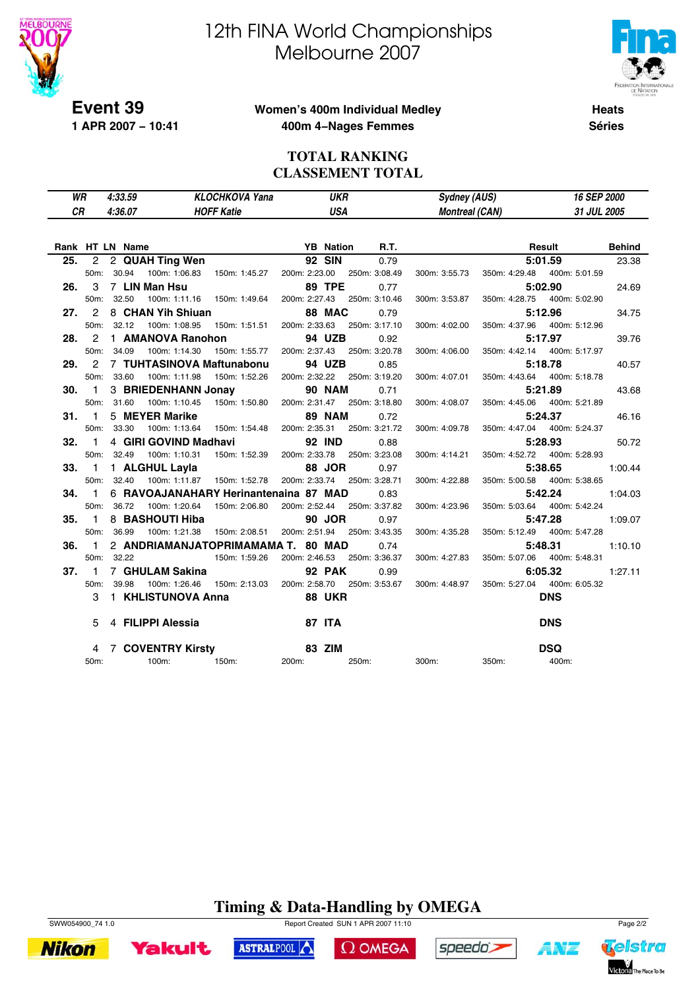

# 12th FINA World Championships Melbourne 2007



Telstra

Victoria The Place To Be

ANZ

## **Women's 400m Individual Medley 400m 4−Nages Femmes**

**Heats Séries**

### **TOTAL RANKING CLASSEMENT TOTAL**

| WR<br>СR          | 4:33.59<br>4:36.07 | <b>KLOCHKOVA Yana</b><br><b>HOFF Katie</b> | <b>UKR</b><br>USA |               | Sydney (AUS)<br><b>Montreal (CAN)</b> |               | <b>16 SEP 2000</b><br>31 JUL 2005 |               |
|-------------------|--------------------|--------------------------------------------|-------------------|---------------|---------------------------------------|---------------|-----------------------------------|---------------|
|                   | Rank HT LN Name    |                                            | <b>YB</b> Nation  | R.T.          |                                       |               | Result                            | <b>Behind</b> |
| 25.               | 2 2 QUAH Ting Wen  |                                            | <b>92 SIN</b>     | 0.79          |                                       | 5:01.59       |                                   | 23.38         |
| 50 <sub>m</sub> : | 30.94              | 100m: 1:06.83<br>150m: 1:45.27             | 200m: 2:23.00     | 250m: 3:08.49 | 300m: 3:55.73                         | 350m: 4:29.48 | 400m: 5:01.59                     |               |

| 26. |      | 3 7 LIN Man Hsu 89 TPE                                                                |      | 0.77<br>5:02.90                                                                                              | 24.69 |
|-----|------|---------------------------------------------------------------------------------------|------|--------------------------------------------------------------------------------------------------------------|-------|
|     |      | 50m: 32.50                                                                            |      | 100m: 1:11.16 150m: 1:49.64 200m: 2:27.43 250m: 3:10.46 300m: 3:53.87 350m: 4:28.75 400m: 5:02.90            |       |
|     |      | <b>27.</b> 2 8 CHAN Yih Shiuan <b>88 MAC</b> 0.79                                     |      | 5:12.96                                                                                                      | 34.75 |
|     |      |                                                                                       |      | 50m: 32.12 100m: 1:08.95 150m: 1:51.51 200m: 2:33.63 250m: 3:17.10 300m: 4:02.00 350m: 4:37.96 400m: 5:12.96 |       |
|     |      | 28. 2 1 AMANOVA Ranohon 94 UZB                                                        |      | 0.92<br>5:17.97                                                                                              | 39.76 |
|     |      |                                                                                       |      | 50m: 34.09 100m: 1:14.30 150m: 1:55.77 200m: 2:37.43 250m: 3:20.78 300m: 4:06.00 350m: 4:42.14 400m: 5:17.97 |       |
|     |      | 29. 2 7 TUHTASINOVA Maftunabonu 94 UZB                                                | 0.85 | 5:18.78                                                                                                      | 40.57 |
|     |      | 50m: 33.60 100m: 1:11.98 150m: 1:52.26 200m: 2:32.22 250m: 3:19.20                    |      | 300m: 4:07.01 350m: 4:43.64 400m: 5:18.78                                                                    |       |
|     |      | 30. 1 3 BRIEDENHANN Jonay 90 NAM                                                      |      | 0.71<br>5:21.89                                                                                              | 43.68 |
|     |      |                                                                                       |      | 50m: 31.60 100m: 1:10.45 150m: 1:50.80 200m: 2:31.47 250m: 3:18.80 300m: 4:08.07 350m: 4:45.06 400m: 5:21.89 |       |
|     | 31.1 | 5 MEYER Marike <b>89 NAM</b> 0.72                                                     |      | 5:24.37                                                                                                      | 46.16 |
|     |      | 50m: 33.30                                                                            |      | 100m: 1:13.64  150m: 1:54.48  200m: 2:35.31  250m: 3:21.72  300m: 4:09.78  350m: 4:47.04  400m: 5:24.37      |       |
|     |      | 32. 1 4 GIRI GOVIND Madhavi 92 IND                                                    | 0.88 | <b>5:28.93</b> 50.72                                                                                         |       |
|     |      |                                                                                       |      | 50m: 32.49 100m: 1:10.31 150m: 1:52.39 200m: 2:33.78 250m: 3:23.08 300m: 4:14.21 350m: 4:52.72 400m: 5:28.93 |       |
|     |      | 33. 1 1 ALGHUL Layla 68 JOR                                                           |      | <b>5:38.65</b> 1:00.44<br>0.97                                                                               |       |
|     |      |                                                                                       |      | 50m: 32.40 100m: 1:11.87 150m: 1:52.78 200m: 2:33.74 250m: 3:28.71 300m: 4:22.88 350m: 5:00.58 400m: 5:38.65 |       |
|     |      | 34. 1 6 RAVOAJANAHARY Herinantenaina 87 MAD 0.83                                      |      | <b>5:42.24</b> 1:04.03                                                                                       |       |
|     |      |                                                                                       |      | 50m: 36.72 100m: 1:20.64 150m: 2:06.80 200m: 2:52.44 250m: 3:37.82 300m: 4:23.96 350m: 5:03.64 400m: 5:42.24 |       |
|     | 35.1 |                                                                                       | 0.97 | <b>5:47.28</b> 1:09.07                                                                                       |       |
|     |      |                                                                                       |      | 50m: 36.99 100m: 1:21.38 150m: 2:08.51 200m: 2:51.94 250m: 3:43.35 300m: 4:35.28 350m: 5:12.49 400m: 5:47.28 |       |
|     | 36.1 | 2 ANDRIAMANJATOPRIMAMAMA T. 80 MAD                                                    |      | 0.74<br><b>5:48.31</b> 1:10.10                                                                               |       |
|     |      |                                                                                       |      | 50m: 32.22 150m: 1:59.26 200m: 2:46.53 250m: 3:36.37 300m: 4:27.83 350m: 5:07.06 400m: 5:48.31               |       |
|     |      | 37. 1 7 GHULAM Sakina 192 PAK                                                         |      | 0.99<br>6:05.32 1:27.11                                                                                      |       |
|     |      |                                                                                       |      | 50m: 39.98 100m: 1:26.46 150m: 2:13.03 200m: 2:58.70 250m: 3:53.67 300m: 4:48.97 350m: 5:27.04 400m: 6:05.32 |       |
|     |      | 3 1 KHLISTUNOVA Anna 68 UKR                                                           |      | <b>DNS</b>                                                                                                   |       |
|     |      | 5 4 FILIPPI Alessia 67 ITA                                                            |      | <b>DNS</b>                                                                                                   |       |
|     |      |                                                                                       |      | <b>DSQ</b>                                                                                                   |       |
|     |      | 4 7 COVENTRY Kirsty<br>0m: 100m: 100m: 150m: 200m: 200m: 250m: 300m: 350m: D.<br>50m: |      | 400m:                                                                                                        |       |

**Timing & Data-Handling by OMEGA**

 $\Omega$  OMEGA

speedo's

ASTRALPOOL



**Yakult**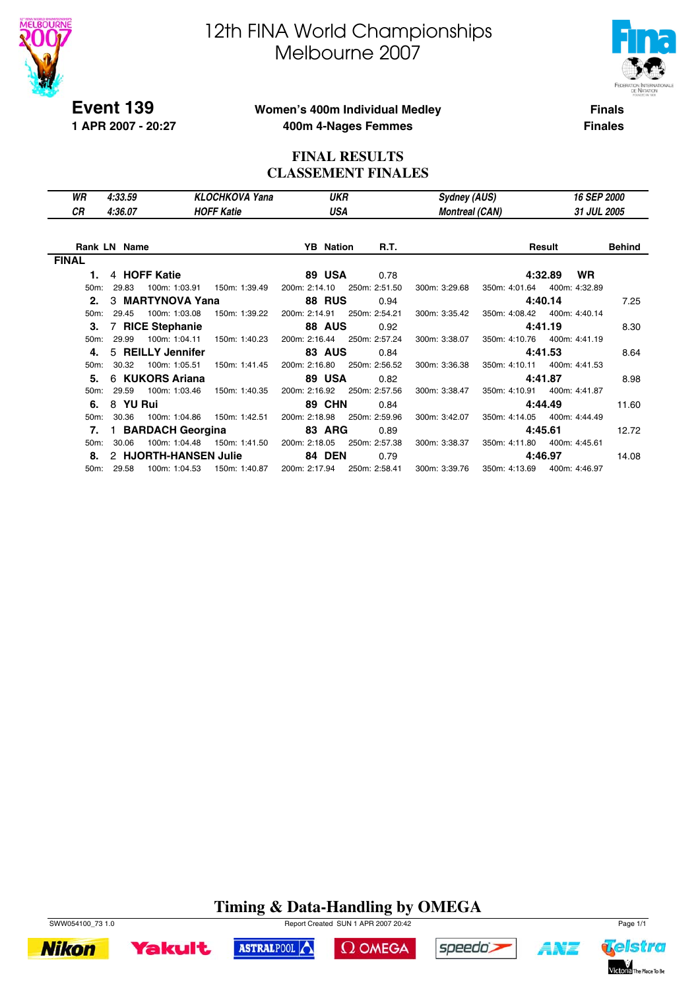

**1 APR 2007 - 20:27**

# 12th FINA World Championships Melbourne 2007



**Finals**

**Finales**

### **Women's 400m Individual Medley 400m 4-Nages Femmes**

### **FINAL RESULTS CLASSEMENT FINALES**

| WR           | 4:33.59             |                       | <b>KLOCHKOVA Yana</b> | <b>UKR</b>       |               | <b>Sydney (AUS)</b>   |               | <b>16 SEP 2000</b>   |               |
|--------------|---------------------|-----------------------|-----------------------|------------------|---------------|-----------------------|---------------|----------------------|---------------|
| СR           | 4:36.07             |                       | <b>HOFF Katie</b>     | USA              |               | <b>Montreal (CAN)</b> |               | 31 JUL 2005          |               |
|              |                     |                       |                       |                  |               |                       |               |                      |               |
|              | <b>Rank LN Name</b> |                       |                       | <b>YB</b> Nation | R.T.          |                       |               | Result               | <b>Behind</b> |
| <b>FINAL</b> |                     |                       |                       |                  |               |                       |               |                      |               |
| 1.           |                     | 4 HOFF Katie          |                       | 89 USA           | 0.78          |                       |               | <b>WR</b><br>4:32.89 |               |
| 50m:         | 29.83               | 100m: 1:03.91         | 150m: 1:39.49         | 200m: 2:14.10    | 250m: 2:51.50 | 300m: 3:29.68         | 350m: 4:01.64 | 400m: 4:32.89        |               |
| 2.           |                     | 3 MARTYNOVA Yana      |                       | <b>88 RUS</b>    | 0.94          |                       |               | 4:40.14              | 7.25          |
| 50m:         | 29.45               | 100m: 1:03.08         | 150m: 1:39.22         | 200m: 2:14.91    | 250m: 2:54.21 | 300m: 3:35.42         | 350m: 4:08.42 | 400m: 4:40.14        |               |
| 3.           |                     | 7 RICE Stephanie      |                       | 88 AUS           | 0.92          |                       |               | 4:41.19              | 8.30          |
| 50m:         | 29.99               | 100m: 1:04.11         | 150m: 1:40.23         | 200m: 2:16.44    | 250m: 2:57.24 | 300m: 3:38.07         | 350m: 4:10.76 | 400m: 4:41.19        |               |
| 4.           |                     | 5 REILLY Jennifer     |                       | <b>83 AUS</b>    | 0.84          |                       |               | 4:41.53              | 8.64          |
| 50m:         | 30.32               | 100m: 1:05.51         | 150m: 1:41.45         | 200m: 2:16.80    | 250m: 2:56.52 | 300m: 3:36.38         | 350m: 4:10.11 | 400m: 4:41.53        |               |
| 5.           |                     | 6 KUKORS Ariana       |                       | 89 USA           | 0.82          |                       |               | 4:41.87              | 8.98          |
| 50m:         | 29.59               | 100m: 1:03.46         | 150m: 1:40.35         | 200m: 2:16.92    | 250m: 2:57.56 | 300m: 3:38.47         | 350m: 4:10.91 | 400m: 4:41.87        |               |
| 6.           | 8 YU Rui            |                       |                       | <b>89 CHN</b>    | 0.84          |                       |               | 4:44.49              | 11.60         |
| 50m:         | 30.36               | 100m: 1:04.86         | 150m: 1:42.51         | 200m: 2:18.98    | 250m: 2:59.96 | 300m: 3:42.07         | 350m: 4:14.05 | 400m: 4:44.49        |               |
| 7.           |                     | 1 BARDACH Georgina    |                       | 83 ARG           | 0.89          |                       |               | 4:45.61              | 12.72         |
| 50m:         | 30.06               | 100m: 1:04.48         | 150m: 1:41.50         | 200m: 2:18.05    | 250m: 2:57.38 | 300m: 3:38.37         | 350m: 4:11.80 | 400m: 4:45.61        |               |
| 8.           |                     | 2 HJORTH-HANSEN Julie |                       | <b>84 DEN</b>    | 0.79          |                       |               | 4:46.97              | 14.08         |
|              | 50m: 29.58          | 100m: 1:04.53         | 150m: 1:40.87         | 200m: 2:17.94    | 250m: 2:58.41 | 300m: 3:39.76         | 350m: 4:13.69 | 400m: 4:46.97        |               |

# **Timing & Data-Handling by OMEGA**

 $\Omega$  OMEGA

speedo;

ASTRALPOOL



**Yakult** 



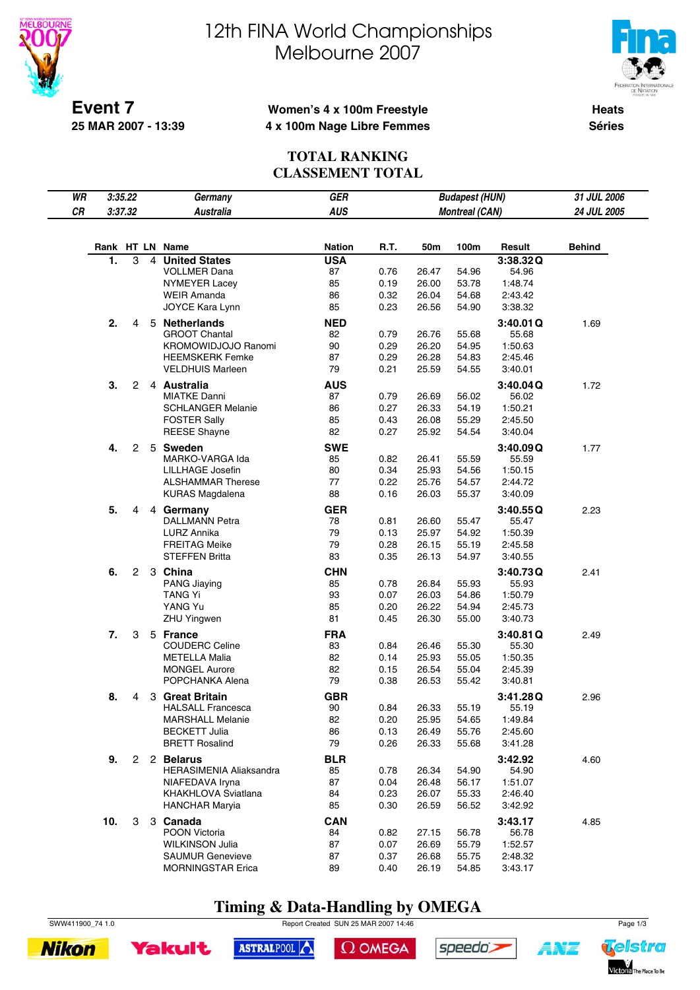



**Event 7 25 MAR 2007 - 13:39**

## **Women's 4 x 100m Freestyle 4 x 100m Nage Libre Femmes**

**Heats Séries**

## **TOTAL RANKING CLASSEMENT TOTAL**

| WR | 3:35.22         |   |                | Germany                                         | GER              | <b>Budapest (HUN)</b> |                |                |                    | 31 JUL 2006   |
|----|-----------------|---|----------------|-------------------------------------------------|------------------|-----------------------|----------------|----------------|--------------------|---------------|
| CR | 3:37.32         |   |                | <b>Australia</b>                                | <b>AUS</b>       | <b>Montreal (CAN)</b> |                |                |                    | 24 JUL 2005   |
|    |                 |   |                |                                                 |                  |                       |                |                |                    |               |
|    | Rank HT LN Name |   |                |                                                 | <b>Nation</b>    | R.T.                  | 50m            | 100m           | Result             | <b>Behind</b> |
|    | 1.              | 3 | $\overline{4}$ | <b>United States</b>                            | <b>USA</b>       |                       |                |                | 3:38.32Q           |               |
|    |                 |   |                | <b>VOLLMER Dana</b>                             | 87               | 0.76                  | 26.47          | 54.96          | 54.96              |               |
|    |                 |   |                | NYMEYER Lacey                                   | 85               | 0.19                  | 26.00          | 53.78          | 1:48.74            |               |
|    |                 |   |                | <b>WEIR Amanda</b>                              | 86               | 0.32                  | 26.04          | 54.68          | 2:43.42            |               |
|    |                 |   |                | JOYCE Kara Lynn                                 | 85               | 0.23                  | 26.56          | 54.90          | 3:38.32            |               |
|    | 2.              | 4 |                | 5 Netherlands                                   | <b>NED</b>       |                       |                |                | 3:40.01Q           | 1.69          |
|    |                 |   |                | <b>GROOT Chantal</b>                            | 82               | 0.79                  | 26.76          | 55.68          | 55.68              |               |
|    |                 |   |                | <b>KROMOWIDJOJO Ranomi</b>                      | 90               | 0.29                  | 26.20          | 54.95          | 1:50.63            |               |
|    |                 |   |                | <b>HEEMSKERK Femke</b>                          | 87               | 0.29                  | 26.28          | 54.83          | 2:45.46            |               |
|    |                 |   |                | <b>VELDHUIS Marleen</b>                         | 79               | 0.21                  | 25.59          | 54.55          | 3:40.01            |               |
|    | 3.              | 2 |                | 4 Australia                                     | <b>AUS</b>       |                       |                |                | 3:40.04Q           | 1.72          |
|    |                 |   |                | <b>MIATKE Danni</b>                             | 87               | 0.79                  | 26.69          | 56.02          | 56.02              |               |
|    |                 |   |                | <b>SCHLANGER Melanie</b><br><b>FOSTER Sally</b> | 86<br>85         | 0.27<br>0.43          | 26.33<br>26.08 | 54.19<br>55.29 | 1:50.21<br>2:45.50 |               |
|    |                 |   |                | <b>REESE Shayne</b>                             | 82               | 0.27                  | 25.92          | 54.54          | 3:40.04            |               |
|    |                 |   |                |                                                 |                  |                       |                |                |                    |               |
|    | 4.              | 2 |                | 5 Sweden<br>MARKO-VARGA Ida                     | <b>SWE</b><br>85 | 0.82                  | 26.41          | 55.59          | 3:40.09Q<br>55.59  | 1.77          |
|    |                 |   |                | LILLHAGE Josefin                                | 80               | 0.34                  | 25.93          | 54.56          | 1:50.15            |               |
|    |                 |   |                | <b>ALSHAMMAR Therese</b>                        | 77               | 0.22                  | 25.76          | 54.57          | 2:44.72            |               |
|    |                 |   |                | <b>KURAS Magdalena</b>                          | 88               | 0.16                  | 26.03          | 55.37          | 3:40.09            |               |
|    | 5.              | 4 |                | 4 Germany                                       | <b>GER</b>       |                       |                |                | 3:40.55Q           | 2.23          |
|    |                 |   |                | <b>DALLMANN Petra</b>                           | 78               | 0.81                  | 26.60          | 55.47          | 55.47              |               |
|    |                 |   |                | LURZ Annika                                     | 79               | 0.13                  | 25.97          | 54.92          | 1:50.39            |               |
|    |                 |   |                | <b>FREITAG Meike</b>                            | 79               | 0.28                  | 26.15          | 55.19          | 2:45.58            |               |
|    |                 |   |                | <b>STEFFEN Britta</b>                           | 83               | 0.35                  | 26.13          | 54.97          | 3:40.55            |               |
|    | 6.              | 2 |                | 3 China                                         | <b>CHN</b>       |                       |                |                | 3:40.73Q           | 2.41          |
|    |                 |   |                | <b>PANG Jiaying</b>                             | 85               | 0.78                  | 26.84          | 55.93          | 55.93              |               |
|    |                 |   |                | TANG Yi                                         | 93               | 0.07                  | 26.03          | 54.86          | 1:50.79            |               |
|    |                 |   |                | YANG Yu                                         | 85               | 0.20                  | 26.22          | 54.94          | 2:45.73            |               |
|    |                 |   |                | <b>ZHU Yingwen</b>                              | 81               | 0.45                  | 26.30          | 55.00          | 3:40.73            |               |
|    | 7.              | 3 |                | 5 France                                        | <b>FRA</b>       |                       |                |                | 3:40.81Q           | 2.49          |
|    |                 |   |                | <b>COUDERC Celine</b>                           | 83               | 0.84                  | 26.46          | 55.30          | 55.30              |               |
|    |                 |   |                | <b>METELLA Malia</b>                            | 82               | 0.14                  | 25.93          | 55.05          | 1:50.35            |               |
|    |                 |   |                | <b>MONGEL Aurore</b><br>POPCHANKA Alena         | 82<br>79         | 0.15<br>0.38          | 26.54<br>26.53 | 55.04<br>55.42 | 2:45.39<br>3:40.81 |               |
|    |                 |   |                |                                                 |                  |                       |                |                |                    |               |
|    | 8.              | 4 |                | 3 Great Britain<br><b>HALSALL Francesca</b>     | <b>GBR</b><br>90 | 0.84                  | 26.33          | 55.19          | 3:41.28Q<br>55.19  | 2.96          |
|    |                 |   |                | <b>MARSHALL Melanie</b>                         | 82               | 0.20                  | 25.95          | 54.65          | 1:49.84            |               |
|    |                 |   |                | <b>BECKETT Julia</b>                            | 86               | 0.13                  | 26.49          | 55.76          | 2:45.60            |               |
|    |                 |   |                | <b>BRETT Rosalind</b>                           | 79               | 0.26                  | 26.33          | 55.68          | 3:41.28            |               |
|    | 9.              |   |                | 2 2 Belarus                                     | <b>BLR</b>       |                       |                |                | 3:42.92            | 4.60          |
|    |                 |   |                | <b>HERASIMENIA Aliaksandra</b>                  | 85               | 0.78                  | 26.34          | 54.90          | 54.90              |               |
|    |                 |   |                | NIAFEDAVA Iryna                                 | 87               | 0.04                  | 26.48          | 56.17          | 1:51.07            |               |
|    |                 |   |                | KHAKHLOVA Sviatlana                             | 84               | 0.23                  | 26.07          | 55.33          | 2:46.40            |               |
|    |                 |   |                | <b>HANCHAR Maryia</b>                           | 85               | 0.30                  | 26.59          | 56.52          | 3:42.92            |               |
|    | 10.             | 3 |                | 3 Canada                                        | <b>CAN</b>       |                       |                |                | 3:43.17            | 4.85          |
|    |                 |   |                | POON Victoria                                   | 84               | 0.82                  | 27.15          | 56.78          | 56.78              |               |
|    |                 |   |                | <b>WILKINSON Julia</b>                          | 87               | 0.07                  | 26.69          | 55.79          | 1:52.57            |               |
|    |                 |   |                | <b>SAUMUR Genevieve</b>                         | 87               | 0.37                  | 26.68          | 55.75          | 2:48.32            |               |
|    |                 |   |                | <b>MORNINGSTAR Erica</b>                        | 89               | 0.40                  | 26.19          | 54.85          | 3:43.17            |               |

# **Timing & Data-Handling by OMEGA**

SWW411900\_74 1.0 Report Created SUN 25 MAR 2007 14:46 Page 1/3





 $\Omega$  OMEGA





4¥7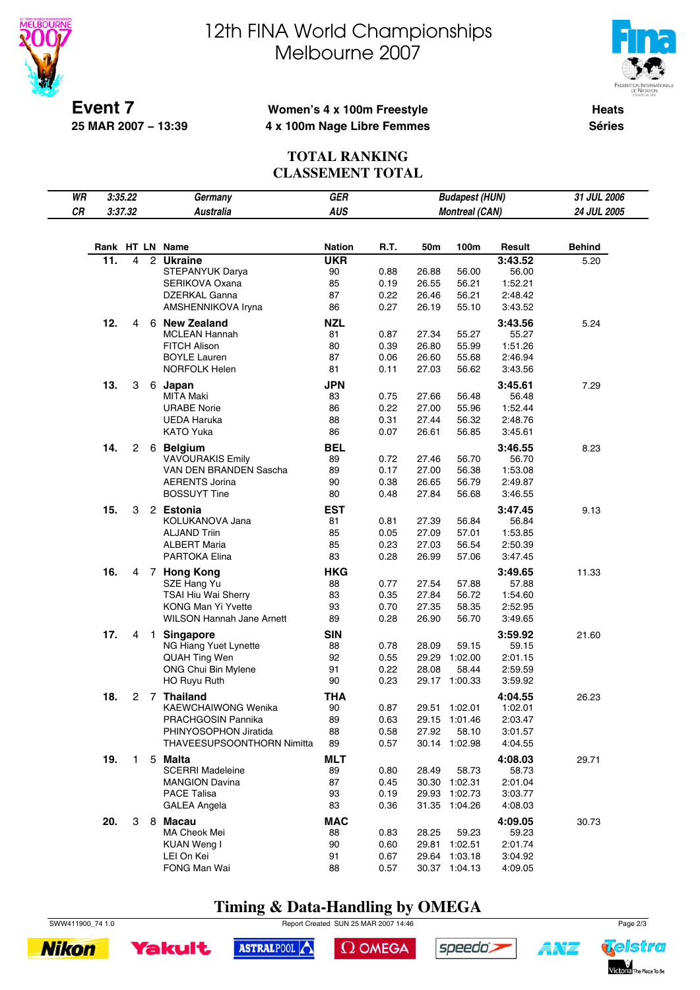



**Event 7 25 MAR 2007 − 13:39**

## **Women's 4 x 100m Freestyle 4 x 100m Nage Libre Femmes**

**Heats Séries**

### **TOTAL RANKING CLASSEMENT TOTAL**

| WR | 3:35.22 |              |                | Germany                                          | <b>GER</b>       | <b>Budapest (HUN)</b> |                       |                          | 31 JUL 2006        |               |
|----|---------|--------------|----------------|--------------------------------------------------|------------------|-----------------------|-----------------------|--------------------------|--------------------|---------------|
| CR | 3:37.32 |              |                | <b>Australia</b>                                 | <b>AUS</b>       |                       | <b>Montreal (CAN)</b> |                          |                    | 24 JUL 2005   |
|    |         |              |                |                                                  |                  |                       |                       |                          |                    |               |
|    |         |              |                | Rank HT LN Name                                  | <b>Nation</b>    | <b>R.T.</b>           | 50m                   | 100m                     | Result             | <b>Behind</b> |
|    | 11.     | 4            | $\overline{2}$ | <b>Ukraine</b>                                   | <b>UKR</b>       |                       |                       |                          | 3:43.52            | 5.20          |
|    |         |              |                | STEPANYUK Darya                                  | 90               | 0.88                  | 26.88                 | 56.00                    | 56.00              |               |
|    |         |              |                | SERIKOVA Oxana                                   | 85               | 0.19                  | 26.55                 | 56.21                    | 1:52.21            |               |
|    |         |              |                | DZERKAL Ganna                                    | 87               | 0.22                  | 26.46                 | 56.21                    | 2:48.42            |               |
|    |         |              |                | AMSHENNIKOVA Iryna                               | 86               | 0.27                  | 26.19                 | 55.10                    | 3:43.52            |               |
|    | 12.     | 4            |                | 6 New Zealand                                    | <b>NZL</b>       |                       |                       |                          | 3:43.56            | 5.24          |
|    |         |              |                | <b>MCLEAN Hannah</b>                             | 81               | 0.87                  | 27.34                 | 55.27                    | 55.27              |               |
|    |         |              |                | <b>FITCH Alison</b>                              | 80               | 0.39                  | 26.80                 | 55.99                    | 1:51.26            |               |
|    |         |              |                | <b>BOYLE Lauren</b><br><b>NORFOLK Helen</b>      | 87<br>81         | 0.06<br>0.11          | 26.60<br>27.03        | 55.68<br>56.62           | 2:46.94<br>3:43.56 |               |
|    |         |              |                |                                                  |                  |                       |                       |                          |                    |               |
|    | 13.     | 3            |                | 6 Japan<br><b>MITA Maki</b>                      | <b>JPN</b><br>83 | 0.75                  |                       | 56.48                    | 3:45.61<br>56.48   | 7.29          |
|    |         |              |                | <b>URABE Norie</b>                               | 86               | 0.22                  | 27.66<br>27.00        | 55.96                    | 1:52.44            |               |
|    |         |              |                | UEDA Haruka                                      | 88               | 0.31                  | 27.44                 | 56.32                    | 2:48.76            |               |
|    |         |              |                | <b>KATO Yuka</b>                                 | 86               | 0.07                  | 26.61                 | 56.85                    | 3:45.61            |               |
|    | 14.     | 2            |                | 6 Belgium                                        | <b>BEL</b>       |                       |                       |                          | 3:46.55            | 8.23          |
|    |         |              |                | <b>VAVOURAKIS Emily</b>                          | 89               | 0.72                  | 27.46                 | 56.70                    | 56.70              |               |
|    |         |              |                | VAN DEN BRANDEN Sascha                           | 89               | 0.17                  | 27.00                 | 56.38                    | 1:53.08            |               |
|    |         |              |                | <b>AERENTS Jorina</b>                            | 90               | 0.38                  | 26.65                 | 56.79                    | 2:49.87            |               |
|    |         |              |                | <b>BOSSUYT Tine</b>                              | 80               | 0.48                  | 27.84                 | 56.68                    | 3:46.55            |               |
|    | 15.     | 3            |                | 2 Estonia                                        | <b>EST</b>       |                       |                       |                          | 3:47.45            | 9.13          |
|    |         |              |                | KOLUKANOVA Jana                                  | 81               | 0.81                  | 27.39                 | 56.84                    | 56.84              |               |
|    |         |              |                | <b>ALJAND Triin</b>                              | 85               | 0.05                  | 27.09                 | 57.01                    | 1:53.85            |               |
|    |         |              |                | <b>ALBERT Maria</b>                              | 85               | 0.23                  | 27.03                 | 56.54                    | 2:50.39            |               |
|    |         |              |                | PARTOKA Elina                                    | 83               | 0.28                  | 26.99                 | 57.06                    | 3:47.45            |               |
|    | 16.     | 4            |                | 7 Hong Kong                                      | <b>HKG</b>       |                       |                       |                          | 3:49.65            | 11.33         |
|    |         |              |                | SZE Hang Yu                                      | 88               | 0.77                  | 27.54                 | 57.88                    | 57.88              |               |
|    |         |              |                | TSAI Hiu Wai Sherry<br><b>KONG Man Yi Yvette</b> | 83<br>93         | 0.35<br>0.70          | 27.84<br>27.35        | 56.72<br>58.35           | 1:54.60<br>2:52.95 |               |
|    |         |              |                | WILSON Hannah Jane Arnett                        | 89               | 0.28                  | 26.90                 | 56.70                    | 3:49.65            |               |
|    | 17.     |              |                |                                                  | <b>SIN</b>       |                       |                       |                          |                    |               |
|    |         | 4            | $\overline{1}$ | <b>Singapore</b><br>NG Hiang Yuet Lynette        | 88               | 0.78                  | 28.09                 | 59.15                    | 3:59.92<br>59.15   | 21.60         |
|    |         |              |                | QUAH Ting Wen                                    | 92               | 0.55                  | 29.29                 | 1:02.00                  | 2:01.15            |               |
|    |         |              |                | ONG Chui Bin Mylene                              | 91               | 0.22                  | 28.08                 | 58.44                    | 2:59.59            |               |
|    |         |              |                | HO Ruyu Ruth                                     | 90               | 0.23                  |                       | 29.17 1:00.33            | 3:59.92            |               |
|    | 18.     | 2            | $\overline{7}$ | <b>Thailand</b>                                  | <b>THA</b>       |                       |                       |                          | 4:04.55            | 26.23         |
|    |         |              |                | <b>KAEWCHAIWONG Wenika</b>                       | 90               | 0.87                  |                       | 29.51 1:02.01            | 1:02.01            |               |
|    |         |              |                | PRACHGOSIN Pannika                               | 89               | 0.63                  |                       | 29.15 1:01.46            | 2:03.47            |               |
|    |         |              |                | PHINYOSOPHON Jiratida                            | 88               | 0.58                  | 27.92                 | 58.10                    | 3:01.57            |               |
|    |         |              |                | THAVEESUPSOONTHORN Nimitta                       | 89               | 0.57                  |                       | 30.14 1:02.98            | 4:04.55            |               |
|    | 19.     | $\mathbf{1}$ |                | 5 Malta                                          | <b>MLT</b>       |                       |                       |                          | 4:08.03            | 29.71         |
|    |         |              |                | <b>SCERRI Madeleine</b>                          | 89               | 0.80                  | 28.49                 | 58.73                    | 58.73              |               |
|    |         |              |                | <b>MANGION Davina</b>                            | 87               | 0.45                  | 30.30                 | 1:02.31                  | 2:01.04            |               |
|    |         |              |                | <b>PACE Talisa</b><br><b>GALEA Angela</b>        | 93<br>83         | 0.19<br>0.36          | 29.93                 | 1:02.73<br>31.35 1:04.26 | 3:03.77<br>4:08.03 |               |
|    |         |              |                |                                                  |                  |                       |                       |                          |                    |               |
|    | 20.     | 3            |                | 8 Macau<br>MA Cheok Mei                          | <b>MAC</b><br>88 | 0.83                  | 28.25                 | 59.23                    | 4:09.05<br>59.23   | 30.73         |
|    |         |              |                | KUAN Weng I                                      | 90               | 0.60                  | 29.81                 | 1:02.51                  | 2:01.74            |               |
|    |         |              |                | LEI On Kei                                       | 91               | 0.67                  |                       | 29.64 1:03.18            | 3:04.92            |               |
|    |         |              |                | FONG Man Wai                                     | 88               | 0.57                  |                       | 30.37 1:04.13            | 4:09.05            |               |

# **Timing & Data-Handling by OMEGA**

SWW411900\_74 1.0 Report Created SUN 25 MAR 2007 14:46 Page 2/3

ASTRALPOOL





 $\Omega$  OMEGA



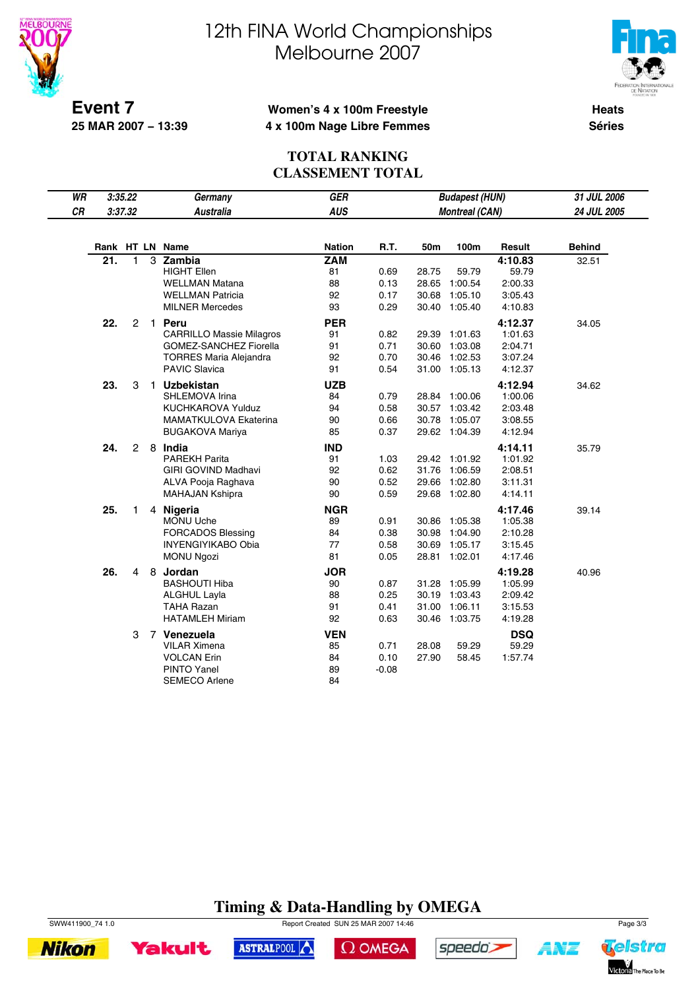



**Event 7 25 MAR 2007 − 13:39**

## **Women's 4 x 100m Freestyle 4 x 100m Nage Libre Femmes**

**Heats Séries**

## **TOTAL RANKING CLASSEMENT TOTAL**

|    | WR<br>3:35.22<br>GER<br>Germany |                |   |                                 | <b>Budapest (HUN)</b> |         | 31 JUL 2006 |                       |            |               |
|----|---------------------------------|----------------|---|---------------------------------|-----------------------|---------|-------------|-----------------------|------------|---------------|
| CR |                                 | 3:37.32        |   | <b>Australia</b>                | <b>AUS</b>            |         |             | <b>Montreal (CAN)</b> |            | 24 JUL 2005   |
|    |                                 |                |   |                                 |                       |         |             |                       |            |               |
|    |                                 |                |   | Rank HT LN Name                 | <b>Nation</b>         | R.T.    | 50m         | 100m                  | Result     | <b>Behind</b> |
|    | 21.                             | $\mathbf{1}$   |   | 3 Zambia                        | <b>ZAM</b>            |         |             |                       | 4:10.83    | 32.51         |
|    |                                 |                |   | <b>HIGHT Ellen</b>              | 81                    | 0.69    | 28.75       | 59.79                 | 59.79      |               |
|    |                                 |                |   | <b>WELLMAN Matana</b>           | 88                    | 0.13    | 28.65       | 1:00.54               | 2:00.33    |               |
|    |                                 |                |   | <b>WELLMAN Patricia</b>         | 92                    | 0.17    | 30.68       | 1:05.10               | 3:05.43    |               |
|    |                                 |                |   | <b>MILNER Mercedes</b>          | 93                    | 0.29    |             | 30.40 1:05.40         | 4:10.83    |               |
|    | 22.                             | $\overline{c}$ |   | 1 Peru                          | <b>PER</b>            |         |             |                       | 4:12.37    | 34.05         |
|    |                                 |                |   | <b>CARRILLO Massie Milagros</b> | 91                    | 0.82    | 29.39       | 1:01.63               | 1:01.63    |               |
|    |                                 |                |   | <b>GOMEZ-SANCHEZ Fiorella</b>   | 91                    | 0.71    | 30.60       | 1:03.08               | 2:04.71    |               |
|    |                                 |                |   | <b>TORRES Maria Alejandra</b>   | 92                    | 0.70    | 30.46       | 1:02.53               | 3:07.24    |               |
|    |                                 |                |   | <b>PAVIC Slavica</b>            | 91                    | 0.54    |             | 31.00 1:05.13         | 4:12.37    |               |
|    | 23.                             | 3              |   | 1 Uzbekistan                    | <b>UZB</b>            |         |             |                       | 4:12.94    | 34.62         |
|    |                                 |                |   | SHLEMOVA Irina                  | 84                    | 0.79    |             | 28.84 1:00.06         | 1:00.06    |               |
|    |                                 |                |   | <b>KUCHKAROVA Yulduz</b>        | 94                    | 0.58    |             | 30.57 1:03.42         | 2:03.48    |               |
|    |                                 |                |   | MAMATKULOVA Ekaterina           | 90                    | 0.66    |             | 30.78 1:05.07         | 3:08.55    |               |
|    |                                 |                |   | <b>BUGAKOVA Mariya</b>          | 85                    | 0.37    |             | 29.62 1:04.39         | 4:12.94    |               |
|    | 24.                             | $\overline{2}$ |   | 8 India                         | <b>IND</b>            |         |             |                       | 4:14.11    | 35.79         |
|    |                                 |                |   | <b>PAREKH Parita</b>            | 91                    | 1.03    |             | 29.42 1:01.92         | 1:01.92    |               |
|    |                                 |                |   | GIRI GOVIND Madhavi             | 92                    | 0.62    | 31.76       | 1:06.59               | 2:08.51    |               |
|    |                                 |                |   | ALVA Pooja Raghava              | 90                    | 0.52    | 29.66       | 1:02.80               | 3:11.31    |               |
|    |                                 |                |   | <b>MAHAJAN Kshipra</b>          | 90                    | 0.59    |             | 29.68 1:02.80         | 4:14.11    |               |
|    | 25.                             | $\mathbf{1}$   |   | 4 Nigeria                       | <b>NGR</b>            |         |             |                       | 4:17.46    | 39.14         |
|    |                                 |                |   | MONU Uche                       | 89                    | 0.91    | 30.86       | 1:05.38               | 1:05.38    |               |
|    |                                 |                |   | <b>FORCADOS Blessing</b>        | 84                    | 0.38    | 30.98       | 1:04.90               | 2:10.28    |               |
|    |                                 |                |   | <b>INYENGIYIKABO Obia</b>       | 77                    | 0.58    | 30.69       | 1:05.17               | 3:15.45    |               |
|    |                                 |                |   | <b>MONU Ngozi</b>               | 81                    | 0.05    |             | 28.81 1:02.01         | 4:17.46    |               |
|    | 26.                             | 4              | 8 | Jordan                          | <b>JOR</b>            |         |             |                       | 4:19.28    | 40.96         |
|    |                                 |                |   | <b>BASHOUTI Hiba</b>            | 90                    | 0.87    |             | 31.28 1:05.99         | 1:05.99    |               |
|    |                                 |                |   | <b>ALGHUL Layla</b>             | 88                    | 0.25    | 30.19       | 1:03.43               | 2:09.42    |               |
|    |                                 |                |   | <b>TAHA Razan</b>               | 91                    | 0.41    | 31.00       | 1:06.11               | 3:15.53    |               |
|    |                                 |                |   | <b>HATAMLEH Miriam</b>          | 92                    | 0.63    |             | 30.46 1:03.75         | 4:19.28    |               |
|    |                                 | 3              |   | 7 Venezuela                     | <b>VEN</b>            |         |             |                       | <b>DSQ</b> |               |
|    |                                 |                |   | <b>VILAR Ximena</b>             | 85                    | 0.71    | 28.08       | 59.29                 | 59.29      |               |
|    |                                 |                |   | <b>VOLCAN Erin</b>              | 84                    | 0.10    | 27.90       | 58.45                 | 1:57.74    |               |
|    |                                 |                |   | <b>PINTO Yanel</b>              | 89                    | $-0.08$ |             |                       |            |               |
|    |                                 |                |   | <b>SEMECO Arlene</b>            | 84                    |         |             |                       |            |               |

# **Timing & Data-Handling by OMEGA**

 $\Omega$  OMEGA





**Yakult** 

SWW411900\_74 1.0 Page 3/3

ASTRALPOOL



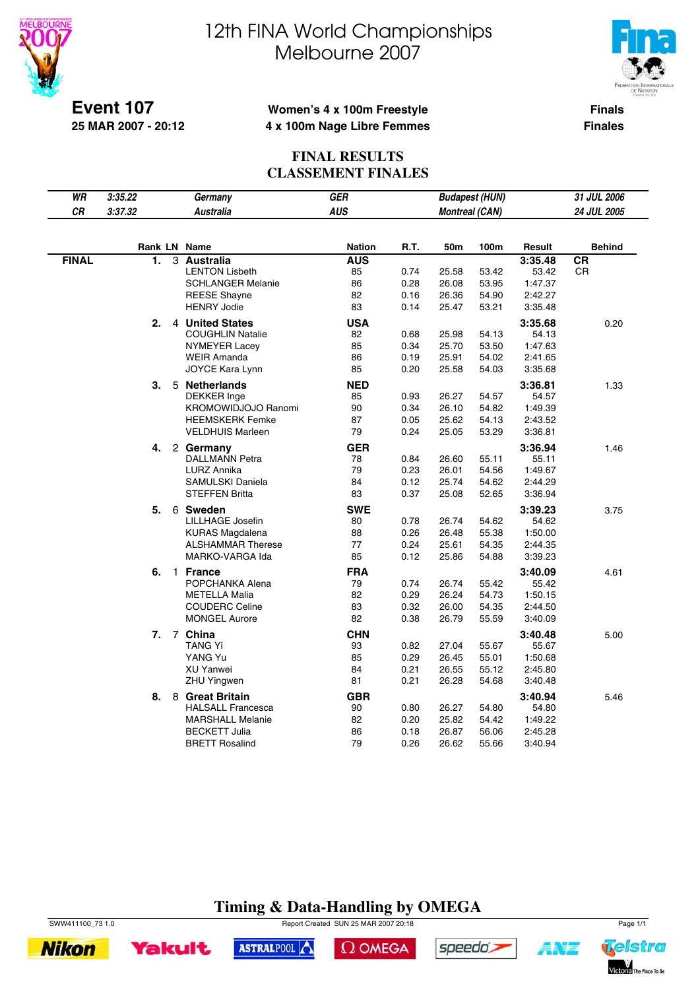

 $\overline{\phantom{a}}$ 

# 12th FINA World Championships Melbourne 2007



**Event 107 25 MAR 2007 - 20:12**

## **Women's 4 x 100m Freestyle 4 x 100m Nage Libre Femmes**

**Finals Finales**

## **FINAL RESULTS CLASSEMENT FINALES**

| WR           | 3:35.22 |              | Germany                                       | GER              |              |                       | <b>Budapest (HUN)</b> |                    | 31 JUL 2006   |
|--------------|---------|--------------|-----------------------------------------------|------------------|--------------|-----------------------|-----------------------|--------------------|---------------|
| CR           | 3:37.32 |              | <b>Australia</b>                              | <b>AUS</b>       |              | <b>Montreal (CAN)</b> |                       |                    | 24 JUL 2005   |
|              |         |              |                                               |                  |              |                       |                       |                    |               |
|              |         |              | Rank LN Name                                  | <b>Nation</b>    | R.T.         | 50m                   | 100m                  | Result             | <b>Behind</b> |
| <b>FINAL</b> | 1.      |              | 3 Australia                                   | <b>AUS</b>       |              |                       |                       | 3:35.48            | <b>CR</b>     |
|              |         |              | <b>LENTON Lisbeth</b>                         | 85               | 0.74         | 25.58                 | 53.42                 | 53.42              | CR            |
|              |         |              | <b>SCHLANGER Melanie</b>                      | 86               | 0.28         | 26.08                 | 53.95                 | 1:47.37            |               |
|              |         |              | <b>REESE Shayne</b><br><b>HENRY Jodie</b>     | 82<br>83         | 0.16         | 26.36                 | 54.90                 | 2:42.27            |               |
|              |         |              |                                               |                  | 0.14         | 25.47                 | 53.21                 | 3:35.48            |               |
|              | 2.      |              | 4 United States                               | <b>USA</b>       |              |                       |                       | 3:35.68            | 0.20          |
|              |         |              | <b>COUGHLIN Natalie</b>                       | 82               | 0.68         | 25.98                 | 54.13                 | 54.13              |               |
|              |         |              | NYMEYER Lacey                                 | 85               | 0.34         | 25.70                 | 53.50                 | 1:47.63            |               |
|              |         |              | <b>WEIR Amanda</b><br>JOYCE Kara Lynn         | 86<br>85         | 0.19<br>0.20 | 25.91<br>25.58        | 54.02                 | 2:41.65            |               |
|              |         |              |                                               |                  |              |                       | 54.03                 | 3:35.68            |               |
|              | З.      |              | 5 Netherlands                                 | <b>NED</b>       |              |                       |                       | 3:36.81            | 1.33          |
|              |         |              | <b>DEKKER</b> Inge                            | 85               | 0.93         | 26.27                 | 54.57                 | 54.57              |               |
|              |         |              | KROMOWIDJOJO Ranomi<br><b>HEEMSKERK Femke</b> | 90<br>87         | 0.34<br>0.05 | 26.10<br>25.62        | 54.82<br>54.13        | 1:49.39<br>2:43.52 |               |
|              |         |              | <b>VELDHUIS Marleen</b>                       | 79               | 0.24         | 25.05                 | 53.29                 | 3:36.81            |               |
|              |         |              |                                               |                  |              |                       |                       |                    |               |
|              | 4.      |              | 2 Germany                                     | <b>GER</b>       |              |                       |                       | 3:36.94            | 1.46          |
|              |         |              | <b>DALLMANN Petra</b>                         | 78               | 0.84         | 26.60                 | 55.11                 | 55.11              |               |
|              |         |              | LURZ Annika<br>SAMULSKI Daniela               | 79<br>84         | 0.23<br>0.12 | 26.01<br>25.74        | 54.56<br>54.62        | 1:49.67<br>2:44.29 |               |
|              |         |              | <b>STEFFEN Britta</b>                         | 83               | 0.37         | 25.08                 | 52.65                 | 3:36.94            |               |
|              |         |              |                                               |                  |              |                       |                       |                    |               |
|              | 5.      |              | 6 Sweden                                      | <b>SWE</b>       |              |                       |                       | 3:39.23            | 3.75          |
|              |         |              | LILLHAGE Josefin<br><b>KURAS Magdalena</b>    | 80<br>88         | 0.78<br>0.26 | 26.74<br>26.48        | 54.62<br>55.38        | 54.62<br>1:50.00   |               |
|              |         |              | <b>ALSHAMMAR Therese</b>                      | 77               | 0.24         | 25.61                 | 54.35                 | 2:44.35            |               |
|              |         |              | MARKO-VARGA Ida                               | 85               | 0.12         | 25.86                 | 54.88                 | 3:39.23            |               |
|              |         |              |                                               |                  |              |                       |                       |                    |               |
|              | 6.      | $\mathbf{1}$ | <b>France</b><br>POPCHANKA Alena              | <b>FRA</b><br>79 | 0.74         | 26.74                 | 55.42                 | 3:40.09<br>55.42   | 4.61          |
|              |         |              | <b>METELLA Malia</b>                          | 82               | 0.29         | 26.24                 | 54.73                 | 1:50.15            |               |
|              |         |              | <b>COUDERC Celine</b>                         | 83               | 0.32         | 26.00                 | 54.35                 | 2:44.50            |               |
|              |         |              | <b>MONGEL Aurore</b>                          | 82               | 0.38         | 26.79                 | 55.59                 | 3:40.09            |               |
|              |         |              |                                               | <b>CHN</b>       |              |                       |                       |                    |               |
|              | 7.      |              | 7 China<br>TANG Yi                            | 93               | 0.82         | 27.04                 | 55.67                 | 3:40.48<br>55.67   | 5.00          |
|              |         |              | YANG Yu                                       | 85               | 0.29         | 26.45                 | 55.01                 | 1:50.68            |               |
|              |         |              | <b>XU Yanwei</b>                              | 84               | 0.21         | 26.55                 | 55.12                 | 2:45.80            |               |
|              |         |              | ZHU Yingwen                                   | 81               | 0.21         | 26.28                 | 54.68                 | 3:40.48            |               |
|              | 8.      | 8            | <b>Great Britain</b>                          | <b>GBR</b>       |              |                       |                       | 3:40.94            |               |
|              |         |              | <b>HALSALL Francesca</b>                      | 90               | 0.80         | 26.27                 | 54.80                 | 54.80              | 5.46          |
|              |         |              | <b>MARSHALL Melanie</b>                       | 82               | 0.20         | 25.82                 | 54.42                 | 1:49.22            |               |
|              |         |              | <b>BECKETT Julia</b>                          | 86               | 0.18         | 26.87                 | 56.06                 | 2:45.28            |               |
|              |         |              | <b>BRETT Rosalind</b>                         | 79               | 0.26         | 26.62                 | 55.66                 | 3:40.94            |               |
|              |         |              |                                               |                  |              |                       |                       |                    |               |

# **Timing & Data-Handling by OMEGA**

SWW411100\_73 1.0 Report Created SUN 25 MAR 2007 20:18 Page 1/1



 $\Omega$  OMEGA



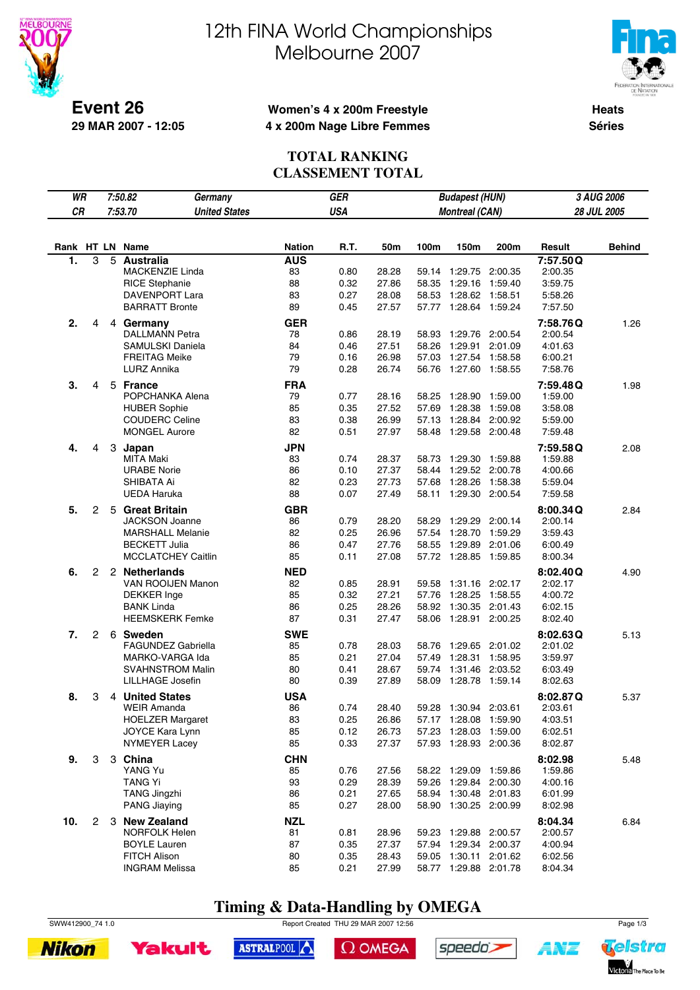

**29 MAR 2007 - 12:05**

# 12th FINA World Championships Melbourne 2007



**Heats Séries**

### **Women's 4 x 200m Freestyle 4 x 200m Nage Libre Femmes**

#### **TOTAL RANKING CLASSEMENT TOTAL**

| WR               |                |   | 7:50.82<br><b>GER</b><br><b>Budapest (HUN)</b><br>3 AUG 2006<br>Germany |               |            |       |       |                       |         |          |               |
|------------------|----------------|---|-------------------------------------------------------------------------|---------------|------------|-------|-------|-----------------------|---------|----------|---------------|
| CR               |                |   | 7:53.70<br><b>United States</b>                                         |               | <b>USA</b> |       |       | <b>Montreal (CAN)</b> |         |          | 28 JUL 2005   |
|                  |                |   |                                                                         |               |            |       |       |                       |         |          |               |
|                  |                |   | Rank HT LN Name                                                         | <b>Nation</b> | R.T.       | 50m   | 100m  | 150m                  | 200m    | Result   | <b>Behind</b> |
| $\overline{1}$ . | 3              | 5 | <b>Australia</b>                                                        | <b>AUS</b>    |            |       |       |                       |         | 7:57.50Q |               |
|                  |                |   | MACKENZIE Linda                                                         | 83            | 0.80       | 28.28 |       | 59.14 1:29.75 2:00.35 |         | 2:00.35  |               |
|                  |                |   | <b>RICE Stephanie</b>                                                   | 88            | 0.32       | 27.86 | 58.35 | 1:29.16               | 1:59.40 | 3:59.75  |               |
|                  |                |   | DAVENPORT Lara                                                          | 83            | 0.27       | 28.08 | 58.53 | 1:28.62               | 1:58.51 | 5:58.26  |               |
|                  |                |   | <b>BARRATT Bronte</b>                                                   | 89            | 0.45       | 27.57 | 57.77 | 1:28.64 1:59.24       |         | 7:57.50  |               |
| 2.               | 4              |   | 4 Germany                                                               | <b>GER</b>    |            |       |       |                       |         | 7:58.76Q | 1.26          |
|                  |                |   | <b>DALLMANN Petra</b>                                                   | 78            | 0.86       | 28.19 | 58.93 | 1:29.76               | 2:00.54 | 2:00.54  |               |
|                  |                |   | SAMULSKI Daniela                                                        | 84            | 0.46       | 27.51 | 58.26 | 1:29.91               | 2:01.09 | 4:01.63  |               |
|                  |                |   | <b>FREITAG Meike</b>                                                    | 79            | 0.16       | 26.98 | 57.03 | 1:27.54 1:58.58       |         | 6:00.21  |               |
|                  |                |   | LURZ Annika                                                             | 79            | 0.28       | 26.74 | 56.76 | 1:27.60               | 1:58.55 | 7:58.76  |               |
| 3.               | 4              | 5 | <b>France</b>                                                           | <b>FRA</b>    |            |       |       |                       |         | 7:59.48Q | 1.98          |
|                  |                |   | POPCHANKA Alena                                                         | 79            | 0.77       | 28.16 | 58.25 | 1:28.90               | 1:59.00 | 1:59.00  |               |
|                  |                |   | <b>HUBER Sophie</b>                                                     | 85            | 0.35       | 27.52 | 57.69 | 1:28.38               | 1:59.08 | 3:58.08  |               |
|                  |                |   | <b>COUDERC Celine</b>                                                   | 83            | 0.38       | 26.99 | 57.13 | 1:28.84               | 2:00.92 | 5:59.00  |               |
|                  |                |   | <b>MONGEL Aurore</b>                                                    | 82            | 0.51       | 27.97 | 58.48 | 1:29.58 2:00.48       |         | 7:59.48  |               |
| 4.               | 4              |   | 3 Japan                                                                 | <b>JPN</b>    |            |       |       |                       |         | 7:59.58Q | 2.08          |
|                  |                |   | <b>MITA Maki</b>                                                        | 83            | 0.74       | 28.37 | 58.73 | 1:29.30               | 1:59.88 | 1:59.88  |               |
|                  |                |   | <b>URABE Norie</b>                                                      | 86            | 0.10       | 27.37 | 58.44 | 1:29.52 2:00.78       |         | 4:00.66  |               |
|                  |                |   | SHIBATA Ai                                                              | 82            | 0.23       | 27.73 | 57.68 | 1:28.26               | 1:58.38 | 5:59.04  |               |
|                  |                |   | <b>UEDA Haruka</b>                                                      | 88            | 0.07       | 27.49 | 58.11 | 1:29.30 2:00.54       |         | 7:59.58  |               |
| 5.               | 2              | 5 | <b>Great Britain</b>                                                    | <b>GBR</b>    |            |       |       |                       |         | 8:00.34Q | 2.84          |
|                  |                |   | <b>JACKSON Joanne</b>                                                   | 86            | 0.79       | 28.20 | 58.29 | 1:29.29 2:00.14       |         | 2:00.14  |               |
|                  |                |   | <b>MARSHALL Melanie</b>                                                 | 82            | 0.25       | 26.96 |       | 57.54 1:28.70         | 1:59.29 | 3:59.43  |               |
|                  |                |   | <b>BECKETT Julia</b>                                                    | 86            | 0.47       | 27.76 | 58.55 | 1:29.89               | 2:01.06 | 6:00.49  |               |
|                  |                |   | <b>MCCLATCHEY Caitlin</b>                                               | 85            | 0.11       | 27.08 |       | 57.72 1:28.85 1:59.85 |         | 8:00.34  |               |
| 6.               | 2              |   | 2 Netherlands                                                           | <b>NED</b>    |            |       |       |                       |         | 8:02.40Q | 4.90          |
|                  |                |   | VAN ROOIJEN Manon                                                       | 82            | 0.85       | 28.91 | 59.58 | 1:31.16 2:02.17       |         | 2:02.17  |               |
|                  |                |   | <b>DEKKER</b> Inge                                                      | 85            | 0.32       | 27.21 | 57.76 | 1:28.25               | 1:58.55 | 4:00.72  |               |
|                  |                |   | <b>BANK Linda</b>                                                       | 86            | 0.25       | 28.26 | 58.92 | 1:30.35               | 2:01.43 | 6:02.15  |               |
|                  |                |   | <b>HEEMSKERK Femke</b>                                                  | 87            | 0.31       | 27.47 |       | 58.06 1:28.91 2:00.25 |         | 8:02.40  |               |
| 7.               | 2              |   | 6 Sweden                                                                | <b>SWE</b>    |            |       |       |                       |         | 8:02.63Q | 5.13          |
|                  |                |   | <b>FAGUNDEZ Gabriella</b>                                               | 85            | 0.78       | 28.03 | 58.76 | 1:29.65               | 2:01.02 | 2:01.02  |               |
|                  |                |   | MARKO-VARGA Ida                                                         | 85            | 0.21       | 27.04 | 57.49 | 1:28.31               | 1:58.95 | 3:59.97  |               |
|                  |                |   | <b>SVAHNSTROM Malin</b>                                                 | 80            | 0.41       | 28.67 | 59.74 | 1:31.46 2:03.52       |         | 6:03.49  |               |
|                  |                |   | <b>LILLHAGE Josefin</b>                                                 | 80            | 0.39       | 27.89 | 58.09 | 1:28.78               | 1:59.14 | 8:02.63  |               |
| 8.               | 3              |   | 4 United States                                                         | <b>USA</b>    |            |       |       |                       |         | 8:02.87Q | 5.37          |
|                  |                |   | <b>WEIR Amanda</b>                                                      | 86            | 0.74       | 28.40 |       | 59.28 1:30.94 2:03.61 |         | 2:03.61  |               |
|                  |                |   | <b>HOELZER Margaret</b>                                                 | 83            | 0.25       | 26.86 |       | 57.17 1:28.08 1:59.90 |         | 4:03.51  |               |
|                  |                |   | JOYCE Kara Lynn                                                         | 85            | 0.12       | 26.73 |       | 57.23 1:28.03 1:59.00 |         | 6:02.51  |               |
|                  |                |   | <b>NYMEYER Lacey</b>                                                    | 85            | 0.33       | 27.37 |       | 57.93 1:28.93 2:00.36 |         | 8:02.87  |               |
| 9.               | 3              |   | 3 China                                                                 | <b>CHN</b>    |            |       |       |                       |         | 8:02.98  | 5.48          |
|                  |                |   | YANG Yu                                                                 | 85            | 0.76       | 27.56 |       | 58.22 1:29.09 1:59.86 |         | 1:59.86  |               |
|                  |                |   | <b>TANG Yi</b>                                                          | 93            | 0.29       | 28.39 |       | 59.26 1:29.84 2:00.30 |         | 4:00.16  |               |
|                  |                |   | <b>TANG Jingzhi</b>                                                     | 86            | 0.21       | 27.65 |       | 58.94 1:30.48 2:01.83 |         | 6:01.99  |               |
|                  |                |   | PANG Jiaying                                                            | 85            | 0.27       | 28.00 |       | 58.90 1:30.25 2:00.99 |         | 8:02.98  |               |
| 10.              | $\overline{c}$ |   | 3 New Zealand                                                           | <b>NZL</b>    |            |       |       |                       |         | 8:04.34  | 6.84          |
|                  |                |   | <b>NORFOLK Helen</b>                                                    | 81            | 0.81       | 28.96 |       | 59.23 1:29.88 2:00.57 |         | 2:00.57  |               |
|                  |                |   | <b>BOYLE Lauren</b>                                                     | 87            | 0.35       | 27.37 |       | 57.94 1:29.34 2:00.37 |         | 4:00.94  |               |
|                  |                |   | FITCH Alison                                                            | 80            | 0.35       | 28.43 |       | 59.05 1:30.11 2:01.62 |         | 6:02.56  |               |
|                  |                |   | <b>INGRAM Melissa</b>                                                   | 85            | 0.21       | 27.99 |       | 58.77 1:29.88 2:01.78 |         | 8:04.34  |               |

# **Timing & Data-Handling by OMEGA**

SWW412900\_74 1.0 Report Created THU 29 MAR 2007 12:56 Page 1/3

ASTRALPOOL





 $\Omega$  OMEGA



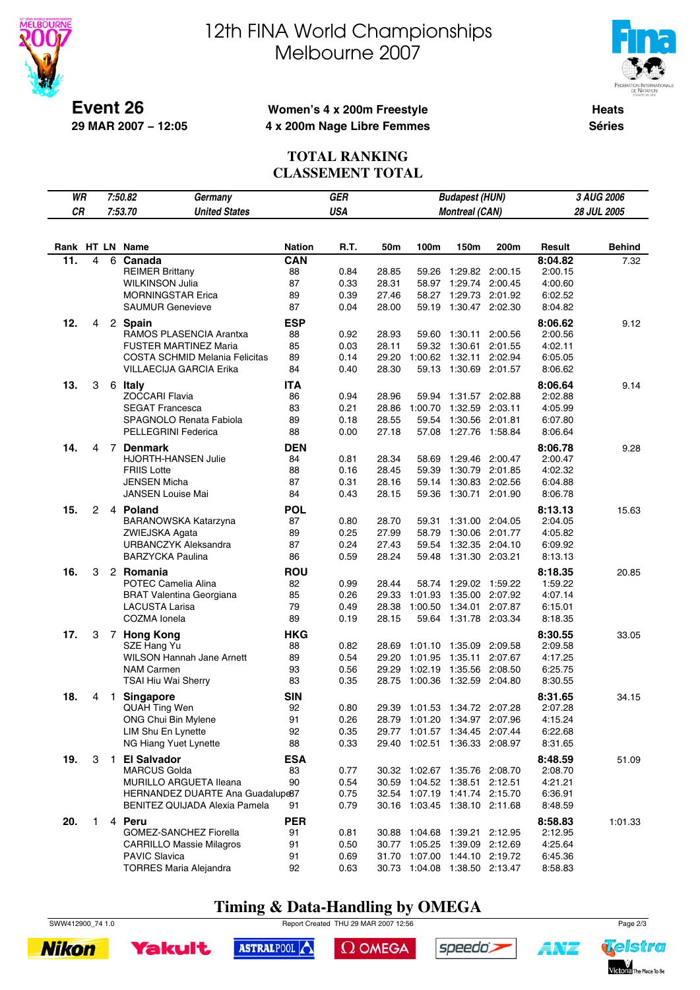



**Event 26 29 MAR 2007 − 12:05**

## **Women's 4 x 200m Freestyle 4 x 200m Nage Libre Femmes**

**Heats Séries**

### **TOTAL RANKING CLASSEMENT TOTAL**

| WR              |              |    | 7:50.82<br>Germany                                      |                  | <b>GER</b>   |       |                                                          | <b>Budapest (HUN)</b> |         |                    | 3 AUG 2006    |
|-----------------|--------------|----|---------------------------------------------------------|------------------|--------------|-------|----------------------------------------------------------|-----------------------|---------|--------------------|---------------|
| CR              |              |    | 7:53.70<br><b>United States</b>                         |                  | <b>USA</b>   |       |                                                          | <b>Montreal (CAN)</b> |         |                    | 28 JUL 2005   |
|                 |              |    |                                                         |                  |              |       |                                                          |                       |         |                    |               |
|                 |              |    |                                                         |                  |              |       |                                                          |                       |         |                    |               |
| Rank HT LN Name |              |    |                                                         | Nation           | R.T.         | 50m   | 100m                                                     | 150m                  | 200m    | Result             | <b>Behind</b> |
| 11.             | 4            | 6  | Canada                                                  | CAN              |              |       |                                                          |                       |         | 8:04.82            | 7.32          |
|                 |              |    | <b>REIMER Brittany</b>                                  | 88               | 0.84         | 28.85 | 59.26                                                    | 1:29.82               | 2:00.15 | 2:00.15            |               |
|                 |              |    | <b>WILKINSON Julia</b>                                  | 87               | 0.33         | 28.31 | 58.97                                                    | 1:29.74               | 2:00.45 | 4:00.60            |               |
|                 |              |    | <b>MORNINGSTAR Erica</b>                                | 89               | 0.39         | 27.46 | 58.27                                                    | 1:29.73               | 2:01.92 | 6:02.52            |               |
|                 |              |    | <b>SAUMUR Genevieve</b>                                 | 87               | 0.04         | 28.00 | 59.19                                                    | 1:30.47               | 2:02.30 | 8:04.82            |               |
| 12.             | 4            |    | 2 Spain                                                 | <b>ESP</b>       |              |       |                                                          |                       |         | 8:06.62            | 9.12          |
|                 |              |    | RAMOS PLASENCIA Arantxa                                 | 88               | 0.92         | 28.93 | 59.60                                                    | 1:30.11               | 2:00.56 | 2:00.56            |               |
|                 |              |    | <b>FUSTER MARTINEZ Maria</b>                            | 85               | 0.03         | 28.11 |                                                          | 59.32 1:30.61         | 2:01.55 | 4:02.11            |               |
|                 |              |    | COSTA SCHMID Melania Felicitas                          | 89               | 0.14         | 29.20 | 1:00.62 1:32.11                                          |                       | 2:02.94 | 6:05.05            |               |
|                 |              |    | <b>VILLAECIJA GARCIA Erika</b>                          | 84               | 0.40         | 28.30 | 59.13                                                    | 1:30.69               | 2:01.57 | 8:06.62            |               |
| 13.             | 3            |    | 6 Italy                                                 | <b>ITA</b>       |              |       |                                                          |                       |         | 8:06.64            | 9.14          |
|                 |              |    | <b>ZOCCARI Flavia</b>                                   | 86               | 0.94         | 28.96 |                                                          | 59.94 1:31.57         | 2:02.88 | 2:02.88            |               |
|                 |              |    | <b>SEGAT Francesca</b>                                  | 83               | 0.21         | 28.86 | 1:00.70                                                  | 1:32.59               | 2:03.11 | 4:05.99            |               |
|                 |              |    | SPAGNOLO Renata Fabiola                                 | 89               | 0.18         | 28.55 | 59.54                                                    | 1:30.56 2:01.81       |         | 6:07.80            |               |
|                 |              |    | PELLEGRINI Federica                                     | 88               | 0.00         | 27.18 | 57.08                                                    | 1:27.76               | 1:58.84 | 8:06.64            |               |
| 14.             | 4            |    | 7 Denmark                                               | <b>DEN</b>       |              |       |                                                          |                       |         | 8:06.78            | 9.28          |
|                 |              |    | HJORTH-HANSEN Julie                                     | 84               | 0.81         | 28.34 | 58.69                                                    | 1:29.46 2:00.47       |         | 2:00.47            |               |
|                 |              |    | <b>FRIIS Lotte</b>                                      | 88               | 0.16         | 28.45 | 59.39                                                    | 1:30.79               | 2:01.85 | 4:02.32            |               |
|                 |              |    | <b>JENSEN Micha</b>                                     | 87               | 0.31         | 28.16 | 59.14                                                    | 1:30.83               | 2:02.56 | 6:04.88            |               |
|                 |              |    | <b>JANSEN Louise Mai</b>                                | 84               | 0.43         | 28.15 | 59.36                                                    | 1:30.71               | 2:01.90 | 8:06.78            |               |
| 15.             | 2            |    | 4 Poland                                                | <b>POL</b>       |              |       |                                                          |                       |         | 8:13.13            | 15.63         |
|                 |              |    | BARANOWSKA Katarzyna                                    | 87               | 0.80         | 28.70 | 59.31                                                    | 1:31.00 2:04.05       |         | 2:04.05            |               |
|                 |              |    | ZWIEJSKA Agata                                          | 89               | 0.25         | 27.99 | 58.79                                                    | 1:30.06 2:01.77       |         | 4:05.82            |               |
|                 |              |    | <b>URBANCZYK Aleksandra</b>                             | 87               | 0.24         | 27.43 | 59.54                                                    | 1:32.35 2:04.10       |         | 6:09.92            |               |
|                 |              |    | <b>BARZYCKA Paulina</b>                                 | 86               | 0.59         | 28.24 | 59.48                                                    | 1:31.30 2:03.21       |         | 8:13.13            |               |
| 16.             | 3            |    | 2 Romania                                               | <b>ROU</b>       |              |       |                                                          |                       |         | 8:18.35            | 20.85         |
|                 |              |    | POTEC Camelia Alina                                     | 82               | 0.99         | 28.44 | 58.74                                                    | 1:29.02 1:59.22       |         | 1:59.22            |               |
|                 |              |    | <b>BRAT Valentina Georgiana</b>                         | 85               | 0.26         | 29.33 | 1:01.93                                                  | 1:35.00               | 2:07.92 | 4:07.14            |               |
|                 |              |    | <b>LACUSTA Larisa</b>                                   | 79               | 0.49         | 28.38 | 1:00.50                                                  | 1:34.01               | 2:07.87 | 6:15.01            |               |
|                 |              |    | COZMA lonela                                            | 89               | 0.19         | 28.15 | 59.64                                                    | 1:31.78               | 2:03.34 | 8:18.35            |               |
| 17.             | 3            |    | 7 Hong Kong                                             | <b>HKG</b>       |              |       |                                                          |                       |         | 8:30.55            | 33.05         |
|                 |              |    | SZE Hang Yu                                             | 88               | 0.82         | 28.69 | 1:01.10                                                  | 1:35.09               | 2:09.58 | 2:09.58            |               |
|                 |              |    | <b>WILSON Hannah Jane Arnett</b>                        | 89               | 0.54         | 29.20 | 1:01.95                                                  | 1:35.11               | 2:07.67 | 4:17.25            |               |
|                 |              |    | <b>NAM Carmen</b>                                       | 93               | 0.56         | 29.29 | 1:02.19                                                  | 1:35.56               | 2:08.50 | 6:25.75            |               |
|                 |              |    | <b>TSAI Hiu Wai Sherry</b>                              | 83               | 0.35         | 28.75 | 1:00.36                                                  | 1:32.59               | 2:04.80 | 8:30.55            |               |
| 18.             | 4            |    |                                                         | <b>SIN</b>       |              |       |                                                          |                       |         | 8:31.65            |               |
|                 |              | 1. | <b>Singapore</b><br><b>QUAH Ting Wen</b>                | 92               | 0.80         | 29.39 | 1:01.53 1:34.72 2:07.28                                  |                       |         | 2:07.28            | 34.15         |
|                 |              |    | ONG Chui Bin Mylene                                     | 91               | 0.26         |       | 28.79 1:01.20 1:34.97 2:07.96                            |                       |         | 4:15.24            |               |
|                 |              |    | LIM Shu En Lynette                                      | 92               | 0.35         |       | 29.77 1:01.57 1:34.45 2:07.44                            |                       |         | 6:22.68            |               |
|                 |              |    | NG Hiang Yuet Lynette                                   | 88               | 0.33         | 29.40 | 1:02.51                                                  | 1:36.33 2:08.97       |         | 8:31.65            |               |
|                 |              |    |                                                         |                  |              |       |                                                          |                       |         |                    |               |
| 19.             | 3            |    | 1 El Salvador<br><b>MARCUS Golda</b>                    | <b>ESA</b><br>83 | 0.77         |       | 30.32 1:02.67 1:35.76 2:08.70                            |                       |         | 8:48.59<br>2:08.70 | 51.09         |
|                 |              |    | MURILLO ARGUETA Ileana                                  | 90               | 0.54         |       | 30.59 1:04.52 1:38.51 2:12.51                            |                       |         | 4:21.21            |               |
|                 |              |    | HERNANDEZ DUARTE Ana Guadalupe87                        |                  | 0.75         |       | 32.54 1:07.19 1:41.74 2:15.70                            |                       |         | 6:36.91            |               |
|                 |              |    | BENITEZ QUIJADA Alexia Pamela                           | 91               | 0.79         |       | 30.16 1:03.45 1:38.10 2:11.68                            |                       |         | 8:48.59            |               |
|                 |              |    |                                                         |                  |              |       |                                                          |                       |         |                    |               |
| 20.             | $\mathbf{1}$ |    | 4 Peru                                                  | <b>PER</b>       |              |       |                                                          |                       |         | 8:58.83            | 1:01.33       |
|                 |              |    | <b>GOMEZ-SANCHEZ Fiorella</b>                           | 91<br>91         | 0.81<br>0.50 |       | 30.88 1:04.68 1:39.21 2:12.95                            |                       |         | 2:12.95            |               |
|                 |              |    | <b>CARRILLO Massie Milagros</b><br><b>PAVIC Slavica</b> | 91               | 0.69         | 31.70 | 30.77 1:05.25 1:39.09 2:12.69<br>1:07.00 1:44.10 2:19.72 |                       |         | 4:25.64<br>6:45.36 |               |
|                 |              |    | <b>TORRES Maria Alejandra</b>                           | 92               | 0.63         |       | 30.73 1:04.08 1:38.50 2:13.47                            |                       |         | 8:58.83            |               |
|                 |              |    |                                                         |                  |              |       |                                                          |                       |         |                    |               |

# **Timing & Data-Handling by OMEGA**

SWW412900\_74 1.0 Report Created THU 29 MAR 2007 12:56 Page 2/3





 $\Omega$  OMEGA



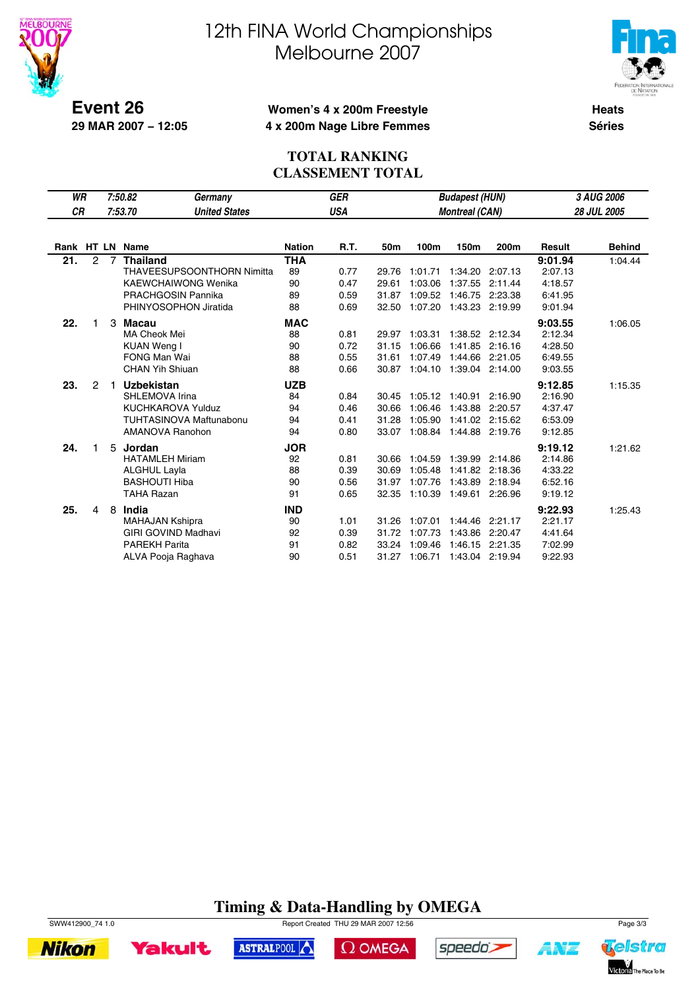



**Event 26 29 MAR 2007 − 12:05**

## **Women's 4 x 200m Freestyle 4 x 200m Nage Libre Femmes**

**Heats Séries**

## **TOTAL RANKING CLASSEMENT TOTAL**

| <b>WR</b> |                |                | 7:50.82<br>Germany                |               | <b>GER</b><br><b>Budapest (HUN)</b> |       |         |                       |         |               | 3 AUG 2006    |  |
|-----------|----------------|----------------|-----------------------------------|---------------|-------------------------------------|-------|---------|-----------------------|---------|---------------|---------------|--|
| <b>CR</b> |                |                | 7:53.70<br><b>United States</b>   |               | <b>USA</b>                          |       |         | <b>Montreal (CAN)</b> |         |               | 28 JUL 2005   |  |
|           |                |                |                                   |               |                                     |       |         |                       |         |               |               |  |
|           |                |                | Rank HT LN Name                   | <b>Nation</b> | <b>R.T.</b>                         | 50m   | 100m    | 150m                  | 200m    | <b>Result</b> | <b>Behind</b> |  |
| 21.       | $\overline{2}$ | $\overline{7}$ | <b>Thailand</b>                   | <b>THA</b>    |                                     |       |         |                       |         | 9:01.94       | 1:04.44       |  |
|           |                |                | <b>THAVEESUPSOONTHORN Nimitta</b> | 89            | 0.77                                | 29.76 | 1:01.71 | 1:34.20               | 2:07.13 | 2:07.13       |               |  |
|           |                |                | <b>KAEWCHAIWONG Wenika</b>        | 90            | 0.47                                | 29.61 | 1:03.06 | 1:37.55               | 2:11.44 | 4:18.57       |               |  |
|           |                |                | PRACHGOSIN Pannika                | 89            | 0.59                                | 31.87 | 1:09.52 | 1:46.75               | 2:23.38 | 6:41.95       |               |  |
|           |                |                | PHINYOSOPHON Jiratida             | 88            | 0.69                                | 32.50 | 1:07.20 | 1:43.23 2:19.99       |         | 9:01.94       |               |  |
| 22.       | 1              | 3              | Macau                             | <b>MAC</b>    |                                     |       |         |                       |         | 9:03.55       | 1:06.05       |  |
|           |                |                | MA Cheok Mei                      | 88            | 0.81                                | 29.97 | 1:03.31 | 1:38.52 2:12.34       |         | 2:12.34       |               |  |
|           |                |                | <b>KUAN Weng I</b>                | 90            | 0.72                                | 31.15 | 1:06.66 | 1:41.85               | 2:16.16 | 4:28.50       |               |  |
|           |                |                | <b>FONG Man Wai</b>               | 88            | 0.55                                | 31.61 | 1:07.49 | 1:44.66 2:21.05       |         | 6:49.55       |               |  |
|           |                |                | <b>CHAN Yih Shiuan</b>            | 88            | 0.66                                | 30.87 | 1:04.10 | 1:39.04 2:14.00       |         | 9:03.55       |               |  |
| 23.       | $\overline{2}$ |                | <b>Uzbekistan</b>                 | <b>UZB</b>    |                                     |       |         |                       |         | 9:12.85       | 1:15.35       |  |
|           |                |                | SHLEMOVA Irina                    | 84            | 0.84                                | 30.45 | 1:05.12 | 1:40.91               | 2:16.90 | 2:16.90       |               |  |
|           |                |                | <b>KUCHKAROVA Yulduz</b>          | 94            | 0.46                                | 30.66 | 1:06.46 | 1:43.88               | 2:20.57 | 4:37.47       |               |  |
|           |                |                | TUHTASINOVA Maftunabonu           | 94            | 0.41                                | 31.28 | 1:05.90 | 1:41.02               | 2:15.62 | 6:53.09       |               |  |
|           |                |                | AMANOVA Ranohon                   | 94            | 0.80                                | 33.07 | 1:08.84 | 1:44.88               | 2:19.76 | 9:12.85       |               |  |
| 24.       | 1              |                | 5 Jordan                          | <b>JOR</b>    |                                     |       |         |                       |         | 9:19.12       | 1:21.62       |  |
|           |                |                | <b>HATAMLEH Miriam</b>            | 92            | 0.81                                | 30.66 | 1:04.59 | 1:39.99               | 2:14.86 | 2:14.86       |               |  |
|           |                |                | <b>ALGHUL Layla</b>               | 88            | 0.39                                | 30.69 | 1:05.48 | 1:41.82               | 2:18.36 | 4:33.22       |               |  |
|           |                |                | <b>BASHOUTI Hiba</b>              | 90            | 0.56                                | 31.97 | 1:07.76 | 1:43.89               | 2:18.94 | 6:52.16       |               |  |
|           |                |                | <b>TAHA Razan</b>                 | 91            | 0.65                                | 32.35 | 1:10.39 | 1:49.61               | 2:26.96 | 9:19.12       |               |  |
| 25.       | 4              |                | 8 India                           | <b>IND</b>    |                                     |       |         |                       |         | 9:22.93       | 1:25.43       |  |
|           |                |                | <b>MAHAJAN Kshipra</b>            | 90            | 1.01                                | 31.26 | 1:07.01 | 1:44.46               | 2:21.17 | 2:21.17       |               |  |
|           |                |                | <b>GIRI GOVIND Madhavi</b>        | 92            | 0.39                                | 31.72 | 1:07.73 | 1:43.86               | 2:20.47 | 4:41.64       |               |  |
|           |                |                | <b>PAREKH Parita</b>              | 91            | 0.82                                | 33.24 | 1:09.46 | 1:46.15               | 2:21.35 | 7:02.99       |               |  |
|           |                |                | ALVA Pooja Raghava                | 90            | 0.51                                | 31.27 | 1:06.71 | 1:43.04 2:19.94       |         | 9:22.93       |               |  |
|           |                |                |                                   |               |                                     |       |         |                       |         |               |               |  |

# **Timing & Data-Handling by OMEGA**





ASTRALPOOL

 $\Omega$  OMEGA



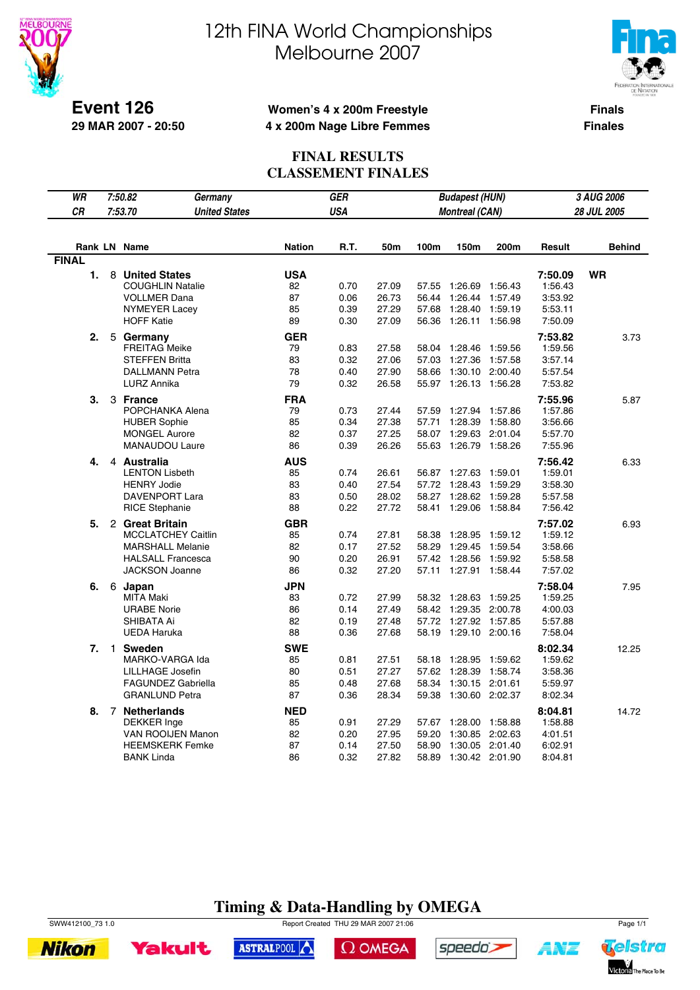



**Finals Finales**

#### **Event 126 29 MAR 2007 - 20:50**

## **Women's 4 x 200m Freestyle 4 x 200m Nage Libre Femmes**

### **FINAL RESULTS CLASSEMENT FINALES**

| WR           |   | 7:50.82<br>Germany                                                                                                           |                                    | GER                          |                                  |                                  | <b>Budapest (HUN)</b>                                    | 3 AUG 2006                    |                                                     |               |
|--------------|---|------------------------------------------------------------------------------------------------------------------------------|------------------------------------|------------------------------|----------------------------------|----------------------------------|----------------------------------------------------------|-------------------------------|-----------------------------------------------------|---------------|
| <b>CR</b>    |   | <b>United States</b><br>7:53.70                                                                                              |                                    | <b>USA</b>                   |                                  |                                  | <b>Montreal (CAN)</b>                                    |                               |                                                     | 28 JUL 2005   |
|              |   |                                                                                                                              |                                    |                              |                                  |                                  |                                                          |                               |                                                     |               |
|              |   | Rank LN Name                                                                                                                 | <b>Nation</b>                      | R.T.                         | 50m                              | 100m                             | 150m                                                     | 200m                          | Result                                              | <b>Behind</b> |
| <b>FINAL</b> |   |                                                                                                                              |                                    |                              |                                  |                                  |                                                          |                               |                                                     |               |
| 1.           | 8 | <b>United States</b><br><b>COUGHLIN Natalie</b><br><b>VOLLMER Dana</b>                                                       | <b>USA</b><br>82<br>87             | 0.70<br>0.06                 | 27.09<br>26.73                   | 57.55<br>56.44                   | 1:26.69<br>1:26.44                                       | 1:56.43<br>1:57.49            | 7:50.09<br>1:56.43<br>3:53.92                       | WR            |
|              |   | <b>NYMEYER Lacey</b><br><b>HOFF Katie</b>                                                                                    | 85<br>89                           | 0.39<br>0.30                 | 27.29<br>27.09                   | 57.68<br>56.36                   | 1:28.40<br>1:26.11 1:56.98                               | 1:59.19                       | 5:53.11<br>7:50.09                                  |               |
| 2.           | 5 | Germany<br><b>FREITAG Meike</b><br><b>STEFFEN Britta</b><br><b>DALLMANN Petra</b><br><b>LURZ Annika</b>                      | <b>GER</b><br>79<br>83<br>78<br>79 | 0.83<br>0.32<br>0.40<br>0.32 | 27.58<br>27.06<br>27.90<br>26.58 | 58.04<br>57.03<br>58.66          | 1:28.46<br>1:27.36<br>1:30.10<br>55.97 1:26.13 1:56.28   | 1:59.56<br>1:57.58<br>2:00.40 | 7:53.82<br>1:59.56<br>3:57.14<br>5:57.54<br>7:53.82 | 3.73          |
| З.           |   | 3 France<br>POPCHANKA Alena<br><b>HUBER Sophie</b><br><b>MONGEL Aurore</b><br><b>MANAUDOU Laure</b>                          | <b>FRA</b><br>79<br>85<br>82<br>86 | 0.73<br>0.34<br>0.37<br>0.39 | 27.44<br>27.38<br>27.25<br>26.26 | 57.59<br>57.71<br>58.07<br>55.63 | 1:27.94<br>1:28.39<br>1:29.63 2:01.04<br>1:26.79 1:58.26 | 1:57.86<br>1:58.80            | 7:55.96<br>1:57.86<br>3:56.66<br>5:57.70<br>7:55.96 | 5.87          |
| 4.           |   | 4 Australia<br><b>LENTON Lisbeth</b><br><b>HENRY Jodie</b><br>DAVENPORT Lara<br><b>RICE Stephanie</b>                        | <b>AUS</b><br>85<br>83<br>83<br>88 | 0.74<br>0.40<br>0.50<br>0.22 | 26.61<br>27.54<br>28.02<br>27.72 | 56.87<br>57.72<br>58.27<br>58.41 | 1:27.63<br>1:28.43<br>1:28.62<br>1:29.06 1:58.84         | 1:59.01<br>1:59.29<br>1:59.28 | 7:56.42<br>1:59.01<br>3:58.30<br>5:57.58<br>7:56.42 | 6.33          |
| 5.           |   | 2 Great Britain<br><b>MCCLATCHEY Caitlin</b><br><b>MARSHALL Melanie</b><br><b>HALSALL Francesca</b><br><b>JACKSON Joanne</b> | <b>GBR</b><br>85<br>82<br>90<br>86 | 0.74<br>0.17<br>0.20<br>0.32 | 27.81<br>27.52<br>26.91<br>27.20 | 58.38<br>58.29<br>57.42<br>57.11 | 1:28.95<br>1:29.45<br>1:28.56<br>1:27.91 1:58.44         | 1:59.12<br>1:59.54<br>1:59.92 | 7:57.02<br>1:59.12<br>3:58.66<br>5:58.58<br>7:57.02 | 6.93          |
| 6.           |   | 6 Japan<br><b>MITA Maki</b><br><b>URABE Norie</b><br>SHIBATA Ai<br><b>UEDA Haruka</b>                                        | <b>JPN</b><br>83<br>86<br>82<br>88 | 0.72<br>0.14<br>0.19<br>0.36 | 27.99<br>27.49<br>27.48<br>27.68 | 58.32<br>58.42<br>57.72<br>58.19 | 1:28.63<br>1:29.35 2:00.78<br>1:27.92<br>1:29.10 2:00.16 | 1:59.25<br>1:57.85            | 7:58.04<br>1:59.25<br>4:00.03<br>5:57.88<br>7:58.04 | 7.95          |
| 7.           |   | 1 Sweden<br>MARKO-VARGA Ida<br>LILLHAGE Josefin<br><b>FAGUNDEZ Gabriella</b><br><b>GRANLUND Petra</b>                        | <b>SWE</b><br>85<br>80<br>85<br>87 | 0.81<br>0.51<br>0.48<br>0.36 | 27.51<br>27.27<br>27.68<br>28.34 | 58.18<br>57.62<br>58.34<br>59.38 | 1:28.95<br>1:28.39<br>1:30.15<br>1:30.60 2:02.37         | 1:59.62<br>1:58.74<br>2:01.61 | 8:02.34<br>1:59.62<br>3:58.36<br>5:59.97<br>8:02.34 | 12.25         |
| 8.           |   | 7 Netherlands<br><b>DEKKER</b> Inge<br>VAN ROOIJEN Manon<br><b>HEEMSKERK Femke</b><br><b>BANK Linda</b>                      | <b>NED</b><br>85<br>82<br>87<br>86 | 0.91<br>0.20<br>0.14<br>0.32 | 27.29<br>27.95<br>27.50<br>27.82 | 57.67<br>59.20<br>58.90<br>58.89 | 1:28.00<br>1:30.85 2:02.63<br>1:30.05<br>1:30.42 2:01.90 | 1:58.88<br>2:01.40            | 8:04.81<br>1:58.88<br>4:01.51<br>6:02.91<br>8:04.81 | 14.72         |

# **Timing & Data-Handling by OMEGA**

SWW412100\_73 1.0 Report Created THU 29 MAR 2007 21:06 Page 1/1







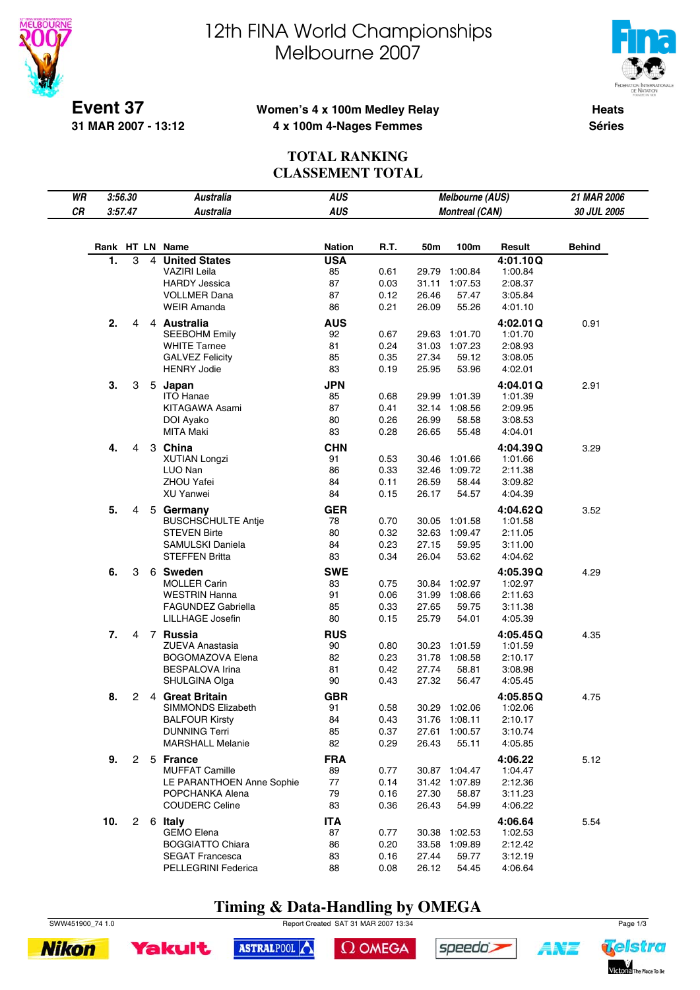



**Event 37 31 MAR 2007 - 13:12**

### **Women's 4 x 100m Medley Relay 4 x 100m 4-Nages Femmes**

**Heats Séries**

## **TOTAL RANKING CLASSEMENT TOTAL**

| WR | 3:56.30         |   |                | <b>Australia</b>                                | <b>AUS</b>    | <b>Melbourne (AUS)</b> |                       |                |                    | 21 MAR 2006   |
|----|-----------------|---|----------------|-------------------------------------------------|---------------|------------------------|-----------------------|----------------|--------------------|---------------|
| CR | 3:57.47         |   |                | <b>Australia</b>                                | <b>AUS</b>    |                        | <b>Montreal (CAN)</b> |                |                    | 30 JUL 2005   |
|    |                 |   |                |                                                 |               |                        |                       |                |                    |               |
|    | Rank HT LN Name |   |                |                                                 | <b>Nation</b> | R.T.                   | 50m                   | 100m           | Result             | <b>Behind</b> |
|    | 1.              | 3 | $\overline{4}$ | <b>United States</b>                            | <b>USA</b>    |                        |                       |                | 4:01.10Q           |               |
|    |                 |   |                | <b>VAZIRI Leila</b>                             | 85            | 0.61                   | 29.79                 | 1:00.84        | 1:00.84            |               |
|    |                 |   |                | <b>HARDY Jessica</b>                            | 87            | 0.03                   | 31.11                 | 1:07.53        | 2:08.37            |               |
|    |                 |   |                | <b>VOLLMER Dana</b>                             | 87            | 0.12                   | 26.46                 | 57.47          | 3:05.84            |               |
|    |                 |   |                | <b>WEIR Amanda</b>                              | 86            | 0.21                   | 26.09                 | 55.26          | 4:01.10            |               |
|    | 2.              | 4 |                | 4 Australia                                     | <b>AUS</b>    |                        |                       |                | 4:02.01Q           | 0.91          |
|    |                 |   |                | <b>SEEBOHM Emily</b>                            | 92            | 0.67                   | 29.63                 | 1:01.70        | 1:01.70            |               |
|    |                 |   |                | <b>WHITE Tarnee</b>                             | 81            | 0.24                   | 31.03                 | 1:07.23        | 2:08.93            |               |
|    |                 |   |                | <b>GALVEZ Felicity</b>                          | 85            | 0.35                   | 27.34                 | 59.12          | 3:08.05            |               |
|    |                 |   |                | <b>HENRY Jodie</b>                              | 83            | 0.19                   | 25.95                 | 53.96          | 4:02.01            |               |
|    | 3.              | 3 |                | 5 Japan                                         | <b>JPN</b>    |                        |                       |                | 4:04.01Q           | 2.91          |
|    |                 |   |                | <b>ITO Hanae</b>                                | 85            | 0.68                   | 29.99                 | 1:01.39        | 1:01.39            |               |
|    |                 |   |                | KITAGAWA Asami                                  | 87            | 0.41                   | 32.14                 | 1:08.56        | 2:09.95            |               |
|    |                 |   |                | DOI Ayako                                       | 80            | 0.26                   | 26.99                 | 58.58          | 3:08.53            |               |
|    |                 |   |                | <b>MITA Maki</b>                                | 83            | 0.28                   | 26.65                 | 55.48          | 4:04.01            |               |
|    | 4.              | 4 |                | 3 China                                         | <b>CHN</b>    |                        |                       |                | 4:04.39Q           | 3.29          |
|    |                 |   |                | <b>XUTIAN Longzi</b>                            | 91            | 0.53                   | 30.46                 | 1:01.66        | 1:01.66            |               |
|    |                 |   |                | LUO Nan                                         | 86            | 0.33                   | 32.46                 | 1:09.72        | 2:11.38            |               |
|    |                 |   |                | <b>ZHOU Yafei</b>                               | 84            | 0.11                   | 26.59                 | 58.44          | 3:09.82            |               |
|    |                 |   |                | <b>XU Yanwei</b>                                | 84            | 0.15                   | 26.17                 | 54.57          | 4:04.39            |               |
|    | 5.              | 4 |                | 5 Germany                                       | <b>GER</b>    |                        |                       |                | 4:04.62Q           | 3.52          |
|    |                 |   |                | <b>BUSCHSCHULTE Antje</b>                       | 78            | 0.70                   |                       | 30.05 1:01.58  | 1:01.58            |               |
|    |                 |   |                | <b>STEVEN Birte</b>                             | 80            | 0.32                   |                       | 32.63 1:09.47  | 2:11.05            |               |
|    |                 |   |                | SAMULSKI Daniela                                | 84            | 0.23                   | 27.15                 | 59.95          | 3:11.00            |               |
|    |                 |   |                | <b>STEFFEN Britta</b>                           | 83            | 0.34                   | 26.04                 | 53.62          | 4:04.62            |               |
|    | 6.              | 3 |                | 6 Sweden                                        | <b>SWE</b>    |                        |                       |                | 4:05.39Q           | 4.29          |
|    |                 |   |                | <b>MOLLER Carin</b>                             | 83            | 0.75                   | 30.84                 | 1:02.97        | 1:02.97            |               |
|    |                 |   |                | <b>WESTRIN Hanna</b>                            | 91            | 0.06                   | 31.99                 | 1:08.66        | 2:11.63            |               |
|    |                 |   |                | <b>FAGUNDEZ Gabriella</b>                       | 85            | 0.33                   | 27.65                 | 59.75          | 3:11.38            |               |
|    |                 |   |                | LILLHAGE Josefin                                | 80            | 0.15                   | 25.79                 | 54.01          | 4:05.39            |               |
|    | 7.              | 4 |                | 7 Russia                                        | <b>RUS</b>    |                        |                       |                | 4:05.45Q           | 4.35          |
|    |                 |   |                | <b>ZUEVA Anastasia</b>                          | 90            | 0.80                   | 30.23                 | 1:01.59        | 1:01.59            |               |
|    |                 |   |                | <b>BOGOMAZOVA Elena</b>                         | 82            | 0.23                   | 31.78                 | 1:08.58        | 2:10.17            |               |
|    |                 |   |                | BESPALOVA Irina                                 | 81            | 0.42                   | 27.74                 | 58.81          | 3:08.98            |               |
|    |                 |   |                | SHULGINA Olga                                   | 90            | 0.43                   | 27.32                 | 56.47          | 4:05.45            |               |
|    | 8.              | 2 |                | 4 Great Britain                                 | <b>GBR</b>    |                        |                       |                | 4:05.85Q           | 4.75          |
|    |                 |   |                | SIMMONDS Elizabeth                              | 91            | 0.58                   |                       | 30.29 1:02.06  | 1:02.06            |               |
|    |                 |   |                | <b>BALFOUR Kirsty</b>                           | 84            | 0.43                   |                       | 31.76 1:08.11  | 2:10.17            |               |
|    |                 |   |                | <b>DUNNING Terri</b><br><b>MARSHALL Melanie</b> | 85            | 0.37                   | 27.61                 | 1:00.57        | 3:10.74            |               |
|    |                 |   |                |                                                 | 82            | 0.29                   | 26.43                 | 55.11          | 4:05.85            |               |
|    | 9.              |   |                | 2 5 France                                      | <b>FRA</b>    |                        |                       |                | 4:06.22            | 5.12          |
|    |                 |   |                | <b>MUFFAT Camille</b>                           | 89            | 0.77                   |                       | 30.87 1:04.47  | 1:04.47            |               |
|    |                 |   |                | LE PARANTHOEN Anne Sophie                       | 77            | 0.14                   |                       | 31.42 1:07.89  | 2:12.36            |               |
|    |                 |   |                | POPCHANKA Alena<br><b>COUDERC Celine</b>        | 79<br>83      | 0.16<br>0.36           | 27.30<br>26.43        | 58.87<br>54.99 | 3:11.23<br>4:06.22 |               |
|    |                 |   |                |                                                 |               |                        |                       |                |                    |               |
|    | 10.             |   |                | 2 6 Italy                                       | <b>ITA</b>    |                        |                       |                | 4:06.64            | 5.54          |
|    |                 |   |                | <b>GEMO Elena</b>                               | 87            | 0.77                   | 30.38                 | 1:02.53        | 1:02.53            |               |
|    |                 |   |                | <b>BOGGIATTO Chiara</b>                         | 86            | 0.20                   | 33.58                 | 1:09.89        | 2:12.42            |               |
|    |                 |   |                | <b>SEGAT Francesca</b><br>PELLEGRINI Federica   | 83<br>88      | 0.16<br>0.08           | 27.44<br>26.12        | 59.77          | 3:12.19            |               |
|    |                 |   |                |                                                 |               |                        |                       | 54.45          | 4:06.64            |               |

# **Timing & Data-Handling by OMEGA**

SWW451900\_74 1.0 Report Created SAT 31 MAR 2007 13:34 Page 1/3





 $\Omega$  OMEGA



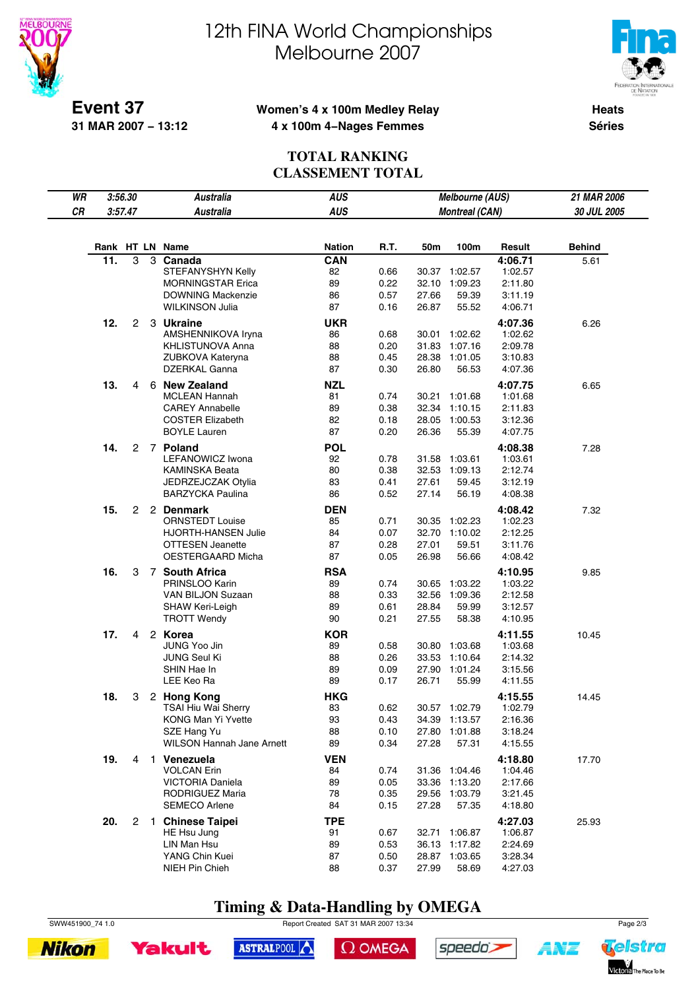



**Event 37 31 MAR 2007 − 13:12**

## **Women's 4 x 100m Medley Relay 4 x 100m 4−Nages Femmes**

**Heats Séries**

## **TOTAL RANKING CLASSEMENT TOTAL**

| WR | 3:56.30 |                       | <b>Australia</b>                 | <b>AUS</b>    |      |       | Melbourne (AUS)       |         | 21 MAR 2006   |
|----|---------|-----------------------|----------------------------------|---------------|------|-------|-----------------------|---------|---------------|
| CR | 3:57.47 |                       | <b>Australia</b>                 | <b>AUS</b>    |      |       | <b>Montreal (CAN)</b> |         | 30 JUL 2005   |
|    |         |                       |                                  |               |      |       |                       |         |               |
|    |         |                       | Rank HT LN Name                  | <b>Nation</b> | R.T. | 50m   | 100m                  | Result  | <b>Behind</b> |
|    | 11.     | 3                     | 3 Canada                         | CAN           |      |       |                       | 4:06.71 | 5.61          |
|    |         |                       | STEFANYSHYN Kelly                | 82            | 0.66 |       | 30.37 1:02.57         | 1:02.57 |               |
|    |         |                       | <b>MORNINGSTAR Erica</b>         | 89            | 0.22 |       | 32.10 1:09.23         | 2:11.80 |               |
|    |         |                       | <b>DOWNING Mackenzie</b>         | 86            | 0.57 | 27.66 | 59.39                 | 3:11.19 |               |
|    |         |                       | <b>WILKINSON Julia</b>           | 87            | 0.16 | 26.87 | 55.52                 | 4:06.71 |               |
|    | 12.     | 2                     | 3 Ukraine                        | <b>UKR</b>    |      |       |                       | 4:07.36 | 6.26          |
|    |         |                       | AMSHENNIKOVA Iryna               | 86            | 0.68 | 30.01 | 1:02.62               | 1:02.62 |               |
|    |         |                       | KHLISTUNOVA Anna                 | 88            | 0.20 | 31.83 | 1:07.16               | 2:09.78 |               |
|    |         |                       | ZUBKOVA Kateryna                 | 88            | 0.45 | 28.38 | 1:01.05               | 3:10.83 |               |
|    |         |                       | DZERKAL Ganna                    | 87            | 0.30 | 26.80 | 56.53                 | 4:07.36 |               |
|    | 13.     | 4                     | 6 New Zealand                    | <b>NZL</b>    |      |       |                       | 4:07.75 | 6.65          |
|    |         |                       | <b>MCLEAN Hannah</b>             | 81            | 0.74 |       | 30.21 1:01.68         | 1:01.68 |               |
|    |         |                       | <b>CAREY Annabelle</b>           | 89            | 0.38 | 32.34 | 1:10.15               | 2:11.83 |               |
|    |         |                       | <b>COSTER Elizabeth</b>          | 82            | 0.18 | 28.05 | 1:00.53               | 3:12.36 |               |
|    |         |                       | <b>BOYLE Lauren</b>              | 87            | 0.20 | 26.36 | 55.39                 | 4:07.75 |               |
|    | 14.     | 2                     | 7 Poland                         | <b>POL</b>    |      |       |                       | 4:08.38 | 7.28          |
|    |         |                       | LEFANOWICZ Iwona                 | 92            | 0.78 | 31.58 | 1:03.61               | 1:03.61 |               |
|    |         |                       | <b>KAMINSKA Beata</b>            | 80            | 0.38 | 32.53 | 1:09.13               | 2:12.74 |               |
|    |         |                       | JEDRZEJCZAK Otylia               | 83            | 0.41 | 27.61 | 59.45                 | 3:12.19 |               |
|    |         |                       | <b>BARZYCKA Paulina</b>          | 86            | 0.52 | 27.14 | 56.19                 | 4:08.38 |               |
|    | 15.     | $\overline{2}$        | 2 Denmark                        | <b>DEN</b>    |      |       |                       | 4:08.42 | 7.32          |
|    |         |                       | <b>ORNSTEDT Louise</b>           | 85            | 0.71 | 30.35 | 1:02.23               | 1:02.23 |               |
|    |         |                       | <b>HJORTH-HANSEN Julie</b>       | 84            | 0.07 | 32.70 | 1:10.02               | 2:12.25 |               |
|    |         |                       | <b>OTTESEN Jeanette</b>          | 87            | 0.28 | 27.01 | 59.51                 | 3:11.76 |               |
|    |         |                       | OESTERGAARD Micha                | 87            | 0.05 | 26.98 | 56.66                 | 4:08.42 |               |
|    | 16.     | 3                     | 7 South Africa                   | <b>RSA</b>    |      |       |                       | 4:10.95 | 9.85          |
|    |         |                       | PRINSLOO Karin                   | 89            | 0.74 | 30.65 | 1:03.22               | 1:03.22 |               |
|    |         |                       | VAN BILJON Suzaan                | 88            | 0.33 | 32.56 | 1:09.36               | 2:12.58 |               |
|    |         |                       | SHAW Keri-Leigh                  | 89            | 0.61 | 28.84 | 59.99                 | 3:12.57 |               |
|    |         |                       | <b>TROTT Wendy</b>               | 90            | 0.21 | 27.55 | 58.38                 | 4:10.95 |               |
|    | 17.     | 4                     | 2 Korea                          | <b>KOR</b>    |      |       |                       | 4:11.55 | 10.45         |
|    |         |                       | JUNG Yoo Jin                     | 89            | 0.58 | 30.80 | 1:03.68               | 1:03.68 |               |
|    |         |                       | <b>JUNG Seul Ki</b>              | 88            | 0.26 |       | 33.53 1:10.64         | 2:14.32 |               |
|    |         |                       | SHIN Hae In                      | 89            | 0.09 | 27.90 | 1:01.24               | 3:15.56 |               |
|    |         |                       | LEE Keo Ra                       | 89            | 0.17 | 26.71 | 55.99                 | 4:11.55 |               |
|    | 18.     | 3                     | 2 Hong Kong                      | <b>HKG</b>    |      |       |                       | 4:15.55 | 14.45         |
|    |         |                       | <b>TSAI Hiu Wai Sherry</b>       | 83            | 0.62 |       | 30.57 1:02.79         | 1:02.79 |               |
|    |         |                       | <b>KONG Man Yi Yvette</b>        | 93            | 0.43 |       | 34.39 1:13.57         | 2:16.36 |               |
|    |         |                       | SZE Hang Yu                      | 88            | 0.10 | 27.80 | 1:01.88               | 3:18.24 |               |
|    |         |                       | <b>WILSON Hannah Jane Arnett</b> | 89            | 0.34 | 27.28 | 57.31                 | 4:15.55 |               |
|    | 19.     | 4                     | 1 Venezuela                      | <b>VEN</b>    |      |       |                       | 4:18.80 | 17.70         |
|    |         |                       | <b>VOLCAN Erin</b>               | 84            | 0.74 |       | 31.36 1:04.46         | 1:04.46 |               |
|    |         |                       | <b>VICTORIA Daniela</b>          | 89            | 0.05 |       | 33.36 1:13.20         | 2:17.66 |               |
|    |         |                       | RODRIGUEZ Maria                  | 78            | 0.35 | 29.56 | 1:03.79               | 3:21.45 |               |
|    |         |                       | <b>SEMECO Arlene</b>             | 84            | 0.15 | 27.28 | 57.35                 | 4:18.80 |               |
|    | 20.     | $\mathbf{2}^{\prime}$ | 1 Chinese Taipei                 | <b>TPE</b>    |      |       |                       | 4:27.03 | 25.93         |
|    |         |                       | HE Hsu Jung                      | 91            | 0.67 | 32.71 | 1:06.87               | 1:06.87 |               |
|    |         |                       | LIN Man Hsu                      | 89            | 0.53 |       | 36.13 1:17.82         | 2:24.69 |               |
|    |         |                       | YANG Chin Kuei                   | 87            | 0.50 |       | 28.87 1:03.65         | 3:28.34 |               |
|    |         |                       | NIEH Pin Chieh                   | 88            | 0.37 | 27.99 | 58.69                 | 4:27.03 |               |

# **Timing & Data-Handling by OMEGA**

SWW451900\_74 1.0 Report Created SAT 31 MAR 2007 13:34 Page 2/3





ASTRALPOOL

 $\Omega$  OMEGA



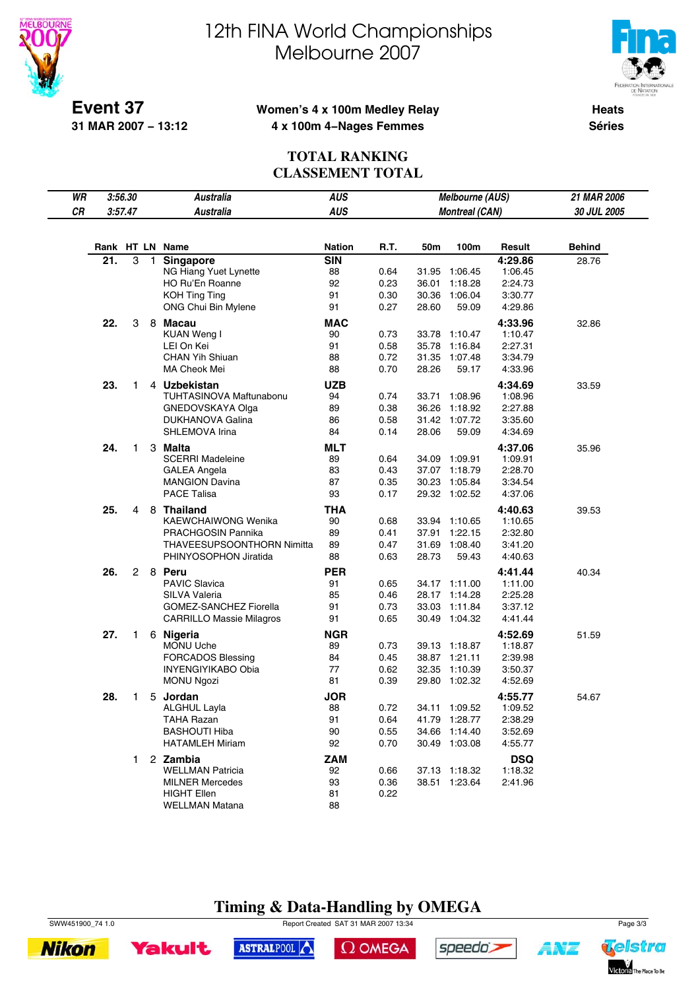



**Event 37 31 MAR 2007 − 13:12**

### **Women's 4 x 100m Medley Relay 4 x 100m 4−Nages Femmes**

**Heats Séries**

## **TOTAL RANKING CLASSEMENT TOTAL**

| WR | 3:56.30 |                |              | <b>Australia</b>                          | AUS           |      |       | Melbourne (AUS)       |            | 21 MAR 2006   |
|----|---------|----------------|--------------|-------------------------------------------|---------------|------|-------|-----------------------|------------|---------------|
| CR |         | 3:57.47        |              | <b>Australia</b>                          | <b>AUS</b>    |      |       | <b>Montreal (CAN)</b> |            | 30 JUL 2005   |
|    |         |                |              |                                           |               |      |       |                       |            |               |
|    |         |                |              | Rank HT LN Name                           | <b>Nation</b> | R.T. | 50m   | 100m                  | Result     | <b>Behind</b> |
|    | 21.     | 3              | $\mathbf{1}$ |                                           | <b>SIN</b>    |      |       |                       | 4:29.86    |               |
|    |         |                |              | <b>Singapore</b><br>NG Hiang Yuet Lynette | 88            | 0.64 |       | 31.95 1:06.45         | 1:06.45    | 28.76         |
|    |         |                |              | HO Ru'En Roanne                           | 92            | 0.23 | 36.01 | 1:18.28               | 2:24.73    |               |
|    |         |                |              | <b>KOH Ting Ting</b>                      | 91            | 0.30 |       | 30.36 1:06.04         | 3:30.77    |               |
|    |         |                |              | ONG Chui Bin Mylene                       | 91            | 0.27 | 28.60 | 59.09                 | 4:29.86    |               |
|    | 22.     | 3              |              | 8 Macau                                   | <b>MAC</b>    |      |       |                       | 4:33.96    | 32.86         |
|    |         |                |              | <b>KUAN Weng I</b>                        | 90            | 0.73 |       | 33.78 1:10.47         | 1:10.47    |               |
|    |         |                |              | LEI On Kei                                | 91            | 0.58 |       | 35.78 1:16.84         | 2:27.31    |               |
|    |         |                |              | <b>CHAN Yih Shiuan</b>                    | 88            | 0.72 |       | 31.35 1:07.48         | 3:34.79    |               |
|    |         |                |              | MA Cheok Mei                              | 88            | 0.70 | 28.26 | 59.17                 | 4:33.96    |               |
|    | 23.     | 1.             |              | 4 Uzbekistan                              | <b>UZB</b>    |      |       |                       | 4:34.69    | 33.59         |
|    |         |                |              | TUHTASINOVA Maftunabonu                   | 94            | 0.74 |       | 33.71 1:08.96         | 1:08.96    |               |
|    |         |                |              | GNEDOVSKAYA Olga                          | 89            | 0.38 |       | 36.26 1:18.92         | 2:27.88    |               |
|    |         |                |              | DUKHANOVA Galina                          | 86            | 0.58 |       | 31.42 1:07.72         | 3:35.60    |               |
|    |         |                |              | SHLEMOVA Irina                            | 84            | 0.14 | 28.06 | 59.09                 | 4:34.69    |               |
|    | 24.     | 1              |              | 3 Malta                                   | <b>MLT</b>    |      |       |                       | 4:37.06    | 35.96         |
|    |         |                |              | <b>SCERRI Madeleine</b>                   | 89            | 0.64 |       | 34.09 1:09.91         | 1:09.91    |               |
|    |         |                |              | <b>GALEA Angela</b>                       | 83            | 0.43 |       | 37.07 1:18.79         | 2:28.70    |               |
|    |         |                |              | <b>MANGION Davina</b>                     | 87            | 0.35 |       | 30.23 1:05.84         | 3:34.54    |               |
|    |         |                |              | <b>PACE Talisa</b>                        | 93            | 0.17 |       | 29.32 1:02.52         | 4:37.06    |               |
|    | 25.     | 4              | 8            | <b>Thailand</b>                           | <b>THA</b>    |      |       |                       | 4:40.63    | 39.53         |
|    |         |                |              | KAEWCHAIWONG Wenika                       | 90            | 0.68 |       | 33.94 1:10.65         | 1:10.65    |               |
|    |         |                |              | PRACHGOSIN Pannika                        | 89            | 0.41 |       | 37.91 1:22.15         | 2:32.80    |               |
|    |         |                |              | THAVEESUPSOONTHORN Nimitta                | 89            | 0.47 |       | 31.69 1:08.40         | 3:41.20    |               |
|    |         |                |              | PHINYOSOPHON Jiratida                     | 88            | 0.63 | 28.73 | 59.43                 | 4:40.63    |               |
|    | 26.     | $\overline{2}$ |              | 8 Peru                                    | <b>PER</b>    |      |       |                       | 4:41.44    | 40.34         |
|    |         |                |              | <b>PAVIC Slavica</b>                      | 91            | 0.65 |       | 34.17 1:11.00         | 1:11.00    |               |
|    |         |                |              | SILVA Valeria                             | 85            | 0.46 |       | 28.17 1:14.28         | 2:25.28    |               |
|    |         |                |              | GOMEZ-SANCHEZ Fiorella                    | 91            | 0.73 |       | 33.03 1:11.84         | 3:37.12    |               |
|    |         |                |              | <b>CARRILLO Massie Milagros</b>           | 91            | 0.65 |       | 30.49 1:04.32         | 4:41.44    |               |
|    | 27.     | $\mathbf{1}$   |              | 6 Nigeria                                 | <b>NGR</b>    |      |       |                       | 4:52.69    | 51.59         |
|    |         |                |              | <b>MONU Uche</b>                          | 89            | 0.73 |       | 39.13 1:18.87         | 1:18.87    |               |
|    |         |                |              | <b>FORCADOS Blessing</b>                  | 84            | 0.45 |       | 38.87 1:21.11         | 2:39.98    |               |
|    |         |                |              | <b>INYENGIYIKABO Obia</b>                 | 77            | 0.62 |       | 32.35 1:10.39         | 3:50.37    |               |
|    |         |                |              | <b>MONU Ngozi</b>                         | 81            | 0.39 |       | 29.80 1:02.32         | 4:52.69    |               |
|    | 28.     | 1              |              | 5 Jordan                                  | <b>JOR</b>    |      |       |                       | 4:55.77    | 54.67         |
|    |         |                |              | <b>ALGHUL Layla</b>                       | 88            | 0.72 |       | 34.11 1:09.52         | 1:09.52    |               |
|    |         |                |              | TAHA Razan                                | 91            | 0.64 |       | 41.79 1:28.77         | 2:38.29    |               |
|    |         |                |              | <b>BASHOUTI Hiba</b>                      | 90            | 0.55 |       | 34.66 1:14.40         | 3:52.69    |               |
|    |         |                |              | <b>HATAMLEH Miriam</b>                    | 92            | 0.70 |       | 30.49 1:03.08         | 4:55.77    |               |
|    |         | 1.             |              | 2 Zambia                                  | ZAM           |      |       |                       | <b>DSQ</b> |               |
|    |         |                |              | <b>WELLMAN Patricia</b>                   | 92            | 0.66 |       | 37.13 1:18.32         | 1:18.32    |               |
|    |         |                |              | <b>MILNER Mercedes</b>                    | 93            | 0.36 |       | 38.51 1:23.64         | 2:41.96    |               |
|    |         |                |              | <b>HIGHT Ellen</b>                        | 81            | 0.22 |       |                       |            |               |
|    |         |                |              | <b>WELLMAN Matana</b>                     | 88            |      |       |                       |            |               |

# **Timing & Data-Handling by OMEGA**

SWW451900\_74 1.0 Report Created SAT 31 MAR 2007 13:34 Page 3/3





ASTRALPOOL

 $\Omega$  OMEGA



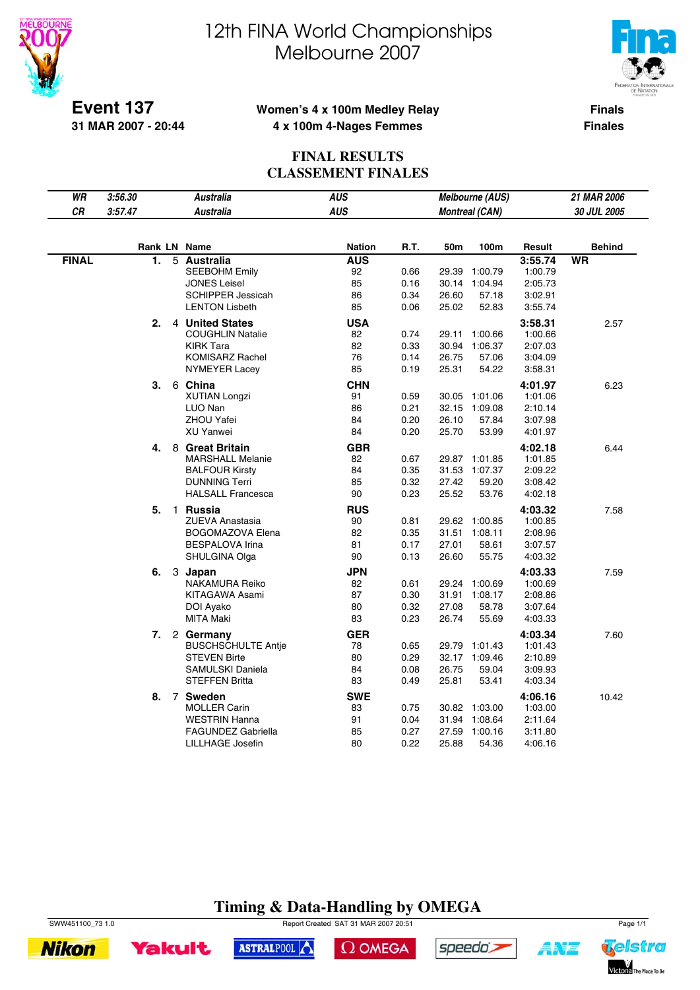

 $\overline{\phantom{a}}$ 

# 12th FINA World Championships Melbourne 2007



**Event 137 31 MAR 2007 - 20:44**

### **Women's 4 x 100m Medley Relay 4 x 100m 4-Nages Femmes**

**Finals Finales**

## **FINAL RESULTS CLASSEMENT FINALES**

| <b>AUS</b><br>CR<br>3:57.47<br><b>Australia</b><br><b>Montreal (CAN)</b><br>30 JUL 2005<br>R.T.<br>Rank LN Name<br><b>Nation</b><br>50m<br>100m<br>Result<br><b>Behind</b><br><b>FINAL</b><br>1.<br><b>AUS</b><br><b>WR</b><br>5 Australia<br>3:55.74<br><b>SEEBOHM Emily</b><br>92<br>1:00.79<br>0.66<br>29.39<br>1:00.79<br><b>JONES Leisel</b><br>85<br>0.16<br>2:05.73<br>30.14 1:04.94<br>86<br>0.34<br><b>SCHIPPER Jessicah</b><br>26.60<br>57.18<br>3:02.91<br>85<br>0.06<br>25.02<br>52.83<br><b>LENTON Lisbeth</b><br>3:55.74<br>2.<br>4 United States<br>USA<br>3:58.31<br>2.57<br>82<br><b>COUGHLIN Natalie</b><br>0.74<br>29.11<br>1:00.66<br>1:00.66<br>82<br>0.33<br><b>KIRK Tara</b><br>30.94<br>1:06.37<br>2:07.03<br><b>KOMISARZ Rachel</b><br>76<br>0.14<br>26.75<br>57.06<br>3:04.09<br>85<br>0.19<br><b>NYMEYER Lacey</b><br>25.31<br>54.22<br>3:58.31<br>3.<br>6 China<br><b>CHN</b><br>4:01.97<br>6.23<br><b>XUTIAN Longzi</b><br>91<br>0.59<br>1:01.06<br>30.05<br>1:01.06<br>86<br>0.21<br>32.15 1:09.08<br>LUO Nan<br>2:10.14<br>84<br>0.20<br><b>ZHOU Yafei</b><br>26.10<br>57.84<br>3:07.98<br><b>XU Yanwei</b><br>84<br>0.20<br>25.70<br>53.99<br>4:01.97<br>8 Great Britain<br><b>GBR</b><br>4:02.18<br>4.<br>6.44<br><b>MARSHALL Melanie</b><br>82<br>0.67<br>1:01.85<br>29.87<br>1:01.85<br>84<br><b>BALFOUR Kirsty</b><br>0.35<br>31.53<br>1:07.37<br>2:09.22<br><b>DUNNING Terri</b><br>85<br>0.32<br>27.42<br>59.20<br>3:08.42<br><b>HALSALL Francesca</b><br>90<br>0.23<br>25.52<br>53.76<br>4:02.18<br>5.<br><b>RUS</b><br>$\mathbf{1}$<br>Russia<br>4:03.32<br>7.58<br><b>ZUEVA Anastasia</b><br>90<br>0.81<br>29.62<br>1:00.85<br>1:00.85<br>82<br>0.35<br>BOGOMAZOVA Elena<br>31.51 1:08.11<br>2:08.96<br>81<br>0.17<br><b>BESPALOVA Irina</b><br>27.01<br>58.61<br>3:07.57<br>90<br>0.13<br>SHULGINA Olga<br>26.60<br>55.75<br>4:03.32<br><b>JPN</b><br>4:03.33<br>6.<br>3 Japan<br>7.59<br>NAKAMURA Reiko<br>82<br>0.61<br>29.24 1:00.69<br>1:00.69<br><b>KITAGAWA Asami</b><br>87<br>0.30<br>31.91 1:08.17<br>2:08.86<br>80<br>0.32<br>27.08<br>DOI Ayako<br>58.78<br>3:07.64<br>83<br>0.23<br>MITA Maki<br>26.74<br>55.69<br>4:03.33<br><b>GER</b><br>4:03.34<br>7.<br>2 Germany<br>7.60<br><b>BUSCHSCHULTE Antie</b><br>78<br>0.65<br>1:01.43<br>29.79<br>1:01.43<br><b>STEVEN Birte</b><br>80<br>0.29<br>32.17 1:09.46<br>2:10.89<br>SAMULSKI Daniela<br>84<br>0.08<br>26.75<br>59.04<br>3:09.93<br><b>STEFFEN Britta</b><br>83<br>0.49<br>25.81<br>53.41<br>4:03.34<br><b>SWE</b><br>7 Sweden<br>4:06.16<br>8.<br>10.42 | WR | 3:56.30 | <b>Australia</b>    | <b>AUS</b> |      | Melbourne (AUS) |         | 21 MAR 2006 |
|-----------------------------------------------------------------------------------------------------------------------------------------------------------------------------------------------------------------------------------------------------------------------------------------------------------------------------------------------------------------------------------------------------------------------------------------------------------------------------------------------------------------------------------------------------------------------------------------------------------------------------------------------------------------------------------------------------------------------------------------------------------------------------------------------------------------------------------------------------------------------------------------------------------------------------------------------------------------------------------------------------------------------------------------------------------------------------------------------------------------------------------------------------------------------------------------------------------------------------------------------------------------------------------------------------------------------------------------------------------------------------------------------------------------------------------------------------------------------------------------------------------------------------------------------------------------------------------------------------------------------------------------------------------------------------------------------------------------------------------------------------------------------------------------------------------------------------------------------------------------------------------------------------------------------------------------------------------------------------------------------------------------------------------------------------------------------------------------------------------------------------------------------------------------------------------------------------------------------------------------------------------------------------------------------------------------------------------------------------------------------------------------------------------------------------------------------------------------------------------------------------------------------------------------------------------------------|----|---------|---------------------|------------|------|-----------------|---------|-------------|
|                                                                                                                                                                                                                                                                                                                                                                                                                                                                                                                                                                                                                                                                                                                                                                                                                                                                                                                                                                                                                                                                                                                                                                                                                                                                                                                                                                                                                                                                                                                                                                                                                                                                                                                                                                                                                                                                                                                                                                                                                                                                                                                                                                                                                                                                                                                                                                                                                                                                                                                                                                       |    |         |                     |            |      |                 |         |             |
|                                                                                                                                                                                                                                                                                                                                                                                                                                                                                                                                                                                                                                                                                                                                                                                                                                                                                                                                                                                                                                                                                                                                                                                                                                                                                                                                                                                                                                                                                                                                                                                                                                                                                                                                                                                                                                                                                                                                                                                                                                                                                                                                                                                                                                                                                                                                                                                                                                                                                                                                                                       |    |         |                     |            |      |                 |         |             |
|                                                                                                                                                                                                                                                                                                                                                                                                                                                                                                                                                                                                                                                                                                                                                                                                                                                                                                                                                                                                                                                                                                                                                                                                                                                                                                                                                                                                                                                                                                                                                                                                                                                                                                                                                                                                                                                                                                                                                                                                                                                                                                                                                                                                                                                                                                                                                                                                                                                                                                                                                                       |    |         |                     |            |      |                 |         |             |
|                                                                                                                                                                                                                                                                                                                                                                                                                                                                                                                                                                                                                                                                                                                                                                                                                                                                                                                                                                                                                                                                                                                                                                                                                                                                                                                                                                                                                                                                                                                                                                                                                                                                                                                                                                                                                                                                                                                                                                                                                                                                                                                                                                                                                                                                                                                                                                                                                                                                                                                                                                       |    |         |                     |            |      |                 |         |             |
|                                                                                                                                                                                                                                                                                                                                                                                                                                                                                                                                                                                                                                                                                                                                                                                                                                                                                                                                                                                                                                                                                                                                                                                                                                                                                                                                                                                                                                                                                                                                                                                                                                                                                                                                                                                                                                                                                                                                                                                                                                                                                                                                                                                                                                                                                                                                                                                                                                                                                                                                                                       |    |         |                     |            |      |                 |         |             |
|                                                                                                                                                                                                                                                                                                                                                                                                                                                                                                                                                                                                                                                                                                                                                                                                                                                                                                                                                                                                                                                                                                                                                                                                                                                                                                                                                                                                                                                                                                                                                                                                                                                                                                                                                                                                                                                                                                                                                                                                                                                                                                                                                                                                                                                                                                                                                                                                                                                                                                                                                                       |    |         |                     |            |      |                 |         |             |
|                                                                                                                                                                                                                                                                                                                                                                                                                                                                                                                                                                                                                                                                                                                                                                                                                                                                                                                                                                                                                                                                                                                                                                                                                                                                                                                                                                                                                                                                                                                                                                                                                                                                                                                                                                                                                                                                                                                                                                                                                                                                                                                                                                                                                                                                                                                                                                                                                                                                                                                                                                       |    |         |                     |            |      |                 |         |             |
|                                                                                                                                                                                                                                                                                                                                                                                                                                                                                                                                                                                                                                                                                                                                                                                                                                                                                                                                                                                                                                                                                                                                                                                                                                                                                                                                                                                                                                                                                                                                                                                                                                                                                                                                                                                                                                                                                                                                                                                                                                                                                                                                                                                                                                                                                                                                                                                                                                                                                                                                                                       |    |         |                     |            |      |                 |         |             |
|                                                                                                                                                                                                                                                                                                                                                                                                                                                                                                                                                                                                                                                                                                                                                                                                                                                                                                                                                                                                                                                                                                                                                                                                                                                                                                                                                                                                                                                                                                                                                                                                                                                                                                                                                                                                                                                                                                                                                                                                                                                                                                                                                                                                                                                                                                                                                                                                                                                                                                                                                                       |    |         |                     |            |      |                 |         |             |
|                                                                                                                                                                                                                                                                                                                                                                                                                                                                                                                                                                                                                                                                                                                                                                                                                                                                                                                                                                                                                                                                                                                                                                                                                                                                                                                                                                                                                                                                                                                                                                                                                                                                                                                                                                                                                                                                                                                                                                                                                                                                                                                                                                                                                                                                                                                                                                                                                                                                                                                                                                       |    |         |                     |            |      |                 |         |             |
|                                                                                                                                                                                                                                                                                                                                                                                                                                                                                                                                                                                                                                                                                                                                                                                                                                                                                                                                                                                                                                                                                                                                                                                                                                                                                                                                                                                                                                                                                                                                                                                                                                                                                                                                                                                                                                                                                                                                                                                                                                                                                                                                                                                                                                                                                                                                                                                                                                                                                                                                                                       |    |         |                     |            |      |                 |         |             |
|                                                                                                                                                                                                                                                                                                                                                                                                                                                                                                                                                                                                                                                                                                                                                                                                                                                                                                                                                                                                                                                                                                                                                                                                                                                                                                                                                                                                                                                                                                                                                                                                                                                                                                                                                                                                                                                                                                                                                                                                                                                                                                                                                                                                                                                                                                                                                                                                                                                                                                                                                                       |    |         |                     |            |      |                 |         |             |
|                                                                                                                                                                                                                                                                                                                                                                                                                                                                                                                                                                                                                                                                                                                                                                                                                                                                                                                                                                                                                                                                                                                                                                                                                                                                                                                                                                                                                                                                                                                                                                                                                                                                                                                                                                                                                                                                                                                                                                                                                                                                                                                                                                                                                                                                                                                                                                                                                                                                                                                                                                       |    |         |                     |            |      |                 |         |             |
|                                                                                                                                                                                                                                                                                                                                                                                                                                                                                                                                                                                                                                                                                                                                                                                                                                                                                                                                                                                                                                                                                                                                                                                                                                                                                                                                                                                                                                                                                                                                                                                                                                                                                                                                                                                                                                                                                                                                                                                                                                                                                                                                                                                                                                                                                                                                                                                                                                                                                                                                                                       |    |         |                     |            |      |                 |         |             |
|                                                                                                                                                                                                                                                                                                                                                                                                                                                                                                                                                                                                                                                                                                                                                                                                                                                                                                                                                                                                                                                                                                                                                                                                                                                                                                                                                                                                                                                                                                                                                                                                                                                                                                                                                                                                                                                                                                                                                                                                                                                                                                                                                                                                                                                                                                                                                                                                                                                                                                                                                                       |    |         |                     |            |      |                 |         |             |
|                                                                                                                                                                                                                                                                                                                                                                                                                                                                                                                                                                                                                                                                                                                                                                                                                                                                                                                                                                                                                                                                                                                                                                                                                                                                                                                                                                                                                                                                                                                                                                                                                                                                                                                                                                                                                                                                                                                                                                                                                                                                                                                                                                                                                                                                                                                                                                                                                                                                                                                                                                       |    |         |                     |            |      |                 |         |             |
|                                                                                                                                                                                                                                                                                                                                                                                                                                                                                                                                                                                                                                                                                                                                                                                                                                                                                                                                                                                                                                                                                                                                                                                                                                                                                                                                                                                                                                                                                                                                                                                                                                                                                                                                                                                                                                                                                                                                                                                                                                                                                                                                                                                                                                                                                                                                                                                                                                                                                                                                                                       |    |         |                     |            |      |                 |         |             |
|                                                                                                                                                                                                                                                                                                                                                                                                                                                                                                                                                                                                                                                                                                                                                                                                                                                                                                                                                                                                                                                                                                                                                                                                                                                                                                                                                                                                                                                                                                                                                                                                                                                                                                                                                                                                                                                                                                                                                                                                                                                                                                                                                                                                                                                                                                                                                                                                                                                                                                                                                                       |    |         |                     |            |      |                 |         |             |
|                                                                                                                                                                                                                                                                                                                                                                                                                                                                                                                                                                                                                                                                                                                                                                                                                                                                                                                                                                                                                                                                                                                                                                                                                                                                                                                                                                                                                                                                                                                                                                                                                                                                                                                                                                                                                                                                                                                                                                                                                                                                                                                                                                                                                                                                                                                                                                                                                                                                                                                                                                       |    |         |                     |            |      |                 |         |             |
|                                                                                                                                                                                                                                                                                                                                                                                                                                                                                                                                                                                                                                                                                                                                                                                                                                                                                                                                                                                                                                                                                                                                                                                                                                                                                                                                                                                                                                                                                                                                                                                                                                                                                                                                                                                                                                                                                                                                                                                                                                                                                                                                                                                                                                                                                                                                                                                                                                                                                                                                                                       |    |         |                     |            |      |                 |         |             |
|                                                                                                                                                                                                                                                                                                                                                                                                                                                                                                                                                                                                                                                                                                                                                                                                                                                                                                                                                                                                                                                                                                                                                                                                                                                                                                                                                                                                                                                                                                                                                                                                                                                                                                                                                                                                                                                                                                                                                                                                                                                                                                                                                                                                                                                                                                                                                                                                                                                                                                                                                                       |    |         |                     |            |      |                 |         |             |
|                                                                                                                                                                                                                                                                                                                                                                                                                                                                                                                                                                                                                                                                                                                                                                                                                                                                                                                                                                                                                                                                                                                                                                                                                                                                                                                                                                                                                                                                                                                                                                                                                                                                                                                                                                                                                                                                                                                                                                                                                                                                                                                                                                                                                                                                                                                                                                                                                                                                                                                                                                       |    |         |                     |            |      |                 |         |             |
|                                                                                                                                                                                                                                                                                                                                                                                                                                                                                                                                                                                                                                                                                                                                                                                                                                                                                                                                                                                                                                                                                                                                                                                                                                                                                                                                                                                                                                                                                                                                                                                                                                                                                                                                                                                                                                                                                                                                                                                                                                                                                                                                                                                                                                                                                                                                                                                                                                                                                                                                                                       |    |         |                     |            |      |                 |         |             |
|                                                                                                                                                                                                                                                                                                                                                                                                                                                                                                                                                                                                                                                                                                                                                                                                                                                                                                                                                                                                                                                                                                                                                                                                                                                                                                                                                                                                                                                                                                                                                                                                                                                                                                                                                                                                                                                                                                                                                                                                                                                                                                                                                                                                                                                                                                                                                                                                                                                                                                                                                                       |    |         |                     |            |      |                 |         |             |
|                                                                                                                                                                                                                                                                                                                                                                                                                                                                                                                                                                                                                                                                                                                                                                                                                                                                                                                                                                                                                                                                                                                                                                                                                                                                                                                                                                                                                                                                                                                                                                                                                                                                                                                                                                                                                                                                                                                                                                                                                                                                                                                                                                                                                                                                                                                                                                                                                                                                                                                                                                       |    |         |                     |            |      |                 |         |             |
|                                                                                                                                                                                                                                                                                                                                                                                                                                                                                                                                                                                                                                                                                                                                                                                                                                                                                                                                                                                                                                                                                                                                                                                                                                                                                                                                                                                                                                                                                                                                                                                                                                                                                                                                                                                                                                                                                                                                                                                                                                                                                                                                                                                                                                                                                                                                                                                                                                                                                                                                                                       |    |         |                     |            |      |                 |         |             |
|                                                                                                                                                                                                                                                                                                                                                                                                                                                                                                                                                                                                                                                                                                                                                                                                                                                                                                                                                                                                                                                                                                                                                                                                                                                                                                                                                                                                                                                                                                                                                                                                                                                                                                                                                                                                                                                                                                                                                                                                                                                                                                                                                                                                                                                                                                                                                                                                                                                                                                                                                                       |    |         |                     |            |      |                 |         |             |
|                                                                                                                                                                                                                                                                                                                                                                                                                                                                                                                                                                                                                                                                                                                                                                                                                                                                                                                                                                                                                                                                                                                                                                                                                                                                                                                                                                                                                                                                                                                                                                                                                                                                                                                                                                                                                                                                                                                                                                                                                                                                                                                                                                                                                                                                                                                                                                                                                                                                                                                                                                       |    |         |                     |            |      |                 |         |             |
|                                                                                                                                                                                                                                                                                                                                                                                                                                                                                                                                                                                                                                                                                                                                                                                                                                                                                                                                                                                                                                                                                                                                                                                                                                                                                                                                                                                                                                                                                                                                                                                                                                                                                                                                                                                                                                                                                                                                                                                                                                                                                                                                                                                                                                                                                                                                                                                                                                                                                                                                                                       |    |         |                     |            |      |                 |         |             |
|                                                                                                                                                                                                                                                                                                                                                                                                                                                                                                                                                                                                                                                                                                                                                                                                                                                                                                                                                                                                                                                                                                                                                                                                                                                                                                                                                                                                                                                                                                                                                                                                                                                                                                                                                                                                                                                                                                                                                                                                                                                                                                                                                                                                                                                                                                                                                                                                                                                                                                                                                                       |    |         |                     |            |      |                 |         |             |
|                                                                                                                                                                                                                                                                                                                                                                                                                                                                                                                                                                                                                                                                                                                                                                                                                                                                                                                                                                                                                                                                                                                                                                                                                                                                                                                                                                                                                                                                                                                                                                                                                                                                                                                                                                                                                                                                                                                                                                                                                                                                                                                                                                                                                                                                                                                                                                                                                                                                                                                                                                       |    |         |                     |            |      |                 |         |             |
|                                                                                                                                                                                                                                                                                                                                                                                                                                                                                                                                                                                                                                                                                                                                                                                                                                                                                                                                                                                                                                                                                                                                                                                                                                                                                                                                                                                                                                                                                                                                                                                                                                                                                                                                                                                                                                                                                                                                                                                                                                                                                                                                                                                                                                                                                                                                                                                                                                                                                                                                                                       |    |         |                     |            |      |                 |         |             |
|                                                                                                                                                                                                                                                                                                                                                                                                                                                                                                                                                                                                                                                                                                                                                                                                                                                                                                                                                                                                                                                                                                                                                                                                                                                                                                                                                                                                                                                                                                                                                                                                                                                                                                                                                                                                                                                                                                                                                                                                                                                                                                                                                                                                                                                                                                                                                                                                                                                                                                                                                                       |    |         |                     |            |      |                 |         |             |
|                                                                                                                                                                                                                                                                                                                                                                                                                                                                                                                                                                                                                                                                                                                                                                                                                                                                                                                                                                                                                                                                                                                                                                                                                                                                                                                                                                                                                                                                                                                                                                                                                                                                                                                                                                                                                                                                                                                                                                                                                                                                                                                                                                                                                                                                                                                                                                                                                                                                                                                                                                       |    |         |                     |            |      |                 |         |             |
|                                                                                                                                                                                                                                                                                                                                                                                                                                                                                                                                                                                                                                                                                                                                                                                                                                                                                                                                                                                                                                                                                                                                                                                                                                                                                                                                                                                                                                                                                                                                                                                                                                                                                                                                                                                                                                                                                                                                                                                                                                                                                                                                                                                                                                                                                                                                                                                                                                                                                                                                                                       |    |         |                     |            |      |                 |         |             |
|                                                                                                                                                                                                                                                                                                                                                                                                                                                                                                                                                                                                                                                                                                                                                                                                                                                                                                                                                                                                                                                                                                                                                                                                                                                                                                                                                                                                                                                                                                                                                                                                                                                                                                                                                                                                                                                                                                                                                                                                                                                                                                                                                                                                                                                                                                                                                                                                                                                                                                                                                                       |    |         |                     |            |      |                 |         |             |
|                                                                                                                                                                                                                                                                                                                                                                                                                                                                                                                                                                                                                                                                                                                                                                                                                                                                                                                                                                                                                                                                                                                                                                                                                                                                                                                                                                                                                                                                                                                                                                                                                                                                                                                                                                                                                                                                                                                                                                                                                                                                                                                                                                                                                                                                                                                                                                                                                                                                                                                                                                       |    |         |                     |            |      |                 |         |             |
|                                                                                                                                                                                                                                                                                                                                                                                                                                                                                                                                                                                                                                                                                                                                                                                                                                                                                                                                                                                                                                                                                                                                                                                                                                                                                                                                                                                                                                                                                                                                                                                                                                                                                                                                                                                                                                                                                                                                                                                                                                                                                                                                                                                                                                                                                                                                                                                                                                                                                                                                                                       |    |         |                     |            |      |                 |         |             |
|                                                                                                                                                                                                                                                                                                                                                                                                                                                                                                                                                                                                                                                                                                                                                                                                                                                                                                                                                                                                                                                                                                                                                                                                                                                                                                                                                                                                                                                                                                                                                                                                                                                                                                                                                                                                                                                                                                                                                                                                                                                                                                                                                                                                                                                                                                                                                                                                                                                                                                                                                                       |    |         |                     |            |      |                 |         |             |
| 30.82 1:03.00                                                                                                                                                                                                                                                                                                                                                                                                                                                                                                                                                                                                                                                                                                                                                                                                                                                                                                                                                                                                                                                                                                                                                                                                                                                                                                                                                                                                                                                                                                                                                                                                                                                                                                                                                                                                                                                                                                                                                                                                                                                                                                                                                                                                                                                                                                                                                                                                                                                                                                                                                         |    |         | <b>MOLLER Carin</b> | 83         | 0.75 |                 | 1:03.00 |             |
| <b>WESTRIN Hanna</b><br>91<br>0.04<br>31.94 1:08.64<br>2:11.64                                                                                                                                                                                                                                                                                                                                                                                                                                                                                                                                                                                                                                                                                                                                                                                                                                                                                                                                                                                                                                                                                                                                                                                                                                                                                                                                                                                                                                                                                                                                                                                                                                                                                                                                                                                                                                                                                                                                                                                                                                                                                                                                                                                                                                                                                                                                                                                                                                                                                                        |    |         |                     |            |      |                 |         |             |
| <b>FAGUNDEZ Gabriella</b><br>85<br>0.27<br>27.59 1:00.16<br>3:11.80                                                                                                                                                                                                                                                                                                                                                                                                                                                                                                                                                                                                                                                                                                                                                                                                                                                                                                                                                                                                                                                                                                                                                                                                                                                                                                                                                                                                                                                                                                                                                                                                                                                                                                                                                                                                                                                                                                                                                                                                                                                                                                                                                                                                                                                                                                                                                                                                                                                                                                   |    |         |                     |            |      |                 |         |             |
| 0.22<br>LILLHAGE Josefin<br>80<br>25.88<br>54.36<br>4:06.16                                                                                                                                                                                                                                                                                                                                                                                                                                                                                                                                                                                                                                                                                                                                                                                                                                                                                                                                                                                                                                                                                                                                                                                                                                                                                                                                                                                                                                                                                                                                                                                                                                                                                                                                                                                                                                                                                                                                                                                                                                                                                                                                                                                                                                                                                                                                                                                                                                                                                                           |    |         |                     |            |      |                 |         |             |

# **Timing & Data-Handling by OMEGA**

SWW451100\_73 1.0 Page 1/1



**Yakult** ASTRALPOOL

 $\Omega$  OMEGA



speedo's

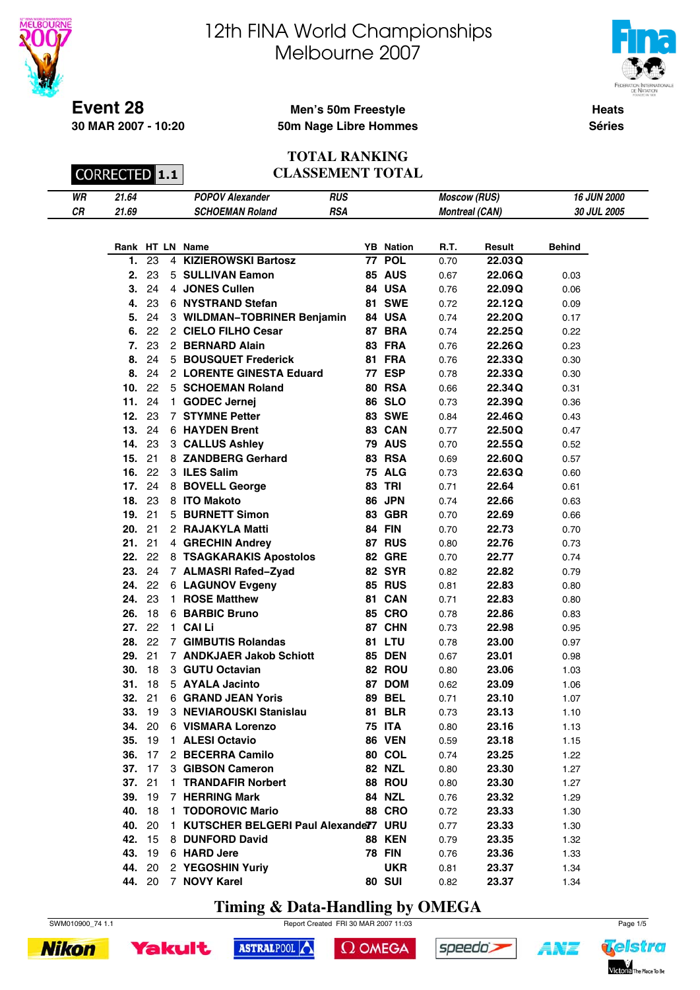



**Heats Séries**

### **Men's 50m Freestyle 50m Nage Libre Hommes**

CORRECTED **1.1** 

**30 MAR 2007 - 10:20**

 $\overline{a}$ 

#### **TOTAL RANKING CLASSEMENT TOTAL**

| WR | 21.64 | Alexander   | <b>RUS</b>  | (RUS)<br>:COW | <b>JUN 2000</b>    |
|----|-------|-------------|-------------|---------------|--------------------|
| СR | 21.69 | MAN Roland: | ne i<br>K5A | CAN'          | 2005<br>,,,,<br>2Λ |

|     |    |    | Rank HT LN Name                      |    | <b>YB</b> Nation | R.T. | Result  | <b>Behind</b> |
|-----|----|----|--------------------------------------|----|------------------|------|---------|---------------|
| 1.  | 23 | 4  | <b>KIZIEROWSKI Bartosz</b>           |    | 77 POL           | 0.70 | 22.03 Q |               |
| 2.  | 23 | 5  | <b>SULLIVAN Eamon</b>                |    | <b>85 AUS</b>    | 0.67 | 22.06 Q | 0.03          |
| 3.  | 24 |    | 4 JONES Cullen                       |    | 84 USA           | 0.76 | 22.09 Q | 0.06          |
| 4.  | 23 |    | 6 NYSTRAND Stefan                    |    | <b>81 SWE</b>    | 0.72 | 22.12Q  | 0.09          |
| 5.  | 24 |    | 3 WILDMAN-TOBRINER Benjamin          |    | 84 USA           | 0.74 | 22.20Q  | 0.17          |
| 6.  | 22 |    | 2 CIELO FILHO Cesar                  |    | <b>87 BRA</b>    | 0.74 | 22.25Q  | 0.22          |
| 7.  | 23 |    | 2 BERNARD Alain                      |    | <b>83 FRA</b>    | 0.76 | 22.26Q  | 0.23          |
| 8.  | 24 |    | 5 BOUSQUET Frederick                 |    | <b>81 FRA</b>    | 0.76 | 22.33Q  | 0.30          |
| 8.  | 24 |    | 2 LORENTE GINESTA Eduard             |    | 77 ESP           | 0.78 | 22.33Q  | 0.30          |
| 10. | 22 | 5  | <b>SCHOEMAN Roland</b>               | 80 | <b>RSA</b>       | 0.66 | 22.34Q  | 0.31          |
| 11. | 24 | 1. | <b>GODEC Jernej</b>                  |    | <b>86 SLO</b>    | 0.73 | 22.39Q  | 0.36          |
| 12. | 23 | 7  | <b>STYMNE Petter</b>                 |    | <b>83 SWE</b>    | 0.84 | 22.46Q  | 0.43          |
| 13. | 24 |    | 6 HAYDEN Brent                       |    | 83 CAN           | 0.77 | 22.50Q  | 0.47          |
| 14. | 23 |    | 3 CALLUS Ashley                      |    | <b>79 AUS</b>    | 0.70 | 22.55Q  | 0.52          |
| 15. | 21 |    | 8 ZANDBERG Gerhard                   |    | <b>83 RSA</b>    | 0.69 | 22.60Q  | 0.57          |
| 16. | 22 |    | 3 ILES Salim                         | 75 | <b>ALG</b>       | 0.73 | 22.63Q  | 0.60          |
| 17. | 24 | 8. | <b>BOVELL George</b>                 | 83 | <b>TRI</b>       | 0.71 | 22.64   | 0.61          |
| 18. | 23 |    | 8 ITO Makoto                         |    | 86 JPN           | 0.74 | 22.66   | 0.63          |
| 19. | 21 | 5. | <b>BURNETT Simon</b>                 | 83 | <b>GBR</b>       | 0.70 | 22.69   | 0.66          |
| 20. | 21 |    | 2 RAJAKYLA Matti                     |    | <b>84 FIN</b>    | 0.70 | 22.73   | 0.70          |
| 21. | 21 |    | 4 GRECHIN Andrey                     |    | <b>87 RUS</b>    | 0.80 | 22.76   | 0.73          |
| 22. | 22 |    | 8 TSAGKARAKIS Apostolos              |    | <b>82 GRE</b>    | 0.70 | 22.77   | 0.74          |
| 23. | 24 |    | 7 ALMASRI Rafed-Zyad                 |    | <b>82 SYR</b>    | 0.82 | 22.82   | 0.79          |
| 24. | 22 |    | <b>6 LAGUNOV Evgeny</b>              |    | <b>85 RUS</b>    | 0.81 | 22.83   | 0.80          |
| 24. | 23 | 1. | <b>ROSE Matthew</b>                  |    | 81 CAN           | 0.71 | 22.83   | 0.80          |
| 26. | 18 | 6. | <b>BARBIC Bruno</b>                  | 85 | <b>CRO</b>       | 0.78 | 22.86   | 0.83          |
| 27. | 22 | 1. | <b>CAI Li</b>                        |    | 87 CHN           | 0.73 | 22.98   | 0.95          |
| 28. | 22 | 7  | <b>GIMBUTIS Rolandas</b>             |    | <b>81 LTU</b>    | 0.78 | 23.00   | 0.97          |
| 29. | 21 |    | 7 ANDKJAER Jakob Schiott             | 85 | DEN              | 0.67 | 23.01   | 0.98          |
| 30. | 18 |    | 3 GUTU Octavian                      |    | 82 ROU           | 0.80 | 23.06   | 1.03          |
| 31. | 18 |    | 5 AYALA Jacinto                      |    | 87 DOM           | 0.62 | 23.09   | 1.06          |
| 32. | 21 | 6. | <b>GRAND JEAN Yoris</b>              | 89 | <b>BEL</b>       | 0.71 | 23.10   | 1.07          |
| 33. | 19 |    | 3 NEVIAROUSKI Stanislau              |    | <b>81 BLR</b>    | 0.73 | 23.13   | 1.10          |
| 34. | 20 |    | 6 VISMARA Lorenzo                    |    | <b>75 ITA</b>    | 0.80 | 23.16   | 1.13          |
| 35. | 19 |    | 1 ALESI Octavio                      |    | <b>86 VEN</b>    | 0.59 | 23.18   | 1.15          |
| 36. | 17 |    | 2 BECERRA Camilo                     |    | <b>80 COL</b>    | 0.74 | 23.25   | 1.22          |
| 37. | 17 |    | 3 GIBSON Cameron                     |    | 82 NZL           | 0.80 | 23.30   | 1.27          |
| 37. | 21 | 1. | <b>TRANDAFIR Norbert</b>             |    | 88 ROU           | 0.80 | 23.30   | 1.27          |
| 39. | 19 |    | 7 HERRING Mark                       |    | 84 NZL           | 0.76 | 23.32   | 1.29          |
| 40. | 18 |    | 1 TODOROVIC Mario                    |    | <b>88 CRO</b>    | 0.72 | 23.33   | 1.30          |
| 40. | 20 | 1. | KUTSCHER BELGERI Paul Alexander7 URU |    |                  | 0.77 | 23.33   | 1.30          |
| 42. | 15 | 8. | <b>DUNFORD David</b>                 |    | <b>88 KEN</b>    | 0.79 | 23.35   | 1.32          |
| 43. | 19 |    | 6 HARD Jere                          |    | <b>78 FIN</b>    | 0.76 | 23.36   | 1.33          |
| 44. | 20 |    | 2 YEGOSHIN Yuriy                     |    | <b>UKR</b>       | 0.81 | 23.37   | 1.34          |
| 44. | 20 | 7  | <b>NOVY Karel</b>                    |    | <b>80 SUI</b>    | 0.82 | 23.37   | 1.34          |

**Timing & Data-Handling by OMEGA**

ASTRALPOOL



 $\Omega$  OMEGA

speedo's



**Yakult** 



**ANT**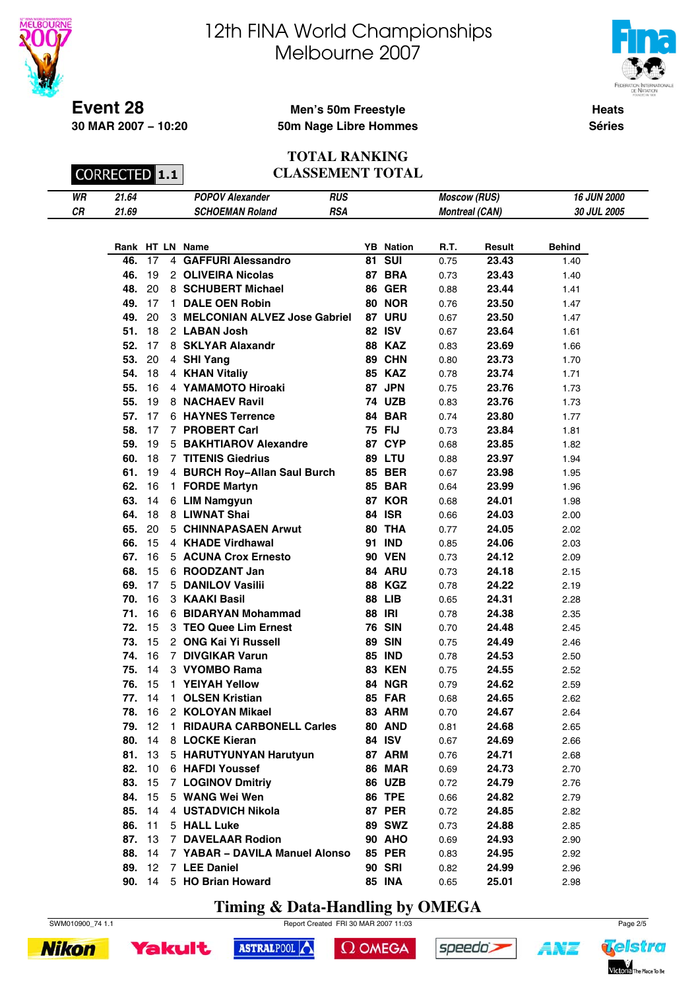



**Heats**

**Séries**

#### **Event 28 30 MAR 2007 − 10:20**

## **Men's 50m Freestyle 50m Nage Libre Hommes**

CORRECTED **1.1** 

#### **TOTAL RANKING CLASSEMENT TOTAL**

| WR | 21.64 | <b>POPOV Alexander</b>                 | RUS | <b>Moscow (RUS)</b>   | <b>16 JUN 2000</b> |
|----|-------|----------------------------------------|-----|-----------------------|--------------------|
| СR | 21.69 | <i>SCHOEMAN</i><br><sup>1</sup> Rolang | RSA | <b>Montreal (CAN)</b> | 30 JUL 2005        |

|     |    |                | Rank HT LN Name                 | <b>YB</b> Nation | R.T. | Result | <b>Behind</b> |
|-----|----|----------------|---------------------------------|------------------|------|--------|---------------|
| 46. | 17 | $\overline{4}$ | <b>GAFFURI Alessandro</b>       | <b>81 SUI</b>    | 0.75 | 23.43  | 1.40          |
| 46. | 19 |                | 2 OLIVEIRA Nicolas              | 87 BRA           | 0.73 | 23.43  | 1.40          |
| 48. | 20 |                | 8 SCHUBERT Michael              | <b>86 GER</b>    | 0.88 | 23.44  | 1.41          |
| 49. | 17 | $\mathbf{1}$   | <b>DALE OEN Robin</b>           | <b>80 NOR</b>    | 0.76 | 23.50  | 1.47          |
| 49. | 20 |                | 3 MELCONIAN ALVEZ Jose Gabriel  | 87 URU           | 0.67 | 23.50  | 1.47          |
| 51. | 18 |                | 2 LABAN Josh                    | <b>82 ISV</b>    | 0.67 | 23.64  | 1.61          |
| 52. | 17 |                | 8 SKLYAR Alaxandr               | <b>88 KAZ</b>    | 0.83 | 23.69  | 1.66          |
| 53. | 20 |                | 4 SHI Yang                      | 89 CHN           | 0.80 | 23.73  | 1.70          |
| 54. | 18 |                | 4 KHAN Vitaliy                  | <b>85 KAZ</b>    | 0.78 | 23.74  | 1.71          |
| 55. | 16 |                | 4 YAMAMOTO Hiroaki              | 87 JPN           | 0.75 | 23.76  | 1.73          |
| 55. | 19 |                | 8 NACHAEV Ravil                 | <b>74 UZB</b>    | 0.83 | 23.76  | 1.73          |
| 57. | 17 |                | 6 HAYNES Terrence               | 84 BAR           | 0.74 | 23.80  | 1.77          |
| 58. | 17 |                | 7 PROBERT Carl                  | <b>75 FIJ</b>    | 0.73 | 23.84  | 1.81          |
| 59. | 19 |                | 5 BAKHTIAROV Alexandre          | 87 CYP           | 0.68 | 23.85  | 1.82          |
| 60. | 18 |                | <b>7 TITENIS Giedrius</b>       | 89 LTU           | 0.88 | 23.97  | 1.94          |
| 61. | 19 |                | 4 BURCH Roy-Allan Saul Burch    | <b>85 BER</b>    | 0.67 | 23.98  | 1.95          |
| 62. | 16 |                | 1 FORDE Martyn                  | <b>85 BAR</b>    | 0.64 | 23.99  | 1.96          |
| 63. | 14 |                | 6 LIM Namgyun                   | 87 KOR           | 0.68 | 24.01  | 1.98          |
| 64. | 18 |                | 8 LIWNAT Shai                   | <b>84 ISR</b>    | 0.66 | 24.03  | 2.00          |
| 65. | 20 |                | 5 CHINNAPASAEN Arwut            | 80 THA           | 0.77 | 24.05  | 2.02          |
| 66. | 15 |                | 4 KHADE Virdhawal               | <b>91 IND</b>    | 0.85 | 24.06  | 2.03          |
| 67. | 16 |                | 5 ACUNA Crox Ernesto            | <b>90 VEN</b>    | 0.73 | 24.12  | 2.09          |
| 68. | 15 |                | 6 ROODZANT Jan                  | 84 ARU           | 0.73 | 24.18  | 2.15          |
| 69. | 17 |                | 5 DANILOV Vasilii               | <b>88 KGZ</b>    | 0.78 | 24.22  | 2.19          |
| 70. | 16 |                | 3 KAAKI Basil                   | <b>88 LIB</b>    | 0.65 | 24.31  | 2.28          |
| 71. | 16 |                | 6 BIDARYAN Mohammad             | <b>88 IRI</b>    | 0.78 | 24.38  | 2.35          |
| 72. | 15 |                | 3 TEO Quee Lim Ernest           | <b>76 SIN</b>    | 0.70 | 24.48  | 2.45          |
| 73. | 15 |                | 2 ONG Kai Yi Russell            | <b>89 SIN</b>    | 0.75 | 24.49  | 2.46          |
| 74. | 16 |                | 7 DIVGIKAR Varun                | <b>85 IND</b>    | 0.78 | 24.53  | 2.50          |
| 75. | 14 |                | 3 VYOMBO Rama                   | <b>83 KEN</b>    | 0.75 | 24.55  | 2.52          |
| 76. | 15 |                | 1 YEIYAH Yellow                 | 84 NGR           | 0.79 | 24.62  | 2.59          |
| 77. | 14 | $\mathbf{1}$   | <b>OLSEN Kristian</b>           | <b>85 FAR</b>    | 0.68 | 24.65  | 2.62          |
| 78. | 16 |                | 2 KOLOYAN Mikael                | 83 ARM           | 0.70 | 24.67  | 2.64          |
| 79. | 12 | $\mathbf{1}$   | <b>RIDAURA CARBONELL Carles</b> | <b>80 AND</b>    | 0.81 | 24.68  | 2.65          |
| 80. | 14 |                | 8 LOCKE Kieran                  | 84 ISV           | 0.67 | 24.69  | 2.66          |
| 81. | 13 |                | 5 HARUTYUNYAN Harutyun          | 87 ARM           | 0.76 | 24.71  | 2.68          |
| 82. | 10 |                | 6 HAFDI Youssef                 | <b>86 MAR</b>    | 0.69 | 24.73  | 2.70          |
| 83. | 15 |                | 7 LOGINOV Dmitriy               | 86 UZB           | 0.72 | 24.79  | 2.76          |
| 84. | 15 |                | 5 WANG Wei Wen                  | <b>86 TPE</b>    | 0.66 | 24.82  | 2.79          |
| 85. | 14 |                | 4 USTADVICH Nikola              | <b>87 PER</b>    | 0.72 | 24.85  | 2.82          |
| 86. | 11 |                | 5 HALL Luke                     | <b>89 SWZ</b>    | 0.73 | 24.88  | 2.85          |
| 87. | 13 |                | 7 DAVELAAR Rodion               | <b>90 AHO</b>    | 0.69 | 24.93  | 2.90          |
| 88. | 14 |                | 7 YABAR - DAVILA Manuel Alonso  | <b>85 PER</b>    | 0.83 | 24.95  | 2.92          |
| 89. | 12 |                | 7 LEE Daniel                    | <b>90 SRI</b>    | 0.82 | 24.99  | 2.96          |
|     |    |                | 90. 14 5 HO Brian Howard        | <b>85 INA</b>    | 0.65 | 25.01  | 2.98          |

**Timing & Data-Handling by OMEGA**

SWM010900\_74 1.1 Report Created FRI 30 MAR 2007 11:03





 $\Omega$  OMEGA





**ANT**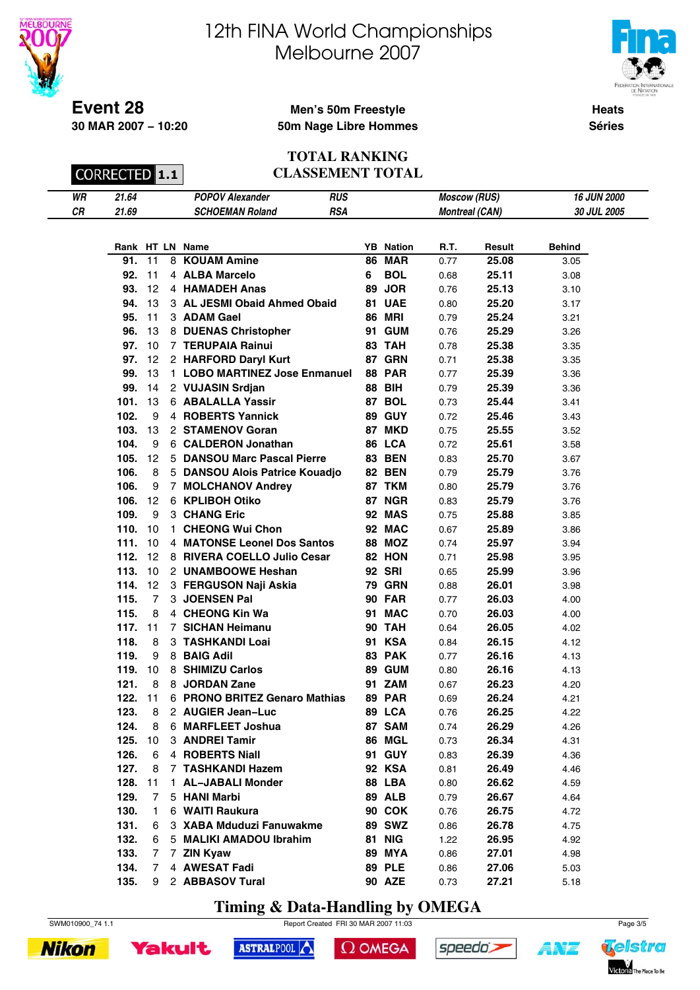



**Heats**

**Séries**

### **Men's 50m Freestyle 50m Nage Libre Hommes**

CORRECTED **1.1** 

**30 MAR 2007 − 10:20**

#### **TOTAL RANKING CLASSEMENT TOTAL**

| WR | 21.64 | <b>POPOV Alc</b><br>Alexander | RUS | (RUS)<br>Moscow   | <b>16 JUN 2000</b> |
|----|-------|-------------------------------|-----|-------------------|--------------------|
| СR | 21.69 | Roland<br>70L<br>- MA N       | RSA | (CAN)<br>Montreal | JUL 2005 ו<br>30   |

|      |                |                | Rank HT LN Name                  |    | <b>YB</b> Nation | R.T. | Result | <b>Behind</b> |
|------|----------------|----------------|----------------------------------|----|------------------|------|--------|---------------|
| 91.  | 11             | 8              | <b>KOUAM Amine</b>               |    | <b>86 MAR</b>    | 0.77 | 25.08  | 3.05          |
| 92.  | 11             |                | 4 ALBA Marcelo                   | 6  | <b>BOL</b>       | 0.68 | 25.11  | 3.08          |
| 93.  | 12             |                | 4 HAMADEH Anas                   | 89 | <b>JOR</b>       | 0.76 | 25.13  | 3.10          |
| 94.  | 13             |                | 3 AL JESMI Obaid Ahmed Obaid     |    | 81 UAE           | 0.80 | 25.20  | 3.17          |
| 95.  | 11             |                | 3 ADAM Gael                      |    | <b>86 MRI</b>    | 0.79 | 25.24  | 3.21          |
| 96.  | 13             |                | 8 DUENAS Christopher             | 91 | <b>GUM</b>       | 0.76 | 25.29  | 3.26          |
| 97.  | 10             |                | 7 TERUPAIA Rainui                |    | 83 TAH           | 0.78 | 25.38  | 3.35          |
| 97.  | 12             |                | 2 HARFORD Daryl Kurt             |    | 87 GRN           | 0.71 | 25.38  | 3.35          |
| 99.  | 13             |                | 1 LOBO MARTINEZ Jose Enmanuel    |    | <b>88 PAR</b>    | 0.77 | 25.39  | 3.36          |
| 99.  | 14             |                | 2 VUJASIN Srdjan                 |    | <b>88 BIH</b>    | 0.79 | 25.39  | 3.36          |
| 101. | 13             |                | 6 ABALALLA Yassir                |    | 87 BOL           | 0.73 | 25.44  | 3.41          |
| 102. | 9              |                | 4 ROBERTS Yannick                |    | <b>89 GUY</b>    | 0.72 | 25.46  | 3.43          |
| 103. | 13             |                | 2 STAMENOV Goran                 |    | 87 MKD           | 0.75 | 25.55  | 3.52          |
| 104. | 9              |                | 6 CALDERON Jonathan              |    | 86 LCA           | 0.72 | 25.61  | 3.58          |
| 105. | 12             |                | 5 DANSOU Marc Pascal Pierre      |    | <b>83 BEN</b>    | 0.83 | 25.70  | 3.67          |
| 106. | 8              |                | 5 DANSOU Alois Patrice Kouadjo   |    | <b>82 BEN</b>    | 0.79 | 25.79  | 3.76          |
| 106. | 9              | $\overline{7}$ | <b>MOLCHANOV Andrey</b>          |    | 87 TKM           | 0.80 | 25.79  | 3.76          |
| 106. | 12             |                | 6 KPLIBOH Otiko                  |    | 87 NGR           | 0.83 | 25.79  | 3.76          |
| 109. | 9              |                | 3 CHANG Eric                     |    | <b>92 MAS</b>    | 0.75 | 25.88  | 3.85          |
| 110. | 10             | 1.             | <b>CHEONG Wui Chon</b>           |    | 92 MAC           | 0.67 | 25.89  | 3.86          |
| 111. | 10             | 4              | <b>MATONSE Leonel Dos Santos</b> |    | <b>88 MOZ</b>    | 0.74 | 25.97  | 3.94          |
| 112. | 12             |                | 8 RIVERA COELLO Julio Cesar      |    | 82 HON           | 0.71 | 25.98  | 3.95          |
| 113. | 10             |                | 2 UNAMBOOWE Heshan               |    | <b>92 SRI</b>    | 0.65 | 25.99  | 3.96          |
| 114. | 12             |                | 3 FERGUSON Naji Askia            |    | <b>79 GRN</b>    | 0.88 | 26.01  | 3.98          |
| 115. | $\overline{7}$ |                | 3 JOENSEN Pal                    |    | <b>90 FAR</b>    | 0.77 | 26.03  | 4.00          |
| 115. | 8              |                | 4 CHEONG Kin Wa                  | 91 | <b>MAC</b>       | 0.70 | 26.03  | 4.00          |
| 117. | 11             | $7^{\circ}$    | <b>SICHAN Heimanu</b>            | 90 | <b>TAH</b>       | 0.64 | 26.05  | 4.02          |
| 118. | 8              |                | 3 TASHKANDI Loai                 | 91 | <b>KSA</b>       | 0.84 | 26.15  | 4.12          |
| 119. | 9              |                | 8 BAIG Adil                      |    | 83 PAK           | 0.77 | 26.16  | 4.13          |
| 119. | 10             | 8              | <b>SHIMIZU Carlos</b>            | 89 | <b>GUM</b>       | 0.80 | 26.16  | 4.13          |
| 121. | 8              | 8              | <b>JORDAN Zane</b>               | 91 | <b>ZAM</b>       | 0.67 | 26.23  | 4.20          |
| 122. | 11             |                | 6 PRONO BRITEZ Genaro Mathias    |    | <b>89 PAR</b>    | 0.69 | 26.24  | 4.21          |
| 123. | 8              |                | 2 AUGIER Jean-Luc                |    | 89 LCA           | 0.76 | 26.25  | 4.22          |
| 124. | 8              |                | 6 MARFLEET Joshua                |    | 87 SAM           | 0.74 | 26.29  | 4.26          |
| 125. | 10             |                | 3 ANDREI Tamir                   | 86 | MGL              | 0.73 | 26.34  | 4.31          |
| 126. | 6              |                | 4 ROBERTS Niall                  |    | 91 GUY           | 0.83 | 26.39  | 4.36          |
| 127. | 8              | 7              | <b>TASHKANDI Hazem</b>           |    | 92 KSA           | 0.81 | 26.49  | 4.46          |
| 128. | 11             | 1.             | <b>AL-JABALI Monder</b>          |    | 88 LBA           | 0.80 | 26.62  | 4.59          |
| 129. | 7              |                | 5 HANI Marbi                     |    | <b>89 ALB</b>    | 0.79 | 26.67  | 4.64          |
| 130. | 1              |                | 6 WAITI Raukura                  |    | <b>90 COK</b>    | 0.76 | 26.75  | 4.72          |
| 131. | 6              |                | 3 XABA Mduduzi Fanuwakme         |    | 89 SWZ           | 0.86 | 26.78  | 4.75          |
| 132. | 6              |                | 5 MALIKI AMADOU Ibrahim          |    | <b>81 NIG</b>    | 1.22 | 26.95  | 4.92          |
| 133. | 7              | $\overline{7}$ | <b>ZIN Kyaw</b>                  |    | <b>89 MYA</b>    | 0.86 | 27.01  | 4.98          |
| 134. | 7              |                | 4 AWESAT Fadi                    |    | <b>89 PLE</b>    | 0.86 | 27.06  | 5.03          |
| 135. | 9              |                | 2 ABBASOV Tural                  |    | <b>90 AZE</b>    | 0.73 | 27.21  | 5.18          |

**Timing & Data-Handling by OMEGA**

ASTRALPOOL



 $\Omega$  OMEGA



**Yakult** 



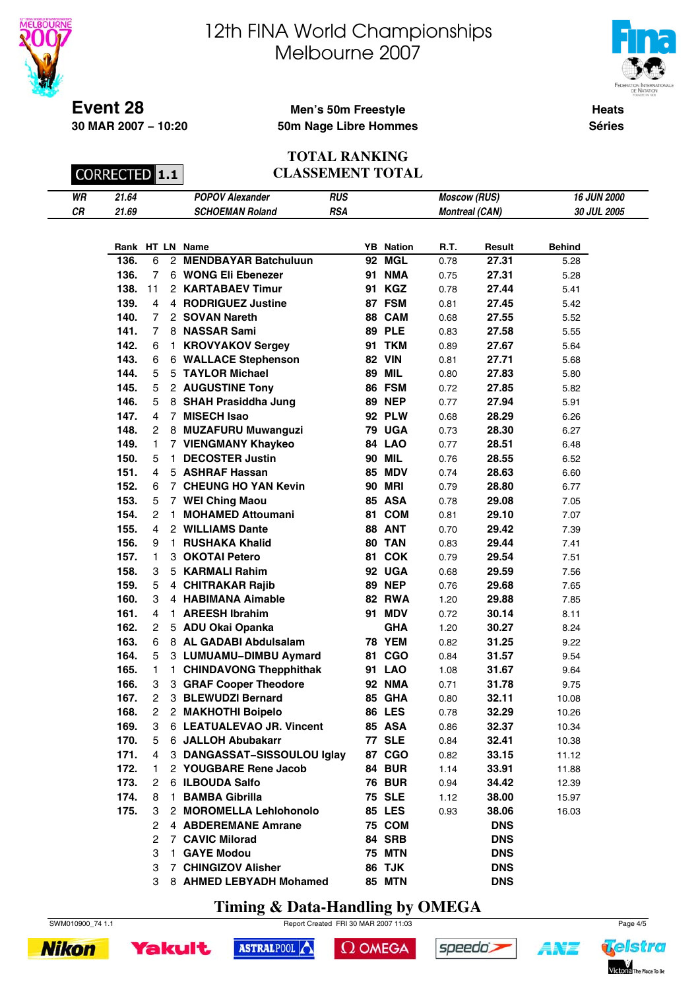



**Heats**

**Séries**

#### **Event 28 30 MAR 2007 − 10:20**

## **Men's 50m Freestyle 50m Nage Libre Hommes**

CORRECTED 1.1

**TOTAL RANKING CLASSEMENT TOTAL**

| WR | 21.64 | <b>POPOV</b><br>Alexander | RUS<br>__ | <sup>,</sup> (RUS)<br>Moscow | <b>JUN 2000</b><br>16  |
|----|-------|---------------------------|-----------|------------------------------|------------------------|
| СR | 21.69 | Roland<br>88 B            | RSA       | (CAN)                        | <b>JUL 2005</b><br>.מ? |
|    |       |                           |           |                              |                        |

|      |                |                | Rank HT LN Name               |    | <b>YB</b> Nation | R.T. | Result     | <b>Behind</b> |
|------|----------------|----------------|-------------------------------|----|------------------|------|------------|---------------|
| 136. | 6              | $^{2}$         | <b>MENDBAYAR Batchuluun</b>   |    | 92 MGL           | 0.78 | 27.31      | 5.28          |
| 136. | 7              |                | 6 WONG Eli Ebenezer           | 91 | <b>NMA</b>       | 0.75 | 27.31      | 5.28          |
| 138. | 11             |                | 2 KARTABAEV Timur             | 91 | <b>KGZ</b>       | 0.78 | 27.44      | 5.41          |
| 139. | 4              |                | 4 RODRIGUEZ Justine           | 87 | <b>FSM</b>       | 0.81 | 27.45      | 5.42          |
| 140. | 7              |                | 2 SOVAN Nareth                | 88 | <b>CAM</b>       | 0.68 | 27.55      | 5.52          |
| 141. | 7              | 8              | <b>NASSAR Sami</b>            |    | <b>89 PLE</b>    | 0.83 | 27.58      | 5.55          |
| 142. | 6              | 1              | <b>KROVYAKOV Sergey</b>       | 91 | <b>TKM</b>       | 0.89 | 27.67      | 5.64          |
| 143. | 6              | 6              | <b>WALLACE Stephenson</b>     | 82 | <b>VIN</b>       | 0.81 | 27.71      | 5.68          |
| 144. | 5              | 5              | <b>TAYLOR Michael</b>         | 89 | <b>MIL</b>       | 0.80 | 27.83      | 5.80          |
| 145. | 5              |                | 2 AUGUSTINE Tony              |    | 86 FSM           | 0.72 | 27.85      | 5.82          |
| 146. | 5              | 8.             | <b>SHAH Prasiddha Jung</b>    |    | <b>89 NEP</b>    | 0.77 | 27.94      | 5.91          |
| 147. | 4              | $\overline{7}$ | <b>MISECH Isao</b>            |    | <b>92 PLW</b>    | 0.68 | 28.29      | 6.26          |
| 148. | 2              | 8              | <b>MUZAFURU Muwanguzi</b>     |    | <b>79 UGA</b>    | 0.73 | 28.30      | 6.27          |
| 149. | 1              |                | 7 VIENGMANY Khaykeo           |    | <b>84 LAO</b>    | 0.77 | 28.51      | 6.48          |
| 150. | 5              | 1              | <b>DECOSTER Justin</b>        |    | <b>90 MIL</b>    | 0.76 | 28.55      | 6.52          |
| 151. | 4              |                | 5 ASHRAF Hassan               | 85 | <b>MDV</b>       | 0.74 | 28.63      | 6.60          |
| 152. | 6              |                | 7 CHEUNG HO YAN Kevin         | 90 | <b>MRI</b>       | 0.79 | 28.80      | 6.77          |
| 153. | 5              | $\overline{7}$ | <b>WEI Ching Maou</b>         |    | 85 ASA           | 0.78 | 29.08      | 7.05          |
| 154. | 2              | 1.             | <b>MOHAMED Attoumani</b>      | 81 | <b>COM</b>       | 0.81 | 29.10      | 7.07          |
| 155. | 4              |                | 2 WILLIAMS Dante              | 88 | <b>ANT</b>       | 0.70 | 29.42      | 7.39          |
| 156. | 9              | 1.             | <b>RUSHAKA Khalid</b>         | 80 | <b>TAN</b>       | 0.83 | 29.44      | 7.41          |
| 157. | 1              | 3              | <b>OKOTAI Petero</b>          | 81 | <b>COK</b>       | 0.79 | 29.54      | 7.51          |
| 158. | 3              | 5              | <b>KARMALI Rahim</b>          |    | 92 UGA           | 0.68 | 29.59      | 7.56          |
| 159. | 5              |                | 4 CHITRAKAR Rajib             | 89 | <b>NEP</b>       | 0.76 | 29.68      | 7.65          |
| 160. | 3              |                | 4 HABIMANA Aimable            | 82 | <b>RWA</b>       | 1.20 | 29.88      | 7.85          |
| 161. | 4              | 1.             | <b>AREESH Ibrahim</b>         | 91 | <b>MDV</b>       | 0.72 | 30.14      | 8.11          |
| 162. | $\overline{c}$ | 5              | <b>ADU Okai Opanka</b>        |    | <b>GHA</b>       | 1.20 | 30.27      | 8.24          |
| 163. | 6              |                | 8 AL GADABI Abdulsalam        |    | <b>78 YEM</b>    | 0.82 | 31.25      | 9.22          |
| 164. | 5              |                | 3 LUMUAMU-DIMBU Aymard        | 81 | <b>CGO</b>       | 0.84 | 31.57      | 9.54          |
| 165. | 1              | 1.             | <b>CHINDAVONG Thepphithak</b> |    | <b>91 LAO</b>    | 1.08 | 31.67      | 9.64          |
| 166. | 3              | 3              | <b>GRAF Cooper Theodore</b>   |    | <b>92 NMA</b>    | 0.71 | 31.78      | 9.75          |
| 167. | $\overline{c}$ |                | 3 BLEWUDZI Bernard            | 85 | <b>GHA</b>       | 0.80 | 32.11      | 10.08         |
| 168. | $\overline{c}$ |                | 2 MAKHOTHI Boipelo            |    | <b>86 LES</b>    | 0.78 | 32.29      | 10.26         |
| 169. | 3              |                | 6 LEATUALEVAO JR. Vincent     |    | <b>85 ASA</b>    | 0.86 | 32.37      | 10.34         |
| 170. | 5              |                | 6 JALLOH Abubakarr            | 77 | <b>SLE</b>       | 0.84 | 32.41      | 10.38         |
| 171. | 4              | 3              | DANGASSAT-SISSOULOU Iglay     |    | 87 CGO           | 0.82 | 33.15      | 11.12         |
| 172. | 1              |                | 2 YOUGBARE Rene Jacob         |    | <b>84 BUR</b>    | 1.14 | 33.91      | 11.88         |
| 173. | 2              |                | 6 ILBOUDA Salfo               |    | <b>76 BUR</b>    | 0.94 | 34.42      | 12.39         |
| 174. | 8              |                | 1 BAMBA Gibrilla              |    | <b>75 SLE</b>    | 1.12 | 38.00      | 15.97         |
| 175. | 3              |                | 2 MOROMELLA Lehlohonolo       |    | <b>85 LES</b>    | 0.93 | 38.06      | 16.03         |
|      | 2              |                | 4 ABDEREMANE Amrane           |    | <b>75 COM</b>    |      | <b>DNS</b> |               |
|      | 2              |                | 7 CAVIC Milorad               |    | 84 SRB           |      | <b>DNS</b> |               |
|      | 3              |                | 1 GAYE Modou                  |    | <b>75 MTN</b>    |      | <b>DNS</b> |               |
|      | 3              |                | 7 CHINGIZOV Alisher           |    | <b>86 TJK</b>    |      | <b>DNS</b> |               |
|      | 3              |                | 8 AHMED LEBYADH Mohamed       |    | <b>85 MTN</b>    |      | <b>DNS</b> |               |

**Timing & Data-Handling by OMEGA**



 $\Omega$  OMEGA

speedo's

ASTRALPOOL



**Yakult** 

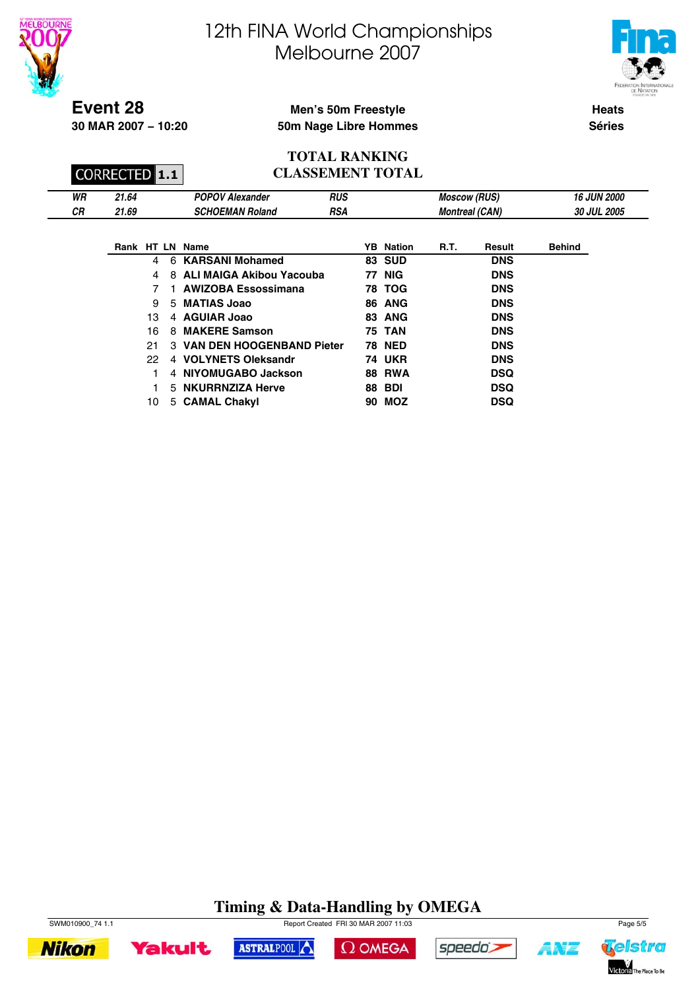



**Event 28**

**30 MAR 2007 − 10:20**

## **Men's 50m Freestyle 50m Nage Libre Hommes**

**Heats Séries**

#### **TOTAL RANKING CLASSEMENT TOTAL**

|    | <b>CORRECTED 1.1</b> |                        | <b>CLASSEMENT TOTAL</b> |                       |                    |
|----|----------------------|------------------------|-------------------------|-----------------------|--------------------|
| WR | 21.64                | <b>POPOV Alexander</b> | RUS                     | <b>Moscow (RUS)</b>   | <b>16 JUN 2000</b> |
| СR | 21.69                | <b>SCHOEMAN Roland</b> | RSA                     | <b>Montreal (CAN)</b> | <b>30 JUL 2005</b> |

|    |                | Rank HT LN Name             | <b>YB</b> Nation | <b>R.T.</b> | Result     | <b>Behind</b> |
|----|----------------|-----------------------------|------------------|-------------|------------|---------------|
| 4  | 6              | <b>KARSANI Mohamed</b>      | 83 SUD           |             | <b>DNS</b> |               |
| 4  |                | 8 ALI MAIGA Akibou Yacouba  | <b>77 NIG</b>    |             | <b>DNS</b> |               |
| 7  |                | <b>AWIZOBA Essossimana</b>  | <b>78 TOG</b>    |             | <b>DNS</b> |               |
| 9  | 5              | <b>MATIAS Joao</b>          | <b>86 ANG</b>    |             | <b>DNS</b> |               |
| 13 |                | 4 AGUIAR Joao               | 83 ANG           |             | <b>DNS</b> |               |
| 16 | 8              | <b>MAKERE Samson</b>        | <b>75 TAN</b>    |             | <b>DNS</b> |               |
| 21 |                | 3 VAN DEN HOOGENBAND Pieter | <b>78 NED</b>    |             | <b>DNS</b> |               |
| 22 |                | 4 VOLYNETS Oleksandr        | <b>74 UKR</b>    |             | <b>DNS</b> |               |
|    | $\overline{4}$ | NIYOMUGABO Jackson          | <b>88 RWA</b>    |             | <b>DSQ</b> |               |
|    |                | 5 NKURRNZIZA Herve          | <b>88 BDI</b>    |             | <b>DSQ</b> |               |
| 10 |                | 5 CAMAL Chakyl              | 90 MOZ           |             | DSQ        |               |

# **Timing & Data-Handling by OMEGA**

 $\Omega$  OMEGA

ASTRALPOOL



**Yakult** 



speedo's

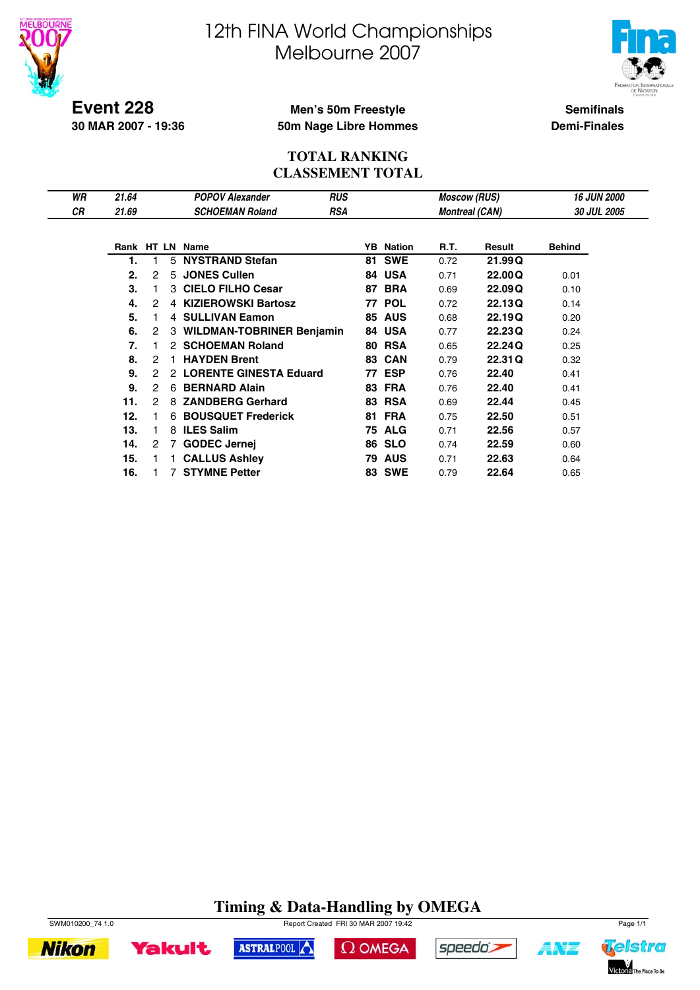



**Event 228 30 MAR 2007 - 19:36**

## **Men's 50m Freestyle 50m Nage Libre Hommes**

**Semifinals Demi-Finales**

### **TOTAL RANKING CLASSEMENT TOTAL**

| WR        | 21.64 |   |    | <b>POPOV Alexander</b>           | <b>RUS</b> |    |                  | <b>Moscow (RUS)</b>   |         | <b>16 JUN 2000</b> |
|-----------|-------|---|----|----------------------------------|------------|----|------------------|-----------------------|---------|--------------------|
| <b>CR</b> | 21.69 |   |    | <b>SCHOEMAN Roland</b>           | <b>RSA</b> |    |                  | <b>Montreal (CAN)</b> |         | <b>30 JUL 2005</b> |
|           |       |   |    |                                  |            |    |                  |                       |         |                    |
|           |       |   |    | Rank HT LN Name                  |            |    | <b>YB</b> Nation | R.T.                  | Result  | <b>Behind</b>      |
|           | 1.    |   | 5  | <b>NYSTRAND Stefan</b>           |            | 81 | <b>SWE</b>       | 0.72                  | 21.99Q  |                    |
|           | 2.    | 2 | 5. | <b>JONES Cullen</b>              |            |    | 84 USA           | 0.71                  | 22,00Q  | 0.01               |
|           | 3.    |   |    | 3 CIELO FILHO Cesar              |            | 87 | <b>BRA</b>       | 0.69                  | 22,09Q  | 0.10               |
|           | 4.    | 2 |    | 4 KIZIEROWSKI Bartosz            |            | 77 | <b>POL</b>       | 0.72                  | 22.13Q  | 0.14               |
|           | 5.    |   |    | 4 SULLIVAN Eamon                 |            | 85 | <b>AUS</b>       | 0.68                  | 22.19Q  | 0.20               |
|           | 6.    | 2 | 3  | <b>WILDMAN-TOBRINER Benjamin</b> |            |    | 84 USA           | 0.77                  | 22.23Q  | 0.24               |
|           | 7.    |   | 2  | <b>SCHOEMAN Roland</b>           |            | 80 | <b>RSA</b>       | 0.65                  | 22.24Q  | 0.25               |
|           | 8.    | 2 |    | <b>HAYDEN Brent</b>              |            | 83 | <b>CAN</b>       | 0.79                  | 22.31 Q | 0.32               |
|           | 9.    | 2 |    | 2 LORENTE GINESTA Eduard         |            | 77 | <b>ESP</b>       | 0.76                  | 22.40   | 0.41               |
|           | 9.    | 2 | 6  | <b>BERNARD Alain</b>             |            |    | <b>83 FRA</b>    | 0.76                  | 22.40   | 0.41               |
|           | 11.   | 2 | 8  | <b>ZANDBERG Gerhard</b>          |            | 83 | <b>RSA</b>       | 0.69                  | 22.44   | 0.45               |
|           | 12.   |   | 6  | <b>BOUSQUET Frederick</b>        |            | 81 | <b>FRA</b>       | 0.75                  | 22.50   | 0.51               |
|           | 13.   |   |    | 8 ILES Salim                     |            | 75 | <b>ALG</b>       | 0.71                  | 22.56   | 0.57               |
|           | 14.   | 2 | 7  | <b>GODEC Jernej</b>              |            | 86 | <b>SLO</b>       | 0.74                  | 22.59   | 0.60               |
|           | 15.   |   |    | <b>CALLUS Ashley</b>             |            | 79 | <b>AUS</b>       | 0.71                  | 22.63   | 0.64               |
|           | 16.   |   |    | <b>STYMNE Petter</b>             |            | 83 | <b>SWE</b>       | 0.79                  | 22.64   | 0.65               |

# **Timing & Data-Handling by OMEGA**

ASTRALPOOL



**Yakult** 

**Nikon** 





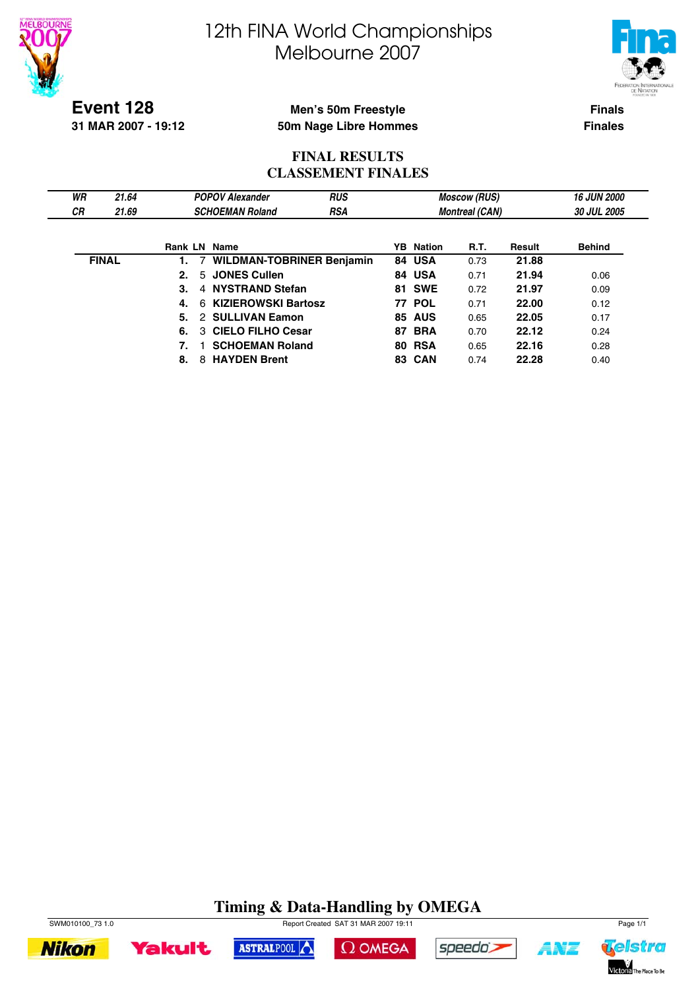



**Event 128 31 MAR 2007 - 19:12**

## **Men's 50m Freestyle 50m Nage Libre Hommes**

**Finals Finales**

## **FINAL RESULTS CLASSEMENT FINALES**

| WR        | 21.64        |    | <b>POPOV Alexander</b>           | <b>RUS</b> |                  | <b>Moscow (RUS)</b>   |        | <b>16 JUN 2000</b> |
|-----------|--------------|----|----------------------------------|------------|------------------|-----------------------|--------|--------------------|
| <b>CR</b> | 21.69        |    | <b>SCHOEMAN Roland</b>           | <b>RSA</b> |                  | <b>Montreal (CAN)</b> |        | 30 JUL 2005        |
|           |              |    |                                  |            |                  |                       |        |                    |
|           |              |    | <b>Rank LN Name</b>              |            | <b>YB</b> Nation | R.T.                  | Result | <b>Behind</b>      |
|           | <b>FINAL</b> |    | <b>WILDMAN-TOBRINER Benjamin</b> |            | 84 USA           | 0.73                  | 21.88  |                    |
|           |              | 2. | 5 JONES Cullen                   |            | 84 USA           | 0.71                  | 21.94  | 0.06               |
|           |              | 3. | 4 NYSTRAND Stefan                |            | <b>81 SWE</b>    | 0.72                  | 21.97  | 0.09               |
|           |              | 4. | 6 KIZIEROWSKI Bartosz            |            | <b>77 POL</b>    | 0.71                  | 22.00  | 0.12               |
|           |              | 5. | 2 SULLIVAN Eamon                 |            | <b>85 AUS</b>    | 0.65                  | 22.05  | 0.17               |
|           |              | 6. | 3 CIELO FILHO Cesar              |            | <b>87 BRA</b>    | 0.70                  | 22.12  | 0.24               |
|           |              |    | <b>SCHOEMAN Roland</b>           |            | <b>80 RSA</b>    | 0.65                  | 22.16  | 0.28               |
|           |              | 8. | <b>HAYDEN Brent</b><br>8         |            | <b>83 CAN</b>    | 0.74                  | 22.28  | 0.40               |

#### **Timing & Data-Handling by OMEGA** SWM010100\_73 1.0 Page 1/1



**Yakult** 







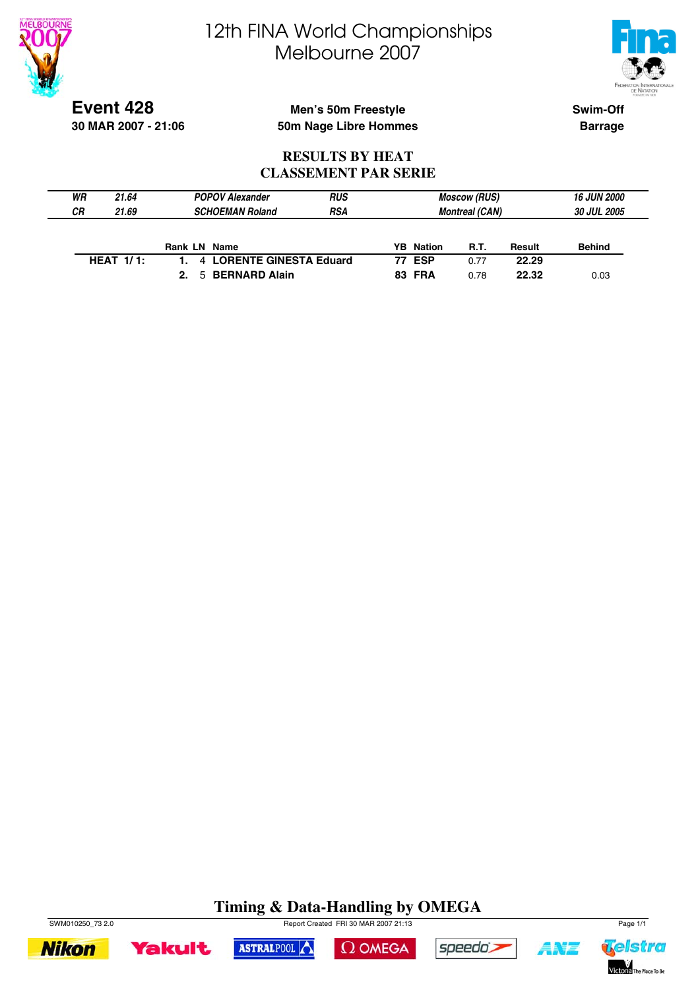



**Event 428 30 MAR 2007 - 21:06**

## **Men's 50m Freestyle 50m Nage Libre Hommes**

**Swim-Off Barrage**

### **RESULTS BY HEAT CLASSEMENT PAR SERIE**

| WR<br>21.64  | <b>POPOV Alexander</b>   | <b>RUS</b> |                       | <b>Moscow (RUS)</b> |             | 16 JUN 2000   |  |
|--------------|--------------------------|------------|-----------------------|---------------------|-------------|---------------|--|
| СR<br>21.69  | <b>SCHOEMAN Roland</b>   | <b>RSA</b> | <b>Montreal (CAN)</b> |                     | 30 JUL 2005 |               |  |
|              |                          |            |                       |                     |             |               |  |
|              | <b>Rank LN Name</b>      |            | <b>YB</b> Nation      | <b>R.T.</b>         | Result      | <b>Behind</b> |  |
| HEAT $1/1$ : | 4 LORENTE GINESTA Eduard |            | <b>77 ESP</b>         | 0.77                | 22.29       |               |  |
|              | 5 BERNARD Alain<br>2.    |            | <b>83 FRA</b>         | 0.78                | 22.32       | 0.03          |  |

# **Timing & Data-Handling by OMEGA**









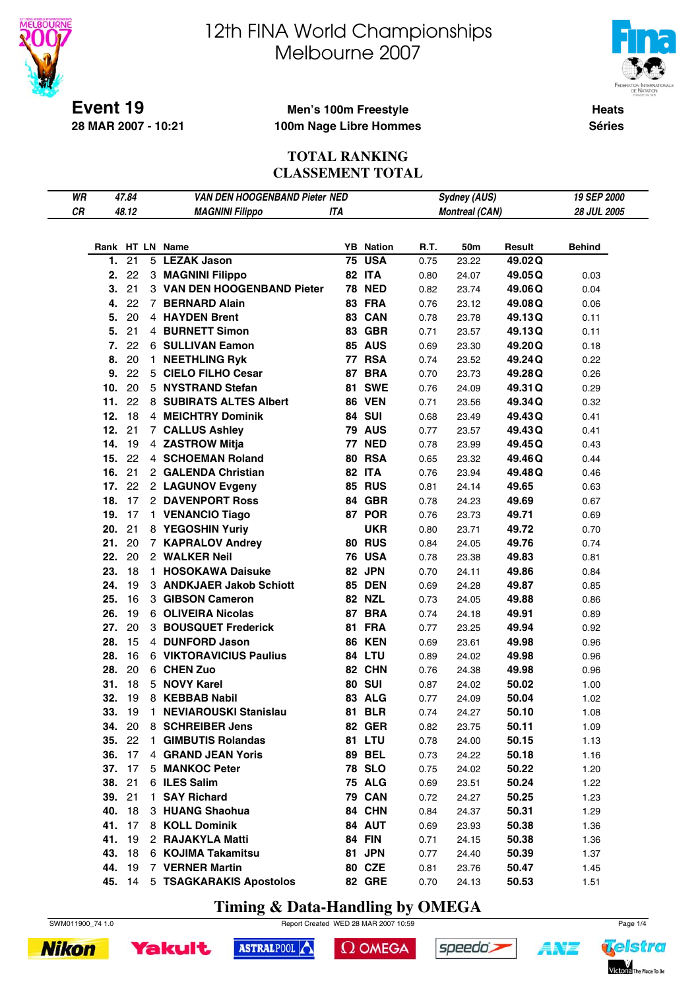

# 12th FINA World Championships Melbourne 2007



**Heats Séries**

### **Men's 100m Freestyle 100m Nage Libre Hommes**

### **TOTAL RANKING CLASSEMENT TOTAL**

| WR |        | 47.84 |    | VAN DEN HOOGENBAND Pieter NED |     |                  |      | Sydney (AUS)          |         | 19 SEP 2000   |
|----|--------|-------|----|-------------------------------|-----|------------------|------|-----------------------|---------|---------------|
| CR |        | 48.12 |    | <b>MAGNINI Filippo</b>        | ITA |                  |      | <b>Montreal (CAN)</b> |         | 28 JUL 2005   |
|    |        |       |    |                               |     |                  |      |                       |         |               |
|    |        |       |    |                               |     |                  |      |                       |         |               |
|    |        |       |    | Rank HT LN Name               |     | <b>YB</b> Nation | R.T. | 50m                   | Result  | <b>Behind</b> |
|    | 1.     | 21    |    | 5 LEZAK Jason                 |     | <b>75 USA</b>    | 0.75 | 23.22                 | 49.02Q  |               |
|    | 2.     | 22    |    | 3 MAGNINI Filippo             |     | 82 ITA           | 0.80 | 24.07                 | 49.05Q  | 0.03          |
|    | 3.     | 21    |    | 3 VAN DEN HOOGENBAND Pieter   |     | <b>78 NED</b>    | 0.82 | 23.74                 | 49.06Q  | 0.04          |
|    | 4.     | 22    |    | 7 BERNARD Alain               |     | 83 FRA           | 0.76 | 23.12                 | 49.08Q  | 0.06          |
|    | 5.     | 20    |    | 4 HAYDEN Brent                |     | 83 CAN           | 0.78 | 23.78                 | 49.13Q  | 0.11          |
|    | 5.     | 21    |    | 4 BURNETT Simon               |     | 83 GBR           | 0.71 | 23.57                 | 49.13Q  | 0.11          |
|    | 7.     | 22    |    | 6 SULLIVAN Eamon              |     | <b>85 AUS</b>    | 0.69 | 23.30                 | 49.20Q  | 0.18          |
|    | 8.     | 20    |    | 1 NEETHLING Ryk               |     | <b>77 RSA</b>    | 0.74 | 23.52                 | 49.24Q  | 0.22          |
|    | 9.     | 22    |    | 5 CIELO FILHO Cesar           |     | 87 BRA           | 0.70 | 23.73                 | 49.28Q  | 0.26          |
|    | 10.    | 20    |    | 5 NYSTRAND Stefan             |     | <b>81 SWE</b>    | 0.76 | 24.09                 | 49.31 Q | 0.29          |
|    | 11.    | 22    |    | 8 SUBIRATS ALTES Albert       |     | <b>86 VEN</b>    | 0.71 | 23.56                 | 49.34Q  | 0.32          |
|    | 12.    | 18    |    | 4 MEICHTRY Dominik            |     | <b>84 SUI</b>    | 0.68 | 23.49                 | 49.43Q  | 0.41          |
|    | 12.    | 21    |    | 7 CALLUS Ashley               |     | <b>79 AUS</b>    | 0.77 | 23.57                 | 49.43Q  | 0.41          |
|    | 14.    | 19    |    | 4 ZASTROW Mitja               |     | <b>77 NED</b>    | 0.78 | 23.99                 | 49.45Q  | 0.43          |
|    | 15.    | 22    |    | 4 SCHOEMAN Roland             |     | <b>80 RSA</b>    | 0.65 | 23.32                 | 49.46Q  | 0.44          |
|    | 16.    | 21    |    | 2 GALENDA Christian           |     | 82 ITA           | 0.76 | 23.94                 | 49.48Q  | 0.46          |
|    | 17.    | 22    |    | 2 LAGUNOV Evgeny              |     | <b>85 RUS</b>    | 0.81 | 24.14                 | 49.65   | 0.63          |
|    | 18.    | 17    |    | 2 DAVENPORT Ross              |     | 84 GBR           | 0.78 | 24.23                 | 49.69   | 0.67          |
|    | 19. 17 |       |    | 1 VENANCIO Tiago              |     | 87 POR           | 0.76 | 23.73                 | 49.71   | 0.69          |
|    | 20.    | 21    |    | 8 YEGOSHIN Yuriy              |     | <b>UKR</b>       | 0.80 | 23.71                 | 49.72   | 0.70          |
|    | 21.    | 20    |    | 7 KAPRALOV Andrey             |     | <b>80 RUS</b>    | 0.84 | 24.05                 | 49.76   | 0.74          |
|    | 22.    | 20    |    | 2 WALKER Neil                 |     | <b>76 USA</b>    | 0.78 | 23.38                 | 49.83   | 0.81          |
|    | 23.    | 18    |    | 1 HOSOKAWA Daisuke            |     | 82 JPN           | 0.70 | 24.11                 | 49.86   | 0.84          |
|    | 24.    | 19    |    | 3 ANDKJAER Jakob Schiott      |     | <b>85 DEN</b>    | 0.69 | 24.28                 | 49.87   | 0.85          |
|    | 25.    | 16    |    | 3 GIBSON Cameron              |     | <b>82 NZL</b>    | 0.73 | 24.05                 | 49.88   | 0.86          |
|    | 26.    | 19    |    | 6 OLIVEIRA Nicolas            |     | 87 BRA           | 0.74 | 24.18                 | 49.91   | 0.89          |
|    | 27.    | 20    |    | 3 BOUSQUET Frederick          |     | 81 FRA           | 0.77 | 23.25                 | 49.94   | 0.92          |
|    | 28.    | 15    |    | 4 DUNFORD Jason               |     | <b>86 KEN</b>    | 0.69 | 23.61                 | 49.98   | 0.96          |
|    | 28.    | 16    |    | 6 VIKTORAVICIUS Paulius       |     | <b>84 LTU</b>    | 0.89 | 24.02                 | 49.98   | 0.96          |
|    | 28.    | 20    |    | 6 CHEN Zuo                    |     | 82 CHN           | 0.76 | 24.38                 | 49.98   | 0.96          |
|    | 31.    | 18    |    | 5 NOVY Karel                  |     | <b>80 SUI</b>    | 0.87 | 24.02                 | 50.02   | 1.00          |
|    | 32.    | 19    |    | 8 KEBBAB Nabil                |     | 83 ALG           | 0.77 | 24.09                 | 50.04   | 1.02          |
|    | 33. 19 |       |    | 1 NEVIAROUSKI Stanislau       |     | <b>81 BLR</b>    | 0.74 | 24.27                 | 50.10   | 1.08          |
|    | 34.    | 20    |    | 8 SCHREIBER Jens              |     | <b>82 GER</b>    | 0.82 | 23.75                 | 50.11   | 1.09          |
|    | 35.    | 22    | 1. | <b>GIMBUTIS Rolandas</b>      |     | <b>81 LTU</b>    | 0.78 | 24.00                 | 50.15   | 1.13          |
|    | 36.    | 17    |    | 4 GRAND JEAN Yoris            |     | <b>89 BEL</b>    | 0.73 | 24.22                 | 50.18   | 1.16          |
|    | 37.    | 17    |    | 5 MANKOC Peter                |     | <b>78 SLO</b>    | 0.75 | 24.02                 | 50.22   | 1.20          |
|    | 38.    | 21    |    | 6 ILES Salim                  |     | <b>75 ALG</b>    | 0.69 | 23.51                 | 50.24   | 1.22          |
|    | 39. 21 |       |    | 1 SAY Richard                 |     | <b>79 CAN</b>    | 0.72 | 24.27                 | 50.25   | 1.23          |
|    | 40.    | 18    |    | 3 HUANG Shaohua               |     | 84 CHN           | 0.84 | 24.37                 | 50.31   | 1.29          |
|    | 41. 17 |       |    | 8 KOLL Dominik                |     | 84 AUT           | 0.69 | 23.93                 | 50.38   | 1.36          |
|    | 41.    | 19    |    | 2 RAJAKYLA Matti              |     | <b>84 FIN</b>    |      |                       |         |               |
|    |        | 18    |    |                               |     |                  | 0.71 | 24.15                 | 50.38   | 1.36          |
|    | 43.    |       |    | 6 KOJIMA Takamitsu            |     | 81 JPN           | 0.77 | 24.40                 | 50.39   | 1.37          |
|    | 44.    | 19    |    | 7 VERNER Martin               |     | 80 CZE           | 0.81 | 23.76                 | 50.47   | 1.45          |
|    | 45. 14 |       |    | 5 TSAGKARAKIS Apostolos       |     | <b>82 GRE</b>    | 0.70 | 24.13                 | 50.53   | 1.51          |

**Timing & Data-Handling by OMEGA**





 $\Omega$  OMEGA





**ANT**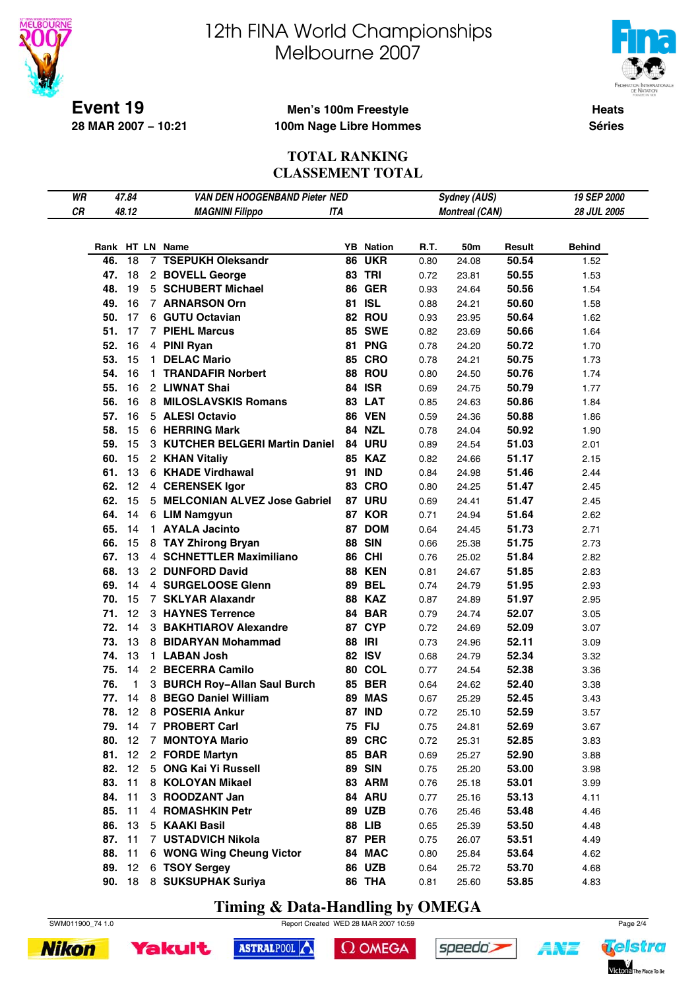

# 12th FINA World Championships Melbourne 2007



**Heats Séries**

### **Men's 100m Freestyle 100m Nage Libre Hommes**

### **TOTAL RANKING CLASSEMENT TOTAL**

| WR |        | 47.84 |             | VAN DEN HOOGENBAND Pieter NED   |     |                  |      | <b>Sydney (AUS)</b>   |        | 19 SEP 2000   |
|----|--------|-------|-------------|---------------------------------|-----|------------------|------|-----------------------|--------|---------------|
| CR |        | 48.12 |             | <b>MAGNINI Filippo</b>          | ITA |                  |      | <b>Montreal (CAN)</b> |        | 28 JUL 2005   |
|    |        |       |             |                                 |     |                  |      |                       |        |               |
|    |        |       |             |                                 |     |                  |      |                       |        |               |
|    |        |       |             | Rank HT LN Name                 |     | <b>YB</b> Nation | R.T. | 50m                   | Result | <b>Behind</b> |
|    | 46.    | 18    |             | 7 TSEPUKH Oleksandr             |     | <b>86 UKR</b>    | 0.80 | 24.08                 | 50.54  | 1.52          |
|    | 47.    | 18    |             | 2 BOVELL George                 |     | <b>83 TRI</b>    | 0.72 | 23.81                 | 50.55  | 1.53          |
|    | 48.    | 19    |             | 5 SCHUBERT Michael              |     | <b>86 GER</b>    | 0.93 | 24.64                 | 50.56  | 1.54          |
|    | 49.    | 16    |             | 7 ARNARSON Orn                  |     | 81 ISL           | 0.88 | 24.21                 | 50.60  | 1.58          |
|    | 50.    | 17    |             | 6 GUTU Octavian                 |     | 82 ROU           | 0.93 | 23.95                 | 50.64  | 1.62          |
|    | 51.    | 17    |             | <b>7 PIEHL Marcus</b>           |     | <b>85 SWE</b>    | 0.82 | 23.69                 | 50.66  | 1.64          |
|    | 52.    | 16    |             | 4 PINI Ryan                     |     | 81 PNG           | 0.78 | 24.20                 | 50.72  | 1.70          |
|    | 53.    | 15    |             | 1 DELAC Mario                   |     | <b>85 CRO</b>    | 0.78 | 24.21                 | 50.75  | 1.73          |
|    | 54.    | 16    |             | 1 TRANDAFIR Norbert             |     | 88 ROU           | 0.80 | 24.50                 | 50.76  | 1.74          |
|    | 55.    | 16    |             | 2 LIWNAT Shai                   |     | <b>84 ISR</b>    | 0.69 | 24.75                 | 50.79  | 1.77          |
|    | 56.    | 16    |             | 8 MILOSLAVSKIS Romans           |     | 83 LAT           | 0.85 | 24.63                 | 50.86  | 1.84          |
|    | 57.    | 16    |             | 5 ALESI Octavio                 |     | <b>86 VEN</b>    | 0.59 | 24.36                 | 50.88  | 1.86          |
|    | 58.    | 15    |             | 6 HERRING Mark                  |     | <b>84 NZL</b>    | 0.78 | 24.04                 | 50.92  | 1.90          |
|    | 59.    | 15    |             | 3 KUTCHER BELGERI Martin Daniel |     | <b>84 URU</b>    | 0.89 | 24.54                 | 51.03  | 2.01          |
|    | 60.    | 15    |             | 2 KHAN Vitaliy                  |     | <b>85 KAZ</b>    | 0.82 | 24.66                 | 51.17  | 2.15          |
|    | 61.    | 13    |             | 6 KHADE Virdhawal               |     | 91 IND           | 0.84 | 24.98                 | 51.46  | 2.44          |
|    | 62.    | 12    |             | 4 CERENSEK Igor                 |     | <b>83 CRO</b>    | 0.80 | 24.25                 | 51.47  | 2.45          |
|    | 62.    | 15    |             | 5 MELCONIAN ALVEZ Jose Gabriel  |     | <b>87 URU</b>    | 0.69 | 24.41                 | 51.47  | 2.45          |
|    | 64.    | 14    |             | 6 LIM Namgyun                   |     | 87 KOR           | 0.71 | 24.94                 | 51.64  | 2.62          |
|    | 65.    | 14    |             | 1 AYALA Jacinto                 |     | 87 DOM           | 0.64 | 24.45                 | 51.73  | 2.71          |
|    | 66.    | 15    |             | 8 TAY Zhirong Bryan             |     | <b>88 SIN</b>    | 0.66 | 25.38                 | 51.75  | 2.73          |
|    | 67.    | 13    |             | 4 SCHNETTLER Maximiliano        |     | <b>86 CHI</b>    | 0.76 | 25.02                 | 51.84  | 2.82          |
|    | 68.    | 13    |             | 2 DUNFORD David                 |     | <b>88 KEN</b>    | 0.81 | 24.67                 | 51.85  | 2.83          |
|    | 69.    | 14    |             | 4 SURGELOOSE Glenn              |     | <b>89 BEL</b>    | 0.74 | 24.79                 | 51.95  | 2.93          |
|    | 70.    | 15    |             | 7 SKLYAR Alaxandr               |     | <b>88 KAZ</b>    | 0.87 | 24.89                 | 51.97  | 2.95          |
|    | 71.    | 12    |             | 3 HAYNES Terrence               |     | 84 BAR           | 0.79 | 24.74                 | 52.07  | 3.05          |
|    | 72.    | 14    |             | 3 BAKHTIAROV Alexandre          |     | 87 CYP           | 0.72 | 24.69                 | 52.09  | 3.07          |
|    | 73.    | 13    |             | 8 BIDARYAN Mohammad             |     | <b>88 IRI</b>    | 0.73 | 24.96                 | 52.11  | 3.09          |
|    | 74.    | 13    |             | 1 LABAN Josh                    |     | <b>82 ISV</b>    | 0.68 | 24.79                 | 52.34  | 3.32          |
|    | 75.    | 14    |             | 2 BECERRA Camilo                |     | <b>80 COL</b>    | 0.77 | 24.54                 | 52.38  | 3.36          |
|    | 76.    | 1     |             | 3 BURCH Roy-Allan Saul Burch    |     | <b>85 BER</b>    | 0.64 | 24.62                 | 52.40  | 3.38          |
|    | 77.    | 14    |             | 8 BEGO Daniel William           |     | 89 MAS           | 0.67 | 25.29                 | 52.45  | 3.43          |
|    | 78.    | 12    |             | 8 POSERIA Ankur                 |     | <b>87 IND</b>    | 0.72 | 25.10                 | 52.59  | 3.57          |
|    | 79.    | 14    |             | 7 PROBERT Carl                  |     | <b>75 FIJ</b>    | 0.75 | 24.81                 | 52.69  | 3.67          |
|    | 80.    | 12    | $7^{\circ}$ | <b>MONTOYA Mario</b>            |     | 89 CRC           | 0.72 | 25.31                 | 52.85  | 3.83          |
|    | 81.    | 12    |             | 2 FORDE Martyn                  |     | <b>85 BAR</b>    | 0.69 | 25.27                 | 52.90  | 3.88          |
|    | 82.    | 12    |             | 5 ONG Kai Yi Russell            |     | <b>89 SIN</b>    | 0.75 | 25.20                 | 53.00  | 3.98          |
|    | 83.    | 11    |             | 8 KOLOYAN Mikael                |     | 83 ARM           | 0.76 | 25.18                 | 53.01  | 3.99          |
|    | 84.    | 11    |             | 3 ROODZANT Jan                  |     | 84 ARU           | 0.77 | 25.16                 | 53.13  | 4.11          |
|    | 85.    | 11    |             | 4 ROMASHKIN Petr                |     | <b>89 UZB</b>    | 0.76 | 25.46                 | 53.48  | 4.46          |
|    | 86.    | 13    |             | 5 KAAKI Basil                   |     | <b>88 LIB</b>    | 0.65 | 25.39                 | 53.50  | 4.48          |
|    | 87.    | 11    |             | 7 USTADVICH Nikola              |     | <b>87 PER</b>    | 0.75 | 26.07                 | 53.51  | 4.49          |
|    | 88.    | 11    |             | 6 WONG Wing Cheung Victor       |     | 84 MAC           | 0.80 | 25.84                 | 53.64  | 4.62          |
|    | 89.    | 12    |             | 6 TSOY Sergey                   |     | <b>86 UZB</b>    | 0.64 | 25.72                 | 53.70  | 4.68          |
|    | 90. 18 |       |             | 8 SUKSUPHAK Suriya              |     | 86 THA           | 0.81 | 25.60                 | 53.85  | 4.83          |

**Timing & Data-Handling by OMEGA**

SWM011900\_74 1.0 Report Created WED 28 MAR 2007 10:59 Page 2/4



**Yakult** ASTRALPOOL  $\Omega$  OMEGA





4¥7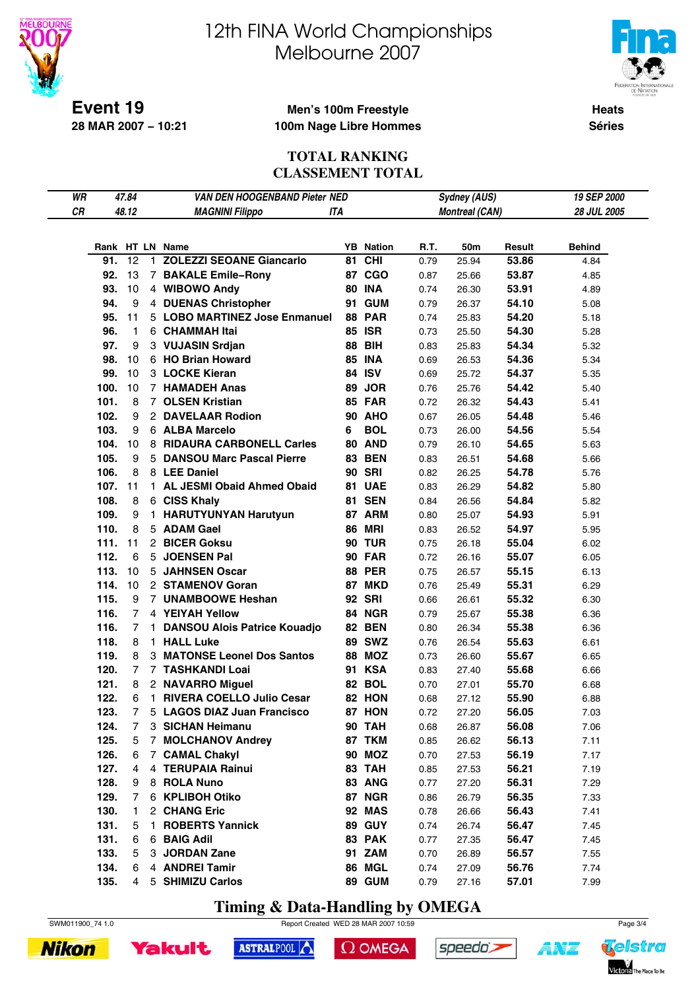

# 12th FINA World Championships Melbourne 2007



**Heats Séries**

### **Men's 100m Freestyle 100m Nage Libre Hommes**

### **TOTAL RANKING CLASSEMENT TOTAL**

| WR |      | 47.84          | <b>VAN DEN HOOGENBAND Pieter NED</b> |    |                  |      | <b>Sydney (AUS)</b>   |        | 19 SEP 2000        |
|----|------|----------------|--------------------------------------|----|------------------|------|-----------------------|--------|--------------------|
| СR |      | 48.12          | <b>MAGNINI Filippo</b><br>ITA        |    |                  |      | <b>Montreal (CAN)</b> |        | <b>28 JUL 2005</b> |
|    |      |                |                                      |    |                  |      |                       |        |                    |
|    |      |                |                                      |    |                  |      |                       |        |                    |
|    |      |                | Rank HT LN Name                      |    | <b>YB</b> Nation | R.T. | 50m                   | Result | <b>Behind</b>      |
|    | 91.  | 12             | 1 ZOLEZZI SEOANE Giancarlo           | 81 | <b>CHI</b>       | 0.79 | 25.94                 | 53.86  | 4.84               |
|    | 92.  | 13             | 7 BAKALE Emile-Rony                  |    | 87 CGO           | 0.87 | 25.66                 | 53.87  | 4.85               |
|    | 93.  | 10             | 4 WIBOWO Andy                        |    | <b>80 INA</b>    | 0.74 | 26.30                 | 53.91  | 4.89               |
|    | 94.  | 9              | 4 DUENAS Christopher                 |    | <b>91 GUM</b>    | 0.79 | 26.37                 | 54.10  | 5.08               |
|    | 95.  | 11             | 5 LOBO MARTINEZ Jose Enmanuel        |    | <b>88 PAR</b>    | 0.74 | 25.83                 | 54.20  | 5.18               |
|    | 96.  | 1.             | 6 CHAMMAH Itai                       |    | <b>85 ISR</b>    | 0.73 | 25.50                 | 54.30  | 5.28               |
|    | 97.  | 9              | 3 VUJASIN Srdjan                     |    | <b>88 BIH</b>    | 0.83 | 25.83                 | 54.34  | 5.32               |
|    | 98.  | 10             | 6 HO Brian Howard                    |    | <b>85 INA</b>    | 0.69 | 26.53                 | 54.36  | 5.34               |
|    | 99.  | 10             | 3 LOCKE Kieran                       |    | 84 ISV           | 0.69 | 25.72                 | 54.37  | 5.35               |
|    | 100. | 10             | 7 HAMADEH Anas                       | 89 | <b>JOR</b>       | 0.76 | 25.76                 | 54.42  | 5.40               |
|    | 101. | 8              | 7 OLSEN Kristian                     |    | <b>85 FAR</b>    | 0.72 | 26.32                 | 54.43  | 5.41               |
|    | 102. | 9              | 2 DAVELAAR Rodion                    |    | <b>90 AHO</b>    | 0.67 | 26.05                 | 54.48  | 5.46               |
|    | 103. | 9              | 6 ALBA Marcelo                       | 6  | <b>BOL</b>       | 0.73 | 26.00                 | 54.56  | 5.54               |
|    | 104. | 10             | 8 RIDAURA CARBONELL Carles           |    | <b>80 AND</b>    | 0.79 | 26.10                 | 54.65  | 5.63               |
|    | 105. | 9              | 5 DANSOU Marc Pascal Pierre          |    | <b>83 BEN</b>    | 0.83 | 26.51                 | 54.68  | 5.66               |
|    | 106. | 8              | 8 LEE Daniel                         |    | <b>90 SRI</b>    | 0.82 | 26.25                 | 54.78  | 5.76               |
|    | 107. | 11             | 1 AL JESMI Obaid Ahmed Obaid         |    | 81 UAE           | 0.83 | 26.29                 | 54.82  | 5.80               |
|    | 108. | 8              | 6 CISS Khaly                         |    | <b>81 SEN</b>    | 0.84 | 26.56                 | 54.84  | 5.82               |
|    | 109. | 9              | 1 HARUTYUNYAN Harutyun               |    | 87 ARM           | 0.80 | 25.07                 | 54.93  | 5.91               |
|    | 110. | 8              | 5 ADAM Gael                          |    | <b>86 MRI</b>    | 0.83 | 26.52                 | 54.97  | 5.95               |
|    | 111. | 11             | 2 BICER Goksu                        |    | <b>90 TUR</b>    | 0.75 | 26.18                 | 55.04  | 6.02               |
|    | 112. | 6              | 5 JOENSEN Pal                        |    | <b>90 FAR</b>    | 0.72 | 26.16                 | 55.07  | 6.05               |
|    | 113. | 10             | 5 JAHNSEN Oscar                      |    | <b>88 PER</b>    | 0.75 | 26.57                 | 55.15  | 6.13               |
|    | 114. | 10             | 2 STAMENOV Goran                     |    | 87 MKD           | 0.76 | 25.49                 | 55.31  | 6.29               |
|    | 115. | 9              | 7 UNAMBOOWE Heshan                   |    | <b>92 SRI</b>    | 0.66 | 26.61                 | 55.32  | 6.30               |
|    | 116. | 7              | 4 YEIYAH Yellow                      |    | 84 NGR           | 0.79 | 25.67                 | 55.38  | 6.36               |
|    | 116. | 7              | 1 DANSOU Alois Patrice Kouadjo       |    | <b>82 BEN</b>    | 0.80 | 26.34                 | 55.38  | 6.36               |
|    | 118. | 8              | 1 HALL Luke                          |    | <b>89 SWZ</b>    | 0.76 | 26.54                 | 55.63  | 6.61               |
|    | 119. | 8              | 3 MATONSE Leonel Dos Santos          |    | <b>88 MOZ</b>    | 0.73 | 26.60                 | 55.67  | 6.65               |
|    | 120. | $\overline{7}$ | 7 TASHKANDI Loai                     |    | <b>91 KSA</b>    | 0.83 | 27.40                 | 55.68  | 6.66               |
|    | 121. | 8              | 2 NAVARRO Miguel                     |    | 82 BOL           | 0.70 | 27.01                 | 55.70  | 6.68               |
|    | 122. | 6              | 1 RIVERA COELLO Julio Cesar          |    | 82 HON           | 0.68 | 27.12                 | 55.90  | 6.88               |
|    | 123. | $\overline{7}$ | 5 LAGOS DIAZ Juan Francisco          |    | <b>87 HON</b>    | 0.72 | 27.20                 | 56.05  | 7.03               |
|    | 124. | 7              | 3 SICHAN Heimanu                     |    | <b>90 TAH</b>    | 0.68 | 26.87                 | 56.08  | 7.06               |
|    | 125. | 5              | 7 MOLCHANOV Andrey                   |    | 87 TKM           | 0.85 | 26.62                 | 56.13  | 7.11               |
|    | 126. | 6              | 7 CAMAL Chakyl                       |    | <b>90 MOZ</b>    | 0.70 | 27.53                 | 56.19  | 7.17               |
|    | 127. | 4              | 4 TERUPAIA Rainui                    |    | 83 TAH           | 0.85 | 27.53                 | 56.21  | 7.19               |
|    | 128. | 9              | 8 ROLA Nuno                          |    | 83 ANG           | 0.77 | 27.20                 | 56.31  | 7.29               |
|    | 129. | 7              | 6 KPLIBOH Otiko                      |    | 87 NGR           | 0.86 | 26.79                 | 56.35  | 7.33               |
|    | 130. | 1.             | 2 CHANG Eric                         |    | 92 MAS           | 0.78 | 26.66                 | 56.43  | 7.41               |
|    | 131. | 5              | 1 ROBERTS Yannick                    |    | <b>89 GUY</b>    | 0.74 | 26.74                 | 56.47  | 7.45               |
|    | 131. | 6              | 6 BAIG Adil                          |    | 83 PAK           | 0.77 | 27.35                 | 56.47  | 7.45               |
|    | 133. | 5              | 3 JORDAN Zane                        |    | 91 ZAM           | 0.70 | 26.89                 | 56.57  | 7.55               |
|    | 134. | 6              | 4 ANDREI Tamir                       |    | 86 MGL           | 0.74 | 27.09                 | 56.76  | 7.74               |
|    | 135. | 4              | 5 SHIMIZU Carlos                     |    | 89 GUM           | 0.79 | 27.16                 | 57.01  | 7.99               |
|    |      |                |                                      |    |                  |      |                       |        |                    |

**Timing & Data-Handling by OMEGA**





Yakult

```
\Omega OMEGA
```




**ANT**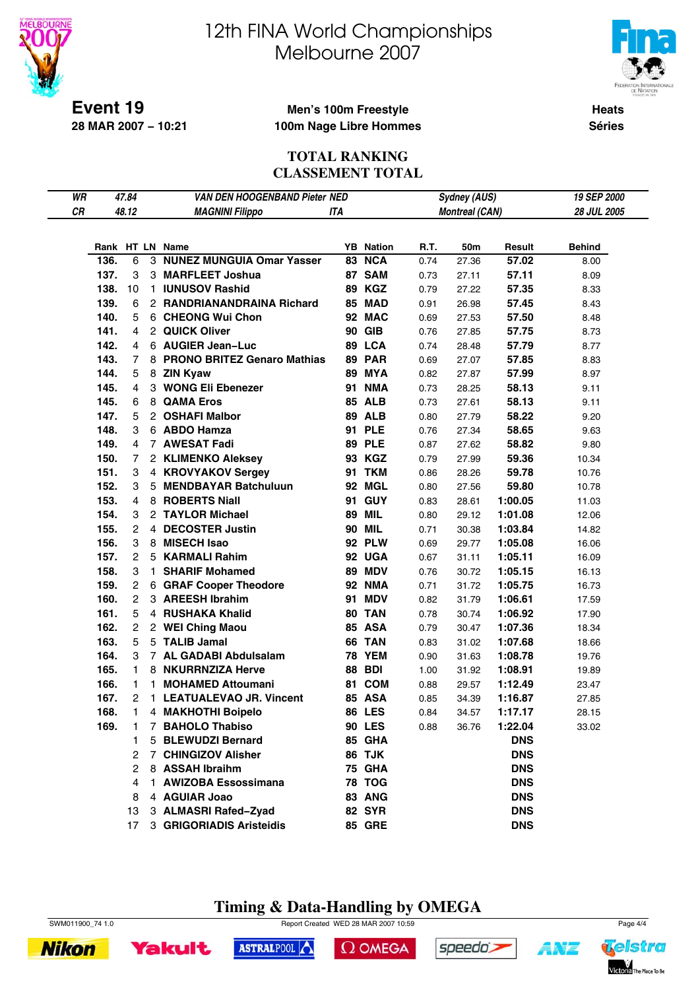

# 12th FINA World Championships Melbourne 2007



**Heats Séries**

### **Men's 100m Freestyle 100m Nage Libre Hommes**

### **TOTAL RANKING CLASSEMENT TOTAL**

| WR |      | 47.84          |    | VAN DEN HOOGENBAND Pieter NED |            |                  |      | <b>Sydney (AUS)</b>   |            | 19 SEP 2000   |
|----|------|----------------|----|-------------------------------|------------|------------------|------|-----------------------|------------|---------------|
| СR |      | 48.12          |    | <b>MAGNINI Filippo</b>        | <b>ITA</b> |                  |      | <b>Montreal (CAN)</b> |            | 28 JUL 2005   |
|    |      |                |    |                               |            |                  |      |                       |            |               |
|    |      |                |    | Rank HT LN Name               |            | <b>YB</b> Nation | R.T. | 50m                   | Result     | <b>Behind</b> |
|    | 136. | 6              |    | 3 NUNEZ MUNGUIA Omar Yasser   |            | 83 NCA           | 0.74 | 27.36                 | 57.02      | 8.00          |
|    | 137. | 3              |    | 3 MARFLEET Joshua             |            | 87 SAM           | 0.73 | 27.11                 | 57.11      | 8.09          |
|    | 138. | 10             |    | 1 IUNUSOV Rashid              |            | 89 KGZ           | 0.79 | 27.22                 | 57.35      | 8.33          |
|    | 139. | 6              |    | 2 RANDRIANANDRAINA Richard    |            | 85 MAD           | 0.91 | 26.98                 | 57.45      | 8.43          |
|    | 140. | 5              |    | 6 CHEONG Wui Chon             |            | 92 MAC           | 0.69 | 27.53                 | 57.50      | 8.48          |
|    | 141. | 4              |    | 2 QUICK Oliver                |            | <b>90 GIB</b>    | 0.76 | 27.85                 | 57.75      | 8.73          |
|    | 142. | 4              |    | 6 AUGIER Jean-Luc             |            | 89 LCA           | 0.74 | 28.48                 | 57.79      | 8.77          |
|    | 143. | 7              |    | 8 PRONO BRITEZ Genaro Mathias |            | <b>89 PAR</b>    | 0.69 | 27.07                 | 57.85      | 8.83          |
|    | 144. | 5              |    | 8 ZIN Kyaw                    |            | <b>89 MYA</b>    | 0.82 | 27.87                 | 57.99      | 8.97          |
|    | 145. | $\overline{4}$ |    | 3 WONG Eli Ebenezer           |            | 91 NMA           | 0.73 | 28.25                 | 58.13      | 9.11          |
|    | 145. | 6              |    | 8 QAMA Eros                   |            | <b>85 ALB</b>    | 0.73 | 27.61                 | 58.13      | 9.11          |
|    | 147. | 5              |    | 2 OSHAFI Malbor               |            | <b>89 ALB</b>    | 0.80 | 27.79                 | 58.22      | 9.20          |
|    | 148. | 3              |    | 6 ABDO Hamza                  |            | <b>91 PLE</b>    | 0.76 | 27.34                 | 58.65      | 9.63          |
|    | 149. | 4              |    | 7 AWESAT Fadi                 |            | <b>89 PLE</b>    | 0.87 | 27.62                 | 58.82      | 9.80          |
|    | 150. | 7              |    | 2 KLIMENKO Aleksey            |            | 93 KGZ           | 0.79 | 27.99                 | 59.36      | 10.34         |
|    | 151. | 3              |    | 4 KROVYAKOV Sergey            |            | <b>91 TKM</b>    | 0.86 | 28.26                 | 59.78      | 10.76         |
|    | 152. | 3              |    | 5 MENDBAYAR Batchuluun        |            | 92 MGL           | 0.80 | 27.56                 | 59.80      | 10.78         |
|    | 153. | 4              |    | 8 ROBERTS Niall               |            | 91 GUY           | 0.83 | 28.61                 | 1:00.05    | 11.03         |
|    | 154. | 3              |    | 2 TAYLOR Michael              |            | <b>89 MIL</b>    | 0.80 | 29.12                 | 1:01.08    | 12.06         |
|    | 155. | 2              |    | 4 DECOSTER Justin             |            | <b>90 MIL</b>    | 0.71 | 30.38                 | 1:03.84    | 14.82         |
|    | 156. | 3              |    | 8 MISECH Isao                 |            | <b>92 PLW</b>    | 0.69 | 29.77                 | 1:05.08    | 16.06         |
|    | 157. | $\overline{2}$ |    | 5 KARMALI Rahim               |            | 92 UGA           | 0.67 | 31.11                 | 1:05.11    | 16.09         |
|    | 158. | 3              |    | 1 SHARIF Mohamed              |            | <b>89 MDV</b>    | 0.76 | 30.72                 | 1:05.15    | 16.13         |
|    | 159. | $\overline{2}$ |    | 6 GRAF Cooper Theodore        |            | <b>92 NMA</b>    | 0.71 | 31.72                 | 1:05.75    | 16.73         |
|    | 160. | 2              |    | 3 AREESH Ibrahim              | 91         | <b>MDV</b>       | 0.82 | 31.79                 | 1:06.61    | 17.59         |
|    | 161. | 5              |    | 4 RUSHAKA Khalid              |            | 80 TAN           | 0.78 | 30.74                 | 1:06.92    | 17.90         |
|    | 162. | $\overline{2}$ |    | 2 WEI Ching Maou              |            | 85 ASA           | 0.79 | 30.47                 | 1:07.36    | 18.34         |
|    | 163. | 5              |    | 5 TALIB Jamal                 |            | 66 TAN           | 0.83 | 31.02                 | 1:07.68    | 18.66         |
|    | 164. | 3              |    | 7 AL GADABI Abdulsalam        |            | <b>78 YEM</b>    | 0.90 | 31.63                 | 1:08.78    | 19.76         |
|    | 165. | 1.             |    | 8 NKURRNZIZA Herve            |            | <b>88 BDI</b>    | 1.00 | 31.92                 | 1:08.91    | 19.89         |
|    | 166. | 1.             | 1. | <b>MOHAMED Attoumani</b>      |            | 81 COM           | 0.88 | 29.57                 | 1:12.49    | 23.47         |
|    | 167. | 2              |    | 1 LEATUALEVAO JR. Vincent     |            | <b>85 ASA</b>    | 0.85 | 34.39                 | 1:16.87    | 27.85         |
|    | 168. | 1              |    | 4 MAKHOTHI Boipelo            |            | <b>86 LES</b>    | 0.84 | 34.57                 | 1:17.17    | 28.15         |
|    | 169. |                |    | 7 BAHOLO Thabiso              |            | <b>90 LES</b>    | 0.88 | 36.76                 | 1:22.04    | 33.02         |
|    |      |                | 5  | <b>BLEWUDZI Bernard</b>       |            | 85 GHA           |      |                       | <b>DNS</b> |               |
|    |      | 2              |    | 7 CHINGIZOV Alisher           |            | 86 TJK           |      |                       | <b>DNS</b> |               |
|    |      | 2              |    | 8 ASSAH Ibraihm               |            | <b>75 GHA</b>    |      |                       | <b>DNS</b> |               |
|    |      | 4              |    | 1 AWIZOBA Essossimana         |            | <b>78 TOG</b>    |      |                       | <b>DNS</b> |               |
|    |      | 8              |    | 4 AGUIAR Joao                 |            | 83 ANG           |      |                       | <b>DNS</b> |               |
|    |      | 13             |    | 3 ALMASRI Rafed-Zyad          |            | <b>82 SYR</b>    |      |                       | <b>DNS</b> |               |
|    |      | 17             |    | 3 GRIGORIADIS Aristeidis      |            | <b>85 GRE</b>    |      |                       | <b>DNS</b> |               |

# **Timing & Data-Handling by OMEGA**

**Nikon** 



speedo's



ASTRALPOOL

```
\Omega OMEGA
```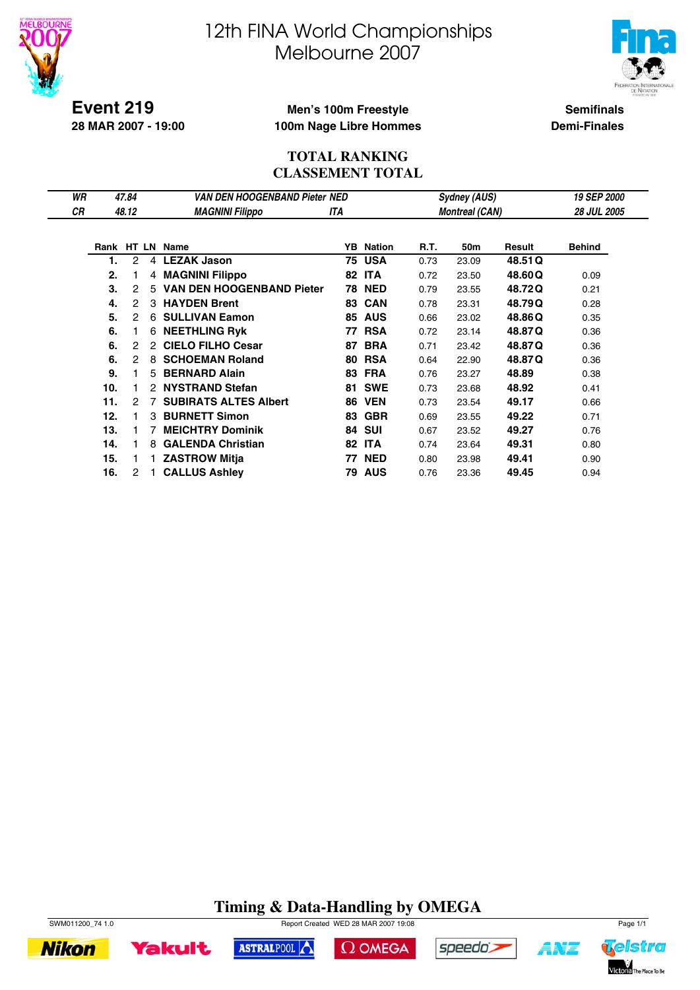



**Event 219 28 MAR 2007 - 19:00**

## **Men's 100m Freestyle 100m Nage Libre Hommes**

**Semifinals Demi-Finales**

### **TOTAL RANKING CLASSEMENT TOTAL**

| WR        |     | 47.84 |               | VAN DEN HOOGENBAND Pieter NED |     |                  |      | <b>Sydney (AUS)</b>   |         | <b>19 SEP 2000</b> |
|-----------|-----|-------|---------------|-------------------------------|-----|------------------|------|-----------------------|---------|--------------------|
| <b>CR</b> |     | 48.12 |               | <b>MAGNINI Filippo</b>        | ITA |                  |      | <b>Montreal (CAN)</b> |         | <b>28 JUL 2005</b> |
|           |     |       |               |                               |     |                  |      |                       |         |                    |
|           |     |       |               | Rank HT LN Name               |     | <b>YB</b> Nation | R.T. | 50m                   | Result  | <b>Behind</b>      |
|           | 1.  | 2     | 4             | <b>LEZAK Jason</b>            |     | 75 USA           | 0.73 | 23.09                 | 48.51 Q |                    |
|           | 2.  |       |               | 4 MAGNINI Filippo             |     | <b>82 ITA</b>    | 0.72 | 23.50                 | 48.60Q  | 0.09               |
|           | 3.  | 2     |               | 5 VAN DEN HOOGENBAND Pieter   |     | <b>78 NED</b>    | 0.79 | 23.55                 | 48.72Q  | 0.21               |
|           | 4.  | 2     |               | 3 HAYDEN Brent                | 83  | <b>CAN</b>       | 0.78 | 23.31                 | 48.79Q  | 0.28               |
|           | 5.  | 2     |               | 6 SULLIVAN Eamon              |     | <b>85 AUS</b>    | 0.66 | 23.02                 | 48.86Q  | 0.35               |
|           | 6.  |       |               | <b>6 NEETHLING Ryk</b>        | 77  | <b>RSA</b>       | 0.72 | 23.14                 | 48.87Q  | 0.36               |
|           | 6.  | 2     | $\mathcal{P}$ | <b>CIELO FILHO Cesar</b>      | 87  | <b>BRA</b>       | 0.71 | 23.42                 | 48.87Q  | 0.36               |
|           | 6.  | 2     | 8             | <b>SCHOEMAN Roland</b>        | 80  | <b>RSA</b>       | 0.64 | 22.90                 | 48.87Q  | 0.36               |
|           | 9.  |       |               | 5 BERNARD Alain               | 83  | <b>FRA</b>       | 0.76 | 23.27                 | 48.89   | 0.38               |
|           | 10. |       |               | 2 NYSTRAND Stefan             | 81  | <b>SWE</b>       | 0.73 | 23.68                 | 48.92   | 0.41               |
|           | 11. | 2     |               | <b>SUBIRATS ALTES Albert</b>  | 86  | <b>VEN</b>       | 0.73 | 23.54                 | 49.17   | 0.66               |
|           | 12. |       | 3             | <b>BURNETT Simon</b>          | 83  | <b>GBR</b>       | 0.69 | 23.55                 | 49.22   | 0.71               |
|           | 13. |       |               | <b>MEICHTRY Dominik</b>       | 84  | SUI              | 0.67 | 23.52                 | 49.27   | 0.76               |
|           | 14. |       | 8.            | <b>GALENDA Christian</b>      |     | <b>82 ITA</b>    | 0.74 | 23.64                 | 49.31   | 0.80               |
|           | 15. |       |               | 1 ZASTROW Mitja               |     | 77 NED           | 0.80 | 23.98                 | 49.41   | 0.90               |
|           | 16. | 2     |               | <b>CALLUS Ashley</b>          | 79  | <b>AUS</b>       | 0.76 | 23.36                 | 49.45   | 0.94               |

# **Timing & Data-Handling by OMEGA**



**Nikon** 



ASTRALPOOL





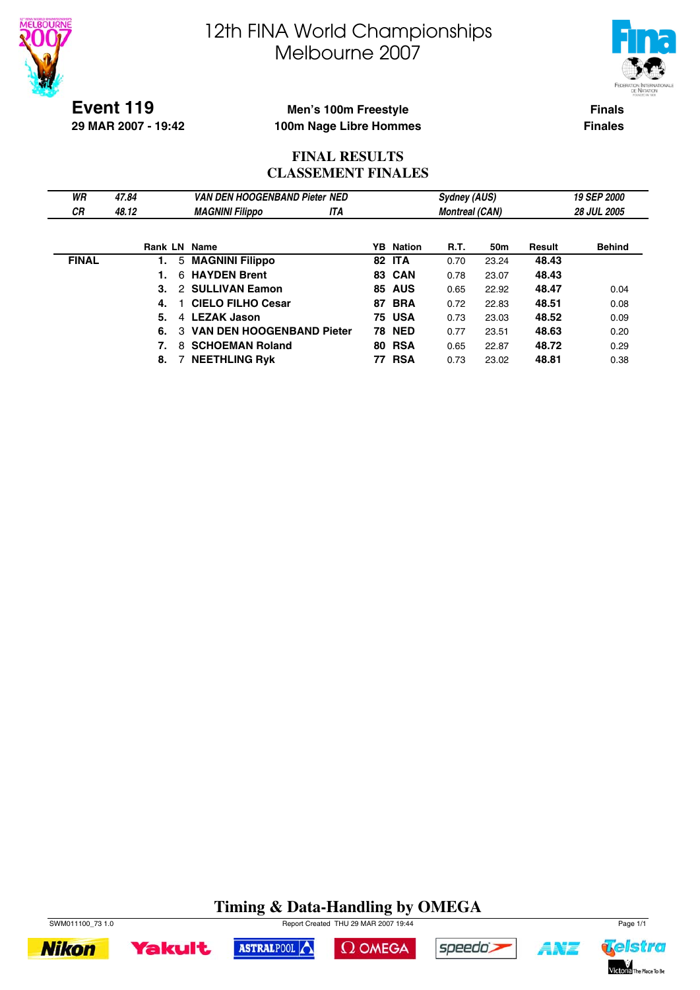



**Event 119 29 MAR 2007 - 19:42**

## **Men's 100m Freestyle 100m Nage Libre Hommes**

**Finals Finales**

## **FINAL RESULTS CLASSEMENT FINALES**

| WR           | 47.84 | <b>VAN DEN HOOGENBAND Pieter NED</b>  |     |                  | <b>Sydney (AUS)</b>   |       |        | 19 SEP 2000        |
|--------------|-------|---------------------------------------|-----|------------------|-----------------------|-------|--------|--------------------|
| <b>CR</b>    | 48.12 | <b>MAGNINI Filippo</b>                | ITA |                  | <b>Montreal (CAN)</b> |       |        | <b>28 JUL 2005</b> |
|              |       |                                       |     |                  |                       |       |        |                    |
|              |       | <b>Rank LN Name</b>                   |     | <b>YB</b> Nation | R.T.                  | 50m   | Result | <b>Behind</b>      |
| <b>FINAL</b> |       | 5 MAGNINI Filippo                     |     | <b>82 ITA</b>    | 0.70                  | 23.24 | 48.43  |                    |
|              |       | <b>HAYDEN Brent</b><br>6.             |     | <b>83 CAN</b>    | 0.78                  | 23.07 | 48.43  |                    |
|              | 3.    | 2 SULLIVAN Eamon                      | 85  | <b>AUS</b>       | 0.65                  | 22.92 | 48.47  | 0.04               |
|              | 4.    | <b>CIELO FILHO Cesar</b>              | 87  | BRA              | 0.72                  | 22.83 | 48.51  | 0.08               |
|              | 5.    | 4 LEZAK Jason                         |     | <b>75 USA</b>    | 0.73                  | 23.03 | 48.52  | 0.09               |
|              | 6.    | <b>VAN DEN HOOGENBAND Pieter</b><br>3 |     | <b>78 NED</b>    | 0.77                  | 23.51 | 48.63  | 0.20               |
|              | 7.    | <b>SCHOEMAN Roland</b><br>8.          |     | <b>80 RSA</b>    | 0.65                  | 22.87 | 48.72  | 0.29               |
|              | 8.    | <b>NEETHLING Rvk</b>                  | 77  | <b>RSA</b>       | 0.73                  | 23.02 | 48.81  | 0.38               |

# **Timing & Data-Handling by OMEGA**











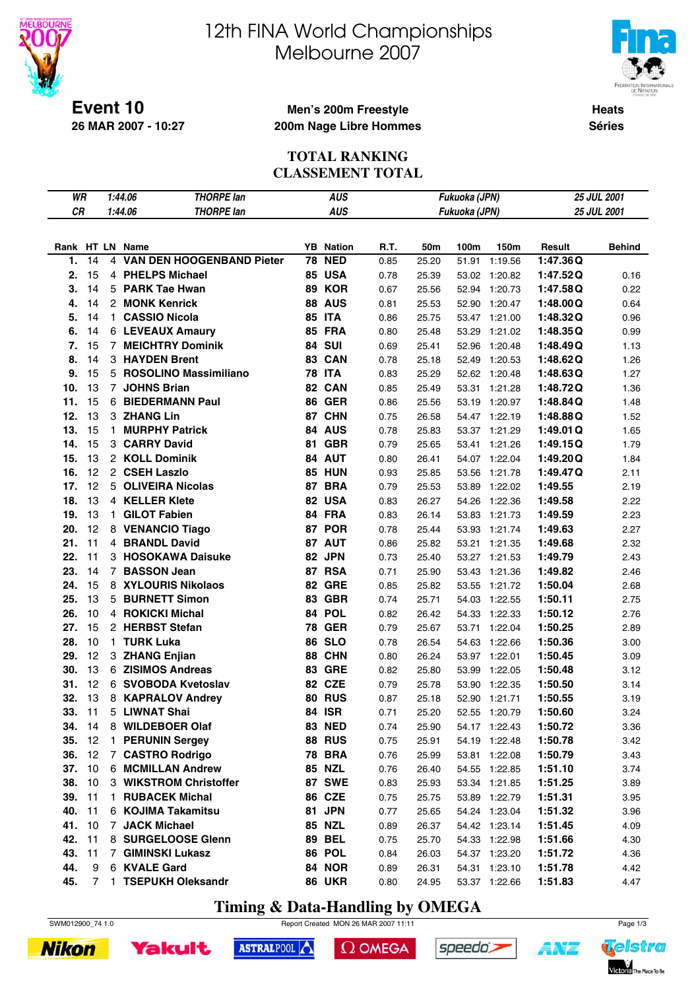



**Heats Séries**

**Event 10 26 MAR 2007 - 10:27**

### **Men's 200m Freestyle 200m Nage Libre Hommes**

### **TOTAL RANKING CLASSEMENT TOTAL**

| WR              |    |   | 1:44.06<br><b>THORPE lan</b> |    | <b>AUS</b>       |      |       | Fukuoka (JPN) |               | 25 JUL 2001 |               |
|-----------------|----|---|------------------------------|----|------------------|------|-------|---------------|---------------|-------------|---------------|
| CR              |    |   | 1:44.06<br><b>THORPE lan</b> |    | <b>AUS</b>       |      |       | Fukuoka (JPN) |               |             | 25 JUL 2001   |
|                 |    |   |                              |    |                  |      |       |               |               |             |               |
|                 |    |   |                              |    |                  |      |       |               |               |             |               |
| Rank HT LN Name |    |   |                              |    | <b>YB</b> Nation | R.T. | 50m   | 100m          | 150m          | Result      | <b>Behind</b> |
| 1.              | 14 |   | 4 VAN DEN HOOGENBAND Pieter  |    | <b>78 NED</b>    | 0.85 | 25.20 | 51.91         | 1:19.56       | 1:47.36Q    |               |
| 2.              | 15 |   | 4 PHELPS Michael             |    | 85 USA           | 0.78 | 25.39 | 53.02         | 1:20.82       | 1:47.52Q    | 0.16          |
| 3.              | 14 |   | 5 PARK Tae Hwan              |    | 89 KOR           | 0.67 | 25.56 | 52.94         | 1:20.73       | 1:47.58Q    | 0.22          |
| 4.              | 14 |   | 2 MONK Kenrick               |    | <b>88 AUS</b>    | 0.81 | 25.53 | 52.90         | 1:20.47       | 1:48.00Q    | 0.64          |
| 5.              | 14 |   | 1 CASSIO Nicola              |    | <b>85 ITA</b>    | 0.86 | 25.75 | 53.47         | 1:21.00       | 1:48.32Q    | 0.96          |
| 6.              | 14 |   | 6 LEVEAUX Amaury             |    | <b>85 FRA</b>    | 0.80 | 25.48 | 53.29         | 1:21.02       | 1:48.35Q    | 0.99          |
| 7.              | 15 |   | 7 MEICHTRY Dominik           |    | 84 SUI           | 0.69 | 25.41 | 52.96         | 1:20.48       | 1:48.49Q    | 1.13          |
| 8.              | 14 |   | 3 HAYDEN Brent               |    | 83 CAN           | 0.78 | 25.18 | 52.49         | 1:20.53       | 1:48.62Q    | 1.26          |
| 9.              | 15 |   | 5 ROSOLINO Massimiliano      |    | <b>78 ITA</b>    | 0.83 | 25.29 | 52.62         | 1:20.48       | 1:48.63Q    | 1.27          |
| 10.             | 13 |   | 7 JOHNS Brian                |    | 82 CAN           | 0.85 | 25.49 | 53.31         | 1:21.28       | 1:48.72Q    | 1.36          |
| 11.             | 15 |   | 6 BIEDERMANN Paul            |    | <b>86 GER</b>    | 0.86 | 25.56 | 53.19         | 1:20.97       | 1:48.84Q    | 1.48          |
| 12.             | 13 |   | 3 ZHANG Lin                  |    | 87 CHN           | 0.75 | 26.58 |               | 54.47 1:22.19 | 1:48.88Q    | 1.52          |
| 13.             | 15 |   | 1 MURPHY Patrick             |    | 84 AUS           | 0.78 | 25.83 | 53.37         | 1:21.29       | 1:49.01Q    | 1.65          |
| 14.             | 15 |   | 3 CARRY David                | 81 | <b>GBR</b>       | 0.79 | 25.65 | 53.41         | 1:21.26       | 1:49.15Q    | 1.79          |
| 15.             | 13 |   | 2 KOLL Dominik               |    | 84 AUT           | 0.80 | 26.41 | 54.07         | 1:22.04       | 1:49.20Q    | 1.84          |
| 16.             | 12 |   | 2 CSEH Laszlo                |    | <b>85 HUN</b>    | 0.93 | 25.85 | 53.56         | 1:21.78       | 1:49.47Q    | 2.11          |
| 17.             | 12 |   | 5 OLIVEIRA Nicolas           |    | 87 BRA           | 0.79 | 25.53 | 53.89         | 1:22.02       | 1:49.55     | 2.19          |
| 18.             | 13 |   | 4 KELLER Klete               |    | 82 USA           | 0.83 | 26.27 | 54.26         | 1:22.36       | 1:49.58     | 2.22          |
| 19.             | 13 |   | 1 GILOT Fabien               |    | 84 FRA           | 0.83 | 26.14 |               | 53.83 1:21.73 | 1:49.59     | 2.23          |
| 20.             | 12 |   | 8 VENANCIO Tiago             |    | 87 POR           | 0.78 | 25.44 | 53.93         | 1:21.74       | 1:49.63     | 2.27          |
| 21.             | 11 |   | 4 BRANDL David               |    | 87 AUT           | 0.86 | 25.82 | 53.21         | 1:21.35       | 1:49.68     | 2.32          |
| 22.             | 11 |   | 3 HOSOKAWA Daisuke           |    | 82 JPN           | 0.73 | 25.40 | 53.27         | 1:21.53       | 1:49.79     | 2.43          |
| 23.             | 14 |   | 7 BASSON Jean                |    | <b>87 RSA</b>    | 0.71 | 25.90 | 53.43         | 1:21.36       | 1:49.82     | 2.46          |
| 24.             | 15 |   | 8 XYLOURIS Nikolaos          | 82 | <b>GRE</b>       | 0.85 | 25.82 | 53.55         | 1:21.72       | 1:50.04     | 2.68          |
| 25.             | 13 |   | 5 BURNETT Simon              |    | 83 GBR           | 0.74 | 25.71 | 54.03         | 1:22.55       | 1:50.11     | 2.75          |
| 26.             | 10 |   | 4 ROKICKI Michal             |    | 84 POL           | 0.82 | 26.42 | 54.33         | 1:22.33       | 1:50.12     | 2.76          |
| 27.             | 15 |   | 2 HERBST Stefan              |    | <b>78 GER</b>    | 0.79 | 25.67 | 53.71         | 1:22.04       | 1:50.25     | 2.89          |
| 28.             | 10 |   | 1 TURK Luka                  |    | 86 SLO           | 0.78 | 26.54 | 54.63         | 1:22.66       | 1:50.36     | 3.00          |
| 29.             | 12 |   | 3 ZHANG Enjian               |    | 88 CHN           | 0.80 | 26.24 | 53.97         | 1:22.01       | 1:50.45     |               |
| 30.             | 13 |   | 6 ZISIMOS Andreas            |    | <b>83 GRE</b>    |      |       |               |               |             | 3.09          |
|                 | 12 |   |                              |    | 82 CZE           | 0.82 | 25.80 | 53.99         | 1:22.05       | 1:50.48     | 3.12          |
| 31.             |    |   | 6 SVOBODA Kvetoslav          |    |                  | 0.79 | 25.78 | 53.90         | 1:22.35       | 1:50.50     | 3.14          |
| 32.             | 13 |   | 8 KAPRALOV Andrey            | 80 | <b>RUS</b>       | 0.87 | 25.18 | 52.90         | 1:21.71       | 1:50.55     | 3.19          |
| 33.             | 11 | 5 | <b>LIWNAT Shai</b>           |    | 84 ISR           | 0.71 | 25.20 | 52.55         | 1:20.79       | 1:50.60     | 3.24          |
| 34.             | 14 |   | 8 WILDEBOER Olaf             |    | <b>83 NED</b>    | 0.74 | 25.90 |               | 54.17 1:22.43 | 1:50.72     | 3.36          |
| 35.             | 12 |   | 1 PERUNIN Sergey             |    | <b>88 RUS</b>    | 0.75 | 25.91 |               | 54.19 1:22.48 | 1:50.78     | 3.42          |
| 36.             | 12 |   | 7 CASTRO Rodrigo             |    | <b>78 BRA</b>    | 0.76 | 25.99 |               | 53.81 1:22.08 | 1:50.79     | 3.43          |
| 37.             | 10 |   | 6 MCMILLAN Andrew            |    | <b>85 NZL</b>    | 0.76 | 26.40 | 54.55         | 1:22.85       | 1:51.10     | 3.74          |
| 38.             | 10 |   | 3 WIKSTROM Christoffer       |    | <b>87 SWE</b>    | 0.83 | 25.93 |               | 53.34 1:21.85 | 1:51.25     | 3.89          |
| 39.             | 11 |   | 1 RUBACEK Michal             |    | <b>86 CZE</b>    | 0.75 | 25.75 | 53.89         | 1:22.79       | 1:51.31     | 3.95          |
| 40.             | 11 |   | 6 KOJIMA Takamitsu           |    | 81 JPN           | 0.77 | 25.65 |               | 54.24 1:23.04 | 1:51.32     | 3.96          |
| 41.             | 10 |   | 7 JACK Michael               |    | <b>85 NZL</b>    | 0.89 | 26.37 |               | 54.42 1:23.14 | 1:51.45     | 4.09          |
| 42.             | 11 |   | 8 SURGELOOSE Glenn           |    | <b>89 BEL</b>    | 0.75 | 25.70 | 54.33         | 1:22.98       | 1:51.66     | 4.30          |
| 43.             | 11 |   | 7 GIMINSKI Lukasz            |    | 86 POL           | 0.84 | 26.03 | 54.37         | 1:23.20       | 1:51.72     | 4.36          |
| 44.             | 9  |   | 6 KVALE Gard                 |    | 84 NOR           | 0.89 | 26.31 |               | 54.31 1:23.10 | 1:51.78     | 4.42          |
| 45.             | 7  |   | 1 TSEPUKH Oleksandr          |    | <b>86 UKR</b>    | 0.80 | 24.95 |               | 53.37 1:22.66 | 1:51.83     | 4.47          |

**Timing & Data-Handling by OMEGA**

SWM012900\_74 1.0 Report Created MON 26 MAR 2007 11:11 Page 1/3





ASTRALPOOL  $\Omega$  OMEGA



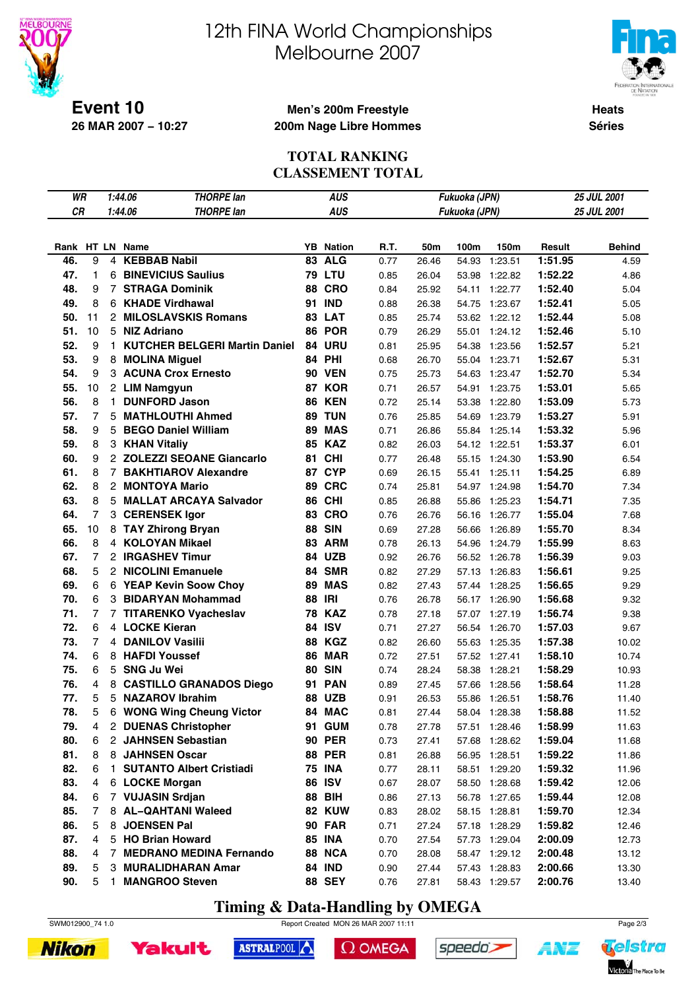



**Heats Séries**

**Event 10 26 MAR 2007 − 10:27**

## **Men's 200m Freestyle 200m Nage Libre Hommes**

### **TOTAL RANKING CLASSEMENT TOTAL**

| WR  |                |                | <b>THORPE lan</b><br>1:44.06         |    | <b>AUS</b>       |      |                | Fukuoka (JPN) |                                |         | 25 JUL 2001   |
|-----|----------------|----------------|--------------------------------------|----|------------------|------|----------------|---------------|--------------------------------|---------|---------------|
| CR  |                |                | 1:44.06<br><b>THORPE lan</b>         |    | <b>AUS</b>       |      |                | Fukuoka (JPN) |                                |         | 25 JUL 2001   |
|     |                |                |                                      |    |                  |      |                |               |                                |         |               |
|     |                |                | Rank HT LN Name                      |    | <b>YB</b> Nation | R.T. | 50m            | 100m          | 150m                           | Result  | <b>Behind</b> |
| 46. | 9              | 4              | <b>KEBBAB Nabil</b>                  | 83 | <b>ALG</b>       | 0.77 | 26.46          | 54.93         | 1:23.51                        | 1:51.95 | 4.59          |
| 47. | $\mathbf{1}$   | 6              | <b>BINEVICIUS Saulius</b>            |    | <b>79 LTU</b>    | 0.85 | 26.04          | 53.98         | 1:22.82                        | 1:52.22 | 4.86          |
| 48. | 9              | $\overline{7}$ | <b>STRAGA Dominik</b>                | 88 | <b>CRO</b>       | 0.84 | 25.92          | 54.11         | 1:22.77                        | 1:52.40 | 5.04          |
| 49. | 8              | 6              | <b>KHADE Virdhawal</b>               | 91 | <b>IND</b>       | 0.88 | 26.38          | 54.75         | 1:23.67                        | 1:52.41 | 5.05          |
| 50. | 11             |                | 2 MILOSLAVSKIS Romans                |    | 83 LAT           | 0.85 | 25.74          | 53.62         | 1:22.12                        | 1:52.44 | 5.08          |
| 51. | 10             |                | 5 NIZ Adriano                        |    | 86 POR           | 0.79 | 26.29          | 55.01         | 1:24.12                        | 1:52.46 | 5.10          |
| 52. | 9              | $\mathbf{1}$   | <b>KUTCHER BELGERI Martin Daniel</b> |    | 84 URU           | 0.81 | 25.95          | 54.38         | 1:23.56                        | 1:52.57 | 5.21          |
| 53. | 9              |                | 8 MOLINA Miguel                      |    | <b>84 PHI</b>    | 0.68 | 26.70          | 55.04         | 1:23.71                        | 1:52.67 | 5.31          |
| 54. | 9              |                | 3 ACUNA Crox Ernesto                 |    | <b>90 VEN</b>    | 0.75 | 25.73          | 54.63         | 1:23.47                        | 1:52.70 | 5.34          |
| 55. | 10             |                | 2 LIM Namgyun                        |    | 87 KOR           | 0.71 | 26.57          | 54.91         | 1:23.75                        | 1:53.01 | 5.65          |
| 56. | 8              | $\mathbf{1}$   | <b>DUNFORD Jason</b>                 | 86 | <b>KEN</b>       | 0.72 | 25.14          | 53.38         | 1:22.80                        | 1:53.09 | 5.73          |
| 57. | $\overline{7}$ | 5              | <b>MATHLOUTHI Ahmed</b>              | 89 | <b>TUN</b>       | 0.76 | 25.85          | 54.69         | 1:23.79                        | 1:53.27 | 5.91          |
| 58. | 9              | 5              | <b>BEGO Daniel William</b>           | 89 | <b>MAS</b>       | 0.71 | 26.86          | 55.84         | 1:25.14                        | 1:53.32 | 5.96          |
| 59. | 8              |                | 3 KHAN Vitaliy                       |    | <b>85 KAZ</b>    | 0.82 | 26.03          | 54.12         | 1:22.51                        | 1:53.37 | 6.01          |
| 60. | 9              |                | 2 ZOLEZZI SEOANE Giancarlo           | 81 | <b>CHI</b>       | 0.77 | 26.48          | 55.15         | 1:24.30                        | 1:53.90 | 6.54          |
| 61. | 8              | $\overline{7}$ | <b>BAKHTIAROV Alexandre</b>          |    | 87 CYP           | 0.69 | 26.15          | 55.41         | 1:25.11                        | 1:54.25 | 6.89          |
| 62. | 8              |                | 2 MONTOYA Mario                      | 89 | <b>CRC</b>       | 0.74 | 25.81          | 54.97         | 1:24.98                        | 1:54.70 | 7.34          |
| 63. | 8              |                | 5 MALLAT ARCAYA Salvador             |    | <b>86 CHI</b>    | 0.85 | 26.88          | 55.86         | 1:25.23                        | 1:54.71 | 7.35          |
| 64. | $\overline{7}$ |                | 3 CERENSEK Igor                      | 83 | <b>CRO</b>       | 0.76 | 26.76          | 56.16         | 1:26.77                        | 1:55.04 | 7.68          |
| 65. | 10             |                | 8 TAY Zhirong Bryan                  | 88 | <b>SIN</b>       | 0.69 | 27.28          | 56.66         | 1:26.89                        | 1:55.70 | 8.34          |
| 66. | 8              |                | 4 KOLOYAN Mikael                     |    | 83 ARM           | 0.78 | 26.13          | 54.96         | 1:24.79                        | 1:55.99 | 8.63          |
| 67. | $\overline{7}$ |                | 2 IRGASHEV Timur                     | 84 | <b>UZB</b>       | 0.92 | 26.76          | 56.52         | 1:26.78                        | 1:56.39 | 9.03          |
| 68. | 5              |                | 2 NICOLINI Emanuele                  | 84 | <b>SMR</b>       | 0.82 | 27.29          | 57.13         | 1:26.83                        | 1:56.61 | 9.25          |
| 69. | 6              |                | 6 YEAP Kevin Soow Choy               | 89 | <b>MAS</b>       | 0.82 | 27.43          | 57.44         | 1:28.25                        | 1:56.65 | 9.29          |
| 70. | 6              |                | 3 BIDARYAN Mohammad                  |    | <b>88 IRI</b>    | 0.76 | 26.78          | 56.17         | 1:26.90                        | 1:56.68 | 9.32          |
| 71. | $\overline{7}$ |                | 7 TITARENKO Vyacheslav               | 78 | <b>KAZ</b>       | 0.78 | 27.18          | 57.07         | 1:27.19                        | 1:56.74 | 9.38          |
| 72. | 6              |                | 4 LOCKE Kieran                       |    | 84 ISV           | 0.71 | 27.27          | 56.54         | 1:26.70                        | 1:57.03 | 9.67          |
| 73. | $\overline{7}$ |                | <b>4 DANILOV Vasilii</b>             | 88 | <b>KGZ</b>       | 0.82 | 26.60          | 55.63         | 1:25.35                        | 1:57.38 | 10.02         |
| 74. | 6              |                | 8 HAFDI Youssef                      |    | <b>86 MAR</b>    | 0.72 | 27.51          | 57.52         | 1:27.41                        | 1:58.10 | 10.74         |
| 75. | 6              |                | 5 SNG Ju Wei                         | 80 | <b>SIN</b>       | 0.74 | 28.24          | 58.38         | 1:28.21                        | 1:58.29 | 10.93         |
| 76. | 4              |                | 8 CASTILLO GRANADOS Diego            | 91 | <b>PAN</b>       | 0.89 | 27.45          | 57.66         | 1:28.56                        | 1:58.64 | 11.28         |
| 77. | 5              |                | 5 NAZAROV Ibrahim                    | 88 | <b>UZB</b>       | 0.91 | 26.53          | 55.86         | 1:26.51                        | 1:58.76 | 11.40         |
| 78. | 5              | 6              | <b>WONG Wing Cheung Victor</b>       |    | 84 MAC           | 0.81 | 27.44          | 58.04         | 1:28.38                        | 1:58.88 | 11.52         |
| 79. | 4              | $\overline{2}$ | <b>DUENAS Christopher</b>            |    | 91 GUM           | 0.78 |                |               |                                | 1:58.99 | 11.63         |
| 80. | 6              |                | 2 JAHNSEN Sebastian                  |    | <b>90 PER</b>    | 0.73 | 27.78<br>27.41 | 57.68         | 57.51 1:28.46<br>1:28.62       | 1:59.04 | 11.68         |
| 81. | 8              |                | 8 JAHNSEN Oscar                      |    | <b>88 PER</b>    | 0.81 | 26.88          |               | 56.95 1:28.51                  | 1:59.22 | 11.86         |
| 82. | 6              | $\mathbf{1}$   | <b>SUTANTO Albert Cristiadi</b>      |    | <b>75 INA</b>    | 0.77 | 28.11          |               | 58.51 1:29.20                  | 1:59.32 | 11.96         |
| 83. | $\overline{4}$ |                | 6 LOCKE Morgan                       |    | <b>86 ISV</b>    |      |                |               |                                |         |               |
| 84. | 6              |                | 7 VUJASIN Srdjan                     |    | <b>88 BIH</b>    | 0.67 | 28.07<br>27.13 |               | 58.50 1:28.68<br>56.78 1:27.65 | 1:59.42 | 12.06         |
| 85. | 7              |                | 8 AL-QAHTANI Waleed                  |    | 82 KUW           | 0.86 |                |               | 58.15 1:28.81                  | 1:59.44 | 12.08         |
|     | 5              | 8              |                                      |    |                  | 0.83 | 28.02          |               |                                | 1:59.70 | 12.34         |
| 86. |                |                | <b>JOENSEN Pal</b>                   |    | <b>90 FAR</b>    | 0.71 | 27.24          |               | 57.18 1:28.29                  | 1:59.82 | 12.46         |
| 87. | $\overline{4}$ |                | 5 HO Brian Howard                    |    | <b>85 INA</b>    | 0.70 | 27.54          |               | 57.73 1:29.04                  | 2:00.09 | 12.73         |
| 88. | 4              | $\overline{7}$ | <b>MEDRANO MEDINA Fernando</b>       |    | 88 NCA           | 0.70 | 28.08          |               | 58.47 1:29.12                  | 2:00.48 | 13.12         |
| 89. | 5              |                | 3 MURALIDHARAN Amar                  |    | <b>84 IND</b>    | 0.90 | 27.44          | 57.43         | 1:28.83                        | 2:00.66 | 13.30         |
| 90. | 5              | 1              | <b>MANGROO Steven</b>                |    | <b>88 SEY</b>    | 0.76 | 27.81          |               | 58.43 1:29.57                  | 2:00.76 | 13.40         |

# **Timing & Data-Handling by OMEGA**

SWM012900\_74 1.0 Report Created MON 26 MAR 2007 11:11 Page 2/3





ASTRALPOOL  $\Omega$  OMEGA



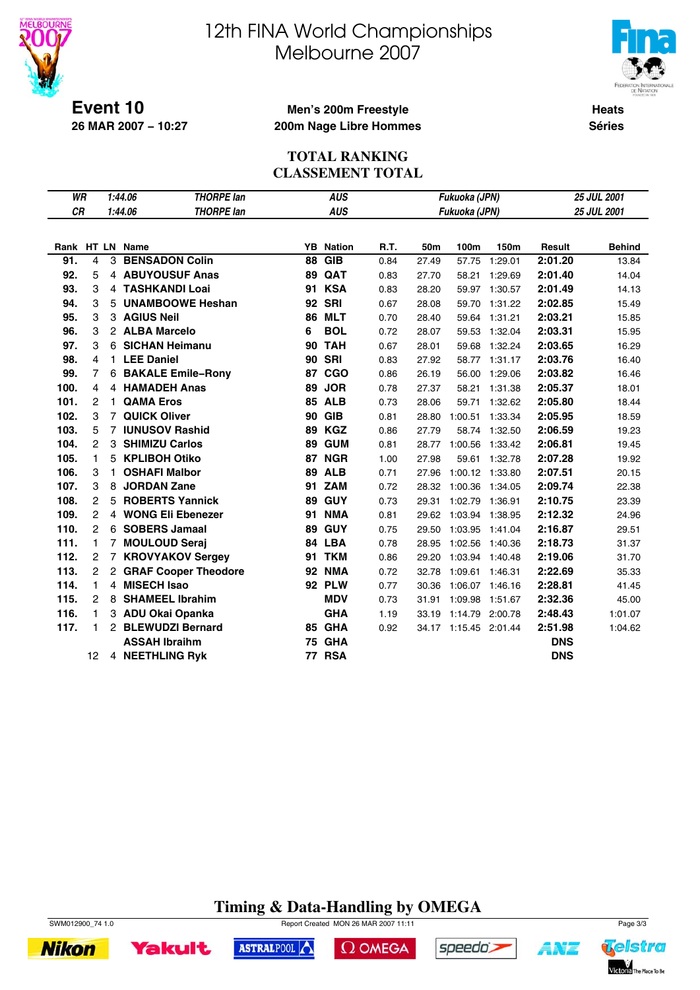



**Event 10 26 MAR 2007 − 10:27**

### **Men's 200m Freestyle 200m Nage Libre Hommes**

**Heats Séries**

## **TOTAL RANKING CLASSEMENT TOTAL**

| WR   |                | 1:44.06<br><b>THORPE lan</b> |                        |    | <b>AUS</b>                  |      |       | Fukuoka (JPN)         |             | 25 JUL 2001 |               |
|------|----------------|------------------------------|------------------------|----|-----------------------------|------|-------|-----------------------|-------------|-------------|---------------|
| CR   |                | 1:44.06<br><b>THORPE lan</b> |                        |    | <b>AUS</b><br>Fukuoka (JPN) |      |       |                       | 25 JUL 2001 |             |               |
|      |                |                              |                        |    |                             |      |       |                       |             |             |               |
|      |                |                              | Rank HT LN Name        |    | <b>YB</b> Nation            | R.T. | 50m   | 100m                  | 150m        | Result      | <b>Behind</b> |
| 91.  | 4              |                              | 3 BENSADON Colin       | 88 | <b>GIB</b>                  | 0.84 | 27.49 | 57.75                 | 1:29.01     | 2:01.20     | 13.84         |
| 92.  | 5              |                              | 4 ABUYOUSUF Anas       | 89 | QAT                         | 0.83 | 27.70 | 58.21                 | 1:29.69     | 2:01.40     | 14.04         |
| 93.  | 3              |                              | 4 TASHKANDI Loai       |    | <b>91 KSA</b>               | 0.83 | 28.20 | 59.97                 | 1:30.57     | 2:01.49     | 14.13         |
| 94.  | 3              |                              | 5 UNAMBOOWE Heshan     | 92 | <b>SRI</b>                  | 0.67 | 28.08 | 59.70                 | 1:31.22     | 2:02.85     | 15.49         |
| 95.  | 3              |                              | 3 AGIUS Neil           | 86 | <b>MLT</b>                  | 0.70 | 28.40 | 59.64                 | 1:31.21     | 2:03.21     | 15.85         |
| 96.  | 3              |                              | 2 ALBA Marcelo         | 6  | <b>BOL</b>                  | 0.72 | 28.07 | 59.53                 | 1:32.04     | 2:03.31     | 15.95         |
| 97.  | 3              |                              | 6 SICHAN Heimanu       | 90 | <b>TAH</b>                  | 0.67 | 28.01 | 59.68                 | 1:32.24     | 2:03.65     | 16.29         |
| 98.  | 4              |                              | 1 LEE Daniel           |    | <b>90 SRI</b>               | 0.83 | 27.92 | 58.77                 | 1:31.17     | 2:03.76     | 16.40         |
| 99.  | $\overline{7}$ |                              | 6 BAKALE Emile-Rony    | 87 | <b>CGO</b>                  | 0.86 | 26.19 | 56.00                 | 1:29.06     | 2:03.82     | 16.46         |
| 100. | 4              |                              | 4 HAMADEH Anas         | 89 | <b>JOR</b>                  | 0.78 | 27.37 | 58.21                 | 1:31.38     | 2:05.37     | 18.01         |
| 101. | $\overline{c}$ | 1.                           | <b>QAMA Eros</b>       |    | <b>85 ALB</b>               | 0.73 | 28.06 | 59.71                 | 1:32.62     | 2:05.80     | 18.44         |
| 102. | 3              | $\overline{7}$               | <b>QUICK Oliver</b>    | 90 | <b>GIB</b>                  | 0.81 | 28.80 | 1:00.51               | 1:33.34     | 2:05.95     | 18.59         |
| 103. | 5              |                              | 7 IUNUSOV Rashid       | 89 | <b>KGZ</b>                  | 0.86 | 27.79 | 58.74                 | 1:32.50     | 2:06.59     | 19.23         |
| 104. | $\overline{c}$ |                              | 3 SHIMIZU Carlos       | 89 | <b>GUM</b>                  | 0.81 | 28.77 | 1:00.56 1:33.42       |             | 2:06.81     | 19.45         |
| 105. | 1              |                              | 5 KPLIBOH Otiko        |    | 87 NGR                      | 1.00 | 27.98 | 59.61                 | 1:32.78     | 2:07.28     | 19.92         |
| 106. | 3              | 1.                           | <b>OSHAFI Malbor</b>   | 89 | <b>ALB</b>                  | 0.71 | 27.96 | 1:00.12 1:33.80       |             | 2:07.51     | 20.15         |
| 107. | 3              | 8                            | <b>JORDAN Zane</b>     |    | 91 ZAM                      | 0.72 | 28.32 | 1:00.36               | 1:34.05     | 2:09.74     | 22.38         |
| 108. | $\overline{c}$ |                              | 5 ROBERTS Yannick      | 89 | <b>GUY</b>                  | 0.73 | 29.31 | 1:02.79               | 1:36.91     | 2:10.75     | 23.39         |
| 109. | $\overline{c}$ |                              | 4 WONG Eli Ebenezer    | 91 | <b>NMA</b>                  | 0.81 | 29.62 | 1:03.94 1:38.95       |             | 2:12.32     | 24.96         |
| 110. | $\overline{c}$ |                              | 6 SOBERS Jamaal        | 89 | <b>GUY</b>                  | 0.75 | 29.50 | 1:03.95 1:41.04       |             | 2:16.87     | 29.51         |
| 111. | 1              |                              | 7 MOULOUD Seraj        |    | 84 LBA                      | 0.78 | 28.95 | 1:02.56 1:40.36       |             | 2:18.73     | 31.37         |
| 112. | $\mathbf{2}$   |                              | 7 KROVYAKOV Sergey     |    | <b>91 TKM</b>               | 0.86 | 29.20 | 1:03.94 1:40.48       |             | 2:19.06     | 31.70         |
| 113. | $\mathbf{2}$   |                              | 2 GRAF Cooper Theodore | 92 | <b>NMA</b>                  | 0.72 | 32.78 | 1:09.61 1:46.31       |             | 2:22.69     | 35.33         |
| 114. | 1              |                              | 4 MISECH Isao          |    | <b>92 PLW</b>               | 0.77 | 30.36 | 1:06.07 1:46.16       |             | 2:28.81     | 41.45         |
| 115. | $\overline{2}$ |                              | 8 SHAMEEL Ibrahim      |    | <b>MDV</b>                  | 0.73 | 31.91 | 1:09.98               | 1:51.67     | 2:32.36     | 45.00         |
| 116. | 1              |                              | 3 ADU Okai Opanka      |    | <b>GHA</b>                  | 1.19 | 33.19 | 1:14.79 2:00.78       |             | 2:48.43     | 1:01.07       |
| 117. | 1              |                              | 2 BLEWUDZI Bernard     |    | 85 GHA                      | 0.92 |       | 34.17 1:15.45 2:01.44 |             | 2:51.98     | 1:04.62       |
|      |                |                              | <b>ASSAH Ibraihm</b>   | 75 | <b>GHA</b>                  |      |       |                       |             | <b>DNS</b>  |               |
|      | 12             |                              | 4 NEETHLING Ryk        |    | <b>77 RSA</b>               |      |       |                       |             | <b>DNS</b>  |               |

# **Timing & Data-Handling by OMEGA**



**Yakult** 

**Nikon** 

SWM012900\_74 1.0 Report Created MON 26 MAR 2007 11:11 Page 3/3



 $\Omega$  OMEGA



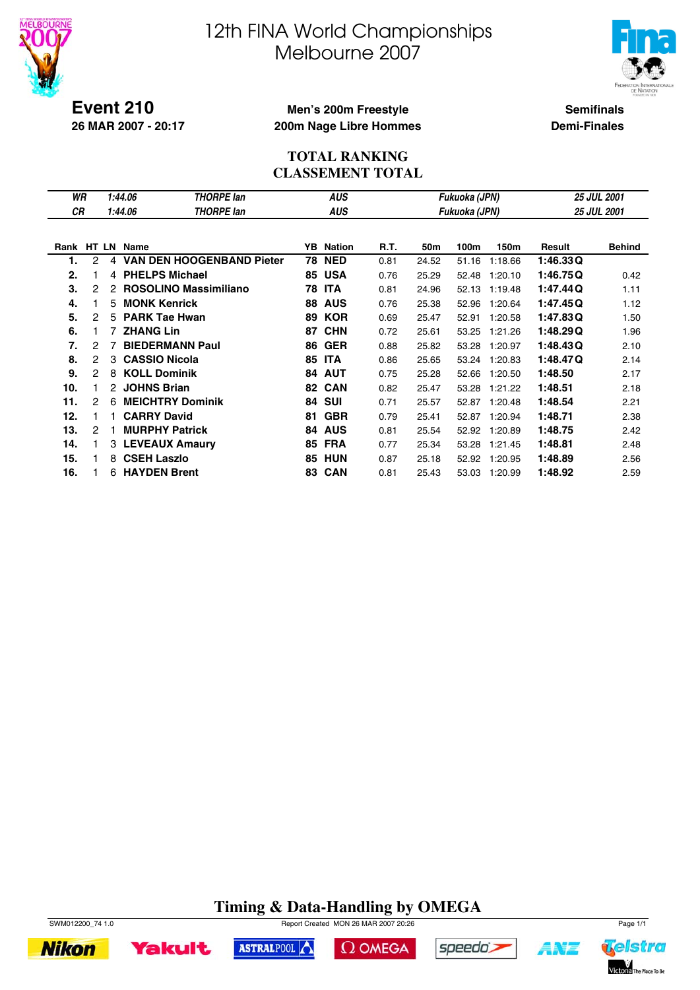



**Event 210 26 MAR 2007 - 20:17**

## **Men's 200m Freestyle 200m Nage Libre Hommes**

**Semifinals Demi-Finales**

## **TOTAL RANKING CLASSEMENT TOTAL**

| WR   |                | 1:44.06<br><b>THORPE lan</b> |                                  |    | <b>AUS</b>                  |      |       | Fukuoka (JPN) | <b>25 JUL 2001</b> |                    |               |  |
|------|----------------|------------------------------|----------------------------------|----|-----------------------------|------|-------|---------------|--------------------|--------------------|---------------|--|
| СR   |                | 1:44.06<br><b>THORPE lan</b> |                                  |    | <b>AUS</b><br>Fukuoka (JPN) |      |       |               |                    | <b>25 JUL 2001</b> |               |  |
|      |                |                              |                                  |    |                             |      |       |               |                    |                    |               |  |
| Rank | <b>HT LN</b>   |                              | Name                             | YB | <b>Nation</b>               | R.T. | 50m   | 100m          | 150m               | Result             | <b>Behind</b> |  |
| 1.   | 2              | 4                            | <b>VAN DEN HOOGENBAND Pieter</b> | 78 | <b>NED</b>                  | 0.81 | 24.52 | 51.16         | 1:18.66            | 1:46.33Q           |               |  |
| 2.   |                | 4                            | <b>PHELPS Michael</b>            | 85 | <b>USA</b>                  | 0.76 | 25.29 | 52.48         | 1:20.10            | 1:46.75Q           | 0.42          |  |
| 3.   | 2              | 2                            | <b>ROSOLINO Massimiliano</b>     | 78 | <b>ITA</b>                  | 0.81 | 24.96 | 52.13         | 1:19.48            | 1:47.44Q           | 1.11          |  |
| 4.   |                | 5.                           | <b>MONK Kenrick</b>              | 88 | <b>AUS</b>                  | 0.76 | 25.38 | 52.96         | 1:20.64            | 1:47.45Q           | 1.12          |  |
| 5.   | 2              | 5.                           | <b>PARK Tae Hwan</b>             | 89 | <b>KOR</b>                  | 0.69 | 25.47 | 52.91         | 1:20.58            | 1:47.83Q           | 1.50          |  |
| 6.   |                |                              | <b>ZHANG Lin</b>                 | 87 | <b>CHN</b>                  | 0.72 | 25.61 | 53.25         | 1:21.26            | 1:48.29Q           | 1.96          |  |
| 7.   | 2              |                              | <b>BIEDERMANN Paul</b>           | 86 | <b>GER</b>                  | 0.88 | 25.82 | 53.28         | 1:20.97            | 1:48.43Q           | 2.10          |  |
| 8.   | 2              | 3                            | <b>CASSIO Nicola</b>             | 85 | <b>ITA</b>                  | 0.86 | 25.65 | 53.24         | 1:20.83            | 1:48.47Q           | 2.14          |  |
| 9.   | $\overline{2}$ | 8                            | <b>KOLL Dominik</b>              | 84 | <b>AUT</b>                  | 0.75 | 25.28 | 52.66         | 1:20.50            | 1:48.50            | 2.17          |  |
| 10.  |                | 2.                           | <b>JOHNS Brian</b>               | 82 | <b>CAN</b>                  | 0.82 | 25.47 | 53.28         | 1:21.22            | 1:48.51            | 2.18          |  |
| 11.  | 2              | 6                            | <b>MEICHTRY Dominik</b>          | 84 | <b>SUI</b>                  | 0.71 | 25.57 | 52.87         | 1:20.48            | 1:48.54            | 2.21          |  |
| 12.  |                |                              | <b>CARRY David</b>               | 81 | <b>GBR</b>                  | 0.79 | 25.41 | 52.87         | 1:20.94            | 1:48.71            | 2.38          |  |
| 13.  | 2              |                              | <b>MURPHY Patrick</b>            | 84 | <b>AUS</b>                  | 0.81 | 25.54 | 52.92         | 1:20.89            | 1:48.75            | 2.42          |  |
| 14.  |                |                              | 3 LEVEAUX Amaury                 | 85 | <b>FRA</b>                  | 0.77 | 25.34 | 53.28         | 1:21.45            | 1:48.81            | 2.48          |  |
| 15.  |                | 8                            | <b>CSEH Laszlo</b>               | 85 | <b>HUN</b>                  | 0.87 | 25.18 | 52.92         | 1:20.95            | 1:48.89            | 2.56          |  |
| 16.  |                | 6.                           | <b>HAYDEN Brent</b>              | 83 | <b>CAN</b>                  | 0.81 | 25.43 | 53.03         | 1:20.99            | 1:48.92            | 2.59          |  |

# **Timing & Data-Handling by OMEGA**



**Yakult** 

ASTRALPOOL  $\Omega$  OMEGA





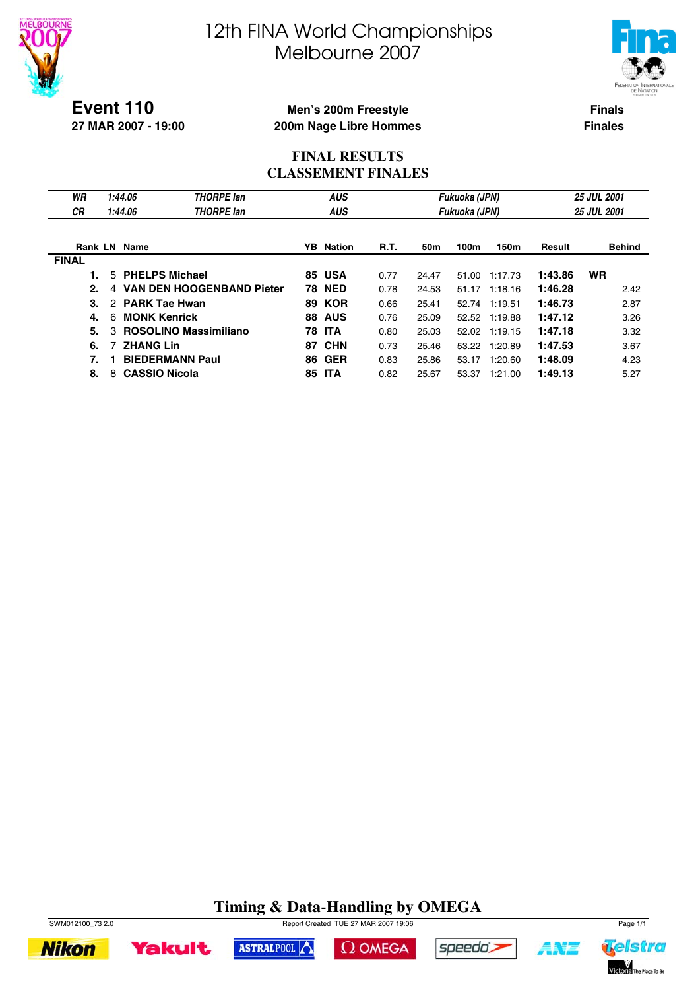



**Event 110 27 MAR 2007 - 19:00**

## **Men's 200m Freestyle 200m Nage Libre Hommes**

**Finals Finales**

## **FINAL RESULTS CLASSEMENT FINALES**

| WR<br><b>CR</b> | 1:44.06<br>1:44.06        | <b>THORPE lan</b><br><b>THORPE lan</b> | <b>AUS</b><br><b>AUS</b> |                  |             |       | Fukuoka (JPN)<br>Fukuoka (JPN) |               | <b>25 JUL 2001</b><br><b>25 JUL 2001</b> |               |  |
|-----------------|---------------------------|----------------------------------------|--------------------------|------------------|-------------|-------|--------------------------------|---------------|------------------------------------------|---------------|--|
| <b>Rank LN</b>  | Name                      |                                        |                          | <b>YB</b> Nation | <b>R.T.</b> | 50m   | 100m                           | 150m          | Result                                   | <b>Behind</b> |  |
| <b>FINAL</b>    |                           |                                        |                          |                  |             |       |                                |               |                                          |               |  |
|                 | 5 PHELPS Michael          |                                        |                          | <b>85 USA</b>    | 0.77        | 24.47 | 51.00                          | 1:17.73       | 1:43.86                                  | <b>WR</b>     |  |
| 2.              | 4                         | <b>VAN DEN HOOGENBAND Pieter</b>       | 78                       | <b>NED</b>       | 0.78        | 24.53 | 51.17                          | 1:18.16       | 1:46.28                                  | 2.42          |  |
| 3.              | <b>PARK Tae Hwan</b><br>2 |                                        | 89                       | <b>KOR</b>       | 0.66        | 25.41 | 52.74                          | 1:19.51       | 1:46.73                                  | 2.87          |  |
| 4.              | <b>MONK Kenrick</b><br>6  |                                        |                          | <b>88 AUS</b>    | 0.76        | 25.09 |                                | 52.52 1:19.88 | 1:47.12                                  | 3.26          |  |
| 5.              | з                         | <b>ROSOLINO Massimiliano</b>           | 78                       | <b>ITA</b>       | 0.80        | 25.03 |                                | 52.02 1:19.15 | 1:47.18                                  | 3.32          |  |
| 6.              | <b>ZHANG Lin</b>          |                                        | 87                       | <b>CHN</b>       | 0.73        | 25.46 |                                | 53.22 1:20.89 | 1:47.53                                  | 3.67          |  |
| 7.              |                           | <b>BIEDERMANN Paul</b>                 |                          | <b>86 GER</b>    | 0.83        | 25.86 | 53.17                          | 1:20.60       | 1:48.09                                  | 4.23          |  |
| 8.              | <b>CASSIO Nicola</b><br>8 |                                        | 85                       | <b>ITA</b>       | 0.82        | 25.67 | 53.37                          | 1:21.00       | 1:49.13                                  | 5.27          |  |

# **Timing & Data-Handling by OMEGA**









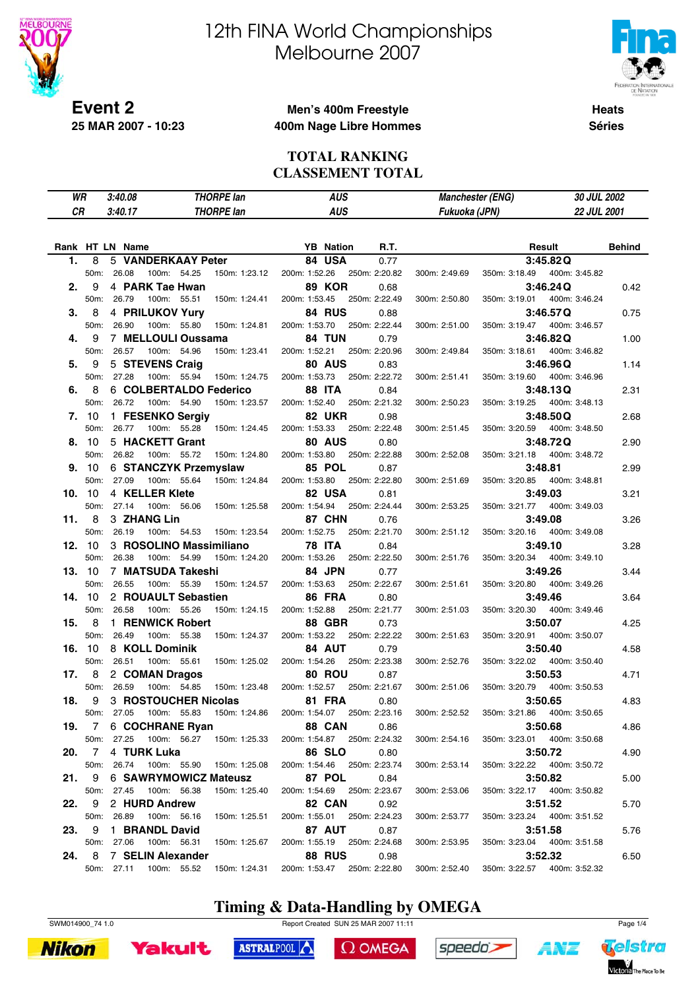

# 12th FINA World Championships Melbourne 2007



**Heats Séries**

## **Men's 400m Freestyle 400m Nage Libre Hommes**

#### **TOTAL RANKING CLASSEMENT TOTAL**

| WR    |               | 3:40.08         |                                 | <b>THORPE lan</b>         |                                | <b>AUS</b>                  |               | <b>Manchester (ENG)</b> | 30 JUL 2002                  |               |
|-------|---------------|-----------------|---------------------------------|---------------------------|--------------------------------|-----------------------------|---------------|-------------------------|------------------------------|---------------|
| CR    |               | 3:40.17         |                                 | <b>THORPE lan</b>         |                                | <b>AUS</b>                  |               |                         | 22 JUL 2001                  |               |
|       |               |                 |                                 |                           |                                |                             | Fukuoka (JPN) |                         |                              |               |
|       |               |                 |                                 |                           |                                |                             |               |                         |                              |               |
|       |               | Rank HT LN Name |                                 |                           | <b>YB</b> Nation               | R.T.                        |               |                         | Result                       | <b>Behind</b> |
| 1.    | 8             |                 | 5 VANDERKAAY Peter              |                           | 84 USA                         | 0.77                        |               |                         | 3:45.82Q                     |               |
|       | 50m:          | 26.08           | 100m: 54.25                     | 150m: 1:23.12             | 200m: 1:52.26                  | 250m: 2:20.82               | 300m: 2:49.69 | 350m: 3:18.49           | 400m: 3:45.82                |               |
| 2.    | 9             |                 | 4 PARK Tae Hwan                 |                           | <b>89 KOR</b>                  | 0.68                        |               |                         | 3:46.24Q                     | 0.42          |
|       | 50m:          | 26.79           | 100m: 55.51                     | 150m: 1:24.41             | 200m: 1:53.45                  | 250m: 2:22.49               | 300m: 2:50.80 | 350m: 3:19.01           | 400m: 3:46.24                |               |
| З.    | 8             |                 | 4 PRILUKOV Yury                 |                           | 84 RUS                         | 0.88                        |               |                         | 3:46.57Q                     | 0.75          |
|       | 50m:          | 26.90           | 100m: 55.80                     | 150m: 1:24.81             | 200m: 1:53.70                  | 250m: 2:22.44               | 300m: 2:51.00 | 350m: 3:19.47           | 400m: 3:46.57                |               |
| 4.    | 9             |                 | 7 MELLOULI Oussama              |                           | <b>84 TUN</b>                  | 0.79                        |               |                         | 3:46.82Q                     | 1.00          |
|       | 50m:          | 26.57           | 100m: 54.96                     | 150m: 1:23.41             | 200m: 1:52.21                  | 250m: 2:20.96               | 300m: 2:49.84 | 350m: 3:18.61           | 400m: 3:46.82                |               |
| 5.    | 9             |                 | 5 STEVENS Craig                 |                           | 80 AUS                         | 0.83                        |               |                         | 3:46.96 Q                    | 1.14          |
|       | 50m:          | 27.28           | 100m: 55.94                     | 150m: 1:24.75             | 200m: 1:53.73                  | 250m: 2:22.72               | 300m: 2:51.41 | 350m: 3:19.60           | 400m: 3:46.96                |               |
| 6.    | 8             |                 |                                 | 6 COLBERTALDO Federico    | <b>88 ITA</b>                  | 0.84                        |               |                         | 3:48.13Q                     | 2.31          |
|       | 50m:          | 26.72           | 100m: 54.90                     | 150m: 1:23.57             | 200m: 1:52.40                  | 250m: 2:21.32               | 300m: 2:50.23 | 350m: 3:19.25           | 400m: 3:48.13                |               |
|       | 7. 10         |                 | 1 FESENKO Sergiy                |                           | <b>82 UKR</b>                  | 0.98                        |               |                         | 3:48.50Q                     | 2.68          |
|       | 50m:          | 26.77           | 100m: 55.28                     | 150m: 1:24.45             | 200m: 1:53.33                  | 250m: 2:22.48               | 300m: 2:51.45 | 350m: 3:20.59           | 400m: 3:48.50                |               |
|       | 8. 10         |                 | 5 HACKETT Grant                 |                           | 80 AUS                         | 0.80                        |               |                         | 3:48.72Q                     | 2.90          |
|       | 50m:          | 26.82           | 55.72<br>100m:                  | 150m: 1:24.80             | 200m: 1:53.80                  | 250m: 2:22.88               | 300m: 2:52.08 | 350m: 3:21.18           | 400m: 3:48.72                |               |
|       | 9. 10         |                 |                                 | 6 STANCZYK Przemyslaw     | <b>85 POL</b>                  | 0.87                        |               |                         | 3:48.81                      | 2.99          |
|       | 50m:          | 27.09           | 100m: 55.64                     | 150m: 1:24.84             | 200m: 1:53.80                  | 250m: 2:22.80               | 300m: 2:51.69 | 350m: 3:20.85           | 400m: 3:48.81                |               |
| 10.10 |               |                 | 4 KELLER Klete                  |                           | 82 USA                         | 0.81                        |               |                         | 3:49.03                      | 3.21          |
|       | 50m:          | 27.14           | 100m: 56.06                     | 150m: 1:25.58             | 200m: 1:54.94                  | 250m: 2:24.44               | 300m: 2:53.25 | 350m: 3:21.77           | 400m: 3:49.03                |               |
| 11.   | 8             |                 | 3 ZHANG Lin                     |                           | 87 CHN                         | 0.76                        |               |                         | 3:49.08                      | 3.26          |
|       | 50m:          | 26.19           | 100m: 54.53                     | 150m: 1:23.54             | 200m: 1:52.75                  | 250m: 2:21.70               | 300m: 2:51.12 | 350m: 3:20.16           | 400m: 3:49.08                |               |
| 12.10 |               |                 |                                 | 3 ROSOLINO Massimiliano   | <b>78 ITA</b>                  | 0.84                        |               |                         | 3:49.10                      | 3.28          |
|       | 50m:          | 26.38           | 100m: 54.99                     | 150m: 1:24.20             | 200m: 1:53.26                  | 250m: 2:22.50               | 300m: 2:51.76 | 350m: 3:20.34           | 400m: 3:49.10                |               |
| 13.10 |               |                 | 7 MATSUDA Takeshi               |                           | 84 JPN                         | 0.77                        |               |                         | 3:49.26                      | 3.44          |
|       | 50m:          | 26.55           | 100m:<br>55.39                  | 150m: 1:24.57             | 200m: 1:53.63                  | 250m: 2:22.67               | 300m: 2:51.61 | 350m: 3:20.80           | 400m: 3:49.26                |               |
|       | <b>14.</b> 10 |                 | 2 ROUAULT Sebastien             |                           | 86 FRA                         | 0.80                        |               |                         | 3:49.46                      | 3.64          |
|       | 50m:          | 26.58           | 55.26<br>100m:                  | 150m: 1:24.15             | 200m: 1:52.88                  | 250m: 2:21.77               | 300m: 2:51.03 | 350m: 3:20.30           | 400m: 3:49.46                |               |
| 15.   | 8<br>50m:     | 26.49           | 1 RENWICK Robert<br>100m: 55.38 | 150m: 1:24.37             | <b>88 GBR</b><br>200m: 1:53.22 | 0.73<br>250m: 2:22.22       | 300m: 2:51.63 | 350m: 3:20.91           | 3:50.07<br>400m: 3:50.07     | 4.25          |
| 16.   | -10           |                 | 8 KOLL Dominik                  |                           | 84 AUT                         |                             |               |                         | 3:50.40                      |               |
|       | 50m:          | 26.51           | 100m: 55.61                     | 150m: 1:25.02             | 200m: 1:54.26                  | 0.79<br>250m: 2:23.38       | 300m: 2:52.76 | 350m: 3:22.02           | 400m: 3:50.40                | 4.58          |
| 17.   | 8             |                 | 2 COMAN Dragos                  |                           | 80 ROU                         | 0.87                        |               |                         | 3:50.53                      | 4.71          |
|       | 50m:          | 26.59           | 100m:<br>54.85                  | 150m: 1:23.48             | 200m: 1:52.57                  | 250m: 2:21.67               | 300m: 2:51.06 | 350m: 3:20.79           | 400m: 3:50.53                |               |
| 18.   | 9             |                 | 3 ROSTOUCHER Nicolas            |                           | <b>81 FRA</b>                  | 0.80                        |               |                         | 3:50.65                      | 4.83          |
|       |               | 50m: 27.05      |                                 | 100m: 55.83 150m: 1:24.86 | 200m: 1:54.07                  | 250m: 2:23.16               | 300m: 2:52.52 |                         | 350m: 3:21.86 400m: 3:50.65  |               |
| 19.   | 7             |                 | 6 COCHRANE Ryan                 |                           | <b>88 CAN</b>                  | 0.86                        |               |                         | 3:50.68                      | 4.86          |
|       |               | 50m: 27.25      |                                 | 100m: 56.27 150m: 1:25.33 |                                | 200m: 1:54.87 250m: 2:24.32 | 300m: 2:54.16 |                         | 350m: 3:23.01 400m: 3:50.68  |               |
|       |               |                 | 20. 7 4 TURK Luka               |                           | <b>86 SLO</b>                  | 0.80                        |               |                         | 3:50.72                      | 4.90          |
|       |               |                 | 50m: 26.74 100m: 55.90          | 150m: 1:25.08             |                                | 200m: 1:54.46 250m: 2:23.74 | 300m: 2:53.14 |                         | 350m: 3:22.22  400m: 3:50.72 |               |
| 21.   | 9             |                 |                                 | 6 SAWRYMOWICZ Mateusz     | 87 POL                         | 0.84                        |               |                         | 3:50.82                      | 5.00          |
|       |               | 50m: 27.45      | 100m: 56.38                     | 150m: 1:25.40             |                                | 200m: 1:54.69 250m: 2:23.67 | 300m: 2:53.06 |                         | 350m: 3:22.17  400m: 3:50.82 |               |
| 22.   | 9             |                 | 2 HURD Andrew                   |                           | 82 CAN                         | 0.92                        |               |                         | 3:51.52                      | 5.70          |
|       |               | 50m: 26.89      | 100m: 56.16                     | 150m: 1:25.51             |                                | 200m: 1:55.01 250m: 2:24.23 | 300m: 2:53.77 |                         | 350m: 3:23.24  400m: 3:51.52 |               |
| 23.   | - 9           |                 | 1 BRANDL David                  |                           | 87 AUT                         | 0.87                        |               |                         | 3:51.58                      | 5.76          |
|       |               | 50m: 27.06      | 100m: 56.31                     | 150m: 1:25.67             |                                | 200m: 1:55.19 250m: 2:24.68 | 300m: 2:53.95 |                         | 350m: 3:23.04  400m: 3:51.58 |               |
| 24.   |               |                 | 8 7 SELIN Alexander             |                           | <b>88 RUS</b>                  | 0.98                        |               |                         | 3:52.32                      | 6.50          |
|       |               | 50m: 27.11      | 100m: 55.52                     | 150m: 1:24.31             | 200m: 1:53.47                  | 250m: 2:22.80               | 300m: 2:52.40 |                         | 350m: 3:22.57 400m: 3:52.32  |               |
|       |               |                 |                                 |                           |                                |                             |               |                         |                              |               |

# **Timing & Data-Handling by OMEGA**

SWM014900\_74 1.0 Report Created SUN 25 MAR 2007 11:11 Page 1/4





ASTRALPOOL





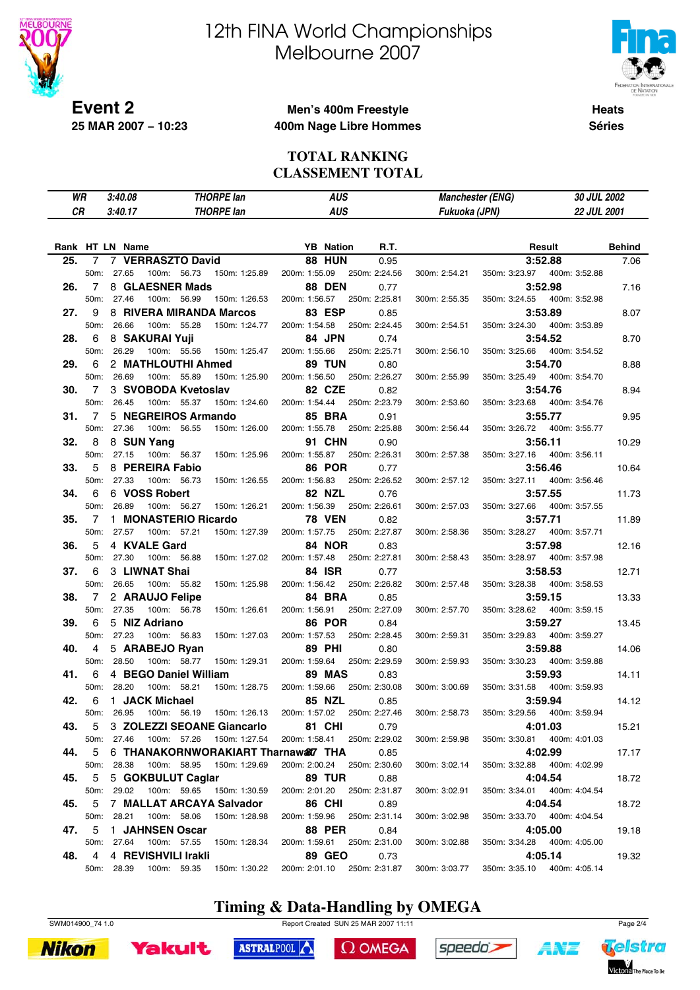

# 12th FINA World Championships Melbourne 2007



**Heats Séries**

## **Men's 400m Freestyle 400m Nage Libre Hommes**

#### **TOTAL RANKING CLASSEMENT TOTAL**

| WR        |           | 3:40.08                           | <b>THORPE lan</b>                             | <b>AUS</b>                                       | <b>Manchester (ENG)</b>        | 30 JUL 2002                               |               |
|-----------|-----------|-----------------------------------|-----------------------------------------------|--------------------------------------------------|--------------------------------|-------------------------------------------|---------------|
| <b>CR</b> |           | 3:40.17                           | <b>THORPE lan</b>                             | <b>AUS</b>                                       | Fukuoka (JPN)                  | 22 JUL 2001                               |               |
|           |           |                                   |                                               |                                                  |                                |                                           |               |
|           |           |                                   |                                               |                                                  |                                |                                           |               |
|           |           | Rank HT LN Name                   |                                               | <b>YB</b> Nation<br>R.T.                         |                                | Result                                    | <b>Behind</b> |
| 25.       | 7         | 7                                 | <b>VERRASZTO David</b>                        | <b>88 HUN</b><br>0.95                            |                                | 3:52.88                                   | 7.06          |
|           | 50m:      | 27.65                             | 100m: 56.73<br>150m: 1:25.89                  | 200m: 1:55.09<br>250m: 2:24.56                   | 300m: 2:54.21<br>350m: 3:23.97 | 400m: 3:52.88                             |               |
| 26.       | 7         | 8 GLAESNER Mads                   |                                               | <b>88 DEN</b><br>0.77                            |                                | 3:52.98                                   | 7.16          |
|           | 50m:      | 27.46<br>100m:                    | 56.99<br>150m: 1:26.53                        | 200m: 1:56.57<br>250m: 2:25.81                   | 350m: 3:24.55<br>300m: 2:55.35 | 400m: 3:52.98                             |               |
| 27.       | 9         |                                   | 8 RIVERA MIRANDA Marcos                       | <b>83 ESP</b><br>0.85                            |                                | 3:53.89                                   | 8.07          |
|           | 50m:      | 26.66                             | 100m: 55.28<br>150m: 1:24.77                  | 250m: 2:24.45<br>200m: 1:54.58                   | 300m: 2:54.51<br>350m: 3:24.30 | 400m: 3:53.89                             |               |
| 28.       | 6         | 8 SAKURAI Yuji                    |                                               | 84 JPN<br>0.74                                   |                                | 3:54.52                                   | 8.70          |
|           | 50m:      | 26.29                             | 100m: 55.56<br>150m: 1:25.47                  | 250m: 2:25.71<br>200m: 1:55.66                   | 350m: 3:25.66<br>300m: 2:56.10 | 400m: 3:54.52                             |               |
| 29.       | 6         |                                   | 2 MATHLOUTHI Ahmed                            | <b>89 TUN</b><br>0.80                            |                                | 3:54.70                                   | 8.88          |
|           | 50m:      | 26.69<br>100m:                    | 55.89<br>150m: 1:25.90<br>3 SVOBODA Kvetoslav | 200m: 1:56.50<br>250m: 2:26.27                   | 300m: 2:55.99<br>350m: 3:25.49 | 400m: 3:54.70                             |               |
| 30.       | 7<br>50m: | 26.45                             | 100m: 55.37<br>150m: 1:24.60                  | 82 CZE<br>0.82<br>250m: 2:23.79<br>200m: 1:54.44 | 300m: 2:53.60<br>350m: 3:23.68 | 3:54.76<br>400m: 3:54.76                  | 8.94          |
| 31.       | 7         |                                   | 5 NEGREIROS Armando                           | <b>85 BRA</b><br>0.91                            |                                | 3:55.77                                   | 9.95          |
|           | 50m:      | 27.36<br>100m:                    | 56.55<br>150m: 1:26.00                        | 200m: 1:55.78<br>250m: 2:25.88                   | 300m: 2:56.44<br>350m: 3:26.72 | 400m: 3:55.77                             |               |
| 32.       | 8         | 8 SUN Yang                        |                                               | <b>91 CHN</b><br>0.90                            |                                | 3:56.11                                   | 10.29         |
|           | 50m:      | 27.15<br>100m:                    | 56.37<br>150m: 1:25.96                        | 200m: 1:55.87<br>250m: 2:26.31                   | 300m: 2:57.38<br>350m: 3:27.16 | 400m: 3:56.11                             |               |
| 33.       | 5         | 8 PEREIRA Fabio                   |                                               | <b>86 POR</b><br>0.77                            |                                | 3:56.46                                   | 10.64         |
|           | 50m:      | 27.33<br>100m:                    | 56.73<br>150m: 1:26.55                        | 250m: 2:26.52<br>200m: 1:56.83                   | 350m: 3:27.11<br>300m: 2:57.12 | 400m: 3:56.46                             |               |
| 34.       | 6         | 6 VOSS Robert                     |                                               | 82 NZL<br>0.76                                   |                                | 3:57.55                                   | 11.73         |
|           | 50m:      | 26.89<br>100m:                    | 56.27<br>150m: 1:26.21                        | 250m: 2:26.61<br>200m: 1:56.39                   | 300m: 2:57.03<br>350m: 3:27.66 | 400m: 3:57.55                             |               |
| 35.       | 7         | 1.                                | <b>MONASTERIO Ricardo</b>                     | <b>78 VEN</b><br>0.82                            |                                | 3:57.71                                   | 11.89         |
|           | 50m:      | 27.57<br>100m:                    | 57.21<br>150m: 1:27.39                        | 200m: 1:57.75<br>250m: 2:27.87                   | 300m: 2:58.36<br>350m: 3:28.27 | 400m: 3:57.71                             |               |
| 36.       | 5         | 4 KVALE Gard                      |                                               | <b>84 NOR</b><br>0.83                            |                                | 3:57.98                                   | 12.16         |
|           | 50m:      | 27.30                             | 100m: 56.88<br>150m: 1:27.02                  | 250m: 2:27.81<br>200m: 1:57.48                   | 300m: 2:58.43<br>350m: 3:28.97 | 400m: 3:57.98                             |               |
| 37.       | 6         | 3 LIWNAT Shai                     |                                               | <b>84 ISR</b><br>0.77                            |                                | 3:58.53                                   | 12.71         |
|           | 50m:      | 26.65                             | 100m: 55.82<br>150m: 1:25.98                  | 200m: 1:56.42<br>250m: 2:26.82                   | 300m: 2:57.48<br>350m: 3:28.38 | 400m: 3:58.53                             |               |
| 38.       | 7         | 2 ARAUJO Felipe                   |                                               | 84 BRA<br>0.85                                   |                                | 3:59.15                                   | 13.33         |
|           | 50m:      | 27.35<br>100m:                    | 56.78<br>150m: 1:26.61                        | 200m: 1:56.91<br>250m: 2:27.09                   | 300m: 2:57.70<br>350m: 3:28.62 | 400m: 3:59.15                             |               |
| 39.       | 6         | 5 NIZ Adriano                     |                                               | <b>86 POR</b><br>0.84                            |                                | 3:59.27                                   | 13.45         |
|           | 50m:      | 27.23                             | 100m: 56.83<br>150m: 1:27.03                  | 250m: 2:28.45<br>200m: 1:57.53                   | 300m: 2:59.31<br>350m: 3:29.83 | 400m: 3:59.27                             |               |
| 40.       | 4         | 5 ARABEJO Ryan                    |                                               | <b>89 PHI</b><br>0.80                            |                                | 3:59.88                                   | 14.06         |
|           | 50m:      | 28.50<br>100m:                    | 58.77<br>150m: 1:29.31                        | 200m: 1:59.64<br>250m: 2:29.59                   | 300m: 2:59.93<br>350m: 3:30.23 | 400m: 3:59.88                             |               |
| 41.       | 6         |                                   | 4 BEGO Daniel William                         | 89 MAS<br>0.83                                   |                                | 3:59.93                                   | 14.11         |
|           | 50m:      | 28.20<br>100m:                    | 58.21<br>150m: 1:28.75                        | 200m: 1:59.66<br>250m: 2:30.08                   | 300m: 3:00.69<br>350m: 3:31.58 | 400m: 3:59.93                             |               |
| 42.       | 6         | 1 JACK Michael                    |                                               | 85 NZL<br>0.85                                   |                                | 3:59.94                                   | 14.12         |
|           | 50m:      | 26.95                             | 100m: 56.19<br>150m: 1:26.13                  | 200m: 1:57.02<br>250m: 2:27.46                   | 300m: 2:58.73<br>350m: 3:29.56 | 400m: 3:59.94                             |               |
| 43.       | 5         |                                   | 3 ZOLEZZI SEOANE Giancarlo                    | <b>81 CHI</b><br>0.79                            |                                | 4:01.03                                   | 15.21         |
|           | 50m:      | 27.46                             | 100m: 57.26<br>150m: 1:27.54                  | 200m: 1:58.41 250m: 2:29.02                      | 300m: 2:59.98                  | 350m: 3:30.81<br>400m: 4:01.03            |               |
| 44.       | 5         |                                   | 6 THANAKORNWORAKIART Tharnaw&7 THA            | 0.85                                             |                                | 4:02.99                                   | 17.17         |
|           | 50m:      | 28.38                             | 100m: 58.95 150m: 1:29.69                     | 200m: 2:00.24 250m: 2:30.60                      | 300m: 3:02.14                  | 350m: 3:32.88  400m: 4:02.99              |               |
| 45.       | 5         | 5 GOKBULUT Caglar                 |                                               | <b>89 TUR</b><br>0.88                            |                                | 4:04.54                                   | 18.72         |
|           | 50m:      | 29.02                             | 100m: 59.65 150m: 1:30.59                     | 200m: 2:01.20<br>250m: 2:31.87                   | 300m: 3:02.91                  | 350m: 3:34.01<br>400m: 4:04.54            |               |
| 45.       | 5         |                                   | 7 MALLAT ARCAYA Salvador                      | <b>86 CHI</b><br>0.89                            |                                | 4:04.54                                   | 18.72         |
|           | 50m:      | 28.21                             | 100m: 58.06<br>150m: 1:28.98                  | 200m: 1:59.96<br>250m: 2:31.14                   | 300m: 3:02.98<br>350m: 3:33.70 | 400m: 4:04.54                             |               |
| 47.       | 5         | 1 JAHNSEN Oscar                   |                                               | <b>88 PER</b><br>0.84                            |                                | 4:05.00                                   | 19.18         |
|           | 50m:<br>4 | 27.64                             | 100m: 57.55<br>150m: 1:28.34                  | 200m: 1:59.61<br>250m: 2:31.00                   | 300m: 3:02.88                  | 350m: 3:34.28  400m: 4:05.00              |               |
| 48.       |           | 4 REVISHVILI Irakli<br>50m: 28.39 | 100m: 59.35<br>150m: 1:30.22                  | 89 GEO<br>0.73<br>200m: 2:01.10<br>250m: 2:31.87 | 300m: 3:03.77                  | 4:05.14<br>350m: 3:35.10<br>400m: 4:05.14 | 19.32         |
|           |           |                                   |                                               |                                                  |                                |                                           |               |

# **Timing & Data-Handling by OMEGA**

SWM014900\_74 1.0 Page 2/4





ASTRALPOOL

 $\Omega$  OMEGA



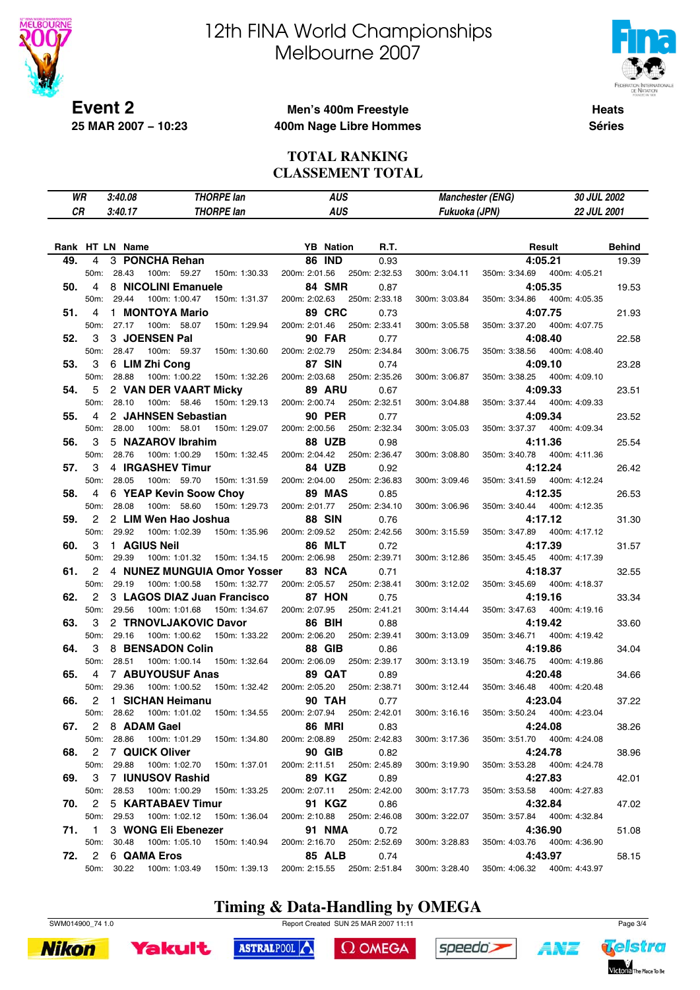

# 12th FINA World Championships Melbourne 2007



**Heats Séries**

## **Men's 400m Freestyle 400m Nage Libre Hommes**

#### **TOTAL RANKING CLASSEMENT TOTAL**

| WR        |                | 3:40.08                |                  | <b>THORPE lan</b>            | <b>AUS</b>    |                  | <b>Manchester (ENG)</b> |                                     | 30 JUL 2002                  |               |                              |               |
|-----------|----------------|------------------------|------------------|------------------------------|---------------|------------------|-------------------------|-------------------------------------|------------------------------|---------------|------------------------------|---------------|
| <b>CR</b> |                | 3:40.17                |                  | <b>THORPE lan</b>            |               |                  | <b>AUS</b>              |                                     | 22 JUL 2001<br>Fukuoka (JPN) |               |                              |               |
|           |                |                        |                  |                              |               |                  |                         |                                     |                              |               |                              |               |
|           |                |                        |                  |                              |               |                  |                         |                                     |                              |               |                              |               |
|           |                | Rank HT LN Name        |                  |                              |               | <b>YB</b> Nation |                         | R.T.                                |                              |               | Result                       | <b>Behind</b> |
| 49.       | 4              | 3 PONCHA Rehan         |                  |                              |               | <b>86 IND</b>    |                         | 0.93                                |                              |               | 4:05.21                      | 19.39         |
|           | 50m:           | 28.43                  | 100m: 59.27      | 150m: 1:30.33                | 200m: 2:01.56 |                  |                         | 250m: 2:32.53                       | 300m: 3:04.11                | 350m: 3:34.69 | 400m: 4:05.21                |               |
| 50.       | $\overline{4}$ | 8 NICOLINI Emanuele    |                  |                              |               | 84 SMR           |                         | 0.87                                |                              |               | 4:05.35                      | 19.53         |
|           | 50m:           | 29.44                  | 100m: 1:00.47    | 150m: 1:31.37                |               | 200m: 2:02.63    |                         | 250m: 2:33.18                       | 300m: 3:03.84                | 350m: 3:34.86 | 400m: 4:05.35                |               |
| 51.       | 4              |                        | 1 MONTOYA Mario  |                              |               | <b>89 CRC</b>    |                         | 0.73                                |                              |               | 4:07.75                      | 21.93         |
|           | 50m:           | 27.17                  | 100m: 58.07      | 150m: 1:29.94                |               | 200m: 2:01.46    |                         | 250m: 2:33.41                       | 300m: 3:05.58                | 350m: 3:37.20 | 400m: 4:07.75                |               |
| 52.       | 3              | 3 JOENSEN Pal          |                  |                              |               | <b>90 FAR</b>    |                         | 0.77                                |                              |               | 4:08.40                      | 22.58         |
|           | 50m:           | 28.47                  | 100m: 59.37      | 150m: 1:30.60                |               | 200m: 2:02.79    |                         | 250m: 2:34.84                       | 300m: 3:06.75                | 350m: 3:38.56 | 400m: 4:08.40                |               |
| 53.       | 3              | 6 LIM Zhi Cong         |                  |                              |               | <b>87 SIN</b>    |                         | 0.74                                |                              |               | 4:09.10                      | 23.28         |
|           | 50m:           | 28.88                  | 100m: 1:00.22    | 150m: 1:32.26                |               | 200m: 2:03.68    |                         | 250m: 2:35.26                       | 300m: 3:06.87                | 350m: 3:38.25 | 400m: 4:09.10                |               |
| 54.       | 5              | 2 VAN DER VAART Micky  |                  |                              |               | <b>89 ARU</b>    |                         | 0.67                                |                              |               | 4:09.33                      | 23.51         |
|           | 50m:           | 28.10                  | 100m: 58.46      | 150m: 1:29.13                |               | 200m: 2:00.74    |                         | 250m: 2:32.51                       | 300m: 3:04.88                | 350m: 3:37.44 | 400m: 4:09.33                |               |
| 55.       | 4              | 2 JAHNSEN Sebastian    |                  |                              |               | <b>90 PER</b>    |                         | 0.77                                |                              |               | 4:09.34                      | 23.52         |
|           | 50m:           | 28.00                  | 100m: 58.01      | 150m: 1:29.07                |               | 200m: 2:00.56    |                         | 250m: 2:32.34                       | 300m: 3:05.03                | 350m: 3:37.37 | 400m: 4:09.34                |               |
| 56.       | 3              | 5 NAZAROV Ibrahim      |                  |                              |               | <b>88 UZB</b>    |                         | 0.98                                |                              |               | 4:11.36                      | 25.54         |
|           | 50m:           | 28.76                  | 100m: 1:00.29    | 150m: 1:32.45                |               | 200m: 2:04.42    |                         | 250m: 2:36.47                       | 300m: 3:08.80                | 350m: 3:40.78 | 400m: 4:11.36                |               |
| 57.       | 3              |                        | 4 IRGASHEV Timur |                              |               | 84 UZB           |                         | 0.92                                |                              |               | 4:12.24                      | 26.42         |
|           | 50m:           | 28.05                  | 100m: 59.70      | 150m: 1:31.59                |               | 200m: 2:04.00    |                         | 250m: 2:36.83                       | 300m: 3:09.46                | 350m: 3:41.59 | 400m: 4:12.24                |               |
| 58.       | 4              | 6 YEAP Kevin Soow Choy |                  |                              |               | 89 MAS           |                         | 0.85                                |                              |               | 4:12.35                      | 26.53         |
|           | 50m:           | 28.08                  | 100m: 58.60      | 150m: 1:29.73                | 200m: 2:01.77 |                  |                         | 250m: 2:34.10                       | 300m: 3:06.96                | 350m: 3:40.44 | 400m: 4:12.35                |               |
| 59.       | 2              | 2 LIM Wen Hao Joshua   |                  |                              |               | <b>88 SIN</b>    |                         | 0.76                                |                              |               | 4:17.12                      | 31.30         |
|           | 50m:           | 29.92                  | 100m: 1:02.39    | 150m: 1:35.96                |               | 200m: 2:09.52    |                         | 250m: 2:42.56                       | 300m: 3:15.59                | 350m: 3:47.89 | 400m: 4:17.12                |               |
| 60.       | 3              | 1 AGIUS Neil           |                  |                              |               | <b>86 MLT</b>    |                         | 0.72                                |                              |               | 4:17.39                      | 31.57         |
|           | 50m:           | 29.39                  | 100m: 1:01.32    | 150m: 1:34.15                |               | 200m: 2:06.98    |                         | 250m: 2:39.71                       | 300m: 3:12.86                | 350m: 3:45.45 | 400m: 4:17.39                |               |
| 61.       | 2              |                        |                  | 4 NUNEZ MUNGUIA Omor Yosser  |               | 83 NCA           |                         | 0.71                                |                              |               | 4:18.37                      | 32.55         |
|           | 50m:           | 29.19                  | 100m: 1:00.58    | 150m: 1:32.77                | 200m: 2:05.57 |                  |                         | 250m: 2:38.41                       | 300m: 3:12.02                | 350m: 3:45.69 | 400m: 4:18.37                |               |
| 62.       | $\overline{2}$ |                        |                  | 3 LAGOS DIAZ Juan Francisco  |               | 87 HON           |                         | 0.75                                |                              |               | 4:19.16                      | 33.34         |
|           | 50m:           | 29.56                  | 100m: 1:01.68    | 150m: 1:34.67                |               | 200m: 2:07.95    |                         | 250m: 2:41.21                       | 300m: 3:14.44                | 350m: 3:47.63 | 400m: 4:19.16                |               |
| 63.       | 3              | 2 TRNOVLJAKOVIC Davor  |                  |                              |               | 86 BIH           |                         | 0.88                                |                              |               | 4:19.42                      | 33.60         |
|           | 50m:           | 29.16                  | 100m: 1:00.62    | 150m: 1:33.22                |               | 200m: 2:06.20    |                         | 250m: 2:39.41                       | 300m: 3:13.09                | 350m: 3:46.71 | 400m: 4:19.42                |               |
| 64.       | 3              | 8 BENSADON Colin       |                  |                              |               | <b>88 GIB</b>    |                         | 0.86                                |                              |               | 4:19.86                      | 34.04         |
|           | 50m:           | 28.51                  | 100m: 1:00.14    | 150m: 1:32.64                | 200m: 2:06.09 |                  |                         | 250m: 2:39.17                       | 300m: 3:13.19                | 350m: 3:46.75 | 400m: 4:19.86                |               |
| 65.       | $\overline{4}$ | 7 ABUYOUSUF Anas       |                  |                              |               | <b>89 QAT</b>    |                         | 0.89                                |                              |               | 4:20.48                      | 34.66         |
|           | 50m:           | 29.36                  | 100m: 1:00.52    | 150m: 1:32.42                | 200m: 2:05.20 |                  |                         | 250m: 2:38.71                       | 300m: 3:12.44                | 350m: 3:46.48 | 400m: 4:20.48                |               |
| 66.       | 2              | 1 SICHAN Heimanu       |                  |                              |               | <b>90 TAH</b>    |                         | 0.77                                |                              |               | 4:23.04                      | 37.22         |
|           | 50m:           | 28.62                  | 100m: 1:01.02    | 150m: 1:34.55                |               | 200m: 2:07.94    |                         | 250m: 2:42.01                       | 300m: 3:16.16                | 350m: 3:50.24 | 400m: 4:23.04                |               |
|           |                | 67. 2 8 ADAM Gael      |                  |                              |               | <b>86 MRI</b>    |                         |                                     |                              |               | 4:24.08                      |               |
|           |                | 50m: 28.86             |                  | 100m: 1:01.29  150m: 1:34.80 |               |                  |                         | 0.83<br>200m: 2:08.89 250m: 2:42.83 | 300m: 3:17.36                |               | 350m: 3:51.70  400m: 4:24.08 | 38.26         |
|           |                | 2 7 QUICK Oliver       |                  |                              |               |                  |                         |                                     |                              |               |                              |               |
| 68.       |                |                        |                  |                              |               | <b>90 GIB</b>    |                         | 0.82                                |                              |               | 4:24.78                      | 38.96         |
|           |                | 50m: 29.88             |                  | 100m: 1:02.70  150m: 1:37.01 |               |                  |                         | 200m: 2:11.51 250m: 2:45.89         | 300m: 3:19.90                |               | 350m: 3:53.28  400m: 4:24.78 |               |
| 69.       | 3              | 7 IUNUSOV Rashid       |                  |                              |               | 89 KGZ           |                         | 0.89                                |                              |               | 4:27.83                      | 42.01         |
|           |                | 50m: 28.53             |                  | 100m: 1:00.29  150m: 1:33.25 |               |                  |                         | 200m: 2:07.11 250m: 2:42.00         | 300m: 3:17.73                |               | 350m: 3:53.58  400m: 4:27.83 |               |
|           | 70. 2          | 5 KARTABAEV Timur      |                  |                              |               | 91 KGZ           |                         | 0.86                                |                              |               | 4:32.84                      | 47.02         |
|           |                | 50m: 29.53             |                  | 100m: 1:02.12  150m: 1:36.04 |               |                  |                         | 200m: 2:10.88 250m: 2:46.08         | 300m: 3:22.07                |               | 350m: 3:57.84  400m: 4:32.84 |               |
|           | 71. 1          | 3 WONG Eli Ebenezer    |                  |                              |               |                  | 91 NMA                  | 0.72                                |                              |               | 4:36.90                      | 51.08         |
|           |                | 50m: 30.48             |                  | 100m: 1:05.10  150m: 1:40.94 |               |                  |                         | 200m: 2:16.70 250m: 2:52.69         | 300m: 3:28.83                |               | 350m: 4:03.76  400m: 4:36.90 |               |
| 72.       | $\overline{2}$ | 6 QAMA Eros            |                  |                              |               | <b>85 ALB</b>    |                         | 0.74                                |                              |               | 4:43.97                      | 58.15         |
|           |                | 50m: 30.22             |                  |                              |               |                  |                         | 200m: 2:15.55 250m: 2:51.84         | 300m: 3:28.40                |               | 350m: 4:06.32 400m: 4:43.97  |               |

# **Timing & Data-Handling by OMEGA**

SWM014900\_74 1.0 Report Created SUN 25 MAR 2007 11:11 Page 3/4

ASTRALPOOL





 $\Omega$  OMEGA



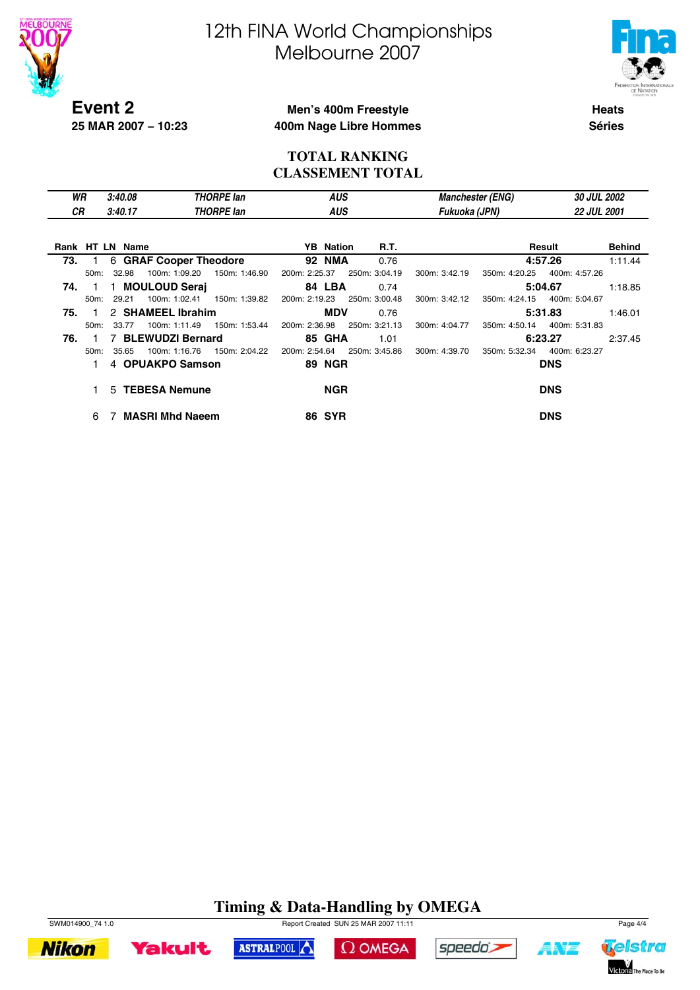



**Event 2 25 MAR 2007 − 10:23**

#### **Men's 400m Freestyle 400m Nage Libre Hommes**

**Heats Séries**

#### **TOTAL RANKING CLASSEMENT TOTAL**

| WR  |      | 3:40.08<br>THORPE Ian |                         |                   | <b>AUS</b>       |               |               | <b>Manchester (ENG)</b> | 30 JUL 2002        |               |
|-----|------|-----------------------|-------------------------|-------------------|------------------|---------------|---------------|-------------------------|--------------------|---------------|
| СR  |      | 3:40.17               |                         | <b>THORPE lan</b> | <b>AUS</b>       |               | Fukuoka (JPN) |                         | <b>22 JUL 2001</b> |               |
|     |      |                       |                         |                   |                  |               |               |                         |                    |               |
|     |      | Rank HT LN Name       |                         |                   | <b>YB</b> Nation | <b>R.T.</b>   |               |                         | Result             | <b>Behind</b> |
| 73. |      |                       | 6 GRAF Cooper Theodore  |                   | <b>92 NMA</b>    | 0.76          |               |                         | 4:57.26            | 1:11.44       |
|     | 50m: | 32.98                 | 100m: 1:09.20           | 150m: 1:46.90     | 200m: 2:25.37    | 250m: 3:04.19 | 300m: 3:42.19 | 350m: 4:20.25           | 400m: 4:57.26      |               |
| 74. |      |                       | 1 MOULOUD Serai         |                   | 84 LBA           | 0.74          |               |                         | 5:04.67            | 1:18.85       |
|     | 50m: | 29.21                 | 100m: 1:02.41           | 150m: 1:39.82     | 200m: 2:19.23    | 250m: 3:00.48 | 300m: 3:42.12 | 350m: 4:24.15           | 400m: 5:04.67      |               |
| 75. |      |                       | 2 SHAMEEL Ibrahim       |                   | <b>MDV</b>       | 0.76          |               |                         | 5:31.83            | 1:46.01       |
|     | 50m: | 33.77                 | 100m: 1:11.49           | 150m: 1:53.44     | 200m: 2:36.98    | 250m: 3:21.13 | 300m: 4:04.77 | 350m: 4:50.14           | 400m: 5:31.83      |               |
| 76. |      |                       | <b>BLEWUDZI Bernard</b> |                   | <b>85 GHA</b>    | 1.01          |               |                         | 6:23.27            | 2:37.45       |
|     | 50m: | 35.65                 | 100m: 1:16.76           | 150m: 2:04.22     | 200m: 2:54.64    | 250m: 3:45.86 | 300m: 4:39.70 | 350m: 5:32.34           | 400m: 6:23.27      |               |
|     |      |                       | 4 OPUAKPO Samson        |                   | <b>89 NGR</b>    |               |               |                         | <b>DNS</b>         |               |
|     |      |                       | 5 TEBESA Nemune         |                   | <b>NGR</b>       |               |               |                         | <b>DNS</b>         |               |
|     | 6    |                       | <b>MASRI Mhd Naeem</b>  |                   | <b>86 SYR</b>    |               |               |                         | <b>DNS</b>         |               |

### **Timing & Data-Handling by OMEGA**

ASTRALPOOL



**Yakult** 





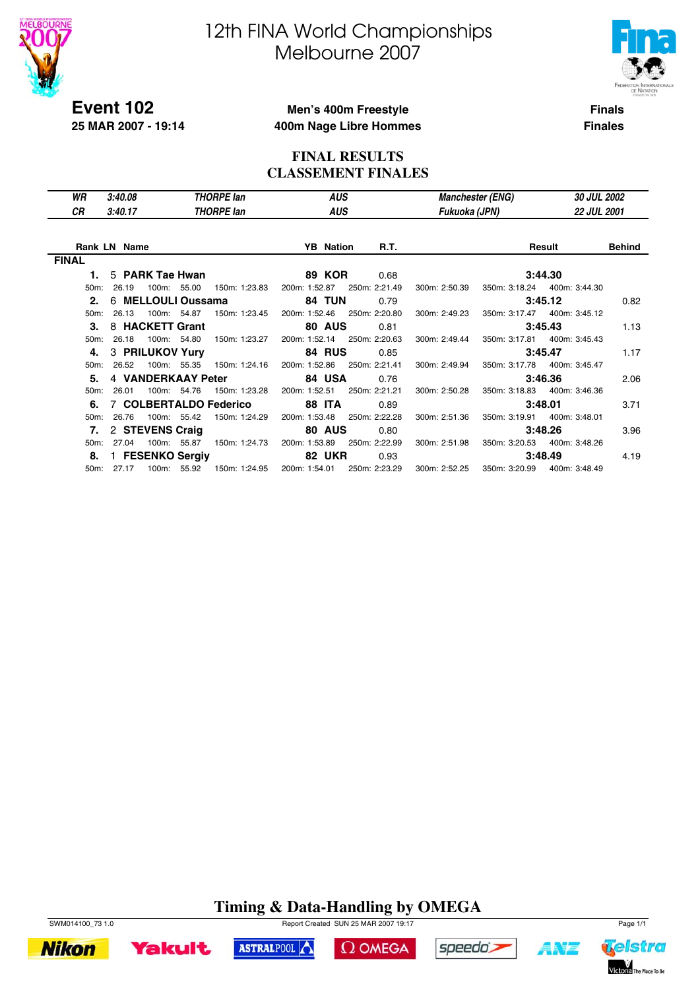

**25 MAR 2007 - 19:14**

# 12th FINA World Championships Melbourne 2007



**Finals**

#### **Men's 400m Freestyle 400m Nage Libre Hommes**

**Finales**

#### **FINAL RESULTS CLASSEMENT FINALES**

| WR                | 3:40.08<br><b>THORPE lan</b> |                    |  | <b>AUS</b>             |  |                  | Manchester (ENG)            | <b>30 JUL 2002</b> |  |                              |                    |  |
|-------------------|------------------------------|--------------------|--|------------------------|--|------------------|-----------------------------|--------------------|--|------------------------------|--------------------|--|
| СR                | 3:40.17                      |                    |  | <b>THORPE lan</b>      |  | <b>AUS</b>       |                             | Fukuoka (JPN)      |  |                              | <b>22 JUL 2001</b> |  |
|                   |                              |                    |  |                        |  |                  |                             |                    |  |                              |                    |  |
|                   | <b>Rank LN Name</b>          |                    |  |                        |  | <b>YB</b> Nation | <b>R.T.</b>                 |                    |  | Result                       | <b>Behind</b>      |  |
| <b>FINAL</b>      |                              |                    |  |                        |  |                  |                             |                    |  |                              |                    |  |
| 1.                |                              | 5 PARK Tae Hwan    |  |                        |  | <b>89 KOR</b>    | 0.68                        |                    |  | 3:44.30                      |                    |  |
| $50m$ :           | 26.19                        | 100m: 55.00        |  | 150m: 1:23.83          |  | 200m: 1:52.87    | 250m: 2:21.49               | 300m: 2:50.39      |  | 350m: 3:18.24 400m: 3:44.30  |                    |  |
| 2.                |                              | 6 MELLOULI Oussama |  |                        |  | <b>84 TUN</b>    | 0.79                        |                    |  | 3:45.12                      | 0.82               |  |
| $50m$ :           | 26.13                        | 100m: 54.87        |  | 150m: 1:23.45          |  | 200m: 1:52.46    | 250m: 2:20.80               | 300m: 2:49.23      |  | 350m: 3:17.47  400m: 3:45.12 |                    |  |
| 3.                |                              | 8 HACKETT Grant    |  |                        |  | <b>80 AUS</b>    | 0.81                        |                    |  | 3:45.43                      | 1.13               |  |
|                   | 50m: 26.18                   | 100m: 54.80        |  | 150m: 1:23.27          |  |                  | 200m: 1:52.14 250m: 2:20.63 | 300m: 2:49.44      |  | 350m: 3:17.81  400m: 3:45.43 |                    |  |
| 4.                |                              | 3 PRILUKOV Yury    |  |                        |  | <b>84 RUS</b>    | 0.85                        |                    |  | 3:45.47                      | 1.17               |  |
| 50m:              | 26.52                        | 100m: 55.35        |  | 150m: 1:24.16          |  |                  | 200m: 1:52.86 250m: 2:21.41 | 300m: 2:49.94      |  | 350m: 3:17.78 400m: 3:45.47  |                    |  |
| 5.                |                              | 4 VANDERKAAY Peter |  |                        |  | 84 USA           | 0.76                        |                    |  | 3:46.36                      | 2.06               |  |
| 50 <sub>m</sub> : | 26.01                        | 100m: 54.76        |  | 150m: 1:23.28          |  | 200m: 1:52.51    | 250m: 2:21.21               | 300m: 2:50.28      |  | 350m: 3:18.83 400m: 3:46.36  |                    |  |
|                   |                              |                    |  | 7 COLBERTALDO Federico |  | <b>88 ITA</b>    | 0.89                        |                    |  | 3:48.01                      | 3.71               |  |
| $50m$ :           | 26.76                        | 100m: 55.42        |  | 150m: 1:24.29          |  | 200m: 1:53.48    | 250m: 2:22.28               | 300m: 2:51.36      |  | 350m: 3:19.91  400m: 3:48.01 |                    |  |
| 7.                |                              | 2 STEVENS Craig    |  |                        |  | <b>80 AUS</b>    | 0.80                        |                    |  | 3:48.26                      | 3.96               |  |
| 50 <sub>m</sub> : | 27.04                        | 100m: 55.87        |  | 150m: 1:24.73          |  | 200m: 1:53.89    | 250m: 2:22.99               | 300m: 2:51.98      |  | 350m: 3:20.53 400m: 3:48.26  |                    |  |
| 8.                |                              | 1 FESENKO Sergiy   |  |                        |  | <b>82 UKR</b>    | 0.93                        |                    |  | 3:48.49                      | 4.19               |  |
|                   | 50m: 27.17                   | 100m: 55.92        |  | 150m: 1:24.95          |  | 200m: 1:54.01    | 250m: 2:23.29               | 300m: 2:52.25      |  | 350m: 3:20.99 400m: 3:48.49  |                    |  |

### **Timing & Data-Handling by OMEGA**





ASTRALPOOL

 $\Omega$  OMEGA



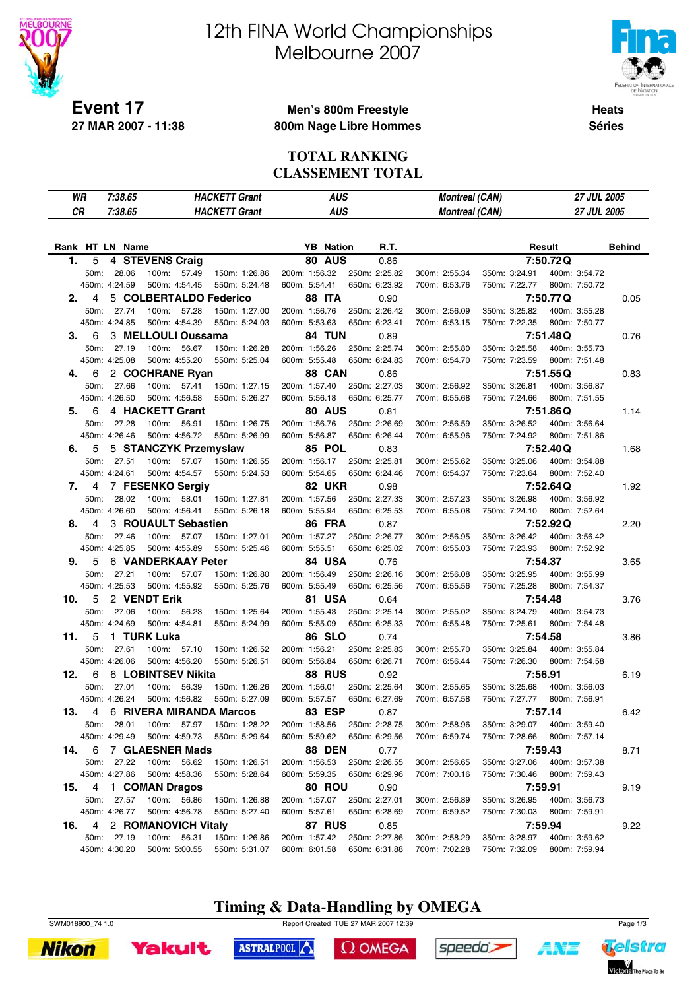

# 12th FINA World Championships Melbourne 2007



**Heats Séries**

#### **Men's 800m Freestyle 800m Nage Libre Hommes**

#### **TOTAL RANKING CLASSEMENT TOTAL**

| WR  |                | 7:38.65                     |                                      | <b>HACKETT Grant</b>           |                                | <b>AUS</b>                     | <b>Montreal (CAN)</b>          |                                | 27 JUL 2005                    |               |
|-----|----------------|-----------------------------|--------------------------------------|--------------------------------|--------------------------------|--------------------------------|--------------------------------|--------------------------------|--------------------------------|---------------|
| CR  |                | 7:38.65                     |                                      | <b>HACKETT Grant</b>           |                                | <b>AUS</b>                     | <b>Montreal (CAN)</b>          |                                | <b>27 JUL 2005</b>             |               |
|     |                |                             |                                      |                                |                                |                                |                                |                                |                                |               |
|     |                | Rank HT LN Name             |                                      |                                | <b>YB</b> Nation               | R.T.                           |                                |                                | Result                         | <b>Behind</b> |
| 1.  | 5              |                             | 4 STEVENS Craig                      |                                | <b>80 AUS</b>                  | 0.86                           |                                |                                | 7:50.72Q                       |               |
|     | 50m:           | 28.06                       | 100m: 57.49                          | 150m: 1:26.86                  | 200m: 1:56.32                  | 250m: 2:25.82                  | 300m: 2:55.34                  | 350m: 3:24.91                  | 400m: 3:54.72                  |               |
|     |                | 450m: 4:24.59               | 500m: 4:54.45                        | 550m: 5:24.48                  | 600m: 5:54.41                  | 650m: 6:23.92                  | 700m: 6:53.76                  | 750m: 7:22.77                  | 800m: 7:50.72                  |               |
| 2.  | 4              |                             | 5 COLBERTALDO Federico               |                                | <b>88 ITA</b>                  | 0.90                           |                                |                                | 7:50.77Q                       | 0.05          |
|     | 50m:           | 27.74                       | 100m:<br>57.28                       | 150m: 1:27.00                  | 200m: 1:56.76                  | 250m: 2:26.42                  | 300m: 2:56.09                  | 350m: 3:25.82                  | 400m: 3:55.28                  |               |
|     |                | 450m: 4:24.85               | 500m: 4:54.39                        | 550m: 5:24.03                  | 600m: 5:53.63                  | 650m: 6:23.41                  | 700m: 6:53.15                  | 750m: 7:22.35                  | 800m: 7:50.77                  |               |
| З.  | 6              |                             | 3 MELLOULI Oussama                   |                                | 84 TUN                         | 0.89                           |                                |                                | 7:51.48Q                       | 0.76          |
|     | 50m:           | 27.19                       | 100m:<br>56.67                       | 150m: 1:26.28                  | 200m: 1:56.26                  | 250m: 2:25.74                  | 300m: 2:55.80                  | 350m: 3:25.58                  | 400m: 3:55.73                  |               |
|     |                | 450m: 4:25.08               | 500m: 4:55.20                        | 550m: 5:25.04                  | 600m: 5:55.48                  | 650m: 6:24.83                  | 700m: 6:54.70                  | 750m: 7:23.59                  | 800m: 7:51.48                  |               |
| 4.  | 6              |                             | 2 COCHRANE Ryan                      |                                | 88 CAN                         | 0.86                           |                                |                                | 7:51.55Q                       | 0.83          |
|     | 50m:           | 27.66                       | 100m: 57.41                          | 150m: 1:27.15                  | 200m: 1:57.40                  | 250m: 2:27.03                  | 300m: 2:56.92                  | 350m: 3:26.81                  | 400m: 3:56.87                  |               |
|     |                | 450m: 4:26.50               | 500m: 4:56.58                        | 550m: 5:26.27                  | 600m: 5:56.18                  | 650m: 6:25.77                  | 700m: 6:55.68                  | 750m: 7:24.66                  | 800m: 7:51.55                  |               |
| 5.  | 6              |                             | 4 HACKETT Grant                      |                                | 80 AUS                         | 0.81                           |                                |                                | 7:51.86Q                       | 1.14          |
|     | 50m:           | 27.28<br>450m: 4:26.46      | 100m:<br>56.91<br>500m: 4:56.72      | 150m: 1:26.75<br>550m: 5:26.99 | 200m: 1:56.76<br>600m: 5:56.87 | 250m: 2:26.69<br>650m: 6:26.44 | 300m: 2:56.59<br>700m: 6:55.96 | 350m: 3:26.52<br>750m: 7:24.92 | 400m: 3:56.64<br>800m: 7:51.86 |               |
| 6.  | 5              |                             | 5 STANCZYK Przemyslaw                |                                | 85 POL                         |                                |                                |                                | 7:52.40Q                       | 1.68          |
|     | 50m:           | 27.51                       | 100m: 57.07                          | 150m: 1:26.55                  | 200m: 1:56.17                  | 0.83<br>250m: 2:25.81          | 300m: 2:55.62                  | 350m: 3:25.06                  | 400m: 3:54.88                  |               |
|     |                | 450m: 4:24.61               | 500m: 4:54.57                        | 550m: 5:24.53                  | 600m: 5:54.65                  | 650m: 6:24.46                  | 700m: 6:54.37                  | 750m: 7:23.64                  | 800m: 7:52.40                  |               |
| 7.  | 4              |                             | 7 FESENKO Sergiy                     |                                | <b>82 UKR</b>                  | 0.98                           |                                |                                | 7:52.64Q                       | 1.92          |
|     | 50m:           | 28.02                       | 100m: 58.01                          | 150m: 1:27.81                  | 200m: 1:57.56                  | 250m: 2:27.33                  | 300m: 2:57.23                  | 350m: 3:26.98                  | 400m: 3:56.92                  |               |
|     |                | 450m: 4:26.60               | 500m: 4:56.41                        | 550m: 5:26.18                  | 600m: 5:55.94                  | 650m: 6:25.53                  | 700m: 6:55.08                  | 750m: 7:24.10                  | 800m: 7:52.64                  |               |
| 8.  | 4              |                             | 3 ROUAULT Sebastien                  |                                | <b>86 FRA</b>                  | 0.87                           |                                |                                | 7:52.92Q                       | 2.20          |
|     | 50m:           | 27.46                       | 100m:<br>57.07                       | 150m: 1:27.01                  | 200m: 1:57.27                  | 250m: 2:26.77                  | 300m: 2:56.95                  | 350m: 3:26.42                  | 400m: 3:56.42                  |               |
|     |                | 450m: 4:25.85               | 500m: 4:55.89                        | 550m: 5:25.46                  | 600m: 5:55.51                  | 650m: 6:25.02                  | 700m: 6:55.03                  | 750m: 7:23.93                  | 800m: 7:52.92                  |               |
| 9.  | 5              |                             | 6 VANDERKAAY Peter                   |                                | 84 USA                         | 0.76                           |                                |                                | 7:54.37                        | 3.65          |
|     | 50m:           | 27.21                       | 100m: 57.07                          | 150m: 1:26.80                  | 200m: 1:56.49                  | 250m: 2:26.16                  | 300m: 2:56.08                  | 350m: 3:25.95                  | 400m: 3:55.99                  |               |
|     |                | 450m: 4:25.53               | 500m: 4:55.92                        | 550m: 5:25.76                  | 600m: 5:55.49                  | 650m: 6:25.56                  | 700m: 6:55.56                  | 750m: 7:25.28                  | 800m: 7:54.37                  |               |
| 10. | 5              |                             | 2 VENDT Erik                         |                                | 81 USA                         | 0.64                           |                                |                                | 7:54.48                        | 3.76          |
|     | 50m:           | 27.06                       | 100m: 56.23                          | 150m: 1:25.64                  | 200m: 1:55.43                  | 250m: 2:25.14                  | 300m: 2:55.02                  | 350m: 3:24.79                  | 400m: 3:54.73                  |               |
|     |                | 450m: 4:24.69               | 500m: 4:54.81                        | 550m: 5:24.99                  | 600m: 5:55.09                  | 650m: 6:25.33                  | 700m: 6:55.48                  | 750m: 7:25.61                  | 800m: 7:54.48                  |               |
| 11. | 5              |                             | 1 TURK Luka                          |                                | <b>86 SLO</b>                  | 0.74                           |                                |                                | 7:54.58                        | 3.86          |
|     | 50m:           | 27.61                       | 100m: 57.10                          | 150m: 1:26.52                  | 200m: 1:56.21                  | 250m: 2:25.83                  | 300m: 2:55.70                  | 350m: 3:25.84                  | 400m: 3:55.84                  |               |
|     |                | 450m: 4:26.06               | 500m: 4:56.20                        | 550m: 5:26.51                  | 600m: 5:56.84                  | 650m: 6:26.71                  | 700m: 6:56.44                  | 750m: 7:26.30                  | 800m: 7:54.58                  |               |
| 12. | 6              |                             | 6 LOBINTSEV Nikita                   |                                | <b>88 RUS</b>                  | 0.92                           |                                |                                | 7:56.91                        | 6.19          |
|     | 50m:           | 27.01                       | 100m:<br>56.39                       | 150m: 1:26.26                  | 200m: 1:56.01                  | 250m: 2:25.64                  | 300m: 2:55.65                  | 350m: 3:25.68                  | 400m: 3:56.03                  |               |
|     |                | 450m: 4:26.24               | 500m: 4:56.82                        | 550m: 5:27.09                  | 600m: 5:57.57                  | 650m: 6:27.69                  | 700m: 6:57.58                  | 750m: 7:27.77                  | 800m: 7:56.91                  |               |
| 13. | $\overline{4}$ |                             | 6 RIVERA MIRANDA Marcos              |                                | 83 ESP                         | 0.87                           |                                |                                | 7:57.14                        | 6.42          |
|     |                | 50m: 28.01                  | 100m: 57.97                          | 150m: 1:28.22                  |                                | 200m: 1:58.56 250m: 2:28.75    | 300m: 2:58.96                  | 350m: 3:29.07                  | 400m: 3:59.40                  |               |
|     |                | 450m: 4:29.49               | 500m: 4:59.73                        | 550m: 5:29.64                  | 600m: 5:59.62                  | 650m: 6:29.56                  | 700m: 6:59.74                  | 750m: 7:28.66                  | 800m: 7:57.14                  |               |
| 14. | 6              |                             | 7 GLAESNER Mads                      |                                | <b>88 DEN</b>                  | 0.77                           |                                |                                | 7:59.43                        | 8.71          |
|     |                | 50m: 27.22                  | 100m: 56.62                          | 150m: 1:26.51                  | 200m: 1:56.53                  | 250m: 2:26.55                  | 300m: 2:56.65                  | 350m: 3:27.06                  | 400m: 3:57.38                  |               |
|     |                | 450m: 4:27.86               | 500m: 4:58.36                        | 550m: 5:28.64                  | 600m: 5:59.35                  | 650m: 6:29.96                  | 700m: 7:00.16                  |                                | 750m: 7:30.46 800m: 7:59.43    |               |
| 15. |                |                             | 4 1 COMAN Dragos                     |                                | 80 ROU                         | 0.90                           |                                |                                | 7:59.91                        | 9.19          |
|     |                | 50m: 27.57<br>450m: 4:26.77 | 100m: 56.86<br>500m: 4:56.78         | 150m: 1:26.88<br>550m: 5:27.40 | 200m: 1:57.07<br>600m: 5:57.61 | 250m: 2:27.01<br>650m: 6:28.69 | 300m: 2:56.89<br>700m: 6:59.52 | 350m: 3:26.95<br>750m: 7:30.03 | 400m: 3:56.73<br>800m: 7:59.91 |               |
|     |                |                             |                                      |                                |                                |                                |                                |                                |                                |               |
| 16. |                | 50m: 27.19                  | 4 2 ROMANOVICH Vitaly<br>100m: 56.31 | 150m: 1:26.86                  | 87 RUS<br>200m: 1:57.42        | 0.85<br>250m: 2:27.86          | 300m: 2:58.29                  | 350m: 3:28.97                  | 7:59.94<br>400m: 3:59.62       | 9.22          |
|     |                | 450m: 4:30.20               | 500m: 5:00.55                        | 550m: 5:31.07                  | 600m: 6:01.58                  | 650m: 6:31.88                  | 700m: 7:02.28                  | 750m: 7:32.09                  | 800m: 7:59.94                  |               |
|     |                |                             |                                      |                                |                                |                                |                                |                                |                                |               |

### **Timing & Data-Handling by OMEGA**





SWM018900\_74 1.0 Page 1/3

 $\Omega$  OMEGA



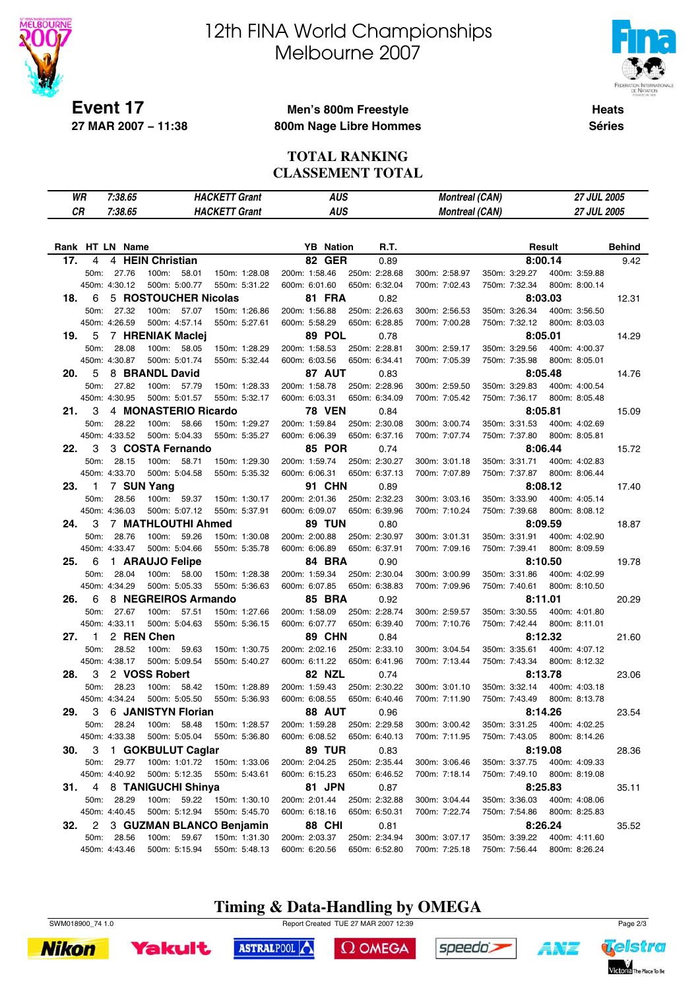

# 12th FINA World Championships Melbourne 2007



**Heats Séries**

#### **Men's 800m Freestyle 800m Nage Libre Hommes**

#### **TOTAL RANKING CLASSEMENT TOTAL**

| CR<br>7:38.65<br><b>HACKETT Grant</b><br><b>AUS</b><br><b>Montreal (CAN)</b><br>27 JUL 2005<br>Rank HT LN Name<br><b>YB</b> Nation<br>R.T.<br>Result<br>4 HEIN Christian<br><b>82 GER</b><br>17.<br>4<br>8:00.14<br>0.89<br>100m:<br>200m: 1:58.46<br>350m: 3:29.27<br>400m: 3:59.88<br>50m:<br>27.76<br>58.01<br>150m: 1:28.08<br>250m: 2:28.68<br>300m: 2:58.97<br>500m: 5:00.77<br>450m: 4:30.12<br>550m: 5:31.22<br>600m: 6:01.60<br>650m: 6:32.04<br>700m: 7:02.43<br>750m: 7:32.34<br>800m: 8:00.14<br>5 ROSTOUCHER Nicolas<br><b>81 FRA</b><br>18.<br>6<br>8:03.03<br>0.82<br>50m:<br>27.32<br>100m: 57.07<br>200m: 1:56.88<br>250m: 2:26.63<br>350m: 3:26.34<br>400m: 3:56.50<br>150m: 1:26.86<br>300m: 2:56.53<br>450m: 4:26.59<br>500m: 4:57.14<br>600m: 5:58.29<br>650m: 6:28.85<br>750m: 7:32.12<br>800m: 8:03.03<br>550m: 5:27.61<br>700m: 7:00.28<br>89 POL<br>8:05.01<br>5<br>7 HRENIAK Maclej<br>19.<br>0.78<br>28.08<br>58.05<br>200m: 1:58.53<br>400m: 4:00.37<br>50m:<br>100m:<br>150m: 1:28.29<br>250m: 2:28.81<br>300m: 2:59.17<br>350m: 3:29.56<br>450m: 4:30.87<br>800m: 8:05.01<br>500m: 5:01.74<br>550m: 5:32.44<br>600m: 6:03.56<br>650m: 6:34.41<br>700m: 7:05.39<br>750m: 7:35.98<br>8 BRANDL David<br>8:05.48<br>5<br>87 AUT<br>20.<br>0.83<br>50m:<br>27.82<br>100m:<br>200m: 1:58.78<br>350m: 3:29.83<br>400m: 4:00.54<br>57.79<br>150m: 1:28.33<br>250m: 2:28.96<br>300m: 2:59.50<br>500m: 5:01.57<br>450m: 4:30.95<br>550m: 5:32.17<br>600m: 6:03.31<br>650m: 6:34.09<br>700m: 7:05.42<br>750m: 7:36.17<br>800m: 8:05.48<br>4 MONASTERIO Ricardo<br><b>78 VEN</b><br>8:05.81<br>21.<br>3<br>0.84<br>50m:<br>28.22<br>100m:<br>58.66<br>150m: 1:29.27<br>200m: 1:59.84<br>250m: 2:30.08<br>300m: 3:00.74<br>350m: 3:31.53<br>400m: 4:02.69<br>450m: 4:33.52<br>500m: 5:04.33<br>550m: 5:35.27<br>600m: 6:06.39<br>650m: 6:37.16<br>750m: 7:37.80<br>800m: 8:05.81<br>700m: 7:07.74<br>3<br>3 COSTA Fernando<br><b>85 POR</b><br>8:06.44<br>22.<br>0.74<br>28.15<br>100m:<br>58.71<br>200m: 1:59.74<br>250m: 2:30.27<br>50m:<br>150m: 1:29.30<br>300m: 3:01.18<br>350m: 3:31.71<br>400m: 4:02.83<br>450m: 4:33.70<br>500m: 5:04.58<br>800m: 8:06.44<br>550m: 5:35.32<br>600m: 6:06.31<br>650m: 6:37.13<br>700m: 7:07.89<br>750m: 7:37.87<br>7 SUN Yang<br><b>91 CHN</b><br>8:08.12<br>23.<br>1<br>0.89<br>50m:<br>200m: 2:01.36<br>350m: 3:33.90<br>400m: 4:05.14<br>28.56<br>100m:<br>59.37<br>150m: 1:30.17<br>250m: 2:32.23<br>300m: 3:03.16<br>500m: 5:07.12<br>450m: 4:36.03<br>550m: 5:37.91<br>600m: 6:09.07<br>650m: 6:39.96<br>700m: 7:10.24<br>750m: 7:39.68<br>800m: 8:08.12<br>7 MATHLOUTHI Ahmed<br><b>89 TUN</b><br>8:09.59<br>24.<br>3<br>0.80<br>50m:<br>28.76<br>100m:<br>59.26<br>150m: 1:30.08<br>200m: 2:00.88<br>250m: 2:30.97<br>300m: 3:01.31<br>350m: 3:31.91<br>400m: 4:02.90<br>450m: 4:33.47<br>500m: 5:04.66<br>600m: 6:06.89<br>750m: 7:39.41<br>800m: 8:09.59<br>550m: 5:35.78<br>650m: 6:37.91<br>700m: 7:09.16<br>84 BRA<br>8:10.50<br>6<br>1 ARAUJO Felipe<br>25.<br>0.90<br>28.04<br>50m:<br>100m:<br>58.00<br>150m: 1:28.38<br>200m: 1:59.34<br>250m: 2:30.04<br>300m: 3:00.99<br>350m: 3:31.86<br>400m: 4:02.99<br>450m: 4:34.29<br>650m: 6:38.83<br>500m: 5:05.33<br>550m: 5:36.63<br>600m: 6:07.85<br>700m: 7:09.96<br>750m: 7:40.61<br>800m: 8:10.50<br>8 NEGREIROS Armando<br>6<br><b>85 BRA</b><br>8:11.01<br>26.<br>0.92<br>50m:<br>27.67<br>100m:<br>57.51<br>200m: 1:58.09<br>250m: 2:28.74<br>350m: 3:30.55<br>400m: 4:01.80<br>150m: 1:27.66<br>300m: 2:59.57<br>450m: 4:33.11<br>500m: 5:04.63<br>550m: 5:36.15<br>600m: 6:07.77<br>650m: 6:39.40<br>700m: 7:10.76<br>750m: 7:42.44<br>800m: 8:11.01<br>2 REN Chen<br>89 CHN<br>8:12.32<br>27.<br>1<br>0.84<br>28.52<br>100m:<br>200m: 2:02.16<br>250m: 2:33.10<br>350m: 3:35.61<br>400m: 4:07.12<br>50m:<br>59.63<br>150m: 1:30.75<br>300m: 3:04.54<br>450m: 4:38.17<br>500m: 5:09.54<br>600m: 6:11.22<br>550m: 5:40.27<br>650m: 6:41.96<br>700m: 7:13.44<br>750m: 7:43.34<br>800m: 8:12.32<br>3<br>2 VOSS Robert<br><b>82 NZL</b><br>8:13.78<br>28.<br>0.74<br>28.23<br>50m:<br>100m:<br>58.42<br>150m: 1:28.89<br>200m: 1:59.43<br>250m: 2:30.22<br>300m: 3:01.10<br>350m: 3:32.14<br>400m: 4:03.18<br>450m: 4:34.24<br>500m: 5:05.50<br>550m: 5:36.93<br>600m: 6:08.55<br>650m: 6:40.46<br>700m: 7:11.90<br>750m: 7:43.49<br>800m: 8:13.78<br>3 6 JANISTYN Florian<br>29.<br><b>88 AUT</b><br>0.96<br>8:14.26<br>28.24<br>200m: 1:59.28<br>250m: 2:29.58<br>300m: 3:00.42<br>350m: 3:31.25<br>50m:<br>100m: 58.48<br>150m: 1:28.57<br>400m: 4:02.25<br>450m: 4:33.38<br>500m: 5:05.04<br>600m: 6:08.52<br>650m: 6:40.13<br>700m: 7:11.95<br>750m: 7:43.05<br>800m: 8:14.26<br>550m: 5:36.80<br>1 GOKBULUT Caglar<br><b>89 TUR</b><br>8:19.08<br>30.<br>3<br>0.83<br>50m: 29.77<br>100m: 1:01.72<br>200m: 2:04.25<br>250m: 2:35.44<br>350m: 3:37.75<br>400m: 4:09.33<br>150m: 1:33.06<br>300m: 3:06.46<br>450m: 4:40.92<br>500m: 5:12.35<br>550m: 5:43.61<br>600m: 6:15.23<br>650m: 6:46.52<br>700m: 7:18.14<br>800m: 8:19.08<br>750m: 7:49.10<br>4 8 TANIGUCHI Shinya<br>81 JPN<br>8:25.83<br>31.<br>0.87<br>50m:<br>28.29<br>100m: 59.22<br>150m: 1:30.10<br>200m: 2:01.44<br>250m: 2:32.88<br>300m: 3:04.44<br>350m: 3:36.03<br>400m: 4:08.06<br>450m: 4:40.45 | WR | 7:38.65 |               | <b>HACKETT Grant</b> |               | <b>AUS</b>    | <b>Montreal (CAN)</b> |               |               | 27 JUL 2005   |  |
|----------------------------------------------------------------------------------------------------------------------------------------------------------------------------------------------------------------------------------------------------------------------------------------------------------------------------------------------------------------------------------------------------------------------------------------------------------------------------------------------------------------------------------------------------------------------------------------------------------------------------------------------------------------------------------------------------------------------------------------------------------------------------------------------------------------------------------------------------------------------------------------------------------------------------------------------------------------------------------------------------------------------------------------------------------------------------------------------------------------------------------------------------------------------------------------------------------------------------------------------------------------------------------------------------------------------------------------------------------------------------------------------------------------------------------------------------------------------------------------------------------------------------------------------------------------------------------------------------------------------------------------------------------------------------------------------------------------------------------------------------------------------------------------------------------------------------------------------------------------------------------------------------------------------------------------------------------------------------------------------------------------------------------------------------------------------------------------------------------------------------------------------------------------------------------------------------------------------------------------------------------------------------------------------------------------------------------------------------------------------------------------------------------------------------------------------------------------------------------------------------------------------------------------------------------------------------------------------------------------------------------------------------------------------------------------------------------------------------------------------------------------------------------------------------------------------------------------------------------------------------------------------------------------------------------------------------------------------------------------------------------------------------------------------------------------------------------------------------------------------------------------------------------------------------------------------------------------------------------------------------------------------------------------------------------------------------------------------------------------------------------------------------------------------------------------------------------------------------------------------------------------------------------------------------------------------------------------------------------------------------------------------------------------------------------------------------------------------------------------------------------------------------------------------------------------------------------------------------------------------------------------------------------------------------------------------------------------------------------------------------------------------------------------------------------------------------------------------------------------------------------------------------------------------------------------------------------------------------------------------------------------------------------------------------------------------------------------------------------------------------------------------------------------------------------------------------------------------------------------------------------------------------------------------------------------------------------------------------------------------------------------------------------------------------------------------------------------------------------------------------------------------------------------------------------------------------------------------------------------------------------------------------------------------------------------------------------------------------------------------------------------------------------------------------------------------------------------------------------------------------------------------------------------------------------------------------------------------------------------------------------------------------------------------------|----|---------|---------------|----------------------|---------------|---------------|-----------------------|---------------|---------------|---------------|--|
|                                                                                                                                                                                                                                                                                                                                                                                                                                                                                                                                                                                                                                                                                                                                                                                                                                                                                                                                                                                                                                                                                                                                                                                                                                                                                                                                                                                                                                                                                                                                                                                                                                                                                                                                                                                                                                                                                                                                                                                                                                                                                                                                                                                                                                                                                                                                                                                                                                                                                                                                                                                                                                                                                                                                                                                                                                                                                                                                                                                                                                                                                                                                                                                                                                                                                                                                                                                                                                                                                                                                                                                                                                                                                                                                                                                                                                                                                                                                                                                                                                                                                                                                                                                                                                                                                                                                                                                                                                                                                                                                                                                                                                                                                                                                                                                                                                                                                                                                                                                                                                                                                                                                                                                                                                                                                                    |    |         |               |                      |               |               |                       |               |               |               |  |
|                                                                                                                                                                                                                                                                                                                                                                                                                                                                                                                                                                                                                                                                                                                                                                                                                                                                                                                                                                                                                                                                                                                                                                                                                                                                                                                                                                                                                                                                                                                                                                                                                                                                                                                                                                                                                                                                                                                                                                                                                                                                                                                                                                                                                                                                                                                                                                                                                                                                                                                                                                                                                                                                                                                                                                                                                                                                                                                                                                                                                                                                                                                                                                                                                                                                                                                                                                                                                                                                                                                                                                                                                                                                                                                                                                                                                                                                                                                                                                                                                                                                                                                                                                                                                                                                                                                                                                                                                                                                                                                                                                                                                                                                                                                                                                                                                                                                                                                                                                                                                                                                                                                                                                                                                                                                                                    |    |         |               |                      |               |               |                       |               |               |               |  |
|                                                                                                                                                                                                                                                                                                                                                                                                                                                                                                                                                                                                                                                                                                                                                                                                                                                                                                                                                                                                                                                                                                                                                                                                                                                                                                                                                                                                                                                                                                                                                                                                                                                                                                                                                                                                                                                                                                                                                                                                                                                                                                                                                                                                                                                                                                                                                                                                                                                                                                                                                                                                                                                                                                                                                                                                                                                                                                                                                                                                                                                                                                                                                                                                                                                                                                                                                                                                                                                                                                                                                                                                                                                                                                                                                                                                                                                                                                                                                                                                                                                                                                                                                                                                                                                                                                                                                                                                                                                                                                                                                                                                                                                                                                                                                                                                                                                                                                                                                                                                                                                                                                                                                                                                                                                                                                    |    |         |               |                      |               |               |                       |               |               | <b>Behind</b> |  |
|                                                                                                                                                                                                                                                                                                                                                                                                                                                                                                                                                                                                                                                                                                                                                                                                                                                                                                                                                                                                                                                                                                                                                                                                                                                                                                                                                                                                                                                                                                                                                                                                                                                                                                                                                                                                                                                                                                                                                                                                                                                                                                                                                                                                                                                                                                                                                                                                                                                                                                                                                                                                                                                                                                                                                                                                                                                                                                                                                                                                                                                                                                                                                                                                                                                                                                                                                                                                                                                                                                                                                                                                                                                                                                                                                                                                                                                                                                                                                                                                                                                                                                                                                                                                                                                                                                                                                                                                                                                                                                                                                                                                                                                                                                                                                                                                                                                                                                                                                                                                                                                                                                                                                                                                                                                                                                    |    |         |               |                      |               |               |                       |               |               | 9.42          |  |
|                                                                                                                                                                                                                                                                                                                                                                                                                                                                                                                                                                                                                                                                                                                                                                                                                                                                                                                                                                                                                                                                                                                                                                                                                                                                                                                                                                                                                                                                                                                                                                                                                                                                                                                                                                                                                                                                                                                                                                                                                                                                                                                                                                                                                                                                                                                                                                                                                                                                                                                                                                                                                                                                                                                                                                                                                                                                                                                                                                                                                                                                                                                                                                                                                                                                                                                                                                                                                                                                                                                                                                                                                                                                                                                                                                                                                                                                                                                                                                                                                                                                                                                                                                                                                                                                                                                                                                                                                                                                                                                                                                                                                                                                                                                                                                                                                                                                                                                                                                                                                                                                                                                                                                                                                                                                                                    |    |         |               |                      |               |               |                       |               |               |               |  |
|                                                                                                                                                                                                                                                                                                                                                                                                                                                                                                                                                                                                                                                                                                                                                                                                                                                                                                                                                                                                                                                                                                                                                                                                                                                                                                                                                                                                                                                                                                                                                                                                                                                                                                                                                                                                                                                                                                                                                                                                                                                                                                                                                                                                                                                                                                                                                                                                                                                                                                                                                                                                                                                                                                                                                                                                                                                                                                                                                                                                                                                                                                                                                                                                                                                                                                                                                                                                                                                                                                                                                                                                                                                                                                                                                                                                                                                                                                                                                                                                                                                                                                                                                                                                                                                                                                                                                                                                                                                                                                                                                                                                                                                                                                                                                                                                                                                                                                                                                                                                                                                                                                                                                                                                                                                                                                    |    |         |               |                      |               |               |                       |               |               |               |  |
|                                                                                                                                                                                                                                                                                                                                                                                                                                                                                                                                                                                                                                                                                                                                                                                                                                                                                                                                                                                                                                                                                                                                                                                                                                                                                                                                                                                                                                                                                                                                                                                                                                                                                                                                                                                                                                                                                                                                                                                                                                                                                                                                                                                                                                                                                                                                                                                                                                                                                                                                                                                                                                                                                                                                                                                                                                                                                                                                                                                                                                                                                                                                                                                                                                                                                                                                                                                                                                                                                                                                                                                                                                                                                                                                                                                                                                                                                                                                                                                                                                                                                                                                                                                                                                                                                                                                                                                                                                                                                                                                                                                                                                                                                                                                                                                                                                                                                                                                                                                                                                                                                                                                                                                                                                                                                                    |    |         |               |                      |               |               |                       |               |               | 12.31         |  |
|                                                                                                                                                                                                                                                                                                                                                                                                                                                                                                                                                                                                                                                                                                                                                                                                                                                                                                                                                                                                                                                                                                                                                                                                                                                                                                                                                                                                                                                                                                                                                                                                                                                                                                                                                                                                                                                                                                                                                                                                                                                                                                                                                                                                                                                                                                                                                                                                                                                                                                                                                                                                                                                                                                                                                                                                                                                                                                                                                                                                                                                                                                                                                                                                                                                                                                                                                                                                                                                                                                                                                                                                                                                                                                                                                                                                                                                                                                                                                                                                                                                                                                                                                                                                                                                                                                                                                                                                                                                                                                                                                                                                                                                                                                                                                                                                                                                                                                                                                                                                                                                                                                                                                                                                                                                                                                    |    |         |               |                      |               |               |                       |               |               |               |  |
|                                                                                                                                                                                                                                                                                                                                                                                                                                                                                                                                                                                                                                                                                                                                                                                                                                                                                                                                                                                                                                                                                                                                                                                                                                                                                                                                                                                                                                                                                                                                                                                                                                                                                                                                                                                                                                                                                                                                                                                                                                                                                                                                                                                                                                                                                                                                                                                                                                                                                                                                                                                                                                                                                                                                                                                                                                                                                                                                                                                                                                                                                                                                                                                                                                                                                                                                                                                                                                                                                                                                                                                                                                                                                                                                                                                                                                                                                                                                                                                                                                                                                                                                                                                                                                                                                                                                                                                                                                                                                                                                                                                                                                                                                                                                                                                                                                                                                                                                                                                                                                                                                                                                                                                                                                                                                                    |    |         |               |                      |               |               |                       |               |               |               |  |
|                                                                                                                                                                                                                                                                                                                                                                                                                                                                                                                                                                                                                                                                                                                                                                                                                                                                                                                                                                                                                                                                                                                                                                                                                                                                                                                                                                                                                                                                                                                                                                                                                                                                                                                                                                                                                                                                                                                                                                                                                                                                                                                                                                                                                                                                                                                                                                                                                                                                                                                                                                                                                                                                                                                                                                                                                                                                                                                                                                                                                                                                                                                                                                                                                                                                                                                                                                                                                                                                                                                                                                                                                                                                                                                                                                                                                                                                                                                                                                                                                                                                                                                                                                                                                                                                                                                                                                                                                                                                                                                                                                                                                                                                                                                                                                                                                                                                                                                                                                                                                                                                                                                                                                                                                                                                                                    |    |         |               |                      |               |               |                       |               |               | 14.29         |  |
|                                                                                                                                                                                                                                                                                                                                                                                                                                                                                                                                                                                                                                                                                                                                                                                                                                                                                                                                                                                                                                                                                                                                                                                                                                                                                                                                                                                                                                                                                                                                                                                                                                                                                                                                                                                                                                                                                                                                                                                                                                                                                                                                                                                                                                                                                                                                                                                                                                                                                                                                                                                                                                                                                                                                                                                                                                                                                                                                                                                                                                                                                                                                                                                                                                                                                                                                                                                                                                                                                                                                                                                                                                                                                                                                                                                                                                                                                                                                                                                                                                                                                                                                                                                                                                                                                                                                                                                                                                                                                                                                                                                                                                                                                                                                                                                                                                                                                                                                                                                                                                                                                                                                                                                                                                                                                                    |    |         |               |                      |               |               |                       |               |               |               |  |
|                                                                                                                                                                                                                                                                                                                                                                                                                                                                                                                                                                                                                                                                                                                                                                                                                                                                                                                                                                                                                                                                                                                                                                                                                                                                                                                                                                                                                                                                                                                                                                                                                                                                                                                                                                                                                                                                                                                                                                                                                                                                                                                                                                                                                                                                                                                                                                                                                                                                                                                                                                                                                                                                                                                                                                                                                                                                                                                                                                                                                                                                                                                                                                                                                                                                                                                                                                                                                                                                                                                                                                                                                                                                                                                                                                                                                                                                                                                                                                                                                                                                                                                                                                                                                                                                                                                                                                                                                                                                                                                                                                                                                                                                                                                                                                                                                                                                                                                                                                                                                                                                                                                                                                                                                                                                                                    |    |         |               |                      |               |               |                       |               |               |               |  |
|                                                                                                                                                                                                                                                                                                                                                                                                                                                                                                                                                                                                                                                                                                                                                                                                                                                                                                                                                                                                                                                                                                                                                                                                                                                                                                                                                                                                                                                                                                                                                                                                                                                                                                                                                                                                                                                                                                                                                                                                                                                                                                                                                                                                                                                                                                                                                                                                                                                                                                                                                                                                                                                                                                                                                                                                                                                                                                                                                                                                                                                                                                                                                                                                                                                                                                                                                                                                                                                                                                                                                                                                                                                                                                                                                                                                                                                                                                                                                                                                                                                                                                                                                                                                                                                                                                                                                                                                                                                                                                                                                                                                                                                                                                                                                                                                                                                                                                                                                                                                                                                                                                                                                                                                                                                                                                    |    |         |               |                      |               |               |                       |               |               | 14.76         |  |
|                                                                                                                                                                                                                                                                                                                                                                                                                                                                                                                                                                                                                                                                                                                                                                                                                                                                                                                                                                                                                                                                                                                                                                                                                                                                                                                                                                                                                                                                                                                                                                                                                                                                                                                                                                                                                                                                                                                                                                                                                                                                                                                                                                                                                                                                                                                                                                                                                                                                                                                                                                                                                                                                                                                                                                                                                                                                                                                                                                                                                                                                                                                                                                                                                                                                                                                                                                                                                                                                                                                                                                                                                                                                                                                                                                                                                                                                                                                                                                                                                                                                                                                                                                                                                                                                                                                                                                                                                                                                                                                                                                                                                                                                                                                                                                                                                                                                                                                                                                                                                                                                                                                                                                                                                                                                                                    |    |         |               |                      |               |               |                       |               |               |               |  |
|                                                                                                                                                                                                                                                                                                                                                                                                                                                                                                                                                                                                                                                                                                                                                                                                                                                                                                                                                                                                                                                                                                                                                                                                                                                                                                                                                                                                                                                                                                                                                                                                                                                                                                                                                                                                                                                                                                                                                                                                                                                                                                                                                                                                                                                                                                                                                                                                                                                                                                                                                                                                                                                                                                                                                                                                                                                                                                                                                                                                                                                                                                                                                                                                                                                                                                                                                                                                                                                                                                                                                                                                                                                                                                                                                                                                                                                                                                                                                                                                                                                                                                                                                                                                                                                                                                                                                                                                                                                                                                                                                                                                                                                                                                                                                                                                                                                                                                                                                                                                                                                                                                                                                                                                                                                                                                    |    |         |               |                      |               |               |                       |               |               |               |  |
|                                                                                                                                                                                                                                                                                                                                                                                                                                                                                                                                                                                                                                                                                                                                                                                                                                                                                                                                                                                                                                                                                                                                                                                                                                                                                                                                                                                                                                                                                                                                                                                                                                                                                                                                                                                                                                                                                                                                                                                                                                                                                                                                                                                                                                                                                                                                                                                                                                                                                                                                                                                                                                                                                                                                                                                                                                                                                                                                                                                                                                                                                                                                                                                                                                                                                                                                                                                                                                                                                                                                                                                                                                                                                                                                                                                                                                                                                                                                                                                                                                                                                                                                                                                                                                                                                                                                                                                                                                                                                                                                                                                                                                                                                                                                                                                                                                                                                                                                                                                                                                                                                                                                                                                                                                                                                                    |    |         |               |                      |               |               |                       |               |               | 15.09         |  |
|                                                                                                                                                                                                                                                                                                                                                                                                                                                                                                                                                                                                                                                                                                                                                                                                                                                                                                                                                                                                                                                                                                                                                                                                                                                                                                                                                                                                                                                                                                                                                                                                                                                                                                                                                                                                                                                                                                                                                                                                                                                                                                                                                                                                                                                                                                                                                                                                                                                                                                                                                                                                                                                                                                                                                                                                                                                                                                                                                                                                                                                                                                                                                                                                                                                                                                                                                                                                                                                                                                                                                                                                                                                                                                                                                                                                                                                                                                                                                                                                                                                                                                                                                                                                                                                                                                                                                                                                                                                                                                                                                                                                                                                                                                                                                                                                                                                                                                                                                                                                                                                                                                                                                                                                                                                                                                    |    |         |               |                      |               |               |                       |               |               |               |  |
|                                                                                                                                                                                                                                                                                                                                                                                                                                                                                                                                                                                                                                                                                                                                                                                                                                                                                                                                                                                                                                                                                                                                                                                                                                                                                                                                                                                                                                                                                                                                                                                                                                                                                                                                                                                                                                                                                                                                                                                                                                                                                                                                                                                                                                                                                                                                                                                                                                                                                                                                                                                                                                                                                                                                                                                                                                                                                                                                                                                                                                                                                                                                                                                                                                                                                                                                                                                                                                                                                                                                                                                                                                                                                                                                                                                                                                                                                                                                                                                                                                                                                                                                                                                                                                                                                                                                                                                                                                                                                                                                                                                                                                                                                                                                                                                                                                                                                                                                                                                                                                                                                                                                                                                                                                                                                                    |    |         |               |                      |               |               |                       |               |               |               |  |
|                                                                                                                                                                                                                                                                                                                                                                                                                                                                                                                                                                                                                                                                                                                                                                                                                                                                                                                                                                                                                                                                                                                                                                                                                                                                                                                                                                                                                                                                                                                                                                                                                                                                                                                                                                                                                                                                                                                                                                                                                                                                                                                                                                                                                                                                                                                                                                                                                                                                                                                                                                                                                                                                                                                                                                                                                                                                                                                                                                                                                                                                                                                                                                                                                                                                                                                                                                                                                                                                                                                                                                                                                                                                                                                                                                                                                                                                                                                                                                                                                                                                                                                                                                                                                                                                                                                                                                                                                                                                                                                                                                                                                                                                                                                                                                                                                                                                                                                                                                                                                                                                                                                                                                                                                                                                                                    |    |         |               |                      |               |               |                       |               |               | 15.72         |  |
|                                                                                                                                                                                                                                                                                                                                                                                                                                                                                                                                                                                                                                                                                                                                                                                                                                                                                                                                                                                                                                                                                                                                                                                                                                                                                                                                                                                                                                                                                                                                                                                                                                                                                                                                                                                                                                                                                                                                                                                                                                                                                                                                                                                                                                                                                                                                                                                                                                                                                                                                                                                                                                                                                                                                                                                                                                                                                                                                                                                                                                                                                                                                                                                                                                                                                                                                                                                                                                                                                                                                                                                                                                                                                                                                                                                                                                                                                                                                                                                                                                                                                                                                                                                                                                                                                                                                                                                                                                                                                                                                                                                                                                                                                                                                                                                                                                                                                                                                                                                                                                                                                                                                                                                                                                                                                                    |    |         |               |                      |               |               |                       |               |               |               |  |
|                                                                                                                                                                                                                                                                                                                                                                                                                                                                                                                                                                                                                                                                                                                                                                                                                                                                                                                                                                                                                                                                                                                                                                                                                                                                                                                                                                                                                                                                                                                                                                                                                                                                                                                                                                                                                                                                                                                                                                                                                                                                                                                                                                                                                                                                                                                                                                                                                                                                                                                                                                                                                                                                                                                                                                                                                                                                                                                                                                                                                                                                                                                                                                                                                                                                                                                                                                                                                                                                                                                                                                                                                                                                                                                                                                                                                                                                                                                                                                                                                                                                                                                                                                                                                                                                                                                                                                                                                                                                                                                                                                                                                                                                                                                                                                                                                                                                                                                                                                                                                                                                                                                                                                                                                                                                                                    |    |         |               |                      |               |               |                       |               |               |               |  |
|                                                                                                                                                                                                                                                                                                                                                                                                                                                                                                                                                                                                                                                                                                                                                                                                                                                                                                                                                                                                                                                                                                                                                                                                                                                                                                                                                                                                                                                                                                                                                                                                                                                                                                                                                                                                                                                                                                                                                                                                                                                                                                                                                                                                                                                                                                                                                                                                                                                                                                                                                                                                                                                                                                                                                                                                                                                                                                                                                                                                                                                                                                                                                                                                                                                                                                                                                                                                                                                                                                                                                                                                                                                                                                                                                                                                                                                                                                                                                                                                                                                                                                                                                                                                                                                                                                                                                                                                                                                                                                                                                                                                                                                                                                                                                                                                                                                                                                                                                                                                                                                                                                                                                                                                                                                                                                    |    |         |               |                      |               |               |                       |               |               | 17.40         |  |
|                                                                                                                                                                                                                                                                                                                                                                                                                                                                                                                                                                                                                                                                                                                                                                                                                                                                                                                                                                                                                                                                                                                                                                                                                                                                                                                                                                                                                                                                                                                                                                                                                                                                                                                                                                                                                                                                                                                                                                                                                                                                                                                                                                                                                                                                                                                                                                                                                                                                                                                                                                                                                                                                                                                                                                                                                                                                                                                                                                                                                                                                                                                                                                                                                                                                                                                                                                                                                                                                                                                                                                                                                                                                                                                                                                                                                                                                                                                                                                                                                                                                                                                                                                                                                                                                                                                                                                                                                                                                                                                                                                                                                                                                                                                                                                                                                                                                                                                                                                                                                                                                                                                                                                                                                                                                                                    |    |         |               |                      |               |               |                       |               |               |               |  |
|                                                                                                                                                                                                                                                                                                                                                                                                                                                                                                                                                                                                                                                                                                                                                                                                                                                                                                                                                                                                                                                                                                                                                                                                                                                                                                                                                                                                                                                                                                                                                                                                                                                                                                                                                                                                                                                                                                                                                                                                                                                                                                                                                                                                                                                                                                                                                                                                                                                                                                                                                                                                                                                                                                                                                                                                                                                                                                                                                                                                                                                                                                                                                                                                                                                                                                                                                                                                                                                                                                                                                                                                                                                                                                                                                                                                                                                                                                                                                                                                                                                                                                                                                                                                                                                                                                                                                                                                                                                                                                                                                                                                                                                                                                                                                                                                                                                                                                                                                                                                                                                                                                                                                                                                                                                                                                    |    |         |               |                      |               |               |                       |               |               |               |  |
|                                                                                                                                                                                                                                                                                                                                                                                                                                                                                                                                                                                                                                                                                                                                                                                                                                                                                                                                                                                                                                                                                                                                                                                                                                                                                                                                                                                                                                                                                                                                                                                                                                                                                                                                                                                                                                                                                                                                                                                                                                                                                                                                                                                                                                                                                                                                                                                                                                                                                                                                                                                                                                                                                                                                                                                                                                                                                                                                                                                                                                                                                                                                                                                                                                                                                                                                                                                                                                                                                                                                                                                                                                                                                                                                                                                                                                                                                                                                                                                                                                                                                                                                                                                                                                                                                                                                                                                                                                                                                                                                                                                                                                                                                                                                                                                                                                                                                                                                                                                                                                                                                                                                                                                                                                                                                                    |    |         |               |                      |               |               |                       |               |               |               |  |
|                                                                                                                                                                                                                                                                                                                                                                                                                                                                                                                                                                                                                                                                                                                                                                                                                                                                                                                                                                                                                                                                                                                                                                                                                                                                                                                                                                                                                                                                                                                                                                                                                                                                                                                                                                                                                                                                                                                                                                                                                                                                                                                                                                                                                                                                                                                                                                                                                                                                                                                                                                                                                                                                                                                                                                                                                                                                                                                                                                                                                                                                                                                                                                                                                                                                                                                                                                                                                                                                                                                                                                                                                                                                                                                                                                                                                                                                                                                                                                                                                                                                                                                                                                                                                                                                                                                                                                                                                                                                                                                                                                                                                                                                                                                                                                                                                                                                                                                                                                                                                                                                                                                                                                                                                                                                                                    |    |         |               |                      |               |               |                       |               |               | 18.87         |  |
|                                                                                                                                                                                                                                                                                                                                                                                                                                                                                                                                                                                                                                                                                                                                                                                                                                                                                                                                                                                                                                                                                                                                                                                                                                                                                                                                                                                                                                                                                                                                                                                                                                                                                                                                                                                                                                                                                                                                                                                                                                                                                                                                                                                                                                                                                                                                                                                                                                                                                                                                                                                                                                                                                                                                                                                                                                                                                                                                                                                                                                                                                                                                                                                                                                                                                                                                                                                                                                                                                                                                                                                                                                                                                                                                                                                                                                                                                                                                                                                                                                                                                                                                                                                                                                                                                                                                                                                                                                                                                                                                                                                                                                                                                                                                                                                                                                                                                                                                                                                                                                                                                                                                                                                                                                                                                                    |    |         |               |                      |               |               |                       |               |               |               |  |
|                                                                                                                                                                                                                                                                                                                                                                                                                                                                                                                                                                                                                                                                                                                                                                                                                                                                                                                                                                                                                                                                                                                                                                                                                                                                                                                                                                                                                                                                                                                                                                                                                                                                                                                                                                                                                                                                                                                                                                                                                                                                                                                                                                                                                                                                                                                                                                                                                                                                                                                                                                                                                                                                                                                                                                                                                                                                                                                                                                                                                                                                                                                                                                                                                                                                                                                                                                                                                                                                                                                                                                                                                                                                                                                                                                                                                                                                                                                                                                                                                                                                                                                                                                                                                                                                                                                                                                                                                                                                                                                                                                                                                                                                                                                                                                                                                                                                                                                                                                                                                                                                                                                                                                                                                                                                                                    |    |         |               |                      |               |               |                       |               |               |               |  |
|                                                                                                                                                                                                                                                                                                                                                                                                                                                                                                                                                                                                                                                                                                                                                                                                                                                                                                                                                                                                                                                                                                                                                                                                                                                                                                                                                                                                                                                                                                                                                                                                                                                                                                                                                                                                                                                                                                                                                                                                                                                                                                                                                                                                                                                                                                                                                                                                                                                                                                                                                                                                                                                                                                                                                                                                                                                                                                                                                                                                                                                                                                                                                                                                                                                                                                                                                                                                                                                                                                                                                                                                                                                                                                                                                                                                                                                                                                                                                                                                                                                                                                                                                                                                                                                                                                                                                                                                                                                                                                                                                                                                                                                                                                                                                                                                                                                                                                                                                                                                                                                                                                                                                                                                                                                                                                    |    |         |               |                      |               |               |                       |               |               | 19.78         |  |
|                                                                                                                                                                                                                                                                                                                                                                                                                                                                                                                                                                                                                                                                                                                                                                                                                                                                                                                                                                                                                                                                                                                                                                                                                                                                                                                                                                                                                                                                                                                                                                                                                                                                                                                                                                                                                                                                                                                                                                                                                                                                                                                                                                                                                                                                                                                                                                                                                                                                                                                                                                                                                                                                                                                                                                                                                                                                                                                                                                                                                                                                                                                                                                                                                                                                                                                                                                                                                                                                                                                                                                                                                                                                                                                                                                                                                                                                                                                                                                                                                                                                                                                                                                                                                                                                                                                                                                                                                                                                                                                                                                                                                                                                                                                                                                                                                                                                                                                                                                                                                                                                                                                                                                                                                                                                                                    |    |         |               |                      |               |               |                       |               |               |               |  |
|                                                                                                                                                                                                                                                                                                                                                                                                                                                                                                                                                                                                                                                                                                                                                                                                                                                                                                                                                                                                                                                                                                                                                                                                                                                                                                                                                                                                                                                                                                                                                                                                                                                                                                                                                                                                                                                                                                                                                                                                                                                                                                                                                                                                                                                                                                                                                                                                                                                                                                                                                                                                                                                                                                                                                                                                                                                                                                                                                                                                                                                                                                                                                                                                                                                                                                                                                                                                                                                                                                                                                                                                                                                                                                                                                                                                                                                                                                                                                                                                                                                                                                                                                                                                                                                                                                                                                                                                                                                                                                                                                                                                                                                                                                                                                                                                                                                                                                                                                                                                                                                                                                                                                                                                                                                                                                    |    |         |               |                      |               |               |                       |               |               |               |  |
|                                                                                                                                                                                                                                                                                                                                                                                                                                                                                                                                                                                                                                                                                                                                                                                                                                                                                                                                                                                                                                                                                                                                                                                                                                                                                                                                                                                                                                                                                                                                                                                                                                                                                                                                                                                                                                                                                                                                                                                                                                                                                                                                                                                                                                                                                                                                                                                                                                                                                                                                                                                                                                                                                                                                                                                                                                                                                                                                                                                                                                                                                                                                                                                                                                                                                                                                                                                                                                                                                                                                                                                                                                                                                                                                                                                                                                                                                                                                                                                                                                                                                                                                                                                                                                                                                                                                                                                                                                                                                                                                                                                                                                                                                                                                                                                                                                                                                                                                                                                                                                                                                                                                                                                                                                                                                                    |    |         |               |                      |               |               |                       |               |               | 20.29         |  |
|                                                                                                                                                                                                                                                                                                                                                                                                                                                                                                                                                                                                                                                                                                                                                                                                                                                                                                                                                                                                                                                                                                                                                                                                                                                                                                                                                                                                                                                                                                                                                                                                                                                                                                                                                                                                                                                                                                                                                                                                                                                                                                                                                                                                                                                                                                                                                                                                                                                                                                                                                                                                                                                                                                                                                                                                                                                                                                                                                                                                                                                                                                                                                                                                                                                                                                                                                                                                                                                                                                                                                                                                                                                                                                                                                                                                                                                                                                                                                                                                                                                                                                                                                                                                                                                                                                                                                                                                                                                                                                                                                                                                                                                                                                                                                                                                                                                                                                                                                                                                                                                                                                                                                                                                                                                                                                    |    |         |               |                      |               |               |                       |               |               |               |  |
|                                                                                                                                                                                                                                                                                                                                                                                                                                                                                                                                                                                                                                                                                                                                                                                                                                                                                                                                                                                                                                                                                                                                                                                                                                                                                                                                                                                                                                                                                                                                                                                                                                                                                                                                                                                                                                                                                                                                                                                                                                                                                                                                                                                                                                                                                                                                                                                                                                                                                                                                                                                                                                                                                                                                                                                                                                                                                                                                                                                                                                                                                                                                                                                                                                                                                                                                                                                                                                                                                                                                                                                                                                                                                                                                                                                                                                                                                                                                                                                                                                                                                                                                                                                                                                                                                                                                                                                                                                                                                                                                                                                                                                                                                                                                                                                                                                                                                                                                                                                                                                                                                                                                                                                                                                                                                                    |    |         |               |                      |               |               |                       |               |               |               |  |
|                                                                                                                                                                                                                                                                                                                                                                                                                                                                                                                                                                                                                                                                                                                                                                                                                                                                                                                                                                                                                                                                                                                                                                                                                                                                                                                                                                                                                                                                                                                                                                                                                                                                                                                                                                                                                                                                                                                                                                                                                                                                                                                                                                                                                                                                                                                                                                                                                                                                                                                                                                                                                                                                                                                                                                                                                                                                                                                                                                                                                                                                                                                                                                                                                                                                                                                                                                                                                                                                                                                                                                                                                                                                                                                                                                                                                                                                                                                                                                                                                                                                                                                                                                                                                                                                                                                                                                                                                                                                                                                                                                                                                                                                                                                                                                                                                                                                                                                                                                                                                                                                                                                                                                                                                                                                                                    |    |         |               |                      |               |               |                       |               |               | 21.60         |  |
|                                                                                                                                                                                                                                                                                                                                                                                                                                                                                                                                                                                                                                                                                                                                                                                                                                                                                                                                                                                                                                                                                                                                                                                                                                                                                                                                                                                                                                                                                                                                                                                                                                                                                                                                                                                                                                                                                                                                                                                                                                                                                                                                                                                                                                                                                                                                                                                                                                                                                                                                                                                                                                                                                                                                                                                                                                                                                                                                                                                                                                                                                                                                                                                                                                                                                                                                                                                                                                                                                                                                                                                                                                                                                                                                                                                                                                                                                                                                                                                                                                                                                                                                                                                                                                                                                                                                                                                                                                                                                                                                                                                                                                                                                                                                                                                                                                                                                                                                                                                                                                                                                                                                                                                                                                                                                                    |    |         |               |                      |               |               |                       |               |               |               |  |
|                                                                                                                                                                                                                                                                                                                                                                                                                                                                                                                                                                                                                                                                                                                                                                                                                                                                                                                                                                                                                                                                                                                                                                                                                                                                                                                                                                                                                                                                                                                                                                                                                                                                                                                                                                                                                                                                                                                                                                                                                                                                                                                                                                                                                                                                                                                                                                                                                                                                                                                                                                                                                                                                                                                                                                                                                                                                                                                                                                                                                                                                                                                                                                                                                                                                                                                                                                                                                                                                                                                                                                                                                                                                                                                                                                                                                                                                                                                                                                                                                                                                                                                                                                                                                                                                                                                                                                                                                                                                                                                                                                                                                                                                                                                                                                                                                                                                                                                                                                                                                                                                                                                                                                                                                                                                                                    |    |         |               |                      |               |               |                       |               |               |               |  |
|                                                                                                                                                                                                                                                                                                                                                                                                                                                                                                                                                                                                                                                                                                                                                                                                                                                                                                                                                                                                                                                                                                                                                                                                                                                                                                                                                                                                                                                                                                                                                                                                                                                                                                                                                                                                                                                                                                                                                                                                                                                                                                                                                                                                                                                                                                                                                                                                                                                                                                                                                                                                                                                                                                                                                                                                                                                                                                                                                                                                                                                                                                                                                                                                                                                                                                                                                                                                                                                                                                                                                                                                                                                                                                                                                                                                                                                                                                                                                                                                                                                                                                                                                                                                                                                                                                                                                                                                                                                                                                                                                                                                                                                                                                                                                                                                                                                                                                                                                                                                                                                                                                                                                                                                                                                                                                    |    |         |               |                      |               |               |                       |               |               | 23.06         |  |
|                                                                                                                                                                                                                                                                                                                                                                                                                                                                                                                                                                                                                                                                                                                                                                                                                                                                                                                                                                                                                                                                                                                                                                                                                                                                                                                                                                                                                                                                                                                                                                                                                                                                                                                                                                                                                                                                                                                                                                                                                                                                                                                                                                                                                                                                                                                                                                                                                                                                                                                                                                                                                                                                                                                                                                                                                                                                                                                                                                                                                                                                                                                                                                                                                                                                                                                                                                                                                                                                                                                                                                                                                                                                                                                                                                                                                                                                                                                                                                                                                                                                                                                                                                                                                                                                                                                                                                                                                                                                                                                                                                                                                                                                                                                                                                                                                                                                                                                                                                                                                                                                                                                                                                                                                                                                                                    |    |         |               |                      |               |               |                       |               |               |               |  |
|                                                                                                                                                                                                                                                                                                                                                                                                                                                                                                                                                                                                                                                                                                                                                                                                                                                                                                                                                                                                                                                                                                                                                                                                                                                                                                                                                                                                                                                                                                                                                                                                                                                                                                                                                                                                                                                                                                                                                                                                                                                                                                                                                                                                                                                                                                                                                                                                                                                                                                                                                                                                                                                                                                                                                                                                                                                                                                                                                                                                                                                                                                                                                                                                                                                                                                                                                                                                                                                                                                                                                                                                                                                                                                                                                                                                                                                                                                                                                                                                                                                                                                                                                                                                                                                                                                                                                                                                                                                                                                                                                                                                                                                                                                                                                                                                                                                                                                                                                                                                                                                                                                                                                                                                                                                                                                    |    |         |               |                      |               |               |                       |               |               |               |  |
|                                                                                                                                                                                                                                                                                                                                                                                                                                                                                                                                                                                                                                                                                                                                                                                                                                                                                                                                                                                                                                                                                                                                                                                                                                                                                                                                                                                                                                                                                                                                                                                                                                                                                                                                                                                                                                                                                                                                                                                                                                                                                                                                                                                                                                                                                                                                                                                                                                                                                                                                                                                                                                                                                                                                                                                                                                                                                                                                                                                                                                                                                                                                                                                                                                                                                                                                                                                                                                                                                                                                                                                                                                                                                                                                                                                                                                                                                                                                                                                                                                                                                                                                                                                                                                                                                                                                                                                                                                                                                                                                                                                                                                                                                                                                                                                                                                                                                                                                                                                                                                                                                                                                                                                                                                                                                                    |    |         |               |                      |               |               |                       |               |               | 23.54         |  |
|                                                                                                                                                                                                                                                                                                                                                                                                                                                                                                                                                                                                                                                                                                                                                                                                                                                                                                                                                                                                                                                                                                                                                                                                                                                                                                                                                                                                                                                                                                                                                                                                                                                                                                                                                                                                                                                                                                                                                                                                                                                                                                                                                                                                                                                                                                                                                                                                                                                                                                                                                                                                                                                                                                                                                                                                                                                                                                                                                                                                                                                                                                                                                                                                                                                                                                                                                                                                                                                                                                                                                                                                                                                                                                                                                                                                                                                                                                                                                                                                                                                                                                                                                                                                                                                                                                                                                                                                                                                                                                                                                                                                                                                                                                                                                                                                                                                                                                                                                                                                                                                                                                                                                                                                                                                                                                    |    |         |               |                      |               |               |                       |               |               |               |  |
|                                                                                                                                                                                                                                                                                                                                                                                                                                                                                                                                                                                                                                                                                                                                                                                                                                                                                                                                                                                                                                                                                                                                                                                                                                                                                                                                                                                                                                                                                                                                                                                                                                                                                                                                                                                                                                                                                                                                                                                                                                                                                                                                                                                                                                                                                                                                                                                                                                                                                                                                                                                                                                                                                                                                                                                                                                                                                                                                                                                                                                                                                                                                                                                                                                                                                                                                                                                                                                                                                                                                                                                                                                                                                                                                                                                                                                                                                                                                                                                                                                                                                                                                                                                                                                                                                                                                                                                                                                                                                                                                                                                                                                                                                                                                                                                                                                                                                                                                                                                                                                                                                                                                                                                                                                                                                                    |    |         |               |                      |               |               |                       |               |               |               |  |
|                                                                                                                                                                                                                                                                                                                                                                                                                                                                                                                                                                                                                                                                                                                                                                                                                                                                                                                                                                                                                                                                                                                                                                                                                                                                                                                                                                                                                                                                                                                                                                                                                                                                                                                                                                                                                                                                                                                                                                                                                                                                                                                                                                                                                                                                                                                                                                                                                                                                                                                                                                                                                                                                                                                                                                                                                                                                                                                                                                                                                                                                                                                                                                                                                                                                                                                                                                                                                                                                                                                                                                                                                                                                                                                                                                                                                                                                                                                                                                                                                                                                                                                                                                                                                                                                                                                                                                                                                                                                                                                                                                                                                                                                                                                                                                                                                                                                                                                                                                                                                                                                                                                                                                                                                                                                                                    |    |         |               |                      |               |               |                       |               |               | 28.36         |  |
|                                                                                                                                                                                                                                                                                                                                                                                                                                                                                                                                                                                                                                                                                                                                                                                                                                                                                                                                                                                                                                                                                                                                                                                                                                                                                                                                                                                                                                                                                                                                                                                                                                                                                                                                                                                                                                                                                                                                                                                                                                                                                                                                                                                                                                                                                                                                                                                                                                                                                                                                                                                                                                                                                                                                                                                                                                                                                                                                                                                                                                                                                                                                                                                                                                                                                                                                                                                                                                                                                                                                                                                                                                                                                                                                                                                                                                                                                                                                                                                                                                                                                                                                                                                                                                                                                                                                                                                                                                                                                                                                                                                                                                                                                                                                                                                                                                                                                                                                                                                                                                                                                                                                                                                                                                                                                                    |    |         |               |                      |               |               |                       |               |               |               |  |
|                                                                                                                                                                                                                                                                                                                                                                                                                                                                                                                                                                                                                                                                                                                                                                                                                                                                                                                                                                                                                                                                                                                                                                                                                                                                                                                                                                                                                                                                                                                                                                                                                                                                                                                                                                                                                                                                                                                                                                                                                                                                                                                                                                                                                                                                                                                                                                                                                                                                                                                                                                                                                                                                                                                                                                                                                                                                                                                                                                                                                                                                                                                                                                                                                                                                                                                                                                                                                                                                                                                                                                                                                                                                                                                                                                                                                                                                                                                                                                                                                                                                                                                                                                                                                                                                                                                                                                                                                                                                                                                                                                                                                                                                                                                                                                                                                                                                                                                                                                                                                                                                                                                                                                                                                                                                                                    |    |         |               |                      |               |               |                       |               |               |               |  |
|                                                                                                                                                                                                                                                                                                                                                                                                                                                                                                                                                                                                                                                                                                                                                                                                                                                                                                                                                                                                                                                                                                                                                                                                                                                                                                                                                                                                                                                                                                                                                                                                                                                                                                                                                                                                                                                                                                                                                                                                                                                                                                                                                                                                                                                                                                                                                                                                                                                                                                                                                                                                                                                                                                                                                                                                                                                                                                                                                                                                                                                                                                                                                                                                                                                                                                                                                                                                                                                                                                                                                                                                                                                                                                                                                                                                                                                                                                                                                                                                                                                                                                                                                                                                                                                                                                                                                                                                                                                                                                                                                                                                                                                                                                                                                                                                                                                                                                                                                                                                                                                                                                                                                                                                                                                                                                    |    |         |               |                      |               |               |                       |               |               | 35.11         |  |
|                                                                                                                                                                                                                                                                                                                                                                                                                                                                                                                                                                                                                                                                                                                                                                                                                                                                                                                                                                                                                                                                                                                                                                                                                                                                                                                                                                                                                                                                                                                                                                                                                                                                                                                                                                                                                                                                                                                                                                                                                                                                                                                                                                                                                                                                                                                                                                                                                                                                                                                                                                                                                                                                                                                                                                                                                                                                                                                                                                                                                                                                                                                                                                                                                                                                                                                                                                                                                                                                                                                                                                                                                                                                                                                                                                                                                                                                                                                                                                                                                                                                                                                                                                                                                                                                                                                                                                                                                                                                                                                                                                                                                                                                                                                                                                                                                                                                                                                                                                                                                                                                                                                                                                                                                                                                                                    |    |         |               |                      |               |               |                       |               |               |               |  |
|                                                                                                                                                                                                                                                                                                                                                                                                                                                                                                                                                                                                                                                                                                                                                                                                                                                                                                                                                                                                                                                                                                                                                                                                                                                                                                                                                                                                                                                                                                                                                                                                                                                                                                                                                                                                                                                                                                                                                                                                                                                                                                                                                                                                                                                                                                                                                                                                                                                                                                                                                                                                                                                                                                                                                                                                                                                                                                                                                                                                                                                                                                                                                                                                                                                                                                                                                                                                                                                                                                                                                                                                                                                                                                                                                                                                                                                                                                                                                                                                                                                                                                                                                                                                                                                                                                                                                                                                                                                                                                                                                                                                                                                                                                                                                                                                                                                                                                                                                                                                                                                                                                                                                                                                                                                                                                    |    |         | 500m: 5:12.94 | 550m: 5:45.70        | 600m: 6:18.16 | 650m: 6:50.31 | 700m: 7:22.74         | 750m: 7:54.86 | 800m: 8:25.83 |               |  |
| 2<br>3 GUZMAN BLANCO Benjamin<br>88 CHI<br>8:26.24<br>32.<br>0.81                                                                                                                                                                                                                                                                                                                                                                                                                                                                                                                                                                                                                                                                                                                                                                                                                                                                                                                                                                                                                                                                                                                                                                                                                                                                                                                                                                                                                                                                                                                                                                                                                                                                                                                                                                                                                                                                                                                                                                                                                                                                                                                                                                                                                                                                                                                                                                                                                                                                                                                                                                                                                                                                                                                                                                                                                                                                                                                                                                                                                                                                                                                                                                                                                                                                                                                                                                                                                                                                                                                                                                                                                                                                                                                                                                                                                                                                                                                                                                                                                                                                                                                                                                                                                                                                                                                                                                                                                                                                                                                                                                                                                                                                                                                                                                                                                                                                                                                                                                                                                                                                                                                                                                                                                                  |    |         |               |                      |               |               |                       |               |               | 35.52         |  |
| 50m: 28.56<br>100m: 59.67<br>150m: 1:31.30<br>200m: 2:03.37<br>250m: 2:34.94<br>300m: 3:07.17<br>350m: 3:39.22<br>400m: 4:11.60                                                                                                                                                                                                                                                                                                                                                                                                                                                                                                                                                                                                                                                                                                                                                                                                                                                                                                                                                                                                                                                                                                                                                                                                                                                                                                                                                                                                                                                                                                                                                                                                                                                                                                                                                                                                                                                                                                                                                                                                                                                                                                                                                                                                                                                                                                                                                                                                                                                                                                                                                                                                                                                                                                                                                                                                                                                                                                                                                                                                                                                                                                                                                                                                                                                                                                                                                                                                                                                                                                                                                                                                                                                                                                                                                                                                                                                                                                                                                                                                                                                                                                                                                                                                                                                                                                                                                                                                                                                                                                                                                                                                                                                                                                                                                                                                                                                                                                                                                                                                                                                                                                                                                                    |    |         |               |                      |               |               |                       |               |               |               |  |
| 450m: 4:43.46<br>500m: 5:15.94<br>550m: 5:48.13<br>600m: 6:20.56<br>650m: 6:52.80<br>700m: 7:25.18<br>750m: 7:56.44<br>800m: 8:26.24                                                                                                                                                                                                                                                                                                                                                                                                                                                                                                                                                                                                                                                                                                                                                                                                                                                                                                                                                                                                                                                                                                                                                                                                                                                                                                                                                                                                                                                                                                                                                                                                                                                                                                                                                                                                                                                                                                                                                                                                                                                                                                                                                                                                                                                                                                                                                                                                                                                                                                                                                                                                                                                                                                                                                                                                                                                                                                                                                                                                                                                                                                                                                                                                                                                                                                                                                                                                                                                                                                                                                                                                                                                                                                                                                                                                                                                                                                                                                                                                                                                                                                                                                                                                                                                                                                                                                                                                                                                                                                                                                                                                                                                                                                                                                                                                                                                                                                                                                                                                                                                                                                                                                               |    |         |               |                      |               |               |                       |               |               |               |  |

### **Timing & Data-Handling by OMEGA**





 $\Omega$  OMEGA



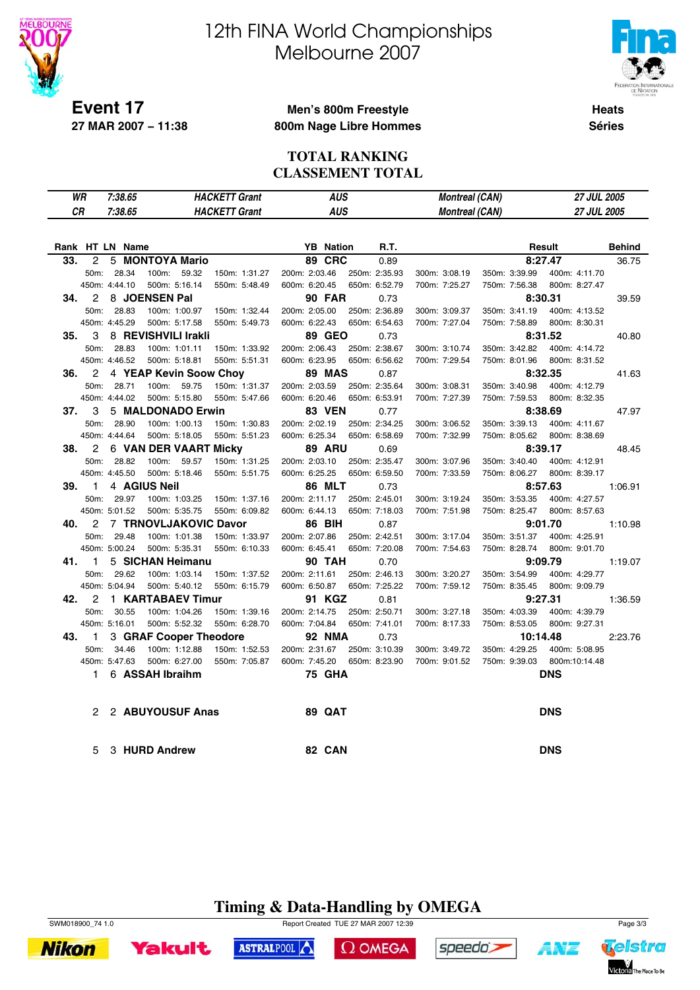

# 12th FINA World Championships Melbourne 2007



**Heats Séries**

#### **Men's 800m Freestyle 800m Nage Libre Hommes**

#### **TOTAL RANKING CLASSEMENT TOTAL**

|     | WR<br>7:38.65<br><b>HACKETT Grant</b> |                 |                        | AUS                  |                  | <b>Montreal (CAN)</b> |                       | <b>27 JUL 2005</b> |                    |               |
|-----|---------------------------------------|-----------------|------------------------|----------------------|------------------|-----------------------|-----------------------|--------------------|--------------------|---------------|
| СR  |                                       | 7:38.65         |                        | <b>HACKETT Grant</b> | AUS              |                       | <b>Montreal (CAN)</b> |                    | <b>27 JUL 2005</b> |               |
|     |                                       |                 |                        |                      |                  |                       |                       |                    |                    |               |
|     |                                       | Rank HT LN Name |                        |                      | <b>YB</b> Nation | R.T.                  |                       |                    | Result             | <b>Behind</b> |
| 33. | 2                                     | 5               | <b>MONTOYA Mario</b>   |                      | <b>89 CRC</b>    | 0.89                  |                       |                    | 8:27.47            | 36.75         |
|     | 50m:                                  | 28.34           | 100m:<br>59.32         | 150m: 1:31.27        | 200m: 2:03.46    | 250m: 2:35.93         | 300m: 3:08.19         | 350m: 3:39.99      | 400m: 4:11.70      |               |
|     |                                       | 450m: 4:44.10   | 500m: 5:16.14          | 550m: 5:48.49        | 600m: 6:20.45    | 650m: 6:52.79         | 700m: 7:25.27         | 750m: 7:56.38      | 800m: 8:27.47      |               |
| 34. | 2                                     |                 | 8 JOENSEN Pal          |                      | <b>90 FAR</b>    | 0.73                  |                       |                    | 8:30.31            | 39.59         |
|     | 50m:                                  | 28.83           | 100m: 1:00.97          | 150m: 1:32.44        | 200m: 2:05.00    | 250m: 2:36.89         | 300m: 3:09.37         | 350m: 3:41.19      | 400m: 4:13.52      |               |
|     |                                       | 450m: 4:45.29   | 500m: 5:17.58          | 550m: 5:49.73        | 600m: 6:22.43    | 650m: 6:54.63         | 700m: 7:27.04         | 750m: 7:58.89      | 800m: 8:30.31      |               |
| 35. | 3                                     |                 | 8 REVISHVILI Irakli    |                      | 89 GEO           | 0.73                  |                       |                    | 8:31.52            | 40.80         |
|     | 50m:                                  | 28.83           | 100m: 1:01.11          | 150m: 1:33.92        | 200m: 2:06.43    | 250m: 2:38.67         | 300m: 3:10.74         | 350m: 3:42.82      | 400m: 4:14.72      |               |
|     |                                       | 450m: 4:46.52   | 500m: 5:18.81          | 550m: 5:51.31        | 600m: 6:23.95    | 650m: 6:56.62         | 700m: 7:29.54         | 750m: 8:01.96      | 800m: 8:31.52      |               |
| 36. | 2                                     |                 | 4 YEAP Kevin Soow Choy |                      | <b>89 MAS</b>    | 0.87                  |                       |                    | 8:32.35            | 41.63         |
|     | 50m:                                  | 28.71           | 59.75<br>100m:         | 150m: 1:31.37        | 200m: 2:03.59    | 250m: 2:35.64         | 300m: 3:08.31         | 350m: 3:40.98      | 400m: 4:12.79      |               |
|     |                                       | 450m: 4:44.02   | 500m: 5:15.80          | 550m: 5:47.66        | 600m: 6:20.46    | 650m: 6:53.91         | 700m: 7:27.39         | 750m: 7:59.53      | 800m: 8:32.35      |               |
| 37. | 3                                     |                 | 5 MALDONADO Erwin      |                      | <b>83 VEN</b>    | 0.77                  |                       |                    | 8:38.69            | 47.97         |
|     | 50m:                                  | 28.90           | 100m: 1:00.13          | 150m: 1:30.83        | 200m: 2:02.19    | 250m: 2:34.25         | 300m: 3:06.52         | 350m: 3:39.13      | 400m: 4:11.67      |               |
|     |                                       | 450m: 4:44.64   | 500m: 5:18.05          | 550m: 5:51.23        | 600m: 6:25.34    | 650m: 6:58.69         | 700m: 7:32.99         | 750m: 8:05.62      | 800m: 8:38.69      |               |
| 38. | 2                                     |                 | 6 VAN DER VAART Micky  |                      | <b>89 ARU</b>    | 0.69                  |                       |                    | 8:39.17            | 48.45         |
|     | 50m:                                  | 28.82           | 59.57<br>100m:         | 150m: 1:31.25        | 200m: 2:03.10    | 250m: 2:35.47         | 300m: 3:07.96         | 350m: 3:40.40      | 400m: 4:12.91      |               |
|     |                                       | 450m: 4:45.50   | 500m: 5:18.46          | 550m: 5:51.75        | 600m: 6:25.25    | 650m: 6:59.50         | 700m: 7:33.59         | 750m: 8:06.27      | 800m: 8:39.17      |               |
| 39. | 1                                     |                 | 4 AGIUS Neil           |                      | <b>86 MLT</b>    | 0.73                  |                       |                    | 8:57.63            | 1:06.91       |
|     | 50m:                                  | 29.97           | 100m: 1:03.25          | 150m: 1:37.16        | 200m: 2:11.17    | 250m: 2:45.01         | 300m: 3:19.24         | 350m: 3:53.35      | 400m: 4:27.57      |               |
|     |                                       | 450m: 5:01.52   | 500m: 5:35.75          | 550m: 6:09.82        | 600m: 6:44.13    | 650m: 7:18.03         | 700m: 7:51.98         | 750m: 8:25.47      | 800m: 8:57.63      |               |
| 40. | 2                                     |                 | 7 TRNOVLJAKOVIC Davor  |                      | <b>86 BIH</b>    | 0.87                  |                       |                    | 9:01.70            | 1:10.98       |
|     | 50m:                                  | 29.48           | 100m: 1:01.38          | 150m: 1:33.97        | 200m: 2:07.86    | 250m: 2:42.51         | 300m: 3:17.04         | 350m: 3:51.37      | 400m: 4:25.91      |               |
|     |                                       | 450m: 5:00.24   | 500m: 5:35.31          | 550m: 6:10.33        | 600m: 6:45.41    | 650m: 7:20.08         | 700m: 7:54.63         | 750m: 8:28.74      | 800m: 9:01.70      |               |
| 41. | 1                                     |                 | 5 SICHAN Heimanu       |                      | <b>90 TAH</b>    | 0.70                  |                       |                    | 9:09.79            | 1:19.07       |
|     | 50m:                                  | 29.62           | 100m: 1:03.14          | 150m: 1:37.52        | 200m: 2:11.61    | 250m: 2:46.13         | 300m: 3:20.27         | 350m: 3:54.99      | 400m: 4:29.77      |               |
|     |                                       | 450m: 5:04.94   | 500m: 5:40.12          | 550m: 6:15.79        | 600m: 6:50.87    | 650m: 7:25.22         | 700m: 7:59.12         | 750m: 8:35.45      | 800m: 9:09.79      |               |
| 42. | 2                                     |                 | 1 KARTABAEV Timur      |                      | 91 KGZ           | 0.81                  |                       |                    | 9:27.31            | 1:36.59       |
|     | 50m:                                  | 30.55           | 100m: 1:04.26          | 150m: 1:39.16        | 200m: 2:14.75    | 250m: 2:50.71         | 300m: 3:27.18         | 350m: 4:03.39      | 400m: 4:39.79      |               |
|     |                                       | 450m: 5:16.01   | 500m: 5:52.32          | 550m: 6:28.70        | 600m: 7:04.84    | 650m: 7:41.01         | 700m: 8:17.33         | 750m: 8:53.05      | 800m: 9:27.31      |               |
| 43. | 1                                     |                 | 3 GRAF Cooper Theodore |                      | <b>92 NMA</b>    | 0.73                  |                       |                    | 10:14.48           | 2:23.76       |
|     | 50m:                                  | 34.46           | 100m: 1:12.88          | 150m: 1:52.53        | 200m: 2:31.67    | 250m: 3:10.39         | 300m: 3:49.72         | 350m: 4:29.25      | 400m: 5:08.95      |               |
|     |                                       | 450m: 5:47.63   | 500m: 6:27.00          | 550m: 7:05.87        | 600m: 7:45.20    | 650m: 8:23.90         | 700m: 9:01.52         | 750m: 9:39.03      | 800m:10:14.48      |               |
|     | 1.                                    |                 | 6 ASSAH Ibraihm        |                      | <b>75 GHA</b>    |                       |                       |                    | <b>DNS</b>         |               |
|     | 2                                     |                 | 2 ABUYOUSUF Anas       |                      | <b>89 QAT</b>    |                       |                       |                    | <b>DNS</b>         |               |
|     | 5                                     |                 | 3 HURD Andrew          |                      | 82 CAN           |                       |                       |                    | <b>DNS</b>         |               |

### **Timing & Data-Handling by OMEGA**



**Yakult** 





A¥Z

ASTRALPOOL

 $\Omega$  OMEGA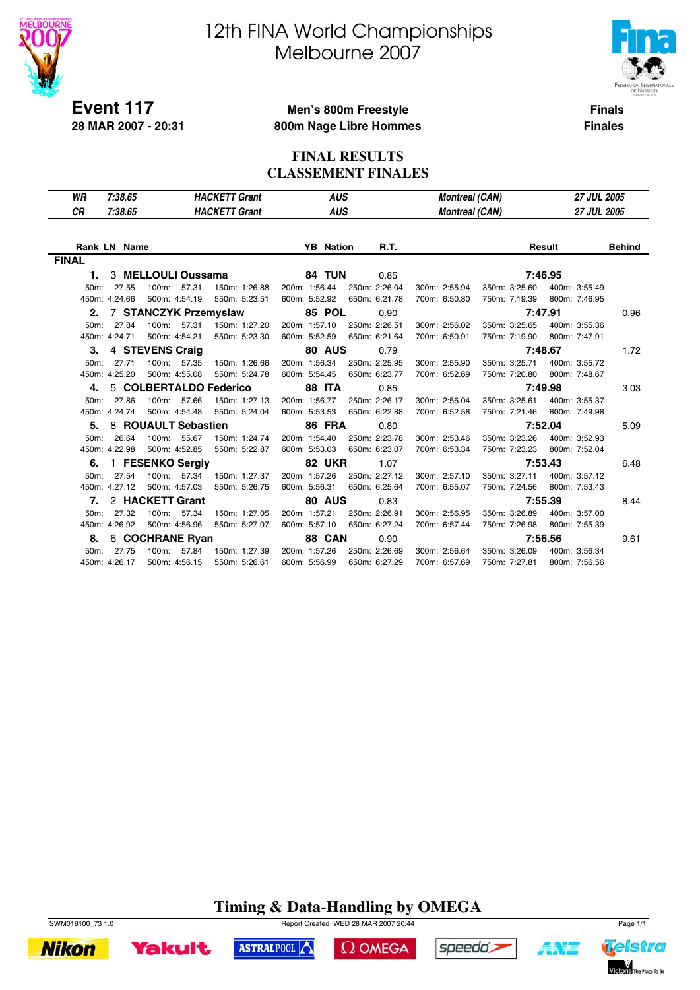

**28 MAR 2007 - 20:31**

# 12th FINA World Championships Melbourne 2007



**Finals**

#### **Men's 800m Freestyle 800m Nage Libre Hommes**

**Finales**

#### **FINAL RESULTS CLASSEMENT FINALES**

| WR                | 7:38.65             |                        | <b>HACKETT Grant</b> | <b>AUS</b>       |               | <b>Montreal (CAN)</b> |               | <b>27 JUL 2005</b> |               |
|-------------------|---------------------|------------------------|----------------------|------------------|---------------|-----------------------|---------------|--------------------|---------------|
| СR                | 7:38.65             |                        | <b>HACKETT Grant</b> | <b>AUS</b>       |               | <b>Montreal (CAN)</b> |               | <b>27 JUL 2005</b> |               |
|                   |                     |                        |                      |                  |               |                       |               |                    |               |
|                   | <b>Rank LN Name</b> |                        |                      | <b>YB</b> Nation | R.T.          |                       |               | Result             | <b>Behind</b> |
| <b>FINAL</b>      |                     |                        |                      |                  |               |                       |               |                    |               |
| 1.                |                     | 3 MELLOULI Oussama     |                      | <b>84 TUN</b>    | 0.85          |                       |               | 7:46.95            |               |
| 50m:              | 27.55               | 57.31<br>100m:         | 150m: 1:26.88        | 200m: 1:56.44    | 250m: 2:26.04 | 300m: 2:55.94         | 350m: 3:25.60 | 400m: 3:55.49      |               |
|                   | 450m: 4:24.66       | 500m: 4:54.19          | 550m: 5:23.51        | 600m: 5:52.92    | 650m: 6:21.78 | 700m: 6:50.80         | 750m: 7:19.39 | 800m: 7:46.95      |               |
| 2.                |                     | 7 STANCZYK Przemyslaw  |                      | <b>85 POL</b>    | 0.90          |                       |               | 7:47.91            | 0.96          |
| 50m:              | 27.84               | 100m:<br>57.31         | 150m: 1:27.20        | 200m: 1:57.10    | 250m: 2:26.51 | 300m: 2:56.02         | 350m: 3:25.65 | 400m: 3:55.36      |               |
|                   | 450m: 4:24.71       | 500m: 4:54.21          | 550m: 5:23.30        | 600m: 5:52.59    | 650m: 6:21.64 | 700m: 6:50.91         | 750m: 7:19.90 | 800m: 7:47.91      |               |
| 3.                |                     | 4 STEVENS Craig        |                      | <b>80 AUS</b>    | 0.79          |                       |               | 7:48.67            | 1.72          |
| $50m$ :           | 27.71               | 100m: 57.35            | 150m: 1:26.66        | 200m: 1:56.34    | 250m: 2:25.95 | 300m: 2:55.90         | 350m: 3:25.71 | 400m: 3:55.72      |               |
|                   | 450m: 4:25.20       | 500m: 4:55.08          | 550m: 5:24.78        | 600m: 5:54.45    | 650m: 6:23.77 | 700m: 6:52.69         | 750m: 7:20.80 | 800m: 7:48.67      |               |
| 4.                |                     | 5 COLBERTALDO Federico |                      | <b>88 ITA</b>    | 0.85          |                       |               | 7:49.98            | 3.03          |
| 50m:              | 27.86               | 57.66<br>100m:         | 150m: 1:27.13        | 200m: 1:56.77    | 250m: 2:26.17 | 300m: 2:56.04         | 350m: 3:25.61 | 400m: 3:55.37      |               |
|                   | 450m: 4:24.74       | 500m: 4:54.48          | 550m: 5:24.04        | 600m: 5:53.53    | 650m: 6:22.88 | 700m: 6:52.58         | 750m: 7:21.46 | 800m: 7:49.98      |               |
| 5.                |                     | 8 ROUAULT Sebastien    |                      | <b>86 FRA</b>    | 0.80          |                       |               | 7:52.04            | 5.09          |
| 50m:              | 26.64               | 100m:<br>55.67         | 150m: 1:24.74        | 200m: 1:54.40    | 250m: 2:23.78 | 300m: 2:53.46         | 350m: 3:23.26 | 400m: 3:52.93      |               |
|                   | 450m: 4:22.98       | 500m: 4:52.85          | 550m: 5:22.87        | 600m: 5:53.03    | 650m: 6:23.07 | 700m: 6:53.34         | 750m: 7:23.23 | 800m: 7:52.04      |               |
| 6.                |                     | 1 FESENKO Sergiv       |                      | <b>82 UKR</b>    | 1.07          |                       |               | 7:53.43            | 6.48          |
| 50 <sub>m</sub> : | 27.54               | 100m: 57.34            | 150m: 1:27.37        | 200m: 1:57.26    | 250m: 2:27.12 | 300m: 2:57.10         | 350m: 3:27.11 | 400m: 3:57.12      |               |
|                   | 450m: 4:27.12       | 500m: 4:57.03          | 550m: 5:26.75        | 600m: 5:56.31    | 650m: 6:25.64 | 700m: 6:55.07         | 750m: 7:24.56 | 800m: 7:53.43      |               |
| 7.                |                     | 2 HACKETT Grant        |                      | <b>80 AUS</b>    | 0.83          |                       |               | 7:55.39            | 8.44          |
| 50m:              | 27.32               | 100m:<br>57.34         | 150m: 1:27.05        | 200m: 1:57.21    | 250m: 2:26.91 | 300m: 2:56.95         | 350m: 3:26.89 | 400m: 3:57.00      |               |
|                   | 450m: 4:26.92       | 500m: 4:56.96          | 550m: 5:27.07        | 600m: 5:57.10    | 650m: 6:27.24 | 700m: 6:57.44         | 750m: 7:26.98 | 800m: 7:55.39      |               |
| 8.                |                     | 6 COCHRANE Ryan        |                      | 88 CAN           | 0.90          |                       |               | 7:56.56            | 9.61          |
| 50m:              | 27.75               | 100m: 57.84            | 150m: 1:27.39        | 200m: 1:57.26    | 250m: 2:26.69 | 300m: 2:56.64         | 350m: 3:26.09 | 400m: 3:56.34      |               |
|                   | 450m: 4:26.17       | 500m: 4:56.15          | 550m: 5:26.61        | 600m: 5:56.99    | 650m: 6:27.29 | 700m: 6:57.69         | 750m: 7:27.81 | 800m: 7:56.56      |               |

### **Timing & Data-Handling by OMEGA**

 $\Omega$  OMEGA

speedo's

ASTRALPOOL



**Yakult** 



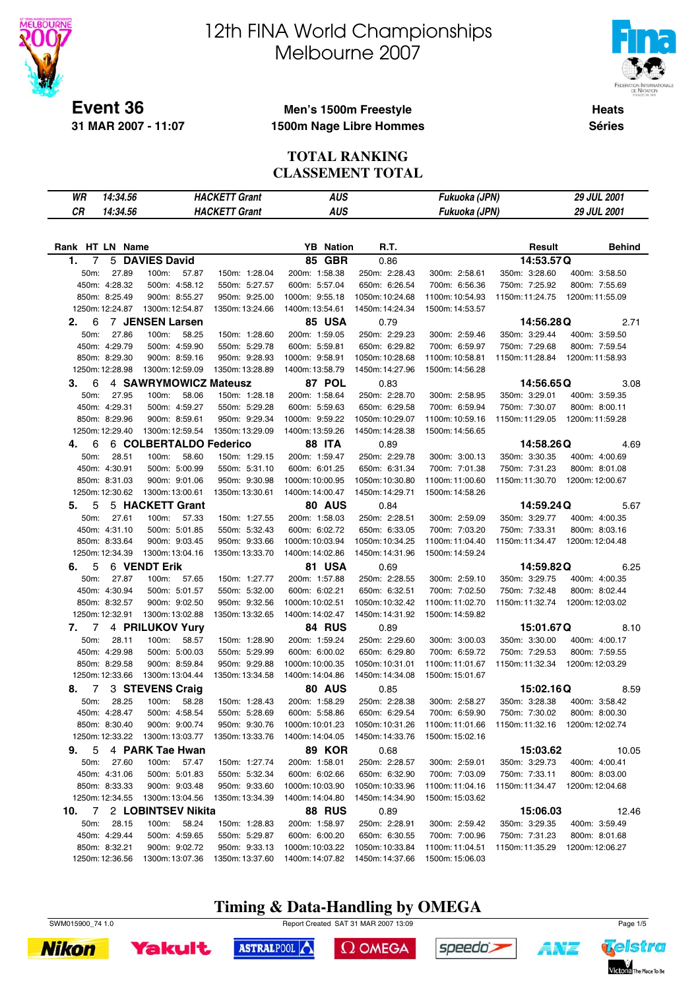

# 12th FINA World Championships Melbourne 2007



Telstra

Victoria The Place To Be

A¥Z

**Heats Séries**

#### **Men's 1500m Freestyle 1500m Nage Libre Hommes**

#### **TOTAL RANKING CLASSEMENT TOTAL**

| 14:34.56<br>WR        |                        | <b>HACKETT Grant</b> | <b>AUS</b>       |                 | Fukuoka (JPN)   |                               | 29 JUL 2001     |
|-----------------------|------------------------|----------------------|------------------|-----------------|-----------------|-------------------------------|-----------------|
| <b>CR</b><br>14:34.56 |                        | <b>HACKETT Grant</b> | <b>AUS</b>       |                 |                 |                               | 29 JUL 2001     |
|                       |                        |                      |                  |                 | Fukuoka (JPN)   |                               |                 |
|                       |                        |                      |                  |                 |                 |                               |                 |
| Rank HT LN Name       |                        |                      | <b>YB</b> Nation | R.T.            |                 | Result                        | <b>Behind</b>   |
| 7<br>1.               | 5 DAVIES David         |                      | 85 GBR           | 0.86            |                 | 14:53.57Q                     |                 |
| 27.89<br>50m:         | 100m:<br>57.87         | 150m: 1:28.04        | 200m: 1:58.38    | 250m: 2:28.43   | 300m: 2:58.61   | 350m: 3:28.60                 | 400m: 3:58.50   |
| 450m: 4:28.32         | 500m: 4:58.12          | 550m: 5:27.57        | 600m: 5:57.04    | 650m: 6:26.54   | 700m: 6:56.36   | 750m: 7:25.92                 | 800m: 7:55.69   |
| 850m: 8:25.49         | 900m: 8:55.27          | 950m: 9:25.00        | 1000m: 9:55.18   | 1050m: 10:24.68 | 1100m: 10:54.93 | 1150m: 11:24.75               | 1200m: 11:55.09 |
| 1250m: 12:24.87       | 1300m: 12:54.87        | 1350m: 13:24.66      | 1400m: 13:54.61  | 1450m: 14:24.34 | 1500m: 14:53.57 |                               |                 |
| 6<br>2.               | 7 JENSEN Larsen        |                      | <b>85 USA</b>    | 0.79            |                 | 14:56.28Q                     | 2.71            |
| 50m:<br>27.86         | 100m:<br>58.25         | 150m: 1:28.60        | 200m: 1:59.05    | 250m: 2:29.23   | 300m: 2:59.46   | 350m: 3:29.44                 | 400m: 3:59.50   |
| 450m: 4:29.79         | 500m: 4:59.90          | 550m: 5:29.78        | 600m: 5:59.81    | 650m: 6:29.82   | 700m: 6:59.97   | 750m: 7:29.68                 | 800m: 7:59.54   |
| 850m: 8:29.30         | 900m: 8:59.16          | 950m: 9:28.93        | 1000m: 9:58.91   | 1050m: 10:28.68 | 1100m: 10:58.81 | 1150m: 11:28.84               | 1200m: 11:58.93 |
| 1250m: 12:28.98       | 1300m: 12:59.09        | 1350m: 13:28.89      | 1400m: 13:58.79  | 1450m: 14:27.96 | 1500m: 14:56.28 |                               |                 |
| 3.<br>6               | 4 SAWRYMOWICZ Mateusz  |                      | 87 POL           | 0.83            |                 | 14:56.65Q                     | 3.08            |
| 50m:<br>27.95         | 100m:<br>58.06         | 150m: 1:28.18        | 200m: 1:58.64    | 250m: 2:28.70   | 300m: 2:58.95   | 350m: 3:29.01                 | 400m: 3:59.35   |
| 450m: 4:29.31         | 500m: 4:59.27          | 550m: 5:29.28        | 600m: 5:59.63    | 650m: 6:29.58   | 700m: 6:59.94   | 750m: 7:30.07                 | 800m: 8:00.11   |
| 850m: 8:29.96         | 900m: 8:59.61          | 950m: 9:29.34        | 1000m: 9:59.22   | 1050m: 10:29.07 | 1100m: 10:59.16 | 1150m: 11:29.05               | 1200m: 11:59.28 |
| 1250m: 12:29.40       | 1300m: 12:59.54        | 1350m: 13:29.09      | 1400m: 13:59.26  | 1450m: 14:28.38 | 1500m: 14:56.65 |                               |                 |
| 6<br>4.               | 6 COLBERTALDO Federico |                      | <b>88 ITA</b>    | 0.89            |                 | 14:58.26Q                     | 4.69            |
| 28.51<br>50m:         | 100m:<br>58.60         | 150m: 1:29.15        | 200m: 1:59.47    | 250m: 2:29.78   | 300m: 3:00.13   | 350m: 3:30.35                 | 400m: 4:00.69   |
| 450m: 4:30.91         | 500m: 5:00.99          | 550m: 5:31.10        | 600m: 6:01.25    | 650m: 6:31.34   | 700m: 7:01.38   | 750m: 7:31.23                 | 800m: 8:01.08   |
| 850m: 8:31.03         | 900m: 9:01.06          | 950m: 9:30.98        | 1000m: 10:00.95  | 1050m: 10:30.80 | 1100m:11:00.60  | 1150m: 11:30.70               | 1200m: 12:00.67 |
| 1250m: 12:30.62       | 1300m: 13:00.61        | 1350m: 13:30.61      | 1400m: 14:00.47  | 1450m: 14:29.71 | 1500m: 14:58.26 |                               |                 |
| 5<br>5.               | 5 HACKETT Grant        |                      | 80 AUS           | 0.84            |                 | 14:59.24Q                     | 5.67            |
| 50m:<br>27.61         | 100m:<br>57.33         | 150m: 1:27.55        | 200m: 1:58.03    | 250m: 2:28.51   | 300m: 2:59.09   | 350m: 3:29.77                 | 400m: 4:00.35   |
| 450m: 4:31.10         | 500m: 5:01.85          | 550m: 5:32.43        | 600m: 6:02.72    | 650m: 6:33.05   | 700m: 7:03.20   | 750m: 7:33.31                 | 800m: 8:03.16   |
| 850m: 8:33.64         | 900m: 9:03.45          | 950m: 9:33.66        | 1000m: 10:03.94  | 1050m: 10:34.25 | 1100m:11:04.40  | 1150m: 11:34.47               | 1200m: 12:04.48 |
| 1250m: 12:34.39       | 1300m: 13:04.16        | 1350m: 13:33.70      | 1400m: 14:02.86  | 1450m: 14:31.96 | 1500m: 14:59.24 |                               |                 |
| 5<br>6.               | 6 VENDT Erik           |                      | 81 USA           | 0.69            |                 | 14:59.82Q                     | 6.25            |
| 50m:<br>27.87         | 100m:<br>57.65         | 150m: 1:27.77        | 200m: 1:57.88    | 250m: 2:28.55   | 300m: 2:59.10   | 350m: 3:29.75                 | 400m: 4:00.35   |
| 450m: 4:30.94         | 500m: 5:01.57          | 550m: 5:32.00        | 600m: 6:02.21    | 650m: 6:32.51   | 700m: 7:02.50   | 750m: 7:32.48                 | 800m: 8:02.44   |
| 850m: 8:32.57         | 900m: 9:02.50          | 950m: 9:32.56        | 1000m: 10:02.51  | 1050m: 10:32.42 | 1100m:11:02.70  | 1150m: 11:32.74               | 1200m: 12:03.02 |
| 1250m: 12:32.91       | 1300m: 13:02.88        | 1350m: 13:32.65      | 1400m: 14:02.47  | 1450m: 14:31.92 | 1500m: 14:59.82 |                               |                 |
| 7<br>7.               | 4 PRILUKOV Yury        |                      | 84 RUS           | 0.89            |                 | 15:01.67Q                     | 8.10            |
| 50m:<br>28.11         | 100m:<br>58.57         | 150m: 1:28.90        | 200m: 1:59.24    | 250m: 2:29.60   | 300m: 3:00.03   | 350m: 3:30.00                 | 400m: 4:00.17   |
| 450m: 4:29.98         | 500m: 5:00.03          | 550m: 5:29.99        | 600m: 6:00.02    | 650m: 6:29.80   | 700m: 6:59.72   | 750m: 7:29.53                 | 800m: 7:59.55   |
| 850m: 8:29.58         | 900m: 8:59.84          | 950m: 9:29.88        | 1000m: 10:00.35  | 1050m: 10:31.01 | 1100m:11:01.67  | 1150m: 11:32.34               | 1200m: 12:03.29 |
| 1250m: 12:33.66       | 1300m: 13:04.44        | 1350m: 13:34.58      | 1400m: 14:04.86  | 1450m: 14:34.08 | 1500m: 15:01.67 |                               |                 |
| 7<br>8.               | 3 STEVENS Craig        |                      | <b>80 AUS</b>    | 0.85            |                 | 15:02.16Q                     | 8.59            |
| 50m:<br>28.25         | 100m:<br>58.28         | 150m: 1:28.43        | 200m: 1:58.29    | 250m: 2:28.38   | 300m: 2:58.27   | 350m: 3:28.38                 | 400m: 3:58.42   |
| 450m: 4:28.47         | 500m: 4:58.54          | 550m: 5:28.69        | 600m: 5:58.86    | 650m: 6:29.54   | 700m: 6:59.90   | 750m: 7:30.02 800m: 8:00.30   |                 |
| 850m: 8:30.40         | 900m: 9:00.74          | 950m: 9:30.76        | 1000m: 10:01.23  | 1050m: 10:31.26 | 1100m:11:01.66  | 1150m:11:32.16 1200m:12:02.74 |                 |
| 1250m: 12:33.22       | 1300m: 13:03.77        | 1350m: 13:33.76      | 1400m: 14:04.05  | 1450m: 14:33.76 | 1500m: 15:02.16 |                               |                 |
| 9.<br>5               | 4 PARK Tae Hwan        |                      | <b>89 KOR</b>    | 0.68            |                 | 15:03.62                      | 10.05           |
| 50m:<br>27.60         | 100m: 57.47            | 150m: 1:27.74        | 200m: 1:58.01    | 250m: 2:28.57   | 300m: 2:59.01   | 350m: 3:29.73                 | 400m: 4:00.41   |
| 450m: 4:31.06         | 500m: 5:01.83          | 550m: 5:32.34        | 600m: 6:02.66    | 650m: 6:32.90   | 700m: 7:03.09   | 750m: 7:33.11                 | 800m: 8:03.00   |
| 850m: 8:33.33         | 900m: 9:03.48          | 950m: 9:33.60        | 1000m: 10:03.90  | 1050m: 10:33.96 | 1100m:11:04.16  | 1150m: 11:34.47               | 1200m: 12:04.68 |
| 1250m: 12:34.55       | 1300m: 13:04.56        | 1350m: 13:34.39      | 1400m: 14:04.80  | 1450m: 14:34.90 | 1500m: 15:03.62 |                               |                 |
| 10.                   | 7 2  LOBINTSEV Nikita  |                      | 88 RUS           | 0.89            |                 | 15:06.03                      | 12.46           |
| 50m: 28.15            | 100m:<br>58.24         | 150m: 1:28.83        | 200m: 1:58.97    | 250m: 2:28.91   | 300m: 2:59.42   | 350m: 3:29.35                 | 400m: 3:59.49   |
| 450m: 4:29.44         | 500m: 4:59.65          | 550m: 5:29.87        | 600m: 6:00.20    | 650m: 6:30.55   | 700m: 7:00.96   | 750m: 7:31.23                 | 800m: 8:01.68   |
| 850m: 8:32.21         | 900m: 9:02.72          | 950m: 9:33.13        | 1000m: 10:03.22  | 1050m: 10:33.84 | 1100m:11:04.51  | 1150m: 11:35.29               | 1200m: 12:06.27 |
| 1250m: 12:36.56       | 1300m: 13:07.36        | 1350m: 13:37.60      | 1400m: 14:07.82  | 1450m: 14:37.66 | 1500m: 15:06.03 |                               |                 |

**Timing & Data-Handling by OMEGA** SWM015900\_74 1.0 Page 1/5

 $\Omega$  OMEGA

speedo's

ASTRALPOOL



**Yakult** 

**Nikon**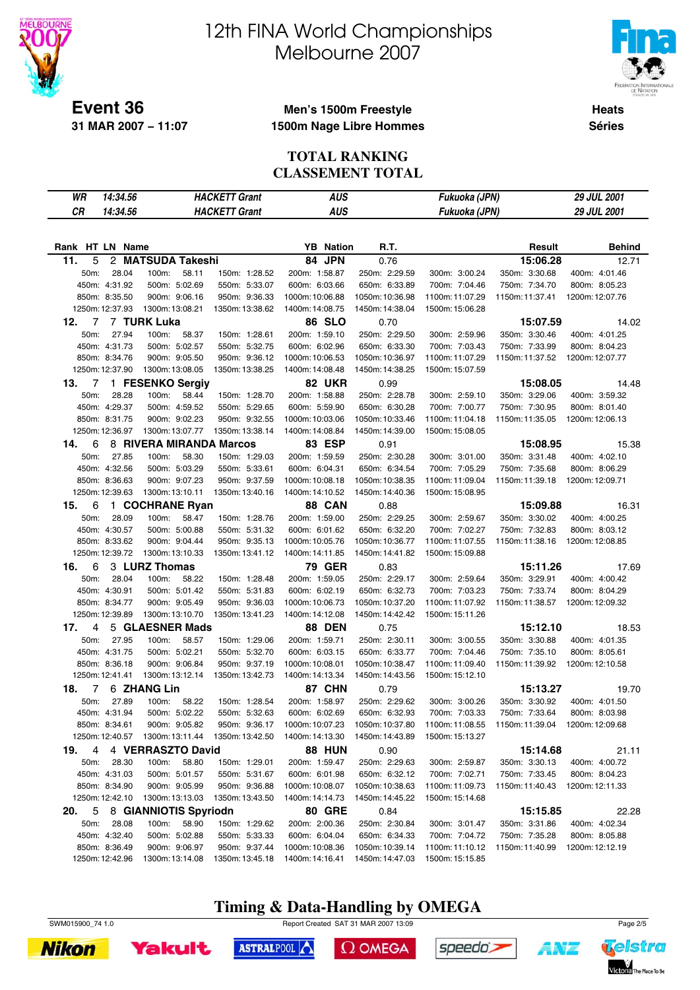

# 12th FINA World Championships Melbourne 2007



**Heats Séries**

#### **Men's 1500m Freestyle 1500m Nage Libre Hommes**

#### **TOTAL RANKING CLASSEMENT TOTAL**

| WR<br>14:34.56        | <b>HACKETT Grant</b>               | <b>AUS</b>       |                 | Fukuoka (JPN)   |                                 | 29 JUL 2001     |
|-----------------------|------------------------------------|------------------|-----------------|-----------------|---------------------------------|-----------------|
| <b>CR</b><br>14:34.56 | <b>HACKETT Grant</b>               | <b>AUS</b>       |                 | Fukuoka (JPN)   |                                 | 29 JUL 2001     |
|                       |                                    |                  |                 |                 |                                 |                 |
|                       |                                    |                  |                 |                 |                                 |                 |
| Rank HT LN Name       |                                    | <b>YB</b> Nation | R.T.            |                 | Result                          | <b>Behind</b>   |
| 11.<br>5              | 2 MATSUDA Takeshi                  | 84 JPN           | 0.76            |                 | 15:06.28                        | 12.71           |
| 28.04<br>50m:         | 100m:<br>58.11<br>150m: 1:28.52    | 200m: 1:58.87    | 250m: 2:29.59   | 300m: 3:00.24   | 350m: 3:30.68                   | 400m: 4:01.46   |
| 450m: 4:31.92         | 500m: 5:02.69<br>550m: 5:33.07     | 600m: 6:03.66    | 650m: 6:33.89   | 700m: 7:04.46   | 750m: 7:34.70                   | 800m: 8:05.23   |
| 850m: 8:35.50         | 900m: 9:06.16<br>950m: 9:36.33     | 1000m: 10:06.88  | 1050m: 10:36.98 | 1100m:11:07.29  | 1150m: 11:37.41                 | 1200m: 12:07.76 |
| 1250m: 12:37.93       | 1300m: 13:08.21<br>1350m: 13:38.62 | 1400m: 14:08.75  | 1450m: 14:38.04 | 1500m: 15:06.28 |                                 |                 |
| $\overline{7}$<br>12. | 7 TURK Luka                        | <b>86 SLO</b>    | 0.70            |                 | 15:07.59                        | 14.02           |
| 50m:<br>27.94         | 100m:<br>58.37<br>150m: 1:28.61    | 200m: 1:59.10    | 250m: 2:29.50   | 300m: 2:59.96   | 350m: 3:30.46                   | 400m: 4:01.25   |
| 450m: 4:31.73         | 500m: 5:02.57<br>550m: 5:32.75     | 600m: 6:02.96    | 650m: 6:33.30   | 700m: 7:03.43   | 750m: 7:33.99                   | 800m: 8:04.23   |
| 850m: 8:34.76         | 900m: 9:05.50<br>950m: 9:36.12     | 1000m: 10:06.53  | 1050m: 10:36.97 | 1100m:11:07.29  | 1150m: 11:37.52                 | 1200m: 12:07.77 |
| 1250m: 12:37.90       | 1300m: 13:08.05<br>1350m: 13:38.25 | 1400m: 14:08.48  | 1450m: 14:38.25 | 1500m: 15:07.59 |                                 |                 |
| 13.<br>$\overline{7}$ | 1 FESENKO Sergiy                   | <b>82 UKR</b>    | 0.99            |                 | 15:08.05                        | 14.48           |
| 28.28<br>50m:         | 58.44<br>150m: 1:28.70<br>100m:    | 200m: 1:58.88    | 250m: 2:28.78   | 300m: 2:59.10   | 350m: 3:29.06                   | 400m: 3:59.32   |
| 450m: 4:29.37         | 500m: 4:59.52<br>550m: 5:29.65     | 600m: 5:59.90    | 650m: 6:30.28   | 700m: 7:00.77   | 750m: 7:30.95                   | 800m: 8:01.40   |
| 850m: 8:31.75         | 900m: 9:02.23<br>950m: 9:32.55     | 1000m: 10:03.06  | 1050m: 10:33.46 | 1100m:11:04.18  | 1150m: 11:35.05                 | 1200m: 12:06.13 |
| 1250m: 12:36.97       | 1300m: 13:07.77<br>1350m: 13:38.14 | 1400m: 14:08.84  | 1450m: 14:39.00 | 1500m: 15:08.05 |                                 |                 |
| 14.<br>6              | 8 RIVERA MIRANDA Marcos            | <b>83 ESP</b>    | 0.91            |                 | 15:08.95                        | 15.38           |
| 50m:<br>27.85         | 100m:<br>58.30<br>150m: 1:29.03    | 200m: 1:59.59    | 250m: 2:30.28   | 300m: 3:01.00   | 350m: 3:31.48                   | 400m: 4:02.10   |
| 450m: 4:32.56         | 500m: 5:03.29<br>550m: 5:33.61     | 600m: 6:04.31    | 650m: 6:34.54   | 700m: 7:05.29   | 750m: 7:35.68                   | 800m: 8:06.29   |
| 850m: 8:36.63         | 900m: 9:07.23<br>950m: 9:37.59     | 1000m: 10:08.18  | 1050m: 10:38.35 | 1100m: 11:09.04 | 1150m: 11:39.18                 | 1200m: 12:09.71 |
| 1250m: 12:39.63       | 1300m: 13:10.11<br>1350m: 13:40.16 | 1400m: 14:10.52  | 1450m: 14:40.36 | 1500m: 15:08.95 |                                 |                 |
| 6<br>15.              | 1 COCHRANE Ryan                    | 88 CAN           | 0.88            |                 | 15:09.88                        | 16.31           |
| 50m:<br>28.09         | 100m:<br>58.47<br>150m: 1:28.76    | 200m: 1:59.00    | 250m: 2:29.25   | 300m: 2:59.67   | 350m: 3:30.02                   | 400m: 4:00.25   |
| 450m: 4:30.57         | 500m: 5:00.88<br>550m: 5:31.32     | 600m: 6:01.62    | 650m: 6:32.20   | 700m: 7:02.27   | 750m: 7:32.83                   | 800m: 8:03.12   |
| 850m: 8:33.62         | 900m: 9:04.44<br>950m: 9:35.13     | 1000m: 10:05.76  | 1050m: 10:36.77 | 1100m:11:07.55  | 1150m:11:38.16                  | 1200m: 12:08.85 |
| 1250m: 12:39.72       | 1300m: 13:10.33<br>1350m: 13:41.12 | 1400m: 14:11.85  | 1450m: 14:41.82 | 1500m: 15:09.88 |                                 |                 |
| 16.<br>6              | 3 LURZ Thomas                      | <b>79 GER</b>    | 0.83            |                 | 15:11.26                        | 17.69           |
| 50m:<br>28.04         | 100m:<br>58.22<br>150m: 1:28.48    | 200m: 1:59.05    | 250m: 2:29.17   | 300m: 2:59.64   | 350m: 3:29.91                   | 400m: 4:00.42   |
| 450m: 4:30.91         | 500m: 5:01.42<br>550m: 5:31.83     | 600m: 6:02.19    | 650m: 6:32.73   | 700m: 7:03.23   | 750m: 7:33.74                   | 800m: 8:04.29   |
| 850m: 8:34.77         | 900m: 9:05.49<br>950m: 9:36.03     | 1000m: 10:06.73  | 1050m: 10:37.20 | 1100m: 11:07.92 | 1150m: 11:38.57                 | 1200m: 12:09.32 |
| 1250m: 12:39.89       | 1300m: 13:10.70<br>1350m: 13:41.23 | 1400m: 14:12.08  | 1450m: 14:42.42 | 1500m: 15:11.26 |                                 |                 |
| 17.<br>4              | 5 GLAESNER Mads                    | <b>88 DEN</b>    | 0.75            |                 | 15:12.10                        | 18.53           |
| 27.95<br>50m:         | 100m:<br>58.57<br>150m: 1:29.06    | 200m: 1:59.71    | 250m: 2:30.11   | 300m: 3:00.55   | 350m: 3:30.88                   | 400m: 4:01.35   |
| 450m: 4:31.75         | 500m: 5:02.21<br>550m: 5:32.70     | 600m: 6:03.15    | 650m: 6:33.77   | 700m: 7:04.46   | 750m: 7:35.10                   | 800m: 8:05.61   |
| 850m: 8:36.18         | 900m: 9:06.84<br>950m: 9:37.19     | 1000m: 10:08.01  | 1050m: 10:38.47 | 1100m:11:09.40  | 1150m:11:39.92                  | 1200m: 12:10.58 |
| 1250m: 12:41.41       | 1300m: 13:12.14<br>1350m: 13:42.73 | 1400m: 14:13.34  | 1450m: 14:43.56 | 1500m: 15:12.10 |                                 |                 |
| 7<br>18.              | 6 ZHANG Lin                        | 87 CHN           | 0.79            |                 | 15:13.27                        | 19.70           |
| 50m:<br>27.89         | 100m:<br>58.22<br>150m: 1:28.54    | 200m: 1:58.97    | 250m: 2:29.62   | 300m: 3:00.26   | 350m: 3:30.92                   | 400m: 4:01.50   |
| 450m: 4:31.94         | 500m: 5:02.22<br>550m: 5:32.63     | 600m: 6:02.69    | 650m: 6:32.93   | 700m: 7:03.33   | 750m: 7:33.64                   | 800m: 8:03.98   |
| 850m: 8:34.61         | 900m: 9:05.82<br>950m: 9:36.17     | 1000m: 10:07.23  | 1050m: 10:37.80 | 1100m: 11:08.55 | 1150m: 11:39.04 1200m: 12:09.68 |                 |
| 1250m: 12:40.57       | 1300m: 13:11.44<br>1350m: 13:42.50 | 1400m: 14:13.30  | 1450m: 14:43.89 | 1500m: 15:13.27 |                                 |                 |
| 19.                   | 4 4 VERRASZTO David                | <b>88 HUN</b>    | 0.90            |                 | 15:14.68                        | 21.11           |
| 50m: 28.30            | 100m:<br>58.80<br>150m: 1:29.01    | 200m: 1:59.47    | 250m: 2:29.63   | 300m: 2:59.87   | 350m: 3:30.13                   | 400m: 4:00.72   |
| 450m: 4:31.03         | 500m: 5:01.57<br>550m: 5:31.67     | 600m: 6:01.98    | 650m: 6:32.12   | 700m: 7:02.71   | 750m: 7:33.45                   | 800m: 8:04.23   |
| 850m: 8:34.90         | 900m: 9:05.99<br>950m: 9:36.88     | 1000m: 10:08.07  | 1050m: 10:38.63 | 1100m:11:09.73  | 1150m: 11:40.43                 | 1200m: 12:11.33 |
| 1250m: 12:42.10       | 1300m: 13:13.03<br>1350m: 13:43.50 | 1400m: 14:14.73  | 1450m: 14:45.22 | 1500m: 15:14.68 |                                 |                 |
| 5<br>20.              | 8 GIANNIOTIS Spyriodn              | <b>80 GRE</b>    | 0.84            |                 | 15:15.85                        | 22.28           |
| 50m:<br>28.08         | 100m: 58.90<br>150m: 1:29.62       | 200m: 2:00.36    | 250m: 2:30.84   | 300m: 3:01.47   | 350m: 3:31.86                   | 400m: 4:02.34   |
| 450m: 4:32.40         | 500m: 5:02.88<br>550m: 5:33.33     | 600m: 6:04.04    | 650m: 6:34.33   | 700m: 7:04.72   | 750m: 7:35.28                   | 800m: 8:05.88   |
| 850m: 8:36.49         | 900m: 9:06.97<br>950m: 9:37.44     | 1000m: 10:08.36  | 1050m: 10:39.14 | 1100m:11:10.12  | 1150m: 11:40.99                 | 1200m: 12:12.19 |
| 1250m: 12:42.96       | 1300m: 13:14.08<br>1350m: 13:45.18 | 1400m: 14:16.41  | 1450m: 14:47.03 | 1500m: 15:15.85 |                                 |                 |

### **Timing & Data-Handling by OMEGA**



SWM015900\_74 1.0 Page 2/5





 $\Omega$  OMEGA





ANZ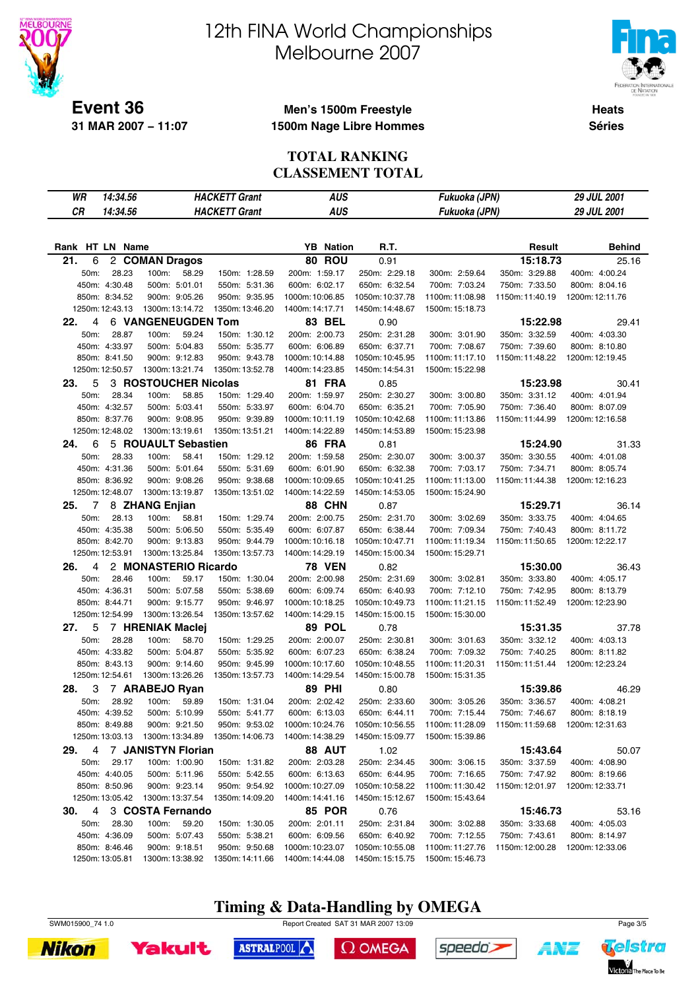

# 12th FINA World Championships Melbourne 2007



**Heats Séries**

#### **Men's 1500m Freestyle 1500m Nage Libre Hommes**

#### **TOTAL RANKING CLASSEMENT TOTAL**

| 14:34.56<br>WR  |                           | <b>HACKETT Grant</b> | <b>AUS</b>       |                 | Fukuoka (JPN)   |                 | 29 JUL 2001     |
|-----------------|---------------------------|----------------------|------------------|-----------------|-----------------|-----------------|-----------------|
| CR<br>14:34.56  |                           | <b>HACKETT Grant</b> | <b>AUS</b>       |                 |                 |                 | 29 JUL 2001     |
|                 |                           |                      |                  |                 | Fukuoka (JPN)   |                 |                 |
|                 |                           |                      |                  |                 |                 |                 |                 |
| Rank HT LN Name |                           |                      | <b>YB</b> Nation | R.T.            |                 | Result          | <b>Behind</b>   |
| 21.<br>6        | 2 COMAN Dragos            |                      | 80 ROU           | 0.91            |                 | 15:18.73        | 25.16           |
| 28.23<br>50m:   | 100m:<br>58.29            | 150m: 1:28.59        | 200m: 1:59.17    | 250m: 2:29.18   | 300m: 2:59.64   | 350m: 3:29.88   | 400m: 4:00.24   |
| 450m: 4:30.48   | 500m: 5:01.01             | 550m: 5:31.36        | 600m: 6:02.17    | 650m: 6:32.54   | 700m: 7:03.24   | 750m: 7:33.50   | 800m: 8:04.16   |
| 850m: 8:34.52   | 900m: 9:05.26             | 950m: 9:35.95        | 1000m: 10:06.85  | 1050m: 10:37.78 | 1100m: 11:08.98 | 1150m:11:40.19  | 1200m: 12:11.76 |
| 1250m: 12:43.13 | 1300m: 13:14.72           | 1350m: 13:46.20      | 1400m: 14:17.71  | 1450m: 14:48.67 | 1500m: 15:18.73 |                 |                 |
| 22.<br>4        | <b>6 VANGENEUGDEN Tom</b> |                      | 83 BEL           | 0.90            |                 | 15:22.98        | 29.41           |
| 50m:<br>28.87   | 59.24<br>100m:            | 150m: 1:30.12        | 200m: 2:00.73    | 250m: 2:31.28   | 300m: 3:01.90   | 350m: 3:32.59   | 400m: 4:03.30   |
| 450m: 4:33.97   | 500m: 5:04.83             | 550m: 5:35.77        | 600m: 6:06.89    | 650m: 6:37.71   | 700m: 7:08.67   | 750m: 7:39.60   | 800m: 8:10.80   |
| 850m: 8:41.50   | 900m: 9:12.83             | 950m: 9:43.78        | 1000m: 10:14.88  | 1050m: 10:45.95 | 1100m:11:17.10  | 1150m: 11:48.22 | 1200m: 12:19.45 |
| 1250m: 12:50.57 | 1300m: 13:21.74           | 1350m: 13:52.78      | 1400m: 14:23.85  | 1450m: 14:54.31 | 1500m: 15:22.98 |                 |                 |
| 5<br>23.        | 3 ROSTOUCHER Nicolas      |                      | <b>81 FRA</b>    | 0.85            |                 | 15:23.98        | 30.41           |
| 50m:<br>28.34   | 100m:<br>58.85            | 150m: 1:29.40        | 200m: 1:59.97    | 250m: 2:30.27   | 300m: 3:00.80   | 350m: 3:31.12   | 400m: 4:01.94   |
| 450m: 4:32.57   | 500m: 5:03.41             | 550m: 5:33.97        | 600m: 6:04.70    | 650m: 6:35.21   | 700m: 7:05.90   | 750m: 7:36.40   | 800m: 8:07.09   |
| 850m: 8:37.76   | 900m: 9:08.95             | 950m: 9:39.89        | 1000m: 10:11.19  | 1050m: 10:42.68 | 1100m:11:13.86  | 1150m: 11:44.99 | 1200m: 12:16.58 |
| 1250m: 12:48.02 | 1300m: 13:19.61           | 1350m: 13:51.21      | 1400m: 14:22.89  | 1450m: 14:53.89 | 1500m: 15:23.98 |                 |                 |
| 24.<br>6        | 5 ROUAULT Sebastien       |                      | 86 FRA           | 0.81            |                 | 15:24.90        | 31.33           |
| 50m:<br>28.33   | 58.41<br>100m:            | 150m: 1:29.12        | 200m: 1:59.58    | 250m: 2:30.07   | 300m: 3:00.37   | 350m: 3:30.55   | 400m: 4:01.08   |
| 450m: 4:31.36   | 500m: 5:01.64             | 550m: 5:31.69        | 600m: 6:01.90    | 650m: 6:32.38   | 700m: 7:03.17   | 750m: 7:34.71   | 800m: 8:05.74   |
| 850m: 8:36.92   | 900m: 9:08.26             | 950m: 9:38.68        | 1000m: 10:09.65  | 1050m: 10:41.25 | 1100m:11:13.00  | 1150m: 11:44.38 | 1200m: 12:16.23 |
| 1250m: 12:48.07 | 1300m: 13:19.87           | 1350m: 13:51.02      | 1400m: 14:22.59  | 1450m: 14:53.05 | 1500m: 15:24.90 |                 |                 |
| 25.<br>7        | 8 ZHANG Enjian            |                      | 88 CHN           | 0.87            |                 | 15:29.71        | 36.14           |
| 50m:<br>28.13   | 100m:<br>58.81            | 150m: 1:29.74        | 200m: 2:00.75    | 250m: 2:31.70   | 300m: 3:02.69   | 350m: 3:33.75   | 400m: 4:04.65   |
| 450m: 4:35.38   | 500m: 5:06.50             | 550m: 5:35.49        | 600m: 6:07.87    | 650m: 6:38.44   | 700m: 7:09.34   | 750m: 7:40.43   | 800m: 8:11.72   |
| 850m: 8:42.70   | 900m: 9:13.83             | 950m: 9:44.79        | 1000m: 10:16.18  | 1050m: 10:47.71 | 1100m:11:19.34  | 1150m: 11:50.65 | 1200m: 12:22.17 |
| 1250m: 12:53.91 | 1300m: 13:25.84           | 1350m: 13:57.73      | 1400m: 14:29.19  | 1450m: 15:00.34 | 1500m: 15:29.71 |                 |                 |
| 4<br>26.        | 2 MONASTERIO Ricardo      |                      | <b>78 VEN</b>    | 0.82            |                 | 15:30.00        | 36.43           |
| 50m:<br>28.46   | 100m:<br>59.17            | 150m: 1:30.04        | 200m: 2:00.98    | 250m: 2:31.69   | 300m: 3:02.81   | 350m: 3:33.80   | 400m: 4:05.17   |
| 450m: 4:36.31   | 500m: 5:07.58             | 550m: 5:38.69        | 600m: 6:09.74    | 650m: 6:40.93   | 700m: 7:12.10   | 750m: 7:42.95   | 800m: 8:13.79   |
| 850m: 8:44.71   | 900m: 9:15.77             | 950m: 9:46.97        | 1000m: 10:18.25  | 1050m: 10:49.73 | 1100m:11:21.15  | 1150m: 11:52.49 | 1200m: 12:23.90 |
| 1250m: 12:54.99 | 1300m: 13:26.54           | 1350m: 13:57.62      | 1400m: 14:29.15  | 1450m: 15:00.15 | 1500m: 15:30.00 |                 |                 |
| 27.<br>5        | 7 HRENIAK Maclej          |                      | 89 POL           | 0.78            |                 | 15:31.35        | 37.78           |
| 50m:<br>28.28   | 100m:<br>58.70            | 150m: 1:29.25        | 200m: 2:00.07    | 250m: 2:30.81   | 300m: 3:01.63   | 350m: 3:32.12   | 400m: 4:03.13   |
| 450m: 4:33.82   | 500m: 5:04.87             | 550m: 5:35.92        | 600m: 6:07.23    | 650m: 6:38.24   | 700m: 7:09.32   | 750m: 7:40.25   | 800m: 8:11.82   |
| 850m: 8:43.13   | 900m: 9:14.60             | 950m: 9:45.99        | 1000m: 10:17.60  | 1050m: 10:48.55 | 1100m:11:20.31  | 1150m: 11:51.44 | 1200m: 12:23.24 |
| 1250m: 12:54.61 | 1300m: 13:26.26           | 1350m: 13:57.73      | 1400m: 14:29.54  | 1450m: 15:00.78 | 1500m: 15:31.35 |                 |                 |
| 28.<br>3        | 7 ARABEJO Ryan            |                      | <b>89 PHI</b>    | 0.80            |                 | 15:39.86        | 46.29           |
| 50m:<br>28.92   | 100m:<br>59.89            | 150m: 1:31.04        | 200m: 2:02.42    | 250m: 2:33.60   | 300m: 3:05.26   | 350m: 3:36.57   | 400m: 4:08.21   |
| 450m: 4:39.52   | 500m: 5:10.99             | 550m: 5:41.77        | 600m: 6:13.03    | 650m: 6:44.11   | 700m: 7:15.44   | 750m: 7:46.67   | 800m: 8:18.19   |
| 850m: 8:49.88   | 900m: 9:21.50             | 950m: 9:53.02        | 1000m: 10:24.76  | 1050m: 10:56.55 | 1100m: 11:28.09 | 1150m: 11:59.68 | 1200m: 12:31.63 |
| 1250m: 13:03.13 | 1300m: 13:34.89           | 1350m: 14:06.73      | 1400m: 14:38.29  | 1450m: 15:09.77 | 1500m: 15:39.86 |                 |                 |
| 4<br>29.        | 7 JANISTYN Florian        |                      | 88 AUT           | 1.02            |                 | 15:43.64        | 50.07           |
| 50m:<br>29.17   | 100m: 1:00.90             | 150m: 1:31.82        | 200m: 2:03.28    | 250m: 2:34.45   | 300m: 3:06.15   | 350m: 3:37.59   | 400m: 4:08.90   |
| 450m: 4:40.05   | 500m: 5:11.96             | 550m: 5:42.55        | 600m: 6:13.63    | 650m: 6:44.95   | 700m: 7:16.65   | 750m: 7:47.92   | 800m: 8:19.66   |
| 850m: 8:50.96   | 900m: 9:23.14             | 950m: 9:54.92        | 1000m: 10:27.09  | 1050m: 10:58.22 | 1100m: 11:30.42 | 1150m: 12:01.97 | 1200m: 12:33.71 |
| 1250m: 13:05.42 | 1300m: 13:37.54           | 1350m: 14:09.20      | 1400m: 14:41.16  | 1450m: 15:12.67 | 1500m: 15:43.64 |                 |                 |
| 4<br>30.        | 3 COSTA Fernando          |                      | <b>85 POR</b>    | 0.76            |                 | 15:46.73        | 53.16           |
| 50m:<br>28.30   | 100m: 59.20               | 150m: 1:30.05        | 200m: 2:01.11    | 250m: 2:31.84   | 300m: 3:02.88   | 350m: 3:33.68   | 400m: 4:05.03   |
| 450m: 4:36.09   | 500m: 5:07.43             | 550m: 5:38.21        | 600m: 6:09.56    | 650m: 6:40.92   | 700m: 7:12.55   | 750m: 7:43.61   | 800m: 8:14.97   |
| 850m: 8:46.46   | 900m: 9:18.51             | 950m: 9:50.68        | 1000m: 10:23.07  | 1050m: 10:55.08 | 1100m: 11:27.76 | 1150m: 12:00.28 | 1200m: 12:33.06 |
| 1250m: 13:05.81 | 1300m: 13:38.92           | 1350m: 14:11.66      | 1400m: 14:44.08  | 1450m: 15:15.75 | 1500m: 15:46.73 |                 |                 |

### **Timing & Data-Handling by OMEGA**







ASTRALPOOL

 $\Omega$  OMEGA





ANZ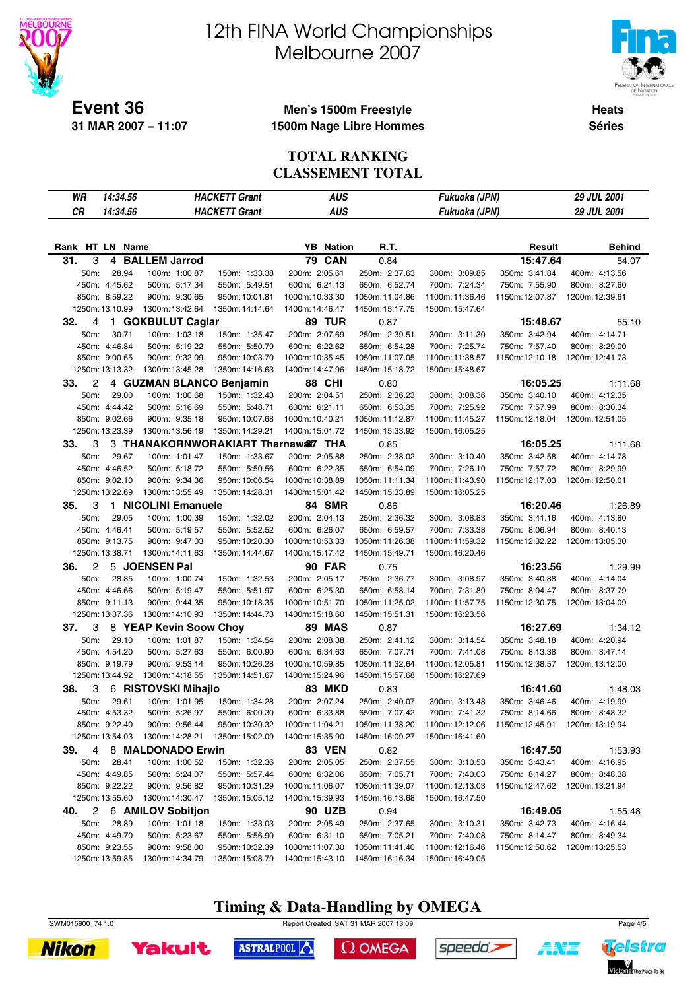

# 12th FINA World Championships Melbourne 2007



**Heats Séries**

#### **Men's 1500m Freestyle 1500m Nage Libre Hommes**

#### **TOTAL RANKING CLASSEMENT TOTAL**

| WR<br>14:34.56  |                                    | <b>HACKETT Grant</b> | <b>AUS</b>       |                 | Fukuoka (JPN)   |                 | 29 JUL 2001     |
|-----------------|------------------------------------|----------------------|------------------|-----------------|-----------------|-----------------|-----------------|
| CR<br>14:34.56  |                                    | <b>HACKETT Grant</b> | <b>AUS</b>       |                 | Fukuoka (JPN)   |                 | 29 JUL 2001     |
|                 |                                    |                      |                  |                 |                 |                 |                 |
|                 |                                    |                      |                  |                 |                 |                 |                 |
| Rank HT LN Name |                                    |                      | <b>YB</b> Nation | R.T.            |                 | Result          | <b>Behind</b>   |
| 31.<br>3        | 4 BALLEM Jarrod                    |                      | <b>79 CAN</b>    | 0.84            |                 | 15:47.64        | 54.07           |
| 28.94<br>50m:   | 100m: 1:00.87                      | 150m: 1:33.38        | 200m: 2:05.61    | 250m: 2:37.63   | 300m: 3:09.85   | 350m: 3:41.84   | 400m: 4:13.56   |
| 450m: 4:45.62   | 500m: 5:17.34                      | 550m: 5:49.51        | 600m: 6:21.13    | 650m: 6:52.74   | 700m: 7:24.34   | 750m: 7:55.90   | 800m: 8:27.60   |
| 850m: 8:59.22   | 900m: 9:30.65                      | 950m: 10:01.81       | 1000m: 10:33.30  | 1050m: 11:04.86 | 1100m: 11:36.46 | 1150m: 12:07.87 | 1200m: 12:39.61 |
| 1250m: 13:10.99 | 1300m: 13:42.64                    | 1350m: 14:14.64      | 1400m: 14:46.47  | 1450m: 15:17.75 | 1500m: 15:47.64 |                 |                 |
| 32.<br>4        | 1 GOKBULUT Caglar                  |                      | <b>89 TUR</b>    | 0.87            |                 | 15:48.67        | 55.10           |
| 50m:<br>30.71   | 100m: 1:03.18                      | 150m: 1:35.47        | 200m: 2:07.69    | 250m: 2:39.51   | 300m: 3:11.30   | 350m: 3:42.94   | 400m: 4:14.71   |
| 450m: 4:46.84   | 500m: 5:19.22                      | 550m: 5:50.79        | 600m: 6:22.62    | 650m: 6:54.28   | 700m: 7:25.74   | 750m: 7:57.40   | 800m: 8:29.00   |
| 850m: 9:00.65   | 900m: 9:32.09                      | 950m: 10:03.70       | 1000m: 10:35.45  | 1050m: 11:07.05 | 1100m: 11:38.57 | 1150m: 12:10.18 | 1200m: 12:41.73 |
| 1250m: 13:13.32 | 1300m: 13:45.28                    | 1350m: 14:16.63      | 1400m: 14:47.96  | 1450m: 15:18.72 | 1500m: 15:48.67 |                 |                 |
| 2<br>33.        | 4 GUZMAN BLANCO Benjamin           |                      | <b>88 CHI</b>    | 0.80            |                 | 16:05.25        | 1:11.68         |
| 29.00<br>50m:   | 100m: 1:00.68                      | 150m: 1:32.43        | 200m: 2:04.51    | 250m: 2:36.23   | 300m: 3:08.36   | 350m: 3:40.10   | 400m: 4:12.35   |
| 450m: 4:44.42   | 500m: 5:16.69                      | 550m: 5:48.71        | 600m: 6:21.11    | 650m: 6:53.35   | 700m: 7:25.92   | 750m: 7:57.99   | 800m: 8:30.34   |
| 850m: 9:02.66   | 900m: 9:35.18                      | 950m: 10:07.68       | 1000m: 10:40.21  | 1050m: 11:12.87 | 1100m: 11:45.27 | 1150m: 12:18.04 | 1200m: 12:51.05 |
| 1250m: 13:23.39 | 1300m: 13:56.19                    | 1350m: 14:29.21      | 1400m: 15:01.72  | 1450m: 15:33.92 | 1500m: 16:05.25 |                 |                 |
| 3<br>33.        | 3 THANAKORNWORAKIART Tharnaw&7 THA |                      |                  | 0.85            |                 | 16:05.25        | 1:11.68         |
| 29.67<br>50m:   | 100m: 1:01.47                      | 150m: 1:33.67        | 200m: 2:05.88    | 250m: 2:38.02   | 300m: 3:10.40   | 350m: 3:42.58   | 400m: 4:14.78   |
| 450m: 4:46.52   | 500m: 5:18.72                      | 550m: 5:50.56        | 600m: 6:22.35    | 650m: 6:54.09   | 700m: 7:26.10   | 750m: 7:57.72   | 800m: 8:29.99   |
| 850m: 9:02.10   | 900m: 9:34.36                      | 950m: 10:06.54       | 1000m: 10:38.89  | 1050m: 11:11.34 | 1100m: 11:43.90 | 1150m: 12:17.03 | 1200m: 12:50.01 |
| 1250m: 13:22.69 | 1300m: 13:55.49                    | 1350m: 14:28.31      | 1400m: 15:01.42  | 1450m: 15:33.89 | 1500m: 16:05.25 |                 |                 |
| 3<br>35.        | 1 NICOLINI Emanuele                |                      | 84 SMR           | 0.86            |                 | 16:20.46        | 1:26.89         |
| 50m:<br>29.05   | 100m: 1:00.39                      | 150m: 1:32.02        | 200m: 2:04.13    | 250m: 2:36.32   | 300m: 3:08.83   | 350m: 3:41.16   | 400m: 4:13.80   |
| 450m: 4:46.41   | 500m: 5:19.57                      | 550m: 5:52.52        | 600m: 6:26.07    | 650m: 6:59.57   | 700m: 7:33.38   | 750m: 8:06.94   | 800m: 8:40.13   |
| 850m: 9:13.75   | 900m: 9:47.03                      | 950m: 10:20.30       | 1000m: 10:53.33  | 1050m: 11:26.38 | 1100m: 11:59.32 | 1150m: 12:32.22 | 1200m: 13:05.30 |
| 1250m: 13:38.71 | 1300m: 14:11.63                    | 1350m: 14:44.67      | 1400m: 15:17.42  | 1450m: 15:49.71 | 1500m: 16:20.46 |                 |                 |
| 2<br>36.        | 5 JOENSEN Pal                      |                      | <b>90 FAR</b>    | 0.75            |                 | 16:23.56        | 1:29.99         |
| 28.85<br>50m:   | 100m: 1:00.74                      | 150m: 1:32.53        | 200m: 2:05.17    | 250m: 2:36.77   | 300m: 3:08.97   | 350m: 3:40.88   | 400m: 4:14.04   |
| 450m: 4:46.66   | 500m: 5:19.47                      | 550m: 5:51.97        | 600m: 6:25.30    | 650m: 6:58.14   | 700m: 7:31.89   | 750m: 8:04.47   | 800m: 8:37.79   |
| 850m: 9:11.13   | 900m: 9:44.35                      | 950m: 10:18.35       | 1000m: 10:51.70  | 1050m: 11:25.02 | 1100m: 11:57.75 | 1150m: 12:30.75 | 1200m: 13:04.09 |
| 1250m: 13:37.36 | 1300m: 14:10.93                    | 1350m: 14:44.73      | 1400m: 15:18.60  | 1450m: 15:51.31 | 1500m: 16:23.56 |                 |                 |
| 3<br>37.        | 8 YEAP Kevin Soow Choy             |                      | <b>89 MAS</b>    | 0.87            |                 | 16:27.69        | 1:34.12         |
| 29.10<br>50m:   | 100m: 1:01.87                      | 150m: 1:34.54        | 200m: 2:08.38    | 250m: 2:41.12   | 300m: 3:14.54   | 350m: 3:48.18   | 400m: 4:20.94   |
| 450m: 4:54.20   | 500m: 5:27.63                      | 550m: 6:00.90        | 600m: 6:34.63    | 650m: 7:07.71   | 700m: 7:41.08   | 750m: 8:13.38   | 800m: 8:47.14   |
| 850m: 9:19.79   | 900m: 9:53.14                      | 950m: 10:26.28       | 1000m: 10:59.85  | 1050m: 11:32.64 | 1100m: 12:05.81 | 1150m: 12:38.57 | 1200m: 13:12.00 |
| 1250m: 13:44.92 | 1300m: 14:18.55                    | 1350m: 14:51.67      | 1400m: 15:24.96  | 1450m: 15:57.68 | 1500m: 16:27.69 |                 |                 |
| 38.<br>3        | 6 RISTOVSKI Mihajlo                |                      | <b>83 MKD</b>    | 0.83            |                 | 16:41.60        | 1:48.03         |
| 50m:<br>29.61   | 100m: 1:01.95                      | 150m: 1:34.28        | 200m: 2:07.24    | 250m: 2:40.07   | 300m: 3:13.48   | 350m: 3:46.46   | 400m: 4:19.99   |
| 450m: 4:53.32   | 500m: 5:26.97                      | 550m: 6:00.30        | 600m: 6:33.88    | 650m: 7:07.42   | 700m: 7:41.32   | 750m: 8:14.66   | 800m: 8:48.32   |
| 850m: 9:22.40   | 900m: 9:56.44                      | 950m: 10:30.32       | 1000m: 11:04.21  | 1050m: 11:38.20 | 1100m: 12:12.06 | 1150m: 12:45.91 | 1200m: 13:19.94 |
| 1250m: 13:54.03 | 1300m: 14:28.21                    | 1350m: 15:02.09      | 1400m: 15:35.90  | 1450m: 16:09.27 | 1500m: 16:41.60 |                 |                 |
| 39.<br>4        | 8 MALDONADO Erwin                  |                      | <b>83 VEN</b>    | 0.82            |                 | 16:47.50        | 1:53.93         |
| 28.41<br>50m:   | 100m: 1:00.52                      | 150m: 1:32.36        | 200m: 2:05.05    | 250m: 2:37.55   | 300m: 3:10.53   | 350m: 3:43.41   | 400m: 4:16.95   |
| 450m: 4:49.85   | 500m: 5:24.07                      | 550m: 5:57.44        | 600m: 6:32.06    | 650m: 7:05.71   | 700m: 7:40.03   | 750m: 8:14.27   | 800m: 8:48.38   |
| 850m: 9:22.22   | 900m: 9:56.82                      | 950m: 10:31.29       | 1000m: 11:06.07  | 1050m: 11:39.07 | 1100m: 12:13.03 | 1150m: 12:47.62 | 1200m: 13:21.94 |
| 1250m: 13:55.60 | 1300m: 14:30.47                    | 1350m: 15:05.12      | 1400m: 15:39.93  | 1450m: 16:13.68 | 1500m: 16:47.50 |                 |                 |
| 40.             | 2 6 AMILOV Sobitjon                |                      | 90 UZB           | 0.94            |                 | 16:49.05        | 1:55.48         |
| 50m:<br>28.89   | 100m: 1:01.18                      | 150m: 1:33.03        | 200m: 2:05.49    | 250m: 2:37.65   | 300m: 3:10.31   | 350m: 3:42.73   | 400m: 4:16.44   |
| 450m: 4:49.70   | 500m: 5:23.67                      | 550m: 5:56.90        | 600m: 6:31.10    | 650m: 7:05.21   | 700m: 7:40.08   | 750m: 8:14.47   | 800m: 8:49.34   |
| 850m: 9:23.55   | 900m: 9:58.00                      | 950m: 10:32.39       | 1000m: 11:07.30  | 1050m: 11:41.40 | 1100m: 12:16.46 | 1150m: 12:50.62 | 1200m: 13:25.53 |
| 1250m: 13:59.85 | 1300m: 14:34.79                    | 1350m: 15:08.79      | 1400m: 15:43.10  | 1450m: 16:16.34 | 1500m: 16:49.05 |                 |                 |

**Timing & Data-Handling by OMEGA**







ASTRALPOOL

 $\Omega$  OMEGA





**AMT**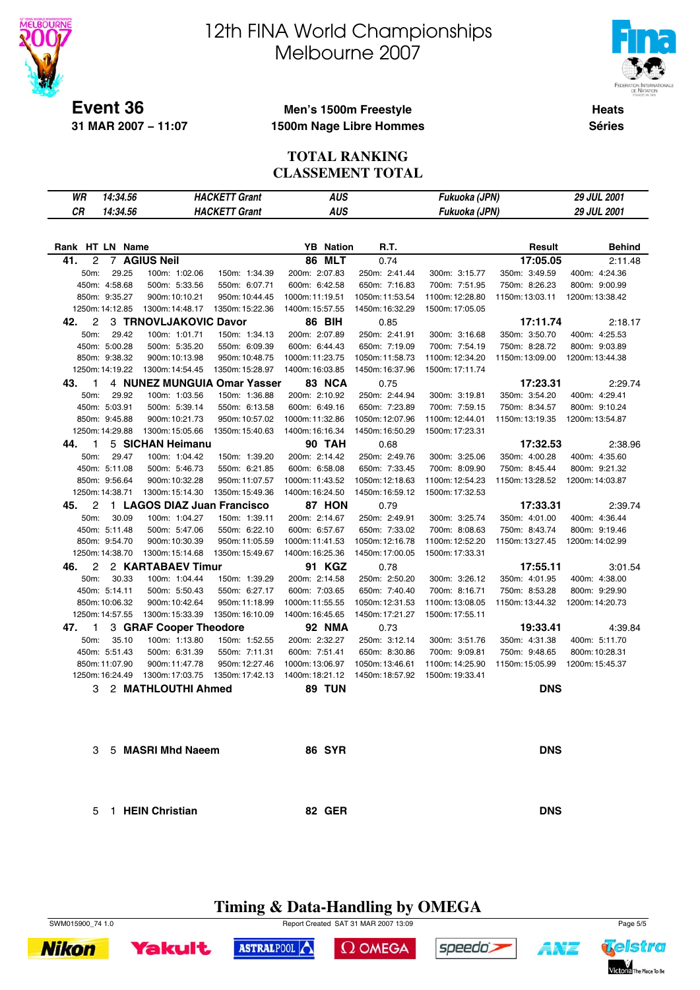

# 12th FINA World Championships Melbourne 2007



Telstra

Victoria The Place To Be

ANZ

**Heats Séries**

#### **Men's 1500m Freestyle 1500m Nage Libre Hommes**

#### **TOTAL RANKING CLASSEMENT TOTAL**

| WR                    | 14:34.56        |                             | <b>HACKETT Grant</b> | <b>AUS</b>       |                 | Fukuoka (JPN)   |                 | 29 JUL 2001     |
|-----------------------|-----------------|-----------------------------|----------------------|------------------|-----------------|-----------------|-----------------|-----------------|
| <b>CR</b>             | 14:34.56        |                             | <b>HACKETT Grant</b> | <b>AUS</b>       |                 | Fukuoka (JPN)   |                 | 29 JUL 2001     |
|                       |                 |                             |                      |                  |                 |                 |                 |                 |
| Rank HT LN Name       |                 |                             |                      | <b>YB</b> Nation | R.T.            |                 | Result          | <b>Behind</b>   |
| 41.<br>2              |                 | <b>7 AGIUS Neil</b>         |                      | <b>86 MLT</b>    | 0.74            |                 | 17:05.05        | 2:11.48         |
| 50m:                  | 29.25           | 100m: 1:02.06               | 150m: 1:34.39        | 200m: 2:07.83    | 250m: 2:41.44   | 300m: 3:15.77   | 350m: 3:49.59   | 400m: 4:24.36   |
|                       | 450m: 4:58.68   | 500m: 5:33.56               | 550m: 6:07.71        | 600m: 6:42.58    | 650m: 7:16.83   | 700m: 7:51.95   | 750m: 8:26.23   | 800m: 9:00.99   |
|                       | 850m: 9:35.27   | 900m: 10:10.21              | 950m: 10:44.45       | 1000m: 11:19.51  | 1050m: 11:53.54 | 1100m: 12:28.80 | 1150m: 13:03.11 | 1200m: 13:38.42 |
|                       | 1250m: 14:12.85 | 1300m: 14:48.17             | 1350m: 15:22.36      | 1400m: 15:57.55  | 1450m: 16:32.29 | 1500m: 17:05.05 |                 |                 |
| $\overline{c}$<br>42. |                 | 3 TRNOVLJAKOVIC Davor       |                      | <b>86 BIH</b>    | 0.85            |                 | 17:11.74        | 2:18.17         |
| 50m:                  | 29.42           | 100m: 1:01.71               | 150m: 1:34.13        | 200m: 2:07.89    | 250m: 2:41.91   | 300m: 3:16.68   | 350m: 3:50.70   | 400m: 4:25.53   |
|                       | 450m: 5:00.28   | 500m: 5:35.20               | 550m: 6:09.39        | 600m: 6:44.43    | 650m: 7:19.09   | 700m: 7:54.19   | 750m: 8:28.72   | 800m: 9:03.89   |
|                       | 850m: 9:38.32   | 900m: 10:13.98              | 950m: 10:48.75       | 1000m: 11:23.75  | 1050m: 11:58.73 | 1100m: 12:34.20 | 1150m: 13:09.00 | 1200m: 13:44.38 |
|                       | 1250m: 14:19.22 | 1300m: 14:54.45             | 1350m: 15:28.97      | 1400m: 16:03.85  | 1450m: 16:37.96 | 1500m: 17:11.74 |                 |                 |
| 43.<br>1              |                 | 4 NUNEZ MUNGUIA Omar Yasser |                      | 83 NCA           | 0.75            |                 | 17:23.31        | 2:29.74         |
| 50m:                  | 29.92           | 100m: 1:03.56               | 150m: 1:36.88        | 200m: 2:10.92    | 250m: 2:44.94   | 300m: 3:19.81   | 350m: 3:54.20   | 400m: 4:29.41   |
|                       | 450m: 5:03.91   | 500m: 5:39.14               | 550m: 6:13.58        | 600m: 6:49.16    | 650m: 7:23.89   | 700m: 7:59.15   | 750m: 8:34.57   | 800m: 9:10.24   |
|                       | 850m: 9:45.88   | 900m: 10:21.73              | 950m: 10:57.02       | 1000m: 11:32.86  | 1050m: 12:07.96 | 1100m: 12:44.01 | 1150m: 13:19.35 | 1200m: 13:54.87 |
|                       | 1250m: 14:29.88 | 1300m: 15:05.66             | 1350m: 15:40.63      | 1400m: 16:16.34  | 1450m: 16:50.29 | 1500m: 17:23.31 |                 |                 |
| 44.<br>1              |                 | 5 SICHAN Heimanu            |                      | <b>90 TAH</b>    | 0.68            |                 | 17:32.53        | 2:38.96         |
| 50m:                  | 29.47           | 100m: 1:04.42               | 150m: 1:39.20        | 200m: 2:14.42    | 250m: 2:49.76   | 300m: 3:25.06   | 350m: 4:00.28   | 400m: 4:35.60   |
|                       | 450m: 5:11.08   | 500m: 5:46.73               | 550m: 6:21.85        | 600m: 6:58.08    | 650m: 7:33.45   | 700m: 8:09.90   | 750m: 8:45.44   | 800m: 9:21.32   |
|                       | 850m: 9:56.64   | 900m: 10:32.28              | 950m: 11:07.57       | 1000m: 11:43.52  | 1050m: 12:18.63 | 1100m: 12:54.23 | 1150m: 13:28.52 | 1200m: 14:03.87 |
|                       | 1250m: 14:38.71 | 1300m: 15:14.30             | 1350m: 15:49.36      | 1400m: 16:24.50  | 1450m: 16:59.12 | 1500m: 17:32.53 |                 |                 |
| 2<br>45.              |                 | 1 LAGOS DIAZ Juan Francisco |                      | 87 HON           | 0.79            |                 | 17:33.31        | 2:39.74         |
| 50m:                  | 30.09           | 100m: 1:04.27               | 150m: 1:39.11        | 200m: 2:14.67    | 250m: 2:49.91   | 300m: 3:25.74   | 350m: 4:01.00   | 400m: 4:36.44   |
|                       | 450m: 5:11.48   | 500m: 5:47.06               | 550m: 6:22.10        | 600m: 6:57.67    | 650m: 7:33.02   | 700m: 8:08.63   | 750m: 8:43.74   | 800m: 9:19.46   |
|                       | 850m: 9:54.70   | 900m: 10:30.39              | 950m: 11:05.59       | 1000m: 11:41.53  | 1050m: 12:16.78 | 1100m: 12:52.20 | 1150m: 13:27.45 | 1200m: 14:02.99 |
|                       | 1250m: 14:38.70 | 1300m: 15:14.68             | 1350m: 15:49.67      | 1400m: 16:25.36  | 1450m: 17:00.05 | 1500m: 17:33.31 |                 |                 |
| 2<br>46.              |                 | 2 KARTABAEV Timur           |                      | 91 KGZ           | 0.78            |                 | 17:55.11        | 3:01.54         |
| 50m:                  | 30.33           | 100m: 1:04.44               | 150m: 1:39.29        | 200m: 2:14.58    | 250m: 2:50.20   | 300m: 3:26.12   | 350m: 4:01.95   | 400m: 4:38.00   |
|                       | 450m: 5:14.11   | 500m: 5:50.43               | 550m: 6:27.17        | 600m: 7:03.65    | 650m: 7:40.40   | 700m: 8:16.71   | 750m: 8:53.28   | 800m: 9:29.90   |
|                       | 850m: 10:06.32  | 900m: 10:42.64              | 950m: 11:18.99       | 1000m: 11:55.55  | 1050m: 12:31.53 | 1100m: 13:08.05 | 1150m: 13:44.32 | 1200m: 14:20.73 |
|                       | 1250m: 14:57.55 | 1300m: 15:33.39             | 1350m: 16:10.09      | 1400m: 16:45.65  | 1450m: 17:21.27 | 1500m: 17:55.11 |                 |                 |
| 47.<br>1              |                 | 3 GRAF Cooper Theodore      |                      | <b>92 NMA</b>    | 0.73            |                 | 19:33.41        | 4:39.84         |
| 50m:                  | 35.10           | 100m: 1:13.80               | 150m: 1:52.55        | 200m: 2:32.27    | 250m: 3:12.14   | 300m: 3:51.76   | 350m: 4:31.38   | 400m: 5:11.70   |
|                       | 450m: 5:51.43   | 500m: 6:31.39               | 550m: 7:11.31        | 600m: 7:51.41    | 650m: 8:30.86   | 700m: 9:09.81   | 750m: 9:48.65   | 800m: 10:28.31  |
|                       | 850m: 11:07.90  | 900m: 11:47.78              | 950m: 12:27.46       | 1000m: 13:06.97  | 1050m: 13:46.61 | 1100m: 14:25.90 | 1150m: 15:05.99 | 1200m: 15:45.37 |
|                       | 1250m: 16:24.49 | 1300m: 17:03.75             | 1350m: 17:42.13      | 1400m: 18:21.12  | 1450m: 18:57.92 | 1500m: 19:33.41 |                 |                 |
| 3                     |                 | 2 MATHLOUTHI Ahmed          |                      | <b>89 TUN</b>    |                 |                 | <b>DNS</b>      |                 |
|                       |                 | 3 5 MASRI Mhd Naeem         |                      | <b>86 SYR</b>    |                 |                 | <b>DNS</b>      |                 |
|                       |                 |                             |                      |                  |                 |                 |                 |                 |
| 5                     |                 | 1 HEIN Christian            |                      | <b>82 GER</b>    |                 |                 | <b>DNS</b>      |                 |



 $\Omega$  OMEGA

speedo;

ASTRALPOOL



**Yakult** 

**Nikon**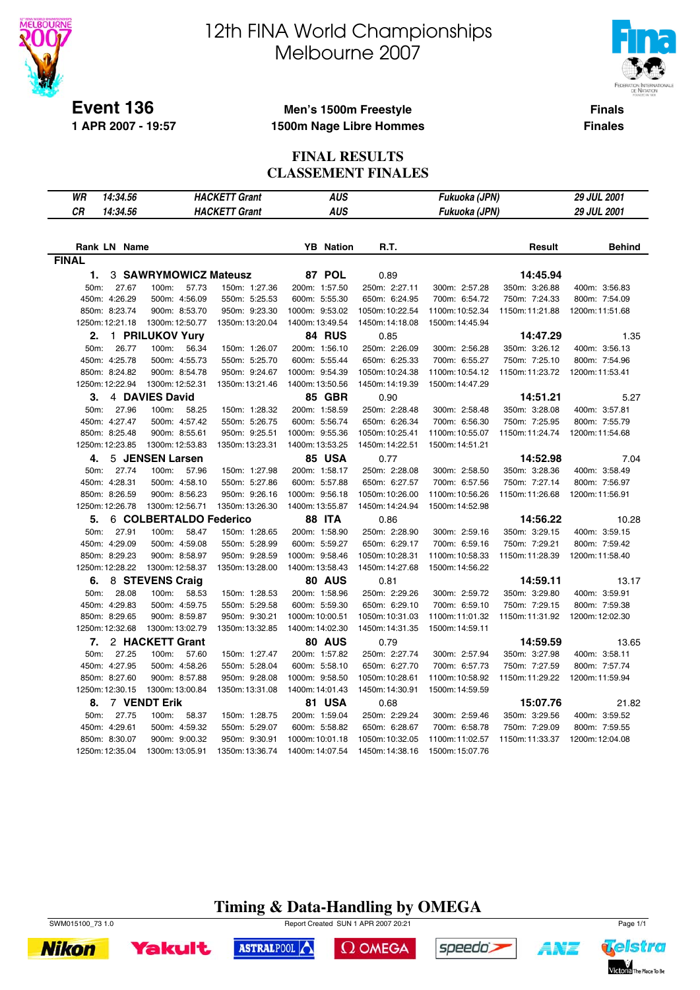

**1 APR 2007 - 19:57**

# 12th FINA World Championships Melbourne 2007



**Finals Finales**

#### **Men's 1500m Freestyle 1500m Nage Libre Hommes**

### **FINAL RESULTS CLASSEMENT FINALES**

| 14:34.56<br>WR      |                        | <b>HACKETT Grant</b> | <b>AUS</b>          |                 | Fukuoka (JPN)   |                 | <b>29 JUL 2001</b> |
|---------------------|------------------------|----------------------|---------------------|-----------------|-----------------|-----------------|--------------------|
| CR<br>14:34.56      |                        | <b>HACKETT Grant</b> | <b>AUS</b>          |                 | Fukuoka (JPN)   |                 | 29 JUL 2001        |
|                     |                        |                      |                     |                 |                 |                 |                    |
|                     |                        |                      |                     |                 |                 |                 |                    |
| <b>Rank LN Name</b> |                        |                      | <b>Nation</b><br>YB | R.T.            |                 | Result          | <b>Behind</b>      |
| <b>FINAL</b>        |                        |                      |                     |                 |                 |                 |                    |
| 1.                  | 3 SAWRYMOWICZ Mateusz  |                      | 87 POL              | 0.89            |                 | 14:45.94        |                    |
| 27.67<br>50m:       | 100m:<br>57.73         | 150m: 1:27.36        | 200m: 1:57.50       | 250m: 2:27.11   | 300m: 2:57.28   | 350m: 3:26.88   | 400m: 3:56.83      |
| 450m: 4:26.29       | 500m: 4:56.09          | 550m: 5:25.53        | 600m: 5:55.30       | 650m: 6:24.95   | 700m: 6:54.72   | 750m: 7:24.33   | 800m: 7:54.09      |
| 850m: 8:23.74       | 900m: 8:53.70          | 950m: 9:23.30        | 1000m: 9:53.02      | 1050m: 10:22.54 | 1100m: 10:52.34 | 1150m: 11:21.88 | 1200m: 11:51.68    |
| 1250m: 12:21.18     | 1300m: 12:50.77        | 1350m: 13:20.04      | 1400m: 13:49.54     | 1450m: 14:18.08 | 1500m: 14:45.94 |                 |                    |
| 2.                  | 1 PRILUKOV Yury        |                      | 84 RUS              | 0.85            |                 | 14:47.29        | 1.35               |
| 50m:<br>26.77       | 100m:<br>56.34         | 150m: 1:26.07        | 200m: 1:56.10       | 250m: 2:26.09   | 300m: 2:56.28   | 350m: 3:26.12   | 400m: 3:56.13      |
| 450m: 4:25.78       | 500m: 4:55.73          | 550m: 5:25.70        | 600m: 5:55.44       | 650m: 6:25.33   | 700m: 6:55.27   | 750m: 7:25.10   | 800m: 7:54.96      |
| 850m: 8:24.82       | 900m: 8:54.78          | 950m: 9:24.67        | 1000m: 9:54.39      | 1050m: 10:24.38 | 1100m: 10:54.12 | 1150m: 11:23.72 | 1200m: 11:53.41    |
| 1250m: 12:22.94     | 1300m: 12:52.31        | 1350m: 13:21.46      | 1400m: 13:50.56     | 1450m: 14:19.39 | 1500m: 14:47.29 |                 |                    |
| 3.                  | 4 DAVIES David         |                      | 85 GBR              | 0.90            |                 | 14:51.21        | 5.27               |
| 50m:<br>27.96       | 100m:<br>58.25         | 150m: 1:28.32        | 200m: 1:58.59       | 250m: 2:28.48   | 300m: 2:58.48   | 350m: 3:28.08   | 400m: 3:57.81      |
| 450m: 4:27.47       | 500m: 4:57.42          | 550m: 5:26.75        | 600m: 5:56.74       | 650m: 6:26.34   | 700m: 6:56.30   | 750m: 7:25.95   | 800m: 7:55.79      |
| 850m: 8:25.48       | 900m: 8:55.61          | 950m: 9:25.51        | 1000m: 9:55.36      | 1050m: 10:25.41 | 1100m: 10:55.07 | 1150m: 11:24.74 | 1200m: 11:54.68    |
| 1250m: 12:23.85     | 1300m: 12:53.83        | 1350m: 13:23.31      | 1400m: 13:53.25     | 1450m: 14:22.51 | 1500m: 14:51.21 |                 |                    |
| 4.                  | 5 JENSEN Larsen        |                      | <b>85 USA</b>       | 0.77            |                 | 14:52.98        | 7.04               |
| 27.74<br>50m:       | 100m:<br>57.96         | 150m: 1:27.98        | 200m: 1:58.17       | 250m: 2:28.08   | 300m: 2:58.50   | 350m: 3:28.36   | 400m: 3:58.49      |
| 450m: 4:28.31       | 500m: 4:58.10          | 550m: 5:27.86        | 600m: 5:57.88       | 650m: 6:27.57   | 700m: 6:57.56   | 750m: 7:27.14   | 800m: 7:56.97      |
| 850m: 8:26.59       | 900m: 8:56.23          | 950m: 9:26.16        | 1000m: 9:56.18      | 1050m: 10:26.00 | 1100m: 10:56.26 | 1150m: 11:26.68 | 1200m: 11:56.91    |
| 1250m: 12:26.78     | 1300m: 12:56.71        | 1350m: 13:26.30      | 1400m: 13:55.87     | 1450m: 14:24.94 | 1500m: 14:52.98 |                 |                    |
| 5.                  | 6 COLBERTALDO Federico |                      | <b>88 ITA</b>       | 0.86            |                 | 14:56.22        | 10.28              |
| 50m:<br>27.91       | 100m:<br>58.47         | 150m: 1:28.65        | 200m: 1:58.90       | 250m: 2:28.90   | 300m: 2:59.16   | 350m: 3:29.15   | 400m: 3:59.15      |
| 450m: 4:29.09       | 500m: 4:59.08          | 550m: 5:28.99        | 600m: 5:59.27       | 650m: 6:29.17   | 700m: 6:59.16   | 750m: 7:29.21   | 800m: 7:59.42      |
| 850m: 8:29.23       | 900m: 8:58.97          | 950m: 9:28.59        | 1000m: 9:58.46      | 1050m: 10:28.31 | 1100m: 10:58.33 | 1150m: 11:28.39 | 1200m: 11:58.40    |
| 1250m: 12:28.22     | 1300m: 12:58.37        | 1350m: 13:28.00      | 1400m: 13:58.43     | 1450m: 14:27.68 | 1500m: 14:56.22 |                 |                    |
| 6.                  | 8 STEVENS Craig        |                      | <b>80 AUS</b>       | 0.81            |                 | 14:59.11        | 13.17              |
| 28.08<br>50m:       | 100m:<br>58.53         | 150m: 1:28.53        | 200m: 1:58.96       | 250m: 2:29.26   | 300m: 2:59.72   | 350m: 3:29.80   | 400m: 3:59.91      |
| 450m: 4:29.83       | 500m: 4:59.75          | 550m: 5:29.58        | 600m: 5:59.30       | 650m: 6:29.10   | 700m: 6:59.10   | 750m: 7:29.15   | 800m: 7:59.38      |
| 850m: 8:29.65       | 900m: 8:59.87          | 950m: 9:30.21        | 1000m: 10:00.51     | 1050m: 10:31.03 | 1100m:11:01.32  | 1150m: 11:31.92 | 1200m: 12:02.30    |
| 1250m: 12:32.68     | 1300m: 13:02.79        | 1350m: 13:32.85      | 1400m: 14:02.30     | 1450m: 14:31.35 | 1500m: 14:59.11 |                 |                    |
| 7.                  | 2 HACKETT Grant        |                      | <b>80 AUS</b>       | 0.79            |                 | 14:59.59        | 13.65              |
| 50m:<br>27.25       | 100m:<br>57.60         | 150m: 1:27.47        | 200m: 1:57.82       | 250m: 2:27.74   | 300m: 2:57.94   | 350m: 3:27.98   | 400m: 3:58.11      |
| 450m: 4:27.95       | 500m: 4:58.26          | 550m: 5:28.04        | 600m: 5:58.10       | 650m: 6:27.70   | 700m: 6:57.73   | 750m: 7:27.59   | 800m: 7:57.74      |
| 850m: 8:27.60       | 900m: 8:57.88          | 950m: 9:28.08        | 1000m: 9:58.50      | 1050m: 10:28.61 | 1100m: 10:58.92 | 1150m: 11:29.22 | 1200m: 11:59.94    |
| 1250m: 12:30.15     | 1300m: 13:00.84        | 1350m: 13:31.08      | 1400m: 14:01.43     | 1450m: 14:30.91 | 1500m: 14:59.59 |                 |                    |
| 8.                  | 7 VENDT Erik           |                      | 81 USA              | 0.68            |                 | 15:07.76        | 21.82              |
| 27.75<br>50m:       | 100m:<br>58.37         | 150m: 1:28.75        | 200m: 1:59.04       | 250m: 2:29.24   | 300m: 2:59.46   | 350m: 3:29.56   | 400m: 3:59.52      |
| 450m: 4:29.61       | 500m: 4:59.32          | 550m: 5:29.07        | 600m: 5:58.82       | 650m: 6:28.67   | 700m: 6:58.78   | 750m: 7:29.09   | 800m: 7:59.55      |
| 850m: 8:30.07       | 900m: 9:00.32          | 950m: 9:30.91        | 1000m: 10:01.18     | 1050m: 10:32.05 | 1100m: 11:02.57 | 1150m: 11:33.37 | 1200m: 12:04.08    |
| 1250m: 12:35.04     | 1300m: 13:05.91        | 1350m: 13:36.74      | 1400m: 14:07.54     | 1450m: 14:38.16 | 1500m: 15:07.76 |                 |                    |



**Nikon** 





A¥Z

Yakult ASTRALPOOL

 $\Omega$  OMEGA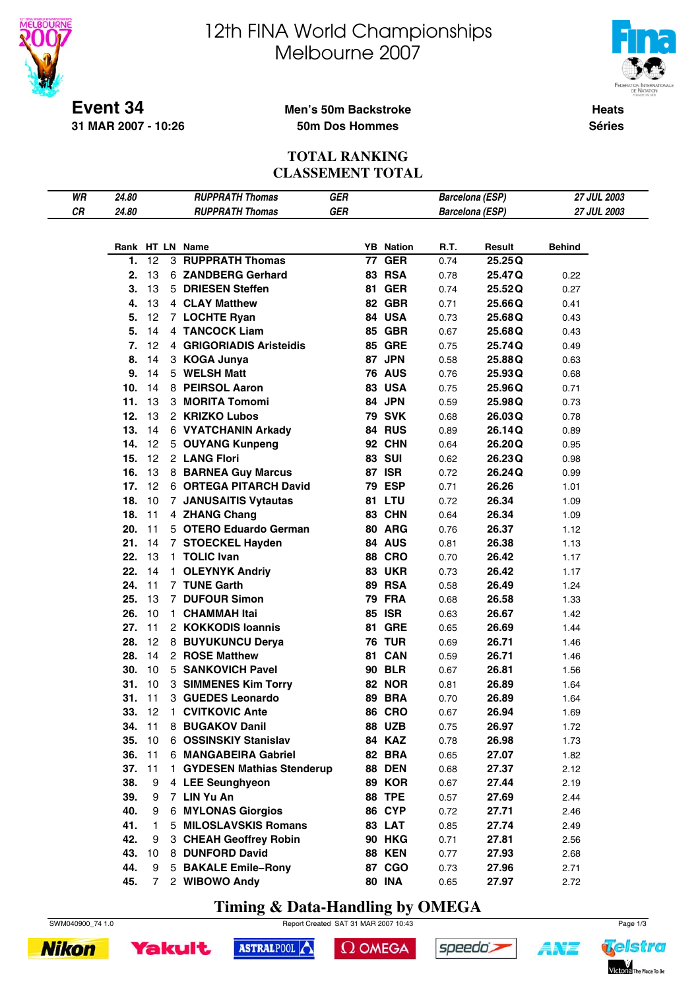

**31 MAR 2007 - 10:26**

# 12th FINA World Championships Melbourne 2007



**Heats Séries**

#### **Men's 50m Backstroke 50m Dos Hommes**

#### **TOTAL RANKING CLASSEMENT TOTAL**

| WR | 24.80  |    | <b>RUPPRATH Thomas</b>      | GER        |                  |      | Barcelona (ESP)        | 27 JUL 2003   |  |
|----|--------|----|-----------------------------|------------|------------------|------|------------------------|---------------|--|
| СR | 24.80  |    | <b>RUPPRATH Thomas</b>      | <b>GER</b> |                  |      | <b>Barcelona (ESP)</b> | 27 JUL 2003   |  |
|    |        |    |                             |            |                  |      |                        |               |  |
|    |        |    |                             |            |                  |      |                        |               |  |
|    |        |    | Rank HT LN Name             |            | <b>YB</b> Nation | R.T. | Result                 | <b>Behind</b> |  |
|    | 1.     | 12 | <b>3 RUPPRATH Thomas</b>    |            | <b>77 GER</b>    | 0.74 | 25.25Q                 |               |  |
|    | 2.     | 13 | 6 ZANDBERG Gerhard          |            | <b>83 RSA</b>    | 0.78 | 25.47Q                 | 0.22          |  |
|    | 3.     | 13 | 5 DRIESEN Steffen           |            | <b>81 GER</b>    | 0.74 | 25.52Q                 | 0.27          |  |
|    | 4.     | 13 | 4 CLAY Matthew              |            | 82 GBR           | 0.71 | 25.66Q                 | 0.41          |  |
|    | 5.     | 12 | 7 LOCHTE Ryan               |            | 84 USA           | 0.73 | 25.68Q                 | 0.43          |  |
|    | 5.     | 14 | 4 TANCOCK Liam              |            | <b>85 GBR</b>    | 0.67 | 25.68Q                 | 0.43          |  |
|    | 7.     | 12 | 4 GRIGORIADIS Aristeidis    |            | <b>85 GRE</b>    | 0.75 | 25.74Q                 | 0.49          |  |
|    | 8.     | 14 | 3 KOGA Junya                |            | 87 JPN           | 0.58 | 25.88Q                 | 0.63          |  |
|    | 9.     | 14 | 5 WELSH Matt                |            | <b>76 AUS</b>    | 0.76 | 25.93Q                 | 0.68          |  |
|    | 10.    | 14 | 8 PEIRSOL Aaron             |            | <b>83 USA</b>    | 0.75 | 25.96Q                 | 0.71          |  |
|    | 11.    | 13 | 3 MORITA Tomomi             |            | 84 JPN           | 0.59 | 25.98Q                 | 0.73          |  |
|    | 12.    | 13 | 2 KRIZKO Lubos              |            | <b>79 SVK</b>    | 0.68 | 26.03Q                 | 0.78          |  |
|    | 13.    | 14 | 6 VYATCHANIN Arkady         |            | 84 RUS           | 0.89 | 26.14Q                 | 0.89          |  |
|    | 14.    | 12 | 5 OUYANG Kunpeng            |            | 92 CHN           | 0.64 | 26.20Q                 | 0.95          |  |
|    | 15.    | 12 | 2 LANG Flori                |            | <b>83 SUI</b>    | 0.62 | 26.23Q                 | 0.98          |  |
|    | 16.    | 13 | 8 BARNEA Guy Marcus         |            | <b>87 ISR</b>    | 0.72 | 26.24Q                 | 0.99          |  |
|    | 17.    | 12 | 6 ORTEGA PITARCH David      |            | <b>79 ESP</b>    | 0.71 | 26.26                  | 1.01          |  |
|    | 18.    | 10 | 7 JANUSAITIS Vytautas       |            | 81 LTU           | 0.72 | 26.34                  | 1.09          |  |
|    | 18.    | 11 | 4 ZHANG Chang               |            | 83 CHN           | 0.64 | 26.34                  | 1.09          |  |
|    | 20.    | 11 | 5 OTERO Eduardo German      |            | 80 ARG           | 0.76 | 26.37                  | 1.12          |  |
|    | 21.    | 14 | 7 STOECKEL Hayden           |            | 84 AUS           | 0.81 | 26.38                  | 1.13          |  |
|    | 22.    | 13 | 1 TOLIC Ivan                |            | <b>88 CRO</b>    | 0.70 | 26.42                  | 1.17          |  |
|    | 22.    | 14 | 1 OLEYNYK Andriy            |            | <b>83 UKR</b>    | 0.73 | 26.42                  | 1.17          |  |
|    | 24.    | 11 | 7 TUNE Garth                |            | 89 RSA           | 0.58 | 26.49                  | 1.24          |  |
|    | 25.    | 13 | 7 DUFOUR Simon              |            | <b>79 FRA</b>    | 0.68 | 26.58                  | 1.33          |  |
|    | 26.    | 10 | 1 CHAMMAH Itai              |            | <b>85 ISR</b>    | 0.63 | 26.67                  | 1.42          |  |
|    | 27.    | 11 | 2 KOKKODIS Ioannis          |            | <b>81 GRE</b>    | 0.65 | 26.69                  | 1.44          |  |
|    | 28.    | 12 | 8 BUYUKUNCU Derya           |            | <b>76 TUR</b>    | 0.69 | 26.71                  | 1.46          |  |
|    | 28.    | 14 | 2 ROSE Matthew              |            | 81 CAN           | 0.59 | 26.71                  | 1.46          |  |
|    | 30.    | 10 | 5 SANKOVICH Pavel           |            | <b>90 BLR</b>    | 0.67 | 26.81                  | 1.56          |  |
|    | 31.    | 10 | 3 SIMMENES Kim Torry        |            | <b>82 NOR</b>    | 0.81 | 26.89                  | 1.64          |  |
|    | 31.    | 11 | 3 GUEDES Leonardo           |            | <b>89 BRA</b>    | 0.70 | 26.89                  | 1.64          |  |
|    | 33. 12 |    | 1 CVITKOVIC Ante            |            | <b>86 CRO</b>    | 0.67 | 26.94                  | 1.69          |  |
|    | 34. 11 |    | 8 BUGAKOV Danil             |            | <b>88 UZB</b>    | 0.75 | 26.97                  | 1.72          |  |
|    | 35.    | 10 | 6 OSSINSKIY Stanislav       |            | 84 KAZ           | 0.78 | 26.98                  | 1.73          |  |
|    | 36.    | 11 | 6 MANGABEIRA Gabriel        |            | 82 BRA           |      |                        |               |  |
|    |        |    |                             |            |                  | 0.65 | 27.07                  | 1.82          |  |
|    | 37.    | 11 | 1 GYDESEN Mathias Stenderup |            | <b>88 DEN</b>    | 0.68 | 27.37                  | 2.12          |  |
|    | 38.    | 9  | 4 LEE Seunghyeon            |            | 89 KOR           | 0.67 | 27.44                  | 2.19          |  |
|    | 39.    | 9  | 7 LIN Yu An                 |            | <b>88 TPE</b>    | 0.57 | 27.69                  | 2.44          |  |
|    | 40.    | 9  | 6 MYLONAS Giorgios          |            | <b>86 CYP</b>    | 0.72 | 27.71                  | 2.46          |  |
|    | 41.    | 1  | 5 MILOSLAVSKIS Romans       |            | 83 LAT           | 0.85 | 27.74                  | 2.49          |  |
|    | 42.    | 9  | 3 CHEAH Geoffrey Robin      |            | <b>90 HKG</b>    | 0.71 | 27.81                  | 2.56          |  |
|    | 43.    | 10 | 8 DUNFORD David             |            | <b>88 KEN</b>    | 0.77 | 27.93                  | 2.68          |  |
|    | 44.    | 9  | 5 BAKALE Emile-Rony         |            | 87 CGO           | 0.73 | 27.96                  | 2.71          |  |
|    | 45.    | 7  | 2 WIBOWO Andy               |            | <b>80 INA</b>    | 0.65 | 27.97                  | 2.72          |  |

**Timing & Data-Handling by OMEGA**

ASTRALPOOL



 $\Omega$  OMEGA

speedo's



**Yakult** 



ANT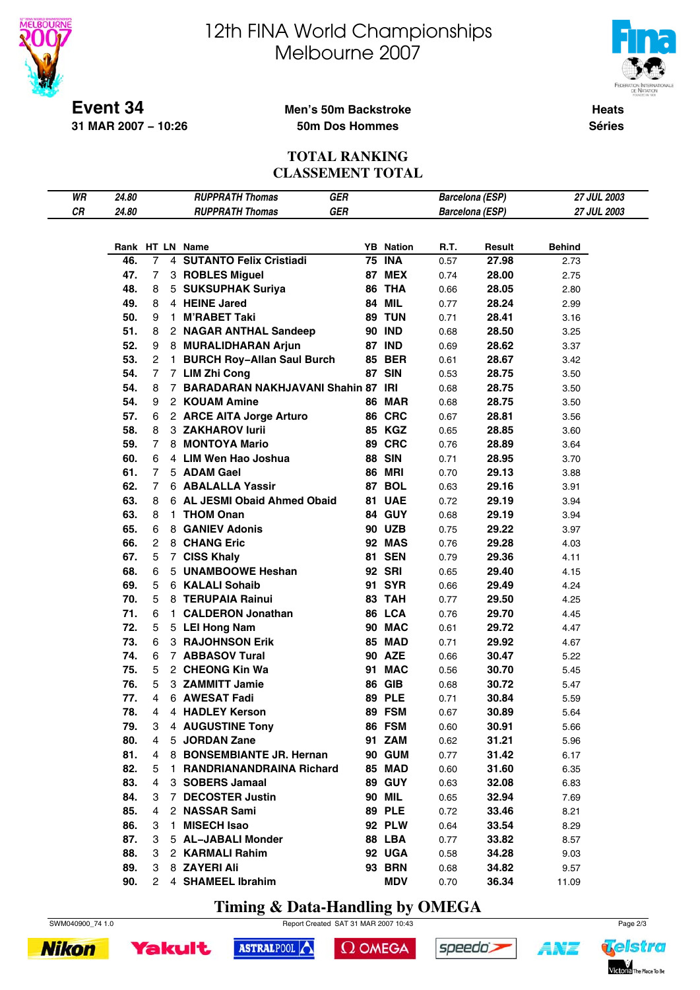

# 12th FINA World Championships Melbourne 2007



**Heats**

**Séries**

#### **Men's 50m Backstroke 50m Dos Hommes**

#### **TOTAL RANKING CLASSEMENT TOTAL**

| WR | 24.80 |                |    | <b>RUPPRATH Thomas</b><br><b>GER</b>              |    |                                |      | Barcelona (ESP)        | 27 JUL 2003           |  |
|----|-------|----------------|----|---------------------------------------------------|----|--------------------------------|------|------------------------|-----------------------|--|
| CR | 24.80 |                |    | GER<br><b>RUPPRATH Thomas</b>                     |    |                                |      | <b>Barcelona</b> (ESP) | 27 JUL 2003           |  |
|    |       |                |    |                                                   |    |                                |      |                        |                       |  |
|    |       |                |    |                                                   |    |                                |      |                        |                       |  |
|    | 46.   | 7              |    | Rank HT LN Name<br><b>SUTANTO Felix Cristiadi</b> | 75 | <b>YB</b> Nation<br><b>INA</b> | R.T. | Result<br>27.98        | <b>Behind</b><br>2.73 |  |
|    |       |                | 4  |                                                   |    |                                | 0.57 |                        |                       |  |
|    | 47.   | 7              |    | 3 ROBLES Miguel                                   | 87 | <b>MEX</b>                     | 0.74 | 28.00                  | 2.75                  |  |
|    | 48.   | 8              |    | 5 SUKSUPHAK Suriya                                |    | 86 THA                         | 0.66 | 28.05                  | 2.80                  |  |
|    | 49.   | 8              |    | 4 HEINE Jared                                     | 84 | MIL                            | 0.77 | 28.24                  | 2.99                  |  |
|    | 50.   | 9              |    | 1 M'RABET Taki                                    | 89 | <b>TUN</b>                     | 0.71 | 28.41                  | 3.16                  |  |
|    | 51.   | 8              |    | 2 NAGAR ANTHAL Sandeep                            |    | <b>90 IND</b>                  | 0.68 | 28.50                  | 3.25                  |  |
|    | 52.   | 9              |    | 8 MURALIDHARAN Arjun                              |    | <b>87 IND</b>                  | 0.69 | 28.62                  | 3.37                  |  |
|    | 53.   | 2              | 1. | <b>BURCH Roy-Allan Saul Burch</b>                 |    | <b>85 BER</b>                  | 0.61 | 28.67                  | 3.42                  |  |
|    | 54.   | 7              |    | 7 LIM Zhi Cong                                    |    | <b>87 SIN</b>                  | 0.53 | 28.75                  | 3.50                  |  |
|    | 54.   | 8              |    | 7 BARADARAN NAKHJAVANI Shahin 87                  |    | <b>IRI</b>                     | 0.68 | 28.75                  | 3.50                  |  |
|    | 54.   | 9              |    | 2 KOUAM Amine                                     |    | <b>86 MAR</b>                  | 0.68 | 28.75                  | 3.50                  |  |
|    | 57.   | 6              |    | 2 ARCE AITA Jorge Arturo                          |    | 86 CRC                         | 0.67 | 28.81                  | 3.56                  |  |
|    | 58.   | 8              |    | 3 ZAKHAROV lurii                                  |    | 85 KGZ                         | 0.65 | 28.85                  | 3.60                  |  |
|    | 59.   | 7              |    | 8 MONTOYA Mario                                   |    | 89 CRC                         | 0.76 | 28.89                  | 3.64                  |  |
|    | 60.   | 6              |    | 4 LIM Wen Hao Joshua                              |    | <b>88 SIN</b>                  | 0.71 | 28.95                  | 3.70                  |  |
|    | 61.   | 7              |    | 5 ADAM Gael                                       |    | <b>86 MRI</b>                  | 0.70 | 29.13                  | 3.88                  |  |
|    | 62.   | 7              |    | 6 ABALALLA Yassir                                 | 87 | <b>BOL</b>                     | 0.63 | 29.16                  | 3.91                  |  |
|    | 63.   | 8              |    | 6 AL JESMI Obaid Ahmed Obaid                      | 81 | <b>UAE</b>                     | 0.72 | 29.19                  | 3.94                  |  |
|    | 63.   | 8              |    | 1 THOM Onan                                       |    | 84 GUY                         | 0.68 | 29.19                  | 3.94                  |  |
|    | 65.   | 6              |    | 8 GANIEV Adonis                                   |    | <b>90 UZB</b>                  | 0.75 | 29.22                  | 3.97                  |  |
|    | 66.   | 2              |    | 8 CHANG Eric                                      |    | <b>92 MAS</b>                  | 0.76 | 29.28                  | 4.03                  |  |
|    | 67.   | 5              |    | 7 CISS Khaly                                      | 81 | <b>SEN</b>                     | 0.79 | 29.36                  | 4.11                  |  |
|    | 68.   | 6              |    | 5 UNAMBOOWE Heshan                                |    | <b>92 SRI</b>                  | 0.65 | 29.40                  | 4.15                  |  |
|    | 69.   | 5              | 6  | <b>KALALI Sohaib</b>                              | 91 | <b>SYR</b>                     | 0.66 | 29.49                  | 4.24                  |  |
|    | 70.   | 5              |    | 8 TERUPAIA Rainui                                 |    | 83 TAH                         | 0.77 | 29.50                  | 4.25                  |  |
|    | 71.   | 6              |    | 1 CALDERON Jonathan                               |    | 86 LCA                         | 0.76 | 29.70                  | 4.45                  |  |
|    | 72.   | 5              |    | 5 LEI Hong Nam                                    |    | 90 MAC                         | 0.61 | 29.72                  | 4.47                  |  |
|    | 73.   | 6              |    | <b>3 RAJOHNSON Erik</b>                           |    | 85 MAD                         | 0.71 | 29.92                  | 4.67                  |  |
|    | 74.   | 6              |    | 7 ABBASOV Tural                                   |    | <b>90 AZE</b>                  | 0.66 | 30.47                  | 5.22                  |  |
|    | 75.   | 5              |    | 2 CHEONG Kin Wa                                   | 91 | <b>MAC</b>                     | 0.56 | 30.70                  | 5.45                  |  |
|    | 76.   | 5              |    | 3 ZAMMITT Jamie                                   |    | 86 GIB                         | 0.68 | 30.72                  | 5.47                  |  |
|    | 77.   | 4              |    | 6 AWESAT Fadi                                     |    | <b>89 PLE</b>                  | 0.71 | 30.84                  | 5.59                  |  |
|    | 78.   | $\overline{4}$ |    | 4 HADLEY Kerson                                   |    | 89 FSM                         | 0.67 | 30.89                  | 5.64                  |  |
|    | 79.   | 3              |    | 4 AUGUSTINE Tony                                  |    | 86 FSM                         | 0.60 | 30.91                  | 5.66                  |  |
|    | 80.   | 4              |    | 5 JORDAN Zane                                     |    | 91 ZAM                         | 0.62 | 31.21                  | 5.96                  |  |
|    | 81.   | 4              |    | 8 BONSEMBIANTE JR. Hernan                         |    | 90 GUM                         | 0.77 | 31.42                  | 6.17                  |  |
|    | 82.   | 5              |    | 1 RANDRIANANDRAINA Richard                        |    | 85 MAD                         | 0.60 | 31.60                  | 6.35                  |  |
|    | 83.   | 4              |    | 3 SOBERS Jamaal                                   |    | <b>89 GUY</b>                  | 0.63 | 32.08                  | 6.83                  |  |
|    | 84.   | 3              |    | 7 DECOSTER Justin                                 |    | <b>90 MIL</b>                  | 0.65 | 32.94                  | 7.69                  |  |
|    | 85.   | 4              |    | 2 NASSAR Sami                                     |    | <b>89 PLE</b>                  | 0.72 | 33.46                  | 8.21                  |  |
|    | 86.   | 3              |    | 1 MISECH Isao                                     |    | <b>92 PLW</b>                  | 0.64 | 33.54                  | 8.29                  |  |
|    | 87.   | 3              |    | 5 AL-JABALI Monder                                |    | 88 LBA                         | 0.77 | 33.82                  | 8.57                  |  |
|    | 88.   | 3              |    | 2 KARMALI Rahim                                   |    | 92 UGA                         | 0.58 | 34.28                  | 9.03                  |  |
|    | 89.   | 3              |    | 8 ZAYERI Ali                                      |    | <b>93 BRN</b>                  |      |                        |                       |  |
|    |       |                |    |                                                   |    |                                | 0.68 | 34.82                  | 9.57                  |  |
|    | 90.   | 2              |    | 4 SHAMEEL Ibrahim                                 |    | <b>MDV</b>                     | 0.70 | 36.34                  | 11.09                 |  |

**Timing & Data-Handling by OMEGA**

ASTRALPOOL



 $\Omega$  OMEGA

speedo's



**Yakult** 



1 N'E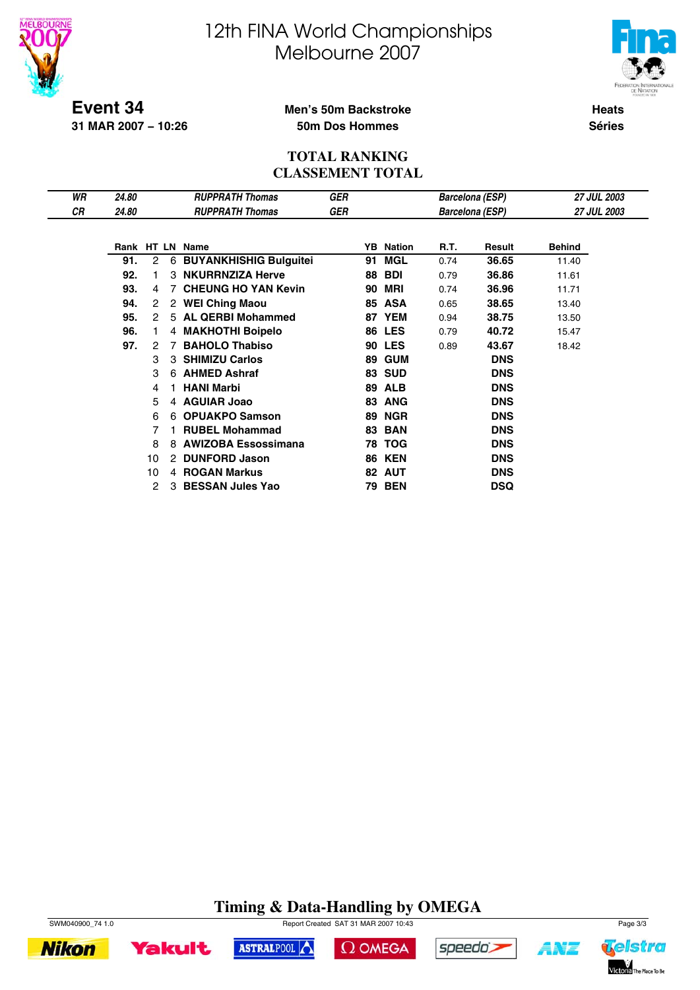



Telstra

Victoria The Place To Be

A¥Z

**Event 34 31 MAR 2007 − 10:26**

#### **Men's 50m Backstroke 50m Dos Hommes**

**Heats Séries**

#### **TOTAL RANKING CLASSEMENT TOTAL**

| WR | 24.80 |    |   | <b>RUPPRATH Thomas</b>     | GER |    |                  |      | Barcelona (ESP)        | <b>27 JUL 2003</b> |  |
|----|-------|----|---|----------------------------|-----|----|------------------|------|------------------------|--------------------|--|
| СR | 24.80 |    |   | <b>RUPPRATH Thomas</b>     | GER |    |                  |      | <b>Barcelona (ESP)</b> | <b>27 JUL 2003</b> |  |
|    |       |    |   |                            |     |    |                  |      |                        |                    |  |
|    |       |    |   | Rank HT LN Name            |     |    | <b>YB</b> Nation | R.T. | Result                 | <b>Behind</b>      |  |
|    | 91.   | 2  |   | 6 BUYANKHISHIG Bulguitei   |     | 91 | <b>MGL</b>       | 0.74 | 36.65                  | 11.40              |  |
|    | 92.   |    |   | 3 NKURRNZIZA Herve         |     | 88 | <b>BDI</b>       | 0.79 | 36.86                  | 11.61              |  |
|    | 93.   | 4  | 7 | <b>CHEUNG HO YAN Kevin</b> |     | 90 | MRI              | 0.74 | 36.96                  | 11.71              |  |
|    | 94.   | 2  |   | 2 WEI Ching Maou           |     | 85 | <b>ASA</b>       | 0.65 | 38.65                  | 13.40              |  |
|    | 95.   | 2  |   | 5 AL QERBI Mohammed        |     |    | 87 YEM           | 0.94 | 38.75                  | 13.50              |  |
|    | 96.   | 1. |   | 4 MAKHOTHI Boipelo         |     | 86 | <b>LES</b>       | 0.79 | 40.72                  | 15.47              |  |
|    | 97.   | 2  |   | <b>BAHOLO Thabiso</b>      |     |    | <b>90 LES</b>    | 0.89 | 43.67                  | 18.42              |  |
|    |       | З  |   | 3 SHIMIZU Carlos           |     | 89 | GUM              |      | <b>DNS</b>             |                    |  |
|    |       | 3  | 6 | <b>AHMED Ashraf</b>        |     |    | <b>83 SUD</b>    |      | <b>DNS</b>             |                    |  |
|    |       | 4  |   | <b>HANI Marbi</b>          |     | 89 | <b>ALB</b>       |      | <b>DNS</b>             |                    |  |
|    |       | 5  |   | 4 AGUIAR Joao              |     | 83 | <b>ANG</b>       |      | <b>DNS</b>             |                    |  |
|    |       | 6  | 6 | <b>OPUAKPO Samson</b>      |     | 89 | <b>NGR</b>       |      | <b>DNS</b>             |                    |  |
|    |       |    |   | <b>RUBEL Mohammad</b>      |     |    | <b>83 BAN</b>    |      | <b>DNS</b>             |                    |  |
|    |       | 8  | 8 | <b>AWIZOBA Essossimana</b> |     | 78 | <b>TOG</b>       |      | <b>DNS</b>             |                    |  |
|    |       | 10 | 2 | <b>DUNFORD Jason</b>       |     | 86 | <b>KEN</b>       |      | <b>DNS</b>             |                    |  |
|    |       | 10 |   | 4 ROGAN Markus             |     | 82 | <b>AUT</b>       |      | <b>DNS</b>             |                    |  |
|    |       | 2  |   | 3 BESSAN Jules Yao         |     | 79 | <b>BEN</b>       |      | <b>DSQ</b>             |                    |  |

### **Timing & Data-Handling by OMEGA**

 $\Omega$  OMEGA

speedo's

ASTRALPOOL



**Yakult** 

**Nikon**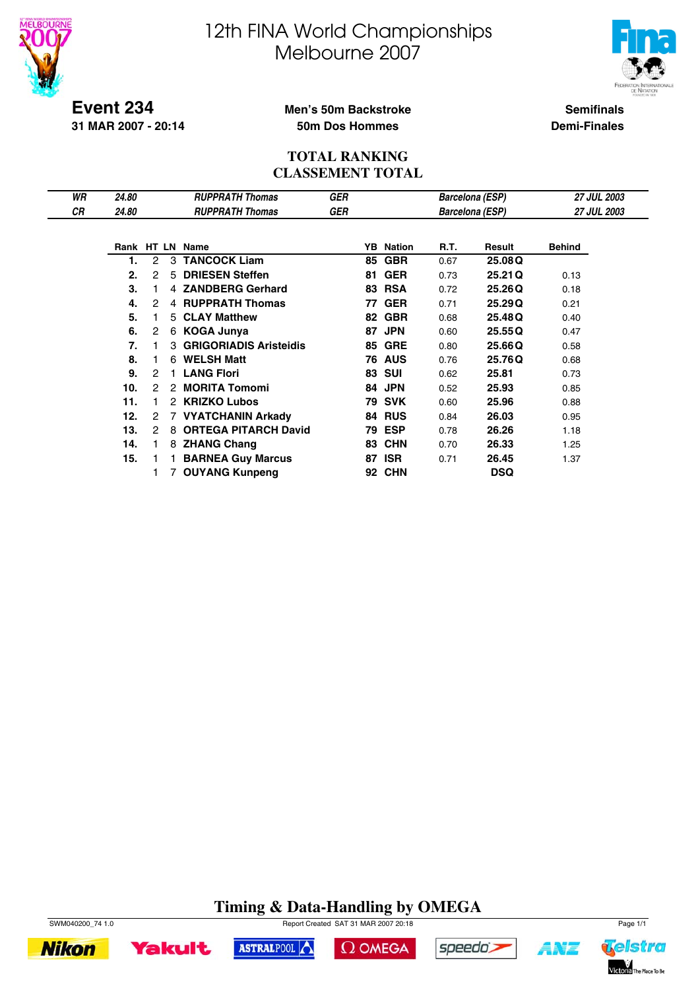



**Event 234 31 MAR 2007 - 20:14**

#### **Men's 50m Backstroke 50m Dos Hommes**

**Semifinals Demi-Finales**

#### **TOTAL RANKING CLASSEMENT TOTAL**

| WR | 24.80 |                |    | <b>RUPPRATH Thomas</b>        | <b>GER</b> |    |                  |      | <b>Barcelona (ESP)</b> | <b>27 JUL 2003</b> |
|----|-------|----------------|----|-------------------------------|------------|----|------------------|------|------------------------|--------------------|
| СR | 24.80 |                |    | <b>RUPPRATH Thomas</b>        | GER        |    |                  |      | Barcelona (ESP)        | <b>27 JUL 2003</b> |
|    |       |                |    |                               |            |    |                  |      |                        |                    |
|    |       |                |    | Rank HT LN Name               |            |    | <b>YB</b> Nation | R.T. | Result                 | <b>Behind</b>      |
|    | 1.    | $\mathcal{P}$  | 3  | <b>TANCOCK Liam</b>           |            | 85 | <b>GBR</b>       | 0.67 | 25.08Q                 |                    |
|    | 2.    | 2              | 5  | <b>DRIESEN Steffen</b>        |            | 81 | <b>GER</b>       | 0.73 | 25.21 Q                | 0.13               |
|    | 3.    |                |    | 4 ZANDBERG Gerhard            |            |    | <b>83 RSA</b>    | 0.72 | 25.26Q                 | 0.18               |
|    | 4.    | 2              |    | 4 RUPPRATH Thomas             |            | 77 | <b>GER</b>       | 0.71 | 25.29Q                 | 0.21               |
|    | 5.    |                |    | 5 CLAY Matthew                |            | 82 | <b>GBR</b>       | 0.68 | 25.48Q                 | 0.40               |
|    | 6.    | 2              |    | 6 KOGA Junya                  |            | 87 | <b>JPN</b>       | 0.60 | 25.55Q                 | 0.47               |
|    | 7.    |                | 3. | <b>GRIGORIADIS Aristeidis</b> |            | 85 | <b>GRE</b>       | 0.80 | 25.66Q                 | 0.58               |
|    | 8.    |                | 6  | <b>WELSH Matt</b>             |            |    | <b>76 AUS</b>    | 0.76 | 25.76Q                 | 0.68               |
|    | 9.    | 2              |    | <b>LANG Flori</b>             |            |    | <b>83 SUI</b>    | 0.62 | 25.81                  | 0.73               |
|    | 10.   | 2              |    | 2 MORITA Tomomi               |            | 84 | <b>JPN</b>       | 0.52 | 25.93                  | 0.85               |
|    | 11.   |                | 2  | <b>KRIZKO Lubos</b>           |            | 79 | <b>SVK</b>       | 0.60 | 25.96                  | 0.88               |
|    | 12.   | $\overline{2}$ |    | 7 VYATCHANIN Arkady           |            | 84 | <b>RUS</b>       | 0.84 | 26.03                  | 0.95               |
|    | 13.   | 2              | 8  | <b>ORTEGA PITARCH David</b>   |            |    | <b>79 ESP</b>    | 0.78 | 26.26                  | 1.18               |
|    | 14.   |                |    | 8 ZHANG Chang                 |            | 83 | <b>CHN</b>       | 0.70 | 26.33                  | 1.25               |
|    | 15.   |                |    | <b>BARNEA Guy Marcus</b>      |            | 87 | <b>ISR</b>       | 0.71 | 26.45                  | 1.37               |
|    |       |                |    | 7 OUYANG Kunpeng              |            | 92 | <b>CHN</b>       |      | <b>DSQ</b>             |                    |

### **Timing & Data-Handling by OMEGA**



**Nikon** 



 $\Omega$  OMEGA





ANZ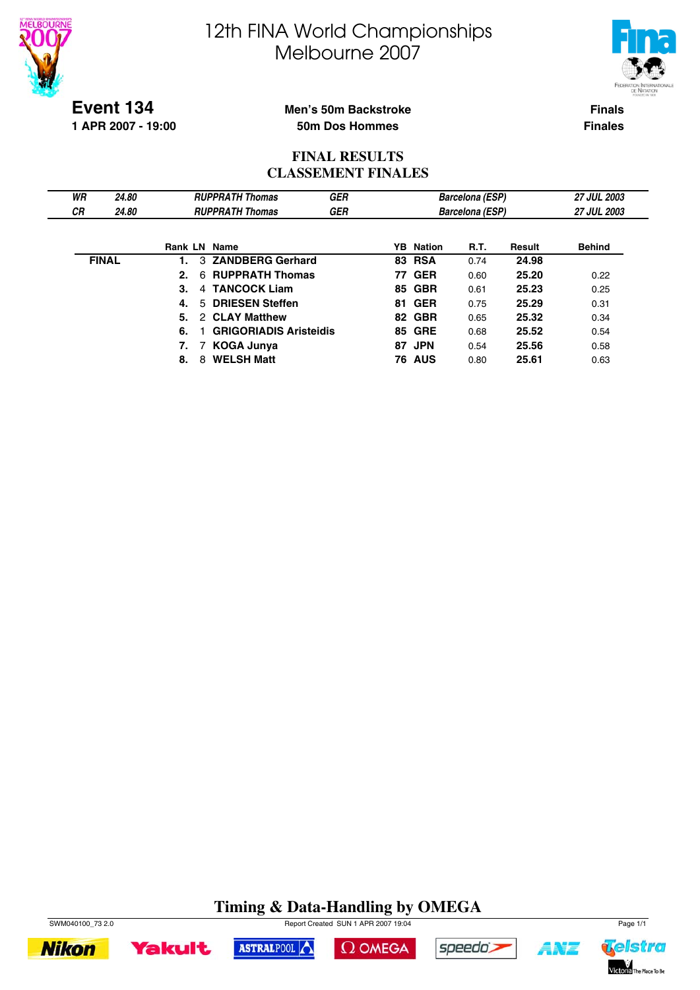



**Event 134**

**1 APR 2007 - 19:00**

#### **Men's 50m Backstroke 50m Dos Hommes**

**Finals Finales**

#### **FINAL RESULTS CLASSEMENT FINALES**

| WR           | 24.80 |    |   | <b>RUPPRATH Thomas</b>        | <b>GER</b> |    |                  | <b>Barcelona (ESP)</b> |        | <b>27 JUL 2003</b> |
|--------------|-------|----|---|-------------------------------|------------|----|------------------|------------------------|--------|--------------------|
| <b>CR</b>    | 24.80 |    |   | <b>RUPPRATH Thomas</b>        | <b>GER</b> |    |                  | <b>Barcelona (ESP)</b> |        | <b>27 JUL 2003</b> |
|              |       |    |   |                               |            |    |                  |                        |        |                    |
|              |       |    |   | <b>Rank LN Name</b>           |            |    | <b>YB</b> Nation | R.T.                   | Result | <b>Behind</b>      |
| <b>FINAL</b> |       |    |   | 3 ZANDBERG Gerhard            |            |    | <b>83 RSA</b>    | 0.74                   | 24.98  |                    |
|              |       | 2. |   | 6 RUPPRATH Thomas             |            |    | <b>77 GER</b>    | 0.60                   | 25.20  | 0.22               |
|              |       | 3. | 4 | <b>TANCOCK Liam</b>           |            |    | 85 GBR           | 0.61                   | 25.23  | 0.25               |
|              |       | 4. |   | 5 DRIESEN Steffen             |            |    | <b>81 GER</b>    | 0.75                   | 25.29  | 0.31               |
|              |       | 5. |   | 2 CLAY Matthew                |            |    | 82 GBR           | 0.65                   | 25.32  | 0.34               |
|              |       | 6. |   | <b>GRIGORIADIS Aristeidis</b> |            |    | <b>85 GRE</b>    | 0.68                   | 25.52  | 0.54               |
|              |       |    | 7 | <b>KOGA Junya</b>             |            | 87 | <b>JPN</b>       | 0.54                   | 25.56  | 0.58               |
|              |       | 8. | 8 | <b>WELSH Matt</b>             |            |    | <b>76 AUS</b>    | 0.80                   | 25.61  | 0.63               |

### **Timing & Data-Handling by OMEGA**



**Yakult** 



 $\Omega$  OMEGA



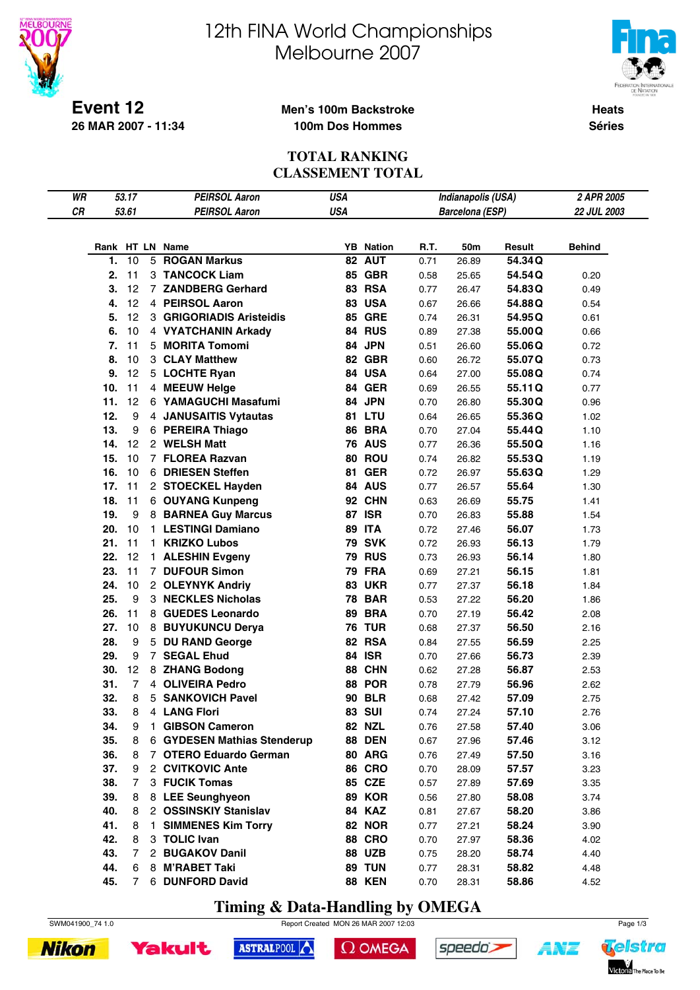



**Heats Séries**

#### **Event 12 26 MAR 2007 - 11:34**

#### **Men's 100m Backstroke 100m Dos Hommes**

#### **TOTAL RANKING CLASSEMENT TOTAL**

| WR |     | 53.17          |    | <b>PEIRSOL Aaron</b>        | <b>USA</b> |                  |      | Indianapolis (USA)     |        | 2 APR 2005    |
|----|-----|----------------|----|-----------------------------|------------|------------------|------|------------------------|--------|---------------|
| CR |     | 53.61          |    | <b>PEIRSOL Aaron</b>        | <b>USA</b> |                  |      | <b>Barcelona (ESP)</b> |        | 22 JUL 2003   |
|    |     |                |    |                             |            |                  |      |                        |        |               |
|    |     |                |    |                             |            |                  |      |                        |        |               |
|    |     |                |    | Rank HT LN Name             |            | <b>YB</b> Nation | R.T. | 50m                    | Result | <b>Behind</b> |
|    | 1.  | 10             |    | 5 ROGAN Markus              |            | 82 AUT           | 0.71 | 26.89                  | 54.34Q |               |
|    | 2.  | 11             |    | 3 TANCOCK Liam              |            | <b>85 GBR</b>    | 0.58 | 25.65                  | 54.54Q | 0.20          |
|    | 3.  | 12             |    | 7 ZANDBERG Gerhard          |            | 83 RSA           | 0.77 | 26.47                  | 54.83Q | 0.49          |
|    | 4.  | 12             |    | 4 PEIRSOL Aaron             |            | <b>83 USA</b>    | 0.67 | 26.66                  | 54.88Q | 0.54          |
|    | 5.  | 12             |    | 3 GRIGORIADIS Aristeidis    |            | <b>85 GRE</b>    | 0.74 | 26.31                  | 54.95Q | 0.61          |
|    | 6.  | 10             |    | 4 VYATCHANIN Arkady         |            | 84 RUS           | 0.89 | 27.38                  | 55.00Q | 0.66          |
|    | 7.  | 11             |    | 5 MORITA Tomomi             |            | 84 JPN           | 0.51 | 26.60                  | 55.06Q | 0.72          |
|    | 8.  | 10             |    | 3 CLAY Matthew              |            | <b>82 GBR</b>    | 0.60 | 26.72                  | 55.07Q | 0.73          |
|    | 9.  | 12             |    | 5 LOCHTE Ryan               |            | 84 USA           | 0.64 | 27.00                  | 55.08Q | 0.74          |
|    | 10. | 11             |    | 4 MEEUW Helge               |            | 84 GER           | 0.69 | 26.55                  | 55.11Q | 0.77          |
|    | 11. | 12             |    | 6 YAMAGUCHI Masafumi        |            | 84 JPN           | 0.70 | 26.80                  | 55.30Q | 0.96          |
|    | 12. | 9              |    | 4 JANUSAITIS Vytautas       |            | 81 LTU           | 0.64 | 26.65                  | 55.36Q | 1.02          |
|    | 13. | 9              |    | 6 PEREIRA Thiago            |            | <b>86 BRA</b>    | 0.70 | 27.04                  | 55.44Q | 1.10          |
|    | 14. | 12             |    | 2 WELSH Matt                |            | <b>76 AUS</b>    | 0.77 | 26.36                  | 55.50Q | 1.16          |
|    | 15. | 10             |    | 7 FLOREA Razvan             |            | 80 ROU           | 0.74 | 26.82                  | 55.53Q | 1.19          |
|    | 16. | 10             |    | 6 DRIESEN Steffen           |            | <b>81 GER</b>    | 0.72 | 26.97                  | 55.63Q | 1.29          |
|    | 17. | 11             |    | 2 STOECKEL Hayden           |            | 84 AUS           | 0.77 | 26.57                  | 55.64  | 1.30          |
|    | 18. | 11             |    | 6 OUYANG Kunpeng            |            | 92 CHN           | 0.63 | 26.69                  | 55.75  | 1.41          |
|    | 19. | 9              |    | 8 BARNEA Guy Marcus         |            | <b>87 ISR</b>    | 0.70 | 26.83                  | 55.88  | 1.54          |
|    | 20. | 10             |    | 1 LESTINGI Damiano          | 89         | <b>ITA</b>       | 0.72 | 27.46                  | 56.07  | 1.73          |
|    | 21. | 11             |    | 1 KRIZKO Lubos              |            | <b>79 SVK</b>    | 0.72 | 26.93                  | 56.13  | 1.79          |
|    | 22. | 12             |    | 1 ALESHIN Evgeny            |            | <b>79 RUS</b>    | 0.73 | 26.93                  | 56.14  | 1.80          |
|    | 23. | 11             |    | 7 DUFOUR Simon              |            | <b>79 FRA</b>    |      |                        | 56.15  | 1.81          |
|    | 24. | 10             |    |                             |            | <b>83 UKR</b>    | 0.69 | 27.21                  | 56.18  | 1.84          |
|    |     |                |    | 2 OLEYNYK Andriy            |            |                  | 0.77 | 27.37                  |        |               |
|    | 25. | 9              |    | 3 NECKLES Nicholas          |            | <b>78 BAR</b>    | 0.53 | 27.22                  | 56.20  | 1.86          |
|    | 26. | 11             |    | 8 GUEDES Leonardo           | 89         | <b>BRA</b>       | 0.70 | 27.19                  | 56.42  | 2.08          |
|    | 27. | 10             |    | 8 BUYUKUNCU Derya           |            | <b>76 TUR</b>    | 0.68 | 27.37                  | 56.50  | 2.16          |
|    | 28. | 9              |    | 5 DU RAND George            |            | 82 RSA           | 0.84 | 27.55                  | 56.59  | 2.25          |
|    | 29. | 9              |    | 7 SEGAL Ehud                |            | <b>84 ISR</b>    | 0.70 | 27.66                  | 56.73  | 2.39          |
|    | 30. | 12             |    | 8 ZHANG Bodong              |            | 88 CHN           | 0.62 | 27.28                  | 56.87  | 2.53          |
|    | 31. | $\overline{7}$ |    | 4 OLIVEIRA Pedro            |            | 88 POR           | 0.78 | 27.79                  | 56.96  | 2.62          |
|    | 32. | 8              |    | 5 SANKOVICH Pavel           |            | <b>90 BLR</b>    | 0.68 | 27.42                  | 57.09  | 2.75          |
|    | 33. | 8              |    | 4 LANG Flori                |            | <b>83 SUI</b>    | 0.74 | 27.24                  | 57.10  | 2.76          |
|    | 34. | 9              |    | 1 GIBSON Cameron            |            | <b>82 NZL</b>    | 0.76 | 27.58                  | 57.40  | 3.06          |
|    | 35. | 8              |    | 6 GYDESEN Mathias Stenderup |            | <b>88 DEN</b>    | 0.67 | 27.96                  | 57.46  | 3.12          |
|    | 36. | 8              |    | 7 OTERO Eduardo German      |            | 80 ARG           | 0.76 | 27.49                  | 57.50  | 3.16          |
|    | 37. | 9              |    | 2 CVITKOVIC Ante            |            | <b>86 CRO</b>    | 0.70 | 28.09                  | 57.57  | 3.23          |
|    | 38. | $\overline{7}$ |    | 3 FUCIK Tomas               |            | 85 CZE           | 0.57 | 27.89                  | 57.69  | 3.35          |
|    | 39. | 8              |    | 8 LEE Seunghyeon            |            | <b>89 KOR</b>    | 0.56 | 27.80                  | 58.08  | 3.74          |
|    | 40. | 8              |    | 2 OSSINSKIY Stanislav       |            | 84 KAZ           | 0.81 | 27.67                  | 58.20  | 3.86          |
|    | 41. | 8              | 1. | <b>SIMMENES Kim Torry</b>   |            | <b>82 NOR</b>    | 0.77 | 27.21                  | 58.24  | 3.90          |
|    | 42. | 8              |    | 3 TOLIC Ivan                |            | <b>88 CRO</b>    | 0.70 | 27.97                  | 58.36  | 4.02          |
|    | 43. | $\overline{7}$ |    | 2 BUGAKOV Danil             |            | <b>88 UZB</b>    | 0.75 | 28.20                  | 58.74  | 4.40          |
|    | 44. | 6              |    | 8 M'RABET Taki              |            | 89 TUN           | 0.77 | 28.31                  | 58.82  | 4.48          |
|    | 45. | 7              |    | 6 DUNFORD David             |            | <b>88 KEN</b>    | 0.70 | 28.31                  | 58.86  | 4.52          |

**Timing & Data-Handling by OMEGA**







ASTRALPOOL  $\Omega$  OMEGA speedo's

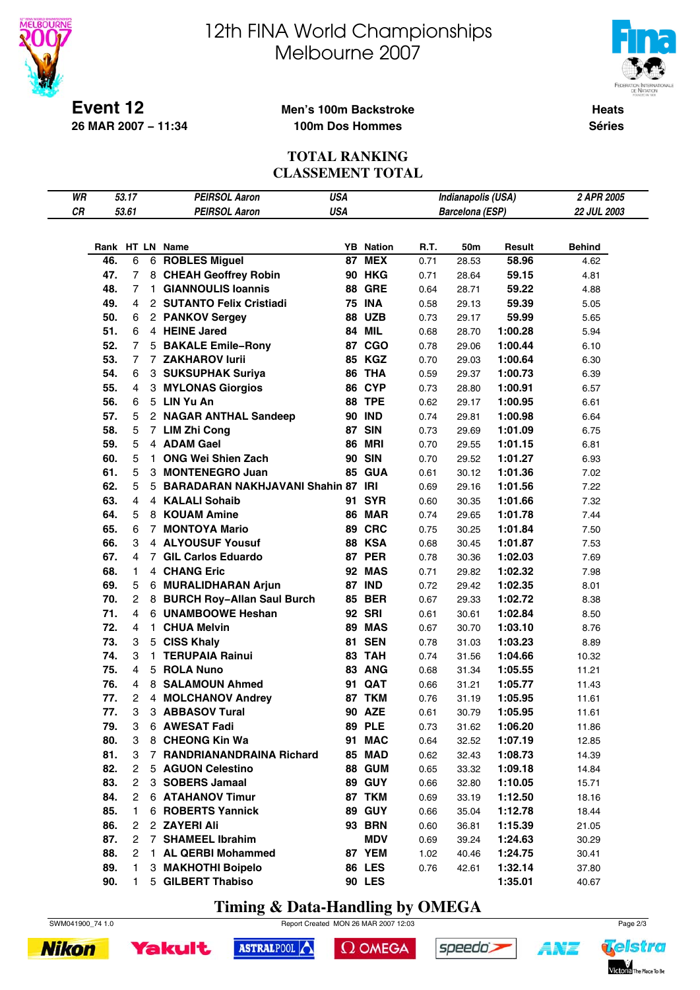

# 12th FINA World Championships Melbourne 2007



**Heats Séries**

#### **Men's 100m Backstroke 100m Dos Hommes**

#### **TOTAL RANKING CLASSEMENT TOTAL**

| WR |     | 53.17  |        | <b>PEIRSOL Aaron</b>               | <b>USA</b> |                  |      | Indianapolis (USA)     |                    | 2 APR 2005    |
|----|-----|--------|--------|------------------------------------|------------|------------------|------|------------------------|--------------------|---------------|
| CR |     | 53.61  |        | <b>PEIRSOL Aaron</b>               | <b>USA</b> |                  |      | <b>Barcelona (ESP)</b> |                    | 22 JUL 2003   |
|    |     |        |        |                                    |            |                  |      |                        |                    |               |
|    |     |        |        |                                    |            |                  |      |                        |                    |               |
|    |     |        |        | Rank HT LN Name                    |            | <b>YB</b> Nation | R.T. | 50m                    | Result             | <b>Behind</b> |
|    | 46. | 6      |        | 6 ROBLES Miguel                    |            | <b>87 MEX</b>    | 0.71 | 28.53                  | 58.96              | 4.62          |
|    | 47. | 7      |        | 8 CHEAH Geoffrey Robin             |            | <b>90 HKG</b>    | 0.71 | 28.64                  | 59.15              | 4.81          |
|    | 48. | 7      | 1.     | <b>GIANNOULIS Ioannis</b>          |            | <b>88 GRE</b>    | 0.64 | 28.71                  | 59.22              | 4.88          |
|    | 49. | 4      |        | 2 SUTANTO Felix Cristiadi          |            | <b>75 INA</b>    | 0.58 | 29.13                  | 59.39              | 5.05          |
|    | 50. | 6      |        | 2 PANKOV Sergey                    |            | <b>88 UZB</b>    | 0.73 | 29.17                  | 59.99              | 5.65          |
|    | 51. | 6      |        | 4 HEINE Jared                      |            | <b>84 MIL</b>    | 0.68 | 28.70                  | 1:00.28            | 5.94          |
|    | 52. | 7      | 5      | <b>BAKALE Emile-Rony</b>           |            | 87 CGO           | 0.78 | 29.06                  | 1:00.44            | 6.10          |
|    | 53. | 7      |        | 7 ZAKHAROV lurii                   |            | 85 KGZ           | 0.70 | 29.03                  | 1:00.64            | 6.30          |
|    | 54. | 6      |        | 3 SUKSUPHAK Suriya                 |            | 86 THA           | 0.59 | 29.37                  | 1:00.73            | 6.39          |
|    | 55. | 4      |        | 3 MYLONAS Giorgios                 |            | 86 CYP           | 0.73 | 28.80                  | 1:00.91            | 6.57          |
|    | 56. | 6      |        | 5 LIN Yu An                        |            | <b>88 TPE</b>    | 0.62 | 29.17                  | 1:00.95            | 6.61          |
|    | 57. | 5      |        | 2 NAGAR ANTHAL Sandeep             |            | <b>90 IND</b>    | 0.74 | 29.81                  | 1:00.98            | 6.64          |
|    | 58. | 5      |        | 7 LIM Zhi Cong                     |            | <b>87 SIN</b>    | 0.73 | 29.69                  | 1:01.09            | 6.75          |
|    | 59. | 5      |        | 4 ADAM Gael                        | 86         | <b>MRI</b>       | 0.70 | 29.55                  | 1:01.15            | 6.81          |
|    | 60. | 5      | 1.     | <b>ONG Wei Shien Zach</b>          |            | <b>90 SIN</b>    | 0.70 | 29.52                  | 1:01.27            | 6.93          |
|    | 61. | 5      | 3      | <b>MONTENEGRO Juan</b>             |            | <b>85 GUA</b>    | 0.61 | 30.12                  | 1:01.36            | 7.02          |
|    | 62. | 5      | 5      | BARADARAN NAKHJAVANI Shahin 87 IRI |            |                  | 0.69 | 29.16                  | 1:01.56            | 7.22          |
|    | 63. | 4      |        | 4 KALALI Sohaib                    |            | 91 SYR           | 0.60 | 30.35                  | 1:01.66            | 7.32          |
|    | 64. | 5      |        | 8 KOUAM Amine                      |            | <b>86 MAR</b>    | 0.74 | 29.65                  | 1:01.78            | 7.44          |
|    | 65. | 6      | 7      | <b>MONTOYA Mario</b>               |            | 89 CRC           | 0.75 | 30.25                  | 1:01.84            | 7.50          |
|    | 66. | 3      |        | 4 ALYOUSUF Yousuf                  |            | <b>88 KSA</b>    | 0.68 | 30.45                  | 1:01.87            | 7.53          |
|    | 67. | 4      |        | 7 GIL Carlos Eduardo               |            | <b>87 PER</b>    | 0.78 | 30.36                  | 1:02.03            | 7.69          |
|    | 68. | 1      |        | 4 CHANG Eric                       |            | <b>92 MAS</b>    | 0.71 | 29.82                  | 1:02.32            | 7.98          |
|    | 69. | 5      |        | 6 MURALIDHARAN Arjun               |            | <b>87 IND</b>    | 0.72 | 29.42                  | 1:02.35            | 8.01          |
|    | 70. | 2      |        | 8 BURCH Roy-Allan Saul Burch       |            | <b>85 BER</b>    | 0.67 | 29.33                  | 1:02.72            | 8.38          |
|    | 71. | 4      |        | 6 UNAMBOOWE Heshan                 |            | <b>92 SRI</b>    | 0.61 | 30.61                  | 1:02.84            | 8.50          |
|    | 72. | 4      | 1.     | <b>CHUA Melvin</b>                 |            | 89 MAS           | 0.67 | 30.70                  | 1:03.10            | 8.76          |
|    | 73. | 3      |        | 5 CISS Khaly                       |            | <b>81 SEN</b>    | 0.78 | 31.03                  | 1:03.23            | 8.89          |
|    | 74. | 3      | 1      | <b>TERUPAIA Rainui</b>             |            | 83 TAH           | 0.74 | 31.56                  | 1:04.66            | 10.32         |
|    | 75. | 4      | 5      | <b>ROLA Nuno</b>                   |            | 83 ANG           |      |                        |                    |               |
|    | 76. | 4      |        |                                    |            | 91 QAT           | 0.68 | 31.34                  | 1:05.55<br>1:05.77 | 11.21         |
|    |     |        |        | 8 SALAMOUN Ahmed                   |            |                  | 0.66 | 31.21                  |                    | 11.43         |
|    | 77. | 2<br>3 | 4<br>3 | <b>MOLCHANOV Andrey</b>            |            | 87 TKM           | 0.76 | 31.19                  | 1:05.95            | 11.61         |
|    | 77. |        |        | <b>ABBASOV Tural</b>               |            | <b>90 AZE</b>    | 0.61 | 30.79                  | 1:05.95            | 11.61         |
|    | 79. | 3      |        | 6 AWESAT Fadi                      |            | <b>89 PLE</b>    | 0.73 | 31.62                  | 1:06.20            | 11.86         |
|    | 80. | 3      |        | 8 CHEONG Kin Wa                    |            | 91 MAC           | 0.64 | 32.52                  | 1:07.19            | 12.85         |
|    | 81. | 3      | 7      | <b>RANDRIANANDRAINA Richard</b>    |            | 85 MAD           | 0.62 | 32.43                  | 1:08.73            | 14.39         |
|    | 82. | 2      |        | 5 AGUON Celestino                  |            | <b>88 GUM</b>    | 0.65 | 33.32                  | 1:09.18            | 14.84         |
|    | 83. | 2      |        | 3 SOBERS Jamaal                    |            | <b>89 GUY</b>    | 0.66 | 32.80                  | 1:10.05            | 15.71         |
|    | 84. | 2      |        | <b>6 ATAHANOV Timur</b>            |            | 87 TKM           | 0.69 | 33.19                  | 1:12.50            | 18.16         |
|    | 85. | 1      | 6      | <b>ROBERTS Yannick</b>             |            | <b>89 GUY</b>    | 0.66 | 35.04                  | 1:12.78            | 18.44         |
|    | 86. | 2      |        | 2 ZAYERI Ali                       |            | <b>93 BRN</b>    | 0.60 | 36.81                  | 1:15.39            | 21.05         |
|    | 87. | 2      |        | 7 SHAMEEL Ibrahim                  |            | <b>MDV</b>       | 0.69 | 39.24                  | 1:24.63            | 30.29         |
|    | 88. | 2      | 1.     | <b>AL QERBI Mohammed</b>           |            | 87 YEM           | 1.02 | 40.46                  | 1:24.75            | 30.41         |
|    | 89. | 1      |        | 3 MAKHOTHI Boipelo                 |            | <b>86 LES</b>    | 0.76 | 42.61                  | 1:32.14            | 37.80         |
|    | 90. | 1      |        | 5 GILBERT Thabiso                  |            | <b>90 LES</b>    |      |                        | 1:35.01            | 40.67         |

**Timing & Data-Handling by OMEGA**





**Yakult** 



```
\Omega OMEGA
```




4¥7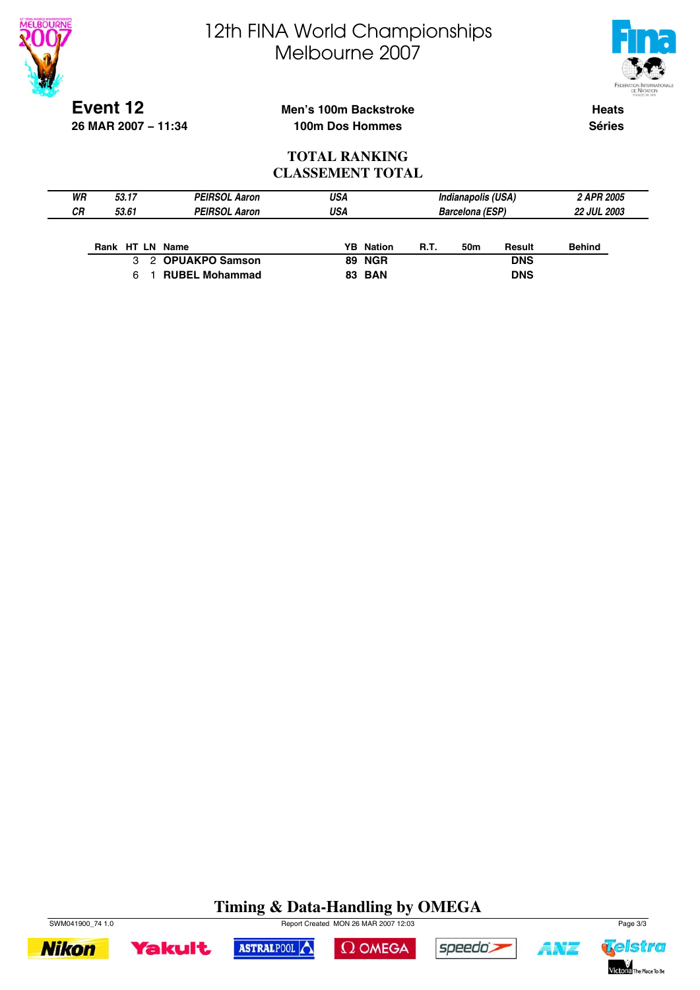



**Event 12 26 MAR 2007 − 11:34**

#### **Men's 100m Backstroke 100m Dos Hommes**

**Heats Séries**

#### **TOTAL RANKING CLASSEMENT TOTAL**

| WR<br>СR | 53.17<br>53.61  | <b>PEIRSOL Aaron</b><br><b>PEIRSOL Aaron</b> | USA<br>USA |                  |      | Indianapolis (USA)<br><b>Barcelona (ESP)</b> |            | 2 APR 2005<br><b>22 JUL 2003</b> |
|----------|-----------------|----------------------------------------------|------------|------------------|------|----------------------------------------------|------------|----------------------------------|
|          | Rank HT LN Name |                                              |            | <b>YB</b> Nation | R.T. | 50m                                          | Result     | <b>Behind</b>                    |
|          |                 | 3 2 OPUAKPO Samson                           |            | <b>89 NGR</b>    |      |                                              | <b>DNS</b> |                                  |
|          |                 | <b>RUBEL Mohammad</b>                        |            | <b>83 BAN</b>    |      |                                              | <b>DNS</b> |                                  |

### **Timing & Data-Handling by OMEGA**













4¥7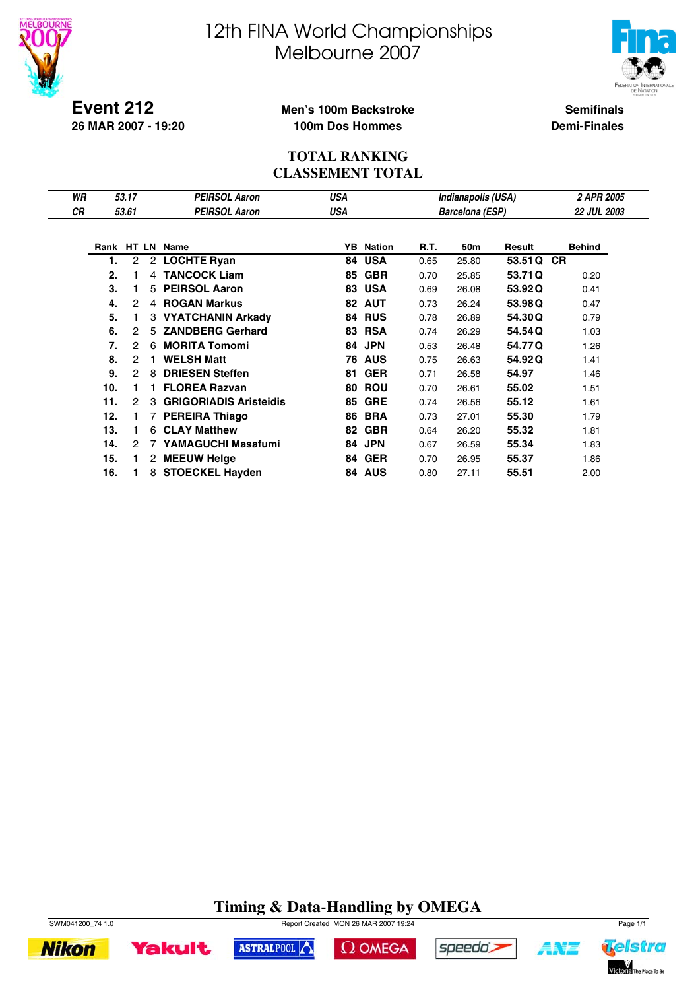



**Event 212 26 MAR 2007 - 19:20**

#### **Men's 100m Backstroke 100m Dos Hommes**

**Semifinals Demi-Finales**

#### **TOTAL RANKING CLASSEMENT TOTAL**

| WR |     | 53.17          |   | <b>PEIRSOL Aaron</b>     | USA        |                  |      | Indianapolis (USA)     |         | 2 APR 2005         |
|----|-----|----------------|---|--------------------------|------------|------------------|------|------------------------|---------|--------------------|
| СR |     | 53.61          |   | <b>PEIRSOL Aaron</b>     | <b>USA</b> |                  |      | <b>Barcelona (ESP)</b> |         | <b>22 JUL 2003</b> |
|    |     |                |   |                          |            |                  |      |                        |         |                    |
|    |     |                |   | Rank HT LN Name          |            | <b>YB</b> Nation | R.T. | 50m                    | Result  | <b>Behind</b>      |
|    | 1.  | $\overline{c}$ |   | 2 LOCHTE Ryan            | 84         | <b>USA</b>       | 0.65 | 25.80                  | 53.51 Q | <b>CR</b>          |
|    | 2.  |                |   | 4 TANCOCK Liam           | 85         | <b>GBR</b>       | 0.70 | 25.85                  | 53.71Q  | 0.20               |
|    | 3.  |                |   | 5 PEIRSOL Aaron          | 83         | <b>USA</b>       | 0.69 | 26.08                  | 53.92Q  | 0.41               |
|    | 4.  | 2              |   | 4 ROGAN Markus           |            | 82 AUT           | 0.73 | 26.24                  | 53.98Q  | 0.47               |
|    | 5.  |                |   | 3 VYATCHANIN Arkady      |            | <b>84 RUS</b>    | 0.78 | 26.89                  | 54.30Q  | 0.79               |
|    | 6.  | 2              | 5 | <b>ZANDBERG Gerhard</b>  | 83         | <b>RSA</b>       | 0.74 | 26.29                  | 54.54Q  | 1.03               |
|    | 7.  | 2              | 6 | <b>MORITA Tomomi</b>     | 84         | <b>JPN</b>       | 0.53 | 26.48                  | 54.77Q  | 1.26               |
|    | 8.  | 2              |   | <b>WELSH Matt</b>        | 76         | <b>AUS</b>       | 0.75 | 26.63                  | 54.92Q  | 1.41               |
|    | 9.  | 2              | 8 | <b>DRIESEN Steffen</b>   | 81         | <b>GER</b>       | 0.71 | 26.58                  | 54.97   | 1.46               |
|    | 10. |                |   | <b>FLOREA Razvan</b>     | 80         | <b>ROU</b>       | 0.70 | 26.61                  | 55.02   | 1.51               |
|    | 11. | 2              |   | 3 GRIGORIADIS Aristeidis | 85         | <b>GRE</b>       | 0.74 | 26.56                  | 55.12   | 1.61               |
|    | 12. |                |   | 7 PEREIRA Thiago         | 86         | <b>BRA</b>       | 0.73 | 27.01                  | 55.30   | 1.79               |
|    | 13. |                | 6 | <b>CLAY Matthew</b>      | 82         | <b>GBR</b>       | 0.64 | 26.20                  | 55.32   | 1.81               |
|    | 14. | 2              |   | YAMAGUCHI Masafumi       | 84         | <b>JPN</b>       | 0.67 | 26.59                  | 55.34   | 1.83               |
|    | 15. |                |   | 2 MEEUW Helge            | 84         | <b>GER</b>       | 0.70 | 26.95                  | 55.37   | 1.86               |
|    | 16. |                |   | 8 STOECKEL Hayden        |            | 84 AUS           | 0.80 | 27.11                  | 55.51   | 2.00               |

### **Timing & Data-Handling by OMEGA**



**Nikon** 



ASTRALPOOL





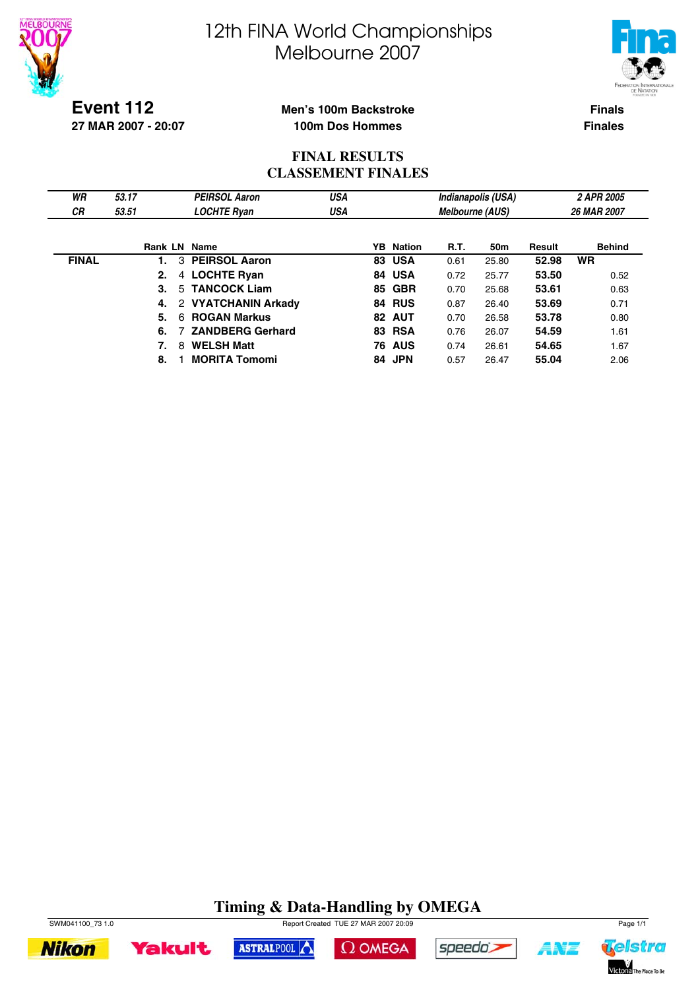



**Event 112 27 MAR 2007 - 20:07**

#### **Men's 100m Backstroke 100m Dos Hommes**

**Finals Finales**

#### **FINAL RESULTS CLASSEMENT FINALES**

| WR<br><b>CR</b> | 53.17<br>53.51      | <b>PEIRSOL Aaron</b><br><b>LOCHTE Ryan</b> | <b>USA</b><br>USA |    |                  | <b>Melbourne (AUS)</b> | Indianapolis (USA) |        | 2 APR 2005<br>26 MAR 2007 |
|-----------------|---------------------|--------------------------------------------|-------------------|----|------------------|------------------------|--------------------|--------|---------------------------|
|                 | <b>Rank LN Name</b> |                                            |                   |    | <b>YB</b> Nation | R.T.                   | 50m                | Result | <b>Behind</b>             |
| <b>FINAL</b>    | 3                   | <b>PEIRSOL Aaron</b>                       |                   | 83 | <b>USA</b>       | 0.61                   | 25.80              | 52.98  | <b>WR</b>                 |
|                 | 2.<br>4             | <b>LOCHTE Ryan</b>                         |                   |    | 84 USA           | 0.72                   | 25.77              | 53.50  | 0.52                      |
|                 | 3.                  | 5 TANCOCK Liam                             |                   |    | 85 GBR           | 0.70                   | 25.68              | 53.61  | 0.63                      |
|                 | 4.                  | 2 VYATCHANIN Arkady                        |                   |    | <b>84 RUS</b>    | 0.87                   | 26.40              | 53.69  | 0.71                      |
|                 | 5.<br>6.            | <b>ROGAN Markus</b>                        |                   |    | 82 AUT           | 0.70                   | 26.58              | 53.78  | 0.80                      |
|                 | 6.                  | <b>ZANDBERG Gerhard</b>                    |                   | 83 | <b>RSA</b>       | 0.76                   | 26.07              | 54.59  | 1.61                      |
|                 | 8                   | <b>WELSH Matt</b>                          |                   |    | <b>76 AUS</b>    | 0.74                   | 26.61              | 54.65  | 1.67                      |
|                 | 8.                  | <b>MORITA Tomomi</b>                       |                   | 84 | <b>JPN</b>       | 0.57                   | 26.47              | 55.04  | 2.06                      |

### **Timing & Data-Handling by OMEGA**





ASTRALPOOL





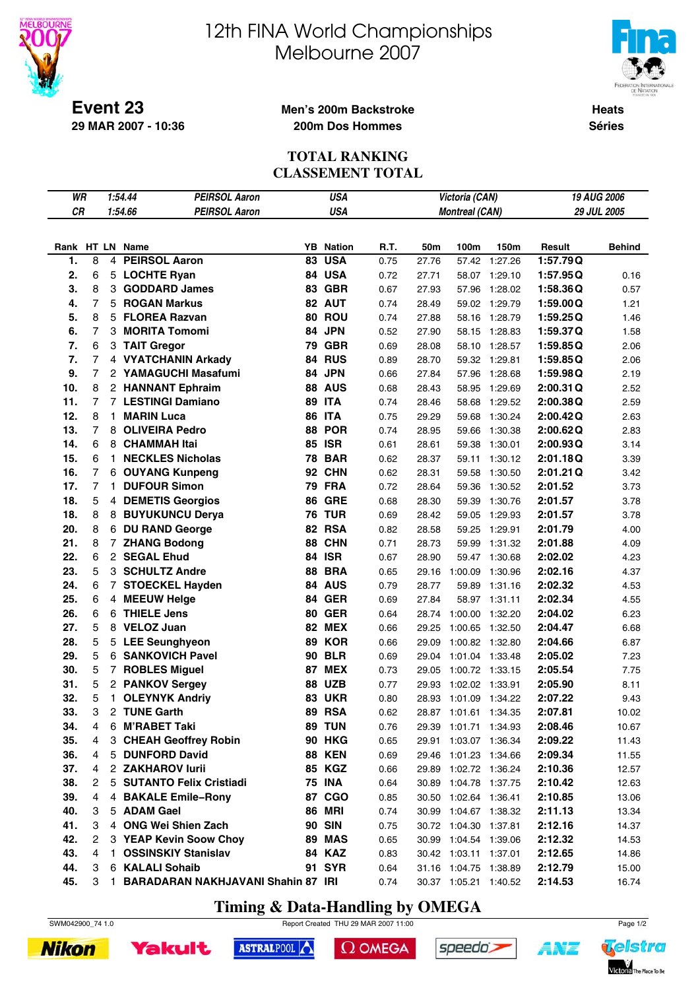

**29 MAR 2007 - 10:36**

# 12th FINA World Championships Melbourne 2007



**Heats Séries**

#### **Men's 200m Backstroke 200m Dos Hommes**

#### **TOTAL RANKING CLASSEMENT TOTAL**

| WR  |                |              | 1:54.44<br><b>PEIRSOL Aaron</b>    |    | USA              |      |       | Victoria (CAN)        |         |          | <b>19 AUG 2006</b> |
|-----|----------------|--------------|------------------------------------|----|------------------|------|-------|-----------------------|---------|----------|--------------------|
| CR  |                |              | 1:54.66<br><b>PEIRSOL Aaron</b>    |    | <b>USA</b>       |      |       | <b>Montreal (CAN)</b> |         |          | 29 JUL 2005        |
|     |                |              |                                    |    |                  |      |       |                       |         |          |                    |
|     |                |              | Rank HT LN Name                    |    | <b>YB</b> Nation | R.T. | 50m   | 100m                  | 150m    | Result   | <b>Behind</b>      |
| 1.  | 8              |              | 4 PEIRSOL Aaron                    | 83 | <b>USA</b>       | 0.75 | 27.76 | 57.42                 | 1:27.26 | 1:57.79Q |                    |
| 2.  | 6              |              | 5 LOCHTE Ryan                      |    | 84 USA           | 0.72 | 27.71 | 58.07                 | 1:29.10 | 1:57.95Q | 0.16               |
| 3.  | 8              |              | 3 GODDARD James                    |    | 83 GBR           | 0.67 | 27.93 | 57.96                 | 1:28.02 | 1:58.36Q | 0.57               |
| 4.  | $\overline{7}$ | 5            | <b>ROGAN Markus</b>                |    | 82 AUT           | 0.74 | 28.49 | 59.02                 | 1:29.79 | 1:59.00Q | 1.21               |
| 5.  | 8              | 5            | <b>FLOREA Razvan</b>               |    | 80 ROU           | 0.74 | 27.88 | 58.16                 | 1:28.79 | 1:59.25Q | 1.46               |
| 6.  | 7              | 3            | <b>MORITA Tomomi</b>               |    | 84 JPN           | 0.52 | 27.90 | 58.15                 | 1:28.83 | 1:59.37Q | 1.58               |
| 7.  | 6              |              | 3 TAIT Gregor                      | 79 | <b>GBR</b>       | 0.69 | 28.08 | 58.10                 | 1:28.57 | 1:59.85Q | 2.06               |
| 7.  | $\overline{7}$ |              | 4 VYATCHANIN Arkady                |    | <b>84 RUS</b>    | 0.89 | 28.70 | 59.32                 | 1:29.81 | 1:59.85Q | 2.06               |
| 9.  | $\overline{7}$ |              | 2 YAMAGUCHI Masafumi               |    | 84 JPN           | 0.66 | 27.84 | 57.96                 | 1:28.68 | 1:59.98Q | 2.19               |
| 10. | 8              |              | 2 HANNANT Ephraim                  |    | <b>88 AUS</b>    | 0.68 | 28.43 | 58.95                 | 1:29.69 | 2:00.31Q | 2.52               |
| 11. | 7              |              | 7 LESTINGI Damiano                 |    | <b>89 ITA</b>    | 0.74 | 28.46 | 58.68                 | 1:29.52 | 2:00.38Q | 2.59               |
| 12. | 8              | 1.           | <b>MARIN Luca</b>                  |    | 86 ITA           | 0.75 | 29.29 | 59.68                 | 1:30.24 | 2:00.42Q | 2.63               |
| 13. | 7              |              | 8 OLIVEIRA Pedro                   | 88 | <b>POR</b>       | 0.74 | 28.95 | 59.66                 | 1:30.38 | 2:00.62Q | 2.83               |
| 14. | 6              |              | 8 CHAMMAH Itai                     |    | <b>85 ISR</b>    | 0.61 | 28.61 | 59.38                 | 1:30.01 | 2:00.93Q | 3.14               |
| 15. | 6              | 1.           | <b>NECKLES Nicholas</b>            |    | <b>78 BAR</b>    | 0.62 | 28.37 | 59.11                 | 1:30.12 | 2:01.18Q | 3.39               |
| 16. | 7              |              | 6 OUYANG Kunpeng                   | 92 | <b>CHN</b>       | 0.62 | 28.31 | 59.58                 | 1:30.50 | 2:01.21Q | 3.42               |
| 17. | $\overline{7}$ | 1.           | <b>DUFOUR Simon</b>                |    | <b>79 FRA</b>    | 0.72 | 28.64 | 59.36                 | 1:30.52 | 2:01.52  | 3.73               |
| 18. | 5              |              | 4 DEMETIS Georgios                 | 86 | <b>GRE</b>       | 0.68 | 28.30 | 59.39                 | 1:30.76 | 2:01.57  | 3.78               |
| 18. | 8              |              | 8 BUYUKUNCU Derya                  |    | <b>76 TUR</b>    | 0.69 | 28.42 | 59.05                 | 1:29.93 | 2:01.57  | 3.78               |
| 20. | 8              |              | 6 DU RAND George                   |    | 82 RSA           | 0.82 | 28.58 | 59.25                 | 1:29.91 | 2:01.79  | 4.00               |
| 21. | 8              |              | 7 ZHANG Bodong                     | 88 | <b>CHN</b>       | 0.71 | 28.73 | 59.99                 | 1:31.32 | 2:01.88  | 4.09               |
| 22. | 6              |              | 2 SEGAL Ehud                       |    | <b>84 ISR</b>    | 0.67 | 28.90 | 59.47                 | 1:30.68 | 2:02.02  | 4.23               |
| 23. | 5              |              | 3 SCHULTZ Andre                    | 88 | <b>BRA</b>       | 0.65 | 29.16 | 1:00.09               | 1:30.96 | 2:02.16  | 4.37               |
| 24. | 6              |              | 7 STOECKEL Hayden                  |    | 84 AUS           | 0.79 | 28.77 | 59.89                 | 1:31.16 | 2:02.32  | 4.53               |
| 25. | 6              |              | 4 MEEUW Helge                      | 84 | <b>GER</b>       | 0.69 | 27.84 | 58.97                 | 1:31.11 | 2:02.34  | 4.55               |
| 26. | 6              | 6            | <b>THIELE Jens</b>                 | 80 | <b>GER</b>       | 0.64 | 28.74 | 1:00.00               | 1:32.20 | 2:04.02  | 6.23               |
| 27. | 5              |              | 8 VELOZ Juan                       | 82 | <b>MEX</b>       | 0.66 | 29.25 | 1:00.65               | 1:32.50 | 2:04.47  | 6.68               |
| 28. | 5              | 5            | <b>LEE Seunghyeon</b>              |    | <b>89 KOR</b>    | 0.66 | 29.09 | 1:00.82               | 1:32.80 | 2:04.66  | 6.87               |
| 29. | 5              | 6            | <b>SANKOVICH Pavel</b>             | 90 | <b>BLR</b>       | 0.69 | 29.04 | 1:01.04               | 1:33.48 | 2:05.02  | 7.23               |
| 30. | 5              |              | 7 ROBLES Miguel                    | 87 | <b>MEX</b>       | 0.73 | 29.05 | 1:00.72               | 1:33.15 | 2:05.54  | 7.75               |
| 31. | 5              |              | 2 PANKOV Sergey                    | 88 | <b>UZB</b>       | 0.77 | 29.93 | 1:02.02               | 1:33.91 | 2:05.90  | 8.11               |
| 32. | 5              | 1.           | <b>OLEYNYK Andriy</b>              | 83 | <b>UKR</b>       | 0.80 | 28.93 | 1:01.09               | 1:34.22 | 2:07.22  | 9.43               |
| 33. | 3              |              | 2 TUNE Garth                       | 89 | <b>RSA</b>       | 0.62 | 28.87 | 1:01.61               | 1:34.35 | 2:07.81  | 10.02              |
| 34. | 4              | 6            | <b>M'RABET Taki</b>                |    | <b>89 TUN</b>    | 0.76 |       | 29.39 1:01.71 1:34.93 |         | 2:08.46  | 10.67              |
| 35. | 4              |              | 3 CHEAH Geoffrey Robin             |    | <b>90 HKG</b>    | 0.65 | 29.91 | 1:03.07 1:36.34       |         | 2:09.22  | 11.43              |
| 36. | 4              | 5            | <b>DUNFORD David</b>               |    | <b>88 KEN</b>    | 0.69 | 29.46 | 1:01.23 1:34.66       |         | 2:09.34  | 11.55              |
| 37. | 4              |              | 2 ZAKHAROV lurii                   |    | 85 KGZ           | 0.66 | 29.89 | 1:02.72 1:36.24       |         | 2:10.36  | 12.57              |
| 38. | 2              | 5            | <b>SUTANTO Felix Cristiadi</b>     |    | <b>75 INA</b>    | 0.64 | 30.89 | 1:04.78 1:37.75       |         | 2:10.42  | 12.63              |
| 39. | 4              | 4            | <b>BAKALE Emile-Rony</b>           | 87 | <b>CGO</b>       | 0.85 | 30.50 | 1:02.64 1:36.41       |         | 2:10.85  | 13.06              |
| 40. | 3              | 5            | <b>ADAM Gael</b>                   |    | <b>86 MRI</b>    | 0.74 | 30.99 | 1:04.67 1:38.32       |         | 2:11.13  | 13.34              |
| 41. | 3              |              | 4 ONG Wei Shien Zach               |    | <b>90 SIN</b>    | 0.75 |       | 30.72 1:04.30         | 1:37.81 | 2:12.16  | 14.37              |
| 42. | 2              |              | 3 YEAP Kevin Soow Choy             |    | <b>89 MAS</b>    | 0.65 | 30.99 | 1:04.54               | 1:39.06 | 2:12.32  | 14.53              |
| 43. | 4              | $\mathbf{1}$ | <b>OSSINSKIY Stanislav</b>         |    | <b>84 KAZ</b>    | 0.83 |       | 30.42 1:03.11         | 1:37.01 | 2:12.65  | 14.86              |
| 44. | 3              |              | 6 KALALI Sohaib                    |    | <b>91 SYR</b>    | 0.64 |       | 31.16 1:04.75 1:38.89 |         | 2:12.79  | 15.00              |
| 45. | 3              | $\mathbf{1}$ | BARADARAN NAKHJAVANI Shahin 87 IRI |    |                  | 0.74 |       | 30.37 1:05.21 1:40.52 |         | 2:14.53  | 16.74              |

### **Timing & Data-Handling by OMEGA**

SWM042900\_74 1.0 Report Created THU 29 MAR 2007 11:00 Page 1/2





 $\Omega$  OMEGA





ANZ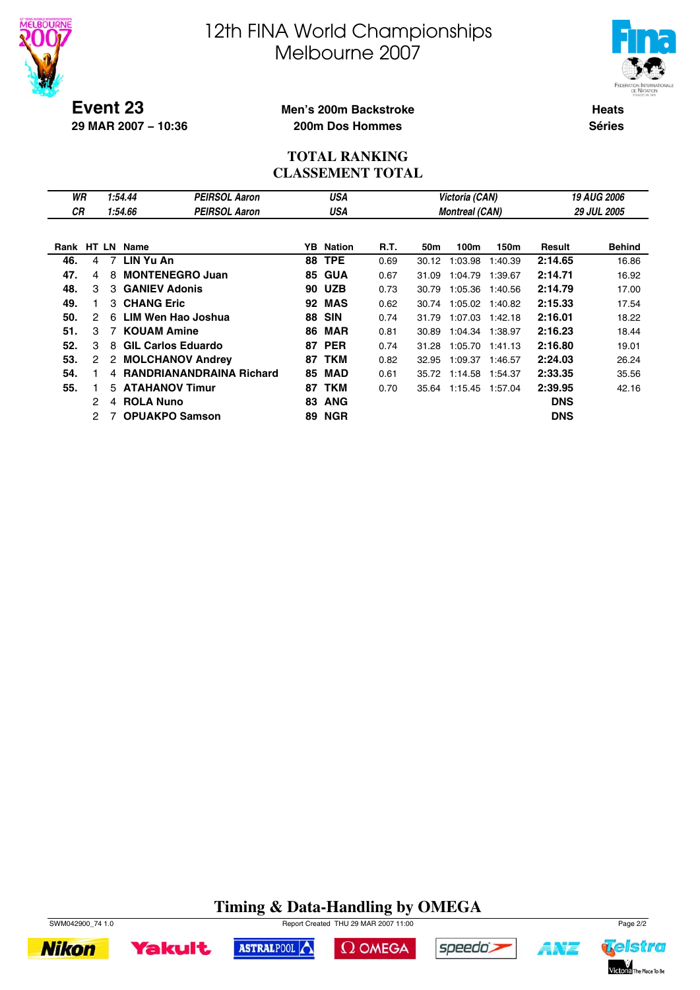



**Event 23 29 MAR 2007 − 10:36**

#### **Men's 200m Backstroke 200m Dos Hommes**

**Heats Séries**

#### **TOTAL RANKING CLASSEMENT TOTAL**

| WR   |               |    | 1:54.44          | <b>PEIRSOL Aaron</b>            |     | <b>USA</b>    |      |       | Victoria (CAN)        |         |               | <b>19 AUG 2006</b> |
|------|---------------|----|------------------|---------------------------------|-----|---------------|------|-------|-----------------------|---------|---------------|--------------------|
| СR   |               |    | 1:54.66          | <b>PEIRSOL Aaron</b>            |     | USA           |      |       | <b>Montreal (CAN)</b> |         |               | <b>29 JUL 2005</b> |
|      |               |    |                  |                                 |     |               |      |       |                       |         |               |                    |
| Rank |               |    | HT LN Name       |                                 | YB. | Nation        | R.T. | 50m   | 100m                  | 150m    | <b>Result</b> | <b>Behind</b>      |
| 46.  | 4             | 7  | LIN Yu An        |                                 | 88  | <b>TPE</b>    | 0.69 | 30.12 | 1:03.98               | 1:40.39 | 2:14.65       | 16.86              |
| 47.  | 4             | 8  |                  | <b>MONTENEGRO Juan</b>          | 85  | <b>GUA</b>    | 0.67 | 31.09 | 1:04.79               | 1:39.67 | 2:14.71       | 16.92              |
| 48.  | 3             |    |                  | 3 GANIEV Adonis                 |     | <b>90 UZB</b> | 0.73 | 30.79 | 1:05.36               | 1:40.56 | 2:14.79       | 17.00              |
| 49.  |               |    | 3 CHANG Eric     |                                 | 92  | <b>MAS</b>    | 0.62 | 30.74 | 1:05.02               | 1:40.82 | 2:15.33       | 17.54              |
| 50.  | $\mathcal{P}$ | 6  |                  | LIM Wen Hao Joshua              | 88  | <b>SIN</b>    | 0.74 | 31.79 | 1:07.03               | 1:42.18 | 2:16.01       | 18.22              |
| 51.  | 3             | 7  |                  | <b>KOUAM Amine</b>              | 86  | <b>MAR</b>    | 0.81 | 30.89 | 1:04.34               | 1:38.97 | 2:16.23       | 18.44              |
| 52.  | 3             | 8  |                  | <b>GIL Carlos Eduardo</b>       | 87  | <b>PER</b>    | 0.74 | 31.28 | 1:05.70               | 1:41.13 | 2:16.80       | 19.01              |
| 53.  | 2             |    |                  | 2 MOLCHANOV Andrey              | 87  | <b>TKM</b>    | 0.82 | 32.95 | 1:09.37               | 1:46.57 | 2:24.03       | 26.24              |
| 54.  |               | 4  |                  | <b>RANDRIANANDRAINA Richard</b> | 85  | <b>MAD</b>    | 0.61 | 35.72 | 1:14.58               | 1:54.37 | 2:33.35       | 35.56              |
| 55.  |               | 5. |                  | <b>ATAHANOV Timur</b>           | 87  | TKM           | 0.70 | 35.64 | 1:15.45               | 1:57.04 | 2:39.95       | 42.16              |
|      | 2             | 4  | <b>ROLA Nuno</b> |                                 | 83  | <b>ANG</b>    |      |       |                       |         | <b>DNS</b>    |                    |
|      | 2             |    |                  | <b>OPUAKPO Samson</b>           | 89  | <b>NGR</b>    |      |       |                       |         | <b>DNS</b>    |                    |

### **Timing & Data-Handling by OMEGA**



**Yakult** 



 $\Omega$  OMEGA



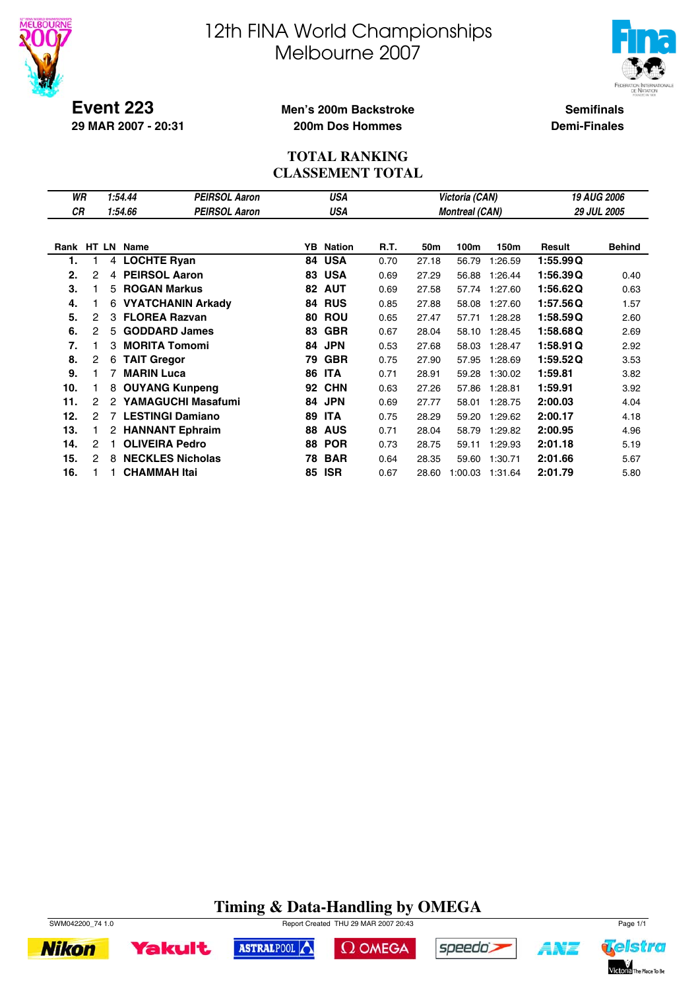



**Event 223 29 MAR 2007 - 20:31**

#### **Men's 200m Backstroke 200m Dos Hommes**

**Semifinals Demi-Finales**

#### **TOTAL RANKING CLASSEMENT TOTAL**

| WR  |                |   | 1:54.44           | <b>PEIRSOL Aaron</b>     |     | USA           |      | Victoria (CAN) |                       | <b>19 AUG 2006</b> |          |                    |
|-----|----------------|---|-------------------|--------------------------|-----|---------------|------|----------------|-----------------------|--------------------|----------|--------------------|
| СR  |                |   | 1:54.66           | <b>PEIRSOL Aaron</b>     |     | USA           |      |                | <b>Montreal (CAN)</b> |                    |          | <b>29 JUL 2005</b> |
|     |                |   |                   |                          |     |               |      |                |                       |                    |          |                    |
|     |                |   | Rank HT LN Name   |                          | YB. | <b>Nation</b> | R.T. | 50m            | 100m                  | 150m               | Result   | <b>Behind</b>      |
| 1.  |                | 4 |                   | <b>LOCHTE Ryan</b>       | 84  | <b>USA</b>    | 0.70 | 27.18          | 56.79                 | 1:26.59            | 1:55.99Q |                    |
| 2.  | 2              | 4 |                   | <b>PEIRSOL Aaron</b>     | 83  | <b>USA</b>    | 0.69 | 27.29          | 56.88                 | 1:26.44            | 1:56.39Q | 0.40               |
| 3.  |                |   |                   | 5 ROGAN Markus           | 82  | <b>AUT</b>    | 0.69 | 27.58          | 57.74                 | 1:27.60            | 1:56.62Q | 0.63               |
| 4.  |                | 6 |                   | <b>VYATCHANIN Arkady</b> | 84  | <b>RUS</b>    | 0.85 | 27.88          | 58.08                 | 1:27.60            | 1:57.56Q | 1.57               |
| 5.  | 2              | 3 |                   | <b>FLOREA Razvan</b>     | 80  | <b>ROU</b>    | 0.65 | 27.47          | 57.71                 | 1:28.28            | 1:58.59Q | 2.60               |
| 6.  | 2              | 5 |                   | <b>GODDARD James</b>     | 83  | <b>GBR</b>    | 0.67 | 28.04          | 58.10                 | 1:28.45            | 1:58.68Q | 2.69               |
| 7.  |                | 3 |                   | <b>MORITA Tomomi</b>     | 84  | <b>JPN</b>    | 0.53 | 27.68          | 58.03                 | 1:28.47            | 1:58.91Q | 2.92               |
| 8.  | $\overline{c}$ | 6 |                   | <b>TAIT Gregor</b>       | 79  | <b>GBR</b>    | 0.75 | 27.90          | 57.95                 | 1:28.69            | 1:59.52Q | 3.53               |
| 9.  |                | 7 | <b>MARIN Luca</b> |                          | 86  | <b>ITA</b>    | 0.71 | 28.91          | 59.28                 | 1:30.02            | 1:59.81  | 3.82               |
| 10. |                | 8 |                   | <b>OUYANG Kunpeng</b>    | 92  | <b>CHN</b>    | 0.63 | 27.26          | 57.86                 | 1:28.81            | 1:59.91  | 3.92               |
| 11. | 2              | 2 |                   | YAMAGUCHI Masafumi       | 84  | <b>JPN</b>    | 0.69 | 27.77          | 58.01                 | 1:28.75            | 2:00.03  | 4.04               |
| 12. | 2              |   |                   | <b>LESTINGI Damiano</b>  | 89  | <b>ITA</b>    | 0.75 | 28.29          | 59.20                 | 1:29.62            | 2:00.17  | 4.18               |
| 13. |                |   |                   | 2 HANNANT Ephraim        | 88  | <b>AUS</b>    | 0.71 | 28.04          | 58.79                 | 1:29.82            | 2:00.95  | 4.96               |
| 14. | 2              |   |                   | <b>OLIVEIRA Pedro</b>    | 88  | <b>POR</b>    | 0.73 | 28.75          | 59.11                 | 1:29.93            | 2:01.18  | 5.19               |
| 15. | 2              | 8 |                   | <b>NECKLES Nicholas</b>  | 78  | <b>BAR</b>    | 0.64 | 28.35          | 59.60                 | 1:30.71            | 2:01.66  | 5.67               |
| 16. |                |   |                   | <b>CHAMMAH Itai</b>      | 85  | <b>ISR</b>    | 0.67 | 28.60          | 1:00.03               | 1:31.64            | 2:01.79  | 5.80               |

### **Timing & Data-Handling by OMEGA**











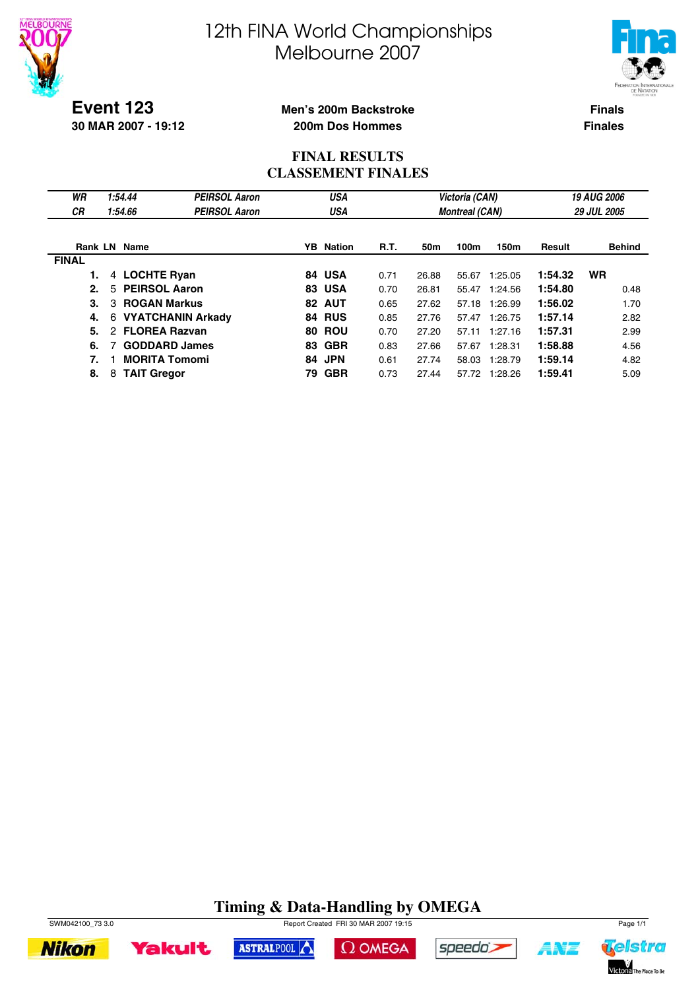



**Event 123 30 MAR 2007 - 19:12**

#### **Men's 200m Backstroke 200m Dos Hommes**

**Finals Finales**

#### **FINAL RESULTS CLASSEMENT FINALES**

| WR<br>СR     | 1:54.44<br>1:54.66        | <b>PEIRSOL Aaron</b><br><b>PEIRSOL Aaron</b> |     | USA<br>USA       |             |       | Victoria (CAN)<br><b>Montreal (CAN)</b> |         |               | <b>19 AUG 2006</b><br><b>29 JUL 2005</b> |
|--------------|---------------------------|----------------------------------------------|-----|------------------|-------------|-------|-----------------------------------------|---------|---------------|------------------------------------------|
| Rank LN      | Name                      |                                              |     | <b>YB</b> Nation | <b>R.T.</b> | 50m   | 100m                                    | 150m    | <b>Result</b> | <b>Behind</b>                            |
| <b>FINAL</b> |                           |                                              |     |                  |             |       |                                         |         |               |                                          |
|              | 4 LOCHTE Ryan             |                                              |     | 84 USA           | 0.71        | 26.88 | 55.67                                   | 1:25.05 | 1:54.32       | <b>WR</b>                                |
| 2.           | <b>PEIRSOL Aaron</b><br>5 |                                              |     | <b>83 USA</b>    | 0.70        | 26.81 | 55.47                                   | 1:24.56 | 1:54.80       | 0.48                                     |
| 3.           | <b>ROGAN Markus</b><br>3  |                                              | 82  | <b>AUT</b>       | 0.65        | 27.62 | 57.18                                   | 1:26.99 | 1:56.02       | 1.70                                     |
| 4.           | 6                         | <b>VYATCHANIN Arkady</b>                     |     | 84 RUS           | 0.85        | 27.76 | 57.47                                   | 1:26.75 | 1:57.14       | 2.82                                     |
| 5.           | 2                         | <b>FLOREA Razvan</b>                         | 80  | <b>ROU</b>       | 0.70        | 27.20 | 57.11                                   | 1:27.16 | 1:57.31       | 2.99                                     |
| 6.           |                           | <b>GODDARD James</b>                         | 83. | <b>GBR</b>       | 0.83        | 27.66 | 57.67                                   | 1:28.31 | 1:58.88       | 4.56                                     |
| 7.           |                           | <b>MORITA Tomomi</b>                         |     | 84 JPN           | 0.61        | 27.74 | 58.03                                   | 1:28.79 | 1:59.14       | 4.82                                     |
| 8.           | <b>TAIT Gregor</b><br>8   |                                              | 79  | <b>GBR</b>       | 0.73        | 27.44 | 57.72                                   | 1:28.26 | 1:59.41       | 5.09                                     |

### **Timing & Data-Handling by OMEGA**











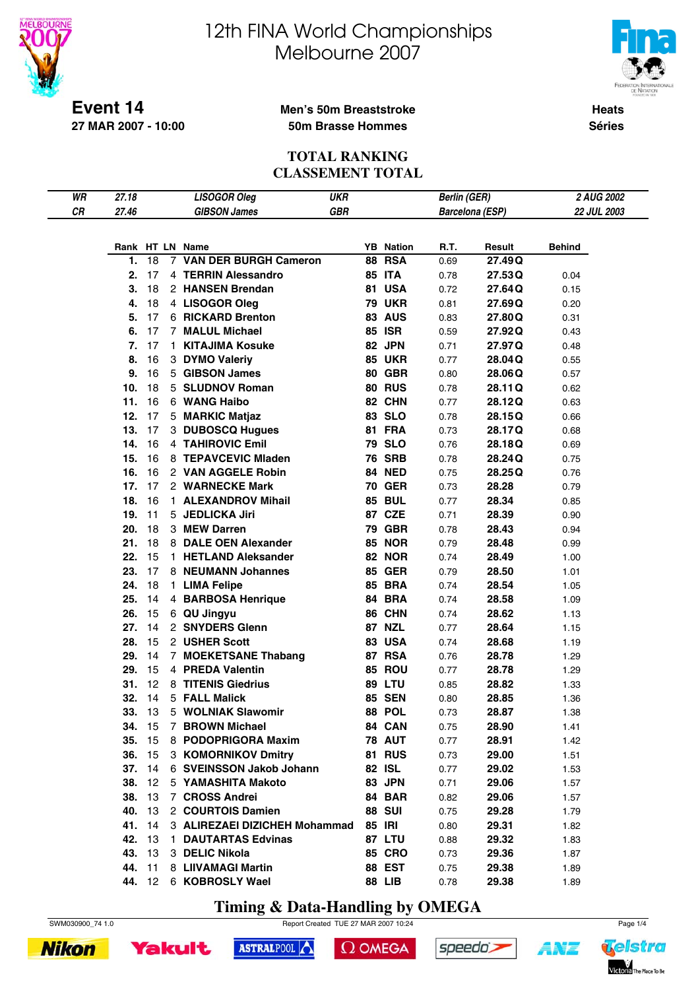



**Heats Séries**

**Event 14 27 MAR 2007 - 10:00**

#### **Men's 50m Breaststroke 50m Brasse Hommes**

#### **TOTAL RANKING CLASSEMENT TOTAL**

| WR |               |    |    |                               | <b>UKR</b> |                  |                        |        | 2 AUG 2002    |
|----|---------------|----|----|-------------------------------|------------|------------------|------------------------|--------|---------------|
|    | 27.18         |    |    | <b>LISOGOR Oleg</b>           |            |                  | <b>Berlin (GER)</b>    |        |               |
| CR | 27.46         |    |    | <b>GIBSON James</b>           | GBR        |                  | <b>Barcelona (ESP)</b> |        | 22 JUL 2003   |
|    |               |    |    |                               |            |                  |                        |        |               |
|    |               |    |    | Rank HT LN Name               |            | <b>YB</b> Nation | R.T.                   | Result | <b>Behind</b> |
|    | 1.            | 18 |    | 7 VAN DER BURGH Cameron       |            | <b>88 RSA</b>    | 0.69                   | 27.49Q |               |
|    | 2.            | 17 |    | 4 TERRIN Alessandro           |            | <b>85 ITA</b>    | 0.78                   | 27.53Q | 0.04          |
|    | 3.            | 18 |    | 2 HANSEN Brendan              |            | 81 USA           | 0.72                   | 27.64Q | 0.15          |
|    | 4.            | 18 |    | 4 LISOGOR Oleg                |            | <b>79 UKR</b>    | 0.81                   | 27.69Q | 0.20          |
|    | 5.            | 17 |    | 6 RICKARD Brenton             |            | <b>83 AUS</b>    | 0.83                   | 27.80Q | 0.31          |
|    |               |    |    |                               |            |                  |                        |        |               |
|    | 6.            | 17 |    | 7 MALUL Michael               |            | <b>85 ISR</b>    | 0.59                   | 27.92Q | 0.43          |
|    | 7.            | 17 | 1. | <b>KITAJIMA Kosuke</b>        |            | 82 JPN           | 0.71                   | 27.97Q | 0.48          |
|    | 8.            | 16 |    | 3 DYMO Valeriy                |            | <b>85 UKR</b>    | 0.77                   | 28.04Q | 0.55          |
|    | 9.            | 16 |    | 5 GIBSON James                |            | <b>80 GBR</b>    | 0.80                   | 28.06Q | 0.57          |
|    | 10.           | 18 |    | 5 SLUDNOV Roman               |            | <b>80 RUS</b>    | 0.78                   | 28.11Q | 0.62          |
|    | 11.           | 16 |    | 6 WANG Haibo                  |            | 82 CHN           | 0.77                   | 28.12Q | 0.63          |
|    | 12.           | 17 |    | 5 MARKIC Matjaz               |            | 83 SLO           | 0.78                   | 28.15Q | 0.66          |
|    | 13.           | 17 |    | 3 DUBOSCQ Hugues              |            | 81 FRA           | 0.73                   | 28.17Q | 0.68          |
|    | 14.           | 16 |    | 4 TAHIROVIC Emil              |            | <b>79 SLO</b>    | 0.76                   | 28.18Q | 0.69          |
|    | 15.           | 16 |    | 8 TEPAVCEVIC Mladen           |            | <b>76 SRB</b>    | 0.78                   | 28.24Q | 0.75          |
|    | 16.           | 16 |    | 2 VAN AGGELE Robin            |            | <b>84 NED</b>    | 0.75                   | 28.25Q | 0.76          |
|    | 17.           | 17 |    | 2 WARNECKE Mark               |            | <b>70 GER</b>    | 0.73                   | 28.28  | 0.79          |
|    | 18.           | 16 |    | 1 ALEXANDROV Mihail           |            | <b>85 BUL</b>    | 0.77                   | 28.34  | 0.85          |
|    | 19.           | 11 |    | 5 JEDLICKA Jiri               |            | 87 CZE           | 0.71                   | 28.39  | 0.90          |
|    | 20.           | 18 |    | 3 MEW Darren                  |            | <b>79 GBR</b>    | 0.78                   | 28.43  | 0.94          |
|    | 21.           | 18 |    | 8 DALE OEN Alexander          |            | <b>85 NOR</b>    | 0.79                   | 28.48  | 0.99          |
|    | 22.           | 15 |    | 1 HETLAND Aleksander          |            | <b>82 NOR</b>    | 0.74                   | 28.49  | 1.00          |
|    | 23.           | 17 |    | 8 NEUMANN Johannes            |            | <b>85 GER</b>    | 0.79                   | 28.50  | 1.01          |
|    | 24.           | 18 |    | 1 LIMA Felipe                 |            | <b>85 BRA</b>    | 0.74                   | 28.54  | 1.05          |
|    | 25.           | 14 |    | 4 BARBOSA Henrique            |            | 84 BRA           | 0.74                   | 28.58  | 1.09          |
|    | 26.           | 15 |    | 6 QU Jingyu                   |            | 86 CHN           |                        | 28.62  |               |
|    |               |    |    |                               |            |                  | 0.74                   |        | 1.13          |
|    | 27.           | 14 |    | 2 SNYDERS Glenn               |            | <b>87 NZL</b>    | 0.77                   | 28.64  | 1.15          |
|    | 28.           | 15 |    | 2 USHER Scott                 |            | <b>83 USA</b>    | 0.74                   | 28.68  | 1.19          |
|    | 29.           | 14 |    | 7 MOEKETSANE Thabang          |            | <b>87 RSA</b>    | 0.76                   | 28.78  | 1.29          |
|    | 29.           | 15 |    | 4 PREDA Valentin              |            | 85 ROU           | 0.77                   | 28.78  | 1.29          |
|    | 31.           | 12 |    | 8 TITENIS Giedrius            |            | <b>89 LTU</b>    | 0.85                   | 28.82  | 1.33          |
|    | 32.           | 14 |    | 5 FALL Malick                 |            | <b>85 SEN</b>    | 0.80                   | 28.85  | 1.36          |
|    | 33. 13        |    |    | 5 WOLNIAK Slawomir            |            | 88 POL           | 0.73                   | 28.87  | 1.38          |
|    | <b>34.</b> 15 |    |    | 7 BROWN Michael               |            | 84 CAN           | 0.75                   | 28.90  | 1.41          |
|    | 35. 15        |    |    | 8 PODOPRIGORA Maxim           |            | <b>78 AUT</b>    | 0.77                   | 28.91  | 1.42          |
|    | 36. 15        |    |    | 3 KOMORNIKOV Dmitry           |            | <b>81 RUS</b>    | 0.73                   | 29.00  | 1.51          |
|    | 37. 14        |    |    | 6 SVEINSSON Jakob Johann      |            | 82 ISL           | 0.77                   | 29.02  | 1.53          |
|    | 38. 12        |    |    | 5 YAMASHITA Makoto            |            | 83 JPN           | 0.71                   | 29.06  | 1.57          |
|    | 38. 13        |    |    | 7 CROSS Andrei                |            | 84 BAR           | 0.82                   | 29.06  | 1.57          |
|    | 40. 13        |    |    | 2 COURTOIS Damien             |            | <b>88 SUI</b>    | 0.75                   | 29.28  | 1.79          |
|    | 41. 14        |    |    | 3 ALIREZAEI DIZICHEH Mohammad |            | 85 IRI           | 0.80                   | 29.31  | 1.82          |
|    | <b>42.</b> 13 |    |    | 1 DAUTARTAS Edvinas           |            | <b>87 LTU</b>    | 0.88                   | 29.32  | 1.83          |
|    | <b>43.</b> 13 |    |    | 3 DELIC Nikola                |            | <b>85 CRO</b>    | 0.73                   | 29.36  | 1.87          |
|    | 44. 11        |    |    | 8 LIIVAMAGI Martin            |            | 88 EST           | 0.75                   | 29.38  | 1.89          |
|    |               |    |    | 44. 12 6 KOBROSLY Wael        |            | <b>88 LIB</b>    | 0.78                   | 29.38  | 1.89          |
|    |               |    |    |                               |            |                  |                        |        |               |

**Timing & Data-Handling by OMEGA**

ASTRALPOOL

SWM030900\_74 1.0 Report Created TUE 27 MAR 2007 10:24 Page 1/4

 $\Omega$  OMEGA

speedo's



**Yakult** 



1 N'E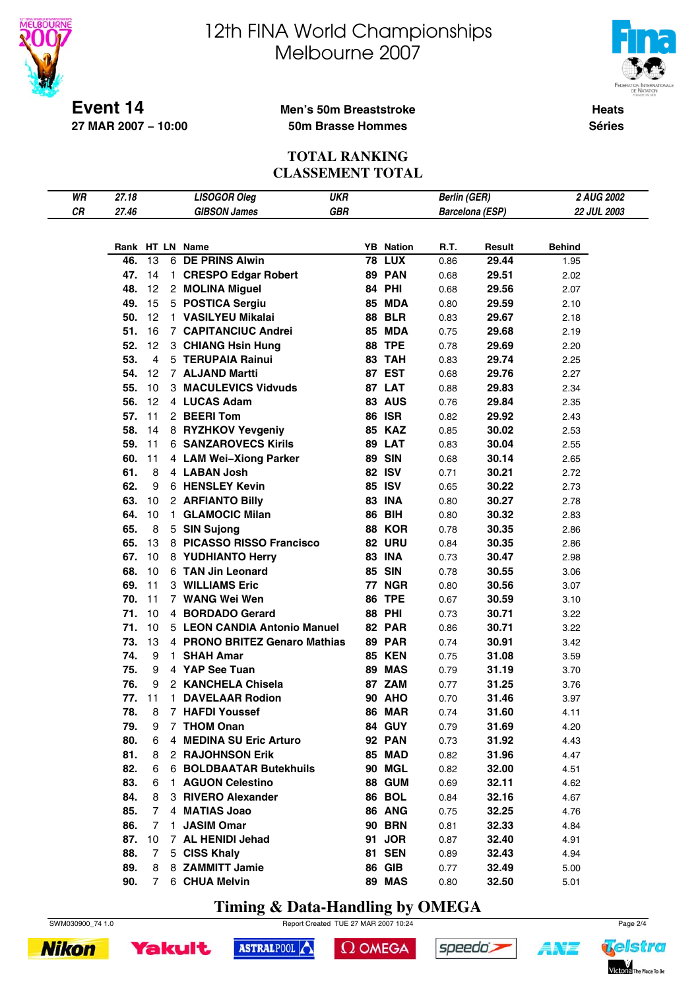

# 12th FINA World Championships Melbourne 2007



**Heats Séries**

#### **Men's 50m Breaststroke 50m Brasse Hommes**

**TOTAL RANKING CLASSEMENT TOTAL**

| WR | 27.18      |        |    | <b>LISOGOR Oleg</b>                                 | <b>UKR</b> |                         | <b>Berlin (GER)</b> |                        | 2 AUG 2002    |  |
|----|------------|--------|----|-----------------------------------------------------|------------|-------------------------|---------------------|------------------------|---------------|--|
| CR | 27.46      |        |    | <b>GIBSON James</b>                                 | <b>GBR</b> |                         |                     | <b>Barcelona (ESP)</b> | 22 JUL 2003   |  |
|    |            |        |    |                                                     |            |                         |                     |                        |               |  |
|    | Rank       |        |    | HT LN Name                                          |            | <b>YB</b> Nation        | R.T.                | Result                 | <b>Behind</b> |  |
|    | 46.        | 13     | 6  | <b>DE PRINS Alwin</b>                               | 78         | <b>LUX</b>              | 0.86                | 29.44                  | 1.95          |  |
|    | 47.        | 14     | 1. | <b>CRESPO Edgar Robert</b>                          |            | <b>89 PAN</b>           | 0.68                | 29.51                  | 2.02          |  |
|    | 48.        | 12     |    | 2 MOLINA Miguel                                     |            | <b>84 PHI</b>           | 0.68                | 29.56                  | 2.07          |  |
|    | 49.        | 15     |    | 5 POSTICA Sergiu                                    | 85         | <b>MDA</b>              | 0.80                | 29.59                  | 2.10          |  |
|    | 50.        | 12     |    | 1 VASILYEU Mikalai                                  | 88         | <b>BLR</b>              | 0.83                | 29.67                  | 2.18          |  |
|    | 51.        | 16     |    | <b>7 CAPITANCIUC Andrei</b>                         | 85         | <b>MDA</b>              | 0.75                | 29.68                  | 2.19          |  |
|    | 52.        | 12     |    | 3 CHIANG Hsin Hung                                  | 88         | <b>TPE</b>              | 0.78                | 29.69                  | 2.20          |  |
|    | 53.        | 4      |    | 5 TERUPAIA Rainui                                   | 83         | <b>TAH</b>              | 0.83                | 29.74                  | 2.25          |  |
|    | 54.        | 12     |    | 7 ALJAND Martti                                     | 87         | <b>EST</b>              | 0.68                | 29.76                  | 2.27          |  |
|    | 55.        | 10     |    | 3 MACULEVICS Vidvuds                                |            | 87 LAT                  | 0.88                | 29.83                  | 2.34          |  |
|    | 56.        | 12     |    | 4 LUCAS Adam                                        |            | <b>83 AUS</b>           | 0.76                | 29.84                  | 2.35          |  |
|    | 57.        | 11     |    | 2 BEERI Tom                                         |            | <b>86 ISR</b>           | 0.82                | 29.92                  | 2.43          |  |
|    | 58.        | 14     |    | 8 RYZHKOV Yevgeniy                                  |            | <b>85 KAZ</b>           | 0.85                | 30.02                  | 2.53          |  |
|    | 59.        | 11     |    | <b>6 SANZAROVECS Kirils</b>                         |            | 89 LAT                  | 0.83                | 30.04                  | 2.55          |  |
|    | 60.        | 11     |    | 4 LAM Wei-Xiong Parker                              | 89         | <b>SIN</b>              | 0.68                | 30.14                  | 2.65          |  |
|    | 61.        | 8      |    | 4 LABAN Josh                                        |            | <b>82 ISV</b>           | 0.71                | 30.21                  | 2.72          |  |
|    | 62.        | 9      |    | 6 HENSLEY Kevin                                     |            | 85 ISV                  | 0.65                | 30.22                  | 2.73          |  |
|    | 63.        | 10     |    | 2 ARFIANTO Billy                                    | 83         | <b>INA</b>              | 0.80                | 30.27                  | 2.78          |  |
|    | 64.        | 10     | 1. | <b>GLAMOCIC Milan</b>                               | 86         | <b>BIH</b>              | 0.80                | 30.32                  | 2.83          |  |
|    | 65.        | 8      |    | 5 SIN Sujong                                        | 88         | <b>KOR</b>              | 0.78                | 30.35                  | 2.86          |  |
|    | 65.        | 13     |    | 8 PICASSO RISSO Francisco                           |            | <b>82 URU</b>           | 0.84                | 30.35                  | 2.86          |  |
|    | 67.        | 10     |    | 8 YUDHIANTO Herry                                   |            | <b>83 INA</b>           | 0.73                | 30.47                  | 2.98          |  |
|    | 68.        | 10     |    | 6 TAN Jin Leonard                                   | 85         | <b>SIN</b>              | 0.78                | 30.55                  | 3.06          |  |
|    | 69.        | 11     |    | <b>3 WILLIAMS Eric</b>                              | 77         | <b>NGR</b>              | 0.80                | 30.56                  | 3.07          |  |
|    | 70.        | 11     |    | 7 WANG Wei Wen                                      | 86         | <b>TPE</b>              | 0.67                | 30.59                  | 3.10          |  |
|    | 71.        | 10     |    | 4 BORDADO Gerard                                    | 88         | <b>PHI</b>              | 0.73                | 30.71                  | 3.22          |  |
|    | 71.        | 10     |    | 5 LEON CANDIA Antonio Manuel                        | 82         | <b>PAR</b>              | 0.86                | 30.71                  | 3.22          |  |
|    | 73.        | 13     |    | 4 PRONO BRITEZ Genaro Mathias                       |            | 89 PAR                  | 0.74                | 30.91                  | 3.42          |  |
|    | 74.        | 9      | 1. | <b>SHAH Amar</b>                                    |            | <b>85 KEN</b>           | 0.75                | 31.08                  | 3.59          |  |
|    | 75.        | 9      |    | 4 YAP See Tuan                                      |            | 89 MAS                  | 0.79                | 31.19                  | 3.70          |  |
|    | 76.        | 9      |    | 2 KANCHELA Chisela                                  |            | 87 ZAM                  | 0.77                | 31.25                  | 3.76          |  |
|    | 77.        | 11     |    | 1 DAVELAAR Rodion                                   |            | <b>90 AHO</b>           | 0.70                | 31.46                  | 3.97          |  |
|    | 78.        | 8      |    | 7 HAFDI Youssef                                     |            | <b>86 MAR</b>           | 0.74                | 31.60                  | 4.11          |  |
|    | 79.        | 9      |    | 7 THOM Onan                                         |            | 84 GUY                  | 0.79                | 31.69                  | 4.20          |  |
|    | 80.        | 6      |    | 4 MEDINA SU Eric Arturo                             |            | <b>92 PAN</b>           | 0.73                | 31.92                  | 4.43          |  |
|    | 81.        | 8      |    | 2 RAJOHNSON Erik                                    |            | 85 MAD                  | 0.82                | 31.96                  | 4.47          |  |
|    | 82.        | 6      |    | <b>6 BOLDBAATAR Butekhuils</b><br>1 AGUON Celestino |            | 90 MGL                  | 0.82                | 32.00                  | 4.51          |  |
|    | 83.<br>84. | 6<br>8 |    | 3 RIVERO Alexander                                  |            | <b>88 GUM</b><br>86 BOL | 0.69                | 32.11<br>32.16         | 4.62          |  |
|    | 85.        | 7      |    | 4 MATIAS Joao                                       |            | 86 ANG                  | 0.84                |                        | 4.67          |  |
|    | 86.        | 7      | 1. | <b>JASIM Omar</b>                                   |            | <b>90 BRN</b>           | 0.75<br>0.81        | 32.25<br>32.33         | 4.76<br>4.84  |  |
|    | 87.        | 10     |    | 7 AL HENIDI Jehad                                   |            | 91 JOR                  | 0.87                | 32.40                  | 4.91          |  |
|    | 88.        | 7      |    | 5 CISS Khaly                                        | 81         | <b>SEN</b>              | 0.89                | 32.43                  | 4.94          |  |
|    | 89.        | 8      |    | 8 ZAMMITT Jamie                                     |            | <b>86 GIB</b>           | 0.77                | 32.49                  | 5.00          |  |
|    | 90.        | 7      |    | 6 CHUA Melvin                                       |            | 89 MAS                  | 0.80                | 32.50                  | 5.01          |  |
|    |            |        |    |                                                     |            |                         |                     |                        |               |  |

**Timing & Data-Handling by OMEGA**

ASTRALPOOL



 $\Omega$  OMEGA

speedo's



**Yakult** 

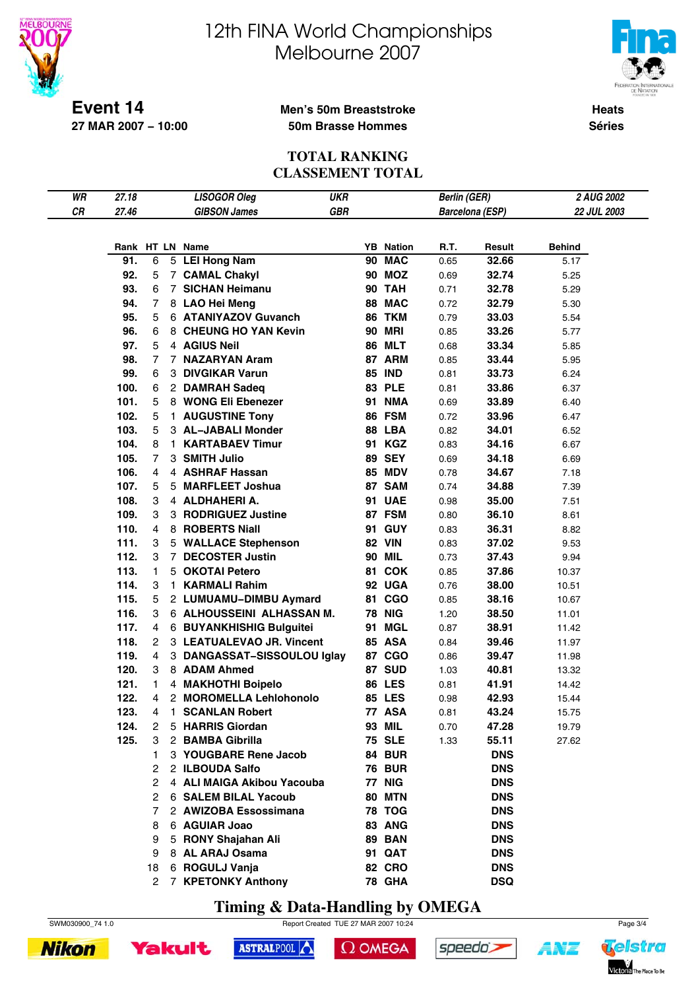



**Heats Séries**

#### **Men's 50m Breaststroke 50m Brasse Hommes**

**Event 14 27 MAR 2007 − 10:00**

#### **TOTAL RANKING CLASSEMENT TOTAL**

| CR<br>GBR<br>27.46<br><b>GIBSON James</b><br>Barcelona (ESP)<br>22 JUL 2003<br>Rank HT LN Name<br><b>YB</b> Nation<br>R.T.<br>Result<br><b>Behind</b><br>90 MAC<br>91.<br>5 LEI Hong Nam<br>6<br>0.65<br>32.66<br>5.17<br>92.<br><b>90 MOZ</b><br>5<br>7 CAMAL Chakyl<br>0.69<br>32.74<br>5.25<br>93.<br>7 SICHAN Heimanu<br>90 TAH<br>6<br>0.71<br>32.78<br>5.29<br>94.<br>8 LAO Hei Meng<br>88 MAC<br>7<br>0.72<br>32.79<br>5.30<br>95.<br>6 ATANIYAZOV Guvanch<br>86 TKM<br>5<br>0.79<br>33.03<br>5.54<br><b>90 MRI</b><br>96.<br>8 CHEUNG HO YAN Kevin<br>6<br>0.85<br>33.26<br>5.77<br><b>86 MLT</b><br>97.<br>5<br>4 AGIUS Neil<br>0.68<br>33.34<br>5.85<br>87 ARM<br>98.<br>7 NAZARYAN Aram<br>7<br>0.85<br>33.44<br>5.95<br>99.<br>3 DIVGIKAR Varun<br><b>85 IND</b><br>6<br>0.81<br>33.73<br>6.24<br>100.<br><b>83 PLE</b><br>6<br>2 DAMRAH Sadeq<br>0.81<br>33.86<br>6.37<br>101.<br>5<br>8 WONG Eli Ebenezer<br><b>91 NMA</b><br>0.69<br>33.89<br>6.40<br>102.<br>5<br>86 FSM<br>1 AUGUSTINE Tony<br>0.72<br>33.96<br>6.47<br>103.<br>5<br>88 LBA<br>3 AL-JABALI Monder<br>0.82<br>34.01<br>6.52<br>104.<br><b>KARTABAEV Timur</b><br>91 KGZ<br>8<br>0.83<br>34.16<br>6.67<br>1.<br><b>89 SEY</b><br>105.<br>3 SMITH Julio<br>7<br>0.69<br>34.18<br>6.69<br><b>85 MDV</b><br>106.<br>4 ASHRAF Hassan<br>4<br>0.78<br>34.67<br>7.18<br>107.<br>5 MARFLEET Joshua<br>87 SAM<br>5<br>0.74<br>34.88<br>7.39<br>108.<br>3<br>4 ALDHAHERI A.<br>91 UAE<br>0.98<br>35.00<br>7.51<br>87 FSM<br>109.<br>3 RODRIGUEZ Justine<br>3<br>0.80<br>36.10<br>8.61<br>110.<br>8 ROBERTS Niall<br>91 GUY<br>4<br>0.83<br>36.31<br>8.82<br>111.<br><b>82 VIN</b><br>3<br>5 WALLACE Stephenson<br>0.83<br>37.02<br>9.53<br>112.<br><b>90 MIL</b><br>7 DECOSTER Justin<br>3<br>0.73<br>37.43<br>9.94<br>113.<br>5 OKOTAI Petero<br>81 COK<br>1<br>0.85<br>37.86<br>10.37<br>114.<br>92 UGA<br>3<br><b>KARMALI Rahim</b><br>0.76<br>38.00<br>1.<br>10.51<br>81 CGO<br>115.<br>5<br>2 LUMUAMU-DIMBU Aymard<br>38.16<br>0.85<br>10.67<br><b>78 NIG</b><br>116.<br>6 ALHOUSSEINI ALHASSAN M.<br>3<br>1.20<br>38.50<br>11.01<br>91 MGL<br>117.<br>4<br>6 BUYANKHISHIG Bulguitei<br>0.87<br>38.91<br>11.42<br><b>85 ASA</b><br>118.<br>2<br>3 LEATUALEVAO JR. Vincent<br>0.84<br>39.46<br>11.97<br>119.<br>87 CGO<br>4<br>3 DANGASSAT-SISSOULOU Iglay<br>0.86<br>39.47<br>11.98<br>87 SUD<br>120.<br>8 ADAM Ahmed<br>3<br>1.03<br>40.81<br>13.32<br>121.<br><b>86 LES</b><br>4 MAKHOTHI Boipelo<br>0.81<br>41.91<br>1<br>14.42<br>122.<br>4<br>2 MOROMELLA Lehlohonolo<br><b>85 LES</b><br>0.98<br>42.93<br>15.44<br>123.<br>4<br>1<br>77 ASA<br>43.24<br><b>SCANLAN Robert</b><br>0.81<br>15.75<br>124.<br>5 HARRIS Giordan<br>93 MIL<br>47.28<br>2<br>0.70<br>19.79<br><b>75 SLE</b><br>125.<br>2 BAMBA Gibrilla<br>55.11<br>3<br>1.33<br>27.62<br>3 YOUGBARE Rene Jacob<br>84 BUR<br><b>DNS</b><br>1.<br>2 ILBOUDA Salfo<br><b>76 BUR</b><br><b>DNS</b><br>2<br>2<br>4 ALI MAIGA Akibou Yacouba<br>77 NIG<br><b>DNS</b><br><b>80 MTN</b><br>6 SALEM BILAL Yacoub<br><b>DNS</b><br>2<br>2 AWIZOBA Essossimana<br><b>78 TOG</b><br><b>DNS</b><br>7<br>6 AGUIAR Joao<br>83 ANG<br><b>DNS</b><br>8<br>5 RONY Shajahan Ali<br><b>89 BAN</b><br><b>DNS</b><br>9<br>8 AL ARAJ Osama<br>91 QAT<br><b>DNS</b><br>9<br><b>82 CRO</b> | WR | 27.18 |    | <b>LISOGOR Oleg</b> | <b>UKR</b> | <b>Berlin (GER)</b> |            | 2 AUG 2002 |  |
|--------------------------------------------------------------------------------------------------------------------------------------------------------------------------------------------------------------------------------------------------------------------------------------------------------------------------------------------------------------------------------------------------------------------------------------------------------------------------------------------------------------------------------------------------------------------------------------------------------------------------------------------------------------------------------------------------------------------------------------------------------------------------------------------------------------------------------------------------------------------------------------------------------------------------------------------------------------------------------------------------------------------------------------------------------------------------------------------------------------------------------------------------------------------------------------------------------------------------------------------------------------------------------------------------------------------------------------------------------------------------------------------------------------------------------------------------------------------------------------------------------------------------------------------------------------------------------------------------------------------------------------------------------------------------------------------------------------------------------------------------------------------------------------------------------------------------------------------------------------------------------------------------------------------------------------------------------------------------------------------------------------------------------------------------------------------------------------------------------------------------------------------------------------------------------------------------------------------------------------------------------------------------------------------------------------------------------------------------------------------------------------------------------------------------------------------------------------------------------------------------------------------------------------------------------------------------------------------------------------------------------------------------------------------------------------------------------------------------------------------------------------------------------------------------------------------------------------------------------------------------------------------------------------------------------------------------------------------------------------------------------------------------------------------------------------------------------------------------------------------------------------------------------------------------------------------------------------------------------------------------------------------------------------------------------------|----|-------|----|---------------------|------------|---------------------|------------|------------|--|
|                                                                                                                                                                                                                                                                                                                                                                                                                                                                                                                                                                                                                                                                                                                                                                                                                                                                                                                                                                                                                                                                                                                                                                                                                                                                                                                                                                                                                                                                                                                                                                                                                                                                                                                                                                                                                                                                                                                                                                                                                                                                                                                                                                                                                                                                                                                                                                                                                                                                                                                                                                                                                                                                                                                                                                                                                                                                                                                                                                                                                                                                                                                                                                                                                                                                                                              |    |       |    |                     |            |                     |            |            |  |
|                                                                                                                                                                                                                                                                                                                                                                                                                                                                                                                                                                                                                                                                                                                                                                                                                                                                                                                                                                                                                                                                                                                                                                                                                                                                                                                                                                                                                                                                                                                                                                                                                                                                                                                                                                                                                                                                                                                                                                                                                                                                                                                                                                                                                                                                                                                                                                                                                                                                                                                                                                                                                                                                                                                                                                                                                                                                                                                                                                                                                                                                                                                                                                                                                                                                                                              |    |       |    |                     |            |                     |            |            |  |
|                                                                                                                                                                                                                                                                                                                                                                                                                                                                                                                                                                                                                                                                                                                                                                                                                                                                                                                                                                                                                                                                                                                                                                                                                                                                                                                                                                                                                                                                                                                                                                                                                                                                                                                                                                                                                                                                                                                                                                                                                                                                                                                                                                                                                                                                                                                                                                                                                                                                                                                                                                                                                                                                                                                                                                                                                                                                                                                                                                                                                                                                                                                                                                                                                                                                                                              |    |       |    |                     |            |                     |            |            |  |
|                                                                                                                                                                                                                                                                                                                                                                                                                                                                                                                                                                                                                                                                                                                                                                                                                                                                                                                                                                                                                                                                                                                                                                                                                                                                                                                                                                                                                                                                                                                                                                                                                                                                                                                                                                                                                                                                                                                                                                                                                                                                                                                                                                                                                                                                                                                                                                                                                                                                                                                                                                                                                                                                                                                                                                                                                                                                                                                                                                                                                                                                                                                                                                                                                                                                                                              |    |       |    |                     |            |                     |            |            |  |
|                                                                                                                                                                                                                                                                                                                                                                                                                                                                                                                                                                                                                                                                                                                                                                                                                                                                                                                                                                                                                                                                                                                                                                                                                                                                                                                                                                                                                                                                                                                                                                                                                                                                                                                                                                                                                                                                                                                                                                                                                                                                                                                                                                                                                                                                                                                                                                                                                                                                                                                                                                                                                                                                                                                                                                                                                                                                                                                                                                                                                                                                                                                                                                                                                                                                                                              |    |       |    |                     |            |                     |            |            |  |
|                                                                                                                                                                                                                                                                                                                                                                                                                                                                                                                                                                                                                                                                                                                                                                                                                                                                                                                                                                                                                                                                                                                                                                                                                                                                                                                                                                                                                                                                                                                                                                                                                                                                                                                                                                                                                                                                                                                                                                                                                                                                                                                                                                                                                                                                                                                                                                                                                                                                                                                                                                                                                                                                                                                                                                                                                                                                                                                                                                                                                                                                                                                                                                                                                                                                                                              |    |       |    |                     |            |                     |            |            |  |
|                                                                                                                                                                                                                                                                                                                                                                                                                                                                                                                                                                                                                                                                                                                                                                                                                                                                                                                                                                                                                                                                                                                                                                                                                                                                                                                                                                                                                                                                                                                                                                                                                                                                                                                                                                                                                                                                                                                                                                                                                                                                                                                                                                                                                                                                                                                                                                                                                                                                                                                                                                                                                                                                                                                                                                                                                                                                                                                                                                                                                                                                                                                                                                                                                                                                                                              |    |       |    |                     |            |                     |            |            |  |
|                                                                                                                                                                                                                                                                                                                                                                                                                                                                                                                                                                                                                                                                                                                                                                                                                                                                                                                                                                                                                                                                                                                                                                                                                                                                                                                                                                                                                                                                                                                                                                                                                                                                                                                                                                                                                                                                                                                                                                                                                                                                                                                                                                                                                                                                                                                                                                                                                                                                                                                                                                                                                                                                                                                                                                                                                                                                                                                                                                                                                                                                                                                                                                                                                                                                                                              |    |       |    |                     |            |                     |            |            |  |
|                                                                                                                                                                                                                                                                                                                                                                                                                                                                                                                                                                                                                                                                                                                                                                                                                                                                                                                                                                                                                                                                                                                                                                                                                                                                                                                                                                                                                                                                                                                                                                                                                                                                                                                                                                                                                                                                                                                                                                                                                                                                                                                                                                                                                                                                                                                                                                                                                                                                                                                                                                                                                                                                                                                                                                                                                                                                                                                                                                                                                                                                                                                                                                                                                                                                                                              |    |       |    |                     |            |                     |            |            |  |
|                                                                                                                                                                                                                                                                                                                                                                                                                                                                                                                                                                                                                                                                                                                                                                                                                                                                                                                                                                                                                                                                                                                                                                                                                                                                                                                                                                                                                                                                                                                                                                                                                                                                                                                                                                                                                                                                                                                                                                                                                                                                                                                                                                                                                                                                                                                                                                                                                                                                                                                                                                                                                                                                                                                                                                                                                                                                                                                                                                                                                                                                                                                                                                                                                                                                                                              |    |       |    |                     |            |                     |            |            |  |
|                                                                                                                                                                                                                                                                                                                                                                                                                                                                                                                                                                                                                                                                                                                                                                                                                                                                                                                                                                                                                                                                                                                                                                                                                                                                                                                                                                                                                                                                                                                                                                                                                                                                                                                                                                                                                                                                                                                                                                                                                                                                                                                                                                                                                                                                                                                                                                                                                                                                                                                                                                                                                                                                                                                                                                                                                                                                                                                                                                                                                                                                                                                                                                                                                                                                                                              |    |       |    |                     |            |                     |            |            |  |
|                                                                                                                                                                                                                                                                                                                                                                                                                                                                                                                                                                                                                                                                                                                                                                                                                                                                                                                                                                                                                                                                                                                                                                                                                                                                                                                                                                                                                                                                                                                                                                                                                                                                                                                                                                                                                                                                                                                                                                                                                                                                                                                                                                                                                                                                                                                                                                                                                                                                                                                                                                                                                                                                                                                                                                                                                                                                                                                                                                                                                                                                                                                                                                                                                                                                                                              |    |       |    |                     |            |                     |            |            |  |
|                                                                                                                                                                                                                                                                                                                                                                                                                                                                                                                                                                                                                                                                                                                                                                                                                                                                                                                                                                                                                                                                                                                                                                                                                                                                                                                                                                                                                                                                                                                                                                                                                                                                                                                                                                                                                                                                                                                                                                                                                                                                                                                                                                                                                                                                                                                                                                                                                                                                                                                                                                                                                                                                                                                                                                                                                                                                                                                                                                                                                                                                                                                                                                                                                                                                                                              |    |       |    |                     |            |                     |            |            |  |
|                                                                                                                                                                                                                                                                                                                                                                                                                                                                                                                                                                                                                                                                                                                                                                                                                                                                                                                                                                                                                                                                                                                                                                                                                                                                                                                                                                                                                                                                                                                                                                                                                                                                                                                                                                                                                                                                                                                                                                                                                                                                                                                                                                                                                                                                                                                                                                                                                                                                                                                                                                                                                                                                                                                                                                                                                                                                                                                                                                                                                                                                                                                                                                                                                                                                                                              |    |       |    |                     |            |                     |            |            |  |
|                                                                                                                                                                                                                                                                                                                                                                                                                                                                                                                                                                                                                                                                                                                                                                                                                                                                                                                                                                                                                                                                                                                                                                                                                                                                                                                                                                                                                                                                                                                                                                                                                                                                                                                                                                                                                                                                                                                                                                                                                                                                                                                                                                                                                                                                                                                                                                                                                                                                                                                                                                                                                                                                                                                                                                                                                                                                                                                                                                                                                                                                                                                                                                                                                                                                                                              |    |       |    |                     |            |                     |            |            |  |
|                                                                                                                                                                                                                                                                                                                                                                                                                                                                                                                                                                                                                                                                                                                                                                                                                                                                                                                                                                                                                                                                                                                                                                                                                                                                                                                                                                                                                                                                                                                                                                                                                                                                                                                                                                                                                                                                                                                                                                                                                                                                                                                                                                                                                                                                                                                                                                                                                                                                                                                                                                                                                                                                                                                                                                                                                                                                                                                                                                                                                                                                                                                                                                                                                                                                                                              |    |       |    |                     |            |                     |            |            |  |
|                                                                                                                                                                                                                                                                                                                                                                                                                                                                                                                                                                                                                                                                                                                                                                                                                                                                                                                                                                                                                                                                                                                                                                                                                                                                                                                                                                                                                                                                                                                                                                                                                                                                                                                                                                                                                                                                                                                                                                                                                                                                                                                                                                                                                                                                                                                                                                                                                                                                                                                                                                                                                                                                                                                                                                                                                                                                                                                                                                                                                                                                                                                                                                                                                                                                                                              |    |       |    |                     |            |                     |            |            |  |
|                                                                                                                                                                                                                                                                                                                                                                                                                                                                                                                                                                                                                                                                                                                                                                                                                                                                                                                                                                                                                                                                                                                                                                                                                                                                                                                                                                                                                                                                                                                                                                                                                                                                                                                                                                                                                                                                                                                                                                                                                                                                                                                                                                                                                                                                                                                                                                                                                                                                                                                                                                                                                                                                                                                                                                                                                                                                                                                                                                                                                                                                                                                                                                                                                                                                                                              |    |       |    |                     |            |                     |            |            |  |
|                                                                                                                                                                                                                                                                                                                                                                                                                                                                                                                                                                                                                                                                                                                                                                                                                                                                                                                                                                                                                                                                                                                                                                                                                                                                                                                                                                                                                                                                                                                                                                                                                                                                                                                                                                                                                                                                                                                                                                                                                                                                                                                                                                                                                                                                                                                                                                                                                                                                                                                                                                                                                                                                                                                                                                                                                                                                                                                                                                                                                                                                                                                                                                                                                                                                                                              |    |       |    |                     |            |                     |            |            |  |
|                                                                                                                                                                                                                                                                                                                                                                                                                                                                                                                                                                                                                                                                                                                                                                                                                                                                                                                                                                                                                                                                                                                                                                                                                                                                                                                                                                                                                                                                                                                                                                                                                                                                                                                                                                                                                                                                                                                                                                                                                                                                                                                                                                                                                                                                                                                                                                                                                                                                                                                                                                                                                                                                                                                                                                                                                                                                                                                                                                                                                                                                                                                                                                                                                                                                                                              |    |       |    |                     |            |                     |            |            |  |
|                                                                                                                                                                                                                                                                                                                                                                                                                                                                                                                                                                                                                                                                                                                                                                                                                                                                                                                                                                                                                                                                                                                                                                                                                                                                                                                                                                                                                                                                                                                                                                                                                                                                                                                                                                                                                                                                                                                                                                                                                                                                                                                                                                                                                                                                                                                                                                                                                                                                                                                                                                                                                                                                                                                                                                                                                                                                                                                                                                                                                                                                                                                                                                                                                                                                                                              |    |       |    |                     |            |                     |            |            |  |
|                                                                                                                                                                                                                                                                                                                                                                                                                                                                                                                                                                                                                                                                                                                                                                                                                                                                                                                                                                                                                                                                                                                                                                                                                                                                                                                                                                                                                                                                                                                                                                                                                                                                                                                                                                                                                                                                                                                                                                                                                                                                                                                                                                                                                                                                                                                                                                                                                                                                                                                                                                                                                                                                                                                                                                                                                                                                                                                                                                                                                                                                                                                                                                                                                                                                                                              |    |       |    |                     |            |                     |            |            |  |
|                                                                                                                                                                                                                                                                                                                                                                                                                                                                                                                                                                                                                                                                                                                                                                                                                                                                                                                                                                                                                                                                                                                                                                                                                                                                                                                                                                                                                                                                                                                                                                                                                                                                                                                                                                                                                                                                                                                                                                                                                                                                                                                                                                                                                                                                                                                                                                                                                                                                                                                                                                                                                                                                                                                                                                                                                                                                                                                                                                                                                                                                                                                                                                                                                                                                                                              |    |       |    |                     |            |                     |            |            |  |
|                                                                                                                                                                                                                                                                                                                                                                                                                                                                                                                                                                                                                                                                                                                                                                                                                                                                                                                                                                                                                                                                                                                                                                                                                                                                                                                                                                                                                                                                                                                                                                                                                                                                                                                                                                                                                                                                                                                                                                                                                                                                                                                                                                                                                                                                                                                                                                                                                                                                                                                                                                                                                                                                                                                                                                                                                                                                                                                                                                                                                                                                                                                                                                                                                                                                                                              |    |       |    |                     |            |                     |            |            |  |
|                                                                                                                                                                                                                                                                                                                                                                                                                                                                                                                                                                                                                                                                                                                                                                                                                                                                                                                                                                                                                                                                                                                                                                                                                                                                                                                                                                                                                                                                                                                                                                                                                                                                                                                                                                                                                                                                                                                                                                                                                                                                                                                                                                                                                                                                                                                                                                                                                                                                                                                                                                                                                                                                                                                                                                                                                                                                                                                                                                                                                                                                                                                                                                                                                                                                                                              |    |       |    |                     |            |                     |            |            |  |
|                                                                                                                                                                                                                                                                                                                                                                                                                                                                                                                                                                                                                                                                                                                                                                                                                                                                                                                                                                                                                                                                                                                                                                                                                                                                                                                                                                                                                                                                                                                                                                                                                                                                                                                                                                                                                                                                                                                                                                                                                                                                                                                                                                                                                                                                                                                                                                                                                                                                                                                                                                                                                                                                                                                                                                                                                                                                                                                                                                                                                                                                                                                                                                                                                                                                                                              |    |       |    |                     |            |                     |            |            |  |
|                                                                                                                                                                                                                                                                                                                                                                                                                                                                                                                                                                                                                                                                                                                                                                                                                                                                                                                                                                                                                                                                                                                                                                                                                                                                                                                                                                                                                                                                                                                                                                                                                                                                                                                                                                                                                                                                                                                                                                                                                                                                                                                                                                                                                                                                                                                                                                                                                                                                                                                                                                                                                                                                                                                                                                                                                                                                                                                                                                                                                                                                                                                                                                                                                                                                                                              |    |       |    |                     |            |                     |            |            |  |
|                                                                                                                                                                                                                                                                                                                                                                                                                                                                                                                                                                                                                                                                                                                                                                                                                                                                                                                                                                                                                                                                                                                                                                                                                                                                                                                                                                                                                                                                                                                                                                                                                                                                                                                                                                                                                                                                                                                                                                                                                                                                                                                                                                                                                                                                                                                                                                                                                                                                                                                                                                                                                                                                                                                                                                                                                                                                                                                                                                                                                                                                                                                                                                                                                                                                                                              |    |       |    |                     |            |                     |            |            |  |
|                                                                                                                                                                                                                                                                                                                                                                                                                                                                                                                                                                                                                                                                                                                                                                                                                                                                                                                                                                                                                                                                                                                                                                                                                                                                                                                                                                                                                                                                                                                                                                                                                                                                                                                                                                                                                                                                                                                                                                                                                                                                                                                                                                                                                                                                                                                                                                                                                                                                                                                                                                                                                                                                                                                                                                                                                                                                                                                                                                                                                                                                                                                                                                                                                                                                                                              |    |       |    |                     |            |                     |            |            |  |
|                                                                                                                                                                                                                                                                                                                                                                                                                                                                                                                                                                                                                                                                                                                                                                                                                                                                                                                                                                                                                                                                                                                                                                                                                                                                                                                                                                                                                                                                                                                                                                                                                                                                                                                                                                                                                                                                                                                                                                                                                                                                                                                                                                                                                                                                                                                                                                                                                                                                                                                                                                                                                                                                                                                                                                                                                                                                                                                                                                                                                                                                                                                                                                                                                                                                                                              |    |       |    |                     |            |                     |            |            |  |
|                                                                                                                                                                                                                                                                                                                                                                                                                                                                                                                                                                                                                                                                                                                                                                                                                                                                                                                                                                                                                                                                                                                                                                                                                                                                                                                                                                                                                                                                                                                                                                                                                                                                                                                                                                                                                                                                                                                                                                                                                                                                                                                                                                                                                                                                                                                                                                                                                                                                                                                                                                                                                                                                                                                                                                                                                                                                                                                                                                                                                                                                                                                                                                                                                                                                                                              |    |       |    |                     |            |                     |            |            |  |
|                                                                                                                                                                                                                                                                                                                                                                                                                                                                                                                                                                                                                                                                                                                                                                                                                                                                                                                                                                                                                                                                                                                                                                                                                                                                                                                                                                                                                                                                                                                                                                                                                                                                                                                                                                                                                                                                                                                                                                                                                                                                                                                                                                                                                                                                                                                                                                                                                                                                                                                                                                                                                                                                                                                                                                                                                                                                                                                                                                                                                                                                                                                                                                                                                                                                                                              |    |       |    |                     |            |                     |            |            |  |
|                                                                                                                                                                                                                                                                                                                                                                                                                                                                                                                                                                                                                                                                                                                                                                                                                                                                                                                                                                                                                                                                                                                                                                                                                                                                                                                                                                                                                                                                                                                                                                                                                                                                                                                                                                                                                                                                                                                                                                                                                                                                                                                                                                                                                                                                                                                                                                                                                                                                                                                                                                                                                                                                                                                                                                                                                                                                                                                                                                                                                                                                                                                                                                                                                                                                                                              |    |       |    |                     |            |                     |            |            |  |
|                                                                                                                                                                                                                                                                                                                                                                                                                                                                                                                                                                                                                                                                                                                                                                                                                                                                                                                                                                                                                                                                                                                                                                                                                                                                                                                                                                                                                                                                                                                                                                                                                                                                                                                                                                                                                                                                                                                                                                                                                                                                                                                                                                                                                                                                                                                                                                                                                                                                                                                                                                                                                                                                                                                                                                                                                                                                                                                                                                                                                                                                                                                                                                                                                                                                                                              |    |       |    |                     |            |                     |            |            |  |
|                                                                                                                                                                                                                                                                                                                                                                                                                                                                                                                                                                                                                                                                                                                                                                                                                                                                                                                                                                                                                                                                                                                                                                                                                                                                                                                                                                                                                                                                                                                                                                                                                                                                                                                                                                                                                                                                                                                                                                                                                                                                                                                                                                                                                                                                                                                                                                                                                                                                                                                                                                                                                                                                                                                                                                                                                                                                                                                                                                                                                                                                                                                                                                                                                                                                                                              |    |       |    |                     |            |                     |            |            |  |
|                                                                                                                                                                                                                                                                                                                                                                                                                                                                                                                                                                                                                                                                                                                                                                                                                                                                                                                                                                                                                                                                                                                                                                                                                                                                                                                                                                                                                                                                                                                                                                                                                                                                                                                                                                                                                                                                                                                                                                                                                                                                                                                                                                                                                                                                                                                                                                                                                                                                                                                                                                                                                                                                                                                                                                                                                                                                                                                                                                                                                                                                                                                                                                                                                                                                                                              |    |       |    |                     |            |                     |            |            |  |
|                                                                                                                                                                                                                                                                                                                                                                                                                                                                                                                                                                                                                                                                                                                                                                                                                                                                                                                                                                                                                                                                                                                                                                                                                                                                                                                                                                                                                                                                                                                                                                                                                                                                                                                                                                                                                                                                                                                                                                                                                                                                                                                                                                                                                                                                                                                                                                                                                                                                                                                                                                                                                                                                                                                                                                                                                                                                                                                                                                                                                                                                                                                                                                                                                                                                                                              |    |       |    |                     |            |                     |            |            |  |
|                                                                                                                                                                                                                                                                                                                                                                                                                                                                                                                                                                                                                                                                                                                                                                                                                                                                                                                                                                                                                                                                                                                                                                                                                                                                                                                                                                                                                                                                                                                                                                                                                                                                                                                                                                                                                                                                                                                                                                                                                                                                                                                                                                                                                                                                                                                                                                                                                                                                                                                                                                                                                                                                                                                                                                                                                                                                                                                                                                                                                                                                                                                                                                                                                                                                                                              |    |       |    |                     |            |                     |            |            |  |
|                                                                                                                                                                                                                                                                                                                                                                                                                                                                                                                                                                                                                                                                                                                                                                                                                                                                                                                                                                                                                                                                                                                                                                                                                                                                                                                                                                                                                                                                                                                                                                                                                                                                                                                                                                                                                                                                                                                                                                                                                                                                                                                                                                                                                                                                                                                                                                                                                                                                                                                                                                                                                                                                                                                                                                                                                                                                                                                                                                                                                                                                                                                                                                                                                                                                                                              |    |       |    |                     |            |                     |            |            |  |
|                                                                                                                                                                                                                                                                                                                                                                                                                                                                                                                                                                                                                                                                                                                                                                                                                                                                                                                                                                                                                                                                                                                                                                                                                                                                                                                                                                                                                                                                                                                                                                                                                                                                                                                                                                                                                                                                                                                                                                                                                                                                                                                                                                                                                                                                                                                                                                                                                                                                                                                                                                                                                                                                                                                                                                                                                                                                                                                                                                                                                                                                                                                                                                                                                                                                                                              |    |       |    |                     |            |                     |            |            |  |
|                                                                                                                                                                                                                                                                                                                                                                                                                                                                                                                                                                                                                                                                                                                                                                                                                                                                                                                                                                                                                                                                                                                                                                                                                                                                                                                                                                                                                                                                                                                                                                                                                                                                                                                                                                                                                                                                                                                                                                                                                                                                                                                                                                                                                                                                                                                                                                                                                                                                                                                                                                                                                                                                                                                                                                                                                                                                                                                                                                                                                                                                                                                                                                                                                                                                                                              |    |       |    |                     |            |                     |            |            |  |
|                                                                                                                                                                                                                                                                                                                                                                                                                                                                                                                                                                                                                                                                                                                                                                                                                                                                                                                                                                                                                                                                                                                                                                                                                                                                                                                                                                                                                                                                                                                                                                                                                                                                                                                                                                                                                                                                                                                                                                                                                                                                                                                                                                                                                                                                                                                                                                                                                                                                                                                                                                                                                                                                                                                                                                                                                                                                                                                                                                                                                                                                                                                                                                                                                                                                                                              |    |       |    |                     |            |                     |            |            |  |
|                                                                                                                                                                                                                                                                                                                                                                                                                                                                                                                                                                                                                                                                                                                                                                                                                                                                                                                                                                                                                                                                                                                                                                                                                                                                                                                                                                                                                                                                                                                                                                                                                                                                                                                                                                                                                                                                                                                                                                                                                                                                                                                                                                                                                                                                                                                                                                                                                                                                                                                                                                                                                                                                                                                                                                                                                                                                                                                                                                                                                                                                                                                                                                                                                                                                                                              |    |       |    |                     |            |                     |            |            |  |
|                                                                                                                                                                                                                                                                                                                                                                                                                                                                                                                                                                                                                                                                                                                                                                                                                                                                                                                                                                                                                                                                                                                                                                                                                                                                                                                                                                                                                                                                                                                                                                                                                                                                                                                                                                                                                                                                                                                                                                                                                                                                                                                                                                                                                                                                                                                                                                                                                                                                                                                                                                                                                                                                                                                                                                                                                                                                                                                                                                                                                                                                                                                                                                                                                                                                                                              |    |       |    |                     |            |                     |            |            |  |
|                                                                                                                                                                                                                                                                                                                                                                                                                                                                                                                                                                                                                                                                                                                                                                                                                                                                                                                                                                                                                                                                                                                                                                                                                                                                                                                                                                                                                                                                                                                                                                                                                                                                                                                                                                                                                                                                                                                                                                                                                                                                                                                                                                                                                                                                                                                                                                                                                                                                                                                                                                                                                                                                                                                                                                                                                                                                                                                                                                                                                                                                                                                                                                                                                                                                                                              |    |       |    |                     |            |                     |            |            |  |
|                                                                                                                                                                                                                                                                                                                                                                                                                                                                                                                                                                                                                                                                                                                                                                                                                                                                                                                                                                                                                                                                                                                                                                                                                                                                                                                                                                                                                                                                                                                                                                                                                                                                                                                                                                                                                                                                                                                                                                                                                                                                                                                                                                                                                                                                                                                                                                                                                                                                                                                                                                                                                                                                                                                                                                                                                                                                                                                                                                                                                                                                                                                                                                                                                                                                                                              |    |       |    |                     |            |                     |            |            |  |
|                                                                                                                                                                                                                                                                                                                                                                                                                                                                                                                                                                                                                                                                                                                                                                                                                                                                                                                                                                                                                                                                                                                                                                                                                                                                                                                                                                                                                                                                                                                                                                                                                                                                                                                                                                                                                                                                                                                                                                                                                                                                                                                                                                                                                                                                                                                                                                                                                                                                                                                                                                                                                                                                                                                                                                                                                                                                                                                                                                                                                                                                                                                                                                                                                                                                                                              |    |       |    |                     |            |                     |            |            |  |
|                                                                                                                                                                                                                                                                                                                                                                                                                                                                                                                                                                                                                                                                                                                                                                                                                                                                                                                                                                                                                                                                                                                                                                                                                                                                                                                                                                                                                                                                                                                                                                                                                                                                                                                                                                                                                                                                                                                                                                                                                                                                                                                                                                                                                                                                                                                                                                                                                                                                                                                                                                                                                                                                                                                                                                                                                                                                                                                                                                                                                                                                                                                                                                                                                                                                                                              |    |       | 18 | 6 ROGULJ Vanja      |            |                     | <b>DNS</b> |            |  |
| 7 KPETONKY Anthony<br><b>78 GHA</b><br><b>DSQ</b><br>$\overline{2}$                                                                                                                                                                                                                                                                                                                                                                                                                                                                                                                                                                                                                                                                                                                                                                                                                                                                                                                                                                                                                                                                                                                                                                                                                                                                                                                                                                                                                                                                                                                                                                                                                                                                                                                                                                                                                                                                                                                                                                                                                                                                                                                                                                                                                                                                                                                                                                                                                                                                                                                                                                                                                                                                                                                                                                                                                                                                                                                                                                                                                                                                                                                                                                                                                                          |    |       |    |                     |            |                     |            |            |  |

**Timing & Data-Handling by OMEGA**







**Yakult** 

```
\Omega OMEGA
```
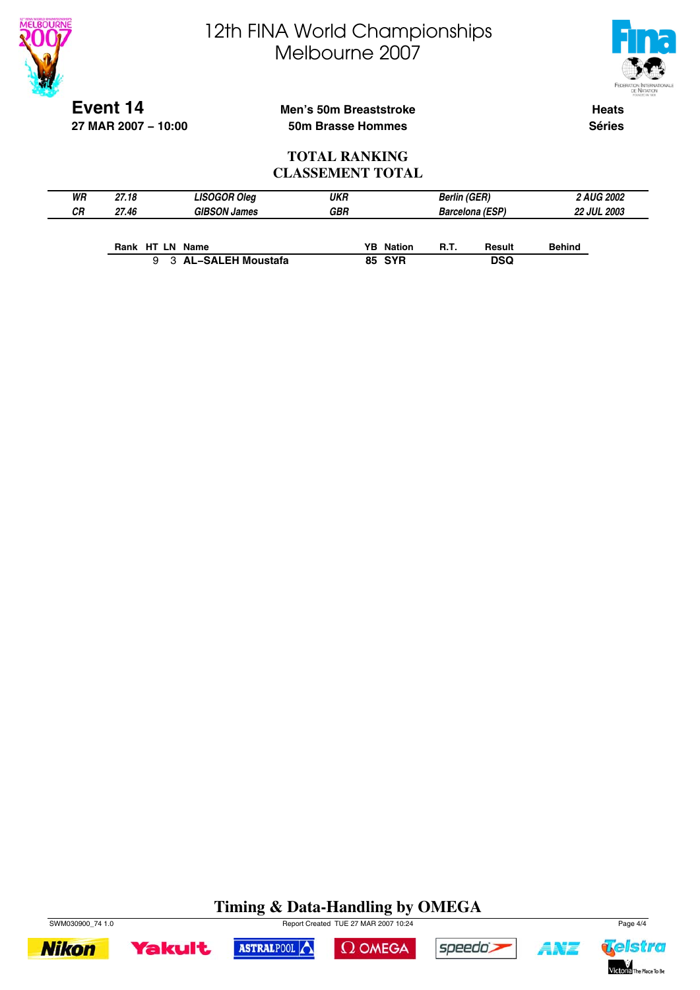



**Event 14 27 MAR 2007 − 10:00**

#### **Men's 50m Breaststroke 50m Brasse Hommes**

**Heats Séries**

#### **TOTAL RANKING CLASSEMENT TOTAL**

| WR | 27.18           | <b>LISOGOR Oleg</b> | <b>UKR</b> |                  | <b>Berlin (GER)</b> |                        |               | <b>2 AUG 2002</b>  |
|----|-----------------|---------------------|------------|------------------|---------------------|------------------------|---------------|--------------------|
| СR | 27.46           | <b>GIBSON James</b> | <b>GBR</b> |                  |                     | <b>Barcelona (ESP)</b> |               | <b>22 JUL 2003</b> |
|    |                 |                     |            |                  |                     |                        |               |                    |
|    | Rank HT LN Name |                     |            | <b>YB</b> Nation | R.T.                | Result                 | <b>Behind</b> |                    |
|    |                 | 3 AL-SALEH Moustafa |            | <b>85 SYR</b>    |                     | <b>DSQ</b>             |               |                    |

### **Timing & Data-Handling by OMEGA**

 $\Omega$  OMEGA

ASTRALPOOL



**Yakult** 



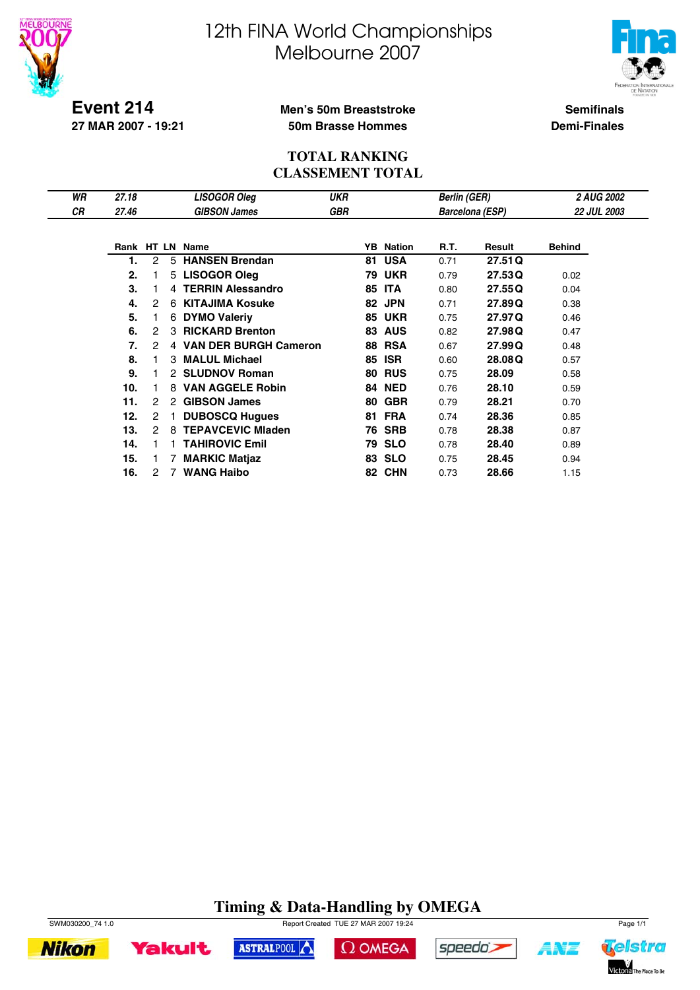



**Event 214 27 MAR 2007 - 19:21**

#### **Men's 50m Breaststroke 50m Brasse Hommes**

**Semifinals Demi-Finales**

#### **TOTAL RANKING CLASSEMENT TOTAL**

| WR | 27.18      |   |                | <b>LISOGOR Oleg</b>          | <b>UKR</b> |    |                  | <b>Berlin (GER)</b> |                        | <b>2 AUG 2002</b>  |  |
|----|------------|---|----------------|------------------------------|------------|----|------------------|---------------------|------------------------|--------------------|--|
| СR | 27.46      |   |                | <b>GIBSON James</b>          | <b>GBR</b> |    |                  |                     | <b>Barcelona (ESP)</b> | <b>22 JUL 2003</b> |  |
|    |            |   |                |                              |            |    |                  |                     |                        |                    |  |
|    | Rank HT LN |   |                | Name                         |            |    | <b>YB</b> Nation | R.T.                | Result                 | <b>Behind</b>      |  |
|    | 1.         | 2 | 5              | <b>HANSEN Brendan</b>        |            | 81 | <b>USA</b>       | 0.71                | 27.51Q                 |                    |  |
|    | 2.         |   | 5              | <b>LISOGOR Oleg</b>          |            |    | <b>79 UKR</b>    | 0.79                | 27.53Q                 | 0.02               |  |
|    | 3.         |   |                | 4 TERRIN Alessandro          |            | 85 | <b>ITA</b>       | 0.80                | 27.55Q                 | 0.04               |  |
|    | 4.         | 2 | 6              | <b>KITAJIMA Kosuke</b>       |            | 82 | <b>JPN</b>       | 0.71                | 27.89Q                 | 0.38               |  |
|    | 5.         |   | 6              | <b>DYMO Valeriy</b>          |            |    | <b>85 UKR</b>    | 0.75                | 27.97Q                 | 0.46               |  |
|    | 6.         | 2 | з              | <b>RICKARD Brenton</b>       |            | 83 | <b>AUS</b>       | 0.82                | 27.98Q                 | 0.47               |  |
|    | 7.         | 2 | 4              | <b>VAN DER BURGH Cameron</b> |            | 88 | <b>RSA</b>       | 0.67                | 27.99Q                 | 0.48               |  |
|    | 8.         |   | 3              | <b>MALUL Michael</b>         |            | 85 | <b>ISR</b>       | 0.60                | 28,08Q                 | 0.57               |  |
|    | 9.         |   |                | 2 SLUDNOV Roman              |            | 80 | <b>RUS</b>       | 0.75                | 28.09                  | 0.58               |  |
|    | 10.        |   |                | 8 VAN AGGELE Robin           |            |    | <b>84 NED</b>    | 0.76                | 28.10                  | 0.59               |  |
|    | 11.        | 2 | 2              | <b>GIBSON James</b>          |            | 80 | <b>GBR</b>       | 0.79                | 28.21                  | 0.70               |  |
|    | 12.        | 2 |                | <b>DUBOSCQ Hugues</b>        |            | 81 | <b>FRA</b>       | 0.74                | 28.36                  | 0.85               |  |
|    | 13.        | 2 | 8              | <b>TEPAVCEVIC Miaden</b>     |            | 76 | <b>SRB</b>       | 0.78                | 28.38                  | 0.87               |  |
|    | 14.        |   |                | <b>TAHIROVIC Emil</b>        |            | 79 | <b>SLO</b>       | 0.78                | 28.40                  | 0.89               |  |
|    | 15.        |   |                | <b>MARKIC Matjaz</b>         |            | 83 | <b>SLO</b>       | 0.75                | 28.45                  | 0.94               |  |
|    | 16.        | 2 | $\overline{7}$ | <b>WANG Haibo</b>            |            |    | 82 CHN           | 0.73                | 28.66                  | 1.15               |  |

### **Timing & Data-Handling by OMEGA**



**Yakult** 

**Nikon** 

SWM030200\_74 1.0 Page 1/1



 $\Omega$  OMEGA



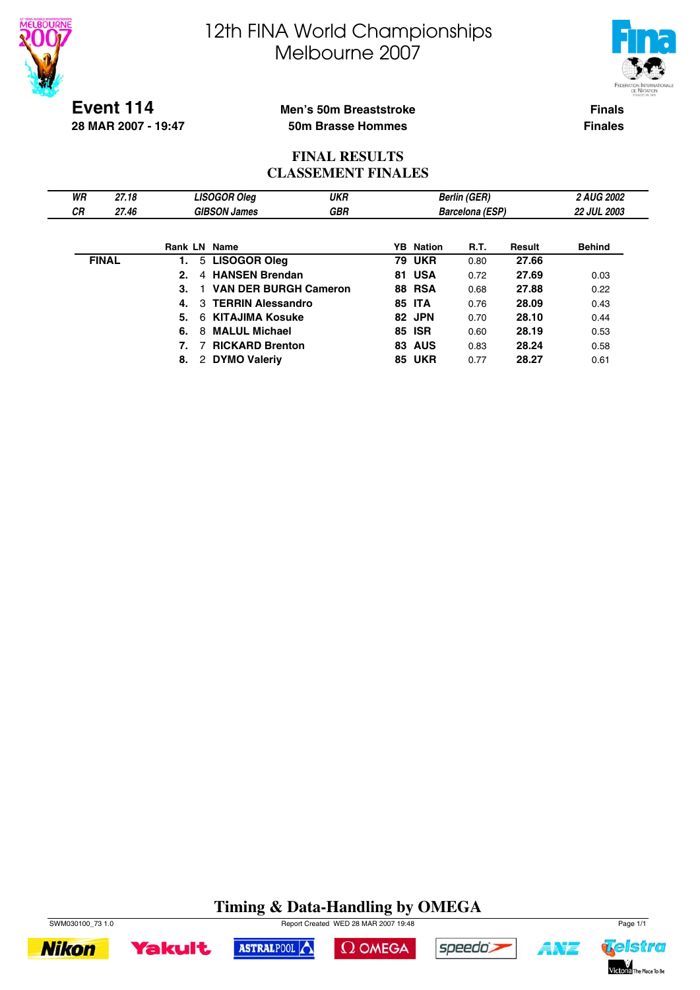



**Event 114 28 MAR 2007 - 19:47**

#### **Men's 50m Breaststroke 50m Brasse Hommes**

**Finals Finales**

#### **FINAL RESULTS CLASSEMENT FINALES**

| WR        | 27.18        |         | <b>LISOGOR Oleg</b>          | <b>UKR</b> |                  | <b>Berlin (GER)</b>    |        | <b>2 AUG 2002</b>  |
|-----------|--------------|---------|------------------------------|------------|------------------|------------------------|--------|--------------------|
| <b>CR</b> | 27.46        |         | <b>GIBSON James</b>          | <b>GBR</b> |                  | <b>Barcelona (ESP)</b> |        | <b>22 JUL 2003</b> |
|           |              |         |                              |            |                  |                        |        |                    |
|           |              | Rank LN | Name                         |            | <b>YB</b> Nation | R.T.                   | Result | <b>Behind</b>      |
|           | <b>FINAL</b> | 1.      | 5 LISOGOR Oleg               |            | <b>79 UKR</b>    | 0.80                   | 27.66  |                    |
|           |              | 2.<br>4 | <b>HANSEN Brendan</b>        |            | 81 USA           | 0.72                   | 27.69  | 0.03               |
|           |              | 3.      | <b>VAN DER BURGH Cameron</b> |            | <b>88 RSA</b>    | 0.68                   | 27.88  | 0.22               |
|           |              | 4.      | 3 TERRIN Alessandro          |            | <b>85 ITA</b>    | 0.76                   | 28.09  | 0.43               |
|           |              | 5.      | 6 KITAJIMA Kosuke            |            | 82 JPN           | 0.70                   | 28.10  | 0.44               |
|           |              | 6.<br>8 | <b>MALUL Michael</b>         |            | 85 ISR           | 0.60                   | 28.19  | 0.53               |
|           |              |         | <b>RICKARD Brenton</b>       |            | <b>83 AUS</b>    | 0.83                   | 28.24  | 0.58               |
|           |              | 8.<br>2 | <b>DYMO Valeriv</b>          |            | <b>85 UKR</b>    | 0.77                   | 28.27  | 0.61               |

### **Timing & Data-Handling by OMEGA**

 $\Omega$  OMEGA



**Yakult** 

SWM030100\_73 1.0 Report Created WED 28 MAR 2007 19:48 Page 1/1

ASTRALPOOL



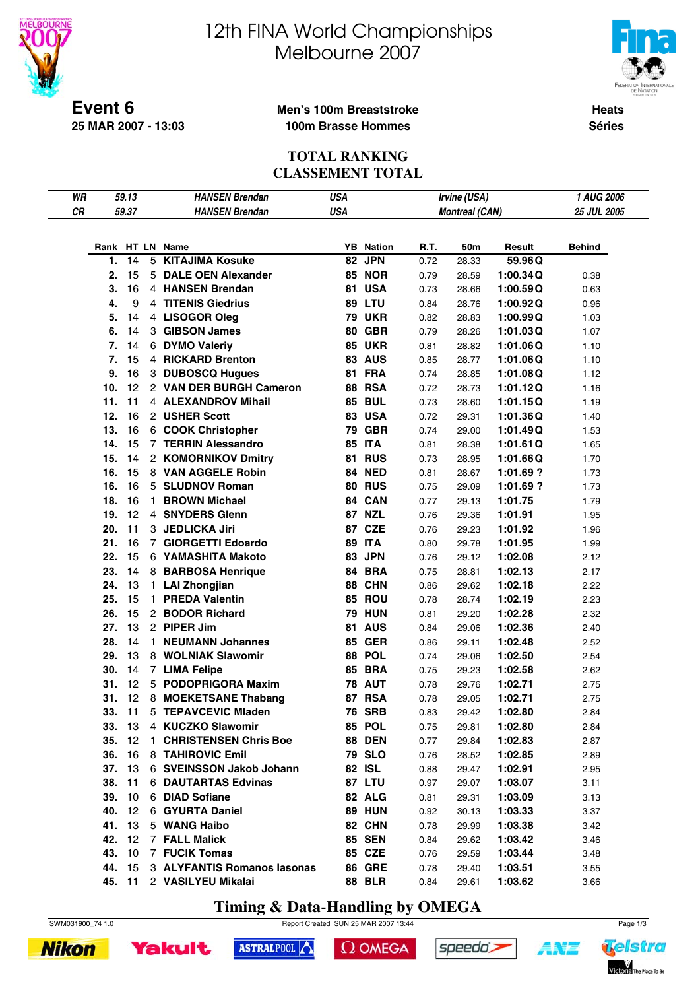

**25 MAR 2007 - 13:03**

# 12th FINA World Championships Melbourne 2007



**Heats Séries**

#### **Men's 100m Breaststroke 100m Brasse Hommes**

#### **TOTAL RANKING CLASSEMENT TOTAL**

| WR |        | 59.13         | <b>HANSEN Brendan</b>       | <b>USA</b> |                  |      | Irvine (USA)          |           | 1 AUG 2006    |
|----|--------|---------------|-----------------------------|------------|------------------|------|-----------------------|-----------|---------------|
| CR |        | 59.37         | <b>HANSEN Brendan</b>       | <b>USA</b> |                  |      | <b>Montreal (CAN)</b> |           | 25 JUL 2005   |
|    |        |               |                             |            |                  |      |                       |           |               |
|    |        |               |                             |            |                  |      |                       |           |               |
|    |        |               | Rank HT LN Name             |            | <b>YB</b> Nation | R.T. | 50m                   | Result    | <b>Behind</b> |
|    | 1.     | 14            | <b>5 KITAJIMA Kosuke</b>    | 82         | <b>JPN</b>       | 0.72 | 28.33                 | 59.96Q    |               |
|    | 2.     | 15            | 5 DALE OEN Alexander        |            | <b>85 NOR</b>    | 0.79 | 28.59                 | 1:00.34Q  | 0.38          |
|    | 3.     | 16            | 4 HANSEN Brendan            |            | 81 USA           | 0.73 | 28.66                 | 1:00.59Q  | 0.63          |
|    | 4.     | 9             | 4 TITENIS Giedrius          |            | <b>89 LTU</b>    | 0.84 | 28.76                 | 1:00.92Q  | 0.96          |
|    | 5.     | 14            | 4 LISOGOR Oleg              |            | <b>79 UKR</b>    | 0.82 | 28.83                 | 1:00.99Q  | 1.03          |
|    | 6.     | 14            | 3 GIBSON James              |            | <b>80 GBR</b>    | 0.79 | 28.26                 | 1:01.03Q  | 1.07          |
|    | 7.     | 14            | 6 DYMO Valeriy              |            | <b>85 UKR</b>    | 0.81 | 28.82                 | 1:01.06Q  | 1.10          |
|    | 7.     | 15            | 4 RICKARD Brenton           |            | <b>83 AUS</b>    | 0.85 | 28.77                 | 1:01.06Q  | 1.10          |
|    | 9.     | 16            | 3 DUBOSCQ Hugues            |            | 81 FRA           | 0.74 | 28.85                 | 1:01.08Q  | 1.12          |
|    | 10.    | 12            | 2 VAN DER BURGH Cameron     |            | <b>88 RSA</b>    | 0.72 | 28.73                 | 1:01.12Q  | 1.16          |
|    | 11.    | 11            | 4 ALEXANDROV Mihail         |            | <b>85 BUL</b>    | 0.73 | 28.60                 | 1:01.15Q  | 1.19          |
|    | 12.    | 16            | 2 USHER Scott               |            | 83 USA           | 0.72 | 29.31                 | 1:01.36Q  | 1.40          |
|    | 13.    | 16            | 6 COOK Christopher          |            | <b>79 GBR</b>    | 0.74 | 29.00                 | 1:01.49Q  | 1.53          |
|    | 14.    | 15            | 7 TERRIN Alessandro         |            | <b>85 ITA</b>    | 0.81 | 28.38                 | 1:01.61Q  | 1.65          |
|    | 15.    | 14            | 2 KOMORNIKOV Dmitry         |            | <b>81 RUS</b>    | 0.73 | 28.95                 | 1:01.66Q  | 1.70          |
|    | 16.    | 15            | 8 VAN AGGELE Robin          |            | <b>84 NED</b>    | 0.81 | 28.67                 | 1:01.69?  | 1.73          |
|    | 16.    | 16            | 5 SLUDNOV Roman             |            | <b>80 RUS</b>    | 0.75 | 29.09                 | 1:01.69 ? | 1.73          |
|    | 18.    | 16            | 1 BROWN Michael             |            | 84 CAN           | 0.77 | 29.13                 | 1:01.75   | 1.79          |
|    | 19.    | 12            | 4 SNYDERS Glenn             |            | <b>87 NZL</b>    | 0.76 | 29.36                 | 1:01.91   | 1.95          |
|    | 20.    | 11            | 3 JEDLICKA Jiri             |            | 87 CZE           | 0.76 | 29.23                 | 1:01.92   | 1.96          |
|    | 21.    | 16            | 7 GIORGETTI Edoardo         |            | <b>89 ITA</b>    | 0.80 | 29.78                 | 1:01.95   | 1.99          |
|    | 22.    | 15            | 6 YAMASHITA Makoto          |            | 83 JPN           | 0.76 | 29.12                 | 1:02.08   | 2.12          |
|    |        |               |                             |            | 84 BRA           |      |                       |           |               |
|    | 23.    | 14            | 8 BARBOSA Henrique          |            |                  | 0.75 | 28.81                 | 1:02.13   | 2.17          |
|    | 24.    | 13            | 1 LAI Zhongjian             |            | 88 CHN           | 0.86 | 29.62                 | 1:02.18   | 2.22          |
|    | 25.    | 15            | 1 PREDA Valentin            |            | 85 ROU           | 0.78 | 28.74                 | 1:02.19   | 2.23          |
|    | 26.    | 15            | 2 BODOR Richard             |            | <b>79 HUN</b>    | 0.81 | 29.20                 | 1:02.28   | 2.32          |
|    | 27.    | 13            | 2 PIPER Jim                 |            | <b>81 AUS</b>    | 0.84 | 29.06                 | 1:02.36   | 2.40          |
|    | 28.    | 14            | 1 NEUMANN Johannes          |            | <b>85 GER</b>    | 0.86 | 29.11                 | 1:02.48   | 2.52          |
|    | 29.    | 13            | 8 WOLNIAK Slawomir          |            | 88 POL           | 0.74 | 29.06                 | 1:02.50   | 2.54          |
|    | 30.    | 14            | 7 LIMA Felipe               |            | <b>85 BRA</b>    | 0.75 | 29.23                 | 1:02.58   | 2.62          |
|    | 31.    | 12            | 5 PODOPRIGORA Maxim         |            | <b>78 AUT</b>    | 0.78 | 29.76                 | 1:02.71   | 2.75          |
|    | 31.    | 12            | 8 MOEKETSANE Thabang        |            | 87 RSA           | 0.78 | 29.05                 | 1:02.71   | 2.75          |
|    | 33.    | $-11$         | 5 TEPAVCEVIC Mladen         |            | <b>76 SRB</b>    | 0.83 | 29.42                 | 1:02.80   | 2.84          |
|    |        | <b>33.</b> 13 | 4 KUCZKO Slawomir           |            | 85 POL           | 0.75 | 29.81                 | 1:02.80   | 2.84          |
|    |        | 35. 12        | 1 CHRISTENSEN Chris Boe     |            | <b>88 DEN</b>    | 0.77 | 29.84                 | 1:02.83   | 2.87          |
|    |        | 36. 16        | 8 TAHIROVIC Emil            |            | <b>79 SLO</b>    | 0.76 | 28.52                 | 1:02.85   | 2.89          |
|    |        | 37. 13        | 6 SVEINSSON Jakob Johann    |            | 82 ISL           | 0.88 | 29.47                 | 1:02.91   | 2.95          |
|    |        | 38. 11        | 6 DAUTARTAS Edvinas         |            | 87 LTU           | 0.97 | 29.07                 | 1:03.07   | 3.11          |
|    |        | 39. 10        | 6 DIAD Sofiane              |            | 82 ALG           | 0.81 | 29.31                 | 1:03.09   | 3.13          |
|    |        | 40. 12        | 6 GYURTA Daniel             |            | <b>89 HUN</b>    | 0.92 | 30.13                 | 1:03.33   | 3.37          |
|    |        | 41. 13        | 5 WANG Haibo                |            | 82 CHN           | 0.78 | 29.99                 | 1:03.38   | 3.42          |
|    | 42. 12 |               | 7 FALL Malick               |            | <b>85 SEN</b>    | 0.84 | 29.62                 | 1:03.42   | 3.46          |
|    |        | 43. 10        | 7 FUCIK Tomas               |            | 85 CZE           | 0.76 | 29.59                 | 1:03.44   | 3.48          |
|    | 44. 15 |               | 3 ALYFANTIS Romanos Iasonas |            | <b>86 GRE</b>    | 0.78 | 29.40                 | 1:03.51   | 3.55          |
|    |        |               | 45. 11 2 VASILYEU Mikalai   |            | <b>88 BLR</b>    | 0.84 | 29.61                 | 1:03.62   | 3.66          |
|    |        |               |                             |            |                  |      |                       |           |               |

**Timing & Data-Handling by OMEGA**







```
\Omega OMEGA
```




147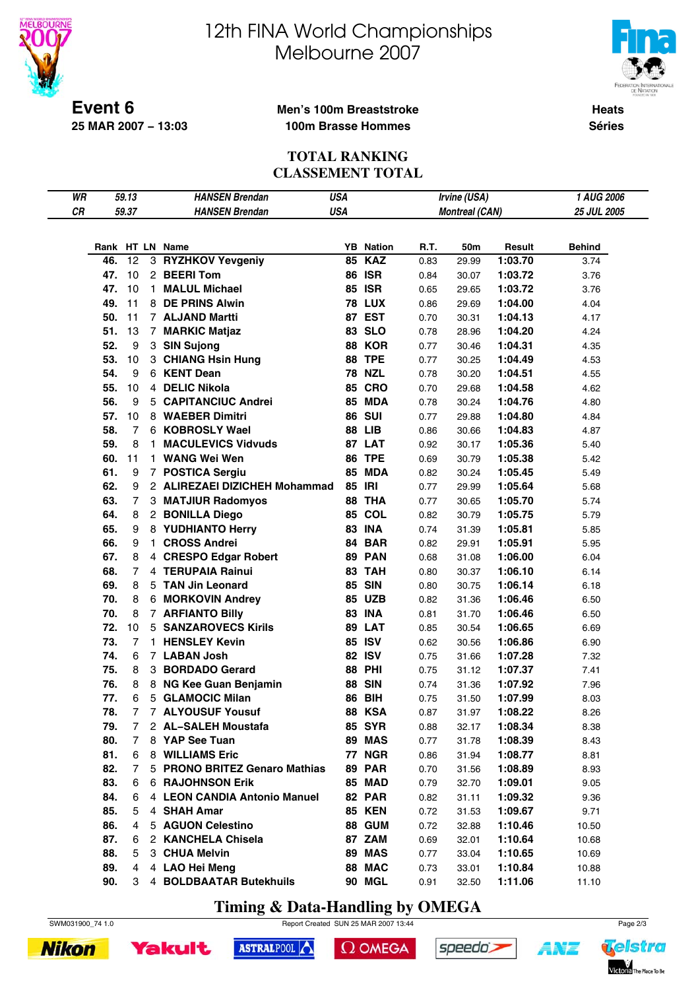



**Event 6 25 MAR 2007 − 13:03**

#### **Men's 100m Breaststroke 100m Brasse Hommes**

**Heats Séries**

#### **TOTAL RANKING CLASSEMENT TOTAL**

| WR |     | 59.13            |    | <b>HANSEN Brendan</b>         | <b>USA</b> |                                   |      | Irvine (USA)          |         | 1 AUG 2006    |  |
|----|-----|------------------|----|-------------------------------|------------|-----------------------------------|------|-----------------------|---------|---------------|--|
| CR |     | 59.37            |    | <b>HANSEN Brendan</b>         | <b>USA</b> |                                   |      | <b>Montreal (CAN)</b> |         | 25 JUL 2005   |  |
|    |     |                  |    |                               |            |                                   |      |                       |         |               |  |
|    |     |                  |    |                               |            |                                   |      |                       |         |               |  |
|    |     | 12               |    | Rank HT LN Name               |            | <b>YB</b> Nation<br><b>85 KAZ</b> | R.T. | 50m                   | Result  | <b>Behind</b> |  |
|    | 46. |                  |    | 3 RYZHKOV Yevgeniy            |            |                                   | 0.83 | 29.99                 | 1:03.70 | 3.74          |  |
|    | 47. | 10               |    | 2 BEERI Tom                   |            | <b>86 ISR</b>                     | 0.84 | 30.07                 | 1:03.72 | 3.76          |  |
|    | 47. | 10               | 1. | <b>MALUL Michael</b>          |            | <b>85 ISR</b>                     | 0.65 | 29.65                 | 1:03.72 | 3.76          |  |
|    | 49. | 11               |    | 8 DE PRINS Alwin              |            | <b>78 LUX</b>                     | 0.86 | 29.69                 | 1:04.00 | 4.04          |  |
|    | 50. | 11               |    | 7 ALJAND Martti               |            | 87 EST                            | 0.70 | 30.31                 | 1:04.13 | 4.17          |  |
|    | 51. | 13               |    | 7 MARKIC Matjaz               |            | 83 SLO                            | 0.78 | 28.96                 | 1:04.20 | 4.24          |  |
|    | 52. | $\boldsymbol{9}$ |    | 3 SIN Sujong                  |            | 88 KOR                            | 0.77 | 30.46                 | 1:04.31 | 4.35          |  |
|    | 53. | 10               |    | 3 CHIANG Hsin Hung            |            | 88 TPE                            | 0.77 | 30.25                 | 1:04.49 | 4.53          |  |
|    | 54. | $\boldsymbol{9}$ |    | 6 KENT Dean                   |            | <b>78 NZL</b>                     | 0.78 | 30.20                 | 1:04.51 | 4.55          |  |
|    | 55. | 10               |    | 4 DELIC Nikola                |            | <b>85 CRO</b>                     | 0.70 | 29.68                 | 1:04.58 | 4.62          |  |
|    | 56. | 9                |    | 5 CAPITANCIUC Andrei          |            | 85 MDA                            | 0.78 | 30.24                 | 1:04.76 | 4.80          |  |
|    | 57. | 10               |    | 8 WAEBER Dimitri              |            | <b>86 SUI</b>                     | 0.77 | 29.88                 | 1:04.80 | 4.84          |  |
|    | 58. | $\overline{7}$   |    | 6 KOBROSLY Wael               |            | <b>88 LIB</b>                     | 0.86 | 30.66                 | 1:04.83 | 4.87          |  |
|    | 59. | 8                | 1. | <b>MACULEVICS Vidvuds</b>     |            | 87 LAT                            | 0.92 | 30.17                 | 1:05.36 | 5.40          |  |
|    | 60. | 11               |    | 1 WANG Wei Wen                |            | <b>86 TPE</b>                     | 0.69 | 30.79                 | 1:05.38 | 5.42          |  |
|    | 61. | 9                |    | 7 POSTICA Sergiu              |            | 85 MDA                            | 0.82 | 30.24                 | 1:05.45 | 5.49          |  |
|    | 62. | 9                |    | 2 ALIREZAEI DIZICHEH Mohammad |            | 85 IRI                            | 0.77 | 29.99                 | 1:05.64 | 5.68          |  |
|    | 63. | $\overline{7}$   |    | 3 MATJIUR Radomyos            |            | 88 THA                            | 0.77 | 30.65                 | 1:05.70 | 5.74          |  |
|    | 64. | 8                |    | 2 BONILLA Diego               |            | 85 COL                            | 0.82 | 30.79                 | 1:05.75 | 5.79          |  |
|    | 65. | 9                |    | 8 YUDHIANTO Herry             |            | <b>83 INA</b>                     | 0.74 | 31.39                 | 1:05.81 | 5.85          |  |
|    | 66. | 9                | 1. | <b>CROSS Andrei</b>           |            | 84 BAR                            | 0.82 | 29.91                 | 1:05.91 | 5.95          |  |
|    | 67. | 8                |    | 4 CRESPO Edgar Robert         |            | 89 PAN                            | 0.68 | 31.08                 | 1:06.00 | 6.04          |  |
|    | 68. | $\overline{7}$   |    | 4 TERUPAIA Rainui             |            | 83 TAH                            | 0.80 | 30.37                 | 1:06.10 | 6.14          |  |
|    | 69. | 8                |    | 5 TAN Jin Leonard             |            | <b>85 SIN</b>                     | 0.80 | 30.75                 | 1:06.14 | 6.18          |  |
|    | 70. | 8                |    | 6 MORKOVIN Andrey             |            | <b>85 UZB</b>                     | 0.82 | 31.36                 | 1:06.46 | 6.50          |  |
|    | 70. | 8                |    | 7 ARFIANTO Billy              |            | <b>83 INA</b>                     | 0.81 | 31.70                 | 1:06.46 | 6.50          |  |
|    | 72. | 10               |    | <b>5 SANZAROVECS Kirils</b>   |            | 89 LAT                            | 0.85 | 30.54                 | 1:06.65 | 6.69          |  |
|    | 73. | 7                |    | 1 HENSLEY Kevin               |            | 85 ISV                            | 0.62 | 30.56                 | 1:06.86 | 6.90          |  |
|    | 74. | 6                |    | 7 LABAN Josh                  |            | <b>82 ISV</b>                     | 0.75 | 31.66                 | 1:07.28 | 7.32          |  |
|    | 75. | 8                |    | 3 BORDADO Gerard              |            | <b>88 PHI</b>                     | 0.75 | 31.12                 | 1:07.37 | 7.41          |  |
|    | 76. | 8                |    | 8 NG Kee Guan Benjamin        |            | <b>88 SIN</b>                     | 0.74 | 31.36                 | 1:07.92 | 7.96          |  |
|    | 77. | 6                |    | 5 GLAMOCIC Milan              | 86         | <b>BIH</b>                        | 0.75 | 31.50                 | 1:07.99 | 8.03          |  |
|    | 78. | $\overline{7}$   |    | 7 ALYOUSUF Yousuf             |            | <b>88 KSA</b>                     | 0.87 | 31.97                 | 1:08.22 | 8.26          |  |
|    | 79. | 7                |    | 2 AL-SALEH Moustafa           |            | <b>85 SYR</b>                     | 0.88 | 32.17                 | 1:08.34 | 8.38          |  |
|    | 80. | 7                |    | 8 YAP See Tuan                |            | 89 MAS                            | 0.77 | 31.78                 | 1:08.39 | 8.43          |  |
|    | 81. | 6                |    | 8 WILLIAMS Eric               |            | <b>77 NGR</b>                     | 0.86 | 31.94                 | 1:08.77 | 8.81          |  |
|    | 82. | 7                |    | 5 PRONO BRITEZ Genaro Mathias |            | <b>89 PAR</b>                     | 0.70 | 31.56                 | 1:08.89 | 8.93          |  |
|    | 83. | 6                |    | <b>6 RAJOHNSON Erik</b>       |            | 85 MAD                            | 0.79 | 32.70                 | 1:09.01 | 9.05          |  |
|    | 84. | 6                |    | 4 LEON CANDIA Antonio Manuel  |            | 82 PAR                            | 0.82 | 31.11                 | 1:09.32 | 9.36          |  |
|    | 85. | 5                |    | 4 SHAH Amar                   |            | <b>85 KEN</b>                     | 0.72 | 31.53                 | 1:09.67 | 9.71          |  |
|    | 86. | 4                |    | 5 AGUON Celestino             |            | <b>88 GUM</b>                     | 0.72 | 32.88                 | 1:10.46 | 10.50         |  |
|    | 87. | 6                |    | 2 KANCHELA Chisela            |            | 87 ZAM                            | 0.69 | 32.01                 | 1:10.64 | 10.68         |  |
|    | 88. | 5                |    | 3 CHUA Melvin                 |            | 89 MAS                            | 0.77 | 33.04                 | 1:10.65 | 10.69         |  |
|    | 89. | $\overline{4}$   |    | 4 LAO Hei Meng                |            | 88 MAC                            | 0.73 | 33.01                 | 1:10.84 | 10.88         |  |
|    | 90. | 3                |    | 4 BOLDBAATAR Butekhuils       |            | 90 MGL                            | 0.91 | 32.50                 | 1:11.06 | 11.10         |  |

**Timing & Data-Handling by OMEGA**





**Yakult** 



ASTRALPOOL





**ANT**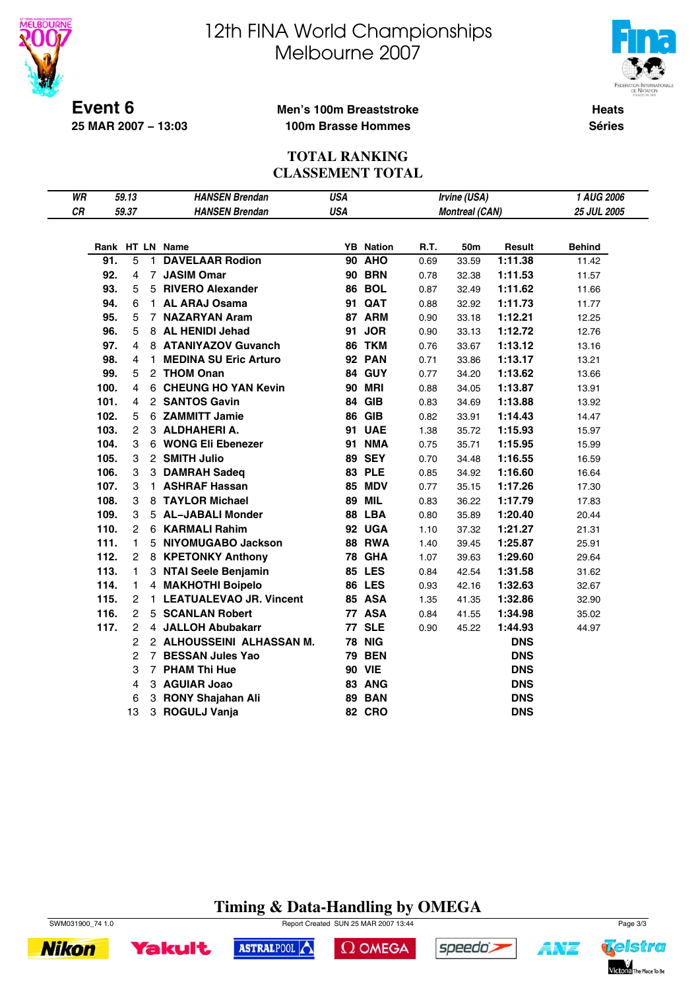



**Event 6 25 MAR 2007 − 13:03**

#### **Men's 100m Breaststroke 100m Brasse Hommes**

**Heats Séries**

#### **TOTAL RANKING CLASSEMENT TOTAL**

| WR |      | 59.13          |              | <b>HANSEN Brendan</b>        | USA        |                  |      | Irvine (USA)          |            | 1 AUG 2006    |
|----|------|----------------|--------------|------------------------------|------------|------------------|------|-----------------------|------------|---------------|
| CR |      | 59.37          |              | <b>HANSEN Brendan</b>        | <b>USA</b> |                  |      | <b>Montreal (CAN)</b> |            | 25 JUL 2005   |
|    |      |                |              |                              |            |                  |      |                       |            |               |
|    |      |                |              | Rank HT LN Name              |            | <b>YB</b> Nation | R.T. | 50m                   | Result     | <b>Behind</b> |
|    | 91.  | 5              | $\mathbf{1}$ | <b>DAVELAAR Rodion</b>       |            | <b>90 AHO</b>    | 0.69 | 33.59                 | 1:11.38    | 11.42         |
|    | 92.  | 4              |              | 7 JASIM Omar                 |            | <b>90 BRN</b>    | 0.78 | 32.38                 | 1:11.53    | 11.57         |
|    | 93.  | 5              |              | 5 RIVERO Alexander           |            | <b>86 BOL</b>    | 0.87 | 32.49                 | 1:11.62    | 11.66         |
|    | 94.  | 6              |              | 1 AL ARAJ Osama              |            | <b>91 QAT</b>    | 0.88 | 32.92                 | 1:11.73    | 11.77         |
|    | 95.  | 5              |              | 7 NAZARYAN Aram              |            | 87 ARM           | 0.90 | 33.18                 | 1:12.21    | 12.25         |
|    | 96.  | 5              |              | 8 AL HENIDI Jehad            |            | 91 JOR           | 0.90 | 33.13                 | 1:12.72    | 12.76         |
|    | 97.  | 4              |              | 8 ATANIYAZOV Guvanch         |            | 86 TKM           | 0.76 | 33.67                 | 1:13.12    | 13.16         |
|    | 98.  | 4              | 1.           | <b>MEDINA SU Eric Arturo</b> |            | <b>92 PAN</b>    | 0.71 | 33.86                 | 1:13.17    | 13.21         |
|    | 99.  | 5              |              | 2 THOM Onan                  |            | 84 GUY           | 0.77 | 34.20                 | 1:13.62    | 13.66         |
|    | 100. | 4              |              | 6 CHEUNG HO YAN Kevin        |            | <b>90 MRI</b>    | 0.88 | 34.05                 | 1:13.87    | 13.91         |
|    | 101. | 4              |              | 2 SANTOS Gavin               |            | 84 GIB           | 0.83 | 34.69                 | 1:13.88    | 13.92         |
|    | 102. | 5              |              | 6 ZAMMITT Jamie              |            | <b>86 GIB</b>    | 0.82 | 33.91                 | 1:14.43    | 14.47         |
|    | 103. | $\overline{c}$ |              | 3 ALDHAHERIA.                |            | 91 UAE           | 1.38 | 35.72                 | 1:15.93    | 15.97         |
|    | 104. | 3              |              | 6 WONG Eli Ebenezer          |            | <b>91 NMA</b>    | 0.75 | 35.71                 | 1:15.95    | 15.99         |
|    | 105. | 3              |              | 2 SMITH Julio                |            | <b>89 SEY</b>    | 0.70 | 34.48                 | 1:16.55    | 16.59         |
|    | 106. | 3              |              | 3 DAMRAH Sadeq               |            | <b>83 PLE</b>    | 0.85 | 34.92                 | 1:16.60    | 16.64         |
|    | 107. | 3              |              | 1 ASHRAF Hassan              |            | <b>85 MDV</b>    | 0.77 | 35.15                 | 1:17.26    | 17.30         |
|    | 108. | 3              |              | 8 TAYLOR Michael             |            | <b>89 MIL</b>    | 0.83 | 36.22                 | 1:17.79    | 17.83         |
|    | 109. | 3              |              | 5 AL-JABALI Monder           |            | 88 LBA           | 0.80 | 35.89                 | 1:20.40    | 20.44         |
|    | 110. | $\overline{2}$ |              | 6 KARMALI Rahim              |            | 92 UGA           | 1.10 | 37.32                 | 1:21.27    | 21.31         |
|    | 111. | 1              |              | 5 NIYOMUGABO Jackson         |            | <b>88 RWA</b>    | 1.40 | 39.45                 | 1:25.87    | 25.91         |
|    | 112. | $\overline{2}$ |              | 8 KPETONKY Anthony           |            | <b>78 GHA</b>    | 1.07 | 39.63                 | 1:29.60    | 29.64         |
|    | 113. | 1.             |              | 3 NTAI Seele Benjamin        |            | <b>85 LES</b>    | 0.84 | 42.54                 | 1:31.58    | 31.62         |
|    | 114. | 1              |              | 4 MAKHOTHI Boipelo           |            | <b>86 LES</b>    | 0.93 | 42.16                 | 1:32.63    | 32.67         |
|    | 115. | 2              |              | 1 LEATUALEVAO JR. Vincent    |            | 85 ASA           | 1.35 | 41.35                 | 1:32.86    | 32.90         |
|    | 116. | $\overline{2}$ |              | 5 SCANLAN Robert             |            | 77 ASA           | 0.84 | 41.55                 | 1:34.98    | 35.02         |
|    | 117. | $\overline{2}$ |              | 4 JALLOH Abubakarr           |            | <b>77 SLE</b>    | 0.90 | 45.22                 | 1:44.93    | 44.97         |
|    |      | $\overline{c}$ |              | 2 ALHOUSSEINI ALHASSAN M.    |            | <b>78 NIG</b>    |      |                       | <b>DNS</b> |               |
|    |      | 2              |              | 7 BESSAN Jules Yao           |            | <b>79 BEN</b>    |      |                       | <b>DNS</b> |               |
|    |      | 3              |              | 7 PHAM Thi Hue               |            | <b>90 VIE</b>    |      |                       | <b>DNS</b> |               |
|    |      | 4              |              | 3 AGUIAR Joao                |            | 83 ANG           |      |                       | <b>DNS</b> |               |
|    |      | 6              |              | 3 RONY Shajahan Ali          |            | <b>89 BAN</b>    |      |                       | <b>DNS</b> |               |
|    |      | 13             | 3            | <b>ROGULJ Vanja</b>          |            | <b>82 CRO</b>    |      |                       | <b>DNS</b> |               |

### **Timing & Data-Handling by OMEGA**







 $\Omega$  OMEGA



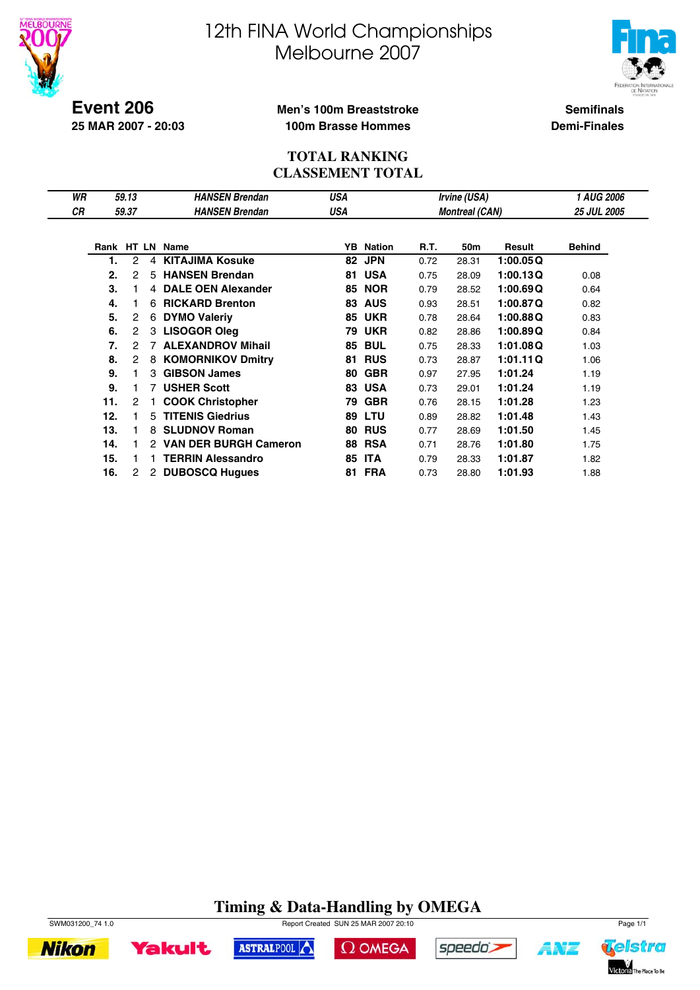



**Event 206 25 MAR 2007 - 20:03**

#### **Men's 100m Breaststroke 100m Brasse Hommes**

**Semifinals Demi-Finales**

#### **TOTAL RANKING CLASSEMENT TOTAL**

| WR |     | 59.13 |   | <b>HANSEN Brendan</b>    | USA |                  |             | Irvine (USA)          |          | 1 AUG 2006         |
|----|-----|-------|---|--------------------------|-----|------------------|-------------|-----------------------|----------|--------------------|
| СR |     | 59.37 |   | <b>HANSEN Brendan</b>    | USA |                  |             | <b>Montreal (CAN)</b> |          | <b>25 JUL 2005</b> |
|    |     |       |   |                          |     |                  |             |                       |          |                    |
|    |     |       |   | Rank HT LN Name          |     | <b>YB</b> Nation | <b>R.T.</b> | 50m                   | Result   | <b>Behind</b>      |
|    | 1.  | 2     | 4 | <b>KITAJIMA Kosuke</b>   | 82  | <b>JPN</b>       | 0.72        | 28.31                 | 1:00.05Q |                    |
|    | 2.  | 2     | 5 | <b>HANSEN Brendan</b>    | 81  | <b>USA</b>       | 0.75        | 28.09                 | 1:00.13Q | 0.08               |
|    | 3.  |       |   | 4 DALE OEN Alexander     | 85  | <b>NOR</b>       | 0.79        | 28.52                 | 1:00.69Q | 0.64               |
|    | 4.  |       | 6 | <b>RICKARD Brenton</b>   | 83  | <b>AUS</b>       | 0.93        | 28.51                 | 1:00.87Q | 0.82               |
|    | 5.  | 2     | 6 | <b>DYMO Valeriy</b>      | 85  | <b>UKR</b>       | 0.78        | 28.64                 | 1:00.88Q | 0.83               |
|    | 6.  | 2     |   | 3 LISOGOR Oleg           | 79  | <b>UKR</b>       | 0.82        | 28.86                 | 1:00.89Q | 0.84               |
|    | 7.  | 2     |   | <b>ALEXANDROV Mihail</b> | 85  | <b>BUL</b>       | 0.75        | 28.33                 | 1:01.08Q | 1.03               |
|    | 8.  | 2     | 8 | <b>KOMORNIKOV Dmitry</b> | 81  | <b>RUS</b>       | 0.73        | 28.87                 | 1:01.11Q | 1.06               |
|    | 9.  | 1     |   | 3 GIBSON James           | 80  | <b>GBR</b>       | 0.97        | 27.95                 | 1:01.24  | 1.19               |
|    | 9.  |       |   | 7 USHER Scott            | 83  | <b>USA</b>       | 0.73        | 29.01                 | 1:01.24  | 1.19               |
|    | 11. | 2     |   | <b>COOK Christopher</b>  | 79  | <b>GBR</b>       | 0.76        | 28.15                 | 1:01.28  | 1.23               |
|    | 12. | 1     | 5 | <b>TITENIS Giedrius</b>  | 89  | LTU              | 0.89        | 28.82                 | 1:01.48  | 1.43               |
|    | 13. | 1     | 8 | <b>SLUDNOV Roman</b>     | 80  | <b>RUS</b>       | 0.77        | 28.69                 | 1:01.50  | 1.45               |
|    | 14. | 1     |   | 2 VAN DER BURGH Cameron  | 88  | <b>RSA</b>       | 0.71        | 28.76                 | 1:01.80  | 1.75               |
|    | 15. |       |   | <b>TERRIN Alessandro</b> | 85  | <b>ITA</b>       | 0.79        | 28.33                 | 1:01.87  | 1.82               |
|    | 16. | 2     |   | 2 DUBOSCQ Hugues         | 81  | <b>FRA</b>       | 0.73        | 28.80                 | 1:01.93  | 1.88               |

### **Timing & Data-Handling by OMEGA**







 $\Omega$  OMEGA





ANZ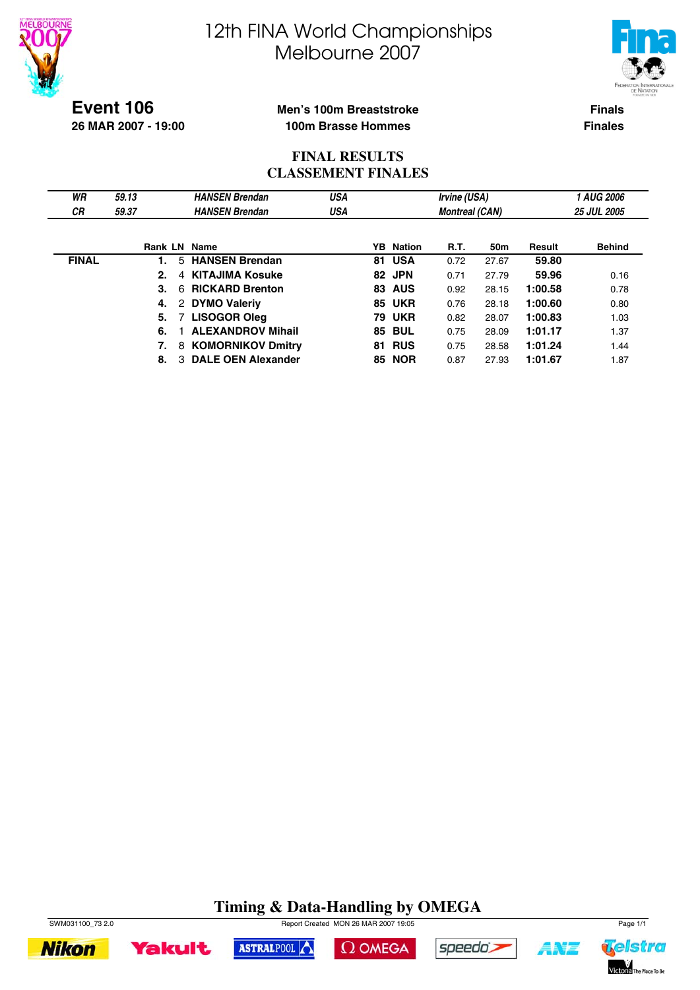



**Event 106 26 MAR 2007 - 19:00**

#### **Men's 100m Breaststroke 100m Brasse Hommes**

**Finals Finales**

#### **FINAL RESULTS CLASSEMENT FINALES**

| WR           | 59.13               | <b>HANSEN Brendan</b>     | <b>USA</b> |    |                  | Irvine (USA)          |       |         | <b>1 AUG 2006</b>  |
|--------------|---------------------|---------------------------|------------|----|------------------|-----------------------|-------|---------|--------------------|
| СR           | 59.37               | <b>HANSEN Brendan</b>     | USA        |    |                  | <b>Montreal (CAN)</b> |       |         | <b>25 JUL 2005</b> |
|              |                     |                           |            |    |                  |                       |       |         |                    |
|              | <b>Rank LN Name</b> |                           |            |    | <b>YB</b> Nation | R.T.                  | 50m   | Result  | <b>Behind</b>      |
| <b>FINAL</b> |                     | 5 HANSEN Brendan          |            |    | 81 USA           | 0.72                  | 27.67 | 59.80   |                    |
|              | 2.<br>4             | <b>KITAJIMA Kosuke</b>    |            |    | 82 JPN           | 0.71                  | 27.79 | 59.96   | 0.16               |
|              | 3.<br>6             | <b>RICKARD Brenton</b>    |            | 83 | <b>AUS</b>       | 0.92                  | 28.15 | 1:00.58 | 0.78               |
|              | 4.                  | 2 DYMO Valeriy            |            |    | <b>85 UKR</b>    | 0.76                  | 28.18 | 1:00.60 | 0.80               |
|              | 5.                  | 7 LISOGOR Oleg            |            |    | <b>79 UKR</b>    | 0.82                  | 28.07 | 1:00.83 | 1.03               |
|              | 6.                  | <b>ALEXANDROV Mihail</b>  |            |    | <b>85 BUL</b>    | 0.75                  | 28.09 | 1:01.17 | 1.37               |
|              | 7.                  | 8 KOMORNIKOV Dmitry       |            |    | <b>81 RUS</b>    | 0.75                  | 28.58 | 1:01.24 | 1.44               |
|              | 3<br>8.             | <b>DALE OEN Alexander</b> |            | 85 | <b>NOR</b>       | 0.87                  | 27.93 | 1:01.67 | 1.87               |

### **Timing & Data-Handling by OMEGA**











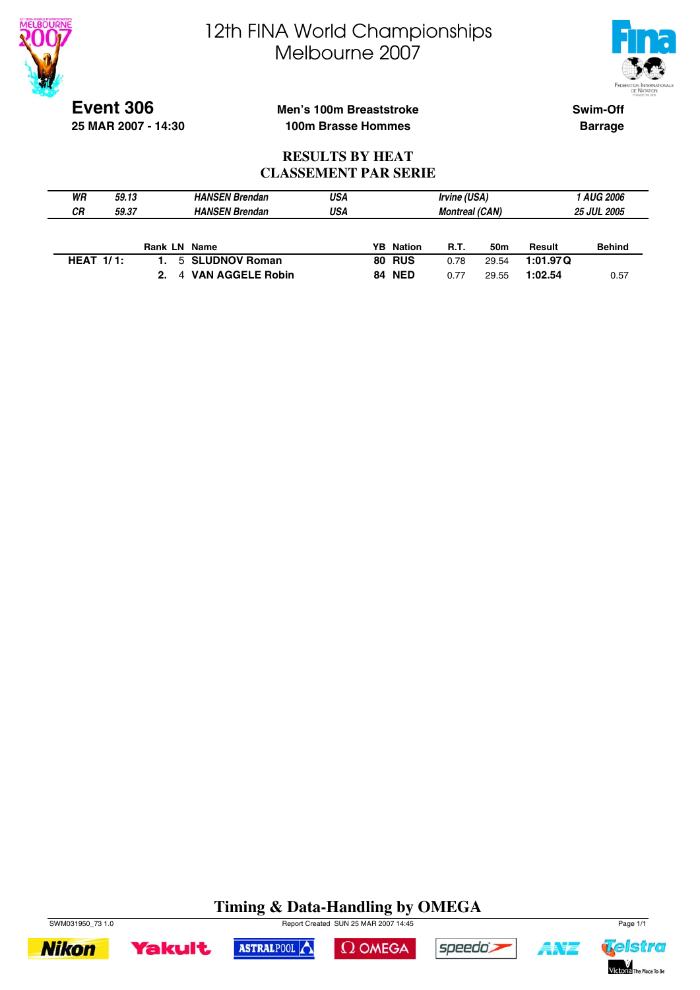



**Event 306 25 MAR 2007 - 14:30**

### **Men's 100m Breaststroke 100m Brasse Hommes**

**Swim-Off Barrage**

#### **RESULTS BY HEAT CLASSEMENT PAR SERIE**

| WR           | 59.13 | <b>HANSEN Brendan</b>        | USA |                  | Irvine (USA)          |       |          | 1 AUG 2006         |
|--------------|-------|------------------------------|-----|------------------|-----------------------|-------|----------|--------------------|
| CR.          | 59.37 | <b>HANSEN Brendan</b>        | USA |                  | <b>Montreal (CAN)</b> |       |          | <b>25 JUL 2005</b> |
|              |       |                              |     |                  |                       |       |          |                    |
|              |       | <b>Rank LN Name</b>          |     | <b>YB</b> Nation | <b>R.T.</b>           | 50m   | Result   | <b>Behind</b>      |
| HEAT $1/1$ : |       | 5 SLUDNOV Roman              |     | <b>80 RUS</b>    | 0.78                  | 29.54 | 1:01.97Q |                    |
|              |       | <b>VAN AGGELE Robin</b><br>4 |     | <b>84 NED</b>    | 0.77                  | 29.55 | 1:02.54  | 0.57               |

### **Timing & Data-Handling by OMEGA**





ASTRALPOOL





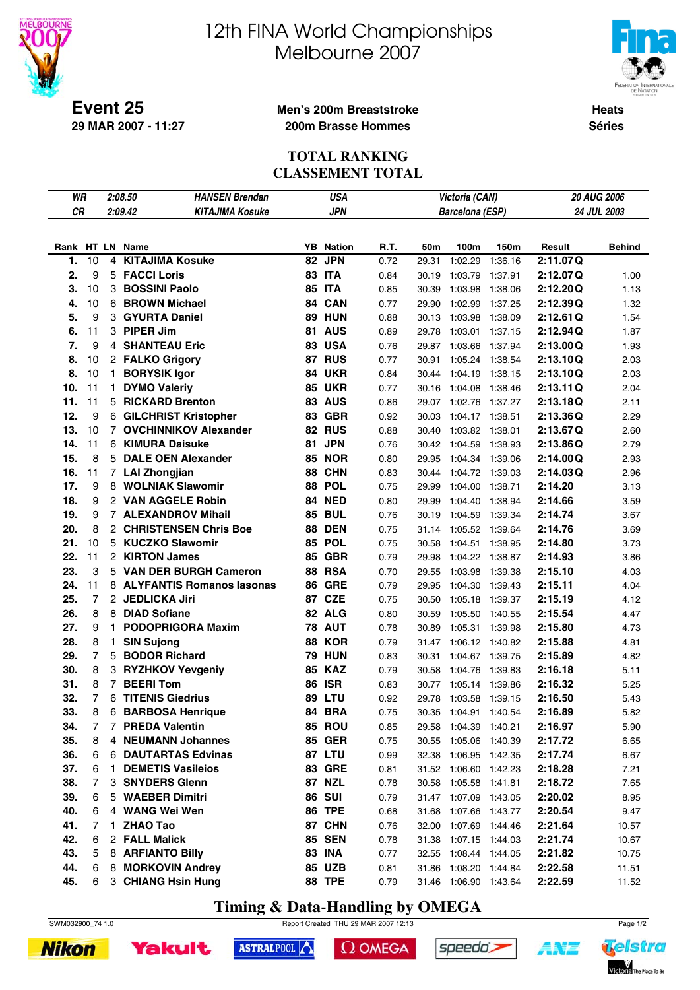



**Heats Séries**

**Event 25 29 MAR 2007 - 11:27**

#### **Men's 200m Breaststroke 200m Brasse Hommes**

#### **TOTAL RANKING CLASSEMENT TOTAL**

| WR        |                |                | <b>HANSEN Brendan</b><br>2:08.50  |    | <b>USA</b>       |      |       | Victoria (CAN)        |         |          | 20 AUG 2006   |
|-----------|----------------|----------------|-----------------------------------|----|------------------|------|-------|-----------------------|---------|----------|---------------|
| <b>CR</b> |                |                | 2:09.42<br><b>KITAJIMA Kosuke</b> |    | <b>JPN</b>       |      |       | Barcelona (ESP)       |         |          | 24 JUL 2003   |
|           |                |                |                                   |    |                  |      |       |                       |         |          |               |
|           |                |                | Rank HT LN Name                   |    | <b>YB</b> Nation | R.T. | 50m   | 100m                  | 150m    | Result   | <b>Behind</b> |
| 1.        | 10             | 4              | <b>KITAJIMA Kosuke</b>            | 82 | <b>JPN</b>       | 0.72 | 29.31 | 1:02.29               | 1:36.16 | 2:11.07Q |               |
| 2.        | 9              |                | 5 FACCI Loris                     |    | <b>83 ITA</b>    | 0.84 | 30.19 | 1:03.79               | 1:37.91 | 2:12.07Q | 1.00          |
| 3.        | 10             |                | 3 BOSSINI Paolo                   |    | <b>85 ITA</b>    | 0.85 | 30.39 | 1:03.98               | 1:38.06 | 2:12.20Q | 1.13          |
| 4.        | 10             |                | 6 BROWN Michael                   |    | 84 CAN           | 0.77 | 29.90 | 1:02.99               | 1:37.25 | 2:12.39Q | 1.32          |
| 5.        | 9              |                | 3 GYURTA Daniel                   |    | <b>89 HUN</b>    | 0.88 | 30.13 | 1:03.98               | 1:38.09 | 2:12.61Q | 1.54          |
| 6.        | 11             |                | 3 PIPER Jim                       |    | 81 AUS           | 0.89 | 29.78 | 1:03.01 1:37.15       |         | 2:12.94Q | 1.87          |
| 7.        | 9              |                | <b>4 SHANTEAU Eric</b>            | 83 | <b>USA</b>       | 0.76 | 29.87 | 1:03.66               | 1:37.94 | 2:13.00Q | 1.93          |
| 8.        | 10             |                | 2 FALKO Grigory                   |    | 87 RUS           | 0.77 | 30.91 | 1:05.24 1:38.54       |         | 2:13.10Q | 2.03          |
| 8.        | 10             |                | 1 BORYSIK Igor                    | 84 | <b>UKR</b>       | 0.84 | 30.44 | 1:04.19               | 1:38.15 | 2:13.10Q | 2.03          |
| 10.       | 11             | 1.             | <b>DYMO Valeriy</b>               |    | <b>85 UKR</b>    | 0.77 | 30.16 | 1:04.08               | 1:38.46 | 2:13.11Q | 2.04          |
| 11.       | 11             |                | 5 RICKARD Brenton                 |    | <b>83 AUS</b>    | 0.86 | 29.07 | 1:02.76 1:37.27       |         | 2:13.18Q | 2.11          |
| 12.       | 9              |                | 6 GILCHRIST Kristopher            |    | 83 GBR           | 0.92 | 30.03 | 1:04.17 1:38.51       |         | 2:13.36Q | 2.29          |
| 13.       | 10             |                | 7 OVCHINNIKOV Alexander           |    | 82 RUS           | 0.88 | 30.40 | 1:03.82               | 1:38.01 | 2:13.67Q | 2.60          |
| 14.       | 11             |                | 6 KIMURA Daisuke                  |    | 81 JPN           | 0.76 | 30.42 | 1:04.59               | 1:38.93 | 2:13.86Q | 2.79          |
| 15.       | 8              |                | 5 DALE OEN Alexander              |    | <b>85 NOR</b>    | 0.80 | 29.95 | 1:04.34               | 1:39.06 | 2:14.00Q | 2.93          |
| 16.       | 11             |                | 7 LAI Zhongjian                   |    | 88 CHN           | 0.83 | 30.44 | 1:04.72               | 1:39.03 | 2:14.03Q | 2.96          |
| 17.       | 9              |                | 8 WOLNIAK Slawomir                |    | 88 POL           | 0.75 | 29.99 | 1:04.00               | 1:38.71 | 2:14.20  | 3.13          |
| 18.       | 9              |                | 2 VAN AGGELE Robin                |    | 84 NED           | 0.80 | 29.99 | 1:04.40               | 1:38.94 | 2:14.66  | 3.59          |
| 19.       | 9              |                | <b>7 ALEXANDROV Mihail</b>        |    | <b>85 BUL</b>    | 0.76 | 30.19 | 1:04.59               | 1:39.34 | 2:14.74  | 3.67          |
| 20.       | 8              |                | 2 CHRISTENSEN Chris Boe           |    | <b>88 DEN</b>    | 0.75 | 31.14 | 1:05.52 1:39.64       |         | 2:14.76  | 3.69          |
| 21.       | 10             |                | 5 KUCZKO Slawomir                 |    | 85 POL           | 0.75 | 30.58 | 1:04.51 1:38.95       |         | 2:14.80  | 3.73          |
| 22.       | 11             |                | 2 KIRTON James                    |    | <b>85 GBR</b>    | 0.79 | 29.98 | 1:04.22               | 1:38.87 | 2:14.93  | 3.86          |
| 23.       | 3              |                | 5 VAN DER BURGH Cameron           |    | <b>88 RSA</b>    | 0.70 | 29.55 | 1:03.98               | 1:39.38 | 2:15.10  | 4.03          |
| 24.       | 11             |                | 8 ALYFANTIS Romanos Iasonas       |    | <b>86 GRE</b>    | 0.79 | 29.95 | 1:04.30               | 1:39.43 | 2:15.11  | 4.04          |
| 25.       | 7              |                | 2 JEDLICKA Jiri                   |    | 87 CZE           | 0.75 | 30.50 | 1:05.18 1:39.37       |         | 2:15.19  | 4.12          |
| 26.       | 8              |                | 8 DIAD Sofiane                    |    | 82 ALG           | 0.80 | 30.59 | 1:05.50 1:40.55       |         | 2:15.54  | 4.47          |
| 27.       | 9              | 1.             | <b>PODOPRIGORA Maxim</b>          |    | <b>78 AUT</b>    | 0.78 | 30.89 | 1:05.31 1:39.98       |         | 2:15.80  | 4.73          |
| 28.       | 8              | $\mathbf{1}$   | <b>SIN Sujong</b>                 | 88 | <b>KOR</b>       | 0.79 | 31.47 | 1:06.12 1:40.82       |         | 2:15.88  | 4.81          |
| 29.       | $\overline{7}$ | 5              | <b>BODOR Richard</b>              |    | <b>79 HUN</b>    | 0.83 | 30.31 | 1:04.67 1:39.75       |         | 2:15.89  | 4.82          |
| 30.       | 8              |                | 3 RYZHKOV Yevgeniy                | 85 | <b>KAZ</b>       | 0.79 | 30.58 | 1:04.76               | 1:39.83 | 2:16.18  | 5.11          |
| 31.       | 8              | $\overline{7}$ | <b>BEERI Tom</b>                  |    | <b>86 ISR</b>    | 0.83 | 30.77 | 1:05.14 1:39.86       |         | 2:16.32  | 5.25          |
| 32.       | 7              | 6              | <b>TITENIS Giedrius</b>           | 89 | LTU              | 0.92 | 29.78 | 1:03.58               | 1:39.15 | 2:16.50  | 5.43          |
| 33.       | 8              | 6              | <b>BARBOSA Henrique</b>           |    | 84 BRA           | 0.75 | 30.35 | 1:04.91 1:40.54       |         | 2:16.89  | 5.82          |
| 34.       | 7              | 7              | <b>PREDA Valentin</b>             |    | 85 ROU           | 0.85 |       | 29.58 1:04.39 1:40.21 |         | 2:16.97  | 5.90          |
| 35.       | 8              | 4              | <b>NEUMANN Johannes</b>           |    | <b>85 GER</b>    | 0.75 |       | 30.55 1:05.06 1:40.39 |         | 2:17.72  | 6.65          |
| 36.       | 6              | 6              | <b>DAUTARTAS Edvinas</b>          |    | 87 LTU           | 0.99 |       | 32.38 1:06.95 1:42.35 |         | 2:17.74  | 6.67          |
| 37.       | 6              | 1.             | <b>DEMETIS Vasileios</b>          |    | <b>83 GRE</b>    | 0.81 |       | 31.52 1:06.60 1:42.23 |         | 2:18.28  | 7.21          |
| 38.       | 7              | 3              | <b>SNYDERS Glenn</b>              |    | 87 NZL           | 0.78 |       | 30.58 1:05.58 1:41.81 |         | 2:18.72  | 7.65          |
| 39.       | 6              | 5              | <b>WAEBER Dimitri</b>             |    | <b>86 SUI</b>    | 0.79 |       | 31.47 1:07.09 1:43.05 |         | 2:20.02  | 8.95          |
| 40.       | 6              | 4              | <b>WANG Wei Wen</b>               |    | <b>86 TPE</b>    | 0.68 | 31.68 | 1:07.66 1:43.77       |         | 2:20.54  | 9.47          |
| 41.       | 7              | 1              | <b>ZHAO Tao</b>                   |    | 87 CHN           | 0.76 |       | 32.00 1:07.69 1:44.46 |         | 2:21.64  | 10.57         |
| 42.       | 6              | $\overline{2}$ | <b>FALL Malick</b>                |    | <b>85 SEN</b>    | 0.78 |       | 31.38 1:07.15 1:44.03 |         | 2:21.74  | 10.67         |
| 43.       | 5              |                | 8 ARFIANTO Billy                  |    | <b>83 INA</b>    | 0.77 |       | 32.55 1:08.44 1:44.05 |         | 2:21.82  | 10.75         |
| 44.       | 6              | 8              | <b>MORKOVIN Andrey</b>            |    | 85 UZB           | 0.81 |       | 31.86 1:08.20 1:44.84 |         | 2:22.58  | 11.51         |
| 45.       | 6              |                | 3 CHIANG Hsin Hung                |    | <b>88 TPE</b>    | 0.79 |       | 31.46 1:06.90 1:43.64 |         | 2:22.59  | 11.52         |

**Timing & Data-Handling by OMEGA**







 $\Omega$  OMEGA



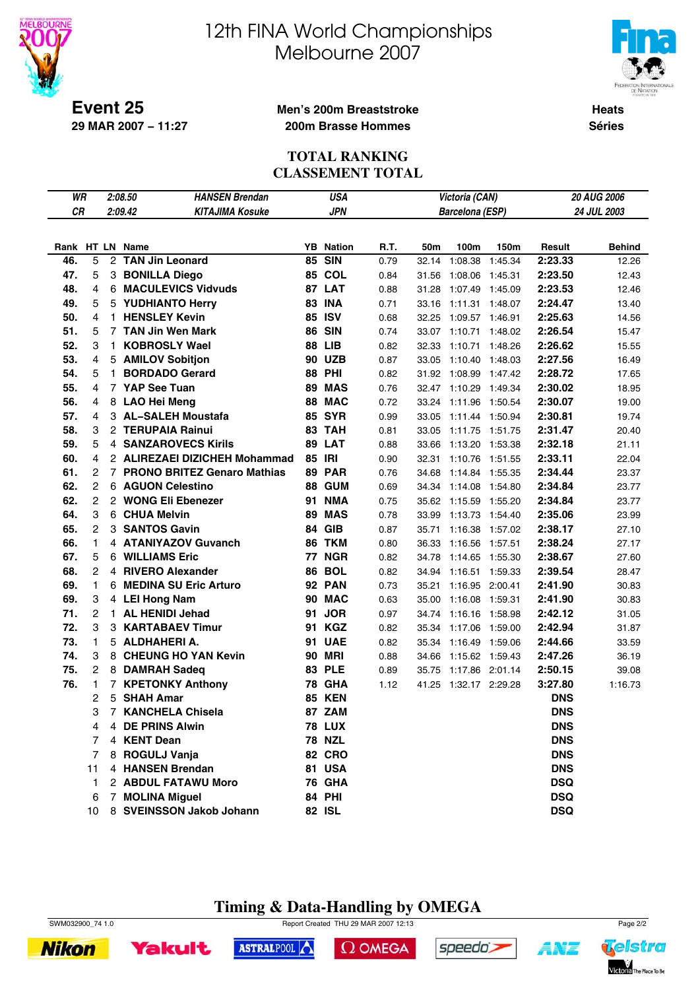



**Heats Séries**

**Event 25 29 MAR 2007 − 11:27**

### **Men's 200m Breaststroke 200m Brasse Hommes**

#### **TOTAL RANKING CLASSEMENT TOTAL**

| WR         |                |                | 2:08.50<br><b>HANSEN Brendan</b>          |          | <b>USA</b>               |              |                | Victoria (CAN)                     |         |                    | 20 AUG 2006      |
|------------|----------------|----------------|-------------------------------------------|----------|--------------------------|--------------|----------------|------------------------------------|---------|--------------------|------------------|
| <b>CR</b>  |                |                | 2:09.42<br><b>KITAJIMA Kosuke</b>         |          | <b>JPN</b>               |              |                | <b>Barcelona (ESP)</b>             |         |                    | 24 JUL 2003      |
|            |                |                |                                           |          |                          |              |                |                                    |         |                    |                  |
|            |                |                | Rank HT LN Name                           |          | <b>YB</b> Nation         | R.T.         | 50m            | 100m                               | 150m    | Result             | <b>Behind</b>    |
| 46.        | 5              |                | 2 TAN Jin Leonard                         | 85       | <b>SIN</b>               | 0.79         | 32.14          | 1:08.38                            | 1:45.34 | 2:23.33            | 12.26            |
| 47.        | 5              |                | 3 BONILLA Diego                           | 85       | COL                      | 0.84         | 31.56          | 1:08.06 1:45.31                    |         | 2:23.50            | 12.43            |
| 48.        | 4              |                | 6 MACULEVICS Vidvuds                      |          | 87 LAT                   | 0.88         | 31.28          | 1:07.49 1:45.09                    |         | 2:23.53            | 12.46            |
| 49.        | 5              |                | 5 YUDHIANTO Herry                         | 83       | <b>INA</b>               | 0.71         | 33.16          | 1:11.31 1:48.07                    |         | 2:24.47            | 13.40            |
| 50.        | 4              |                | 1 HENSLEY Kevin                           | 85       | <b>ISV</b>               | 0.68         | 32.25          | 1:09.57 1:46.91                    |         | 2:25.63            | 14.56            |
| 51.        | 5              |                | 7 TAN Jin Wen Mark                        | 86       | <b>SIN</b>               | 0.74         | 33.07          | 1:10.71                            | 1:48.02 | 2:26.54            | 15.47            |
| 52.        | 3              | $\mathbf{1}$   | <b>KOBROSLY Wael</b>                      | 88       | <b>LIB</b>               | 0.82         | 32.33          | 1:10.71                            | 1:48.26 | 2:26.62            | 15.55            |
| 53.        | 4              |                | 5 AMILOV Sobitjon                         | 90       | <b>UZB</b>               | 0.87         | 33.05          | 1:10.40 1:48.03                    |         | 2:27.56            | 16.49            |
| 54.        | 5              | 1.             | <b>BORDADO Gerard</b>                     | 88       | PHI                      | 0.82         | 31.92          | 1:08.99 1:47.42                    |         | 2:28.72            | 17.65            |
| 55.        | 4              |                | 7 YAP See Tuan                            | 89       | <b>MAS</b>               | 0.76         |                | 32.47 1:10.29 1:49.34              |         | 2:30.02            | 18.95            |
| 56.        | 4              |                | 8 LAO Hei Meng                            | 88       | <b>MAC</b>               | 0.72         | 33.24          | 1:11.96 1:50.54                    |         | 2:30.07            | 19.00            |
| 57.        | 4              |                | 3 AL-SALEH Moustafa                       | 85       | <b>SYR</b>               | 0.99         | 33.05          | 1:11.44 1:50.94                    |         | 2:30.81            | 19.74            |
| 58.        | 3              |                | 2 TERUPAIA Rainui                         | 83       | <b>TAH</b>               | 0.81         | 33.05          | 1:11.75                            | 1:51.75 | 2:31.47            | 20.40            |
| 59.        | 5              |                | <b>4 SANZAROVECS Kirils</b>               | 89       | <b>LAT</b>               | 0.88         | 33.66          | 1:13.20                            | 1:53.38 | 2:32.18            | 21.11            |
| 60.        | 4              |                | 2 ALIREZAEI DIZICHEH Mohammad             |          | 85 IRI                   | 0.90         | 32.31          | 1:10.76                            | 1:51.55 | 2:33.11            | 22.04            |
| 61.        | 2              |                | 7 PRONO BRITEZ Genaro Mathias             | 89       | <b>PAR</b>               | 0.76         | 34.68          | 1:14.84 1:55.35                    |         | 2:34.44            | 23.37            |
| 62.        | $\overline{c}$ |                | 6 AGUON Celestino                         | 88       | <b>GUM</b>               | 0.69         | 34.34          | 1:14.08 1:54.80                    |         | 2:34.84            | 23.77            |
| 62.        | 2              |                | 2 WONG Eli Ebenezer                       | 91       | <b>NMA</b>               | 0.75         | 35.62          | 1:15.59                            | 1:55.20 | 2:34.84            | 23.77            |
| 64.        | 3              |                | 6 CHUA Melvin                             | 89       | <b>MAS</b>               | 0.78         | 33.99          | 1:13.73 1:54.40                    |         | 2:35.06            | 23.99            |
| 65.        | 2              |                | 3 SANTOS Gavin                            | 84       | <b>GIB</b>               | 0.87         | 35.71          | 1:16.38 1:57.02                    |         | 2:38.17            | 27.10            |
| 66.        | 1              |                | 4 ATANIYAZOV Guvanch                      | 86       | <b>TKM</b>               | 0.80         | 36.33          | 1:16.56 1:57.51                    |         | 2:38.24            | 27.17            |
| 67.        | 5              |                | 6 WILLIAMS Eric                           |          | <b>77 NGR</b>            | 0.82         | 34.78          | 1:14.65                            | 1:55.30 | 2:38.67            | 27.60            |
| 68.        | 2              | 4              | <b>RIVERO Alexander</b>                   | 86       | <b>BOL</b>               | 0.82         | 34.94          | 1:16.51 1:59.33                    |         | 2:39.54            | 28.47            |
| 69.        | 1              | 6              | <b>MEDINA SU Eric Arturo</b>              | 92       | <b>PAN</b>               | 0.73         | 35.21          | 1:16.95 2:00.41                    |         | 2:41.90            | 30.83            |
| 69.        | 3              |                | 4 LEI Hong Nam                            | 90       | <b>MAC</b>               | 0.63         | 35.00          | 1:16.08 1:59.31                    |         | 2:41.90            | 30.83            |
| 71.        | 2              |                | 1 AL HENIDI Jehad                         | 91       | <b>JOR</b>               | 0.97         | 34.74          | 1:16.16 1:58.98                    |         | 2:42.12            | 31.05            |
| 72.<br>73. | 3<br>1         | 3              | <b>KARTABAEV Timur</b><br>5 ALDHAHERI A.  | 91       | <b>KGZ</b><br><b>UAE</b> | 0.82         | 35.34          | 1:17.06 1:59.00                    |         | 2:42.94            | 31.87            |
| 74.        | 3              |                | 8 CHEUNG HO YAN Kevin                     | 91       | MRI                      | 0.82         | 35.34          | 1:16.49                            | 1:59.06 | 2:44.66            | 33.59            |
| 75.        | 2              |                |                                           | 90<br>83 | <b>PLE</b>               | 0.88         | 34.66          | 1:15.62 1:59.43                    |         | 2:47.26<br>2:50.15 | 36.19            |
| 76.        | 1              | $\overline{7}$ | 8 DAMRAH Sadeq<br><b>KPETONKY Anthony</b> |          | <b>78 GHA</b>            | 0.89<br>1.12 | 35.75<br>41.25 | 1:17.86 2:01.14<br>1:32.17 2:29.28 |         | 3:27.80            | 39.08<br>1:16.73 |
|            | 2              |                | 5 SHAH Amar                               | 85       | <b>KEN</b>               |              |                |                                    |         | <b>DNS</b>         |                  |
|            | 3              | $\overline{7}$ | <b>KANCHELA Chisela</b>                   |          | 87 ZAM                   |              |                |                                    |         | <b>DNS</b>         |                  |
|            | 4              |                | 4 DE PRINS Alwin                          |          | <b>78 LUX</b>            |              |                |                                    |         | <b>DNS</b>         |                  |
|            | 7              | 4              | <b>KENT Dean</b>                          |          | <b>78 NZL</b>            |              |                |                                    |         | <b>DNS</b>         |                  |
|            | 7              |                | 8 ROGULJ Vanja                            |          | <b>82 CRO</b>            |              |                |                                    |         | <b>DNS</b>         |                  |
|            | 11             |                | 4 HANSEN Brendan                          |          | 81 USA                   |              |                |                                    |         | <b>DNS</b>         |                  |
|            | 1              |                | 2 ABDUL FATAWU Moro                       |          | <b>76 GHA</b>            |              |                |                                    |         | <b>DSQ</b>         |                  |
|            | 6              |                | 7 MOLINA Miguel                           |          | <b>84 PHI</b>            |              |                |                                    |         | <b>DSQ</b>         |                  |
|            | 10             |                | 8 SVEINSSON Jakob Johann                  |          | <b>82 ISL</b>            |              |                |                                    |         | <b>DSQ</b>         |                  |
|            |                |                |                                           |          |                          |              |                |                                    |         |                    |                  |

#### **Timing & Data-Handling by OMEGA** SWM032900\_74 1.0 Page 2/2

**Nikon** 



 $\Omega$  OMEGA



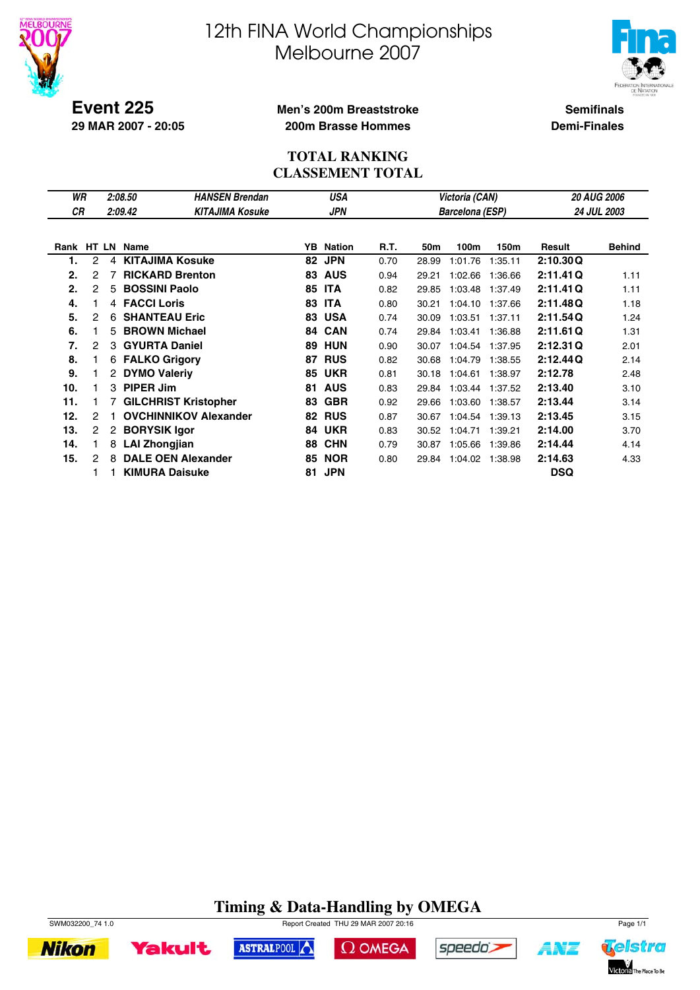



**Event 225 29 MAR 2007 - 20:05**

#### **Men's 200m Breaststroke 200m Brasse Hommes**

**Semifinals Demi-Finales**

#### **TOTAL RANKING CLASSEMENT TOTAL**

| WR         |   |                | 2:08.50                     | <b>HANSEN Brendan</b>        |    | USA           |      |       | Victoria (CAN)         |         |            | <b>20 AUG 2006</b> |
|------------|---|----------------|-----------------------------|------------------------------|----|---------------|------|-------|------------------------|---------|------------|--------------------|
| <b>CR</b>  |   |                | 2:09.42                     | <b>KITAJIMA Kosuke</b>       |    | <b>JPN</b>    |      |       | <b>Barcelona (ESP)</b> |         |            | 24 JUL 2003        |
|            |   |                |                             |                              |    |               |      |       |                        |         |            |                    |
| Rank HT LN |   |                | Name                        |                              | YB | <b>Nation</b> | R.T. | 50m   | 100m                   | 150m    | Result     | <b>Behind</b>      |
| 1.         | 2 | 4              | <b>KITAJIMA Kosuke</b>      |                              | 82 | <b>JPN</b>    | 0.70 | 28.99 | 1:01.76                | 1:35.11 | 2:10.30Q   |                    |
| 2.         | 2 |                | <b>RICKARD Brenton</b>      |                              | 83 | <b>AUS</b>    | 0.94 | 29.21 | 1:02.66                | 1:36.66 | 2:11.41Q   | 1.11               |
| 2.         | 2 | 5.             | <b>BOSSINI Paolo</b>        |                              | 85 | <b>ITA</b>    | 0.82 | 29.85 | 1:03.48                | 1:37.49 | 2:11.41Q   | 1.11               |
| 4.         |   | 4              | <b>FACCI Loris</b>          |                              | 83 | <b>ITA</b>    | 0.80 | 30.21 | 1:04.10                | 1:37.66 | 2:11.48Q   | 1.18               |
| 5.         | 2 | 6              | <b>SHANTEAU Eric</b>        |                              | 83 | <b>USA</b>    | 0.74 | 30.09 | 1:03.51                | 1:37.11 | 2:11.54Q   | 1.24               |
| 6.         |   | 5              | <b>BROWN Michael</b>        |                              | 84 | <b>CAN</b>    | 0.74 | 29.84 | 1:03.41                | 1:36.88 | 2:11.61Q   | 1.31               |
| 7.         | 2 | 3              | <b>GYURTA Daniel</b>        |                              | 89 | <b>HUN</b>    | 0.90 | 30.07 | 1:04.54                | 1:37.95 | 2:12.31Q   | 2.01               |
| 8.         |   | 6              | <b>FALKO Grigory</b>        |                              | 87 | <b>RUS</b>    | 0.82 | 30.68 | 1:04.79                | 1:38.55 | 2:12.44Q   | 2.14               |
| 9.         |   | $\mathbf{2}$   | <b>DYMO Valeriy</b>         |                              | 85 | <b>UKR</b>    | 0.81 | 30.18 | 1:04.61                | 1:38.97 | 2:12.78    | 2.48               |
| 10.        |   | 3              | <b>PIPER Jim</b>            |                              | 81 | <b>AUS</b>    | 0.83 | 29.84 | 1:03.44                | 1:37.52 | 2:13.40    | 3.10               |
| 11.        |   |                | <b>GILCHRIST Kristopher</b> |                              | 83 | <b>GBR</b>    | 0.92 | 29.66 | 1:03.60                | 1:38.57 | 2:13.44    | 3.14               |
| 12.        | 2 |                |                             | <b>OVCHINNIKOV Alexander</b> | 82 | <b>RUS</b>    | 0.87 | 30.67 | 1:04.54                | 1:39.13 | 2:13.45    | 3.15               |
| 13.        | 2 | $\overline{2}$ | <b>BORYSIK Igor</b>         |                              | 84 | <b>UKR</b>    | 0.83 | 30.52 | 1:04.71                | 1:39.21 | 2:14.00    | 3.70               |
| 14.        |   | 8              | <b>LAI Zhongjian</b>        |                              | 88 | <b>CHN</b>    | 0.79 | 30.87 | 1:05.66                | 1:39.86 | 2:14.44    | 4.14               |
| 15.        | 2 | 8              | <b>DALE OEN Alexander</b>   |                              | 85 | <b>NOR</b>    | 0.80 | 29.84 | 1:04.02                | 1:38.98 | 2:14.63    | 4.33               |
|            |   |                | <b>KIMURA Daisuke</b>       |                              | 81 | <b>JPN</b>    |      |       |                        |         | <b>DSQ</b> |                    |

### **Timing & Data-Handling by OMEGA**



**Nikon** 



ASTRALPOOL

 $\Omega$  OMEGA



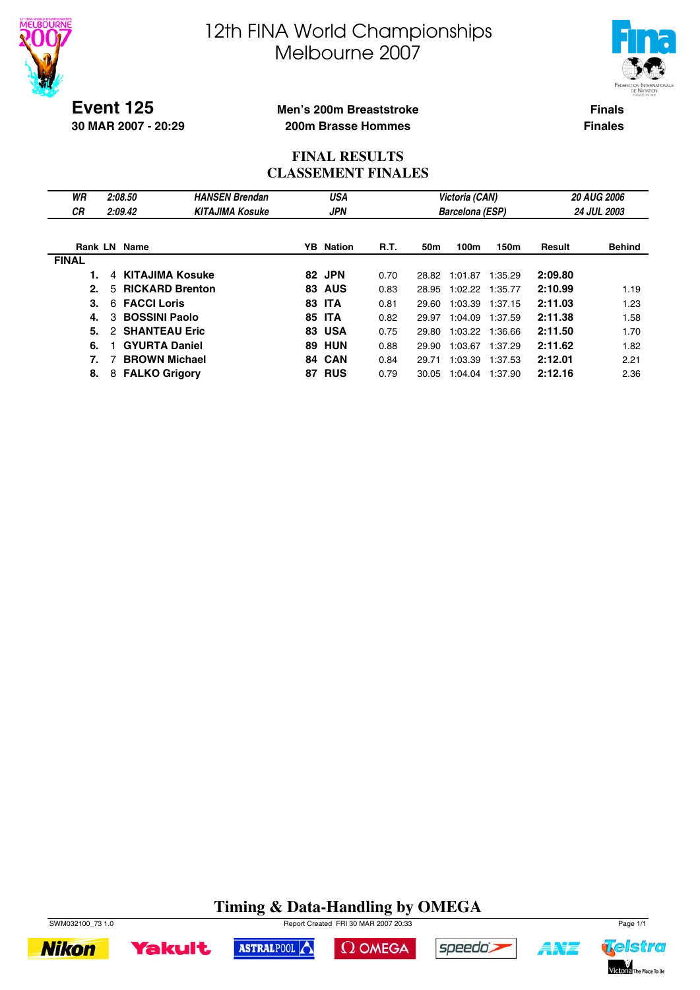



**Event 125 30 MAR 2007 - 20:29**

#### **Men's 200m Breaststroke 200m Brasse Hommes**

**Finals Finales**

#### **FINAL RESULTS CLASSEMENT FINALES**

| WR<br>СR     | 2:08.50<br>2:09.42          | <b>HANSEN Brendan</b><br><b>KITAJIMA Kosuke</b> |    | USA<br><b>JPN</b> |             |       | Victoria (CAN)<br><b>Barcelona (ESP)</b> |                 |         | <b>20 AUG 2006</b><br>24 JUL 2003 |
|--------------|-----------------------------|-------------------------------------------------|----|-------------------|-------------|-------|------------------------------------------|-----------------|---------|-----------------------------------|
|              | <b>Rank LN Name</b>         |                                                 |    | <b>YB</b> Nation  | <b>R.T.</b> | 50m   | 100m                                     | 150m            | Result  | <b>Behind</b>                     |
| <b>FINAL</b> |                             |                                                 |    |                   |             |       |                                          |                 |         |                                   |
|              | KITAJIMA Kosuke<br>$\Delta$ |                                                 |    | 82 JPN            | 0.70        | 28.82 | 1:01.87                                  | 1:35.29         | 2:09.80 |                                   |
| 2.           | <b>RICKARD Brenton</b><br>5 |                                                 |    | <b>83 AUS</b>     | 0.83        | 28.95 |                                          | 1:02.22 1:35.77 | 2:10.99 | 1.19                              |
| 3.           | <b>FACCI Loris</b><br>6     |                                                 |    | <b>83 ITA</b>     | 0.81        | 29.60 | 1:03.39                                  | 1:37.15         | 2:11.03 | 1.23                              |
| 4.           | <b>BOSSINI Paolo</b><br>3   |                                                 | 85 | <b>ITA</b>        | 0.82        | 29.97 | 1:04.09                                  | 1:37.59         | 2:11.38 | 1.58                              |
| 5.           | <b>SHANTEAU Eric</b><br>2   |                                                 |    | <b>83 USA</b>     | 0.75        | 29.80 |                                          | 1:03.22 1:36.66 | 2:11.50 | 1.70                              |
| 6.           | <b>GYURTA Daniel</b>        |                                                 |    | <b>89 HUN</b>     | 0.88        | 29.90 | 1:03.67                                  | 1:37.29         | 2:11.62 | 1.82                              |
| 7.           | <b>BROWN Michael</b>        |                                                 |    | 84 CAN            | 0.84        | 29.71 | 1:03.39                                  | 1:37.53         | 2:12.01 | 2.21                              |
| 8.           | <b>FALKO Grigory</b><br>8   |                                                 | 87 | <b>RUS</b>        | 0.79        | 30.05 | 1:04.04                                  | 1:37.90         | 2:12.16 | 2.36                              |

### **Timing & Data-Handling by OMEGA**





ASTRALPOOL





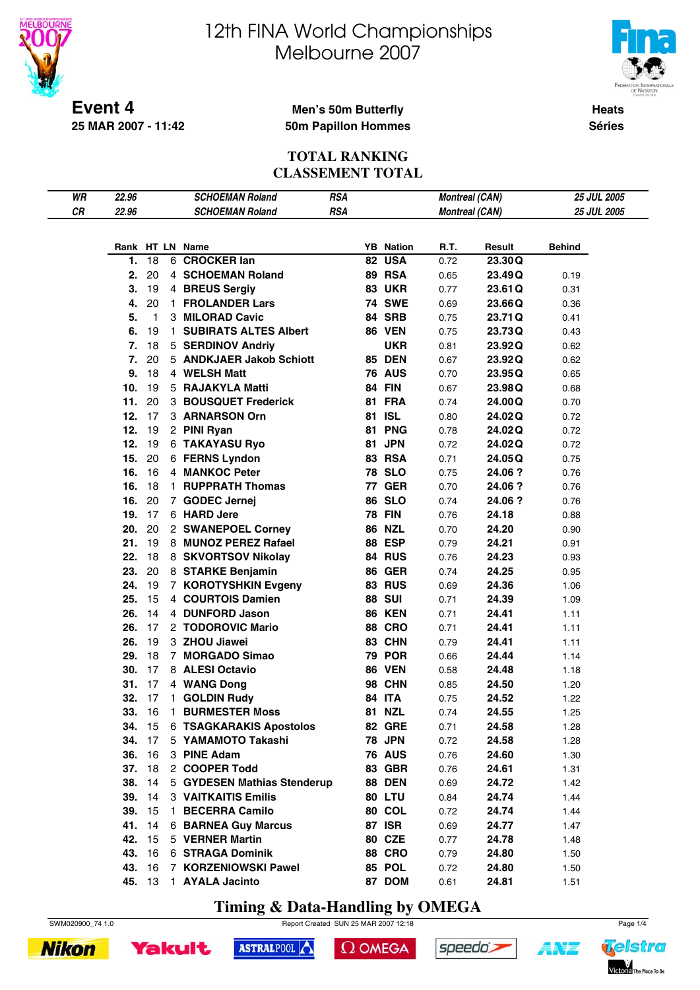

**25 MAR 2007 - 11:42**

# 12th FINA World Championships Melbourne 2007



**Heats Séries**

#### **Men's 50m Butterfly 50m Papillon Hommes**

#### **TOTAL RANKING CLASSEMENT TOTAL**

| WR | 22.96 |              |              | <b>SCHOEMAN Roland</b>         | <b>RSA</b> |    |                  | <b>Montreal (CAN)</b> |         | 25 JUL 2005   |  |
|----|-------|--------------|--------------|--------------------------------|------------|----|------------------|-----------------------|---------|---------------|--|
| CR | 22.96 |              |              | <b>SCHOEMAN Roland</b>         | <b>RSA</b> |    |                  | <b>Montreal (CAN)</b> |         | 25 JUL 2005   |  |
|    |       |              |              |                                |            |    |                  |                       |         |               |  |
|    |       |              |              | Rank HT LN Name                |            |    | <b>YB</b> Nation | R.T.                  | Result  | <b>Behind</b> |  |
|    | 1.    | 18           |              | 6 CROCKER lan                  |            | 82 | <b>USA</b>       | 0.72                  | 23.30Q  |               |  |
|    | 2.    | 20           |              | 4 SCHOEMAN Roland              |            |    | 89 RSA           | 0.65                  | 23.49Q  | 0.19          |  |
|    | 3.    | 19           |              | 4 BREUS Sergiy                 |            |    | <b>83 UKR</b>    | 0.77                  | 23.61Q  | 0.31          |  |
|    | 4.    | 20           | $\mathbf{1}$ | <b>FROLANDER Lars</b>          |            |    | <b>74 SWE</b>    | 0.69                  | 23.66Q  | 0.36          |  |
|    | 5.    | $\mathbf{1}$ |              | 3 MILORAD Cavic                |            |    | 84 SRB           | 0.75                  | 23.71Q  | 0.41          |  |
|    | 6.    | 19           | $\mathbf{1}$ | <b>SUBIRATS ALTES Albert</b>   |            |    | <b>86 VEN</b>    | 0.75                  | 23.73Q  | 0.43          |  |
|    | 7.    | 18           |              | 5 SERDINOV Andriy              |            |    | <b>UKR</b>       | 0.81                  | 23.92Q  | 0.62          |  |
|    | 7.    | 20           |              | 5 ANDKJAER Jakob Schiott       |            |    | <b>85 DEN</b>    |                       | 23.92Q  |               |  |
|    | 9.    | 18           |              |                                |            |    |                  | 0.67                  |         | 0.62          |  |
|    |       |              |              | 4 WELSH Matt                   |            |    | <b>76 AUS</b>    | 0.70                  | 23.95Q  | 0.65          |  |
|    | 10.   | 19           |              | 5 RAJAKYLA Matti               |            |    | <b>84 FIN</b>    | 0.67                  | 23.98Q  | 0.68          |  |
|    | 11.   | 20           |              | 3 BOUSQUET Frederick           |            |    | <b>81 FRA</b>    | 0.74                  | 24.00Q  | 0.70          |  |
|    | 12.   | 17           |              | 3 ARNARSON Orn                 |            |    | 81 ISL           | 0.80                  | 24.02Q  | 0.72          |  |
|    | 12.   | 19           |              | 2 PINI Ryan                    |            | 81 | <b>PNG</b>       | 0.78                  | 24.02Q  | 0.72          |  |
|    | 12.   | 19           |              | <b>6 TAKAYASU Ryo</b>          |            |    | 81 JPN           | 0.72                  | 24.02Q  | 0.72          |  |
|    | 15.   | 20           |              | 6 FERNS Lyndon                 |            |    | <b>83 RSA</b>    | 0.71                  | 24.05Q  | 0.75          |  |
|    | 16.   | 16           |              | 4 MANKOC Peter                 |            |    | <b>78 SLO</b>    | 0.75                  | 24.06 ? | 0.76          |  |
|    | 16.   | 18           | $\mathbf{1}$ | <b>RUPPRATH Thomas</b>         |            |    | <b>77 GER</b>    | 0.70                  | 24.06 ? | 0.76          |  |
|    | 16.   | 20           |              | 7 GODEC Jernej                 |            |    | <b>86 SLO</b>    | 0.74                  | 24.06 ? | 0.76          |  |
|    | 19.   | 17           |              | 6 HARD Jere                    |            |    | <b>78 FIN</b>    | 0.76                  | 24.18   | 0.88          |  |
|    | 20.   | 20           |              | 2 SWANEPOEL Corney             |            |    | <b>86 NZL</b>    | 0.70                  | 24.20   | 0.90          |  |
|    | 21.   | 19           |              | 8 MUNOZ PEREZ Rafael           |            |    | <b>88 ESP</b>    | 0.79                  | 24.21   | 0.91          |  |
|    | 22.   | 18           |              | 8 SKVORTSOV Nikolay            |            |    | 84 RUS           | 0.76                  | 24.23   | 0.93          |  |
|    | 23.   | 20           |              | 8 STARKE Benjamin              |            |    | <b>86 GER</b>    | 0.74                  | 24.25   | 0.95          |  |
|    | 24.   | 19           |              | 7 KOROTYSHKIN Evgeny           |            |    | <b>83 RUS</b>    | 0.69                  | 24.36   | 1.06          |  |
|    | 25.   | 15           |              | 4 COURTOIS Damien              |            |    | <b>88 SUI</b>    | 0.71                  | 24.39   | 1.09          |  |
|    | 26.   | 14           |              | 4 DUNFORD Jason                |            |    | <b>86 KEN</b>    | 0.71                  | 24.41   | 1.11          |  |
|    | 26.   | 17           |              | 2 TODOROVIC Mario              |            |    | <b>88 CRO</b>    | 0.71                  | 24.41   | 1.11          |  |
|    | 26.   | 19           |              | 3 ZHOU Jiawei                  |            |    | 83 CHN           | 0.79                  | 24.41   | 1.11          |  |
|    | 29.   | 18           |              | 7 MORGADO Simao                |            |    | <b>79 POR</b>    | 0.66                  | 24.44   | 1.14          |  |
|    | 30.   | 17           |              | 8 ALESI Octavio                |            |    | <b>86 VEN</b>    | 0.58                  | 24.48   | 1.18          |  |
|    | 31.   | 17           |              | 4 WANG Dong                    |            |    | <b>98 CHN</b>    | 0.85                  | 24.50   | 1.20          |  |
|    | 32.   | 17           |              | 1 GOLDIN Rudy                  |            |    | 84 ITA           | 0.75                  | 24.52   | 1.22          |  |
|    | 33.   |              |              | 16 1 BURMESTER Moss            |            |    | <b>81 NZL</b>    | 0.74                  | 24.55   | 1.25          |  |
|    |       |              |              | 34. 15 6 TSAGKARAKIS Apostolos |            |    | <b>82 GRE</b>    | 0.71                  | 24.58   | 1.28          |  |
|    |       | 34. 17       |              | 5 YAMAMOTO Takashi             |            |    | <b>78 JPN</b>    | 0.72                  | 24.58   | 1.28          |  |
|    |       | 36. 16       |              | 3 PINE Adam                    |            |    | <b>76 AUS</b>    | 0.76                  | 24.60   | 1.30          |  |
|    |       | 37. 18       |              | 2 COOPER Todd                  |            |    | 83 GBR           | 0.76                  | 24.61   | 1.31          |  |
|    |       | 38. 14       |              | 5 GYDESEN Mathias Stenderup    |            |    | <b>88 DEN</b>    | 0.69                  | 24.72   | 1.42          |  |
|    |       | 39. 14       |              | 3 VAITKAITIS Emilis            |            |    | <b>80 LTU</b>    | 0.84                  | 24.74   | 1.44          |  |
|    |       | 39. 15       |              | 1 BECERRA Camilo               |            |    | 80 COL           | 0.72                  | 24.74   | 1.44          |  |
|    |       | 41. 14       |              | <b>6 BARNEA Guy Marcus</b>     |            |    | <b>87 ISR</b>    | 0.69                  | 24.77   | 1.47          |  |
|    |       | 42. 15       |              | 5 VERNER Martin                |            |    | <b>80 CZE</b>    | 0.77                  | 24.78   | 1.48          |  |
|    |       | 43. 16       |              | <b>6 STRAGA Dominik</b>        |            |    | <b>88 CRO</b>    | 0.79                  | 24.80   | 1.50          |  |
|    | 43.   | 16           |              | 7 KORZENIOWSKI Pawel           |            |    | 85 POL           | 0.72                  | 24.80   | 1.50          |  |
|    |       | 45. 13       |              | 1 AYALA Jacinto                |            |    | 87 DOM           | 0.61                  | 24.81   | 1.51          |  |
|    |       |              |              |                                |            |    |                  |                       |         |               |  |

**Timing & Data-Handling by OMEGA**

ASTRALPOOL



 $\Omega$  OMEGA



Yakult



speedo's

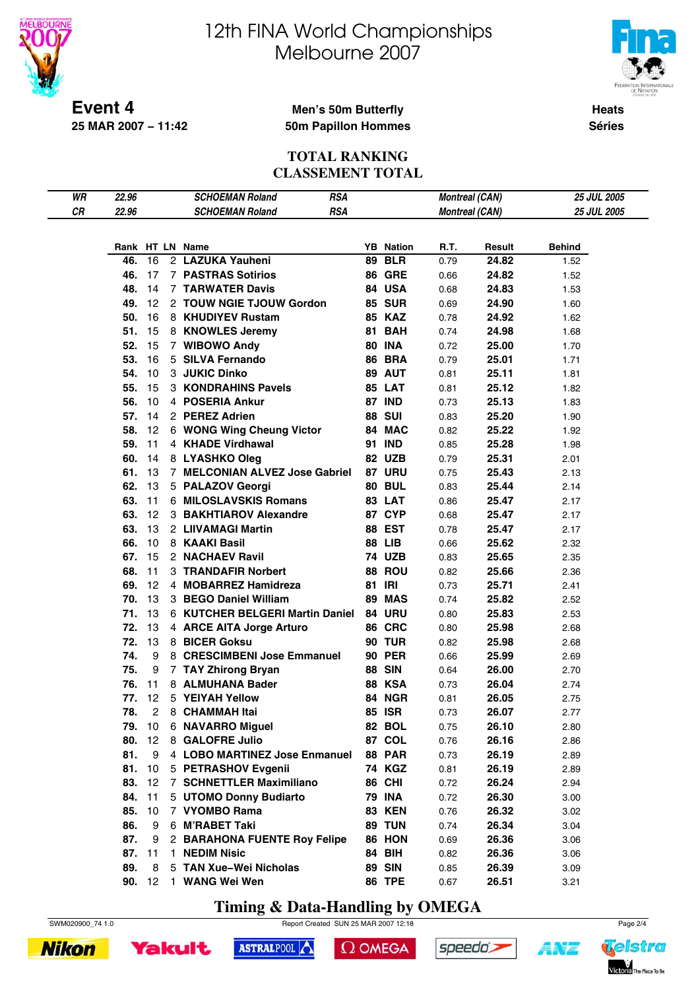

**25 MAR 2007 − 11:42**

# 12th FINA World Championships Melbourne 2007



**Heats Séries**

#### **Men's 50m Butterfly 50m Papillon Hommes**

**TOTAL RANKING CLASSEMENT TOTAL**

| WR | 22.96 |               | <b>SCHOEMAN Roland</b>                 | <b>RSA</b> |                  | <b>Montreal (CAN)</b> |                       | <b>25 JUL 2005</b> |  |
|----|-------|---------------|----------------------------------------|------------|------------------|-----------------------|-----------------------|--------------------|--|
| CR | 22.96 |               | <b>SCHOEMAN Roland</b>                 | <b>RSA</b> |                  |                       | <b>Montreal (CAN)</b> | <b>25 JUL 2005</b> |  |
|    |       |               |                                        |            |                  |                       |                       |                    |  |
|    |       |               |                                        |            |                  |                       |                       |                    |  |
|    |       | 16            | Rank HT LN Name<br>2 LAZUKA Yauheni    |            | <b>YB</b> Nation | R.T.                  | Result                | <b>Behind</b>      |  |
|    | 46.   |               |                                        |            | <b>89 BLR</b>    | 0.79                  | 24.82                 | 1.52               |  |
|    | 46.   | 17            | <b>7 PASTRAS Sotirios</b>              |            | <b>86 GRE</b>    | 0.66                  | 24.82                 | 1.52               |  |
|    | 48.   | 14            | <b>7 TARWATER Davis</b>                |            | 84 USA           | 0.68                  | 24.83                 | 1.53               |  |
|    | 49.   | 12            | 2 TOUW NGIE TJOUW Gordon               |            | <b>85 SUR</b>    | 0.69                  | 24.90                 | 1.60               |  |
|    | 50.   | 16            | 8 KHUDIYEV Rustam                      |            | <b>85 KAZ</b>    | 0.78                  | 24.92                 | 1.62               |  |
|    | 51.   | 15            | 8 KNOWLES Jeremy                       |            | 81 BAH           | 0.74                  | 24.98                 | 1.68               |  |
|    | 52.   | 15            | 7 WIBOWO Andy                          |            | <b>80 INA</b>    | 0.72                  | 25.00                 | 1.70               |  |
|    | 53.   | 16            | 5 SILVA Fernando                       |            | <b>86 BRA</b>    | 0.79                  | 25.01                 | 1.71               |  |
|    | 54.   | 10            | 3 JUKIC Dinko                          |            | 89 AUT           | 0.81                  | 25.11                 | 1.81               |  |
|    | 55.   | 15            | 3 KONDRAHINS Pavels                    |            | <b>85 LAT</b>    | 0.81                  | 25.12                 | 1.82               |  |
|    | 56.   | 10            | 4 POSERIA Ankur                        |            | <b>87 IND</b>    | 0.73                  | 25.13                 | 1.83               |  |
|    | 57.   | 14            | 2 PEREZ Adrien                         |            | <b>88 SUI</b>    | 0.83                  | 25.20                 | 1.90               |  |
|    | 58.   | 12            | 6 WONG Wing Cheung Victor              |            | 84 MAC           | 0.82                  | 25.22                 | 1.92               |  |
|    | 59.   | 11            | 4 KHADE Virdhawal                      |            | 91 IND           | 0.85                  | 25.28                 | 1.98               |  |
|    | 60.   | 14            | 8 LYASHKO Oleg                         |            | <b>82 UZB</b>    | 0.79                  | 25.31                 | 2.01               |  |
|    | 61.   | 13            | 7 MELCONIAN ALVEZ Jose Gabriel         |            | <b>87 URU</b>    | 0.75                  | 25.43                 | 2.13               |  |
|    | 62.   | 13            | 5 PALAZOV Georgi                       |            | <b>80 BUL</b>    | 0.83                  | 25.44                 | 2.14               |  |
|    | 63.   | 11            | 6 MILOSLAVSKIS Romans                  |            | 83 LAT           | 0.86                  | 25.47                 | 2.17               |  |
|    | 63.   | 12            | 3 BAKHTIAROV Alexandre                 |            | 87 CYP           | 0.68                  | 25.47                 | 2.17               |  |
|    | 63.   | 13            | 2 LIIVAMAGI Martin                     |            | <b>88 EST</b>    | 0.78                  | 25.47                 | 2.17               |  |
|    | 66.   | 10            | 8 KAAKI Basil                          |            | <b>88 LIB</b>    | 0.66                  | 25.62                 | 2.32               |  |
|    | 67.   | 15            | 2 NACHAEV Ravil                        |            | <b>74 UZB</b>    | 0.83                  | 25.65                 | 2.35               |  |
|    | 68.   | 11            | 3 TRANDAFIR Norbert                    |            | 88 ROU           | 0.82                  | 25.66                 | 2.36               |  |
|    | 69.   | 12            | 4 MOBARREZ Hamidreza                   |            | 81 IRI           | 0.73                  | 25.71                 | 2.41               |  |
|    | 70.   | 13            | 3 BEGO Daniel William                  |            | <b>89 MAS</b>    | 0.74                  | 25.82                 | 2.52               |  |
|    | 71.   | 13            | 6 KUTCHER BELGERI Martin Daniel 84 URU |            |                  | 0.80                  | 25.83                 | 2.53               |  |
|    | 72.   | 13            | 4 ARCE AITA Jorge Arturo               |            | 86 CRC           | 0.80                  | 25.98                 | 2.68               |  |
|    | 72.   | 13            | 8 BICER Goksu                          |            | <b>90 TUR</b>    | 0.82                  | 25.98                 | 2.68               |  |
|    | 74.   | 9             | 8 CRESCIMBENI Jose Emmanuel            |            | <b>90 PER</b>    | 0.66                  | 25.99                 | 2.69               |  |
|    | 75.   | 9             | 7 TAY Zhirong Bryan                    |            | <b>88 SIN</b>    | 0.64                  | 26.00                 | 2.70               |  |
|    | 76.   | 11            | 8 ALMUHANA Bader                       |            | 88 KSA           | 0.73                  | 26.04                 | 2.74               |  |
|    | 77.   | 12            | 5 YEIYAH Yellow                        |            | 84 NGR           | 0.81                  | 26.05                 | 2.75               |  |
|    | 78.   |               | 2 8 CHAMMAH Itai                       |            | 85 ISR           | 0.73                  | 26.07                 | 2.77               |  |
|    |       | <b>79.</b> 10 | 6 NAVARRO Miguel                       |            | 82 BOL           | 0.75                  | 26.10                 | 2.80               |  |
|    | 80.   | 12            | 8 GALOFRE Julio                        |            | 87 COL           | 0.76                  | 26.16                 | 2.86               |  |
|    | 81.   | 9             | 4 LOBO MARTINEZ Jose Enmanuel          |            | <b>88 PAR</b>    | 0.73                  | 26.19                 | 2.89               |  |
|    |       | 81. 10        | 5 PETRASHOV Evgenii                    |            | <b>74 KGZ</b>    | 0.81                  | 26.19                 | 2.89               |  |
|    | 83.   | 12            | 7 SCHNETTLER Maximiliano               |            | <b>86 CHI</b>    | 0.72                  | 26.24                 | 2.94               |  |
|    | 84.   | 11            | 5 UTOMO Donny Budiarto                 |            | <b>79 INA</b>    | 0.72                  | 26.30                 | 3.00               |  |
|    | 85.   | 10            | 7 VYOMBO Rama                          |            | <b>83 KEN</b>    | 0.76                  | 26.32                 | 3.02               |  |
|    | 86.   | 9             | 6 M'RABET Taki                         |            | <b>89 TUN</b>    | 0.74                  | 26.34                 | 3.04               |  |
|    | 87.   | 9             | 2 BARAHONA FUENTE Roy Felipe           |            | 86 HON           | 0.69                  | 26.36                 | 3.06               |  |
|    | 87.   |               | 1 NEDIM Nisic                          |            | <b>84 BIH</b>    |                       |                       |                    |  |
|    |       | -11           |                                        |            |                  | 0.82                  | 26.36                 | 3.06               |  |
|    | 89.   | 8             | 5 TAN Xue-Wei Nicholas                 |            | <b>89 SIN</b>    | 0.85                  | 26.39                 | 3.09               |  |
|    |       |               | 90. 12 1 WANG Wei Wen                  |            | <b>86 TPE</b>    | 0.67                  | 26.51                 | 3.21               |  |

**Timing & Data-Handling by OMEGA**

ASTRALPOOL

SWM020900\_74 1.0 Report Created SUN 25 MAR 2007 12:18 Page 2/4



**Yakult** 



**AYT** 

speedo's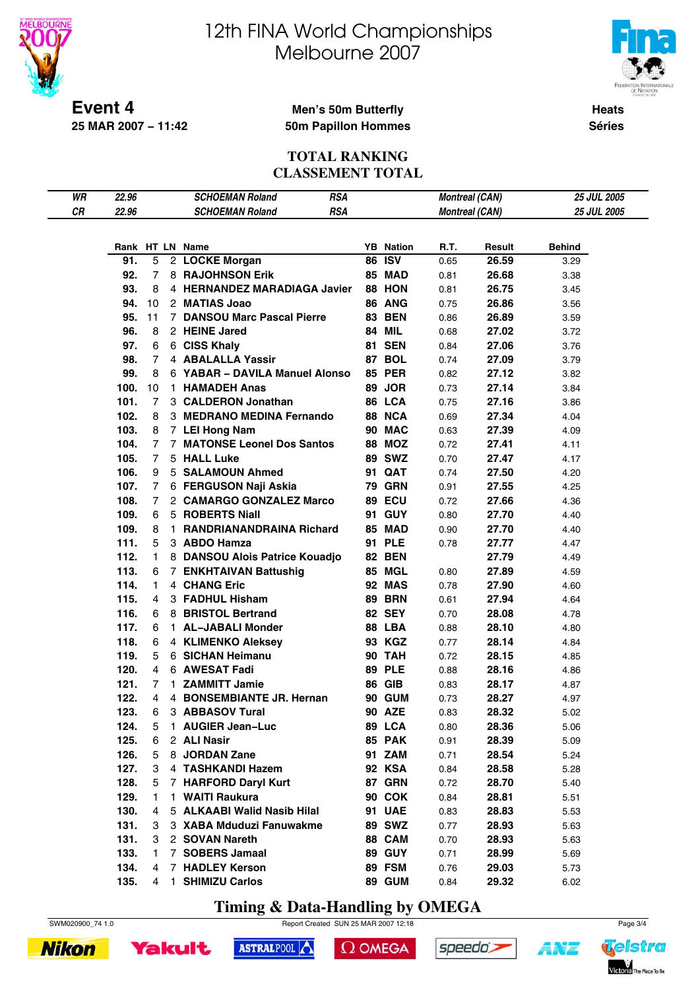

**25 MAR 2007 − 11:42**

# 12th FINA World Championships Melbourne 2007



**Heats Séries**

#### **Men's 50m Butterfly 50m Papillon Hommes**

#### **TOTAL RANKING CLASSEMENT TOTAL**

| WR | 22.96 |                | <b>RSA</b><br><b>SCHOEMAN Roland</b> |                  | <b>Montreal (CAN)</b> |        | 25 JUL 2005   |  |
|----|-------|----------------|--------------------------------------|------------------|-----------------------|--------|---------------|--|
| CR | 22.96 |                | <b>RSA</b><br><b>SCHOEMAN Roland</b> |                  | <b>Montreal (CAN)</b> |        | 25 JUL 2005   |  |
|    |       |                |                                      |                  |                       |        |               |  |
|    |       |                | Rank HT LN Name                      | <b>YB</b> Nation | R.T.                  | Result | <b>Behind</b> |  |
|    | 91.   | 5              | 2 LOCKE Morgan                       | <b>86 ISV</b>    | 0.65                  | 26.59  |               |  |
|    |       |                |                                      |                  |                       |        | 3.29          |  |
|    | 92.   | 7              | 8 RAJOHNSON Erik                     | 85 MAD           | 0.81                  | 26.68  | 3.38          |  |
|    | 93.   | 8              | 4 HERNANDEZ MARADIAGA Javier         | 88 HON           | 0.81                  | 26.75  | 3.45          |  |
|    | 94.   | 10             | 2 MATIAS Joao                        | 86 ANG           | 0.75                  | 26.86  | 3.56          |  |
|    | 95.   | 11             | 7 DANSOU Marc Pascal Pierre          | <b>83 BEN</b>    | 0.86                  | 26.89  | 3.59          |  |
|    | 96.   | 8              | 2 HEINE Jared                        | <b>84 MIL</b>    | 0.68                  | 27.02  | 3.72          |  |
|    | 97.   | 6              | 6 CISS Khaly                         | <b>81 SEN</b>    | 0.84                  | 27.06  | 3.76          |  |
|    | 98.   | 7              | 4 ABALALLA Yassir                    | 87 BOL           | 0.74                  | 27.09  | 3.79          |  |
|    | 99.   | 8              | 6 YABAR - DAVILA Manuel Alonso       | <b>85 PER</b>    | 0.82                  | 27.12  | 3.82          |  |
|    | 100.  | 10             | 1 HAMADEH Anas                       | 89 JOR           | 0.73                  | 27.14  | 3.84          |  |
|    | 101.  | 7              | 3 CALDERON Jonathan                  | 86 LCA           | 0.75                  | 27.16  | 3.86          |  |
|    | 102.  | 8              | 3 MEDRANO MEDINA Fernando            | 88 NCA           | 0.69                  | 27.34  | 4.04          |  |
|    | 103.  | 8              | 7 LEI Hong Nam                       | 90 MAC           | 0.63                  | 27.39  | 4.09          |  |
|    | 104.  | 7              | 7 MATONSE Leonel Dos Santos          | <b>88 MOZ</b>    | 0.72                  | 27.41  | 4.11          |  |
|    | 105.  | $\overline{7}$ | 5 HALL Luke                          | 89 SWZ           | 0.70                  | 27.47  | 4.17          |  |
|    | 106.  | 9              | 5 SALAMOUN Ahmed                     | 91 QAT           | 0.74                  | 27.50  | 4.20          |  |
|    | 107.  | 7              | 6 FERGUSON Naji Askia                | <b>79 GRN</b>    | 0.91                  | 27.55  | 4.25          |  |
|    | 108.  | 7              | 2 CAMARGO GONZALEZ Marco             | 89 ECU           | 0.72                  | 27.66  | 4.36          |  |
|    | 109.  | 6              | 5 ROBERTS Niall                      | 91 GUY           | 0.80                  | 27.70  | 4.40          |  |
|    | 109.  | 8              | 1 RANDRIANANDRAINA Richard           | 85 MAD           | 0.90                  | 27.70  | 4.40          |  |
|    |       |                |                                      |                  |                       |        |               |  |
|    | 111.  | 5              | 3 ABDO Hamza                         | 91 PLE           | 0.78                  | 27.77  | 4.47          |  |
|    | 112.  | 1.             | 8 DANSOU Alois Patrice Kouadjo       | <b>82 BEN</b>    |                       | 27.79  | 4.49          |  |
|    | 113.  | 6              | 7 ENKHTAIVAN Battushig               | <b>85 MGL</b>    | 0.80                  | 27.89  | 4.59          |  |
|    | 114.  | 1              | 4 CHANG Eric                         | <b>92 MAS</b>    | 0.78                  | 27.90  | 4.60          |  |
|    | 115.  | 4              | 3 FADHUL Hisham                      | <b>89 BRN</b>    | 0.61                  | 27.94  | 4.64          |  |
|    | 116.  | 6              | 8 BRISTOL Bertrand                   | <b>82 SEY</b>    | 0.70                  | 28.08  | 4.78          |  |
|    | 117.  | 6              | 1 AL-JABALI Monder                   | 88 LBA           | 0.88                  | 28.10  | 4.80          |  |
|    | 118.  | 6              | 4 KLIMENKO Aleksey                   | 93 KGZ           | 0.77                  | 28.14  | 4.84          |  |
|    | 119.  | 5              | 6 SICHAN Heimanu                     | <b>90 TAH</b>    | 0.72                  | 28.15  | 4.85          |  |
|    | 120.  | 4              | 6 AWESAT Fadi                        | <b>89 PLE</b>    | 0.88                  | 28.16  | 4.86          |  |
|    | 121.  | 7              | 1 ZAMMITT Jamie                      | <b>86 GIB</b>    | 0.83                  | 28.17  | 4.87          |  |
|    | 122.  | 4              | 4 BONSEMBIANTE JR. Hernan            | <b>90 GUM</b>    | 0.73                  | 28.27  | 4.97          |  |
|    | 123.  | 6              | 3 ABBASOV Tural                      | <b>90 AZE</b>    | 0.83                  | 28.32  | 5.02          |  |
|    | 124.  | 5              | 1 AUGIER Jean-Luc                    | 89 LCA           | 0.80                  | 28.36  | 5.06          |  |
|    | 125.  | 6              | 2 ALI Nasir                          | 85 PAK           | 0.91                  | 28.39  | 5.09          |  |
|    | 126.  | 5              | 8 JORDAN Zane                        | 91 ZAM           | 0.71                  | 28.54  | 5.24          |  |
|    | 127.  | 3              | 4 TASHKANDI Hazem                    | 92 KSA           | 0.84                  | 28.58  | 5.28          |  |
|    | 128.  | 5              | 7 HARFORD Daryl Kurt                 | 87 GRN           | 0.72                  | 28.70  | 5.40          |  |
|    | 129.  | 1              | 1 WAITI Raukura                      | 90 COK           | 0.84                  | 28.81  | 5.51          |  |
|    | 130.  | 4              | 5 ALKAABI Walid Nasib Hilal          | <b>91 UAE</b>    | 0.83                  | 28.83  | 5.53          |  |
|    | 131.  | 3              | 3 XABA Mduduzi Fanuwakme             | <b>89 SWZ</b>    | 0.77                  | 28.93  | 5.63          |  |
|    | 131.  | 3              | 2 SOVAN Nareth                       | 88 CAM           | 0.70                  | 28.93  | 5.63          |  |
|    | 133.  | 1.             | 7 SOBERS Jamaal                      | <b>89 GUY</b>    |                       | 28.99  | 5.69          |  |
|    |       |                |                                      |                  | 0.71                  |        |               |  |
|    | 134.  | 4              | 7 HADLEY Kerson                      | 89 FSM           | 0.76                  | 29.03  | 5.73          |  |
|    | 135.  | 4              | 1 SHIMIZU Carlos                     | 89 GUM           | 0.84                  | 29.32  | 6.02          |  |

**Timing & Data-Handling by OMEGA**



SWM020900\_74 1.0 Report Created SUN 25 MAR 2007 12:18 Page 3/4

**Nikon Yakult** 



 $\Omega$  OMEGA





ŧ*NZ*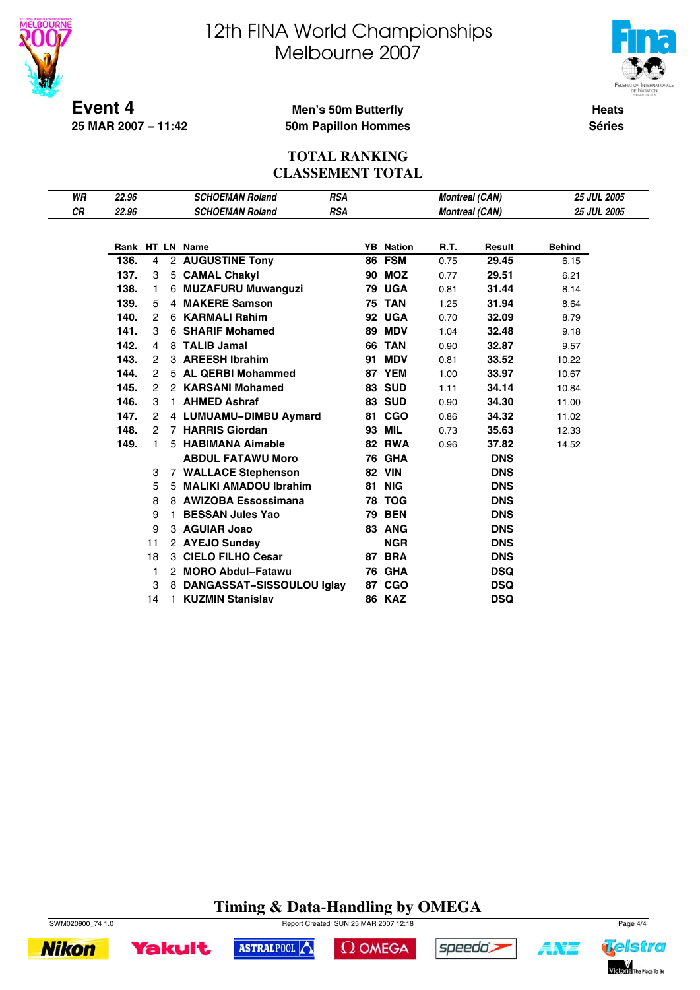

**25 MAR 2007 − 11:42**

# 12th FINA World Championships Melbourne 2007



**Heats**

#### **Men's 50m Butterfly 50m Papillon Hommes**

**Séries**

#### **TOTAL RANKING CLASSEMENT TOTAL**

| WR | 22.96 |                |    | <b>SCHOEMAN Roland</b>    | <b>RSA</b> |    |                  | <b>Montreal (CAN)</b> |            | <b>25 JUL 2005</b> |
|----|-------|----------------|----|---------------------------|------------|----|------------------|-----------------------|------------|--------------------|
| CR | 22.96 |                |    | <b>SCHOEMAN Roland</b>    | <b>RSA</b> |    |                  | <b>Montreal (CAN)</b> |            | <b>25 JUL 2005</b> |
|    |       |                |    |                           |            |    |                  |                       |            |                    |
|    |       |                |    | Rank HT LN Name           |            |    | <b>YB</b> Nation | R.T.                  | Result     | <b>Behind</b>      |
|    | 136.  | 4              |    | 2 AUGUSTINE Tony          |            | 86 | <b>FSM</b>       | 0.75                  | 29.45      | 6.15               |
|    | 137.  | 3              |    | 5 CAMAL Chakyl            |            |    | <b>90 MOZ</b>    | 0.77                  | 29.51      | 6.21               |
|    | 138.  | 1              |    | 6 MUZAFURU Muwanguzi      |            |    | <b>79 UGA</b>    | 0.81                  | 31.44      | 8.14               |
|    | 139.  | 5              |    | 4 MAKERE Samson           |            |    | <b>75 TAN</b>    | 1.25                  | 31.94      | 8.64               |
|    | 140.  | 2              |    | 6 KARMALI Rahim           |            |    | 92 UGA           | 0.70                  | 32.09      | 8.79               |
|    | 141.  | 3              | 6  | <b>SHARIF Mohamed</b>     |            | 89 | <b>MDV</b>       | 1.04                  | 32.48      | 9.18               |
|    | 142.  | 4              | 8  | <b>TALIB Jamal</b>        |            | 66 | <b>TAN</b>       | 0.90                  | 32.87      | 9.57               |
|    | 143.  | 2              |    | 3 AREESH Ibrahim          |            | 91 | <b>MDV</b>       | 0.81                  | 33.52      | 10.22              |
|    | 144.  | $\overline{c}$ |    | 5 AL QERBI Mohammed       |            |    | 87 YEM           | 1.00                  | 33.97      | 10.67              |
|    | 145.  | 2              |    | 2 KARSANI Mohamed         |            |    | <b>83 SUD</b>    | 1.11                  | 34.14      | 10.84              |
|    | 146.  | 3              |    | 1 AHMED Ashraf            |            |    | <b>83 SUD</b>    | 0.90                  | 34.30      | 11.00              |
|    | 147.  | 2              |    | 4 LUMUAMU-DIMBU Aymard    |            |    | 81 CGO           | 0.86                  | 34.32      | 11.02              |
|    | 148.  | 2              |    | 7 HARRIS Giordan          |            |    | 93 MIL           | 0.73                  | 35.63      | 12.33              |
|    | 149.  | 1              |    | 5 HABIMANA Aimable        |            |    | <b>82 RWA</b>    | 0.96                  | 37.82      | 14.52              |
|    |       |                |    | <b>ABDUL FATAWU Moro</b>  |            |    | <b>76 GHA</b>    |                       | <b>DNS</b> |                    |
|    |       | 3              |    | 7 WALLACE Stephenson      |            |    | <b>82 VIN</b>    |                       | <b>DNS</b> |                    |
|    |       | 5              |    | 5 MALIKI AMADOU Ibrahim   |            |    | <b>81 NIG</b>    |                       | <b>DNS</b> |                    |
|    |       | 8              |    | 8 AWIZOBA Essossimana     |            |    | <b>78 TOG</b>    |                       | <b>DNS</b> |                    |
|    |       | 9              |    | <b>BESSAN Jules Yao</b>   |            |    | <b>79 BEN</b>    |                       | <b>DNS</b> |                    |
|    |       | 9              |    | 3 AGUIAR Joao             |            |    | 83 ANG           |                       | <b>DNS</b> |                    |
|    |       | 11             |    | 2 AYEJO Sunday            |            |    | <b>NGR</b>       |                       | <b>DNS</b> |                    |
|    |       | 18             |    | 3 CIELO FILHO Cesar       |            |    | 87 BRA           |                       | <b>DNS</b> |                    |
|    |       | 1              |    | 2 MORO Abdul-Fatawu       |            |    | <b>76 GHA</b>    |                       | <b>DSQ</b> |                    |
|    |       | 3              | 8  | DANGASSAT-SISSOULOU Iglay |            |    | 87 CGO           |                       | <b>DSQ</b> |                    |
|    |       | 14             | 1. | <b>KUZMIN Stanislav</b>   |            |    | <b>86 KAZ</b>    |                       | <b>DSQ</b> |                    |

### **Timing & Data-Handling by OMEGA**



**Nikon** 



**Yakult** 

 $\Omega$  OMEGA



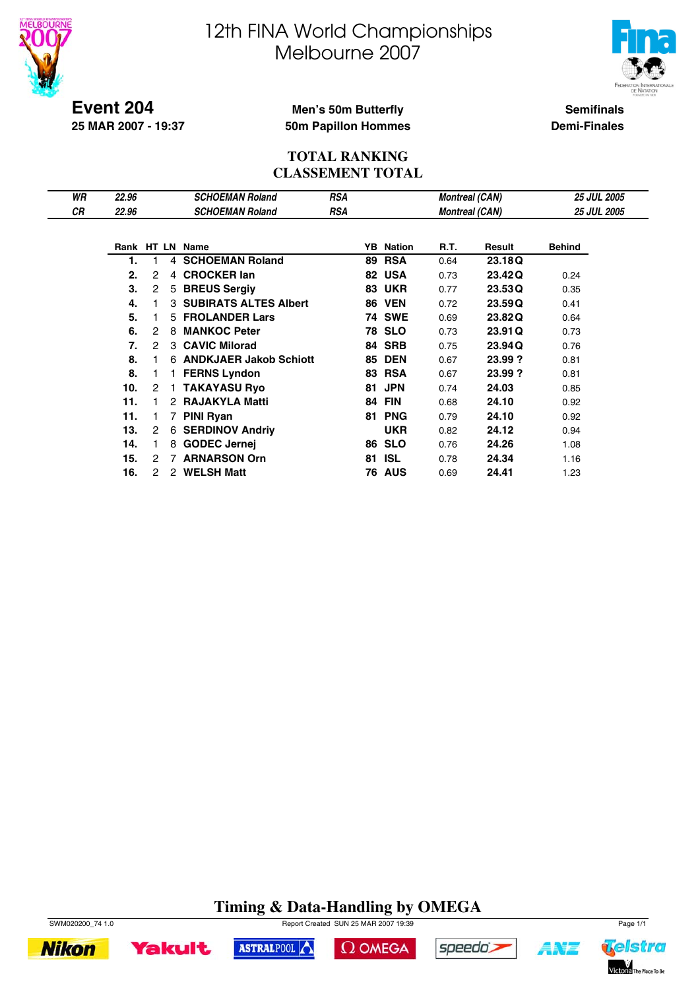



**Event 204 25 MAR 2007 - 19:37**

#### **Men's 50m Butterfly 50m Papillon Hommes**

**Semifinals Demi-Finales**

#### **TOTAL RANKING CLASSEMENT TOTAL**

| WR | 22.96 |   |   | <b>SCHOEMAN Roland</b>       | <b>RSA</b> |    |               | <b>Montreal (CAN)</b> |         | <b>25 JUL 2005</b> |
|----|-------|---|---|------------------------------|------------|----|---------------|-----------------------|---------|--------------------|
| СR | 22.96 |   |   | <b>SCHOEMAN Roland</b>       | <b>RSA</b> |    |               | <b>Montreal (CAN)</b> |         | <b>25 JUL 2005</b> |
|    |       |   |   |                              |            |    |               |                       |         |                    |
|    |       |   |   | Rank HT LN Name              |            | YB | Nation        | R.T.                  | Result  | Behind             |
|    | 1.    |   | 4 | <b>SCHOEMAN Roland</b>       |            | 89 | <b>RSA</b>    | 0.64                  | 23.18Q  |                    |
|    | 2.    | 2 | 4 | <b>CROCKER lan</b>           |            | 82 | <b>USA</b>    | 0.73                  | 23.42Q  | 0.24               |
|    | 3.    | 2 | 5 | <b>BREUS Sergiy</b>          |            | 83 | <b>UKR</b>    | 0.77                  | 23.53Q  | 0.35               |
|    | 4.    |   | 3 | <b>SUBIRATS ALTES Albert</b> |            | 86 | <b>VEN</b>    | 0.72                  | 23.59Q  | 0.41               |
|    | 5.    |   |   | 5 FROLANDER Lars             |            |    | <b>74 SWE</b> | 0.69                  | 23.82Q  | 0.64               |
|    | 6.    | 2 | 8 | <b>MANKOC Peter</b>          |            | 78 | <b>SLO</b>    | 0.73                  | 23.91Q  | 0.73               |
|    | 7.    | 2 | 3 | <b>CAVIC Milorad</b>         |            | 84 | <b>SRB</b>    | 0.75                  | 23.94Q  | 0.76               |
|    | 8.    |   |   | 6 ANDKJAER Jakob Schiott     |            | 85 | <b>DEN</b>    | 0.67                  | 23.99 ? | 0.81               |
|    | 8.    |   |   | 1 FERNS Lyndon               |            | 83 | <b>RSA</b>    | 0.67                  | 23.99?  | 0.81               |
|    | 10.   | 2 |   | <b>TAKAYASU Ryo</b>          |            | 81 | <b>JPN</b>    | 0.74                  | 24.03   | 0.85               |
|    | 11.   |   | 2 | <b>RAJAKYLA Matti</b>        |            | 84 | <b>FIN</b>    | 0.68                  | 24.10   | 0.92               |
|    | 11.   |   |   | <b>PINI Ryan</b>             |            | 81 | <b>PNG</b>    | 0.79                  | 24.10   | 0.92               |
|    | 13.   | 2 | 6 | <b>SERDINOV Andriv</b>       |            |    | <b>UKR</b>    | 0.82                  | 24.12   | 0.94               |
|    | 14.   |   | 8 | <b>GODEC Jernej</b>          |            | 86 | <b>SLO</b>    | 0.76                  | 24.26   | 1.08               |
|    | 15.   | 2 |   | <b>ARNARSON Orn</b>          |            | 81 | <b>ISL</b>    | 0.78                  | 24.34   | 1.16               |
|    | 16.   | 2 | 2 | <b>WELSH Matt</b>            |            | 76 | <b>AUS</b>    | 0.69                  | 24.41   | 1.23               |

### **Timing & Data-Handling by OMEGA**



**Yakult** 

SWM020200\_74 1.0 Report Created SUN 25 MAR 2007 19:39 Page 1/1 ASTRALPOOL





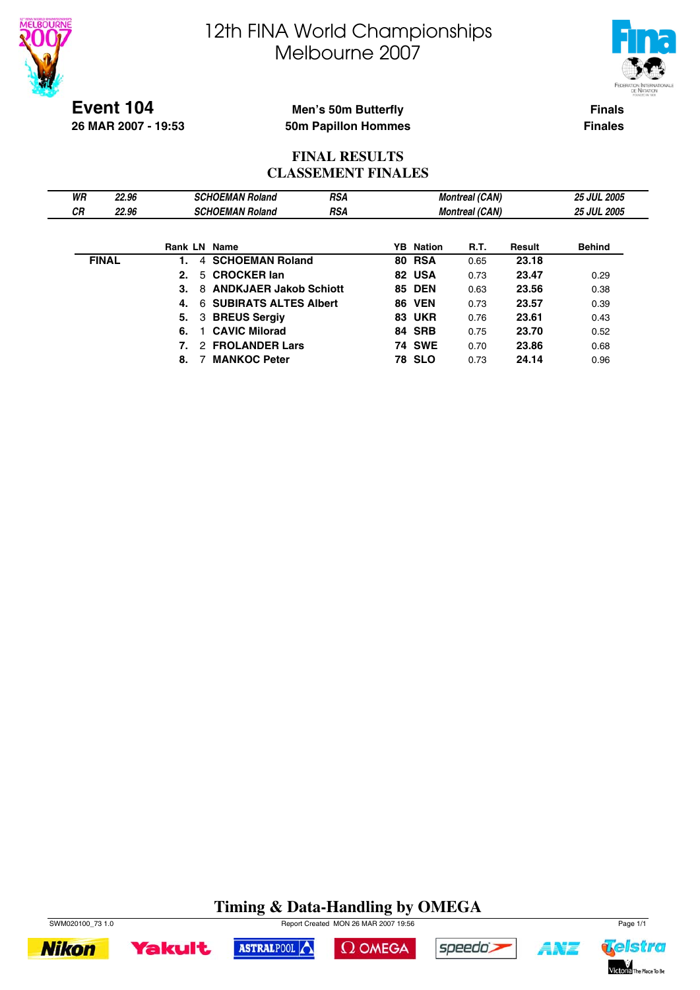



**Finals**

**Finales**

#### **Event 104 26 MAR 2007 - 19:53**

#### **Men's 50m Butterfly 50m Papillon Hommes**

#### **FINAL RESULTS CLASSEMENT FINALES**

| WR           | 22.96 |    |   | <b>SCHOEMAN Roland</b>        | <b>RSA</b> |                  | <b>Montreal (CAN)</b> |        | <b>25 JUL 2005</b> |
|--------------|-------|----|---|-------------------------------|------------|------------------|-----------------------|--------|--------------------|
| СR           | 22.96 |    |   | <b>SCHOEMAN Roland</b>        | <b>RSA</b> |                  | <b>Montreal (CAN)</b> |        | <b>25 JUL 2005</b> |
|              |       |    |   |                               |            |                  |                       |        |                    |
|              |       |    |   | <b>Rank LN Name</b>           |            | <b>YB</b> Nation | R.T.                  | Result | <b>Behind</b>      |
| <b>FINAL</b> |       | 1. | 4 | <b>SCHOEMAN Roland</b>        |            | <b>80 RSA</b>    | 0.65                  | 23.18  |                    |
|              |       | 2. |   | 5 CROCKER lan                 |            | 82 USA           | 0.73                  | 23.47  | 0.29               |
|              |       | 3. | 8 | <b>ANDKJAER Jakob Schiott</b> |            | <b>85 DEN</b>    | 0.63                  | 23.56  | 0.38               |
|              |       | 4. |   | 6 SUBIRATS ALTES Albert       |            | <b>86 VEN</b>    | 0.73                  | 23.57  | 0.39               |
|              |       | 5. |   | 3 BREUS Sergiy                |            | <b>83 UKR</b>    | 0.76                  | 23.61  | 0.43               |
|              |       | 6. |   | <b>CAVIC Milorad</b>          |            | 84 SRB           | 0.75                  | 23.70  | 0.52               |
|              |       |    |   | 2 FROLANDER Lars              |            | <b>74 SWE</b>    | 0.70                  | 23.86  | 0.68               |
|              |       | 8. |   | <b>MANKOC Peter</b>           |            | <b>78 SLO</b>    | 0.73                  | 24.14  | 0.96               |

### **Timing & Data-Handling by OMEGA**



**Yakult** 





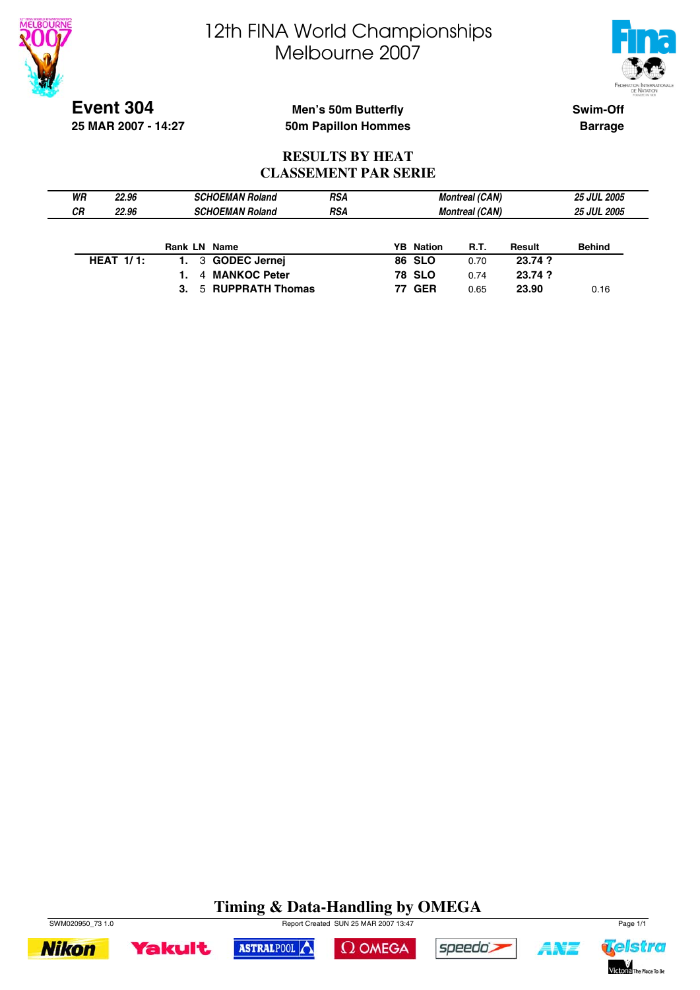



**Event 304 25 MAR 2007 - 14:27**

#### **Men's 50m Butterfly 50m Papillon Hommes**

**Swim-Off Barrage**

#### **RESULTS BY HEAT CLASSEMENT PAR SERIE**

| WR | 22.96        | <b>SCHOEMAN Roland</b> | <b>RSA</b> |                  | <b>Montreal (CAN)</b> |         | <b>25 JUL 2005</b> |
|----|--------------|------------------------|------------|------------------|-----------------------|---------|--------------------|
| СR | 22.96        | <b>SCHOEMAN Roland</b> | <b>RSA</b> |                  | <b>Montreal (CAN)</b> |         | <b>25 JUL 2005</b> |
|    |              |                        |            |                  |                       |         |                    |
|    |              | Rank LN Name           |            | <b>YB</b> Nation | <b>R.T.</b>           | Result  | <b>Behind</b>      |
|    | HEAT $1/1$ : | 3 GODEC Jernej<br>1.   |            | <b>86 SLO</b>    | 0.70                  | 23.74 ? |                    |
|    |              | 4 MANKOC Peter         |            | <b>78 SLO</b>    | 0.74                  | 23.74 ? |                    |
|    |              | 5 RUPPRATH Thomas      |            | <b>77 GER</b>    | 0.65                  | 23.90   | 0.16               |

### **Timing & Data-Handling by OMEGA**









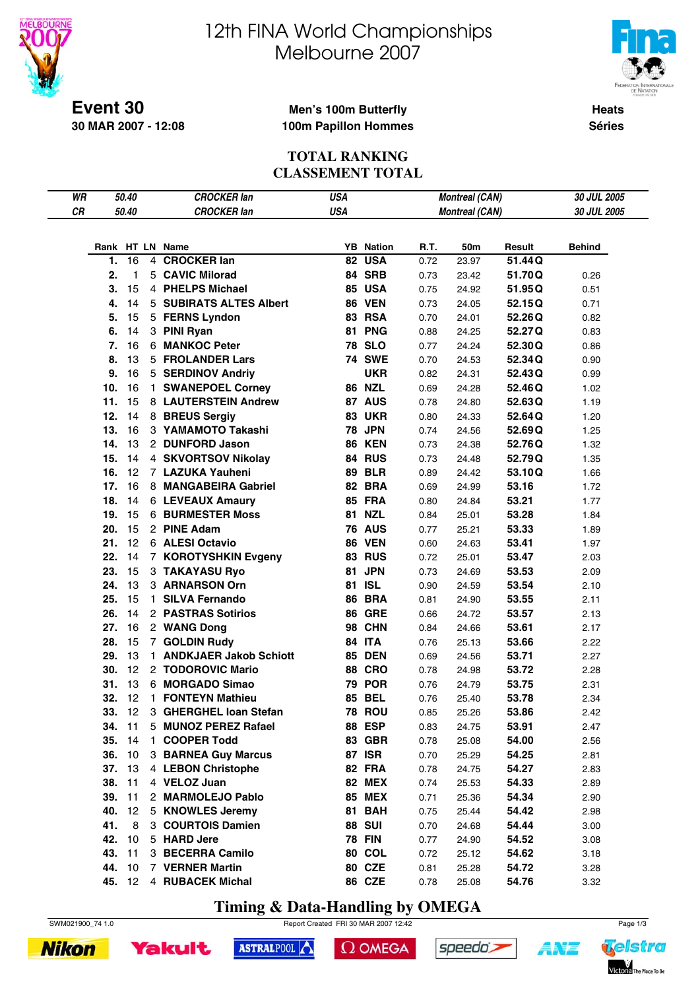



**Heats Séries**

**Event 30 30 MAR 2007 - 12:08**

#### **Men's 100m Butterfly 100m Papillon Hommes**

#### **TOTAL RANKING CLASSEMENT TOTAL**

| WR |        | 50.40        | <b>CROCKER lan</b>       | <b>USA</b> |                  |      | <b>Montreal (CAN)</b> |        | 30 JUL 2005   |
|----|--------|--------------|--------------------------|------------|------------------|------|-----------------------|--------|---------------|
| CR |        | 50.40        | <b>CROCKER lan</b>       | <b>USA</b> |                  |      | <b>Montreal (CAN)</b> |        | 30 JUL 2005   |
|    |        |              |                          |            |                  |      |                       |        |               |
|    |        |              |                          |            |                  |      |                       |        |               |
|    |        |              | Rank HT LN Name          |            | <b>YB</b> Nation | R.T. | 50m                   | Result | <b>Behind</b> |
|    | 1.     | 16           | 4 CROCKER lan            |            | 82 USA           | 0.72 | 23.97                 | 51.44Q |               |
|    | 2.     | $\mathbf{1}$ | 5 CAVIC Milorad          |            | 84 SRB           | 0.73 | 23.42                 | 51.70Q | 0.26          |
|    | 3.     | 15           | 4 PHELPS Michael         |            | 85 USA           | 0.75 | 24.92                 | 51.95Q | 0.51          |
|    | 4.     | 14           | 5 SUBIRATS ALTES Albert  |            | <b>86 VEN</b>    | 0.73 | 24.05                 | 52.15Q | 0.71          |
|    | 5.     | 15           | 5 FERNS Lyndon           |            | 83 RSA           | 0.70 | 24.01                 | 52.26Q | 0.82          |
|    | 6.     | 14           | 3 PINI Ryan              |            | 81 PNG           | 0.88 | 24.25                 | 52.27Q | 0.83          |
|    | 7.     | 16           | 6 MANKOC Peter           |            | <b>78 SLO</b>    | 0.77 | 24.24                 | 52.30Q | 0.86          |
|    | 8.     | 13           | 5 FROLANDER Lars         |            | <b>74 SWE</b>    | 0.70 | 24.53                 | 52.34Q | 0.90          |
|    | 9.     | 16           | 5 SERDINOV Andriy        |            | <b>UKR</b>       | 0.82 | 24.31                 | 52.43Q | 0.99          |
|    | 10.    | 16           | 1 SWANEPOEL Corney       |            | <b>86 NZL</b>    | 0.69 | 24.28                 | 52.46Q | 1.02          |
|    | 11.    | 15           | 8 LAUTERSTEIN Andrew     |            | 87 AUS           | 0.78 | 24.80                 | 52.63Q | 1.19          |
|    | 12.    | 14           | 8 BREUS Sergiy           |            | <b>83 UKR</b>    | 0.80 | 24.33                 | 52.64Q | 1.20          |
|    | 13.    | 16           | 3 YAMAMOTO Takashi       |            | <b>78 JPN</b>    | 0.74 | 24.56                 | 52.69Q | 1.25          |
|    | 14.    | 13           | 2 DUNFORD Jason          |            | <b>86 KEN</b>    | 0.73 | 24.38                 | 52.76Q | 1.32          |
|    | 15.    | 14           | 4 SKVORTSOV Nikolay      |            | <b>84 RUS</b>    | 0.73 | 24.48                 | 52.79Q | 1.35          |
|    | 16.    | 12           | 7 LAZUKA Yauheni         |            | <b>89 BLR</b>    | 0.89 | 24.42                 | 53.10Q | 1.66          |
|    | 17.    | 16           | 8 MANGABEIRA Gabriel     |            | 82 BRA           | 0.69 | 24.99                 | 53.16  | 1.72          |
|    | 18.    | 14           | <b>6 LEVEAUX Amaury</b>  |            | 85 FRA           | 0.80 | 24.84                 | 53.21  | 1.77          |
|    | 19.    | 15           | <b>6 BURMESTER Moss</b>  |            | <b>81 NZL</b>    | 0.84 | 25.01                 | 53.28  | 1.84          |
|    | 20.    | 15           | 2 PINE Adam              |            | <b>76 AUS</b>    | 0.77 | 25.21                 | 53.33  | 1.89          |
|    | 21.    | 12           | 6 ALESI Octavio          |            | <b>86 VEN</b>    | 0.60 | 24.63                 | 53.41  | 1.97          |
|    | 22.    | 14           | 7 KOROTYSHKIN Evgeny     |            | <b>83 RUS</b>    | 0.72 | 25.01                 | 53.47  | 2.03          |
|    | 23.    | 15           | 3 TAKAYASU Ryo           |            | 81 JPN           | 0.73 | 24.69                 | 53.53  | 2.09          |
|    | 24.    | 13           | 3 ARNARSON Orn           |            | 81 ISL           | 0.90 | 24.59                 | 53.54  | 2.10          |
|    | 25.    | 15           | 1 SILVA Fernando         |            | <b>86 BRA</b>    | 0.81 | 24.90                 | 53.55  | 2.11          |
|    | 26.    | 14           | 2 PASTRAS Sotirios       |            | <b>86 GRE</b>    | 0.66 | 24.72                 | 53.57  | 2.13          |
|    | 27.    | 16           | 2 WANG Dong              |            | <b>98 CHN</b>    | 0.84 | 24.66                 | 53.61  | 2.17          |
|    | 28.    | 15           | 7 GOLDIN Rudy            |            | 84 ITA           | 0.76 | 25.13                 | 53.66  | 2.22          |
|    | 29.    | 13           | 1 ANDKJAER Jakob Schiott |            | <b>85 DEN</b>    | 0.69 | 24.56                 | 53.71  | 2.27          |
|    | 30.    | 12           | 2 TODOROVIC Mario        |            | <b>88 CRO</b>    | 0.78 | 24.98                 | 53.72  | 2.28          |
|    | 31.    | 13           | 6 MORGADO Simao          |            | <b>79 POR</b>    | 0.76 | 24.79                 | 53.75  | 2.31          |
|    | 32.    | 12           | 1 FONTEYN Mathieu        |            | <b>85 BEL</b>    | 0.76 | 25.40                 | 53.78  | 2.34          |
|    | 33.    | 12           | 3 GHERGHEL Ioan Stefan   |            | <b>78 ROU</b>    | 0.85 | 25.26                 | 53.86  | 2.42          |
|    | 34. 11 |              | 5 MUNOZ PEREZ Rafael     |            | <b>88 ESP</b>    | 0.83 | 24.75                 | 53.91  | 2.47          |
|    | 35.    | 14           | 1 COOPER Todd            |            | 83 GBR           | 0.78 | 25.08                 | 54.00  | 2.56          |
|    | 36.    | 10           | 3 BARNEA Guy Marcus      |            | <b>87 ISR</b>    | 0.70 | 25.29                 | 54.25  | 2.81          |
|    | 37. 13 |              | 4 LEBON Christophe       |            | 82 FRA           | 0.78 | 24.75                 | 54.27  | 2.83          |
|    | 38.    | 11           | 4 VELOZ Juan             |            | <b>82 MEX</b>    | 0.74 | 25.53                 | 54.33  | 2.89          |
|    | 39.    | 11           | 2 MARMOLEJO Pablo        |            | <b>85 MEX</b>    | 0.71 | 25.36                 | 54.34  | 2.90          |
|    | 40.    | 12           | 5 KNOWLES Jeremy         |            | 81 BAH           | 0.75 | 25.44                 | 54.42  | 2.98          |
|    | 41.    | 8            | 3 COURTOIS Damien        |            | <b>88 SUI</b>    | 0.70 | 24.68                 | 54.44  | 3.00          |
|    | 42.    | 10           | 5 HARD Jere              |            | <b>78 FIN</b>    | 0.77 | 24.90                 | 54.52  | 3.08          |
|    | 43.    | 11           | 3 BECERRA Camilo         |            | <b>80 COL</b>    | 0.72 | 25.12                 | 54.62  | 3.18          |
|    | 44.    | 10           | 7 VERNER Martin          |            | 80 CZE           | 0.81 | 25.28                 | 54.72  | 3.28          |
|    |        |              | 45. 12 4 RUBACEK Michal  |            | 86 CZE           | 0.78 | 25.08                 | 54.76  | 3.32          |
|    |        |              |                          |            |                  |      |                       |        |               |

**Timing & Data-Handling by OMEGA**

SWM021900\_74 1.0 Page 1/3





 $\Omega$  OMEGA





4¥7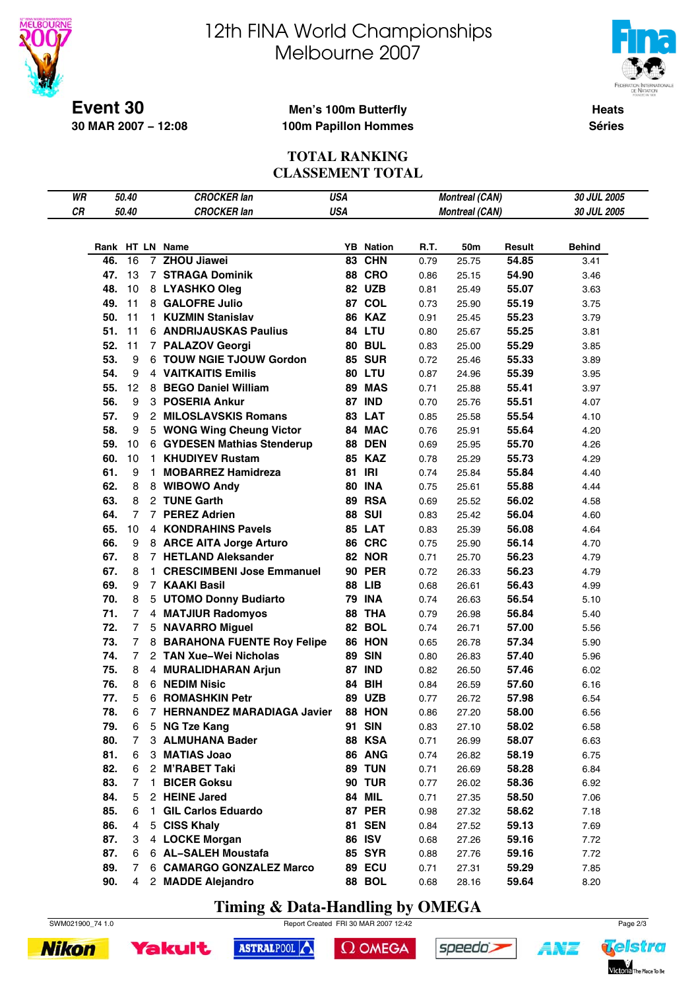



**Heats Séries**

#### **Event 30 30 MAR 2007 − 12:08**

#### **Men's 100m Butterfly 100m Papillon Hommes**

#### **TOTAL RANKING CLASSEMENT TOTAL**

| WR |     | 50.40          |              | <b>CROCKER lan</b>            | <b>USA</b> |                  |      | <b>Montreal (CAN)</b> |        | 30 JUL 2005 |
|----|-----|----------------|--------------|-------------------------------|------------|------------------|------|-----------------------|--------|-------------|
| CR |     | 50.40          |              | <b>CROCKER lan</b>            | <b>USA</b> |                  |      | <b>Montreal (CAN)</b> |        | 30 JUL 2005 |
|    |     |                |              |                               |            |                  |      |                       |        |             |
|    |     |                |              | Rank HT LN Name               |            | <b>YB</b> Nation | R.T. | 50m                   | Result | Behind      |
|    | 46. | 16             |              | 7 ZHOU Jiawei                 |            | 83 CHN           | 0.79 | 25.75                 | 54.85  | 3.41        |
|    | 47. | 13             |              | <b>7 STRAGA Dominik</b>       |            | <b>88 CRO</b>    | 0.86 | 25.15                 | 54.90  | 3.46        |
|    | 48. | 10             |              | 8 LYASHKO Oleg                |            | <b>82 UZB</b>    | 0.81 | 25.49                 | 55.07  | 3.63        |
|    | 49. | 11             |              | 8 GALOFRE Julio               |            | 87 COL           | 0.73 | 25.90                 | 55.19  | 3.75        |
|    | 50. | 11             |              | 1 KUZMIN Stanislav            |            | <b>86 KAZ</b>    | 0.91 | 25.45                 | 55.23  | 3.79        |
|    | 51. | 11             |              | <b>6 ANDRIJAUSKAS Paulius</b> |            | 84 LTU           |      |                       | 55.25  |             |
|    | 52. | 11             |              | 7 PALAZOV Georgi              |            | <b>80 BUL</b>    | 0.80 | 25.67                 | 55.29  | 3.81        |
|    |     | 9              |              |                               |            |                  | 0.83 | 25.00                 |        | 3.85        |
|    | 53. |                |              | 6 TOUW NGIE TJOUW Gordon      |            | <b>85 SUR</b>    | 0.72 | 25.46                 | 55.33  | 3.89        |
|    | 54. | 9              |              | <b>4 VAITKAITIS Emilis</b>    |            | 80 LTU           | 0.87 | 24.96                 | 55.39  | 3.95        |
|    | 55. | 12             |              | 8 BEGO Daniel William         |            | 89 MAS           | 0.71 | 25.88                 | 55.41  | 3.97        |
|    | 56. | 9              |              | 3 POSERIA Ankur               |            | <b>87 IND</b>    | 0.70 | 25.76                 | 55.51  | 4.07        |
|    | 57. | 9              |              | 2 MILOSLAVSKIS Romans         |            | 83 LAT           | 0.85 | 25.58                 | 55.54  | 4.10        |
|    | 58. | 9              |              | 5 WONG Wing Cheung Victor     |            | 84 MAC           | 0.76 | 25.91                 | 55.64  | 4.20        |
|    | 59. | 10             |              | 6 GYDESEN Mathias Stenderup   |            | <b>88 DEN</b>    | 0.69 | 25.95                 | 55.70  | 4.26        |
|    | 60. | 10             | $\mathbf{1}$ | <b>KHUDIYEV Rustam</b>        |            | <b>85 KAZ</b>    | 0.78 | 25.29                 | 55.73  | 4.29        |
|    | 61. | 9              | $\mathbf{1}$ | <b>MOBARREZ Hamidreza</b>     |            | 81 IRI           | 0.74 | 25.84                 | 55.84  | 4.40        |
|    | 62. | 8              |              | 8 WIBOWO Andy                 |            | <b>80 INA</b>    | 0.75 | 25.61                 | 55.88  | 4.44        |
|    | 63. | 8              |              | 2 TUNE Garth                  |            | <b>89 RSA</b>    | 0.69 | 25.52                 | 56.02  | 4.58        |
|    | 64. | $\overline{7}$ |              | 7 PEREZ Adrien                |            | <b>88 SUI</b>    | 0.83 | 25.42                 | 56.04  | 4.60        |
|    | 65. | 10             |              | 4 KONDRAHINS Pavels           |            | <b>85 LAT</b>    | 0.83 | 25.39                 | 56.08  | 4.64        |
|    | 66. | 9              |              | 8 ARCE AITA Jorge Arturo      |            | 86 CRC           | 0.75 | 25.90                 | 56.14  | 4.70        |
|    | 67. | 8              |              | 7 HETLAND Aleksander          |            | <b>82 NOR</b>    | 0.71 | 25.70                 | 56.23  | 4.79        |
|    | 67. | 8              |              | 1 CRESCIMBENI Jose Emmanuel   |            | <b>90 PER</b>    | 0.72 | 26.33                 | 56.23  | 4.79        |
|    | 69. | 9              |              | 7 KAAKI Basil                 |            | <b>88 LIB</b>    | 0.68 | 26.61                 | 56.43  | 4.99        |
|    | 70. | 8              |              | 5 UTOMO Donny Budiarto        |            | <b>79 INA</b>    | 0.74 | 26.63                 | 56.54  | 5.10        |
|    | 71. | $\overline{7}$ |              | 4 MATJIUR Radomyos            |            | 88 THA           | 0.79 | 26.98                 | 56.84  | 5.40        |
|    | 72. | $\overline{7}$ |              | 5 NAVARRO Miguel              |            | 82 BOL           | 0.74 | 26.71                 | 57.00  | 5.56        |
|    | 73. | $\overline{7}$ |              | 8 BARAHONA FUENTE Roy Felipe  |            | 86 HON           | 0.65 | 26.78                 | 57.34  | 5.90        |
|    | 74. | $\overline{7}$ |              | 2 TAN Xue-Wei Nicholas        |            | <b>89 SIN</b>    | 0.80 | 26.83                 | 57.40  | 5.96        |
|    | 75. | 8              |              | 4 MURALIDHARAN Arjun          |            | <b>87 IND</b>    | 0.82 | 26.50                 | 57.46  | 6.02        |
|    | 76. | 8              |              | 6 NEDIM Nisic                 |            | <b>84 BIH</b>    | 0.84 | 26.59                 | 57.60  | 6.16        |
|    | 77. | 5              |              | 6 ROMASHKIN Petr              |            | <b>89 UZB</b>    | 0.77 | 26.72                 | 57.98  | 6.54        |
|    | 78. | 6              |              | 7 HERNANDEZ MARADIAGA Javier  |            | 88 HON           | 0.86 | 27.20                 | 58.00  | 6.56        |
|    | 79. | 6              |              | 5 NG Tze Kang                 |            | 91 SIN           | 0.83 | 27.10                 | 58.02  | 6.58        |
|    | 80. | 7              |              | 3 ALMUHANA Bader              |            | <b>88 KSA</b>    | 0.71 | 26.99                 | 58.07  | 6.63        |
|    | 81. | 6              |              | 3 MATIAS Joao                 |            | 86 ANG           | 0.74 | 26.82                 | 58.19  | 6.75        |
|    | 82. | 6              |              | 2 M'RABET Taki                |            | 89 TUN           | 0.71 | 26.69                 | 58.28  | 6.84        |
|    | 83. | 7              | 1.           | <b>BICER Goksu</b>            |            | <b>90 TUR</b>    | 0.77 | 26.02                 | 58.36  | 6.92        |
|    | 84. | 5              |              | 2 HEINE Jared                 |            | <b>84 MIL</b>    | 0.71 | 27.35                 | 58.50  | 7.06        |
|    | 85. | 6              | 1.           | <b>GIL Carlos Eduardo</b>     |            | <b>87 PER</b>    | 0.98 | 27.32                 | 58.62  | 7.18        |
|    | 86. | $\overline{4}$ |              | 5 CISS Khaly                  |            | <b>81 SEN</b>    |      | 27.52                 | 59.13  | 7.69        |
|    | 87. | 3              |              | 4 LOCKE Morgan                |            | <b>86 ISV</b>    | 0.84 |                       | 59.16  |             |
|    | 87. | 6              |              |                               |            | <b>85 SYR</b>    | 0.68 | 27.26                 |        | 7.72        |
|    |     |                |              | 6 AL-SALEH Moustafa           |            |                  | 0.88 | 27.76                 | 59.16  | 7.72        |
|    | 89. | 7              |              | 6 CAMARGO GONZALEZ Marco      |            | <b>89 ECU</b>    | 0.71 | 27.31                 | 59.29  | 7.85        |
|    | 90. | 4              |              | 2 MADDE Alejandro             |            | <b>88 BOL</b>    | 0.68 | 28.16                 | 59.64  | 8.20        |

**Timing & Data-Handling by OMEGA**

SWM021900\_74 1.0 Page 2/3





```
\Omega OMEGA
```




4¥7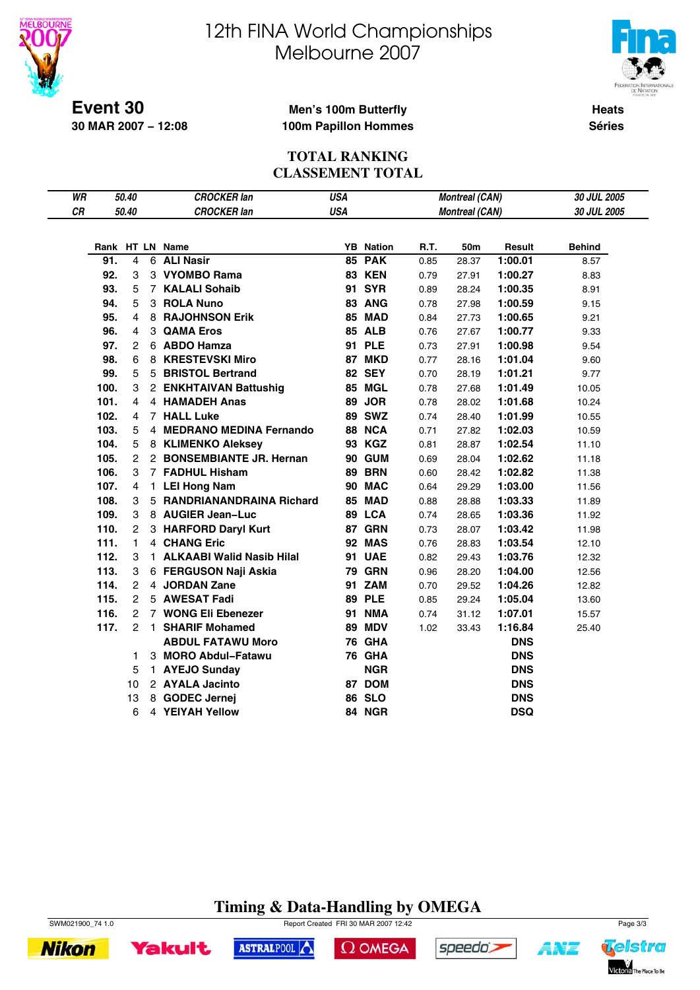



**Heats Séries**

**Event 30 30 MAR 2007 − 12:08**

#### **Men's 100m Butterfly 100m Papillon Hommes**

#### **TOTAL RANKING CLASSEMENT TOTAL**

| WR |      | 50.40          |    | <b>CROCKER lan</b>          | <b>USA</b> |                  |      | <b>Montreal (CAN)</b> |            | 30 JUL 2005   |
|----|------|----------------|----|-----------------------------|------------|------------------|------|-----------------------|------------|---------------|
| CR |      | 50.40          |    | <b>CROCKER lan</b>          | <b>USA</b> |                  |      | <b>Montreal (CAN)</b> |            | 30 JUL 2005   |
|    |      |                |    |                             |            |                  |      |                       |            |               |
|    |      |                |    | Rank HT LN Name             |            | <b>YB</b> Nation | R.T. | 50m                   | Result     | <b>Behind</b> |
|    | 91.  | $\overline{4}$ |    | 6 ALI Nasir                 |            | <b>85 PAK</b>    | 0.85 | 28.37                 | 1:00.01    | 8.57          |
|    | 92.  | 3              |    | 3 VYOMBO Rama               |            | <b>83 KEN</b>    | 0.79 | 27.91                 | 1:00.27    | 8.83          |
|    | 93.  | 5              |    | 7 KALALI Sohaib             |            | <b>91 SYR</b>    | 0.89 | 28.24                 | 1:00.35    | 8.91          |
|    | 94.  | 5              |    | 3 ROLA Nuno                 |            | 83 ANG           | 0.78 | 27.98                 | 1:00.59    | 9.15          |
|    | 95.  | $\overline{4}$ |    | 8 RAJOHNSON Erik            |            | 85 MAD           | 0.84 | 27.73                 | 1:00.65    | 9.21          |
|    | 96.  | 4              |    | 3 QAMA Eros                 |            | <b>85 ALB</b>    | 0.76 | 27.67                 | 1:00.77    | 9.33          |
|    | 97.  | $\overline{2}$ |    | 6 ABDO Hamza                |            | <b>91 PLE</b>    | 0.73 | 27.91                 | 1:00.98    | 9.54          |
|    | 98.  | 6              |    | 8 KRESTEVSKI Miro           |            | <b>87 MKD</b>    | 0.77 | 28.16                 | 1:01.04    | 9.60          |
|    | 99.  | 5              |    | 5 BRISTOL Bertrand          |            | <b>82 SEY</b>    | 0.70 | 28.19                 | 1:01.21    | 9.77          |
|    | 100. | 3              |    | 2 ENKHTAIVAN Battushig      |            | 85 MGL           | 0.78 | 27.68                 | 1:01.49    | 10.05         |
|    | 101. | 4              |    | 4 HAMADEH Anas              |            | 89 JOR           | 0.78 | 28.02                 | 1:01.68    | 10.24         |
|    | 102. | 4              |    | 7 HALL Luke                 |            | <b>89 SWZ</b>    | 0.74 | 28.40                 | 1:01.99    | 10.55         |
|    | 103. | 5              |    | 4 MEDRANO MEDINA Fernando   |            | 88 NCA           | 0.71 | 27.82                 | 1:02.03    | 10.59         |
|    | 104. | 5              |    | 8 KLIMENKO Aleksey          |            | 93 KGZ           | 0.81 | 28.87                 | 1:02.54    | 11.10         |
|    | 105. | $\overline{2}$ |    | 2 BONSEMBIANTE JR. Hernan   |            | 90 GUM           | 0.69 | 28.04                 | 1:02.62    | 11.18         |
|    | 106. | 3              |    | 7 FADHUL Hisham             |            | <b>89 BRN</b>    | 0.60 | 28.42                 | 1:02.82    | 11.38         |
|    | 107. | 4              | 1. | <b>LEI Hong Nam</b>         |            | 90 MAC           | 0.64 | 29.29                 | 1:03.00    | 11.56         |
|    | 108. | 3              |    | 5 RANDRIANANDRAINA Richard  |            | 85 MAD           | 0.88 | 28.88                 | 1:03.33    | 11.89         |
|    | 109. | 3              |    | 8 AUGIER Jean-Luc           |            | 89 LCA           | 0.74 | 28.65                 | 1:03.36    | 11.92         |
|    | 110. | 2              |    | 3 HARFORD Daryl Kurt        |            | 87 GRN           | 0.73 | 28.07                 | 1:03.42    | 11.98         |
|    | 111. | 1.             |    | 4 CHANG Eric                |            | <b>92 MAS</b>    | 0.76 | 28.83                 | 1:03.54    | 12.10         |
|    | 112. | 3              |    | 1 ALKAABI Walid Nasib Hilal |            | 91 UAE           | 0.82 | 29.43                 | 1:03.76    | 12.32         |
|    | 113. | 3              |    | 6 FERGUSON Naji Askia       |            | <b>79 GRN</b>    | 0.96 | 28.20                 | 1:04.00    | 12.56         |
|    | 114. | 2              |    | 4 JORDAN Zane               |            | 91 ZAM           | 0.70 | 29.52                 | 1:04.26    | 12.82         |
|    | 115. | $\overline{2}$ |    | 5 AWESAT Fadi               |            | <b>89 PLE</b>    | 0.85 | 29.24                 | 1:05.04    | 13.60         |
|    | 116. | $\overline{2}$ |    | 7 WONG Eli Ebenezer         |            | <b>91 NMA</b>    | 0.74 | 31.12                 | 1:07.01    | 15.57         |
|    | 117. | $\overline{2}$ |    | 1 SHARIF Mohamed            |            | <b>89 MDV</b>    | 1.02 | 33.43                 | 1:16.84    | 25.40         |
|    |      |                |    | <b>ABDUL FATAWU Moro</b>    |            | 76 GHA           |      |                       | <b>DNS</b> |               |
|    |      | 1              |    | 3 MORO Abdul-Fatawu         |            | 76 GHA           |      |                       | <b>DNS</b> |               |
|    |      | 5              |    | 1 AYEJO Sunday              |            | <b>NGR</b>       |      |                       | <b>DNS</b> |               |
|    |      | 10             |    | 2 AYALA Jacinto             |            | 87 DOM           |      |                       | <b>DNS</b> |               |
|    |      | 13             |    | 8 GODEC Jernej              |            | <b>86 SLO</b>    |      |                       | <b>DNS</b> |               |
|    |      | 6              |    | 4 YEIYAH Yellow             |            | 84 NGR           |      |                       | <b>DSQ</b> |               |
|    |      |                |    |                             |            |                  |      |                       |            |               |

### **Timing & Data-Handling by OMEGA**







 $\Omega$  OMEGA



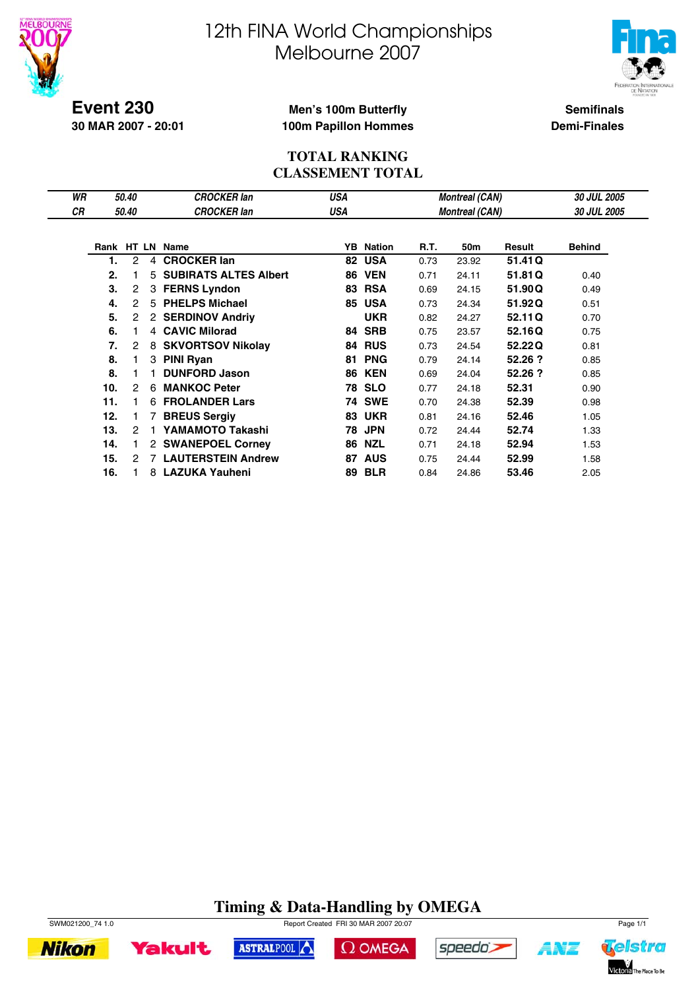



**Event 230 30 MAR 2007 - 20:01**

#### **Men's 100m Butterfly 100m Papillon Hommes**

**Semifinals Demi-Finales**

#### **TOTAL RANKING CLASSEMENT TOTAL**

| WR |     | 50.40         |                | <b>CROCKER lan</b>           | USA |                  |      | <b>Montreal (CAN)</b> |         | 30 JUL 2005   |
|----|-----|---------------|----------------|------------------------------|-----|------------------|------|-----------------------|---------|---------------|
| СR |     | 50.40         |                | <b>CROCKER lan</b>           | USA |                  |      | <b>Montreal (CAN)</b> |         | 30 JUL 2005   |
|    |     |               |                |                              |     |                  |      |                       |         |               |
|    |     |               |                | Rank HT LN Name              |     | <b>YB</b> Nation | R.T. | 50m                   | Result  | <b>Behind</b> |
|    | 1.  | 2             | 4              | <b>CROCKER lan</b>           | 82  | <b>USA</b>       | 0.73 | 23.92                 | 51.41 Q |               |
|    | 2.  | 1             | 5              | <b>SUBIRATS ALTES Albert</b> | 86  | <b>VEN</b>       | 0.71 | 24.11                 | 51.81Q  | 0.40          |
|    | 3.  | 2             | 3              | <b>FERNS Lyndon</b>          |     | <b>83 RSA</b>    | 0.69 | 24.15                 | 51,90Q  | 0.49          |
|    | 4.  | $\mathcal{P}$ |                | 5 PHELPS Michael             |     | <b>85 USA</b>    | 0.73 | 24.34                 | 51.92Q  | 0.51          |
|    | 5.  | 2             |                | 2 SERDINOV Andriy            |     | <b>UKR</b>       | 0.82 | 24.27                 | 52.11Q  | 0.70          |
|    | 6.  | 1.            |                | 4 CAVIC Milorad              |     | 84 SRB           | 0.75 | 23.57                 | 52.16Q  | 0.75          |
|    | 7.  | 2             | 8              | <b>SKVORTSOV Nikolay</b>     | 84  | <b>RUS</b>       | 0.73 | 24.54                 | 52.22Q  | 0.81          |
|    | 8.  | 1.            | 3              | <b>PINI Ryan</b>             | 81  | <b>PNG</b>       | 0.79 | 24.14                 | 52.26 ? | 0.85          |
|    | 8.  | 1.            |                | <b>DUNFORD Jason</b>         | 86  | <b>KEN</b>       | 0.69 | 24.04                 | 52.26 ? | 0.85          |
|    | 10. | 2             | 6              | <b>MANKOC Peter</b>          |     | <b>78 SLO</b>    | 0.77 | 24.18                 | 52.31   | 0.90          |
|    | 11. | 1.            | 6              | <b>FROLANDER Lars</b>        | 74  | <b>SWE</b>       | 0.70 | 24.38                 | 52.39   | 0.98          |
|    | 12. | 1.            |                | <b>BREUS Sergiy</b>          | 83  | <b>UKR</b>       | 0.81 | 24.16                 | 52.46   | 1.05          |
|    | 13. | 2             |                | YAMAMOTO Takashi             | 78  | <b>JPN</b>       | 0.72 | 24.44                 | 52.74   | 1.33          |
|    | 14. | 1.            |                | 2 SWANEPOEL Corney           | 86  | <b>NZL</b>       | 0.71 | 24.18                 | 52.94   | 1.53          |
|    | 15. | 2             | $\overline{7}$ | <b>LAUTERSTEIN Andrew</b>    | 87  | <b>AUS</b>       | 0.75 | 24.44                 | 52.99   | 1.58          |
|    | 16. |               |                | 8 LAZUKA Yauheni             | 89  | <b>BLR</b>       | 0.84 | 24.86                 | 53.46   | 2.05          |

#### **Timing & Data-Handling by OMEGA** SWM021200\_74 1.0 Report Created FRI 30 MAR 2007 20:07

ASTRALPOOL



**Yakult** 





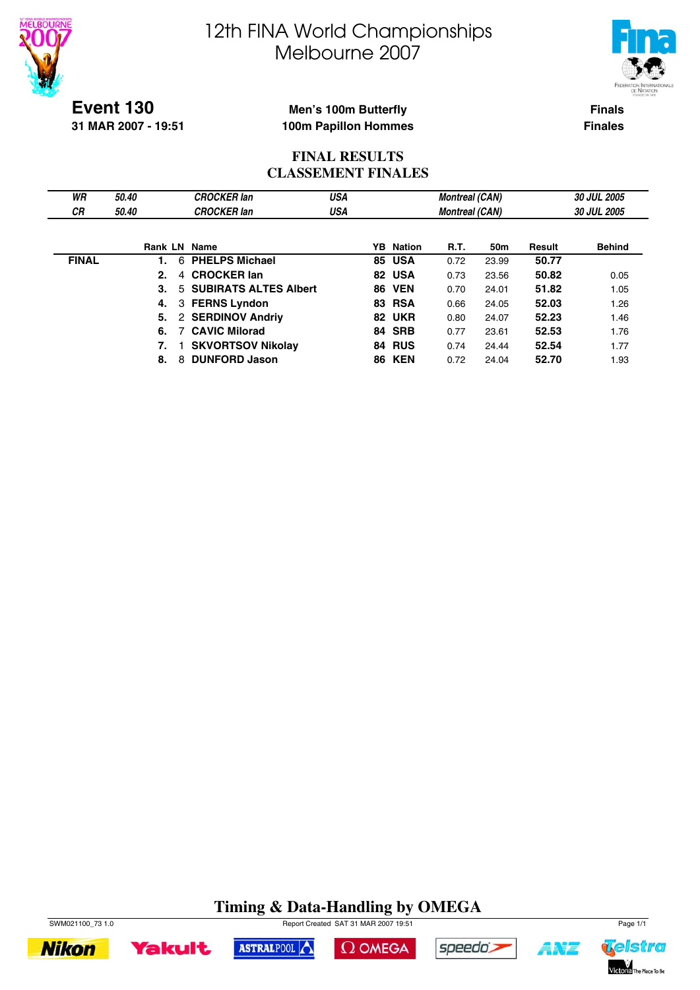



**Event 130 31 MAR 2007 - 19:51**

#### **Men's 100m Butterfly 100m Papillon Hommes**

**Finals Finales**

#### **FINAL RESULTS CLASSEMENT FINALES**

| WR           | 50.40               | <b>CROCKER</b> lan       | USA |                  | <b>Montreal (CAN)</b> |       |        | <b>30 JUL 2005</b> |
|--------------|---------------------|--------------------------|-----|------------------|-----------------------|-------|--------|--------------------|
| <b>CR</b>    | 50.40               | <b>CROCKER</b> lan       | USA |                  | <b>Montreal (CAN)</b> |       |        | 30 JUL 2005        |
|              |                     |                          |     |                  |                       |       |        |                    |
|              | <b>Rank LN Name</b> |                          |     | <b>YB</b> Nation | <b>R.T.</b>           | 50m   | Result | <b>Behind</b>      |
| <b>FINAL</b> | 6<br>1.             | <b>PHELPS Michael</b>    |     | <b>85 USA</b>    | 0.72                  | 23.99 | 50.77  |                    |
|              | 2.<br>4             | <b>CROCKER lan</b>       |     | 82 USA           | 0.73                  | 23.56 | 50.82  | 0.05               |
|              | 3.                  | 5 SUBIRATS ALTES Albert  |     | <b>86 VEN</b>    | 0.70                  | 24.01 | 51.82  | 1.05               |
|              | 4.                  | 3 FERNS Lyndon           |     | <b>83 RSA</b>    | 0.66                  | 24.05 | 52.03  | 1.26               |
|              | 5.                  | 2 SERDINOV Andriv        |     | 82 UKR           | 0.80                  | 24.07 | 52.23  | 1.46               |
|              | 6.                  | <b>CAVIC Milorad</b>     |     | 84 SRB           | 0.77                  | 23.61 | 52.53  | 1.76               |
|              | 7.                  | <b>SKVORTSOV Nikolay</b> |     | <b>84 RUS</b>    | 0.74                  | 24.44 | 52.54  | 1.77               |
|              | 8<br>8.             | <b>DUNFORD Jason</b>     |     | <b>86 KEN</b>    | 0.72                  | 24.04 | 52.70  | 1.93               |

### **Timing & Data-Handling by OMEGA**





ASTRALPOOL





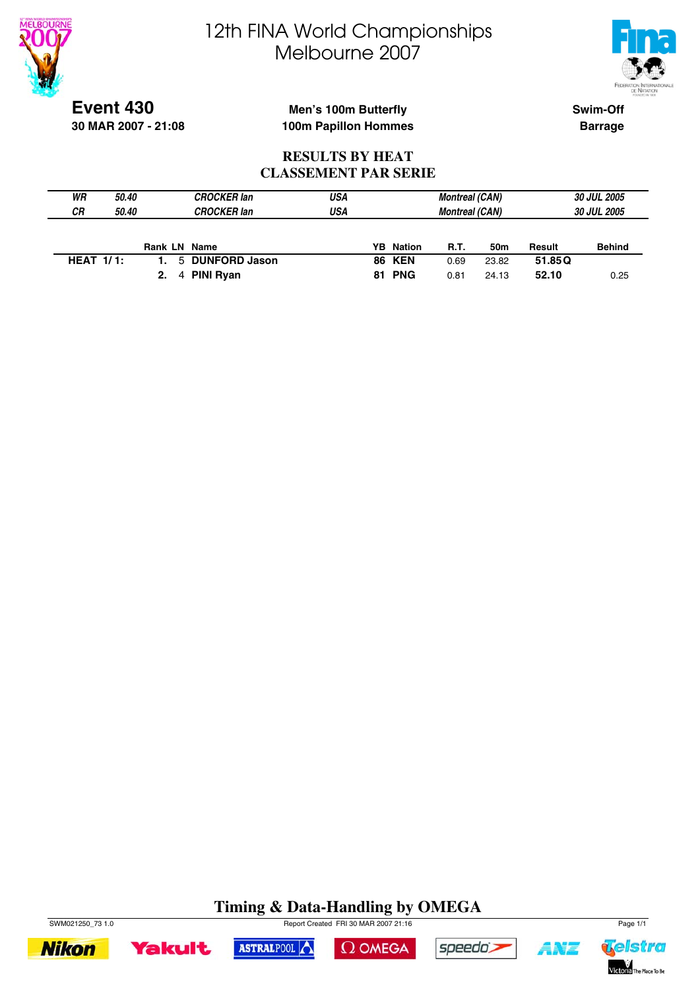



**Event 430 30 MAR 2007 - 21:08**

#### **Men's 100m Butterfly 100m Papillon Hommes**

**Swim-Off Barrage**

#### **RESULTS BY HEAT CLASSEMENT PAR SERIE**

| WR           | <i><b>50.40</b></i> |                     | <b>CROCKER lan</b> | USA |                  | <b>Montreal (CAN)</b> |       |        | <b>30 JUL 2005</b> |
|--------------|---------------------|---------------------|--------------------|-----|------------------|-----------------------|-------|--------|--------------------|
| СR           | 50.40               |                     | CROCKER lan        | USA |                  | <b>Montreal (CAN)</b> |       |        | <b>30 JUL 2005</b> |
|              |                     |                     |                    |     |                  |                       |       |        |                    |
|              |                     | <b>Rank LN Name</b> |                    |     |                  |                       |       |        |                    |
|              |                     |                     |                    |     | <b>YB</b> Nation | <b>R.T.</b>           | 50m   | Result | <b>Behind</b>      |
| HEAT $1/1$ : |                     |                     | 5 DUNFORD Jason    |     | <b>86 KEN</b>    | 0.69                  | 23.82 | 51.85Q |                    |

### **Timing & Data-Handling by OMEGA**

 $\Omega$  OMEGA

speedo's

ASTRALPOOL



**Yakult** 

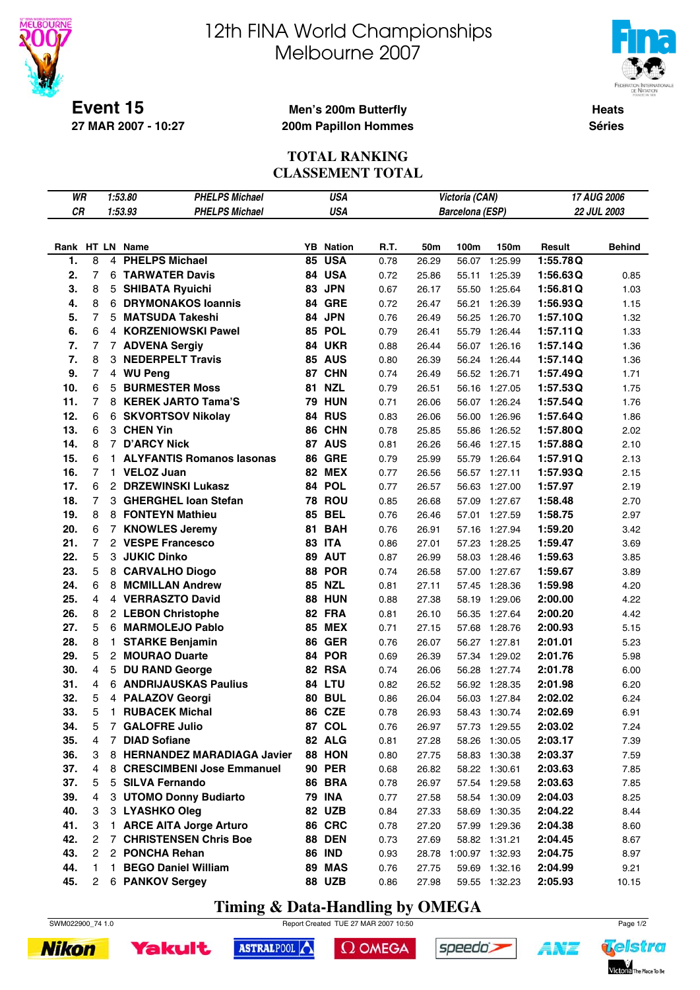



**Heats Séries**

**Event 15 27 MAR 2007 - 10:27**

#### **Men's 200m Butterfly 200m Papillon Hommes**

#### **TOTAL RANKING CLASSEMENT TOTAL**

| WR        |                      |                | 1:53.80<br><b>PHELPS Michael</b> |    | USA              |      |       | Victoria (CAN)  |               |          | 17 AUG 2006   |
|-----------|----------------------|----------------|----------------------------------|----|------------------|------|-------|-----------------|---------------|----------|---------------|
| <b>CR</b> |                      |                | 1:53.93<br><b>PHELPS Michael</b> |    | <b>USA</b>       |      |       | Barcelona (ESP) |               |          | 22 JUL 2003   |
|           |                      |                |                                  |    |                  |      |       |                 |               |          |               |
|           |                      |                | Rank HT LN Name                  |    | <b>YB</b> Nation | R.T. | 50m   | 100m            | 150m          | Result   | <b>Behind</b> |
| 1.        | 8                    | 4              | <b>PHELPS Michael</b>            | 85 | <b>USA</b>       | 0.78 | 26.29 | 56.07           | 1:25.99       | 1:55.78Q |               |
| 2.        | $\overline{7}$       |                | <b>6 TARWATER Davis</b>          |    | 84 USA           | 0.72 | 25.86 | 55.11           | 1:25.39       | 1:56.63Q | 0.85          |
| 3.        | 8                    |                | 5 SHIBATA Ryuichi                |    | 83 JPN           | 0.67 | 26.17 | 55.50           | 1:25.64       | 1:56.81Q | 1.03          |
| 4.        | 8                    |                | 6 DRYMONAKOS Ioannis             |    | 84 GRE           | 0.72 | 26.47 | 56.21           | 1:26.39       | 1:56.93Q | 1.15          |
| 5.        | $\overline{7}$       |                | 5 MATSUDA Takeshi                |    | 84 JPN           | 0.76 | 26.49 | 56.25           | 1:26.70       | 1:57.10Q | 1.32          |
| 6.        | 6                    |                | 4 KORZENIOWSKI Pawel             |    | 85 POL           | 0.79 | 26.41 | 55.79           | 1:26.44       | 1:57.11Q | 1.33          |
| 7.        | $\overline{7}$       |                | 7 ADVENA Sergiy                  |    | <b>84 UKR</b>    | 0.88 | 26.44 | 56.07           | 1:26.16       | 1:57.14Q | 1.36          |
| 7.        | 8                    |                | 3 NEDERPELT Travis               |    | <b>85 AUS</b>    | 0.80 | 26.39 | 56.24           | 1:26.44       | 1:57.14Q | 1.36          |
| 9.        | $\overline{7}$       |                | 4 WU Peng                        |    | 87 CHN           | 0.74 | 26.49 | 56.52           | 1:26.71       | 1:57.49Q | 1.71          |
| 10.       | 6                    | 5              | <b>BURMESTER Moss</b>            | 81 | <b>NZL</b>       | 0.79 | 26.51 | 56.16           | 1:27.05       | 1:57.53Q | 1.75          |
| 11.       | $\overline{7}$       |                | 8 KEREK JARTO Tama'S             |    | <b>79 HUN</b>    | 0.71 | 26.06 | 56.07           | 1:26.24       | 1:57.54Q | 1.76          |
| 12.       | 6                    |                | 6 SKVORTSOV Nikolay              |    | <b>84 RUS</b>    | 0.83 | 26.06 | 56.00           | 1:26.96       | 1:57.64Q | 1.86          |
| 13.       | 6                    |                | 3 CHEN Yin                       |    | 86 CHN           | 0.78 | 25.85 | 55.86           | 1:26.52       | 1:57.80Q | 2.02          |
| 14.       | 8                    |                | 7 D'ARCY Nick                    |    | 87 AUS           | 0.81 | 26.26 | 56.46           | 1:27.15       | 1:57.88Q | 2.10          |
| 15.       | 6                    |                | 1 ALYFANTIS Romanos Iasonas      |    | <b>86 GRE</b>    | 0.79 | 25.99 | 55.79           | 1:26.64       | 1:57.91Q | 2.13          |
| 16.       | $\overline{7}$       |                | 1 VELOZ Juan                     |    | <b>82 MEX</b>    | 0.77 | 26.56 | 56.57           | 1:27.11       | 1:57.93Q | 2.15          |
| 17.       | 6                    |                | 2 DRZEWINSKI Lukasz              |    | 84 POL           | 0.77 | 26.57 | 56.63           | 1:27.00       | 1:57.97  | 2.19          |
| 18.       | $\overline{7}$       |                | 3 GHERGHEL Ioan Stefan           |    | <b>78 ROU</b>    | 0.85 | 26.68 | 57.09           | 1:27.67       | 1:58.48  | 2.70          |
| 19.       | 8                    |                | 8 FONTEYN Mathieu                |    | <b>85 BEL</b>    | 0.76 | 26.46 | 57.01           | 1:27.59       | 1:58.75  | 2.97          |
| 20.       | 6                    |                | 7 KNOWLES Jeremy                 | 81 | <b>BAH</b>       | 0.76 | 26.91 | 57.16           | 1:27.94       | 1:59.20  | 3.42          |
| 21.       | 7                    |                | 2 VESPE Francesco                | 83 | <b>ITA</b>       | 0.86 | 27.01 | 57.23           | 1:28.25       | 1:59.47  | 3.69          |
| 22.       | 5                    |                | 3 JUKIC Dinko                    |    | 89 AUT           | 0.87 | 26.99 | 58.03           | 1:28.46       | 1:59.63  | 3.85          |
| 23.       | 5                    |                | 8 CARVALHO Diogo                 | 88 | <b>POR</b>       | 0.74 | 26.58 | 57.00           | 1:27.67       | 1:59.67  | 3.89          |
| 24.       | 6                    |                | 8 MCMILLAN Andrew                |    | 85 NZL           | 0.81 | 27.11 | 57.45           | 1:28.36       | 1:59.98  | 4.20          |
| 25.       | 4                    |                | 4 VERRASZTO David                |    | <b>88 HUN</b>    | 0.88 | 27.38 | 58.19           | 1:29.06       | 2:00.00  | 4.22          |
| 26.       | 8                    |                | 2 LEBON Christophe               |    | 82 FRA           | 0.81 | 26.10 | 56.35           | 1:27.64       | 2:00.20  | 4.42          |
| 27.       | 5                    |                | 6 MARMOLEJO Pablo                |    | <b>85 MEX</b>    | 0.71 | 27.15 | 57.68           | 1:28.76       | 2:00.93  | 5.15          |
| 28.       | 8                    | 1.             | <b>STARKE Benjamin</b>           |    | <b>86 GER</b>    | 0.76 | 26.07 | 56.27           | 1:27.81       | 2:01.01  | 5.23          |
| 29.       | 5                    |                | 2 MOURAO Duarte                  |    | 84 POR           | 0.69 | 26.39 | 57.34           | 1:29.02       | 2:01.76  | 5.98          |
| 30.       | 4                    | 5              | <b>DU RAND George</b>            |    | <b>82 RSA</b>    | 0.74 | 26.06 | 56.28           | 1:27.74       | 2:01.78  | 6.00          |
| 31.       | 4                    |                | <b>6 ANDRIJAUSKAS Paulius</b>    |    | 84 LTU           | 0.82 | 26.52 | 56.92           | 1:28.35       | 2:01.98  | 6.20          |
| 32.       | 5                    |                | 4 PALAZOV Georgi                 | 80 | <b>BUL</b>       | 0.86 | 26.04 | 56.03           | 1:27.84       | 2:02.02  | 6.24          |
| 33.       | 5                    | 1.             | <b>RUBACEK Michal</b>            |    | 86 CZE           | 0.78 | 26.93 | 58.43           | 1:30.74       | 2:02.69  | 6.91          |
| 34.       | 5                    | 7              | <b>GALOFRE Julio</b>             |    | 87 COL           | 0.76 | 26.97 |                 | 57.73 1:29.55 | 2:03.02  | 7.24          |
| 35.       | 4                    | $\overline{7}$ | <b>DIAD Sofiane</b>              |    | 82 ALG           | 0.81 | 27.28 | 58.26           | 1:30.05       | 2:03.17  | 7.39          |
| 36.       | 3                    |                | 8 HERNANDEZ MARADIAGA Javier     |    | 88 HON           | 0.80 | 27.75 | 58.83           | 1:30.38       | 2:03.37  | 7.59          |
| 37.       | 4                    | 8              | <b>CRESCIMBENI Jose Emmanuel</b> |    | <b>90 PER</b>    | 0.68 | 26.82 | 58.22           | 1:30.61       | 2:03.63  | 7.85          |
| 37.       | 5                    | 5              | <b>SILVA Fernando</b>            |    | 86 BRA           | 0.78 | 26.97 | 57.54           | 1:29.58       | 2:03.63  | 7.85          |
| 39.       | 4                    | 3              | <b>UTOMO Donny Budiarto</b>      |    | <b>79 INA</b>    | 0.77 | 27.58 | 58.54           | 1:30.09       | 2:04.03  | 8.25          |
| 40.       | 3                    |                | 3 LYASHKO Oleg                   |    | <b>82 UZB</b>    | 0.84 | 27.33 | 58.69           | 1:30.35       | 2:04.22  | 8.44          |
| 41.       | 3                    | 1.             | <b>ARCE AITA Jorge Arturo</b>    |    | 86 CRC           | 0.78 | 27.20 | 57.99           | 1:29.36       | 2:04.38  | 8.60          |
| 42.       | $\overline{c}$       |                | 7 CHRISTENSEN Chris Boe          |    | <b>88 DEN</b>    | 0.73 | 27.69 | 58.82           | 1:31.21       | 2:04.45  | 8.67          |
| 43.       | 2                    |                | 2 PONCHA Rehan                   |    | <b>86 IND</b>    | 0.93 | 28.78 | 1:00.97 1:32.93 |               | 2:04.75  | 8.97          |
| 44.       | 1                    | 1.             | <b>BEGO Daniel William</b>       |    | 89 MAS           | 0.76 | 27.75 | 59.69           | 1:32.16       | 2:04.99  | 9.21          |
| 45.       | $\mathbf{2}^{\circ}$ |                | 6 PANKOV Sergey                  |    | <b>88 UZB</b>    | 0.86 | 27.98 |                 | 59.55 1:32.23 | 2:05.93  | 10.15         |
|           |                      |                |                                  |    |                  |      |       |                 |               |          |               |

### **Timing & Data-Handling by OMEGA**

SWM022900\_74 1.0 Page 1/2





ASTRALPOOL

 $\Omega$  OMEGA



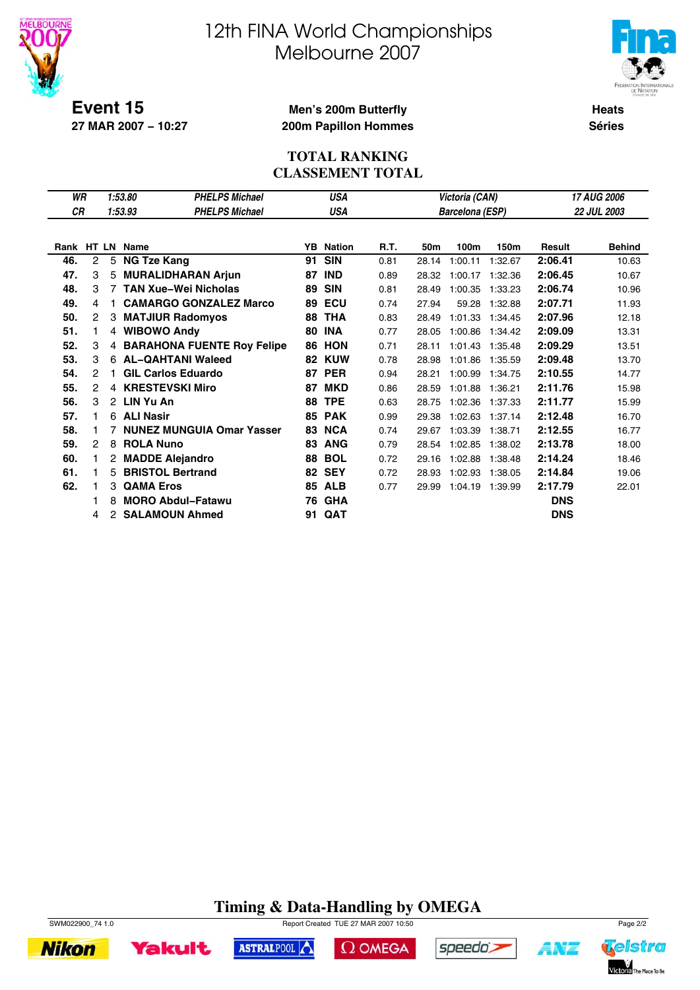

**27 MAR 2007 − 10:27**

# 12th FINA World Championships Melbourne 2007



**Heats Séries**

#### **Men's 200m Butterfly 200m Papillon Hommes**

#### **TOTAL RANKING CLASSEMENT TOTAL**

| WR         |                |    | 1:53.80<br><b>PHELPS Michael</b> |     | <b>USA</b>    |      |       | Victoria (CAN)         |         | 17 AUG 2006   |                    |  |
|------------|----------------|----|----------------------------------|-----|---------------|------|-------|------------------------|---------|---------------|--------------------|--|
| СR         |                |    | 1:53.93<br><b>PHELPS Michael</b> |     | USA           |      |       | <b>Barcelona (ESP)</b> |         |               | <b>22 JUL 2003</b> |  |
|            |                |    |                                  |     |               |      |       |                        |         |               |                    |  |
| Rank HT LN |                |    | <b>Name</b>                      | YB. | <b>Nation</b> | R.T. | 50m   | 100m                   | 150m    | <b>Result</b> | <b>Behind</b>      |  |
| 46.        | $\overline{c}$ | 5  | <b>NG Tze Kang</b>               | 91  | <b>SIN</b>    | 0.81 | 28.14 | 1:00.11                | 1:32.67 | 2:06.41       | 10.63              |  |
| 47.        | 3              | 5  | <b>MURALIDHARAN Arjun</b>        | 87  | <b>IND</b>    | 0.89 | 28.32 | 1:00.17                | 1:32.36 | 2:06.45       | 10.67              |  |
| 48.        | З              |    | <b>TAN Xue-Wei Nicholas</b>      | 89  | <b>SIN</b>    | 0.81 | 28.49 | 1:00.35                | 1:33.23 | 2:06.74       | 10.96              |  |
| 49.        | 4              |    | <b>CAMARGO GONZALEZ Marco</b>    | 89  | ECU           | 0.74 | 27.94 | 59.28                  | 1:32.88 | 2:07.71       | 11.93              |  |
| 50.        | 2              | 3  | <b>MATJIUR Radomyos</b>          | 88  | <b>THA</b>    | 0.83 | 28.49 | 1:01.33                | 1:34.45 | 2:07.96       | 12.18              |  |
| 51.        | 1              |    | 4 WIBOWO Andy                    | 80  | <b>INA</b>    | 0.77 | 28.05 | 1:00.86                | 1:34.42 | 2:09.09       | 13.31              |  |
| 52.        | З              |    | 4 BARAHONA FUENTE Roy Felipe     | 86  | <b>HON</b>    | 0.71 | 28.11 | 1:01.43                | 1:35.48 | 2:09.29       | 13.51              |  |
| 53.        | 3              |    | 6 AL-QAHTANI Waleed              | 82  | <b>KUW</b>    | 0.78 | 28.98 | 1:01.86                | 1:35.59 | 2:09.48       | 13.70              |  |
| 54.        | 2              |    | <b>GIL Carlos Eduardo</b>        | 87  | <b>PER</b>    | 0.94 | 28.21 | 1:00.99                | 1:34.75 | 2:10.55       | 14.77              |  |
| 55.        | 2              |    | 4 KRESTEVSKI Miro                | 87  | <b>MKD</b>    | 0.86 | 28.59 | 1:01.88                | 1:36.21 | 2:11.76       | 15.98              |  |
| 56.        | 3              |    | 2 LIN Yu An                      | 88  | <b>TPE</b>    | 0.63 | 28.75 | 1:02.36                | 1:37.33 | 2:11.77       | 15.99              |  |
| 57.        | 1              | 6  | <b>ALI Nasir</b>                 | 85  | <b>PAK</b>    | 0.99 | 29.38 | 1:02.63                | 1:37.14 | 2:12.48       | 16.70              |  |
| 58.        |                |    | <b>NUNEZ MUNGUIA Omar Yasser</b> | 83  | <b>NCA</b>    | 0.74 | 29.67 | 1:03.39                | 1:38.71 | 2:12.55       | 16.77              |  |
| 59.        | 2              | 8  | <b>ROLA Nuno</b>                 | 83  | <b>ANG</b>    | 0.79 | 28.54 | 1:02.85                | 1:38.02 | 2:13.78       | 18.00              |  |
| 60.        |                | 2  | <b>MADDE Alejandro</b>           | 88  | <b>BOL</b>    | 0.72 | 29.16 | 1:02.88                | 1:38.48 | 2:14.24       | 18.46              |  |
| 61.        |                | 5. | <b>BRISTOL Bertrand</b>          |     | <b>82 SEY</b> | 0.72 | 28.93 | 1:02.93                | 1:38.05 | 2:14.84       | 19.06              |  |
| 62.        |                | 3  | <b>QAMA Eros</b>                 | 85  | <b>ALB</b>    | 0.77 | 29.99 | 1:04.19                | 1:39.99 | 2:17.79       | 22.01              |  |
|            |                | 8  | <b>MORO Abdul-Fatawu</b>         | 76  | <b>GHA</b>    |      |       |                        |         | <b>DNS</b>    |                    |  |
|            | 4              | 2  | <b>SALAMOUN Ahmed</b>            | 91  | <b>QAT</b>    |      |       |                        |         | <b>DNS</b>    |                    |  |

### **Timing & Data-Handling by OMEGA**



**Yakult** 

**Nikon** 



ASTRALPOOL

 $\Omega$  OMEGA



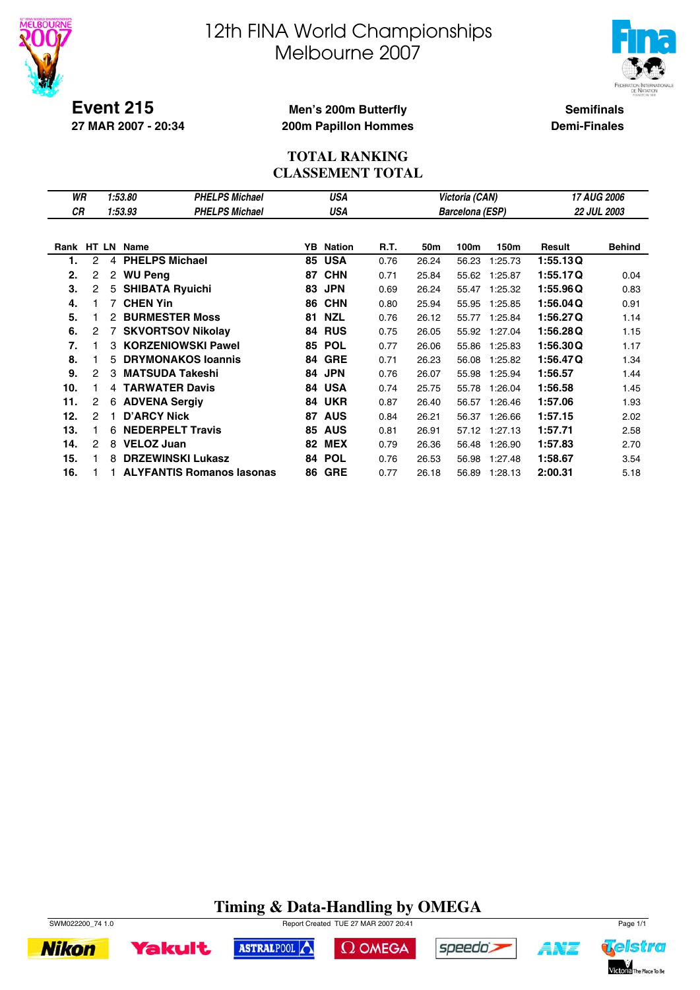



**Event 215 27 MAR 2007 - 20:34**

#### **Men's 200m Butterfly 200m Papillon Hommes**

**Semifinals Demi-Finales**

#### **TOTAL RANKING CLASSEMENT TOTAL**

| WR   |              |    | 1:53.80         | <b>PHELPS Michael</b>            |    | <b>USA</b>    |      |       | Victoria (CAN)  |         | 17 AUG 2006 |                    |  |
|------|--------------|----|-----------------|----------------------------------|----|---------------|------|-------|-----------------|---------|-------------|--------------------|--|
| СR   |              |    | 1:53.93         | <b>PHELPS Michael</b>            |    | USA           |      |       | Barcelona (ESP) |         |             | <b>22 JUL 2003</b> |  |
|      |              |    |                 |                                  |    |               |      |       |                 |         |             |                    |  |
| Rank |              |    | HT LN Name      |                                  | YB | <b>Nation</b> | R.T. | 50m   | 100m            | 150m    | Result      | <b>Behind</b>      |  |
| 1.   | 2            | 4  |                 | <b>PHELPS Michael</b>            | 85 | <b>USA</b>    | 0.76 | 26.24 | 56.23           | 1:25.73 | 1:55.13Q    |                    |  |
| 2.   | 2            | 2  | <b>WU Peng</b>  |                                  | 87 | <b>CHN</b>    | 0.71 | 25.84 | 55.62           | 1:25.87 | 1:55.17Q    | 0.04               |  |
| 3.   | $\mathbf{2}$ |    |                 | 5 SHIBATA Ryuichi                | 83 | <b>JPN</b>    | 0.69 | 26.24 | 55.47           | 1:25.32 | 1:55.96Q    | 0.83               |  |
| 4.   |              | 7  | <b>CHEN Yin</b> |                                  | 86 | <b>CHN</b>    | 0.80 | 25.94 | 55.95           | 1:25.85 | 1:56.04Q    | 0.91               |  |
| 5.   |              | 2  |                 | <b>BURMESTER Moss</b>            | 81 | <b>NZL</b>    | 0.76 | 26.12 | 55.77           | 1:25.84 | 1:56.27Q    | 1.14               |  |
| 6.   | 2            |    |                 | <b>SKVORTSOV Nikolay</b>         | 84 | <b>RUS</b>    | 0.75 | 26.05 | 55.92           | 1:27.04 | 1:56.28Q    | 1.15               |  |
| 7.   |              | 3  |                 | <b>KORZENIOWSKI Pawel</b>        | 85 | <b>POL</b>    | 0.77 | 26.06 | 55.86           | 1:25.83 | 1:56.30Q    | 1.17               |  |
| 8.   |              | 5. |                 | <b>DRYMONAKOS loannis</b>        | 84 | <b>GRE</b>    | 0.71 | 26.23 | 56.08           | 1:25.82 | 1:56.47Q    | 1.34               |  |
| 9.   | 2            | 3  |                 | <b>MATSUDA Takeshi</b>           | 84 | <b>JPN</b>    | 0.76 | 26.07 | 55.98           | 1:25.94 | 1:56.57     | 1.44               |  |
| 10.  |              | 4  |                 | <b>TARWATER Davis</b>            | 84 | <b>USA</b>    | 0.74 | 25.75 | 55.78           | 1:26.04 | 1:56.58     | 1.45               |  |
| 11.  | 2            | 6  |                 | <b>ADVENA Sergiv</b>             | 84 | <b>UKR</b>    | 0.87 | 26.40 | 56.57           | 1:26.46 | 1:57.06     | 1.93               |  |
| 12.  | 2            |    |                 | <b>D'ARCY Nick</b>               | 87 | <b>AUS</b>    | 0.84 | 26.21 | 56.37           | 1:26.66 | 1:57.15     | 2.02               |  |
| 13.  |              | 6  |                 | <b>NEDERPELT Travis</b>          | 85 | <b>AUS</b>    | 0.81 | 26.91 | 57.12           | 1:27.13 | 1:57.71     | 2.58               |  |
| 14.  | 2            | 8  |                 | <b>VELOZ Juan</b>                | 82 | <b>MEX</b>    | 0.79 | 26.36 | 56.48           | 1:26.90 | 1:57.83     | 2.70               |  |
| 15.  |              | 8  |                 | <b>DRZEWINSKI Lukasz</b>         | 84 | <b>POL</b>    | 0.76 | 26.53 | 56.98           | 1:27.48 | 1:58.67     | 3.54               |  |
| 16.  |              |    |                 | <b>ALYFANTIS Romanos Iasonas</b> | 86 | <b>GRE</b>    | 0.77 | 26.18 | 56.89           | 1:28.13 | 2:00.31     | 5.18               |  |

### **Timing & Data-Handling by OMEGA**



**Yakult** 

SWM022200\_74 1.0 Report Created TUE 27 MAR 2007 20:41 Page 1/1





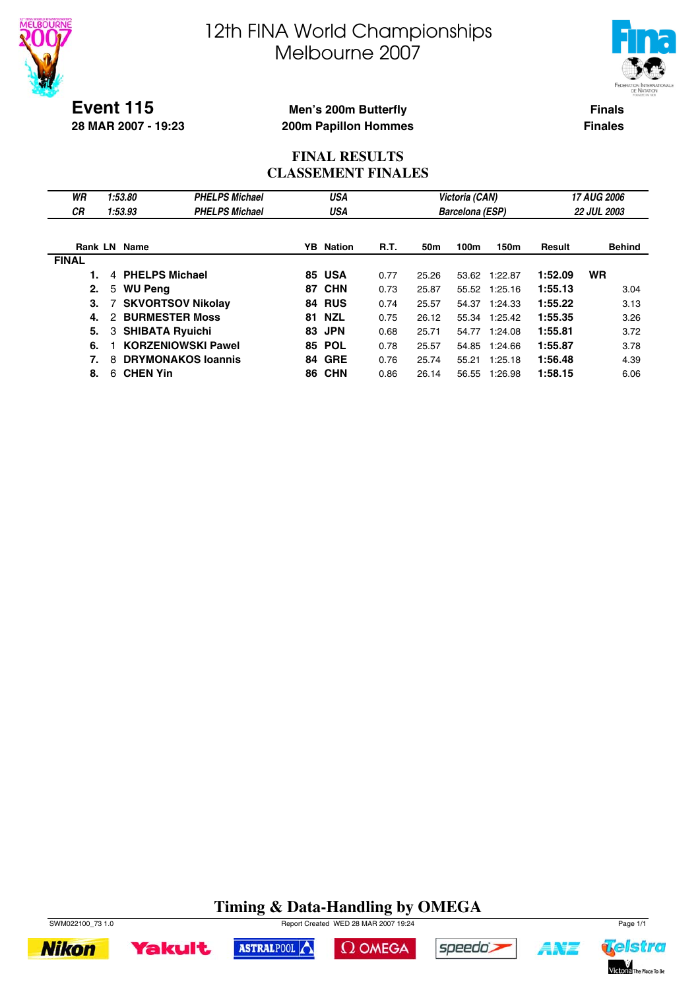

**28 MAR 2007 - 19:23**

# 12th FINA World Championships Melbourne 2007



**Men's 200m Butterfly 200m Papillon Hommes**

**Finals Finales**

#### **FINAL RESULTS CLASSEMENT FINALES**

| WR<br><b>CR</b> | 1:53.80<br>1:53.93             | <b>PHELPS Michael</b><br><b>PHELPS Michael</b> |    | <b>USA</b><br>USA |      |       | Victoria (CAN)         |               |         | 17 AUG 2006<br><b>22 JUL 2003</b> |
|-----------------|--------------------------------|------------------------------------------------|----|-------------------|------|-------|------------------------|---------------|---------|-----------------------------------|
|                 |                                |                                                |    |                   |      |       | <b>Barcelona (ESP)</b> |               |         |                                   |
|                 | <b>Rank LN Name</b>            |                                                |    | <b>YB</b> Nation  | R.T. | 50m   | 100m                   | 150m          | Result  | <b>Behind</b>                     |
| <b>FINAL</b>    |                                |                                                |    |                   |      |       |                        |               |         |                                   |
|                 | 4 PHELPS Michael               |                                                |    | <b>85 USA</b>     | 0.77 | 25.26 |                        | 53.62 1:22.87 | 1:52.09 | <b>WR</b>                         |
| 2.              | <b>WU Peng</b><br>5            |                                                | 87 | <b>CHN</b>        | 0.73 | 25.87 |                        | 55.52 1:25.16 | 1:55.13 | 3.04                              |
| З.              | <b>SKVORTSOV Nikolay</b>       |                                                | 84 | <b>RUS</b>        | 0.74 | 25.57 | 54.37                  | 1:24.33       | 1:55.22 | 3.13                              |
| 4.              | <b>BURMESTER Moss</b><br>2     |                                                | 81 | <b>NZL</b>        | 0.75 | 26.12 |                        | 55.34 1:25.42 | 1:55.35 | 3.26                              |
| 5.              | <b>SHIBATA Ryuichi</b><br>3    |                                                | 83 | <b>JPN</b>        | 0.68 | 25.71 | 54.77                  | 1:24.08       | 1:55.81 | 3.72                              |
| 6.              | <b>KORZENIOWSKI Pawel</b>      |                                                |    | <b>85 POL</b>     | 0.78 | 25.57 | 54.85                  | 1:24.66       | 1:55.87 | 3.78                              |
| 7.              | <b>DRYMONAKOS Ioannis</b><br>8 |                                                |    | <b>84 GRE</b>     | 0.76 | 25.74 | 55.21                  | 1:25.18       | 1:56.48 | 4.39                              |
| 8.              | <b>CHEN Yin</b><br>6           |                                                |    | <b>86 CHN</b>     | 0.86 | 26.14 | 56.55                  | 1:26.98       | 1:58.15 | 6.06                              |

### **Timing & Data-Handling by OMEGA**

 $\Omega$  OMEGA

speedo's

ASTRALPOOL



**Yakult** 

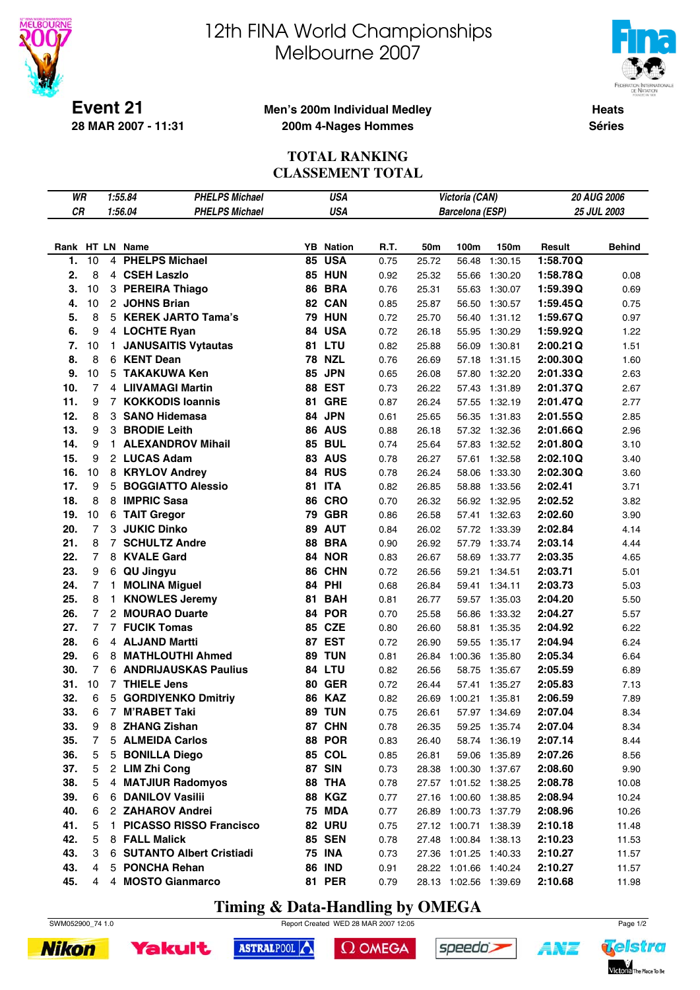



**Event 21 28 MAR 2007 - 11:31**

#### **Men's 200m Individual Medley 200m 4-Nages Hommes**

**Heats Séries**

#### **TOTAL RANKING CLASSEMENT TOTAL**

| WR  |                |              | <b>PHELPS Michael</b><br><b>USA</b><br>1:55.84<br>1:56.04 |    |                  |      |       | Victoria (CAN)         |               |          | 20 AUG 2006   |
|-----|----------------|--------------|-----------------------------------------------------------|----|------------------|------|-------|------------------------|---------------|----------|---------------|
| CR  |                |              | <b>PHELPS Michael</b>                                     |    | <b>USA</b>       |      |       | <b>Barcelona (ESP)</b> |               |          | 25 JUL 2003   |
|     |                |              |                                                           |    |                  |      |       |                        |               |          |               |
|     |                |              | Rank HT LN Name                                           |    | <b>YB</b> Nation | R.T. | 50m   | 100m                   | 150m          | Result   | <b>Behind</b> |
| 1.  | 10             | 4            | <b>PHELPS Michael</b>                                     | 85 | <b>USA</b>       | 0.75 | 25.72 | 56.48                  | 1:30.15       | 1:58.70Q |               |
| 2.  | 8              |              | 4 CSEH Laszlo                                             |    | <b>85 HUN</b>    | 0.92 | 25.32 | 55.66                  | 1:30.20       | 1:58.78Q | 0.08          |
| 3.  | 10             |              | 3 PEREIRA Thiago                                          |    | <b>86 BRA</b>    | 0.76 | 25.31 | 55.63                  | 1:30.07       | 1:59.39Q | 0.69          |
| 4.  | 10             |              | 2 JOHNS Brian                                             |    | 82 CAN           | 0.85 | 25.87 | 56.50                  | 1:30.57       | 1:59.45Q | 0.75          |
| 5.  | 8              |              | 5 KEREK JARTO Tama's                                      |    | <b>79 HUN</b>    | 0.72 | 25.70 | 56.40                  | 1:31.12       | 1:59.67Q | 0.97          |
| 6.  | 9              |              | 4 LOCHTE Ryan                                             | 84 | <b>USA</b>       | 0.72 | 26.18 | 55.95                  | 1:30.29       | 1:59.92Q | 1.22          |
| 7.  | 10             | $\mathbf{1}$ | <b>JANUSAITIS Vytautas</b>                                |    | 81 LTU           | 0.82 | 25.88 | 56.09                  | 1:30.81       | 2:00.21Q | 1.51          |
| 8.  | 8              |              | 6 KENT Dean                                               | 78 | <b>NZL</b>       | 0.76 | 26.69 | 57.18                  | 1:31.15       | 2:00.30Q | 1.60          |
| 9.  | 10             |              | 5 TAKAKUWA Ken                                            | 85 | <b>JPN</b>       | 0.65 | 26.08 | 57.80                  | 1:32.20       | 2:01.33Q | 2.63          |
| 10. | $\overline{7}$ |              | 4 LIIVAMAGI Martin                                        | 88 | <b>EST</b>       | 0.73 | 26.22 | 57.43                  | 1:31.89       | 2:01.37Q | 2.67          |
| 11. | 9              |              | 7 KOKKODIS Ioannis                                        | 81 | <b>GRE</b>       | 0.87 | 26.24 | 57.55                  | 1:32.19       | 2:01.47Q | 2.77          |
| 12. | 8              |              | 3 SANO Hidemasa                                           | 84 | <b>JPN</b>       | 0.61 | 25.65 | 56.35                  | 1:31.83       | 2:01.55Q | 2.85          |
| 13. | 9              |              | 3 BRODIE Leith                                            |    | <b>86 AUS</b>    | 0.88 | 26.18 | 57.32                  | 1:32.36       | 2:01.66Q | 2.96          |
| 14. | 9              | 1.           | <b>ALEXANDROV Mihail</b>                                  |    | <b>85 BUL</b>    | 0.74 | 25.64 | 57.83                  | 1:32.52       | 2:01.80Q | 3.10          |
| 15. | 9              |              | 2 LUCAS Adam                                              |    | <b>83 AUS</b>    | 0.78 | 26.27 | 57.61                  | 1:32.58       | 2:02.10Q | 3.40          |
| 16. | 10             |              | 8 KRYLOV Andrey                                           |    | 84 RUS           | 0.78 | 26.24 | 58.06                  | 1:33.30       | 2:02.30Q | 3.60          |
| 17. | 9              | 5            | <b>BOGGIATTO Alessio</b>                                  | 81 | <b>ITA</b>       | 0.82 | 26.85 | 58.88                  | 1:33.56       | 2:02.41  | 3.71          |
| 18. | 8              | 8            | <b>IMPRIC Sasa</b>                                        | 86 | <b>CRO</b>       | 0.70 | 26.32 | 56.92                  | 1:32.95       | 2:02.52  | 3.82          |
| 19. | 10             |              | 6 TAIT Gregor                                             | 79 | <b>GBR</b>       | 0.86 | 26.58 | 57.41                  | 1:32.63       | 2:02.60  | 3.90          |
| 20. | $\overline{7}$ |              | 3 JUKIC Dinko                                             | 89 | <b>AUT</b>       | 0.84 | 26.02 | 57.72                  | 1:33.39       | 2:02.84  | 4.14          |
| 21. | 8              | $7^{\circ}$  | <b>SCHULTZ Andre</b>                                      | 88 | <b>BRA</b>       | 0.90 | 26.92 | 57.79                  | 1:33.74       | 2:03.14  | 4.44          |
| 22. | $\overline{7}$ |              | 8 KVALE Gard                                              |    | 84 NOR           | 0.83 | 26.67 | 58.69                  | 1:33.77       | 2:03.35  | 4.65          |
| 23. | 9              |              | 6 QU Jingyu                                               |    | 86 CHN           | 0.72 | 26.56 | 59.21                  | 1:34.51       | 2:03.71  | 5.01          |
| 24. | $\overline{7}$ | $\mathbf{1}$ | <b>MOLINA Miguel</b>                                      |    | 84 PHI           | 0.68 | 26.84 | 59.41                  | 1:34.11       | 2:03.73  | 5.03          |
| 25. | 8              | $\mathbf{1}$ | <b>KNOWLES Jeremy</b>                                     | 81 | <b>BAH</b>       | 0.81 | 26.77 | 59.57                  | 1:35.03       | 2:04.20  | 5.50          |
| 26. | $\overline{7}$ |              | 2 MOURAO Duarte                                           | 84 | <b>POR</b>       | 0.70 | 25.58 | 56.86                  | 1:33.32       | 2:04.27  | 5.57          |
| 27. | $\overline{7}$ |              | <b>7 FUCIK Tomas</b>                                      |    | 85 CZE           | 0.80 | 26.60 | 58.81                  | 1:35.35       | 2:04.92  | 6.22          |
| 28. | 6              |              | 4 ALJAND Martti                                           |    | 87 EST           | 0.72 | 26.90 | 59.55                  | 1:35.17       | 2:04.94  | 6.24          |
| 29. | 6              |              | 8 MATHLOUTHI Ahmed                                        |    | <b>89 TUN</b>    | 0.81 | 26.84 | 1:00.36                | 1:35.80       | 2:05.34  | 6.64          |
| 30. | $\overline{7}$ |              | <b>6 ANDRIJAUSKAS Paulius</b>                             |    | 84 LTU           | 0.82 | 26.56 | 58.75                  | 1:35.67       | 2:05.59  | 6.89          |
| 31. | 10             |              | 7 THIELE Jens                                             |    | <b>80 GER</b>    | 0.72 | 26.44 | 57.41                  | 1:35.27       | 2:05.83  | 7.13          |
| 32. | 6              | 5            | <b>GORDIYENKO Dmitriy</b>                                 | 86 | <b>KAZ</b>       | 0.82 | 26.69 | 1:00.21                | 1:35.81       | 2:06.59  | 7.89          |
| 33. | 6              |              | 7 M'RABET Taki                                            |    | 89 TUN           | 0.75 | 26.61 |                        | 57.97 1:34.69 | 2:07.04  | 8.34          |
| 33. | 9              | 8            | <b>ZHANG Zishan</b>                                       |    | 87 CHN           | 0.78 | 26.35 |                        | 59.25 1:35.74 | 2:07.04  | 8.34          |
| 35. | 7              | 5.           | <b>ALMEIDA Carlos</b>                                     |    | <b>88 POR</b>    | 0.83 | 26.40 | 58.74                  | 1:36.19       | 2:07.14  | 8.44          |
| 36. | 5              | 5            | <b>BONILLA Diego</b>                                      |    | <b>85 COL</b>    | 0.85 | 26.81 | 59.06                  | 1:35.89       | 2:07.26  | 8.56          |
| 37. | 5              |              | 2 LIM Zhi Cong                                            |    | <b>87 SIN</b>    | 0.73 | 28.38 | 1:00.30 1:37.67        |               | 2:08.60  | 9.90          |
| 38. | 5              |              | 4 MATJIUR Radomyos                                        |    | 88 THA           | 0.78 |       | 27.57 1:01.52 1:38.25  |               | 2:08.78  | 10.08         |
| 39. | 6              | 6            | <b>DANILOV Vasilii</b>                                    |    | <b>88 KGZ</b>    | 0.77 | 27.16 | 1:00.60 1:38.85        |               | 2:08.94  | 10.24         |
| 40. | 6              |              | 2 ZAHAROV Andrei                                          |    | <b>75 MDA</b>    | 0.77 | 26.89 | 1:00.73 1:37.79        |               | 2:08.96  | 10.26         |
| 41. | 5              | 1.           | <b>PICASSO RISSO Francisco</b>                            |    | 82 URU           | 0.75 |       | 27.12 1:00.71 1:38.39  |               | 2:10.18  | 11.48         |
| 42. | 5              |              | 8 FALL Malick                                             |    | <b>85 SEN</b>    | 0.78 |       | 27.48 1:00.84 1:38.13  |               | 2:10.23  | 11.53         |
| 43. | 3              |              | 6 SUTANTO Albert Cristiadi                                |    | <b>75 INA</b>    | 0.73 |       | 27.36 1:01.25 1:40.33  |               | 2:10.27  | 11.57         |
| 43. | 4              | 5            | <b>PONCHA Rehan</b>                                       |    | <b>86 IND</b>    | 0.91 |       | 28.22 1:01.66 1:40.24  |               | 2:10.27  | 11.57         |
| 45. | 4              |              | 4 MOSTO Gianmarco                                         |    | <b>81 PER</b>    | 0.79 |       | 28.13 1:02.56 1:39.69  |               | 2:10.68  | 11.98         |

### **Timing & Data-Handling by OMEGA**

SWM052900\_74 1.0 Report Created WED 28 MAR 2007 12:05 Page 1/2





ASTRALPOOL

 $\Omega$  OMEGA

speedo's

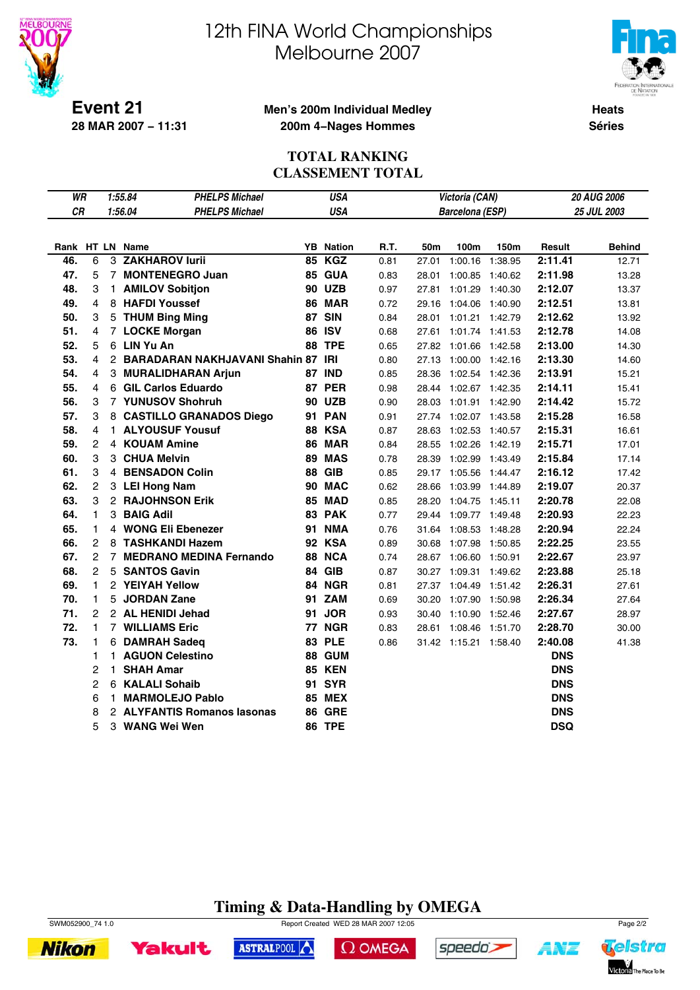



**Event 21 28 MAR 2007 − 11:31**

#### **Men's 200m Individual Medley 200m 4−Nages Hommes**

**Heats Séries**

#### **TOTAL RANKING CLASSEMENT TOTAL**

| WR        |                |                | <b>PHELPS Michael</b><br>1:55.84     | <b>USA</b> | 20 AUG 2006<br>Victoria (CAN) |      |       |                       |         |            |               |
|-----------|----------------|----------------|--------------------------------------|------------|-------------------------------|------|-------|-----------------------|---------|------------|---------------|
| <b>CR</b> |                |                | <b>PHELPS Michael</b><br>1:56.04     |            | <b>USA</b>                    |      |       | Barcelona (ESP)       |         |            | 25 JUL 2003   |
|           |                |                |                                      |            |                               |      |       |                       |         |            |               |
|           |                |                | Rank HT LN Name                      |            | <b>YB</b> Nation              | R.T. | 50m   | 100m                  | 150m    | Result     | <b>Behind</b> |
| 46.       | 6              | 3              | <b>ZAKHAROV lurii</b>                | 85         | <b>KGZ</b>                    | 0.81 | 27.01 | 1:00.16               | 1:38.95 | 2:11.41    | 12.71         |
| 47.       | 5              |                | 7 MONTENEGRO Juan                    |            | <b>85 GUA</b>                 | 0.83 | 28.01 | 1:00.85               | 1:40.62 | 2:11.98    | 13.28         |
| 48.       | 3              |                | 1 AMILOV Sobitjon                    |            | <b>90 UZB</b>                 | 0.97 | 27.81 | 1:01.29               | 1:40.30 | 2:12.07    | 13.37         |
| 49.       | 4              |                | 8 HAFDI Youssef                      |            | 86 MAR                        | 0.72 | 29.16 | 1:04.06               | 1:40.90 | 2:12.51    | 13.81         |
| 50.       | 3              |                | 5 THUM Bing Ming                     |            | 87 SIN                        | 0.84 | 28.01 | 1:01.21               | 1:42.79 | 2:12.62    | 13.92         |
| 51.       | 4              |                | 7 LOCKE Morgan                       |            | <b>86 ISV</b>                 | 0.68 | 27.61 | 1:01.74 1:41.53       |         | 2:12.78    | 14.08         |
| 52.       | 5              |                | 6 LIN Yu An                          |            | <b>88 TPE</b>                 | 0.65 | 27.82 | 1:01.66               | 1:42.58 | 2:13.00    | 14.30         |
| 53.       | 4              |                | 2 BARADARAN NAKHJAVANI Shahin 87 IRI |            |                               | 0.80 | 27.13 | 1:00.00 1:42.16       |         | 2:13.30    | 14.60         |
| 54.       | 4              |                | 3 MURALIDHARAN Arjun                 |            | <b>87 IND</b>                 | 0.85 | 28.36 | 1:02.54 1:42.36       |         | 2:13.91    | 15.21         |
| 55.       | 4              |                | 6 GIL Carlos Eduardo                 |            | 87 PER                        | 0.98 | 28.44 | 1:02.67 1:42.35       |         | 2:14.11    | 15.41         |
| 56.       | 3              |                | 7 YUNUSOV Shohruh                    |            | <b>90 UZB</b>                 | 0.90 | 28.03 | 1:01.91 1:42.90       |         | 2:14.42    | 15.72         |
| 57.       | 3              |                | 8 CASTILLO GRANADOS Diego            | 91         | <b>PAN</b>                    | 0.91 | 27.74 | 1:02.07 1:43.58       |         | 2:15.28    | 16.58         |
| 58.       | 4              |                | 1 ALYOUSUF Yousuf                    | 88         | <b>KSA</b>                    | 0.87 | 28.63 | 1:02.53               | 1:40.57 | 2:15.31    | 16.61         |
| 59.       | 2              |                | 4 KOUAM Amine                        |            | <b>86 MAR</b>                 | 0.84 | 28.55 | 1:02.26               | 1:42.19 | 2:15.71    | 17.01         |
| 60.       | 3              | 3              | <b>CHUA Melvin</b>                   |            | 89 MAS                        | 0.78 | 28.39 | 1:02.99               | 1:43.49 | 2:15.84    | 17.14         |
| 61.       | 3              |                | 4 BENSADON Colin                     |            | <b>88 GIB</b>                 | 0.85 | 29.17 | 1:05.56               | 1:44.47 | 2:16.12    | 17.42         |
| 62.       | 2              |                | 3 LEI Hong Nam                       |            | 90 MAC                        | 0.62 | 28.66 | 1:03.99               | 1:44.89 | 2:19.07    | 20.37         |
| 63.       | 3              |                | 2 RAJOHNSON Erik                     |            | 85 MAD                        | 0.85 | 28.20 | 1:04.75               | 1:45.11 | 2:20.78    | 22.08         |
| 64.       | 1              | 3              | <b>BAIG Adil</b>                     |            | 83 PAK                        | 0.77 | 29.44 | 1:09.77               | 1:49.48 | 2:20.93    | 22.23         |
| 65.       | 1              | 4              | <b>WONG Eli Ebenezer</b>             | 91         | <b>NMA</b>                    | 0.76 | 31.64 | 1:08.53               | 1:48.28 | 2:20.94    | 22.24         |
| 66.       | $\overline{c}$ | 8              | <b>TASHKANDI Hazem</b>               |            | 92 KSA                        | 0.89 | 30.68 | 1:07.98               | 1:50.85 | 2:22.25    | 23.55         |
| 67.       | $\overline{c}$ | $\overline{7}$ | <b>MEDRANO MEDINA Fernando</b>       |            | 88 NCA                        | 0.74 | 28.67 | 1:06.60               | 1:50.91 | 2:22.67    | 23.97         |
| 68.       | $\overline{c}$ |                | 5 SANTOS Gavin                       |            | 84 GIB                        | 0.87 | 30.27 | 1:09.31               | 1:49.62 | 2:23.88    | 25.18         |
| 69.       | 1              |                | 2 YEIYAH Yellow                      |            | 84 NGR                        | 0.81 | 27.37 | 1:04.49               | 1:51.42 | 2:26.31    | 27.61         |
| 70.       | 1              | 5.             | <b>JORDAN Zane</b>                   | 91         | <b>ZAM</b>                    | 0.69 | 30.20 | 1:07.90               | 1:50.98 | 2:26.34    | 27.64         |
| 71.       | 2              |                | 2 AL HENIDI Jehad                    | 91         | <b>JOR</b>                    | 0.93 | 30.40 | 1:10.90               | 1:52.46 | 2:27.67    | 28.97         |
| 72.       | 1              |                | <b>7 WILLIAMS Eric</b>               |            | <b>77 NGR</b>                 | 0.83 | 28.61 | 1:08.46               | 1:51.70 | 2:28.70    | 30.00         |
| 73.       | 1              |                | 6 DAMRAH Sadeq                       |            | <b>83 PLE</b>                 | 0.86 |       | 31.42 1:15.21 1:58.40 |         | 2:40.08    | 41.38         |
|           | 1              |                | 1 AGUON Celestino                    |            | 88 GUM                        |      |       |                       |         | <b>DNS</b> |               |
|           | $\overline{c}$ | 1.             | <b>SHAH Amar</b>                     |            | <b>85 KEN</b>                 |      |       |                       |         | <b>DNS</b> |               |
|           | 2              |                | 6 KALALI Sohaib                      |            | <b>91 SYR</b>                 |      |       |                       |         | <b>DNS</b> |               |
|           | 6              | 1.             | <b>MARMOLEJO Pablo</b>               |            | <b>85 MEX</b>                 |      |       |                       |         | <b>DNS</b> |               |
|           | 8              |                | 2 ALYFANTIS Romanos Iasonas          |            | <b>86 GRE</b>                 |      |       |                       |         | <b>DNS</b> |               |
|           | 5              |                | 3 WANG Wei Wen                       |            | 86 TPE                        |      |       |                       |         | <b>DSQ</b> |               |
|           |                |                |                                      |            |                               |      |       |                       |         |            |               |

### **Timing & Data-Handling by OMEGA**



SWM052900\_74 1.0 Report Created WED 28 MAR 2007 12:05 Page 2/2





 $\Omega$  OMEGA



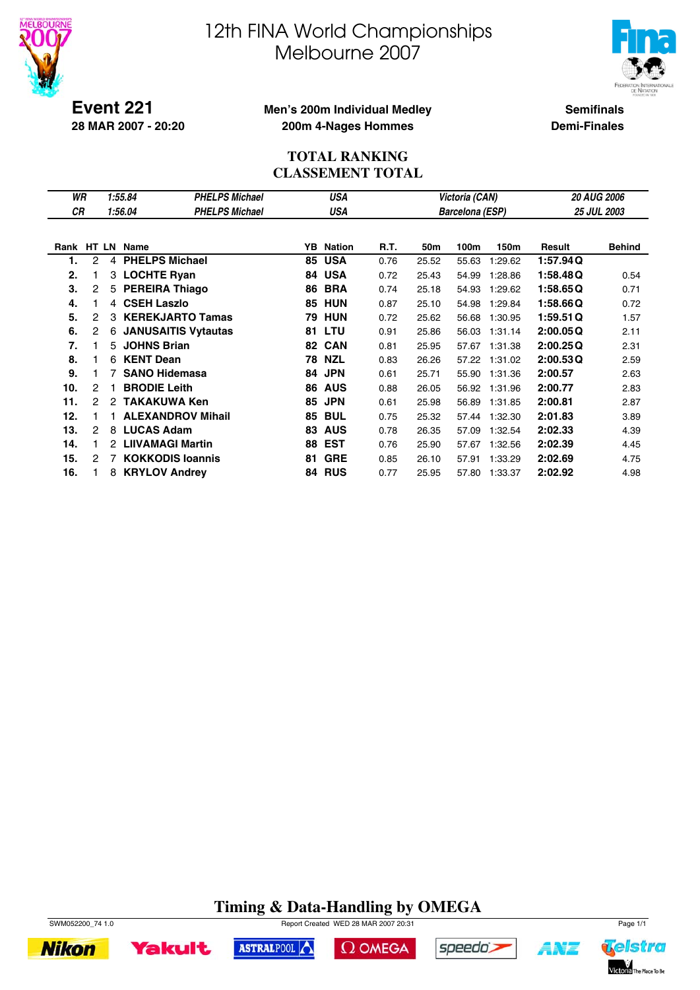



**Event 221 28 MAR 2007 - 20:20**

#### **Men's 200m Individual Medley 200m 4-Nages Hommes**

**Semifinals Demi-Finales**

#### **TOTAL RANKING CLASSEMENT TOTAL**

| WR         | USA<br>1:55.84<br><b>PHELPS Michael</b> |   |                            |                       |    |               |      |       | Victoria (CAN)         |         | <b>20 AUG 2006</b> |               |  |
|------------|-----------------------------------------|---|----------------------------|-----------------------|----|---------------|------|-------|------------------------|---------|--------------------|---------------|--|
| <b>CR</b>  |                                         |   | 1:56.04                    | <b>PHELPS Michael</b> |    | USA           |      |       | <b>Barcelona (ESP)</b> |         |                    | 25 JUL 2003   |  |
|            |                                         |   |                            |                       |    |               |      |       |                        |         |                    |               |  |
| Rank HT LN |                                         |   | Name                       |                       | YB | <b>Nation</b> | R.T. | 50m   | 100m                   | 150m    | Result             | <b>Behind</b> |  |
| 1.         | 2                                       | 4 | <b>PHELPS Michael</b>      |                       | 85 | <b>USA</b>    | 0.76 | 25.52 | 55.63                  | 1:29.62 | 1:57.94 Q          |               |  |
| 2.         |                                         | 3 | <b>LOCHTE Ryan</b>         |                       | 84 | <b>USA</b>    | 0.72 | 25.43 | 54.99                  | 1:28.86 | 1:58.48Q           | 0.54          |  |
| 3.         | $\overline{c}$                          | 5 | <b>PEREIRA Thiago</b>      |                       | 86 | <b>BRA</b>    | 0.74 | 25.18 | 54.93                  | 1:29.62 | 1:58.65Q           | 0.71          |  |
| 4.         |                                         | 4 | <b>CSEH Laszlo</b>         |                       | 85 | HUN           | 0.87 | 25.10 | 54.98                  | 1:29.84 | 1:58.66Q           | 0.72          |  |
| 5.         | 2                                       | З | <b>KEREKJARTO Tamas</b>    |                       | 79 | <b>HUN</b>    | 0.72 | 25.62 | 56.68                  | 1:30.95 | 1:59.51Q           | 1.57          |  |
| 6.         | 2                                       | 6 | <b>JANUSAITIS Vytautas</b> |                       | 81 | LTU           | 0.91 | 25.86 | 56.03                  | 1:31.14 | 2:00.05Q           | 2.11          |  |
| 7.         |                                         | 5 | <b>JOHNS Brian</b>         |                       | 82 | <b>CAN</b>    | 0.81 | 25.95 | 57.67                  | 1:31.38 | 2:00.25Q           | 2.31          |  |
| 8.         |                                         | 6 | <b>KENT Dean</b>           |                       | 78 | <b>NZL</b>    | 0.83 | 26.26 | 57.22                  | 1:31.02 | 2:00.53Q           | 2.59          |  |
| 9.         |                                         | 7 | <b>SANO Hidemasa</b>       |                       | 84 | <b>JPN</b>    | 0.61 | 25.71 | 55.90                  | 1:31.36 | 2:00.57            | 2.63          |  |
| 10.        | 2                                       |   | <b>BRODIE Leith</b>        |                       | 86 | <b>AUS</b>    | 0.88 | 26.05 | 56.92                  | 1:31.96 | 2:00.77            | 2.83          |  |
| 11.        | 2                                       | 2 | <b>TAKAKUWA Ken</b>        |                       | 85 | <b>JPN</b>    | 0.61 | 25.98 | 56.89                  | 1:31.85 | 2:00.81            | 2.87          |  |
| 12.        |                                         |   | <b>ALEXANDROV Mihail</b>   |                       | 85 | <b>BUL</b>    | 0.75 | 25.32 | 57.44                  | 1:32.30 | 2:01.83            | 3.89          |  |
| 13.        | 2                                       | 8 | <b>LUCAS Adam</b>          |                       | 83 | <b>AUS</b>    | 0.78 | 26.35 | 57.09                  | 1:32.54 | 2:02.33            | 4.39          |  |
| 14.        |                                         | 2 | <b>LIIVAMAGI Martin</b>    |                       | 88 | <b>EST</b>    | 0.76 | 25.90 | 57.67                  | 1:32.56 | 2:02.39            | 4.45          |  |
| 15.        | 2                                       | 7 | <b>KOKKODIS loannis</b>    |                       | 81 | <b>GRE</b>    | 0.85 | 26.10 | 57.91                  | 1:33.29 | 2:02.69            | 4.75          |  |
| 16.        |                                         | 8 | <b>KRYLOV Andrey</b>       |                       | 84 | <b>RUS</b>    | 0.77 | 25.95 | 57.80                  | 1:33.37 | 2:02.92            | 4.98          |  |

### **Timing & Data-Handling by OMEGA**



**Yakult** 

SWM052200\_74 1.0 Report Created WED 28 MAR 2007 20:31 Page 1/1

ASTRALPOOL



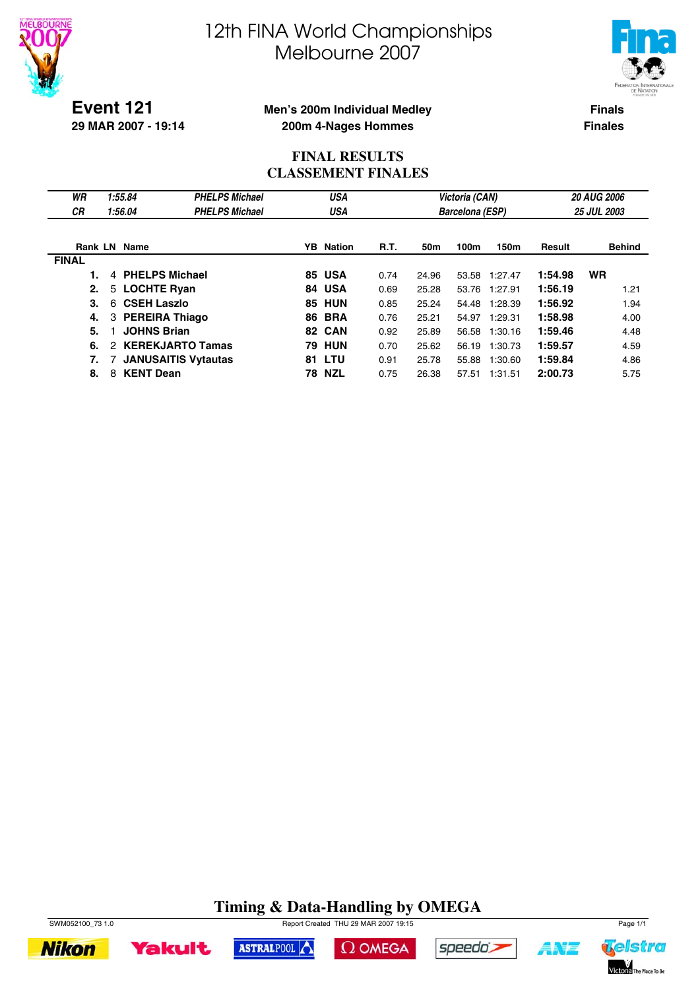



**Event 121 29 MAR 2007 - 19:14**

#### **Men's 200m Individual Medley 200m 4-Nages Hommes**

**Finals Finales**

#### **FINAL RESULTS CLASSEMENT FINALES**

| WR           | 1:55.84                    | <b>PHELPS Michael</b>      |    | USA              |             |       | Victoria (CAN)         |         | <b>20 AUG 2006</b> |                    |  |
|--------------|----------------------------|----------------------------|----|------------------|-------------|-------|------------------------|---------|--------------------|--------------------|--|
| СR           | 1:56.04                    | <b>PHELPS Michael</b>      |    | USA              |             |       | <b>Barcelona (ESP)</b> |         |                    | <b>25 JUL 2003</b> |  |
|              |                            |                            |    |                  |             |       |                        |         |                    |                    |  |
|              | Rank LN Name               |                            |    | <b>YB</b> Nation | <b>R.T.</b> | 50m   | 100m                   | 150m    | Result             | <b>Behind</b>      |  |
| <b>FINAL</b> |                            |                            |    |                  |             |       |                        |         |                    |                    |  |
|              | <b>PHELPS Michael</b><br>4 |                            |    | <b>85 USA</b>    | 0.74        | 24.96 | 53.58                  | 1:27.47 | 1:54.98            | <b>WR</b>          |  |
| 2.           | <b>LOCHTE Ryan</b><br>5    |                            |    | 84 USA           | 0.69        | 25.28 | 53.76                  | 1:27.91 | 1:56.19            | 1.21               |  |
| 3.           | <b>CSEH Laszlo</b><br>6    |                            |    | <b>85 HUN</b>    | 0.85        | 25.24 | 54.48                  | 1:28.39 | 1:56.92            | 1.94               |  |
| 4.           | 3 PEREIRA Thiago           |                            |    | <b>86 BRA</b>    | 0.76        | 25.21 | 54.97                  | 1:29.31 | 1:58.98            | 4.00               |  |
| 5.           | <b>JOHNS Brian</b>         |                            |    | 82 CAN           | 0.92        | 25.89 | 56.58                  | 1:30.16 | 1:59.46            | 4.48               |  |
| 6.           | 2                          | <b>KEREKJARTO Tamas</b>    | 79 | HUN              | 0.70        | 25.62 | 56.19                  | 1:30.73 | 1:59.57            | 4.59               |  |
| 7.           |                            | <b>JANUSAITIS Vytautas</b> |    | <b>81 LTU</b>    | 0.91        | 25.78 | 55.88                  | 1:30.60 | 1:59.84            | 4.86               |  |
| 8.           | <b>KENT Dean</b><br>8      |                            | 78 | NZL              | 0.75        | 26.38 | 57.51                  | 1:31.51 | 2:00.73            | 5.75               |  |

### **Timing & Data-Handling by OMEGA**





ASTRALPOOL





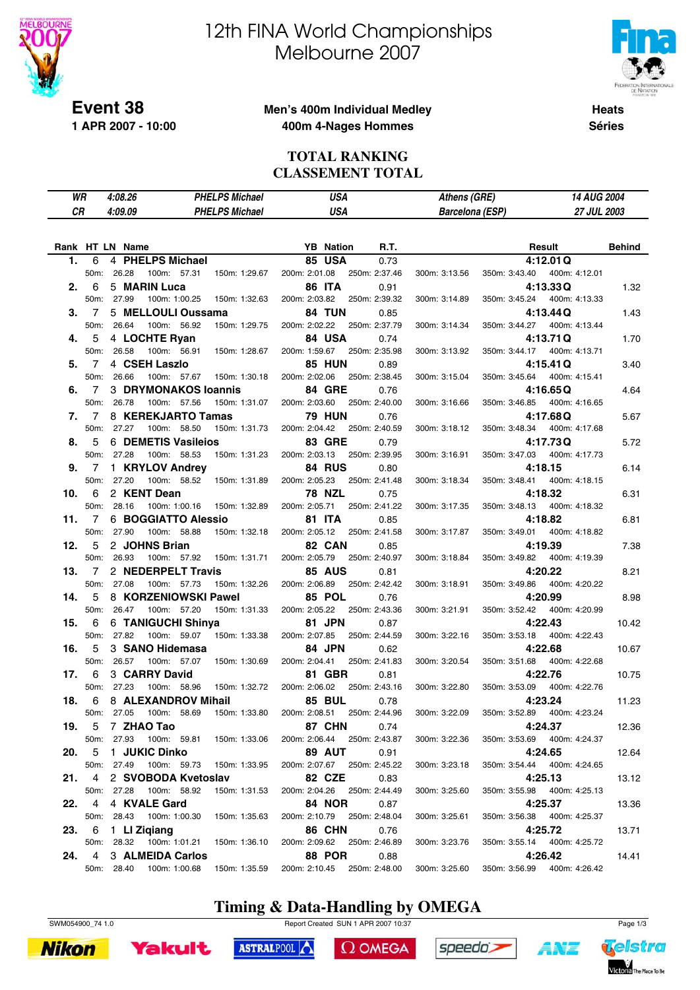

**1 APR 2007 - 10:00**

# 12th FINA World Championships Melbourne 2007



**Heats Séries**

#### **Men's 400m Individual Medley 400m 4-Nages Hommes**

#### **TOTAL RANKING CLASSEMENT TOTAL**

| WR              |                | 4:08.26 |               |                             | <b>PHELPS Michael</b>     |               | <b>USA</b>                  |               | Athens (GRE)           |               |         | 14 AUG 2004                  |               |
|-----------------|----------------|---------|---------------|-----------------------------|---------------------------|---------------|-----------------------------|---------------|------------------------|---------------|---------|------------------------------|---------------|
| CR              |                | 4:09.09 |               |                             | <b>PHELPS Michael</b>     |               | <b>USA</b>                  |               | <b>Barcelona (ESP)</b> |               |         | 27 JUL 2003                  |               |
|                 |                |         |               |                             |                           |               |                             |               |                        |               |         |                              |               |
|                 |                |         |               |                             |                           |               |                             |               |                        |               |         |                              |               |
| Rank HT LN Name |                |         |               |                             |                           |               | <b>YB</b> Nation            | R.T.          |                        |               |         | Result                       | <b>Behind</b> |
| 1.              | 6              |         |               | 4 PHELPS Michael            |                           |               | <b>85 USA</b>               | 0.73          |                        |               |         | 4:12.01Q                     |               |
|                 | 50m:           | 26.28   | 100m: 57.31   |                             | 150m: 1:29.67             | 200m: 2:01.08 |                             | 250m: 2:37.46 | 300m: 3:13.56          | 350m: 3:43.40 |         | 400m: 4:12.01                |               |
| 2.              | 6              |         | 5 MARIN Luca  |                             |                           |               | <b>86 ITA</b>               | 0.91          |                        |               |         | 4:13.33Q                     | 1.32          |
|                 | 50m:           | 27.99   | 100m: 1:00.25 |                             | 150m: 1:32.63             | 200m: 2:03.82 |                             | 250m: 2:39.32 | 300m: 3:14.89          | 350m: 3:45.24 |         | 400m: 4:13.33                |               |
| З.              | 7              |         |               | 5 MELLOULI Oussama          |                           |               | 84 TUN                      | 0.85          |                        |               |         | 4:13.44Q                     | 1.43          |
|                 | 50m:           | 26.64   | 100m: 56.92   |                             | 150m: 1:29.75             | 200m: 2:02.22 |                             | 250m: 2:37.79 | 300m: 3:14.34          | 350m: 3:44.27 |         | 400m: 4:13.44                |               |
| 4.              | 5              |         | 4 LOCHTE Ryan |                             |                           |               | 84 USA                      | 0.74          |                        |               |         | 4:13.71Q                     | 1.70          |
|                 | 50m:           | 26.58   | 100m: 56.91   |                             | 150m: 1:28.67             | 200m: 1:59.67 |                             | 250m: 2:35.98 | 300m: 3:13.92          | 350m: 3:44.17 |         | 400m: 4:13.71                |               |
| 5.              | 7              |         | 4 CSEH Laszlo |                             |                           |               | <b>85 HUN</b>               | 0.89          |                        |               |         | 4:15.41Q                     | 3.40          |
|                 | 50m:           | 26.66   |               | 100m: 57.67                 | 150m: 1:30.18             | 200m: 2:02.06 |                             | 250m: 2:38.45 | 300m: 3:15.04          | 350m: 3:45.64 |         | 400m: 4:15.41                |               |
| 6.              | 7              |         |               | <b>3 DRYMONAKOS loannis</b> |                           |               | <b>84 GRE</b>               | 0.76          |                        |               |         | 4:16.65Q                     | 4.64          |
|                 | 50m:           | 26.78   |               | 100m: 57.56                 | 150m: 1:31.07             | 200m: 2:03.60 |                             | 250m: 2:40.00 | 300m: 3:16.66          | 350m: 3:46.85 |         | 400m: 4:16.65                |               |
| 7.              | $\overline{7}$ |         |               | 8 KEREKJARTO Tamas          |                           |               | <b>79 HUN</b>               | 0.76          |                        |               |         | 4:17.68Q                     | 5.67          |
|                 | 50m:           | 27.27   | 100m: 58.50   |                             | 150m: 1:31.73             | 200m: 2:04.42 |                             | 250m: 2:40.59 | 300m: 3:18.12          | 350m: 3:48.34 |         | 400m: 4:17.68                |               |
| 8.              | 5              |         |               | 6 DEMETIS Vasileios         |                           |               | <b>83 GRE</b>               | 0.79          |                        |               |         | 4:17.73Q                     | 5.72          |
|                 | 50m: 27.28     |         | 100m: 58.53   |                             | 150m: 1:31.23             | 200m: 2:03.13 |                             | 250m: 2:39.95 | 300m: 3:16.91          | 350m: 3:47.03 |         | 400m: 4:17.73                |               |
| 9.              | 7              |         |               | 1 KRYLOV Andrey             |                           |               | 84 RUS                      | 0.80          |                        |               |         | 4:18.15                      | 6.14          |
|                 | 50m:           | 27.20   |               | 100m: 58.52                 | 150m: 1:31.89             | 200m: 2:05.23 |                             | 250m: 2:41.48 | 300m: 3:18.34          | 350m: 3:48.41 |         | 400m: 4:18.15                |               |
| 10.             | 6              |         | 2 KENT Dean   |                             |                           |               | <b>78 NZL</b>               | 0.75          |                        |               | 4:18.32 |                              | 6.31          |
|                 | 50m:           | 28.16   | 100m: 1:00.16 |                             | 150m: 1:32.89             | 200m: 2:05.71 |                             | 250m: 2:41.22 | 300m: 3:17.35          | 350m: 3:48.13 |         | 400m: 4:18.32                |               |
| 11.             | 7              |         |               | 6 BOGGIATTO Alessio         |                           |               | <b>81 ITA</b>               | 0.85          |                        |               | 4:18.82 |                              | 6.81          |
|                 | 50m:           | 27.90   | 100m: 58.88   |                             | 150m: 1:32.18             | 200m: 2:05.12 |                             | 250m: 2:41.58 | 300m: 3:17.87          | 350m: 3:49.01 |         | 400m: 4:18.82                |               |
| 12.             | 5              |         | 2 JOHNS Brian |                             |                           |               | 82 CAN                      | 0.85          |                        |               |         | 4:19.39                      | 7.38          |
|                 | 50m:           | 26.93   |               | 100m: 57.92                 | 150m: 1:31.71             | 200m: 2:05.79 |                             | 250m: 2:40.97 | 300m: 3:18.84          | 350m: 3:49.82 |         | 400m: 4:19.39                |               |
| 13.             | 7              |         |               | 2 NEDERPELT Travis          |                           |               | <b>85 AUS</b>               | 0.81          |                        |               |         | 4:20.22                      | 8.21          |
|                 | 50m:           | 27.08   | 100m: 57.73   |                             | 150m: 1:32.26             | 200m: 2:06.89 |                             | 250m: 2:42.42 | 300m: 3:18.91          | 350m: 3:49.86 |         | 400m: 4:20.22                |               |
| 14.             | 5              |         |               | 8 KORZENIOWSKI Pawel        |                           |               | 85 POL                      | 0.76          |                        |               |         | 4:20.99                      | 8.98          |
|                 | 50m:           | 26.47   | 100m: 57.20   |                             | 150m: 1:31.33             |               | 200m: 2:05.22               | 250m: 2:43.36 | 300m: 3:21.91          | 350m: 3:52.42 |         | 400m: 4:20.99                |               |
| 15.             | 6              |         |               | 6 TANIGUCHI Shinya          |                           |               | 81 JPN                      | 0.87          |                        |               | 4:22.43 |                              | 10.42         |
|                 | 50m:           | 27.82   |               | 100m: 59.07                 | 150m: 1:33.38             | 200m: 2:07.85 |                             | 250m: 2:44.59 | 300m: 3:22.16          | 350m: 3:53.18 |         | 400m: 4:22.43                |               |
| 16.             | 5              |         |               | 3 SANO Hidemasa             |                           |               | 84 JPN                      | 0.62          |                        |               | 4:22.68 |                              | 10.67         |
|                 | 50m:           | 26.57   | 100m: 57.07   |                             | 150m: 1:30.69             | 200m: 2:04.41 |                             | 250m: 2:41.83 | 300m: 3:20.54          | 350m: 3:51.68 |         | 400m: 4:22.68                |               |
| 17.             | 6              |         | 3 CARRY David |                             |                           |               | 81 GBR                      | 0.81          |                        |               | 4:22.76 |                              | 10.75         |
|                 | 50m:           | 27.23   | 100m: 58.96   |                             | 150m: 1:32.72             | 200m: 2:06.02 |                             | 250m: 2:43.16 | 300m: 3:22.80          | 350m: 3:53.09 |         | 400m: 4:22.76                |               |
| 18.             | 6              |         |               | 8 ALEXANDROV Mihail         |                           |               | <b>85 BUL</b>               | 0.78          |                        |               | 4:23.24 |                              | 11.23         |
|                 | 50m:           | 27.05   | 100m: 58.69   |                             | 150m: 1:33.80             | 200m: 2:08.51 |                             | 250m: 2:44.96 | 300m: 3:22.09          | 350m: 3:52.89 |         | 400m: 4:23.24                |               |
| 19.             | 5              |         | 7 ZHAO Tao    |                             |                           |               | 87 CHN                      | 0.74          |                        |               |         | 4:24.37                      | 12.36         |
|                 | 50m:           | 27.93   |               |                             | 100m: 59.81 150m: 1:33.06 |               | 200m: 2:06.44 250m: 2:43.87 |               | 300m: 3:22.36          |               |         | 350m: 3:53.69  400m: 4:24.37 |               |
| 20.             | 5              |         | 1 JUKIC Dinko |                             |                           |               | 89 AUT                      | 0.91          |                        |               |         | 4:24.65                      | 12.64         |
|                 | 50m:           | 27.49   | 100m: 59.73   |                             | 150m: 1:33.95             |               | 200m: 2:07.67               | 250m: 2:45.22 | 300m: 3:23.18          |               |         | 350m: 3:54.44 400m: 4:24.65  |               |
| 21.             | 4              |         |               | 2 SVOBODA Kvetoslav         |                           |               | 82 CZE                      | 0.83          |                        |               |         | 4:25.13                      | 13.12         |
|                 | 50m: 27.28     |         | 100m: 58.92   |                             | 150m: 1:31.53             | 200m: 2:04.26 |                             | 250m: 2:44.49 | 300m: 3:25.60          |               |         | 350m: 3:55.98  400m: 4:25.13 |               |
| 22.             | 4              |         | 4 KVALE Gard  |                             |                           |               | <b>84 NOR</b>               | 0.87          |                        |               |         | 4:25.37                      | 13.36         |
|                 | 50m: 28.43     |         | 100m: 1:00.30 |                             | 150m: 1:35.63             |               | 200m: 2:10.79 250m: 2:48.04 |               | 300m: 3:25.61          |               |         | 350m: 3:56.38 400m: 4:25.37  |               |
| 23.             | 6              |         | 1 LI Ziqiang  |                             |                           |               | <b>86 CHN</b>               | 0.76          |                        |               |         | 4:25.72                      | 13.71         |
|                 | 50m: 28.32     |         | 100m: 1:01.21 |                             | 150m: 1:36.10             |               | 200m: 2:09.62 250m: 2:46.89 |               | 300m: 3:23.76          |               |         | 350m: 3:55.14  400m: 4:25.72 |               |
| 24.             | 4              |         |               | 3 ALMEIDA Carlos            |                           |               | <b>88 POR</b>               | 0.88          |                        |               |         | 4:26.42                      | 14.41         |
|                 | 50m: 28.40     |         | 100m: 1:00.68 |                             | 150m: 1:35.59             |               | 200m: 2:10.45               | 250m: 2:48.00 | 300m: 3:25.60          | 350m: 3:56.99 |         | 400m: 4:26.42                |               |

### **Timing & Data-Handling by OMEGA**





SWM054900\_74 1.0 Report Created SUN 1 APR 2007 10:37 Page 1/3

 $\Omega$  OMEGA

ASTRALPOOL



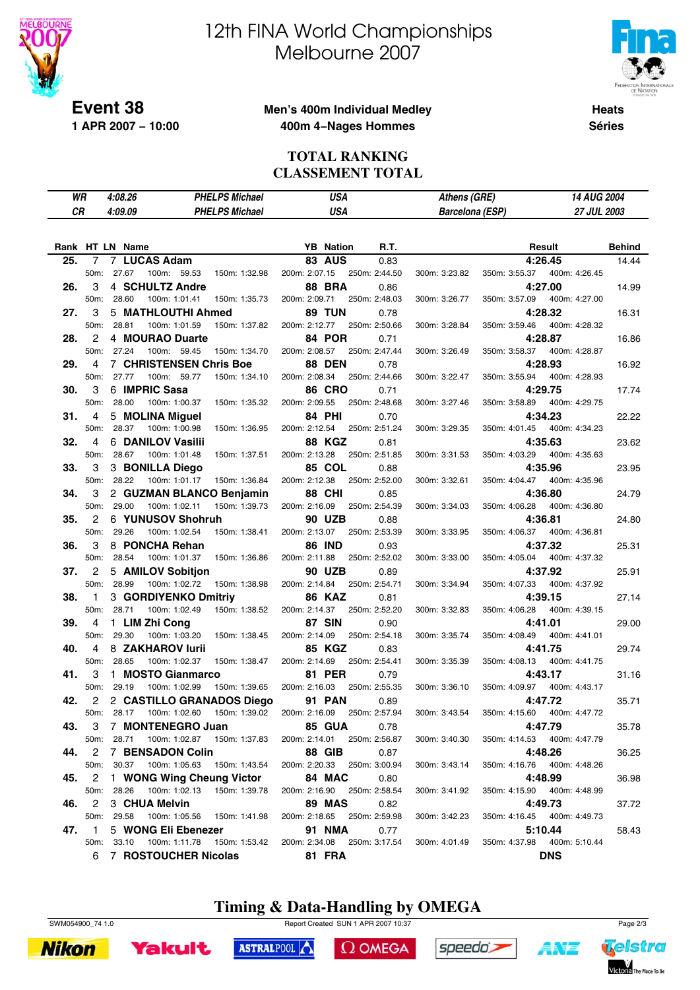

**1 APR 2007 − 10:00**

# 12th FINA World Championships Melbourne 2007



Telstra

Victoria The Place To Be

A¥Z

**Heats**

#### **Men's 400m Individual Medley 400m 4−Nages Hommes**

**Séries**

#### **TOTAL RANKING CLASSEMENT TOTAL**

|     | WR                | 4:08.26    |                         | <b>PHELPS Michael</b><br>USA |                                        |               | Athens (GRE)     |                             |  |                        | 14 AUG 2004   |                              |               |
|-----|-------------------|------------|-------------------------|------------------------------|----------------------------------------|---------------|------------------|-----------------------------|--|------------------------|---------------|------------------------------|---------------|
|     | СR                | 4:09.09    |                         |                              | <b>PHELPS Michael</b>                  |               | <b>USA</b>       |                             |  | <b>Barcelona (ESP)</b> |               | 27 JUL 2003                  |               |
|     |                   |            |                         |                              |                                        |               |                  |                             |  |                        |               |                              |               |
|     |                   |            |                         |                              |                                        |               |                  |                             |  |                        |               |                              |               |
|     |                   |            | Rank HT LN Name         |                              |                                        |               | <b>YB</b> Nation | R.T.                        |  |                        |               | Result                       | <b>Behind</b> |
| 25. | 7                 |            | 7 LUCAS Adam            |                              |                                        |               | <b>83 AUS</b>    | 0.83                        |  |                        |               | 4:26.45                      | 14.44         |
|     | 50 <sub>m</sub> : |            | 27.67                   | 100m: 59.53                  | 150m: 1:32.98                          | 200m: 2:07.15 |                  | 250m: 2:44.50               |  | 300m: 3:23.82          | 350m: 3:55.37 | 400m: 4:26.45                |               |
| 26. | З                 |            | 4 SCHULTZ Andre         |                              |                                        |               | <b>88 BRA</b>    | 0.86                        |  |                        |               | 4:27.00                      | 14.99         |
|     | 50 <sub>m</sub> : |            | 28.60                   | 100m: 1:01.41                | 150m: 1:35.73                          | 200m: 2:09.71 |                  | 250m: 2:48.03               |  | 300m: 3:26.77          | 350m: 3:57.09 | 400m: 4:27.00                |               |
| 27. | 3                 |            | 5 MATHLOUTHI Ahmed      |                              |                                        |               | <b>89 TUN</b>    | 0.78                        |  |                        |               | 4:28.32                      | 16.31         |
|     | 50m:              |            | 28.81                   | 100m: 1:01.59                | 150m: 1:37.82                          | 200m: 2:12.77 |                  | 250m: 2:50.66               |  | 300m: 3:28.84          | 350m: 3:59.46 | 400m: 4:28.32                |               |
| 28. | 2                 |            | 4 MOURAO Duarte         |                              |                                        |               | 84 POR           | 0.71                        |  |                        |               | 4:28.87                      | 16.86         |
|     | 50 <sub>m</sub> : |            | 27.24                   | 100m: 59.45                  | 150m: 1:34.70                          | 200m: 2:08.57 |                  | 250m: 2:47.44               |  | 300m: 3:26.49          | 350m: 3:58.37 | 400m: 4:28.87                |               |
| 29. | 4                 |            | 7 CHRISTENSEN Chris Boe |                              |                                        |               | <b>88 DEN</b>    | 0.78                        |  |                        |               | 4:28.93                      | 16.92         |
|     | 50m:              |            | 27.77                   | 100m: 59.77                  | 150m: 1:34.10                          | 200m: 2:08.34 |                  | 250m: 2:44.66               |  | 300m: 3:22.47          | 350m: 3:55.94 | 400m: 4:28.93                |               |
| 30. | 3                 |            | 6 IMPRIC Sasa           |                              |                                        |               | <b>86 CRO</b>    | 0.71                        |  |                        |               | 4:29.75                      | 17.74         |
|     | 50m:              |            | 28.00                   | 100m: 1:00.37                | 150m: 1:35.32                          | 200m: 2:09.55 |                  | 250m: 2:48.68               |  | 300m: 3:27.46          | 350m: 3:58.89 | 400m: 4:29.75                |               |
| 31. | 4                 |            | 5 MOLINA Miguel         |                              |                                        |               | 84 PHI           | 0.70                        |  |                        |               | 4:34.23                      | 22.22         |
|     | 50m:              |            | 28.37                   | 100m: 1:00.98                | 150m: 1:36.95                          | 200m: 2:12.54 |                  | 250m: 2:51.24               |  | 300m: 3:29.35          | 350m: 4:01.45 | 400m: 4:34.23                |               |
| 32. | 4                 |            | 6 DANILOV Vasilii       |                              |                                        |               | <b>88 KGZ</b>    | 0.81                        |  |                        |               | 4:35.63                      | 23.62         |
|     | 50 <sub>m</sub> : |            | 28.67                   | 100m: 1:01.48                | 150m: 1:37.51                          | 200m: 2:13.28 |                  | 250m: 2:51.85               |  | 300m: 3:31.53          | 350m: 4:03.29 | 400m: 4:35.63                |               |
| 33. | 3                 |            | 3 BONILLA Diego         |                              |                                        |               | <b>85 COL</b>    | 0.88                        |  |                        |               | 4:35.96                      | 23.95         |
|     | 50m:              |            | 28.22                   | 100m: 1:01.17                | 150m: 1:36.84                          | 200m: 2:12.38 |                  | 250m: 2:52.00               |  | 300m: 3:32.61          | 350m: 4:04.47 | 400m: 4:35.96                |               |
| 34. | 3                 |            |                         |                              | 2 GUZMAN BLANCO Benjamin               |               | 88 CHI           | 0.85                        |  |                        |               | 4:36.80                      | 24.79         |
|     | 50m:              |            | 29.00<br>100m: 1:02.11  |                              | 150m: 1:39.73                          | 200m: 2:16.09 |                  | 250m: 2:54.39               |  | 300m: 3:34.03          | 350m: 4:06.28 | 400m: 4:36.80                |               |
| 35. | 2                 |            | 6 YUNUSOV Shohruh       |                              |                                        |               | <b>90 UZB</b>    | 0.88                        |  |                        |               | 4:36.81                      | 24.80         |
|     | 50m:              |            | 29.26                   | 100m: 1:02.54                | 150m: 1:38.41                          | 200m: 2:13.07 |                  | 250m: 2:53.39               |  | 300m: 3:33.95          | 350m: 4:06.37 | 400m: 4:36.81                |               |
| 36. | 3                 |            | 8 PONCHA Rehan          |                              |                                        |               | <b>86 IND</b>    | 0.93                        |  |                        |               | 4:37.32                      | 25.31         |
|     | 50m:              |            | 28.54                   | 100m: 1:01.37                | 150m: 1:36.86                          | 200m: 2:11.88 |                  | 250m: 2:52.02               |  | 300m: 3:33.00          | 350m: 4:05.04 | 400m: 4:37.32                |               |
| 37. | 2                 |            | 5 AMILOV Sobition       |                              |                                        |               | 90 UZB           | 0.89                        |  |                        |               | 4:37.92                      | 25.91         |
|     | 50 <sub>m</sub> : |            | 28.99                   | 100m: 1:02.72                | 150m: 1:38.98                          | 200m: 2:14.84 |                  | 250m: 2:54.71               |  | 300m: 3:34.94          | 350m: 4:07.33 | 400m: 4:37.92                |               |
| 38. | 1                 |            | 3 GORDIYENKO Dmitriy    |                              |                                        |               | <b>86 KAZ</b>    | 0.81                        |  |                        |               | 4:39.15                      | 27.14         |
|     | 50 <sub>m</sub> : |            | 28.71                   | 100m: 1:02.49                | 150m: 1:38.52                          | 200m: 2:14.37 |                  | 250m: 2:52.20               |  | 300m: 3:32.83          | 350m: 4:06.28 | 400m: 4:39.15                |               |
| 39. | 4                 |            | 1 LIM Zhi Cong          |                              |                                        |               | <b>87 SIN</b>    | 0.90                        |  |                        |               | 4:41.01                      | 29.00         |
|     | 50m:              |            | 29.30                   | 100m: 1:03.20                | 150m: 1:38.45                          | 200m: 2:14.09 |                  | 250m: 2:54.18               |  | 300m: 3:35.74          | 350m: 4:08.49 | 400m: 4:41.01                |               |
| 40. | 4                 |            | 8 ZAKHAROV lurii        |                              |                                        |               | 85 KGZ           | 0.83                        |  |                        |               | 4:41.75                      | 29.74         |
|     | 50m:              |            | 28.65                   | 100m: 1:02.37                | 150m: 1:38.47                          | 200m: 2:14.69 |                  | 250m: 2:54.41               |  | 300m: 3:35.39          | 350m: 4:08.13 | 400m: 4:41.75                |               |
| 41. | 3                 |            | 1 MOSTO Gianmarco       |                              |                                        |               | <b>81 PER</b>    | 0.79                        |  |                        |               | 4:43.17                      | 31.16         |
|     | 50m:              |            | 29.19                   | 100m: 1:02.99                | 150m: 1:39.65                          | 200m: 2:16.03 |                  | 250m: 2:55.35               |  | 300m: 3:36.10          | 350m: 4:09.97 | 400m: 4:43.17                |               |
| 42. | 2                 |            |                         |                              | 2 CASTILLO GRANADOS Diego              |               | <b>91 PAN</b>    | 0.89                        |  |                        |               | 4:47.72                      | 35.71         |
|     |                   |            |                         |                              | 50m: 28.17 100m: 1:02.60 150m: 1:39.02 | 200m: 2:16.09 |                  | 250m: 2:57.94               |  | 300m: 3:43.54          | 350m: 4:15.60 | 400m: 4:47.72                |               |
| 43. |                   |            | 3 7 MONTENEGRO Juan     |                              |                                        |               | <b>85 GUA</b>    | 0.78                        |  |                        |               | 4:47.79                      | 35.78         |
|     | 50m:              | 28.71      |                         |                              | 100m: 1:02.87  150m: 1:37.83           | 200m: 2:14.01 |                  | 250m: 2:56.87               |  | 300m: 3:40.30          | 350m: 4:14.53 | 400m: 4:47.79                |               |
| 44. | 2                 |            | 7 BENSADON Colin        |                              |                                        |               | <b>88 GIB</b>    | 0.87                        |  |                        |               | 4:48.26                      | 36.25         |
|     | 50 <sub>m</sub> : |            | 30.37<br>100m: 1:05.63  |                              | 150m: 1:43.54                          | 200m: 2:20.33 |                  | 250m: 3:00.94               |  | 300m: 3:43.14          |               | 350m: 4:16.76  400m: 4:48.26 |               |
| 45. | 2                 |            |                         |                              | 1 WONG Wing Cheung Victor              |               | 84 MAC           | 0.80                        |  |                        |               | 4:48.99                      | 36.98         |
|     | 50m:              | 28.26      |                         | 100m: 1:02.13                | 150m: 1:39.78                          | 200m: 2:16.90 |                  | 250m: 2:58.54               |  | 300m: 3:41.92          | 350m: 4:15.90 | 400m: 4:48.99                |               |
| 46. | 2                 |            | 3 CHUA Melvin           |                              |                                        |               | 89 MAS           | 0.82                        |  |                        |               | 4:49.73                      | 37.72         |
|     |                   | 50m: 29.58 |                         | 100m: 1:05.56                | 150m: 1:41.98                          | 200m: 2:18.65 |                  | 250m: 2:59.98               |  | 300m: 3:42.23          | 350m: 4:16.45 | 400m: 4:49.73                |               |
| 47. | 1.                |            | 5 WONG Eli Ebenezer     |                              |                                        |               | 91 NMA           | 0.77                        |  |                        |               | 5:10.44                      | 58.43         |
|     | 50 <sub>m</sub> : |            | 33.10                   |                              | 100m: 1:11.78  150m: 1:53.42           |               |                  | 200m: 2:34.08 250m: 3:17.54 |  | 300m: 4:01.49          |               | 350m: 4:37.98  400m: 5:10.44 |               |
|     | 6.                |            | 7 ROSTOUCHER Nicolas    |                              |                                        |               | <b>81 FRA</b>    |                             |  |                        |               | <b>DNS</b>                   |               |

### **Timing & Data-Handling by OMEGA**

 $\Omega$  OMEGA

speedo;

ASTRALPOOL



**Yakult** 

**Nikon**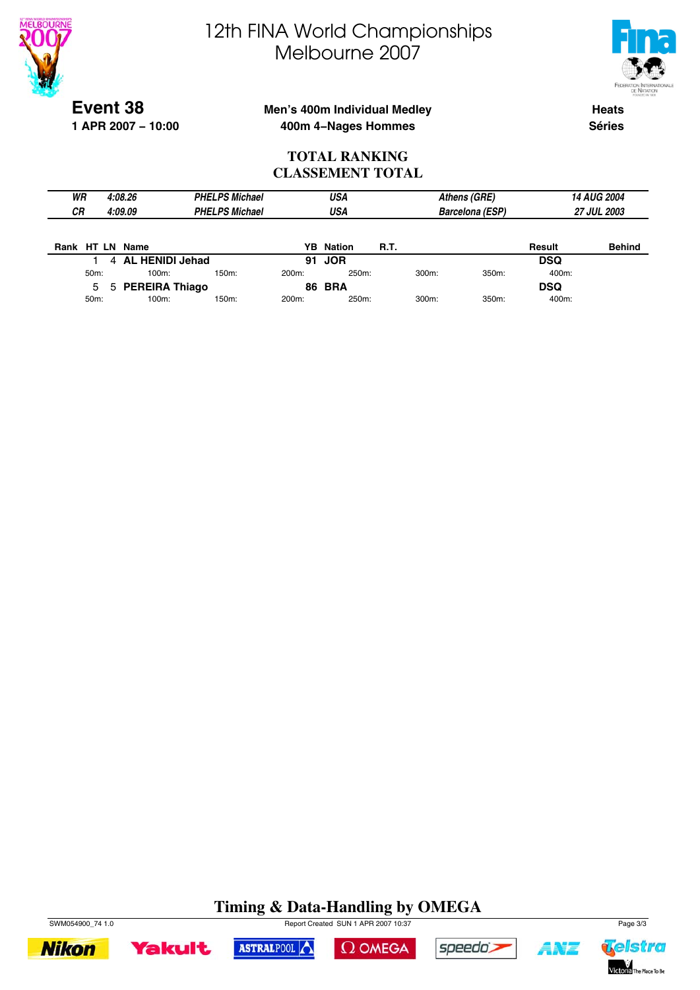



**Event 38 1 APR 2007 − 10:00**

### **Men's 400m Individual Medley 400m 4−Nages Hommes**

**Heats Séries**

#### **TOTAL RANKING CLASSEMENT TOTAL**

| WR        |                                 |  | 4:08.26                |  | <b>PHELPS Michael</b> |                    | USA              |             |            | Athens (GRE)           |            | 14 AUG 2004        |
|-----------|---------------------------------|--|------------------------|--|-----------------------|--------------------|------------------|-------------|------------|------------------------|------------|--------------------|
| <b>CR</b> | 4:09.09                         |  |                        |  | <b>PHELPS Michael</b> |                    | USA              |             |            | <b>Barcelona (ESP)</b> |            | <b>27 JUL 2003</b> |
|           |                                 |  |                        |  |                       |                    |                  |             |            |                        |            |                    |
| Rank      |                                 |  | HT LN Name             |  |                       |                    | <b>YB</b> Nation | <b>R.T.</b> |            |                        | Result     | <b>Behind</b>      |
|           |                                 |  | <b>AL HENIDI Jehad</b> |  |                       |                    | 91 JOR           |             |            |                        | <b>DSQ</b> |                    |
|           | 50m:                            |  | 100m:                  |  | 150m:                 | 200 <sub>m</sub> : | 250m:            |             | 300m:      | 350m:                  | 400m:      |                    |
|           | <b>PEREIRA Thiago</b><br>5<br>5 |  |                        |  | <b>86 BRA</b>         |                    |                  |             | <b>DSQ</b> |                        |            |                    |
|           | 50m:                            |  | 100m:                  |  | 150m:                 | 200m:              | 250m:            |             | 300m:      | 350m:                  | 400m:      |                    |

### **Timing & Data-Handling by OMEGA**





ASTRALPOOL





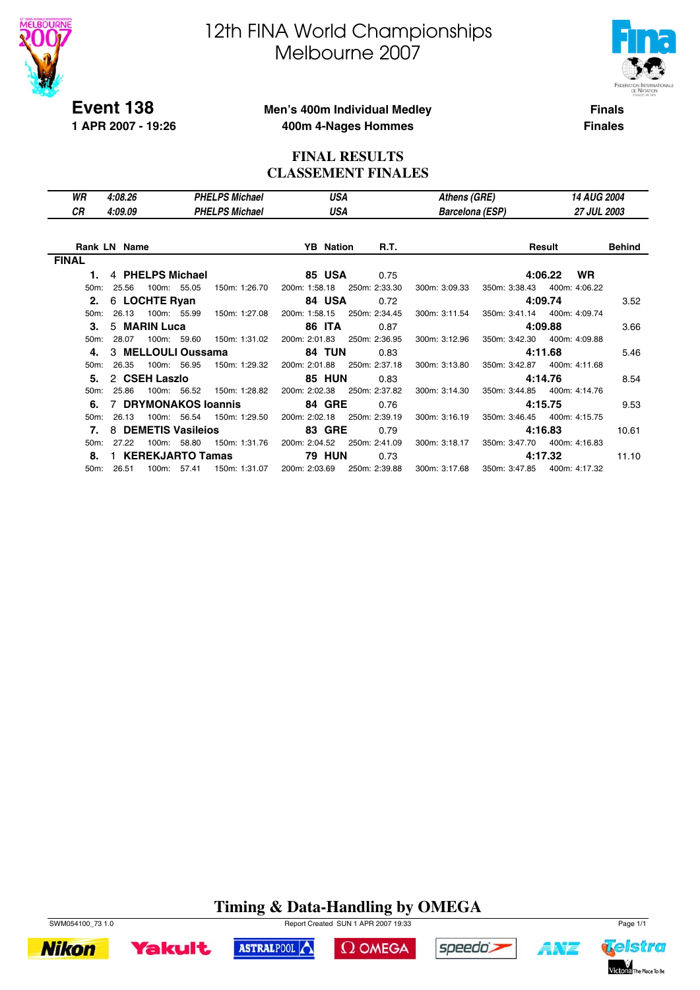



**Event 138 1 APR 2007 - 19:26**

#### **Men's 400m Individual Medley 400m 4-Nages Hommes**

**Finals Finales**

#### **FINAL RESULTS CLASSEMENT FINALES**

| WR                | 4:08.26              |             | <b>PHELPS Michael</b>     |                  | USA           | Athens (GRE)           |               | 14 AUG 2004                  |        |
|-------------------|----------------------|-------------|---------------------------|------------------|---------------|------------------------|---------------|------------------------------|--------|
| СR                | 4:09.09              |             | <b>PHELPS Michael</b>     |                  | USA           | <b>Barcelona (ESP)</b> |               | <b>27 JUL 2003</b>           |        |
|                   |                      |             |                           |                  |               |                        |               |                              |        |
|                   | <b>Rank LN Name</b>  |             |                           | <b>YB</b> Nation | R.T.          |                        |               | Result                       | Behind |
| <b>FINAL</b>      |                      |             |                           |                  |               |                        |               |                              |        |
| 1.                | 4 PHELPS Michael     |             |                           | <b>85 USA</b>    | 0.75          |                        |               | <b>WR</b><br>4:06.22         |        |
| $50m$ :           | 25.56                | 100m: 55.05 | 150m: 1:26.70             | 200m: 1:58.18    | 250m: 2:33.30 | 300m: 3:09.33          | 350m: 3:38.43 | 400m: 4:06.22                |        |
|                   | 2. 6 LOCHTE Ryan     |             |                           | 84 USA           | 0.72          |                        |               | 4:09.74                      | 3.52   |
| 50 <sub>m</sub> : | 26.13                | 100m: 55.99 | 150m: 1:27.08             | 200m: 1:58.15    | 250m: 2:34.45 | 300m: 3:11.54          |               | 350m: 3:41.14 400m: 4:09.74  |        |
| 3.                | 5 MARIN Luca         |             |                           | <b>86 ITA</b>    | 0.87          |                        |               | 4:09.88                      | 3.66   |
| $50m$ :           | 28.07                | 100m: 59.60 | 150m: 1:31.02             | 200m: 2:01.83    | 250m: 2:36.95 | 300m: 3:12.96          |               | 350m: 3:42.30  400m: 4:09.88 |        |
| 4.                | 3 MELLOULI Oussama   |             |                           | <b>84 TUN</b>    | 0.83          |                        |               | 4:11.68                      | 5.46   |
| $50m$ :           | 26.35                | 100m: 56.95 | 150m: 1:29.32             | 200m: 2:01.88    | 250m: 2:37.18 | 300m: 3:13.80          |               | 350m: 3:42.87  400m: 4:11.68 |        |
| 5.                | 2 CSEH Laszlo        |             |                           | <b>85 HUN</b>    | 0.83          |                        |               | 4:14.76                      | 8.54   |
| 50m:              | 25.86                |             | 100m: 56.52 150m: 1:28.82 | 200m: 2:02.38    | 250m: 2:37.82 | 300m: 3:14.30          |               | 350m: 3:44.85 400m: 4:14.76  |        |
| 6.                | 7 DRYMONAKOS Ioannis |             |                           | <b>84 GRE</b>    | 0.76          |                        |               | 4:15.75                      | 9.53   |
| 50 <sub>m</sub> : | 26.13                | 100m: 56.54 | 150m: 1:29.50             | 200m: 2:02.18    | 250m: 2:39.19 | 300m: 3:16.19          |               | 350m: 3:46.45 400m: 4:15.75  |        |
| 7.                | 8 DEMETIS Vasileios  |             |                           | <b>83 GRE</b>    | 0.79          |                        |               | 4:16.83                      | 10.61  |
| 50 <sub>m</sub> : | 27.22                | 100m: 58.80 | 150m: 1:31.76             | 200m: 2:04.52    | 250m: 2:41.09 | 300m: 3:18.17          |               | 350m: 3:47.70 400m: 4:16.83  |        |
| 8.                | 1 KEREKJARTO Tamas   |             |                           | <b>79 HUN</b>    | 0.73          |                        |               | 4:17.32                      | 11.10  |
|                   | 50m: 26.51           | 100m: 57.41 | 150m: 1:31.07             | 200m: 2:03.69    | 250m: 2:39.88 | 300m: 3:17.68          |               | 350m: 3:47.85 400m: 4:17.32  |        |

### **Timing & Data-Handling by OMEGA**



**Yakult** ASTRALPOOL  $\Omega$  OMEGA



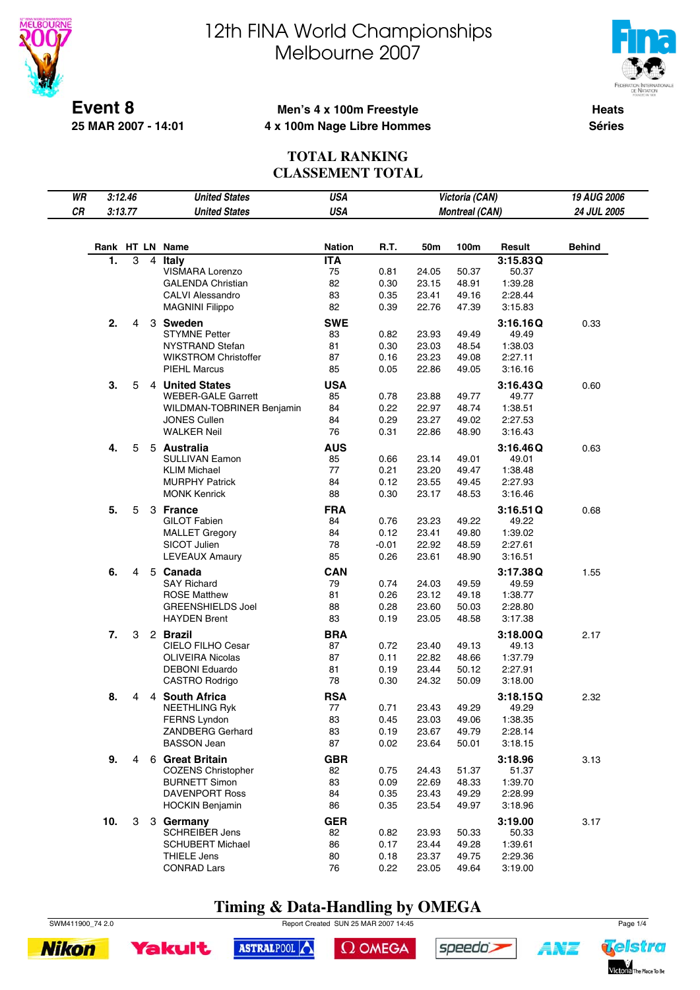

**25 MAR 2007 - 14:01**

# 12th FINA World Championships Melbourne 2007



**Heats Séries**

#### **Men's 4 x 100m Freestyle 4 x 100m Nage Libre Hommes**

#### **TOTAL RANKING CLASSEMENT TOTAL**

| WR |     | 3:12.46<br>3:13.77 |   | <b>United States</b>                                  | <b>USA</b>       |                 |                | Victoria (CAN)        |                    | 19 AUG 2006   |
|----|-----|--------------------|---|-------------------------------------------------------|------------------|-----------------|----------------|-----------------------|--------------------|---------------|
| CR |     |                    |   | <b>United States</b>                                  | <b>USA</b>       |                 |                | <b>Montreal (CAN)</b> |                    | 24 JUL 2005   |
|    |     |                    |   |                                                       |                  |                 |                |                       |                    |               |
|    |     |                    |   | Rank HT LN Name                                       | <b>Nation</b>    | R.T.            | 50m            | 100m                  | Result             | <b>Behind</b> |
|    | 1.  | 3                  | 4 | Italy                                                 | <b>ITA</b>       |                 |                |                       | 3:15.83Q           |               |
|    |     |                    |   | VISMARA Lorenzo                                       | 75               | 0.81            | 24.05          | 50.37                 | 50.37              |               |
|    |     |                    |   | <b>GALENDA Christian</b>                              | 82               | 0.30            | 23.15          | 48.91                 | 1:39.28            |               |
|    |     |                    |   | <b>CALVI Alessandro</b>                               | 83               | 0.35            | 23.41          | 49.16                 | 2:28.44            |               |
|    |     |                    |   | <b>MAGNINI Filippo</b>                                | 82               | 0.39            | 22.76          | 47.39                 | 3:15.83            |               |
|    | 2.  | 4                  |   | 3 Sweden                                              | <b>SWE</b>       |                 |                |                       | 3:16.16Q           | 0.33          |
|    |     |                    |   | <b>STYMNE Petter</b>                                  | 83<br>81         | 0.82            | 23.93          | 49.49                 | 49.49              |               |
|    |     |                    |   | <b>NYSTRAND Stefan</b><br><b>WIKSTROM Christoffer</b> | 87               | 0.30<br>0.16    | 23.03<br>23.23 | 48.54<br>49.08        | 1:38.03<br>2:27.11 |               |
|    |     |                    |   | <b>PIEHL Marcus</b>                                   | 85               | 0.05            | 22.86          | 49.05                 | 3:16.16            |               |
|    |     |                    |   |                                                       |                  |                 |                |                       |                    |               |
|    | 3.  | 5                  |   | 4 United States<br><b>WEBER-GALE Garrett</b>          | <b>USA</b><br>85 | 0.78            | 23.88          | 49.77                 | 3:16.43Q<br>49.77  | 0.60          |
|    |     |                    |   | WILDMAN-TOBRINER Benjamin                             | 84               | 0.22            | 22.97          | 48.74                 | 1:38.51            |               |
|    |     |                    |   | JONES Cullen                                          | 84               | 0.29            | 23.27          | 49.02                 | 2:27.53            |               |
|    |     |                    |   | <b>WALKER Neil</b>                                    | 76               | 0.31            | 22.86          | 48.90                 | 3:16.43            |               |
|    | 4.  | 5                  |   | 5 Australia                                           | <b>AUS</b>       |                 |                |                       | 3:16.46Q           | 0.63          |
|    |     |                    |   | <b>SULLIVAN Eamon</b>                                 | 85               | 0.66            | 23.14          | 49.01                 | 49.01              |               |
|    |     |                    |   | <b>KLIM Michael</b>                                   | 77               | 0.21            | 23.20          | 49.47                 | 1:38.48            |               |
|    |     |                    |   | <b>MURPHY Patrick</b>                                 | 84               | 0.12            | 23.55          | 49.45                 | 2:27.93            |               |
|    |     |                    |   | <b>MONK Kenrick</b>                                   | 88               | 0.30            | 23.17          | 48.53                 | 3:16.46            |               |
|    | 5.  | 5                  |   | 3 France                                              | <b>FRA</b>       |                 |                |                       | 3:16.51Q           | 0.68          |
|    |     |                    |   | <b>GILOT Fabien</b>                                   | 84               | 0.76            | 23.23          | 49.22                 | 49.22              |               |
|    |     |                    |   | <b>MALLET Gregory</b><br>SICOT Julien                 | 84<br>78         | 0.12<br>$-0.01$ | 23.41<br>22.92 | 49.80<br>48.59        | 1:39.02<br>2:27.61 |               |
|    |     |                    |   | <b>LEVEAUX Amaury</b>                                 | 85               | 0.26            | 23.61          | 48.90                 | 3:16.51            |               |
|    | 6.  | 4                  |   | 5 Canada                                              | <b>CAN</b>       |                 |                |                       | 3:17.38Q           | 1.55          |
|    |     |                    |   | <b>SAY Richard</b>                                    | 79               | 0.74            | 24.03          | 49.59                 | 49.59              |               |
|    |     |                    |   | <b>ROSE Matthew</b>                                   | 81               | 0.26            | 23.12          | 49.18                 | 1:38.77            |               |
|    |     |                    |   | <b>GREENSHIELDS Joel</b>                              | 88               | 0.28            | 23.60          | 50.03                 | 2:28.80            |               |
|    |     |                    |   | <b>HAYDEN Brent</b>                                   | 83               | 0.19            | 23.05          | 48.58                 | 3:17.38            |               |
|    | 7.  | 3                  |   | 2 Brazil                                              | <b>BRA</b>       |                 |                |                       | 3:18.00Q           | 2.17          |
|    |     |                    |   | <b>CIELO FILHO Cesar</b>                              | 87               | 0.72            | 23.40          | 49.13                 | 49.13              |               |
|    |     |                    |   | <b>OLIVEIRA Nicolas</b>                               | 87               | 0.11            | 22.82          | 48.66                 | 1:37.79            |               |
|    |     |                    |   | <b>DEBONI Eduardo</b>                                 | 81               | 0.19            | 23.44          | 50.12                 | 2:27.91            |               |
|    |     |                    |   | <b>CASTRO Rodrigo</b>                                 | 78               | 0.30            | 24.32          | 50.09                 | 3:18.00            |               |
|    | 8.  | 4                  |   | 4 South Africa                                        | <b>RSA</b>       |                 |                |                       | 3:18.15Q           | 2.32          |
|    |     |                    |   | <b>NEETHLING Ryk</b><br><b>FERNS Lyndon</b>           | 77<br>83         | 0.71<br>0.45    | 23.43<br>23.03 | 49.29<br>49.06        | 49.29<br>1:38.35   |               |
|    |     |                    |   | <b>ZANDBERG Gerhard</b>                               | 83               | 0.19            | 23.67          | 49.79                 | 2:28.14            |               |
|    |     |                    |   | <b>BASSON Jean</b>                                    | 87               | 0.02            | 23.64          | 50.01                 | 3:18.15            |               |
|    | 9.  | 4                  |   | 6 Great Britain                                       | <b>GBR</b>       |                 |                |                       | 3:18.96            | 3.13          |
|    |     |                    |   | <b>COZENS Christopher</b>                             | 82               | 0.75            | 24.43          | 51.37                 | 51.37              |               |
|    |     |                    |   | <b>BURNETT Simon</b>                                  | 83               | 0.09            | 22.69          | 48.33                 | 1:39.70            |               |
|    |     |                    |   | <b>DAVENPORT Ross</b>                                 | 84               | 0.35            | 23.43          | 49.29                 | 2:28.99            |               |
|    |     |                    |   | <b>HOCKIN Benjamin</b>                                | 86               | 0.35            | 23.54          | 49.97                 | 3:18.96            |               |
|    | 10. | 3                  |   | 3 Germany                                             | <b>GER</b>       |                 |                |                       | 3:19.00            | 3.17          |
|    |     |                    |   | <b>SCHREIBER Jens</b>                                 | 82               | 0.82            | 23.93          | 50.33                 | 50.33              |               |
|    |     |                    |   | <b>SCHUBERT Michael</b>                               | 86               | 0.17            | 23.44          | 49.28                 | 1:39.61            |               |
|    |     |                    |   | THIELE Jens<br><b>CONRAD Lars</b>                     | 80<br>76         | 0.18<br>0.22    | 23.37<br>23.05 | 49.75<br>49.64        | 2:29.36<br>3:19.00 |               |
|    |     |                    |   |                                                       |                  |                 |                |                       |                    |               |

### **Timing & Data-Handling by OMEGA**

SWM411900\_74 2.0 Report Created SUN 25 MAR 2007 14:45 Page 1/4



 $\Omega$  OMEGA





**AMT**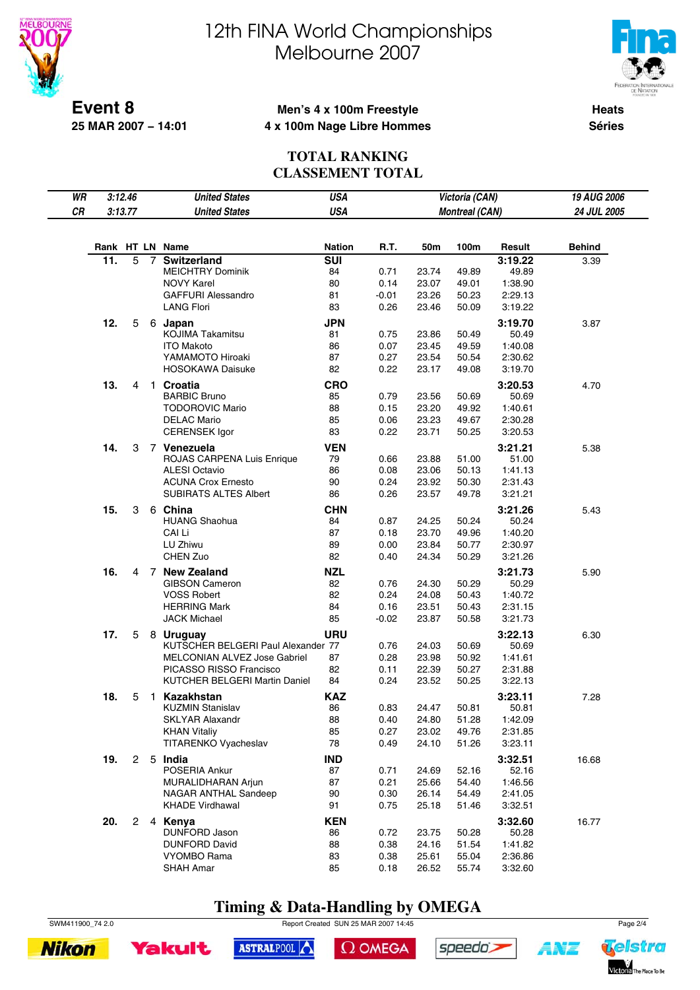



**Event 8 25 MAR 2007 − 14:01**

#### **Men's 4 x 100m Freestyle 4 x 100m Nage Libre Hommes**

**Heats Séries**

#### **TOTAL RANKING CLASSEMENT TOTAL**

| WR |     | 3:12.46        |                | <b>United States</b>                                               | <b>USA</b>       |                 |                | Victoria (CAN)        |                    | 19 AUG 2006   |
|----|-----|----------------|----------------|--------------------------------------------------------------------|------------------|-----------------|----------------|-----------------------|--------------------|---------------|
| CR |     | 3:13.77        |                | <b>United States</b>                                               | <b>USA</b>       |                 |                | <b>Montreal (CAN)</b> |                    | 24 JUL 2005   |
|    |     |                |                |                                                                    |                  |                 |                |                       |                    |               |
|    |     |                |                | Rank HT LN Name                                                    | <b>Nation</b>    | R.T.            | 50m            | 100m                  | Result             | <b>Behind</b> |
|    | 11. | 5              | $\overline{7}$ | <b>Switzerland</b>                                                 | <b>SUI</b>       |                 |                |                       | 3:19.22            | 3.39          |
|    |     |                |                | <b>MEICHTRY Dominik</b>                                            | 84               | 0.71            | 23.74          | 49.89                 | 49.89              |               |
|    |     |                |                | <b>NOVY Karel</b>                                                  | 80               | 0.14            | 23.07          | 49.01                 | 1:38.90            |               |
|    |     |                |                | <b>GAFFURI Alessandro</b>                                          | 81               | $-0.01$         | 23.26          | 50.23                 | 2:29.13            |               |
|    |     |                |                | <b>LANG Flori</b>                                                  | 83               | 0.26            | 23.46          | 50.09                 | 3:19.22            |               |
|    | 12. | 5              |                | 6 Japan                                                            | <b>JPN</b>       |                 |                |                       | 3:19.70            | 3.87          |
|    |     |                |                | <b>KOJIMA Takamitsu</b>                                            | 81               | 0.75            | 23.86          | 50.49                 | 50.49              |               |
|    |     |                |                | <b>ITO Makoto</b><br>YAMAMOTO Hiroaki                              | 86<br>87         | 0.07<br>0.27    | 23.45<br>23.54 | 49.59<br>50.54        | 1:40.08<br>2:30.62 |               |
|    |     |                |                | <b>HOSOKAWA Daisuke</b>                                            | 82               | 0.22            | 23.17          | 49.08                 | 3:19.70            |               |
|    |     |                |                |                                                                    |                  |                 |                |                       |                    |               |
|    | 13. | 4              |                | 1 Croatia<br><b>BARBIC Bruno</b>                                   | <b>CRO</b><br>85 | 0.79            | 23.56          | 50.69                 | 3:20.53<br>50.69   | 4.70          |
|    |     |                |                | <b>TODOROVIC Mario</b>                                             | 88               | 0.15            | 23.20          | 49.92                 | 1:40.61            |               |
|    |     |                |                | <b>DELAC Mario</b>                                                 | 85               | 0.06            | 23.23          | 49.67                 | 2:30.28            |               |
|    |     |                |                | <b>CERENSEK Igor</b>                                               | 83               | 0.22            | 23.71          | 50.25                 | 3:20.53            |               |
|    | 14. | 3              |                | 7 Venezuela                                                        | <b>VEN</b>       |                 |                |                       | 3:21.21            | 5.38          |
|    |     |                |                | ROJAS CARPENA Luis Enrique                                         | 79               | 0.66            | 23.88          | 51.00                 | 51.00              |               |
|    |     |                |                | <b>ALESI Octavio</b>                                               | 86               | 0.08            | 23.06          | 50.13                 | 1:41.13            |               |
|    |     |                |                | <b>ACUNA Crox Ernesto</b>                                          | 90               | 0.24            | 23.92          | 50.30                 | 2:31.43            |               |
|    |     |                |                | <b>SUBIRATS ALTES Albert</b>                                       | 86               | 0.26            | 23.57          | 49.78                 | 3:21.21            |               |
|    | 15. | 3              |                | 6 China                                                            | <b>CHN</b>       |                 |                |                       | 3:21.26            | 5.43          |
|    |     |                |                | <b>HUANG Shaohua</b>                                               | 84               | 0.87            | 24.25          | 50.24                 | 50.24              |               |
|    |     |                |                | CAI Li                                                             | 87               | 0.18            | 23.70          | 49.96                 | 1:40.20            |               |
|    |     |                |                | LU Zhiwu                                                           | 89               | 0.00            | 23.84          | 50.77                 | 2:30.97            |               |
|    |     |                |                | CHEN Zuo                                                           | 82               | 0.40            | 24.34          | 50.29                 | 3:21.26            |               |
|    | 16. | 4              |                | 7 New Zealand                                                      | <b>NZL</b>       |                 |                |                       | 3:21.73            | 5.90          |
|    |     |                |                | <b>GIBSON Cameron</b>                                              | 82               | 0.76            | 24.30          | 50.29                 | 50.29              |               |
|    |     |                |                | <b>VOSS Robert</b>                                                 | 82               | 0.24            | 24.08          | 50.43                 | 1:40.72            |               |
|    |     |                |                | <b>HERRING Mark</b><br><b>JACK Michael</b>                         | 84<br>85         | 0.16<br>$-0.02$ | 23.51          | 50.43                 | 2:31.15<br>3:21.73 |               |
|    |     |                |                |                                                                    |                  |                 | 23.87          | 50.58                 |                    |               |
|    | 17. | 5              |                | 8 Uruguay                                                          | <b>URU</b>       |                 |                |                       | 3:22.13            | 6.30          |
|    |     |                |                | KUTSCHER BELGERI Paul Alexander 77<br>MELCONIAN ALVEZ Jose Gabriel | 87               | 0.76<br>0.28    | 24.03<br>23.98 | 50.69<br>50.92        | 50.69<br>1:41.61   |               |
|    |     |                |                | PICASSO RISSO Francisco                                            | 82               | 0.11            | 22.39          | 50.27                 | 2:31.88            |               |
|    |     |                |                | KUTCHER BELGERI Martin Daniel                                      | 84               | 0.24            | 23.52          | 50.25                 | 3:22.13            |               |
|    | 18. |                |                | 1 Kazakhstan                                                       | <b>KAZ</b>       |                 |                |                       | 3:23.11            |               |
|    |     | 5              |                | <b>KUZMIN Stanislav</b>                                            | 86               | 0.83            | 24.47          | 50.81                 | 50.81              | 7.28          |
|    |     |                |                | <b>SKLYAR Alaxandr</b>                                             | 88               | 0.40            | 24.80          | 51.28                 | 1:42.09            |               |
|    |     |                |                | <b>KHAN Vitaliy</b>                                                | 85               | 0.27            | 23.02          | 49.76                 | 2:31.85            |               |
|    |     |                |                | TITARENKO Vyacheslav                                               | 78               | 0.49            | 24.10          | 51.26                 | 3:23.11            |               |
|    | 19. | $\mathbf{2}$   |                | 5 India                                                            | <b>IND</b>       |                 |                |                       | 3:32.51            | 16.68         |
|    |     |                |                | POSERIA Ankur                                                      | 87               | 0.71            | 24.69          | 52.16                 | 52.16              |               |
|    |     |                |                | MURALIDHARAN Arjun                                                 | 87               | 0.21            | 25.66          | 54.40                 | 1:46.56            |               |
|    |     |                |                | NAGAR ANTHAL Sandeep                                               | 90               | 0.30            | 26.14          | 54.49                 | 2:41.05            |               |
|    |     |                |                | <b>KHADE Virdhawal</b>                                             | 91               | 0.75            | 25.18          | 51.46                 | 3:32.51            |               |
|    | 20. | $\overline{2}$ |                | 4 Kenya                                                            | <b>KEN</b>       |                 |                |                       | 3:32.60            | 16.77         |
|    |     |                |                | DUNFORD Jason                                                      | 86               | 0.72            | 23.75          | 50.28                 | 50.28              |               |
|    |     |                |                | <b>DUNFORD David</b>                                               | 88               | 0.38            | 24.16          | 51.54                 | 1:41.82            |               |
|    |     |                |                | <b>VYOMBO Rama</b>                                                 | 83               | 0.38            | 25.61          | 55.04                 | 2:36.86            |               |
|    |     |                |                | <b>SHAH Amar</b>                                                   | 85               | 0.18            | 26.52          | 55.74                 | 3:32.60            |               |

### **Timing & Data-Handling by OMEGA**

SWM411900\_74 2.0 Report Created SUN 25 MAR 2007 14:45 Page 2/4





 $\Omega$  OMEGA





ANT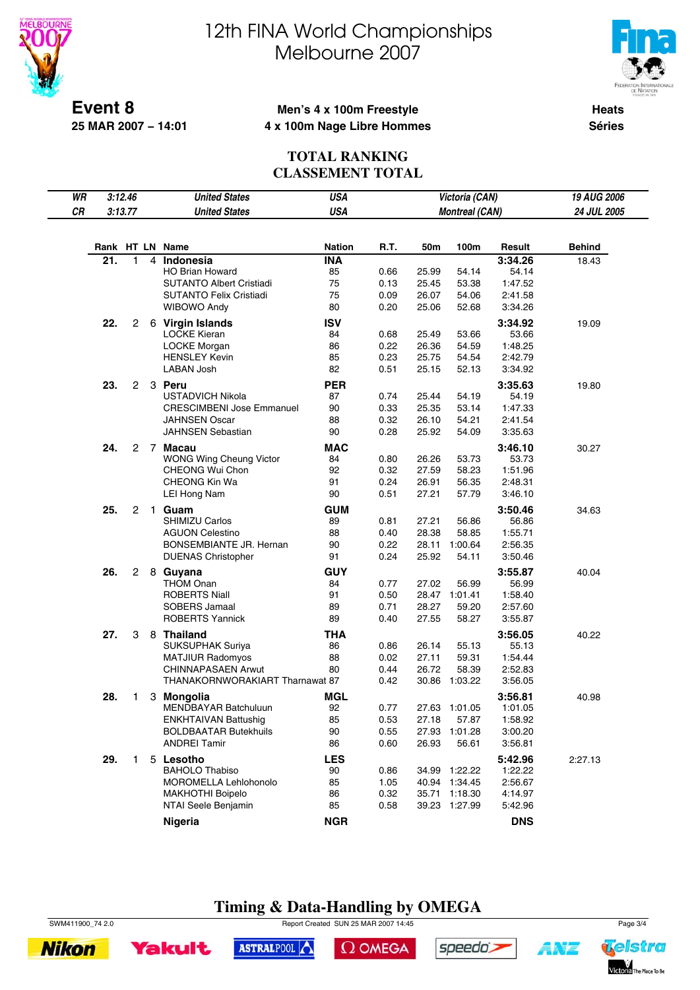



**Event 8 25 MAR 2007 − 14:01**

#### **Men's 4 x 100m Freestyle 4 x 100m Nage Libre Hommes**

**Heats Séries**

#### **TOTAL RANKING CLASSEMENT TOTAL**

| WR<br>CR | 3:12.46<br>3:13.77 |                |              | <b>United States</b><br><b>United States</b> | <b>USA</b><br>Victoria (CAN)<br><b>USA</b><br><b>Montreal (CAN)</b> |      |       |               |            | 19 AUG 2006<br>24 JUL 2005 |
|----------|--------------------|----------------|--------------|----------------------------------------------|---------------------------------------------------------------------|------|-------|---------------|------------|----------------------------|
|          |                    |                |              | Rank HT LN Name                              | <b>Nation</b>                                                       | R.T. | 50m   | 100m          | Result     | <b>Behind</b>              |
|          | 21.                | $\mathbf{1}$   | 4            | Indonesia                                    | <b>INA</b>                                                          |      |       |               | 3:34.26    | 18.43                      |
|          |                    |                |              | <b>HO Brian Howard</b>                       | 85                                                                  | 0.66 | 25.99 | 54.14         | 54.14      |                            |
|          |                    |                |              | <b>SUTANTO Albert Cristiadi</b>              | 75                                                                  | 0.13 | 25.45 | 53.38         | 1:47.52    |                            |
|          |                    |                |              | <b>SUTANTO Felix Cristiadi</b>               | 75                                                                  | 0.09 | 26.07 | 54.06         | 2:41.58    |                            |
|          |                    |                |              | <b>WIBOWO Andy</b>                           | 80                                                                  | 0.20 | 25.06 | 52.68         | 3:34.26    |                            |
|          | 22.                | 2              |              | 6 Virgin Islands                             | <b>ISV</b>                                                          |      |       |               | 3:34.92    | 19.09                      |
|          |                    |                |              | <b>LOCKE Kieran</b>                          | 84                                                                  | 0.68 | 25.49 | 53.66         | 53.66      |                            |
|          |                    |                |              | <b>LOCKE Morgan</b>                          | 86                                                                  | 0.22 | 26.36 | 54.59         | 1:48.25    |                            |
|          |                    |                |              | <b>HENSLEY Kevin</b>                         | 85                                                                  | 0.23 | 25.75 | 54.54         | 2:42.79    |                            |
|          |                    |                |              | LABAN Josh                                   | 82                                                                  | 0.51 | 25.15 | 52.13         | 3:34.92    |                            |
|          | 23.                | $\overline{2}$ |              | 3 Peru                                       | <b>PER</b>                                                          |      |       |               | 3:35.63    | 19.80                      |
|          |                    |                |              | <b>USTADVICH Nikola</b>                      | 87                                                                  | 0.74 | 25.44 | 54.19         | 54.19      |                            |
|          |                    |                |              | <b>CRESCIMBENI Jose Emmanuel</b>             | 90                                                                  | 0.33 | 25.35 | 53.14         | 1:47.33    |                            |
|          |                    |                |              | <b>JAHNSEN Oscar</b>                         | 88                                                                  | 0.32 | 26.10 | 54.21         | 2:41.54    |                            |
|          |                    |                |              | <b>JAHNSEN Sebastian</b>                     | 90                                                                  | 0.28 | 25.92 | 54.09         | 3:35.63    |                            |
|          | 24.                | 2              |              | 7 Macau                                      | <b>MAC</b>                                                          |      |       |               | 3:46.10    | 30.27                      |
|          |                    |                |              | <b>WONG Wing Cheung Victor</b>               | 84                                                                  | 0.80 | 26.26 | 53.73         | 53.73      |                            |
|          |                    |                |              | CHEONG Wui Chon                              | 92                                                                  | 0.32 | 27.59 | 58.23         | 1:51.96    |                            |
|          |                    |                |              | CHEONG Kin Wa                                | 91                                                                  | 0.24 | 26.91 | 56.35         | 2:48.31    |                            |
|          |                    |                |              | LEI Hong Nam                                 | 90                                                                  | 0.51 | 27.21 | 57.79         | 3:46.10    |                            |
|          | 25.                | 2              | $\mathbf{1}$ | Guam                                         | <b>GUM</b>                                                          |      |       |               | 3:50.46    | 34.63                      |
|          |                    |                |              | <b>SHIMIZU Carlos</b>                        | 89                                                                  | 0.81 | 27.21 | 56.86         | 56.86      |                            |
|          |                    |                |              | <b>AGUON Celestino</b>                       | 88                                                                  | 0.40 | 28.38 | 58.85         | 1:55.71    |                            |
|          |                    |                |              | BONSEMBIANTE JR. Hernan                      | 90                                                                  | 0.22 | 28.11 | 1:00.64       | 2:56.35    |                            |
|          |                    |                |              | <b>DUENAS Christopher</b>                    | 91                                                                  | 0.24 | 25.92 | 54.11         | 3:50.46    |                            |
|          | 26.                | 2              |              | 8 Guyana                                     | <b>GUY</b>                                                          |      |       |               | 3:55.87    | 40.04                      |
|          |                    |                |              | <b>THOM Onan</b>                             | 84                                                                  | 0.77 | 27.02 | 56.99         | 56.99      |                            |
|          |                    |                |              | <b>ROBERTS Niall</b>                         | 91                                                                  | 0.50 |       | 28.47 1:01.41 | 1:58.40    |                            |
|          |                    |                |              | SOBERS Jamaal                                | 89                                                                  | 0.71 | 28.27 | 59.20         | 2:57.60    |                            |
|          |                    |                |              | <b>ROBERTS Yannick</b>                       | 89                                                                  | 0.40 | 27.55 | 58.27         | 3:55.87    |                            |
|          | 27.                | 3              |              | 8 Thailand                                   | <b>THA</b>                                                          |      |       |               | 3:56.05    | 40.22                      |
|          |                    |                |              | SUKSUPHAK Suriya                             | 86                                                                  | 0.86 | 26.14 | 55.13         | 55.13      |                            |
|          |                    |                |              | <b>MATJIUR Radomyos</b>                      | 88                                                                  | 0.02 | 27.11 | 59.31         | 1:54.44    |                            |
|          |                    |                |              | <b>CHINNAPASAEN Arwut</b>                    | 80                                                                  | 0.44 | 26.72 | 58.39         | 2:52.83    |                            |
|          |                    |                |              | THANAKORNWORAKIART Tharnawat 87              |                                                                     | 0.42 |       | 30.86 1:03.22 | 3:56.05    |                            |
|          | 28.                | 1.             |              | 3 Mongolia                                   | <b>MGL</b>                                                          |      |       |               | 3:56.81    | 40.98                      |
|          |                    |                |              | MENDBAYAR Batchuluun                         | 92                                                                  | 0.77 |       | 27.63 1:01.05 | 1:01.05    |                            |
|          |                    |                |              | <b>ENKHTAIVAN Battushig</b>                  | 85                                                                  | 0.53 | 27.18 | 57.87         | 1:58.92    |                            |
|          |                    |                |              | <b>BOLDBAATAR Butekhuils</b>                 | 90                                                                  | 0.55 | 27.93 | 1:01.28       | 3:00.20    |                            |
|          |                    |                |              | <b>ANDREI Tamir</b>                          | 86                                                                  | 0.60 | 26.93 | 56.61         | 3:56.81    |                            |
|          | 29.                | 1.             |              | 5 Lesotho                                    | <b>LES</b>                                                          |      |       |               | 5:42.96    | 2:27.13                    |
|          |                    |                |              | <b>BAHOLO Thabiso</b>                        | 90                                                                  | 0.86 |       | 34.99 1:22.22 | 1:22.22    |                            |
|          |                    |                |              | MOROMELLA Lehlohonolo                        | 85                                                                  | 1.05 |       | 40.94 1:34.45 | 2:56.67    |                            |
|          |                    |                |              | <b>MAKHOTHI Boipelo</b>                      | 86                                                                  | 0.32 | 35.71 | 1:18.30       | 4:14.97    |                            |
|          |                    |                |              | NTAI Seele Benjamin                          | 85                                                                  | 0.58 |       | 39.23 1:27.99 | 5:42.96    |                            |
|          |                    |                |              | Nigeria                                      | <b>NGR</b>                                                          |      |       |               | <b>DNS</b> |                            |

#### **Timing & Data-Handling by OMEGA**

SWM411900\_74 2.0 Report Created SUN 25 MAR 2007 14:45 Page 3/4





ASTRALPOOL

 $\Omega$  OMEGA



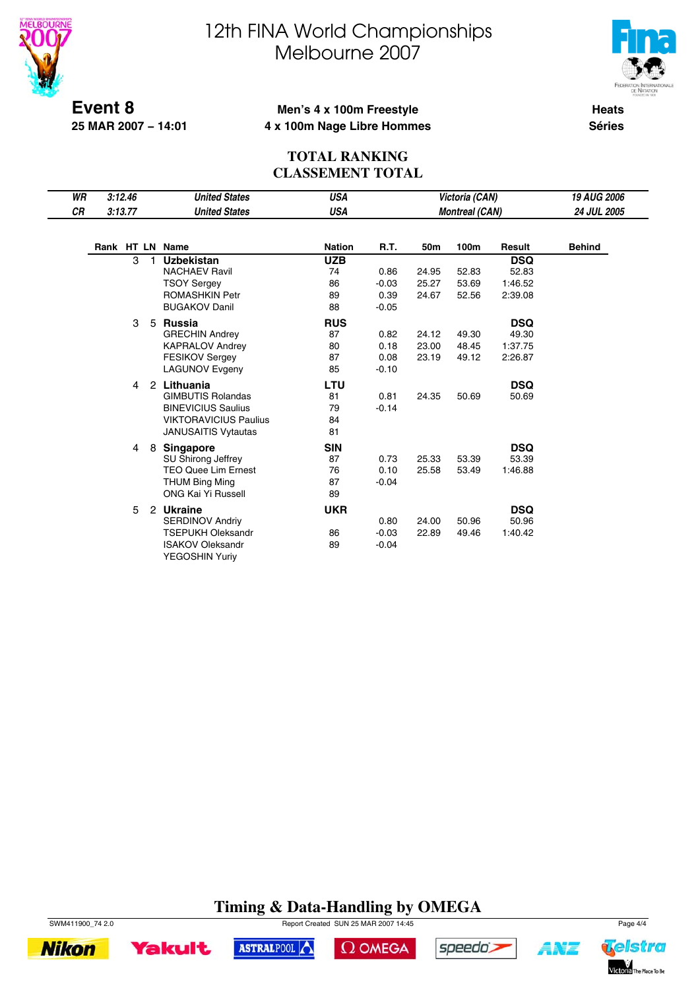



**Event 8 25 MAR 2007 − 14:01**

#### **Men's 4 x 100m Freestyle 4 x 100m Nage Libre Hommes**

**Heats Séries**

#### **TOTAL RANKING CLASSEMENT TOTAL**

| 3:12.46 |                        | <b>United States</b>         | <b>USA</b>                                                                                                                                                                                                                                                                                   |                                                                                               |                                                       | Victoria (CAN)                   |                                  | <b>19 AUG 2006</b>                                                                                                             |
|---------|------------------------|------------------------------|----------------------------------------------------------------------------------------------------------------------------------------------------------------------------------------------------------------------------------------------------------------------------------------------|-----------------------------------------------------------------------------------------------|-------------------------------------------------------|----------------------------------|----------------------------------|--------------------------------------------------------------------------------------------------------------------------------|
|         |                        | <b>United States</b>         | <b>USA</b>                                                                                                                                                                                                                                                                                   |                                                                                               |                                                       |                                  |                                  | <b>24 JUL 2005</b>                                                                                                             |
|         |                        |                              | <b>Nation</b>                                                                                                                                                                                                                                                                                | R.T.                                                                                          | 50m                                                   | 100m                             | Result                           | <b>Behind</b>                                                                                                                  |
| 3       |                        | <b>Uzbekistan</b>            | <b>UZB</b>                                                                                                                                                                                                                                                                                   |                                                                                               |                                                       |                                  | <b>DSQ</b>                       |                                                                                                                                |
|         |                        | <b>NACHAEV Ravil</b>         | 74                                                                                                                                                                                                                                                                                           | 0.86                                                                                          | 24.95                                                 | 52.83                            | 52.83                            |                                                                                                                                |
|         |                        | <b>TSOY Sergey</b>           | 86                                                                                                                                                                                                                                                                                           | $-0.03$                                                                                       | 25.27                                                 | 53.69                            | 1:46.52                          |                                                                                                                                |
|         |                        | <b>ROMASHKIN Petr</b>        | 89                                                                                                                                                                                                                                                                                           | 0.39                                                                                          | 24.67                                                 | 52.56                            | 2:39.08                          |                                                                                                                                |
|         |                        | <b>BUGAKOV Danil</b>         | 88                                                                                                                                                                                                                                                                                           | $-0.05$                                                                                       |                                                       |                                  |                                  |                                                                                                                                |
| 3       | 5                      |                              |                                                                                                                                                                                                                                                                                              |                                                                                               |                                                       |                                  |                                  |                                                                                                                                |
|         |                        | <b>GRECHIN Andrey</b>        | 87                                                                                                                                                                                                                                                                                           | 0.82                                                                                          | 24.12                                                 | 49.30                            | 49.30                            |                                                                                                                                |
|         |                        | <b>KAPRALOV Andrey</b>       | 80                                                                                                                                                                                                                                                                                           | 0.18                                                                                          | 23.00                                                 | 48.45                            | 1:37.75                          |                                                                                                                                |
|         |                        | <b>FESIKOV Sergev</b>        | 87                                                                                                                                                                                                                                                                                           | 0.08                                                                                          | 23.19                                                 | 49.12                            | 2:26.87                          |                                                                                                                                |
|         |                        | <b>LAGUNOV Evgeny</b>        | 85                                                                                                                                                                                                                                                                                           | $-0.10$                                                                                       |                                                       |                                  |                                  |                                                                                                                                |
|         |                        |                              |                                                                                                                                                                                                                                                                                              |                                                                                               |                                                       |                                  |                                  |                                                                                                                                |
|         |                        | <b>GIMBUTIS Rolandas</b>     |                                                                                                                                                                                                                                                                                              | 0.81                                                                                          | 24.35                                                 | 50.69                            |                                  |                                                                                                                                |
|         |                        | <b>BINEVICIUS Saulius</b>    |                                                                                                                                                                                                                                                                                              | $-0.14$                                                                                       |                                                       |                                  |                                  |                                                                                                                                |
|         |                        | <b>VIKTORAVICIUS Paulius</b> | 84                                                                                                                                                                                                                                                                                           |                                                                                               |                                                       |                                  |                                  |                                                                                                                                |
|         |                        | <b>JANUSAITIS Vytautas</b>   | 81                                                                                                                                                                                                                                                                                           |                                                                                               |                                                       |                                  |                                  |                                                                                                                                |
|         |                        |                              |                                                                                                                                                                                                                                                                                              |                                                                                               |                                                       |                                  |                                  |                                                                                                                                |
|         |                        |                              |                                                                                                                                                                                                                                                                                              |                                                                                               |                                                       |                                  |                                  |                                                                                                                                |
|         |                        |                              |                                                                                                                                                                                                                                                                                              |                                                                                               |                                                       |                                  |                                  |                                                                                                                                |
|         |                        |                              |                                                                                                                                                                                                                                                                                              |                                                                                               |                                                       |                                  |                                  |                                                                                                                                |
|         |                        | <b>ONG Kai Yi Russell</b>    |                                                                                                                                                                                                                                                                                              |                                                                                               |                                                       |                                  |                                  |                                                                                                                                |
|         |                        |                              |                                                                                                                                                                                                                                                                                              |                                                                                               |                                                       |                                  |                                  |                                                                                                                                |
|         |                        |                              |                                                                                                                                                                                                                                                                                              |                                                                                               |                                                       |                                  |                                  |                                                                                                                                |
|         |                        |                              |                                                                                                                                                                                                                                                                                              |                                                                                               |                                                       |                                  |                                  |                                                                                                                                |
|         |                        |                              |                                                                                                                                                                                                                                                                                              |                                                                                               |                                                       |                                  |                                  |                                                                                                                                |
|         |                        |                              |                                                                                                                                                                                                                                                                                              |                                                                                               |                                                       |                                  |                                  |                                                                                                                                |
|         | 3:13.77<br>4<br>4<br>5 | 8                            | Rank HT LN Name<br><b>Russia</b><br>2 Lithuania<br><b>Singapore</b><br><b>SU Shirong Jeffrey</b><br><b>TEO Quee Lim Ernest</b><br><b>THUM Bing Ming</b><br><b>Ukraine</b><br>$\mathbf{2}$<br><b>SERDINOV Andriv</b><br><b>TSEPUKH Oleksandr</b><br><b>ISAKOV Oleksandr</b><br>YEGOSHIN Yuriy | <b>RUS</b><br>LTU<br>81<br>79<br><b>SIN</b><br>87<br>76<br>87<br>89<br><b>UKR</b><br>86<br>89 | 0.73<br>0.10<br>$-0.04$<br>0.80<br>$-0.03$<br>$-0.04$ | 25.33<br>25.58<br>24.00<br>22.89 | 53.39<br>53.49<br>50.96<br>49.46 | <b>Montreal (CAN)</b><br><b>DSQ</b><br><b>DSQ</b><br>50.69<br><b>DSQ</b><br>53.39<br>1:46.88<br><b>DSQ</b><br>50.96<br>1:40.42 |

### **Timing & Data-Handling by OMEGA**

 $\Omega$  OMEGA

speedo's

ASTRALPOOL



**Yakult** 

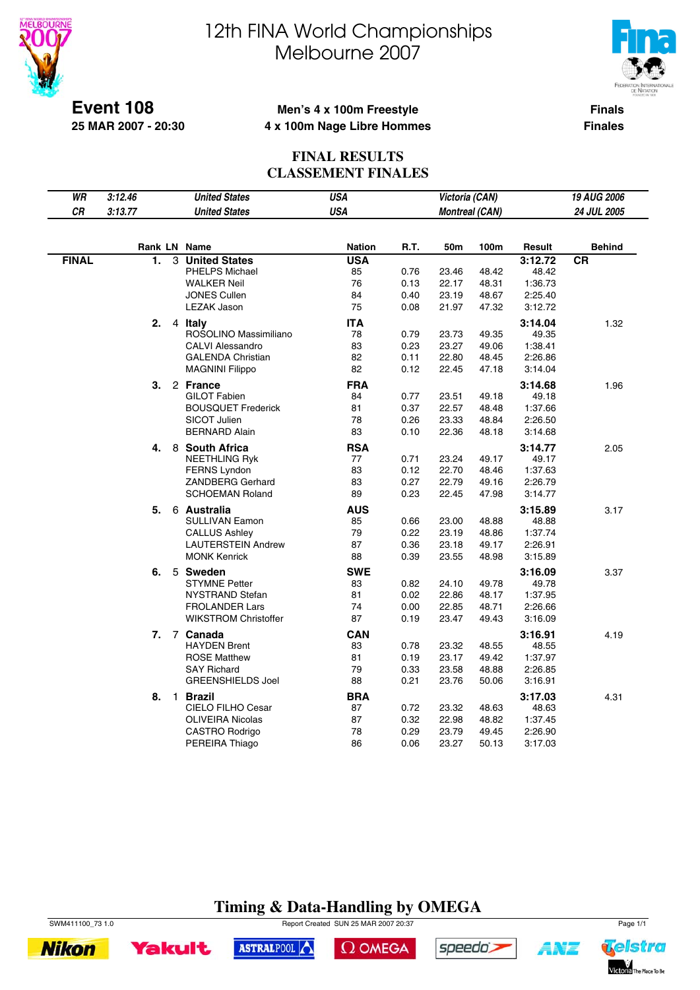

 $\overline{\phantom{a}}$ 

# 12th FINA World Championships Melbourne 2007



**Event 108 25 MAR 2007 - 20:30**

#### **Men's 4 x 100m Freestyle 4 x 100m Nage Libre Hommes**

**Finals Finales**

#### **FINAL RESULTS CLASSEMENT FINALES**

| WR           | 3:12.46 |   | <b>United States</b>        | <b>USA</b>    |      | Victoria (CAN)        |       |         | 19 AUG 2006   |
|--------------|---------|---|-----------------------------|---------------|------|-----------------------|-------|---------|---------------|
| CR           | 3:13.77 |   | <b>United States</b>        | <b>USA</b>    |      | <b>Montreal (CAN)</b> |       |         | 24 JUL 2005   |
|              |         |   |                             |               |      |                       |       |         |               |
|              |         |   | Rank LN Name                | <b>Nation</b> | R.T. | 50m                   | 100m  | Result  | <b>Behind</b> |
| <b>FINAL</b> | 1.      | 3 | <b>United States</b>        | <b>USA</b>    |      |                       |       | 3:12.72 | <b>CR</b>     |
|              |         |   | <b>PHELPS Michael</b>       | 85            | 0.76 | 23.46                 | 48.42 | 48.42   |               |
|              |         |   | <b>WALKER Neil</b>          | 76            | 0.13 | 22.17                 | 48.31 | 1:36.73 |               |
|              |         |   | <b>JONES Cullen</b>         | 84            | 0.40 | 23.19                 | 48.67 | 2:25.40 |               |
|              |         |   | <b>LEZAK Jason</b>          | 75            | 0.08 | 21.97                 | 47.32 | 3:12.72 |               |
|              | 2.      |   | 4 Italy                     | <b>ITA</b>    |      |                       |       | 3:14.04 | 1.32          |
|              |         |   | ROSOLINO Massimiliano       | 78            | 0.79 | 23.73                 | 49.35 | 49.35   |               |
|              |         |   | <b>CALVI Alessandro</b>     | 83            | 0.23 | 23.27                 | 49.06 | 1:38.41 |               |
|              |         |   | <b>GALENDA Christian</b>    | 82            | 0.11 | 22.80                 | 48.45 | 2:26.86 |               |
|              |         |   | <b>MAGNINI Filippo</b>      | 82            | 0.12 | 22.45                 | 47.18 | 3:14.04 |               |
|              | З.      |   | 2 France                    | <b>FRA</b>    |      |                       |       | 3:14.68 | 1.96          |
|              |         |   | <b>GILOT Fabien</b>         | 84            | 0.77 | 23.51                 | 49.18 | 49.18   |               |
|              |         |   | <b>BOUSQUET Frederick</b>   | 81            | 0.37 | 22.57                 | 48.48 | 1:37.66 |               |
|              |         |   | <b>SICOT Julien</b>         | 78            | 0.26 | 23.33                 | 48.84 | 2:26.50 |               |
|              |         |   | <b>BERNARD Alain</b>        | 83            | 0.10 | 22.36                 | 48.18 | 3:14.68 |               |
|              | 4.      |   | 8 South Africa              | <b>RSA</b>    |      |                       |       | 3:14.77 | 2.05          |
|              |         |   | <b>NEETHLING Ryk</b>        | 77            | 0.71 | 23.24                 | 49.17 | 49.17   |               |
|              |         |   | <b>FERNS Lyndon</b>         | 83            | 0.12 | 22.70                 | 48.46 | 1:37.63 |               |
|              |         |   | ZANDBERG Gerhard            | 83            | 0.27 | 22.79                 | 49.16 | 2:26.79 |               |
|              |         |   | <b>SCHOEMAN Roland</b>      | 89            | 0.23 | 22.45                 | 47.98 | 3:14.77 |               |
|              | 5.      |   | 6 Australia                 | <b>AUS</b>    |      |                       |       | 3:15.89 | 3.17          |
|              |         |   | <b>SULLIVAN Eamon</b>       | 85            | 0.66 | 23.00                 | 48.88 | 48.88   |               |
|              |         |   | <b>CALLUS Ashley</b>        | 79            | 0.22 | 23.19                 | 48.86 | 1:37.74 |               |
|              |         |   | <b>LAUTERSTEIN Andrew</b>   | 87            | 0.36 | 23.18                 | 49.17 | 2:26.91 |               |
|              |         |   | <b>MONK Kenrick</b>         | 88            | 0.39 | 23.55                 | 48.98 | 3:15.89 |               |
|              | 6.      |   | 5 Sweden                    | <b>SWE</b>    |      |                       |       | 3:16.09 | 3.37          |
|              |         |   | <b>STYMNE Petter</b>        | 83            | 0.82 | 24.10                 | 49.78 | 49.78   |               |
|              |         |   | <b>NYSTRAND Stefan</b>      | 81            | 0.02 | 22.86                 | 48.17 | 1:37.95 |               |
|              |         |   | <b>FROLANDER Lars</b>       | 74            | 0.00 | 22.85                 | 48.71 | 2:26.66 |               |
|              |         |   | <b>WIKSTROM Christoffer</b> | 87            | 0.19 | 23.47                 | 49.43 | 3:16.09 |               |
|              | 7.      |   | 7 Canada                    | <b>CAN</b>    |      |                       |       | 3:16.91 | 4.19          |
|              |         |   | <b>HAYDEN Brent</b>         | 83            | 0.78 | 23.32                 | 48.55 | 48.55   |               |
|              |         |   | <b>ROSE Matthew</b>         | 81            | 0.19 | 23.17                 | 49.42 | 1:37.97 |               |
|              |         |   | <b>SAY Richard</b>          | 79            | 0.33 | 23.58                 | 48.88 | 2:26.85 |               |
|              |         |   | <b>GREENSHIELDS Joel</b>    | 88            | 0.21 | 23.76                 | 50.06 | 3:16.91 |               |
|              | 8.      |   | 1 Brazil                    | <b>BRA</b>    |      |                       |       | 3:17.03 | 4.31          |
|              |         |   | CIELO FILHO Cesar           | 87            | 0.72 | 23.32                 | 48.63 | 48.63   |               |
|              |         |   | <b>OLIVEIRA Nicolas</b>     | 87            | 0.32 | 22.98                 | 48.82 | 1:37.45 |               |
|              |         |   | CASTRO Rodrigo              | 78            | 0.29 | 23.79                 | 49.45 | 2:26.90 |               |
|              |         |   | PEREIRA Thiago              | 86            | 0.06 | 23.27                 | 50.13 | 3:17.03 |               |
|              |         |   |                             |               |      |                       |       |         |               |

### **Timing & Data-Handling by OMEGA**

SWM411100\_73 1.0 Report Created SUN 25 MAR 2007 20:37 Page 1/1





speedo's

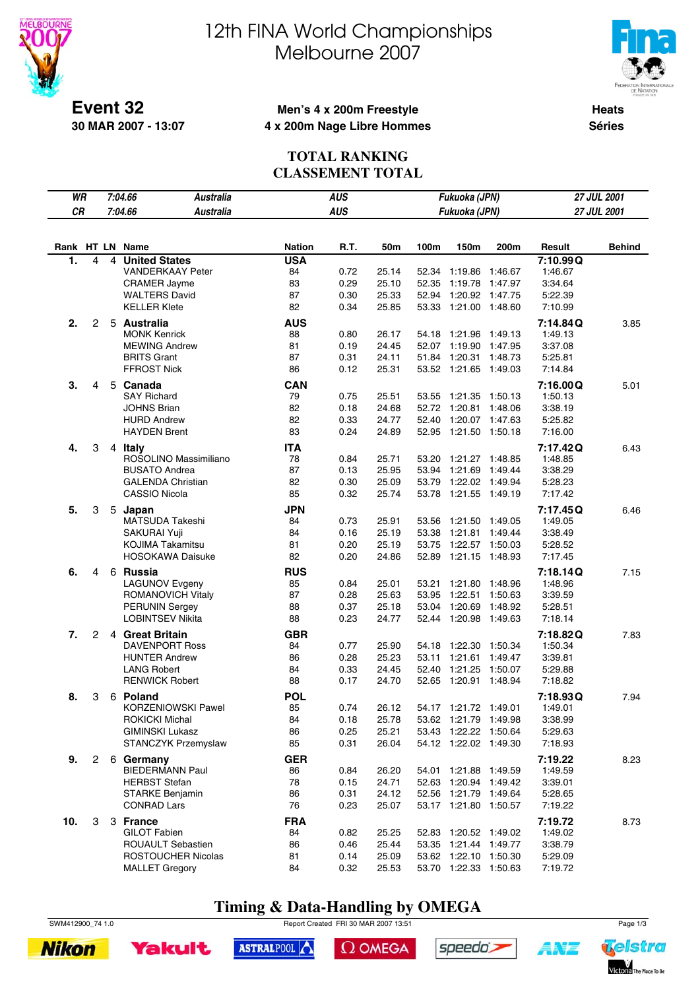



**Event 32 30 MAR 2007 - 13:07**

### **Men's 4 x 200m Freestyle 4 x 200m Nage Libre Hommes**

**Heats Séries**

#### **TOTAL RANKING CLASSEMENT TOTAL**

| WR  |                |   | 7:04.66<br><b>Australia</b>                    |               | <b>AUS</b>   |                |                | Fukuoka (JPN)                                  |         |                    | 27 JUL 2001   |
|-----|----------------|---|------------------------------------------------|---------------|--------------|----------------|----------------|------------------------------------------------|---------|--------------------|---------------|
| CR  |                |   | 7:04.66<br><b>Australia</b>                    |               | <b>AUS</b>   |                |                | Fukuoka (JPN)                                  |         |                    | 27 JUL 2001   |
|     |                |   |                                                |               |              |                |                |                                                |         |                    |               |
|     |                |   |                                                |               |              |                |                |                                                |         |                    |               |
|     |                |   | Rank HT LN Name                                | <b>Nation</b> | R.T.         | 50m            | 100m           | 150m                                           | 200m    | Result             | <b>Behind</b> |
| 1.  | 4              | 4 | <b>United States</b>                           | <b>USA</b>    |              |                |                |                                                |         | 7:10.99Q           |               |
|     |                |   | <b>VANDERKAAY Peter</b><br><b>CRAMER Jayme</b> | 84<br>83      | 0.72<br>0.29 | 25.14<br>25.10 | 52.34<br>52.35 | 1:19.86 1:46.67<br>1:19.78 1:47.97             |         | 1:46.67<br>3:34.64 |               |
|     |                |   | <b>WALTERS David</b>                           | 87            | 0.30         | 25.33          | 52.94          | 1:20.92 1:47.75                                |         | 5:22.39            |               |
|     |                |   | <b>KELLER Klete</b>                            | 82            | 0.34         | 25.85          |                | 53.33 1:21.00 1:48.60                          |         | 7:10.99            |               |
| 2.  | 2              |   | 5 Australia                                    | <b>AUS</b>    |              |                |                |                                                |         | 7:14.84Q           | 3.85          |
|     |                |   | <b>MONK Kenrick</b>                            | 88            | 0.80         | 26.17          |                | 54.18 1:21.96 1:49.13                          |         | 1:49.13            |               |
|     |                |   | <b>MEWING Andrew</b>                           | 81            | 0.19         | 24.45          |                | 52.07 1:19.90 1:47.95                          |         | 3:37.08            |               |
|     |                |   | <b>BRITS Grant</b>                             | 87            | 0.31         | 24.11          |                | 51.84 1:20.31 1:48.73                          |         | 5:25.81            |               |
|     |                |   | FFROST Nick                                    | 86            | 0.12         | 25.31          |                | 53.52 1:21.65 1:49.03                          |         | 7:14.84            |               |
| 3.  | 4              |   | 5 Canada                                       | <b>CAN</b>    |              |                |                |                                                |         | 7:16.00Q           | 5.01          |
|     |                |   | <b>SAY Richard</b>                             | 79            | 0.75         | 25.51          |                | 53.55 1:21.35 1:50.13                          |         | 1:50.13            |               |
|     |                |   | <b>JOHNS Brian</b>                             | 82            | 0.18         | 24.68          |                | 52.72 1:20.81                                  | 1:48.06 | 3:38.19            |               |
|     |                |   | <b>HURD Andrew</b>                             | 82            | 0.33         | 24.77          | 52.40          | 1:20.07 1:47.63                                |         | 5:25.82            |               |
|     |                |   | <b>HAYDEN Brent</b>                            | 83            | 0.24         | 24.89          |                | 52.95 1:21.50 1:50.18                          |         | 7:16.00            |               |
| 4.  | 3              |   | 4 Italy                                        | <b>ITA</b>    |              |                |                |                                                |         | 7:17.42Q           | 6.43          |
|     |                |   | ROSOLINO Massimiliano                          | 78            | 0.84         | 25.71          | 53.20          | 1:21.27 1:48.85                                |         | 1:48.85            |               |
|     |                |   | <b>BUSATO Andrea</b>                           | 87            | 0.13         | 25.95          |                | 53.94 1:21.69 1:49.44                          |         | 3:38.29            |               |
|     |                |   | <b>GALENDA Christian</b>                       | 82            | 0.30         | 25.09          |                | 53.79 1:22.02 1:49.94                          |         | 5:28.23            |               |
|     |                |   | <b>CASSIO Nicola</b>                           | 85            | 0.32         | 25.74          | 53.78          | 1:21.55 1:49.19                                |         | 7:17.42            |               |
| 5.  | 3              |   | 5 Japan                                        | <b>JPN</b>    |              |                |                |                                                |         | 7:17.45Q           | 6.46          |
|     |                |   | MATSUDA Takeshi                                | 84            | 0.73         | 25.91          |                | 53.56 1:21.50 1:49.05                          |         | 1:49.05            |               |
|     |                |   | SAKURAI Yuji                                   | 84            | 0.16         | 25.19          | 53.38          | 1:21.81  1:49.44                               |         | 3:38.49            |               |
|     |                |   | <b>KOJIMA Takamitsu</b>                        | 81            | 0.20         | 25.19          | 53.75          | 1:22.57 1:50.03                                |         | 5:28.52            |               |
|     |                |   | <b>HOSOKAWA Daisuke</b>                        | 82            | 0.20         | 24.86          |                | 52.89 1:21.15 1:48.93                          |         | 7:17.45            |               |
| 6.  | 4              |   | 6 Russia                                       | <b>RUS</b>    |              |                |                |                                                |         | 7:18.14Q           | 7.15          |
|     |                |   | LAGUNOV Evgeny                                 | 85            | 0.84         | 25.01          |                | 53.21 1:21.80 1:48.96                          |         | 1:48.96            |               |
|     |                |   | ROMANOVICH Vitaly                              | 87            | 0.28         | 25.63          |                | 53.95 1:22.51                                  | 1:50.63 | 3:39.59            |               |
|     |                |   | <b>PERUNIN Sergey</b>                          | 88            | 0.37         | 25.18          | 53.04          | 1:20.69                                        | 1:48.92 | 5:28.51            |               |
|     |                |   | <b>LOBINTSEV Nikita</b>                        | 88            | 0.23         | 24.77          |                | 52.44 1:20.98 1:49.63                          |         | 7:18.14            |               |
| 7.  | $\overline{2}$ |   | 4 Great Britain                                | <b>GBR</b>    |              |                |                |                                                |         | 7:18.82Q           | 7.83          |
|     |                |   | <b>DAVENPORT Ross</b>                          | 84            | 0.77         | 25.90          |                | 54.18 1:22.30 1:50.34                          |         | 1:50.34            |               |
|     |                |   | <b>HUNTER Andrew</b>                           | 86            | 0.28         | 25.23          | 53.11          | 1:21.61 1:49.47<br>1:21.25 1:50.07             |         | 3:39.81            |               |
|     |                |   | <b>LANG Robert</b><br><b>RENWICK Robert</b>    | 84<br>88      | 0.33<br>0.17 | 24.45<br>24.70 | 52.40          | 52.65 1:20.91 1:48.94                          |         | 5:29.88<br>7:18.82 |               |
|     |                |   |                                                |               |              |                |                |                                                |         |                    |               |
| 8.  | 3              |   | 6 Poland                                       | <b>POL</b>    |              |                |                |                                                |         | 7:18.93Q           | 7.94          |
|     |                |   | KORZENIOWSKI Pawel<br>ROKICKI Michal           | 85<br>84      | 0.74<br>0.18 | 26.12<br>25.78 |                | 54.17 1:21.72 1:49.01<br>53.62 1:21.79 1:49.98 |         | 1:49.01<br>3:38.99 |               |
|     |                |   | <b>GIMINSKI Lukasz</b>                         | 86            | 0.25         | 25.21          |                | 53.43 1:22.22 1:50.64                          |         | 5:29.63            |               |
|     |                |   | STANCZYK Przemyslaw                            | 85            | 0.31         | 26.04          |                | 54.12 1:22.02 1:49.30                          |         | 7:18.93            |               |
| 9.  |                |   | 2 6 Germany                                    | <b>GER</b>    |              |                |                |                                                |         | 7:19.22            | 8.23          |
|     |                |   | <b>BIEDERMANN Paul</b>                         | 86            | 0.84         | 26.20          |                | 54.01 1:21.88 1:49.59                          |         | 1:49.59            |               |
|     |                |   | <b>HERBST Stefan</b>                           | 78            | 0.15         | 24.71          |                | 52.63 1:20.94 1:49.42                          |         | 3:39.01            |               |
|     |                |   | <b>STARKE Benjamin</b>                         | 86            | 0.31         | 24.12          |                | 52.56 1:21.79 1:49.64                          |         | 5:28.65            |               |
|     |                |   | <b>CONRAD Lars</b>                             | 76            | 0.23         | 25.07          |                | 53.17 1:21.80 1:50.57                          |         | 7:19.22            |               |
| 10. | 3              |   | 3 France                                       | <b>FRA</b>    |              |                |                |                                                |         | 7:19.72            | 8.73          |
|     |                |   | <b>GILOT Fabien</b>                            | 84            | 0.82         | 25.25          |                | 52.83 1:20.52 1:49.02                          |         | 1:49.02            |               |
|     |                |   | ROUAULT Sebastien                              | 86            | 0.46         | 25.44          |                | 53.35 1:21.44 1:49.77                          |         | 3:38.79            |               |
|     |                |   | ROSTOUCHER Nicolas                             | 81            | 0.14         | 25.09          |                | 53.62 1:22.10 1:50.30                          |         | 5:29.09            |               |
|     |                |   | <b>MALLET Gregory</b>                          | 84            | 0.32         | 25.53          |                | 53.70 1:22.33 1:50.63                          |         | 7:19.72            |               |

## **Timing & Data-Handling by OMEGA**

SWM412900\_74 1.0 Report Created FRI 30 MAR 2007 13:51 Page 1/3

ASTRALPOOL





 $\Omega$  OMEGA





**ANT**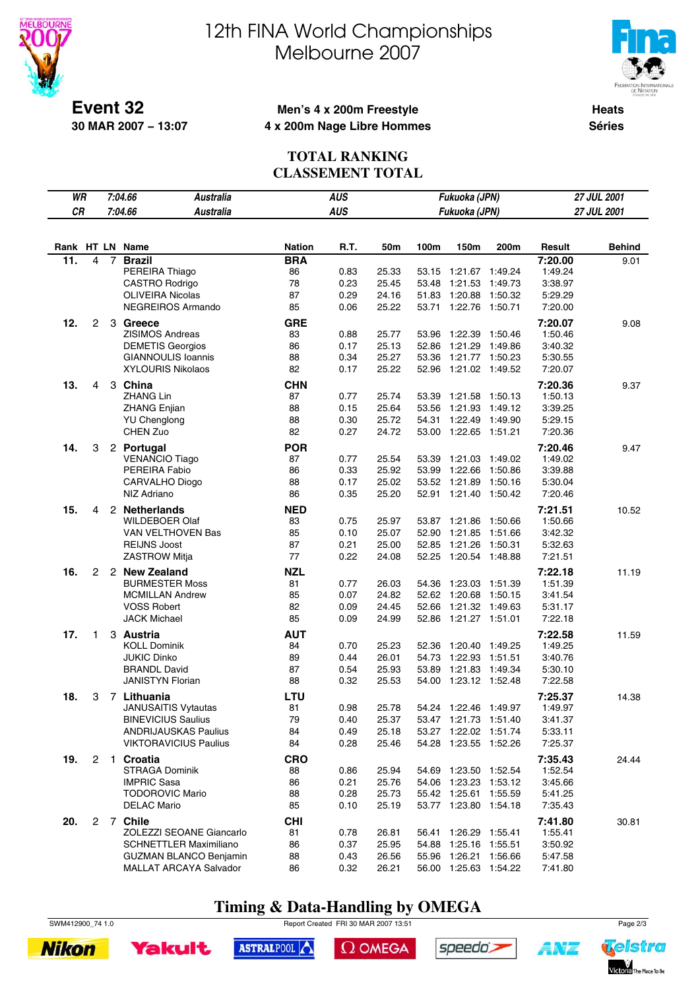



**Event 32 30 MAR 2007 − 13:07**

### **Men's 4 x 200m Freestyle 4 x 200m Nage Libre Hommes**

**Heats Séries**

#### **TOTAL RANKING CLASSEMENT TOTAL**

| WR  |                      |                | 7:04.66<br>Australia            |                  | <b>AUS</b> |       |       | Fukuoka (JPN)         |         |                    | 27 JUL 2001   |
|-----|----------------------|----------------|---------------------------------|------------------|------------|-------|-------|-----------------------|---------|--------------------|---------------|
| CR  |                      |                | 7:04.66<br><b>Australia</b>     |                  | <b>AUS</b> |       |       | Fukuoka (JPN)         |         |                    | 27 JUL 2001   |
|     |                      |                |                                 |                  |            |       |       |                       |         |                    |               |
|     |                      |                |                                 |                  |            |       |       |                       |         |                    |               |
|     |                      |                | Rank HT LN Name                 | <b>Nation</b>    | R.T.       | 50m   | 100m  | 150m                  | 200m    | Result             | <b>Behind</b> |
| 11. | 4                    | $\overline{7}$ | <b>Brazil</b><br>PEREIRA Thiago | <b>BRA</b><br>86 | 0.83       | 25.33 | 53.15 | 1:21.67 1:49.24       |         | 7:20.00<br>1:49.24 | 9.01          |
|     |                      |                | CASTRO Rodrigo                  | 78               | 0.23       | 25.45 | 53.48 | 1:21.53               | 1:49.73 | 3:38.97            |               |
|     |                      |                | <b>OLIVEIRA Nicolas</b>         | 87               | 0.29       | 24.16 | 51.83 | 1:20.88               | 1:50.32 | 5:29.29            |               |
|     |                      |                | NEGREIROS Armando               | 85               | 0.06       | 25.22 | 53.71 | 1:22.76               | 1:50.71 | 7:20.00            |               |
| 12. | $\mathbf{2}$         |                | 3 Greece                        | <b>GRE</b>       |            |       |       |                       |         | 7:20.07            | 9.08          |
|     |                      |                | <b>ZISIMOS Andreas</b>          | 83               | 0.88       | 25.77 | 53.96 | 1:22.39               | 1:50.46 | 1:50.46            |               |
|     |                      |                | <b>DEMETIS Georgios</b>         | 86               | 0.17       | 25.13 | 52.86 | 1:21.29               | 1:49.86 | 3:40.32            |               |
|     |                      |                | GIANNOULIS Ioannis              | 88               | 0.34       | 25.27 | 53.36 | 1:21.77 1:50.23       |         | 5:30.55            |               |
|     |                      |                | <b>XYLOURIS Nikolaos</b>        | 82               | 0.17       | 25.22 | 52.96 | 1:21.02 1:49.52       |         | 7:20.07            |               |
| 13. | 4                    |                | 3 China                         | <b>CHN</b>       |            |       |       |                       |         | 7:20.36            | 9.37          |
|     |                      |                | <b>ZHANG Lin</b>                | 87               | 0.77       | 25.74 | 53.39 | 1:21.58               | 1:50.13 | 1:50.13            |               |
|     |                      |                | <b>ZHANG Enjian</b>             | 88               | 0.15       | 25.64 | 53.56 | 1:21.93               | 1:49.12 | 3:39.25            |               |
|     |                      |                | <b>YU Chenglong</b>             | 88               | 0.30       | 25.72 | 54.31 | 1:22.49               | 1:49.90 | 5:29.15            |               |
|     |                      |                | CHEN Zuo                        | 82               | 0.27       | 24.72 | 53.00 | 1:22.65 1:51.21       |         | 7:20.36            |               |
| 14. | 3                    |                | 2 Portugal                      | <b>POR</b>       |            |       |       |                       |         | 7:20.46            | 9.47          |
|     |                      |                | <b>VENANCIO Tiago</b>           | 87               | 0.77       | 25.54 | 53.39 | 1:21.03               | 1:49.02 | 1:49.02            |               |
|     |                      |                | PEREIRA Fabio                   | 86               | 0.33       | 25.92 | 53.99 | 1:22.66               | 1:50.86 | 3:39.88            |               |
|     |                      |                | <b>CARVALHO Diogo</b>           | 88               | 0.17       | 25.02 | 53.52 | 1:21.89               | 1:50.16 | 5:30.04            |               |
|     |                      |                | NIZ Adriano                     | 86               | 0.35       | 25.20 | 52.91 | 1:21.40               | 1:50.42 | 7:20.46            |               |
| 15. | 4                    |                | 2 Netherlands                   | <b>NED</b>       |            |       |       |                       |         | 7:21.51            | 10.52         |
|     |                      |                | <b>WILDEBOER Olaf</b>           | 83               | 0.75       | 25.97 |       | 53.87 1:21.86         | 1:50.66 | 1:50.66            |               |
|     |                      |                | VAN VELTHOVEN Bas               | 85               | 0.10       | 25.07 | 52.90 | 1:21.85               | 1:51.66 | 3:42.32            |               |
|     |                      |                | <b>REIJNS Joost</b>             | 87               | 0.21       | 25.00 |       | 52.85 1:21.26         | 1:50.31 | 5:32.63            |               |
|     |                      |                | <b>ZASTROW Mitja</b>            | 77               | 0.22       | 24.08 |       | 52.25 1:20.54 1:48.88 |         | 7:21.51            |               |
| 16. | $\overline{2}$       |                | 2 New Zealand                   | <b>NZL</b>       |            |       |       |                       |         | 7:22.18            | 11.19         |
|     |                      |                | <b>BURMESTER Moss</b>           | 81               | 0.77       | 26.03 | 54.36 | 1:23.03               | 1:51.39 | 1:51.39            |               |
|     |                      |                | <b>MCMILLAN Andrew</b>          | 85               | 0.07       | 24.82 |       | 52.62 1:20.68         | 1:50.15 | 3:41.54            |               |
|     |                      |                | <b>VOSS Robert</b>              | 82               | 0.09       | 24.45 | 52.66 | 1:21.32               | 1:49.63 | 5:31.17            |               |
|     |                      |                | <b>JACK Michael</b>             | 85               | 0.09       | 24.99 | 52.86 | 1:21.27 1:51.01       |         | 7:22.18            |               |
| 17. | 1                    |                | 3 Austria                       | <b>AUT</b>       |            |       |       |                       |         | 7:22.58            | 11.59         |
|     |                      |                | <b>KOLL Dominik</b>             | 84               | 0.70       | 25.23 | 52.36 | 1:20.40               | 1:49.25 | 1:49.25            |               |
|     |                      |                | <b>JUKIC Dinko</b>              | 89               | 0.44       | 26.01 | 54.73 | 1:22.93               | 1:51.51 | 3:40.76            |               |
|     |                      |                | <b>BRANDL David</b>             | 87               | 0.54       | 25.93 | 53.89 | 1:21.83               | 1:49.34 | 5:30.10            |               |
|     |                      |                | <b>JANISTYN Florian</b>         | 88               | 0.32       | 25.53 | 54.00 | 1:23.12 1:52.48       |         | 7:22.58            |               |
| 18. | 3                    |                | 7 Lithuania                     | LTU              |            |       |       |                       |         | 7:25.37            | 14.38         |
|     |                      |                | <b>JANUSAITIS Vytautas</b>      | 81               | 0.98       | 25.78 |       | 54.24 1:22.46 1:49.97 |         | 1:49.97            |               |
|     |                      |                | <b>BINEVICIUS Saulius</b>       | 79               | 0.40       | 25.37 |       | 53.47 1:21.73 1:51.40 |         | 3:41.37            |               |
|     |                      |                | <b>ANDRIJAUSKAS Paulius</b>     | 84               | 0.49       | 25.18 |       | 53.27 1:22.02 1:51.74 |         | 5:33.11            |               |
|     |                      |                | <b>VIKTORAVICIUS Paulius</b>    | 84               | 0.28       | 25.46 |       | 54.28 1:23.55 1:52.26 |         | 7:25.37            |               |
| 19. | $\mathbf{2}^{\circ}$ |                | 1 Croatia                       | <b>CRO</b>       |            |       |       |                       |         | 7:35.43            | 24.44         |
|     |                      |                | <b>STRAGA Dominik</b>           | 88               | 0.86       | 25.94 |       | 54.69 1:23.50 1:52.54 |         | 1:52.54            |               |
|     |                      |                | <b>IMPRIC Sasa</b>              | 86               | 0.21       | 25.76 |       | 54.06 1:23.23 1:53.12 |         | 3:45.66            |               |
|     |                      |                | <b>TODOROVIC Mario</b>          | 88               | 0.28       | 25.73 |       | 55.42 1:25.61 1:55.59 |         | 5:41.25            |               |
|     |                      |                | <b>DELAC Mario</b>              | 85               | 0.10       | 25.19 |       | 53.77 1:23.80 1:54.18 |         | 7:35.43            |               |
| 20. | $\overline{2}$       |                | 7 Chile                         | <b>CHI</b>       |            |       |       |                       |         | 7:41.80            | 30.81         |
|     |                      |                | ZOLEZZI SEOANE Giancarlo        | 81               | 0.78       | 26.81 | 56.41 | 1:26.29 1:55.41       |         | 1:55.41            |               |
|     |                      |                | <b>SCHNETTLER Maximiliano</b>   | 86               | 0.37       | 25.95 | 54.88 | 1:25.16 1:55.51       |         | 3:50.92            |               |
|     |                      |                | <b>GUZMAN BLANCO Benjamin</b>   | 88               | 0.43       | 26.56 |       | 55.96 1:26.21 1:56.66 |         | 5:47.58            |               |
|     |                      |                | MALLAT ARCAYA Salvador          | 86               | 0.32       | 26.21 |       | 56.00 1:25.63 1:54.22 |         | 7:41.80            |               |









 $\Omega$  OMEGA



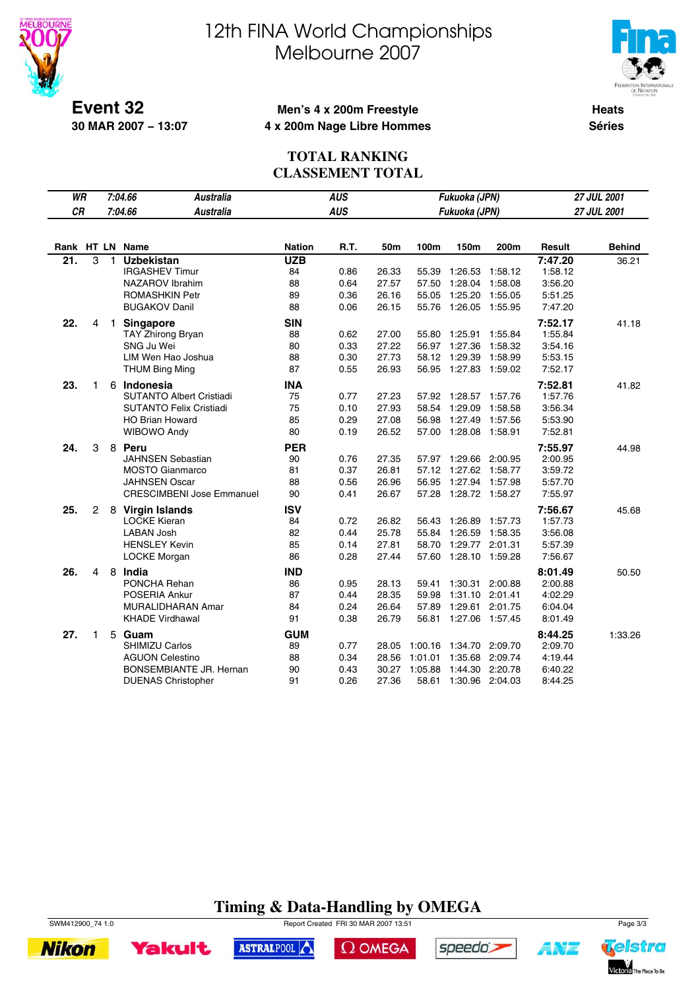



**Event 32 30 MAR 2007 − 13:07**

### **Men's 4 x 200m Freestyle 4 x 200m Nage Libre Hommes**

**Heats Séries**

#### **TOTAL RANKING CLASSEMENT TOTAL**

| WR                |                |   | 7:04.66<br><b>Australia</b>      |                  | <b>AUS</b> |       |         | Fukuoka (JPN)         |         |                    | 27 JUL 2001   |
|-------------------|----------------|---|----------------------------------|------------------|------------|-------|---------|-----------------------|---------|--------------------|---------------|
| <b>CR</b>         |                |   | 7:04.66<br><b>Australia</b>      |                  | <b>AUS</b> |       |         | Fukuoka (JPN)         |         |                    | 27 JUL 2001   |
|                   |                |   |                                  |                  |            |       |         |                       |         |                    |               |
|                   |                |   | Rank HT LN Name                  | <b>Nation</b>    | R.T.       | 50m   | 100m    | 150m                  | 200m    | Result             | <b>Behind</b> |
| $2\overline{1}$ . | 3              | 1 | <b>Uzbekistan</b>                | <b>UZB</b>       |            |       |         |                       |         | 7:47.20            | 36.21         |
|                   |                |   | <b>IRGASHEV Timur</b>            | 84               | 0.86       | 26.33 | 55.39   | 1:26.53               | 1:58.12 | 1:58.12            |               |
|                   |                |   | NAZAROV Ibrahim                  | 88               | 0.64       | 27.57 | 57.50   | 1:28.04               | 1:58.08 | 3:56.20            |               |
|                   |                |   | ROMASHKIN Petr                   | 89               | 0.36       | 26.16 | 55.05   | 1:25.20               | 1:55.05 | 5.51.25            |               |
|                   |                |   | <b>BUGAKOV Danil</b>             | 88               | 0.06       | 26.15 | 55.76   | 1:26.05               | 1:55.95 | 7:47.20            |               |
| 22.               | 4              |   | 1 Singapore                      | <b>SIN</b>       |            |       |         |                       |         | 7:52.17            | 41.18         |
|                   |                |   | <b>TAY Zhirong Bryan</b>         | 88               | 0.62       | 27.00 | 55.80   | 1:25.91               | 1:55.84 | 1:55.84            |               |
|                   |                |   | SNG Ju Wei                       | 80               | 0.33       | 27.22 | 56.97   | 1:27.36               | 1:58.32 | 3:54.16            |               |
|                   |                |   | LIM Wen Hao Joshua               | 88               | 0.30       | 27.73 | 58.12   | 1:29.39               | 1:58.99 | 5:53.15            |               |
|                   |                |   | <b>THUM Bing Ming</b>            | 87               | 0.55       | 26.93 |         | 56.95 1:27.83 1:59.02 |         | 7:52.17            |               |
| 23.               | 1              |   | 6 Indonesia                      | <b>INA</b>       |            |       |         |                       |         | 7:52.81            | 41.82         |
|                   |                |   | <b>SUTANTO Albert Cristiadi</b>  | 75               | 0.77       | 27.23 | 57.92   | 1:28.57               | 1:57.76 | 1:57.76            |               |
|                   |                |   | <b>SUTANTO Felix Cristiadi</b>   | 75               | 0.10       | 27.93 | 58.54   | 1:29.09               | 1:58.58 | 3:56.34            |               |
|                   |                |   | <b>HO Brian Howard</b>           | 85               | 0.29       | 27.08 | 56.98   | 1:27.49               | 1:57.56 | 5:53.90            |               |
|                   |                |   | WIBOWO Andy                      | 80               | 0.19       | 26.52 |         | 57.00 1:28.08         | 1:58.91 | 7:52.81            |               |
| 24.               | 3              |   | 8 Peru                           | <b>PER</b>       |            |       |         |                       |         | 7:55.97            | 44.98         |
|                   |                |   | <b>JAHNSEN Sebastian</b>         | 90               | 0.76       | 27.35 |         | 57.97 1:29.66 2:00.95 |         | 2:00.95            |               |
|                   |                |   | <b>MOSTO Gianmarco</b>           | 81               | 0.37       | 26.81 | 57.12   | 1:27.62               | 1:58.77 | 3:59.72            |               |
|                   |                |   | <b>JAHNSEN Oscar</b>             | 88               | 0.56       | 26.96 | 56.95   | 1:27.94               | 1:57.98 | 5:57.70            |               |
|                   |                |   | <b>CRESCIMBENI Jose Emmanuel</b> | 90               | 0.41       | 26.67 | 57.28   | 1:28.72 1:58.27       |         | 7:55.97            |               |
| 25.               | $\overline{c}$ |   |                                  | <b>ISV</b>       |            |       |         |                       |         | 7:56.67            | 45.68         |
|                   |                |   | 8 Virgin Islands<br>LOCKE Kieran | 84               | 0.72       | 26.82 | 56.43   | 1:26.89               | 1:57.73 | 1:57.73            |               |
|                   |                |   | <b>LABAN Josh</b>                | 82               | 0.44       | 25.78 | 55.84   | 1:26.59               | 1:58.35 | 3:56.08            |               |
|                   |                |   | <b>HENSLEY Kevin</b>             | 85               | 0.14       | 27.81 | 58.70   | 1:29.77               | 2:01.31 | 5:57.39            |               |
|                   |                |   | LOCKE Morgan                     | 86               | 0.28       | 27.44 | 57.60   | 1:28.10               | 1:59.28 | 7:56.67            |               |
|                   |                |   |                                  |                  |            |       |         |                       |         |                    |               |
| 26.               | 4              |   | 8 India<br>PONCHA Rehan          | <b>IND</b><br>86 | 0.95       | 28.13 | 59.41   | 1:30.31               | 2:00.88 | 8:01.49<br>2:00.88 | 50.50         |
|                   |                |   | POSERIA Ankur                    | 87               | 0.44       | 28.35 | 59.98   | 1:31.10 2:01.41       |         | 4:02.29            |               |
|                   |                |   | MURALIDHARAN Amar                | 84               | 0.24       | 26.64 | 57.89   | 1:29.61               | 2:01.75 | 6:04.04            |               |
|                   |                |   | <b>KHADE Virdhawal</b>           | 91               | 0.38       | 26.79 | 56.81   | 1:27.06 1:57.45       |         | 8:01.49            |               |
|                   |                |   |                                  |                  |            |       |         |                       |         |                    |               |
| 27.               | 1              |   | 5 Guam                           | <b>GUM</b>       |            |       |         |                       |         | 8:44.25            | 1:33.26       |
|                   |                |   | <b>SHIMIZU Carlos</b>            | 89               | 0.77       | 28.05 | 1:00.16 | 1:34.70               | 2:09.70 | 2:09.70            |               |
|                   |                |   | <b>AGUON Celestino</b>           | 88               | 0.34       | 28.56 | 1:01.01 | 1:35.68               | 2:09.74 | 4:19.44            |               |
|                   |                |   | <b>BONSEMBIANTE JR. Hernan</b>   | 90               | 0.43       | 30.27 | 1:05.88 | 1:44.30               | 2:20.78 | 6:40.22            |               |
|                   |                |   | <b>DUENAS Christopher</b>        | 91               | 0.26       | 27.36 | 58.61   | 1:30.96 2:04.03       |         | 8:44.25            |               |

## **Timing & Data-Handling by OMEGA**



SWM412900\_74 1.0 Report Created FRI 30 MAR 2007 13:51 Page 3/3



ASTRALPOOL

 $\Omega$  OMEGA



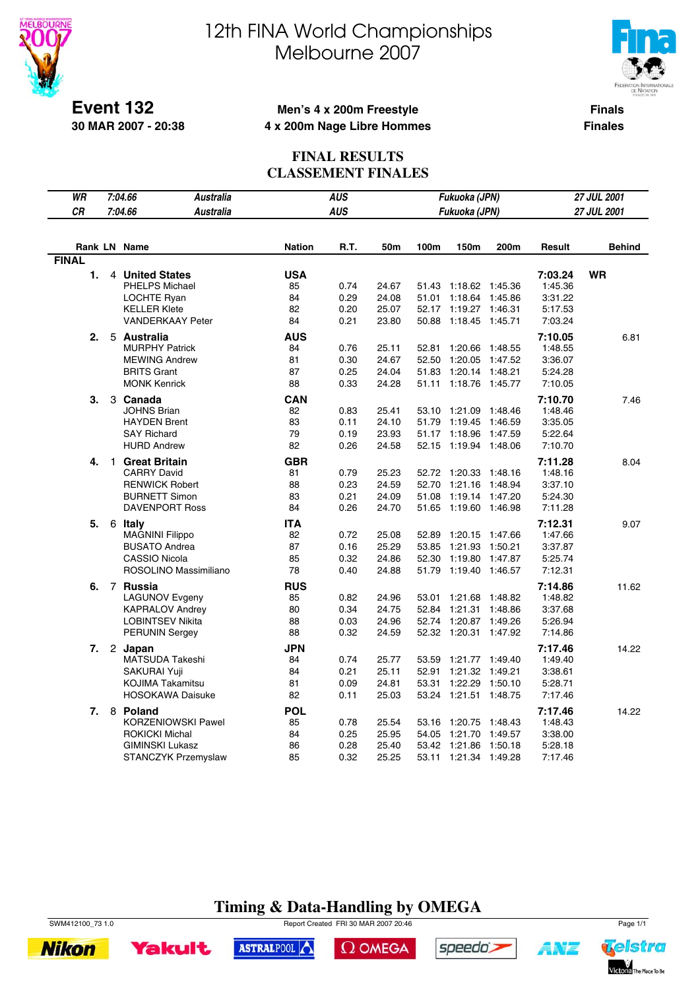



**Event 132 30 MAR 2007 - 20:38**

### **Men's 4 x 200m Freestyle 4 x 200m Nage Libre Hommes**

**Finals Finales**

### **FINAL RESULTS CLASSEMENT FINALES**

| WR               | 7:04.66<br><b>Australia</b> |               | <b>AUS</b> |       |       | Fukuoka (JPN)   |         | <b>27 JUL 2001</b> |               |  |
|------------------|-----------------------------|---------------|------------|-------|-------|-----------------|---------|--------------------|---------------|--|
| CR               | 7:04.66<br><b>Australia</b> |               | <b>AUS</b> |       |       | Fukuoka (JPN)   |         |                    | 27 JUL 2001   |  |
|                  |                             |               |            |       |       |                 |         |                    |               |  |
|                  | Rank LN Name                | <b>Nation</b> | R.T.       | 50m   | 100m  | 150m            | 200m    | Result             | <b>Behind</b> |  |
| <b>FINAL</b>     |                             |               |            |       |       |                 |         |                    |               |  |
| 1.               | 4 United States             | <b>USA</b>    |            |       |       |                 |         | 7:03.24            | <b>WR</b>     |  |
|                  | <b>PHELPS Michael</b>       | 85            | 0.74       | 24.67 | 51.43 | 1:18.62         | 1:45.36 | 1:45.36            |               |  |
|                  | LOCHTE Ryan                 | 84            | 0.29       | 24.08 | 51.01 | 1:18.64         | 1:45.86 | 3:31.22            |               |  |
|                  | <b>KELLER Klete</b>         | 82            | 0.20       | 25.07 | 52.17 | 1:19.27         | 1:46.31 | 5:17.53            |               |  |
|                  | <b>VANDERKAAY Peter</b>     | 84            | 0.21       | 23.80 | 50.88 | 1:18.45 1:45.71 |         | 7:03.24            |               |  |
| 2.               | 5 Australia                 | AUS           |            |       |       |                 |         | 7:10.05            | 6.81          |  |
|                  | <b>MURPHY Patrick</b>       | 84            | 0.76       | 25.11 | 52.81 | 1:20.66         | 1:48.55 | 1:48.55            |               |  |
|                  | <b>MEWING Andrew</b>        | 81            | 0.30       | 24.67 | 52.50 | 1:20.05         | 1:47.52 | 3:36.07            |               |  |
|                  | <b>BRITS Grant</b>          | 87            | 0.25       | 24.04 | 51.83 | 1:20.14         | 1:48.21 | 5:24.28            |               |  |
|                  | <b>MONK Kenrick</b>         | 88            | 0.33       | 24.28 | 51.11 | 1:18.76 1:45.77 |         | 7:10.05            |               |  |
| 3.               | 3 Canada                    | <b>CAN</b>    |            |       |       |                 |         | 7:10.70            | 7.46          |  |
|                  | <b>JOHNS Brian</b>          | 82            | 0.83       | 25.41 | 53.10 | 1:21.09         | 1:48.46 | 1:48.46            |               |  |
|                  | <b>HAYDEN Brent</b>         | 83            | 0.11       | 24.10 | 51.79 | 1:19.45         | 1:46.59 | 3:35.05            |               |  |
|                  | <b>SAY Richard</b>          | 79            | 0.19       | 23.93 | 51.17 | 1:18.96         | 1:47.59 | 5:22.64            |               |  |
|                  | <b>HURD Andrew</b>          | 82            | 0.26       | 24.58 | 52.15 | 1:19.94 1:48.06 |         | 7:10.70            |               |  |
| 4.               | 1 Great Britain             | GBR           |            |       |       |                 |         | 7:11.28            | 8.04          |  |
|                  | <b>CARRY David</b>          | 81            | 0.79       | 25.23 | 52.72 | 1:20.33         | 1:48.16 | 1:48.16            |               |  |
|                  | <b>RENWICK Robert</b>       | 88            | 0.23       | 24.59 | 52.70 | 1:21.16 1:48.94 |         | 3:37.10            |               |  |
|                  | <b>BURNETT Simon</b>        | 83            | 0.21       | 24.09 | 51.08 | 1:19.14         | 1:47.20 | 5:24.30            |               |  |
|                  | <b>DAVENPORT Ross</b>       | 84            | 0.26       | 24.70 | 51.65 | 1:19.60 1:46.98 |         | 7:11.28            |               |  |
| 5.               | 6 Italy                     | ITA           |            |       |       |                 |         | 7:12.31            | 9.07          |  |
|                  | MAGNINI Filippo             | 82            | 0.72       | 25.08 | 52.89 | 1:20.15         | 1:47.66 | 1:47.66            |               |  |
|                  | <b>BUSATO Andrea</b>        | 87            | 0.16       | 25.29 | 53.85 | 1:21.93 1:50.21 |         | 3:37.87            |               |  |
|                  | <b>CASSIO Nicola</b>        | 85            | 0.32       | 24.86 | 52.30 | 1:19.80         | 1:47.87 | 5:25.74            |               |  |
|                  | ROSOLINO Massimiliano       | 78            | 0.40       | 24.88 | 51.79 | 1:19.40 1:46.57 |         | 7:12.31            |               |  |
| 6.               | 7 Russia                    | <b>RUS</b>    |            |       |       |                 |         | 7:14.86            | 11.62         |  |
|                  | <b>LAGUNOV Evgeny</b>       | 85            | 0.82       | 24.96 | 53.01 | 1:21.68         | 1:48.82 | 1:48.82            |               |  |
|                  | <b>KAPRALOV Andrey</b>      | 80            | 0.34       | 24.75 | 52.84 | 1:21.31 1:48.86 |         | 3:37.68            |               |  |
|                  | <b>LOBINTSEV Nikita</b>     | 88            | 0.03       | 24.96 | 52.74 | 1:20.87         | 1:49.26 | 5:26.94            |               |  |
|                  | <b>PERUNIN Sergey</b>       | 88            | 0.32       | 24.59 | 52.32 | 1:20.31 1:47.92 |         | 7:14.86            |               |  |
| 7.               | 2 Japan                     | JPN           |            |       |       |                 |         | 7:17.46            | 14.22         |  |
|                  | MATSUDA Takeshi             | 84            | 0.74       | 25.77 | 53.59 | 1:21.77         | 1:49.40 | 1:49.40            |               |  |
|                  | SAKURAI Yuji                | 84            | 0.21       | 25.11 | 52.91 | 1:21.32 1:49.21 |         | 3:38.61            |               |  |
|                  | KOJIMA Takamitsu            | 81            | 0.09       | 24.81 | 53.31 | 1:22.29         | 1:50.10 | 5:28.71            |               |  |
|                  | <b>HOSOKAWA Daisuke</b>     | 82            | 0.11       | 25.03 | 53.24 | 1:21.51 1:48.75 |         | 7:17.46            |               |  |
| $\overline{7}$ . | 8 Poland                    | <b>POL</b>    |            |       |       |                 |         | 7:17.46            | 14.22         |  |
|                  | <b>KORZENIOWSKI Pawel</b>   | 85            | 0.78       | 25.54 |       | 53.16 1:20.75   | 1:48.43 | 1:48.43            |               |  |
|                  | <b>ROKICKI Michal</b>       | 84            | 0.25       | 25.95 | 54.05 | 1:21.70 1:49.57 |         | 3:38.00            |               |  |
|                  | <b>GIMINSKI Lukasz</b>      | 86            | 0.28       | 25.40 | 53.42 | 1:21.86         | 1:50.18 | 5:28.18            |               |  |
|                  | <b>STANCZYK Przemyslaw</b>  | 85            | 0.32       | 25.25 | 53.11 | 1:21.34 1:49.28 |         | 7:17.46            |               |  |
|                  |                             |               |            |       |       |                 |         |                    |               |  |

## **Timing & Data-Handling by OMEGA**

SWM412100\_73 1.0 Report Created FRI 30 MAR 2007 20:46 Page 1/1



ASTRALPOOL

 $\Omega$  OMEGA



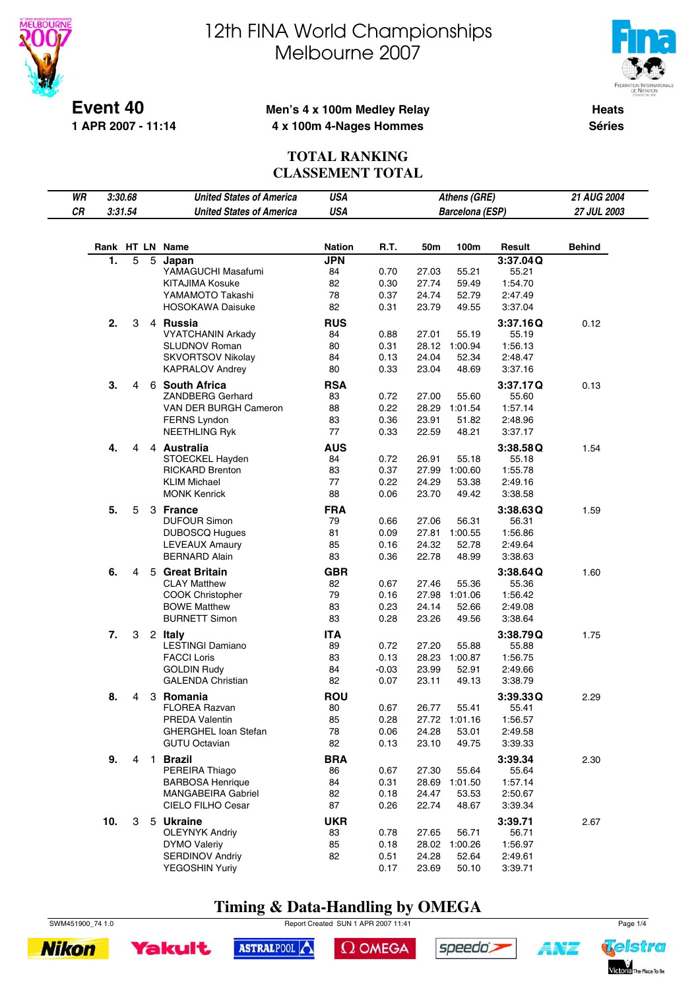



**Event 40 1 APR 2007 - 11:14**

#### **Men's 4 x 100m Medley Relay 4 x 100m 4-Nages Hommes**

**Heats Séries**

### **TOTAL RANKING CLASSEMENT TOTAL**

| WR | 3:30.68 |   |              | <b>United States of America</b>               | USA              |              |                | Athens (GRE)           |                    | 21 AUG 2004   |
|----|---------|---|--------------|-----------------------------------------------|------------------|--------------|----------------|------------------------|--------------------|---------------|
| CR | 3:31.54 |   |              | <b>United States of America</b>               | <b>USA</b>       |              |                | Barcelona (ESP)        |                    | 27 JUL 2003   |
|    |         |   |              |                                               |                  |              |                |                        |                    |               |
|    |         |   |              |                                               |                  |              |                |                        |                    |               |
|    |         |   |              | Rank HT LN Name                               | <b>Nation</b>    | R.T.         | 50m            | 100m                   | Result             | <b>Behind</b> |
|    | 1.      | 5 | 5            | Japan<br>YAMAGUCHI Masafumi                   | <b>JPN</b><br>84 | 0.70         | 27.03          | 55.21                  | 3:37.04Q<br>55.21  |               |
|    |         |   |              | KITAJIMA Kosuke                               | 82               | 0.30         | 27.74          | 59.49                  | 1:54.70            |               |
|    |         |   |              | YAMAMOTO Takashi                              | 78               | 0.37         | 24.74          | 52.79                  | 2:47.49            |               |
|    |         |   |              | <b>HOSOKAWA Daisuke</b>                       | 82               | 0.31         | 23.79          | 49.55                  | 3:37.04            |               |
|    | 2.      | 3 |              | 4 Russia                                      | <b>RUS</b>       |              |                |                        | 3:37.16Q           | 0.12          |
|    |         |   |              | <b>VYATCHANIN Arkady</b>                      | 84               | 0.88         | 27.01          | 55.19                  | 55.19              |               |
|    |         |   |              | <b>SLUDNOV Roman</b>                          | 80               | 0.31         |                | 28.12 1:00.94          | 1:56.13            |               |
|    |         |   |              | <b>SKVORTSOV Nikolay</b>                      | 84               | 0.13         | 24.04          | 52.34                  | 2:48.47            |               |
|    |         |   |              | <b>KAPRALOV Andrey</b>                        | 80               | 0.33         | 23.04          | 48.69                  | 3:37.16            |               |
|    | 3.      | 4 |              | 6 South Africa                                | <b>RSA</b>       |              |                |                        | 3:37.17Q           | 0.13          |
|    |         |   |              | ZANDBERG Gerhard                              | 83               | 0.72         | 27.00          | 55.60                  | 55.60              |               |
|    |         |   |              | VAN DER BURGH Cameron                         | 88               | 0.22         | 28.29          | 1:01.54                | 1:57.14            |               |
|    |         |   |              | <b>FERNS Lyndon</b>                           | 83               | 0.36         | 23.91          | 51.82                  | 2:48.96            |               |
|    |         |   |              | <b>NEETHLING Ryk</b>                          | 77               | 0.33         | 22.59          | 48.21                  | 3:37.17            |               |
|    | 4.      | 4 |              | 4 Australia                                   | <b>AUS</b>       |              |                |                        | 3:38.58Q           | 1.54          |
|    |         |   |              | STOECKEL Hayden                               | 84               | 0.72         | 26.91          | 55.18                  | 55.18              |               |
|    |         |   |              | <b>RICKARD Brenton</b>                        | 83               | 0.37         | 27.99          | 1:00.60                | 1:55.78            |               |
|    |         |   |              | <b>KLIM Michael</b><br><b>MONK Kenrick</b>    | 77<br>88         | 0.22<br>0.06 | 24.29<br>23.70 | 53.38<br>49.42         | 2:49.16<br>3:38.58 |               |
|    |         |   |              |                                               |                  |              |                |                        |                    |               |
|    | 5.      | 5 |              | 3 France<br><b>DUFOUR Simon</b>               | <b>FRA</b><br>79 | 0.66         | 27.06          | 56.31                  | 3:38.63Q<br>56.31  | 1.59          |
|    |         |   |              | <b>DUBOSCQ Hugues</b>                         | 81               | 0.09         |                | 27.81 1:00.55          | 1:56.86            |               |
|    |         |   |              | <b>LEVEAUX Amaury</b>                         | 85               | 0.16         | 24.32          | 52.78                  | 2:49.64            |               |
|    |         |   |              | <b>BERNARD Alain</b>                          | 83               | 0.36         | 22.78          | 48.99                  | 3:38.63            |               |
|    | 6.      | 4 |              | 5 Great Britain                               | <b>GBR</b>       |              |                |                        | 3:38.64Q           | 1.60          |
|    |         |   |              | <b>CLAY Matthew</b>                           | 82               | 0.67         | 27.46          | 55.36                  | 55.36              |               |
|    |         |   |              | <b>COOK Christopher</b>                       | 79               | 0.16         | 27.98          | 1:01.06                | 1:56.42            |               |
|    |         |   |              | <b>BOWE Matthew</b>                           | 83               | 0.23         | 24.14          | 52.66                  | 2:49.08            |               |
|    |         |   |              | <b>BURNETT Simon</b>                          | 83               | 0.28         | 23.26          | 49.56                  | 3:38.64            |               |
|    | 7.      | 3 |              | 2 Italy                                       | <b>ITA</b>       |              |                |                        | 3:38.79Q           | 1.75          |
|    |         |   |              | <b>LESTINGI Damiano</b>                       | 89               | 0.72         | 27.20          | 55.88                  | 55.88              |               |
|    |         |   |              | <b>FACCI Loris</b>                            | 83               | 0.13         | 28.23          | 1:00.87                | 1:56.75            |               |
|    |         |   |              | <b>GOLDIN Rudy</b>                            | 84               | $-0.03$      | 23.99          | 52.91                  | 2:49.66            |               |
|    |         |   |              | <b>GALENDA Christian</b>                      | 82               | 0.07         | 23.11          | 49.13                  | 3:38.79            |               |
|    | 8.      | 4 |              | 3 Romania                                     | <b>ROU</b>       |              |                |                        | 3:39.33Q           | 2.29          |
|    |         |   |              | <b>FLOREA Razvan</b>                          | 80               | 0.67         | 26.77          | 55.41                  | 55.41              |               |
|    |         |   |              | PREDA Valentin<br><b>GHERGHEL loan Stefan</b> | 85<br>78         | 0.28<br>0.06 | 24.28          | 27.72 1:01.16<br>53.01 | 1:56.57<br>2:49.58 |               |
|    |         |   |              | <b>GUTU Octavian</b>                          | 82               | 0.13         | 23.10          | 49.75                  | 3:39.33            |               |
|    |         |   |              |                                               |                  |              |                |                        |                    |               |
|    | 9.      | 4 | $\mathbf{1}$ | <b>Brazil</b><br>PEREIRA Thiago               | <b>BRA</b><br>86 | 0.67         | 27.30          | 55.64                  | 3:39.34<br>55.64   | 2.30          |
|    |         |   |              | <b>BARBOSA Henrique</b>                       | 84               | 0.31         | 28.69          | 1:01.50                | 1:57.14            |               |
|    |         |   |              | <b>MANGABEIRA Gabriel</b>                     | 82               | 0.18         | 24.47          | 53.53                  | 2:50.67            |               |
|    |         |   |              | CIELO FILHO Cesar                             | 87               | 0.26         | 22.74          | 48.67                  | 3:39.34            |               |
|    | 10.     | 3 |              | 5 Ukraine                                     | <b>UKR</b>       |              |                |                        | 3:39.71            | 2.67          |
|    |         |   |              | <b>OLEYNYK Andriy</b>                         | 83               | 0.78         | 27.65          | 56.71                  | 56.71              |               |
|    |         |   |              | <b>DYMO Valeriy</b>                           | 85               | 0.18         |                | 28.02 1:00.26          | 1:56.97            |               |
|    |         |   |              | <b>SERDINOV Andriy</b>                        | 82               | 0.51         | 24.28          | 52.64                  | 2:49.61            |               |
|    |         |   |              | YEGOSHIN Yuriy                                |                  | 0.17         | 23.69          | 50.10                  | 3:39.71            |               |

## **Timing & Data-Handling by OMEGA**





SWM451900\_74 1.0 Report Created SUN 1 APR 2007 11:41 Page 1/4

 $\Omega$  OMEGA



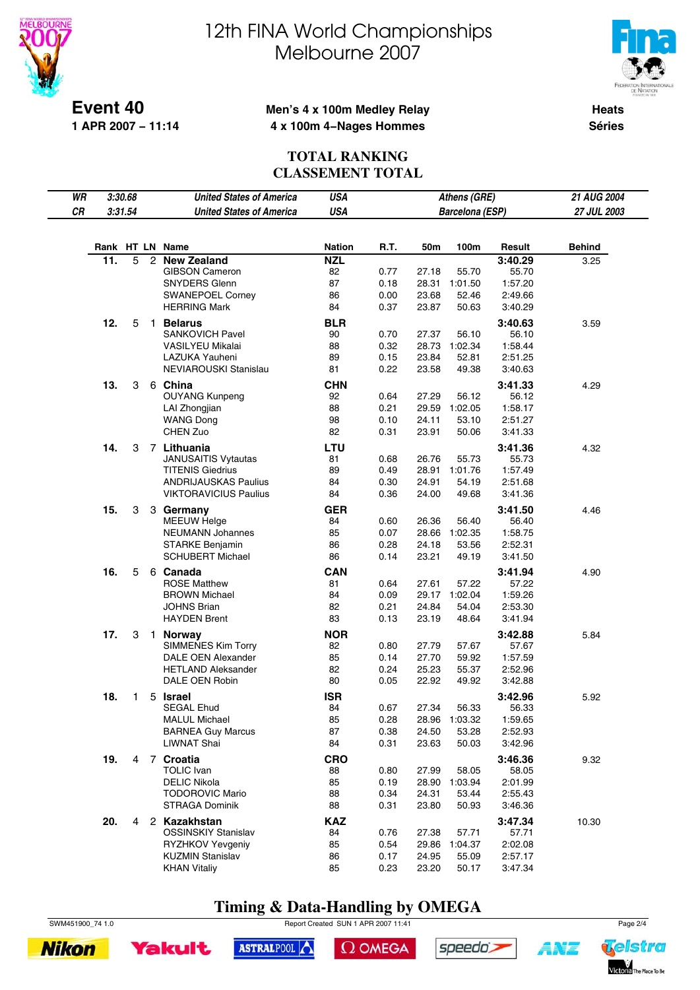



**Event 40 1 APR 2007 − 11:14**

#### **Men's 4 x 100m Medley Relay 4 x 100m 4−Nages Hommes**

**Heats Séries**

### **TOTAL RANKING CLASSEMENT TOTAL**

| WR |     | 3:30.68 |                | <b>United States of America</b>                             | <b>USA</b>       |              |                | Athens (GRE)           |                    | 21 AUG 2004   |
|----|-----|---------|----------------|-------------------------------------------------------------|------------------|--------------|----------------|------------------------|--------------------|---------------|
| CR |     | 3:31.54 |                | <b>United States of America</b>                             | <b>USA</b>       |              |                | <b>Barcelona (ESP)</b> |                    | 27 JUL 2003   |
|    |     |         |                |                                                             |                  |              |                |                        |                    |               |
|    |     |         |                |                                                             |                  |              |                |                        |                    |               |
|    |     |         |                | Rank HT LN Name                                             | <b>Nation</b>    | R.T.         | 50m            | 100m                   | Result             | <b>Behind</b> |
|    | 11. | 5       | $\mathbf{2}$   | <b>New Zealand</b><br><b>GIBSON Cameron</b>                 | <b>NZL</b><br>82 | 0.77         | 27.18          | 55.70                  | 3:40.29<br>55.70   | 3.25          |
|    |     |         |                | <b>SNYDERS Glenn</b>                                        | 87               | 0.18         | 28.31          | 1:01.50                | 1:57.20            |               |
|    |     |         |                | <b>SWANEPOEL Corney</b>                                     | 86               | 0.00         | 23.68          | 52.46                  | 2:49.66            |               |
|    |     |         |                | <b>HERRING Mark</b>                                         | 84               | 0.37         | 23.87          | 50.63                  | 3:40.29            |               |
|    |     |         |                | <b>Belarus</b>                                              |                  |              |                |                        |                    |               |
|    | 12. | 5       | $\mathbf{1}$   | <b>SANKOVICH Pavel</b>                                      | <b>BLR</b><br>90 | 0.70         | 27.37          | 56.10                  | 3:40.63<br>56.10   | 3.59          |
|    |     |         |                | <b>VASILYEU Mikalai</b>                                     | 88               | 0.32         | 28.73          | 1:02.34                | 1:58.44            |               |
|    |     |         |                | LAZUKA Yauheni                                              | 89               | 0.15         | 23.84          | 52.81                  | 2:51.25            |               |
|    |     |         |                | NEVIAROUSKI Stanislau                                       | 81               | 0.22         | 23.58          | 49.38                  | 3:40.63            |               |
|    |     |         |                |                                                             |                  |              |                |                        |                    |               |
|    | 13. | 3       |                | 6 China<br><b>OUYANG Kunpeng</b>                            | <b>CHN</b><br>92 | 0.64         | 27.29          | 56.12                  | 3:41.33<br>56.12   | 4.29          |
|    |     |         |                | LAI Zhongjian                                               | 88               | 0.21         | 29.59          | 1:02.05                | 1:58.17            |               |
|    |     |         |                | <b>WANG Dong</b>                                            | 98               | 0.10         | 24.11          | 53.10                  | 2:51.27            |               |
|    |     |         |                | CHEN Zuo                                                    | 82               | 0.31         | 23.91          | 50.06                  | 3:41.33            |               |
|    |     |         |                |                                                             |                  |              |                |                        |                    |               |
|    | 14. | 3       |                | 7 Lithuania                                                 | LTU              |              |                |                        | 3:41.36            | 4.32          |
|    |     |         |                | <b>JANUSAITIS Vytautas</b>                                  | 81               | 0.68         | 26.76          | 55.73                  | 55.73              |               |
|    |     |         |                | <b>TITENIS Giedrius</b>                                     | 89               | 0.49         | 28.91          | 1:01.76                | 1:57.49            |               |
|    |     |         |                | <b>ANDRIJAUSKAS Paulius</b><br><b>VIKTORAVICIUS Paulius</b> | 84<br>84         | 0.30<br>0.36 | 24.91<br>24.00 | 54.19<br>49.68         | 2:51.68<br>3:41.36 |               |
|    |     |         |                |                                                             |                  |              |                |                        |                    |               |
|    | 15. | 3       |                | 3 Germany                                                   | <b>GER</b>       |              |                |                        | 3:41.50            | 4.46          |
|    |     |         |                | <b>MEEUW Helge</b>                                          | 84               | 0.60         | 26.36          | 56.40                  | 56.40              |               |
|    |     |         |                | <b>NEUMANN Johannes</b>                                     | 85               | 0.07         | 28.66          | 1:02.35                | 1:58.75            |               |
|    |     |         |                | <b>STARKE Benjamin</b>                                      | 86               | 0.28         | 24.18          | 53.56                  | 2:52.31            |               |
|    |     |         |                | <b>SCHUBERT Michael</b>                                     | 86               | 0.14         | 23.21          | 49.19                  | 3:41.50            |               |
|    | 16. | 5       |                | 6 Canada                                                    | <b>CAN</b>       |              |                |                        | 3:41.94            | 4.90          |
|    |     |         |                | <b>ROSE Matthew</b>                                         | 81               | 0.64         | 27.61          | 57.22                  | 57.22              |               |
|    |     |         |                | <b>BROWN Michael</b>                                        | 84               | 0.09         |                | 29.17 1:02.04          | 1:59.26            |               |
|    |     |         |                | <b>JOHNS Brian</b>                                          | 82               | 0.21         | 24.84          | 54.04                  | 2:53.30            |               |
|    |     |         |                | <b>HAYDEN Brent</b>                                         | 83               | 0.13         | 23.19          | 48.64                  | 3:41.94            |               |
|    | 17. | 3       | $\overline{1}$ | Norway                                                      | <b>NOR</b>       |              |                |                        | 3:42.88            | 5.84          |
|    |     |         |                | SIMMENES Kim Torry                                          | 82               | 0.80         | 27.79          | 57.67                  | 57.67              |               |
|    |     |         |                | <b>DALE OEN Alexander</b>                                   | 85               | 0.14         | 27.70          | 59.92                  | 1:57.59            |               |
|    |     |         |                | <b>HETLAND Aleksander</b>                                   | 82               | 0.24         | 25.23          | 55.37                  | 2:52.96            |               |
|    |     |         |                | DALE OEN Robin                                              | 80               | 0.05         | 22.92          | 49.92                  | 3:42.88            |               |
|    | 18. | 1       |                | 5 Israel                                                    | <b>ISR</b>       |              |                |                        | 3:42.96            | 5.92          |
|    |     |         |                | <b>SEGAL Ehud</b>                                           | 84               | 0.67         | 27.34          | 56.33                  | 56.33              |               |
|    |     |         |                | <b>MALUL Michael</b>                                        | 85               | 0.28         |                | 28.96 1:03.32          | 1:59.65            |               |
|    |     |         |                | <b>BARNEA Guy Marcus</b>                                    | 87               | 0.38         | 24.50          | 53.28                  | 2:52.93            |               |
|    |     |         |                | LIWNAT Shai                                                 | 84               | 0.31         | 23.63          | 50.03                  | 3:42.96            |               |
|    | 19. | 4       |                | 7 Croatia                                                   | <b>CRO</b>       |              |                |                        | 3:46.36            | 9.32          |
|    |     |         |                | <b>TOLIC</b> Ivan                                           | 88               | 0.80         | 27.99          | 58.05                  | 58.05              |               |
|    |     |         |                | <b>DELIC Nikola</b>                                         | 85               | 0.19         | 28.90          | 1:03.94                | 2:01.99            |               |
|    |     |         |                | <b>TODOROVIC Mario</b>                                      | 88               | 0.34         | 24.31          | 53.44                  | 2:55.43            |               |
|    |     |         |                | <b>STRAGA Dominik</b>                                       | 88               | 0.31         | 23.80          | 50.93                  | 3:46.36            |               |
|    | 20. | 4       |                | 2 Kazakhstan                                                | <b>KAZ</b>       |              |                |                        | 3:47.34            | 10.30         |
|    |     |         |                | <b>OSSINSKIY Stanislav</b>                                  | 84               | 0.76         | 27.38          | 57.71                  | 57.71              |               |
|    |     |         |                | RYZHKOV Yevgeniy                                            | 85               | 0.54         | 29.86          | 1:04.37                | 2:02.08            |               |
|    |     |         |                | <b>KUZMIN Stanislav</b>                                     | 86               | 0.17         | 24.95          | 55.09                  | 2:57.17            |               |
|    |     |         |                | <b>KHAN Vitaliy</b>                                         | 85               | 0.23         | 23.20          | 50.17                  | 3:47.34            |               |

### **Timing & Data-Handling by OMEGA**

SWM451900\_74 1.0 Report Created SUN 1 APR 2007 11:41 Page 2/4





ASTRALPOOL  $\Omega$  OMEGA



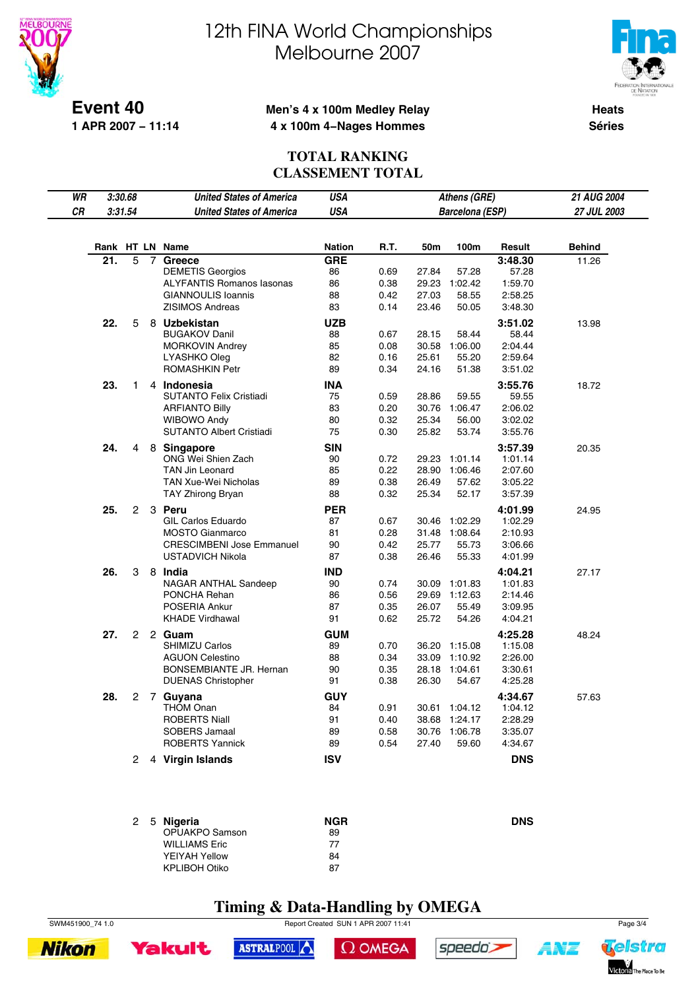



**Event 40 1 APR 2007 − 11:14**

#### **Men's 4 x 100m Medley Relay 4 x 100m 4−Nages Hommes**

**Heats Séries**

### **TOTAL RANKING CLASSEMENT TOTAL**

| WR |     | 3:30.68              |                | <b>United States of America</b>  | <b>USA</b>    |      |       | Athens (GRE)           |            | <b>21 AUG 2004</b> |
|----|-----|----------------------|----------------|----------------------------------|---------------|------|-------|------------------------|------------|--------------------|
| CR |     | 3:31.54              |                | <b>United States of America</b>  | <b>USA</b>    |      |       | <b>Barcelona (ESP)</b> |            | 27 JUL 2003        |
|    |     |                      |                |                                  |               |      |       |                        |            |                    |
|    |     |                      |                | Rank HT LN Name                  | <b>Nation</b> | R.T. | 50m   | 100m                   | Result     | <b>Behind</b>      |
|    | 21. | $\overline{5}$       | $\overline{7}$ | Greece                           | <b>GRE</b>    |      |       |                        | 3:48.30    | 11.26              |
|    |     |                      |                | <b>DEMETIS Georgios</b>          | 86            | 0.69 | 27.84 | 57.28                  | 57.28      |                    |
|    |     |                      |                | <b>ALYFANTIS Romanos lasonas</b> | 86            | 0.38 | 29.23 | 1:02.42                | 1:59.70    |                    |
|    |     |                      |                | <b>GIANNOULIS Ioannis</b>        | 88            | 0.42 | 27.03 | 58.55                  | 2:58.25    |                    |
|    |     |                      |                | <b>ZISIMOS Andreas</b>           | 83            | 0.14 | 23.46 | 50.05                  | 3:48.30    |                    |
|    | 22. | 5                    |                | 8 Uzbekistan                     | <b>UZB</b>    |      |       |                        | 3:51.02    | 13.98              |
|    |     |                      |                | <b>BUGAKOV Danil</b>             | 88            | 0.67 | 28.15 | 58.44                  | 58.44      |                    |
|    |     |                      |                | <b>MORKOVIN Andrey</b>           | 85            | 0.08 | 30.58 | 1:06.00                | 2:04.44    |                    |
|    |     |                      |                | LYASHKO Oleg                     | 82            | 0.16 | 25.61 | 55.20                  | 2:59.64    |                    |
|    |     |                      |                | <b>ROMASHKIN Petr</b>            | 89            | 0.34 | 24.16 | 51.38                  | 3:51.02    |                    |
|    | 23. | 1                    |                | 4 Indonesia                      | <b>INA</b>    |      |       |                        | 3:55.76    | 18.72              |
|    |     |                      |                | <b>SUTANTO Felix Cristiadi</b>   | 75            | 0.59 | 28.86 | 59.55                  | 59.55      |                    |
|    |     |                      |                | <b>ARFIANTO Billy</b>            | 83            | 0.20 |       | 30.76 1:06.47          | 2:06.02    |                    |
|    |     |                      |                | <b>WIBOWO Andy</b>               | 80            | 0.32 | 25.34 | 56.00                  | 3:02.02    |                    |
|    |     |                      |                | <b>SUTANTO Albert Cristiadi</b>  | 75            | 0.30 | 25.82 | 53.74                  | 3:55.76    |                    |
|    | 24. | 4                    |                | 8 Singapore                      | <b>SIN</b>    |      |       |                        | 3:57.39    | 20.35              |
|    |     |                      |                | ONG Wei Shien Zach               | 90            | 0.72 | 29.23 | 1:01.14                | 1:01.14    |                    |
|    |     |                      |                | <b>TAN Jin Leonard</b>           | 85            | 0.22 | 28.90 | 1:06.46                | 2:07.60    |                    |
|    |     |                      |                | <b>TAN Xue-Wei Nicholas</b>      | 89            | 0.38 | 26.49 | 57.62                  | 3:05.22    |                    |
|    |     |                      |                | TAY Zhirong Bryan                | 88            | 0.32 | 25.34 | 52.17                  | 3:57.39    |                    |
|    | 25. |                      |                | 2 3 Peru                         | <b>PER</b>    |      |       |                        | 4:01.99    | 24.95              |
|    |     |                      |                | <b>GIL Carlos Eduardo</b>        | 87            | 0.67 | 30.46 | 1:02.29                | 1:02.29    |                    |
|    |     |                      |                | <b>MOSTO Gianmarco</b>           | 81            | 0.28 |       | 31.48 1:08.64          | 2:10.93    |                    |
|    |     |                      |                | <b>CRESCIMBENI Jose Emmanuel</b> | 90            | 0.42 | 25.77 | 55.73                  | 3:06.66    |                    |
|    |     |                      |                | <b>USTADVICH Nikola</b>          | 87            | 0.38 | 26.46 | 55.33                  | 4:01.99    |                    |
|    | 26. | 3                    |                | 8 India                          | <b>IND</b>    |      |       |                        | 4:04.21    | 27.17              |
|    |     |                      |                | NAGAR ANTHAL Sandeep             | 90            | 0.74 | 30.09 | 1:01.83                | 1:01.83    |                    |
|    |     |                      |                | PONCHA Rehan                     | 86            | 0.56 | 29.69 | 1:12.63                | 2:14.46    |                    |
|    |     |                      |                | POSERIA Ankur                    | 87            | 0.35 | 26.07 | 55.49                  | 3:09.95    |                    |
|    |     |                      |                | <b>KHADE Virdhawal</b>           | 91            | 0.62 | 25.72 | 54.26                  | 4:04.21    |                    |
|    | 27. | $^{2}$               |                | 2 Guam                           | <b>GUM</b>    |      |       |                        | 4:25.28    | 48.24              |
|    |     |                      |                | SHIMIZU Carlos                   | 89            | 0.70 | 36.20 | 1:15.08                | 1:15.08    |                    |
|    |     |                      |                | <b>AGUON Celestino</b>           | 88            | 0.34 | 33.09 | 1:10.92                | 2:26.00    |                    |
|    |     |                      |                | BONSEMBIANTE JR. Hernan          | 90            | 0.35 | 28.18 | 1:04.61                | 3:30.61    |                    |
|    |     |                      |                | <b>DUENAS Christopher</b>        | 91            | 0.38 | 26.30 | 54.67                  | 4:25.28    |                    |
|    | 28. |                      |                | 2 7 Guyana                       | <b>GUY</b>    |      |       |                        | 4:34.67    | 57.63              |
|    |     |                      |                | <b>THOM Onan</b>                 | 84            | 0.91 |       | 30.61 1:04.12          | 1:04.12    |                    |
|    |     |                      |                | <b>ROBERTS Niall</b>             | 91            | 0.40 | 38.68 | 1:24.17                | 2:28.29    |                    |
|    |     |                      |                | <b>SOBERS Jamaal</b>             | 89            | 0.58 |       | 30.76 1:06.78          | 3:35.07    |                    |
|    |     |                      |                | <b>ROBERTS Yannick</b>           | 89            | 0.54 | 27.40 | 59.60                  | 4:34.67    |                    |
|    |     | $\mathbf{2}^{\circ}$ |                | 4 Virgin Islands                 | <b>ISV</b>    |      |       |                        | <b>DNS</b> |                    |

| 2 5 Nigeria          | <b>NGR</b> | <b>DNS</b> |
|----------------------|------------|------------|
| OPUAKPO Samson       | 89         |            |
| <b>WILLIAMS Eric</b> | 77         |            |
| YEIYAH Yellow        | 84         |            |
| <b>KPLIBOH Otiko</b> | 87         |            |
|                      |            |            |

**Timing & Data-Handling by OMEGA**

SWM451900\_74 1.0 Report Created SUN 1 APR 2007 11:41 Page 3/4





 $\Omega$  OMEGA





ANT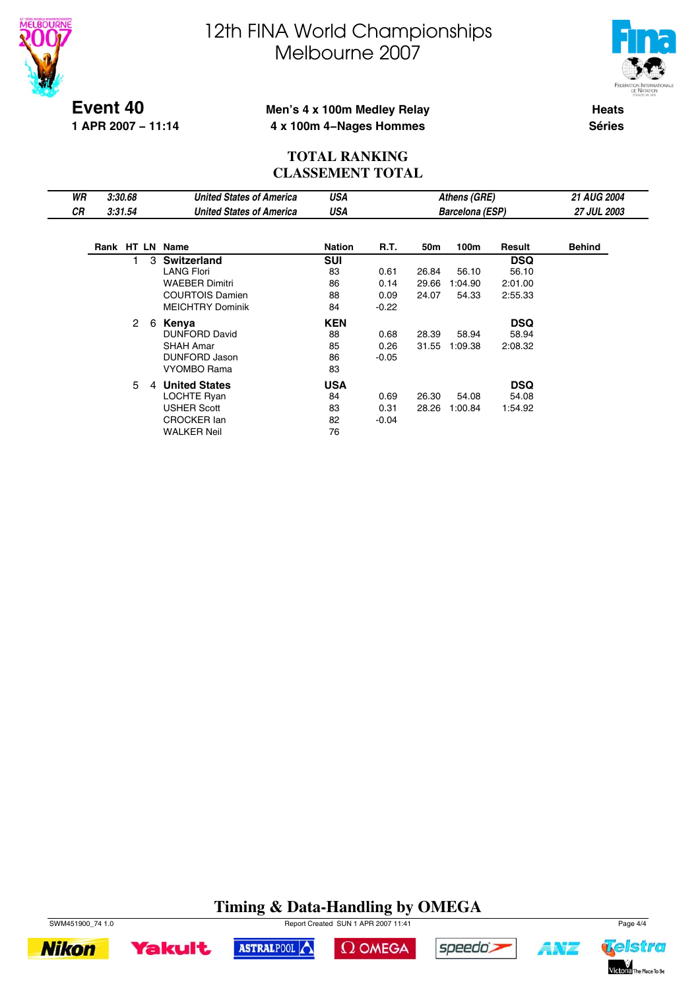



**Event 40 1 APR 2007 − 11:14**

### **Men's 4 x 100m Medley Relay 4 x 100m 4−Nages Hommes**

**Heats Séries**

### **TOTAL RANKING CLASSEMENT TOTAL**

| WR | 3:30.68 |                      |   | <b>United States of America</b> | USA           |         |       | Athens (GRE)           |            | <b>21 AUG 2004</b> |  |
|----|---------|----------------------|---|---------------------------------|---------------|---------|-------|------------------------|------------|--------------------|--|
| СR |         | 3:31.54              |   | <b>United States of America</b> | USA           |         |       | <b>Barcelona (ESP)</b> |            | <b>27 JUL 2003</b> |  |
|    |         |                      |   |                                 |               |         |       |                        |            |                    |  |
|    |         |                      |   | Rank HT LN Name                 | <b>Nation</b> | R.T.    | 50m   | 100m                   | Result     | <b>Behind</b>      |  |
|    |         |                      |   | 3 Switzerland                   | <b>SUI</b>    |         |       |                        | <b>DSQ</b> |                    |  |
|    |         |                      |   | <b>LANG Flori</b>               | 83            | 0.61    | 26.84 | 56.10                  | 56.10      |                    |  |
|    |         |                      |   | <b>WAEBER Dimitri</b>           | 86            | 0.14    | 29.66 | 1:04.90                | 2:01.00    |                    |  |
|    |         |                      |   | <b>COURTOIS Damien</b>          | 88            | 0.09    | 24.07 | 54.33                  | 2:55.33    |                    |  |
|    |         |                      |   | <b>MEICHTRY Dominik</b>         | 84            | $-0.22$ |       |                        |            |                    |  |
|    |         | $\mathbf{2}^{\circ}$ | 6 | Kenya                           | <b>KEN</b>    |         |       |                        | <b>DSQ</b> |                    |  |
|    |         |                      |   | <b>DUNFORD David</b>            | 88            | 0.68    | 28.39 | 58.94                  | 58.94      |                    |  |
|    |         |                      |   | <b>SHAH Amar</b>                | 85            | 0.26    | 31.55 | 1:09.38                | 2:08.32    |                    |  |
|    |         |                      |   | DUNFORD Jason                   | 86            | $-0.05$ |       |                        |            |                    |  |
|    |         |                      |   | VYOMBO Rama                     | 83            |         |       |                        |            |                    |  |
|    |         | 5                    | 4 | <b>United States</b>            | <b>USA</b>    |         |       |                        | <b>DSQ</b> |                    |  |
|    |         |                      |   | LOCHTE Ryan                     | 84            | 0.69    | 26.30 | 54.08                  | 54.08      |                    |  |
|    |         |                      |   | USHER Scott                     | 83            | 0.31    | 28.26 | 1:00.84                | 1:54.92    |                    |  |
|    |         |                      |   | <b>CROCKER lan</b>              | 82            | $-0.04$ |       |                        |            |                    |  |
|    |         |                      |   | <b>WALKER Neil</b>              | 76            |         |       |                        |            |                    |  |

## **Timing & Data-Handling by OMEGA**

 $\Omega$  OMEGA

speedo;

ASTRALPOOL



**Yakult** 



ANT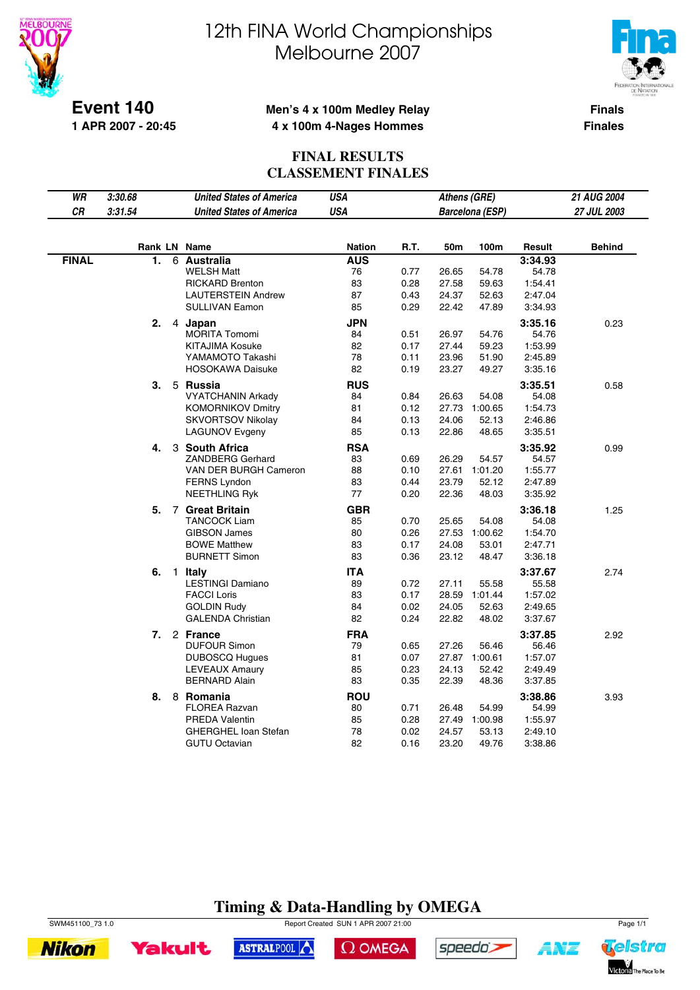

**1 APR 2007 - 20:45**

# 12th FINA World Championships Melbourne 2007



**Finals**

**Finales**

### **Men's 4 x 100m Medley Relay 4 x 100m 4-Nages Hommes**

#### **FINAL RESULTS CLASSEMENT FINALES**

| WR           | 3:30.68 |                | <b>United States of America</b>                | <b>USA</b>    |              | Athens (GRE)   |                 |                    | 21 AUG 2004   |
|--------------|---------|----------------|------------------------------------------------|---------------|--------------|----------------|-----------------|--------------------|---------------|
| CR           | 3:31.54 |                | <b>United States of America</b>                | <b>USA</b>    |              |                | Barcelona (ESP) |                    | 27 JUL 2003   |
|              |         |                |                                                |               |              |                |                 |                    |               |
|              |         |                | Rank LN Name                                   | <b>Nation</b> | R.T.         | 50m            | 100m            | Result             | <b>Behind</b> |
| <b>FINAL</b> | 1.      | 6              | <b>Australia</b>                               | <b>AUS</b>    |              |                |                 | 3:34.93            |               |
|              |         |                | <b>WELSH Matt</b>                              | 76            | 0.77         | 26.65          | 54.78           | 54.78              |               |
|              |         |                | <b>RICKARD Brenton</b>                         | 83            | 0.28         | 27.58          | 59.63           | 1:54.41            |               |
|              |         |                | <b>LAUTERSTEIN Andrew</b>                      | 87            | 0.43         | 24.37          | 52.63           | 2:47.04            |               |
|              |         |                | <b>SULLIVAN Eamon</b>                          | 85            | 0.29         | 22.42          | 47.89           | 3:34.93            |               |
|              | 2.      | 4              | Japan                                          | <b>JPN</b>    |              |                |                 | 3:35.16            | 0.23          |
|              |         |                | <b>MORITA Tomomi</b>                           | 84            | 0.51         | 26.97          | 54.76           | 54.76              |               |
|              |         |                | <b>KITAJIMA Kosuke</b>                         | 82            | 0.17         | 27.44          | 59.23           | 1:53.99            |               |
|              |         |                | YAMAMOTO Takashi                               | 78            | 0.11         | 23.96          | 51.90           | 2:45.89            |               |
|              |         |                | <b>HOSOKAWA Daisuke</b>                        | 82            | 0.19         | 23.27          | 49.27           | 3:35.16            |               |
|              | 3.      |                | 5 Russia                                       | <b>RUS</b>    |              |                |                 | 3:35.51            | 0.58          |
|              |         |                | <b>VYATCHANIN Arkady</b>                       | 84            | 0.84         | 26.63          | 54.08           | 54.08              |               |
|              |         |                | <b>KOMORNIKOV Dmitry</b>                       | 81            | 0.12         | 27.73          | 1:00.65         | 1:54.73            |               |
|              |         |                | <b>SKVORTSOV Nikolay</b>                       | 84            | 0.13         | 24.06          | 52.13           | 2:46.86            |               |
|              |         |                | <b>LAGUNOV Evgeny</b>                          | 85            | 0.13         | 22.86          | 48.65           | 3:35.51            |               |
|              | 4.      |                | 3 South Africa                                 | <b>RSA</b>    |              |                |                 | 3:35.92            | 0.99          |
|              |         |                | <b>ZANDBERG Gerhard</b>                        | 83            | 0.69         | 26.29          | 54.57           | 54.57              |               |
|              |         |                | VAN DER BURGH Cameron                          | 88            | 0.10         | 27.61          | 1:01.20         | 1:55.77            |               |
|              |         |                | <b>FERNS Lyndon</b>                            | 83            | 0.44         | 23.79          | 52.12           | 2:47.89            |               |
|              |         |                | NEETHLING Ryk                                  | 77            | 0.20         | 22.36          | 48.03           | 3:35.92            |               |
|              | 5.      |                | 7 Great Britain                                | <b>GBR</b>    |              |                |                 | 3:36.18            | 1.25          |
|              |         |                | <b>TANCOCK Liam</b>                            | 85            | 0.70         | 25.65          | 54.08           | 54.08              |               |
|              |         |                | <b>GIBSON James</b>                            | 80            | 0.26         | 27.53          | 1:00.62         | 1:54.70            |               |
|              |         |                | <b>BOWE Matthew</b>                            | 83            | 0.17         | 24.08          | 53.01           | 2:47.71            |               |
|              |         |                | <b>BURNETT Simon</b>                           | 83            | 0.36         | 23.12          | 48.47           | 3:36.18            |               |
|              | 6.      | $\overline{1}$ | Italy                                          | <b>ITA</b>    |              |                |                 | 3:37.67            | 2.74          |
|              |         |                | <b>LESTINGI Damiano</b>                        | 89            | 0.72         | 27.11          | 55.58           | 55.58              |               |
|              |         |                | <b>FACCI Loris</b>                             | 83            | 0.17         | 28.59          | 1:01.44         | 1:57.02            |               |
|              |         |                | <b>GOLDIN Rudy</b><br><b>GALENDA Christian</b> | 84<br>82      | 0.02<br>0.24 | 24.05<br>22.82 | 52.63<br>48.02  | 2:49.65<br>3:37.67 |               |
|              |         |                |                                                |               |              |                |                 |                    |               |
|              | 7.      |                | 2 France                                       | <b>FRA</b>    |              |                |                 | 3:37.85            | 2.92          |
|              |         |                | <b>DUFOUR Simon</b>                            | 79            | 0.65         | 27.26          | 56.46           | 56.46              |               |
|              |         |                | <b>DUBOSCQ Hugues</b>                          | 81            | 0.07         |                | 27.87 1:00.61   | 1:57.07            |               |
|              |         |                | <b>LEVEAUX Amaury</b><br><b>BERNARD Alain</b>  | 85<br>83      | 0.23<br>0.35 | 24.13<br>22.39 | 52.42<br>48.36  | 2:49.49            |               |
|              |         |                |                                                |               |              |                |                 | 3:37.85            |               |
|              | 8.      |                | 8 Romania                                      | <b>ROU</b>    |              |                |                 | 3:38.86            | 3.93          |
|              |         |                | <b>FLOREA Razvan</b>                           | 80            | 0.71         | 26.48          | 54.99           | 54.99              |               |
|              |         |                | <b>PREDA Valentin</b>                          | 85            | 0.28         | 27.49          | 1:00.98         | 1:55.97            |               |
|              |         |                | <b>GHERGHEL loan Stefan</b>                    | 78            | 0.02         | 24.57          | 53.13           | 2:49.10            |               |
|              |         |                | <b>GUTU Octavian</b>                           | 82            | 0.16         | 23.20          | 49.76           | 3:38.86            |               |

## **Timing & Data-Handling by OMEGA**

SWM451100\_73 1.0 Page 1/1





 $\Omega$  OMEGA



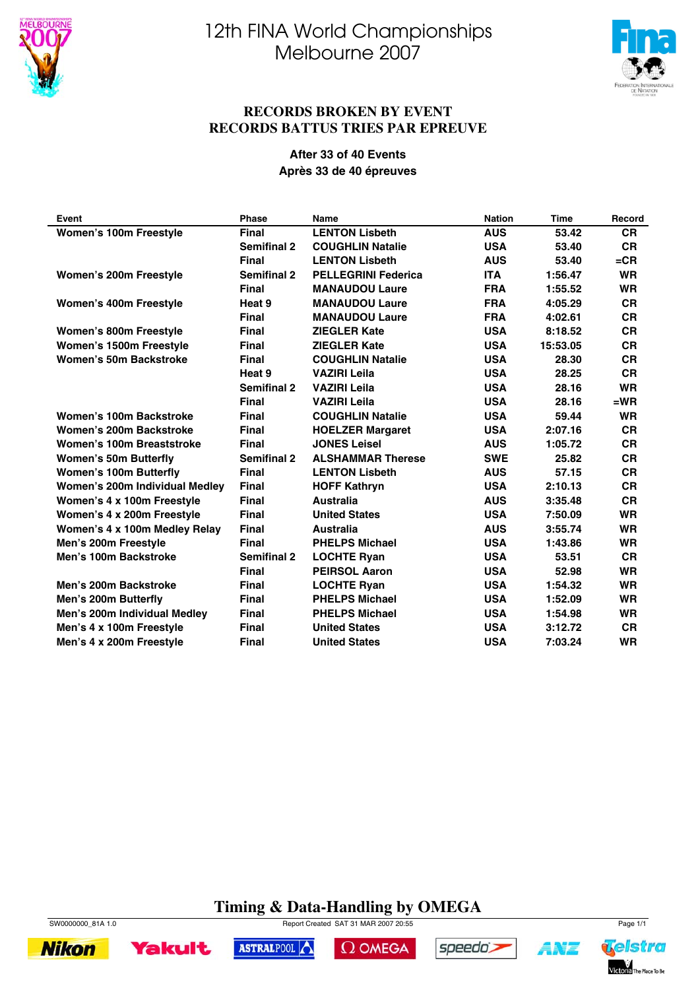



#### **RECORDS BROKEN BY EVENT RECORDS BATTUS TRIES PAR EPREUVE**

#### **After 33 of 40 Events Après 33 de 40 épreuves**

| Event                          | <b>Phase</b>       | <b>Name</b>                | <b>Nation</b> | <b>Time</b> | Record    |
|--------------------------------|--------------------|----------------------------|---------------|-------------|-----------|
| Women's 100m Freestyle         | <b>Final</b>       | <b>LENTON Lisbeth</b>      | <b>AUS</b>    | 53.42       | <b>CR</b> |
|                                | <b>Semifinal 2</b> | <b>COUGHLIN Natalie</b>    | <b>USA</b>    | 53.40       | <b>CR</b> |
|                                | <b>Final</b>       | <b>LENTON Lisbeth</b>      | <b>AUS</b>    | 53.40       | $=$ CR    |
| Women's 200m Freestyle         | <b>Semifinal 2</b> | <b>PELLEGRINI Federica</b> | <b>ITA</b>    | 1:56.47     | <b>WR</b> |
|                                | <b>Final</b>       | <b>MANAUDOU Laure</b>      | <b>FRA</b>    | 1:55.52     | <b>WR</b> |
| <b>Women's 400m Freestyle</b>  | Heat 9             | <b>MANAUDOU Laure</b>      | <b>FRA</b>    | 4:05.29     | <b>CR</b> |
|                                | <b>Final</b>       | <b>MANAUDOU Laure</b>      | <b>FRA</b>    | 4:02.61     | <b>CR</b> |
| Women's 800m Freestyle         | <b>Final</b>       | <b>ZIEGLER Kate</b>        | <b>USA</b>    | 8:18.52     | <b>CR</b> |
| Women's 1500m Freestyle        | <b>Final</b>       | <b>ZIEGLER Kate</b>        | <b>USA</b>    | 15:53.05    | <b>CR</b> |
| Women's 50m Backstroke         | <b>Final</b>       | <b>COUGHLIN Natalie</b>    | <b>USA</b>    | 28.30       | <b>CR</b> |
|                                | Heat 9             | <b>VAZIRI Leila</b>        | <b>USA</b>    | 28.25       | <b>CR</b> |
|                                | <b>Semifinal 2</b> | <b>VAZIRI Leila</b>        | <b>USA</b>    | 28.16       | <b>WR</b> |
|                                | <b>Final</b>       | <b>VAZIRI Leila</b>        | <b>USA</b>    | 28.16       | $=$ WR    |
| Women's 100m Backstroke        | <b>Final</b>       | <b>COUGHLIN Natalie</b>    | <b>USA</b>    | 59.44       | <b>WR</b> |
| Women's 200m Backstroke        | <b>Final</b>       | <b>HOELZER Margaret</b>    | <b>USA</b>    | 2:07.16     | <b>CR</b> |
| Women's 100m Breaststroke      | <b>Final</b>       | <b>JONES Leisel</b>        | <b>AUS</b>    | 1:05.72     | <b>CR</b> |
| <b>Women's 50m Butterfly</b>   | <b>Semifinal 2</b> | <b>ALSHAMMAR Therese</b>   | <b>SWE</b>    | 25.82       | <b>CR</b> |
| <b>Women's 100m Butterfly</b>  | <b>Final</b>       | <b>LENTON Lisbeth</b>      | <b>AUS</b>    | 57.15       | <b>CR</b> |
| Women's 200m Individual Medley | <b>Final</b>       | <b>HOFF Kathryn</b>        | <b>USA</b>    | 2:10.13     | <b>CR</b> |
| Women's 4 x 100m Freestyle     | <b>Final</b>       | <b>Australia</b>           | <b>AUS</b>    | 3:35.48     | <b>CR</b> |
| Women's 4 x 200m Freestyle     | <b>Final</b>       | <b>United States</b>       | <b>USA</b>    | 7:50.09     | <b>WR</b> |
| Women's 4 x 100m Medley Relay  | <b>Final</b>       | <b>Australia</b>           | <b>AUS</b>    | 3:55.74     | <b>WR</b> |
| Men's 200m Freestyle           | <b>Final</b>       | <b>PHELPS Michael</b>      | <b>USA</b>    | 1:43.86     | <b>WR</b> |
| Men's 100m Backstroke          | <b>Semifinal 2</b> | <b>LOCHTE Ryan</b>         | <b>USA</b>    | 53.51       | <b>CR</b> |
|                                | <b>Final</b>       | <b>PEIRSOL Aaron</b>       | <b>USA</b>    | 52.98       | <b>WR</b> |
| Men's 200m Backstroke          | <b>Final</b>       | <b>LOCHTE Ryan</b>         | <b>USA</b>    | 1:54.32     | <b>WR</b> |
| Men's 200m Butterfly           | <b>Final</b>       | <b>PHELPS Michael</b>      | <b>USA</b>    | 1:52.09     | <b>WR</b> |
| Men's 200m Individual Medley   | <b>Final</b>       | <b>PHELPS Michael</b>      | <b>USA</b>    | 1:54.98     | <b>WR</b> |
| Men's 4 x 100m Freestyle       | <b>Final</b>       | <b>United States</b>       | <b>USA</b>    | 3:12.72     | <b>CR</b> |
| Men's 4 x 200m Freestyle       | <b>Final</b>       | <b>United States</b>       | <b>USA</b>    | 7:03.24     | <b>WR</b> |

### **Timing & Data-Handling by OMEGA**



**Nikon** 



 $\Omega$  OMEGA



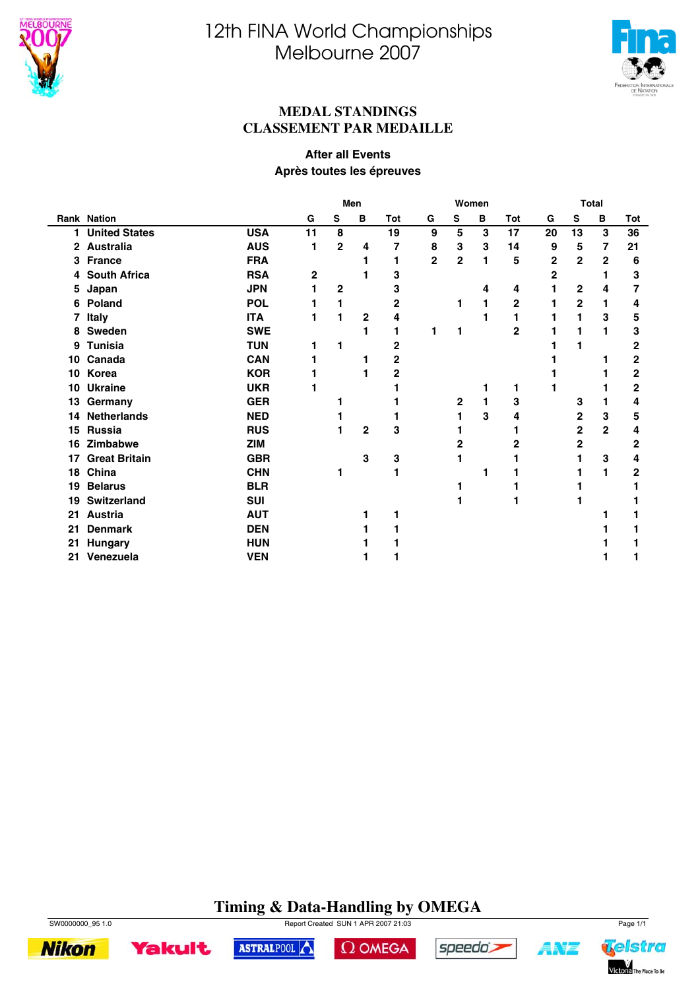



Telstra

Victoria The Place To Be

A¥Z

#### **MEDAL STANDINGS CLASSEMENT PAR MEDAILLE**

#### **After all Events Après toutes les épreuves**

|              |                      |            |    | Men          |                |     |                | <b>Total</b>   |   |                |              |                |                |                |
|--------------|----------------------|------------|----|--------------|----------------|-----|----------------|----------------|---|----------------|--------------|----------------|----------------|----------------|
|              | <b>Rank Nation</b>   |            | G  | S            | B              | Tot | G              | S              | B | Tot            | G            | S              | B              | Tot            |
| 1            | <b>United States</b> | <b>USA</b> | 11 | 8            |                | 19  | 9              | 5              | 3 | 17             | 20           | 13             | 3              | 36             |
| $\mathbf{2}$ | <b>Australia</b>     | <b>AUS</b> | 1  | $\mathbf 2$  | 4              | 7   | 8              | 3              | 3 | 14             | 9            | 5              | 7              | 21             |
| 3            | <b>France</b>        | <b>FRA</b> |    |              | 1              | 1   | $\overline{2}$ | $\overline{2}$ | 1 | 5              | $\mathbf{2}$ | $\overline{2}$ | $\overline{2}$ | 6              |
| 4            | <b>South Africa</b>  | <b>RSA</b> | 2  |              | 1              | 3   |                |                |   |                | $\mathbf 2$  |                | 1              | 3              |
| 5            | Japan                | <b>JPN</b> | 1  | $\mathbf{2}$ |                | 3   |                |                | 4 | 4              |              | 2              | 4              | $\overline{7}$ |
| 6            | Poland               | <b>POL</b> |    | 1            |                | 2   |                | 1              | 1 | 2              |              | 2              | 1              | 4              |
| 7            | <b>Italy</b>         | <b>ITA</b> |    | 1            | 2              | 4   |                |                | 1 | 1              |              | 1              | 3              | 5              |
| 8            | <b>Sweden</b>        | <b>SWE</b> |    |              | 1              |     | 1              | 1              |   | $\overline{2}$ |              | 1              | 1              | 3              |
| 9            | <b>Tunisia</b>       | <b>TUN</b> | 1  | 1            |                | 2   |                |                |   |                |              | 1              |                | 2              |
| 10           | Canada               | <b>CAN</b> |    |              | 1              | 2   |                |                |   |                |              |                |                | $\mathbf 2$    |
| 10           | Korea                | <b>KOR</b> |    |              | 1              | 2   |                |                |   |                |              |                |                | $\mathbf 2$    |
| 10           | <b>Ukraine</b>       | <b>UKR</b> |    |              |                |     |                |                | 1 | 1              |              |                |                | $\mathbf 2$    |
| 13           | Germany              | <b>GER</b> |    |              |                |     |                | $\mathbf{2}$   | 1 | 3              |              | 3              | 1              | 4              |
| 14           | <b>Netherlands</b>   | <b>NED</b> |    |              |                |     |                | 1              | 3 | 4              |              | 2              | 3              | 5              |
| 15           | <b>Russia</b>        | <b>RUS</b> |    | 1            | $\overline{2}$ | 3   |                |                |   | 1              |              | 2              | $\overline{2}$ | 4              |
| 16           | Zimbabwe             | <b>ZIM</b> |    |              |                |     |                | 2              |   | 2              |              | 2              |                | $\mathbf 2$    |
| 17           | <b>Great Britain</b> | <b>GBR</b> |    |              | 3              | 3   |                | 1              |   |                |              | 1              | 3              | 4              |
| 18           | China                | <b>CHN</b> |    | 1            |                |     |                |                | 1 |                |              | 1              | 1              | 2              |
| 19           | <b>Belarus</b>       | <b>BLR</b> |    |              |                |     |                | 1              |   |                |              |                |                |                |
| 19           | <b>Switzerland</b>   | <b>SUI</b> |    |              |                |     |                | 1              |   | 1              |              | 1              |                |                |
| 21           | <b>Austria</b>       | <b>AUT</b> |    |              | 1              |     |                |                |   |                |              |                |                |                |
| 21           | <b>Denmark</b>       | <b>DEN</b> |    |              |                |     |                |                |   |                |              |                |                |                |
| 21           | <b>Hungary</b>       | <b>HUN</b> |    |              |                |     |                |                |   |                |              |                |                | 1              |
| 21           | Venezuela            | <b>VEN</b> |    |              | 1              |     |                |                |   |                |              |                |                | 1              |
|              |                      |            |    |              |                |     |                |                |   |                |              |                |                |                |

#### SW0000000\_95 1.0 Page 1/1 **Timing & Data-Handling by OMEGA**

 $\Omega$  OMEGA

speedo's

ASTRALPOOL



**Yakult**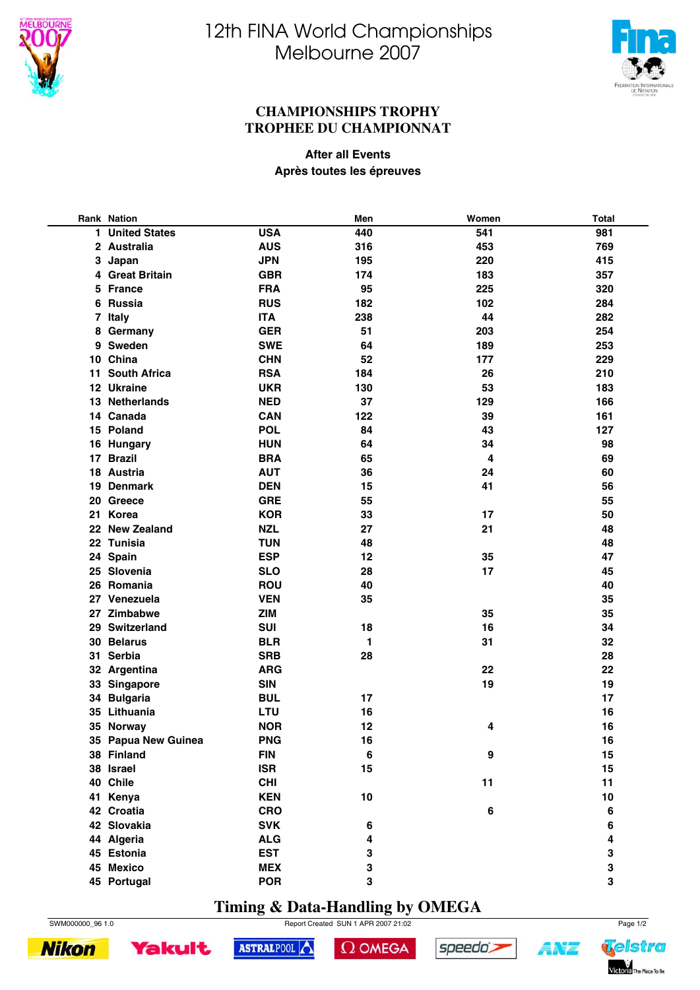



#### **CHAMPIONSHIPS TROPHY TROPHEE DU CHAMPIONNAT**

**After all Events Après toutes les épreuves**

|    | <b>Rank Nation</b>   |            | Men | Women | <b>Total</b> |
|----|----------------------|------------|-----|-------|--------------|
| 1. | <b>United States</b> | <b>USA</b> | 440 | 541   | 981          |
|    | 2 Australia          | <b>AUS</b> | 316 | 453   | 769          |
|    | 3 Japan              | <b>JPN</b> | 195 | 220   | 415          |
|    | 4 Great Britain      | <b>GBR</b> | 174 | 183   | 357          |
| 5  | <b>France</b>        | <b>FRA</b> | 95  | 225   | 320          |
| 6  | <b>Russia</b>        | <b>RUS</b> | 182 | 102   | 284          |
|    | 7 Italy              | <b>ITA</b> | 238 | 44    | 282          |
| 8  | Germany              | <b>GER</b> | 51  | 203   | 254          |
|    | 9 Sweden             | <b>SWE</b> | 64  | 189   | 253          |
|    | 10 China             | <b>CHN</b> | 52  | 177   | 229          |
|    | 11 South Africa      | <b>RSA</b> | 184 | 26    | 210          |
|    | 12 Ukraine           | <b>UKR</b> | 130 | 53    | 183          |
|    | 13 Netherlands       | <b>NED</b> | 37  | 129   | 166          |
|    | 14 Canada            | <b>CAN</b> | 122 | 39    | 161          |
|    | 15 Poland            | <b>POL</b> | 84  | 43    | 127          |
|    | 16 Hungary           | <b>HUN</b> | 64  | 34    | 98           |
|    | 17 Brazil            | <b>BRA</b> | 65  | 4     | 69           |
|    | 18 Austria           | <b>AUT</b> | 36  | 24    | 60           |
|    | 19 Denmark           | <b>DEN</b> | 15  | 41    | 56           |
|    | 20 Greece            | <b>GRE</b> | 55  |       | 55           |
|    | 21 Korea             | <b>KOR</b> | 33  | 17    | 50           |
|    | 22 New Zealand       | <b>NZL</b> | 27  | 21    | 48           |
|    | 22 Tunisia           | <b>TUN</b> | 48  |       | 48           |
|    | 24 Spain             | <b>ESP</b> | 12  | 35    | 47           |
|    | 25 Slovenia          | <b>SLO</b> | 28  | 17    | 45           |
|    | 26 Romania           | <b>ROU</b> | 40  |       | 40           |
|    | 27 Venezuela         | <b>VEN</b> | 35  |       | 35           |
| 27 | Zimbabwe             | <b>ZIM</b> |     | 35    | 35           |
|    | 29 Switzerland       | SUI        | 18  | 16    | 34           |
|    | 30 Belarus           | <b>BLR</b> | 1   | 31    | 32           |
|    | 31 Serbia            | <b>SRB</b> | 28  |       | 28           |
|    | 32 Argentina         | <b>ARG</b> |     | 22    | 22           |
|    | 33 Singapore         | <b>SIN</b> |     | 19    | 19           |
|    | 34 Bulgaria          | <b>BUL</b> | 17  |       | 17           |
|    | 35 Lithuania         | LTU        | 16  |       | 16           |
|    | 35 Norway            | <b>NOR</b> | 12  | 4     | 16           |
|    | 35 Papua New Guinea  | <b>PNG</b> | 16  |       | 16           |
|    | 38 Finland           | <b>FIN</b> | 6   | 9     | 15           |
|    | 38 Israel            | <b>ISR</b> | 15  |       | 15           |
|    | 40 Chile             | <b>CHI</b> |     | 11    | 11           |
|    | 41 Kenya             | <b>KEN</b> | 10  |       | 10           |
|    | 42 Croatia           | <b>CRO</b> |     | 6     | $\bf 6$      |
|    | 42 Slovakia          | <b>SVK</b> | 6   |       | 6            |
|    | 44 Algeria           | <b>ALG</b> | 4   |       | 4            |
|    | 45 Estonia           | <b>EST</b> | 3   |       | 3            |
|    | 45 Mexico            | <b>MEX</b> | 3   |       | 3            |
|    | 45 Portugal          | <b>POR</b> | 3   |       | 3            |

### **Timing & Data-Handling by OMEGA**

SWM000000\_96 1.0 Page 1/2



 $\Omega$  OMEGA

speedo's

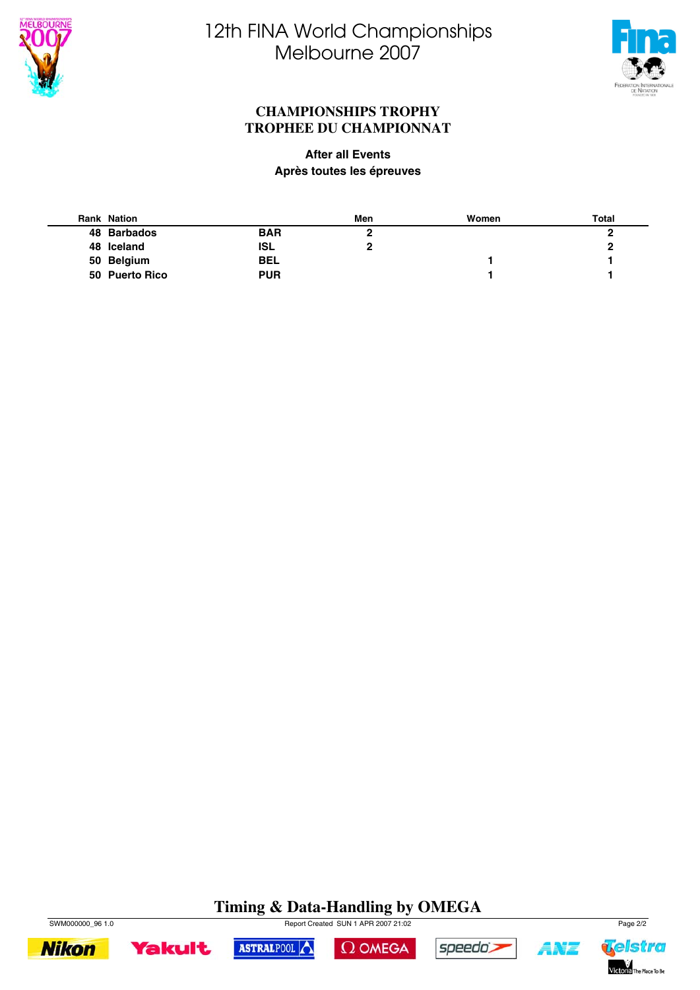



#### **CHAMPIONSHIPS TROPHY TROPHEE DU CHAMPIONNAT**

#### **After all Events Après toutes les épreuves**

| <b>Rank Nation</b> |            | Men | Women | <b>Total</b> |
|--------------------|------------|-----|-------|--------------|
| 48 Barbados        | <b>BAR</b> |     |       |              |
| 48 Iceland         | <b>ISL</b> |     |       | 2            |
| 50 Belgium         | <b>BEL</b> |     |       |              |
| 50 Puerto Rico     | <b>PUR</b> |     |       |              |

## **Timing & Data-Handling by OMEGA**





ASTRALPOOL

 $\Omega$  OMEGA



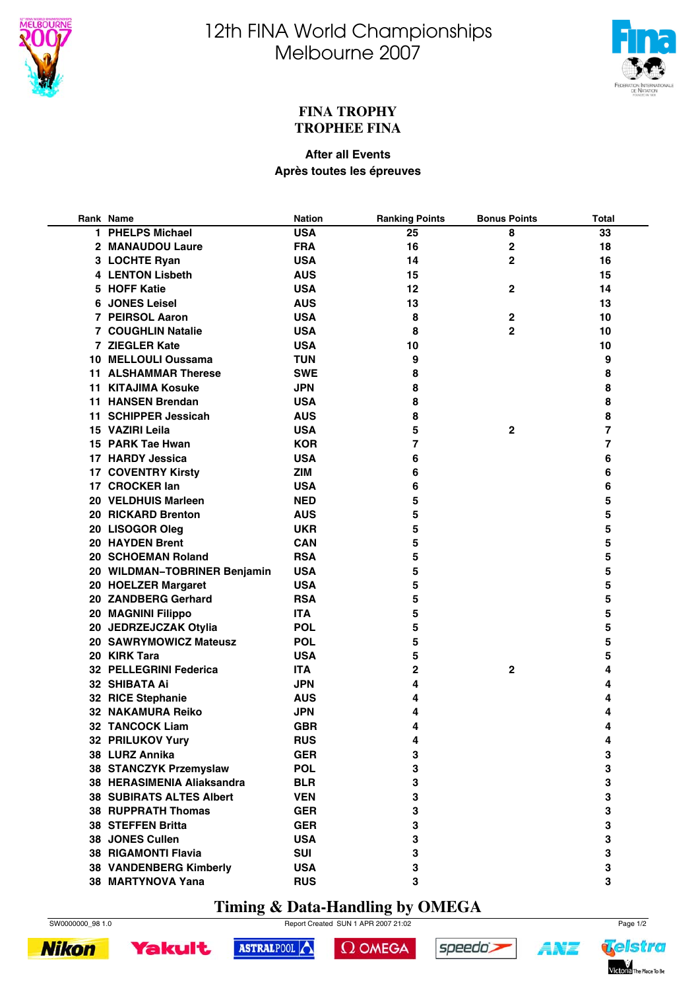



#### **FINA TROPHY TROPHEE FINA**

#### **After all Events Après toutes les épreuves**

| Rank Name                       | <b>Nation</b> | <b>Ranking Points</b>   | <b>Bonus Points</b> | <b>Total</b> |
|---------------------------------|---------------|-------------------------|---------------------|--------------|
| 1 PHELPS Michael                | <b>USA</b>    | 25                      | 8                   | 33           |
| 2 MANAUDOU Laure                | <b>FRA</b>    | 16                      | $\mathbf 2$         | 18           |
| 3 LOCHTE Ryan                   | <b>USA</b>    | 14                      | 2                   | 16           |
| <b>4 LENTON Lisbeth</b>         | <b>AUS</b>    | 15                      |                     | 15           |
| 5 HOFF Katie                    | <b>USA</b>    | 12                      | $\mathbf{2}$        | 14           |
| 6 JONES Leisel                  | <b>AUS</b>    | 13                      |                     | 13           |
| 7 PEIRSOL Aaron                 | <b>USA</b>    | 8                       | $\mathbf 2$         | 10           |
| <b>7 COUGHLIN Natalie</b>       | <b>USA</b>    | 8                       | 2                   | 10           |
| 7 ZIEGLER Kate                  | <b>USA</b>    | 10                      |                     | 10           |
| 10 MELLOULI Oussama             | <b>TUN</b>    | 9                       |                     | 9            |
| <b>11 ALSHAMMAR Therese</b>     | <b>SWE</b>    | 8                       |                     | 8            |
| <b>11 KITAJIMA Kosuke</b>       | <b>JPN</b>    | 8                       |                     | 8            |
| <b>11 HANSEN Brendan</b>        | <b>USA</b>    | 8                       |                     | 8            |
| 11 SCHIPPER Jessicah            | <b>AUS</b>    | 8                       |                     | 8            |
| 15 VAZIRI Leila                 | <b>USA</b>    | 5                       | $\mathbf{2}$        | 7            |
| 15 PARK Tae Hwan                | <b>KOR</b>    | $\overline{\mathbf{z}}$ |                     | 7            |
| 17 HARDY Jessica                | <b>USA</b>    | 6                       |                     | 6            |
| <b>17 COVENTRY Kirsty</b>       | <b>ZIM</b>    | 6                       |                     | 6            |
| 17 CROCKER lan                  | <b>USA</b>    | 6                       |                     | 6            |
| 20 VELDHUIS Marleen             | <b>NED</b>    | 5                       |                     | 5            |
|                                 |               |                         |                     | 5            |
| 20 RICKARD Brenton              | <b>AUS</b>    | 5                       |                     | 5            |
| 20 LISOGOR Oleg                 | <b>UKR</b>    | 5                       |                     |              |
| 20 HAYDEN Brent                 | <b>CAN</b>    | 5                       |                     | 5            |
| 20 SCHOEMAN Roland              | <b>RSA</b>    | 5                       |                     | 5            |
| 20 WILDMAN-TOBRINER Benjamin    | <b>USA</b>    | 5                       |                     | 5            |
| 20 HOELZER Margaret             | <b>USA</b>    | 5                       |                     | 5            |
| 20 ZANDBERG Gerhard             | <b>RSA</b>    | 5                       |                     | 5            |
| 20 MAGNINI Filippo              | <b>ITA</b>    | 5                       |                     | 5            |
| 20 JEDRZEJCZAK Otylia           | <b>POL</b>    | 5                       |                     | 5            |
| 20 SAWRYMOWICZ Mateusz          | <b>POL</b>    | 5                       |                     | 5            |
| 20 KIRK Tara                    | <b>USA</b>    | 5                       |                     | 5            |
| <b>32 PELLEGRINI Federica</b>   | <b>ITA</b>    | 2                       | $\mathbf{2}$        | 4            |
| 32 SHIBATA Ai                   | <b>JPN</b>    | 4                       |                     | 4            |
| 32 RICE Stephanie               | <b>AUS</b>    | 4                       |                     | 4            |
| 32 NAKAMURA Reiko               | <b>JPN</b>    | 4                       |                     | 4            |
| <b>32 TANCOCK Liam</b>          | <b>GBR</b>    | 4                       |                     | 4            |
| 32 PRILUKOV Yury                | <b>RUS</b>    | 4                       |                     | 4            |
| 38 LURZ Annika                  | <b>GER</b>    | 3                       |                     | 3            |
| 38 STANCZYK Przemyslaw          | <b>POL</b>    | 3                       |                     | 3            |
| 38 HERASIMENIA Aliaksandra      | <b>BLR</b>    | 3                       |                     | 3            |
| <b>38 SUBIRATS ALTES Albert</b> | <b>VEN</b>    | 3                       |                     | 3            |
| <b>38 RUPPRATH Thomas</b>       | <b>GER</b>    | 3                       |                     | 3            |
| <b>38 STEFFEN Britta</b>        | <b>GER</b>    | 3                       |                     | 3            |
| 38 JONES Cullen                 | <b>USA</b>    | 3                       |                     | 3            |
| <b>38 RIGAMONTI Flavia</b>      | <b>SUI</b>    | 3                       |                     | 3            |
| 38 VANDENBERG Kimberly          | <b>USA</b>    | 3                       |                     | 3            |
| 38 MARTYNOVA Yana               | <b>RUS</b>    | 3                       |                     | 3            |

### **Timing & Data-Handling by OMEGA**



**Nikon** 

SW0000000\_98 1.0 Report Created SUN 1 APR 2007 21:02 Page 1/2



 $\Omega$  OMEGA

speedo's